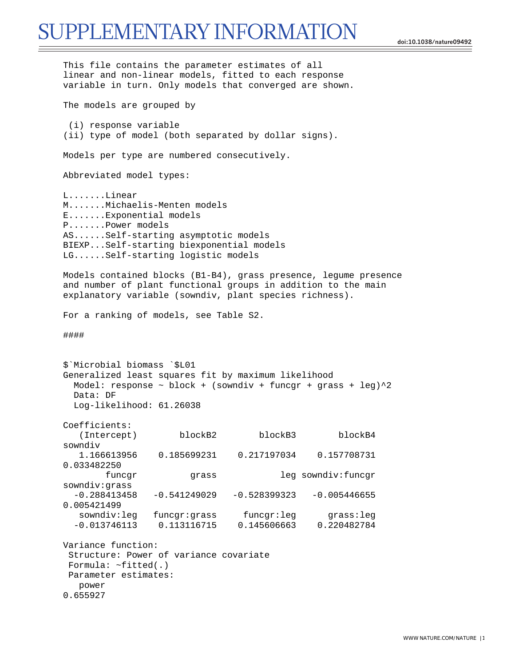## SUPPLEMENTARY INFORMATION

**doi:10.1038/nature09492**

```
This file contains the parameter estimates of all 
linear and non-linear models, fitted to each response 
variable in turn. Only models that converged are shown. 
The models are grouped by 
  (i) response variable 
(ii) type of model (both separated by dollar signs). 
Models per type are numbered consecutively. 
Abbreviated model types: 
L.......Linear 
M.......Michaelis-Menten models 
E.......Exponential models 
P.......Power models 
AS......Self-starting asymptotic models 
BIEXP...Self-starting biexponential models 
LG......Self-starting logistic models 
Models contained blocks (B1-B4), grass presence, legume presence 
and number of plant functional groups in addition to the main 
explanatory variable (sowndiv, plant species richness). 
For a ranking of models, see Table S2. 
#### 
$`Microbial biomass `$L01 
Generalized least squares fit by maximum likelihood 
  Model: response \sim block + (sowndiv + funcgr + grass + leg)^2
   Data: DF 
   Log-likelihood: 61.26038 
Coefficients: 
    (Intercept) blockB2 blockB3 blockB4 
sowndiv 
    1.166613956 0.185699231 0.217197034 0.157708731 
0.033482250 
        funcgr grass leg sowndiv:funcgr
sowndiv:grass 
  -0.288413458 -0.541249029 -0.528399323 -0.005446655 
0.005421499 
    sowndiv:leg funcgr:grass funcgr:leg grass:leg 
   -0.013746113 0.113116715 0.145606663 0.220482784 
Variance function: 
  Structure: Power of variance covariate 
 Formula: ~fitted(.) 
 Parameter estimates: 
    power 
0.655927
```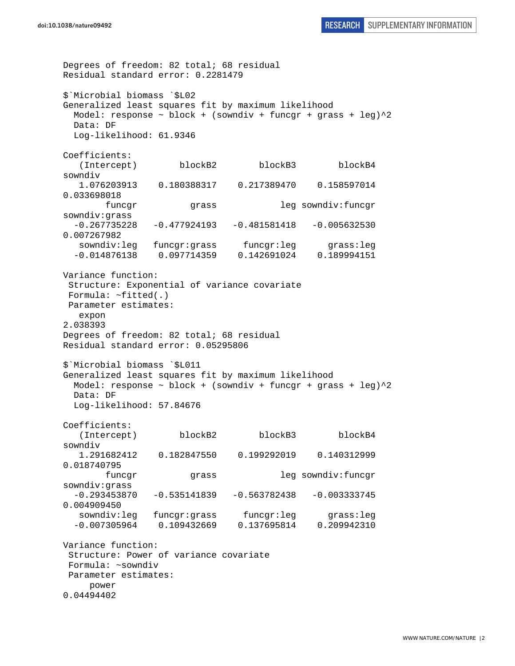Degrees of freedom: 82 total; 68 residual Residual standard error: 0.2281479 \$`Microbial biomass `\$L02 Generalized least squares fit by maximum likelihood Model: response  $\sim$  block + (sowndiv + funcgr + grass + leg) $^2$  Data: DF Log-likelihood: 61.9346 Coefficients: (Intercept) blockB2 blockB3 blockB4 sowndiv<br>1.076203913 0.180388317 0.217389470 0.158597014 0.033698018 funcgr grass leg sowndiv:funcgr sowndiv:grass -0.267735228 -0.477924193 -0.481581418 -0.005632530 0.007267982 sowndiv:leg funcgr:grass funcgr:leg grass:leg -0.014876138 0.097714359 0.142691024 0.189994151 Variance function: Structure: Exponential of variance covariate Formula: ~fitted(.) Parameter estimates: expon 2.038393 Degrees of freedom: 82 total; 68 residual Residual standard error: 0.05295806 \$`Microbial biomass `\$L011 Generalized least squares fit by maximum likelihood Model: response  $\sim$  block + (sowndiv + funcgr + grass + leg) $^2$  Data: DF Log-likelihood: 57.84676 Coefficients: (Intercept) blockB2 blockB3 blockB4 sowndiv 1.291682412 0.182847550 0.199292019 0.140312999 0.018740795 funcgr grass leg sowndiv:funcgr sowndiv:grass  $-0.293453870 -0.535141839 -0.563782438 -0.003333745$ 0.004909450 sowndiv:leg funcgr:grass funcgr:leg grass:leg -0.007305964 0.109432669 0.137695814 0.209942310 Variance function: Structure: Power of variance covariate Formula: ~sowndiv Parameter estimates: power 0.04494402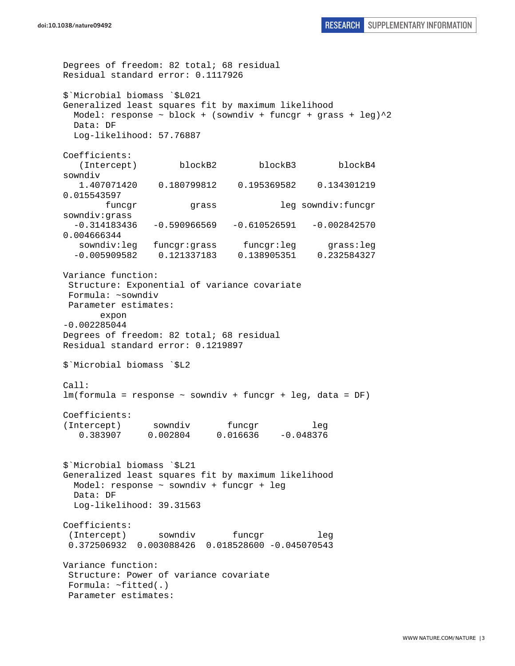Degrees of freedom: 82 total; 68 residual Residual standard error: 0.1117926 \$`Microbial biomass `\$L021 Generalized least squares fit by maximum likelihood Model: response  $\sim$  block + (sowndiv + funcgr + grass + leg) $^2$  Data: DF Log-likelihood: 57.76887 Coefficients: (Intercept) blockB2 blockB3 blockB4 sowndiv 1.407071420 0.180799812 0.195369582 0.134301219 0.015543597 funcgr grass leg sowndiv:funcgr sowndiv:grass  $-0.314183436 -0.590966569 -0.610526591 -0.002842570$ 0.004666344 sowndiv:leg funcgr:grass funcgr:leg grass:leg -0.005909582 0.121337183 0.138905351 0.232584327 Variance function: Structure: Exponential of variance covariate Formula: ~sowndiv Parameter estimates: expon -0.002285044 Degrees of freedom: 82 total; 68 residual Residual standard error: 0.1219897 \$`Microbial biomass `\$L2  $Ca11$ : lm(formula = response ~ sowndiv + funcgr + leg, data = DF) Coefficients: (Intercept) sowndiv funcgr leg 0.383907 0.002804 0.016636 -0.048376 \$`Microbial biomass `\$L21 Generalized least squares fit by maximum likelihood Model: response ~ sowndiv + funcgr + leg Data: DF Log-likelihood: 39.31563 Coefficients: (Intercept) sowndiv funcgr leg 0.372506932 0.003088426 0.018528600 -0.045070543 Variance function: Structure: Power of variance covariate Formula: ~fitted(.) Parameter estimates: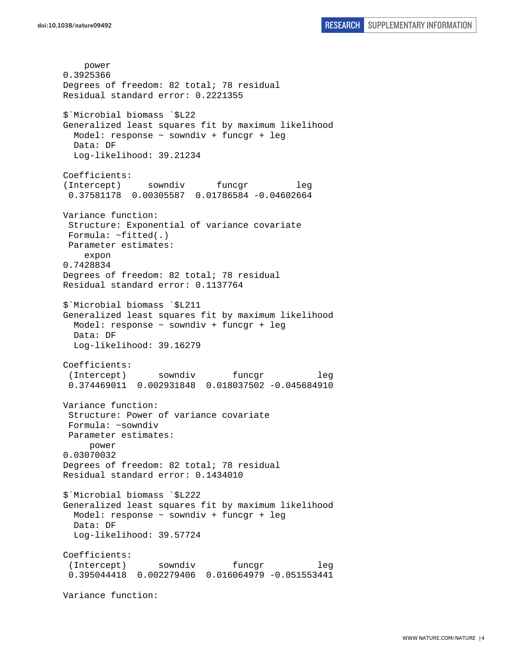power 0.3925366 Degrees of freedom: 82 total; 78 residual Residual standard error: 0.2221355 \$`Microbial biomass `\$L22 Generalized least squares fit by maximum likelihood Model: response ~ sowndiv + funcgr + leg Data: DF Log-likelihood: 39.21234 Coefficients: (Intercept) sowndiv funcgr leg 0.37581178 0.00305587 0.01786584 -0.04602664 Variance function: Structure: Exponential of variance covariate Formula: ~fitted(.) Parameter estimates: expon 0.7428834 Degrees of freedom: 82 total; 78 residual Residual standard error: 0.1137764 \$`Microbial biomass `\$L211 Generalized least squares fit by maximum likelihood Model: response ~ sowndiv + funcgr + leg Data: DF Log-likelihood: 39.16279 Coefficients: (Intercept) sowndiv funcgr leg 0.374469011 0.002931848 0.018037502 -0.045684910 Variance function: Structure: Power of variance covariate Formula: ~sowndiv Parameter estimates: power 0.03070032 Degrees of freedom: 82 total; 78 residual Residual standard error: 0.1434010 \$`Microbial biomass `\$L222 Generalized least squares fit by maximum likelihood Model: response ~ sowndiv + funcgr + leg Data: DF Log-likelihood: 39.57724 Coefficients: (Intercept) sowndiv funcgr leg 0.395044418 0.002279406 0.016064979 -0.051553441 Variance function: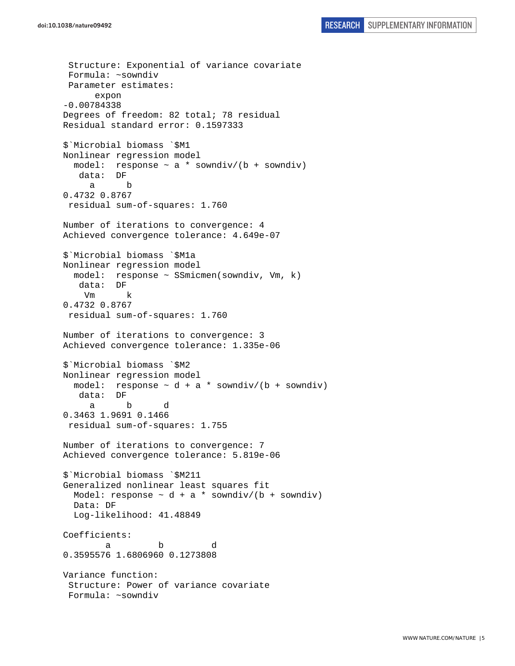Structure: Exponential of variance covariate Formula: ~sowndiv Parameter estimates: expon -0.00784338 Degrees of freedom: 82 total; 78 residual Residual standard error: 0.1597333 \$`Microbial biomass `\$M1 Nonlinear regression model model: response  $\sim$  a  $*$  sowndiv/(b + sowndiv) data: DF a b 0.4732 0.8767 residual sum-of-squares: 1.760 Number of iterations to convergence: 4 Achieved convergence tolerance: 4.649e-07 \$`Microbial biomass `\$M1a Nonlinear regression model model: response ~ SSmicmen(sowndiv, Vm, k) data: DF Vm k 0.4732 0.8767 residual sum-of-squares: 1.760 Number of iterations to convergence: 3 Achieved convergence tolerance: 1.335e-06 \$`Microbial biomass `\$M2 Nonlinear regression model model: response  $\sim d + a *$  sowndiv/(b + sowndiv) data: DF a b d 0.3463 1.9691 0.1466 residual sum-of-squares: 1.755 Number of iterations to convergence: 7 Achieved convergence tolerance: 5.819e-06 \$`Microbial biomass `\$M211 Generalized nonlinear least squares fit Model: response  $\sim d + a *$  sowndiv/(b + sowndiv) Data: DF Log-likelihood: 41.48849 Coefficients: a b d 0.3595576 1.6806960 0.1273808 Variance function: Structure: Power of variance covariate Formula: ~sowndiv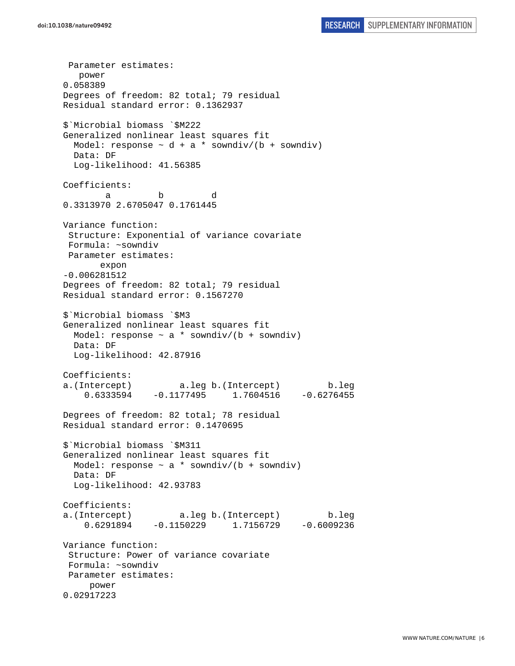Parameter estimates: power 0.058389 Degrees of freedom: 82 total; 79 residual Residual standard error: 0.1362937 \$`Microbial biomass `\$M222 Generalized nonlinear least squares fit Model: response  $\sim d + a *$  sowndiv/(b + sowndiv) Data: DF Log-likelihood: 41.56385 Coefficients: a b d 0.3313970 2.6705047 0.1761445 Variance function: Structure: Exponential of variance covariate Formula: ~sowndiv Parameter estimates: expon -0.006281512 Degrees of freedom: 82 total; 79 residual Residual standard error: 0.1567270 \$`Microbial biomass `\$M3 Generalized nonlinear least squares fit Model: response  $\sim$  a \* sowndiv/(b + sowndiv) Data: DF Log-likelihood: 42.87916 Coefficients: a.(Intercept) a.leg b.(Intercept) b.leg 0.6333594 -0.1177495 1.7604516 -0.6276455 Degrees of freedom: 82 total; 78 residual Residual standard error: 0.1470695 \$`Microbial biomass `\$M311 Generalized nonlinear least squares fit Model: response  $\sim$  a \* sowndiv/(b + sowndiv) Data: DF Log-likelihood: 42.93783 Coefficients: a.(Intercept) a.leg b.(Intercept) b.leg 0.6291894 -0.1150229 1.7156729 -0.6009236 Variance function: Structure: Power of variance covariate Formula: ~sowndiv Parameter estimates: power 0.02917223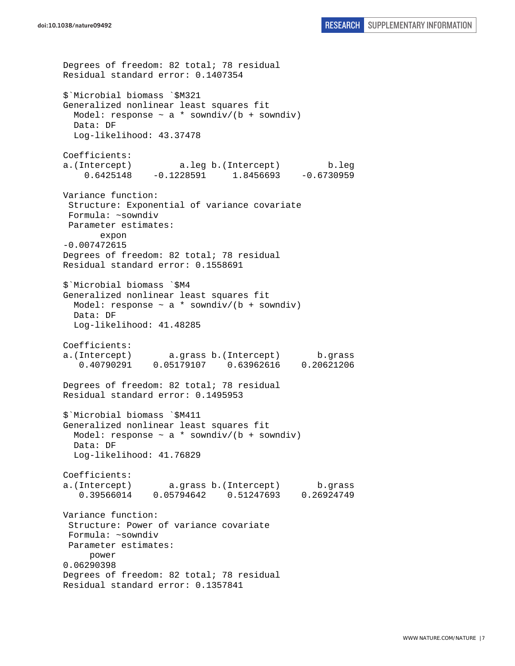```
Degrees of freedom: 82 total; 78 residual 
Residual standard error: 0.1407354 
$`Microbial biomass `$M321 
Generalized nonlinear least squares fit 
  Model: response \sim a * sowndiv/(b + sowndiv)
  Data: DF 
  Log-likelihood: 43.37478 
Coefficients: 
a.(Intercept) a.leg b.(Intercept) b.leg 
     0.6425148 -0.1228591 1.8456693 -0.6730959 
Variance function: 
  Structure: Exponential of variance covariate 
 Formula: ~sowndiv 
 Parameter estimates: 
        expon 
-0.007472615 
Degrees of freedom: 82 total; 78 residual 
Residual standard error: 0.1558691 
$`Microbial biomass `$M4 
Generalized nonlinear least squares fit 
  Model: response \sim a * sowndiv/(b + sowndiv)
   Data: DF 
   Log-likelihood: 41.48285 
Coefficients: 
a.(Intercept) a.grass b.(Intercept) b.grass 
    0.40790291 0.05179107 0.63962616 0.20621206 
Degrees of freedom: 82 total; 78 residual 
Residual standard error: 0.1495953 
$`Microbial biomass `$M411 
Generalized nonlinear least squares fit 
 Model: response \sim a * sowndiv/(b + sowndiv)
  Data: DF 
   Log-likelihood: 41.76829 
Coefficients: 
a.(Intercept) a.grass b.(Intercept) b.grass 
    0.39566014 0.05794642 0.51247693 0.26924749 
Variance function: 
  Structure: Power of variance covariate 
  Formula: ~sowndiv 
 Parameter estimates: 
      power 
0.06290398 
Degrees of freedom: 82 total; 78 residual 
Residual standard error: 0.1357841
```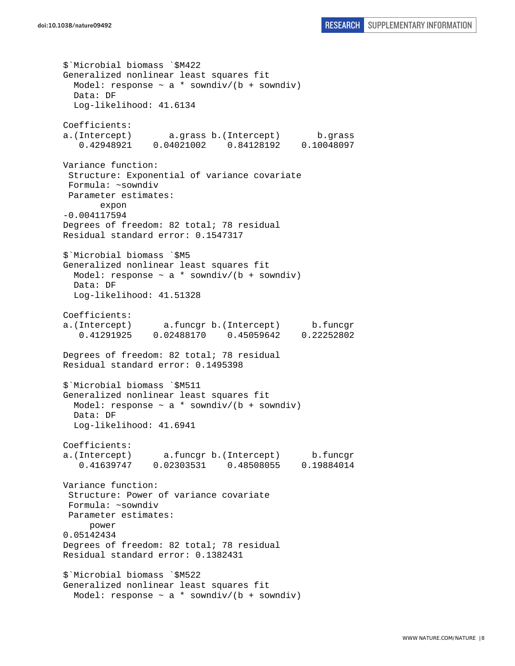\$`Microbial biomass `\$M422 Generalized nonlinear least squares fit Model: response  $\sim$  a  $*$  sowndiv/(b + sowndiv) Data: DF Log-likelihood: 41.6134 Coefficients: a.(Intercept) a.grass b.(Intercept) b.grass 0.42948921 0.04021002 0.84128192 0.10048097 Variance function: Structure: Exponential of variance covariate Formula: ~sowndiv Parameter estimates: expon -0.004117594 Degrees of freedom: 82 total; 78 residual Residual standard error: 0.1547317 \$`Microbial biomass `\$M5 Generalized nonlinear least squares fit Model: response  $\sim$  a \* sowndiv/(b + sowndiv) Data: DF Log-likelihood: 41.51328 Coefficients: a.(Intercept) a.funcgr b.(Intercept) b.funcgr 0.41291925 0.02488170 0.45059642 0.22252802 Degrees of freedom: 82 total; 78 residual Residual standard error: 0.1495398 \$`Microbial biomass `\$M511 Generalized nonlinear least squares fit Model: response  $\sim$  a  $*$  sowndiv/(b + sowndiv) Data: DF Log-likelihood: 41.6941 Coefficients: a.(Intercept) a.funcgr b.(Intercept) b.funcgr 0.41639747 0.02303531 0.48508055 0.19884014 Variance function: Structure: Power of variance covariate Formula: ~sowndiv Parameter estimates: power 0.05142434 Degrees of freedom: 82 total; 78 residual Residual standard error: 0.1382431 \$`Microbial biomass `\$M522 Generalized nonlinear least squares fit Model: response  $\sim$  a \* sowndiv/(b + sowndiv)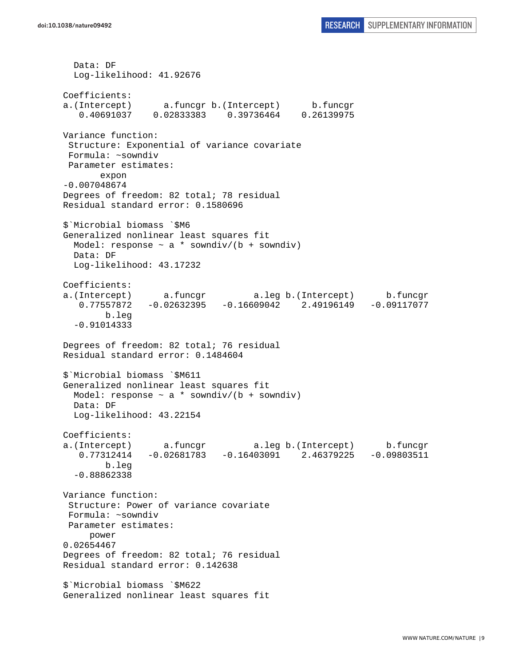Data: DF Log-likelihood: 41.92676 Coefficients: a.(Intercept) a.funcgr b.(Intercept) b.funcgr 0.40691037 0.02833383 0.39736464 0.26139975 Variance function: Structure: Exponential of variance covariate Formula: ~sowndiv Parameter estimates: expon -0.007048674 Degrees of freedom: 82 total; 78 residual Residual standard error: 0.1580696 \$`Microbial biomass `\$M6 Generalized nonlinear least squares fit Model: response  $\sim$  a \* sowndiv/(b + sowndiv) Data: DF Log-likelihood: 43.17232 Coefficients: a.(Intercept) a.funcgr a.leg b.(Intercept) b.funcgr 0.77557872 -0.02632395 -0.16609042 2.49196149 -0.09117077 b.leg -0.91014333 Degrees of freedom: 82 total; 76 residual Residual standard error: 0.1484604 \$`Microbial biomass `\$M611 Generalized nonlinear least squares fit Model: response  $\sim$  a \* sowndiv/(b + sowndiv) Data: DF Log-likelihood: 43.22154 Coefficients: a.(Intercept) a.funcgr a.leg b.(Intercept) b.funcgr 0.77312414 -0.02681783 -0.16403091 2.46379225 -0.09803511 b.leg -0.88862338 Variance function: Structure: Power of variance covariate Formula: ~sowndiv Parameter estimates: power 0.02654467 Degrees of freedom: 82 total; 76 residual Residual standard error: 0.142638 \$`Microbial biomass `\$M622 Generalized nonlinear least squares fit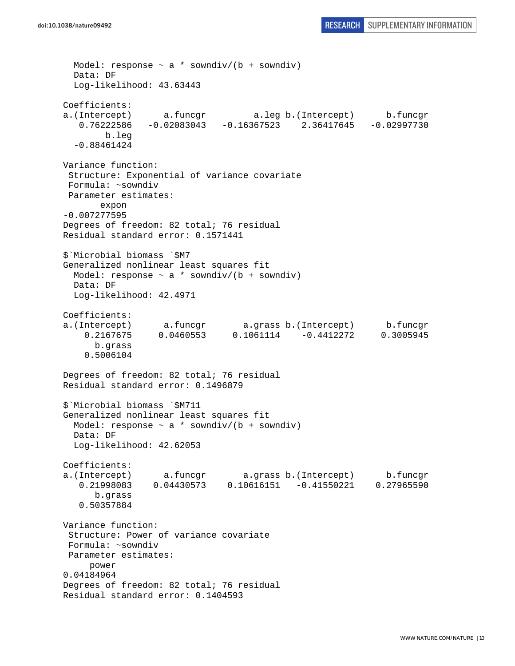```
Model: response \sim a * sowndiv/(b + sowndiv)
   Data: DF 
   Log-likelihood: 43.63443 
Coefficients: 
a.(Intercept) a.funcgr a.leg b.(Intercept) b.funcgr 
    0.76222586 -0.02083043 -0.16367523 2.36417645 -0.02997730 
        b.leg 
   -0.88461424 
Variance function: 
  Structure: Exponential of variance covariate 
 Formula: ~sowndiv 
 Parameter estimates: 
       expon 
-0.007277595 
Degrees of freedom: 82 total; 76 residual 
Residual standard error: 0.1571441 
$`Microbial biomass `$M7 
Generalized nonlinear least squares fit 
 Model: response \sim a * sowndiv/(b + sowndiv)
  Data: DF 
  Log-likelihood: 42.4971 
Coefficients: 
a.(Intercept) a.funcgr a.grass b.(Intercept) b.funcgr 
     0.2167675 0.0460553 0.1061114 -0.4412272 0.3005945 
       b.grass 
     0.5006104 
Degrees of freedom: 82 total; 76 residual 
Residual standard error: 0.1496879 
$`Microbial biomass `$M711 
Generalized nonlinear least squares fit 
  Model: response \sim a * sowndiv/(b + sowndiv)
  Data: DF 
   Log-likelihood: 42.62053 
Coefficients: 
a.(Intercept) a.funcgr a.grass b.(Intercept) b.funcgr 
    0.21998083 0.04430573 0.10616151 -0.41550221 0.27965590 
       b.grass 
    0.50357884 
Variance function: 
  Structure: Power of variance covariate 
 Formula: ~sowndiv 
 Parameter estimates: 
     power 
0.04184964 
Degrees of freedom: 82 total; 76 residual 
Residual standard error: 0.1404593
```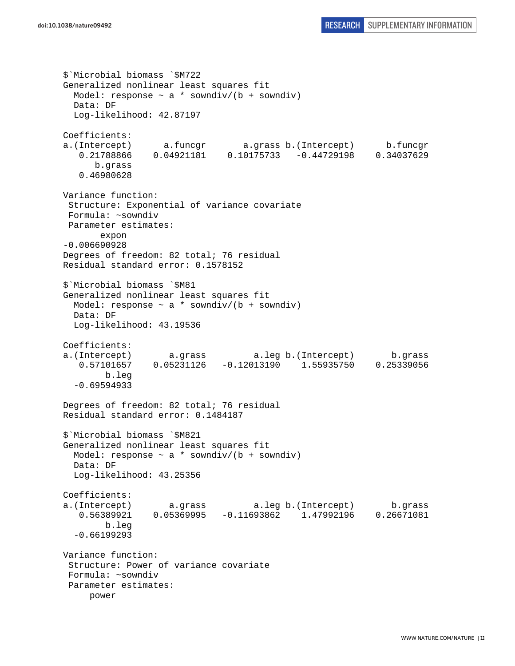```
$`Microbial biomass `$M722 
Generalized nonlinear least squares fit 
 Model: response \sim a * sowndiv/(b + sowndiv)
  Data: DF 
   Log-likelihood: 42.87197 
Coefficients: 
a.(Intercept) a.funcgr a.grass b.(Intercept) b.funcgr 
    0.21788866 0.04921181 0.10175733 -0.44729198 0.34037629 
       b.grass 
    0.46980628 
Variance function: 
  Structure: Exponential of variance covariate 
 Formula: ~sowndiv 
 Parameter estimates: 
        expon 
-0.006690928 
Degrees of freedom: 82 total; 76 residual 
Residual standard error: 0.1578152 
$`Microbial biomass `$M81 
Generalized nonlinear least squares fit 
  Model: response \sim a * sowndiv/(b + sowndiv)
   Data: DF 
   Log-likelihood: 43.19536 
Coefficients: 
a.(Intercept) a.grass a.leg b.(Intercept) b.grass 
   0.57101657 0.05231126 -0.12013190 1.55935750 0.25339056 
         b.leg 
   -0.69594933 
Degrees of freedom: 82 total; 76 residual 
Residual standard error: 0.1484187 
$`Microbial biomass `$M821 
Generalized nonlinear least squares fit 
 Model: response \sim a * sowndiv/(b + sowndiv)
  Data: DF 
  Log-likelihood: 43.25356 
Coefficients: 
a.(Intercept) a.grass a.leg b.(Intercept) b.grass 
   0.56389921 0.05369995 -0.11693862 1.47992196 0.26671081 
        b.leg 
   -0.66199293 
Variance function: 
  Structure: Power of variance covariate 
 Formula: ~sowndiv 
 Parameter estimates: 
     power
```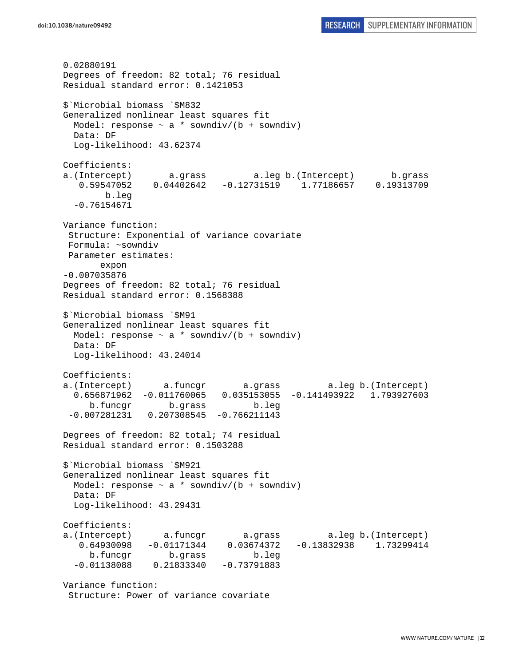0.02880191 Degrees of freedom: 82 total; 76 residual Residual standard error: 0.1421053 \$`Microbial biomass `\$M832 Generalized nonlinear least squares fit Model: response  $\sim$  a \* sowndiv/(b + sowndiv) Data: DF Log-likelihood: 43.62374 Coefficients: a.(Intercept) a.grass a.leg b.(Intercept) b.grass 0.59547052 0.04402642 -0.12731519 1.77186657 0.19313709 b.leg -0.76154671 Variance function: Structure: Exponential of variance covariate Formula: ~sowndiv Parameter estimates: expon -0.007035876 Degrees of freedom: 82 total; 76 residual Residual standard error: 0.1568388 \$`Microbial biomass `\$M91 Generalized nonlinear least squares fit Model: response  $\sim$  a \* sowndiv/(b + sowndiv) Data: DF Log-likelihood: 43.24014 Coefficients: a.(Intercept) a.funcgr a.grass a.leg b.(Intercept) 0.656871962 -0.011760065 0.035153055 -0.141493922 1.793927603 b.funcgr b.grass b.leg -0.007281231 0.207308545 -0.766211143 Degrees of freedom: 82 total; 74 residual Residual standard error: 0.1503288 \$`Microbial biomass `\$M921 Generalized nonlinear least squares fit Model: response  $\sim$  a \* sowndiv/(b + sowndiv) Data: DF Log-likelihood: 43.29431 Coefficients: a.(Intercept) a.funcgr a.grass a.leg b.(Intercept) 0.64930098 -0.01171344 0.03674372 -0.13832938 1.73299414 b.funcgr b.grass b.leg -0.01138088 0.21833340 -0.73791883 Variance function: Structure: Power of variance covariate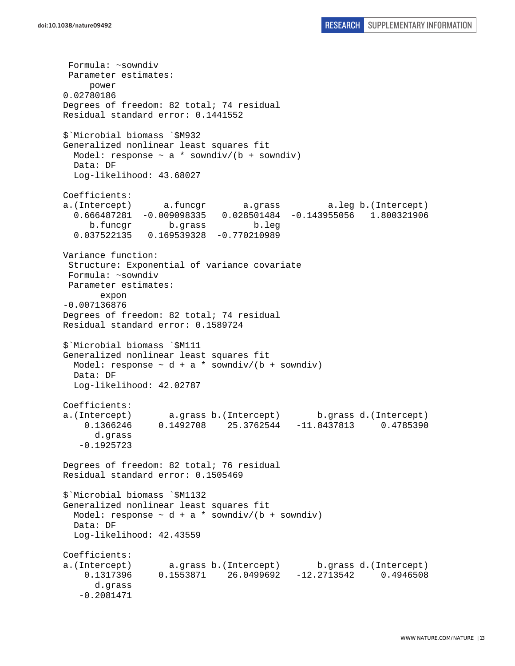Formula: ~sowndiv Parameter estimates: power 0.02780186 Degrees of freedom: 82 total; 74 residual Residual standard error: 0.1441552 \$`Microbial biomass `\$M932 Generalized nonlinear least squares fit Model: response  $\sim$  a \* sowndiv/(b + sowndiv) Data: DF Log-likelihood: 43.68027 Coefficients: a.(Intercept) a.funcgr a.grass a.leg b.(Intercept) 0.666487281 -0.009098335 0.028501484 -0.143955056 1.800321906 b.funcgr b.grass b.leg 0.037522135 0.169539328 -0.770210989 Variance function: Structure: Exponential of variance covariate Formula: ~sowndiv Parameter estimates: expon -0.007136876 Degrees of freedom: 82 total; 74 residual Residual standard error: 0.1589724 \$`Microbial biomass `\$M111 Generalized nonlinear least squares fit Model: response  $\sim d + a *$  sowndiv/(b + sowndiv) Data: DF Log-likelihood: 42.02787 Coefficients: a.(Intercept) a.grass b.(Intercept) b.grass d.(Intercept) 0.1366246 0.1492708 25.3762544 -11.8437813 0.4785390 d.grass -0.1925723 Degrees of freedom: 82 total; 76 residual Residual standard error: 0.1505469 \$`Microbial biomass `\$M1132 Generalized nonlinear least squares fit Model: response  $\sim$  d + a \* sowndiv/(b + sowndiv) Data: DF Log-likelihood: 42.43559 Coefficients: a.(Intercept) a.grass b.(Intercept) b.grass d.(Intercept) 0.1317396 0.1553871 26.0499692 -12.2713542 0.4946508 d.grass -0.2081471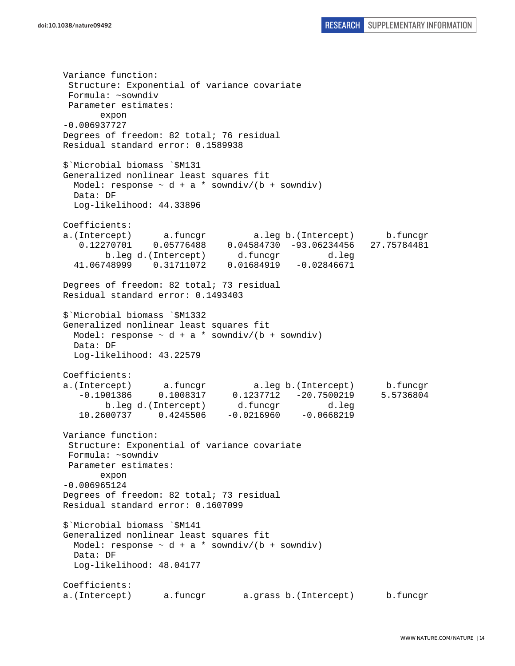Variance function: Structure: Exponential of variance covariate Formula: ~sowndiv Parameter estimates: expon -0.006937727 Degrees of freedom: 82 total; 76 residual Residual standard error: 0.1589938 \$`Microbial biomass `\$M131 Generalized nonlinear least squares fit Model: response  $\sim d + a *$  sowndiv/(b + sowndiv) Data: DF Log-likelihood: 44.33896 Coefficients: a.(Intercept) a.funcgr a.leg b.(Intercept) b.funcgr 0.12270701 0.05776488 0.04584730 -93.06234456 27.75784481 b.leg d.(Intercept) d.funcgr d.leg 41.06748999 0.31711072 0.01684919 -0.02846671 Degrees of freedom: 82 total; 73 residual Residual standard error: 0.1493403 \$`Microbial biomass `\$M1332 Generalized nonlinear least squares fit Model: response  $\sim d + a *$  sowndiv/(b + sowndiv) Data: DF Log-likelihood: 43.22579 Coefficients: a.(Intercept) a.funcgr a.leg b.(Intercept) b.funcgr -0.1901386 0.1008317 0.1237712 -20.7500219 5.5736804 b.leg d.(Intercept) d.funcgr d.leg 10.2600737 0.4245506 -0.0216960 -0.0668219 Variance function: Structure: Exponential of variance covariate Formula: ~sowndiv Parameter estimates: expon -0.006965124 Degrees of freedom: 82 total; 73 residual Residual standard error: 0.1607099 \$`Microbial biomass `\$M141 Generalized nonlinear least squares fit Model: response  $\sim d + a *$  sowndiv/(b + sowndiv) Data: DF Log-likelihood: 48.04177 Coefficients: a.(Intercept) a.funcgr a.grass b.(Intercept) b.funcgr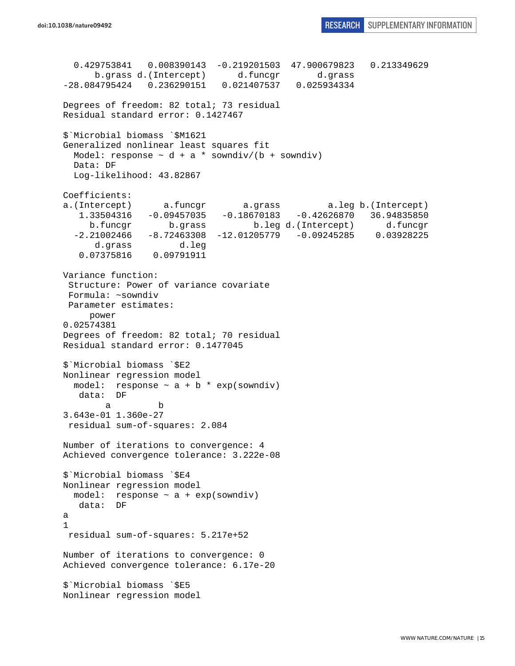```
 0.429753841 0.008390143 -0.219201503 47.900679823 0.213349629 
       b.grass d.(Intercept) d.funcgr d.grass 
-28.084795424 0.236290151 0.021407537 0.025934334 
Degrees of freedom: 82 total; 73 residual 
Residual standard error: 0.1427467 
$`Microbial biomass `$M1621 
Generalized nonlinear least squares fit 
  Model: response \sim d + a * sowndiv/(b + sowndiv)
  Data: DF 
   Log-likelihood: 43.82867 
Coefficients: 
a.(Intercept) a.funcgr a.grass a.leg b.(Intercept) 
    1.33504316 -0.09457035 -0.18670183 -0.42626870 36.94835850 
      b.funcgr b.grass b.leg d.(Intercept) d.funcgr 
   -2.21002466 -8.72463308 -12.01205779 -0.09245285 0.03928225 
       d.grass d.leg 
    0.07375816 0.09791911 
Variance function: 
  Structure: Power of variance covariate 
 Formula: ~sowndiv 
 Parameter estimates: 
      power 
0.02574381 
Degrees of freedom: 82 total; 70 residual 
Residual standard error: 0.1477045 
$`Microbial biomass `$E2 
Nonlinear regression model 
  model: response \sim a + b * exp(sowndiv)
    data: DF 
 a b 
3.643e-01 1.360e-27 
 residual sum-of-squares: 2.084 
Number of iterations to convergence: 4 
Achieved convergence tolerance: 3.222e-08 
$`Microbial biomass `$E4 
Nonlinear regression model 
 model: response \sim a + exp(sowndiv)
   data: DF 
a 
1 
 residual sum-of-squares: 5.217e+52 
Number of iterations to convergence: 0 
Achieved convergence tolerance: 6.17e-20 
$`Microbial biomass `$E5 
Nonlinear regression model
```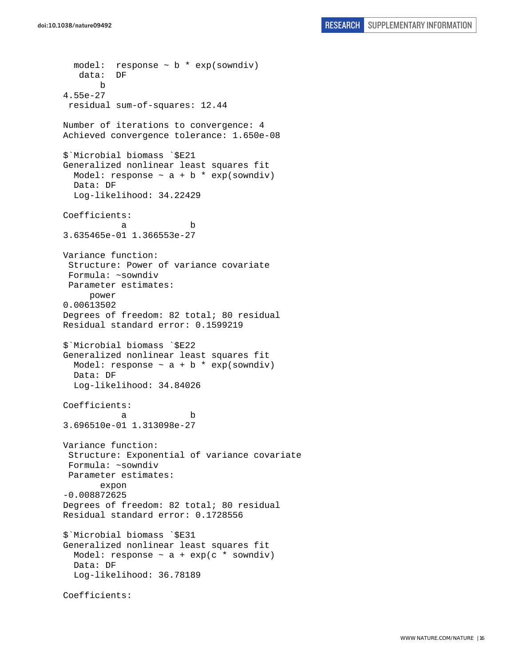model: response  $\sim$  b  $*$  exp(sowndiv) data: DF b 4.55e-27 residual sum-of-squares: 12.44 Number of iterations to convergence: 4 Achieved convergence tolerance: 1.650e-08 \$`Microbial biomass `\$E21 Generalized nonlinear least squares fit Model: response  $\sim$  a + b \* exp(sowndiv) Data: DF Log-likelihood: 34.22429 Coefficients: a b 3.635465e-01 1.366553e-27 Variance function: Structure: Power of variance covariate Formula: ~sowndiv Parameter estimates: power 0.00613502 Degrees of freedom: 82 total; 80 residual Residual standard error: 0.1599219 \$`Microbial biomass `\$E22 Generalized nonlinear least squares fit Model: response  $\sim$  a + b  $*$  exp(sowndiv) Data: DF Log-likelihood: 34.84026 Coefficients: a b 3.696510e-01 1.313098e-27 Variance function: Structure: Exponential of variance covariate Formula: ~sowndiv Parameter estimates: expon -0.008872625 Degrees of freedom: 82 total; 80 residual Residual standard error: 0.1728556 \$`Microbial biomass `\$E31 Generalized nonlinear least squares fit Model: response  $\sim$  a + exp(c \* sowndiv) Data: DF Log-likelihood: 36.78189 Coefficients: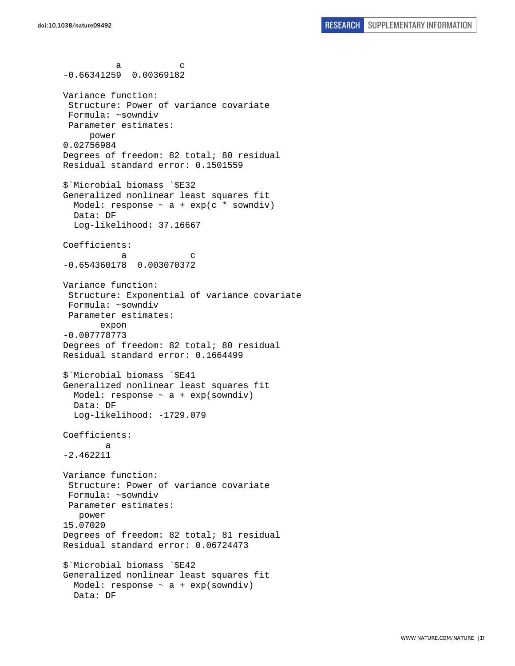a c -0.66341259 0.00369182 Variance function: Structure: Power of variance covariate Formula: ~sowndiv Parameter estimates: power 0.02756984 Degrees of freedom: 82 total; 80 residual Residual standard error: 0.1501559 \$`Microbial biomass `\$E32 Generalized nonlinear least squares fit Model: response  $\sim$  a + exp(c \* sowndiv) Data: DF Log-likelihood: 37.16667 Coefficients: a c -0.654360178 0.003070372 Variance function: Structure: Exponential of variance covariate Formula: ~sowndiv Parameter estimates: expon -0.007778773 Degrees of freedom: 82 total; 80 residual Residual standard error: 0.1664499 \$`Microbial biomass `\$E41 Generalized nonlinear least squares fit Model: response ~ a + exp(sowndiv) Data: DF Log-likelihood: -1729.079 Coefficients: a -2.462211 Variance function: Structure: Power of variance covariate Formula: ~sowndiv Parameter estimates: power 15.07020 Degrees of freedom: 82 total; 81 residual Residual standard error: 0.06724473 \$`Microbial biomass `\$E42 Generalized nonlinear least squares fit Model: response  $\sim$  a + exp(sowndiv) Data: DF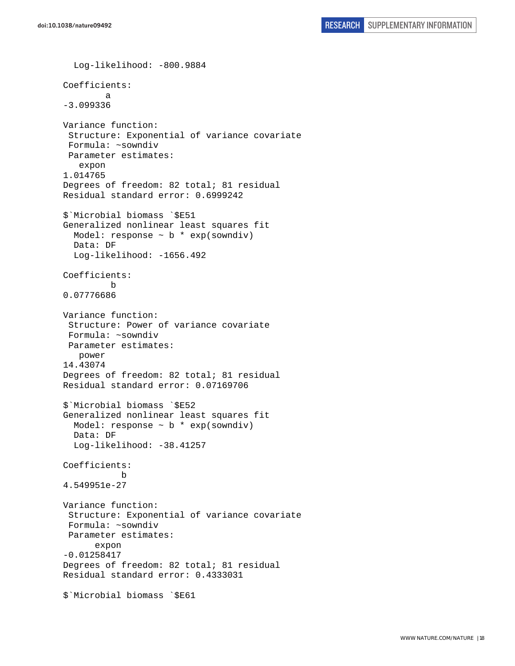```
 Log-likelihood: -800.9884 
Coefficients: 
 a 
-3.099336 
Variance function: 
  Structure: Exponential of variance covariate 
  Formula: ~sowndiv 
 Parameter estimates: 
    expon 
1.014765 
Degrees of freedom: 82 total; 81 residual 
Residual standard error: 0.6999242 
$`Microbial biomass `$E51 
Generalized nonlinear least squares fit 
  Model: response \sim b * exp(sowndiv)
   Data: DF 
   Log-likelihood: -1656.492 
Coefficients: 
 b 
0.07776686 
Variance function: 
  Structure: Power of variance covariate 
  Formula: ~sowndiv 
  Parameter estimates: 
    power 
14.43074 
Degrees of freedom: 82 total; 81 residual 
Residual standard error: 0.07169706 
$`Microbial biomass `$E52 
Generalized nonlinear least squares fit 
  Model: response \sim b * exp(sowndiv)
   Data: DF 
  Log-likelihood: -38.41257
Coefficients: 
 b 
4.549951e-27 
Variance function: 
  Structure: Exponential of variance covariate 
  Formula: ~sowndiv 
  Parameter estimates: 
       expon 
-0.01258417 
Degrees of freedom: 82 total; 81 residual 
Residual standard error: 0.4333031 
$`Microbial biomass `$E61
```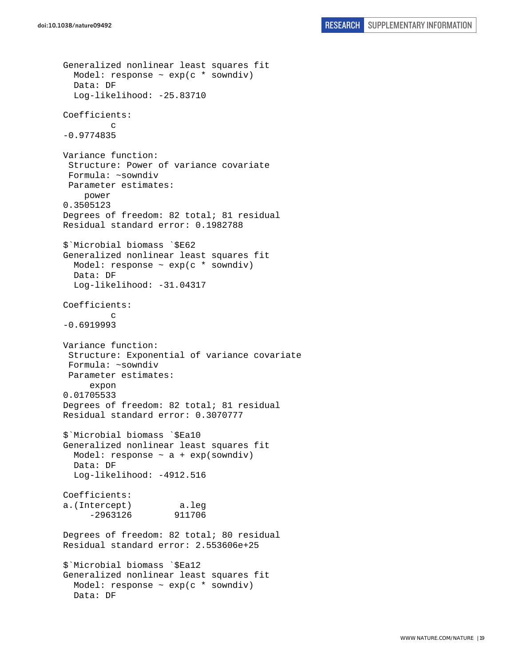```
Generalized nonlinear least squares fit 
   Model: response ~ exp(c * sowndiv) 
   Data: DF 
   Log-likelihood: -25.83710 
Coefficients: 
 c 
-0.9774835 
Variance function: 
  Structure: Power of variance covariate 
  Formula: ~sowndiv 
  Parameter estimates: 
     power 
0.3505123 
Degrees of freedom: 82 total; 81 residual 
Residual standard error: 0.1982788 
$`Microbial biomass `$E62 
Generalized nonlinear least squares fit 
  Model: response \sim exp(c * sowndiv)
   Data: DF 
   Log-likelihood: -31.04317 
Coefficients: 
 c 
-0.6919993 
Variance function: 
  Structure: Exponential of variance covariate 
  Formula: ~sowndiv 
  Parameter estimates: 
      expon 
0.01705533 
Degrees of freedom: 82 total; 81 residual 
Residual standard error: 0.3070777 
$`Microbial biomass `$Ea10 
Generalized nonlinear least squares fit 
  Model: response \sim a + exp(sowndiv)
   Data: DF 
   Log-likelihood: -4912.516 
Coefficients: 
a.(Intercept) a.leg 
      -2963126 911706 
Degrees of freedom: 82 total; 80 residual 
Residual standard error: 2.553606e+25 
$`Microbial biomass `$Ea12 
Generalized nonlinear least squares fit 
  Model: response \sim exp(c * sowndiv)
   Data: DF
```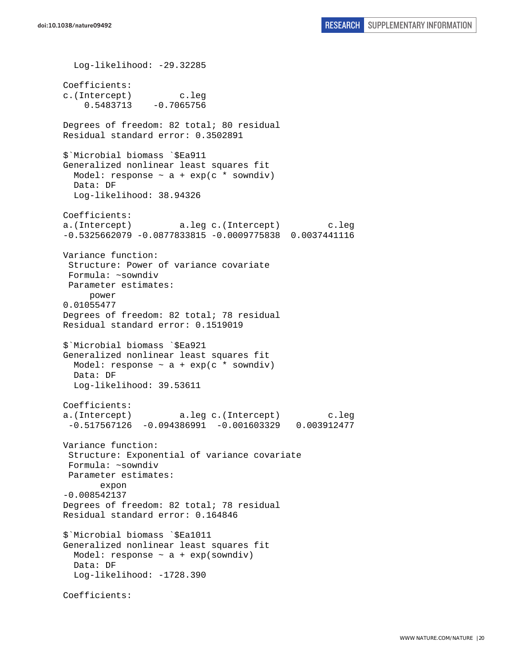Log-likelihood: -29.32285 Coefficients: c.(Intercept) c.leg 0.5483713 -0.7065756 Degrees of freedom: 82 total; 80 residual Residual standard error: 0.3502891 \$`Microbial biomass `\$Ea911 Generalized nonlinear least squares fit Model: response  $\sim$  a + exp(c \* sowndiv) Data: DF Log-likelihood: 38.94326 Coefficients: a.(Intercept) a.leg c.(Intercept) c.leg -0.5325662079 -0.0877833815 -0.0009775838 0.0037441116 Variance function: Structure: Power of variance covariate Formula: ~sowndiv Parameter estimates: power 0.01055477 Degrees of freedom: 82 total; 78 residual Residual standard error: 0.1519019 \$`Microbial biomass `\$Ea921 Generalized nonlinear least squares fit Model: response  $\sim$  a + exp(c \* sowndiv) Data: DF Log-likelihood: 39.53611 Coefficients: a.(Intercept) a.leg c.(Intercept) c.leg  $-0.517567126 -0.094386991 -0.001603329 0.003912477$ Variance function: Structure: Exponential of variance covariate Formula: ~sowndiv Parameter estimates: expon -0.008542137 Degrees of freedom: 82 total; 78 residual Residual standard error: 0.164846 \$`Microbial biomass `\$Ea1011 Generalized nonlinear least squares fit Model: response  $\sim$  a + exp(sowndiv) Data: DF Log-likelihood: -1728.390 Coefficients: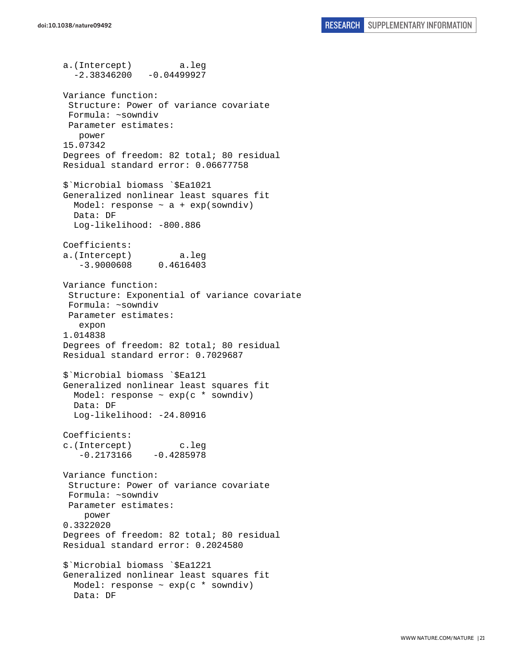a.(Intercept) a.leg  $-2.38346200 -0.04499927$ Variance function: Structure: Power of variance covariate Formula: ~sowndiv Parameter estimates: power 15.07342 Degrees of freedom: 82 total; 80 residual Residual standard error: 0.06677758 \$`Microbial biomass `\$Ea1021 Generalized nonlinear least squares fit Model: response  $\sim$  a + exp(sowndiv) Data: DF Log-likelihood: -800.886 Coefficients: a.(Intercept) a.leg -3.9000608 0.4616403 Variance function: Structure: Exponential of variance covariate Formula: ~sowndiv Parameter estimates: expon 1.014838 Degrees of freedom: 82 total; 80 residual Residual standard error: 0.7029687 \$`Microbial biomass `\$Ea121 Generalized nonlinear least squares fit Model: response  $\sim$  exp(c  $*$  sowndiv) Data: DF Log-likelihood: -24.80916 Coefficients: c.(Intercept) c.leg  $-0.2173166 -0.4285978$ Variance function: Structure: Power of variance covariate Formula: ~sowndiv Parameter estimates: power 0.3322020 Degrees of freedom: 82 total; 80 residual Residual standard error: 0.2024580 \$`Microbial biomass `\$Ea1221 Generalized nonlinear least squares fit Model: response  $\sim$  exp(c  $*$  sowndiv) Data: DF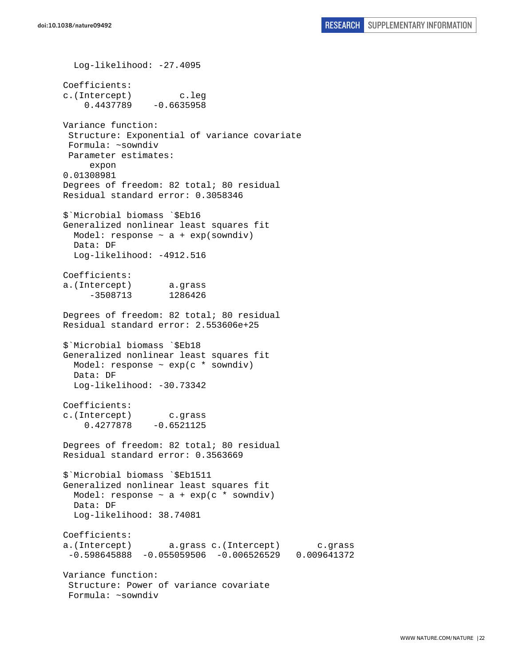Log-likelihood: -27.4095 Coefficients: c.(Intercept) c.leg 0.4437789 -0.6635958 Variance function: Structure: Exponential of variance covariate Formula: ~sowndiv Parameter estimates: expon 0.01308981 Degrees of freedom: 82 total; 80 residual Residual standard error: 0.3058346 \$`Microbial biomass `\$Eb16 Generalized nonlinear least squares fit Model: response  $\sim$  a + exp(sowndiv) Data: DF Log-likelihood: -4912.516 Coefficients: a.(Intercept) a.grass -3508713 1286426 Degrees of freedom: 82 total; 80 residual Residual standard error: 2.553606e+25 \$`Microbial biomass `\$Eb18 Generalized nonlinear least squares fit Model: response  $\sim$  exp(c  $*$  sowndiv) Data: DF Log-likelihood: -30.73342 Coefficients: c.(Intercept) c.grass 0.4277878 -0.6521125 Degrees of freedom: 82 total; 80 residual Residual standard error: 0.3563669 \$`Microbial biomass `\$Eb1511 Generalized nonlinear least squares fit Model: response  $\sim$  a + exp(c  $*$  sowndiv) Data: DF Log-likelihood: 38.74081 Coefficients: a.(Intercept) a.grass c.(Intercept) c.grass -0.598645888 -0.055059506 -0.006526529 0.009641372 Variance function: Structure: Power of variance covariate Formula: ~sowndiv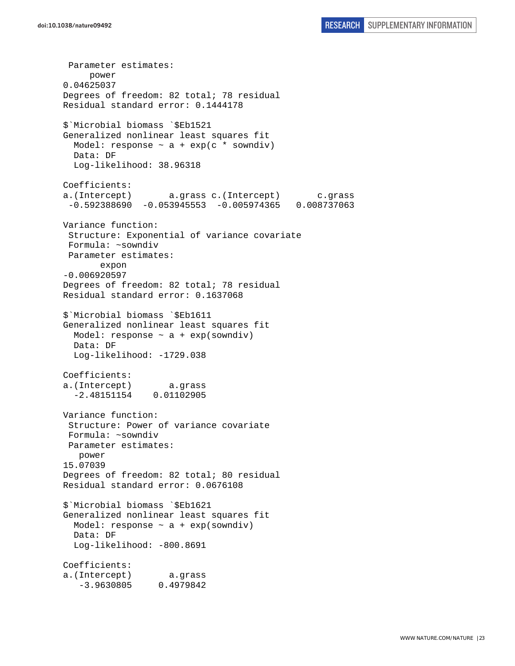Parameter estimates: power 0.04625037 Degrees of freedom: 82 total; 78 residual Residual standard error: 0.1444178 \$`Microbial biomass `\$Eb1521 Generalized nonlinear least squares fit Model: response  $\sim$  a + exp(c \* sowndiv) Data: DF Log-likelihood: 38.96318 Coefficients: a.(Intercept) a.grass c.(Intercept) c.grass -0.592388690 -0.053945553 -0.005974365 0.008737063 Variance function: Structure: Exponential of variance covariate Formula: ~sowndiv Parameter estimates: expon -0.006920597 Degrees of freedom: 82 total; 78 residual Residual standard error: 0.1637068 \$`Microbial biomass `\$Eb1611 Generalized nonlinear least squares fit Model: response  $\sim$  a + exp(sowndiv) Data: DF Log-likelihood: -1729.038 Coefficients: a.(Intercept) a.grass -2.48151154 0.01102905 Variance function: Structure: Power of variance covariate Formula: ~sowndiv Parameter estimates: power 15.07039 Degrees of freedom: 82 total; 80 residual Residual standard error: 0.0676108 \$`Microbial biomass `\$Eb1621 Generalized nonlinear least squares fit Model: response  $\sim$  a + exp(sowndiv) Data: DF Log-likelihood: -800.8691 Coefficients: a.(Intercept) a.grass -3.9630805 0.4979842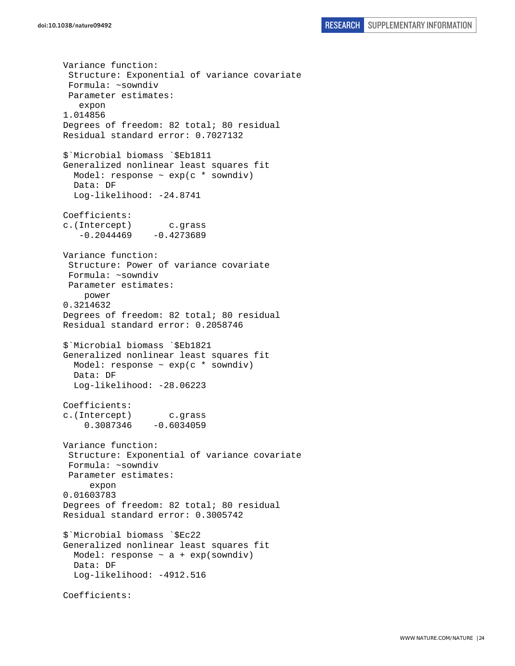Variance function: Structure: Exponential of variance covariate Formula: ~sowndiv Parameter estimates: expon 1.014856 Degrees of freedom: 82 total; 80 residual Residual standard error: 0.7027132 \$`Microbial biomass `\$Eb1811 Generalized nonlinear least squares fit Model: response  $\sim$  exp(c  $*$  sowndiv) Data: DF Log-likelihood: -24.8741 Coefficients: c.(Intercept) c.grass  $-0.2044469 -0.4273689$ Variance function: Structure: Power of variance covariate Formula: ~sowndiv Parameter estimates: power 0.3214632 Degrees of freedom: 82 total; 80 residual Residual standard error: 0.2058746 \$`Microbial biomass `\$Eb1821 Generalized nonlinear least squares fit Model: response  $\sim$  exp(c  $*$  sowndiv) Data: DF Log-likelihood: -28.06223 Coefficients: c.(Intercept) c.grass 0.3087346 -0.6034059 Variance function: Structure: Exponential of variance covariate Formula: ~sowndiv Parameter estimates: expon 0.01603783 Degrees of freedom: 82 total; 80 residual Residual standard error: 0.3005742 \$`Microbial biomass `\$Ec22 Generalized nonlinear least squares fit Model: response  $\sim$  a + exp(sowndiv) Data: DF Log-likelihood: -4912.516 Coefficients: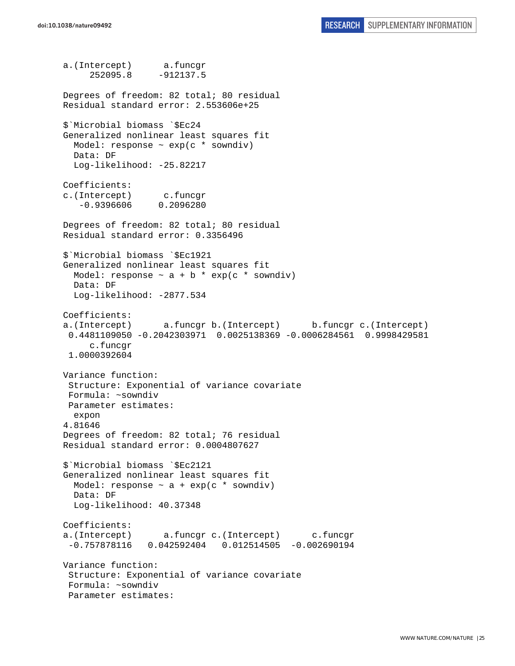a.(Intercept) a.funcgr 252095.8 -912137.5 Degrees of freedom: 82 total; 80 residual Residual standard error: 2.553606e+25 \$`Microbial biomass `\$Ec24 Generalized nonlinear least squares fit Model: response  $\sim$  exp(c  $*$  sowndiv) Data: DF Log-likelihood: -25.82217 Coefficients: c.(Intercept) c.funcgr -0.9396606 0.2096280 Degrees of freedom: 82 total; 80 residual Residual standard error: 0.3356496 \$`Microbial biomass `\$Ec1921 Generalized nonlinear least squares fit Model: response  $\sim$  a + b \* exp(c \* sowndiv) Data: DF Log-likelihood: -2877.534 Coefficients: a.(Intercept) a.funcgr b.(Intercept) b.funcgr c.(Intercept) 0.4481109050 -0.2042303971 0.0025138369 -0.0006284561 0.9998429581 c.funcgr 1.0000392604 Variance function: Structure: Exponential of variance covariate Formula: ~sowndiv Parameter estimates: expon 4.81646 Degrees of freedom: 82 total; 76 residual Residual standard error: 0.0004807627 \$`Microbial biomass `\$Ec2121 Generalized nonlinear least squares fit Model: response  $\sim$  a + exp(c \* sowndiv) Data: DF Log-likelihood: 40.37348 Coefficients: a.(Intercept) a.funcgr c.(Intercept) c.funcgr -0.757878116 0.042592404 0.012514505 -0.002690194 Variance function: Structure: Exponential of variance covariate Formula: ~sowndiv Parameter estimates: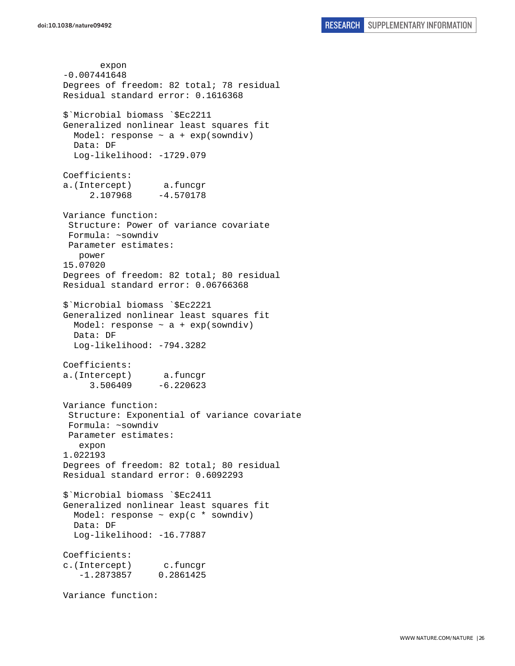expon -0.007441648 Degrees of freedom: 82 total; 78 residual Residual standard error: 0.1616368 \$`Microbial biomass `\$Ec2211 Generalized nonlinear least squares fit Model: response  $\sim$  a + exp(sowndiv) Data: DF Log-likelihood: -1729.079 Coefficients: a.(Intercept) a.funcgr 2.107968 -4.570178 Variance function: Structure: Power of variance covariate Formula: ~sowndiv Parameter estimates: power 15.07020 Degrees of freedom: 82 total; 80 residual Residual standard error: 0.06766368 \$`Microbial biomass `\$Ec2221 Generalized nonlinear least squares fit Model: response  $\sim$  a + exp(sowndiv) Data: DF Log-likelihood: -794.3282 Coefficients: a.(Intercept) a.funcgr 3.506409 -6.220623 Variance function: Structure: Exponential of variance covariate Formula: ~sowndiv Parameter estimates: expon 1.022193 Degrees of freedom: 82 total; 80 residual Residual standard error: 0.6092293 \$`Microbial biomass `\$Ec2411 Generalized nonlinear least squares fit Model: response ~ exp(c \* sowndiv) Data: DF Log-likelihood: -16.77887 Coefficients: c.(Intercept) c.funcgr -1.2873857 0.2861425 Variance function: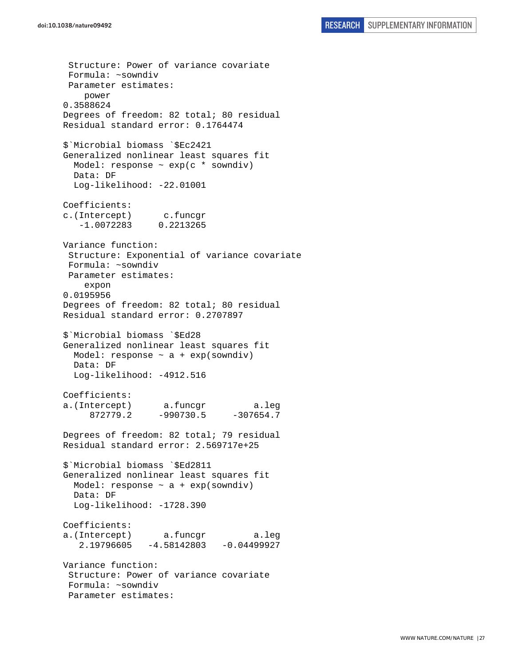Structure: Power of variance covariate Formula: ~sowndiv Parameter estimates: power 0.3588624 Degrees of freedom: 82 total; 80 residual Residual standard error: 0.1764474 \$`Microbial biomass `\$Ec2421 Generalized nonlinear least squares fit Model: response  $\sim$  exp(c  $*$  sowndiv) Data: DF Log-likelihood: -22.01001 Coefficients: c.(Intercept) c.funcgr -1.0072283 0.2213265 Variance function: Structure: Exponential of variance covariate Formula: ~sowndiv Parameter estimates: expon 0.0195956 Degrees of freedom: 82 total; 80 residual Residual standard error: 0.2707897 \$`Microbial biomass `\$Ed28 Generalized nonlinear least squares fit Model: response  $\sim$  a + exp(sowndiv) Data: DF Log-likelihood: -4912.516 Coefficients: a.(Intercept) a.funcgr a.leg 872779.2 -990730.5 -307654.7 Degrees of freedom: 82 total; 79 residual Residual standard error: 2.569717e+25 \$`Microbial biomass `\$Ed2811 Generalized nonlinear least squares fit Model: response  $\sim$  a + exp(sowndiv) Data: DF Log-likelihood: -1728.390 Coefficients: a.(Intercept) a.funcgr a.leg 2.19796605 -4.58142803 -0.04499927 Variance function: Structure: Power of variance covariate Formula: ~sowndiv Parameter estimates: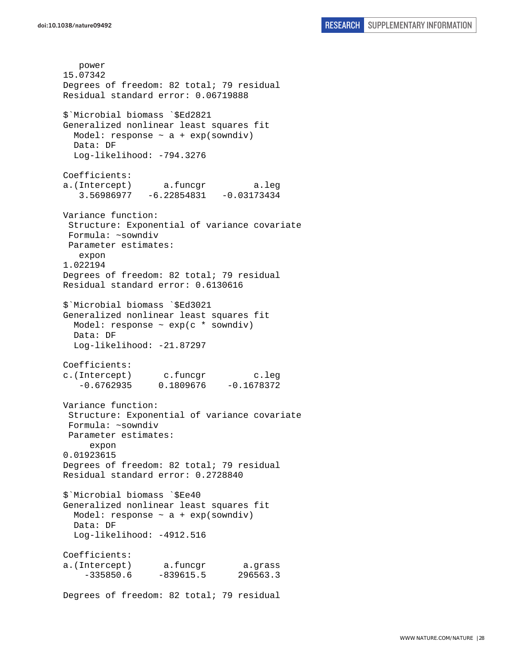power 15.07342 Degrees of freedom: 82 total; 79 residual Residual standard error: 0.06719888 \$`Microbial biomass `\$Ed2821 Generalized nonlinear least squares fit Model: response  $\sim$  a + exp(sowndiv) Data: DF Log-likelihood: -794.3276 Coefficients: a.(Intercept) a.funcgr a.leg 3.56986977 -6.22854831 -0.03173434 Variance function: Structure: Exponential of variance covariate Formula: ~sowndiv Parameter estimates: expon 1.022194 Degrees of freedom: 82 total; 79 residual Residual standard error: 0.6130616 \$`Microbial biomass `\$Ed3021 Generalized nonlinear least squares fit Model: response  $\sim$  exp(c  $*$  sowndiv) Data: DF Log-likelihood: -21.87297 Coefficients: c.(Intercept) c.funcgr c.leg  $-0.6762935$   $0.1809676$   $-0.1678372$ Variance function: Structure: Exponential of variance covariate Formula: ~sowndiv Parameter estimates: expon 0.01923615 Degrees of freedom: 82 total; 79 residual Residual standard error: 0.2728840 \$`Microbial biomass `\$Ee40 Generalized nonlinear least squares fit Model: response ~ a + exp(sowndiv) Data: DF Log-likelihood: -4912.516 Coefficients: a.(Intercept) a.funcgr a.grass -335850.6 -839615.5 296563.3 Degrees of freedom: 82 total; 79 residual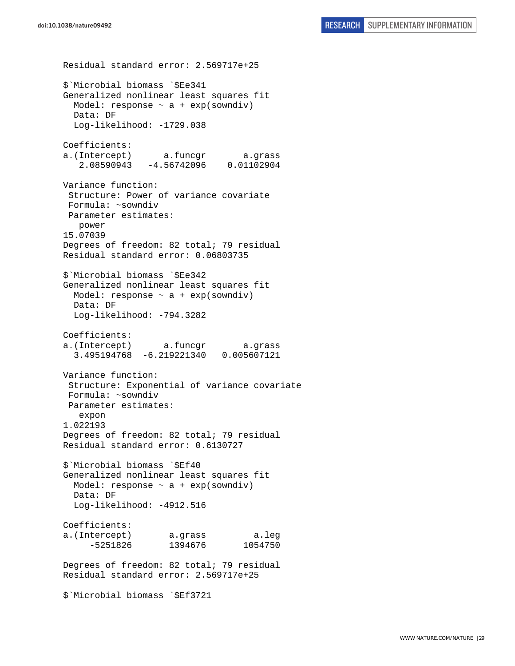Residual standard error: 2.569717e+25 \$`Microbial biomass `\$Ee341 Generalized nonlinear least squares fit Model: response  $\sim$  a + exp(sowndiv) Data: DF Log-likelihood: -1729.038 Coefficients: a.(Intercept) a.funcgr a.grass 2.08590943 -4.56742096 0.01102904 Variance function: Structure: Power of variance covariate Formula: ~sowndiv Parameter estimates: power 15.07039 Degrees of freedom: 82 total; 79 residual Residual standard error: 0.06803735 \$`Microbial biomass `\$Ee342 Generalized nonlinear least squares fit Model: response  $\sim$  a + exp(sowndiv) Data: DF Log-likelihood: -794.3282 Coefficients: a.(Intercept) a.funcgr a.grass 3.495194768 -6.219221340 0.005607121 Variance function: Structure: Exponential of variance covariate Formula: ~sowndiv Parameter estimates: expon 1.022193 Degrees of freedom: 82 total; 79 residual Residual standard error: 0.6130727 \$`Microbial biomass `\$Ef40 Generalized nonlinear least squares fit Model: response  $\sim$  a + exp(sowndiv) Data: DF Log-likelihood: -4912.516 Coefficients: a.(Intercept) a.grass a.leg -5251826 1394676 1054750 Degrees of freedom: 82 total; 79 residual Residual standard error: 2.569717e+25 \$`Microbial biomass `\$Ef3721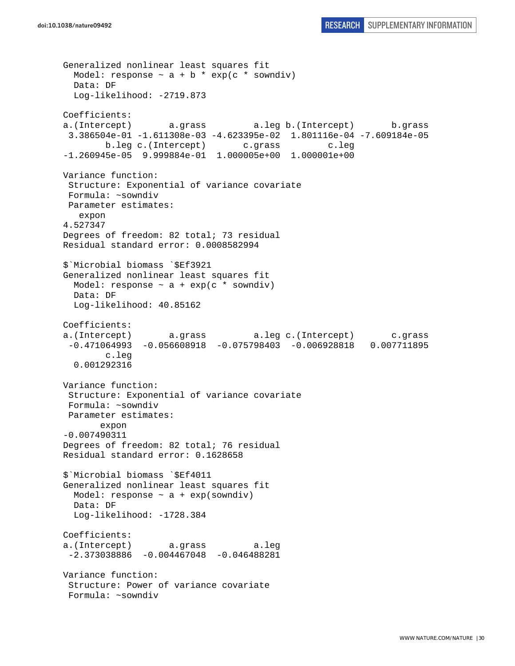```
Generalized nonlinear least squares fit 
 Model: response \sim a + b * exp(c * sowndiv)
  Data: DF 
   Log-likelihood: -2719.873 
Coefficients: 
a.(Intercept) a.grass a.leg b.(Intercept) b.grass 
  3.386504e-01 -1.611308e-03 -4.623395e-02 1.801116e-04 -7.609184e-05 
         b.leg c.(Intercept) c.grass c.leg 
-1.260945e-05 9.999884e-01 1.000005e+00 1.000001e+00 
Variance function: 
 Structure: Exponential of variance covariate 
 Formula: ~sowndiv 
 Parameter estimates: 
    expon 
4.527347 
Degrees of freedom: 82 total; 73 residual 
Residual standard error: 0.0008582994 
$`Microbial biomass `$Ef3921 
Generalized nonlinear least squares fit 
 Model: response \sim a + exp(c * sowndiv)
  Data: DF 
   Log-likelihood: 40.85162 
Coefficients: 
a.(Intercept) a.grass a.leg c.(Intercept) c.grass 
  -0.471064993 -0.056608918 -0.075798403 -0.006928818 0.007711895 
         c.leg 
   0.001292316 
Variance function: 
  Structure: Exponential of variance covariate 
 Formula: ~sowndiv 
 Parameter estimates: 
        expon 
-0.007490311 
Degrees of freedom: 82 total; 76 residual 
Residual standard error: 0.1628658 
$`Microbial biomass `$Ef4011 
Generalized nonlinear least squares fit 
 Model: response \sim a + exp(sowndiv)
   Data: DF 
   Log-likelihood: -1728.384 
Coefficients: 
a.(Intercept) a.grass a.leg 
 -2.373038886 -0.004467048 -0.046488281 
Variance function: 
  Structure: Power of variance covariate 
  Formula: ~sowndiv
```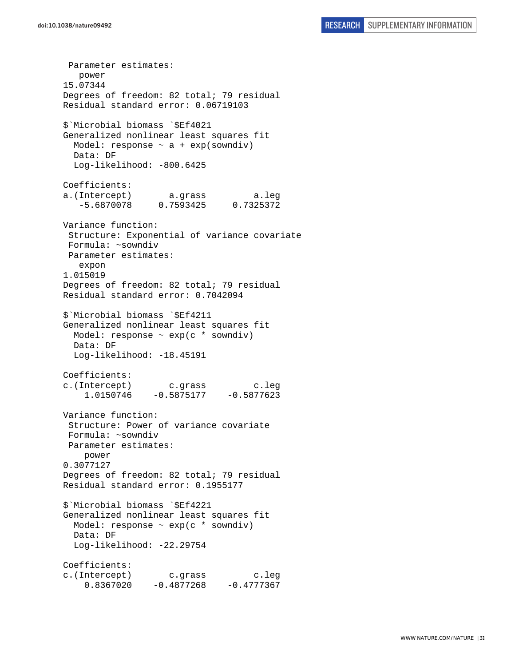Parameter estimates: power 15.07344 Degrees of freedom: 82 total; 79 residual Residual standard error: 0.06719103 \$`Microbial biomass `\$Ef4021 Generalized nonlinear least squares fit Model: response  $\sim$  a + exp(sowndiv) Data: DF Log-likelihood: -800.6425 Coefficients: a.(Intercept) a.grass a.leg -5.6870078 0.7593425 0.7325372 Variance function: Structure: Exponential of variance covariate Formula: ~sowndiv Parameter estimates: expon 1.015019 Degrees of freedom: 82 total; 79 residual Residual standard error: 0.7042094 \$`Microbial biomass `\$Ef4211 Generalized nonlinear least squares fit Model: response ~ exp(c \* sowndiv) Data: DF Log-likelihood: -18.45191 Coefficients: c.(Intercept) c.grass c.leg 1.0150746 -0.5875177 -0.5877623 Variance function: Structure: Power of variance covariate Formula: ~sowndiv Parameter estimates: power 0.3077127 Degrees of freedom: 82 total; 79 residual Residual standard error: 0.1955177 \$`Microbial biomass `\$Ef4221 Generalized nonlinear least squares fit Model: response  $\sim$  exp(c  $*$  sowndiv) Data: DF Log-likelihood: -22.29754 Coefficients: c.(Intercept) c.grass c.leg  $0.8367020 -0.4877268 -0.4777367$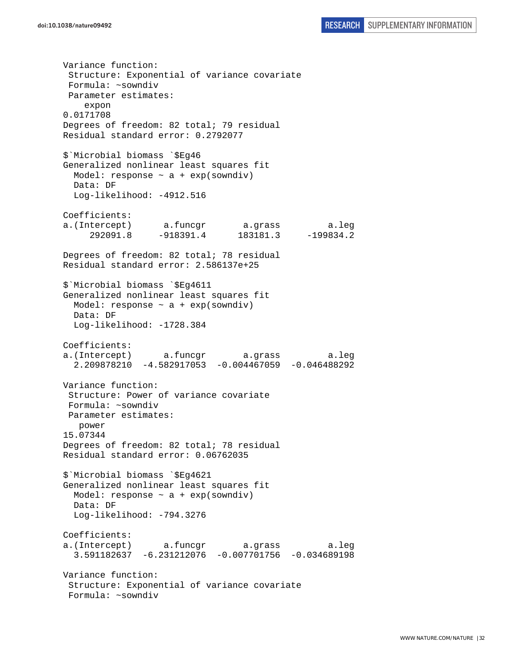Variance function: Structure: Exponential of variance covariate Formula: ~sowndiv Parameter estimates: expon 0.0171708 Degrees of freedom: 82 total; 79 residual Residual standard error: 0.2792077 \$`Microbial biomass `\$Eg46 Generalized nonlinear least squares fit Model: response  $\sim$  a + exp(sowndiv) Data: DF Log-likelihood: -4912.516 Coefficients: a.(Intercept) a.funcgr a.grass a.leg 292091.8 -918391.4 183181.3 -199834.2 Degrees of freedom: 82 total; 78 residual Residual standard error: 2.586137e+25 \$`Microbial biomass `\$Eg4611 Generalized nonlinear least squares fit Model: response  $\sim$  a + exp(sowndiv) Data: DF Log-likelihood: -1728.384 Coefficients: a.(Intercept) a.funcgr a.grass a.leg 2.209878210 -4.582917053 -0.004467059 -0.046488292 Variance function: Structure: Power of variance covariate Formula: ~sowndiv Parameter estimates: power 15.07344 Degrees of freedom: 82 total; 78 residual Residual standard error: 0.06762035 \$`Microbial biomass `\$Eg4621 Generalized nonlinear least squares fit Model: response  $\sim$  a + exp(sowndiv) Data: DF Log-likelihood: -794.3276 Coefficients: a.(Intercept) a.funcgr a.grass a.leg 3.591182637 -6.231212076 -0.007701756 -0.034689198 Variance function: Structure: Exponential of variance covariate Formula: ~sowndiv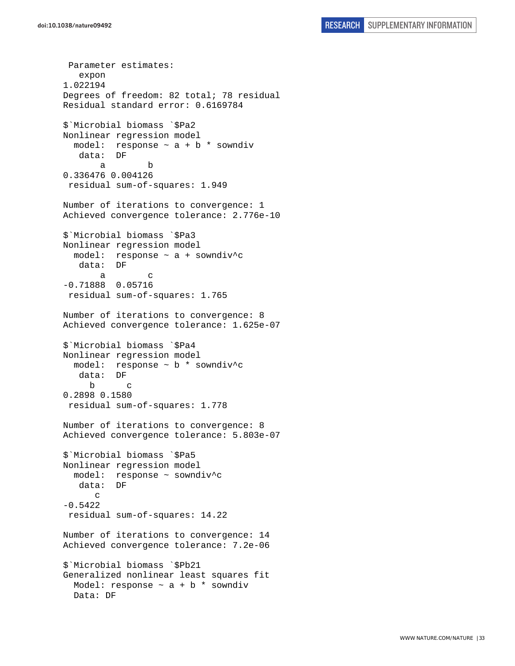Parameter estimates: expon 1.022194 Degrees of freedom: 82 total; 78 residual Residual standard error: 0.6169784 \$`Microbial biomass `\$Pa2 Nonlinear regression model model: response ~ a + b \* sowndiv data: DF a b 0.336476 0.004126 residual sum-of-squares: 1.949 Number of iterations to convergence: 1 Achieved convergence tolerance: 2.776e-10 \$`Microbial biomass `\$Pa3 Nonlinear regression model model: response  $\sim$  a + sowndiv<sup>^</sup>c data: DF a c -0.71888 0.05716 residual sum-of-squares: 1.765 Number of iterations to convergence: 8 Achieved convergence tolerance: 1.625e-07 \$`Microbial biomass `\$Pa4 Nonlinear regression model model: response ~ b \* sowndiv^c data: DF b c 0.2898 0.1580 residual sum-of-squares: 1.778 Number of iterations to convergence: 8 Achieved convergence tolerance: 5.803e-07 \$`Microbial biomass `\$Pa5 Nonlinear regression model model: response ~ sowndiv^c data: DF c -0.5422 residual sum-of-squares: 14.22 Number of iterations to convergence: 14 Achieved convergence tolerance: 7.2e-06 \$`Microbial biomass `\$Pb21 Generalized nonlinear least squares fit Model: response  $\sim$  a + b  $*$  sowndiv Data: DF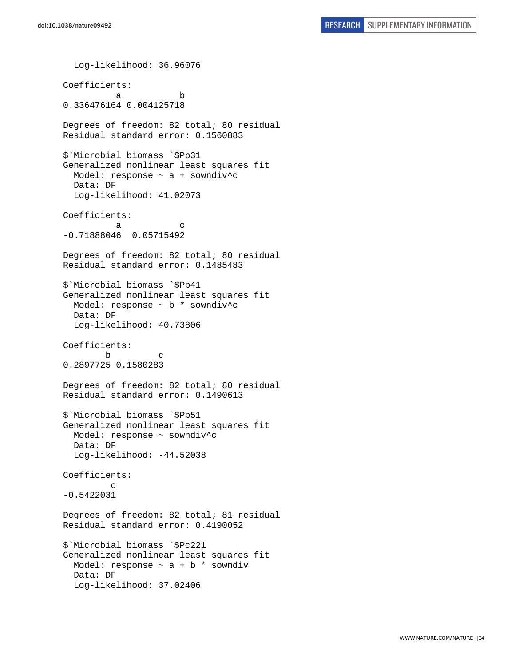Log-likelihood: 36.96076 Coefficients: a b 0.336476164 0.004125718 Degrees of freedom: 82 total; 80 residual Residual standard error: 0.1560883 \$`Microbial biomass `\$Pb31 Generalized nonlinear least squares fit Model: response  $\sim$  a + sowndiv<sup>^</sup>c Data: DF Log-likelihood: 41.02073 Coefficients: a c -0.71888046 0.05715492 Degrees of freedom: 82 total; 80 residual Residual standard error: 0.1485483 \$`Microbial biomass `\$Pb41 Generalized nonlinear least squares fit Model: response ~ b \* sowndiv^c Data: DF Log-likelihood: 40.73806 Coefficients: b c 0.2897725 0.1580283 Degrees of freedom: 82 total; 80 residual Residual standard error: 0.1490613 \$`Microbial biomass `\$Pb51 Generalized nonlinear least squares fit Model: response ~ sowndiv^c Data: DF Log-likelihood: -44.52038 Coefficients: c -0.5422031 Degrees of freedom: 82 total; 81 residual Residual standard error: 0.4190052 \$`Microbial biomass `\$Pc221 Generalized nonlinear least squares fit Model: response  $\sim$  a + b  $*$  sowndiv Data: DF Log-likelihood: 37.02406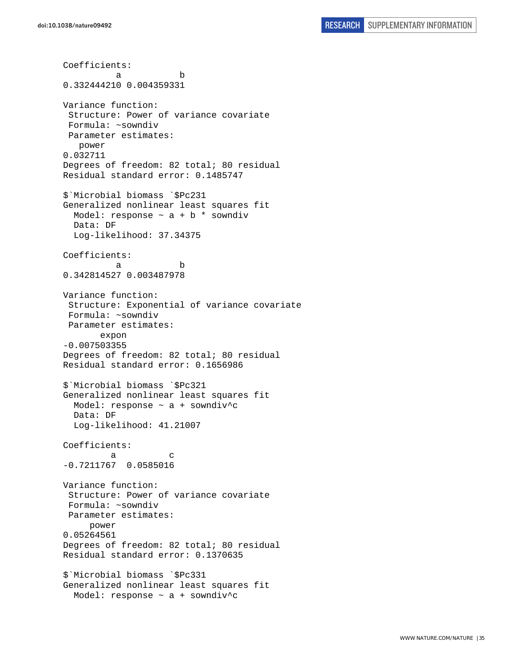Coefficients: a b 0.332444210 0.004359331 Variance function: Structure: Power of variance covariate Formula: ~sowndiv Parameter estimates: power 0.032711 Degrees of freedom: 82 total; 80 residual Residual standard error: 0.1485747 \$`Microbial biomass `\$Pc231 Generalized nonlinear least squares fit Model: response  $\sim$  a + b  $*$  sowndiv Data: DF Log-likelihood: 37.34375 Coefficients: a b 0.342814527 0.003487978 Variance function: Structure: Exponential of variance covariate Formula: ~sowndiv Parameter estimates: expon -0.007503355 Degrees of freedom: 82 total; 80 residual Residual standard error: 0.1656986 \$`Microbial biomass `\$Pc321 Generalized nonlinear least squares fit Model: response  $\sim$  a + sowndiv<sup>^</sup>c Data: DF Log-likelihood: 41.21007 Coefficients: a c -0.7211767 0.0585016 Variance function: Structure: Power of variance covariate Formula: ~sowndiv Parameter estimates: power 0.05264561 Degrees of freedom: 82 total; 80 residual Residual standard error: 0.1370635 \$`Microbial biomass `\$Pc331 Generalized nonlinear least squares fit Model: response ~ a + sowndiv^c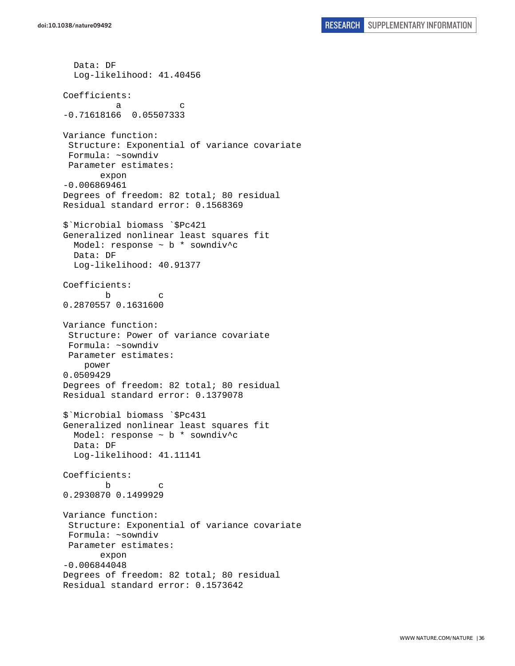```
 Data: DF 
   Log-likelihood: 41.40456 
Coefficients: 
a c
-0.71618166 0.05507333 
Variance function: 
  Structure: Exponential of variance covariate 
 Formula: ~sowndiv 
 Parameter estimates: 
        expon 
-0.006869461 
Degrees of freedom: 82 total; 80 residual 
Residual standard error: 0.1568369 
$`Microbial biomass `$Pc421 
Generalized nonlinear least squares fit 
  Model: response ~ b * sowndiv^c 
  Data: DF 
   Log-likelihood: 40.91377 
Coefficients: 
 b c 
0.2870557 0.1631600 
Variance function: 
  Structure: Power of variance covariate 
 Formula: ~sowndiv 
 Parameter estimates: 
     power 
0.0509429 
Degrees of freedom: 82 total; 80 residual 
Residual standard error: 0.1379078 
$`Microbial biomass `$Pc431 
Generalized nonlinear least squares fit 
  Model: response ~ b * sowndiv^c 
  Data: DF 
  Log-likelihood: 41.11141 
Coefficients: 
 b c 
0.2930870 0.1499929 
Variance function: 
  Structure: Exponential of variance covariate 
 Formula: ~sowndiv 
 Parameter estimates: 
        expon 
-0.006844048 
Degrees of freedom: 82 total; 80 residual 
Residual standard error: 0.1573642
```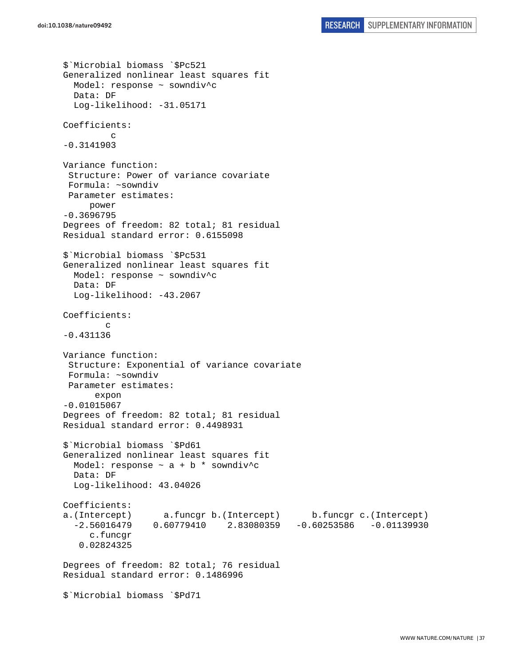```
$`Microbial biomass `$Pc521 
Generalized nonlinear least squares fit 
  Model: response ~ sowndiv^c 
  Data: DF 
  Log-likelihood: -31.05171 
Coefficients: 
 c 
-0.3141903 
Variance function: 
 Structure: Power of variance covariate 
 Formula: ~sowndiv 
 Parameter estimates: 
      power 
-0.3696795 
Degrees of freedom: 82 total; 81 residual 
Residual standard error: 0.6155098 
$`Microbial biomass `$Pc531 
Generalized nonlinear least squares fit 
  Model: response ~ sowndiv^c 
  Data: DF 
  Log-likelihood: -43.2067 
Coefficients: 
 c 
-0.431136 
Variance function: 
  Structure: Exponential of variance covariate 
 Formula: ~sowndiv 
 Parameter estimates: 
       expon 
-0.01015067 
Degrees of freedom: 82 total; 81 residual 
Residual standard error: 0.4498931 
$`Microbial biomass `$Pd61 
Generalized nonlinear least squares fit 
  Model: response \sim a + b * sowndiv^c
   Data: DF 
   Log-likelihood: 43.04026 
Coefficients: 
a.(Intercept) a.funcgr b.(Intercept) b.funcgr c.(Intercept) 
   -2.56016479 0.60779410 2.83080359 -0.60253586 -0.01139930 
      c.funcgr 
    0.02824325 
Degrees of freedom: 82 total; 76 residual 
Residual standard error: 0.1486996 
$`Microbial biomass `$Pd71
```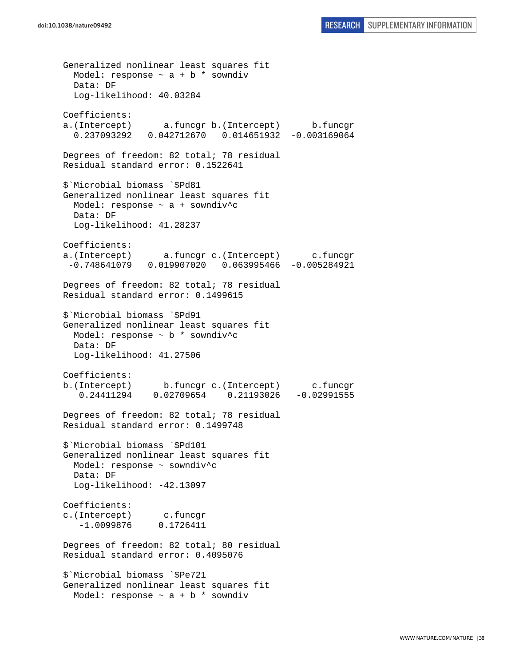Generalized nonlinear least squares fit Model: response  $\sim$  a + b \* sowndiv Data: DF Log-likelihood: 40.03284 Coefficients: a.(Intercept) a.funcgr b.(Intercept) b.funcgr 0.237093292 0.042712670 0.014651932 -0.003169064 Degrees of freedom: 82 total; 78 residual Residual standard error: 0.1522641 \$`Microbial biomass `\$Pd81 Generalized nonlinear least squares fit Model: response ~ a + sowndiv^c Data: DF Log-likelihood: 41.28237 Coefficients: a.(Intercept) a.funcgr c.(Intercept) c.funcgr -0.748641079 0.019907020 0.063995466 -0.005284921 Degrees of freedom: 82 total; 78 residual Residual standard error: 0.1499615 \$`Microbial biomass `\$Pd91 Generalized nonlinear least squares fit Model: response ~ b \* sowndiv^c Data: DF Log-likelihood: 41.27506 Coefficients: b.(Intercept) b.funcgr c.(Intercept) c.funcgr 0.24411294 0.02709654 0.21193026 -0.02991555 Degrees of freedom: 82 total; 78 residual Residual standard error: 0.1499748 \$`Microbial biomass `\$Pd101 Generalized nonlinear least squares fit Model: response ~ sowndiv^c Data: DF Log-likelihood: -42.13097 Coefficients: c.(Intercept) c.funcgr -1.0099876 0.1726411 Degrees of freedom: 82 total; 80 residual Residual standard error: 0.4095076 \$`Microbial biomass `\$Pe721 Generalized nonlinear least squares fit Model: response  $\sim$  a + b \* sowndiv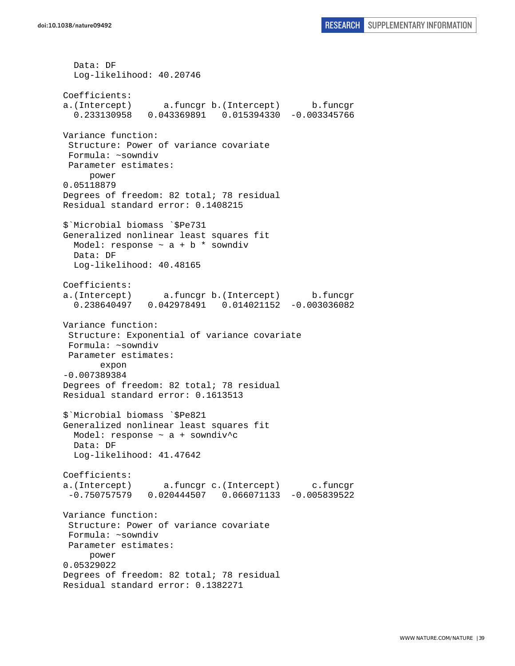Data: DF Log-likelihood: 40.20746 Coefficients: a.(Intercept) a.funcgr b.(Intercept) b.funcgr 0.233130958 0.043369891 0.015394330 -0.003345766 Variance function: Structure: Power of variance covariate Formula: ~sowndiv Parameter estimates: power 0.05118879 Degrees of freedom: 82 total; 78 residual Residual standard error: 0.1408215 \$`Microbial biomass `\$Pe731 Generalized nonlinear least squares fit Model: response  $\sim$  a + b \* sowndiv Data: DF Log-likelihood: 40.48165 Coefficients: a.(Intercept) a.funcgr b.(Intercept) b.funcgr 0.238640497 0.042978491 0.014021152 -0.003036082 Variance function: Structure: Exponential of variance covariate Formula: ~sowndiv Parameter estimates: expon -0.007389384 Degrees of freedom: 82 total; 78 residual Residual standard error: 0.1613513 \$`Microbial biomass `\$Pe821 Generalized nonlinear least squares fit Model: response  $\sim$  a + sowndiv<sup>^</sup>c Data: DF Log-likelihood: 41.47642 Coefficients: a.(Intercept) a.funcgr c.(Intercept) c.funcgr -0.750757579 0.020444507 0.066071133 -0.005839522 Variance function: Structure: Power of variance covariate Formula: ~sowndiv Parameter estimates: power 0.05329022 Degrees of freedom: 82 total; 78 residual Residual standard error: 0.1382271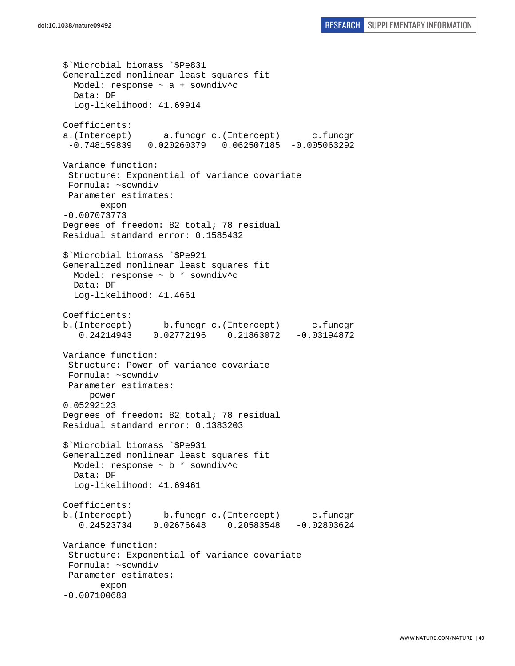```
$`Microbial biomass `$Pe831 
Generalized nonlinear least squares fit 
  Model: response ~ a + sowndiv^c 
  Data: DF 
  Log-likelihood: 41.69914 
Coefficients: 
a.(Intercept) a.funcgr c.(Intercept) c.funcgr 
  -0.748159839 0.020260379 0.062507185 -0.005063292 
Variance function: 
 Structure: Exponential of variance covariate 
 Formula: ~sowndiv 
 Parameter estimates: 
        expon 
-0.007073773 
Degrees of freedom: 82 total; 78 residual 
Residual standard error: 0.1585432 
$`Microbial biomass `$Pe921 
Generalized nonlinear least squares fit 
  Model: response ~ b * sowndiv^c 
  Data: DF 
  Log-likelihood: 41.4661 
Coefficients: 
b.(Intercept) b.funcgr c.(Intercept) c.funcgr 
    0.24214943 0.02772196 0.21863072 -0.03194872 
Variance function: 
  Structure: Power of variance covariate 
 Formula: ~sowndiv 
 Parameter estimates: 
      power 
0.05292123 
Degrees of freedom: 82 total; 78 residual 
Residual standard error: 0.1383203 
$`Microbial biomass `$Pe931 
Generalized nonlinear least squares fit 
  Model: response ~ b * sowndiv^c 
   Data: DF 
   Log-likelihood: 41.69461 
Coefficients: 
b.(Intercept) b.funcgr c.(Intercept) c.funcgr 
    0.24523734 0.02676648 0.20583548 -0.02803624 
Variance function: 
  Structure: Exponential of variance covariate 
 Formula: ~sowndiv 
 Parameter estimates: 
        expon 
-0.007100683
```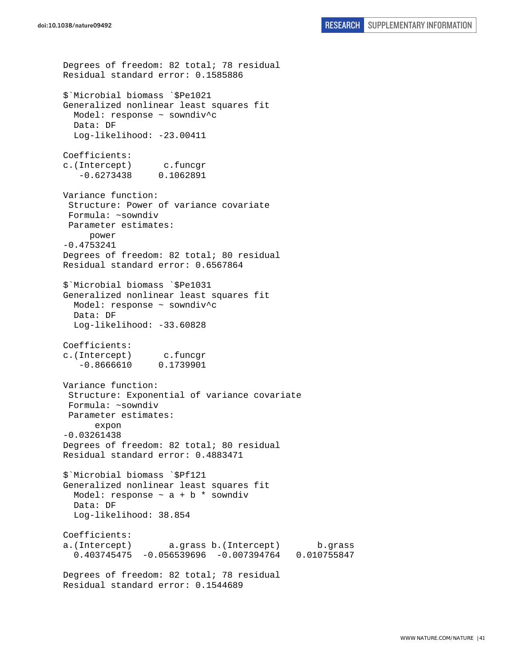Degrees of freedom: 82 total; 78 residual Residual standard error: 0.1585886 \$`Microbial biomass `\$Pe1021 Generalized nonlinear least squares fit Model: response ~ sowndiv^c Data: DF Log-likelihood: -23.00411 Coefficients: c.(Intercept) c.funcgr -0.6273438 0.1062891 Variance function: Structure: Power of variance covariate Formula: ~sowndiv Parameter estimates: power -0.4753241 Degrees of freedom: 82 total; 80 residual Residual standard error: 0.6567864 \$`Microbial biomass `\$Pe1031 Generalized nonlinear least squares fit Model: response ~ sowndiv^c Data: DF Log-likelihood: -33.60828 Coefficients: c.(Intercept) c.funcgr -0.8666610 0.1739901 Variance function: Structure: Exponential of variance covariate Formula: ~sowndiv Parameter estimates: expon -0.03261438 Degrees of freedom: 82 total; 80 residual Residual standard error: 0.4883471 \$`Microbial biomass `\$Pf121 Generalized nonlinear least squares fit Model: response  $\sim$  a + b  $*$  sowndiv Data: DF Log-likelihood: 38.854 Coefficients: a.(Intercept) a.grass b.(Intercept) b.grass 0.403745475 -0.056539696 -0.007394764 0.010755847 Degrees of freedom: 82 total; 78 residual Residual standard error: 0.1544689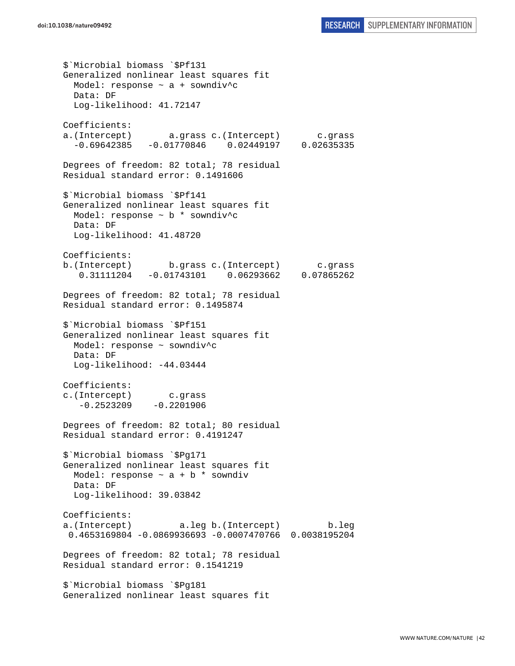\$`Microbial biomass `\$Pf131 Generalized nonlinear least squares fit Model: response  $\sim$  a + sowndiv<sup>^</sup>c Data: DF Log-likelihood: 41.72147 Coefficients: a.(Intercept) a.grass c.(Intercept) c.grass -0.69642385 -0.01770846 0.02449197 0.02635335 Degrees of freedom: 82 total; 78 residual Residual standard error: 0.1491606 \$`Microbial biomass `\$Pf141 Generalized nonlinear least squares fit Model: response ~ b \* sowndiv^c Data: DF Log-likelihood: 41.48720 Coefficients: b.(Intercept) b.grass c.(Intercept) c.grass 0.31111204 -0.01743101 0.06293662 0.07865262 Degrees of freedom: 82 total; 78 residual Residual standard error: 0.1495874 \$`Microbial biomass `\$Pf151 Generalized nonlinear least squares fit Model: response ~ sowndiv^c Data: DF Log-likelihood: -44.03444 Coefficients: c.(Intercept) c.grass  $-0.2523209 -0.2201906$ Degrees of freedom: 82 total; 80 residual Residual standard error: 0.4191247 \$`Microbial biomass `\$Pg171 Generalized nonlinear least squares fit Model: response  $\sim$  a + b  $*$  sowndiv Data: DF Log-likelihood: 39.03842 Coefficients: a.(Intercept) a.leg b.(Intercept) b.leg 0.4653169804 -0.0869936693 -0.0007470766 0.0038195204 Degrees of freedom: 82 total; 78 residual Residual standard error: 0.1541219 \$`Microbial biomass `\$Pg181 Generalized nonlinear least squares fit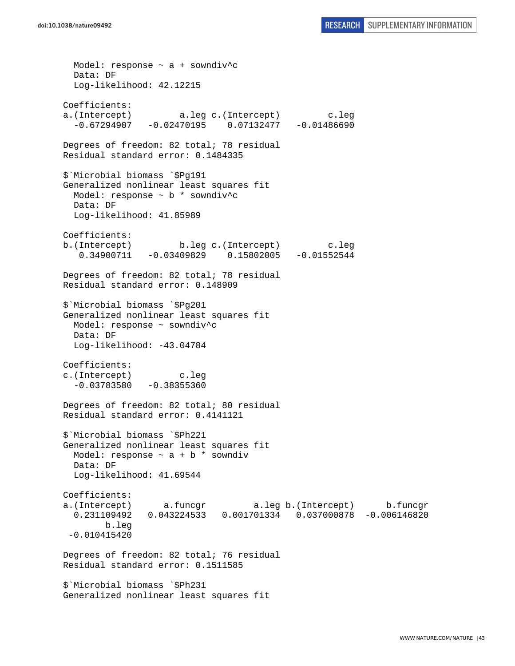Model: response ~ a + sowndiv^c Data: DF Log-likelihood: 42.12215 Coefficients: a.(Intercept) a.leg c.(Intercept) c.leg<br>-0.67294907 -0.02470195 0.07132477 -0.01486690  $-0.67294907 -0.02470195$ Degrees of freedom: 82 total; 78 residual Residual standard error: 0.1484335 \$`Microbial biomass `\$Pg191 Generalized nonlinear least squares fit Model: response ~ b \* sowndiv^c Data: DF Log-likelihood: 41.85989 Coefficients: b.(Intercept) b.leg c.(Intercept) c.leg 0.34900711 -0.03409829 0.15802005 -0.01552544 Degrees of freedom: 82 total; 78 residual Residual standard error: 0.148909 \$`Microbial biomass `\$Pg201 Generalized nonlinear least squares fit Model: response ~ sowndiv^c Data: DF Log-likelihood: -43.04784 Coefficients: c.(Intercept) c.leg  $-0.03783580 -0.38355360$ Degrees of freedom: 82 total; 80 residual Residual standard error: 0.4141121 \$`Microbial biomass `\$Ph221 Generalized nonlinear least squares fit Model: response  $\sim$  a + b  $*$  sowndiv Data: DF Log-likelihood: 41.69544 Coefficients: a.(Intercept) a.funcgr a.leg b.(Intercept) b.funcgr 0.231109492 0.043224533 0.001701334 0.037000878 -0.006146820 b.leg -0.010415420 Degrees of freedom: 82 total; 76 residual Residual standard error: 0.1511585 \$`Microbial biomass `\$Ph231 Generalized nonlinear least squares fit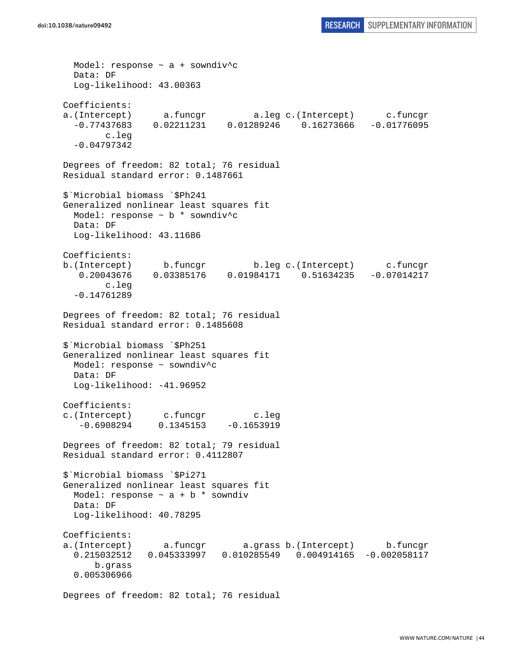Model: response ~ a + sowndiv^c Data: DF Log-likelihood: 43.00363 Coefficients: a.(Intercept) a.funcgr a.leg c.(Intercept) c.funcgr  $-0.77437683$   $0.02211231$   $0.01289246$   $0.16273666$  c.leg -0.04797342 Degrees of freedom: 82 total; 76 residual Residual standard error: 0.1487661 \$`Microbial biomass `\$Ph241 Generalized nonlinear least squares fit Model: response ~ b \* sowndiv^c Data: DF Log-likelihood: 43.11686 Coefficients: b.(Intercept) b.funcgr b.leg c.(Intercept) c.funcgr 0.20043676 0.03385176 0.01984171 0.51634235 -0.07014217 c.leg -0.14761289 Degrees of freedom: 82 total; 76 residual Residual standard error: 0.1485608 \$`Microbial biomass `\$Ph251 Generalized nonlinear least squares fit Model: response ~ sowndiv^c Data: DF Log-likelihood: -41.96952 Coefficients: c.(Intercept) c.funcgr c.leg -0.6908294 0.1345153 -0.1653919 Degrees of freedom: 82 total; 79 residual Residual standard error: 0.4112807 \$`Microbial biomass `\$Pi271 Generalized nonlinear least squares fit Model: response  $\sim$  a + b  $*$  sowndiv Data: DF Log-likelihood: 40.78295 Coefficients: a.(Intercept) a.funcgr a.grass b.(Intercept) b.funcgr 0.215032512 0.045333997 0.010285549 0.004914165 -0.002058117 b.grass 0.005306966

Degrees of freedom: 82 total; 76 residual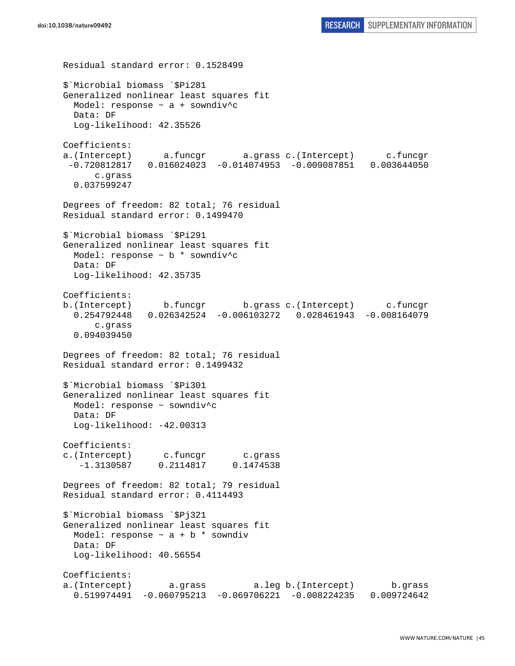Residual standard error: 0.1528499 \$`Microbial biomass `\$Pi281 Generalized nonlinear least squares fit Model: response ~ a + sowndiv^c Data: DF Log-likelihood: 42.35526 Coefficients: a.(Intercept) a.funcgr a.grass c.(Intercept) c.funcgr -0.720812817 0.016024023 -0.014074953 -0.009087851 0.003644050 c.grass 0.037599247 Degrees of freedom: 82 total; 76 residual Residual standard error: 0.1499470 \$`Microbial biomass `\$Pi291 Generalized nonlinear least squares fit Model: response  $\sim$  b  $*$  sowndiv<sup>^</sup>c Data: DF Log-likelihood: 42.35735 Coefficients: b.(Intercept) b.funcgr b.grass c.(Intercept) c.funcgr 0.254792448 0.026342524 -0.006103272 0.028461943 -0.008164079 c.grass 0.094039450 Degrees of freedom: 82 total; 76 residual Residual standard error: 0.1499432 \$`Microbial biomass `\$Pi301 Generalized nonlinear least squares fit Model: response ~ sowndiv^c Data: DF Log-likelihood: -42.00313 Coefficients: c.(Intercept) c.funcgr c.grass -1.3130587 0.2114817 0.1474538 Degrees of freedom: 82 total; 79 residual Residual standard error: 0.4114493 \$`Microbial biomass `\$Pj321 Generalized nonlinear least squares fit Model: response  $\sim$  a + b  $*$  sowndiv Data: DF Log-likelihood: 40.56554 Coefficients: a.(Intercept) a.grass a.leg b.(Intercept) b.grass 0.519974491 -0.060795213 -0.069706221 -0.008224235 0.009724642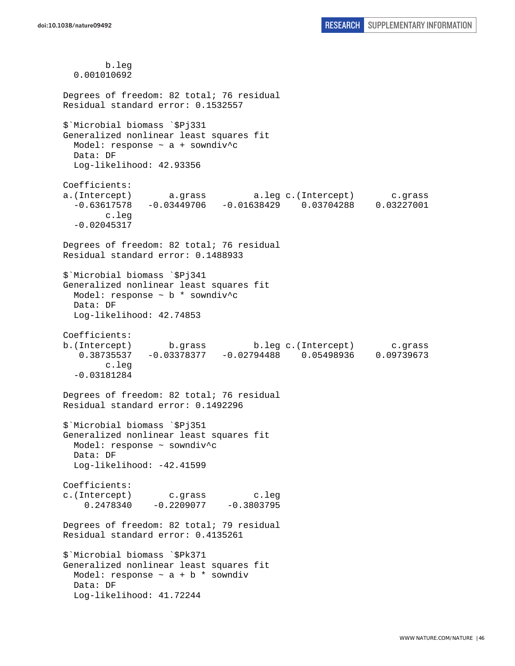b.leg 0.001010692 Degrees of freedom: 82 total; 76 residual Residual standard error: 0.1532557 \$`Microbial biomass `\$Pj331 Generalized nonlinear least squares fit Model: response ~ a + sowndiv^c Data: DF Log-likelihood: 42.93356 Coefficients: a.(Intercept) a.grass a.leg c.(Intercept) c.grass -0.63617578 -0.03449706 -0.01638429 0.03704288 0.03227001 c.leg -0.02045317 Degrees of freedom: 82 total; 76 residual Residual standard error: 0.1488933 \$`Microbial biomass `\$Pj341 Generalized nonlinear least squares fit Model: response ~ b \* sowndiv^c Data: DF Log-likelihood: 42.74853 Coefficients: b.(Intercept) b.grass b.leg c.(Intercept) c.grass 0.38735537 -0.03378377 -0.02794488 0.05498936 0.09739673 c.leg -0.03181284 Degrees of freedom: 82 total; 76 residual Residual standard error: 0.1492296 \$`Microbial biomass `\$Pj351 Generalized nonlinear least squares fit Model: response ~ sowndiv^c Data: DF Log-likelihood: -42.41599 Coefficients: c.(Intercept) c.grass c.leg  $0.2478340 -0.2209077 -0.3803795$ Degrees of freedom: 82 total; 79 residual Residual standard error: 0.4135261 \$`Microbial biomass `\$Pk371 Generalized nonlinear least squares fit Model: response  $\sim$  a + b  $*$  sowndiv Data: DF Log-likelihood: 41.72244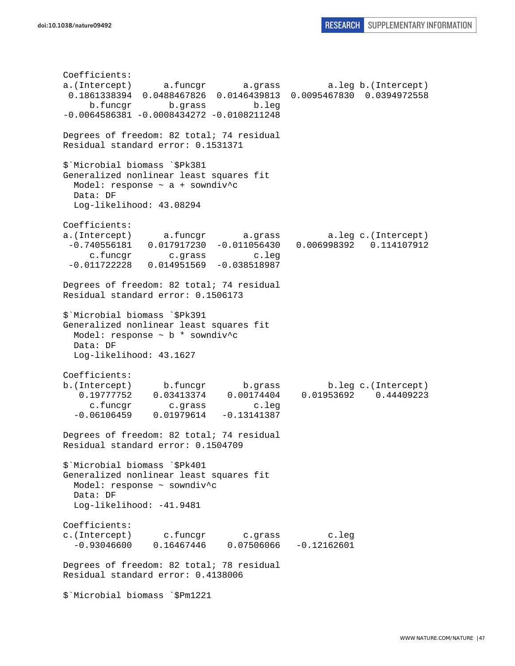Coefficients: a.(Intercept) a.funcgr a.grass a.leg b.(Intercept) 0.1861338394 0.0488467826 0.0146439813 0.0095467830 0.0394972558 b.funcgr b.grass b.leg  $-0.0064586381 - 0.0008434272 - 0.0108211248$ Degrees of freedom: 82 total; 74 residual Residual standard error: 0.1531371 \$`Microbial biomass `\$Pk381 Generalized nonlinear least squares fit Model: response ~ a + sowndiv^c Data: DF Log-likelihood: 43.08294 Coefficients: a.(Intercept) a.funcgr a.grass a.leg c.(Intercept) -0.740556181 0.017917230 -0.011056430 0.006998392 0.114107912 c.funcgr c.grass c.leg -0.011722228 0.014951569 -0.038518987 Degrees of freedom: 82 total; 74 residual Residual standard error: 0.1506173 \$`Microbial biomass `\$Pk391 Generalized nonlinear least squares fit Model: response ~ b \* sowndiv^c Data: DF Log-likelihood: 43.1627 Coefficients: b.(Intercept) b.funcgr b.grass b.leg c.(Intercept) 0.19777752 0.03413374 0.00174404 0.01953692 0.44409223 c.funcgr c.grass c.leg -0.06106459 0.01979614 -0.13141387 Degrees of freedom: 82 total; 74 residual Residual standard error: 0.1504709 \$`Microbial biomass `\$Pk401 Generalized nonlinear least squares fit Model: response ~ sowndiv^c Data: DF Log-likelihood: -41.9481 Coefficients: c.(Intercept) c.funcgr c.grass c.leg  $-0.93046600$   $0.16467446$   $0.07506066$   $-0.12162601$ Degrees of freedom: 82 total; 78 residual Residual standard error: 0.4138006 \$`Microbial biomass `\$Pm1221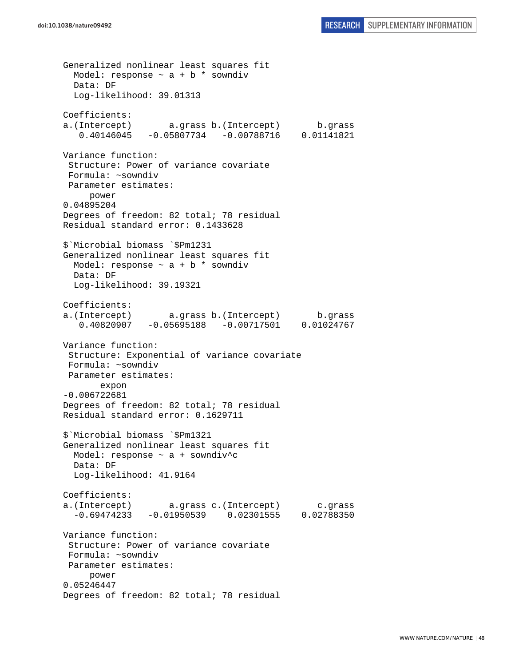Generalized nonlinear least squares fit Model: response  $\sim$  a + b \* sowndiv Data: DF Log-likelihood: 39.01313 Coefficients: a.(Intercept) a.grass b.(Intercept) b.grass 0.40146045 -0.05807734 -0.00788716 0.01141821 Variance function: Structure: Power of variance covariate Formula: ~sowndiv Parameter estimates: power 0.04895204 Degrees of freedom: 82 total; 78 residual Residual standard error: 0.1433628 \$`Microbial biomass `\$Pm1231 Generalized nonlinear least squares fit Model: response  $\sim$  a + b \* sowndiv Data: DF Log-likelihood: 39.19321 Coefficients: a.(Intercept) a.grass b.(Intercept) b.grass 0.40820907 -0.05695188 -0.00717501 0.01024767 Variance function: Structure: Exponential of variance covariate Formula: ~sowndiv Parameter estimates: expon -0.006722681 Degrees of freedom: 82 total; 78 residual Residual standard error: 0.1629711 \$`Microbial biomass `\$Pm1321 Generalized nonlinear least squares fit Model: response  $\sim$  a + sowndiv<sup>^</sup>c Data: DF Log-likelihood: 41.9164 Coefficients: a.(Intercept) a.grass c.(Intercept) c.grass -0.69474233 -0.01950539 0.02301555 0.02788350 Variance function: Structure: Power of variance covariate Formula: ~sowndiv Parameter estimates: power 0.05246447 Degrees of freedom: 82 total; 78 residual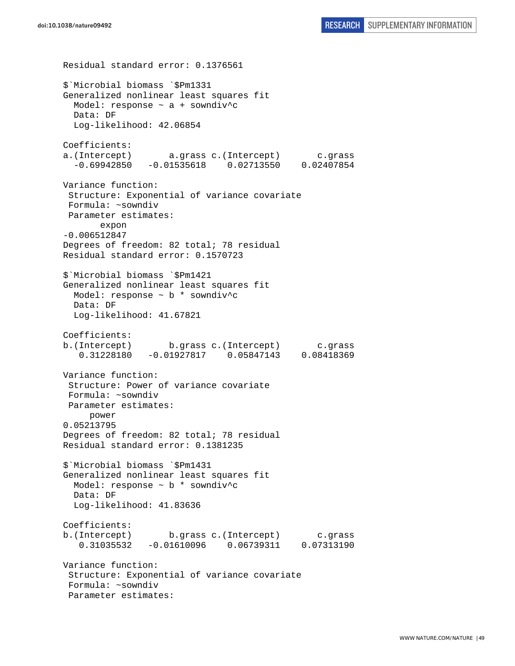Residual standard error: 0.1376561 \$`Microbial biomass `\$Pm1331 Generalized nonlinear least squares fit Model: response ~ a + sowndiv^c Data: DF Log-likelihood: 42.06854 Coefficients: a.(Intercept) a.grass c.(Intercept) c.grass -0.69942850 -0.01535618 0.02713550 0.02407854 Variance function: Structure: Exponential of variance covariate Formula: ~sowndiv Parameter estimates: expon -0.006512847 Degrees of freedom: 82 total; 78 residual Residual standard error: 0.1570723 \$`Microbial biomass `\$Pm1421 Generalized nonlinear least squares fit Model: response ~ b \* sowndiv^c Data: DF Log-likelihood: 41.67821 Coefficients: b.(Intercept) b.grass c.(Intercept) c.grass 0.31228180 -0.01927817 0.05847143 0.08418369 Variance function: Structure: Power of variance covariate Formula: ~sowndiv Parameter estimates: power 0.05213795 Degrees of freedom: 82 total; 78 residual Residual standard error: 0.1381235 \$`Microbial biomass `\$Pm1431 Generalized nonlinear least squares fit Model: response ~ b \* sowndiv^c Data: DF Log-likelihood: 41.83636 Coefficients: b.(Intercept) b.grass c.(Intercept) c.grass 0.31035532 -0.01610096 0.06739311 0.07313190 Variance function: Structure: Exponential of variance covariate Formula: ~sowndiv Parameter estimates: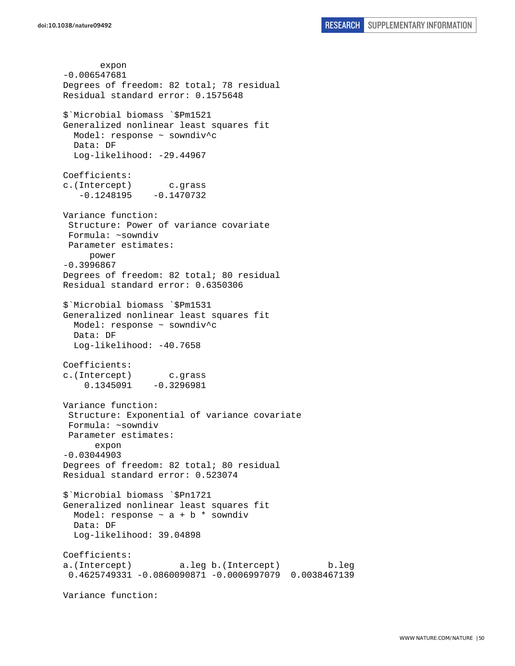expon -0.006547681 Degrees of freedom: 82 total; 78 residual Residual standard error: 0.1575648 \$`Microbial biomass `\$Pm1521 Generalized nonlinear least squares fit Model: response ~ sowndiv^c Data: DF Log-likelihood: -29.44967 Coefficients: c.(Intercept) c.grass  $-0.1248195 -0.1470732$ Variance function: Structure: Power of variance covariate Formula: ~sowndiv Parameter estimates: power -0.3996867 Degrees of freedom: 82 total; 80 residual Residual standard error: 0.6350306 \$`Microbial biomass `\$Pm1531 Generalized nonlinear least squares fit Model: response ~ sowndiv^c Data: DF Log-likelihood: -40.7658 Coefficients: c.(Intercept) c.grass  $0.1345091 -0.3296981$ Variance function: Structure: Exponential of variance covariate Formula: ~sowndiv Parameter estimates: expon -0.03044903 Degrees of freedom: 82 total; 80 residual Residual standard error: 0.523074 \$`Microbial biomass `\$Pn1721 Generalized nonlinear least squares fit Model: response  $\sim$  a + b \* sowndiv Data: DF Log-likelihood: 39.04898 Coefficients: a.(Intercept) a.leg b.(Intercept) b.leg 0.4625749331 -0.0860090871 -0.0006997079 0.0038467139 Variance function: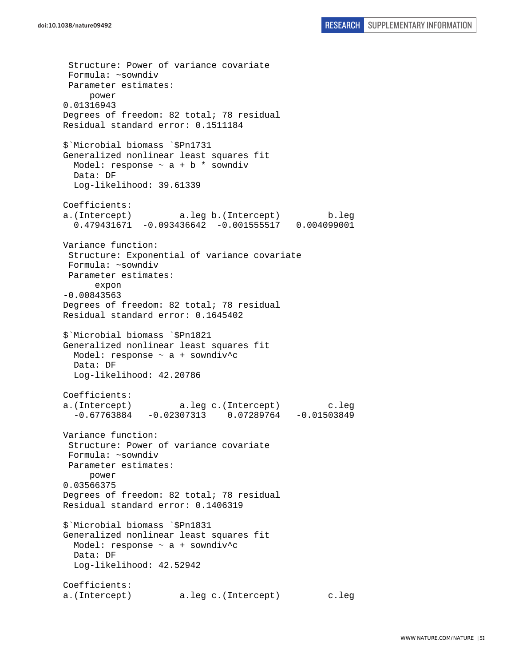Structure: Power of variance covariate Formula: ~sowndiv Parameter estimates: power 0.01316943 Degrees of freedom: 82 total; 78 residual Residual standard error: 0.1511184 \$`Microbial biomass `\$Pn1731 Generalized nonlinear least squares fit Model: response  $\sim$  a + b  $*$  sowndiv Data: DF Log-likelihood: 39.61339 Coefficients: a.(Intercept) a.leg b.(Intercept) b.leg 0.479431671 -0.093436642 -0.001555517 0.004099001 Variance function: Structure: Exponential of variance covariate Formula: ~sowndiv Parameter estimates: expon -0.00843563 Degrees of freedom: 82 total; 78 residual Residual standard error: 0.1645402 \$`Microbial biomass `\$Pn1821 Generalized nonlinear least squares fit Model: response ~ a + sowndiv^c Data: DF Log-likelihood: 42.20786 Coefficients: a.(Intercept) a.leg c.(Intercept) c.leg  $-0.67763884 -0.02307313 0.07289764 -0.01503849$ Variance function: Structure: Power of variance covariate Formula: ~sowndiv Parameter estimates: power 0.03566375 Degrees of freedom: 82 total; 78 residual Residual standard error: 0.1406319 \$`Microbial biomass `\$Pn1831 Generalized nonlinear least squares fit Model: response ~ a + sowndiv^c Data: DF Log-likelihood: 42.52942 Coefficients: a.(Intercept) a.leg c.(Intercept) c.leg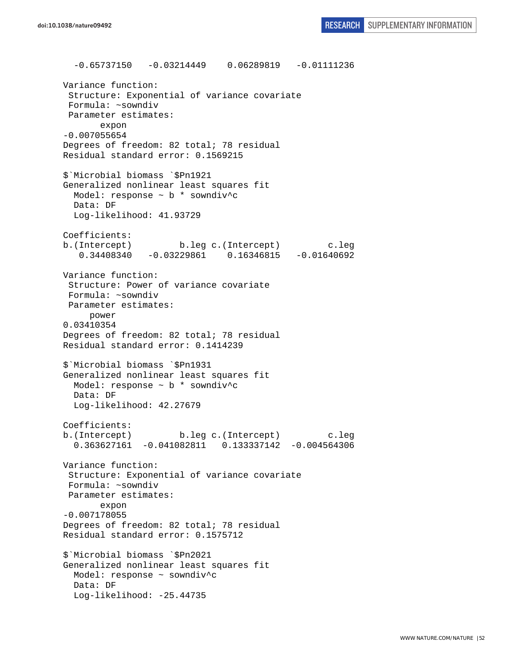-0.65737150 -0.03214449 0.06289819 -0.01111236 Variance function: Structure: Exponential of variance covariate Formula: ~sowndiv Parameter estimates: expon -0.007055654 Degrees of freedom: 82 total; 78 residual Residual standard error: 0.1569215 \$`Microbial biomass `\$Pn1921 Generalized nonlinear least squares fit Model: response ~ b \* sowndiv^c Data: DF Log-likelihood: 41.93729 Coefficients: b.(Intercept) b.leg c.(Intercept) c.leg 0.34408340 -0.03229861 0.16346815 -0.01640692 Variance function: Structure: Power of variance covariate Formula: ~sowndiv Parameter estimates: power 0.03410354 Degrees of freedom: 82 total; 78 residual Residual standard error: 0.1414239 \$`Microbial biomass `\$Pn1931 Generalized nonlinear least squares fit Model: response ~ b \* sowndiv^c Data: DF Log-likelihood: 42.27679 Coefficients: b.(Intercept) b.leg c.(Intercept) c.leg 0.363627161 -0.041082811 0.133337142 -0.004564306 Variance function: Structure: Exponential of variance covariate Formula: ~sowndiv Parameter estimates: expon -0.007178055 Degrees of freedom: 82 total; 78 residual Residual standard error: 0.1575712 \$`Microbial biomass `\$Pn2021 Generalized nonlinear least squares fit Model: response ~ sowndiv^c Data: DF Log-likelihood: -25.44735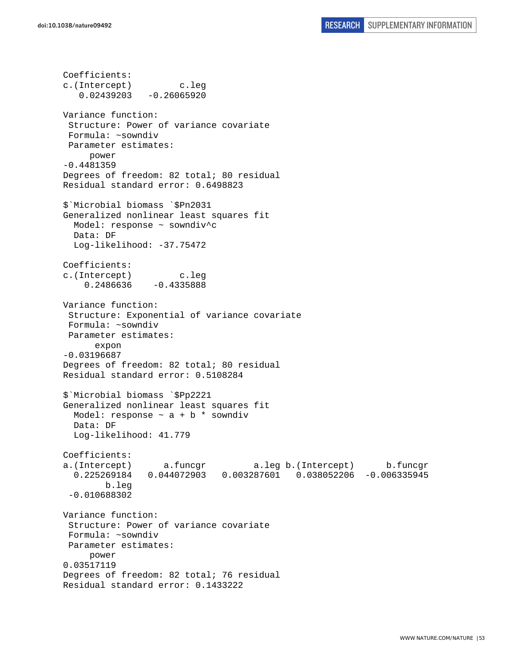Coefficients: c.(Intercept) c.leg  $0.02439203 -0.26065920$ Variance function: Structure: Power of variance covariate Formula: ~sowndiv Parameter estimates: power -0.4481359 Degrees of freedom: 82 total; 80 residual Residual standard error: 0.6498823 \$`Microbial biomass `\$Pn2031 Generalized nonlinear least squares fit Model: response ~ sowndiv^c Data: DF Log-likelihood: -37.75472 Coefficients: c.(Intercept) c.leg 0.2486636 -0.4335888 Variance function: Structure: Exponential of variance covariate Formula: ~sowndiv Parameter estimates: expon -0.03196687 Degrees of freedom: 82 total; 80 residual Residual standard error: 0.5108284 \$`Microbial biomass `\$Pp2221 Generalized nonlinear least squares fit Model: response  $\sim$  a + b  $*$  sowndiv Data: DF Log-likelihood: 41.779 Coefficients: a.(Intercept) a.funcgr a.leg b.(Intercept) b.funcgr 0.225269184 0.044072903 0.003287601 0.038052206 -0.006335945 b.leg -0.010688302 Variance function: Structure: Power of variance covariate Formula: ~sowndiv Parameter estimates: power 0.03517119 Degrees of freedom: 82 total; 76 residual Residual standard error: 0.1433222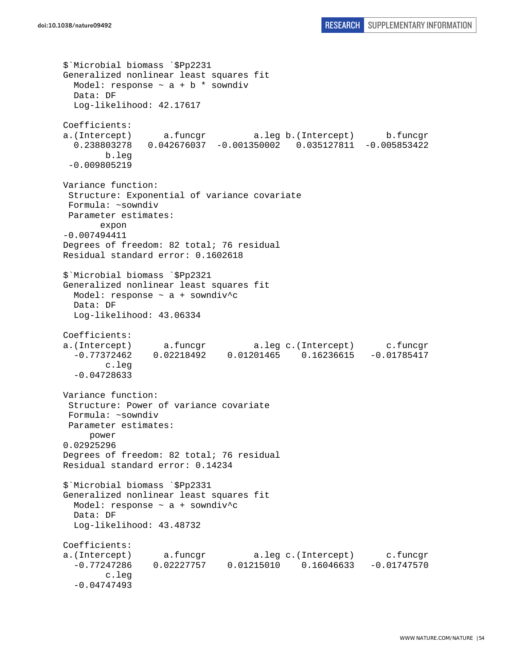```
$`Microbial biomass `$Pp2231 
Generalized nonlinear least squares fit 
 Model: response \sim a + b * sowndiv
  Data: DF 
  Log-likelihood: 42.17617 
Coefficients: 
a.(Intercept) a.funcgr a.leg b.(Intercept) b.funcgr 
   0.238803278 0.042676037 -0.001350002 0.035127811 -0.005853422 
         b.leg 
 -0.009805219 
Variance function: 
  Structure: Exponential of variance covariate 
 Formula: ~sowndiv 
 Parameter estimates: 
        expon 
-0.007494411 
Degrees of freedom: 82 total; 76 residual 
Residual standard error: 0.1602618 
$`Microbial biomass `$Pp2321 
Generalized nonlinear least squares fit 
 Model: response \sim a + sowndiv<sup>^</sup>c
  Data: DF 
  Log-likelihood: 43.06334 
Coefficients: 
a.(Intercept) a.funcgr a.leg c.(Intercept) c.funcgr 
   -0.77372462 0.02218492 0.01201465 0.16236615 -0.01785417 
         c.leg 
   -0.04728633 
Variance function: 
  Structure: Power of variance covariate 
 Formula: ~sowndiv 
 Parameter estimates: 
     power 
0.02925296 
Degrees of freedom: 82 total; 76 residual 
Residual standard error: 0.14234 
$`Microbial biomass `$Pp2331 
Generalized nonlinear least squares fit 
  Model: response ~ a + sowndiv^c 
  Data: DF 
  Log-likelihood: 43.48732 
Coefficients: 
a.(Intercept) a.funcgr a.leg c.(Intercept) c.funcgr 
   -0.77247286 0.02227757 0.01215010 0.16046633 -0.01747570 
         c.leg 
   -0.04747493
```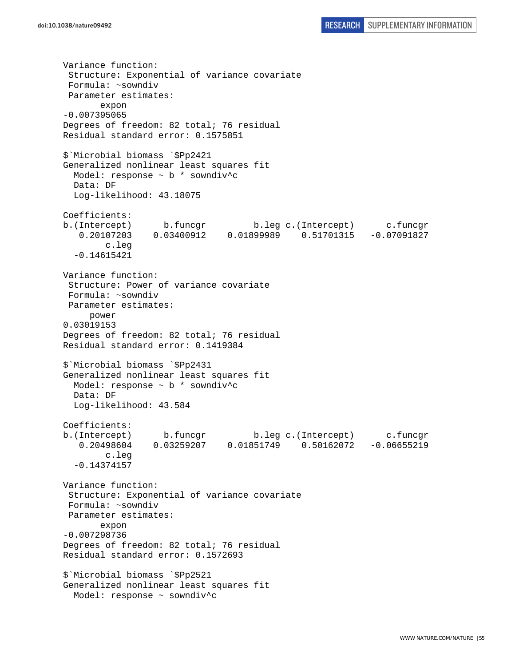Variance function: Structure: Exponential of variance covariate Formula: ~sowndiv Parameter estimates: expon -0.007395065 Degrees of freedom: 82 total; 76 residual Residual standard error: 0.1575851 \$`Microbial biomass `\$Pp2421 Generalized nonlinear least squares fit Model: response ~ b \* sowndiv^c Data: DF Log-likelihood: 43.18075 Coefficients: b.(Intercept) b.funcgr b.leg c.(Intercept) c.funcgr 0.20107203 0.03400912 0.01899989 0.51701315 -0.07091827 c.leg -0.14615421 Variance function: Structure: Power of variance covariate Formula: ~sowndiv Parameter estimates: power 0.03019153 Degrees of freedom: 82 total; 76 residual Residual standard error: 0.1419384 \$`Microbial biomass `\$Pp2431 Generalized nonlinear least squares fit Model: response ~ b \* sowndiv^c Data: DF Log-likelihood: 43.584 Coefficients: b.(Intercept) b.funcgr b.leg c.(Intercept) c.funcgr 0.20498604 0.03259207 0.01851749 0.50162072 -0.06655219 c.leg -0.14374157 Variance function: Structure: Exponential of variance covariate Formula: ~sowndiv Parameter estimates: expon -0.007298736 Degrees of freedom: 82 total; 76 residual Residual standard error: 0.1572693 \$`Microbial biomass `\$Pp2521 Generalized nonlinear least squares fit Model: response ~ sowndiv^c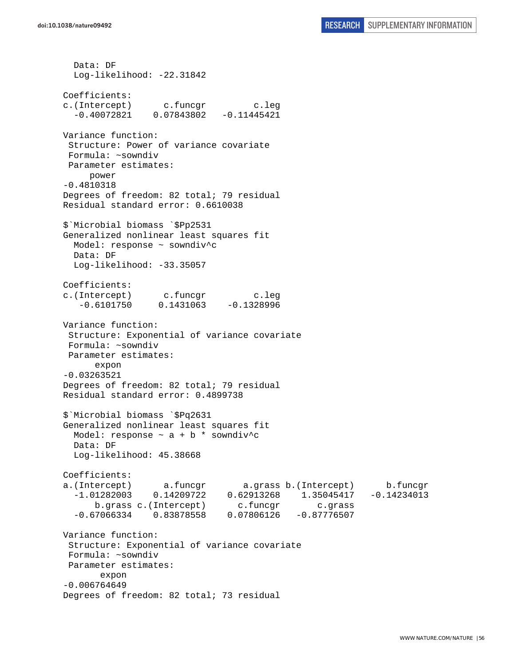Data: DF Log-likelihood: -22.31842 Coefficients: c.(Intercept) c.funcgr c.leg -0.40072821 0.07843802 -0.11445421 Variance function: Structure: Power of variance covariate Formula: ~sowndiv Parameter estimates: power -0.4810318 Degrees of freedom: 82 total; 79 residual Residual standard error: 0.6610038 \$`Microbial biomass `\$Pp2531 Generalized nonlinear least squares fit Model: response ~ sowndiv^c Data: DF Log-likelihood: -33.35057 Coefficients: c.(Intercept) c.funcgr c.leg  $-0.6101750$   $0.1431063$   $-0.1328996$ Variance function: Structure: Exponential of variance covariate Formula: ~sowndiv Parameter estimates: expon -0.03263521 Degrees of freedom: 82 total; 79 residual Residual standard error: 0.4899738 \$`Microbial biomass `\$Pq2631 Generalized nonlinear least squares fit Model: response  $\sim$  a + b \* sowndiv^c Data: DF Log-likelihood: 45.38668 Coefficients: a.(Intercept) a.funcgr a.grass b.(Intercept) b.funcgr -1.01282003 0.14209722 0.62913268 1.35045417 -0.14234013 b.grass c.(Intercept) c.funcgr c.grass -0.67066334 0.83878558 0.07806126 -0.87776507 Variance function: Structure: Exponential of variance covariate Formula: ~sowndiv Parameter estimates: expon -0.006764649 Degrees of freedom: 82 total; 73 residual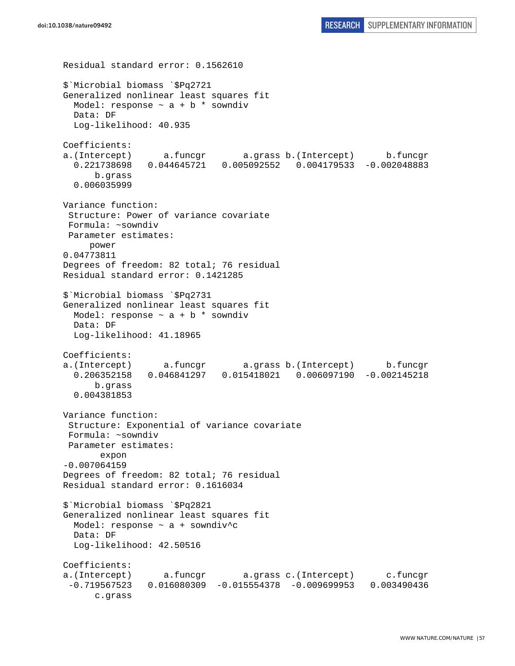```
Residual standard error: 0.1562610 
$`Microbial biomass `$Pq2721 
Generalized nonlinear least squares fit 
 Model: response \sim a + b * sowndiv
   Data: DF 
   Log-likelihood: 40.935 
Coefficients: 
a.(Intercept) a.funcgr a.grass b.(Intercept) b.funcgr 
   0.221738698 0.044645721 0.005092552 0.004179533 -0.002048883 
       b.grass 
   0.006035999 
Variance function: 
  Structure: Power of variance covariate 
 Formula: ~sowndiv 
 Parameter estimates: 
      power 
0.04773811 
Degrees of freedom: 82 total; 76 residual 
Residual standard error: 0.1421285 
$`Microbial biomass `$Pq2731 
Generalized nonlinear least squares fit 
  Model: response \sim a + b * sowndiv
  Data: DF 
  Log-likelihood: 41.18965 
Coefficients: 
a.(Intercept) a.funcgr a.grass b.(Intercept) b.funcgr 
   0.206352158 0.046841297 0.015418021 0.006097190 -0.002145218 
       b.grass 
   0.004381853 
Variance function: 
  Structure: Exponential of variance covariate 
 Formula: ~sowndiv 
 Parameter estimates: 
        expon 
-0.007064159 
Degrees of freedom: 82 total; 76 residual 
Residual standard error: 0.1616034 
$`Microbial biomass `$Pq2821 
Generalized nonlinear least squares fit 
 Model: response \sim a + sowndiv<sup>^</sup>c
  Data: DF 
   Log-likelihood: 42.50516 
Coefficients: 
a.(Intercept) a.funcgr a.grass c.(Intercept) c.funcgr 
  -0.719567523 0.016080309 -0.015554378 -0.009699953 0.003490436 
       c.grass
```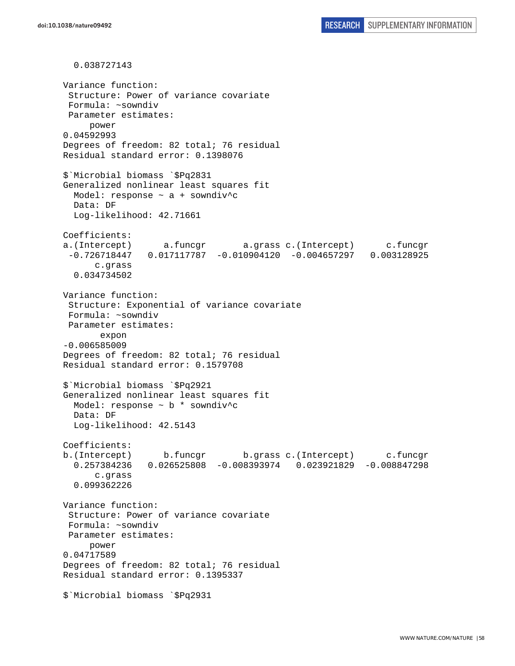0.038727143 Variance function: Structure: Power of variance covariate Formula: ~sowndiv Parameter estimates: power 0.04592993 Degrees of freedom: 82 total; 76 residual Residual standard error: 0.1398076 \$`Microbial biomass `\$Pq2831 Generalized nonlinear least squares fit Model: response ~ a + sowndiv^c Data: DF Log-likelihood: 42.71661 Coefficients: a.(Intercept) a.funcgr a.grass c.(Intercept) c.funcgr -0.726718447 0.017117787 -0.010904120 -0.004657297 0.003128925 c.grass 0.034734502 Variance function: Structure: Exponential of variance covariate Formula: ~sowndiv Parameter estimates: expon -0.006585009 Degrees of freedom: 82 total; 76 residual Residual standard error: 0.1579708 \$`Microbial biomass `\$Pq2921 Generalized nonlinear least squares fit Model: response  $\sim$  b  $*$  sowndiv<sup>^</sup>c Data: DF Log-likelihood: 42.5143 Coefficients: b.(Intercept) b.funcgr b.grass c.(Intercept) c.funcgr 0.257384236 0.026525808 -0.008393974 0.023921829 -0.008847298 c.grass 0.099362226 Variance function: Structure: Power of variance covariate Formula: ~sowndiv Parameter estimates: power 0.04717589 Degrees of freedom: 82 total; 76 residual Residual standard error: 0.1395337 \$`Microbial biomass `\$Pq2931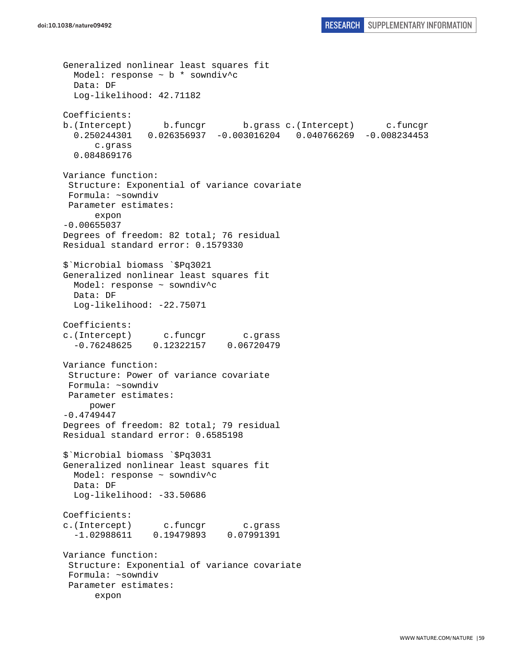```
Generalized nonlinear least squares fit 
 Model: response \sim b * sowndiv<sup>^</sup>c
  Data: DF 
   Log-likelihood: 42.71182 
Coefficients: 
b.(Intercept) b.funcgr b.grass c.(Intercept) c.funcgr 
   0.250244301 0.026356937 -0.003016204 0.040766269 -0.008234453 
       c.grass 
   0.084869176 
Variance function: 
  Structure: Exponential of variance covariate 
  Formula: ~sowndiv 
 Parameter estimates: 
       expon 
-0.00655037 
Degrees of freedom: 82 total; 76 residual 
Residual standard error: 0.1579330 
$`Microbial biomass `$Pq3021 
Generalized nonlinear least squares fit 
  Model: response ~ sowndiv^c 
  Data: DF 
   Log-likelihood: -22.75071 
Coefficients: 
c.(Intercept) c.funcgr c.grass 
   -0.76248625 0.12322157 0.06720479 
Variance function: 
  Structure: Power of variance covariate 
 Formula: ~sowndiv 
 Parameter estimates: 
      power 
-0.4749447 
Degrees of freedom: 82 total; 79 residual 
Residual standard error: 0.6585198 
$`Microbial biomass `$Pq3031 
Generalized nonlinear least squares fit 
  Model: response ~ sowndiv^c 
  Data: DF 
   Log-likelihood: -33.50686 
Coefficients: 
c.(Intercept) c.funcgr c.grass 
   -1.02988611 0.19479893 0.07991391 
Variance function: 
  Structure: Exponential of variance covariate 
 Formula: ~sowndiv 
  Parameter estimates: 
       expon
```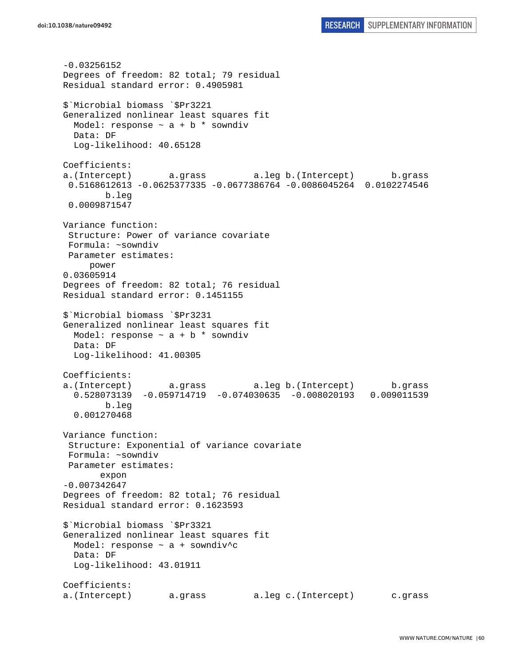-0.03256152 Degrees of freedom: 82 total; 79 residual Residual standard error: 0.4905981 \$`Microbial biomass `\$Pr3221 Generalized nonlinear least squares fit Model: response  $\sim$  a + b  $*$  sowndiv Data: DF Log-likelihood: 40.65128 Coefficients: a.(Intercept) a.grass a.leg b.(Intercept) b.grass 0.5168612613 -0.0625377335 -0.0677386764 -0.0086045264 0.0102274546 b.leg 0.0009871547 Variance function: Structure: Power of variance covariate Formula: ~sowndiv Parameter estimates: power 0.03605914 Degrees of freedom: 82 total; 76 residual Residual standard error: 0.1451155 \$`Microbial biomass `\$Pr3231 Generalized nonlinear least squares fit Model: response  $\sim$  a + b  $*$  sowndiv Data: DF Log-likelihood: 41.00305 Coefficients: a.(Intercept) a.grass a.leg b.(Intercept) b.grass 0.528073139 -0.059714719 -0.074030635 -0.008020193 0.009011539 b.leg 0.001270468 Variance function: Structure: Exponential of variance covariate Formula: ~sowndiv Parameter estimates: expon -0.007342647 Degrees of freedom: 82 total; 76 residual Residual standard error: 0.1623593 \$`Microbial biomass `\$Pr3321 Generalized nonlinear least squares fit Model: response ~ a + sowndiv^c Data: DF Log-likelihood: 43.01911 Coefficients: a.(Intercept) a.grass a.leg c.(Intercept) c.grass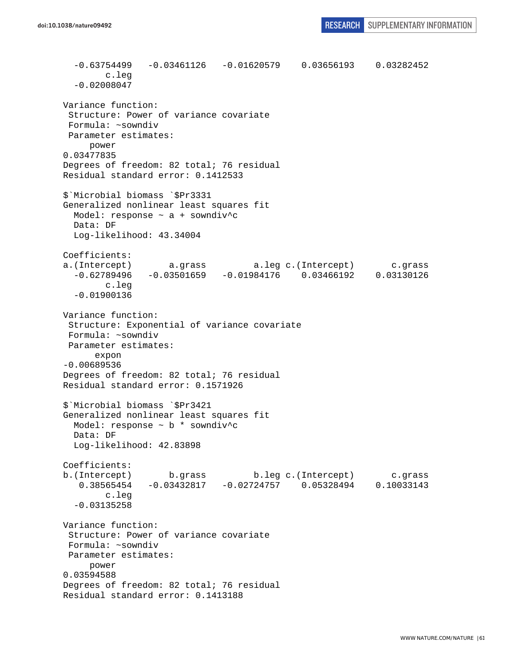```
 -0.63754499 -0.03461126 -0.01620579 0.03656193 0.03282452 
         c.leg 
   -0.02008047 
Variance function: 
  Structure: Power of variance covariate 
  Formula: ~sowndiv 
 Parameter estimates: 
      power 
0.03477835 
Degrees of freedom: 82 total; 76 residual 
Residual standard error: 0.1412533 
$`Microbial biomass `$Pr3331 
Generalized nonlinear least squares fit 
  Model: response ~ a + sowndiv^c 
   Data: DF 
   Log-likelihood: 43.34004 
Coefficients: 
a.(Intercept) a.grass a.leg c.(Intercept) c.grass 
   -0.62789496 -0.03501659 -0.01984176 0.03466192 0.03130126 
         c.leg 
   -0.01900136 
Variance function: 
  Structure: Exponential of variance covariate 
 Formula: ~sowndiv 
 Parameter estimates: 
       expon 
-0.00689536 
Degrees of freedom: 82 total; 76 residual 
Residual standard error: 0.1571926 
$`Microbial biomass `$Pr3421 
Generalized nonlinear least squares fit 
  Model: response ~ b * sowndiv^c 
  Data: DF 
   Log-likelihood: 42.83898 
Coefficients: 
b.(Intercept) b.grass b.leg c.(Intercept) c.grass 
    0.38565454 -0.03432817 -0.02724757 0.05328494 0.10033143 
         c.leg 
   -0.03135258 
Variance function: 
  Structure: Power of variance covariate 
 Formula: ~sowndiv 
 Parameter estimates: 
     power 
0.03594588 
Degrees of freedom: 82 total; 76 residual 
Residual standard error: 0.1413188
```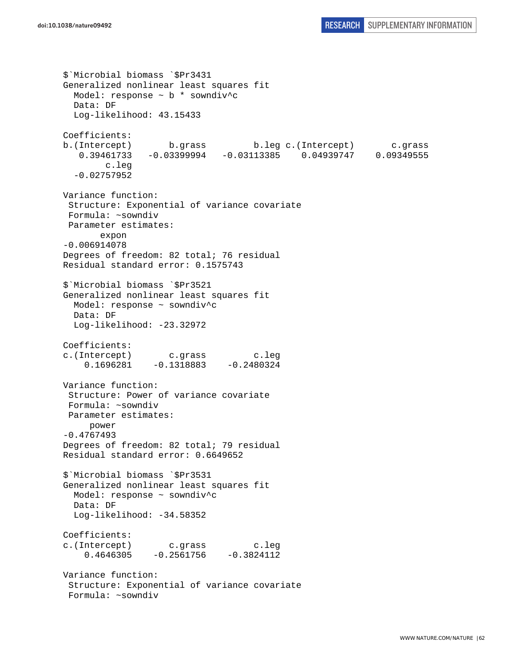```
$`Microbial biomass `$Pr3431 
Generalized nonlinear least squares fit 
  Model: response ~ b * sowndiv^c 
  Data: DF 
   Log-likelihood: 43.15433 
Coefficients: 
b.(Intercept) b.grass b.leg c.(Intercept) c.grass 
    0.39461733 -0.03399994 -0.03113385 0.04939747 0.09349555 
         c.leg 
   -0.02757952 
Variance function: 
  Structure: Exponential of variance covariate 
 Formula: ~sowndiv 
 Parameter estimates: 
        expon 
-0.006914078 
Degrees of freedom: 82 total; 76 residual 
Residual standard error: 0.1575743 
$`Microbial biomass `$Pr3521 
Generalized nonlinear least squares fit 
   Model: response ~ sowndiv^c 
   Data: DF 
  Log-likelihood: -23.32972
Coefficients: 
c.(Intercept) c.grass c.leg 
    0.1696281 -0.1318883 -0.2480324Variance function: 
  Structure: Power of variance covariate 
 Formula: ~sowndiv 
 Parameter estimates: 
     power 
-0.4767493 
Degrees of freedom: 82 total; 79 residual 
Residual standard error: 0.6649652 
$`Microbial biomass `$Pr3531 
Generalized nonlinear least squares fit 
  Model: response ~ sowndiv^c 
   Data: DF 
   Log-likelihood: -34.58352 
Coefficients: 
c.(Intercept) c.grass c.leg 
    0.4646305 -0.2561756 -0.3824112Variance function: 
  Structure: Exponential of variance covariate 
 Formula: ~sowndiv
```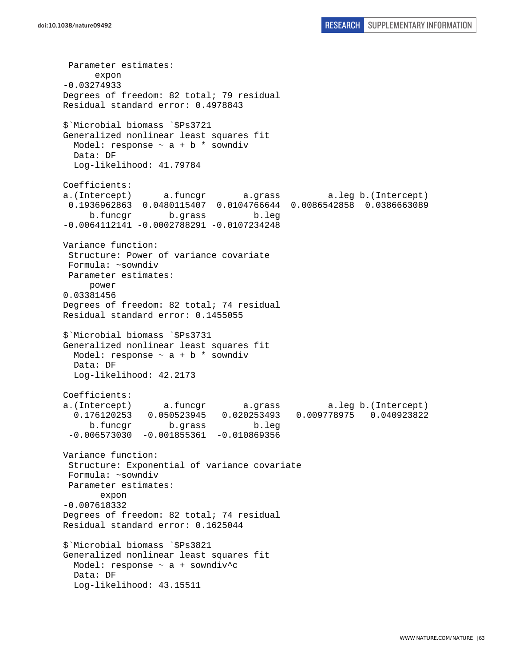Parameter estimates: expon -0.03274933 Degrees of freedom: 82 total; 79 residual Residual standard error: 0.4978843 \$`Microbial biomass `\$Ps3721 Generalized nonlinear least squares fit Model: response  $\sim$  a + b  $*$  sowndiv Data: DF Log-likelihood: 41.79784 Coefficients: a.(Intercept) a.funcgr a.grass a.leg b.(Intercept) 0.1936962863 0.0480115407 0.0104766644 0.0086542858 0.0386663089 b.funcgr b.grass b.leg -0.0064112141 -0.0002788291 -0.0107234248 Variance function: Structure: Power of variance covariate Formula: ~sowndiv Parameter estimates: power 0.03381456 Degrees of freedom: 82 total; 74 residual Residual standard error: 0.1455055 \$`Microbial biomass `\$Ps3731 Generalized nonlinear least squares fit Model: response  $\sim$  a + b  $*$  sowndiv Data: DF Log-likelihood: 42.2173 Coefficients: a.(Intercept) a.funcgr a.grass a.leg b.(Intercept) 0.176120253 0.050523945 0.020253493 0.009778975 0.040923822 b.funcgr b.grass b.leg  $-0.006573030 -0.001855361 -0.010869356$ Variance function: Structure: Exponential of variance covariate Formula: ~sowndiv Parameter estimates: expon -0.007618332 Degrees of freedom: 82 total; 74 residual Residual standard error: 0.1625044 \$`Microbial biomass `\$Ps3821 Generalized nonlinear least squares fit Model: response ~ a + sowndiv^c Data: DF Log-likelihood: 43.15511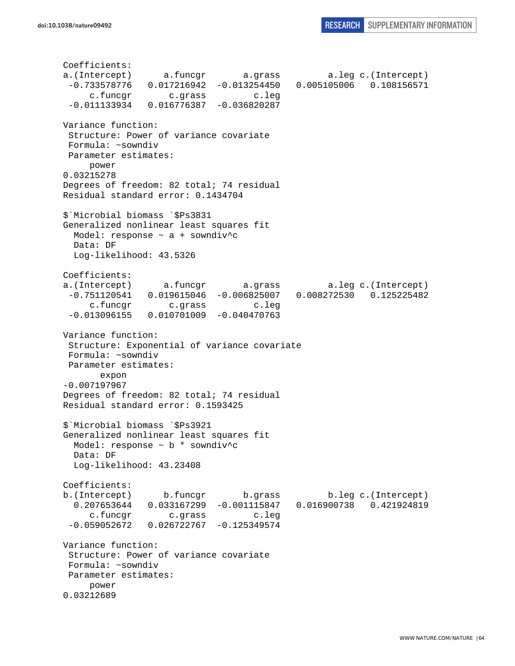Coefficients: a.(Intercept) a.funcgr a.grass a.leg c.(Intercept) -0.733578776 0.017216942 -0.013254450 0.005105006 0.108156571 c.funcgr c.grass c.leg -0.011133934 0.016776387 -0.036820287 Variance function: Structure: Power of variance covariate Formula: ~sowndiv Parameter estimates: power 0.03215278 Degrees of freedom: 82 total; 74 residual Residual standard error: 0.1434704 \$`Microbial biomass `\$Ps3831 Generalized nonlinear least squares fit Model: response  $\sim$  a + sowndiv^c Data: DF Log-likelihood: 43.5326 Coefficients: a.(Intercept) a.funcgr a.grass a.leg c.(Intercept) -0.751120541 0.019615046 -0.006825007 0.008272530 0.125225482 c.funcgr c.grass c.leg -0.013096155 0.010701009 -0.040470763 Variance function: Structure: Exponential of variance covariate Formula: ~sowndiv Parameter estimates: expon -0.007197967 Degrees of freedom: 82 total; 74 residual Residual standard error: 0.1593425 \$`Microbial biomass `\$Ps3921 Generalized nonlinear least squares fit Model: response ~ b \* sowndiv^c Data: DF Log-likelihood: 43.23408 Coefficients: b.(Intercept) b.funcgr b.grass b.leg c.(Intercept) 0.207653644 0.033167299 -0.001115847 0.016900738 0.421924819 c.funcgr c.grass c.leg -0.059052672 0.026722767 -0.125349574 Variance function: Structure: Power of variance covariate Formula: ~sowndiv Parameter estimates: power 0.03212689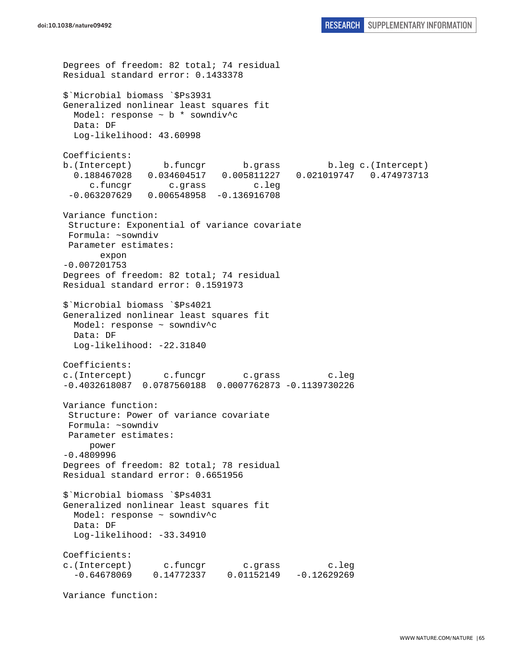Degrees of freedom: 82 total; 74 residual Residual standard error: 0.1433378 \$`Microbial biomass `\$Ps3931 Generalized nonlinear least squares fit Model: response ~ b \* sowndiv^c Data: DF Log-likelihood: 43.60998 Coefficients: b.(Intercept) b.funcgr b.grass b.leg c.(Intercept) 0.188467028 0.034604517 0.005811227 0.021019747 0.474973713 c.funcgr c.grass c.leg -0.063207629 0.006548958 -0.136916708 Variance function: Structure: Exponential of variance covariate Formula: ~sowndiv Parameter estimates: expon -0.007201753 Degrees of freedom: 82 total; 74 residual Residual standard error: 0.1591973 \$`Microbial biomass `\$Ps4021 Generalized nonlinear least squares fit Model: response ~ sowndiv^c Data: DF Log-likelihood: -22.31840 Coefficients: c.(Intercept) c.funcgr c.grass c.leg -0.4032618087 0.0787560188 0.0007762873 -0.1139730226 Variance function: Structure: Power of variance covariate Formula: ~sowndiv Parameter estimates: power -0.4809996 Degrees of freedom: 82 total; 78 residual Residual standard error: 0.6651956 \$`Microbial biomass `\$Ps4031 Generalized nonlinear least squares fit Model: response ~ sowndiv^c Data: DF Log-likelihood: -33.34910 Coefficients: c.(Intercept) c.funcgr c.grass c.leg -0.64678069 0.14772337 0.01152149 -0.12629269

Variance function: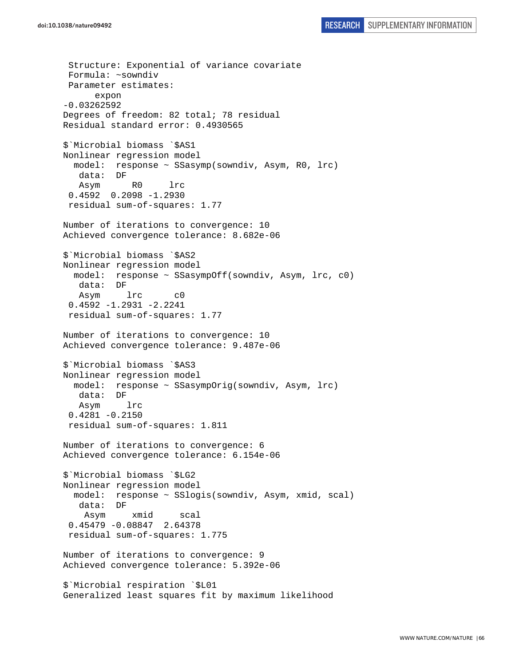Structure: Exponential of variance covariate Formula: ~sowndiv Parameter estimates: expon -0.03262592 Degrees of freedom: 82 total; 78 residual Residual standard error: 0.4930565 \$`Microbial biomass `\$AS1 Nonlinear regression model model: response ~ SSasymp(sowndiv, Asym, R0, lrc) data: DF Asym R0 lrc 0.4592 0.2098 -1.2930 residual sum-of-squares: 1.77 Number of iterations to convergence: 10 Achieved convergence tolerance: 8.682e-06 \$`Microbial biomass `\$AS2 Nonlinear regression model model: response ~ SSasympOff(sowndiv, Asym, lrc, c0) data: DF Asym lrc c0 0.4592 -1.2931 -2.2241 residual sum-of-squares: 1.77 Number of iterations to convergence: 10 Achieved convergence tolerance: 9.487e-06 \$`Microbial biomass `\$AS3 Nonlinear regression model model: response ~ SSasympOrig(sowndiv, Asym, lrc) data: DF Asym lrc 0.4281 -0.2150 residual sum-of-squares: 1.811 Number of iterations to convergence: 6 Achieved convergence tolerance: 6.154e-06 \$`Microbial biomass `\$LG2 Nonlinear regression model model: response ~ SSlogis(sowndiv, Asym, xmid, scal) data: DF Asym xmid scal 0.45479 -0.08847 2.64378 residual sum-of-squares: 1.775 Number of iterations to convergence: 9 Achieved convergence tolerance: 5.392e-06 \$`Microbial respiration `\$L01 Generalized least squares fit by maximum likelihood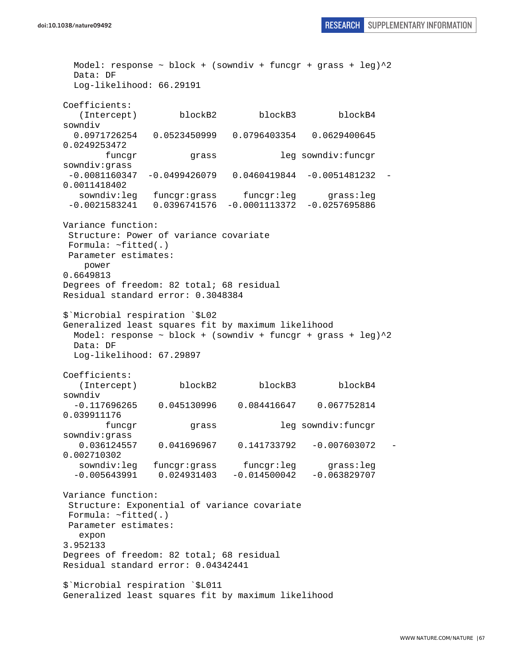**doi:10.1038/nature09492** RESEARCH SUPPLEMENTARY INFORMATION

Model: response  $\sim$  block + (sowndiv + funcgr + grass + leg) $^2$ 2 Data: DF Log-likelihood: 66.29191 Coefficients: (Intercept) blockB2 blockB3 blockB4 sowndiv 0.0971726254 0.0523450999 0.0796403354 0.0629400645 0.0249253472 funcgr grass leg sowndiv:funcgr sowndiv:grass  $-0.0081160347 -0.0499426079 0.0460419844 -0.0051481232$ 0.0011418402 sowndiv:leg funcgr:grass funcgr:leg grass:leg -0.0021583241 0.0396741576 -0.0001113372 -0.0257695886 Variance function: Structure: Power of variance covariate Formula: ~fitted(.) Parameter estimates: power 0.6649813 Degrees of freedom: 82 total; 68 residual Residual standard error: 0.3048384 \$`Microbial respiration `\$L02 Generalized least squares fit by maximum likelihood Model: response  $\sim$  block + (sowndiv + funcgr + grass + leg) $^2$  Data: DF Log-likelihood: 67.29897 Coefficients: (Intercept) blockB2 blockB3 blockB4 sowndiv -0.117696265 0.045130996 0.084416647 0.067752814 0.039911176 funcgr grass leg sowndiv:funcgr sowndiv:grass 0.036124557 0.041696967 0.141733792 -0.007603072 - 0.002710302 sowndiv:leg funcgr:grass funcgr:leg grass:leg -0.005643991 0.024931403 -0.014500042 -0.063829707 Variance function: Structure: Exponential of variance covariate Formula: ~fitted(.) Parameter estimates: expon 3.952133 Degrees of freedom: 82 total; 68 residual Residual standard error: 0.04342441 \$`Microbial respiration `\$L011 Generalized least squares fit by maximum likelihood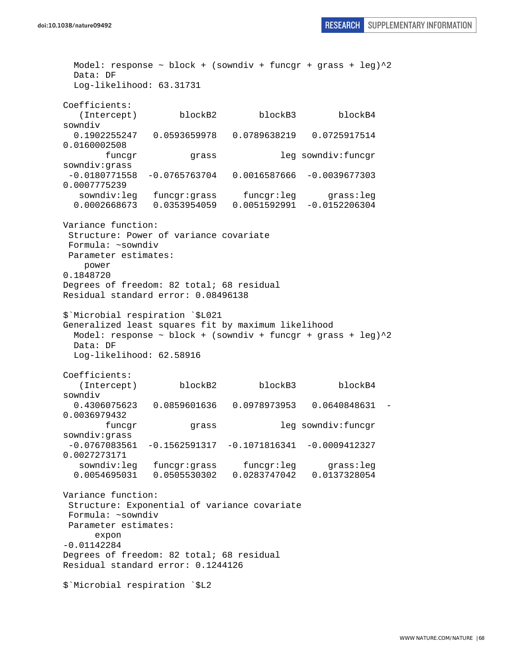**doi:10.1038/nature09492** RESEARCH SUPPLEMENTARY INFORMATION

Model: response  $\sim$  block + (sowndiv + funcgr + grass + leg) $^2$ 2 Data: DF Log-likelihood: 63.31731 Coefficients: (Intercept) blockB2 blockB3 blockB4 sowndiv 0.1902255247 0.0593659978 0.0789638219 0.0725917514 0.0160002508 funcgr grass leg sowndiv:funcgr sowndiv:grass -0.0180771558 -0.0765763704 0.0016587666 -0.0039677303 0.0007775239 sowndiv:leg funcgr:grass funcgr:leg grass:leg 0.0002668673 0.0353954059 0.0051592991 -0.0152206304 Variance function: Structure: Power of variance covariate Formula: ~sowndiv Parameter estimates: power 0.1848720 Degrees of freedom: 82 total; 68 residual Residual standard error: 0.08496138 \$`Microbial respiration `\$L021 Generalized least squares fit by maximum likelihood Model: response  $\sim$  block + (sowndiv + funcgr + grass + leg) $^2$  Data: DF Log-likelihood: 62.58916 Coefficients: (Intercept) blockB2 blockB3 blockB4 sowndiv 0.4306075623 0.0859601636 0.0978973953 0.0640848631 - 0.0036979432 funcgr grass leg sowndiv:funcgr sowndiv:grass -0.0767083561 -0.1562591317 -0.1071816341 -0.0009412327 0.0027273171 sowndiv:leg funcgr:grass funcgr:leg grass:leg 0.0054695031 0.0505530302 0.0283747042 0.0137328054 Variance function: Structure: Exponential of variance covariate Formula: ~sowndiv Parameter estimates: expon -0.01142284 Degrees of freedom: 82 total; 68 residual Residual standard error: 0.1244126 \$`Microbial respiration `\$L2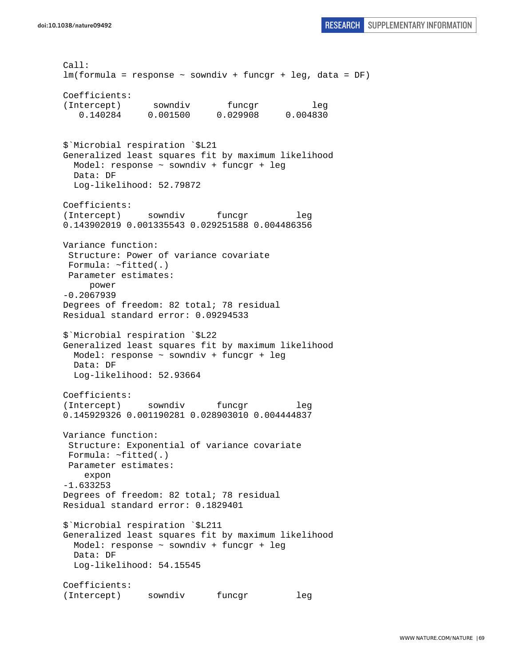Call: lm(formula = response ~ sowndiv + funcgr + leg, data = DF) Coefficients: (Intercept) sowndiv funcgr leg 0.140284 0.001500 0.029908 0.004830 \$`Microbial respiration `\$L21 Generalized least squares fit by maximum likelihood Model: response ~ sowndiv + funcgr + leg Data: DF Log-likelihood: 52.79872 Coefficients: (Intercept) sowndiv funcqr leg 0.143902019 0.001335543 0.029251588 0.004486356 Variance function: Structure: Power of variance covariate Formula: ~fitted(.) Parameter estimates: power -0.2067939 Degrees of freedom: 82 total; 78 residual Residual standard error: 0.09294533 \$`Microbial respiration `\$L22 Generalized least squares fit by maximum likelihood Model: response ~ sowndiv + funcgr + leg Data: DF Log-likelihood: 52.93664 Coefficients: (Intercept) sowndiv funcgr leg 0.145929326 0.001190281 0.028903010 0.004444837 Variance function: Structure: Exponential of variance covariate Formula: ~fitted(.) Parameter estimates: expon -1.633253 Degrees of freedom: 82 total; 78 residual Residual standard error: 0.1829401 \$`Microbial respiration `\$L211 Generalized least squares fit by maximum likelihood Model: response ~ sowndiv + funcgr + leg Data: DF Log-likelihood: 54.15545 Coefficients: (Intercept) sowndiv funcgr leg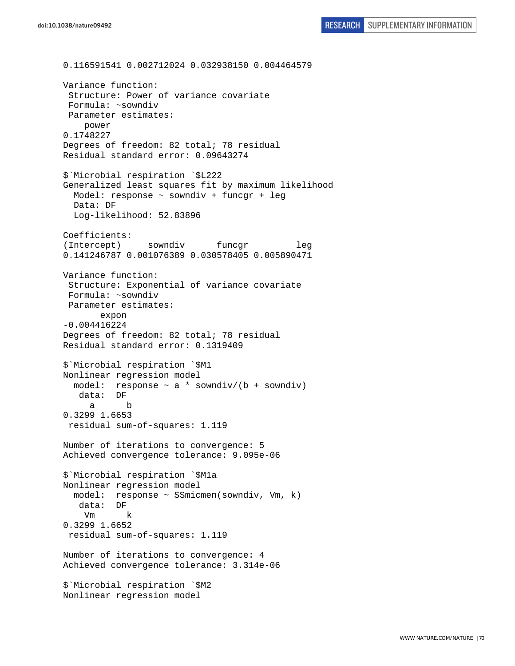0.116591541 0.002712024 0.032938150 0.004464579 Variance function: Structure: Power of variance covariate Formula: ~sowndiv Parameter estimates: power 0.1748227 Degrees of freedom: 82 total; 78 residual Residual standard error: 0.09643274 \$`Microbial respiration `\$L222 Generalized least squares fit by maximum likelihood Model: response ~ sowndiv + funcgr + leg Data: DF Log-likelihood: 52.83896 Coefficients: (Intercept) sowndiv funcgr leg 0.141246787 0.001076389 0.030578405 0.005890471 Variance function: Structure: Exponential of variance covariate Formula: ~sowndiv Parameter estimates: expon -0.004416224 Degrees of freedom: 82 total; 78 residual Residual standard error: 0.1319409 \$`Microbial respiration `\$M1 Nonlinear regression model model: response ~ a \* sowndiv/(b + sowndiv) data: DF a b 0.3299 1.6653 residual sum-of-squares: 1.119 Number of iterations to convergence: 5 Achieved convergence tolerance: 9.095e-06 \$`Microbial respiration `\$M1a Nonlinear regression model model: response ~ SSmicmen(sowndiv, Vm, k) data: DF Vm k 0.3299 1.6652 residual sum-of-squares: 1.119 Number of iterations to convergence: 4 Achieved convergence tolerance: 3.314e-06 \$`Microbial respiration `\$M2 Nonlinear regression model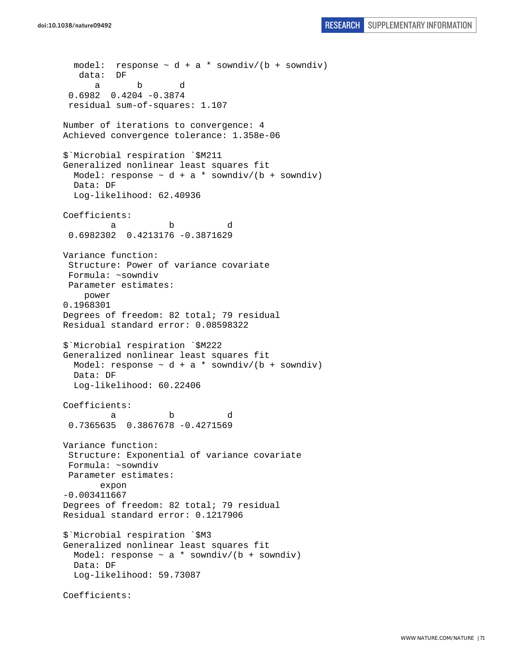```
doi:10.1038/nature09492 RESEARCH SUPPLEMENTARY INFORMATION
```

```
model: response \sim d + a * sowndiv/(b + sowndiv)
    data: DF 
 a b d 
  0.6982 0.4204 -0.3874 
  residual sum-of-squares: 1.107 
Number of iterations to convergence: 4 
Achieved convergence tolerance: 1.358e-06 
$`Microbial respiration `$M211 
Generalized nonlinear least squares fit 
  Model: response \sim d + a * sowndiv/(b + sowndiv)
  Data: DF 
   Log-likelihood: 62.40936 
Coefficients: 
 a b d 
  0.6982302 0.4213176 -0.3871629 
Variance function: 
  Structure: Power of variance covariate 
  Formula: ~sowndiv 
 Parameter estimates: 
     power 
0.1968301 
Degrees of freedom: 82 total; 79 residual 
Residual standard error: 0.08598322 
$`Microbial respiration `$M222 
Generalized nonlinear least squares fit 
 Model: response \sim d + a * sowndiv/(b + sowndiv)
  Data: DF 
  Log-likelihood: 60.22406 
Coefficients: 
 a b d 
  0.7365635 0.3867678 -0.4271569 
Variance function: 
  Structure: Exponential of variance covariate 
 Formula: ~sowndiv 
 Parameter estimates: 
        expon 
-0.003411667 
Degrees of freedom: 82 total; 79 residual 
Residual standard error: 0.1217906 
$`Microbial respiration `$M3 
Generalized nonlinear least squares fit 
 Model: response \sim a * sowndiv/(b + sowndiv)
  Data: DF 
   Log-likelihood: 59.73087 
Coefficients:
```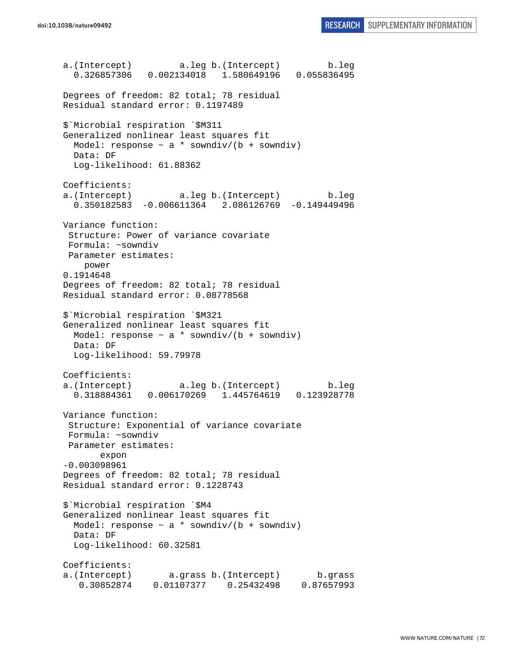a.(Intercept) a.leg b.(Intercept) b.leg 0.326857306 0.002134018 1.580649196 0.055836495 Degrees of freedom: 82 total; 78 residual Residual standard error: 0.1197489 \$`Microbial respiration `\$M311 Generalized nonlinear least squares fit Model: response  $\sim$  a \* sowndiv/(b + sowndiv) Data: DF Log-likelihood: 61.88362 Coefficients: a.(Intercept) a.leg b.(Intercept) b.leg 0.350182583 -0.006611364 2.086126769 -0.149449496 Variance function: Structure: Power of variance covariate Formula: ~sowndiv Parameter estimates: power 0.1914648 Degrees of freedom: 82 total; 78 residual Residual standard error: 0.08778568 \$`Microbial respiration `\$M321 Generalized nonlinear least squares fit Model: response  $\sim$  a \* sowndiv/(b + sowndiv) Data: DF Log-likelihood: 59.79978 Coefficients: a.(Intercept) a.leg b.(Intercept) b.leg 0.318884361 0.006170269 1.445764619 0.123928778 Variance function: Structure: Exponential of variance covariate Formula: ~sowndiv Parameter estimates: expon -0.003098961 Degrees of freedom: 82 total; 78 residual Residual standard error: 0.1228743 \$`Microbial respiration `\$M4 Generalized nonlinear least squares fit Model: response  $\sim$  a \* sowndiv/(b + sowndiv) Data: DF Log-likelihood: 60.32581 Coefficients: a.(Intercept) a.grass b.(Intercept) b.grass 0.30852874 0.01107377 0.25432498 0.87657993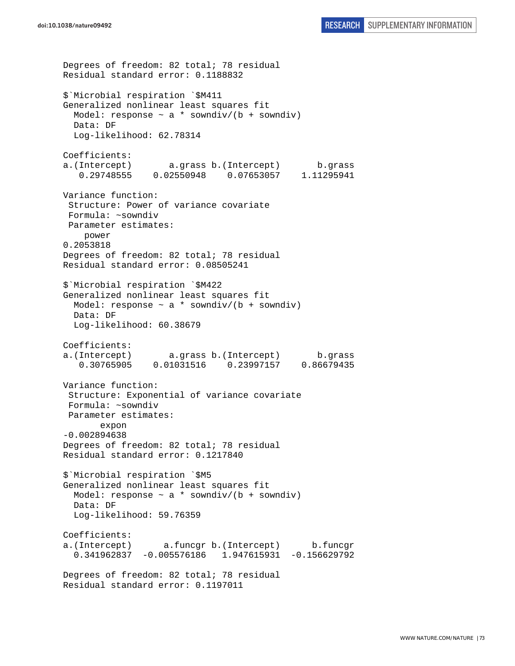```
Degrees of freedom: 82 total; 78 residual 
Residual standard error: 0.1188832 
$`Microbial respiration `$M411 
Generalized nonlinear least squares fit 
  Model: response \sim a * sowndiv/(b + sowndiv)
   Data: DF 
   Log-likelihood: 62.78314 
Coefficients: 
a.(Intercept) a.grass b.(Intercept) b.grass 
    0.29748555 0.02550948 0.07653057 1.11295941 
Variance function: 
  Structure: Power of variance covariate 
  Formula: ~sowndiv 
 Parameter estimates: 
     power 
0.2053818 
Degrees of freedom: 82 total; 78 residual 
Residual standard error: 0.08505241 
$`Microbial respiration `$M422 
Generalized nonlinear least squares fit 
  Model: response \sim a * sowndiv/(b + sowndiv)
   Data: DF 
   Log-likelihood: 60.38679 
Coefficients: 
a.(Intercept) a.grass b.(Intercept) b.grass 
    0.30765905 0.01031516 0.23997157 0.86679435 
Variance function: 
  Structure: Exponential of variance covariate 
 Formula: ~sowndiv 
 Parameter estimates: 
        expon 
-0.002894638 
Degrees of freedom: 82 total; 78 residual 
Residual standard error: 0.1217840 
$`Microbial respiration `$M5 
Generalized nonlinear least squares fit 
 Model: response \sim a * sowndiv/(b + sowndiv)
   Data: DF 
   Log-likelihood: 59.76359 
Coefficients: 
a.(Intercept) a.funcgr b.(Intercept) b.funcgr 
   0.341962837 -0.005576186 1.947615931 -0.156629792 
Degrees of freedom: 82 total; 78 residual 
Residual standard error: 0.1197011
```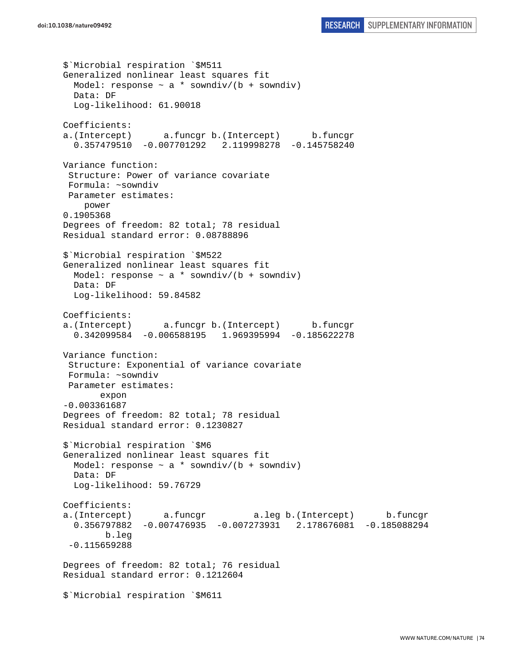\$`Microbial respiration `\$M511 Generalized nonlinear least squares fit Model: response  $\sim$  a  $*$  sowndiv/(b + sowndiv) Data: DF Log-likelihood: 61.90018 Coefficients: a.(Intercept) a.funcgr b.(Intercept) b.funcgr 0.357479510 -0.007701292 2.119998278 -0.145758240 Variance function: Structure: Power of variance covariate Formula: ~sowndiv Parameter estimates: power 0.1905368 Degrees of freedom: 82 total; 78 residual Residual standard error: 0.08788896 \$`Microbial respiration `\$M522 Generalized nonlinear least squares fit Model: response  $\sim$  a \* sowndiv/(b + sowndiv) Data: DF Log-likelihood: 59.84582 Coefficients: a.(Intercept) a.funcgr b.(Intercept) b.funcgr 0.342099584 -0.006588195 1.969395994 -0.185622278 Variance function: Structure: Exponential of variance covariate Formula: ~sowndiv Parameter estimates: expon -0.003361687 Degrees of freedom: 82 total; 78 residual Residual standard error: 0.1230827 \$`Microbial respiration `\$M6 Generalized nonlinear least squares fit Model: response  $\sim$  a \* sowndiv/(b + sowndiv) Data: DF Log-likelihood: 59.76729 Coefficients: a.(Intercept) a.funcgr a.leg b.(Intercept) b.funcgr 0.356797882 -0.007476935 -0.007273931 2.178676081 -0.185088294 b.leg -0.115659288 Degrees of freedom: 82 total; 76 residual Residual standard error: 0.1212604 \$`Microbial respiration `\$M611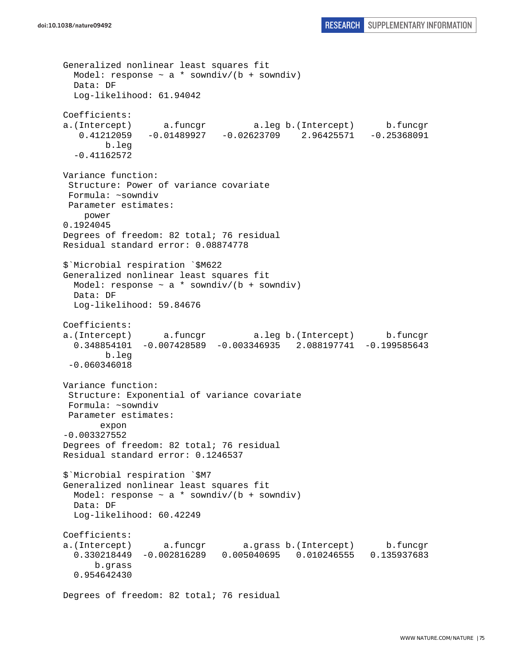```
Generalized nonlinear least squares fit 
  Model: response \sim a * sowndiv/(b + sowndiv)
  Data: DF 
   Log-likelihood: 61.94042 
Coefficients: 
a.(Intercept) a.funcgr a.leg b.(Intercept) b.funcgr 
   0.41212059 -0.01489927 -0.02623709 2.96425571 -0.25368091 
         b.leg 
   -0.41162572 
Variance function: 
  Structure: Power of variance covariate 
  Formula: ~sowndiv 
 Parameter estimates: 
     power 
0.1924045 
Degrees of freedom: 82 total; 76 residual 
Residual standard error: 0.08874778 
$`Microbial respiration `$M622 
Generalized nonlinear least squares fit 
 Model: response \sim a * sowndiv/(b + sowndiv)
  Data: DF 
   Log-likelihood: 59.84676 
Coefficients: 
a.(Intercept) a.funcgr a.leg b.(Intercept) b.funcgr 
   0.348854101 -0.007428589 -0.003346935 2.088197741 -0.199585643 
         b.leg 
  -0.060346018 
Variance function: 
  Structure: Exponential of variance covariate 
 Formula: ~sowndiv 
 Parameter estimates: 
        expon 
-0.003327552 
Degrees of freedom: 82 total; 76 residual 
Residual standard error: 0.1246537 
$`Microbial respiration `$M7 
Generalized nonlinear least squares fit 
 Model: response \sim a * sowndiv/(b + sowndiv)
   Data: DF 
   Log-likelihood: 60.42249 
Coefficients: 
a.(Intercept) a.funcgr a.grass b.(Intercept) b.funcgr 
   0.330218449 -0.002816289 0.005040695 0.010246555 0.135937683 
       b.grass 
   0.954642430 
Degrees of freedom: 82 total; 76 residual
```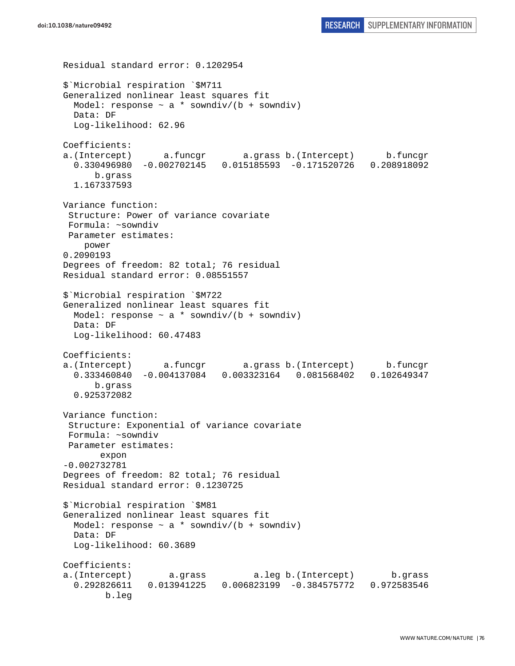```
Residual standard error: 0.1202954 
$`Microbial respiration `$M711 
Generalized nonlinear least squares fit 
 Model: response \sim a * sowndiv/(b + sowndiv)
   Data: DF 
   Log-likelihood: 62.96 
Coefficients: 
a.(Intercept) a.funcgr a.grass b.(Intercept) b.funcgr 
   0.330496980 -0.002702145 0.015185593 -0.171520726 0.208918092 
       b.grass 
   1.167337593 
Variance function: 
  Structure: Power of variance covariate 
 Formula: ~sowndiv 
 Parameter estimates: 
     power 
0.2090193 
Degrees of freedom: 82 total; 76 residual 
Residual standard error: 0.08551557 
$`Microbial respiration `$M722 
Generalized nonlinear least squares fit 
  Model: response \sim a * sowndiv/(b + sowndiv)
  Data: DF 
  Log-likelihood: 60.47483 
Coefficients: 
a.(Intercept) a.funcgr a.grass b.(Intercept) b.funcgr 
   0.333460840 -0.004137084 0.003323164 0.081568402 0.102649347 
       b.grass 
   0.925372082 
Variance function: 
  Structure: Exponential of variance covariate 
 Formula: ~sowndiv 
 Parameter estimates: 
        expon 
-0.002732781 
Degrees of freedom: 82 total; 76 residual 
Residual standard error: 0.1230725 
$`Microbial respiration `$M81 
Generalized nonlinear least squares fit 
 Model: response \sim a * sowndiv/(b + sowndiv)
  Data: DF 
   Log-likelihood: 60.3689 
Coefficients: 
a.(Intercept) a.grass a.leg b.(Intercept) b.grass 
   0.292826611 0.013941225 0.006823199 -0.384575772 0.972583546 
         b.leg
```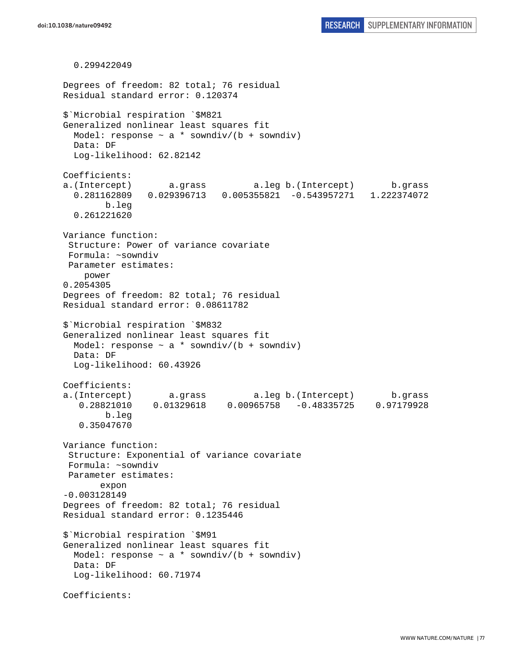0.299422049 Degrees of freedom: 82 total; 76 residual Residual standard error: 0.120374 \$`Microbial respiration `\$M821 Generalized nonlinear least squares fit Model: response  $\sim$  a \* sowndiv/(b + sowndiv) Data: DF Log-likelihood: 62.82142 Coefficients: a.(Intercept) a.grass a.leg b.(Intercept) b.grass 0.281162809 0.029396713 0.005355821 -0.543957271 1.222374072 b.leg 0.261221620 Variance function: Structure: Power of variance covariate Formula: ~sowndiv Parameter estimates: power 0.2054305 Degrees of freedom: 82 total; 76 residual Residual standard error: 0.08611782 \$`Microbial respiration `\$M832 Generalized nonlinear least squares fit Model: response  $\sim$  a \* sowndiv/(b + sowndiv) Data: DF Log-likelihood: 60.43926 Coefficients: a.(Intercept) a.grass a.leg b.(Intercept) b.grass 0.28821010 0.01329618 0.00965758 -0.48335725 0.97179928 b.leg 0.35047670 Variance function: Structure: Exponential of variance covariate Formula: ~sowndiv Parameter estimates: expon -0.003128149 Degrees of freedom: 82 total; 76 residual Residual standard error: 0.1235446 \$`Microbial respiration `\$M91 Generalized nonlinear least squares fit Model: response  $\sim$  a \* sowndiv/(b + sowndiv) Data: DF Log-likelihood: 60.71974 Coefficients: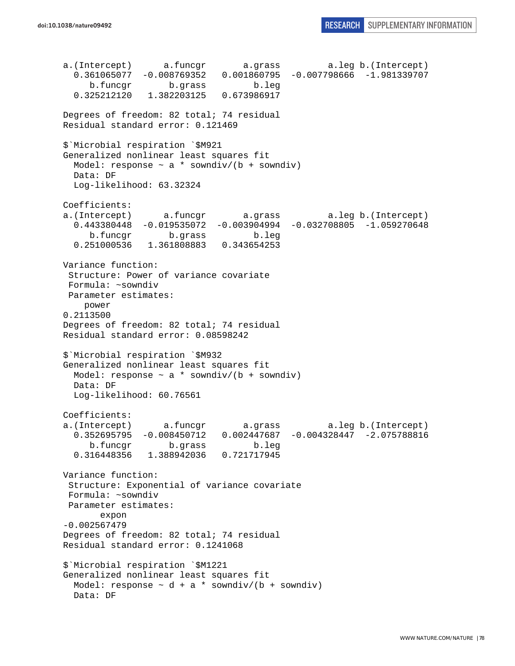a.(Intercept) a.funcgr a.grass a.leg b.(Intercept) 0.361065077 -0.008769352 0.001860795 -0.007798666 -1.981339707 b.funcgr b.grass b.leg 0.325212120 1.382203125 0.673986917 Degrees of freedom: 82 total; 74 residual Residual standard error: 0.121469 \$`Microbial respiration `\$M921 Generalized nonlinear least squares fit Model: response  $\sim$  a  $*$  sowndiv/(b + sowndiv) Data: DF Log-likelihood: 63.32324 Coefficients: a.(Intercept) a.funcgr a.grass a.leg b.(Intercept) 0.443380448 -0.019535072 -0.003904994 -0.032708805 -1.059270648 b.funcgr b.grass b.leg 0.251000536 1.361808883 0.343654253 Variance function: Structure: Power of variance covariate Formula: ~sowndiv Parameter estimates: power 0.2113500 Degrees of freedom: 82 total; 74 residual Residual standard error: 0.08598242 \$`Microbial respiration `\$M932 Generalized nonlinear least squares fit Model: response  $\sim$  a \* sowndiv/(b + sowndiv) Data: DF Log-likelihood: 60.76561 Coefficients: a.(Intercept) a.funcgr a.grass a.leg b.(Intercept) 0.352695795 -0.008450712 0.002447687 -0.004328447 -2.075788816 b.funcgr b.grass b.leg 0.316448356 1.388942036 0.721717945 Variance function: Structure: Exponential of variance covariate Formula: ~sowndiv Parameter estimates: expon -0.002567479 Degrees of freedom: 82 total; 74 residual Residual standard error: 0.1241068 \$`Microbial respiration `\$M1221 Generalized nonlinear least squares fit Model: response  $\sim d + a *$  sowndiv/(b + sowndiv) Data: DF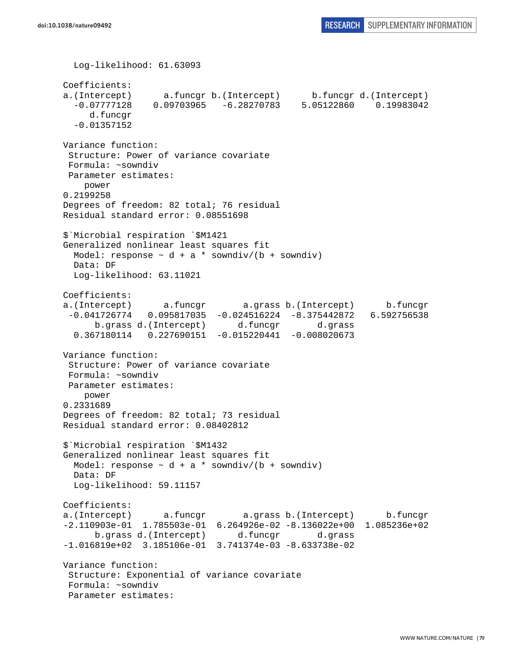Log-likelihood: 61.63093 Coefficients: a.(Intercept) a.funcgr b.(Intercept) b.funcgr d.(Intercept) -0.07777128 0.09703965 -6.28270783 5.05122860 0.19983042 d.funcgr -0.01357152 Variance function: Structure: Power of variance covariate Formula: ~sowndiv Parameter estimates: power 0.2199258 Degrees of freedom: 82 total; 76 residual Residual standard error: 0.08551698 \$`Microbial respiration `\$M1421 Generalized nonlinear least squares fit Model: response  $\sim d + a *$  sowndiv/(b + sowndiv) Data: DF Log-likelihood: 63.11021 Coefficients: a.(Intercept) a.funcgr a.grass b.(Intercept) b.funcgr -0.041726774 0.095817035 -0.024516224 -8.375442872 6.592756538 b.grass d.(Intercept) d.funcgr d.grass 0.367180114 0.227690151 -0.015220441 -0.008020673 Variance function: Structure: Power of variance covariate Formula: ~sowndiv Parameter estimates: power 0.2331689 Degrees of freedom: 82 total; 73 residual Residual standard error: 0.08402812 \$`Microbial respiration `\$M1432 Generalized nonlinear least squares fit Model: response  $\sim d + a *$  sowndiv/(b + sowndiv) Data: DF Log-likelihood: 59.11157 Coefficients: a.(Intercept) a.funcgr a.grass b.(Intercept) b.funcgr -2.110903e-01 1.785503e-01 6.264926e-02 -8.136022e+00 1.085236e+02 b.grass d.(Intercept) d.funcgr d.grass -1.016819e+02 3.185106e-01 3.741374e-03 -8.633738e-02 Variance function: Structure: Exponential of variance covariate Formula: ~sowndiv Parameter estimates: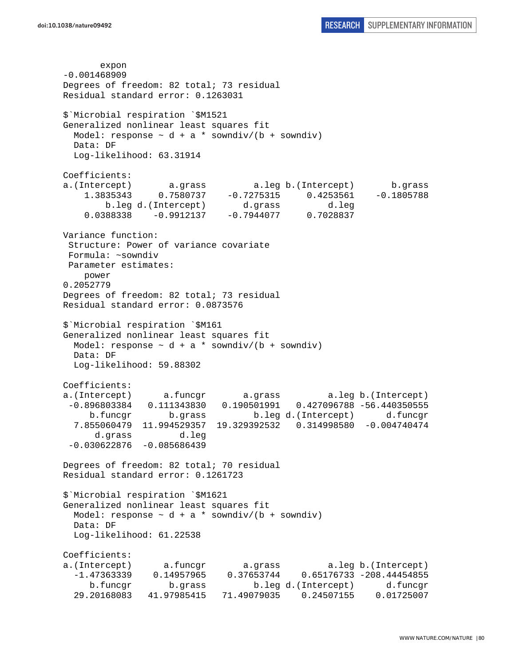expon -0.001468909 Degrees of freedom: 82 total; 73 residual Residual standard error: 0.1263031 \$`Microbial respiration `\$M1521 Generalized nonlinear least squares fit Model: response  $\sim d + a *$  sowndiv/(b + sowndiv) Data: DF Log-likelihood: 63.31914 Coefficients: a.(Intercept) a.grass a.leg b.(Intercept) b.grass 1.3835343 0.7580737 -0.7275315 0.4253561 -0.1805788 b.leg d.(Intercept) d.grass d.leg 0.0388338 -0.9912137 -0.7944077 0.7028837 Variance function: Structure: Power of variance covariate Formula: ~sowndiv Parameter estimates: power 0.2052779 Degrees of freedom: 82 total; 73 residual Residual standard error: 0.0873576 \$`Microbial respiration `\$M161 Generalized nonlinear least squares fit Model: response  $\sim d + a *$  sowndiv/(b + sowndiv) Data: DF Log-likelihood: 59.88302 Coefficients: a.(Intercept) a.funcgr a.grass a.leg b.(Intercept) -0.896803384 0.111343830 0.190501991 0.427096788 -56.440350555 b.funcgr b.grass b.leg d.(Intercept) d.funcgr 7.855060479 11.994529357 19.329392532 0.314998580 -0.004740474 d.grass d.leg  $-0.030622876 -0.085686439$ Degrees of freedom: 82 total; 70 residual Residual standard error: 0.1261723 \$`Microbial respiration `\$M1621 Generalized nonlinear least squares fit Model: response  $\sim$  d + a \* sowndiv/(b + sowndiv) Data: DF Log-likelihood: 61.22538 Coefficients: a.(Intercept) a.funcgr a.grass a.leg b.(Intercept) -1.47363339 0.14957965 0.37653744 0.65176733 -208.44454855 b.funcgr b.grass b.leg d.(Intercept) d.funcgr 29.20168083 41.97985415 71.49079035 0.24507155 0.01725007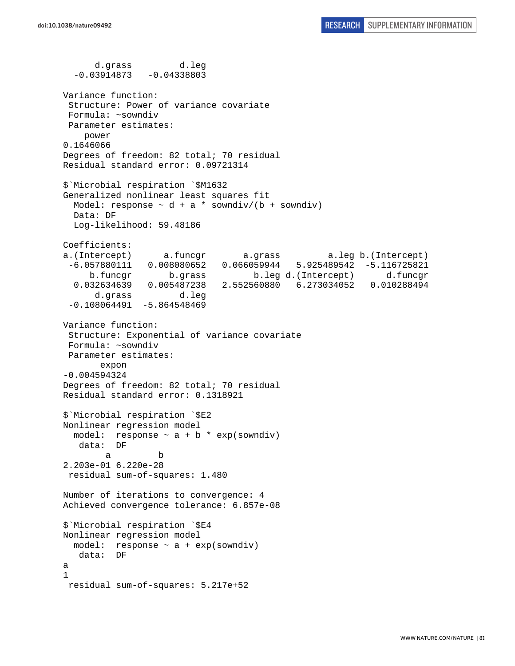d.grass d.leg  $-0.03914873 - 0.04338803$ Variance function: Structure: Power of variance covariate Formula: ~sowndiv Parameter estimates: power 0.1646066 Degrees of freedom: 82 total; 70 residual Residual standard error: 0.09721314 \$`Microbial respiration `\$M1632 Generalized nonlinear least squares fit Model: response  $\sim d + a *$  sowndiv/(b + sowndiv) Data: DF Log-likelihood: 59.48186 Coefficients: a.(Intercept) a.funcgr a.grass a.leg b.(Intercept) -6.057880111 0.008080652 0.066059944 5.925489542 -5.116725821 b.funcgr b.grass b.leg d.(Intercept) d.funcgr 0.032634639 0.005487238 2.552560880 6.273034052 0.010288494 d.grass d.leg  $-0.108064491 - 5.864548469$ Variance function: Structure: Exponential of variance covariate Formula: ~sowndiv Parameter estimates: expon -0.004594324 Degrees of freedom: 82 total; 70 residual Residual standard error: 0.1318921 \$`Microbial respiration `\$E2 Nonlinear regression model model: response  $\sim$  a + b  $*$  exp(sowndiv) data: DF a b 2.203e-01 6.220e-28 residual sum-of-squares: 1.480 Number of iterations to convergence: 4 Achieved convergence tolerance: 6.857e-08 \$`Microbial respiration `\$E4 Nonlinear regression model model: response ~ a + exp(sowndiv) data: DF a 1 residual sum-of-squares: 5.217e+52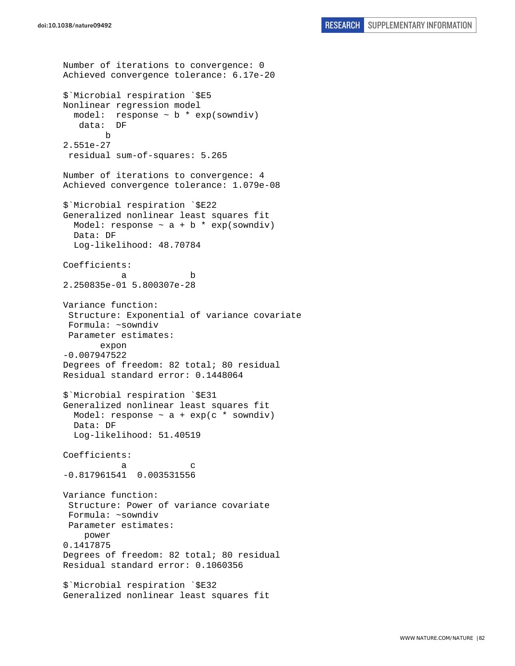```
Number of iterations to convergence: 0 
Achieved convergence tolerance: 6.17e-20 
$`Microbial respiration `$E5 
Nonlinear regression model 
   model: response ~ b * exp(sowndiv) 
    data: DF 
        b 
2.551e-27 
  residual sum-of-squares: 5.265 
Number of iterations to convergence: 4 
Achieved convergence tolerance: 1.079e-08 
$`Microbial respiration `$E22 
Generalized nonlinear least squares fit 
  Model: response \sim a + b * exp(sowndiv)
  Data: DF 
  Log-likelihood: 48.70784 
Coefficients: 
 a b 
2.250835e-01 5.800307e-28 
Variance function: 
  Structure: Exponential of variance covariate 
 Formula: ~sowndiv 
 Parameter estimates: 
        expon 
-0.007947522 
Degrees of freedom: 82 total; 80 residual 
Residual standard error: 0.1448064 
$`Microbial respiration `$E31 
Generalized nonlinear least squares fit 
 Model: response \sim a + exp(c * sowndiv)
   Data: DF 
   Log-likelihood: 51.40519 
Coefficients: 
a c
-0.817961541 0.003531556 
Variance function: 
  Structure: Power of variance covariate 
  Formula: ~sowndiv 
 Parameter estimates: 
     power 
0.1417875 
Degrees of freedom: 82 total; 80 residual 
Residual standard error: 0.1060356 
$`Microbial respiration `$E32 
Generalized nonlinear least squares fit
```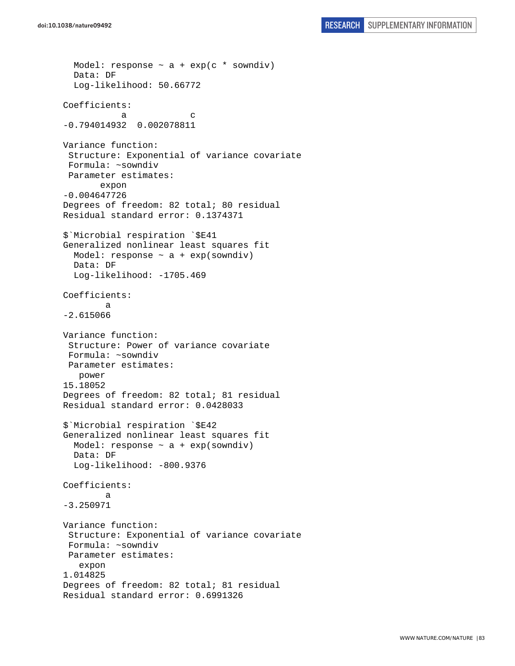```
doi:10.1038/nature09492 RESEARCH SUPPLEMENTARY INFORMATION
```

```
Model: response \sim a + exp(c * sowndiv)
   Data: DF 
   Log-likelihood: 50.66772 
Coefficients: 
a c
-0.794014932 0.002078811 
Variance function: 
  Structure: Exponential of variance covariate 
  Formula: ~sowndiv 
  Parameter estimates: 
        expon 
-0.004647726 
Degrees of freedom: 82 total; 80 residual 
Residual standard error: 0.1374371 
$`Microbial respiration `$E41 
Generalized nonlinear least squares fit 
  Model: response \sim a + exp(sowndiv)
   Data: DF 
  Log-likelihood: -1705.469
Coefficients: 
 a 
-2.615066 
Variance function: 
  Structure: Power of variance covariate 
  Formula: ~sowndiv 
 Parameter estimates: 
    power 
15.18052 
Degrees of freedom: 82 total; 81 residual 
Residual standard error: 0.0428033 
$`Microbial respiration `$E42 
Generalized nonlinear least squares fit 
  Model: response \sim a + exp(sowndiv)
   Data: DF 
   Log-likelihood: -800.9376 
Coefficients: 
 a 
-3.250971 
Variance function: 
  Structure: Exponential of variance covariate 
  Formula: ~sowndiv 
 Parameter estimates: 
    expon 
1.014825 
Degrees of freedom: 82 total; 81 residual 
Residual standard error: 0.6991326
```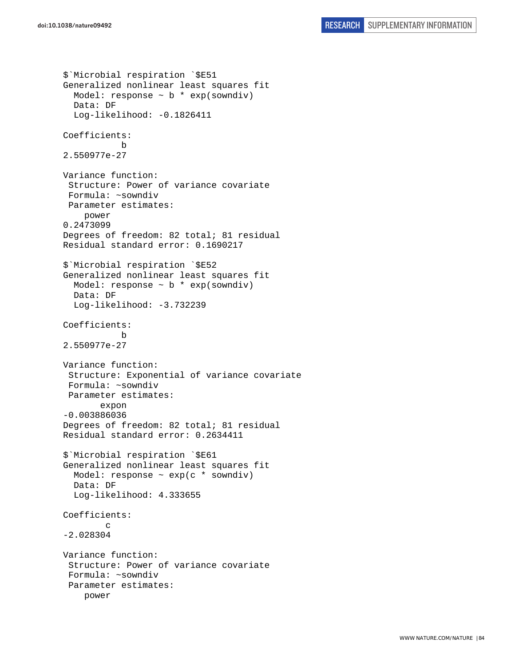```
$`Microbial respiration `$E51 
Generalized nonlinear least squares fit 
  Model: response \sim b * exp(sowndiv)
   Data: DF 
   Log-likelihood: -0.1826411 
Coefficients: 
 b 
2.550977e-27 
Variance function: 
  Structure: Power of variance covariate 
  Formula: ~sowndiv 
  Parameter estimates: 
     power 
0.2473099 
Degrees of freedom: 82 total; 81 residual 
Residual standard error: 0.1690217 
$`Microbial respiration `$E52 
Generalized nonlinear least squares fit 
  Model: response \sim b * exp(sowndiv)
   Data: DF 
   Log-likelihood: -3.732239 
Coefficients: 
 b 
2.550977e-27 
Variance function: 
  Structure: Exponential of variance covariate 
  Formula: ~sowndiv 
  Parameter estimates: 
        expon 
-0.003886036 
Degrees of freedom: 82 total; 81 residual 
Residual standard error: 0.2634411 
$`Microbial respiration `$E61 
Generalized nonlinear least squares fit 
  Model: response \sim exp(c * sowndiv)
   Data: DF 
   Log-likelihood: 4.333655 
Coefficients: 
 c 
-2.028304 
Variance function: 
  Structure: Power of variance covariate 
  Formula: ~sowndiv 
  Parameter estimates: 
     power
```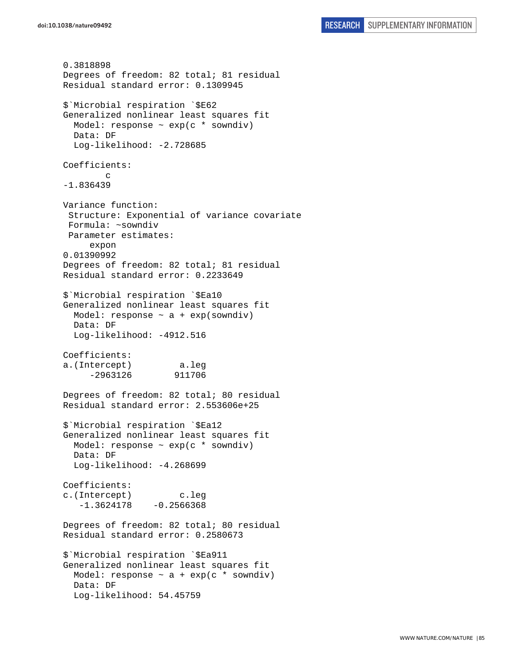0.3818898 Degrees of freedom: 82 total; 81 residual Residual standard error: 0.1309945 \$`Microbial respiration `\$E62 Generalized nonlinear least squares fit Model: response ~ exp(c \* sowndiv) Data: DF Log-likelihood: -2.728685 Coefficients: c -1.836439 Variance function: Structure: Exponential of variance covariate Formula: ~sowndiv Parameter estimates: expon 0.01390992 Degrees of freedom: 82 total; 81 residual Residual standard error: 0.2233649 \$`Microbial respiration `\$Ea10 Generalized nonlinear least squares fit Model: response  $\sim$  a + exp(sowndiv) Data: DF Log-likelihood: -4912.516 Coefficients: a.(Intercept) a.leg -2963126 911706 Degrees of freedom: 82 total; 80 residual Residual standard error: 2.553606e+25 \$`Microbial respiration `\$Ea12 Generalized nonlinear least squares fit Model: response  $\sim$  exp(c  $*$  sowndiv) Data: DF Log-likelihood: -4.268699 Coefficients: c.(Intercept) c.leg  $-1.3624178 - 0.2566368$ Degrees of freedom: 82 total; 80 residual Residual standard error: 0.2580673 \$`Microbial respiration `\$Ea911 Generalized nonlinear least squares fit Model: response  $\sim$  a + exp(c  $*$  sowndiv) Data: DF Log-likelihood: 54.45759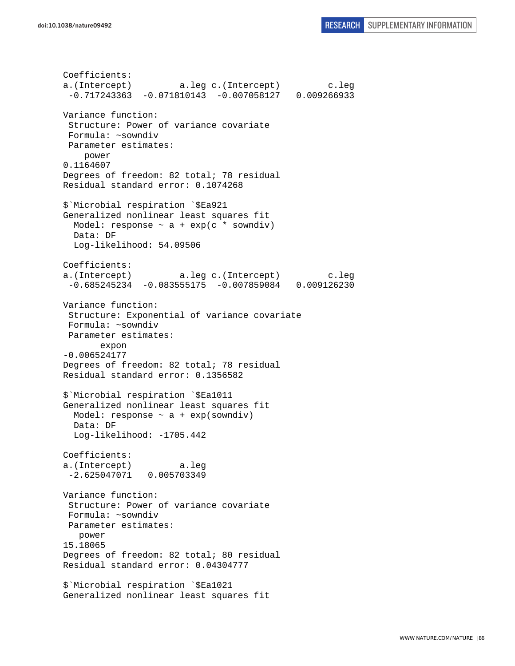Coefficients: a.(Intercept) a.leg c.(Intercept) c.leg -0.717243363 -0.071810143 -0.007058127 0.009266933 Variance function: Structure: Power of variance covariate Formula: ~sowndiv Parameter estimates: power 0.1164607 Degrees of freedom: 82 total; 78 residual Residual standard error: 0.1074268 \$`Microbial respiration `\$Ea921 Generalized nonlinear least squares fit Model: response  $\sim$  a + exp(c  $*$  sowndiv) Data: DF Log-likelihood: 54.09506 Coefficients: a.(Intercept) a.leg c.(Intercept) c.leg -0.685245234 -0.083555175 -0.007859084 0.009126230 Variance function: Structure: Exponential of variance covariate Formula: ~sowndiv Parameter estimates: expon -0.006524177 Degrees of freedom: 82 total; 78 residual Residual standard error: 0.1356582 \$`Microbial respiration `\$Ea1011 Generalized nonlinear least squares fit Model: response  $\sim$  a + exp(sowndiv) Data: DF Log-likelihood: -1705.442 Coefficients: a.(Intercept) a.leg -2.625047071 0.005703349 Variance function: Structure: Power of variance covariate Formula: ~sowndiv Parameter estimates: power 15.18065 Degrees of freedom: 82 total; 80 residual Residual standard error: 0.04304777 \$`Microbial respiration `\$Ea1021 Generalized nonlinear least squares fit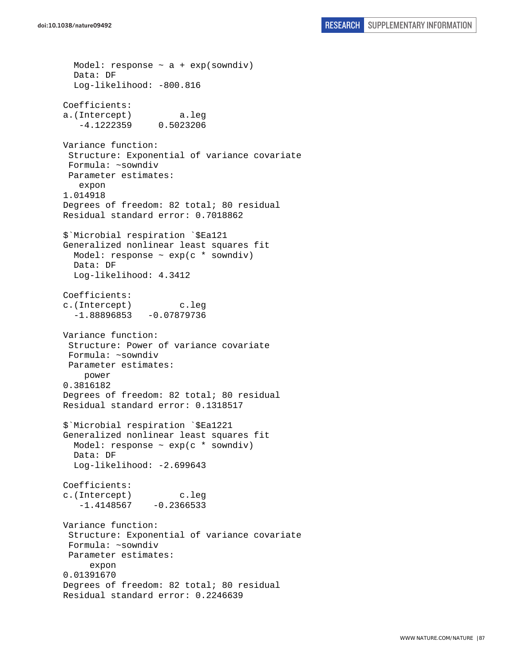Model: response  $\sim$  a + exp(sowndiv) Data: DF Log-likelihood: -800.816 Coefficients: a.(Intercept) a.leg -4.1222359 0.5023206 Variance function: Structure: Exponential of variance covariate Formula: ~sowndiv Parameter estimates: expon 1.014918 Degrees of freedom: 82 total; 80 residual Residual standard error: 0.7018862 \$`Microbial respiration `\$Ea121 Generalized nonlinear least squares fit Model: response  $\sim$  exp(c  $*$  sowndiv) Data: DF Log-likelihood: 4.3412 Coefficients: c.(Intercept) c.leg  $-1.88896853 -0.07879736$ Variance function: Structure: Power of variance covariate Formula: ~sowndiv Parameter estimates: power 0.3816182 Degrees of freedom: 82 total; 80 residual Residual standard error: 0.1318517 \$`Microbial respiration `\$Ea1221 Generalized nonlinear least squares fit Model: response  $\sim$  exp(c  $*$  sowndiv) Data: DF Log-likelihood: -2.699643 Coefficients: c.(Intercept) c.leg  $-1.4148567 -0.2366533$ Variance function: Structure: Exponential of variance covariate Formula: ~sowndiv Parameter estimates: expon 0.01391670 Degrees of freedom: 82 total; 80 residual Residual standard error: 0.2246639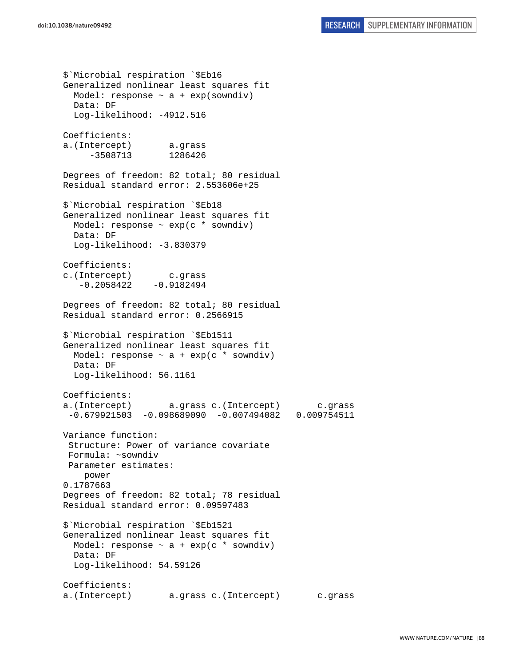\$`Microbial respiration `\$Eb16 Generalized nonlinear least squares fit Model: response  $\sim$  a + exp(sowndiv) Data: DF Log-likelihood: -4912.516 Coefficients: a.(Intercept) a.grass -3508713 1286426 Degrees of freedom: 82 total; 80 residual Residual standard error: 2.553606e+25 \$`Microbial respiration `\$Eb18 Generalized nonlinear least squares fit Model: response  $\sim$  exp(c  $*$  sowndiv) Data: DF Log-likelihood: -3.830379 Coefficients: c.(Intercept) c.grass  $-0.2058422 - 0.9182494$ Degrees of freedom: 82 total; 80 residual Residual standard error: 0.2566915 \$`Microbial respiration `\$Eb1511 Generalized nonlinear least squares fit Model: response  $\sim$  a + exp(c \* sowndiv) Data: DF Log-likelihood: 56.1161 Coefficients: a.(Intercept) a.grass c.(Intercept) c.grass -0.679921503 -0.098689090 -0.007494082 0.009754511 Variance function: Structure: Power of variance covariate Formula: ~sowndiv Parameter estimates: power 0.1787663 Degrees of freedom: 82 total; 78 residual Residual standard error: 0.09597483 \$`Microbial respiration `\$Eb1521 Generalized nonlinear least squares fit Model: response  $\sim$  a + exp(c \* sowndiv) Data: DF Log-likelihood: 54.59126 Coefficients: a.(Intercept) a.grass c.(Intercept) c.grass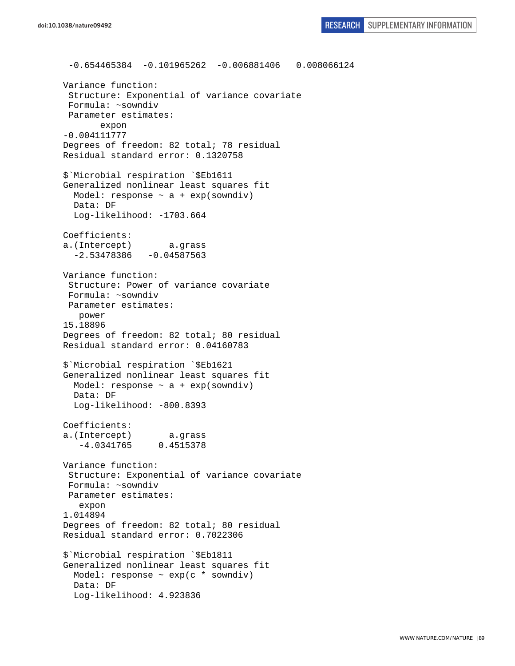-0.654465384 -0.101965262 -0.006881406 0.008066124 Variance function: Structure: Exponential of variance covariate Formula: ~sowndiv Parameter estimates: expon -0.004111777 Degrees of freedom: 82 total; 78 residual Residual standard error: 0.1320758 \$`Microbial respiration `\$Eb1611 Generalized nonlinear least squares fit Model: response  $\sim$  a + exp(sowndiv) Data: DF Log-likelihood: -1703.664 Coefficients: a.(Intercept) a.grass  $-2.53478386 -0.04587563$ Variance function: Structure: Power of variance covariate Formula: ~sowndiv Parameter estimates: power 15.18896 Degrees of freedom: 82 total; 80 residual Residual standard error: 0.04160783 \$`Microbial respiration `\$Eb1621 Generalized nonlinear least squares fit Model: response  $\sim$  a + exp(sowndiv) Data: DF Log-likelihood: -800.8393 Coefficients: a.(Intercept) a.grass -4.0341765 0.4515378 Variance function: Structure: Exponential of variance covariate Formula: ~sowndiv Parameter estimates: expon 1.014894 Degrees of freedom: 82 total; 80 residual Residual standard error: 0.7022306 \$`Microbial respiration `\$Eb1811 Generalized nonlinear least squares fit Model: response ~ exp(c \* sowndiv) Data: DF Log-likelihood: 4.923836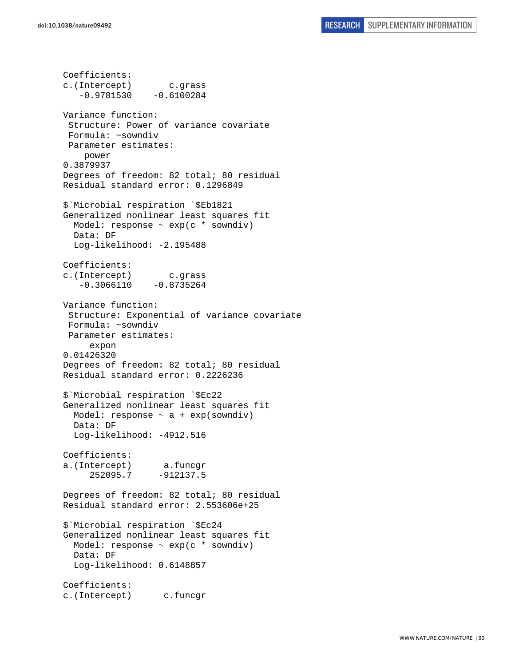Coefficients: c.(Intercept) c.grass  $-0.9781530 -0.6100284$ Variance function: Structure: Power of variance covariate Formula: ~sowndiv Parameter estimates: power 0.3879937 Degrees of freedom: 82 total; 80 residual Residual standard error: 0.1296849 \$`Microbial respiration `\$Eb1821 Generalized nonlinear least squares fit Model: response  $\sim$  exp(c  $*$  sowndiv) Data: DF Log-likelihood: -2.195488 Coefficients: c.(Intercept) c.grass  $-0.3066110 -0.8735264$ Variance function: Structure: Exponential of variance covariate Formula: ~sowndiv Parameter estimates: expon 0.01426320 Degrees of freedom: 82 total; 80 residual Residual standard error: 0.2226236 \$`Microbial respiration `\$Ec22 Generalized nonlinear least squares fit Model: response  $\sim$  a + exp(sowndiv) Data: DF Log-likelihood: -4912.516 Coefficients: a.(Intercept) a.funcgr 252095.7 -912137.5 Degrees of freedom: 82 total; 80 residual Residual standard error: 2.553606e+25 \$`Microbial respiration `\$Ec24 Generalized nonlinear least squares fit Model: response ~ exp(c \* sowndiv) Data: DF Log-likelihood: 0.6148857 Coefficients: c.(Intercept) c.funcgr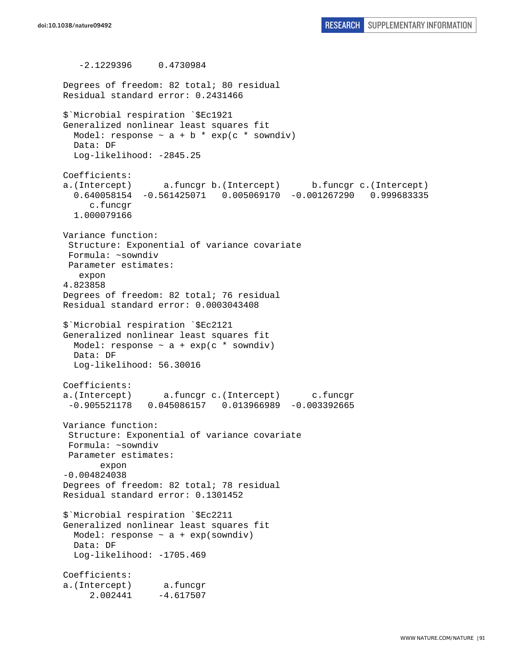-2.1229396 0.4730984 Degrees of freedom: 82 total; 80 residual Residual standard error: 0.2431466 \$`Microbial respiration `\$Ec1921 Generalized nonlinear least squares fit Model: response  $\sim$  a + b \* exp(c \* sowndiv) Data: DF Log-likelihood: -2845.25 Coefficients: a.(Intercept) a.funcgr b.(Intercept) b.funcgr c.(Intercept) 0.640058154 -0.561425071 0.005069170 -0.001267290 0.999683335 c.funcgr 1.000079166 Variance function: Structure: Exponential of variance covariate Formula: ~sowndiv Parameter estimates: expon 4.823858 Degrees of freedom: 82 total; 76 residual Residual standard error: 0.0003043408 \$`Microbial respiration `\$Ec2121 Generalized nonlinear least squares fit Model: response  $\sim$  a + exp(c \* sowndiv) Data: DF Log-likelihood: 56.30016 Coefficients: a.(Intercept) a.funcgr c.(Intercept) c.funcgr -0.905521178 0.045086157 0.013966989 -0.003392665 Variance function: Structure: Exponential of variance covariate Formula: ~sowndiv Parameter estimates: expon -0.004824038 Degrees of freedom: 82 total; 78 residual Residual standard error: 0.1301452 \$`Microbial respiration `\$Ec2211 Generalized nonlinear least squares fit Model: response  $\sim$  a + exp(sowndiv) Data: DF Log-likelihood: -1705.469 Coefficients: a.(Intercept) a.funcgr 2.002441 -4.617507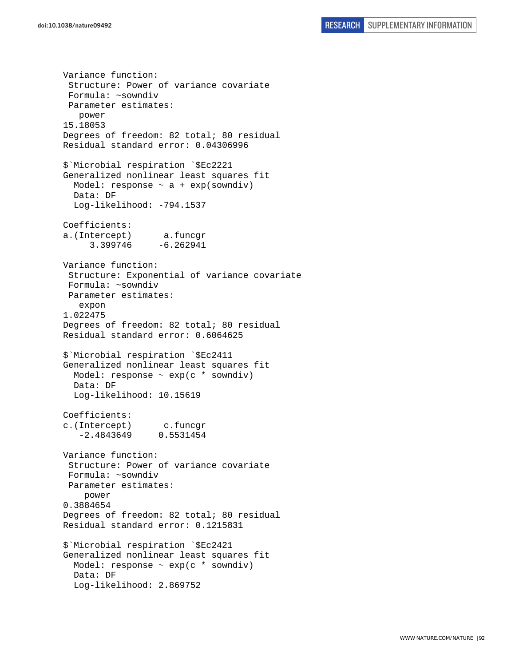Variance function: Structure: Power of variance covariate Formula: ~sowndiv Parameter estimates: power 15.18053 Degrees of freedom: 82 total; 80 residual Residual standard error: 0.04306996 \$`Microbial respiration `\$Ec2221 Generalized nonlinear least squares fit Model: response  $\sim$  a + exp(sowndiv) Data: DF Log-likelihood: -794.1537 Coefficients: a.(Intercept) a.funcgr 3.399746 -6.262941 Variance function: Structure: Exponential of variance covariate Formula: ~sowndiv Parameter estimates: expon 1.022475 Degrees of freedom: 82 total; 80 residual Residual standard error: 0.6064625 \$`Microbial respiration `\$Ec2411 Generalized nonlinear least squares fit Model: response ~ exp(c \* sowndiv) Data: DF Log-likelihood: 10.15619 Coefficients: c.(Intercept) c.funcgr -2.4843649 0.5531454 Variance function: Structure: Power of variance covariate Formula: ~sowndiv Parameter estimates: power 0.3884654 Degrees of freedom: 82 total; 80 residual Residual standard error: 0.1215831 \$`Microbial respiration `\$Ec2421 Generalized nonlinear least squares fit Model: response  $\sim$  exp(c  $*$  sowndiv) Data: DF Log-likelihood: 2.869752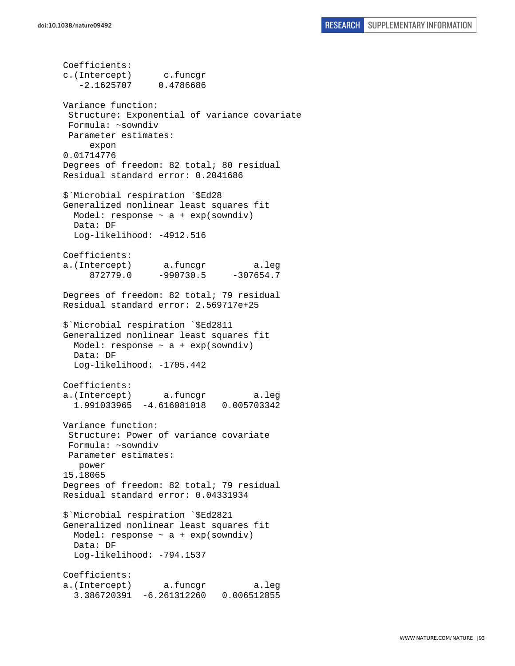Coefficients: c.(Intercept) c.funcgr -2.1625707 0.4786686 Variance function: Structure: Exponential of variance covariate Formula: ~sowndiv Parameter estimates: expon 0.01714776 Degrees of freedom: 82 total; 80 residual Residual standard error: 0.2041686 \$`Microbial respiration `\$Ed28 Generalized nonlinear least squares fit Model: response ~ a + exp(sowndiv) Data: DF Log-likelihood: -4912.516 Coefficients: a.(Intercept) a.funcgr a.leg 872779.0 -990730.5 -307654.7 Degrees of freedom: 82 total; 79 residual Residual standard error: 2.569717e+25 \$`Microbial respiration `\$Ed2811 Generalized nonlinear least squares fit Model: response  $\sim$  a + exp(sowndiv) Data: DF Log-likelihood: -1705.442 Coefficients: a.(Intercept) a.funcgr a.leg 1.991033965 -4.616081018 0.005703342 Variance function: Structure: Power of variance covariate Formula: ~sowndiv Parameter estimates: power 15.18065 Degrees of freedom: 82 total; 79 residual Residual standard error: 0.04331934 \$`Microbial respiration `\$Ed2821 Generalized nonlinear least squares fit Model: response  $\sim$  a + exp(sowndiv) Data: DF Log-likelihood: -794.1537 Coefficients: a.(Intercept) a.funcgr a.leg 3.386720391 -6.261312260 0.006512855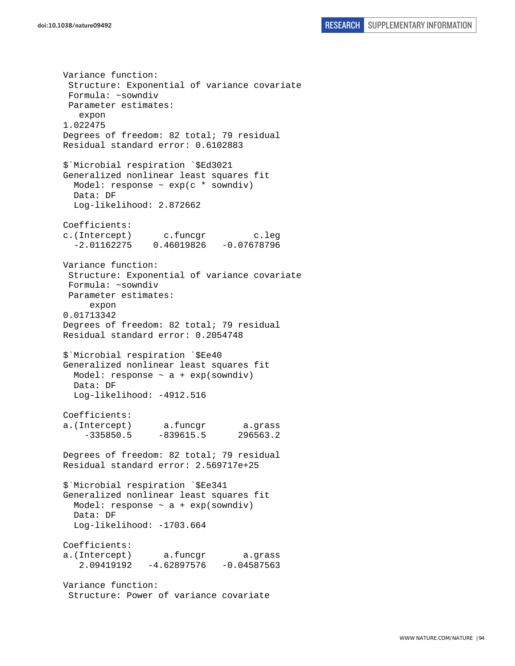Variance function: Structure: Exponential of variance covariate Formula: ~sowndiv Parameter estimates: expon 1.022475 Degrees of freedom: 82 total; 79 residual Residual standard error: 0.6102883 \$`Microbial respiration `\$Ed3021 Generalized nonlinear least squares fit Model: response ~ exp(c \* sowndiv) Data: DF Log-likelihood: 2.872662 Coefficients: c.(Intercept) c.funcgr c.leg -2.01162275 0.46019826 -0.07678796 Variance function: Structure: Exponential of variance covariate Formula: ~sowndiv Parameter estimates: expon 0.01713342 Degrees of freedom: 82 total; 79 residual Residual standard error: 0.2054748 \$`Microbial respiration `\$Ee40 Generalized nonlinear least squares fit Model: response  $\sim$  a + exp(sowndiv) Data: DF Log-likelihood: -4912.516 Coefficients: a.(Intercept) a.funcgr a.grass -335850.5 -839615.5 296563.2 Degrees of freedom: 82 total; 79 residual Residual standard error: 2.569717e+25 \$`Microbial respiration `\$Ee341 Generalized nonlinear least squares fit Model: response  $\sim$  a + exp(sowndiv) Data: DF Log-likelihood: -1703.664 Coefficients: a.(Intercept) a.funcgr a.grass 2.09419192 -4.62897576 -0.04587563 Variance function: Structure: Power of variance covariate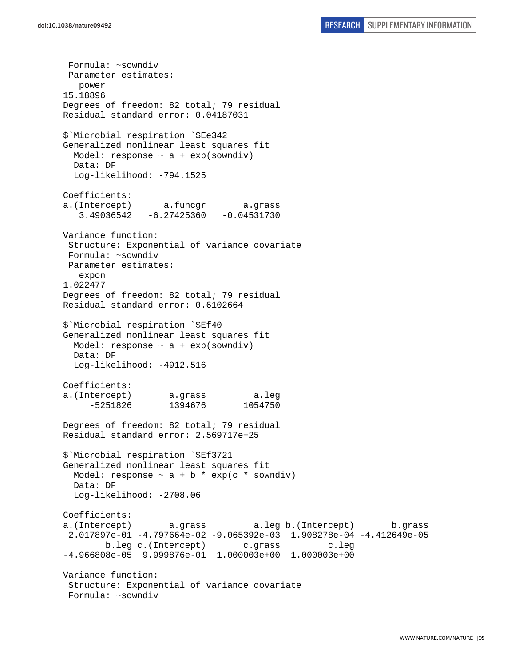Formula: ~sowndiv Parameter estimates: power 15.18896 Degrees of freedom: 82 total; 79 residual Residual standard error: 0.04187031 \$`Microbial respiration `\$Ee342 Generalized nonlinear least squares fit Model: response  $\sim$  a + exp(sowndiv) Data: DF Log-likelihood: -794.1525 Coefficients: a.(Intercept) a.funcgr a.grass 3.49036542 -6.27425360 -0.04531730 Variance function: Structure: Exponential of variance covariate Formula: ~sowndiv Parameter estimates: expon 1.022477 Degrees of freedom: 82 total; 79 residual Residual standard error: 0.6102664 \$`Microbial respiration `\$Ef40 Generalized nonlinear least squares fit Model: response  $\sim$  a + exp(sowndiv) Data: DF Log-likelihood: -4912.516 Coefficients: a.(Intercept) a.grass a.leg -5251826 1394676 1054750 Degrees of freedom: 82 total; 79 residual Residual standard error: 2.569717e+25 \$`Microbial respiration `\$Ef3721 Generalized nonlinear least squares fit Model: response  $\sim$  a + b \* exp(c \* sowndiv) Data: DF Log-likelihood: -2708.06 Coefficients: a.(Intercept) a.grass a.leg b.(Intercept) b.grass 2.017897e-01 -4.797664e-02 -9.065392e-03 1.908278e-04 -4.412649e-05 b.leg c.(Intercept) c.grass c.leg -4.966808e-05 9.999876e-01 1.000003e+00 1.000003e+00 Variance function: Structure: Exponential of variance covariate Formula: ~sowndiv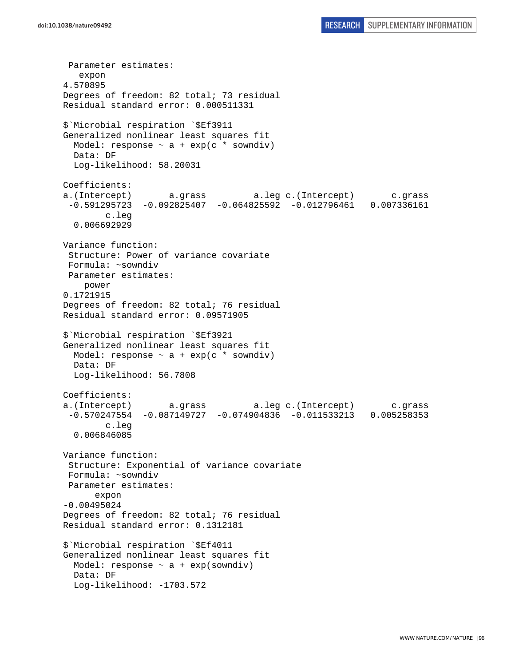Parameter estimates: expon 4.570895 Degrees of freedom: 82 total; 73 residual Residual standard error: 0.000511331 \$`Microbial respiration `\$Ef3911 Generalized nonlinear least squares fit Model: response  $\sim$  a + exp(c \* sowndiv) Data: DF Log-likelihood: 58.20031 Coefficients: a.(Intercept) a.grass a.leg c.(Intercept) c.grass -0.591295723 -0.092825407 -0.064825592 -0.012796461 0.007336161 c.leg 0.006692929 Variance function: Structure: Power of variance covariate Formula: ~sowndiv Parameter estimates: power 0.1721915 Degrees of freedom: 82 total; 76 residual Residual standard error: 0.09571905 \$`Microbial respiration `\$Ef3921 Generalized nonlinear least squares fit Model: response  $\sim$  a + exp(c \* sowndiv) Data: DF Log-likelihood: 56.7808 Coefficients: a.(Intercept) a.grass a.leg c.(Intercept) c.grass -0.570247554 -0.087149727 -0.074904836 -0.011533213 0.005258353 c.leg 0.006846085 Variance function: Structure: Exponential of variance covariate Formula: ~sowndiv Parameter estimates: expon -0.00495024 Degrees of freedom: 82 total; 76 residual Residual standard error: 0.1312181 \$`Microbial respiration `\$Ef4011 Generalized nonlinear least squares fit Model: response  $\sim$  a + exp(sowndiv) Data: DF Log-likelihood: -1703.572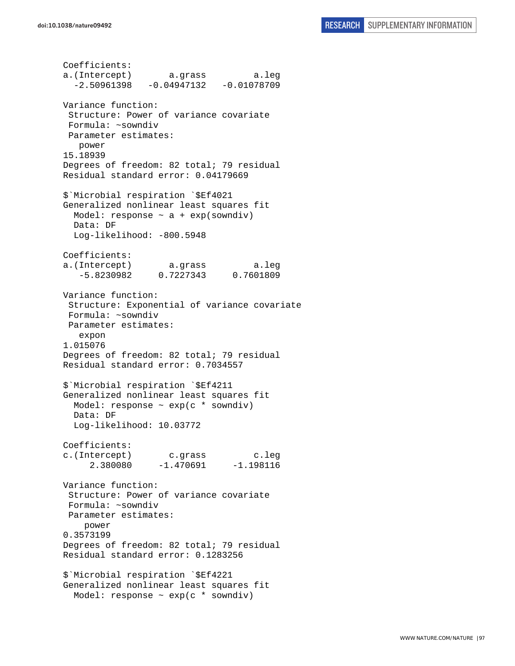Coefficients: a.(Intercept) a.grass a.leg  $-2.50961398 -0.04947132 -0.01078709$ Variance function: Structure: Power of variance covariate Formula: ~sowndiv Parameter estimates: power 15.18939 Degrees of freedom: 82 total; 79 residual Residual standard error: 0.04179669 \$`Microbial respiration `\$Ef4021 Generalized nonlinear least squares fit Model: response  $\sim$  a + exp(sowndiv) Data: DF Log-likelihood: -800.5948 Coefficients: a.(Intercept) a.grass a.leg -5.8230982 0.7227343 0.7601809 Variance function: Structure: Exponential of variance covariate Formula: ~sowndiv Parameter estimates: expon 1.015076 Degrees of freedom: 82 total; 79 residual Residual standard error: 0.7034557 \$`Microbial respiration `\$Ef4211 Generalized nonlinear least squares fit Model: response  $\sim$  exp(c  $*$  sowndiv) Data: DF Log-likelihood: 10.03772 Coefficients: c.(Intercept) c.grass c.leg 2.380080 -1.470691 -1.198116 Variance function: Structure: Power of variance covariate Formula: ~sowndiv Parameter estimates: power 0.3573199 Degrees of freedom: 82 total; 79 residual Residual standard error: 0.1283256 \$`Microbial respiration `\$Ef4221 Generalized nonlinear least squares fit Model: response ~ exp(c \* sowndiv)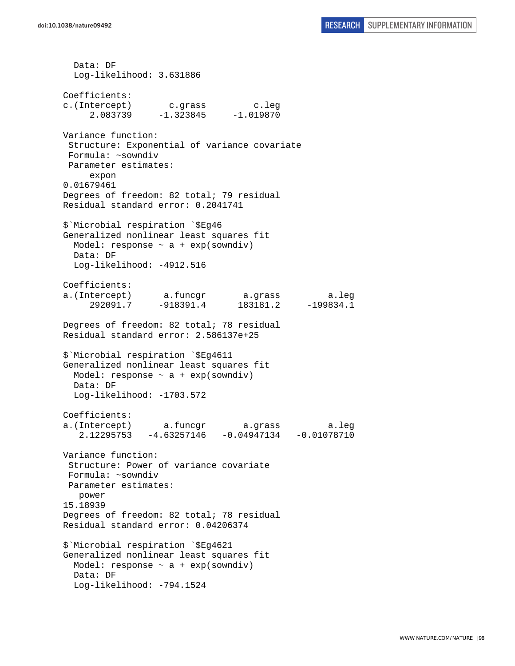Data: DF Log-likelihood: 3.631886 Coefficients: c.(Intercept) c.grass c.leg 2.083739 -1.323845 -1.019870 Variance function: Structure: Exponential of variance covariate Formula: ~sowndiv Parameter estimates: expon 0.01679461 Degrees of freedom: 82 total; 79 residual Residual standard error: 0.2041741 \$`Microbial respiration `\$Eg46 Generalized nonlinear least squares fit Model: response  $\sim$  a + exp(sowndiv) Data: DF Log-likelihood: -4912.516 Coefficients: a.(Intercept) a.funcgr a.grass a.leg 292091.7 -918391.4 183181.2 -199834.1 Degrees of freedom: 82 total; 78 residual Residual standard error: 2.586137e+25 \$`Microbial respiration `\$Eg4611 Generalized nonlinear least squares fit Model: response  $\sim$  a + exp(sowndiv) Data: DF Log-likelihood: -1703.572 Coefficients: a.(Intercept) a.funcgr a.grass a.leg 2.12295753 -4.63257146 -0.04947134 -0.01078710 Variance function: Structure: Power of variance covariate Formula: ~sowndiv Parameter estimates: power 15.18939 Degrees of freedom: 82 total; 78 residual Residual standard error: 0.04206374 \$`Microbial respiration `\$Eg4621 Generalized nonlinear least squares fit Model: response  $\sim$  a + exp(sowndiv) Data: DF Log-likelihood: -794.1524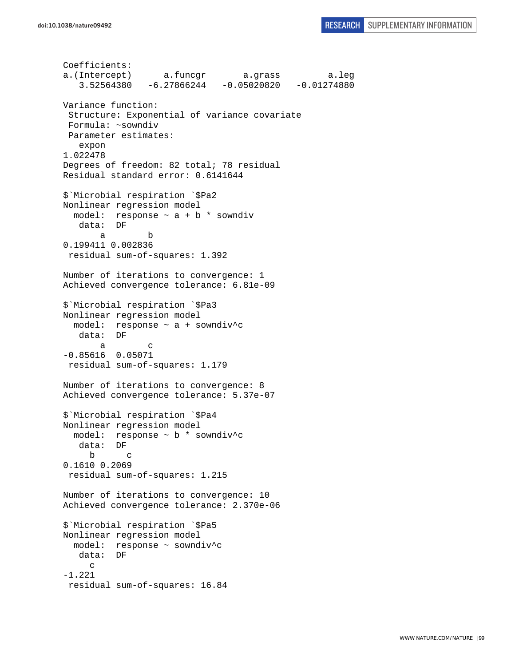```
Coefficients: 
a.(Intercept) a.funcgr a.grass a.leg 
    3.52564380 -6.27866244 -0.05020820 -0.01274880 
Variance function: 
  Structure: Exponential of variance covariate 
 Formula: ~sowndiv 
 Parameter estimates: 
    expon 
1.022478 
Degrees of freedom: 82 total; 78 residual 
Residual standard error: 0.6141644 
$`Microbial respiration `$Pa2 
Nonlinear regression model 
 model: response \sim a + b * sowndiv
    data: DF 
 a b 
0.199411 0.002836 
 residual sum-of-squares: 1.392 
Number of iterations to convergence: 1 
Achieved convergence tolerance: 6.81e-09 
$`Microbial respiration `$Pa3 
Nonlinear regression model 
 model: response \sim a + sowndiv<sup>^</sup>c
    data: DF 
 a c 
-0.85616 0.05071 
  residual sum-of-squares: 1.179 
Number of iterations to convergence: 8 
Achieved convergence tolerance: 5.37e-07 
$`Microbial respiration `$Pa4 
Nonlinear regression model 
  model: response ~ b * sowndiv^c 
    data: DF 
      b c 
0.1610 0.2069 
  residual sum-of-squares: 1.215 
Number of iterations to convergence: 10 
Achieved convergence tolerance: 2.370e-06 
$`Microbial respiration `$Pa5 
Nonlinear regression model 
   model: response ~ sowndiv^c 
    data: DF 
      c 
-1.221 
 residual sum-of-squares: 16.84
```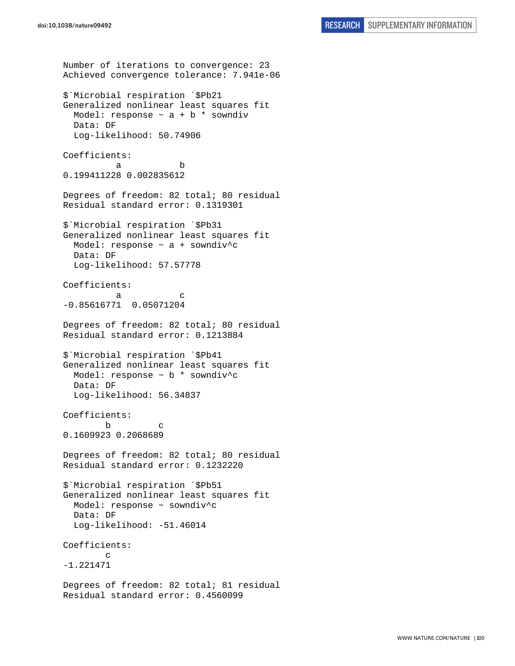```
Number of iterations to convergence: 23 
Achieved convergence tolerance: 7.941e-06 
$`Microbial respiration `$Pb21 
Generalized nonlinear least squares fit 
  Model: response \sim a + b * sowndiv
  Data: DF 
  Log-likelihood: 50.74906 
Coefficients: 
 a b 
0.199411228 0.002835612 
Degrees of freedom: 82 total; 80 residual 
Residual standard error: 0.1319301 
$`Microbial respiration `$Pb31 
Generalized nonlinear least squares fit 
  Model: response ~ a + sowndiv^c 
  Data: DF 
   Log-likelihood: 57.57778 
Coefficients: 
a c
-0.85616771 0.05071204 
Degrees of freedom: 82 total; 80 residual 
Residual standard error: 0.1213884 
$`Microbial respiration `$Pb41 
Generalized nonlinear least squares fit 
  Model: response ~ b * sowndiv^c 
  Data: DF 
   Log-likelihood: 56.34837 
Coefficients: 
 b c 
0.1609923 0.2068689 
Degrees of freedom: 82 total; 80 residual 
Residual standard error: 0.1232220 
$`Microbial respiration `$Pb51 
Generalized nonlinear least squares fit 
   Model: response ~ sowndiv^c 
  Data: DF 
  Log-likelihood: -51.46014 
Coefficients: 
 c 
-1.221471 
Degrees of freedom: 82 total; 81 residual 
Residual standard error: 0.4560099
```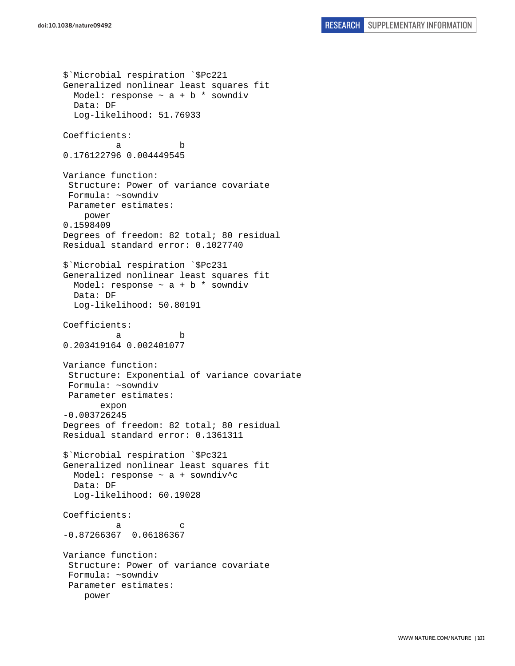\$`Microbial respiration `\$Pc221 Generalized nonlinear least squares fit Model: response  $\sim$  a + b  $*$  sowndiv Data: DF Log-likelihood: 51.76933 Coefficients: a b 0.176122796 0.004449545 Variance function: Structure: Power of variance covariate Formula: ~sowndiv Parameter estimates: power 0.1598409 Degrees of freedom: 82 total; 80 residual Residual standard error: 0.1027740 \$`Microbial respiration `\$Pc231 Generalized nonlinear least squares fit Model: response  $\sim$  a + b  $*$  sowndiv Data: DF Log-likelihood: 50.80191 Coefficients: a b 0.203419164 0.002401077 Variance function: Structure: Exponential of variance covariate Formula: ~sowndiv Parameter estimates: expon -0.003726245 Degrees of freedom: 82 total; 80 residual Residual standard error: 0.1361311 \$`Microbial respiration `\$Pc321 Generalized nonlinear least squares fit Model: response ~ a + sowndiv^c Data: DF Log-likelihood: 60.19028 Coefficients: a c -0.87266367 0.06186367 Variance function: Structure: Power of variance covariate Formula: ~sowndiv Parameter estimates: power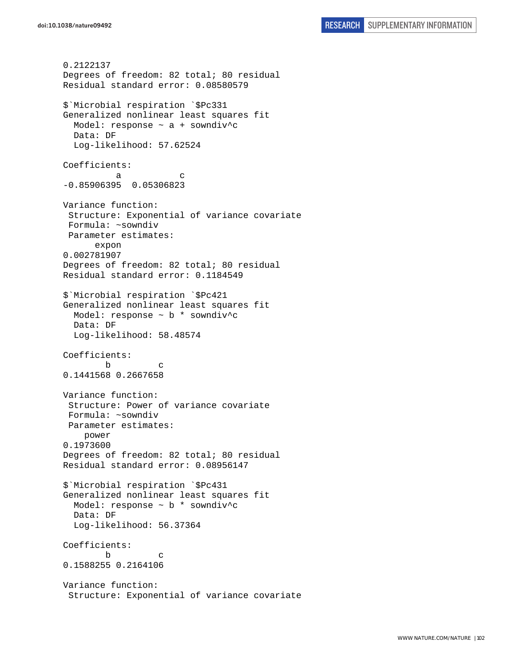0.2122137 Degrees of freedom: 82 total; 80 residual Residual standard error: 0.08580579 \$`Microbial respiration `\$Pc331 Generalized nonlinear least squares fit Model: response ~ a + sowndiv^c Data: DF Log-likelihood: 57.62524 Coefficients: a c -0.85906395 0.05306823 Variance function: Structure: Exponential of variance covariate Formula: ~sowndiv Parameter estimates: expon 0.002781907 Degrees of freedom: 82 total; 80 residual Residual standard error: 0.1184549 \$`Microbial respiration `\$Pc421 Generalized nonlinear least squares fit Model: response ~ b \* sowndiv^c Data: DF Log-likelihood: 58.48574 Coefficients: b c 0.1441568 0.2667658 Variance function: Structure: Power of variance covariate Formula: ~sowndiv Parameter estimates: power 0.1973600 Degrees of freedom: 82 total; 80 residual Residual standard error: 0.08956147 \$`Microbial respiration `\$Pc431 Generalized nonlinear least squares fit Model: response  $\sim$  b  $*$  sowndiv<sup>\*</sup>c Data: DF Log-likelihood: 56.37364 Coefficients: b c 0.1588255 0.2164106 Variance function: Structure: Exponential of variance covariate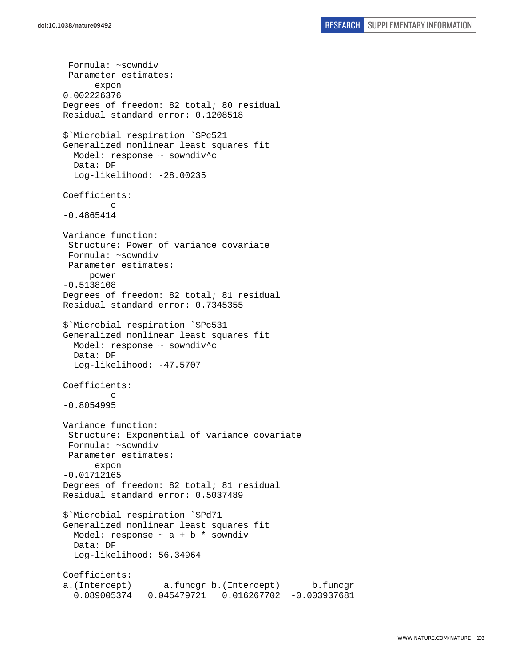Formula: ~sowndiv Parameter estimates: expon 0.002226376 Degrees of freedom: 82 total; 80 residual Residual standard error: 0.1208518 \$`Microbial respiration `\$Pc521 Generalized nonlinear least squares fit Model: response ~ sowndiv^c Data: DF Log-likelihood: -28.00235 Coefficients: c -0.4865414 Variance function: Structure: Power of variance covariate Formula: ~sowndiv Parameter estimates: power -0.5138108 Degrees of freedom: 82 total; 81 residual Residual standard error: 0.7345355 \$`Microbial respiration `\$Pc531 Generalized nonlinear least squares fit Model: response ~ sowndiv^c Data: DF Log-likelihood: -47.5707 Coefficients: c -0.8054995 Variance function: Structure: Exponential of variance covariate Formula: ~sowndiv Parameter estimates: expon -0.01712165 Degrees of freedom: 82 total; 81 residual Residual standard error: 0.5037489 \$`Microbial respiration `\$Pd71 Generalized nonlinear least squares fit Model: response  $\sim$  a + b  $*$  sowndiv Data: DF Log-likelihood: 56.34964 Coefficients: a.(Intercept) a.funcgr b.(Intercept) b.funcgr 0.089005374 0.045479721 0.016267702 -0.003937681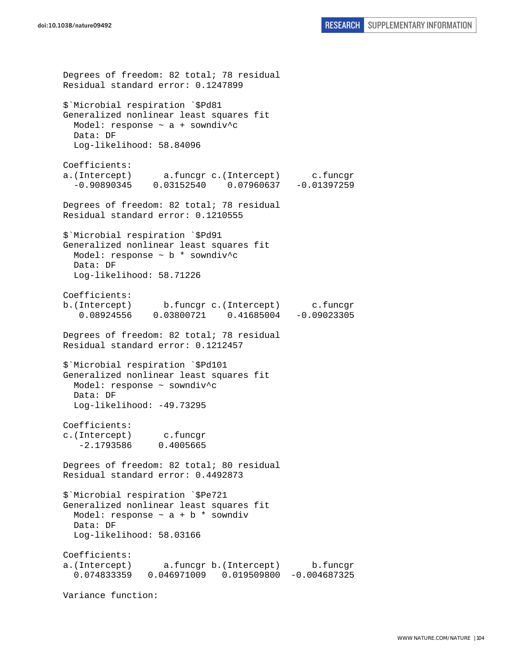Degrees of freedom: 82 total; 78 residual Residual standard error: 0.1247899 \$`Microbial respiration `\$Pd81 Generalized nonlinear least squares fit Model: response ~ a + sowndiv^c Data: DF Log-likelihood: 58.84096 Coefficients: a.(Intercept) a.funcgr c.(Intercept) c.funcgr -0.90890345 0.03152540 0.07960637 -0.01397259 Degrees of freedom: 82 total; 78 residual Residual standard error: 0.1210555 \$`Microbial respiration `\$Pd91 Generalized nonlinear least squares fit Model: response  $\sim$  b  $*$  sowndiv<sup>^</sup>c Data: DF Log-likelihood: 58.71226 Coefficients: b.(Intercept) b.funcgr c.(Intercept) c.funcgr 0.08924556 0.03800721 0.41685004 -0.09023305 Degrees of freedom: 82 total; 78 residual Residual standard error: 0.1212457 \$`Microbial respiration `\$Pd101 Generalized nonlinear least squares fit Model: response ~ sowndiv^c Data: DF Log-likelihood: -49.73295 Coefficients: c.(Intercept) c.funcgr -2.1793586 0.4005665 Degrees of freedom: 82 total; 80 residual Residual standard error: 0.4492873 \$`Microbial respiration `\$Pe721 Generalized nonlinear least squares fit Model: response  $\sim$  a + b \* sowndiv Data: DF Log-likelihood: 58.03166 Coefficients: a.(Intercept) a.funcgr b.(Intercept) b.funcgr 0.074833359 0.046971009 0.019509800 -0.004687325 Variance function: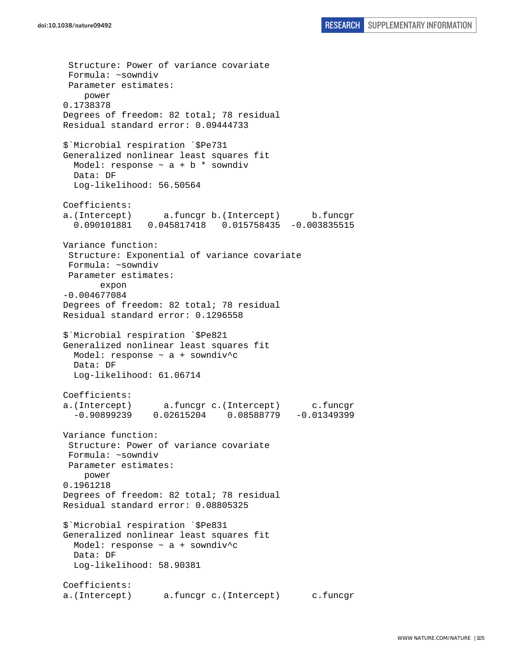Structure: Power of variance covariate Formula: ~sowndiv Parameter estimates: power 0.1738378 Degrees of freedom: 82 total; 78 residual Residual standard error: 0.09444733 \$`Microbial respiration `\$Pe731 Generalized nonlinear least squares fit Model: response  $\sim$  a + b  $*$  sowndiv Data: DF Log-likelihood: 56.50564 Coefficients: a.(Intercept) a.funcgr b.(Intercept) b.funcgr 0.090101881 0.045817418 0.015758435 -0.003835515 Variance function: Structure: Exponential of variance covariate Formula: ~sowndiv Parameter estimates: expon -0.004677084 Degrees of freedom: 82 total; 78 residual Residual standard error: 0.1296558 \$`Microbial respiration `\$Pe821 Generalized nonlinear least squares fit Model: response ~ a + sowndiv^c Data: DF Log-likelihood: 61.06714 Coefficients: a.(Intercept) a.funcgr c.(Intercept) c.funcgr -0.90899239 0.02615204 0.08588779 -0.01349399 Variance function: Structure: Power of variance covariate Formula: ~sowndiv Parameter estimates: power 0.1961218 Degrees of freedom: 82 total; 78 residual Residual standard error: 0.08805325 \$`Microbial respiration `\$Pe831 Generalized nonlinear least squares fit Model: response ~ a + sowndiv^c Data: DF Log-likelihood: 58.90381 Coefficients: a.(Intercept) a.funcgr c.(Intercept) c.funcgr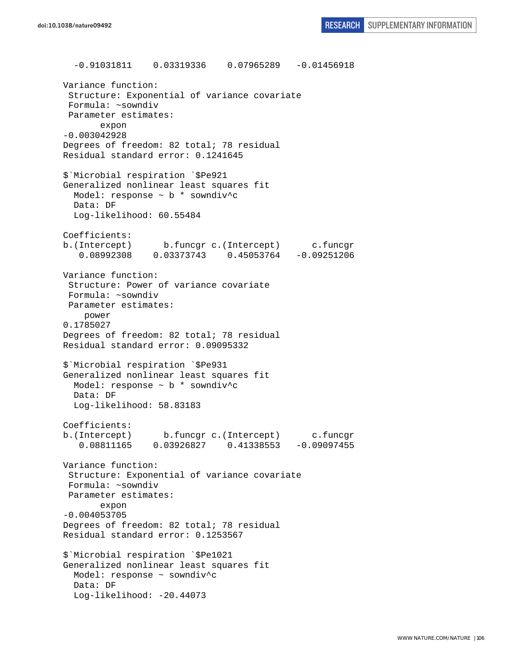-0.91031811 0.03319336 0.07965289 -0.01456918 Variance function: Structure: Exponential of variance covariate Formula: ~sowndiv Parameter estimates: expon -0.003042928 Degrees of freedom: 82 total; 78 residual Residual standard error: 0.1241645 \$`Microbial respiration `\$Pe921 Generalized nonlinear least squares fit Model: response ~ b \* sowndiv^c Data: DF Log-likelihood: 60.55484 Coefficients: b.(Intercept) b.funcgr c.(Intercept) c.funcgr 0.08992308 0.03373743 0.45053764 -0.09251206 Variance function: Structure: Power of variance covariate Formula: ~sowndiv Parameter estimates: power 0.1785027 Degrees of freedom: 82 total; 78 residual Residual standard error: 0.09095332 \$`Microbial respiration `\$Pe931 Generalized nonlinear least squares fit Model: response ~ b \* sowndiv^c Data: DF Log-likelihood: 58.83183 Coefficients: b.(Intercept) b.funcgr c.(Intercept) c.funcgr 0.08811165 0.03926827 0.41338553 -0.09097455 Variance function: Structure: Exponential of variance covariate Formula: ~sowndiv Parameter estimates: expon -0.004053705 Degrees of freedom: 82 total; 78 residual Residual standard error: 0.1253567 \$`Microbial respiration `\$Pe1021 Generalized nonlinear least squares fit Model: response ~ sowndiv^c Data: DF Log-likelihood: -20.44073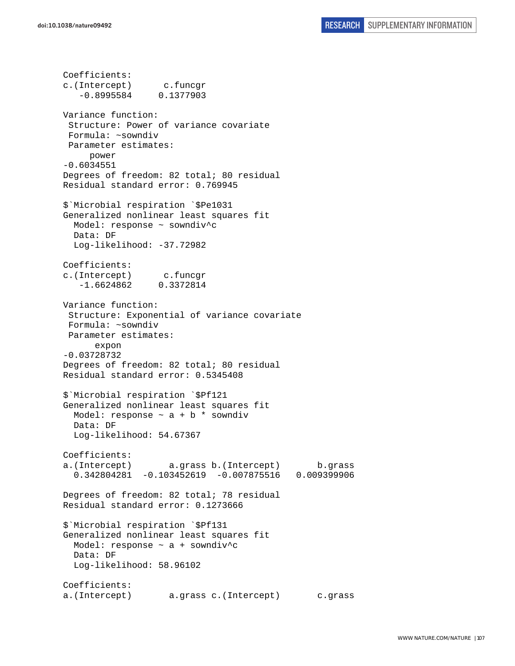Coefficients: c.(Intercept) c.funcgr -0.8995584 0.1377903 Variance function: Structure: Power of variance covariate Formula: ~sowndiv Parameter estimates: power -0.6034551 Degrees of freedom: 82 total; 80 residual Residual standard error: 0.769945 \$`Microbial respiration `\$Pe1031 Generalized nonlinear least squares fit Model: response ~ sowndiv^c Data: DF Log-likelihood: -37.72982 Coefficients: c.(Intercept) c.funcgr -1.6624862 0.3372814 Variance function: Structure: Exponential of variance covariate Formula: ~sowndiv Parameter estimates: expon -0.03728732 Degrees of freedom: 82 total; 80 residual Residual standard error: 0.5345408 \$`Microbial respiration `\$Pf121 Generalized nonlinear least squares fit Model: response  $\sim$  a + b  $*$  sowndiv Data: DF Log-likelihood: 54.67367 Coefficients: a.(Intercept) a.grass b.(Intercept) b.grass 0.342804281 -0.103452619 -0.007875516 0.009399906 Degrees of freedom: 82 total; 78 residual Residual standard error: 0.1273666 \$`Microbial respiration `\$Pf131 Generalized nonlinear least squares fit Model: response ~ a + sowndiv^c Data: DF Log-likelihood: 58.96102 Coefficients: a.(Intercept) a.grass c.(Intercept) c.grass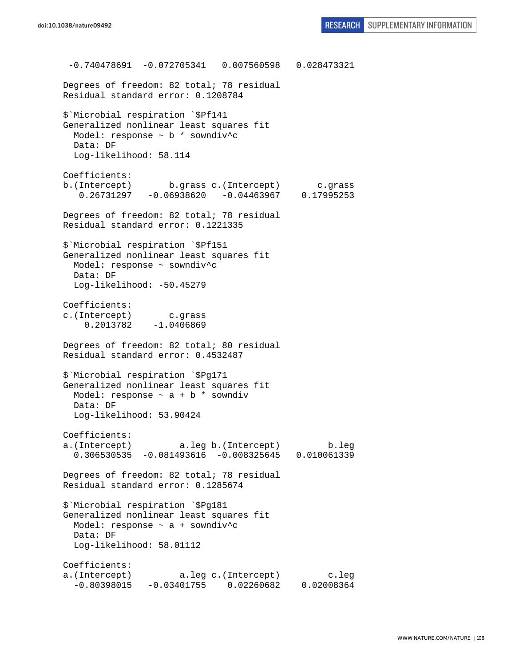-0.740478691 -0.072705341 0.007560598 0.028473321 Degrees of freedom: 82 total; 78 residual Residual standard error: 0.1208784 \$`Microbial respiration `\$Pf141 Generalized nonlinear least squares fit Model: response  $\sim$  b  $*$  sowndiv<sup>^</sup>c Data: DF Log-likelihood: 58.114 Coefficients: b.(Intercept) b.grass c.(Intercept) c.grass 0.26731297 -0.06938620 -0.04463967 0.17995253  $0.26731297 -0.06938620 -0.04463967$ Degrees of freedom: 82 total; 78 residual Residual standard error: 0.1221335 \$`Microbial respiration `\$Pf151 Generalized nonlinear least squares fit Model: response ~ sowndiv^c Data: DF Log-likelihood: -50.45279 Coefficients: c.(Intercept) c.grass 0.2013782 -1.0406869 Degrees of freedom: 82 total; 80 residual Residual standard error: 0.4532487 \$`Microbial respiration `\$Pg171 Generalized nonlinear least squares fit Model: response  $\sim$  a + b  $*$  sowndiv Data: DF Log-likelihood: 53.90424 Coefficients: a.(Intercept) a.leg b.(Intercept) b.leg 0.306530535 -0.081493616 -0.008325645 0.010061339 Degrees of freedom: 82 total; 78 residual Residual standard error: 0.1285674 \$`Microbial respiration `\$Pg181 Generalized nonlinear least squares fit Model: response  $\sim$  a + sowndiv<sup>^</sup>c Data: DF Log-likelihood: 58.01112 Coefficients: a.(Intercept) a.leg c.(Intercept) c.leg -0.80398015 -0.03401755 0.02260682 0.02008364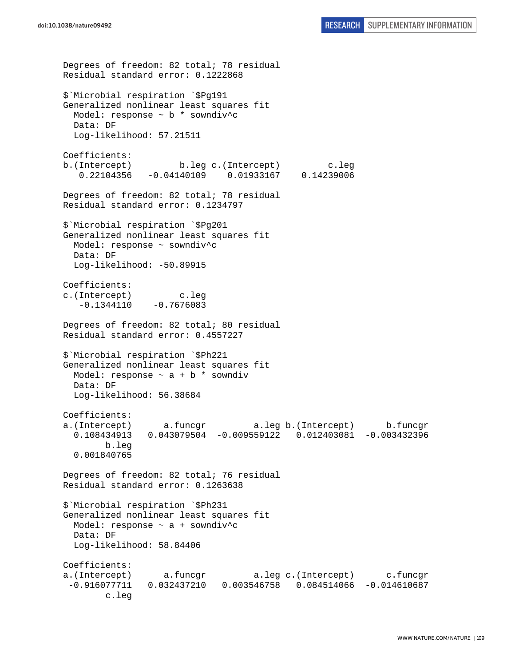```
Degrees of freedom: 82 total; 78 residual 
Residual standard error: 0.1222868 
$`Microbial respiration `$Pg191 
Generalized nonlinear least squares fit 
  Model: response \sim b * sowndiv<sup>^</sup>c
  Data: DF 
  Log-likelihood: 57.21511 
Coefficients: 
b.(Intercept) b.leg c.(Intercept) c.leg 
    0.22104356 -0.04140109 0.01933167 0.14239006 
Degrees of freedom: 82 total; 78 residual 
Residual standard error: 0.1234797 
$`Microbial respiration `$Pg201 
Generalized nonlinear least squares fit 
  Model: response ~ sowndiv^c 
  Data: DF 
   Log-likelihood: -50.89915 
Coefficients: 
c.(Intercept) c.leg 
   -0.1344110 -0.7676083Degrees of freedom: 82 total; 80 residual 
Residual standard error: 0.4557227 
$`Microbial respiration `$Ph221 
Generalized nonlinear least squares fit 
 Model: response \sim a + b * sowndiv
   Data: DF 
   Log-likelihood: 56.38684 
Coefficients: 
a.(Intercept) a.funcgr a.leg b.(Intercept) b.funcgr 
   0.108434913 0.043079504 -0.009559122 0.012403081 -0.003432396 
         b.leg 
   0.001840765 
Degrees of freedom: 82 total; 76 residual 
Residual standard error: 0.1263638 
$`Microbial respiration `$Ph231 
Generalized nonlinear least squares fit 
 Model: response \sim a + sowndiv<sup>^</sup>c
  Data: DF 
   Log-likelihood: 58.84406 
Coefficients: 
a.(Intercept) a.funcgr a.leg c.(Intercept) c.funcgr 
  -0.916077711 0.032437210 0.003546758 0.084514066 -0.014610687 
         c.leg
```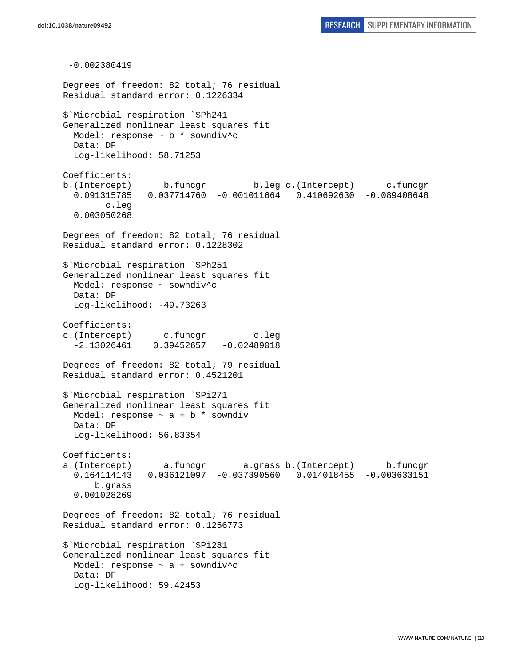-0.002380419 Degrees of freedom: 82 total; 76 residual Residual standard error: 0.1226334 \$`Microbial respiration `\$Ph241 Generalized nonlinear least squares fit Model: response  $\sim$  b  $*$  sowndiv<sup>^</sup>c Data: DF Log-likelihood: 58.71253 Coefficients: b.(Intercept) b.funcgr b.leg c.(Intercept) c.funcgr 0.091315785 0.037714760 -0.001011664 0.410692630 -0.089408648 c.leg 0.003050268 Degrees of freedom: 82 total; 76 residual Residual standard error: 0.1228302 \$`Microbial respiration `\$Ph251 Generalized nonlinear least squares fit Model: response ~ sowndiv^c Data: DF Log-likelihood: -49.73263 Coefficients: c.(Intercept) c.funcgr c.leg  $-2.13026461$  0.39452657  $-0.02489018$ Degrees of freedom: 82 total; 79 residual Residual standard error: 0.4521201 \$`Microbial respiration `\$Pi271 Generalized nonlinear least squares fit Model: response  $\sim$  a + b  $*$  sowndiv Data: DF Log-likelihood: 56.83354 Coefficients: a.(Intercept) a.funcgr a.grass b.(Intercept) b.funcgr 0.164114143 0.036121097 -0.037390560 0.014018455 -0.003633151 b.grass 0.001028269 Degrees of freedom: 82 total; 76 residual Residual standard error: 0.1256773 \$`Microbial respiration `\$Pi281 Generalized nonlinear least squares fit Model: response ~ a + sowndiv^c Data: DF Log-likelihood: 59.42453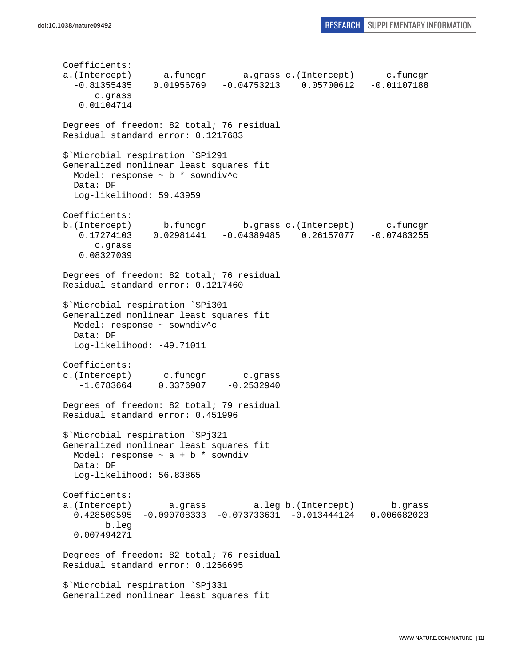Coefficients: a.(Intercept) a.funcgr a.grass c.(Intercept) c.funcgr -0.81355435 0.01956769 -0.04753213 0.05700612 -0.01107188 c.grass 0.01104714 Degrees of freedom: 82 total; 76 residual Residual standard error: 0.1217683 \$`Microbial respiration `\$Pi291 Generalized nonlinear least squares fit Model: response ~ b \* sowndiv^c Data: DF Log-likelihood: 59.43959 Coefficients: b.(Intercept) b.funcgr b.grass c.(Intercept) c.funcgr 0.17274103 0.02981441 -0.04389485 0.26157077 -0.07483255 c.grass 0.08327039 Degrees of freedom: 82 total; 76 residual Residual standard error: 0.1217460 \$`Microbial respiration `\$Pi301 Generalized nonlinear least squares fit Model: response ~ sowndiv^c Data: DF Log-likelihood: -49.71011 Coefficients: c.(Intercept) c.funcgr c.grass  $-1.6783664$  0.3376907  $-0.2532940$ Degrees of freedom: 82 total; 79 residual Residual standard error: 0.451996 \$`Microbial respiration `\$Pj321 Generalized nonlinear least squares fit Model: response  $\sim$  a + b  $*$  sowndiv Data: DF Log-likelihood: 56.83865 Coefficients: a.(Intercept) a.grass a.leg b.(Intercept) b.grass 0.428509595 -0.090708333 -0.073733631 -0.013444124 0.006682023 b.leg 0.007494271 Degrees of freedom: 82 total; 76 residual Residual standard error: 0.1256695 \$`Microbial respiration `\$Pj331 Generalized nonlinear least squares fit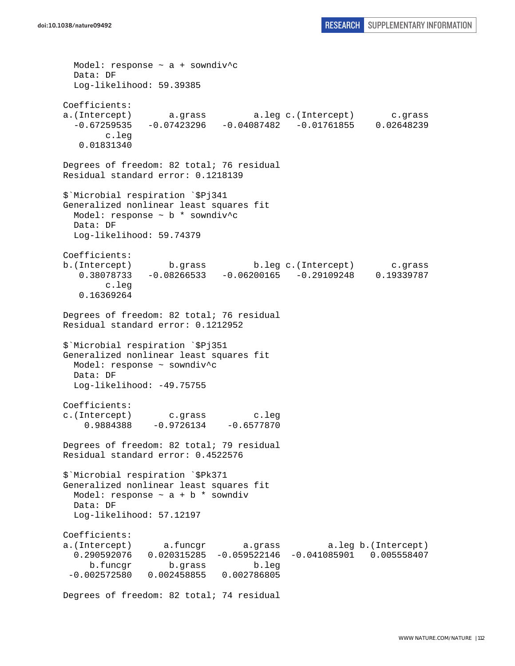```
 Model: response ~ a + sowndiv^c 
  Data: DF 
  Log-likelihood: 59.39385 
Coefficients: 
a.(Intercept) a.grass a.leg c.(Intercept) c.grass 
  -0.67259535 -0.07423296 -0.04087482 -0.01761855 0.02648239 
        c.leg 
    0.01831340 
Degrees of freedom: 82 total; 76 residual 
Residual standard error: 0.1218139 
$`Microbial respiration `$Pj341 
Generalized nonlinear least squares fit 
  Model: response ~ b * sowndiv^c 
  Data: DF 
  Log-likelihood: 59.74379 
Coefficients: 
b.(Intercept) b.grass b.leg c.(Intercept) c.grass 
   0.38078733 -0.08266533 -0.06200165 -0.29109248 0.19339787 
        c.leg 
    0.16369264 
Degrees of freedom: 82 total; 76 residual 
Residual standard error: 0.1212952 
$`Microbial respiration `$Pj351 
Generalized nonlinear least squares fit 
  Model: response ~ sowndiv^c 
  Data: DF 
 Log-likelihood: -49.75755
Coefficients: 
c.(Intercept) c.grass c.leg 
    0.9884388 - 0.9726134 - 0.6577870Degrees of freedom: 82 total; 79 residual 
Residual standard error: 0.4522576 
$`Microbial respiration `$Pk371 
Generalized nonlinear least squares fit 
 Model: response \sim a + b * sowndiv
  Data: DF 
  Log-likelihood: 57.12197 
Coefficients: 
a.(Intercept) a.funcgr a.grass a.leg b.(Intercept) 
   0.290592076 0.020315285 -0.059522146 -0.041085901 0.005558407 
     b.funcgr b.grass b.leg 
 -0.002572580 0.002458855 0.002786805
```
Degrees of freedom: 82 total; 74 residual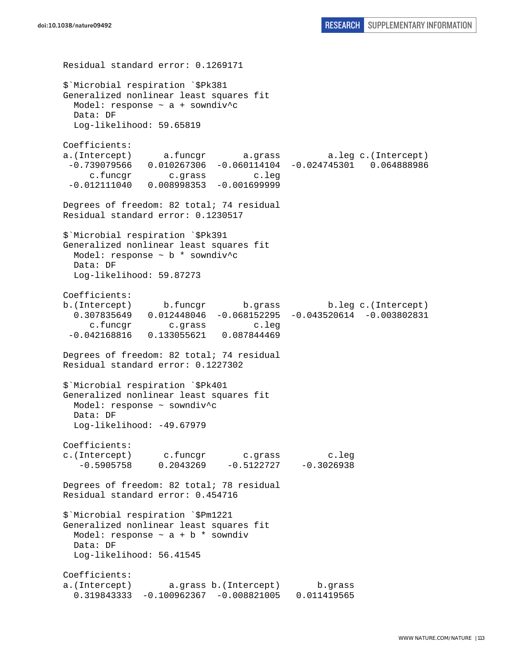```
doi:10.1038/nature09492 RESEARCH SUPPLEMENTARY INFORMATION
```
Residual standard error: 0.1269171 \$`Microbial respiration `\$Pk381 Generalized nonlinear least squares fit Model: response  $\sim$  a + sowndiv<sup>^</sup>c Data: DF Log-likelihood: 59.65819 Coefficients: a.(Intercept) a.funcgr a.grass a.leg c.(Intercept) -0.739079566 0.010267306 -0.060114104 -0.024745301 0.064888986 c.funcgr c.grass c.leg -0.012111040 0.008998353 -0.001699999 Degrees of freedom: 82 total; 74 residual Residual standard error: 0.1230517 \$`Microbial respiration `\$Pk391 Generalized nonlinear least squares fit Model: response  $\sim$  b  $*$  sowndiv<sup>^</sup>c Data: DF Log-likelihood: 59.87273 Coefficients: b.(Intercept) b.funcgr b.grass b.leg c.(Intercept) 0.307835649 0.012448046 -0.068152295 -0.043520614 -0.003802831 c.funcgr c.grass c.leg -0.042168816 0.133055621 0.087844469 Degrees of freedom: 82 total; 74 residual Residual standard error: 0.1227302 \$`Microbial respiration `\$Pk401 Generalized nonlinear least squares fit Model: response ~ sowndiv^c Data: DF Log-likelihood: -49.67979 Coefficients: c.(Intercept) c.funcgr c.grass c.leg  $-0.5905758$   $0.2043269$   $-0.5122727$   $-0.3026938$ Degrees of freedom: 82 total; 78 residual Residual standard error: 0.454716 \$`Microbial respiration `\$Pm1221 Generalized nonlinear least squares fit Model: response  $\sim$  a + b  $*$  sowndiv Data: DF Log-likelihood: 56.41545 Coefficients: a.(Intercept) a.grass b.(Intercept) b.grass 0.319843333 -0.100962367 -0.008821005 0.011419565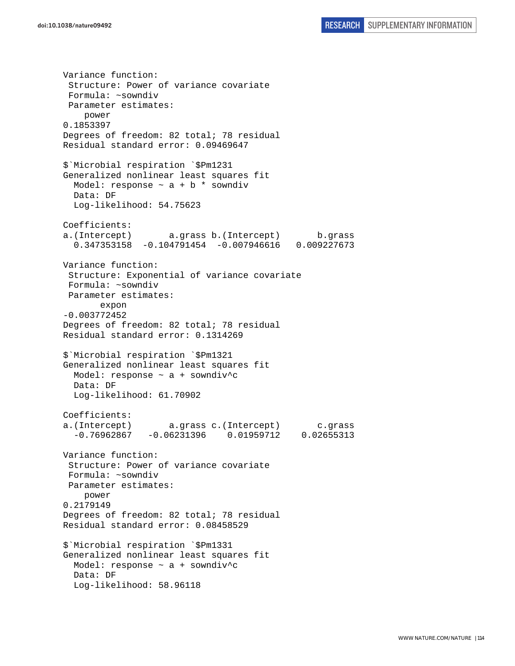Variance function: Structure: Power of variance covariate Formula: ~sowndiv Parameter estimates: power 0.1853397 Degrees of freedom: 82 total; 78 residual Residual standard error: 0.09469647 \$`Microbial respiration `\$Pm1231 Generalized nonlinear least squares fit Model: response  $\sim$  a + b \* sowndiv Data: DF Log-likelihood: 54.75623 Coefficients: a.(Intercept) a.grass b.(Intercept) b.grass 0.347353158 -0.104791454 -0.007946616 0.009227673 Variance function: Structure: Exponential of variance covariate Formula: ~sowndiv Parameter estimates: expon -0.003772452 Degrees of freedom: 82 total; 78 residual Residual standard error: 0.1314269 \$`Microbial respiration `\$Pm1321 Generalized nonlinear least squares fit Model: response  $\sim$  a + sowndiv^c Data: DF Log-likelihood: 61.70902 Coefficients: a.(Intercept) a.grass c.(Intercept) c.grass -0.76962867 -0.06231396 0.01959712 0.02655313 Variance function: Structure: Power of variance covariate Formula: ~sowndiv Parameter estimates: power 0.2179149 Degrees of freedom: 82 total; 78 residual Residual standard error: 0.08458529 \$`Microbial respiration `\$Pm1331 Generalized nonlinear least squares fit Model: response  $\sim$  a + sowndiv<sup>^</sup>c Data: DF Log-likelihood: 58.96118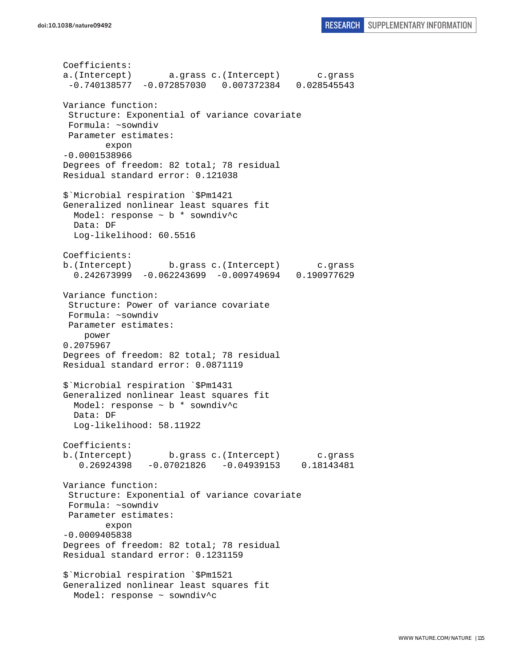```
Coefficients: 
a.(Intercept) a.grass c.(Intercept) c.grass 
  -0.740138577 -0.072857030 0.007372384 0.028545543 
Variance function: 
  Structure: Exponential of variance covariate 
 Formula: ~sowndiv 
 Parameter estimates: 
         expon 
-0.0001538966 
Degrees of freedom: 82 total; 78 residual 
Residual standard error: 0.121038 
$`Microbial respiration `$Pm1421 
Generalized nonlinear least squares fit 
  Model: response ~ b * sowndiv^c 
  Data: DF 
   Log-likelihood: 60.5516 
Coefficients: 
b.(Intercept) b.grass c.(Intercept) c.grass 
   0.242673999 -0.062243699 -0.009749694 0.190977629 
Variance function: 
  Structure: Power of variance covariate 
  Formula: ~sowndiv 
 Parameter estimates: 
     power 
0.2075967 
Degrees of freedom: 82 total; 78 residual 
Residual standard error: 0.0871119 
$`Microbial respiration `$Pm1431 
Generalized nonlinear least squares fit 
 Model: response \sim b * sowndiv<sup>^</sup>c
  Data: DF 
   Log-likelihood: 58.11922 
Coefficients: 
b.(Intercept) b.grass c.(Intercept) c.grass 
    0.26924398 -0.07021826 -0.04939153 0.18143481 
Variance function: 
 Structure: Exponential of variance covariate 
 Formula: ~sowndiv 
 Parameter estimates: 
         expon 
-0.0009405838 
Degrees of freedom: 82 total; 78 residual 
Residual standard error: 0.1231159 
$`Microbial respiration `$Pm1521 
Generalized nonlinear least squares fit 
  Model: response ~ sowndiv^c
```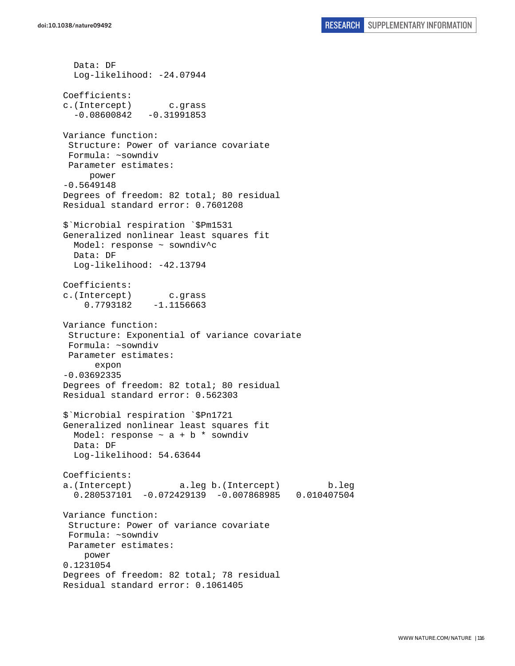Data: DF Log-likelihood: -24.07944 Coefficients: c.(Intercept) c.grass  $-0.08600842 -0.31991853$ Variance function: Structure: Power of variance covariate Formula: ~sowndiv Parameter estimates: power -0.5649148 Degrees of freedom: 82 total; 80 residual Residual standard error: 0.7601208 \$`Microbial respiration `\$Pm1531 Generalized nonlinear least squares fit Model: response ~ sowndiv^c Data: DF Log-likelihood: -42.13794 Coefficients: c.(Intercept) c.grass 0.7793182 -1.1156663 Variance function: Structure: Exponential of variance covariate Formula: ~sowndiv Parameter estimates: expon -0.03692335 Degrees of freedom: 82 total; 80 residual Residual standard error: 0.562303 \$`Microbial respiration `\$Pn1721 Generalized nonlinear least squares fit Model: response  $\sim$  a + b  $*$  sowndiv Data: DF Log-likelihood: 54.63644 Coefficients: a.(Intercept) a.leg b.(Intercept) b.leg 0.280537101 -0.072429139 -0.007868985 0.010407504 Variance function: Structure: Power of variance covariate Formula: ~sowndiv Parameter estimates: power 0.1231054 Degrees of freedom: 82 total; 78 residual Residual standard error: 0.1061405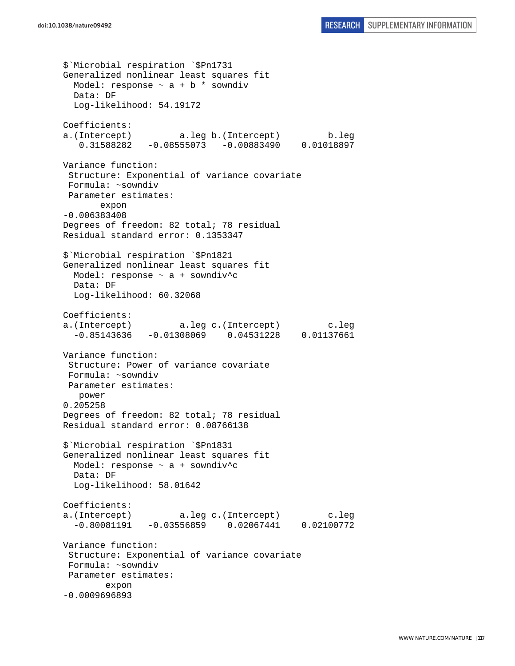\$`Microbial respiration `\$Pn1731 Generalized nonlinear least squares fit Model: response  $\sim$  a + b  $*$  sowndiv Data: DF Log-likelihood: 54.19172 Coefficients: a.(Intercept) a.leg b.(Intercept) b.leg 0.31588282 -0.08555073 -0.00883490 0.01018897 Variance function: Structure: Exponential of variance covariate Formula: ~sowndiv Parameter estimates: expon -0.006383408 Degrees of freedom: 82 total; 78 residual Residual standard error: 0.1353347 \$`Microbial respiration `\$Pn1821 Generalized nonlinear least squares fit Model: response ~ a + sowndiv^c Data: DF Log-likelihood: 60.32068 Coefficients: a.(Intercept) a.leg c.(Intercept) c.leg -0.85143636 -0.01308069 0.04531228 0.01137661 Variance function: Structure: Power of variance covariate Formula: ~sowndiv Parameter estimates: power 0.205258 Degrees of freedom: 82 total; 78 residual Residual standard error: 0.08766138 \$`Microbial respiration `\$Pn1831 Generalized nonlinear least squares fit Model: response  $\sim$  a + sowndiv<sup>^</sup>c Data: DF Log-likelihood: 58.01642 Coefficients: a.(Intercept) a.leg c.(Intercept) c.leg -0.80081191 -0.03556859 0.02067441 0.02100772 Variance function: Structure: Exponential of variance covariate Formula: ~sowndiv Parameter estimates: expon -0.0009696893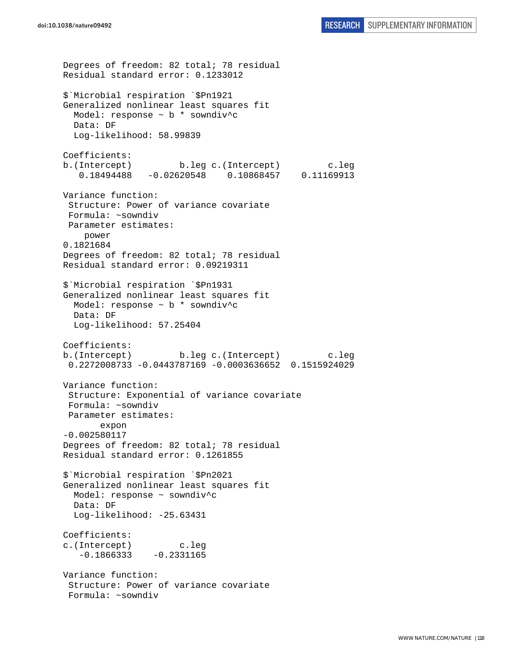```
Degrees of freedom: 82 total; 78 residual 
Residual standard error: 0.1233012 
$`Microbial respiration `$Pn1921 
Generalized nonlinear least squares fit 
   Model: response ~ b * sowndiv^c 
  Data: DF 
  Log-likelihood: 58.99839 
Coefficients: 
b.(Intercept) b.leg c.(Intercept) c.leg 
    0.18494488 -0.02620548 0.10868457 0.11169913 
Variance function: 
  Structure: Power of variance covariate 
  Formula: ~sowndiv 
 Parameter estimates: 
     power 
0.1821684 
Degrees of freedom: 82 total; 78 residual 
Residual standard error: 0.09219311 
$`Microbial respiration `$Pn1931 
Generalized nonlinear least squares fit 
   Model: response ~ b * sowndiv^c 
   Data: DF 
   Log-likelihood: 57.25404 
Coefficients: 
b.(Intercept) b.leg c.(Intercept) c.leg 
  0.2272008733 -0.0443787169 -0.0003636652 0.1515924029 
Variance function: 
  Structure: Exponential of variance covariate 
 Formula: ~sowndiv 
 Parameter estimates: 
        expon 
-0.002580117 
Degrees of freedom: 82 total; 78 residual 
Residual standard error: 0.1261855 
$`Microbial respiration `$Pn2021 
Generalized nonlinear least squares fit 
  Model: response ~ sowndiv^c 
   Data: DF 
   Log-likelihood: -25.63431 
Coefficients: 
c.(Intercept) c.leg 
   -0.1866333 - 0.2331165Variance function: 
  Structure: Power of variance covariate 
  Formula: ~sowndiv
```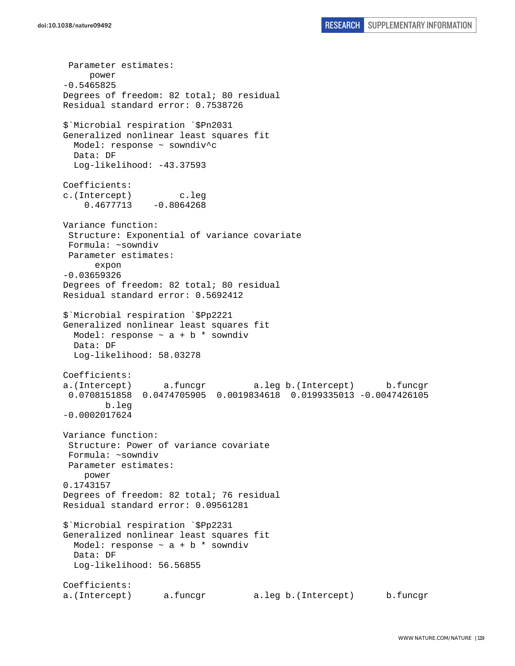Parameter estimates: power -0.5465825 Degrees of freedom: 82 total; 80 residual Residual standard error: 0.7538726 \$`Microbial respiration `\$Pn2031 Generalized nonlinear least squares fit Model: response ~ sowndiv^c Data: DF Log-likelihood: -43.37593 Coefficients: c.(Intercept) c.leg  $0.4677713 - 0.8064268$ Variance function: Structure: Exponential of variance covariate Formula: ~sowndiv Parameter estimates: expon -0.03659326 Degrees of freedom: 82 total; 80 residual Residual standard error: 0.5692412 \$`Microbial respiration `\$Pp2221 Generalized nonlinear least squares fit Model: response  $\sim$  a + b  $*$  sowndiv Data: DF Log-likelihood: 58.03278 Coefficients: a.(Intercept) a.funcgr a.leg b.(Intercept) b.funcgr 0.0708151858 0.0474705905 0.0019834618 0.0199335013 -0.0047426105 b.leg -0.0002017624 Variance function: Structure: Power of variance covariate Formula: ~sowndiv Parameter estimates: power 0.1743157 Degrees of freedom: 82 total; 76 residual Residual standard error: 0.09561281 \$`Microbial respiration `\$Pp2231 Generalized nonlinear least squares fit Model: response  $\sim$  a + b \* sowndiv Data: DF Log-likelihood: 56.56855 Coefficients: a.(Intercept) a.funcgr a.leg b.(Intercept) b.funcgr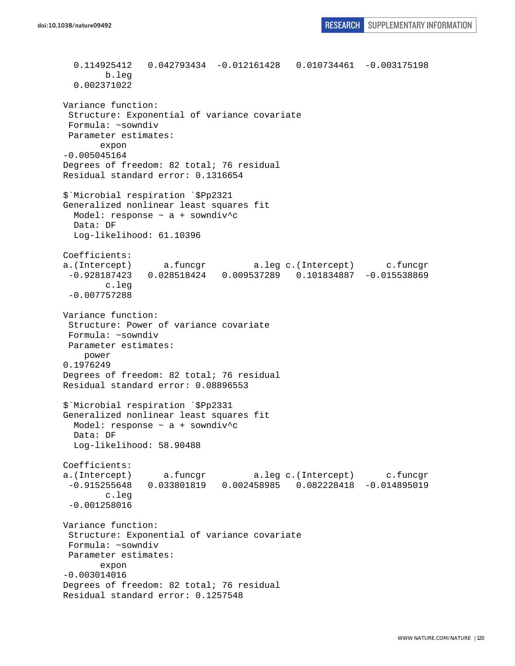```
 0.114925412 0.042793434 -0.012161428 0.010734461 -0.003175198 
         b.leg 
   0.002371022 
Variance function: 
  Structure: Exponential of variance covariate 
  Formula: ~sowndiv 
 Parameter estimates: 
        expon 
-0.005045164 
Degrees of freedom: 82 total; 76 residual 
Residual standard error: 0.1316654 
$`Microbial respiration `$Pp2321 
Generalized nonlinear least squares fit 
  Model: response ~ a + sowndiv^c 
  Data: DF 
   Log-likelihood: 61.10396 
Coefficients: 
a.(Intercept) a.funcgr a.leg c.(Intercept) c.funcgr 
  -0.928187423 0.028518424 0.009537289 0.101834887 -0.015538869 
         c.leg 
  -0.007757288 
Variance function: 
  Structure: Power of variance covariate 
 Formula: ~sowndiv 
 Parameter estimates: 
     power 
0.1976249 
Degrees of freedom: 82 total; 76 residual 
Residual standard error: 0.08896553 
$`Microbial respiration `$Pp2331 
Generalized nonlinear least squares fit 
  Model: response ~ a + sowndiv^c 
  Data: DF 
   Log-likelihood: 58.90488 
Coefficients: 
a.(Intercept) a.funcgr a.leg c.(Intercept) c.funcgr 
  -0.915255648 0.033801819 0.002458985 0.082228418 -0.014895019 
         c.leg 
  -0.001258016 
Variance function: 
  Structure: Exponential of variance covariate 
 Formula: ~sowndiv 
 Parameter estimates: 
        expon 
-0.003014016 
Degrees of freedom: 82 total; 76 residual 
Residual standard error: 0.1257548
```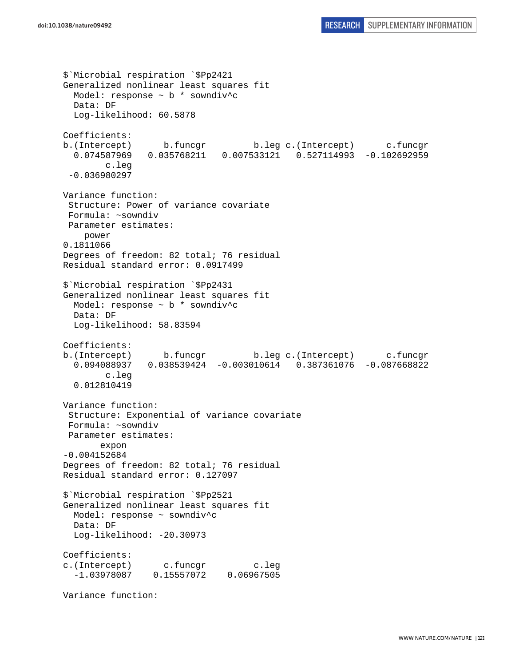```
$`Microbial respiration `$Pp2421 
Generalized nonlinear least squares fit 
  Model: response ~ b * sowndiv^c 
  Data: DF 
  Log-likelihood: 60.5878 
Coefficients: 
b.(Intercept) b.funcgr b.leg c.(Intercept) c.funcgr 
   0.074587969 0.035768211 0.007533121 0.527114993 -0.102692959 
         c.leg 
  -0.036980297 
Variance function: 
  Structure: Power of variance covariate 
  Formula: ~sowndiv 
 Parameter estimates: 
     power 
0.1811066 
Degrees of freedom: 82 total; 76 residual 
Residual standard error: 0.0917499 
$`Microbial respiration `$Pp2431 
Generalized nonlinear least squares fit 
   Model: response ~ b * sowndiv^c 
   Data: DF 
   Log-likelihood: 58.83594 
Coefficients: 
b.(Intercept) b.funcgr b.leg c.(Intercept) c.funcgr 
   0.094088937 0.038539424 -0.003010614 0.387361076 -0.087668822 
         c.leg 
   0.012810419 
Variance function: 
  Structure: Exponential of variance covariate 
 Formula: ~sowndiv 
 Parameter estimates: 
        expon 
-0.004152684 
Degrees of freedom: 82 total; 76 residual 
Residual standard error: 0.127097 
$`Microbial respiration `$Pp2521 
Generalized nonlinear least squares fit 
  Model: response ~ sowndiv^c 
  Data: DF 
 Log-likelihood: -20.30973
Coefficients: 
c.(Intercept) c.funcgr c.leg 
   -1.03978087 0.15557072 0.06967505 
Variance function:
```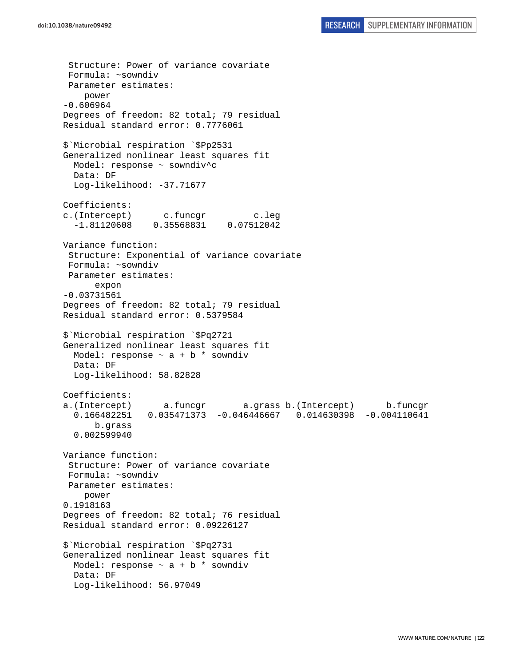Structure: Power of variance covariate Formula: ~sowndiv Parameter estimates: power -0.606964 Degrees of freedom: 82 total; 79 residual Residual standard error: 0.7776061 \$`Microbial respiration `\$Pp2531 Generalized nonlinear least squares fit Model: response ~ sowndiv^c Data: DF Log-likelihood: -37.71677 Coefficients: c.(Intercept) c.funcgr c.leg -1.81120608 0.35568831 0.07512042 Variance function: Structure: Exponential of variance covariate Formula: ~sowndiv Parameter estimates: expon -0.03731561 Degrees of freedom: 82 total; 79 residual Residual standard error: 0.5379584 \$`Microbial respiration `\$Pq2721 Generalized nonlinear least squares fit Model: response  $\sim$  a + b  $*$  sowndiv Data: DF Log-likelihood: 58.82828 Coefficients: a.(Intercept) a.funcgr a.grass b.(Intercept) b.funcgr 0.166482251 0.035471373 -0.046446667 0.014630398 -0.004110641 b.grass 0.002599940 Variance function: Structure: Power of variance covariate Formula: ~sowndiv Parameter estimates: power 0.1918163 Degrees of freedom: 82 total; 76 residual Residual standard error: 0.09226127 \$`Microbial respiration `\$Pq2731 Generalized nonlinear least squares fit Model: response  $\sim$  a + b  $*$  sowndiv Data: DF Log-likelihood: 56.97049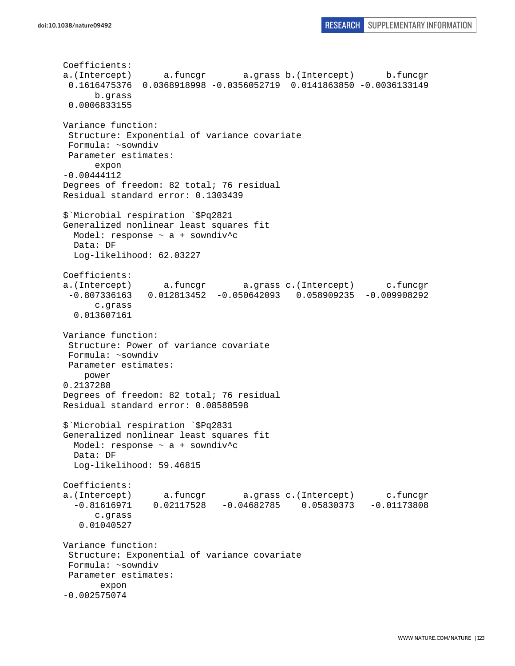```
Coefficients: 
a.(Intercept) a.funcgr a.grass b.(Intercept) b.funcgr 
  0.1616475376 0.0368918998 -0.0356052719 0.0141863850 -0.0036133149 
       b.grass 
 0.0006833155 
Variance function: 
  Structure: Exponential of variance covariate 
 Formula: ~sowndiv 
 Parameter estimates: 
       expon 
-0.00444112 
Degrees of freedom: 82 total; 76 residual 
Residual standard error: 0.1303439 
$`Microbial respiration `$Pq2821 
Generalized nonlinear least squares fit 
 Model: response \sim a + sowndiv^c
  Data: DF 
  Log-likelihood: 62.03227 
Coefficients: 
a.(Intercept) a.funcgr a.grass c.(Intercept) c.funcgr 
 -0.807336163 0.012813452 -0.050642093 0.058909235 -0.009908292 
       c.grass 
   0.013607161 
Variance function: 
  Structure: Power of variance covariate 
 Formula: ~sowndiv 
 Parameter estimates: 
     power 
0.2137288 
Degrees of freedom: 82 total; 76 residual 
Residual standard error: 0.08588598 
$`Microbial respiration `$Pq2831 
Generalized nonlinear least squares fit 
  Model: response ~ a + sowndiv^c 
  Data: DF 
   Log-likelihood: 59.46815 
Coefficients: 
a.(Intercept) a.funcgr a.grass c.(Intercept) c.funcgr 
  -0.81616971 0.02117528 -0.04682785 0.05830373 -0.01173808 
       c.grass 
    0.01040527 
Variance function: 
  Structure: Exponential of variance covariate 
 Formula: ~sowndiv 
 Parameter estimates: 
        expon 
-0.002575074
```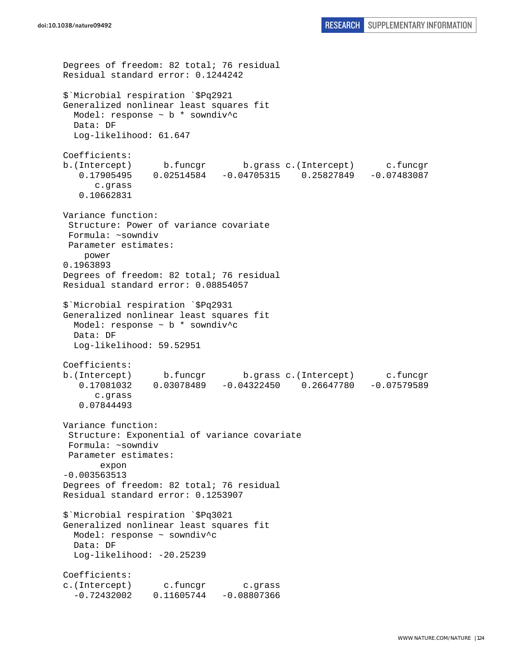```
Degrees of freedom: 82 total; 76 residual 
Residual standard error: 0.1244242 
$`Microbial respiration `$Pq2921 
Generalized nonlinear least squares fit 
   Model: response ~ b * sowndiv^c 
  Data: DF 
  Log-likelihood: 61.647 
Coefficients: 
b.(Intercept) b.funcgr b.grass c.(Intercept) c.funcgr 
    0.17905495 0.02514584 -0.04705315 0.25827849 -0.07483087 
       c.grass 
    0.10662831 
Variance function: 
  Structure: Power of variance covariate 
  Formula: ~sowndiv 
 Parameter estimates: 
     power 
0.1963893 
Degrees of freedom: 82 total; 76 residual 
Residual standard error: 0.08854057 
$`Microbial respiration `$Pq2931 
Generalized nonlinear least squares fit 
  Model: response ~ b * sowndiv^c 
  Data: DF 
   Log-likelihood: 59.52951 
Coefficients: 
b.(Intercept) b.funcgr b.grass c.(Intercept) c.funcgr 
    0.17081032 0.03078489 -0.04322450 0.26647780 -0.07579589 
       c.grass 
    0.07844493 
Variance function: 
  Structure: Exponential of variance covariate 
  Formula: ~sowndiv 
 Parameter estimates: 
        expon 
-0.003563513 
Degrees of freedom: 82 total; 76 residual 
Residual standard error: 0.1253907 
$`Microbial respiration `$Pq3021 
Generalized nonlinear least squares fit 
  Model: response ~ sowndiv^c 
   Data: DF 
   Log-likelihood: -20.25239 
Coefficients: 
c.(Intercept) c.funcgr c.grass 
  -0.72432002 0.11605744 -0.08807366
```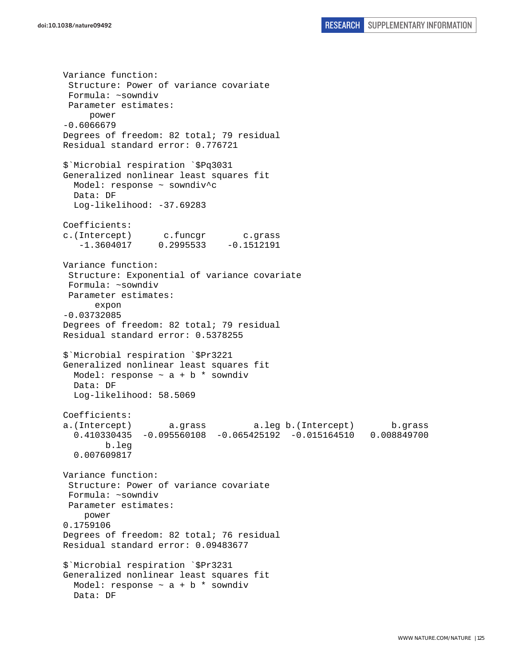Variance function: Structure: Power of variance covariate Formula: ~sowndiv Parameter estimates: power -0.6066679 Degrees of freedom: 82 total; 79 residual Residual standard error: 0.776721 \$`Microbial respiration `\$Pq3031 Generalized nonlinear least squares fit Model: response ~ sowndiv^c Data: DF Log-likelihood: -37.69283 Coefficients: c.(Intercept) c.funcgr c.grass  $-1.3604017$  0.2995533  $-0.1512191$ Variance function: Structure: Exponential of variance covariate Formula: ~sowndiv Parameter estimates: expon -0.03732085 Degrees of freedom: 82 total; 79 residual Residual standard error: 0.5378255 \$`Microbial respiration `\$Pr3221 Generalized nonlinear least squares fit Model: response  $\sim$  a + b  $*$  sowndiv Data: DF Log-likelihood: 58.5069 Coefficients: a.(Intercept) a.grass a.leg b.(Intercept) b.grass 0.410330435 -0.095560108 -0.065425192 -0.015164510 0.008849700 b.leg 0.007609817 Variance function: Structure: Power of variance covariate Formula: ~sowndiv Parameter estimates: power 0.1759106 Degrees of freedom: 82 total; 76 residual Residual standard error: 0.09483677 \$`Microbial respiration `\$Pr3231 Generalized nonlinear least squares fit Model: response  $\sim$  a + b \* sowndiv Data: DF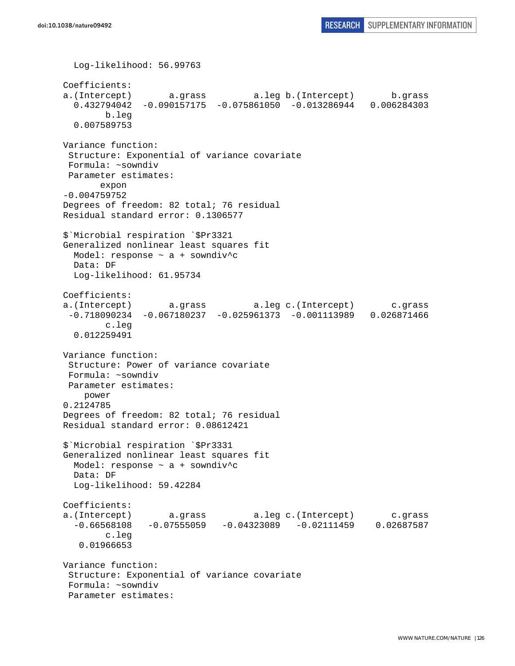```
 Log-likelihood: 56.99763 
Coefficients: 
a.(Intercept) a.grass a.leg b.(Intercept) b.grass 
   0.432794042 -0.090157175 -0.075861050 -0.013286944 0.006284303 
         b.leg 
   0.007589753 
Variance function: 
  Structure: Exponential of variance covariate 
 Formula: ~sowndiv 
 Parameter estimates: 
        expon 
-0.004759752 
Degrees of freedom: 82 total; 76 residual 
Residual standard error: 0.1306577 
$`Microbial respiration `$Pr3321 
Generalized nonlinear least squares fit 
 Model: response \sim a + sowndiv<sup>^</sup>c
  Data: DF 
  Log-likelihood: 61.95734 
Coefficients: 
a.(Intercept) a.grass a.leg c.(Intercept) c.grass 
  -0.718090234 -0.067180237 -0.025961373 -0.001113989 0.026871466 
         c.leg 
   0.012259491 
Variance function: 
  Structure: Power of variance covariate 
 Formula: ~sowndiv 
 Parameter estimates: 
     power 
0.2124785 
Degrees of freedom: 82 total; 76 residual 
Residual standard error: 0.08612421 
$`Microbial respiration `$Pr3331 
Generalized nonlinear least squares fit 
 Model: response \sim a + sowndiv<sup>^</sup>c
   Data: DF 
   Log-likelihood: 59.42284 
Coefficients: 
a.(Intercept) a.grass a.leg c.(Intercept) c.grass 
  -0.66568108 -0.07555059 -0.04323089 -0.02111459 0.02687587 
         c.leg 
    0.01966653 
Variance function: 
 Structure: Exponential of variance covariate 
 Formula: ~sowndiv 
  Parameter estimates:
```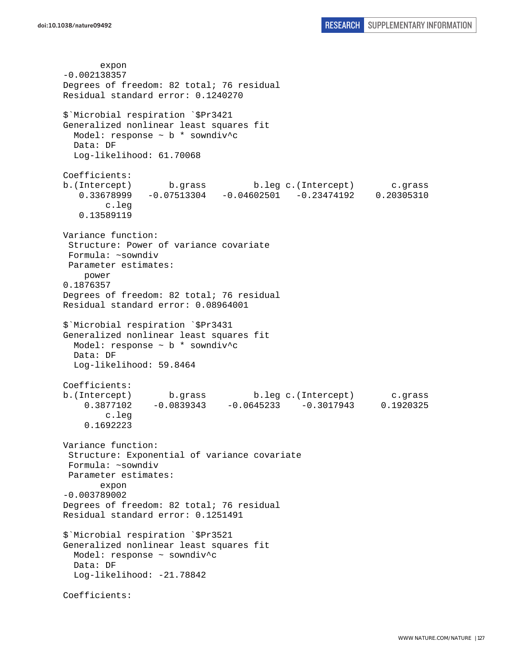expon -0.002138357 Degrees of freedom: 82 total; 76 residual Residual standard error: 0.1240270 \$`Microbial respiration `\$Pr3421 Generalized nonlinear least squares fit Model: response  $\sim$  b  $*$  sowndiv<sup>^</sup>c Data: DF Log-likelihood: 61.70068 Coefficients: b.(Intercept) b.grass b.leg c.(Intercept) c.grass 0.33678999 -0.07513304 -0.04602501 -0.23474192 0.20305310 c.leg 0.13589119 Variance function: Structure: Power of variance covariate Formula: ~sowndiv Parameter estimates: power 0.1876357 Degrees of freedom: 82 total; 76 residual Residual standard error: 0.08964001 \$`Microbial respiration `\$Pr3431 Generalized nonlinear least squares fit Model: response ~ b \* sowndiv^c Data: DF Log-likelihood: 59.8464 Coefficients: b.(Intercept) b.grass b.leg c.(Intercept) c.grass 0.3877102 -0.0839343 -0.0645233 -0.3017943 0.1920325 c.leg 0.1692223 Variance function: Structure: Exponential of variance covariate Formula: ~sowndiv Parameter estimates: expon -0.003789002 Degrees of freedom: 82 total; 76 residual Residual standard error: 0.1251491 \$`Microbial respiration `\$Pr3521 Generalized nonlinear least squares fit Model: response ~ sowndiv^c Data: DF Log-likelihood: -21.78842 Coefficients: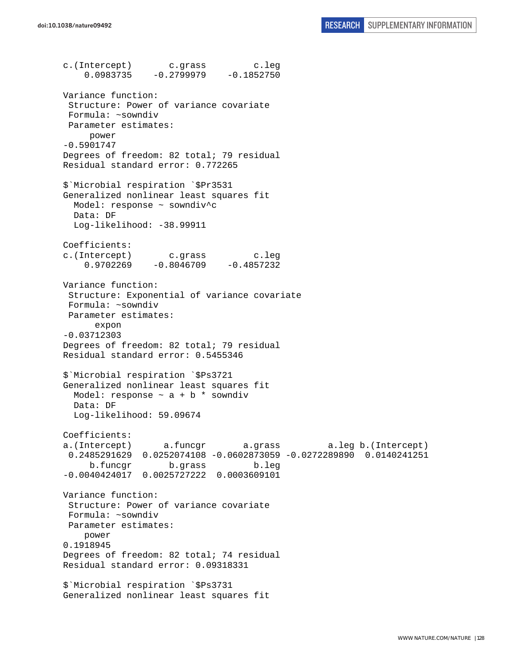c.(Intercept) c.grass c.leg  $0.0983735 -0.2799979 -0.1852750$ Variance function: Structure: Power of variance covariate Formula: ~sowndiv Parameter estimates: power -0.5901747 Degrees of freedom: 82 total; 79 residual Residual standard error: 0.772265 \$`Microbial respiration `\$Pr3531 Generalized nonlinear least squares fit Model: response ~ sowndiv^c Data: DF Log-likelihood: -38.99911 Coefficients: c.(Intercept) c.grass c.leg 0.9702269 -0.8046709 -0.4857232 Variance function: Structure: Exponential of variance covariate Formula: ~sowndiv Parameter estimates: expon -0.03712303 Degrees of freedom: 82 total; 79 residual Residual standard error: 0.5455346 \$`Microbial respiration `\$Ps3721 Generalized nonlinear least squares fit Model: response  $\sim$  a + b \* sowndiv Data: DF Log-likelihood: 59.09674 Coefficients: a.(Intercept) a.funcgr a.grass a.leg b.(Intercept) 0.2485291629 0.0252074108 -0.0602873059 -0.0272289890 0.0140241251 b.funcgr b.grass b.leg -0.0040424017 0.0025727222 0.0003609101 Variance function: Structure: Power of variance covariate Formula: ~sowndiv Parameter estimates: power 0.1918945 Degrees of freedom: 82 total; 74 residual Residual standard error: 0.09318331 \$`Microbial respiration `\$Ps3731 Generalized nonlinear least squares fit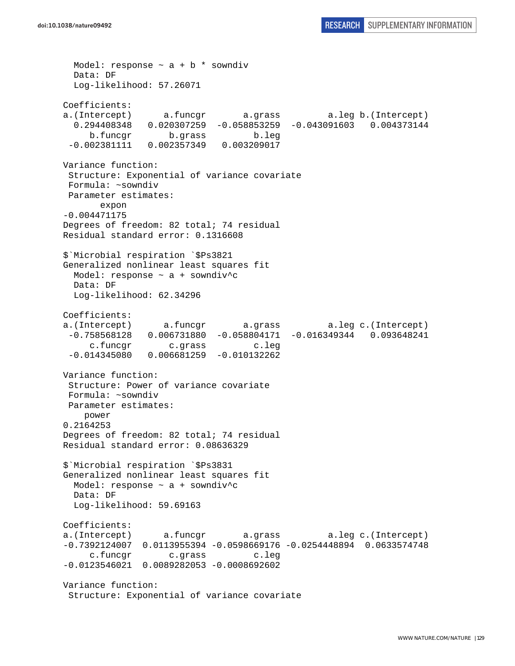Model: response  $\sim$  a + b \* sowndiv Data: DF Log-likelihood: 57.26071 Coefficients: a.(Intercept) a.funcgr a.grass a.leg b.(Intercept) 0.294408348 0.020307259 -0.058853259 -0.043091603 0.004373144 b.funcgr b.grass b.leg -0.002381111 0.002357349 0.003209017 Variance function: Structure: Exponential of variance covariate Formula: ~sowndiv Parameter estimates: expon -0.004471175 Degrees of freedom: 82 total; 74 residual Residual standard error: 0.1316608 \$`Microbial respiration `\$Ps3821 Generalized nonlinear least squares fit Model: response ~ a + sowndiv^c Data: DF Log-likelihood: 62.34296 Coefficients: a.(Intercept) a.funcgr a.grass a.leg c.(Intercept) -0.758568128 0.006731880 -0.058804171 -0.016349344 0.093648241 c.funcgr c.grass c.leg -0.014345080 0.006681259 -0.010132262 Variance function: Structure: Power of variance covariate Formula: ~sowndiv Parameter estimates: power 0.2164253 Degrees of freedom: 82 total; 74 residual Residual standard error: 0.08636329 \$`Microbial respiration `\$Ps3831 Generalized nonlinear least squares fit Model: response  $\sim$  a + sowndiv^c Data: DF Log-likelihood: 59.69163 Coefficients: a.(Intercept) a.funcgr a.grass a.leg c.(Intercept) -0.7392124007 0.0113955394 -0.0598669176 -0.0254448894 0.0633574748 c.funcgr c.grass c.leg -0.0123546021 0.0089282053 -0.0008692602 Variance function: Structure: Exponential of variance covariate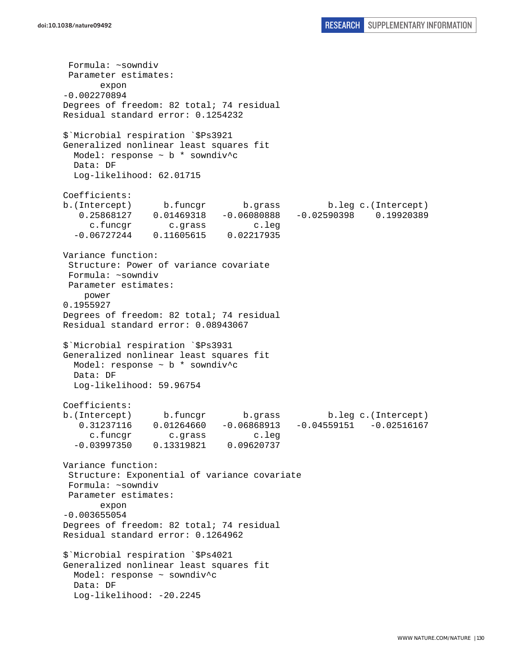Formula: ~sowndiv Parameter estimates: expon -0.002270894 Degrees of freedom: 82 total; 74 residual Residual standard error: 0.1254232 \$`Microbial respiration `\$Ps3921 Generalized nonlinear least squares fit Model: response ~ b \* sowndiv^c Data: DF Log-likelihood: 62.01715 Coefficients: b.(Intercept) b.funcgr b.grass b.leg c.(Intercept) 0.25868127 0.01469318 -0.06080888 -0.02590398 0.19920389 c.funcgr c.grass c.leg -0.06727244 0.11605615 0.02217935 Variance function: Structure: Power of variance covariate Formula: ~sowndiv Parameter estimates: power 0.1955927 Degrees of freedom: 82 total; 74 residual Residual standard error: 0.08943067 \$`Microbial respiration `\$Ps3931 Generalized nonlinear least squares fit Model: response ~ b \* sowndiv^c Data: DF Log-likelihood: 59.96754 Coefficients: b.(Intercept) b.funcgr b.grass b.leg c.(Intercept) 0.31237116 0.01264660 -0.06868913 -0.04559151 -0.02516167 c.funcgr c.grass c.leg -0.03997350 0.13319821 0.09620737 Variance function: Structure: Exponential of variance covariate Formula: ~sowndiv Parameter estimates: expon -0.003655054 Degrees of freedom: 82 total; 74 residual Residual standard error: 0.1264962 \$`Microbial respiration `\$Ps4021 Generalized nonlinear least squares fit Model: response ~ sowndiv^c Data: DF Log-likelihood: -20.2245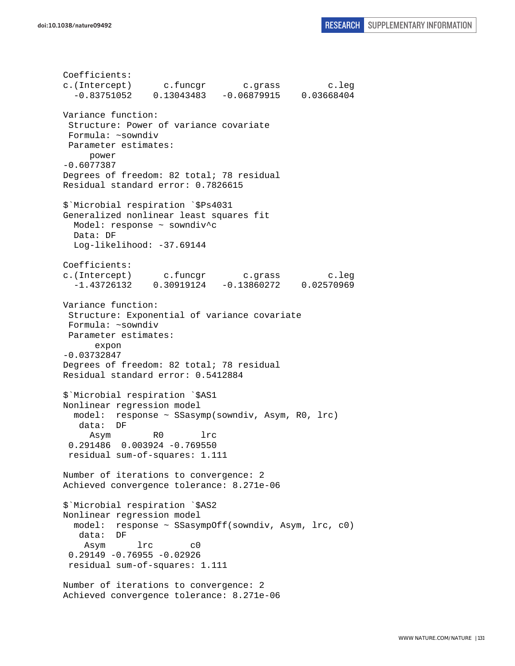Coefficients: c.(Intercept) c.funcgr c.grass c.leg -0.83751052 0.13043483 -0.06879915 0.03668404 Variance function: Structure: Power of variance covariate Formula: ~sowndiv Parameter estimates: power -0.6077387 Degrees of freedom: 82 total; 78 residual Residual standard error: 0.7826615 \$`Microbial respiration `\$Ps4031 Generalized nonlinear least squares fit Model: response ~ sowndiv^c Data: DF Log-likelihood: -37.69144 Coefficients: c.(Intercept) c.funcgr c.grass c.leg -1.43726132 0.30919124 -0.13860272 0.02570969 Variance function: Structure: Exponential of variance covariate Formula: ~sowndiv Parameter estimates: expon -0.03732847 Degrees of freedom: 82 total; 78 residual Residual standard error: 0.5412884 \$`Microbial respiration `\$AS1 Nonlinear regression model model: response ~ SSasymp(sowndiv, Asym, R0, lrc) data: DF Asym R0 lrc 0.291486 0.003924 -0.769550 residual sum-of-squares: 1.111 Number of iterations to convergence: 2 Achieved convergence tolerance: 8.271e-06 \$`Microbial respiration `\$AS2 Nonlinear regression model model: response ~ SSasympOff(sowndiv, Asym, lrc, c0) data: DF Asym lrc c0 0.29149 -0.76955 -0.02926 residual sum-of-squares: 1.111 Number of iterations to convergence: 2 Achieved convergence tolerance: 8.271e-06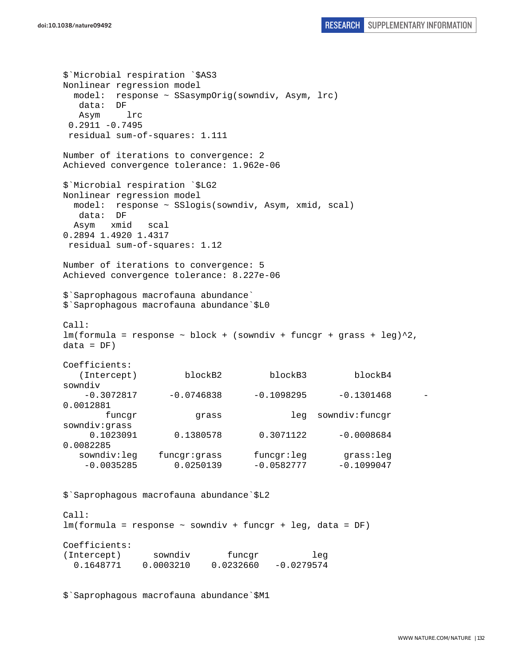\$`Microbial respiration `\$AS3 Nonlinear regression model model: response ~ SSasympOrig(sowndiv, Asym, lrc) data: DF Asym lrc 0.2911 -0.7495 residual sum-of-squares: 1.111 Number of iterations to convergence: 2 Achieved convergence tolerance: 1.962e-06 \$`Microbial respiration `\$LG2 Nonlinear regression model model: response ~ SSlogis(sowndiv, Asym, xmid, scal) data: DF Asym xmid scal 0.2894 1.4920 1.4317 residual sum-of-squares: 1.12 Number of iterations to convergence: 5 Achieved convergence tolerance: 8.227e-06 \$`Saprophagous macrofauna abundance` \$`Saprophagous macrofauna abundance`\$L0 Call:  $lm(formula = response ~ block + (sowndiv + funcgr + grass + leg)^2,$  $data = DF)$ Coefficients: (Intercept) blockB2 blockB3 blockB4 sowndiv  $-0.3072817$   $-0.0746838$   $-0.1098295$   $-0.1301468$ 0.0012881 funcgr grass leg sowndiv:funcgr sowndiv:grass 0.1023091 0.1380578 0.3071122 -0.0008684 0.0082285 sowndiv:leg funcgr:grass funcgr:leg grass:leg  $-0.0035285$  0.0250139  $-0.0582777$   $-0.1099047$ \$`Saprophagous macrofauna abundance`\$L2 Call: lm(formula = response ~ sowndiv + funcgr + leg, data = DF) Coefficients: (Intercept) sowndiv funcqr leg 0.1648771 0.0003210 0.0232660 -0.0279574

\$`Saprophagous macrofauna abundance`\$M1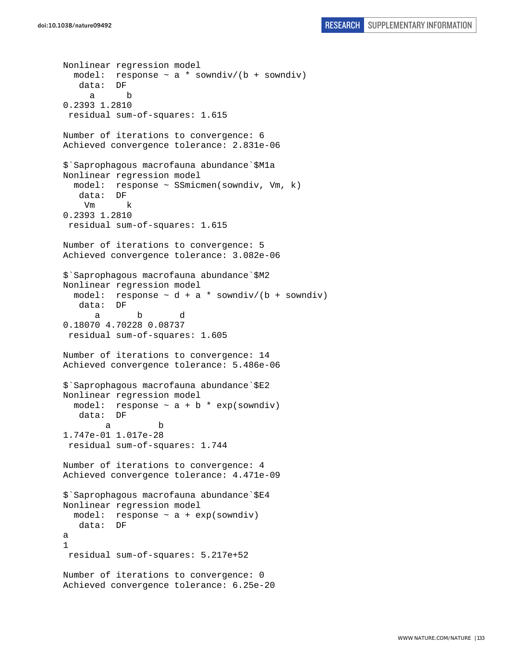```
Nonlinear regression model 
  model: response \sim a * sowndiv/(b + sowndiv)
    data: DF 
      a b 
0.2393 1.2810 
  residual sum-of-squares: 1.615 
Number of iterations to convergence: 6 
Achieved convergence tolerance: 2.831e-06 
$`Saprophagous macrofauna abundance`$M1a 
Nonlinear regression model 
   model: response ~ SSmicmen(sowndiv, Vm, k) 
    data: DF 
     Vm k 
0.2393 1.2810 
  residual sum-of-squares: 1.615 
Number of iterations to convergence: 5 
Achieved convergence tolerance: 3.082e-06 
$`Saprophagous macrofauna abundance`$M2 
Nonlinear regression model 
  model: response \sim d + a * sowndiv/(b + sowndiv)
    data: DF 
 a b d 
0.18070 4.70228 0.08737 
 residual sum-of-squares: 1.605 
Number of iterations to convergence: 14 
Achieved convergence tolerance: 5.486e-06 
$`Saprophagous macrofauna abundance`$E2 
Nonlinear regression model 
  model: response \sim a + b * exp(sowndiv)
    data: DF 
 a b 
1.747e-01 1.017e-28 
 residual sum-of-squares: 1.744 
Number of iterations to convergence: 4 
Achieved convergence tolerance: 4.471e-09 
$`Saprophagous macrofauna abundance`$E4 
Nonlinear regression model 
  model: response ~ a + exp(sowndiv) 
    data: DF 
a 
1 
  residual sum-of-squares: 5.217e+52 
Number of iterations to convergence: 0 
Achieved convergence tolerance: 6.25e-20
```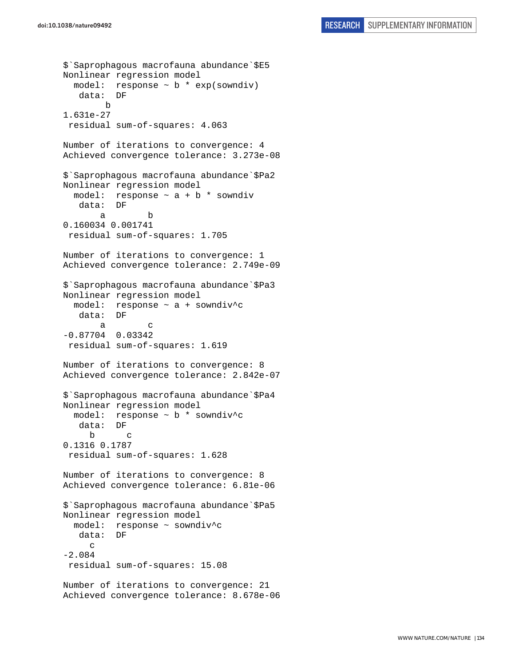\$`Saprophagous macrofauna abundance`\$E5 Nonlinear regression model model: response  $\sim$  b  $*$  exp(sowndiv) data: DF b 1.631e-27 residual sum-of-squares: 4.063 Number of iterations to convergence: 4 Achieved convergence tolerance: 3.273e-08 \$`Saprophagous macrofauna abundance`\$Pa2 Nonlinear regression model model: response  $\sim$  a + b  $*$  sowndiv data: DF a b 0.160034 0.001741 residual sum-of-squares: 1.705 Number of iterations to convergence: 1 Achieved convergence tolerance: 2.749e-09 \$`Saprophagous macrofauna abundance`\$Pa3 Nonlinear regression model model: response ~ a + sowndiv^c data: DF a c -0.87704 0.03342 residual sum-of-squares: 1.619 Number of iterations to convergence: 8 Achieved convergence tolerance: 2.842e-07 \$`Saprophagous macrofauna abundance`\$Pa4 Nonlinear regression model model: response ~ b \* sowndiv^c data: DF b c 0.1316 0.1787 residual sum-of-squares: 1.628 Number of iterations to convergence: 8 Achieved convergence tolerance: 6.81e-06 \$`Saprophagous macrofauna abundance`\$Pa5 Nonlinear regression model model: response ~ sowndiv^c data: DF  $\mathcal{C}$ -2.084 residual sum-of-squares: 15.08 Number of iterations to convergence: 21 Achieved convergence tolerance: 8.678e-06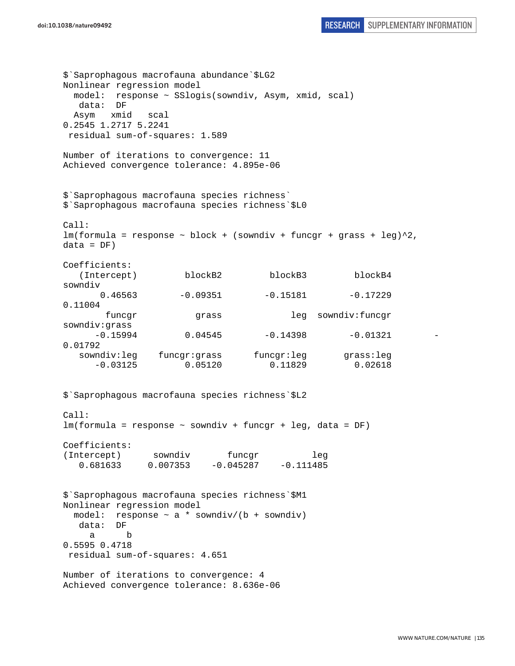```
doi:10.1038/nature09492 RESEARCH SUPPLEMENTARY INFORMATION
```
\$`Saprophagous macrofauna abundance`\$LG2 Nonlinear regression model model: response ~ SSlogis(sowndiv, Asym, xmid, scal) data: DF Asym xmid scal 0.2545 1.2717 5.2241 residual sum-of-squares: 1.589 Number of iterations to convergence: 11 Achieved convergence tolerance: 4.895e-06 \$`Saprophagous macrofauna species richness` \$`Saprophagous macrofauna species richness`\$L0 Call:  $lm(formula = response ~ block + (sowndiv + funcgr + grass + leg)^2,$  $data = DF)$ Coefficients: (Intercept) blockB2 blockB3 blockB4 sowndiv  $0.46563$  -0.09351 -0.15181 -0.17229 0.11004 funcgr grass leg sowndiv:funcgr sowndiv:grass  $-0.15994$  0.04545  $-0.14398$   $-0.01321$ 0.01792 sowndiv:leg funcgr:grass funcgr:leg grass:leg -0.03125 0.05120 0.11829 0.02618 \$`Saprophagous macrofauna species richness`\$L2 Call: lm(formula = response ~ sowndiv + funcgr + leg, data = DF) Coefficients: (Intercept) sowndiv funcgr leg 0.681633 0.007353 -0.045287 -0.111485 \$`Saprophagous macrofauna species richness`\$M1 Nonlinear regression model model: response  $\sim$  a \* sowndiv/(b + sowndiv) data: DF a b 0.5595 0.4718 residual sum-of-squares: 4.651 Number of iterations to convergence: 4 Achieved convergence tolerance: 8.636e-06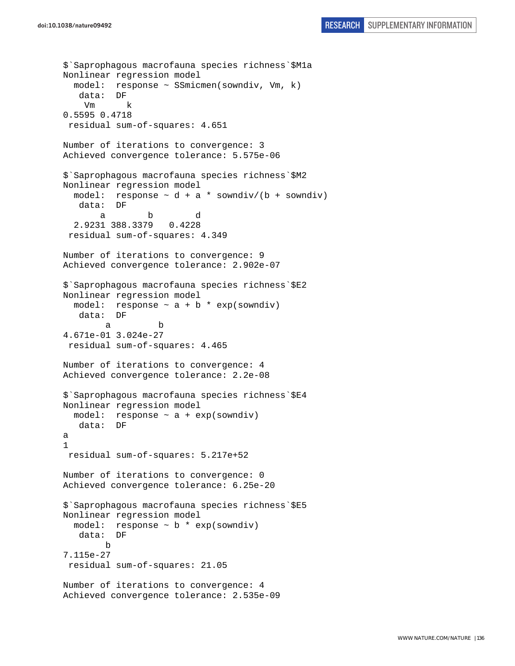```
$`Saprophagous macrofauna species richness`$M1a 
Nonlinear regression model 
   model: response ~ SSmicmen(sowndiv, Vm, k) 
    data: DF 
    V<sub>m</sub> \qquad \qquad \qquad \qquad \qquad \qquad \qquad \qquad \qquad \qquad \qquad \qquad \qquad \qquad \qquad \qquad \qquad \qquad \qquad \qquad \qquad \qquad \qquad \qquad \qquad \qquad \qquad \qquad \qquad \qquad \qquad \qquad \qquad \qquad \qquad 0.5595 0.4718 
  residual sum-of-squares: 4.651 
Number of iterations to convergence: 3 
Achieved convergence tolerance: 5.575e-06 
$`Saprophagous macrofauna species richness`$M2 
Nonlinear regression model 
  model: response \sim d + a * sowndiv/(b + sowndiv)
    data: DF 
 a b d 
   2.9231 388.3379 0.4228 
  residual sum-of-squares: 4.349 
Number of iterations to convergence: 9 
Achieved convergence tolerance: 2.902e-07 
$`Saprophagous macrofauna species richness`$E2 
Nonlinear regression model 
  model: response \sim a + b * exp(sowndiv)<br>data: DF
   data:
 a b 
4.671e-01 3.024e-27 
  residual sum-of-squares: 4.465 
Number of iterations to convergence: 4 
Achieved convergence tolerance: 2.2e-08 
$`Saprophagous macrofauna species richness`$E4 
Nonlinear regression model 
  model: response \sim a + exp(sowndiv)
    data: DF 
a 
1 
  residual sum-of-squares: 5.217e+52 
Number of iterations to convergence: 0 
Achieved convergence tolerance: 6.25e-20 
$`Saprophagous macrofauna species richness`$E5 
Nonlinear regression model 
  model: response \sim b * exp(sowndiv)
    data: DF 
 b 
7.115e-27 
  residual sum-of-squares: 21.05 
Number of iterations to convergence: 4 
Achieved convergence tolerance: 2.535e-09
```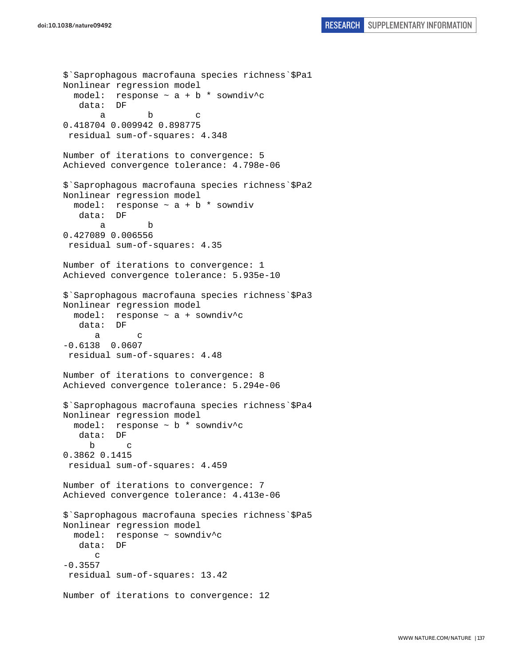```
$`Saprophagous macrofauna species richness`$Pa1 
Nonlinear regression model 
  model: response \sim a + b * sowndiv^c
    data: DF 
a b c
0.418704 0.009942 0.898775 
  residual sum-of-squares: 4.348 
Number of iterations to convergence: 5 
Achieved convergence tolerance: 4.798e-06 
$`Saprophagous macrofauna species richness`$Pa2 
Nonlinear regression model 
 model: response \sim a + b * sowndiv
    data: DF 
 a b 
0.427089 0.006556 
 residual sum-of-squares: 4.35 
Number of iterations to convergence: 1 
Achieved convergence tolerance: 5.935e-10 
$`Saprophagous macrofauna species richness`$Pa3 
Nonlinear regression model 
   model: response ~ a + sowndiv^c 
    data: DF 
 a c 
-0.6138 0.0607 
 residual sum-of-squares: 4.48 
Number of iterations to convergence: 8 
Achieved convergence tolerance: 5.294e-06 
$`Saprophagous macrofauna species richness`$Pa4 
Nonlinear regression model 
   model: response ~ b * sowndiv^c 
    data: DF 
 b c 
0.3862 0.1415 
  residual sum-of-squares: 4.459 
Number of iterations to convergence: 7 
Achieved convergence tolerance: 4.413e-06 
$`Saprophagous macrofauna species richness`$Pa5 
Nonlinear regression model 
   model: response ~ sowndiv^c 
    data: DF 
      \mathcal{C}-0.3557 
  residual sum-of-squares: 13.42 
Number of iterations to convergence: 12
```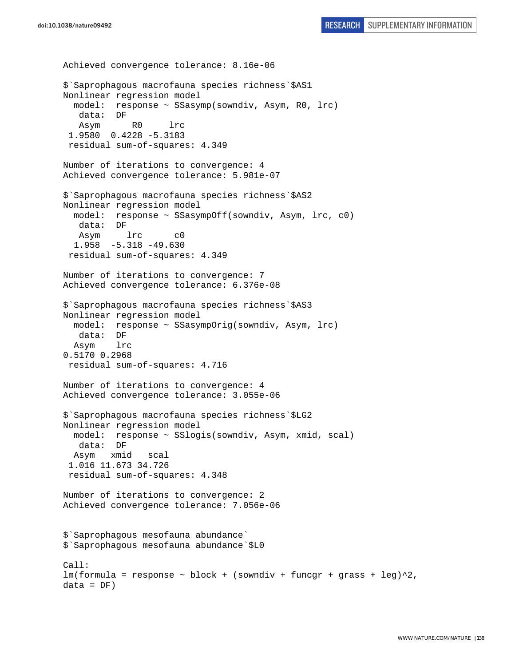```
doi:10.1038/nature09492 RESEARCH SUPPLEMENTARY INFORMATION
```
Achieved convergence tolerance: 8.16e-06 \$`Saprophagous macrofauna species richness`\$AS1 Nonlinear regression model model: response ~ SSasymp(sowndiv, Asym, R0, lrc) data: DF Asym R0 lrc 1.9580 0.4228 -5.3183 residual sum-of-squares: 4.349 Number of iterations to convergence: 4 Achieved convergence tolerance: 5.981e-07 \$`Saprophagous macrofauna species richness`\$AS2 Nonlinear regression model model: response ~ SSasympOff(sowndiv, Asym, lrc, c0) data: DF Asym lrc c0 1.958 -5.318 -49.630 residual sum-of-squares: 4.349 Number of iterations to convergence: 7 Achieved convergence tolerance: 6.376e-08 \$`Saprophagous macrofauna species richness`\$AS3 Nonlinear regression model model: response ~ SSasympOrig(sowndiv, Asym, lrc) data: DF Asym lrc 0.5170 0.2968 residual sum-of-squares: 4.716 Number of iterations to convergence: 4 Achieved convergence tolerance: 3.055e-06 \$`Saprophagous macrofauna species richness`\$LG2 Nonlinear regression model model: response ~ SSlogis(sowndiv, Asym, xmid, scal) data: DF Asym xmid scal 1.016 11.673 34.726 residual sum-of-squares: 4.348 Number of iterations to convergence: 2 Achieved convergence tolerance: 7.056e-06 \$`Saprophagous mesofauna abundance` \$`Saprophagous mesofauna abundance`\$L0 Call:  $lm(formula = response ~ block + (sowndiv + funcgr + grass + leg)^2,$  $data = DF)$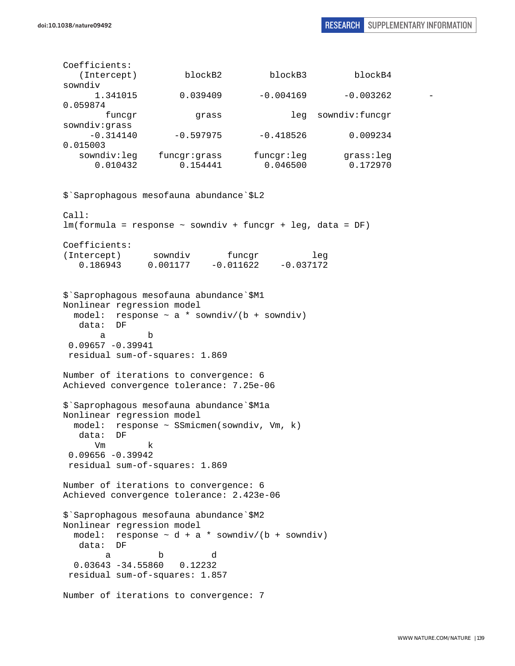Coefficients: (Intercept) blockB2 blockB3 blockB4 sowndiv 1.341015 0.039409 -0.004169 -0.003262 - 0.059874 funcgr grass leg sowndiv:funcgr sowndiv:grass  $-0.314140$   $-0.597975$   $-0.418526$  0.009234 0.015003 sowndiv:leg funcgr:grass funcgr:leg grass:leg 0.010432 0.154441 0.046500 0.172970 \$`Saprophagous mesofauna abundance`\$L2 Call: lm(formula = response ~ sowndiv + funcgr + leg, data = DF) Coefficients: (Intercept) sowndiv funcgr leg<br>0.186943 0.001177 -0.011622 -0.037172  $0.001177 - 0.011622 - 0.037172$ \$`Saprophagous mesofauna abundance`\$M1 Nonlinear regression model model: response  $\sim$  a \* sowndiv/(b + sowndiv) data: DF a b  $0.09657 - 0.39941$  residual sum-of-squares: 1.869 Number of iterations to convergence: 6 Achieved convergence tolerance: 7.25e-06 \$`Saprophagous mesofauna abundance`\$M1a Nonlinear regression model model: response ~ SSmicmen(sowndiv, Vm, k) data: DF Vm k 0.09656 -0.39942 residual sum-of-squares: 1.869 Number of iterations to convergence: 6 Achieved convergence tolerance: 2.423e-06 \$`Saprophagous mesofauna abundance`\$M2 Nonlinear regression model model: response  $\sim d + a *$  sowndiv/(b + sowndiv) data: DF a b d 0.03643 -34.55860 0.12232 residual sum-of-squares: 1.857 Number of iterations to convergence: 7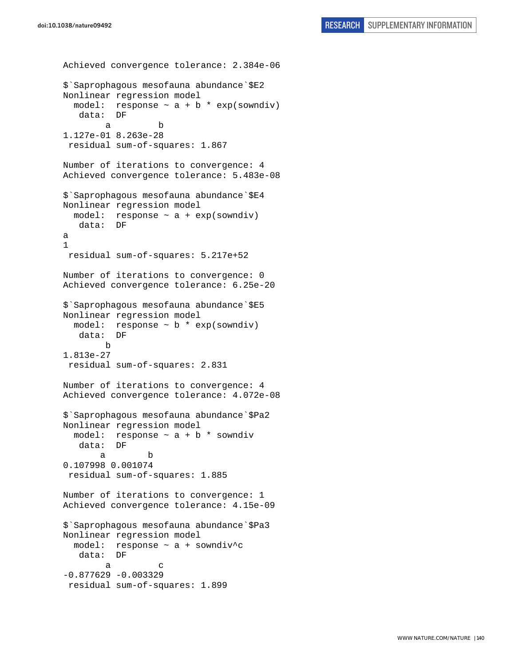```
Achieved convergence tolerance: 2.384e-06 
$`Saprophagous mesofauna abundance`$E2 
Nonlinear regression model 
  model: response \sim a + b * exp(sowndiv)
    data: DF 
 a b 
1.127e-01 8.263e-28 
  residual sum-of-squares: 1.867 
Number of iterations to convergence: 4 
Achieved convergence tolerance: 5.483e-08 
$`Saprophagous mesofauna abundance`$E4 
Nonlinear regression model 
 model: response \sim a + exp(sowndiv)
    data: DF 
a 
1 
  residual sum-of-squares: 5.217e+52 
Number of iterations to convergence: 0 
Achieved convergence tolerance: 6.25e-20 
$`Saprophagous mesofauna abundance`$E5 
Nonlinear regression model 
  model: response \sim b * exp(sowndiv)
    data: DF 
         b 
1.813e-27 
  residual sum-of-squares: 2.831 
Number of iterations to convergence: 4 
Achieved convergence tolerance: 4.072e-08 
$`Saprophagous mesofauna abundance`$Pa2 
Nonlinear regression model 
  model: response \sim a + b * sowndiv
    data: DF 
 a b 
0.107998 0.001074 
  residual sum-of-squares: 1.885 
Number of iterations to convergence: 1 
Achieved convergence tolerance: 4.15e-09 
$`Saprophagous mesofauna abundance`$Pa3 
Nonlinear regression model 
   model: response ~ a + sowndiv^c 
    data: DF 
a c
-0.877629 - 0.003329 residual sum-of-squares: 1.899
```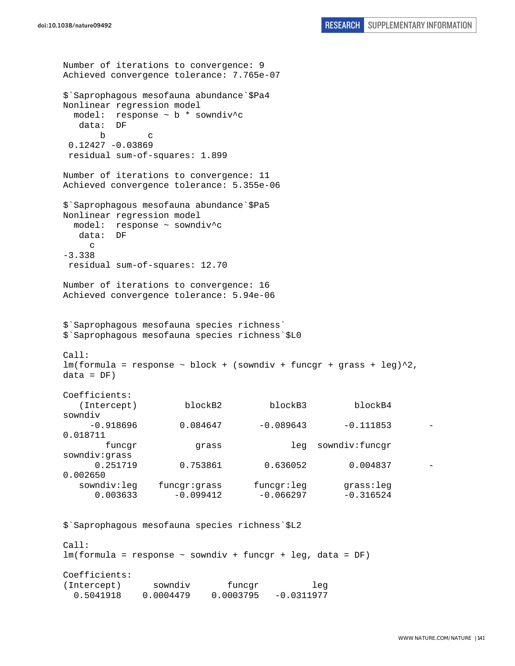```
Number of iterations to convergence: 9 
Achieved convergence tolerance: 7.765e-07 
$`Saprophagous mesofauna abundance`$Pa4 
Nonlinear regression model 
  model: response ~ b * sowndiv^c 
   data: DF 
 b c 
  0.12427 -0.03869 
 residual sum-of-squares: 1.899 
Number of iterations to convergence: 11 
Achieved convergence tolerance: 5.355e-06 
$`Saprophagous mesofauna abundance`$Pa5 
Nonlinear regression model 
  model: response ~ sowndiv^c 
   data: DF 
    \Gamma-3.338 
 residual sum-of-squares: 12.70 
Number of iterations to convergence: 16 
Achieved convergence tolerance: 5.94e-06 
$`Saprophagous mesofauna species richness` 
$`Saprophagous mesofauna species richness`$L0 
Call: 
lm(formula = response ~ block + (sowndiv + funcgr + grass + leg)^2,
data = DF)Coefficients: 
   (Intercept) blockB2 blockB3 blockB4 
sowndiv 
    -0.918696 0.084647 -0.089643 -0.1118530.018711 
       funcgr grass leg sowndiv:funcgr
sowndiv:grass 
     0.251719 0.753861 0.636052 0.004837
0.002650 
   sowndiv:leg funcgr:grass funcgr:leg grass:leg 
     0.003633 -0.099412 -0.066297 -0.316524$`Saprophagous mesofauna species richness`$L2 
Call: 
lm(formula = response ~ sowndiv + funcgr + leg, data = DF) 
Coefficients: 
(Intercept) sowndiv funcgr leg
  0.5041918 0.0004479 0.0003795 -0.0311977
```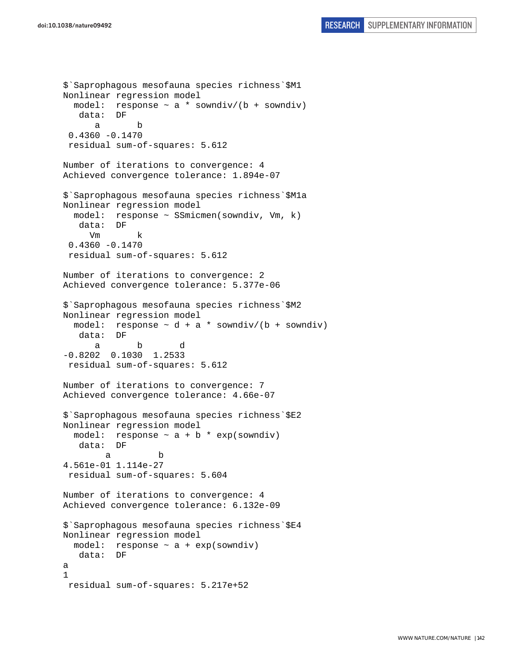```
$`Saprophagous mesofauna species richness`$M1 
Nonlinear regression model 
  model: response \sim a * sowndiv/(b + sowndiv)
    data: DF 
 a b 
 0.4360 - 0.1470 residual sum-of-squares: 5.612 
Number of iterations to convergence: 4 
Achieved convergence tolerance: 1.894e-07 
$`Saprophagous mesofauna species richness`$M1a 
Nonlinear regression model 
   model: response ~ SSmicmen(sowndiv, Vm, k) 
    data: DF 
      Vm k 
 0.4360 - 0.1470 residual sum-of-squares: 5.612 
Number of iterations to convergence: 2 
Achieved convergence tolerance: 5.377e-06 
$`Saprophagous mesofauna species richness`$M2 
Nonlinear regression model 
  model: response \sim d + a * sowndiv/(b + sowndiv)
    data: DF 
 a b d 
-0.8202 0.1030 1.2533 
  residual sum-of-squares: 5.612 
Number of iterations to convergence: 7 
Achieved convergence tolerance: 4.66e-07 
$`Saprophagous mesofauna species richness`$E2 
Nonlinear regression model 
  model: response \sim a + b * exp(sowndiv)
    data: DF 
 a b 
4.561e-01 1.114e-27 
  residual sum-of-squares: 5.604 
Number of iterations to convergence: 4 
Achieved convergence tolerance: 6.132e-09 
$`Saprophagous mesofauna species richness`$E4 
Nonlinear regression model 
   model: response ~ a + exp(sowndiv) 
    data: DF 
a 
1 
  residual sum-of-squares: 5.217e+52
```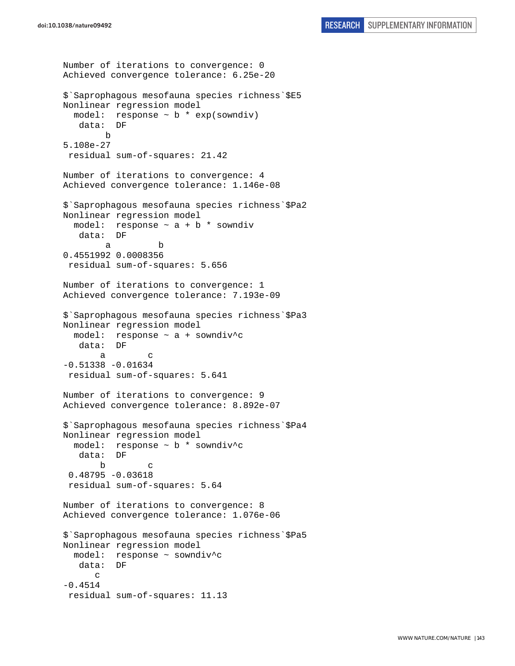```
Number of iterations to convergence: 0 
Achieved convergence tolerance: 6.25e-20 
$`Saprophagous mesofauna species richness`$E5 
Nonlinear regression model 
   model: response ~ b * exp(sowndiv) 
    data: DF 
        b 
5.108e-27 
  residual sum-of-squares: 21.42 
Number of iterations to convergence: 4 
Achieved convergence tolerance: 1.146e-08 
$`Saprophagous mesofauna species richness`$Pa2 
Nonlinear regression model 
  model: response \sim a + b * sowndiv
    data: DF 
 a b 
0.4551992 0.0008356 
 residual sum-of-squares: 5.656 
Number of iterations to convergence: 1 
Achieved convergence tolerance: 7.193e-09 
$`Saprophagous mesofauna species richness`$Pa3 
Nonlinear regression model 
   model: response ~ a + sowndiv^c 
    data: DF 
 a c 
-0.51338 - 0.01634 residual sum-of-squares: 5.641 
Number of iterations to convergence: 9 
Achieved convergence tolerance: 8.892e-07 
$`Saprophagous mesofauna species richness`$Pa4 
Nonlinear regression model 
  model: response ~ b * sowndiv^c 
   data: DF 
 b c 
  0.48795 -0.03618 
  residual sum-of-squares: 5.64 
Number of iterations to convergence: 8 
Achieved convergence tolerance: 1.076e-06 
$`Saprophagous mesofauna species richness`$Pa5 
Nonlinear regression model 
   model: response ~ sowndiv^c 
    data: DF 
       c 
-0.4514 residual sum-of-squares: 11.13
```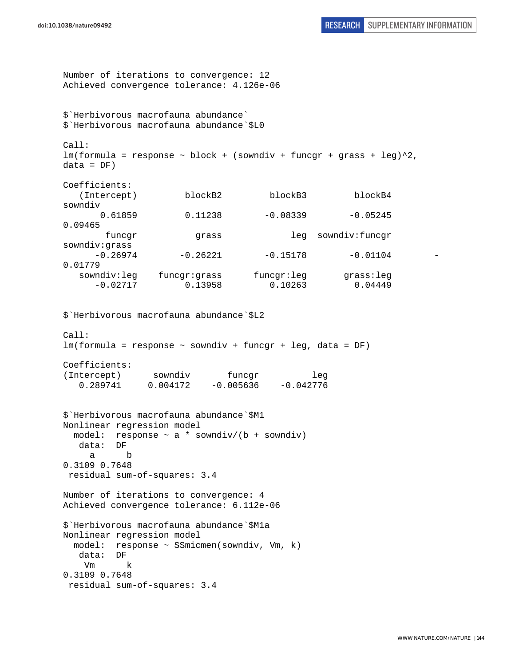```
Number of iterations to convergence: 12 
Achieved convergence tolerance: 4.126e-06 
$`Herbivorous macrofauna abundance` 
$`Herbivorous macrofauna abundance`$L0 
Call: 
lm(formula = response ~ block + (sowndiv + funcgr + grass + leg)^2,data = DF)Coefficients: 
    (Intercept) blockB2 blockB3 blockB4 
sowndiv 
      0.61859 0.11238 -0.08339 -0.052450.09465 
       funcgr grass leg sowndiv:funcgr
sowndiv:grass 
     -0.26974 -0.26221 -0.15178 -0.011040.01779 
   sowndiv:leg funcgr:grass funcgr:leg grass:leg 
      -0.02717 0.13958 0.10263 0.04449 
$`Herbivorous macrofauna abundance`$L2 
Cal:lm(formula = response ~ sowndiv + funcgr + leg, data = DF) 
Coefficients: 
(Intercept) sowndiv funcgr leg<br>0.289741 0.004172 -0.005636 -0.042776
    0.289741 0.004172 -0.005636 -0.042776 
$`Herbivorous macrofauna abundance`$M1 
Nonlinear regression model 
 model: response \sim a * sowndiv/(b + sowndiv)
   data: DF 
     a b 
0.3109 0.7648 
 residual sum-of-squares: 3.4 
Number of iterations to convergence: 4 
Achieved convergence tolerance: 6.112e-06 
$`Herbivorous macrofauna abundance`$M1a 
Nonlinear regression model 
  model: response ~ SSmicmen(sowndiv, Vm, k) 
   data: DF 
    Vm k 
0.3109 0.7648 
 residual sum-of-squares: 3.4
```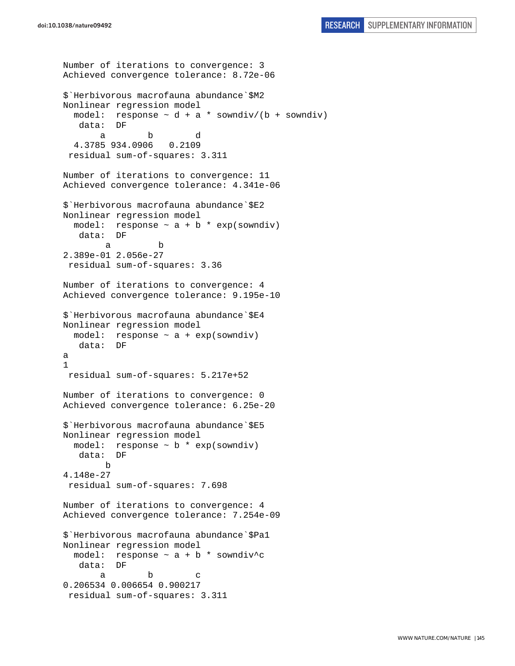```
Number of iterations to convergence: 3 
Achieved convergence tolerance: 8.72e-06 
$`Herbivorous macrofauna abundance`$M2 
Nonlinear regression model 
  model: response \sim d + a * sowndiv/(b + sowndiv)
    data: DF 
 a b d 
   4.3785 934.0906 0.2109 
  residual sum-of-squares: 3.311 
Number of iterations to convergence: 11 
Achieved convergence tolerance: 4.341e-06 
$`Herbivorous macrofauna abundance`$E2 
Nonlinear regression model 
  model: response \sim a + b * exp(sowndiv)
    data: DF 
 a b 
2.389e-01 2.056e-27 
 residual sum-of-squares: 3.36 
Number of iterations to convergence: 4 
Achieved convergence tolerance: 9.195e-10 
$`Herbivorous macrofauna abundance`$E4 
Nonlinear regression model 
 model: response \sim a + exp(sowndiv)
    data: DF 
a 
1 
 residual sum-of-squares: 5.217e+52 
Number of iterations to convergence: 0 
Achieved convergence tolerance: 6.25e-20 
$`Herbivorous macrofauna abundance`$E5 
Nonlinear regression model 
  model: response ~ b * exp(sowndiv) 
   data: DF 
         b 
4.148e-27 
  residual sum-of-squares: 7.698 
Number of iterations to convergence: 4 
Achieved convergence tolerance: 7.254e-09 
$`Herbivorous macrofauna abundance`$Pa1 
Nonlinear regression model 
  model: response \sim a + b * sowndiv^c
    data: DF 
a b c
0.206534 0.006654 0.900217 
  residual sum-of-squares: 3.311
```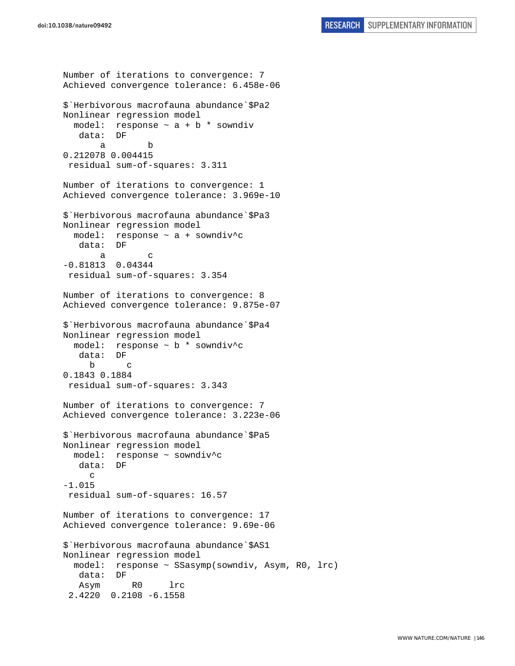Number of iterations to convergence: 7 Achieved convergence tolerance: 6.458e-06 \$`Herbivorous macrofauna abundance`\$Pa2 Nonlinear regression model model: response  $\sim$  a + b  $*$  sowndiv data: DF a b 0.212078 0.004415 residual sum-of-squares: 3.311 Number of iterations to convergence: 1 Achieved convergence tolerance: 3.969e-10 \$`Herbivorous macrofauna abundance`\$Pa3 Nonlinear regression model model: response ~ a + sowndiv^c data: DF a c -0.81813 0.04344 residual sum-of-squares: 3.354 Number of iterations to convergence: 8 Achieved convergence tolerance: 9.875e-07 \$`Herbivorous macrofauna abundance`\$Pa4 Nonlinear regression model model: response ~ b \* sowndiv^c data: DF b c 0.1843 0.1884 residual sum-of-squares: 3.343 Number of iterations to convergence: 7 Achieved convergence tolerance: 3.223e-06 \$`Herbivorous macrofauna abundance`\$Pa5 Nonlinear regression model model: response ~ sowndiv^c data: DF c -1.015 residual sum-of-squares: 16.57 Number of iterations to convergence: 17 Achieved convergence tolerance: 9.69e-06 \$`Herbivorous macrofauna abundance`\$AS1 Nonlinear regression model model: response ~ SSasymp(sowndiv, Asym, R0, lrc) data: DF Asym R0 lrc 2.4220 0.2108 -6.1558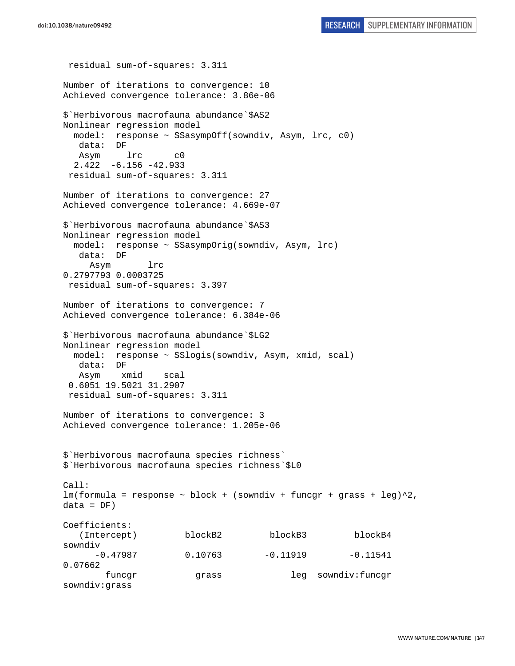residual sum-of-squares: 3.311 Number of iterations to convergence: 10 Achieved convergence tolerance: 3.86e-06 \$`Herbivorous macrofauna abundance`\$AS2 Nonlinear regression model model: response ~ SSasympOff(sowndiv, Asym, lrc, c0) data: DF Asym lrc c0 2.422 -6.156 -42.933 residual sum-of-squares: 3.311 Number of iterations to convergence: 27 Achieved convergence tolerance: 4.669e-07 \$`Herbivorous macrofauna abundance`\$AS3 Nonlinear regression model model: response ~ SSasympOrig(sowndiv, Asym, lrc) data: DF Asym lrc 0.2797793 0.0003725 residual sum-of-squares: 3.397 Number of iterations to convergence: 7 Achieved convergence tolerance: 6.384e-06 \$`Herbivorous macrofauna abundance`\$LG2 Nonlinear regression model model: response ~ SSlogis(sowndiv, Asym, xmid, scal) data: DF Asym xmid scal 0.6051 19.5021 31.2907 residual sum-of-squares: 3.311 Number of iterations to convergence: 3 Achieved convergence tolerance: 1.205e-06 \$`Herbivorous macrofauna species richness` \$`Herbivorous macrofauna species richness`\$L0 Call:  $lm(formula = response ~ block + (sowndiv + funcgr + grass + leg)^2,$  $data = DF)$ Coefficients: (Intercept) blockB2 blockB3 blockB4 sowndiv  $-0.47987$   $0.10763$   $-0.11919$   $-0.11541$ 0.07662 funcgr grass leg sowndiv:funcgr sowndiv:grass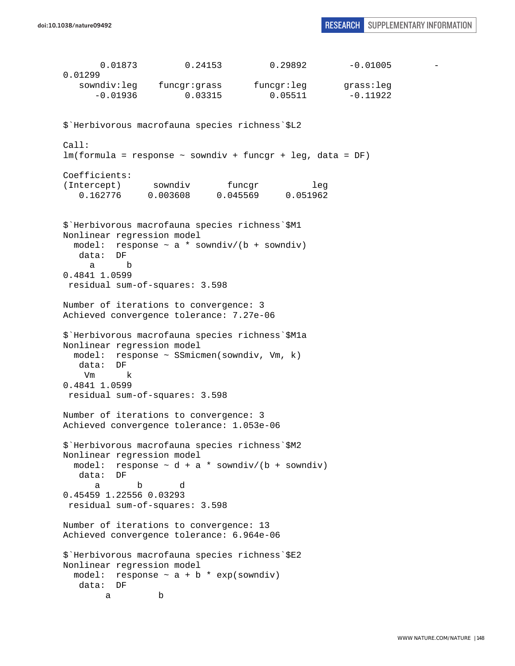0.01873 0.24153 0.29892 -0.01005 0.01299 sowndiv:leg funcgr:grass funcgr:leg grass:leg  $-0.01936$  0.03315 0.05511  $-0.11922$ \$`Herbivorous macrofauna species richness`\$L2 Call: lm(formula = response ~ sowndiv + funcgr + leg, data = DF) Coefficients: (Intercept) sowndiv funcgr leg 0.162776 0.003608 0.045569 0.051962 \$`Herbivorous macrofauna species richness`\$M1 Nonlinear regression model model: response  $\sim$  a \* sowndiv/(b + sowndiv) data: DF a b 0.4841 1.0599 residual sum-of-squares: 3.598 Number of iterations to convergence: 3 Achieved convergence tolerance: 7.27e-06 \$`Herbivorous macrofauna species richness`\$M1a Nonlinear regression model model: response ~ SSmicmen(sowndiv, Vm, k) data: DF Vm k 0.4841 1.0599 residual sum-of-squares: 3.598 Number of iterations to convergence: 3 Achieved convergence tolerance: 1.053e-06 \$`Herbivorous macrofauna species richness`\$M2 Nonlinear regression model model: response  $\sim d + a *$  sowndiv/(b + sowndiv) data: DF a b d 0.45459 1.22556 0.03293 residual sum-of-squares: 3.598 Number of iterations to convergence: 13 Achieved convergence tolerance: 6.964e-06 \$`Herbivorous macrofauna species richness`\$E2 Nonlinear regression model model: response  $\sim$  a + b  $*$  exp(sowndiv) data: DF a b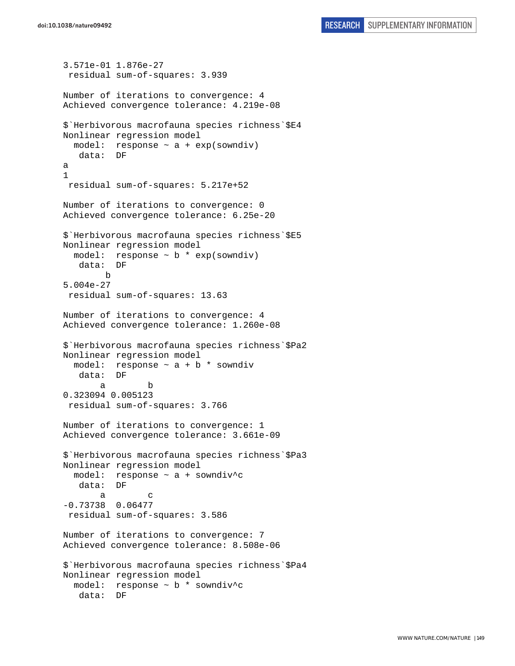```
3.571e-01 1.876e-27 
  residual sum-of-squares: 3.939 
Number of iterations to convergence: 4 
Achieved convergence tolerance: 4.219e-08 
$`Herbivorous macrofauna species richness`$E4 
Nonlinear regression model 
  model: response ~ a + exp(sowndiv) 
    data: DF 
a 
1 
  residual sum-of-squares: 5.217e+52 
Number of iterations to convergence: 0 
Achieved convergence tolerance: 6.25e-20 
$`Herbivorous macrofauna species richness`$E5 
Nonlinear regression model 
 model: response \sim b * exp(sowndiv)
    data: DF 
         b 
5.004e-27 
  residual sum-of-squares: 13.63 
Number of iterations to convergence: 4 
Achieved convergence tolerance: 1.260e-08 
$`Herbivorous macrofauna species richness`$Pa2 
Nonlinear regression model 
 model: response \sim a + b * sowndiv
    data: DF 
 a b 
0.323094 0.005123 
  residual sum-of-squares: 3.766 
Number of iterations to convergence: 1 
Achieved convergence tolerance: 3.661e-09 
$`Herbivorous macrofauna species richness`$Pa3 
Nonlinear regression model 
   model: response ~ a + sowndiv^c 
    data: DF 
 a c 
-0.73738 0.06477 
 residual sum-of-squares: 3.586 
Number of iterations to convergence: 7 
Achieved convergence tolerance: 8.508e-06 
$`Herbivorous macrofauna species richness`$Pa4 
Nonlinear regression model 
  model: response ~ b * sowndiv^c 
    data: DF
```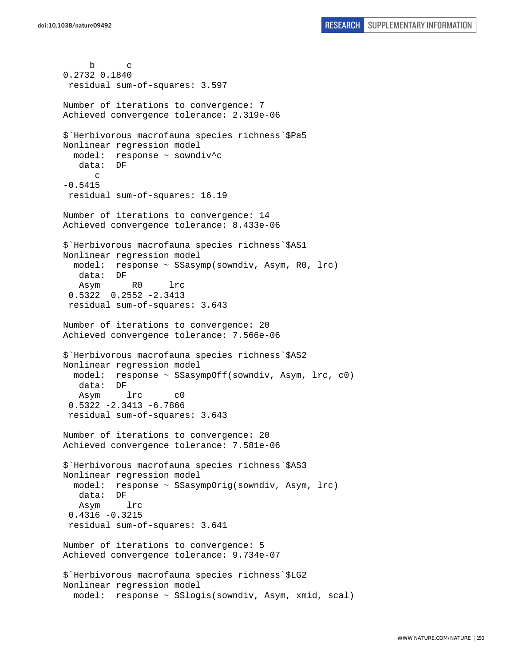b c 0.2732 0.1840 residual sum-of-squares: 3.597 Number of iterations to convergence: 7 Achieved convergence tolerance: 2.319e-06 \$`Herbivorous macrofauna species richness`\$Pa5 Nonlinear regression model model: response ~ sowndiv^c data: DF  $\Gamma$ -0.5415 residual sum-of-squares: 16.19 Number of iterations to convergence: 14 Achieved convergence tolerance: 8.433e-06 \$`Herbivorous macrofauna species richness`\$AS1 Nonlinear regression model model: response ~ SSasymp(sowndiv, Asym, R0, lrc) data: DF Asym R0 lrc 0.5322 0.2552 -2.3413 residual sum-of-squares: 3.643 Number of iterations to convergence: 20 Achieved convergence tolerance: 7.566e-06 \$`Herbivorous macrofauna species richness`\$AS2 Nonlinear regression model model: response ~ SSasympOff(sowndiv, Asym, lrc, c0)  $data:$  Asym lrc c0 0.5322 -2.3413 -6.7866 residual sum-of-squares: 3.643 Number of iterations to convergence: 20 Achieved convergence tolerance: 7.581e-06 \$`Herbivorous macrofauna species richness`\$AS3 Nonlinear regression model model: response ~ SSasympOrig(sowndiv, Asym, lrc) data: DF Asym lrc 0.4316 -0.3215 residual sum-of-squares: 3.641 Number of iterations to convergence: 5 Achieved convergence tolerance: 9.734e-07 \$`Herbivorous macrofauna species richness`\$LG2 Nonlinear regression model model: response ~ SSlogis(sowndiv, Asym, xmid, scal)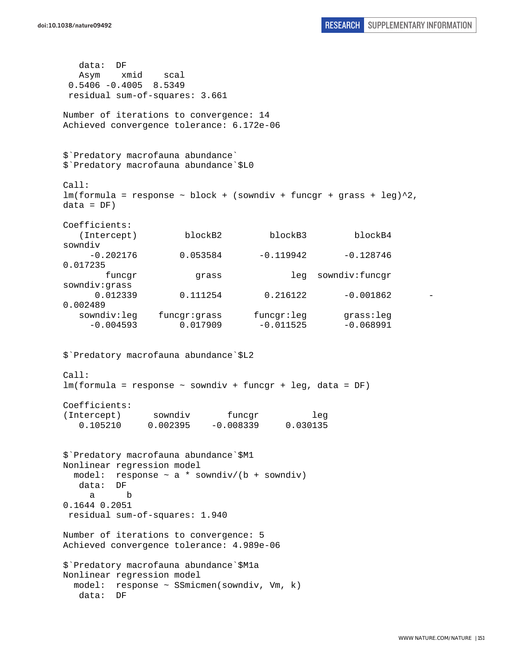data: DF Asym xmid scal 0.5406 -0.4005 8.5349 residual sum-of-squares: 3.661 Number of iterations to convergence: 14 Achieved convergence tolerance: 6.172e-06 \$`Predatory macrofauna abundance` \$`Predatory macrofauna abundance`\$L0 Call:  $lm(formula = response ~ block + (sowndiv + funcgr + grass + leg)^2,$  $data = DF)$ Coefficients: (Intercept) blockB2 blockB3 blockB4 sowndiv  $-0.202176$   $0.053584$   $-0.119942$   $-0.128746$ 0.017235 funcgr grass leg sowndiv:funcgr sowndiv:grass 0.012339 0.111254 0.216122 -0.001862 0.002489 sowndiv:leg funcgr:grass funcgr:leg grass:leg  $-0.004593$   $0.017909$   $-0.011525$   $-0.068991$ \$`Predatory macrofauna abundance`\$L2 Call: lm(formula = response ~ sowndiv + funcgr + leg, data = DF) Coefficients: (Intercept) sowndiv funcgr leg 0.105210 0.002395 -0.008339 0.030135 \$`Predatory macrofauna abundance`\$M1 Nonlinear regression model model: response  $\sim$  a \* sowndiv/(b + sowndiv) data: DF a b 0.1644 0.2051 residual sum-of-squares: 1.940 Number of iterations to convergence: 5 Achieved convergence tolerance: 4.989e-06 \$`Predatory macrofauna abundance`\$M1a Nonlinear regression model model: response ~ SSmicmen(sowndiv, Vm, k) data: DF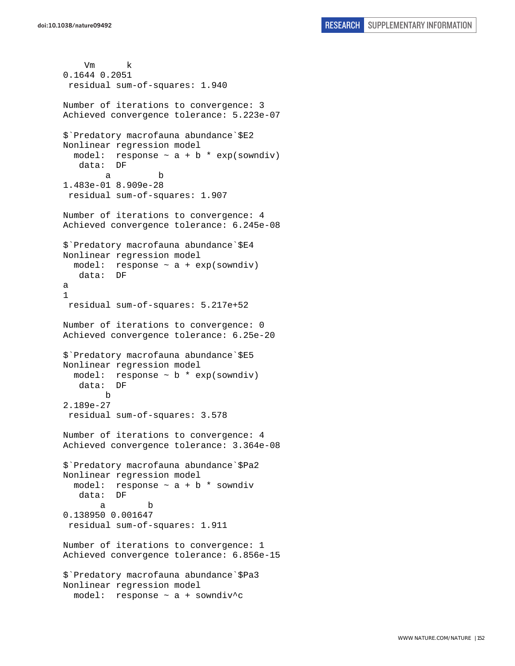```
 Vm k 
0.1644 0.2051 
  residual sum-of-squares: 1.940 
Number of iterations to convergence: 3 
Achieved convergence tolerance: 5.223e-07 
$`Predatory macrofauna abundance`$E2 
Nonlinear regression model 
  model: response \sim a + b * exp(sowndiv)
    data: DF 
 a b 
1.483e-01 8.909e-28 
 residual sum-of-squares: 1.907 
Number of iterations to convergence: 4 
Achieved convergence tolerance: 6.245e-08 
$`Predatory macrofauna abundance`$E4 
Nonlinear regression model 
  model: response ~ a + exp(sowndiv) 
    data: DF 
a 
1 
  residual sum-of-squares: 5.217e+52 
Number of iterations to convergence: 0 
Achieved convergence tolerance: 6.25e-20 
$`Predatory macrofauna abundance`$E5 
Nonlinear regression model 
 model: response \sim b * exp(sowndiv)
    data: DF 
 b 
2.189e-27 
  residual sum-of-squares: 3.578 
Number of iterations to convergence: 4 
Achieved convergence tolerance: 3.364e-08 
$`Predatory macrofauna abundance`$Pa2 
Nonlinear regression model 
  model: response \sim a + b * sowndiv
    data: DF 
 a b 
0.138950 0.001647 
 residual sum-of-squares: 1.911 
Number of iterations to convergence: 1 
Achieved convergence tolerance: 6.856e-15 
$`Predatory macrofauna abundance`$Pa3 
Nonlinear regression model 
   model: response ~ a + sowndiv^c
```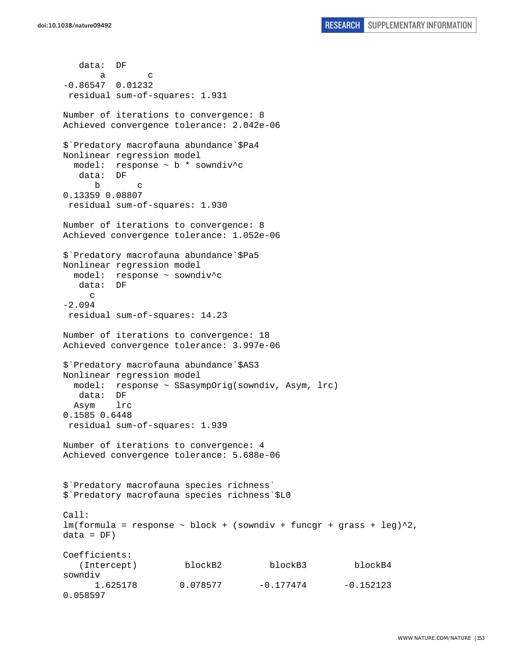data: DF a c -0.86547 0.01232 residual sum-of-squares: 1.931 Number of iterations to convergence: 8 Achieved convergence tolerance: 2.042e-06 \$`Predatory macrofauna abundance`\$Pa4 Nonlinear regression model model: response ~ b \* sowndiv^c data: DF b c 0.13359 0.08807 residual sum-of-squares: 1.930 Number of iterations to convergence: 8 Achieved convergence tolerance: 1.052e-06 \$`Predatory macrofauna abundance`\$Pa5 Nonlinear regression model model: response ~ sowndiv^c data: DF c -2.094 residual sum-of-squares: 14.23 Number of iterations to convergence: 18 Achieved convergence tolerance: 3.997e-06 \$`Predatory macrofauna abundance`\$AS3 Nonlinear regression model model: response ~ SSasympOrig(sowndiv, Asym, lrc) data: DF Asym lrc 0.1585 0.6448 residual sum-of-squares: 1.939 Number of iterations to convergence: 4 Achieved convergence tolerance: 5.688e-06 \$`Predatory macrofauna species richness` \$`Predatory macrofauna species richness`\$L0 Call: lm(formula = response ~ block + (sowndiv + funcgr + grass + leg)^2,  $data = DF)$ Coefficients: (Intercept) blockB2 blockB3 blockB4 sowndiv 1.625178 0.078577 -0.177474 -0.152123 0.058597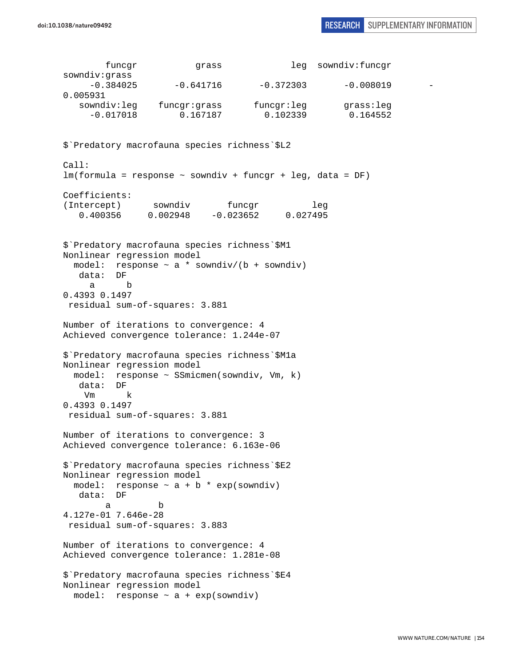|                                                               | funcgr              | grass                                                                                                                          |                                                                               | leg sowndiv:funcgr    |  |
|---------------------------------------------------------------|---------------------|--------------------------------------------------------------------------------------------------------------------------------|-------------------------------------------------------------------------------|-----------------------|--|
| sowndiv:grass                                                 |                     | $-0.384025$ $-0.641716$                                                                                                        | $-0.372303$                                                                   | $-0.008019$           |  |
| 0.005931                                                      |                     |                                                                                                                                |                                                                               |                       |  |
|                                                               |                     | sowndiv:leg funcgr:grass<br>$-0.017018$ 0.167187                                                                               | funcgr:leg<br>0.102339                                                        | grass:leg<br>0.164552 |  |
|                                                               |                     | \$'Predatory macrofauna species richness'\$L2                                                                                  |                                                                               |                       |  |
| Call:                                                         |                     |                                                                                                                                | $lm(formula = response ~soundiv + funcgr + leg, data = DF)$                   |                       |  |
| Coefficients:                                                 | (Intercept) sowndiv |                                                                                                                                | funcgr<br>tercept) sowndiv funcgr 1eg<br>0.400356 0.002948 -0.023652 0.027495 | leg                   |  |
| Nonlinear regression model<br>data: DF<br>a<br>0.4393 0.1497  | b                   | \$'Predatory macrofauna species richness'\$M1<br>residual sum-of-squares: 3.881                                                | model: response $\sim$ a * sowndiv/(b + sowndiv)                              |                       |  |
|                                                               |                     | Number of iterations to convergence: 4<br>Achieved convergence tolerance: 1.244e-07                                            |                                                                               |                       |  |
| Nonlinear regression model<br>data: DF<br>Vm<br>0.4393 0.1497 | k                   | \$'Predatory macrofauna species richness'\$Mla<br>model: response ~ SSmicmen(sowndiv, Vm, k)<br>residual sum-of-squares: 3.881 |                                                                               |                       |  |
|                                                               |                     | Number of iterations to convergence: 3                                                                                         |                                                                               |                       |  |
|                                                               |                     | Achieved convergence tolerance: 6.163e-06                                                                                      |                                                                               |                       |  |
| Nonlinear regression model                                    |                     | \$'Predatory macrofauna species richness'\$E2                                                                                  |                                                                               |                       |  |
| model:<br>data: DF                                            |                     | response $\sim$ a + b * exp(sowndiv)                                                                                           |                                                                               |                       |  |
| а<br>4.127e-01 7.646e-28                                      | b                   | residual sum-of-squares: 3.883                                                                                                 |                                                                               |                       |  |
|                                                               |                     | Number of iterations to convergence: 4<br>Achieved convergence tolerance: 1.281e-08                                            |                                                                               |                       |  |
| Nonlinear regression model                                    |                     | \$'Predatory macrofauna species richness'\$E4<br>model: response $\sim$ a + exp(sowndiv)                                       |                                                                               |                       |  |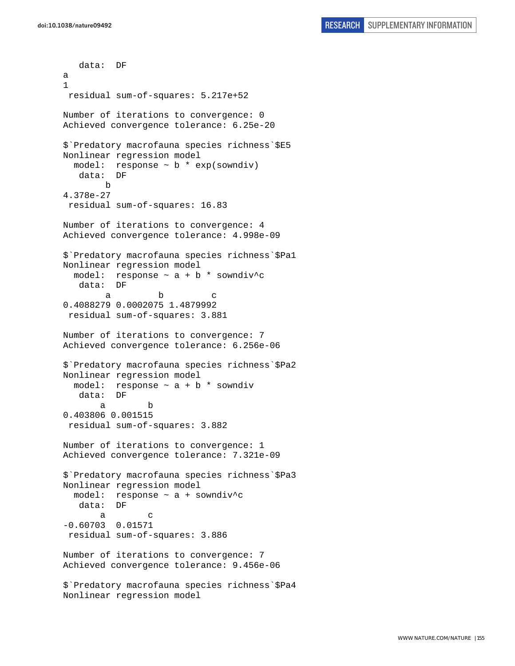data: DF a 1 residual sum-of-squares: 5.217e+52 Number of iterations to convergence: 0 Achieved convergence tolerance: 6.25e-20 \$`Predatory macrofauna species richness`\$E5 Nonlinear regression model model: response ~ b \* exp(sowndiv) data: DF b 4.378e-27 residual sum-of-squares: 16.83 Number of iterations to convergence: 4 Achieved convergence tolerance: 4.998e-09 \$`Predatory macrofauna species richness`\$Pa1 Nonlinear regression model model: response  $\sim$  a + b \* sowndiv^c data: DF a b c 0.4088279 0.0002075 1.4879992 residual sum-of-squares: 3.881 Number of iterations to convergence: 7 Achieved convergence tolerance: 6.256e-06 \$`Predatory macrofauna species richness`\$Pa2 Nonlinear regression model model: response  $\sim$  a + b  $*$  sowndiv data: DF a b 0.403806 0.001515 residual sum-of-squares: 3.882 Number of iterations to convergence: 1 Achieved convergence tolerance: 7.321e-09 \$`Predatory macrofauna species richness`\$Pa3 Nonlinear regression model model: response ~ a + sowndiv^c data: DF a c -0.60703 0.01571 residual sum-of-squares: 3.886 Number of iterations to convergence: 7 Achieved convergence tolerance: 9.456e-06 \$`Predatory macrofauna species richness`\$Pa4 Nonlinear regression model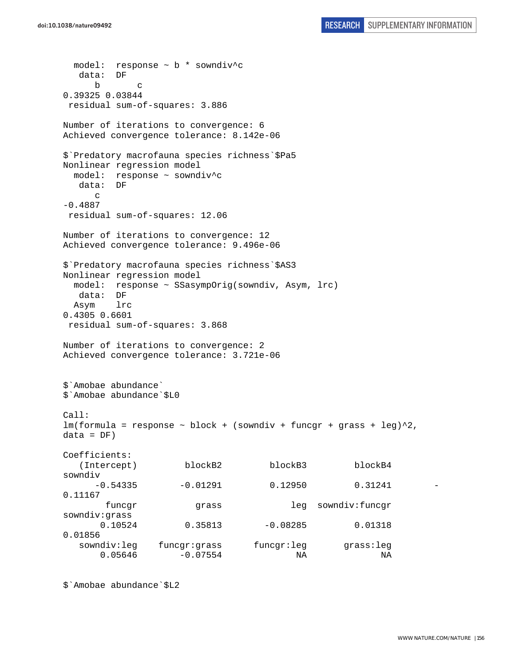```
 model: response ~ b * sowndiv^c 
   data: DF 
 b c 
0.39325 0.03844 
 residual sum-of-squares: 3.886 
Number of iterations to convergence: 6 
Achieved convergence tolerance: 8.142e-06 
$`Predatory macrofauna species richness`$Pa5 
Nonlinear regression model 
  model: response ~ sowndiv^c 
   data: DF 
     \mathcal{C}-0.4887 
 residual sum-of-squares: 12.06 
Number of iterations to convergence: 12 
Achieved convergence tolerance: 9.496e-06 
$`Predatory macrofauna species richness`$AS3 
Nonlinear regression model 
  model: response ~ SSasympOrig(sowndiv, Asym, lrc) 
   data: DF 
  Asym lrc 
0.4305 0.6601 
 residual sum-of-squares: 3.868 
Number of iterations to convergence: 2 
Achieved convergence tolerance: 3.721e-06 
$`Amobae abundance` 
$`Amobae abundance`$L0 
Call: 
lm(formula = response ~ block + (sowndiv + funcgr + grass + leg)^2,data = DF)Coefficients: 
   (Intercept) blockB2 blockB3 blockB4 
sowndiv 
     -0.54335 -0.01291 0.12950 0.312410.11167 
        funcgr grass leg sowndiv:funcgr 
sowndiv:grass 
       0.10524 0.35813 -0.08285 0.01318 
0.01856 
   sowndiv:leg funcgr:grass funcgr:leg grass:leg 
      0.05646    -0.07554    NA    NA
```
\$`Amobae abundance`\$L2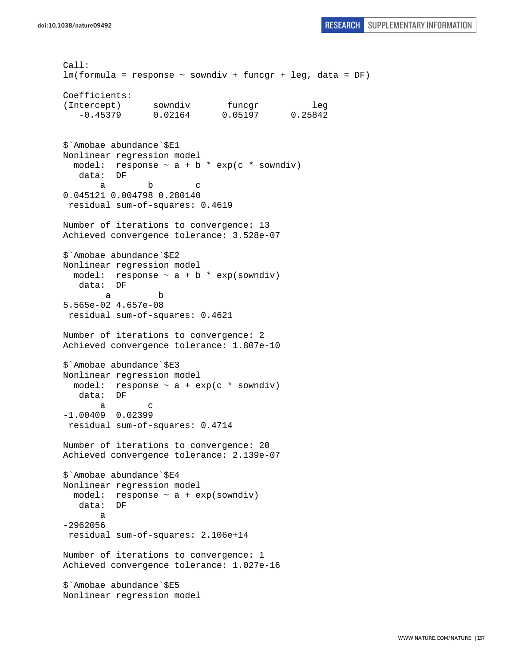```
Call: 
lm(formula = response ~ sowndiv + funcgr + leg, data = DF) 
Coefficients: 
(Intercept) sowndiv funcgr leg
    -0.45379 0.02164 0.05197 0.25842 
$`Amobae abundance`$E1 
Nonlinear regression model 
  model: response \sim a + b * exp(c * sowndiv)
   data: DF 
a b c
0.045121 0.004798 0.280140 
 residual sum-of-squares: 0.4619 
Number of iterations to convergence: 13 
Achieved convergence tolerance: 3.528e-07 
$`Amobae abundance`$E2 
Nonlinear regression model 
  model: response \sim a + b * exp(sowndiv)
   data: DF 
 a b 
5.565e-02 4.657e-08 
 residual sum-of-squares: 0.4621 
Number of iterations to convergence: 2 
Achieved convergence tolerance: 1.807e-10 
$`Amobae abundance`$E3 
Nonlinear regression model 
 model: response \sim a + exp(c * sowndiv)
    data: DF 
 a c 
-1.00409 0.02399 
 residual sum-of-squares: 0.4714 
Number of iterations to convergence: 20 
Achieved convergence tolerance: 2.139e-07 
$`Amobae abundance`$E4 
Nonlinear regression model 
 model: response \sim a + exp(sowndiv)
   data: DF 
        a 
-2962056 
 residual sum-of-squares: 2.106e+14 
Number of iterations to convergence: 1 
Achieved convergence tolerance: 1.027e-16 
$`Amobae abundance`$E5 
Nonlinear regression model
```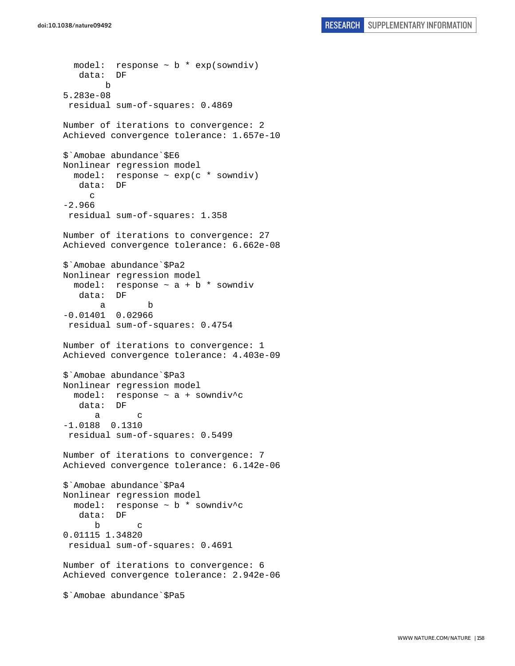```
model: response \sim b * exp(sowndiv)
    data: DF 
 b 
5.283e-08 
 residual sum-of-squares: 0.4869 
Number of iterations to convergence: 2 
Achieved convergence tolerance: 1.657e-10 
$`Amobae abundance`$E6 
Nonlinear regression model 
  model: response \sim exp(c * sowndiv)
    data: DF 
     \mathcal{C}-2.966 
 residual sum-of-squares: 1.358 
Number of iterations to convergence: 27 
Achieved convergence tolerance: 6.662e-08 
$`Amobae abundance`$Pa2 
Nonlinear regression model 
 model: response \sim a + b * sowndiv
    data: DF 
 a b 
-0.01401 0.02966 
 residual sum-of-squares: 0.4754 
Number of iterations to convergence: 1 
Achieved convergence tolerance: 4.403e-09 
$`Amobae abundance`$Pa3 
Nonlinear regression model 
   model: response ~ a + sowndiv^c 
    data: DF 
 a c 
-1.0188 0.1310 
 residual sum-of-squares: 0.5499 
Number of iterations to convergence: 7 
Achieved convergence tolerance: 6.142e-06 
$`Amobae abundance`$Pa4 
Nonlinear regression model 
   model: response ~ b * sowndiv^c 
    data: DF 
 b c 
0.01115 1.34820 
  residual sum-of-squares: 0.4691 
Number of iterations to convergence: 6 
Achieved convergence tolerance: 2.942e-06 
$`Amobae abundance`$Pa5
```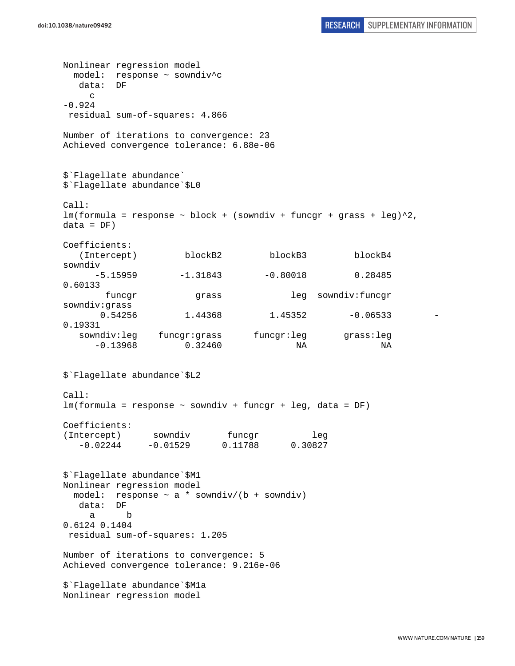Nonlinear regression model model: response ~ sowndiv^c data: DF c  $-0.924$  residual sum-of-squares: 4.866 Number of iterations to convergence: 23 Achieved convergence tolerance: 6.88e-06 \$`Flagellate abundance` \$`Flagellate abundance`\$L0 Call:  $lm(formula = response ~ block + (sowndiv + funcgr + grass + leg)^2,$  $data = DF)$ Coefficients: (Intercept) blockB2 blockB3 blockB4 sowndiv  $-5.15959$   $-1.31843$   $-0.80018$  0.28485 0.60133 funcgr grass leg sowndiv:funcgr sowndiv:grass 0.54256 1.44368 1.45352 -0.06533 0.19331 sowndiv:leg funcgr:grass funcgr:leg grass:leg -0.13968 0.32460 NA NA \$`Flagellate abundance`\$L2 Call: lm(formula = response ~ sowndiv + funcgr + leg, data = DF) Coefficients: (Intercept) sowndiv funcgr leg -0.02244 -0.01529 0.11788 0.30827 \$`Flagellate abundance`\$M1 Nonlinear regression model model: response  $\sim$  a  $*$  sowndiv/(b + sowndiv) data: DF a b 0.6124 0.1404 residual sum-of-squares: 1.205 Number of iterations to convergence: 5 Achieved convergence tolerance: 9.216e-06 \$`Flagellate abundance`\$M1a Nonlinear regression model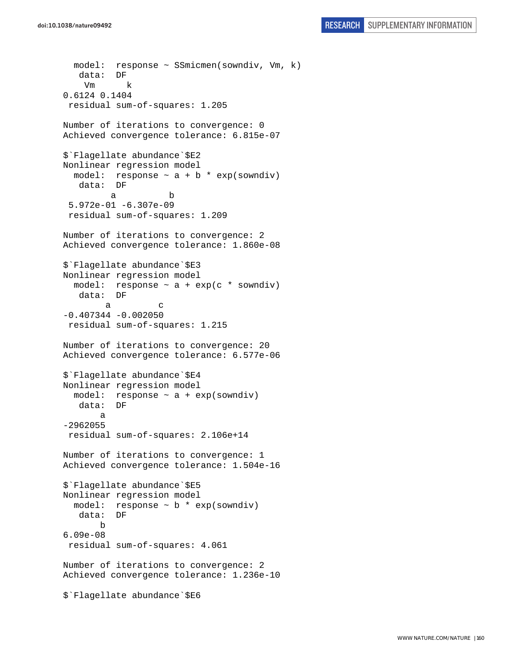```
 model: response ~ SSmicmen(sowndiv, Vm, k) 
    data: DF 
     Vm k 
0.6124 0.1404 
 residual sum-of-squares: 1.205 
Number of iterations to convergence: 0 
Achieved convergence tolerance: 6.815e-07 
$`Flagellate abundance`$E2 
Nonlinear regression model 
  model: response \sim a + b * exp(sowndiv)
    data: DF 
 a b 
  5.972e-01 -6.307e-09 
  residual sum-of-squares: 1.209 
Number of iterations to convergence: 2 
Achieved convergence tolerance: 1.860e-08 
$`Flagellate abundance`$E3 
Nonlinear regression model 
  model: response \sim a + exp(c * sowndiv)
    data: DF 
a c
-0.407344 -0.002050 
 residual sum-of-squares: 1.215 
Number of iterations to convergence: 20 
Achieved convergence tolerance: 6.577e-06 
$`Flagellate abundance`$E4 
Nonlinear regression model 
   model: response ~ a + exp(sowndiv) 
    data: DF 
        a 
-2962055 
  residual sum-of-squares: 2.106e+14 
Number of iterations to convergence: 1 
Achieved convergence tolerance: 1.504e-16 
$`Flagellate abundance`$E5 
Nonlinear regression model 
   model: response ~ b * exp(sowndiv) 
    data: DF 
        b 
6.09e-08 
  residual sum-of-squares: 4.061 
Number of iterations to convergence: 2 
Achieved convergence tolerance: 1.236e-10 
$`Flagellate abundance`$E6
```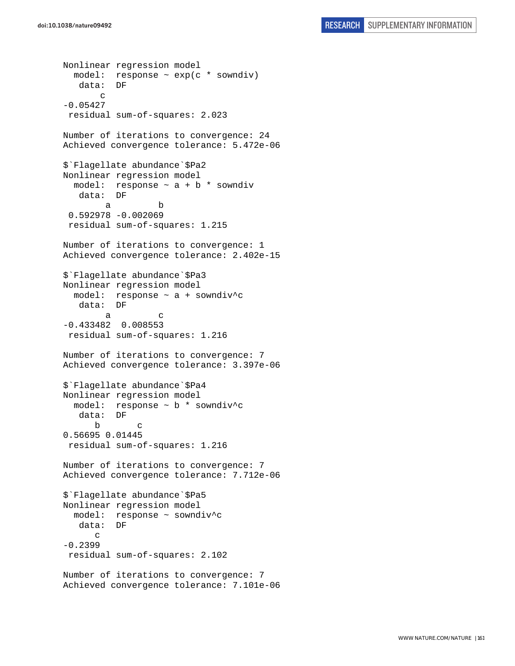```
Nonlinear regression model 
   model: response ~ exp(c * sowndiv) 
    data: DF 
        c 
-0.05427 
  residual sum-of-squares: 2.023 
Number of iterations to convergence: 24 
Achieved convergence tolerance: 5.472e-06 
$`Flagellate abundance`$Pa2 
Nonlinear regression model 
  model: response \sim a + b * sowndiv
    data: DF 
 a b 
  0.592978 -0.002069 
  residual sum-of-squares: 1.215 
Number of iterations to convergence: 1 
Achieved convergence tolerance: 2.402e-15 
$`Flagellate abundance`$Pa3 
Nonlinear regression model 
   model: response ~ a + sowndiv^c 
    data: DF 
a c
-0.433482 0.008553 
 residual sum-of-squares: 1.216 
Number of iterations to convergence: 7 
Achieved convergence tolerance: 3.397e-06 
$`Flagellate abundance`$Pa4 
Nonlinear regression model 
   model: response ~ b * sowndiv^c 
    data: DF 
 b c 
0.56695 0.01445 
 residual sum-of-squares: 1.216 
Number of iterations to convergence: 7 
Achieved convergence tolerance: 7.712e-06 
$`Flagellate abundance`$Pa5 
Nonlinear regression model 
  model: response ~ sowndiv^c 
   data: DF 
       c 
-0.2399 
  residual sum-of-squares: 2.102 
Number of iterations to convergence: 7 
Achieved convergence tolerance: 7.101e-06
```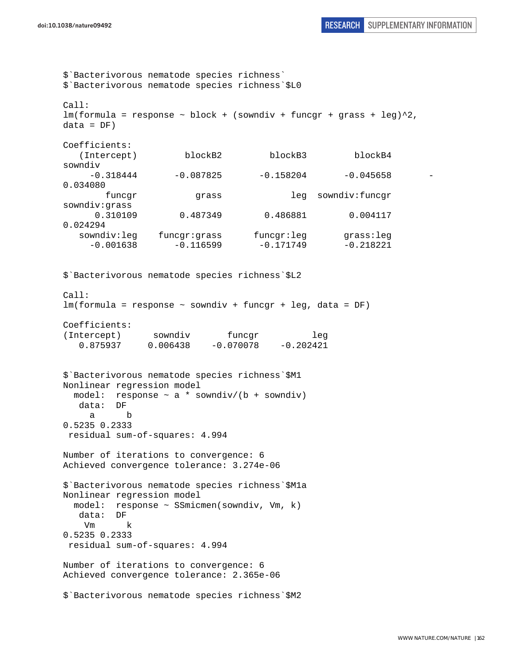\$`Bacterivorous nematode species richness` \$`Bacterivorous nematode species richness`\$L0  $C<sub>2</sub>11$ :  $lm(formula = response ~ block + (sowndiv + funcgr + grass + leg)^2,$  $data = DF)$ Coefficients: (Intercept) blockB2 blockB3 blockB4 sowndiv  $-0.318444$   $-0.087825$   $-0.158204$   $-0.045658$ 0.034080 funcgr grass leg sowndiv:funcgr sowndiv:grass 0.310109 0.487349 0.486881 0.004117 0.024294 sowndiv:leg funcgr:grass funcgr:leg grass:leg  $-0.001638$   $-0.116599$   $-0.171749$   $-0.218221$ \$`Bacterivorous nematode species richness`\$L2 Call: lm(formula = response ~ sowndiv + funcgr + leg, data = DF) Coefficients: (Intercept) sowndiv funcgr leg 0.875937 0.006438 -0.070078 -0.202421 \$`Bacterivorous nematode species richness`\$M1 Nonlinear regression model model: response  $\sim$  a \* sowndiv/(b + sowndiv) data: DF a b 0.5235 0.2333 residual sum-of-squares: 4.994 Number of iterations to convergence: 6 Achieved convergence tolerance: 3.274e-06 \$`Bacterivorous nematode species richness`\$M1a Nonlinear regression model model: response ~ SSmicmen(sowndiv, Vm, k) data: DF Vm k 0.5235 0.2333 residual sum-of-squares: 4.994 Number of iterations to convergence: 6 Achieved convergence tolerance: 2.365e-06 \$`Bacterivorous nematode species richness`\$M2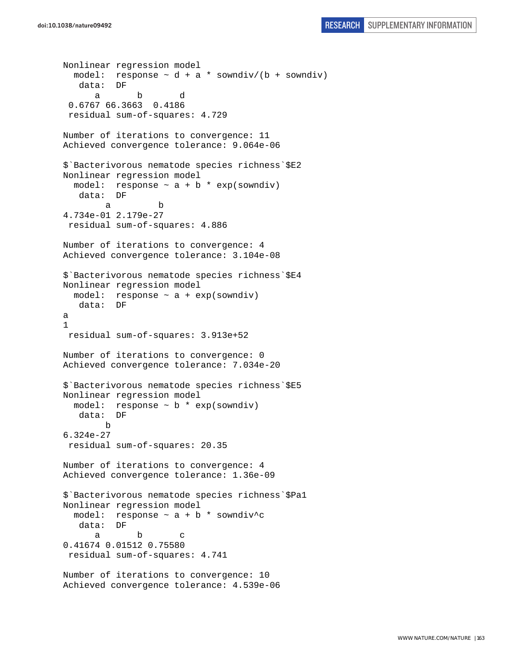```
Nonlinear regression model 
  model: response \sim d + a * sowndiv/(b + sowndiv)
    data: DF 
 a b d 
  0.6767 66.3663 0.4186 
  residual sum-of-squares: 4.729 
Number of iterations to convergence: 11 
Achieved convergence tolerance: 9.064e-06 
$`Bacterivorous nematode species richness`$E2 
Nonlinear regression model 
  model: response \sim a + b * exp(sowndiv)
    data: DF 
 a b 
4.734e-01 2.179e-27 
  residual sum-of-squares: 4.886 
Number of iterations to convergence: 4 
Achieved convergence tolerance: 3.104e-08 
$`Bacterivorous nematode species richness`$E4 
Nonlinear regression model 
 model: response \sim a + exp(sowndiv)
    data: DF 
a 
1 
 residual sum-of-squares: 3.913e+52 
Number of iterations to convergence: 0 
Achieved convergence tolerance: 7.034e-20 
$`Bacterivorous nematode species richness`$E5 
Nonlinear regression model 
  model: response \sim b * exp(sowndiv)
    data: DF 
         b 
6.324e-27 
 residual sum-of-squares: 20.35 
Number of iterations to convergence: 4 
Achieved convergence tolerance: 1.36e-09 
$`Bacterivorous nematode species richness`$Pa1 
Nonlinear regression model 
 model: response \sim a + b * sowndiv^c
    data: DF 
 a b c 
0.41674 0.01512 0.75580 
  residual sum-of-squares: 4.741 
Number of iterations to convergence: 10 
Achieved convergence tolerance: 4.539e-06
```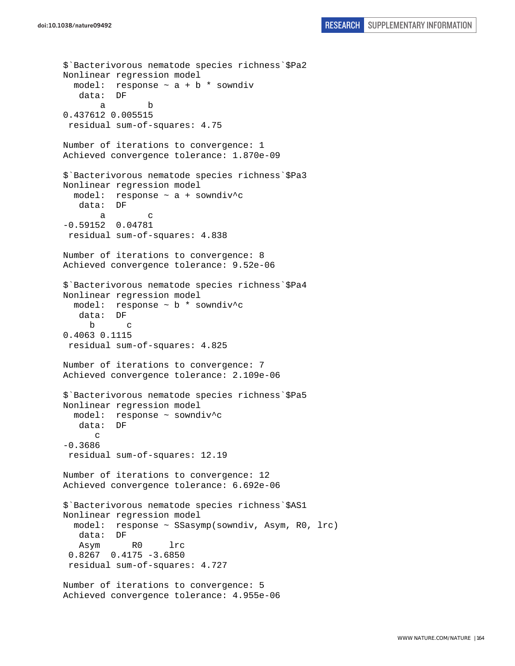```
$`Bacterivorous nematode species richness`$Pa2 
Nonlinear regression model 
  model: response \sim a + b * sowndiv
    data: DF 
 a b 
0.437612 0.005515 
 residual sum-of-squares: 4.75 
Number of iterations to convergence: 1 
Achieved convergence tolerance: 1.870e-09 
$`Bacterivorous nematode species richness`$Pa3 
Nonlinear regression model 
   model: response ~ a + sowndiv^c 
    data: DF 
 a c 
-0.59152 0.04781 
  residual sum-of-squares: 4.838 
Number of iterations to convergence: 8 
Achieved convergence tolerance: 9.52e-06 
$`Bacterivorous nematode species richness`$Pa4 
Nonlinear regression model 
   model: response ~ b * sowndiv^c 
    data: DF 
      b c 
0.4063 0.1115 
  residual sum-of-squares: 4.825 
Number of iterations to convergence: 7 
Achieved convergence tolerance: 2.109e-06 
$`Bacterivorous nematode species richness`$Pa5 
Nonlinear regression model 
   model: response ~ sowndiv^c 
    data: DF 
       c 
-0.3686 
 residual sum-of-squares: 12.19 
Number of iterations to convergence: 12 
Achieved convergence tolerance: 6.692e-06 
$`Bacterivorous nematode species richness`$AS1 
Nonlinear regression model 
  model: response ~ SSasymp(sowndiv, Asym, R0, lrc) 
    data: DF 
    Asym R0 lrc 
  0.8267 0.4175 -3.6850 
  residual sum-of-squares: 4.727 
Number of iterations to convergence: 5 
Achieved convergence tolerance: 4.955e-06
```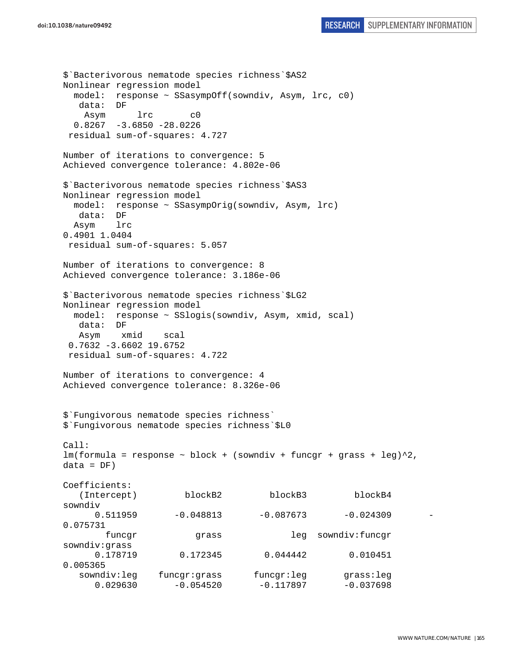```
$`Bacterivorous nematode species richness`$AS2 
Nonlinear regression model 
  model: response ~ SSasympOff(sowndiv, Asym, lrc, c0) 
   data: DF 
    Asym lrc c0 
  0.8267 -3.6850 -28.0226 residual sum-of-squares: 4.727 
Number of iterations to convergence: 5 
Achieved convergence tolerance: 4.802e-06 
$`Bacterivorous nematode species richness`$AS3 
Nonlinear regression model 
  model: response ~ SSasympOrig(sowndiv, Asym, lrc) 
   data: DF 
  Asym lrc 
0.4901 1.0404 
 residual sum-of-squares: 5.057 
Number of iterations to convergence: 8 
Achieved convergence tolerance: 3.186e-06 
$`Bacterivorous nematode species richness`$LG2 
Nonlinear regression model 
  model: response ~ SSlogis(sowndiv, Asym, xmid, scal) 
   data: DF 
   Asym xmid scal 
  0.7632 -3.6602 19.6752 
  residual sum-of-squares: 4.722 
Number of iterations to convergence: 4 
Achieved convergence tolerance: 8.326e-06 
$`Fungivorous nematode species richness` 
$`Fungivorous nematode species richness`$L0 
Call: 
lm(formula = response ~ block + (sowndiv + funcgr + grass + leg)^2,data = DF)Coefficients: 
   (Intercept) blockB2 blockB3 blockB4 
sowndiv 
     0.511959 -0.048813 -0.087673 -0.0243090.075731 
        funcgr grass leg sowndiv:funcgr 
sowndiv:grass 
      0.178719 0.172345 0.044442 0.010451 
0.005365 
   sowndiv:leg funcgr:grass funcgr:leg grass:leg 
     0.029630 -0.054520 -0.117897 -0.037698
```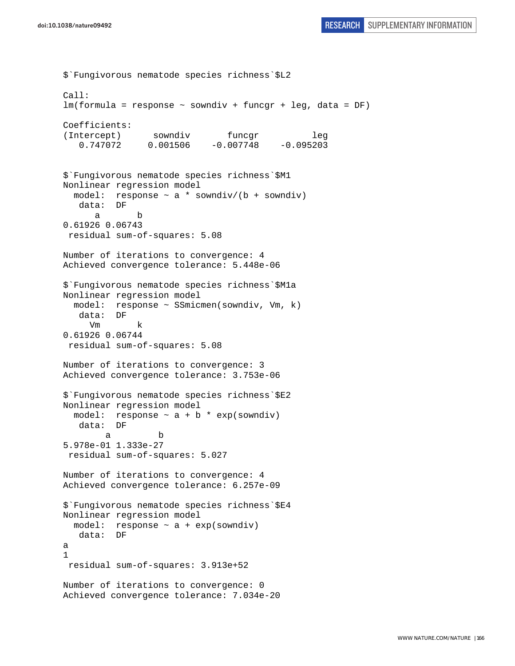```
$`Fungivorous nematode species richness`$L2 
Call: 
lm(formula = response ~ sowndiv + funcgr + leg, data = DF) 
Coefficients: 
(Intercept) sowndiv funcgr leg
    0.747072 0.001506 -0.007748 -0.095203 
$`Fungivorous nematode species richness`$M1 
Nonlinear regression model 
  model: response \sim a * sowndiv/(b + sowndiv)
    data: DF 
 a b 
0.61926 0.06743 
  residual sum-of-squares: 5.08 
Number of iterations to convergence: 4 
Achieved convergence tolerance: 5.448e-06 
$`Fungivorous nematode species richness`$M1a 
Nonlinear regression model 
   model: response ~ SSmicmen(sowndiv, Vm, k) 
    data: DF 
      Vm k 
0.61926 0.06744 
  residual sum-of-squares: 5.08 
Number of iterations to convergence: 3 
Achieved convergence tolerance: 3.753e-06 
$`Fungivorous nematode species richness`$E2 
Nonlinear regression model 
  model: response \sim a + b * exp(sowndiv)
    data: DF 
 a b 
5.978e-01 1.333e-27 
 residual sum-of-squares: 5.027 
Number of iterations to convergence: 4 
Achieved convergence tolerance: 6.257e-09 
$`Fungivorous nematode species richness`$E4 
Nonlinear regression model 
 model: response \sim a + exp(sowndiv)
   data: DF 
a 
1 
 residual sum-of-squares: 3.913e+52 
Number of iterations to convergence: 0 
Achieved convergence tolerance: 7.034e-20
```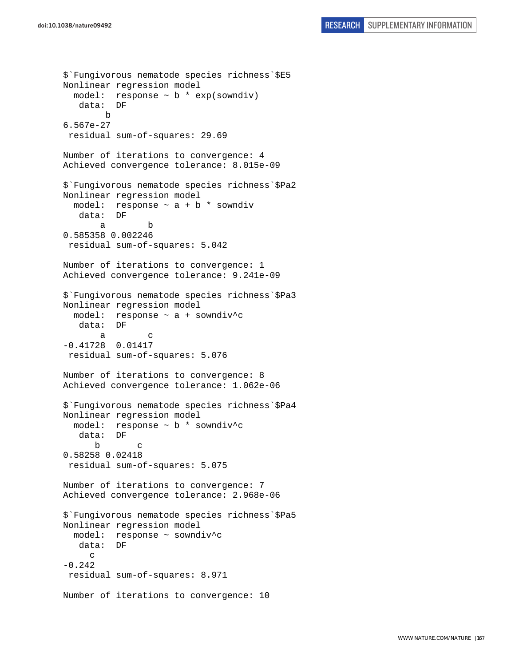```
$`Fungivorous nematode species richness`$E5 
Nonlinear regression model 
  model: response \sim b * exp(sowndiv)
    data: DF 
         b 
6.567e-27 
  residual sum-of-squares: 29.69 
Number of iterations to convergence: 4 
Achieved convergence tolerance: 8.015e-09 
$`Fungivorous nematode species richness`$Pa2 
Nonlinear regression model 
 model: response \sim a + b * sowndiv
    data: DF 
 a b 
0.585358 0.002246 
  residual sum-of-squares: 5.042 
Number of iterations to convergence: 1 
Achieved convergence tolerance: 9.241e-09 
$`Fungivorous nematode species richness`$Pa3 
Nonlinear regression model 
   model: response ~ a + sowndiv^c 
    data: DF 
 a c 
-0.41728 0.01417 
 residual sum-of-squares: 5.076 
Number of iterations to convergence: 8 
Achieved convergence tolerance: 1.062e-06 
$`Fungivorous nematode species richness`$Pa4 
Nonlinear regression model 
   model: response ~ b * sowndiv^c 
    data: DF 
 b c 
0.58258 0.02418 
  residual sum-of-squares: 5.075 
Number of iterations to convergence: 7 
Achieved convergence tolerance: 2.968e-06 
$`Fungivorous nematode species richness`$Pa5 
Nonlinear regression model 
   model: response ~ sowndiv^c 
    data: DF 
     \mathcal{C}-0.242 residual sum-of-squares: 8.971 
Number of iterations to convergence: 10
```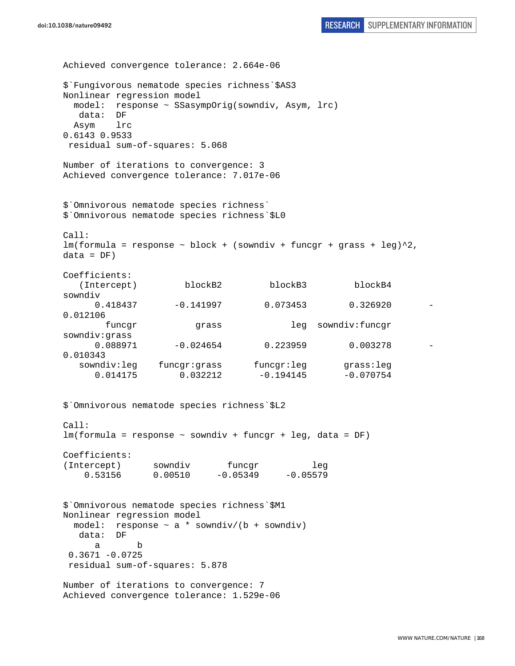```
Achieved convergence tolerance: 2.664e-06 
doi:10.1038/nature09492 RESEARCH SUPPLEMENTARY INFORMATION
```
\$`Fungivorous nematode species richness`\$AS3 Nonlinear regression model model: response ~ SSasympOrig(sowndiv, Asym, lrc) data: DF Asym lrc 0.6143 0.9533 residual sum-of-squares: 5.068 Number of iterations to convergence: 3 Achieved convergence tolerance: 7.017e-06 \$`Omnivorous nematode species richness` \$`Omnivorous nematode species richness`\$L0 Call:  $lm(formula = response ~ block + (sowndiv + funcgr + grass + leg)^2,$  $data = DF)$ Coefficients: (Intercept) blockB2 blockB3 blockB4 sowndiv 0.418437 -0.141997 0.073453 0.326920 - 0.012106 funcgr grass leg sowndiv:funcgr sowndiv:grass 0.088971 -0.024654 0.223959 0.003278 0.010343 sowndiv:leg funcgr:grass funcgr:leg grass:leg 0.014175 0.032212 -0.194145 -0.070754 \$`Omnivorous nematode species richness`\$L2 Call: lm(formula = response ~ sowndiv + funcgr + leg, data = DF) Coefficients: (Intercept) sowndiv funcgr leg 0.53156 0.00510 -0.05349 -0.05579 \$`Omnivorous nematode species richness`\$M1 Nonlinear regression model model: response  $\sim$  a \* sowndiv/(b + sowndiv) data: DF a b  $0.3671 - 0.0725$  residual sum-of-squares: 5.878 Number of iterations to convergence: 7 Achieved convergence tolerance: 1.529e-06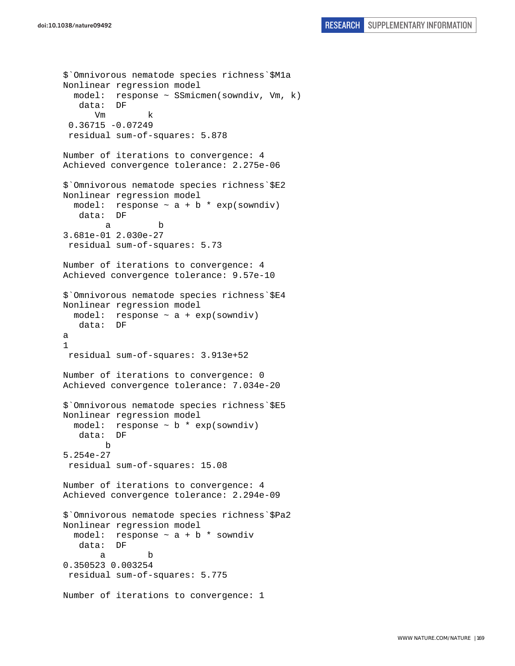```
$`Omnivorous nematode species richness`$M1a 
Nonlinear regression model 
   model: response ~ SSmicmen(sowndiv, Vm, k) 
    data: DF 
       Vm k 
  0.36715 -0.07249 
  residual sum-of-squares: 5.878 
Number of iterations to convergence: 4 
Achieved convergence tolerance: 2.275e-06 
$`Omnivorous nematode species richness`$E2 
Nonlinear regression model 
 model: response \sim a + b * exp(sowndiv)
    data: DF 
 a b 
3.681e-01 2.030e-27 
  residual sum-of-squares: 5.73 
Number of iterations to convergence: 4 
Achieved convergence tolerance: 9.57e-10 
$`Omnivorous nematode species richness`$E4 
Nonlinear regression model 
  model: response \sim a + exp(sowndiv)
    data: DF 
a 
1 
 residual sum-of-squares: 3.913e+52 
Number of iterations to convergence: 0 
Achieved convergence tolerance: 7.034e-20 
$`Omnivorous nematode species richness`$E5 
Nonlinear regression model 
   model: response ~ b * exp(sowndiv) 
    data: DF 
 b 
5.254e-27 
  residual sum-of-squares: 15.08 
Number of iterations to convergence: 4 
Achieved convergence tolerance: 2.294e-09 
$`Omnivorous nematode species richness`$Pa2 
Nonlinear regression model 
  model: response \sim a + b * sowndiv
    data: DF 
 a b 
0.350523 0.003254 
  residual sum-of-squares: 5.775 
Number of iterations to convergence: 1
```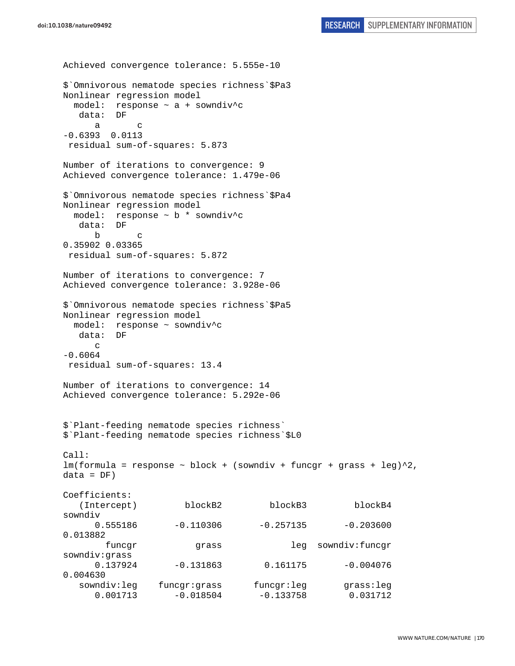```
Achieved convergence tolerance: 5.555e-10 
$`Omnivorous nematode species richness`$Pa3 
Nonlinear regression model 
  model: response ~ a + sowndiv^c 
   data: DF 
 a c 
-0.6393 0.0113 
 residual sum-of-squares: 5.873 
Number of iterations to convergence: 9 
Achieved convergence tolerance: 1.479e-06 
$`Omnivorous nematode species richness`$Pa4 
Nonlinear regression model 
  model: response ~ b * sowndiv^c 
   data: DF 
 b c 
0.35902 0.03365 
 residual sum-of-squares: 5.872 
Number of iterations to convergence: 7 
Achieved convergence tolerance: 3.928e-06 
$`Omnivorous nematode species richness`$Pa5 
Nonlinear regression model 
  model: response ~ sowndiv^c 
   data: DF 
     \Gamma-0.6064 
 residual sum-of-squares: 13.4 
Number of iterations to convergence: 14 
Achieved convergence tolerance: 5.292e-06 
$`Plant-feeding nematode species richness` 
$`Plant-feeding nematode species richness`$L0 
Call: 
lm(formula = response ~ ~block ~ + ~ (sowndiv ~ + ~funcgr ~ + ~grass ~ + ~ leg)^2,
data = DF)Coefficients: 
    (Intercept) blockB2 blockB3 blockB4 
sowndiv 
     0.555186 -0.110306 -0.257135 -0.2036000.013882 
        funcgr grass leg sowndiv:funcgr 
sowndiv:grass 
      0.137924 -0.131863 0.161175 -0.004076 
0.004630 
   sowndiv:leg funcgr:grass funcgr:leg grass:leg 
      0.001713 -0.018504 -0.133758 0.031712
```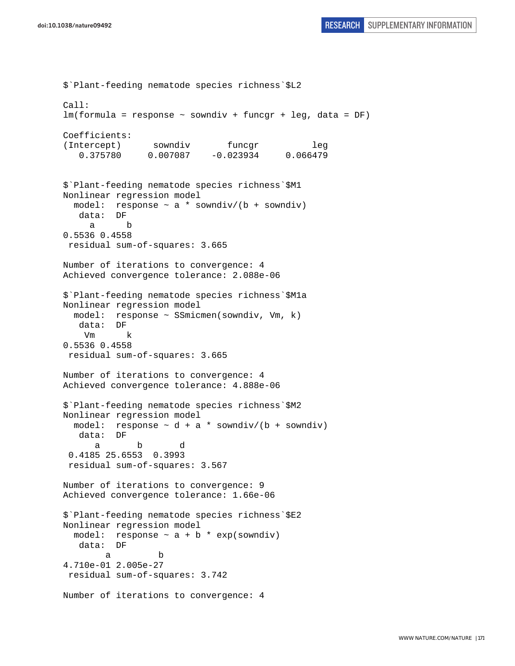```
$`Plant-feeding nematode species richness`$L2 
C<sub>2</sub>11:
lm(formula = response ~ sowndiv + funcgr + leg, data = DF) 
Coefficients: 
(Intercept) sowndiv funcgr leg
    0.375780 0.007087 -0.023934 0.066479 
$`Plant-feeding nematode species richness`$M1 
Nonlinear regression model 
 model: response \sim a * sowndiv/(b + sowndiv)
    data: DF 
      a b 
0.5536 0.4558 
 residual sum-of-squares: 3.665 
Number of iterations to convergence: 4 
Achieved convergence tolerance: 2.088e-06 
$`Plant-feeding nematode species richness`$M1a 
Nonlinear regression model 
   model: response ~ SSmicmen(sowndiv, Vm, k) 
    data: DF 
    Vm k 
0.5536 0.4558 
 residual sum-of-squares: 3.665 
Number of iterations to convergence: 4 
Achieved convergence tolerance: 4.888e-06 
$`Plant-feeding nematode species richness`$M2 
Nonlinear regression model 
  model: response \sim d + a * sowndiv/(b + sowndiv)
    data: DF 
 a b d 
  0.4185 25.6553 0.3993 
  residual sum-of-squares: 3.567 
Number of iterations to convergence: 9 
Achieved convergence tolerance: 1.66e-06 
$`Plant-feeding nematode species richness`$E2 
Nonlinear regression model 
  model: response \sim a + b * exp(sowndiv)
    data: DF 
 a b 
4.710e-01 2.005e-27 
 residual sum-of-squares: 3.742 
Number of iterations to convergence: 4
```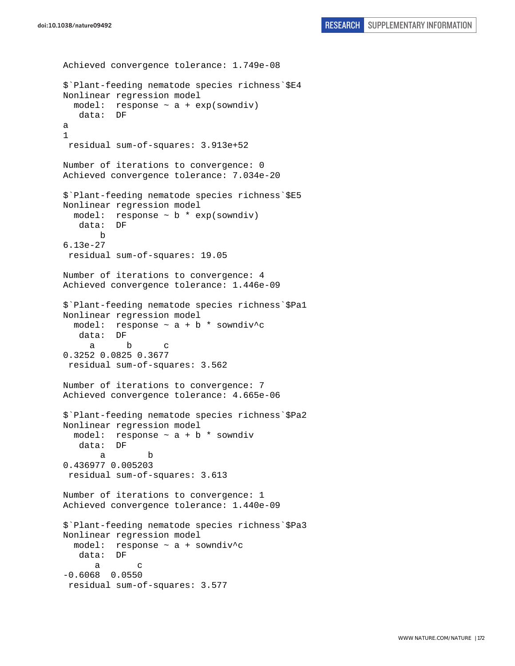```
Achieved convergence tolerance: 1.749e-08 
$`Plant-feeding nematode species richness`$E4 
Nonlinear regression model 
  model: response ~ a + exp(sowndiv) 
    data: DF 
a 
1 
  residual sum-of-squares: 3.913e+52 
Number of iterations to convergence: 0 
Achieved convergence tolerance: 7.034e-20 
$`Plant-feeding nematode species richness`$E5 
Nonlinear regression model 
  model: response \sim b * exp(sowndiv)
    data: DF 
        b 
6.13e-27 
  residual sum-of-squares: 19.05 
Number of iterations to convergence: 4 
Achieved convergence tolerance: 1.446e-09 
$`Plant-feeding nematode species richness`$Pa1 
Nonlinear regression model 
  model: response \sim a + b * sowndiv<sup>^</sup>c
    data: DF 
 a b c 
0.3252 0.0825 0.3677 
  residual sum-of-squares: 3.562 
Number of iterations to convergence: 7 
Achieved convergence tolerance: 4.665e-06 
$`Plant-feeding nematode species richness`$Pa2 
Nonlinear regression model 
  model: response \sim a + b * sowndiv
    data: DF 
 a b 
0.436977 0.005203 
  residual sum-of-squares: 3.613 
Number of iterations to convergence: 1 
Achieved convergence tolerance: 1.440e-09 
$`Plant-feeding nematode species richness`$Pa3 
Nonlinear regression model 
   model: response ~ a + sowndiv^c 
    data: DF 
 a c 
-0.6068 0.0550 
 residual sum-of-squares: 3.577
```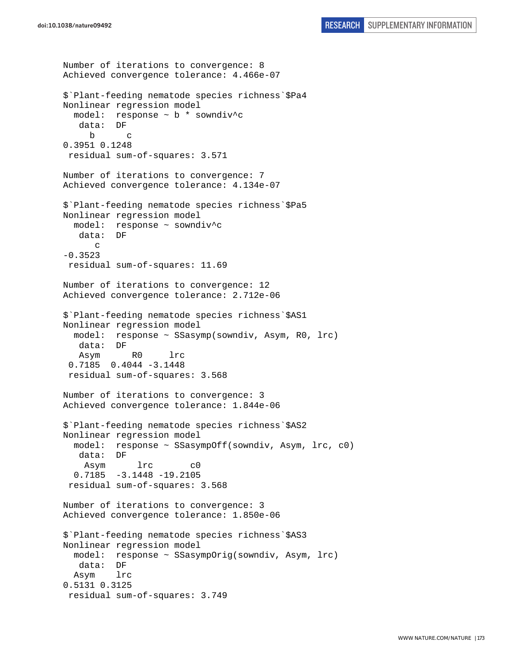```
Number of iterations to convergence: 8 
Achieved convergence tolerance: 4.466e-07 
$`Plant-feeding nematode species richness`$Pa4 
Nonlinear regression model 
   model: response ~ b * sowndiv^c 
    data: DF 
      b c 
0.3951 0.1248 
  residual sum-of-squares: 3.571 
Number of iterations to convergence: 7 
Achieved convergence tolerance: 4.134e-07 
$`Plant-feeding nematode species richness`$Pa5 
Nonlinear regression model 
   model: response ~ sowndiv^c 
    data: DF 
       c 
-0.3523 
 residual sum-of-squares: 11.69 
Number of iterations to convergence: 12 
Achieved convergence tolerance: 2.712e-06 
$`Plant-feeding nematode species richness`$AS1 
Nonlinear regression model 
  model: response ~ SSasymp(sowndiv, Asym, R0, lrc) 
    data: DF 
    Asym R0 lrc 
  0.7185 0.4044 -3.1448 
  residual sum-of-squares: 3.568 
Number of iterations to convergence: 3 
Achieved convergence tolerance: 1.844e-06 
$`Plant-feeding nematode species richness`$AS2 
Nonlinear regression model 
  model: response ~ SSasympOff(sowndiv, Asym, lrc, c0) 
   data: DF 
     Asym lrc c0 
   0.7185 -3.1448 -19.2105 
  residual sum-of-squares: 3.568 
Number of iterations to convergence: 3 
Achieved convergence tolerance: 1.850e-06 
$`Plant-feeding nematode species richness`$AS3 
Nonlinear regression model 
   model: response ~ SSasympOrig(sowndiv, Asym, lrc) 
    data: DF 
  Asym lrc 
0.5131 0.3125 
  residual sum-of-squares: 3.749
```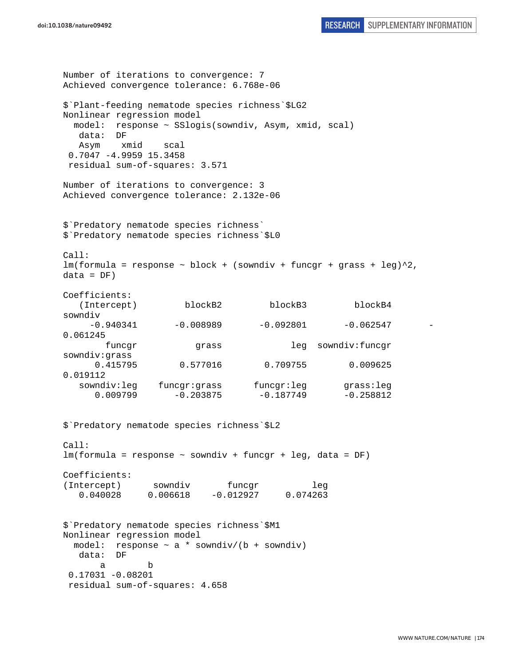```
doi:10.1038/nature09492 RESEARCH SUPPLEMENTARY INFORMATION
```

```
Number of iterations to convergence: 7 
Achieved convergence tolerance: 6.768e-06 
$`Plant-feeding nematode species richness`$LG2 
Nonlinear regression model 
  model: response ~ SSlogis(sowndiv, Asym, xmid, scal) 
   data: DF 
   Asym xmid scal 
  0.7047 -4.9959 15.3458 
 residual sum-of-squares: 3.571 
Number of iterations to convergence: 3 
Achieved convergence tolerance: 2.132e-06 
$`Predatory nematode species richness` 
$`Predatory nematode species richness`$L0 
Call: 
lm(formula = response ~ block + (sowndiv + funcgr + grass + leg)^2,data = DF)Coefficients: 
   (Intercept) blockB2 blockB3 blockB4 
sowndiv 
    -0.940341 -0.008989 -0.092801 -0.0625470.061245 
      funcgr grass leg sowndiv:funcgr
sowndiv:grass 
      0.415795 0.577016 0.709755 0.009625 
0.019112 
  sowndiv:leg funcgr:grass funcgr:leg grass:leg
     0.009799 -0.203875 -0.187749 -0.258812$`Predatory nematode species richness`$L2 
Call: 
lm(formula = response ~ sowndiv + funcgr + leg, data = DF) 
Coefficients: 
(Intercept) sowndiv funcgr leg
   0.040028 0.006618 -0.012927 0.074263 
$`Predatory nematode species richness`$M1 
Nonlinear regression model 
  model: response ~ a * sowndiv/(b + sowndiv) 
   data: DF 
 a b 
  0.17031 -0.08201 
 residual sum-of-squares: 4.658
```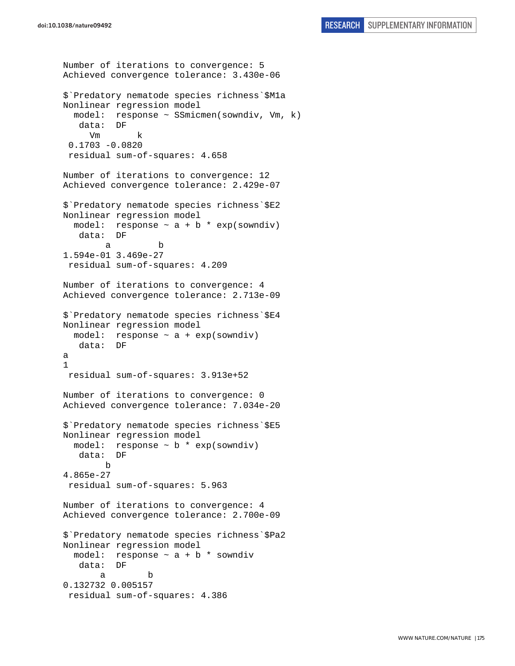```
Number of iterations to convergence: 5 
Achieved convergence tolerance: 3.430e-06 
$`Predatory nematode species richness`$M1a 
Nonlinear regression model 
   model: response ~ SSmicmen(sowndiv, Vm, k) 
    data: DF 
      Vm k 
  0.1703 -0.0820 
  residual sum-of-squares: 4.658 
Number of iterations to convergence: 12 
Achieved convergence tolerance: 2.429e-07 
$`Predatory nematode species richness`$E2 
Nonlinear regression model 
  model: response \sim a + b * exp(sowndiv)
    data: DF 
 a b 
1.594e-01 3.469e-27 
  residual sum-of-squares: 4.209 
Number of iterations to convergence: 4 
Achieved convergence tolerance: 2.713e-09 
$`Predatory nematode species richness`$E4 
Nonlinear regression model 
 model: response \sim a + exp(sowndiv)
    data: DF 
a 
1 
  residual sum-of-squares: 3.913e+52 
Number of iterations to convergence: 0 
Achieved convergence tolerance: 7.034e-20 
$`Predatory nematode species richness`$E5 
Nonlinear regression model 
  model: response ~ b * exp(sowndiv) 
   data: DF 
         b 
4.865e-27 
  residual sum-of-squares: 5.963 
Number of iterations to convergence: 4 
Achieved convergence tolerance: 2.700e-09 
$`Predatory nematode species richness`$Pa2 
Nonlinear regression model 
  model: response \sim a + b * sowndiv
    data: DF 
 a b 
0.132732 0.005157 
  residual sum-of-squares: 4.386
```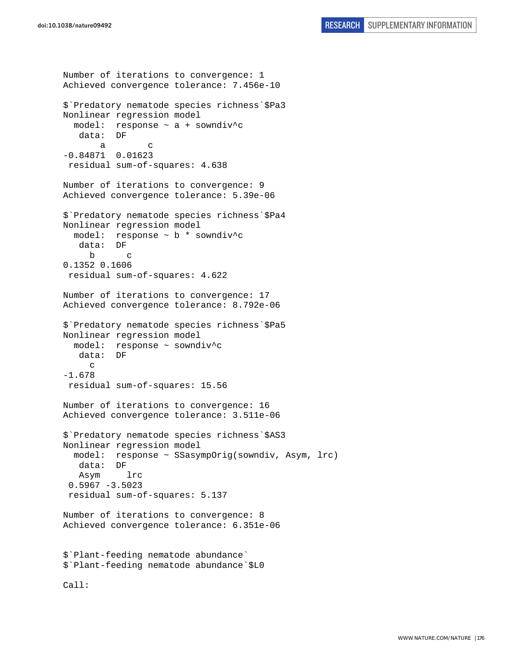Number of iterations to convergence: 1 Achieved convergence tolerance: 7.456e-10 \$`Predatory nematode species richness`\$Pa3 Nonlinear regression model model: response ~ a + sowndiv^c data: DF a c -0.84871 0.01623 residual sum-of-squares: 4.638 Number of iterations to convergence: 9 Achieved convergence tolerance: 5.39e-06 \$`Predatory nematode species richness`\$Pa4 Nonlinear regression model model: response ~ b \* sowndiv^c data: DF b c 0.1352 0.1606 residual sum-of-squares: 4.622 Number of iterations to convergence: 17 Achieved convergence tolerance: 8.792e-06 \$`Predatory nematode species richness`\$Pa5 Nonlinear regression model model: response ~ sowndiv^c data: DF c -1.678 residual sum-of-squares: 15.56 Number of iterations to convergence: 16 Achieved convergence tolerance: 3.511e-06 \$`Predatory nematode species richness`\$AS3 Nonlinear regression model model: response ~ SSasympOrig(sowndiv, Asym, lrc) data: DF Asym lrc  $0.5967 - 3.5023$  residual sum-of-squares: 5.137 Number of iterations to convergence: 8 Achieved convergence tolerance: 6.351e-06 \$`Plant-feeding nematode abundance` \$`Plant-feeding nematode abundance`\$L0 Call: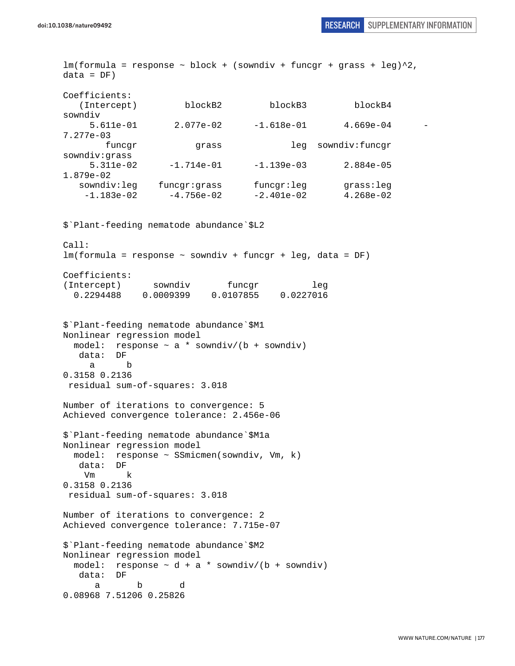$lm(formula = response ~ block + (sowndiv + funcgr + grass + leg)^2$ ,  $data = DF)$ Coefficients: (Intercept) blockB2 blockB3 blockB4 sowndiv 5.611e-01 2.077e-02 -1.618e-01 4.669e-04 - 7.277e-03 funcgr grass leg sowndiv:funcgr sowndiv:grass 5.311e-02 -1.714e-01 -1.139e-03 2.884e-05 1.879e-02 sowndiv:leg funcgr:grass funcgr:leg grass:leg  $-1.183e-02$   $-4.756e-02$   $-2.401e-02$   $4.268e-02$ \$`Plant-feeding nematode abundance`\$L2 Call:  $lm(formula = response \sim soundiv + funcar + leq, data = DF)$ Coefficients: (Intercept) sowndiv funcgr leg 0.2294488 0.0009399 0.0107855 0.0227016 \$`Plant-feeding nematode abundance`\$M1 Nonlinear regression model model: response  $\sim$  a \* sowndiv/(b + sowndiv) data: DF a b 0.3158 0.2136 residual sum-of-squares: 3.018 Number of iterations to convergence: 5 Achieved convergence tolerance: 2.456e-06 \$`Plant-feeding nematode abundance`\$M1a Nonlinear regression model model: response ~ SSmicmen(sowndiv, Vm, k) data: DF Vm k 0.3158 0.2136 residual sum-of-squares: 3.018 Number of iterations to convergence: 2 Achieved convergence tolerance: 7.715e-07 \$`Plant-feeding nematode abundance`\$M2 Nonlinear regression model model: response  $\sim d + a *$  sowndiv/(b + sowndiv) data: DF a b d 0.08968 7.51206 0.25826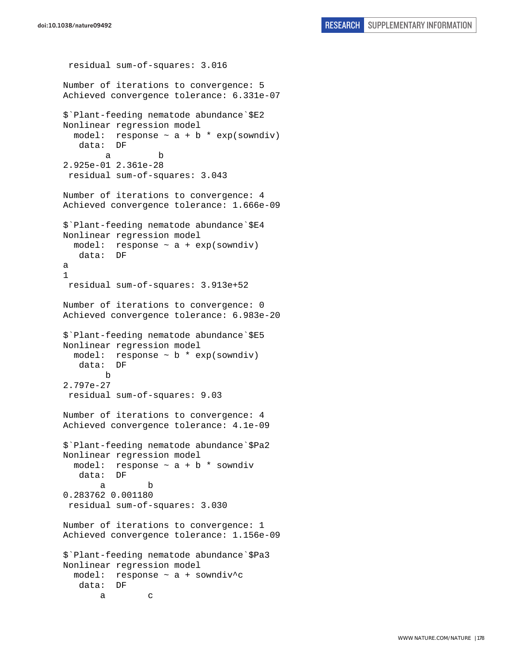```
 residual sum-of-squares: 3.016 
Number of iterations to convergence: 5 
Achieved convergence tolerance: 6.331e-07 
$`Plant-feeding nematode abundance`$E2 
Nonlinear regression model 
  model: response \sim a + b * exp(sowndiv)
    data: DF 
 a b 
2.925e-01 2.361e-28 
 residual sum-of-squares: 3.043 
Number of iterations to convergence: 4 
Achieved convergence tolerance: 1.666e-09 
$`Plant-feeding nematode abundance`$E4 
Nonlinear regression model 
  model: response ~ a + exp(sowndiv) 
    data: DF 
a 
1 
 residual sum-of-squares: 3.913e+52 
Number of iterations to convergence: 0 
Achieved convergence tolerance: 6.983e-20 
$`Plant-feeding nematode abundance`$E5 
Nonlinear regression model 
   model: response ~ b * exp(sowndiv) 
    data: DF 
         b 
2.797e-27 
  residual sum-of-squares: 9.03 
Number of iterations to convergence: 4 
Achieved convergence tolerance: 4.1e-09 
$`Plant-feeding nematode abundance`$Pa2 
Nonlinear regression model 
  model: response \sim a + b * sowndiv
    data: DF 
 a b 
0.283762 0.001180 
  residual sum-of-squares: 3.030 
Number of iterations to convergence: 1 
Achieved convergence tolerance: 1.156e-09 
$`Plant-feeding nematode abundance`$Pa3 
Nonlinear regression model 
  model: response ~ a + sowndiv^c 
   data: DF 
 a c
```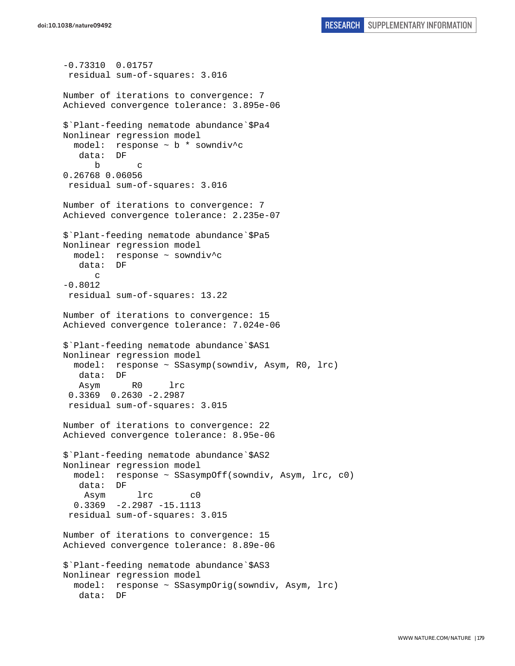```
-0.73310 0.01757 
  residual sum-of-squares: 3.016 
Number of iterations to convergence: 7 
Achieved convergence tolerance: 3.895e-06 
$`Plant-feeding nematode abundance`$Pa4 
Nonlinear regression model 
   model: response ~ b * sowndiv^c 
    data: DF 
 b c 
0.26768 0.06056 
  residual sum-of-squares: 3.016 
Number of iterations to convergence: 7 
Achieved convergence tolerance: 2.235e-07 
$`Plant-feeding nematode abundance`$Pa5 
Nonlinear regression model 
  model: response ~ sowndiv^c 
    data: DF 
       c 
-0.8012 
 residual sum-of-squares: 13.22 
Number of iterations to convergence: 15 
Achieved convergence tolerance: 7.024e-06 
$`Plant-feeding nematode abundance`$AS1 
Nonlinear regression model 
  model: response ~ SSasymp(sowndiv, Asym, R0, lrc) 
    data: DF 
    Asym R0 lrc 
  0.3369 0.2630 -2.2987 
  residual sum-of-squares: 3.015 
Number of iterations to convergence: 22 
Achieved convergence tolerance: 8.95e-06 
$`Plant-feeding nematode abundance`$AS2 
Nonlinear regression model 
   model: response ~ SSasympOff(sowndiv, Asym, lrc, c0) 
    data: DF 
     Asym lrc c0 
   0.3369 -2.2987 -15.1113 
  residual sum-of-squares: 3.015 
Number of iterations to convergence: 15 
Achieved convergence tolerance: 8.89e-06 
$`Plant-feeding nematode abundance`$AS3 
Nonlinear regression model 
   model: response ~ SSasympOrig(sowndiv, Asym, lrc) 
    data: DF
```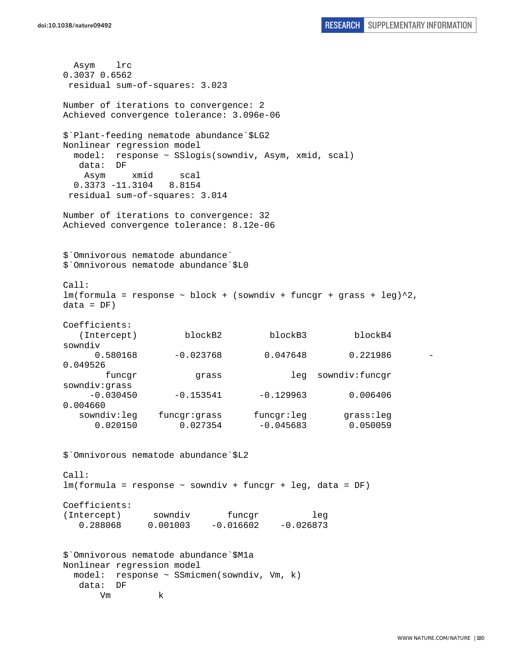Asym lrc 0.3037 0.6562 residual sum-of-squares: 3.023 Number of iterations to convergence: 2 Achieved convergence tolerance: 3.096e-06 \$`Plant-feeding nematode abundance`\$LG2 Nonlinear regression model model: response ~ SSlogis(sowndiv, Asym, xmid, scal) data: DF Asym xmid scal 0.3373 -11.3104 8.8154 residual sum-of-squares: 3.014 Number of iterations to convergence: 32 Achieved convergence tolerance: 8.12e-06 \$`Omnivorous nematode abundance` \$`Omnivorous nematode abundance`\$L0 Call:  $lm(formula = response ~ block + (sowndiv + funcgr + grass + leg)^2,$  $data = DF)$ Coefficients: (Intercept) blockB2 blockB3 blockB4 sowndiv 0.580168 -0.023768 0.047648 0.221986 - 0.049526 funcgr grass leg sowndiv:funcgr sowndiv:grass  $-0.030450$   $-0.153541$   $-0.129963$  0.006406 0.004660 sowndiv:leg funcgr:grass funcgr:leg grass:leg 0.020150 0.027354 -0.045683 0.050059 \$`Omnivorous nematode abundance`\$L2 Call: lm(formula = response ~ sowndiv + funcgr + leg, data = DF) Coefficients: (Intercept) sowndiv funcgr leg 0.288068 0.001003 -0.016602 -0.026873 \$`Omnivorous nematode abundance`\$M1a Nonlinear regression model model: response ~ SSmicmen(sowndiv, Vm, k) data: DF Vm k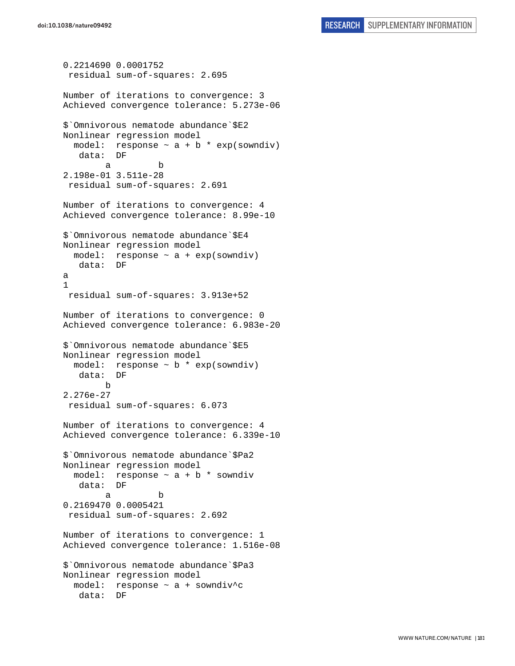```
0.2214690 0.0001752 
  residual sum-of-squares: 2.695 
Number of iterations to convergence: 3 
Achieved convergence tolerance: 5.273e-06 
$`Omnivorous nematode abundance`$E2 
Nonlinear regression model 
  model: response \sim a + b * exp(sowndiv)
    data: DF 
 a b 
2.198e-01 3.511e-28 
  residual sum-of-squares: 2.691 
Number of iterations to convergence: 4 
Achieved convergence tolerance: 8.99e-10 
$`Omnivorous nematode abundance`$E4 
Nonlinear regression model 
 model: response \sim a + exp(sowndiv)
   data: DF 
a 
1 
 residual sum-of-squares: 3.913e+52 
Number of iterations to convergence: 0 
Achieved convergence tolerance: 6.983e-20 
$`Omnivorous nematode abundance`$E5 
Nonlinear regression model 
  model: response \sim b * exp(sowndiv)
    data: DF 
         b 
2.276e-27 
 residual sum-of-squares: 6.073 
Number of iterations to convergence: 4 
Achieved convergence tolerance: 6.339e-10 
$`Omnivorous nematode abundance`$Pa2 
Nonlinear regression model 
  model: response \sim a + b * sowndiv
    data: DF 
 a b 
0.2169470 0.0005421 
 residual sum-of-squares: 2.692 
Number of iterations to convergence: 1 
Achieved convergence tolerance: 1.516e-08 
$`Omnivorous nematode abundance`$Pa3 
Nonlinear regression model 
  model: response ~ a + sowndiv^c 
    data: DF
```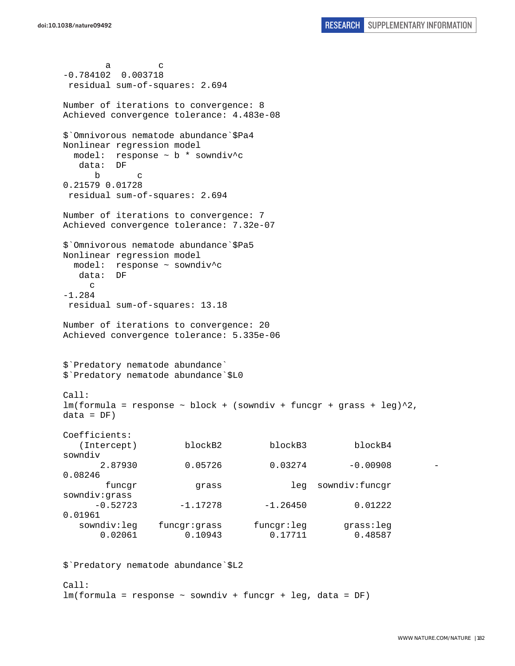a c -0.784102 0.003718 residual sum-of-squares: 2.694 Number of iterations to convergence: 8 Achieved convergence tolerance: 4.483e-08 \$`Omnivorous nematode abundance`\$Pa4 Nonlinear regression model model: response ~ b \* sowndiv^c data: DF b c 0.21579 0.01728 residual sum-of-squares: 2.694 Number of iterations to convergence: 7 Achieved convergence tolerance: 7.32e-07 \$`Omnivorous nematode abundance`\$Pa5 Nonlinear regression model model: response ~ sowndiv^c data: DF c -1.284 residual sum-of-squares: 13.18 Number of iterations to convergence: 20 Achieved convergence tolerance: 5.335e-06 \$`Predatory nematode abundance` \$`Predatory nematode abundance`\$L0 Call:  $lm(formula = response ~ ~block ~ + ~ (sowndiv ~ + ~funcgr ~ + ~grass ~ + ~ leg)^2$ ,  $data = DF)$ Coefficients: (Intercept) blockB2 blockB3 blockB4 sowndiv 2.87930 0.05726 0.03274 -0.00908 - 0.08246 funcgr grass leg sowndiv:funcgr sowndiv:grass  $-0.52723$   $-1.17278$   $-1.26450$  0.01222 0.01961 sowndiv:leg funcgr:grass funcgr:leg grass:leg 0.02061 0.10943 0.17711 0.48587

\$`Predatory nematode abundance`\$L2

 $Ca11$ : lm(formula = response ~ sowndiv + funcgr + leg, data = DF)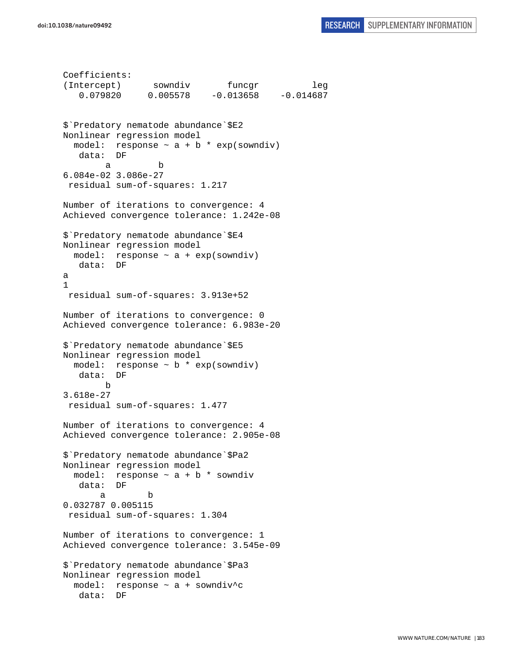```
Coefficients: 
(Intercept) sowndiv funcgr leg 
    0.079820 0.005578 -0.013658 -0.014687 
$`Predatory nematode abundance`$E2 
Nonlinear regression model 
  model: response \sim a + b * exp(sowndiv)
    data: DF 
 a b 
6.084e-02 3.086e-27 
  residual sum-of-squares: 1.217 
Number of iterations to convergence: 4 
Achieved convergence tolerance: 1.242e-08 
$`Predatory nematode abundance`$E4 
Nonlinear regression model 
 model: response \sim a + exp(sowndiv)
   data: DF 
a 
1 
 residual sum-of-squares: 3.913e+52 
Number of iterations to convergence: 0 
Achieved convergence tolerance: 6.983e-20 
$`Predatory nematode abundance`$E5 
Nonlinear regression model 
 model: response \sim b * exp(sowndiv)
    data: DF 
        b 
3.618e-27 
 residual sum-of-squares: 1.477 
Number of iterations to convergence: 4 
Achieved convergence tolerance: 2.905e-08 
$`Predatory nematode abundance`$Pa2 
Nonlinear regression model 
  model: response \sim a + b * sowndiv
    data: DF 
 a b 
0.032787 0.005115 
 residual sum-of-squares: 1.304 
Number of iterations to convergence: 1 
Achieved convergence tolerance: 3.545e-09 
$`Predatory nematode abundance`$Pa3 
Nonlinear regression model 
  model: response ~ a + sowndiv^c 
    data: DF
```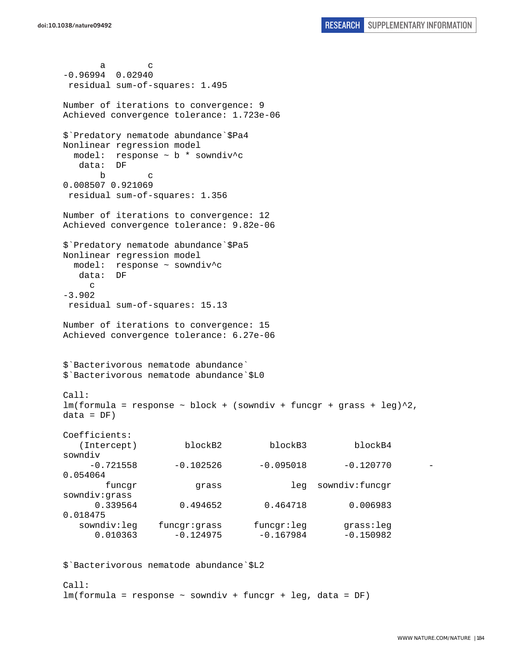a c -0.96994 0.02940 residual sum-of-squares: 1.495 Number of iterations to convergence: 9 Achieved convergence tolerance: 1.723e-06 \$`Predatory nematode abundance`\$Pa4 Nonlinear regression model model: response ~ b \* sowndiv^c data: DF b c 0.008507 0.921069 residual sum-of-squares: 1.356 Number of iterations to convergence: 12 Achieved convergence tolerance: 9.82e-06 \$`Predatory nematode abundance`\$Pa5 Nonlinear regression model model: response ~ sowndiv^c data: DF c -3.902 residual sum-of-squares: 15.13 Number of iterations to convergence: 15 Achieved convergence tolerance: 6.27e-06 \$`Bacterivorous nematode abundance` \$`Bacterivorous nematode abundance`\$L0 Call:  $lm(formula = response ~ ~block ~ + ~ (sowndiv ~ + ~funcgr ~ + ~grass ~ + ~ leg)^2$ ,  $data = DF)$ Coefficients: (Intercept) blockB2 blockB3 blockB4 sowndiv  $-0.721558$   $-0.102526$   $-0.095018$   $-0.120770$ 0.054064 funcgr grass leg sowndiv:funcgr sowndiv:grass 0.339564 0.494652 0.464718 0.006983 0.018475 sowndiv:leg funcgr:grass funcgr:leg grass:leg  $0.010363$   $-0.124975$   $-0.167984$   $-0.150982$ 

\$`Bacterivorous nematode abundance`\$L2

 $Ca11$ : lm(formula = response ~ sowndiv + funcgr + leg, data = DF)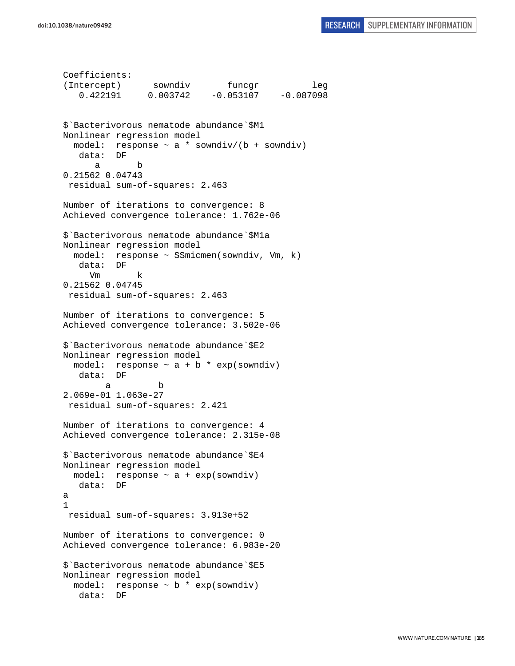```
Coefficients: 
(Intercept) sowndiv funcgr leg 
    0.422191 0.003742 -0.053107 -0.087098 
$`Bacterivorous nematode abundance`$M1 
Nonlinear regression model 
  model: response \sim a * sowndiv/(b + sowndiv)
    data: DF 
 a b 
0.21562 0.04743 
  residual sum-of-squares: 2.463 
Number of iterations to convergence: 8 
Achieved convergence tolerance: 1.762e-06 
$`Bacterivorous nematode abundance`$M1a 
Nonlinear regression model 
   model: response ~ SSmicmen(sowndiv, Vm, k) 
    data: DF 
      Vm k 
0.21562 0.04745 
  residual sum-of-squares: 2.463 
Number of iterations to convergence: 5 
Achieved convergence tolerance: 3.502e-06 
$`Bacterivorous nematode abundance`$E2 
Nonlinear regression model 
  model: response \sim a + b * exp(sowndiv)
    data: DF 
 a b 
2.069e-01 1.063e-27 
 residual sum-of-squares: 2.421 
Number of iterations to convergence: 4 
Achieved convergence tolerance: 2.315e-08 
$`Bacterivorous nematode abundance`$E4 
Nonlinear regression model 
  model: response ~ a + exp(sowndiv) 
    data: DF 
a 
1 
 residual sum-of-squares: 3.913e+52 
Number of iterations to convergence: 0 
Achieved convergence tolerance: 6.983e-20 
$`Bacterivorous nematode abundance`$E5 
Nonlinear regression model 
 model: response \sim b * exp(sowndiv)
    data: DF
```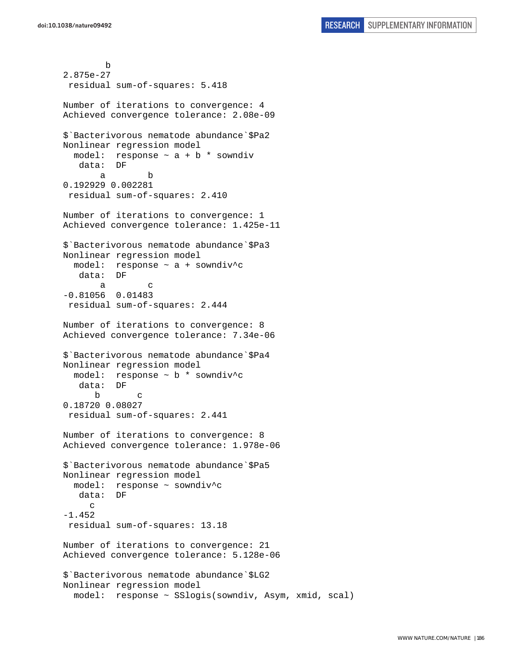b 2.875e-27 residual sum-of-squares: 5.418 Number of iterations to convergence: 4 Achieved convergence tolerance: 2.08e-09 \$`Bacterivorous nematode abundance`\$Pa2 Nonlinear regression model model: response  $\sim$  a + b  $*$  sowndiv data: DF a b 0.192929 0.002281 residual sum-of-squares: 2.410 Number of iterations to convergence: 1 Achieved convergence tolerance: 1.425e-11 \$`Bacterivorous nematode abundance`\$Pa3 Nonlinear regression model model: response ~ a + sowndiv^c data: DF a c -0.81056 0.01483 residual sum-of-squares: 2.444 Number of iterations to convergence: 8 Achieved convergence tolerance: 7.34e-06 \$`Bacterivorous nematode abundance`\$Pa4 Nonlinear regression model model: response ~ b \* sowndiv^c data: DF b c 0.18720 0.08027 residual sum-of-squares: 2.441 Number of iterations to convergence: 8 Achieved convergence tolerance: 1.978e-06 \$`Bacterivorous nematode abundance`\$Pa5 Nonlinear regression model model: response ~ sowndiv^c data: DF c -1.452 residual sum-of-squares: 13.18 Number of iterations to convergence: 21 Achieved convergence tolerance: 5.128e-06 \$`Bacterivorous nematode abundance`\$LG2 Nonlinear regression model model: response ~ SSlogis(sowndiv, Asym, xmid, scal)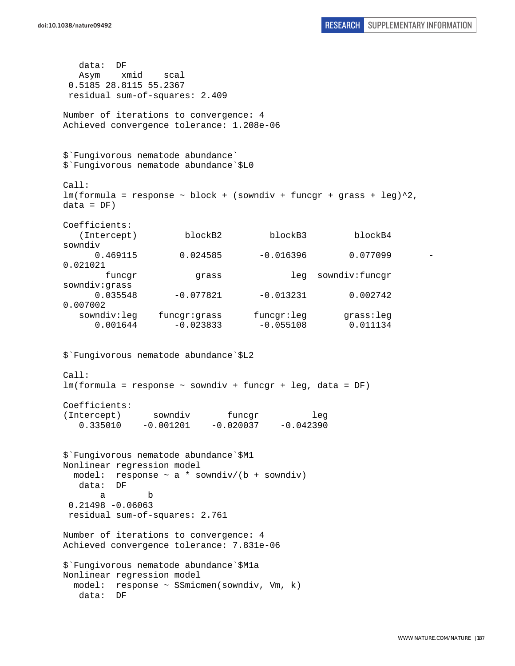```
 data: DF 
   Asym xmid scal 
  0.5185 28.8115 55.2367 
 residual sum-of-squares: 2.409 
Number of iterations to convergence: 4 
Achieved convergence tolerance: 1.208e-06 
$`Fungivorous nematode abundance` 
$`Fungivorous nematode abundance`$L0 
Call: 
lm(formula = response ~ block + (sowndiv + funcgr + grass + leg)^2,data = DF)Coefficients: 
    (Intercept) blockB2 blockB3 blockB4 
sowndiv 
     0.469115 0.024585 -0.016396 0.077099
0.021021 
        funcgr grass leg sowndiv:funcgr 
sowndiv:grass 
     0.035548 -0.077821 -0.013231 0.002742
0.007002 
  sowndiv:leg funcgr:grass funcgr:leg grass:leg
     0.001644 -0.023833 -0.055108 0.011134$`Fungivorous nematode abundance`$L2 
Call: 
lm(formula = response ~ sowndiv + funcgr + leg, data = DF) 
Coefficients: 
(Intercept) sowndiv funcqr leg
   0.335010 -0.001201 -0.020037 -0.042390 
$`Fungivorous nematode abundance`$M1 
Nonlinear regression model 
  model: response ~ a * sowndiv/(b + sowndiv) 
   data: DF 
 a b 
  0.21498 -0.06063 
 residual sum-of-squares: 2.761 
Number of iterations to convergence: 4 
Achieved convergence tolerance: 7.831e-06 
$`Fungivorous nematode abundance`$M1a 
Nonlinear regression model 
  model: response ~ SSmicmen(sowndiv, Vm, k) 
   data: DF
```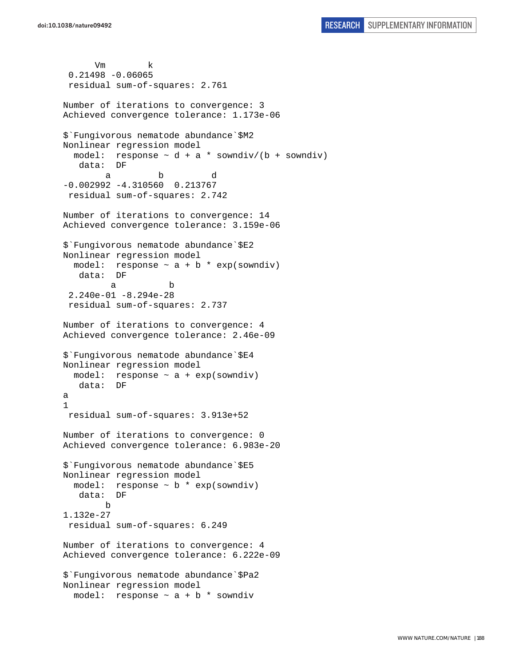Vm k 0.21498 -0.06065 residual sum-of-squares: 2.761 Number of iterations to convergence: 3 Achieved convergence tolerance: 1.173e-06 \$`Fungivorous nematode abundance`\$M2 Nonlinear regression model model: response  $\sim$  d + a \* sowndiv/(b + sowndiv) data: DF a b d -0.002992 -4.310560 0.213767 residual sum-of-squares: 2.742 Number of iterations to convergence: 14 Achieved convergence tolerance: 3.159e-06 \$`Fungivorous nematode abundance`\$E2 Nonlinear regression model model: response  $\sim$  a + b  $*$  exp(sowndiv) data: DF a b 2.240e-01 -8.294e-28 residual sum-of-squares: 2.737 Number of iterations to convergence: 4 Achieved convergence tolerance: 2.46e-09 \$`Fungivorous nematode abundance`\$E4 Nonlinear regression model model: response  $\sim$  a + exp(sowndiv) data: DF a 1 residual sum-of-squares: 3.913e+52 Number of iterations to convergence: 0 Achieved convergence tolerance: 6.983e-20 \$`Fungivorous nematode abundance`\$E5 Nonlinear regression model model: response ~ b \* exp(sowndiv) data: DF b 1.132e-27 residual sum-of-squares: 6.249 Number of iterations to convergence: 4 Achieved convergence tolerance: 6.222e-09 \$`Fungivorous nematode abundance`\$Pa2 Nonlinear regression model model: response ~ a + b \* sowndiv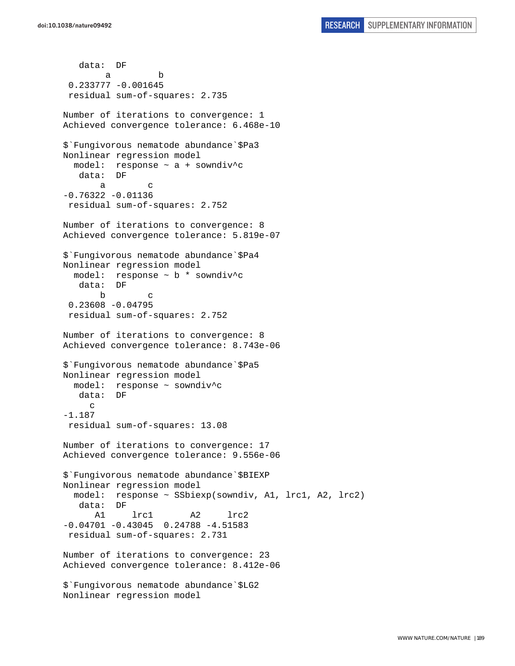data: DF a b 0.233777 -0.001645 residual sum-of-squares: 2.735 Number of iterations to convergence: 1 Achieved convergence tolerance: 6.468e-10 \$`Fungivorous nematode abundance`\$Pa3 Nonlinear regression model model: response ~ a + sowndiv^c data: DF a c  $-0.76322 - 0.01136$  residual sum-of-squares: 2.752 Number of iterations to convergence: 8 Achieved convergence tolerance: 5.819e-07 \$`Fungivorous nematode abundance`\$Pa4 Nonlinear regression model model: response ~ b \* sowndiv^c data: DF b c 0.23608 -0.04795 residual sum-of-squares: 2.752 Number of iterations to convergence: 8 Achieved convergence tolerance: 8.743e-06 \$`Fungivorous nematode abundance`\$Pa5 Nonlinear regression model model: response ~ sowndiv^c data: DF  $\mathcal{C}$ -1.187 residual sum-of-squares: 13.08 Number of iterations to convergence: 17 Achieved convergence tolerance: 9.556e-06 \$`Fungivorous nematode abundance`\$BIEXP Nonlinear regression model model: response ~ SSbiexp(sowndiv, A1, lrc1, A2, lrc2) data: DF A1 lrc1 A2 lrc2  $-0.04701 - 0.43045$  0.24788  $-4.51583$  residual sum-of-squares: 2.731 Number of iterations to convergence: 23 Achieved convergence tolerance: 8.412e-06 \$`Fungivorous nematode abundance`\$LG2 Nonlinear regression model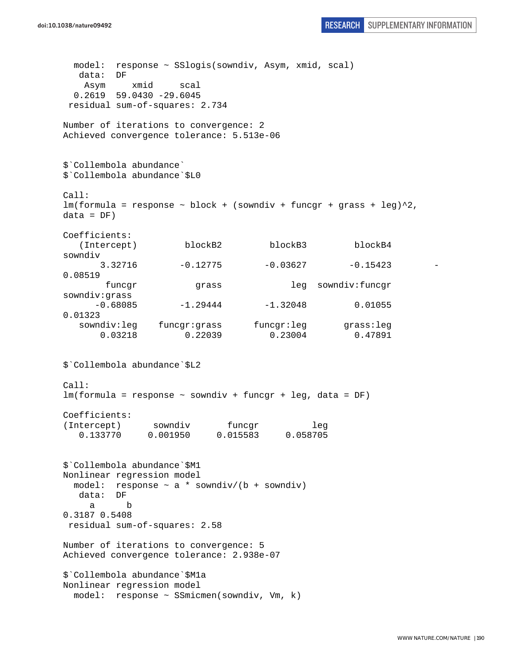```
doi:10.1038/nature09492 RESEARCH SUPPLEMENTARY INFORMATION
```

```
 model: response ~ SSlogis(sowndiv, Asym, xmid, scal) 
   data: DF 
    Asym xmid scal 
  0.2619 59.0430 -29.6045 
 residual sum-of-squares: 2.734 
Number of iterations to convergence: 2 
Achieved convergence tolerance: 5.513e-06 
$`Collembola abundance` 
$`Collembola abundance`$L0 
Call: 
lm(formula = response ~ block + (sowndiv + funcgr + grass + leg)^2,data = DF)Coefficients: 
  (Intercept) blockB2 blockB3 blockB4
sowndiv 
      3.32716 -0.12775 -0.03627 -0.15423
0.08519 
        funcgr grass leg sowndiv:funcgr 
sowndiv:grass 
     -0.68085 -1.29444 -1.32048 0.01055
0.01323 
   sowndiv:leg funcgr:grass funcgr:leg grass:leg 
       0.03218 0.22039 0.23004 0.47891 
$`Collembola abundance`$L2 
Call: 
lm(formula = response ~ sowndiv + funcgr + leg, data = DF) 
Coefficients: 
(Intercept) sowndiv funcgr leg 
   0.133770 0.001950 0.015583 0.058705 
$`Collembola abundance`$M1 
Nonlinear regression model 
 model: response \sim a * sowndiv/(b + sowndiv)
   data: DF 
 a b 
0.3187 0.5408 
 residual sum-of-squares: 2.58 
Number of iterations to convergence: 5 
Achieved convergence tolerance: 2.938e-07 
$`Collembola abundance`$M1a 
Nonlinear regression model 
  model: response ~ SSmicmen(sowndiv, Vm, k)
```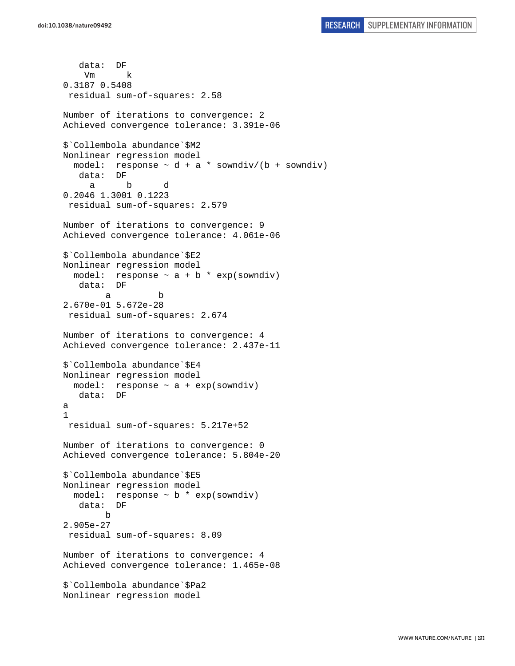```
 data: DF 
     Vm k 
0.3187 0.5408 
  residual sum-of-squares: 2.58 
Number of iterations to convergence: 2 
Achieved convergence tolerance: 3.391e-06 
$`Collembola abundance`$M2 
Nonlinear regression model 
  model: response \sim d + a * sowndiv/(b + sowndiv)
    data: DF 
      a b d 
0.2046 1.3001 0.1223 
 residual sum-of-squares: 2.579 
Number of iterations to convergence: 9 
Achieved convergence tolerance: 4.061e-06 
$`Collembola abundance`$E2 
Nonlinear regression model 
  model: response \sim a + b * exp(sowndiv)
    data: DF 
 a b 
2.670e-01 5.672e-28 
 residual sum-of-squares: 2.674 
Number of iterations to convergence: 4 
Achieved convergence tolerance: 2.437e-11 
$`Collembola abundance`$E4 
Nonlinear regression model 
  model: response ~ a + exp(sowndiv) 
    data: DF 
a 
1 
  residual sum-of-squares: 5.217e+52 
Number of iterations to convergence: 0 
Achieved convergence tolerance: 5.804e-20 
$`Collembola abundance`$E5 
Nonlinear regression model 
  model: response \sim b * exp(sowndiv)
    data: DF 
 b 
2.905e-27 
  residual sum-of-squares: 8.09 
Number of iterations to convergence: 4 
Achieved convergence tolerance: 1.465e-08 
$`Collembola abundance`$Pa2 
Nonlinear regression model
```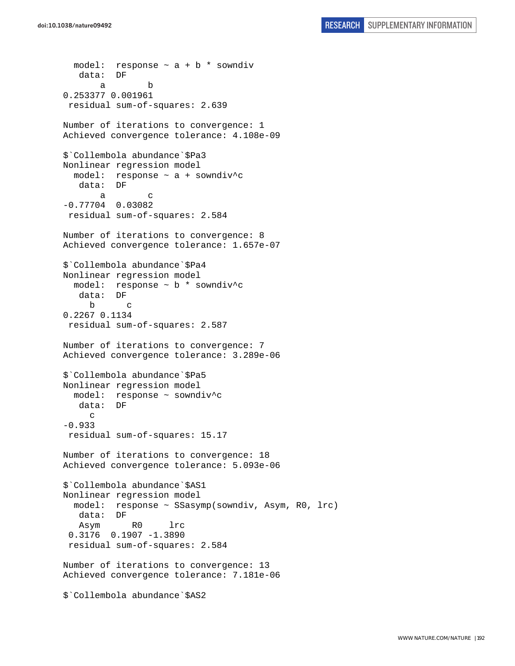```
model: response \sim a + b * sowndiv
    data: DF 
 a b 
0.253377 0.001961 
 residual sum-of-squares: 2.639 
Number of iterations to convergence: 1 
Achieved convergence tolerance: 4.108e-09 
$`Collembola abundance`$Pa3 
Nonlinear regression model 
   model: response ~ a + sowndiv^c 
    data: DF 
 a c 
-0.77704 0.03082 
 residual sum-of-squares: 2.584 
Number of iterations to convergence: 8 
Achieved convergence tolerance: 1.657e-07 
$`Collembola abundance`$Pa4 
Nonlinear regression model 
  model: response ~ b * sowndiv^c 
    data: DF 
      b c 
0.2267 0.1134 
  residual sum-of-squares: 2.587 
Number of iterations to convergence: 7 
Achieved convergence tolerance: 3.289e-06 
$`Collembola abundance`$Pa5 
Nonlinear regression model 
   model: response ~ sowndiv^c 
    data: DF 
      c 
-0.933 
 residual sum-of-squares: 15.17 
Number of iterations to convergence: 18 
Achieved convergence tolerance: 5.093e-06 
$`Collembola abundance`$AS1 
Nonlinear regression model 
   model: response ~ SSasymp(sowndiv, Asym, R0, lrc) 
    data: DF 
    Asym R0 lrc 
  0.3176 0.1907 -1.3890 
  residual sum-of-squares: 2.584 
Number of iterations to convergence: 13 
Achieved convergence tolerance: 7.181e-06 
$`Collembola abundance`$AS2
```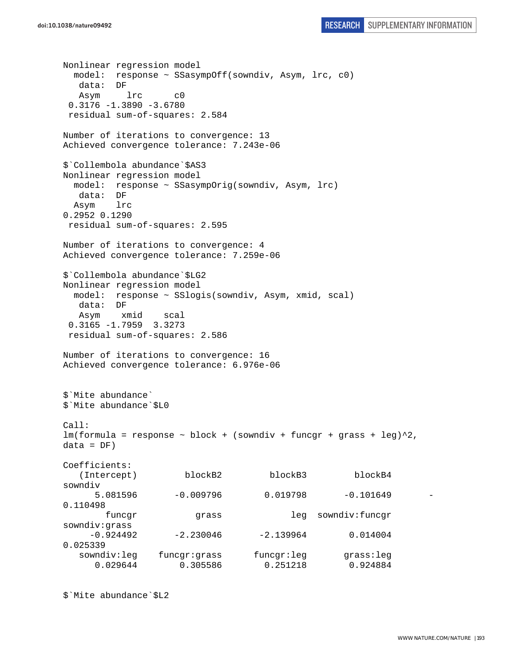```
Nonlinear regression model 
  model: response ~ SSasympOff(sowndiv, Asym, lrc, c0) 
   data: DF 
   Asym lrc c0 
 0.3176 - 1.3890 - 3.6780 residual sum-of-squares: 2.584 
Number of iterations to convergence: 13 
Achieved convergence tolerance: 7.243e-06 
$`Collembola abundance`$AS3 
Nonlinear regression model 
  model: response ~ SSasympOrig(sowndiv, Asym, lrc) 
   data: DF 
  Asym lrc 
0.2952 0.1290 
  residual sum-of-squares: 2.595 
Number of iterations to convergence: 4 
Achieved convergence tolerance: 7.259e-06 
$`Collembola abundance`$LG2 
Nonlinear regression model 
  model: response ~ SSlogis(sowndiv, Asym, xmid, scal) 
   data: DF 
   Asym xmid scal 
  0.3165 -1.7959 3.3273 
 residual sum-of-squares: 2.586 
Number of iterations to convergence: 16 
Achieved convergence tolerance: 6.976e-06 
$`Mite abundance` 
$`Mite abundance`$L0 
Call: 
lm(formula = response ~ block + (sowndiv + funcgr + grass + leg)^2,data = DF)Coefficients: 
    (Intercept) blockB2 blockB3 blockB4 
sowndiv 
      5.081596 -0.009796 0.019798 -0.101649 -
0.110498 
        funcgr grass leg sowndiv:funcgr 
sowndiv:grass 
    -0.924492 -2.230046 -2.139964 0.014004
0.025339 
   sowndiv:leg funcgr:grass funcgr:leg grass:leg 
      0.029644 0.305586 0.251218 0.924884
```

```
$`Mite abundance`$L2
```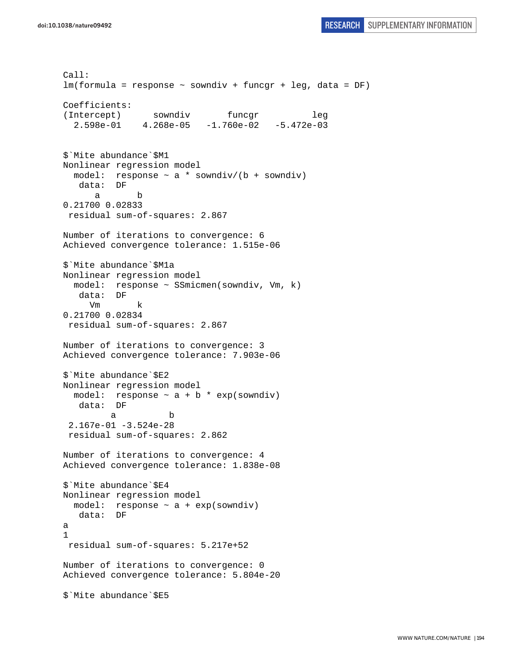```
Call: 
lm(formula = response ~ sowndiv + funcgr + leg, data = DF) 
Coefficients: 
(Intercept) sowndiv funcgr leg
   2.598e-01 4.268e-05 -1.760e-02 -5.472e-03 
$`Mite abundance`$M1 
Nonlinear regression model 
  model: response \sim a * sowndiv/(b + sowndiv)
    data: DF 
 a b 
0.21700 0.02833 
 residual sum-of-squares: 2.867 
Number of iterations to convergence: 6 
Achieved convergence tolerance: 1.515e-06 
$`Mite abundance`$M1a 
Nonlinear regression model 
  model: response ~ SSmicmen(sowndiv, Vm, k) 
    data: DF 
      Vm k 
0.21700 0.02834 
  residual sum-of-squares: 2.867 
Number of iterations to convergence: 3 
Achieved convergence tolerance: 7.903e-06 
$`Mite abundance`$E2 
Nonlinear regression model 
  model: response \sim a + b * exp(sowndiv)
    data: DF 
 a b 
  2.167e-01 -3.524e-28 
  residual sum-of-squares: 2.862 
Number of iterations to convergence: 4 
Achieved convergence tolerance: 1.838e-08 
$`Mite abundance`$E4 
Nonlinear regression model 
 model: response \sim a + exp(sowndiv)
   data: DF 
a 
1 
  residual sum-of-squares: 5.217e+52 
Number of iterations to convergence: 0 
Achieved convergence tolerance: 5.804e-20 
$`Mite abundance`$E5
```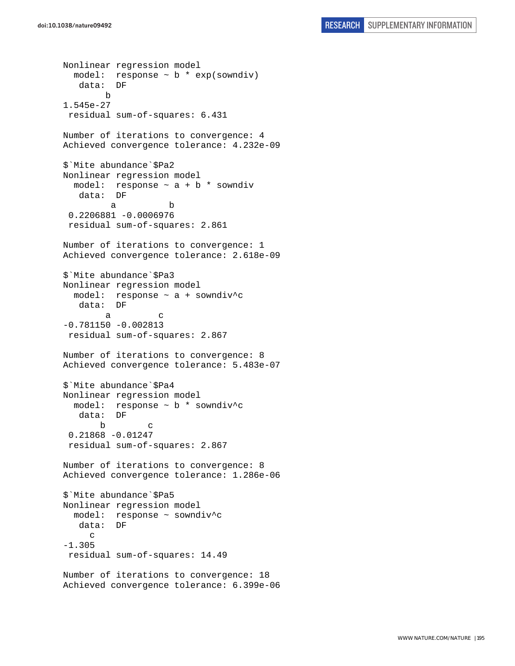```
Nonlinear regression model 
   model: response ~ b * exp(sowndiv) 
    data: DF 
        b 
1.545e-27 
  residual sum-of-squares: 6.431 
Number of iterations to convergence: 4 
Achieved convergence tolerance: 4.232e-09 
$`Mite abundance`$Pa2 
Nonlinear regression model 
  model: response \sim a + b * sowndiv
    data: DF 
 a b 
  0.2206881 -0.0006976 
  residual sum-of-squares: 2.861 
Number of iterations to convergence: 1 
Achieved convergence tolerance: 2.618e-09 
$`Mite abundance`$Pa3 
Nonlinear regression model 
  model: response ~ a + sowndiv^c 
    data: DF 
 a c 
-0.781150 -0.002813 
 residual sum-of-squares: 2.867 
Number of iterations to convergence: 8 
Achieved convergence tolerance: 5.483e-07 
$`Mite abundance`$Pa4 
Nonlinear regression model 
   model: response ~ b * sowndiv^c 
    data: DF 
        b c 
  0.21868 -0.01247 
  residual sum-of-squares: 2.867 
Number of iterations to convergence: 8 
Achieved convergence tolerance: 1.286e-06 
$`Mite abundance`$Pa5 
Nonlinear regression model 
  model: response ~ sowndiv^c 
   data: DF 
      c 
-1.305 
  residual sum-of-squares: 14.49 
Number of iterations to convergence: 18 
Achieved convergence tolerance: 6.399e-06
```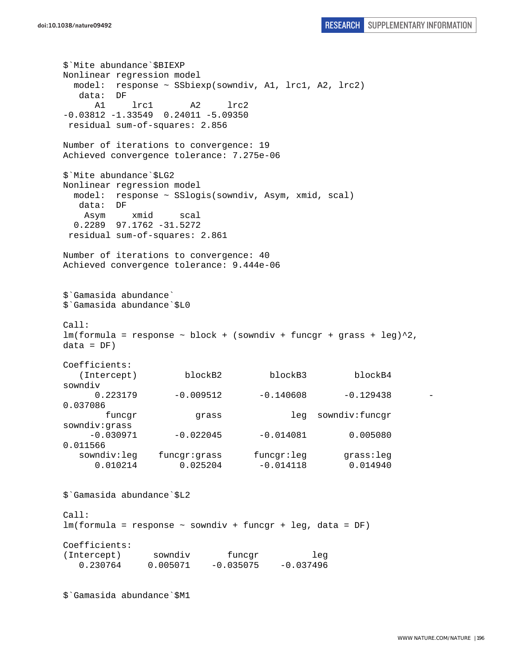\$`Mite abundance`\$BIEXP Nonlinear regression model model: response ~ SSbiexp(sowndiv, A1, lrc1, A2, lrc2) data: DF A1 lrc1 A2 lrc2  $-0.03812 -1.33549$   $0.24011 -5.09350$  residual sum-of-squares: 2.856 Number of iterations to convergence: 19 Achieved convergence tolerance: 7.275e-06 \$`Mite abundance`\$LG2 Nonlinear regression model model: response ~ SSlogis(sowndiv, Asym, xmid, scal) data: DF Asym xmid scal 0.2289 97.1762 -31.5272 residual sum-of-squares: 2.861 Number of iterations to convergence: 40 Achieved convergence tolerance: 9.444e-06 \$`Gamasida abundance` \$`Gamasida abundance`\$L0 Call:  $lm(formula = response ~ block + (sowndiv + funcgr + grass + leg)^2,$  $data = DF)$ Coefficients: (Intercept) blockB2 blockB3 blockB4 sowndiv  $0.223179$   $-0.009512$   $-0.140608$   $-0.129438$ 0.037086 funcgr grass leg sowndiv:funcgr sowndiv:grass  $-0.030971$   $-0.022045$   $-0.014081$  0.005080 0.011566 sowndiv:leg funcgr:grass funcgr:leg grass:leg 0.010214 0.025204 -0.014118 0.014940 \$`Gamasida abundance`\$L2 Call: lm(formula = response ~ sowndiv + funcgr + leg, data = DF) Coefficients: (Intercept) sowndiv funcgr leg  $0.230764$   $0.005071$   $-0.035075$   $-0.037496$ 

\$`Gamasida abundance`\$M1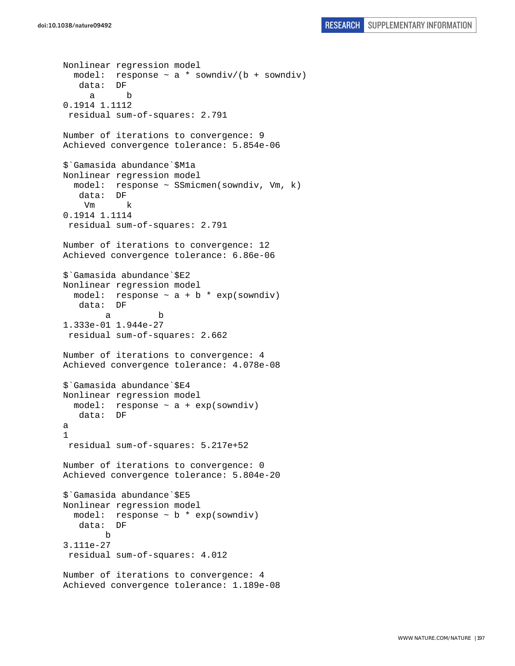```
Nonlinear regression model 
  model: response \sim a * sowndiv/(b + sowndiv)
    data: DF 
      a b 
0.1914 1.1112 
  residual sum-of-squares: 2.791 
Number of iterations to convergence: 9 
Achieved convergence tolerance: 5.854e-06 
$`Gamasida abundance`$M1a 
Nonlinear regression model 
   model: response ~ SSmicmen(sowndiv, Vm, k) 
    data: DF 
     Vm k 
0.1914 1.1114 
  residual sum-of-squares: 2.791 
Number of iterations to convergence: 12 
Achieved convergence tolerance: 6.86e-06 
$`Gamasida abundance`$E2 
Nonlinear regression model 
  model: response \sim a + b * exp(sowndiv)
    data: DF 
 a b 
1.333e-01 1.944e-27 
 residual sum-of-squares: 2.662 
Number of iterations to convergence: 4 
Achieved convergence tolerance: 4.078e-08 
$`Gamasida abundance`$E4 
Nonlinear regression model 
 model: response \sim a + exp(sowndiv)
    data: DF 
a 
1 
 residual sum-of-squares: 5.217e+52 
Number of iterations to convergence: 0 
Achieved convergence tolerance: 5.804e-20 
$`Gamasida abundance`$E5 
Nonlinear regression model 
  model: response ~ b * exp(sowndiv) 
   data: DF 
         b 
3.111e-27 
  residual sum-of-squares: 4.012 
Number of iterations to convergence: 4 
Achieved convergence tolerance: 1.189e-08
```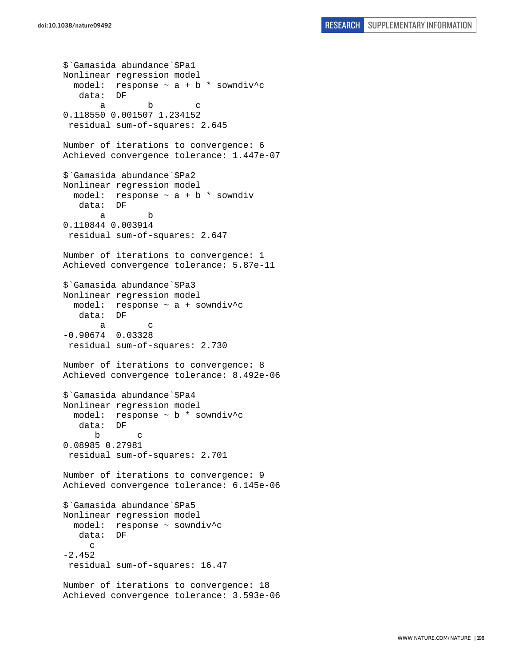\$`Gamasida abundance`\$Pa1 Nonlinear regression model model: response  $\sim$  a + b  $*$  sowndiv<sup>^</sup>c data: DF a b c 0.118550 0.001507 1.234152 residual sum-of-squares: 2.645 Number of iterations to convergence: 6 Achieved convergence tolerance: 1.447e-07 \$`Gamasida abundance`\$Pa2 Nonlinear regression model model: response  $\sim$  a + b  $*$  sowndiv data: DF a b 0.110844 0.003914 residual sum-of-squares: 2.647 Number of iterations to convergence: 1 Achieved convergence tolerance: 5.87e-11 \$`Gamasida abundance`\$Pa3 Nonlinear regression model model: response ~ a + sowndiv^c data: DF a c -0.90674 0.03328 residual sum-of-squares: 2.730 Number of iterations to convergence: 8 Achieved convergence tolerance: 8.492e-06 \$`Gamasida abundance`\$Pa4 Nonlinear regression model model: response ~ b \* sowndiv^c data: DF b c 0.08985 0.27981 residual sum-of-squares: 2.701 Number of iterations to convergence: 9 Achieved convergence tolerance: 6.145e-06 \$`Gamasida abundance`\$Pa5 Nonlinear regression model model: response ~ sowndiv^c data: DF  $\mathcal{C}$ -2.452 residual sum-of-squares: 16.47 Number of iterations to convergence: 18 Achieved convergence tolerance: 3.593e-06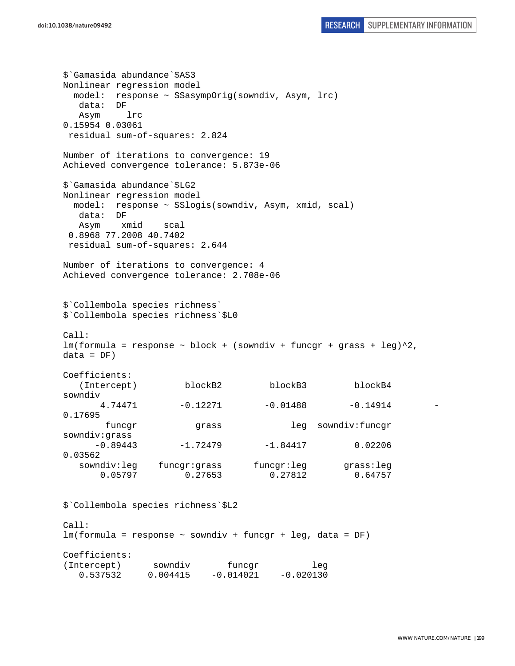\$`Gamasida abundance`\$AS3 Nonlinear regression model model: response ~ SSasympOrig(sowndiv, Asym, lrc) data: DF Asym lrc 0.15954 0.03061 residual sum-of-squares: 2.824 Number of iterations to convergence: 19 Achieved convergence tolerance: 5.873e-06 \$`Gamasida abundance`\$LG2 Nonlinear regression model model: response ~ SSlogis(sowndiv, Asym, xmid, scal) data: DF Asym xmid scal 0.8968 77.2008 40.7402 residual sum-of-squares: 2.644 Number of iterations to convergence: 4 Achieved convergence tolerance: 2.708e-06 \$`Collembola species richness` \$`Collembola species richness`\$L0 Call:  $lm(formula = response ~ block + (sowndiv + funcgr + grass + leg)^2,$  $data = DF)$ Coefficients: (Intercept) blockB2 blockB3 blockB4 sowndiv  $4.74471$   $-0.12271$   $-0.01488$   $-0.14914$   $-$ 0.17695 funcgr grass leg sowndiv:funcgr sowndiv:grass  $-0.89443$   $-1.72479$   $-1.84417$  0.02206 0.03562 sowndiv:leg funcgr:grass funcgr:leg grass:leg 0.05797 0.27653 0.27812 0.64757 \$`Collembola species richness`\$L2 Call: lm(formula = response ~ sowndiv + funcgr + leg, data = DF) Coefficients: (Intercept) sowndiv funcgr leg

 $0.537532$   $0.004415$   $-0.014021$   $-0.020130$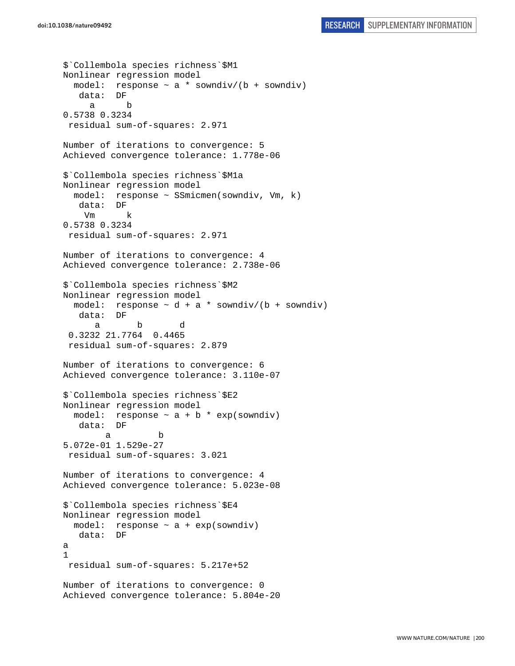\$`Collembola species richness`\$M1 Nonlinear regression model model: response  $\sim$  a  $*$  sowndiv/(b + sowndiv) data: DF a b 0.5738 0.3234 residual sum-of-squares: 2.971 Number of iterations to convergence: 5 Achieved convergence tolerance: 1.778e-06 \$`Collembola species richness`\$M1a Nonlinear regression model model: response ~ SSmicmen(sowndiv, Vm, k) data: DF Vm k 0.5738 0.3234 residual sum-of-squares: 2.971 Number of iterations to convergence: 4 Achieved convergence tolerance: 2.738e-06 \$`Collembola species richness`\$M2 Nonlinear regression model model: response  $\sim d + a *$  sowndiv/(b + sowndiv) data: DF a b d 0.3232 21.7764 0.4465 residual sum-of-squares: 2.879 Number of iterations to convergence: 6 Achieved convergence tolerance: 3.110e-07 \$`Collembola species richness`\$E2 Nonlinear regression model model: response  $\sim$  a + b  $*$  exp(sowndiv) data: DF a b 5.072e-01 1.529e-27 residual sum-of-squares: 3.021 Number of iterations to convergence: 4 Achieved convergence tolerance: 5.023e-08 \$`Collembola species richness`\$E4 Nonlinear regression model model: response  $\sim$  a + exp(sowndiv) data: DF a 1 residual sum-of-squares: 5.217e+52 Number of iterations to convergence: 0 Achieved convergence tolerance: 5.804e-20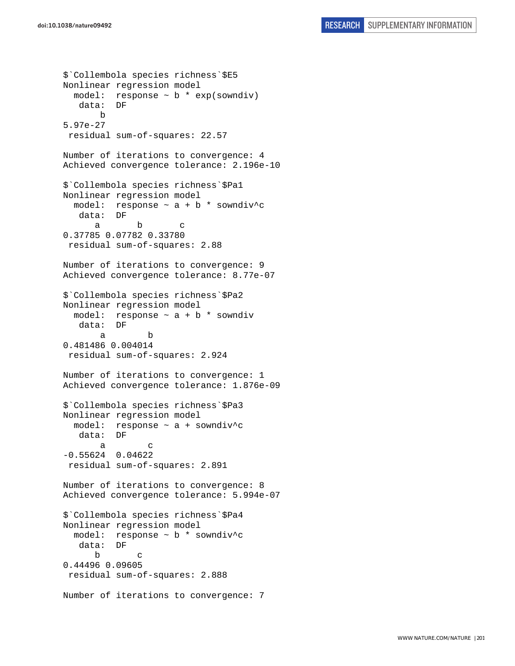```
$`Collembola species richness`$E5 
Nonlinear regression model 
  model: response \sim b * exp(sowndiv)
    data: DF 
       b 
5.97e-27 
  residual sum-of-squares: 22.57 
Number of iterations to convergence: 4 
Achieved convergence tolerance: 2.196e-10 
$`Collembola species richness`$Pa1 
Nonlinear regression model 
 model: response \sim a + b * sowndiv<sup>^</sup>c
    data: DF 
 a b c 
0.37785 0.07782 0.33780 
 residual sum-of-squares: 2.88 
Number of iterations to convergence: 9 
Achieved convergence tolerance: 8.77e-07 
$`Collembola species richness`$Pa2 
Nonlinear regression model 
  model: response \sim a + b * sowndiv
    data: DF 
 a b 
0.481486 0.004014 
 residual sum-of-squares: 2.924 
Number of iterations to convergence: 1 
Achieved convergence tolerance: 1.876e-09 
$`Collembola species richness`$Pa3 
Nonlinear regression model 
   model: response ~ a + sowndiv^c 
    data: DF 
 a c 
-0.55624 0.04622 
  residual sum-of-squares: 2.891 
Number of iterations to convergence: 8 
Achieved convergence tolerance: 5.994e-07 
$`Collembola species richness`$Pa4 
Nonlinear regression model 
   model: response ~ b * sowndiv^c 
    data: DF 
 b c 
0.44496 0.09605 
  residual sum-of-squares: 2.888 
Number of iterations to convergence: 7
```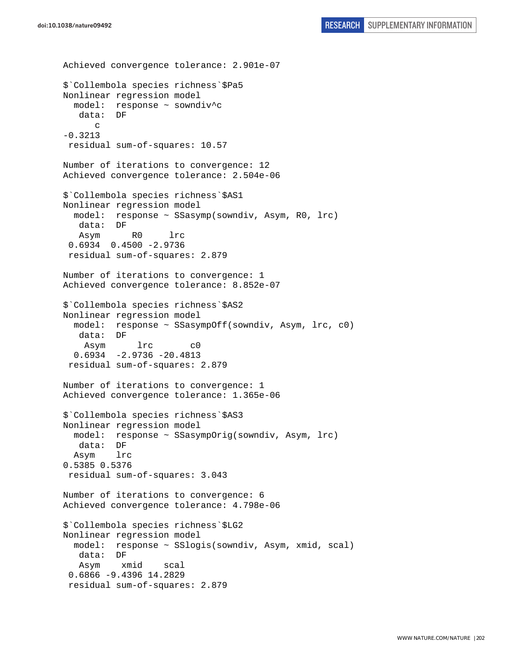```
Achieved convergence tolerance: 2.901e-07 
$`Collembola species richness`$Pa5 
Nonlinear regression model 
  model: response ~ sowndiv^c 
    data: DF 
      \mathcal{C}-0.3213 
  residual sum-of-squares: 10.57 
Number of iterations to convergence: 12 
Achieved convergence tolerance: 2.504e-06 
$`Collembola species richness`$AS1 
Nonlinear regression model 
   model: response ~ SSasymp(sowndiv, Asym, R0, lrc) 
    data: DF 
    Asym R0 lrc 
  0.6934 0.4500 -2.9736 
  residual sum-of-squares: 2.879 
Number of iterations to convergence: 1 
Achieved convergence tolerance: 8.852e-07 
$`Collembola species richness`$AS2 
Nonlinear regression model 
   model: response ~ SSasympOff(sowndiv, Asym, lrc, c0) 
    data: DF 
     Asym lrc c0 
   0.6934 -2.9736 -20.4813 
  residual sum-of-squares: 2.879 
Number of iterations to convergence: 1 
Achieved convergence tolerance: 1.365e-06 
$`Collembola species richness`$AS3 
Nonlinear regression model 
   model: response ~ SSasympOrig(sowndiv, Asym, lrc) 
   data: DF 
   Asym lrc 
0.5385 0.5376 
  residual sum-of-squares: 3.043 
Number of iterations to convergence: 6 
Achieved convergence tolerance: 4.798e-06 
$`Collembola species richness`$LG2 
Nonlinear regression model 
   model: response ~ SSlogis(sowndiv, Asym, xmid, scal) 
    data: DF 
    Asym xmid scal 
  0.6866 -9.4396 14.2829 
  residual sum-of-squares: 2.879
```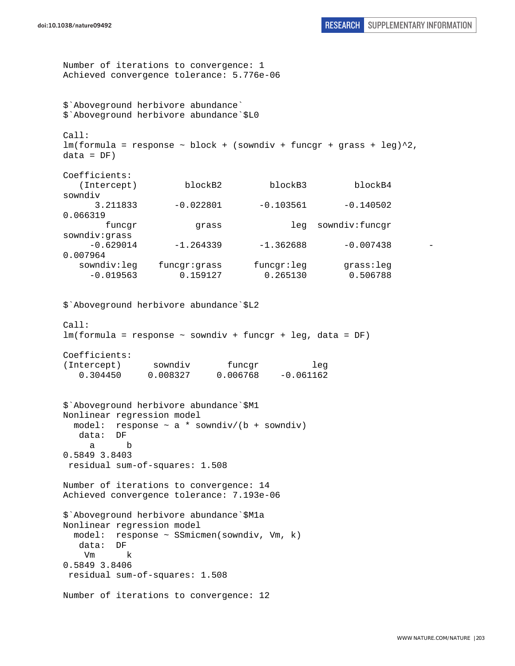Number of iterations to convergence: 1 Achieved convergence tolerance: 5.776e-06 \$`Aboveground herbivore abundance` \$`Aboveground herbivore abundance`\$L0 Call:  $lm(formula = response ~ block + (sowndiv + funcgr + grass + leg)^2,$  $data = DF)$ Coefficients: (Intercept) blockB2 blockB3 blockB4 sowndiv 3.211833 -0.022801 -0.103561 -0.140502 0.066319 funcgr grass leg sowndiv:funcgr sowndiv:grass  $-0.629014$   $-1.264339$   $-1.362688$   $-0.007438$ 0.007964 sowndiv:leg funcgr:grass funcgr:leg grass:leg -0.019563 0.159127 0.265130 0.506788 \$`Aboveground herbivore abundance`\$L2 Call: lm(formula = response ~ sowndiv + funcgr + leg, data = DF) Coefficients: (Intercept) sowndiv funcgr leg 0.304450 0.008327 0.006768 -0.061162 \$`Aboveground herbivore abundance`\$M1 Nonlinear regression model model: response  $\sim$  a \* sowndiv/(b + sowndiv) data: DF a b 0.5849 3.8403 residual sum-of-squares: 1.508 Number of iterations to convergence: 14 Achieved convergence tolerance: 7.193e-06 \$`Aboveground herbivore abundance`\$M1a Nonlinear regression model model: response ~ SSmicmen(sowndiv, Vm, k) data: DF Vm k 0.5849 3.8406 residual sum-of-squares: 1.508 Number of iterations to convergence: 12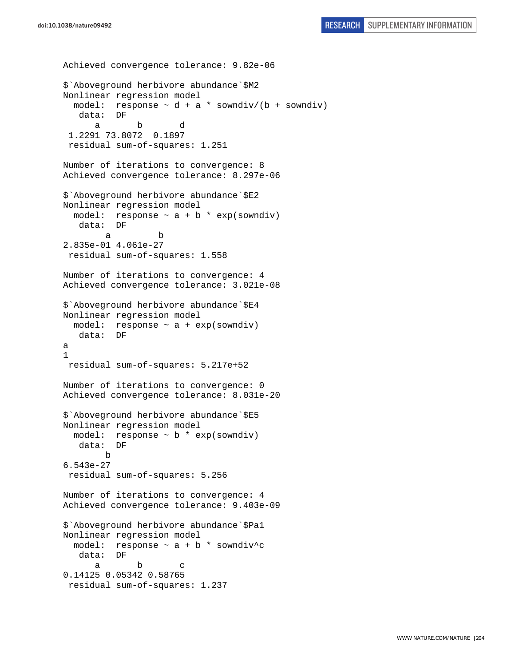```
doi:10.1038/nature09492 RESEARCH SUPPLEMENTARY INFORMATION
```

```
Achieved convergence tolerance: 9.82e-06 
$`Aboveground herbivore abundance`$M2 
Nonlinear regression model 
  model: response \sim d + a * sowndiv/(b + sowndiv)
    data: DF 
 a b d 
  1.2291 73.8072 0.1897 
  residual sum-of-squares: 1.251 
Number of iterations to convergence: 8 
Achieved convergence tolerance: 8.297e-06 
$`Aboveground herbivore abundance`$E2 
Nonlinear regression model 
  model: response \sim a + b * exp(sowndiv)
    data: DF 
 a b 
2.835e-01 4.061e-27 
 residual sum-of-squares: 1.558 
Number of iterations to convergence: 4 
Achieved convergence tolerance: 3.021e-08 
$`Aboveground herbivore abundance`$E4 
Nonlinear regression model 
  model: response \sim a + exp(sowndiv)
    data: DF 
a 
1 
 residual sum-of-squares: 5.217e+52 
Number of iterations to convergence: 0 
Achieved convergence tolerance: 8.031e-20 
$`Aboveground herbivore abundance`$E5 
Nonlinear regression model 
  model: response \sim b * exp(sowndiv)
    data: DF 
        b 
6.543e-27 
  residual sum-of-squares: 5.256 
Number of iterations to convergence: 4 
Achieved convergence tolerance: 9.403e-09 
$`Aboveground herbivore abundance`$Pa1 
Nonlinear regression model 
   model: response ~ a + b * sowndiv^c 
    data: DF 
 a b c 
0.14125 0.05342 0.58765 
  residual sum-of-squares: 1.237
```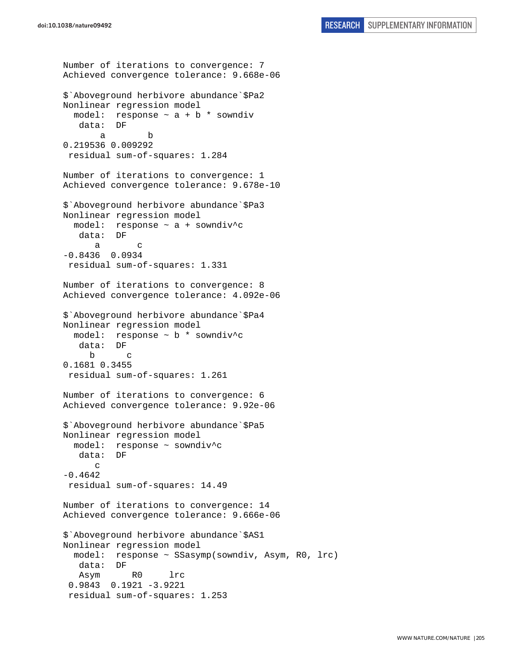```
Number of iterations to convergence: 7 
Achieved convergence tolerance: 9.668e-06 
$`Aboveground herbivore abundance`$Pa2 
Nonlinear regression model 
  model: response \sim a + b * sowndiv
    data: DF 
 a b 
0.219536 0.009292 
  residual sum-of-squares: 1.284 
Number of iterations to convergence: 1 
Achieved convergence tolerance: 9.678e-10 
$`Aboveground herbivore abundance`$Pa3 
Nonlinear regression model 
   model: response ~ a + sowndiv^c 
    data: DF 
 a c 
-0.8436 0.0934 
 residual sum-of-squares: 1.331 
Number of iterations to convergence: 8 
Achieved convergence tolerance: 4.092e-06 
$`Aboveground herbivore abundance`$Pa4 
Nonlinear regression model 
   model: response ~ b * sowndiv^c 
    data: DF 
      b c 
0.1681 0.3455 
  residual sum-of-squares: 1.261 
Number of iterations to convergence: 6 
Achieved convergence tolerance: 9.92e-06 
$`Aboveground herbivore abundance`$Pa5 
Nonlinear regression model 
  model: response ~ sowndiv^c 
    data: DF 
      \mathcal{C}-0.4642 
  residual sum-of-squares: 14.49 
Number of iterations to convergence: 14 
Achieved convergence tolerance: 9.666e-06 
$`Aboveground herbivore abundance`$AS1 
Nonlinear regression model 
   model: response ~ SSasymp(sowndiv, Asym, R0, lrc) 
    data: DF 
    Asym R0 lrc 
  0.9843 0.1921 -3.9221 
  residual sum-of-squares: 1.253
```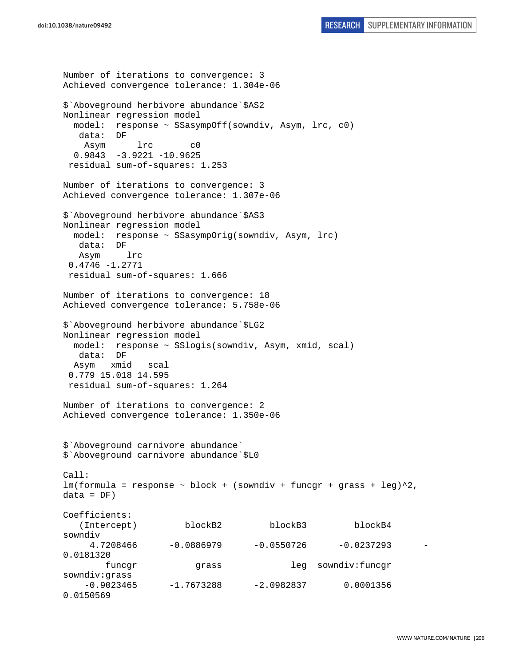```
Number of iterations to convergence: 3 
Achieved convergence tolerance: 1.304e-06 
$`Aboveground herbivore abundance`$AS2 
Nonlinear regression model 
  model: response ~ SSasympOff(sowndiv, Asym, lrc, c0) 
   data: DF 
    Asym lrc c0 
   0.9843 -3.9221 -10.9625 
  residual sum-of-squares: 1.253 
Number of iterations to convergence: 3 
Achieved convergence tolerance: 1.307e-06 
$`Aboveground herbivore abundance`$AS3 
Nonlinear regression model 
  model: response ~ SSasympOrig(sowndiv, Asym, lrc) 
   data: DF 
   Asym lrc 
  0.4746 -1.2771 
  residual sum-of-squares: 1.666 
Number of iterations to convergence: 18 
Achieved convergence tolerance: 5.758e-06 
$`Aboveground herbivore abundance`$LG2 
Nonlinear regression model 
  model: response ~ SSlogis(sowndiv, Asym, xmid, scal) 
   data: DF 
  Asym xmid scal 
  0.779 15.018 14.595 
  residual sum-of-squares: 1.264 
Number of iterations to convergence: 2 
Achieved convergence tolerance: 1.350e-06 
$`Aboveground carnivore abundance` 
$`Aboveground carnivore abundance`$L0 
Call: 
lm(formula = response ~ block + (sowndiv + funcgr + grass + leg)^2,
data = DF)Coefficients: 
   (Intercept) blockB2 blockB3 blockB4
sowndiv 
     4.7208466 -0.0886979 -0.0550726 -0.0237293
0.0181320 
        funcgr grass leg sowndiv:funcgr 
sowndiv:grass 
   -0.9023465 -1.7673288 -2.0982837 0.00013560.0150569
```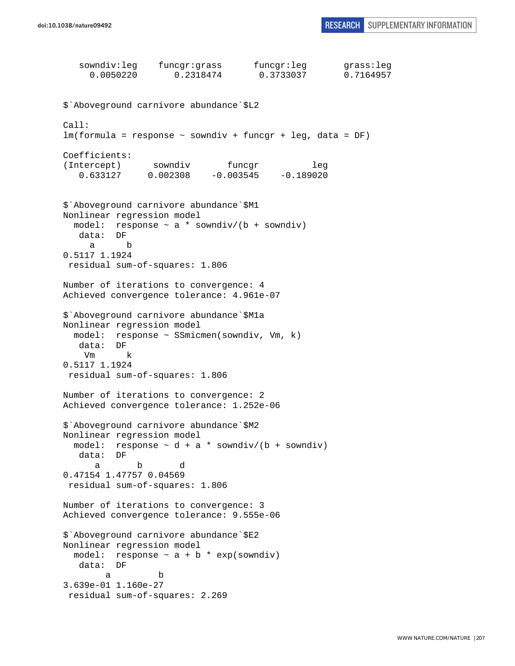```
 sowndiv:leg funcgr:grass funcgr:leg grass:leg 
     0.0050220 0.2318474 0.3733037 0.7164957 
$`Aboveground carnivore abundance`$L2 
Call: 
lm(formula = response ~ sowndiv + funcgr + leg, data = DF) 
Coefficients: 
(Intercept) sowndiv funcgr leg 
    0.633127 0.002308 -0.003545 -0.189020 
$`Aboveground carnivore abundance`$M1 
Nonlinear regression model 
 model: response \sim a * sowndiv/(b + sowndiv)
    data: DF 
 a b 
0.5117 1.1924 
 residual sum-of-squares: 1.806 
Number of iterations to convergence: 4 
Achieved convergence tolerance: 4.961e-07 
$`Aboveground carnivore abundance`$M1a 
Nonlinear regression model 
  model: response ~ SSmicmen(sowndiv, Vm, k) 
    data: DF 
     Vm k 
0.5117 1.1924 
  residual sum-of-squares: 1.806 
Number of iterations to convergence: 2 
Achieved convergence tolerance: 1.252e-06 
$`Aboveground carnivore abundance`$M2 
Nonlinear regression model 
 model: response \sim d + a * sowndiv/(b + sowndiv)
   data: DF 
 a b d 
0.47154 1.47757 0.04569 
  residual sum-of-squares: 1.806 
Number of iterations to convergence: 3 
Achieved convergence tolerance: 9.555e-06 
$`Aboveground carnivore abundance`$E2 
Nonlinear regression model 
 model: response \sim a + b * exp(sowndiv)
   data: DF 
 a b 
3.639e-01 1.160e-27 
  residual sum-of-squares: 2.269
```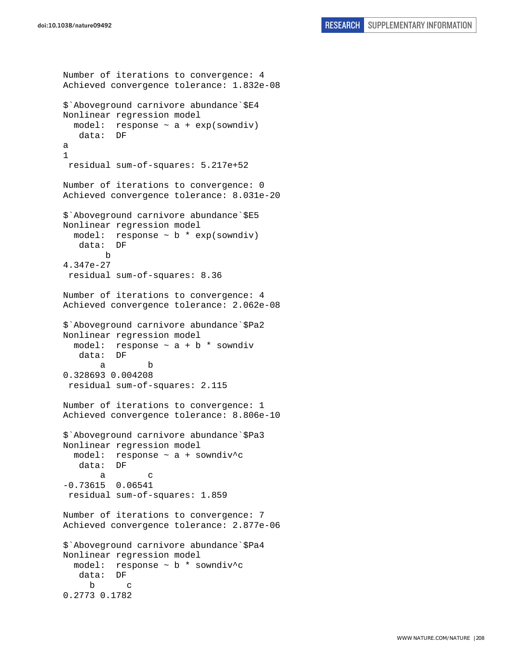```
Number of iterations to convergence: 4 
Achieved convergence tolerance: 1.832e-08 
$`Aboveground carnivore abundance`$E4 
Nonlinear regression model 
  model: response \sim a + exp(sowndiv)
    data: DF 
a 
1 
  residual sum-of-squares: 5.217e+52 
Number of iterations to convergence: 0 
Achieved convergence tolerance: 8.031e-20 
$`Aboveground carnivore abundance`$E5 
Nonlinear regression model 
   model: response ~ b * exp(sowndiv) 
    data: DF 
         b 
4.347e-27 
  residual sum-of-squares: 8.36 
Number of iterations to convergence: 4 
Achieved convergence tolerance: 2.062e-08 
$`Aboveground carnivore abundance`$Pa2 
Nonlinear regression model 
  model: response \sim a + b * sowndiv
    data: DF 
 a b 
0.328693 0.004208 
  residual sum-of-squares: 2.115 
Number of iterations to convergence: 1 
Achieved convergence tolerance: 8.806e-10 
$`Aboveground carnivore abundance`$Pa3 
Nonlinear regression model 
  model: response \sim a + sowndiv<sup>^</sup>c
    data: DF 
 a c 
-0.73615 0.06541 
  residual sum-of-squares: 1.859 
Number of iterations to convergence: 7 
Achieved convergence tolerance: 2.877e-06 
$`Aboveground carnivore abundance`$Pa4 
Nonlinear regression model 
  model: response \sim b * sowndiv<sup>^</sup>c
    data: DF 
 b c 
0.2773 0.1782
```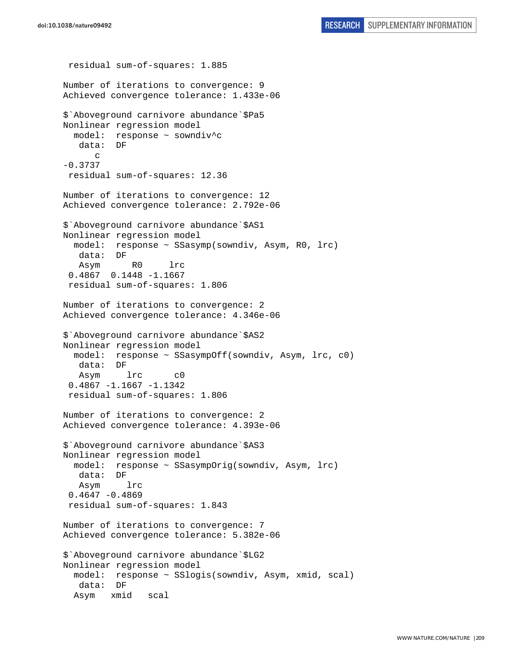```
 residual sum-of-squares: 1.885 
Number of iterations to convergence: 9 
Achieved convergence tolerance: 1.433e-06 
$`Aboveground carnivore abundance`$Pa5 
Nonlinear regression model 
   model: response ~ sowndiv^c 
    data: DF 
       c 
-0.3737 
 residual sum-of-squares: 12.36 
Number of iterations to convergence: 12 
Achieved convergence tolerance: 2.792e-06 
$`Aboveground carnivore abundance`$AS1 
Nonlinear regression model 
   model: response ~ SSasymp(sowndiv, Asym, R0, lrc) 
    data: DF 
    Asym R0 lrc 
  0.4867 0.1448 -1.1667 
  residual sum-of-squares: 1.806 
Number of iterations to convergence: 2 
Achieved convergence tolerance: 4.346e-06 
$`Aboveground carnivore abundance`$AS2 
Nonlinear regression model 
   model: response ~ SSasympOff(sowndiv, Asym, lrc, c0) 
    data: DF 
    Asym lrc c0 
  0.4867 -1.1667 -1.1342 
  residual sum-of-squares: 1.806 
Number of iterations to convergence: 2 
Achieved convergence tolerance: 4.393e-06 
$`Aboveground carnivore abundance`$AS3 
Nonlinear regression model 
   model: response ~ SSasympOrig(sowndiv, Asym, lrc) 
    data: DF 
    Asym lrc 
 0.4647 - 0.4869 residual sum-of-squares: 1.843 
Number of iterations to convergence: 7 
Achieved convergence tolerance: 5.382e-06 
$`Aboveground carnivore abundance`$LG2 
Nonlinear regression model 
   model: response ~ SSlogis(sowndiv, Asym, xmid, scal) 
    data: DF 
   Asym xmid scal
```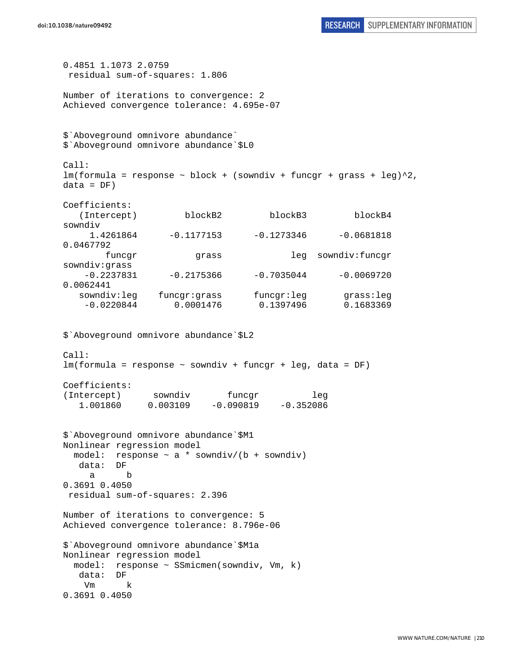```
0.4851 1.1073 2.0759 
  residual sum-of-squares: 1.806 
Number of iterations to convergence: 2 
Achieved convergence tolerance: 4.695e-07 
$`Aboveground omnivore abundance` 
$`Aboveground omnivore abundance`$L0 
Call: 
lm(formula = response ~ block + (sowndiv + funcgr + grass + leg)^2,data = DF)Coefficients: 
   (Intercept) blockB2 blockB3 blockB4 
sowndiv 
     1.4261864 -0.1177153 -0.1273346 -0.0681818 
0.0467792 
        funcgr grass leg sowndiv:funcgr 
sowndiv:grass 
   -0.2237831 -0.2175366 -0.7035044 -0.00697200.0062441 
   sowndiv:leg funcgr:grass funcgr:leg grass:leg 
    -0.0220844 0.0001476 0.1397496 0.1683369 
$`Aboveground omnivore abundance`$L2 
Call: 
lm(formula = response ~ sowndiv + funcgr + leg, data = DF) 
Coefficients: 
(Intercept) sowndiv funcgr leg 
   1.001860 0.003109 -0.090819 -0.352086 
$`Aboveground omnivore abundance`$M1 
Nonlinear regression model 
 model: response \sim a * sowndiv/(b + sowndiv)
   data: DF 
     a b 
0.3691 0.4050 
 residual sum-of-squares: 2.396 
Number of iterations to convergence: 5 
Achieved convergence tolerance: 8.796e-06 
$`Aboveground omnivore abundance`$M1a 
Nonlinear regression model 
  model: response ~ SSmicmen(sowndiv, Vm, k) 
   data: DF 
    Vm k 
0.3691 0.4050
```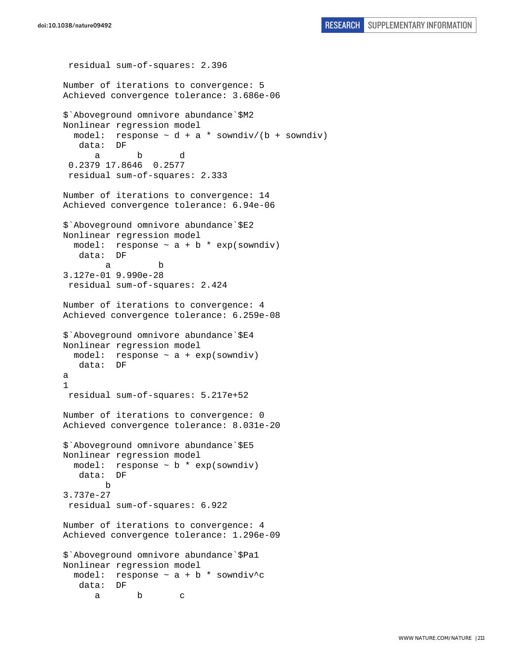```
 residual sum-of-squares: 2.396 
Number of iterations to convergence: 5 
Achieved convergence tolerance: 3.686e-06 
$`Aboveground omnivore abundance`$M2 
Nonlinear regression model 
 model: response \sim d + a * sowndiv/(b + sowndiv)
    data: DF 
 a b d 
  0.2379 17.8646 0.2577 
  residual sum-of-squares: 2.333 
Number of iterations to convergence: 14 
Achieved convergence tolerance: 6.94e-06 
$`Aboveground omnivore abundance`$E2 
Nonlinear regression model 
  model: response \sim a + b * exp(sowndiv)
    data: DF 
 a b 
3.127e-01 9.990e-28 
 residual sum-of-squares: 2.424 
Number of iterations to convergence: 4 
Achieved convergence tolerance: 6.259e-08 
$`Aboveground omnivore abundance`$E4 
Nonlinear regression model 
  model: response ~ a + exp(sowndiv) 
    data: DF 
a 
1 
  residual sum-of-squares: 5.217e+52 
Number of iterations to convergence: 0 
Achieved convergence tolerance: 8.031e-20 
$`Aboveground omnivore abundance`$E5 
Nonlinear regression model 
  model: response \sim b * exp(sowndiv)
    data: DF 
        b 
3.737e-27 
  residual sum-of-squares: 6.922 
Number of iterations to convergence: 4 
Achieved convergence tolerance: 1.296e-09 
$`Aboveground omnivore abundance`$Pa1 
Nonlinear regression model 
 model: response \sim a + b * sowndiv^c
    data: DF 
 a b c
```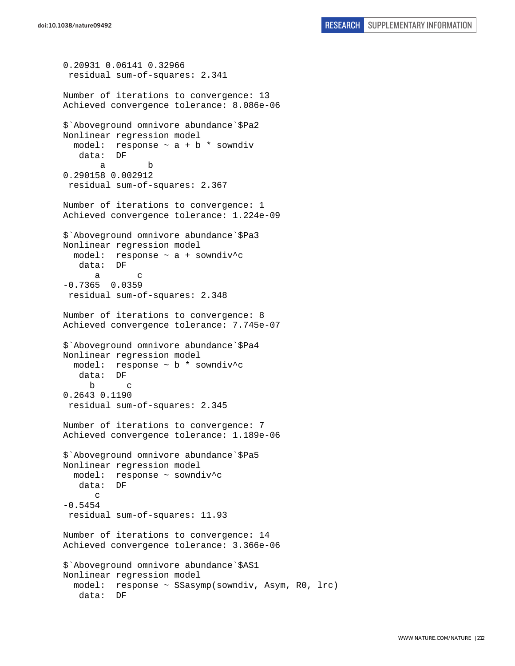```
0.20931 0.06141 0.32966 
  residual sum-of-squares: 2.341 
Number of iterations to convergence: 13 
Achieved convergence tolerance: 8.086e-06 
$`Aboveground omnivore abundance`$Pa2 
Nonlinear regression model 
  model: response \sim a + b * sowndiv
    data: DF 
 a b 
0.290158 0.002912 
  residual sum-of-squares: 2.367 
Number of iterations to convergence: 1 
Achieved convergence tolerance: 1.224e-09 
$`Aboveground omnivore abundance`$Pa3 
Nonlinear regression model 
  model: response \sim a + sowndiv<sup>^</sup>c
    data: DF 
 a c 
-0.7365 0.0359 
  residual sum-of-squares: 2.348 
Number of iterations to convergence: 8 
Achieved convergence tolerance: 7.745e-07 
$`Aboveground omnivore abundance`$Pa4 
Nonlinear regression model 
   model: response ~ b * sowndiv^c 
    data: DF 
 b c 
0.2643 0.1190 
  residual sum-of-squares: 2.345 
Number of iterations to convergence: 7 
Achieved convergence tolerance: 1.189e-06 
$`Aboveground omnivore abundance`$Pa5 
Nonlinear regression model 
   model: response ~ sowndiv^c 
    data: DF 
       c 
-0.5454 residual sum-of-squares: 11.93 
Number of iterations to convergence: 14 
Achieved convergence tolerance: 3.366e-06 
$`Aboveground omnivore abundance`$AS1 
Nonlinear regression model 
   model: response ~ SSasymp(sowndiv, Asym, R0, lrc) 
    data: DF
```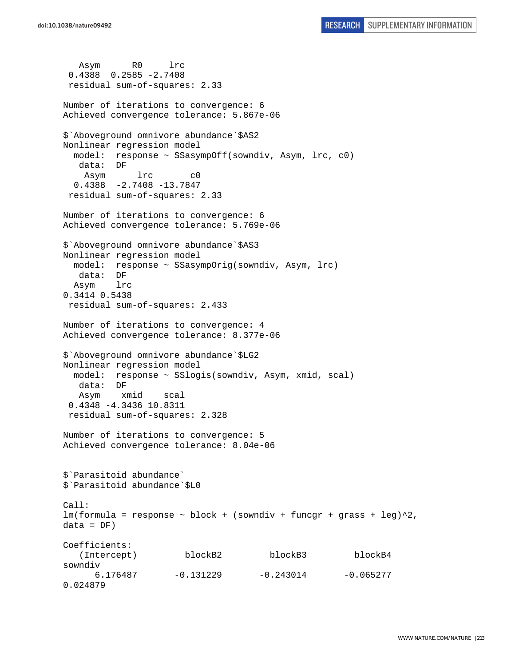```
 Asym R0 lrc 
  0.4388 0.2585 -2.7408 
  residual sum-of-squares: 2.33 
Number of iterations to convergence: 6 
Achieved convergence tolerance: 5.867e-06 
$`Aboveground omnivore abundance`$AS2 
Nonlinear regression model 
   model: response ~ SSasympOff(sowndiv, Asym, lrc, c0) 
   data: DF 
     Asym lrc c0 
   0.4388 -2.7408 -13.7847 
  residual sum-of-squares: 2.33 
Number of iterations to convergence: 6 
Achieved convergence tolerance: 5.769e-06 
$`Aboveground omnivore abundance`$AS3 
Nonlinear regression model 
   model: response ~ SSasympOrig(sowndiv, Asym, lrc) 
   data: DF 
   Asym lrc 
0.3414 0.5438 
  residual sum-of-squares: 2.433 
Number of iterations to convergence: 4 
Achieved convergence tolerance: 8.377e-06 
$`Aboveground omnivore abundance`$LG2 
Nonlinear regression model 
  model: response ~ SSlogis(sowndiv, Asym, xmid, scal) 
   data: DF 
   Asym xmid scal 
  0.4348 -4.3436 10.8311 
  residual sum-of-squares: 2.328 
Number of iterations to convergence: 5 
Achieved convergence tolerance: 8.04e-06 
$`Parasitoid abundance` 
$`Parasitoid abundance`$L0 
Call: 
lm(formula = response ~ block + (sowndiv + funcgr + grass + leg)^2,data = DF)Coefficients: 
    (Intercept) blockB2 blockB3 blockB4 
sowndiv 
      6.176487 -0.131229 -0.243014 -0.0652770.024879
```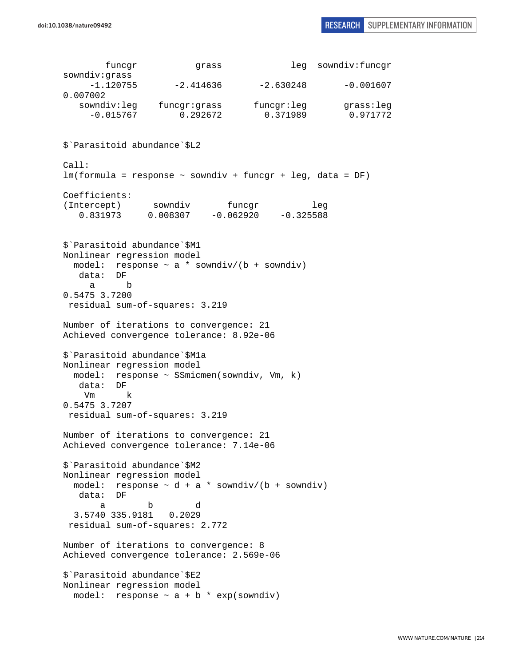funcgr grass leg sowndiv:funcgr sowndiv:grass  $-1.120755$   $-2.414636$   $-2.630248$   $-0.001607$ 0.007002 sowndiv:leg funcgr:grass funcgr:leg grass:leg -0.015767 0.292672 0.371989 0.971772 \$`Parasitoid abundance`\$L2 Call: lm(formula = response ~ sowndiv + funcgr + leg, data = DF) Coefficients: (Intercept) sowndiv funcgr leg 0.831973 0.008307 -0.062920 -0.325588 \$`Parasitoid abundance`\$M1 Nonlinear regression model model: response  $\sim$  a \* sowndiv/(b + sowndiv) data: DF a b 0.5475 3.7200 residual sum-of-squares: 3.219 Number of iterations to convergence: 21 Achieved convergence tolerance: 8.92e-06 \$`Parasitoid abundance`\$M1a Nonlinear regression model model: response ~ SSmicmen(sowndiv, Vm, k) data: DF Vm k 0.5475 3.7207 residual sum-of-squares: 3.219 Number of iterations to convergence: 21 Achieved convergence tolerance: 7.14e-06 \$`Parasitoid abundance`\$M2 Nonlinear regression model model: response  $\sim d + a *$  sowndiv/(b + sowndiv) data: DF a b d 3.5740 335.9181 0.2029 residual sum-of-squares: 2.772 Number of iterations to convergence: 8 Achieved convergence tolerance: 2.569e-06 \$`Parasitoid abundance`\$E2 Nonlinear regression model model: response  $\sim$  a + b  $*$  exp(sowndiv)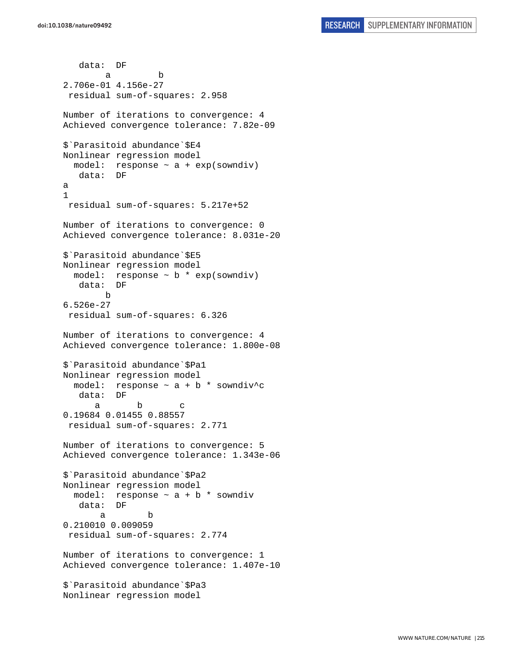data: DF a b 2.706e-01 4.156e-27 residual sum-of-squares: 2.958 Number of iterations to convergence: 4 Achieved convergence tolerance: 7.82e-09 \$`Parasitoid abundance`\$E4 Nonlinear regression model model: response  $\sim$  a + exp(sowndiv) data: DF a 1 residual sum-of-squares: 5.217e+52 Number of iterations to convergence: 0 Achieved convergence tolerance: 8.031e-20 \$`Parasitoid abundance`\$E5 Nonlinear regression model model: response ~ b \* exp(sowndiv) data: DF b 6.526e-27 residual sum-of-squares: 6.326 Number of iterations to convergence: 4 Achieved convergence tolerance: 1.800e-08 \$`Parasitoid abundance`\$Pa1 Nonlinear regression model model: response  $\sim$  a + b \* sowndiv<sup>^</sup>c data: DF a b c 0.19684 0.01455 0.88557 residual sum-of-squares: 2.771 Number of iterations to convergence: 5 Achieved convergence tolerance: 1.343e-06 \$`Parasitoid abundance`\$Pa2 Nonlinear regression model model: response  $\sim$  a + b  $*$  sowndiv data: DF a b 0.210010 0.009059 residual sum-of-squares: 2.774 Number of iterations to convergence: 1 Achieved convergence tolerance: 1.407e-10 \$`Parasitoid abundance`\$Pa3 Nonlinear regression model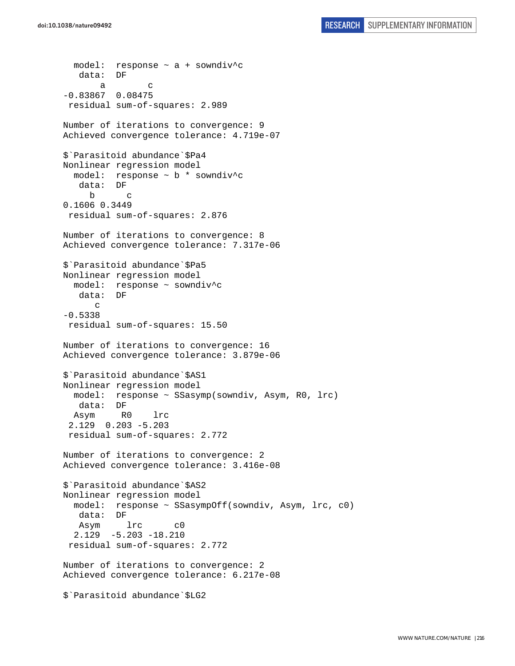```
model: response \sim a + sowndiv<sup>^</sup>c
    data: DF 
 a c 
-0.83867 0.08475 
 residual sum-of-squares: 2.989 
Number of iterations to convergence: 9 
Achieved convergence tolerance: 4.719e-07 
$`Parasitoid abundance`$Pa4 
Nonlinear regression model 
   model: response ~ b * sowndiv^c 
    data: DF 
 b c 
0.1606 0.3449 
 residual sum-of-squares: 2.876 
Number of iterations to convergence: 8 
Achieved convergence tolerance: 7.317e-06 
$`Parasitoid abundance`$Pa5 
Nonlinear regression model 
  model: response ~ sowndiv^c 
    data: DF 
       c 
-0.5338 
 residual sum-of-squares: 15.50 
Number of iterations to convergence: 16 
Achieved convergence tolerance: 3.879e-06 
$`Parasitoid abundance`$AS1 
Nonlinear regression model 
   model: response ~ SSasymp(sowndiv, Asym, R0, lrc) 
    data: DF 
  Asym R0 lrc 
  2.129 0.203 -5.203 
  residual sum-of-squares: 2.772 
Number of iterations to convergence: 2 
Achieved convergence tolerance: 3.416e-08 
$`Parasitoid abundance`$AS2 
Nonlinear regression model 
   model: response ~ SSasympOff(sowndiv, Asym, lrc, c0) 
    data: DF 
   Asym lrc c0 
   2.129 -5.203 -18.210 
  residual sum-of-squares: 2.772 
Number of iterations to convergence: 2 
Achieved convergence tolerance: 6.217e-08 
$`Parasitoid abundance`$LG2
```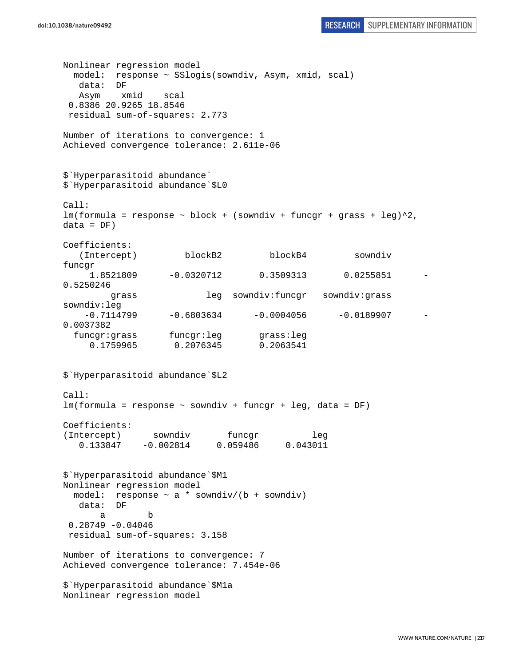```
doi:10.1038/nature09492 RESEARCH SUPPLEMENTARY INFORMATION
```
Nonlinear regression model model: response ~ SSlogis(sowndiv, Asym, xmid, scal) data: DF Asym xmid scal 0.8386 20.9265 18.8546 residual sum-of-squares: 2.773 Number of iterations to convergence: 1 Achieved convergence tolerance: 2.611e-06 \$`Hyperparasitoid abundance` \$`Hyperparasitoid abundance`\$L0 Call:  $lm(formula = response ~ block + (sowndiv + funcgr + grass + leg)^2,$  $data = DF)$ Coefficients: (Intercept) blockB2 blockB4 sowndiv funcgr 1.8521809 -0.0320712 0.3509313 0.0255851 - 0.5250246 grass leg sowndiv:funcgr sowndiv:grass sowndiv:leg  $-0.7114799$   $-0.6803634$   $-0.0004056$   $-0.0189907$ 0.0037382 funcgr:grass funcgr:leg grass:leg 0.1759965 0.2076345 0.2063541 \$`Hyperparasitoid abundance`\$L2 Call: lm(formula = response ~ sowndiv + funcgr + leg, data = DF) Coefficients: (Intercept) sowndiv funcgr leg 0.133847 -0.002814 0.059486 0.043011 \$`Hyperparasitoid abundance`\$M1 Nonlinear regression model model: response  $\sim$  a  $*$  sowndiv/(b + sowndiv) data: DF a b 0.28749 -0.04046 residual sum-of-squares: 3.158 Number of iterations to convergence: 7 Achieved convergence tolerance: 7.454e-06 \$`Hyperparasitoid abundance`\$M1a Nonlinear regression model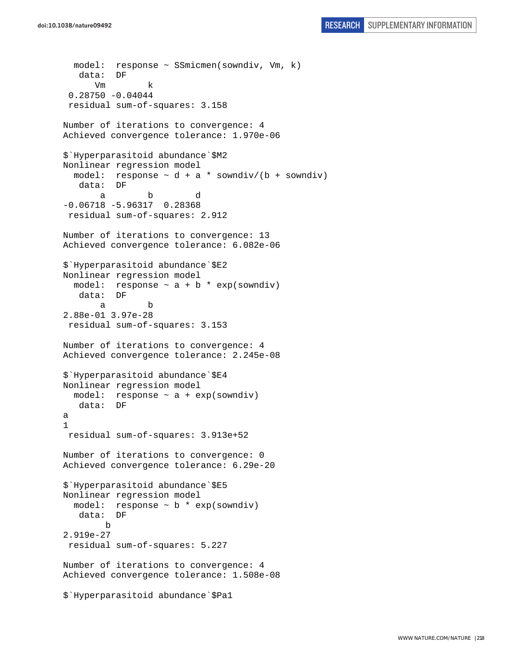```
doi:10.1038/nature09492 RESEARCH SUPPLEMENTARY INFORMATION
```

```
 model: response ~ SSmicmen(sowndiv, Vm, k) 
    data: DF 
 Vm k 
  0.28750 -0.04044 
  residual sum-of-squares: 3.158 
Number of iterations to convergence: 4 
Achieved convergence tolerance: 1.970e-06 
$`Hyperparasitoid abundance`$M2 
Nonlinear regression model 
  model: response \sim d + a * sowndiv/(b + sowndiv)
    data: DF 
 a b d 
-0.06718 -5.96317 0.28368 
 residual sum-of-squares: 2.912 
Number of iterations to convergence: 13 
Achieved convergence tolerance: 6.082e-06 
$`Hyperparasitoid abundance`$E2 
Nonlinear regression model 
  model: response \sim a + b * exp(sowndiv)
    data: DF 
 a b 
2.88e-01 3.97e-28 
  residual sum-of-squares: 3.153 
Number of iterations to convergence: 4 
Achieved convergence tolerance: 2.245e-08 
$`Hyperparasitoid abundance`$E4 
Nonlinear regression model 
  model: response \sim a + exp(sowndiv)
    data: DF 
a 
1 
 residual sum-of-squares: 3.913e+52 
Number of iterations to convergence: 0 
Achieved convergence tolerance: 6.29e-20 
$`Hyperparasitoid abundance`$E5 
Nonlinear regression model 
   model: response ~ b * exp(sowndiv) 
    data: DF 
        b 
2.919e-27 
  residual sum-of-squares: 5.227 
Number of iterations to convergence: 4 
Achieved convergence tolerance: 1.508e-08 
$`Hyperparasitoid abundance`$Pa1
```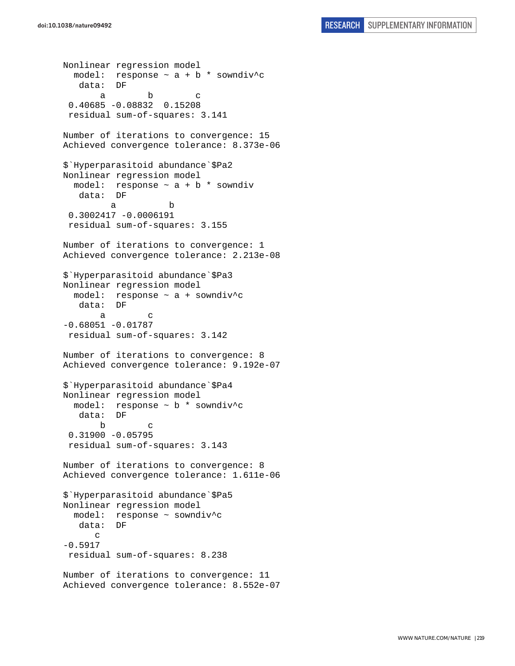```
Nonlinear regression model 
  model: response \sim a + b * sowndiv<sup>^</sup>c
    data: DF 
a b c
  0.40685 -0.08832 0.15208 
  residual sum-of-squares: 3.141 
Number of iterations to convergence: 15 
Achieved convergence tolerance: 8.373e-06 
$`Hyperparasitoid abundance`$Pa2 
Nonlinear regression model 
  model: response \sim a + b * sowndiv
    data: DF 
 a b 
  0.3002417 -0.0006191 
  residual sum-of-squares: 3.155 
Number of iterations to convergence: 1 
Achieved convergence tolerance: 2.213e-08 
$`Hyperparasitoid abundance`$Pa3 
Nonlinear regression model 
   model: response ~ a + sowndiv^c 
    data: DF 
 a c 
-0.68051 - 0.01787 residual sum-of-squares: 3.142 
Number of iterations to convergence: 8 
Achieved convergence tolerance: 9.192e-07 
$`Hyperparasitoid abundance`$Pa4 
Nonlinear regression model 
   model: response ~ b * sowndiv^c 
    data: DF 
 b c 
  0.31900 -0.05795 
  residual sum-of-squares: 3.143 
Number of iterations to convergence: 8 
Achieved convergence tolerance: 1.611e-06 
$`Hyperparasitoid abundance`$Pa5 
Nonlinear regression model 
  model: response ~ sowndiv^c 
   data: DF 
       c 
-0.5917 
  residual sum-of-squares: 8.238 
Number of iterations to convergence: 11 
Achieved convergence tolerance: 8.552e-07
```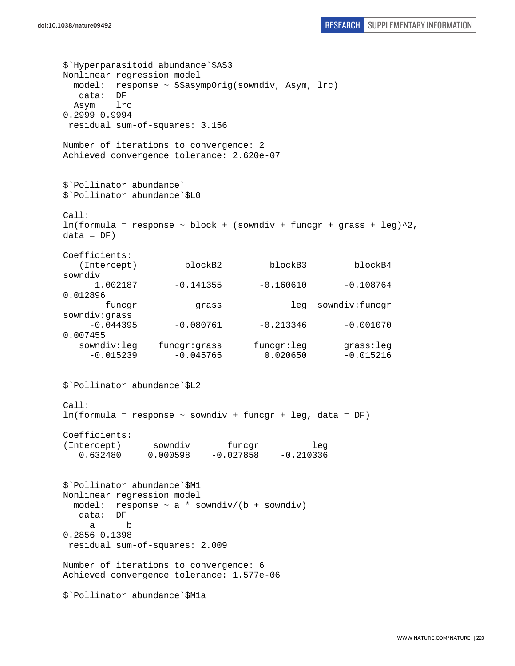```
doi:10.1038/nature09492 RESEARCH SUPPLEMENTARY INFORMATION
```
\$`Hyperparasitoid abundance`\$AS3 Nonlinear regression model model: response ~ SSasympOrig(sowndiv, Asym, lrc) data: DF Asym lrc 0.2999 0.9994 residual sum-of-squares: 3.156 Number of iterations to convergence: 2 Achieved convergence tolerance: 2.620e-07 \$`Pollinator abundance` \$`Pollinator abundance`\$L0 Call:  $lm(formula = response ~ block + (sowndiv + funcgr + grass + leg)^2,$  $data = DF)$ Coefficients: (Intercept) blockB2 blockB3 blockB4 sowndiv 1.002187 -0.141355 -0.160610 -0.108764 0.012896 funcgr grass leg sowndiv:funcgr sowndiv:grass  $-0.044395$   $-0.080761$   $-0.213346$   $-0.001070$ 0.007455 sowndiv:leg funcgr:grass funcgr:leg grass:leg  $-0.015239$   $-0.045765$  0.020650  $-0.015216$ \$`Pollinator abundance`\$L2 Call: lm(formula = response ~ sowndiv + funcgr + leg, data = DF) Coefficients: (Intercept) sowndiv funcgr leg 0.632480 0.000598 -0.027858 -0.210336 \$`Pollinator abundance`\$M1 Nonlinear regression model model: response  $\sim$  a \* sowndiv/(b + sowndiv) data: DF a b 0.2856 0.1398 residual sum-of-squares: 2.009 Number of iterations to convergence: 6 Achieved convergence tolerance: 1.577e-06 \$`Pollinator abundance`\$M1a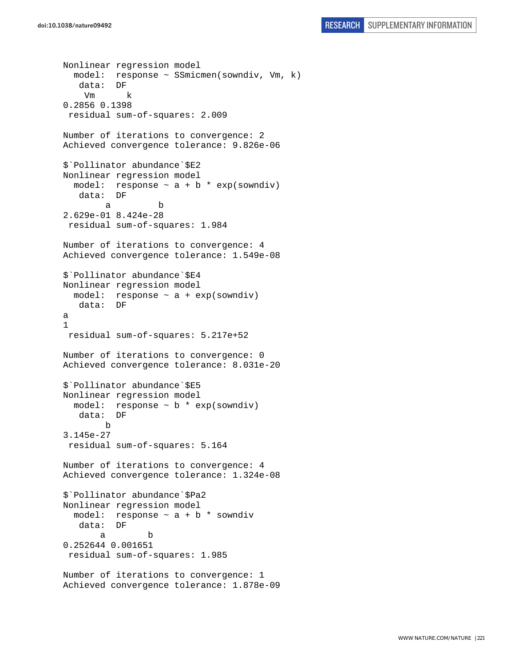```
Nonlinear regression model 
   model: response ~ SSmicmen(sowndiv, Vm, k) 
    data: DF 
     Vm k 
0.2856 0.1398 
  residual sum-of-squares: 2.009 
Number of iterations to convergence: 2 
Achieved convergence tolerance: 9.826e-06 
$`Pollinator abundance`$E2 
Nonlinear regression model 
  model: response \sim a + b * exp(sowndiv)
    data: DF 
 a b 
2.629e-01 8.424e-28 
  residual sum-of-squares: 1.984 
Number of iterations to convergence: 4 
Achieved convergence tolerance: 1.549e-08 
$`Pollinator abundance`$E4 
Nonlinear regression model 
 model: response \sim a + exp(sowndiv)
   data: DF 
a 
1 
 residual sum-of-squares: 5.217e+52 
Number of iterations to convergence: 0 
Achieved convergence tolerance: 8.031e-20 
$`Pollinator abundance`$E5 
Nonlinear regression model 
  model: response \sim b * exp(sowndiv)
    data: DF 
         b 
3.145e-27 
 residual sum-of-squares: 5.164 
Number of iterations to convergence: 4 
Achieved convergence tolerance: 1.324e-08 
$`Pollinator abundance`$Pa2 
Nonlinear regression model 
  model: response ~ a + b * sowndiv 
   data: DF 
 a b 
0.252644 0.001651 
  residual sum-of-squares: 1.985 
Number of iterations to convergence: 1 
Achieved convergence tolerance: 1.878e-09
```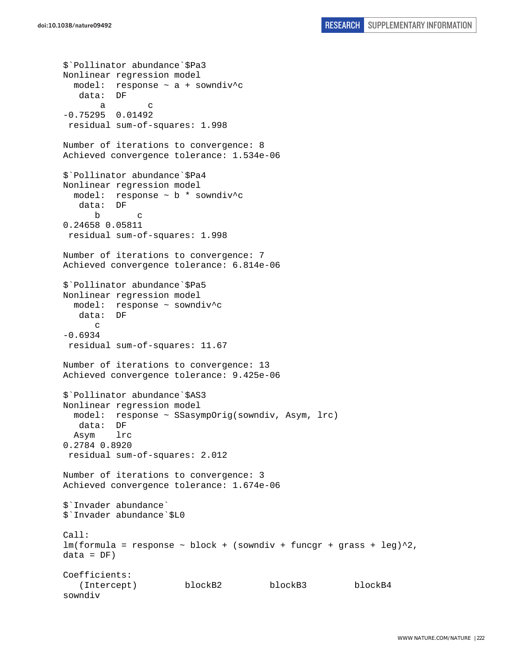\$`Pollinator abundance`\$Pa3 Nonlinear regression model model: response  $\sim$  a + sowndiv<sup>^</sup>c data: DF a c -0.75295 0.01492 residual sum-of-squares: 1.998 Number of iterations to convergence: 8 Achieved convergence tolerance: 1.534e-06 \$`Pollinator abundance`\$Pa4 Nonlinear regression model model: response ~ b \* sowndiv^c data: DF b c 0.24658 0.05811 residual sum-of-squares: 1.998 Number of iterations to convergence: 7 Achieved convergence tolerance: 6.814e-06 \$`Pollinator abundance`\$Pa5 Nonlinear regression model model: response ~ sowndiv^c<br>data: DF  $data:$  $\mathcal{C}$ -0.6934 residual sum-of-squares: 11.67 Number of iterations to convergence: 13 Achieved convergence tolerance: 9.425e-06 \$`Pollinator abundance`\$AS3 Nonlinear regression model model: response ~ SSasympOrig(sowndiv, Asym, lrc) data: DF Asym lrc 0.2784 0.8920 residual sum-of-squares: 2.012 Number of iterations to convergence: 3 Achieved convergence tolerance: 1.674e-06 \$`Invader abundance` \$`Invader abundance`\$L0 Call:  $lm(formula = response ~ block + (sowndiv + funcgr + grass + leg)^2,$  $data = DF)$ Coefficients: (Intercept) blockB2 blockB3 blockB4 sowndiv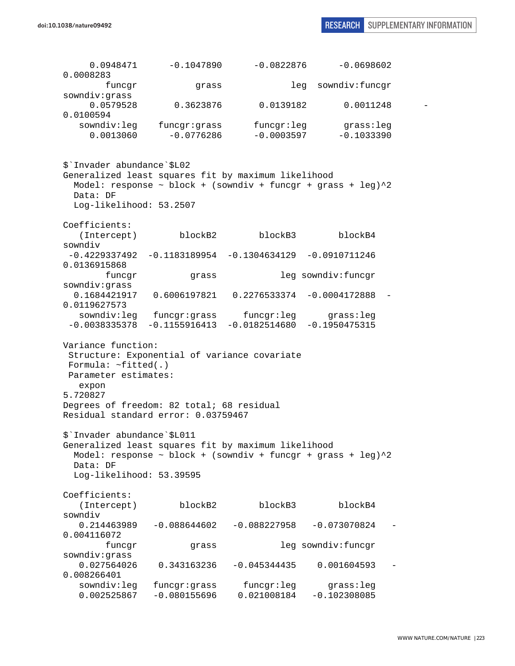| 0.0948471<br>0.0008283                                                                                                                                                            | $-0.1047890$                                                    | $-0.0822876$                  | $-0.0698602$                 |  |
|-----------------------------------------------------------------------------------------------------------------------------------------------------------------------------------|-----------------------------------------------------------------|-------------------------------|------------------------------|--|
| funcgr<br>sowndiv:grass                                                                                                                                                           | grass                                                           |                               | sowndiv:funcgr<br>leg        |  |
| 0.0579528<br>0.0100594                                                                                                                                                            | 0.3623876                                                       | 0.0139182                     | 0.0011248                    |  |
| sowndiv:leg<br>0.0013060                                                                                                                                                          | funcgr:grass<br>$-0.0776286$                                    | funcgr:leg<br>$-0.0003597$    | grass:leg<br>$-0.1033390$    |  |
| \$'Invader abundance'\$L02<br>Generalized least squares fit by maximum likelihood<br>Data: DF                                                                                     | Model: response ~ block + (sowndiv + funcgr + grass + leg)^2    |                               |                              |  |
| Log-likelihood: 53.2507                                                                                                                                                           |                                                                 |                               |                              |  |
| Coefficients:<br>(Intercept)<br>sowndiv                                                                                                                                           | blockB2                                                         | blockB3                       | blockB4                      |  |
| 0.0136915868                                                                                                                                                                      | $-0.4229337492$ $-0.1183189954$ $-0.1304634129$ $-0.0910711246$ |                               |                              |  |
| funcgr<br>sowndiv:grass                                                                                                                                                           | leg sowndiv: funcgr<br>grass                                    |                               |                              |  |
| 0.1684421917<br>0.0119627573                                                                                                                                                      | 0.6006197821   0.2276533374                                     |                               | $-0.0004172888$              |  |
| sowndiv:leg                                                                                                                                                                       | funcgr:grass<br>$-0.0038335378 - 0.1155916413$                  | funcgr:leg<br>$-0.0182514680$ | grass:leg<br>$-0.1950475315$ |  |
| Variance function:<br>Formula: $~\sim$ fitted(.)<br>Parameter estimates:<br>expon<br>5.720827<br>Degrees of freedom: 82 total; 68 residual<br>Residual standard error: 0.03759467 | Structure: Exponential of variance covariate                    |                               |                              |  |
| \$'Invader abundance'\$L011<br>Generalized least squares fit by maximum likelihood<br>Data: DF                                                                                    | Model: response ~ block + (sowndiv + funcgr + grass + leg)^2    |                               |                              |  |
| Log-likelihood: 53.39595                                                                                                                                                          |                                                                 |                               |                              |  |
| Coefficients:<br>(Intercept)<br>sowndiv                                                                                                                                           | blockB2                                                         | blockB3                       | blockB4                      |  |
| 0.214463989<br>0.004116072                                                                                                                                                        | $-0.088644602$                                                  | $-0.088227958$                | $-0.073070824$               |  |
| funcgr<br>sowndiv:grass                                                                                                                                                           | grass                                                           |                               | leg sowndiv: funcgr          |  |
| 0.027564026<br>0.008266401                                                                                                                                                        | 0.343163236                                                     | $-0.045344435$                | 0.001604593                  |  |
| sowndiv:leg<br>0.002525867                                                                                                                                                        | funcgr:grass<br>$-0.080155696$                                  | funcgr:leg<br>0.021008184     | grass:leg<br>$-0.102308085$  |  |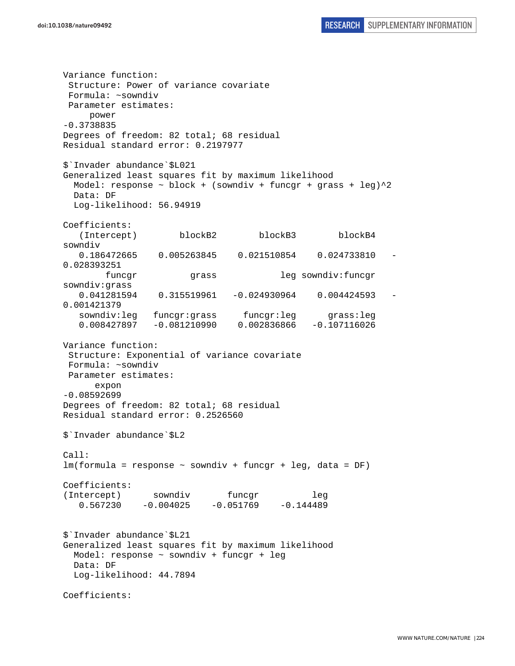Variance function: Structure: Power of variance covariate Formula: ~sowndiv Parameter estimates: power -0.3738835 Degrees of freedom: 82 total; 68 residual Residual standard error: 0.2197977 \$`Invader abundance`\$L021 Generalized least squares fit by maximum likelihood Model: response  $\sim$  block + (sowndiv + funcgr + grass + leg) $^2$  Data: DF Log-likelihood: 56.94919 Coefficients: (Intercept) blockB2 blockB3 blockB4 sowndiv 0.186472665 0.005263845 0.021510854 0.024733810 - 0.028393251 funcgr grass leg sowndiv:funcgr sowndiv:grass 0.041281594 0.315519961 -0.024930964 0.004424593 - 0.001421379 sowndiv:leg funcgr:grass funcgr:leg grass:leg 0.008427897 -0.081210990 0.002836866 -0.107116026 Variance function: Structure: Exponential of variance covariate Formula: ~sowndiv Parameter estimates: expon -0.08592699 Degrees of freedom: 82 total; 68 residual Residual standard error: 0.2526560 \$`Invader abundance`\$L2 Call: lm(formula = response ~ sowndiv + funcgr + leg, data = DF) Coefficients: (Intercept) sowndiv funcgr leg  $0.567230 -0.004025 -0.051769 -0.144489$ \$`Invader abundance`\$L21 Generalized least squares fit by maximum likelihood Model: response ~ sowndiv + funcgr + leg Data: DF Log-likelihood: 44.7894 Coefficients: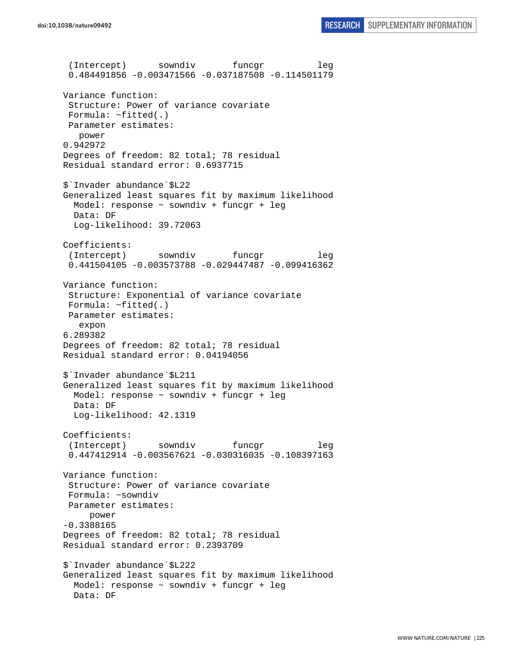```
doi:10.1038/nature09492 RESEARCH SUPPLEMENTARY INFORMATION
```
 (Intercept) sowndiv funcgr leg 0.484491856 -0.003471566 -0.037187508 -0.114501179 Variance function: Structure: Power of variance covariate Formula: ~fitted(.) Parameter estimates: power 0.942972 Degrees of freedom: 82 total; 78 residual Residual standard error: 0.6937715 \$`Invader abundance`\$L22 Generalized least squares fit by maximum likelihood Model: response ~ sowndiv + funcgr + leg Data: DF Log-likelihood: 39.72063 Coefficients: (Intercept) sowndiv funcgr leg 0.441504105 -0.003573788 -0.029447487 -0.099416362 Variance function: Structure: Exponential of variance covariate Formula: ~fitted(.) Parameter estimates: expon 6.289382 Degrees of freedom: 82 total; 78 residual Residual standard error: 0.04194056 \$`Invader abundance`\$L211 Generalized least squares fit by maximum likelihood Model: response ~ sowndiv + funcgr + leg Data: DF Log-likelihood: 42.1319 Coefficients: (Intercept) sowndiv funcgr leg 0.447412914 -0.003567621 -0.030316035 -0.108397163 Variance function: Structure: Power of variance covariate Formula: ~sowndiv Parameter estimates: power -0.3388165 Degrees of freedom: 82 total; 78 residual Residual standard error: 0.2393709 \$`Invader abundance`\$L222 Generalized least squares fit by maximum likelihood Model: response ~ sowndiv + funcgr + leg Data: DF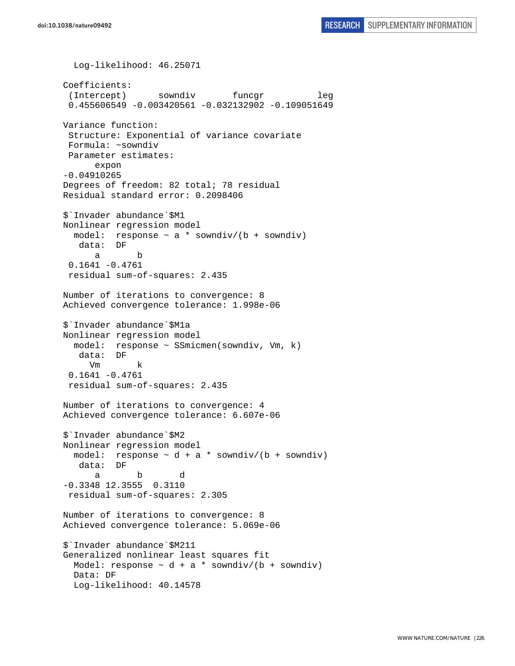```
 Log-likelihood: 46.25071 
Coefficients: 
 (Intercept) sowndiv funcgr leg
  0.455606549 -0.003420561 -0.032132902 -0.109051649 
Variance function: 
  Structure: Exponential of variance covariate 
 Formula: ~sowndiv 
 Parameter estimates: 
       expon 
-0.04910265 
Degrees of freedom: 82 total; 78 residual 
Residual standard error: 0.2098406 
$`Invader abundance`$M1 
Nonlinear regression model 
  model: response \sim a * sowndiv/(b + sowndiv)
    data: DF 
       a b 
  0.1641 -0.4761 
  residual sum-of-squares: 2.435 
Number of iterations to convergence: 8 
Achieved convergence tolerance: 1.998e-06 
$`Invader abundance`$M1a 
Nonlinear regression model 
   model: response ~ SSmicmen(sowndiv, Vm, k) 
    data: DF 
      Vm k 
  0.1641 -0.4761 
  residual sum-of-squares: 2.435 
Number of iterations to convergence: 4 
Achieved convergence tolerance: 6.607e-06 
$`Invader abundance`$M2 
Nonlinear regression model 
 model: response \sim d + a * sowndiv/(b + sowndiv)
    data: DF 
 a b d 
-0.3348 12.3555 0.3110
 residual sum-of-squares: 2.305 
Number of iterations to convergence: 8 
Achieved convergence tolerance: 5.069e-06 
$`Invader abundance`$M211 
Generalized nonlinear least squares fit 
 Model: response \sim d + a * sowndiv/(b + sowndiv)
  Data: DF 
   Log-likelihood: 40.14578
```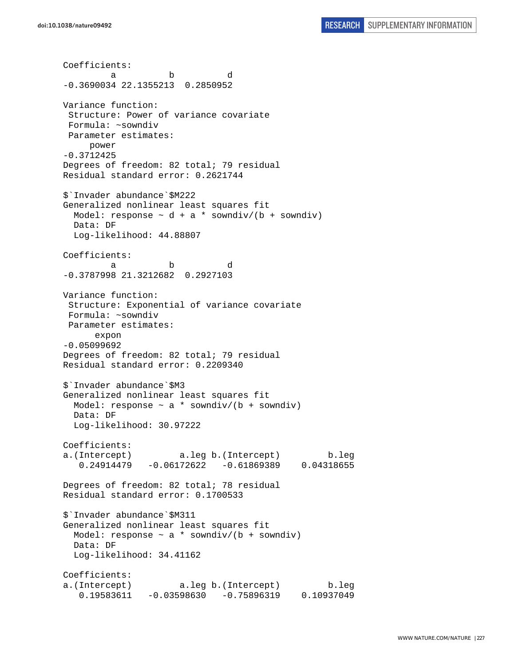Coefficients: a b d -0.3690034 22.1355213 0.2850952 Variance function: Structure: Power of variance covariate Formula: ~sowndiv Parameter estimates: power -0.3712425 Degrees of freedom: 82 total; 79 residual Residual standard error: 0.2621744 \$`Invader abundance`\$M222 Generalized nonlinear least squares fit Model: response  $\sim d + a *$  sowndiv/(b + sowndiv) Data: DF Log-likelihood: 44.88807 Coefficients: a b d -0.3787998 21.3212682 0.2927103 Variance function: Structure: Exponential of variance covariate Formula: ~sowndiv Parameter estimates: expon -0.05099692 Degrees of freedom: 82 total; 79 residual Residual standard error: 0.2209340 \$`Invader abundance`\$M3 Generalized nonlinear least squares fit Model: response  $\sim$  a \* sowndiv/(b + sowndiv) Data: DF Log-likelihood: 30.97222 Coefficients: a.(Intercept) a.leg b.(Intercept) b.leg 0.24914479 -0.06172622 -0.61869389 0.04318655 Degrees of freedom: 82 total; 78 residual Residual standard error: 0.1700533 \$`Invader abundance`\$M311 Generalized nonlinear least squares fit Model: response  $\sim$  a \* sowndiv/(b + sowndiv) Data: DF Log-likelihood: 34.41162 Coefficients: a.(Intercept) a.leg b.(Intercept) b.leg 0.19583611 -0.03598630 -0.75896319 0.10937049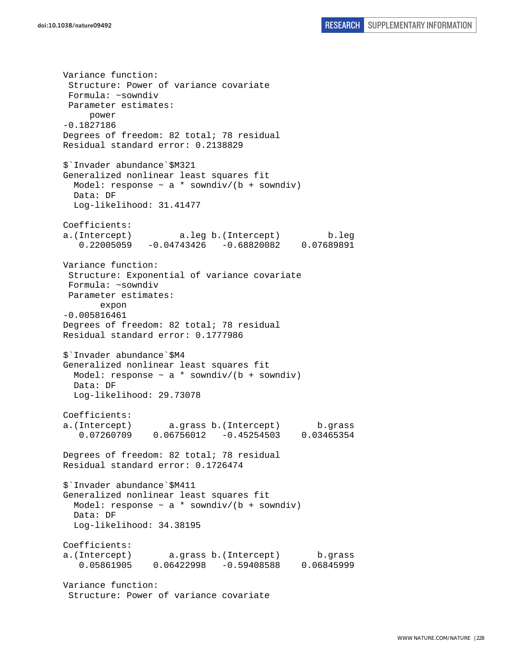Variance function: Structure: Power of variance covariate Formula: ~sowndiv Parameter estimates: power -0.1827186 Degrees of freedom: 82 total; 78 residual Residual standard error: 0.2138829 \$`Invader abundance`\$M321 Generalized nonlinear least squares fit Model: response  $\sim$  a \* sowndiv/(b + sowndiv) Data: DF Log-likelihood: 31.41477 Coefficients: a.(Intercept) a.leg b.(Intercept) b.leg 0.22005059 -0.04743426 -0.68820082 0.07689891 Variance function: Structure: Exponential of variance covariate Formula: ~sowndiv Parameter estimates: expon -0.005816461 Degrees of freedom: 82 total; 78 residual Residual standard error: 0.1777986 \$`Invader abundance`\$M4 Generalized nonlinear least squares fit Model: response  $\sim$  a  $*$  sowndiv/(b + sowndiv) Data: DF Log-likelihood: 29.73078 Coefficients: a.(Intercept) a.grass b.(Intercept) b.grass 0.07260709 0.06756012 -0.45254503 0.03465354 Degrees of freedom: 82 total; 78 residual Residual standard error: 0.1726474 \$`Invader abundance`\$M411 Generalized nonlinear least squares fit Model: response  $\sim$  a \* sowndiv/(b + sowndiv) Data: DF Log-likelihood: 34.38195 Coefficients: a.(Intercept) a.grass b.(Intercept) b.grass 0.05861905 0.06422998 -0.59408588 0.06845999 Variance function: Structure: Power of variance covariate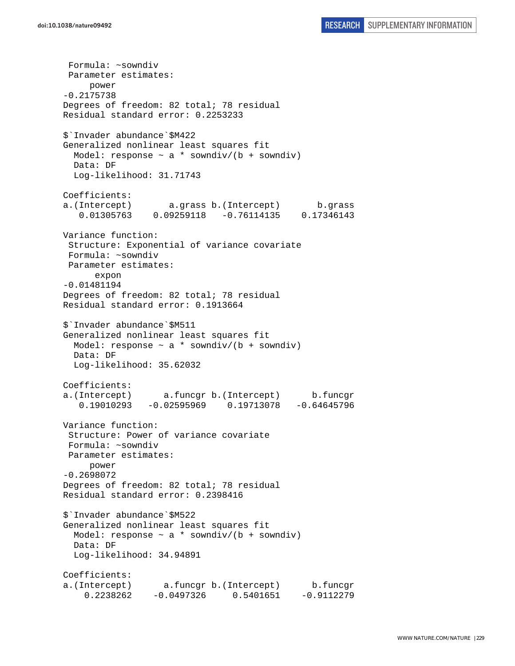Formula: ~sowndiv Parameter estimates: power -0.2175738 Degrees of freedom: 82 total; 78 residual Residual standard error: 0.2253233 \$`Invader abundance`\$M422 Generalized nonlinear least squares fit Model: response  $\sim$  a \* sowndiv/(b + sowndiv) Data: DF Log-likelihood: 31.71743 Coefficients: a.(Intercept) a.grass b.(Intercept) b.grass 0.01305763 0.09259118 -0.76114135 0.17346143 Variance function: Structure: Exponential of variance covariate Formula: ~sowndiv Parameter estimates: expon -0.01481194 Degrees of freedom: 82 total; 78 residual Residual standard error: 0.1913664 \$`Invader abundance`\$M511 Generalized nonlinear least squares fit Model: response  $\sim$  a \* sowndiv/(b + sowndiv) Data: DF Log-likelihood: 35.62032 Coefficients: a.(Intercept) a.funcgr b.(Intercept) b.funcgr 0.19010293 -0.02595969 0.19713078 -0.64645796 Variance function: Structure: Power of variance covariate Formula: ~sowndiv Parameter estimates: power -0.2698072 Degrees of freedom: 82 total; 78 residual Residual standard error: 0.2398416 \$`Invader abundance`\$M522 Generalized nonlinear least squares fit Model: response  $\sim$  a \* sowndiv/(b + sowndiv) Data: DF Log-likelihood: 34.94891 Coefficients: a.(Intercept) a.funcgr b.(Intercept) b.funcgr 0.2238262 -0.0497326 0.5401651 -0.9112279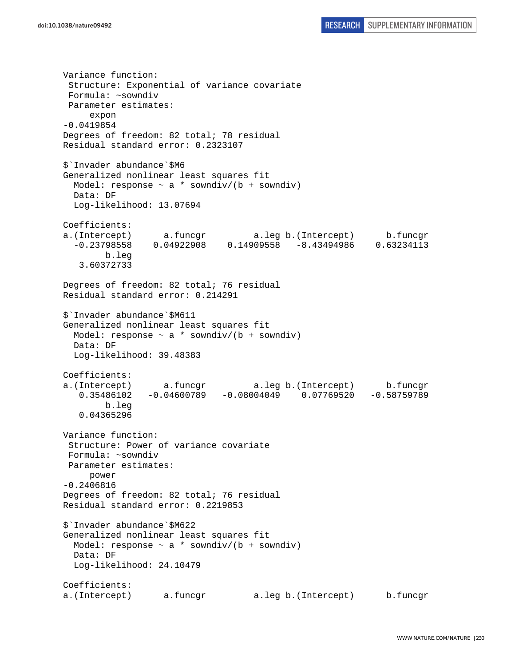Variance function: Structure: Exponential of variance covariate Formula: ~sowndiv Parameter estimates: expon -0.0419854 Degrees of freedom: 82 total; 78 residual Residual standard error: 0.2323107 \$`Invader abundance`\$M6 Generalized nonlinear least squares fit Model: response  $\sim$  a \* sowndiv/(b + sowndiv) Data: DF Log-likelihood: 13.07694 Coefficients: a.(Intercept) a.funcgr a.leg b.(Intercept) b.funcgr -0.23798558 0.04922908 0.14909558 -8.43494986 0.63234113 b.leg 3.60372733 Degrees of freedom: 82 total; 76 residual Residual standard error: 0.214291 \$`Invader abundance`\$M611 Generalized nonlinear least squares fit Model: response  $\sim$  a \* sowndiv/(b + sowndiv) Data: DF Log-likelihood: 39.48383 Coefficients: a.(Intercept) a.funcgr a.leg b.(Intercept) b.funcgr 0.35486102 -0.04600789 -0.08004049 0.07769520 -0.58759789 b.leg 0.04365296 Variance function: Structure: Power of variance covariate Formula: ~sowndiv Parameter estimates: power -0.2406816 Degrees of freedom: 82 total; 76 residual Residual standard error: 0.2219853 \$`Invader abundance`\$M622 Generalized nonlinear least squares fit Model: response  $\sim$  a \* sowndiv/(b + sowndiv) Data: DF Log-likelihood: 24.10479 Coefficients: a.(Intercept) a.funcgr a.leg b.(Intercept) b.funcgr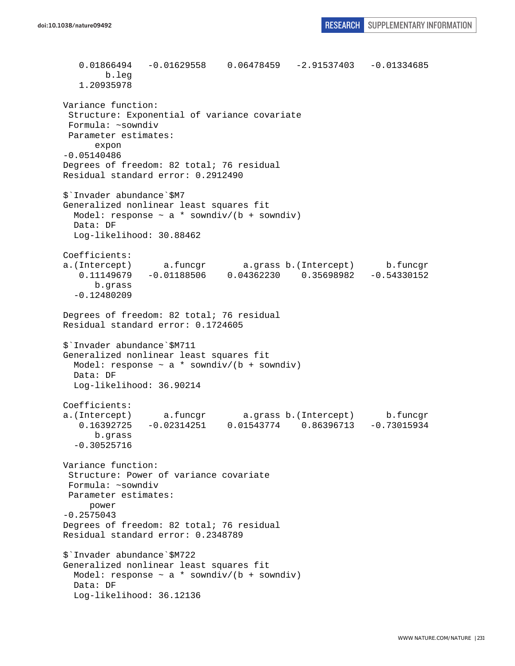0.01866494 -0.01629558 0.06478459 -2.91537403 -0.01334685 b.leg 1.20935978 Variance function: Structure: Exponential of variance covariate Formula: ~sowndiv Parameter estimates: expon -0.05140486 Degrees of freedom: 82 total; 76 residual Residual standard error: 0.2912490 \$`Invader abundance`\$M7 Generalized nonlinear least squares fit Model: response  $\sim$  a \* sowndiv/(b + sowndiv) Data: DF Log-likelihood: 30.88462 Coefficients: a.(Intercept) a.funcgr a.grass b.(Intercept) b.funcgr 0.11149679 -0.01188506 0.04362230 0.35698982 -0.54330152 b.grass -0.12480209 Degrees of freedom: 82 total; 76 residual Residual standard error: 0.1724605 \$`Invader abundance`\$M711 Generalized nonlinear least squares fit Model: response  $\sim$  a  $*$  sowndiv/(b + sowndiv) Data: DF Log-likelihood: 36.90214 Coefficients: a.(Intercept) a.funcgr a.grass b.(Intercept) b.funcgr 0.16392725 -0.02314251 0.01543774 0.86396713 -0.73015934 b.grass -0.30525716 Variance function: Structure: Power of variance covariate Formula: ~sowndiv Parameter estimates: power -0.2575043 Degrees of freedom: 82 total; 76 residual Residual standard error: 0.2348789 \$`Invader abundance`\$M722 Generalized nonlinear least squares fit Model: response  $\sim$  a  $*$  sowndiv/(b + sowndiv) Data: DF Log-likelihood: 36.12136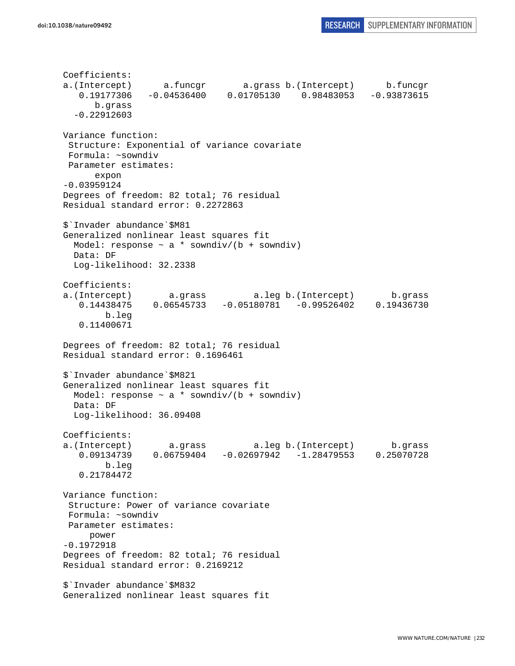```
Coefficients: 
a.(Intercept) a.funcgr a.grass b.(Intercept) b.funcgr 
    0.19177306 -0.04536400 0.01705130 0.98483053 -0.93873615 
       b.grass 
   -0.22912603 
Variance function: 
  Structure: Exponential of variance covariate 
  Formula: ~sowndiv 
 Parameter estimates: 
       expon 
-0.03959124 
Degrees of freedom: 82 total; 76 residual 
Residual standard error: 0.2272863 
$`Invader abundance`$M81 
Generalized nonlinear least squares fit 
 Model: response \sim a * sowndiv/(b + sowndiv)
  Data: DF 
   Log-likelihood: 32.2338 
Coefficients: 
a.(Intercept) a.grass a.leg b.(Intercept) b.grass 
    0.14438475 0.06545733 -0.05180781 -0.99526402 0.19436730 
         b.leg 
    0.11400671 
Degrees of freedom: 82 total; 76 residual 
Residual standard error: 0.1696461 
$`Invader abundance`$M821 
Generalized nonlinear least squares fit 
 Model: response \sim a * sowndiv/(b + sowndiv)
  Data: DF 
  Log-likelihood: 36.09408 
Coefficients: 
a.(Intercept) a.grass a.leg b.(Intercept) b.grass 
    0.09134739 0.06759404 -0.02697942 -1.28479553 0.25070728 
         b.leg 
    0.21784472 
Variance function: 
  Structure: Power of variance covariate 
 Formula: ~sowndiv 
 Parameter estimates: 
     power 
-0.1972918 
Degrees of freedom: 82 total; 76 residual 
Residual standard error: 0.2169212 
$`Invader abundance`$M832 
Generalized nonlinear least squares fit
```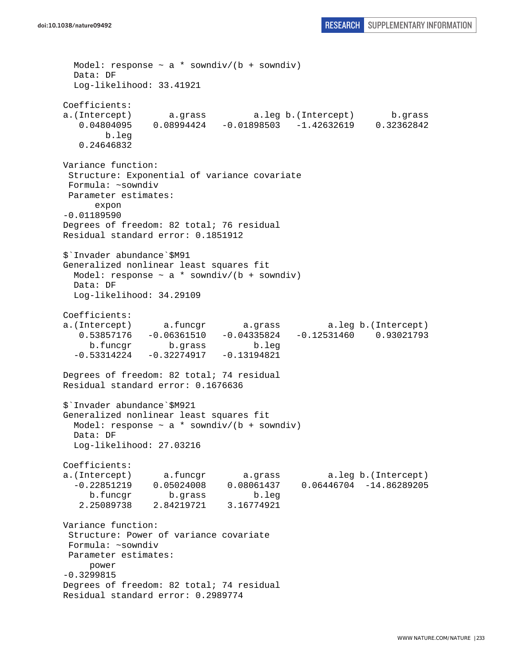```
Model: response \sim a * sowndiv/(b + sowndiv)
  Data: DF 
  Log-likelihood: 33.41921 
Coefficients: 
a.(Intercept) a.grass a.leg b.(Intercept) b.grass 
    0.04804095 0.08994424 -0.01898503 -1.42632619 0.32362842 
        b.leg 
    0.24646832 
Variance function: 
  Structure: Exponential of variance covariate 
 Formula: ~sowndiv 
 Parameter estimates: 
      expon 
-0.01189590 
Degrees of freedom: 82 total; 76 residual 
Residual standard error: 0.1851912 
$`Invader abundance`$M91 
Generalized nonlinear least squares fit 
 Model: response \sim a * sowndiv/(b + sowndiv)
  Data: DF 
  Log-likelihood: 34.29109 
Coefficients: 
a.(Intercept) a.funcgr a.grass a.leg b.(Intercept) 
    0.53857176 -0.06361510 -0.04335824 -0.12531460 0.93021793 
     b.funcgr b.grass b.leg 
 -0.53314224 -0.32274917 -0.13194821Degrees of freedom: 82 total; 74 residual 
Residual standard error: 0.1676636 
$`Invader abundance`$M921 
Generalized nonlinear least squares fit 
 Model: response \sim a * sowndiv/(b + sowndiv)
  Data: DF 
  Log-likelihood: 27.03216 
Coefficients: 
a.(Intercept) a.funcgr a.grass a.leg b.(Intercept) 
   -0.22851219 0.05024008 0.08061437 0.06446704 -14.86289205 
     b.funcgr b.grass b.leg 
    2.25089738 2.84219721 3.16774921 
Variance function: 
  Structure: Power of variance covariate 
 Formula: ~sowndiv 
 Parameter estimates: 
     power 
-0.3299815 
Degrees of freedom: 82 total; 74 residual 
Residual standard error: 0.2989774
```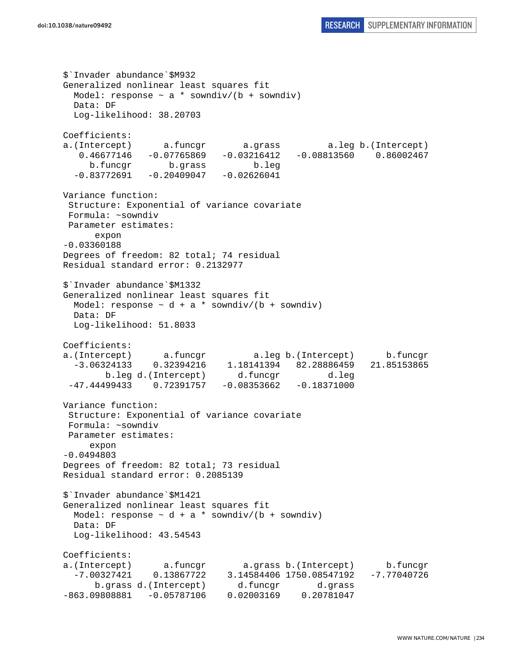\$`Invader abundance`\$M932 Generalized nonlinear least squares fit Model: response  $\sim$  a  $*$  sowndiv/(b + sowndiv) Data: DF Log-likelihood: 38.20703 Coefficients: a.(Intercept) a.funcgr a.grass a.leg b.(Intercept) 0.46677146 -0.07765869 -0.03216412 -0.08813560 0.86002467 b.funcgr b.grass b.leg  $-0.83772691 -0.20409047 -0.02626041$ Variance function: Structure: Exponential of variance covariate Formula: ~sowndiv Parameter estimates: expon -0.03360188 Degrees of freedom: 82 total; 74 residual Residual standard error: 0.2132977 \$`Invader abundance`\$M1332 Generalized nonlinear least squares fit Model: response  $\sim d + a *$  sowndiv/(b + sowndiv) Data: DF Log-likelihood: 51.8033 Coefficients: a.(Intercept) a.funcgr a.leg b.(Intercept) b.funcgr -3.06324133 0.32394216 1.18141394 82.28886459 21.85153865 b.leg d.(Intercept) d.funcgr d.leg  $-47.44499433$  0.72391757  $-0.08353662$   $-0.18371000$ Variance function: Structure: Exponential of variance covariate Formula: ~sowndiv Parameter estimates: expon -0.0494803 Degrees of freedom: 82 total; 73 residual Residual standard error: 0.2085139 \$`Invader abundance`\$M1421 Generalized nonlinear least squares fit Model: response  $\sim d + a *$  sowndiv/(b + sowndiv) Data: DF Log-likelihood: 43.54543 Coefficients: a.(Intercept) a.funcgr a.grass b.(Intercept) b.funcgr -7.00327421 0.13867722 3.14584406 1750.08547192 -7.77040726 b.grass d.(Intercept) d.funcgr d.grass -863.09808881 -0.05787106 0.02003169 0.20781047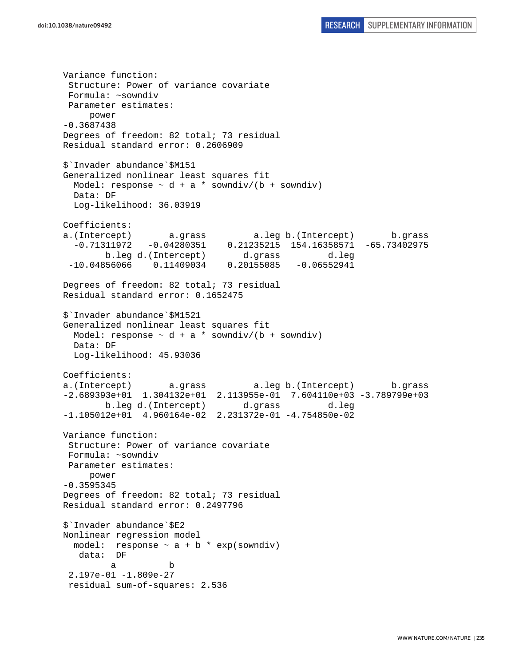Variance function: Structure: Power of variance covariate Formula: ~sowndiv Parameter estimates: power -0.3687438 Degrees of freedom: 82 total; 73 residual Residual standard error: 0.2606909 \$`Invader abundance`\$M151 Generalized nonlinear least squares fit Model: response  $\sim d + a *$  sowndiv/(b + sowndiv) Data: DF Log-likelihood: 36.03919 Coefficients: a.(Intercept) a.grass a.leg b.(Intercept) b.grass -0.71311972 -0.04280351 0.21235215 154.16358571 -65.73402975 b.leg d.(Intercept) d.grass d.leg -10.04856066 0.11409034 0.20155085 -0.06552941 Degrees of freedom: 82 total; 73 residual Residual standard error: 0.1652475 \$`Invader abundance`\$M1521 Generalized nonlinear least squares fit Model: response  $\sim d + a *$  sowndiv/(b + sowndiv) Data: DF Log-likelihood: 45.93036 Coefficients: a.(Intercept) a.grass a.leg b.(Intercept) b.grass -2.689393e+01 1.304132e+01 2.113955e-01 7.604110e+03 -3.789799e+03 b.leg d.(Intercept) d.grass d.leg -1.105012e+01 4.960164e-02 2.231372e-01 -4.754850e-02 Variance function: Structure: Power of variance covariate Formula: ~sowndiv Parameter estimates: power -0.3595345 Degrees of freedom: 82 total; 73 residual Residual standard error: 0.2497796 \$`Invader abundance`\$E2 Nonlinear regression model model: response  $\sim$  a + b  $*$  exp(sowndiv) data: DF a b 2.197e-01 -1.809e-27 residual sum-of-squares: 2.536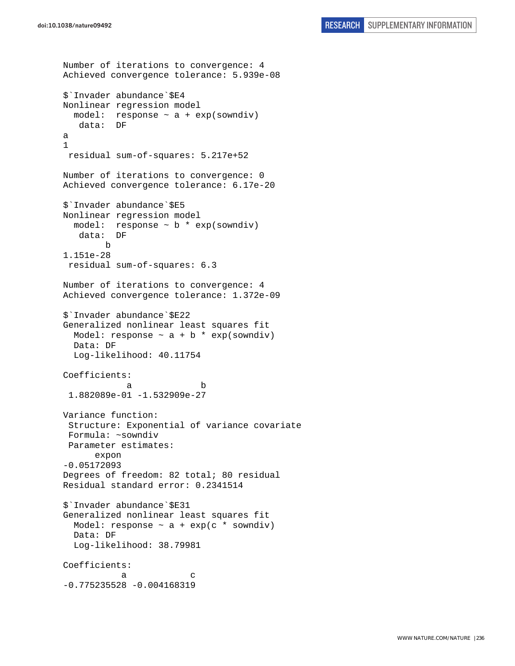```
Number of iterations to convergence: 4 
Achieved convergence tolerance: 5.939e-08 
$`Invader abundance`$E4 
Nonlinear regression model 
  model: response ~ a + exp(sowndiv) 
   data: DF 
a 
1 
 residual sum-of-squares: 5.217e+52 
Number of iterations to convergence: 0 
Achieved convergence tolerance: 6.17e-20 
$`Invader abundance`$E5 
Nonlinear regression model 
  model: response \sim b * exp(sowndiv)
    data: DF 
        b 
1.151e-28 
 residual sum-of-squares: 6.3 
Number of iterations to convergence: 4 
Achieved convergence tolerance: 1.372e-09 
$`Invader abundance`$E22 
Generalized nonlinear least squares fit 
 Model: response \sim a + b * exp(sowndiv)
  Data: DF 
   Log-likelihood: 40.11754 
Coefficients: 
 a b 
  1.882089e-01 -1.532909e-27 
Variance function: 
  Structure: Exponential of variance covariate 
 Formula: ~sowndiv 
 Parameter estimates: 
       expon 
-0.05172093 
Degrees of freedom: 82 total; 80 residual 
Residual standard error: 0.2341514 
$`Invader abundance`$E31 
Generalized nonlinear least squares fit 
 Model: response \sim a + exp(c * sowndiv)
  Data: DF 
   Log-likelihood: 38.79981 
Coefficients: 
a c
-0.775235528 -0.004168319
```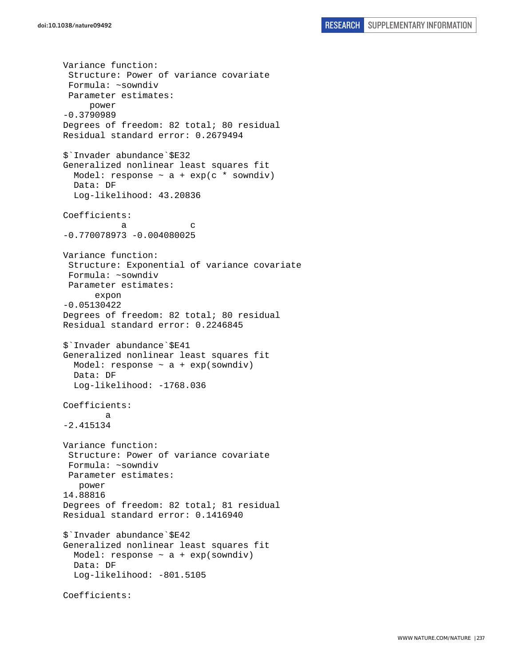Variance function: Structure: Power of variance covariate Formula: ~sowndiv Parameter estimates: power -0.3790989 Degrees of freedom: 82 total; 80 residual Residual standard error: 0.2679494 \$`Invader abundance`\$E32 Generalized nonlinear least squares fit Model: response  $\sim$  a + exp(c \* sowndiv) Data: DF Log-likelihood: 43.20836 Coefficients: a c -0.770078973 -0.004080025 Variance function: Structure: Exponential of variance covariate Formula: ~sowndiv Parameter estimates: expon -0.05130422 Degrees of freedom: 82 total; 80 residual Residual standard error: 0.2246845 \$`Invader abundance`\$E41 Generalized nonlinear least squares fit Model: response  $\sim$  a + exp(sowndiv) Data: DF Log-likelihood: -1768.036 Coefficients: a -2.415134 Variance function: Structure: Power of variance covariate Formula: ~sowndiv Parameter estimates: power 14.88816 Degrees of freedom: 82 total; 81 residual Residual standard error: 0.1416940 \$`Invader abundance`\$E42 Generalized nonlinear least squares fit Model: response  $\sim$  a + exp(sowndiv) Data: DF Log-likelihood: -801.5105 Coefficients: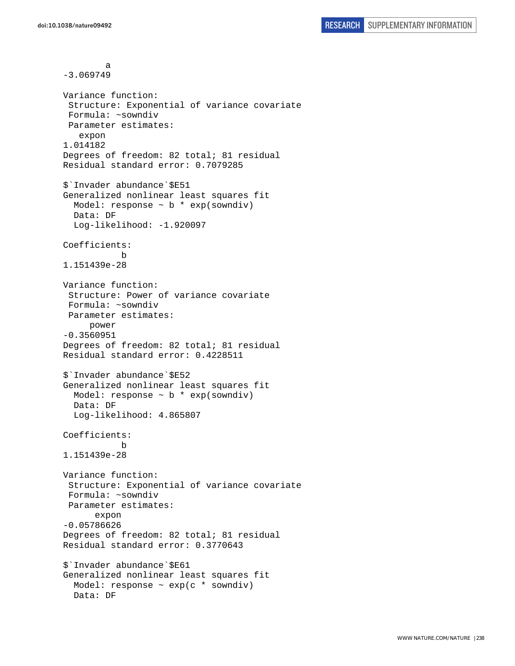a -3.069749 Variance function: Structure: Exponential of variance covariate Formula: ~sowndiv Parameter estimates: expon 1.014182 Degrees of freedom: 82 total; 81 residual Residual standard error: 0.7079285 \$`Invader abundance`\$E51 Generalized nonlinear least squares fit Model: response  $\sim$  b  $*$  exp(sowndiv) Data: DF Log-likelihood: -1.920097 Coefficients: b 1.151439e-28 Variance function: Structure: Power of variance covariate Formula: ~sowndiv Parameter estimates: power -0.3560951 Degrees of freedom: 82 total; 81 residual Residual standard error: 0.4228511 \$`Invader abundance`\$E52 Generalized nonlinear least squares fit Model: response  $\sim$  b  $*$  exp(sowndiv) Data: DF Log-likelihood: 4.865807 Coefficients: b 1.151439e-28 Variance function: Structure: Exponential of variance covariate Formula: ~sowndiv Parameter estimates: expon -0.05786626 Degrees of freedom: 82 total; 81 residual Residual standard error: 0.3770643 \$`Invader abundance`\$E61 Generalized nonlinear least squares fit Model: response ~ exp(c \* sowndiv) Data: DF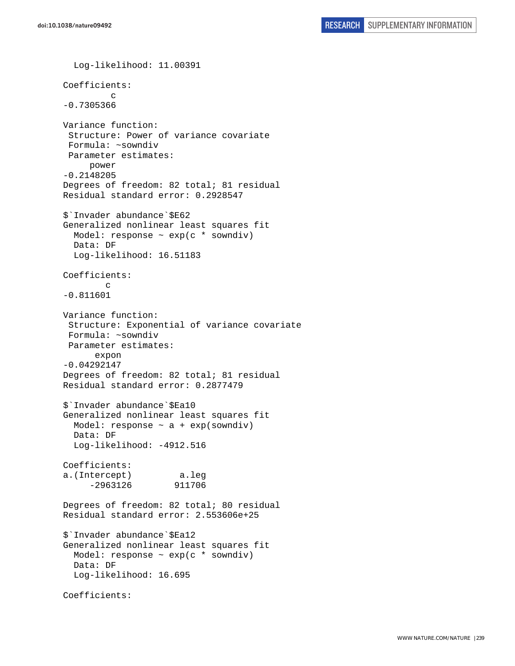```
 Log-likelihood: 11.00391 
Coefficients: 
 c 
-0.7305366 
Variance function: 
  Structure: Power of variance covariate 
  Formula: ~sowndiv 
 Parameter estimates: 
      power 
-0.2148205 
Degrees of freedom: 82 total; 81 residual 
Residual standard error: 0.2928547 
$`Invader abundance`$E62 
Generalized nonlinear least squares fit 
  Model: response \sim exp(c * sowndiv)
   Data: DF 
   Log-likelihood: 16.51183 
Coefficients: 
 c 
-0.811601 
Variance function: 
  Structure: Exponential of variance covariate 
  Formula: ~sowndiv 
 Parameter estimates: 
       expon 
-0.04292147 
Degrees of freedom: 82 total; 81 residual 
Residual standard error: 0.2877479 
$`Invader abundance`$Ea10 
Generalized nonlinear least squares fit 
   Model: response ~ a + exp(sowndiv) 
   Data: DF 
   Log-likelihood: -4912.516 
Coefficients: 
a.(Intercept) a.leg 
      -2963126 911706 
Degrees of freedom: 82 total; 80 residual 
Residual standard error: 2.553606e+25 
$`Invader abundance`$Ea12 
Generalized nonlinear least squares fit 
   Model: response ~ exp(c * sowndiv) 
   Data: DF 
   Log-likelihood: 16.695 
Coefficients:
```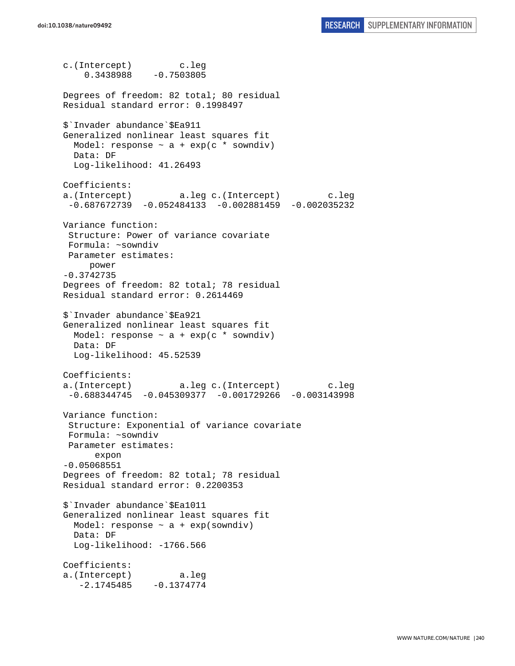c.(Intercept) c.leg  $0.3438988 - 0.7503805$ Degrees of freedom: 82 total; 80 residual Residual standard error: 0.1998497 \$`Invader abundance`\$Ea911 Generalized nonlinear least squares fit Model: response  $\sim$  a + exp(c \* sowndiv) Data: DF Log-likelihood: 41.26493 Coefficients: a.(Intercept) a.leg c.(Intercept) c.leg -0.687672739 -0.052484133 -0.002881459 -0.002035232 Variance function: Structure: Power of variance covariate Formula: ~sowndiv Parameter estimates: power -0.3742735 Degrees of freedom: 82 total; 78 residual Residual standard error: 0.2614469 \$`Invader abundance`\$Ea921 Generalized nonlinear least squares fit Model: response  $\sim$  a + exp(c \* sowndiv) Data: DF Log-likelihood: 45.52539 Coefficients: a.(Intercept) a.leg c.(Intercept) c.leg  $-0.688344745 -0.045309377 -0.001729266 -0.003143998$ Variance function: Structure: Exponential of variance covariate Formula: ~sowndiv Parameter estimates: expon -0.05068551 Degrees of freedom: 82 total; 78 residual Residual standard error: 0.2200353 \$`Invader abundance`\$Ea1011 Generalized nonlinear least squares fit Model: response  $\sim$  a + exp(sowndiv) Data: DF Log-likelihood: -1766.566 Coefficients: a.(Intercept) a.leg  $-2.1745485 - 0.1374774$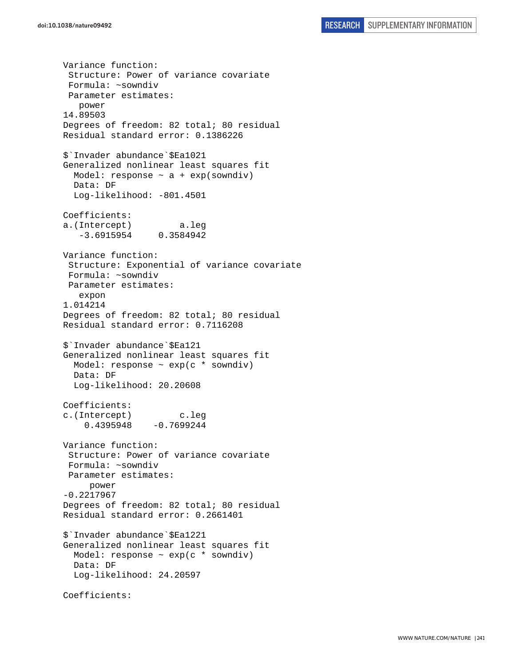Variance function: Structure: Power of variance covariate Formula: ~sowndiv Parameter estimates: power 14.89503 Degrees of freedom: 82 total; 80 residual Residual standard error: 0.1386226 \$`Invader abundance`\$Ea1021 Generalized nonlinear least squares fit Model: response  $\sim$  a + exp(sowndiv) Data: DF Log-likelihood: -801.4501 Coefficients: a.(Intercept) a.leg -3.6915954 0.3584942 Variance function: Structure: Exponential of variance covariate Formula: ~sowndiv Parameter estimates: expon 1.014214 Degrees of freedom: 82 total; 80 residual Residual standard error: 0.7116208 \$`Invader abundance`\$Ea121 Generalized nonlinear least squares fit Model: response  $\sim$  exp(c  $*$  sowndiv) Data: DF Log-likelihood: 20.20608 Coefficients: c.(Intercept) c.leg  $0.4395948 - 0.7699244$ Variance function: Structure: Power of variance covariate Formula: ~sowndiv Parameter estimates: power -0.2217967 Degrees of freedom: 82 total; 80 residual Residual standard error: 0.2661401 \$`Invader abundance`\$Ea1221 Generalized nonlinear least squares fit Model: response ~ exp(c \* sowndiv) Data: DF Log-likelihood: 24.20597 Coefficients: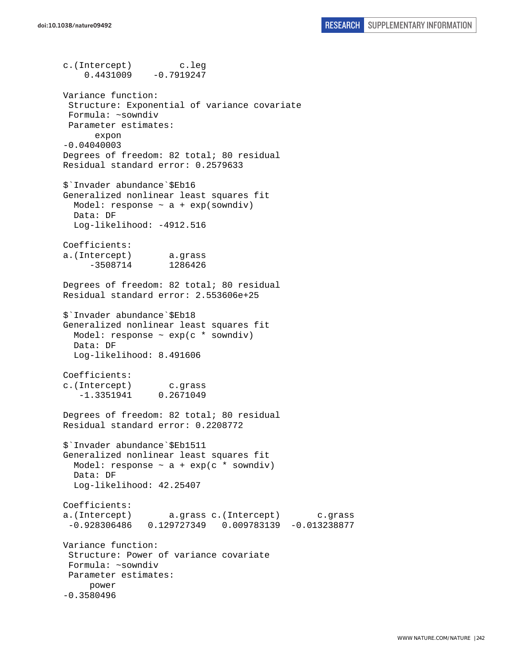c.(Intercept) c.leg  $0.4431009 -0.7919247$ Variance function: Structure: Exponential of variance covariate Formula: ~sowndiv Parameter estimates: expon -0.04040003 Degrees of freedom: 82 total; 80 residual Residual standard error: 0.2579633 \$`Invader abundance`\$Eb16 Generalized nonlinear least squares fit Model: response  $\sim$  a + exp(sowndiv) Data: DF Log-likelihood: -4912.516 Coefficients: a.(Intercept) a.grass -3508714 1286426 Degrees of freedom: 82 total; 80 residual Residual standard error: 2.553606e+25 \$`Invader abundance`\$Eb18 Generalized nonlinear least squares fit Model: response ~ exp(c \* sowndiv) Data: DF Log-likelihood: 8.491606 Coefficients: c.(Intercept) c.grass -1.3351941 0.2671049 Degrees of freedom: 82 total; 80 residual Residual standard error: 0.2208772 \$`Invader abundance`\$Eb1511 Generalized nonlinear least squares fit Model: response  $\sim$  a + exp(c \* sowndiv) Data: DF Log-likelihood: 42.25407 Coefficients: a.(Intercept) a.grass c.(Intercept) c.grass -0.928306486 0.129727349 0.009783139 -0.013238877 Variance function: Structure: Power of variance covariate Formula: ~sowndiv Parameter estimates: power -0.3580496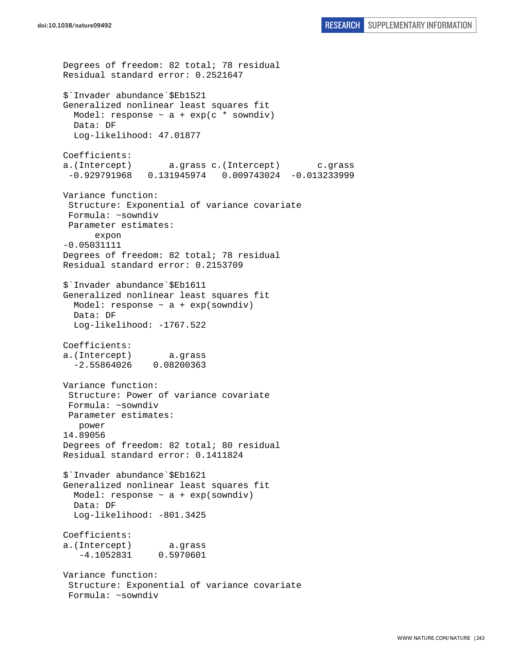```
Degrees of freedom: 82 total; 78 residual 
Residual standard error: 0.2521647 
$`Invader abundance`$Eb1521 
Generalized nonlinear least squares fit 
  Model: response \sim a + exp(c * sowndiv)
  Data: DF 
  Log-likelihood: 47.01877 
Coefficients: 
a.(Intercept) a.grass c.(Intercept) c.grass 
  -0.929791968 0.131945974 0.009743024 -0.013233999 
Variance function: 
  Structure: Exponential of variance covariate 
 Formula: ~sowndiv 
 Parameter estimates: 
       expon 
-0.05031111 
Degrees of freedom: 82 total; 78 residual 
Residual standard error: 0.2153709 
$`Invader abundance`$Eb1611 
Generalized nonlinear least squares fit 
  Model: response \sim a + exp(sowndiv)
   Data: DF 
   Log-likelihood: -1767.522 
Coefficients: 
a.(Intercept) a.grass 
   -2.55864026 0.08200363 
Variance function: 
  Structure: Power of variance covariate 
 Formula: ~sowndiv 
 Parameter estimates: 
    power 
14.89056 
Degrees of freedom: 82 total; 80 residual 
Residual standard error: 0.1411824 
$`Invader abundance`$Eb1621 
Generalized nonlinear least squares fit 
 Model: response \sim a + exp(sowndiv)
   Data: DF 
   Log-likelihood: -801.3425 
Coefficients: 
a.(Intercept) a.grass 
    -4.1052831 0.5970601 
Variance function: 
  Structure: Exponential of variance covariate 
  Formula: ~sowndiv
```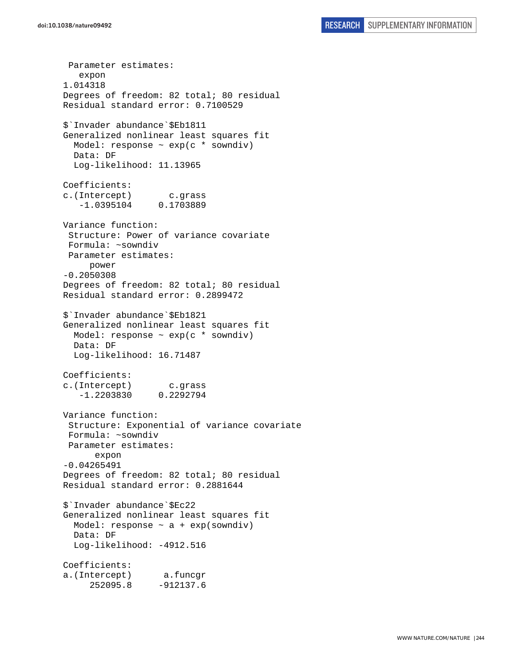Parameter estimates: expon 1.014318 Degrees of freedom: 82 total; 80 residual Residual standard error: 0.7100529 \$`Invader abundance`\$Eb1811 Generalized nonlinear least squares fit Model: response  $\sim$  exp(c  $*$  sowndiv) Data: DF Log-likelihood: 11.13965 Coefficients: c.(Intercept) c.grass -1.0395104 0.1703889 Variance function: Structure: Power of variance covariate Formula: ~sowndiv Parameter estimates: power -0.2050308 Degrees of freedom: 82 total; 80 residual Residual standard error: 0.2899472 \$`Invader abundance`\$Eb1821 Generalized nonlinear least squares fit Model: response ~ exp(c \* sowndiv) Data: DF Log-likelihood: 16.71487 Coefficients: c.(Intercept) c.grass -1.2203830 0.2292794 Variance function: Structure: Exponential of variance covariate Formula: ~sowndiv Parameter estimates: expon -0.04265491 Degrees of freedom: 82 total; 80 residual Residual standard error: 0.2881644 \$`Invader abundance`\$Ec22 Generalized nonlinear least squares fit Model: response  $\sim$  a + exp(sowndiv) Data: DF Log-likelihood: -4912.516 Coefficients: a.(Intercept) a.funcgr 252095.8 -912137.6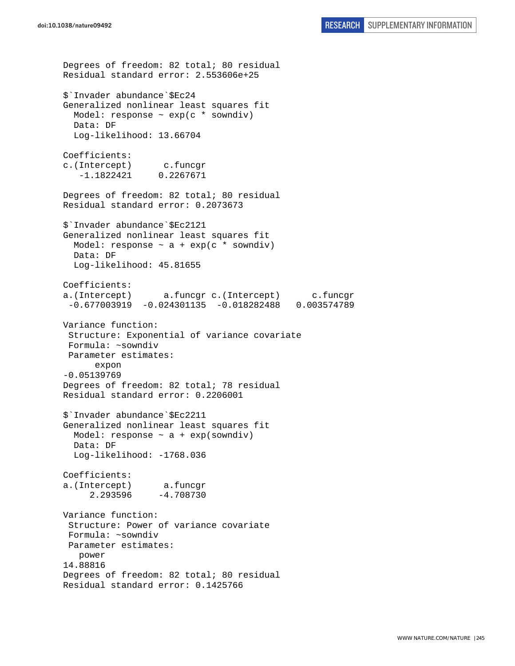Degrees of freedom: 82 total; 80 residual Residual standard error: 2.553606e+25 \$`Invader abundance`\$Ec24 Generalized nonlinear least squares fit Model: response  $\sim$  exp(c  $*$  sowndiv) Data: DF Log-likelihood: 13.66704 Coefficients: c.(Intercept) c.funcgr -1.1822421 0.2267671 Degrees of freedom: 82 total; 80 residual Residual standard error: 0.2073673 \$`Invader abundance`\$Ec2121 Generalized nonlinear least squares fit Model: response  $\sim$  a + exp(c \* sowndiv) Data: DF Log-likelihood: 45.81655 Coefficients: a.(Intercept) a.funcgr c.(Intercept) c.funcgr -0.677003919 -0.024301135 -0.018282488 0.003574789 Variance function: Structure: Exponential of variance covariate Formula: ~sowndiv Parameter estimates: expon -0.05139769 Degrees of freedom: 82 total; 78 residual Residual standard error: 0.2206001 \$`Invader abundance`\$Ec2211 Generalized nonlinear least squares fit Model: response  $\sim$  a + exp(sowndiv) Data: DF Log-likelihood: -1768.036 Coefficients: a.(Intercept) a.funcgr 2.293596 -4.708730 Variance function: Structure: Power of variance covariate Formula: ~sowndiv Parameter estimates: power 14.88816 Degrees of freedom: 82 total; 80 residual Residual standard error: 0.1425766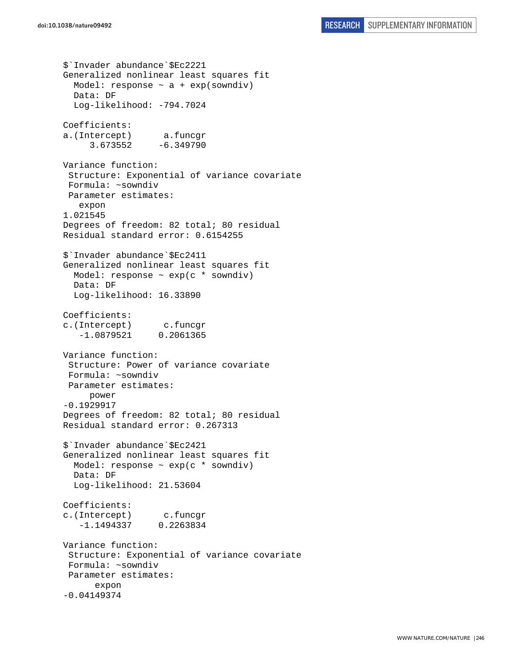```
$`Invader abundance`$Ec2221 
Generalized nonlinear least squares fit 
  Model: response \sim a + exp(sowndiv)
   Data: DF 
   Log-likelihood: -794.7024 
Coefficients: 
a.(Intercept) a.funcgr 
      3.673552 -6.349790 
Variance function: 
  Structure: Exponential of variance covariate 
  Formula: ~sowndiv 
 Parameter estimates: 
    expon 
1.021545 
Degrees of freedom: 82 total; 80 residual 
Residual standard error: 0.6154255 
$`Invader abundance`$Ec2411 
Generalized nonlinear least squares fit 
  Model: response \sim exp(c * sowndiv)
   Data: DF 
   Log-likelihood: 16.33890 
Coefficients: 
c.(Intercept) c.funcgr 
    -1.0879521 0.2061365 
Variance function: 
  Structure: Power of variance covariate 
  Formula: ~sowndiv 
 Parameter estimates: 
      power 
-0.1929917 
Degrees of freedom: 82 total; 80 residual 
Residual standard error: 0.267313 
$`Invader abundance`$Ec2421 
Generalized nonlinear least squares fit 
  Model: response \sim exp(c * sowndiv)
   Data: DF 
   Log-likelihood: 21.53604 
Coefficients: 
c.(Intercept) c.funcgr 
    -1.1494337 0.2263834 
Variance function: 
  Structure: Exponential of variance covariate 
  Formula: ~sowndiv 
 Parameter estimates: 
       expon 
-0.04149374
```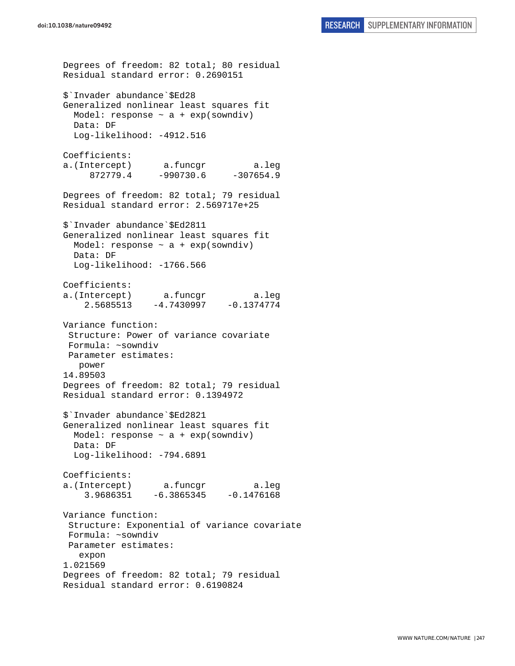Degrees of freedom: 82 total; 80 residual Residual standard error: 0.2690151 \$`Invader abundance`\$Ed28 Generalized nonlinear least squares fit Model: response  $\sim$  a + exp(sowndiv) Data: DF Log-likelihood: -4912.516 Coefficients: a.(Intercept) a.funcgr a.leg 872779.4 -990730.6 -307654.9 Degrees of freedom: 82 total; 79 residual Residual standard error: 2.569717e+25 \$`Invader abundance`\$Ed2811 Generalized nonlinear least squares fit Model: response  $\sim$  a + exp(sowndiv) Data: DF Log-likelihood: -1766.566 Coefficients: a.(Intercept) a.funcgr a.leg 2.5685513 -4.7430997 -0.1374774 Variance function: Structure: Power of variance covariate Formula: ~sowndiv Parameter estimates: power 14.89503 Degrees of freedom: 82 total; 79 residual Residual standard error: 0.1394972 \$`Invader abundance`\$Ed2821 Generalized nonlinear least squares fit Model: response  $\sim$  a + exp(sowndiv) Data: DF Log-likelihood: -794.6891 Coefficients: a.(Intercept) a.funcgr a.leg 3.9686351 -6.3865345 -0.1476168 Variance function: Structure: Exponential of variance covariate Formula: ~sowndiv Parameter estimates: expon 1.021569 Degrees of freedom: 82 total; 79 residual Residual standard error: 0.6190824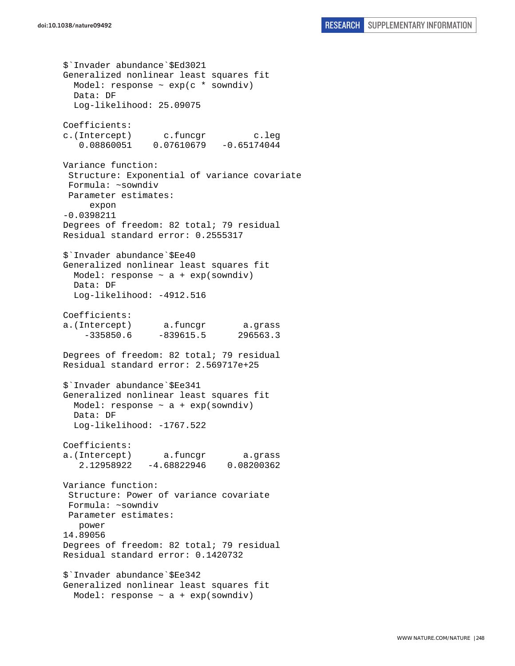```
$`Invader abundance`$Ed3021 
Generalized nonlinear least squares fit 
  Model: response \sim exp(c * sowndiv)
   Data: DF 
   Log-likelihood: 25.09075 
Coefficients: 
c.(Intercept) c.funcgr c.leg 
    0.08860051 0.07610679 -0.65174044 
Variance function: 
  Structure: Exponential of variance covariate 
 Formula: ~sowndiv 
 Parameter estimates: 
      expon 
-0.0398211 
Degrees of freedom: 82 total; 79 residual 
Residual standard error: 0.2555317 
$`Invader abundance`$Ee40 
Generalized nonlinear least squares fit 
  Model: response ~ a + exp(sowndiv) 
  Data: DF 
  Log-likelihood: -4912.516 
Coefficients: 
a.(Intercept) a.funcgr a.grass 
     -335850.6 -839615.5 296563.3 
Degrees of freedom: 82 total; 79 residual 
Residual standard error: 2.569717e+25 
$`Invader abundance`$Ee341 
Generalized nonlinear least squares fit 
 Model: response \sim a + exp(sowndiv)
  Data: DF 
   Log-likelihood: -1767.522 
Coefficients: 
a.(Intercept) a.funcgr a.grass 
    2.12958922 -4.68822946 0.08200362 
Variance function: 
  Structure: Power of variance covariate 
 Formula: ~sowndiv 
 Parameter estimates: 
   power 
14.89056 
Degrees of freedom: 82 total; 79 residual 
Residual standard error: 0.1420732 
$`Invader abundance`$Ee342 
Generalized nonlinear least squares fit 
  Model: response \sim a + exp(sowndiv)
```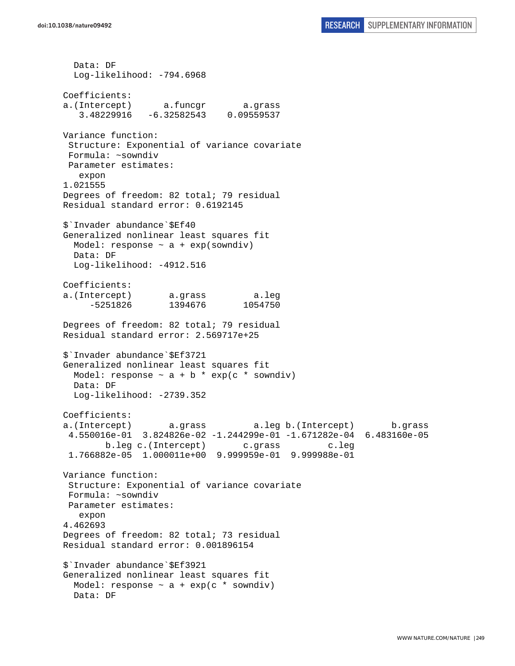Data: DF Log-likelihood: -794.6968 Coefficients: a.(Intercept) a.funcgr a.grass 3.48229916 -6.32582543 0.09559537 Variance function: Structure: Exponential of variance covariate Formula: ~sowndiv Parameter estimates: expon 1.021555 Degrees of freedom: 82 total; 79 residual Residual standard error: 0.6192145 \$`Invader abundance`\$Ef40 Generalized nonlinear least squares fit Model: response  $\sim$  a + exp(sowndiv) Data: DF Log-likelihood: -4912.516 Coefficients: a.(Intercept) a.grass a.leg -5251826 1394676 1054750 Degrees of freedom: 82 total; 79 residual Residual standard error: 2.569717e+25 \$`Invader abundance`\$Ef3721 Generalized nonlinear least squares fit Model: response  $\sim$  a + b \* exp(c \* sowndiv) Data: DF Log-likelihood: -2739.352 Coefficients: a.(Intercept) a.grass a.leg b.(Intercept) b.grass 4.550016e-01 3.824826e-02 -1.244299e-01 -1.671282e-04 6.483160e-05 b.leg c.(Intercept) c.grass c.leg 1.766882e-05 1.000011e+00 9.999959e-01 9.999988e-01 Variance function: Structure: Exponential of variance covariate Formula: ~sowndiv Parameter estimates: expon 4.462693 Degrees of freedom: 82 total; 73 residual Residual standard error: 0.001896154 \$`Invader abundance`\$Ef3921 Generalized nonlinear least squares fit Model: response  $\sim$  a + exp(c \* sowndiv) Data: DF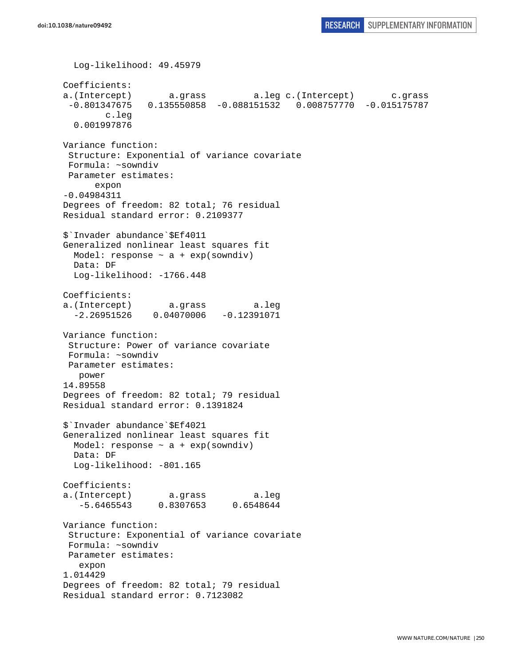```
 Log-likelihood: 49.45979 
Coefficients: 
a.(Intercept) a.grass a.leg c.(Intercept) c.grass 
  -0.801347675 0.135550858 -0.088151532 0.008757770 -0.015175787 
         c.leg 
   0.001997876 
Variance function: 
  Structure: Exponential of variance covariate 
 Formula: ~sowndiv 
 Parameter estimates: 
       expon 
-0.04984311 
Degrees of freedom: 82 total; 76 residual 
Residual standard error: 0.2109377 
$`Invader abundance`$Ef4011 
Generalized nonlinear least squares fit 
 Model: response \sim a + exp(sowndiv)
  Data: DF 
 Log-likelihood: -1766.448
Coefficients: 
a.(Intercept) a.grass a.leg 
  -2.26951526 0.04070006 -0.12391071Variance function: 
  Structure: Power of variance covariate 
 Formula: ~sowndiv 
 Parameter estimates: 
   power 
14.89558 
Degrees of freedom: 82 total; 79 residual 
Residual standard error: 0.1391824 
$`Invader abundance`$Ef4021 
Generalized nonlinear least squares fit 
 Model: response \sim a + exp(sowndiv)
  Data: DF 
   Log-likelihood: -801.165 
Coefficients: 
a.(Intercept) a.grass a.leg 
    -5.6465543 0.8307653 0.6548644 
Variance function: 
  Structure: Exponential of variance covariate 
 Formula: ~sowndiv 
 Parameter estimates: 
    expon 
1.014429 
Degrees of freedom: 82 total; 79 residual 
Residual standard error: 0.7123082
```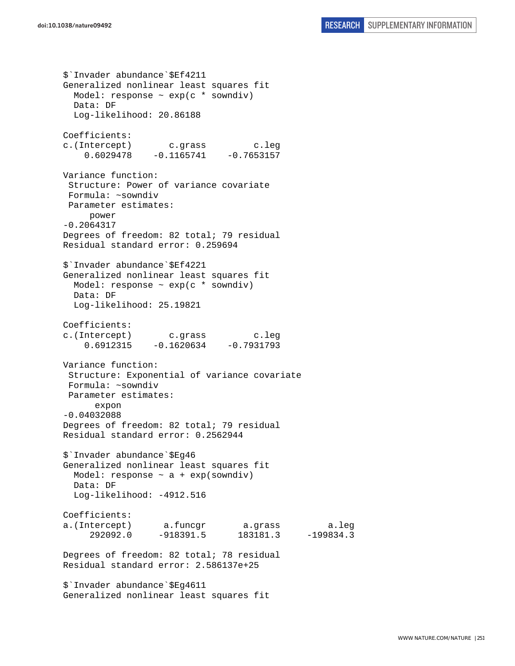\$`Invader abundance`\$Ef4211 Generalized nonlinear least squares fit Model: response  $\sim$  exp(c  $*$  sowndiv) Data: DF Log-likelihood: 20.86188 Coefficients: c.(Intercept) c.grass c.leg  $0.6029478 -0.1165741 -0.7653157$ Variance function: Structure: Power of variance covariate Formula: ~sowndiv Parameter estimates: power -0.2064317 Degrees of freedom: 82 total; 79 residual Residual standard error: 0.259694 \$`Invader abundance`\$Ef4221 Generalized nonlinear least squares fit Model: response ~ exp(c \* sowndiv) Data: DF Log-likelihood: 25.19821 Coefficients: c.(Intercept) c.grass c.leg  $0.6912315 -0.1620634 -0.7931793$ Variance function: Structure: Exponential of variance covariate Formula: ~sowndiv Parameter estimates: expon -0.04032088 Degrees of freedom: 82 total; 79 residual Residual standard error: 0.2562944 \$`Invader abundance`\$Eg46 Generalized nonlinear least squares fit Model: response  $\sim$  a + exp(sowndiv) Data: DF Log-likelihood: -4912.516 Coefficients: a.(Intercept) a.funcgr a.grass a.leg 292092.0 -918391.5 183181.3 -199834.3 Degrees of freedom: 82 total; 78 residual Residual standard error: 2.586137e+25 \$`Invader abundance`\$Eg4611 Generalized nonlinear least squares fit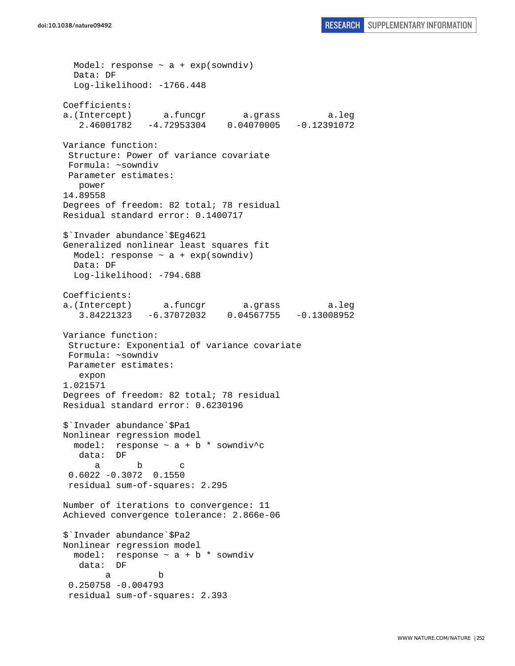Model: response  $\sim$  a + exp(sowndiv) Data: DF Log-likelihood: -1766.448 Coefficients: a.(Intercept) a.funcgr a.grass a.leg 2.46001782 -4.72953304 0.04070005 -0.12391072 Variance function: Structure: Power of variance covariate Formula: ~sowndiv Parameter estimates: power 14.89558 Degrees of freedom: 82 total; 78 residual Residual standard error: 0.1400717 \$`Invader abundance`\$Eg4621 Generalized nonlinear least squares fit Model: response  $\sim$  a + exp(sowndiv) Data: DF Log-likelihood: -794.688 Coefficients: a.(Intercept) a.funcgr a.grass a.leg 3.84221323 -6.37072032 0.04567755 -0.13008952 Variance function: Structure: Exponential of variance covariate Formula: ~sowndiv Parameter estimates: expon 1.021571 Degrees of freedom: 82 total; 78 residual Residual standard error: 0.6230196 \$`Invader abundance`\$Pa1 Nonlinear regression model model: response  $\sim$  a + b \* sowndiv^c data: DF a b c 0.6022 -0.3072 0.1550 residual sum-of-squares: 2.295 Number of iterations to convergence: 11 Achieved convergence tolerance: 2.866e-06 \$`Invader abundance`\$Pa2 Nonlinear regression model model: response  $\sim$  a + b  $*$  sowndiv data: DF a b 0.250758 -0.004793 residual sum-of-squares: 2.393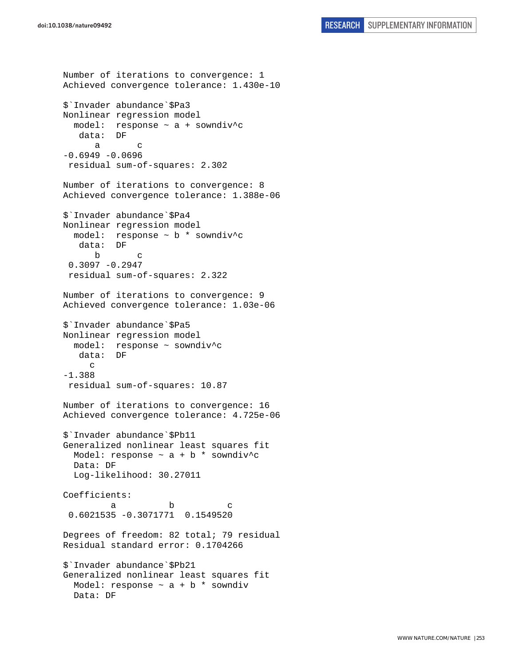Number of iterations to convergence: 1 Achieved convergence tolerance: 1.430e-10 \$`Invader abundance`\$Pa3 Nonlinear regression model model: response ~ a + sowndiv^c data: DF a c  $-0.6949 - 0.0696$  residual sum-of-squares: 2.302 Number of iterations to convergence: 8 Achieved convergence tolerance: 1.388e-06 \$`Invader abundance`\$Pa4 Nonlinear regression model model: response ~ b \* sowndiv^c data: DF b c  $0.3097 - 0.2947$  residual sum-of-squares: 2.322 Number of iterations to convergence: 9 Achieved convergence tolerance: 1.03e-06 \$`Invader abundance`\$Pa5 Nonlinear regression model model: response ~ sowndiv^c data: DF c -1.388 residual sum-of-squares: 10.87 Number of iterations to convergence: 16 Achieved convergence tolerance: 4.725e-06 \$`Invader abundance`\$Pb11 Generalized nonlinear least squares fit Model: response  $\sim$  a + b \* sowndiv<sup>^</sup>c Data: DF Log-likelihood: 30.27011 Coefficients: a b c 0.6021535 -0.3071771 0.1549520 Degrees of freedom: 82 total; 79 residual Residual standard error: 0.1704266 \$`Invader abundance`\$Pb21 Generalized nonlinear least squares fit Model: response  $\sim$  a + b \* sowndiv Data: DF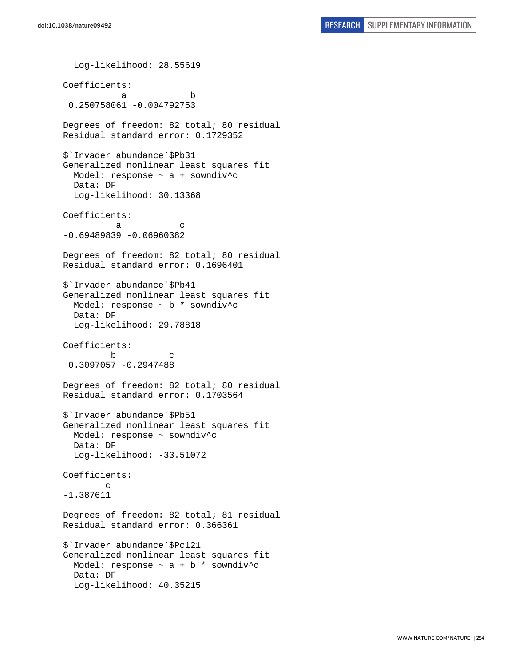Log-likelihood: 28.55619 Coefficients: a b 0.250758061 -0.004792753 Degrees of freedom: 82 total; 80 residual Residual standard error: 0.1729352 \$`Invader abundance`\$Pb31 Generalized nonlinear least squares fit Model: response ~ a + sowndiv^c Data: DF Log-likelihood: 30.13368 Coefficients: a c -0.69489839 -0.06960382 Degrees of freedom: 82 total; 80 residual Residual standard error: 0.1696401 \$`Invader abundance`\$Pb41 Generalized nonlinear least squares fit Model: response ~ b \* sowndiv^c Data: DF Log-likelihood: 29.78818 Coefficients: b c 0.3097057 -0.2947488 Degrees of freedom: 82 total; 80 residual Residual standard error: 0.1703564 \$`Invader abundance`\$Pb51 Generalized nonlinear least squares fit Model: response ~ sowndiv^c Data: DF Log-likelihood: -33.51072 Coefficients: c -1.387611 Degrees of freedom: 82 total; 81 residual Residual standard error: 0.366361 \$`Invader abundance`\$Pc121 Generalized nonlinear least squares fit Model: response  $\sim$  a + b  $*$  sowndiv<sup>^</sup>c Data: DF Log-likelihood: 40.35215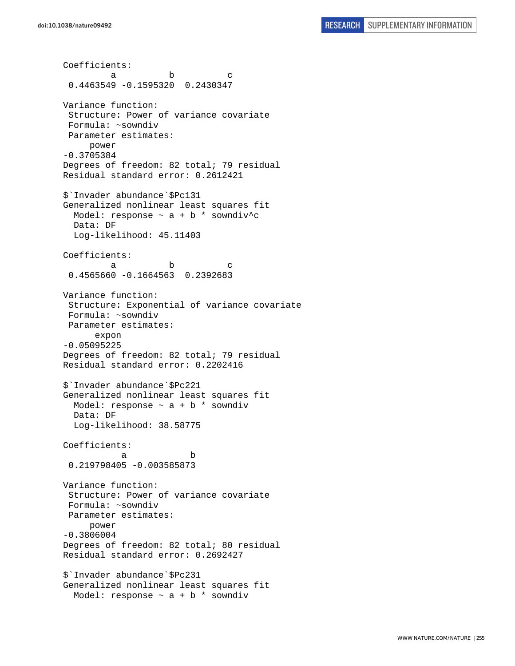Coefficients: a b c 0.4463549 -0.1595320 0.2430347 Variance function: Structure: Power of variance covariate Formula: ~sowndiv Parameter estimates: power -0.3705384 Degrees of freedom: 82 total; 79 residual Residual standard error: 0.2612421 \$`Invader abundance`\$Pc131 Generalized nonlinear least squares fit Model: response  $\sim$  a + b \* sowndiv^c Data: DF Log-likelihood: 45.11403 Coefficients: a b c 0.4565660 -0.1664563 0.2392683 Variance function: Structure: Exponential of variance covariate Formula: ~sowndiv Parameter estimates: expon -0.05095225 Degrees of freedom: 82 total; 79 residual Residual standard error: 0.2202416 \$`Invader abundance`\$Pc221 Generalized nonlinear least squares fit Model: response  $\sim$  a + b  $*$  sowndiv Data: DF Log-likelihood: 38.58775 Coefficients: a b 0.219798405 -0.003585873 Variance function: Structure: Power of variance covariate Formula: ~sowndiv Parameter estimates: power -0.3806004 Degrees of freedom: 82 total; 80 residual Residual standard error: 0.2692427 \$`Invader abundance`\$Pc231 Generalized nonlinear least squares fit Model: response  $\sim$  a + b \* sowndiv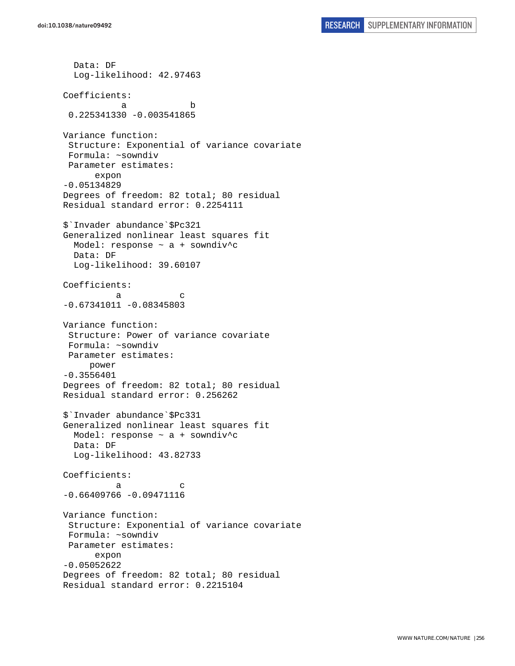```
 Data: DF 
   Log-likelihood: 42.97463 
Coefficients: 
 a b 
  0.225341330 -0.003541865 
Variance function: 
  Structure: Exponential of variance covariate 
 Formula: ~sowndiv 
 Parameter estimates: 
       expon 
-0.05134829 
Degrees of freedom: 82 total; 80 residual 
Residual standard error: 0.2254111 
$`Invader abundance`$Pc321 
Generalized nonlinear least squares fit 
  Model: response ~ a + sowndiv^c 
  Data: DF 
   Log-likelihood: 39.60107 
Coefficients: 
a c
-0.67341011 - 0.08345803Variance function: 
 Structure: Power of variance covariate 
 Formula: ~sowndiv 
 Parameter estimates: 
     power 
-0.3556401 
Degrees of freedom: 82 total; 80 residual 
Residual standard error: 0.256262 
$`Invader abundance`$Pc331 
Generalized nonlinear least squares fit 
 Model: response \sim a + sowndiv^c
  Data: DF 
  Log-likelihood: 43.82733 
Coefficients: 
a c
-0.66409766 -0.09471116Variance function: 
  Structure: Exponential of variance covariate 
 Formula: ~sowndiv 
 Parameter estimates: 
       expon 
-0.05052622 
Degrees of freedom: 82 total; 80 residual 
Residual standard error: 0.2215104
```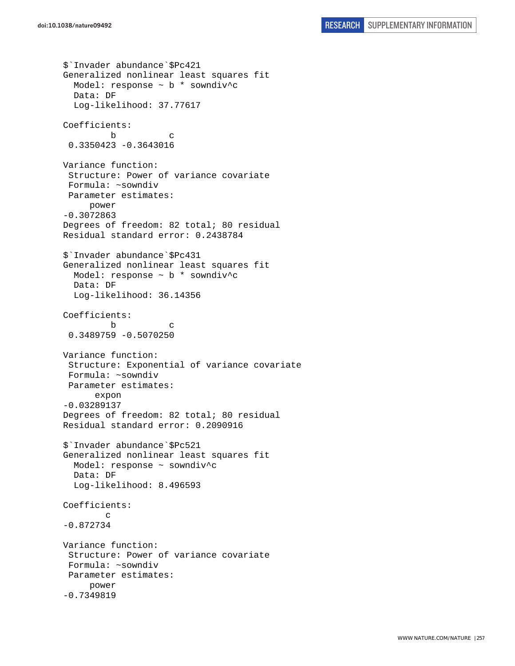```
$`Invader abundance`$Pc421 
Generalized nonlinear least squares fit 
   Model: response ~ b * sowndiv^c 
   Data: DF 
   Log-likelihood: 37.77617 
Coefficients: 
         b c 
  0.3350423 -0.3643016 
Variance function: 
  Structure: Power of variance covariate 
  Formula: ~sowndiv 
 Parameter estimates: 
      power 
-0.3072863 
Degrees of freedom: 82 total; 80 residual 
Residual standard error: 0.2438784 
$`Invader abundance`$Pc431 
Generalized nonlinear least squares fit 
   Model: response ~ b * sowndiv^c 
   Data: DF 
   Log-likelihood: 36.14356 
Coefficients: 
 b c 
  0.3489759 -0.5070250 
Variance function: 
  Structure: Exponential of variance covariate 
  Formula: ~sowndiv 
 Parameter estimates: 
       expon 
-0.03289137 
Degrees of freedom: 82 total; 80 residual 
Residual standard error: 0.2090916 
$`Invader abundance`$Pc521 
Generalized nonlinear least squares fit 
   Model: response ~ sowndiv^c 
   Data: DF 
   Log-likelihood: 8.496593 
Coefficients: 
 c 
-0.872734 
Variance function: 
  Structure: Power of variance covariate 
  Formula: ~sowndiv 
 Parameter estimates: 
      power 
-0.7349819
```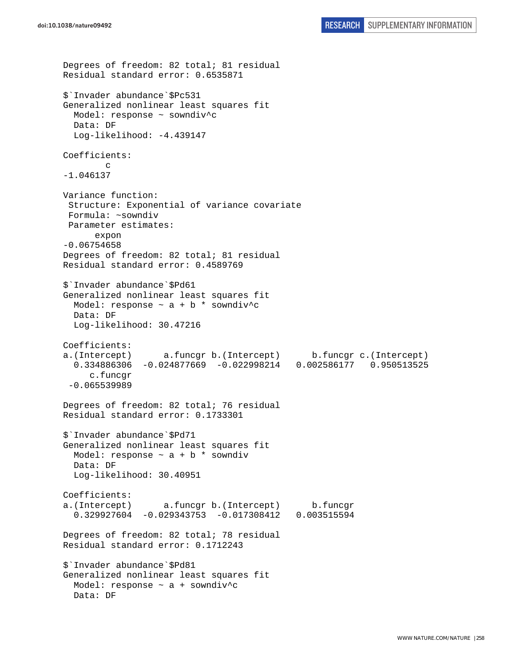```
Degrees of freedom: 82 total; 81 residual 
Residual standard error: 0.6535871 
$`Invader abundance`$Pc531 
Generalized nonlinear least squares fit 
   Model: response ~ sowndiv^c 
  Data: DF 
  Log-likelihood: -4.439147 
Coefficients: 
 c 
-1.046137 
Variance function: 
  Structure: Exponential of variance covariate 
 Formula: ~sowndiv 
 Parameter estimates: 
       expon 
-0.06754658 
Degrees of freedom: 82 total; 81 residual 
Residual standard error: 0.4589769 
$`Invader abundance`$Pd61 
Generalized nonlinear least squares fit 
  Model: response \sim a + b * sowndiv^c
   Data: DF 
   Log-likelihood: 30.47216 
Coefficients: 
a.(Intercept) a.funcgr b.(Intercept) b.funcgr c.(Intercept) 
   0.334886306 -0.024877669 -0.022998214 0.002586177 0.950513525 
      c.funcgr 
  -0.065539989 
Degrees of freedom: 82 total; 76 residual 
Residual standard error: 0.1733301 
$`Invader abundance`$Pd71 
Generalized nonlinear least squares fit 
 Model: response \sim a + b * sowndiv
  Data: DF 
   Log-likelihood: 30.40951 
Coefficients: 
a.(Intercept) a.funcgr b.(Intercept) b.funcgr 
  0.329927604 -0.029343753 -0.017308412Degrees of freedom: 82 total; 78 residual 
Residual standard error: 0.1712243 
$`Invader abundance`$Pd81 
Generalized nonlinear least squares fit 
   Model: response ~ a + sowndiv^c 
   Data: DF
```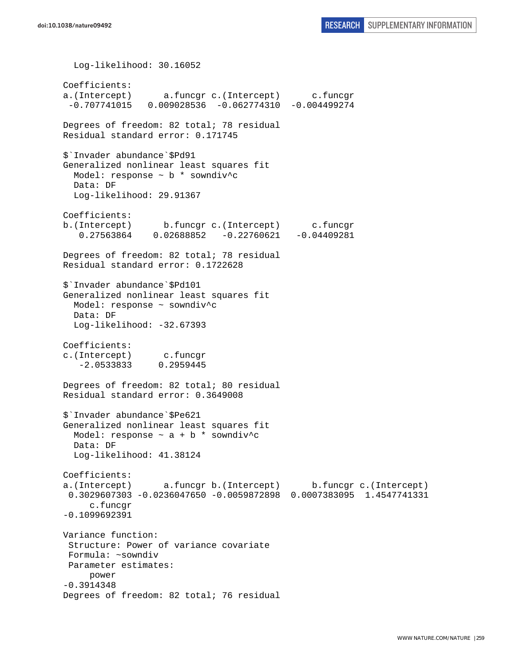Log-likelihood: 30.16052 Coefficients: a.(Intercept) a.funcgr c.(Intercept) c.funcgr -0.707741015 0.009028536 -0.062774310 -0.004499274 Degrees of freedom: 82 total; 78 residual Residual standard error: 0.171745 \$`Invader abundance`\$Pd91 Generalized nonlinear least squares fit Model: response ~ b \* sowndiv^c Data: DF Log-likelihood: 29.91367 Coefficients: b.(Intercept) b.funcgr c.(Intercept) c.funcgr 0.27563864 0.02688852 -0.22760621 -0.04409281 Degrees of freedom: 82 total; 78 residual Residual standard error: 0.1722628 \$`Invader abundance`\$Pd101 Generalized nonlinear least squares fit Model: response ~ sowndiv^c Data: DF Log-likelihood: -32.67393 Coefficients: c.(Intercept) c.funcgr -2.0533833 0.2959445 Degrees of freedom: 82 total; 80 residual Residual standard error: 0.3649008 \$`Invader abundance`\$Pe621 Generalized nonlinear least squares fit Model: response  $\sim$  a + b \* sowndiv^c Data: DF Log-likelihood: 41.38124 Coefficients: a.(Intercept) a.funcgr b.(Intercept) b.funcgr c.(Intercept) 0.3029607303 -0.0236047650 -0.0059872898 0.0007383095 1.4547741331 c.funcgr -0.1099692391 Variance function: Structure: Power of variance covariate Formula: ~sowndiv Parameter estimates: power -0.3914348 Degrees of freedom: 82 total; 76 residual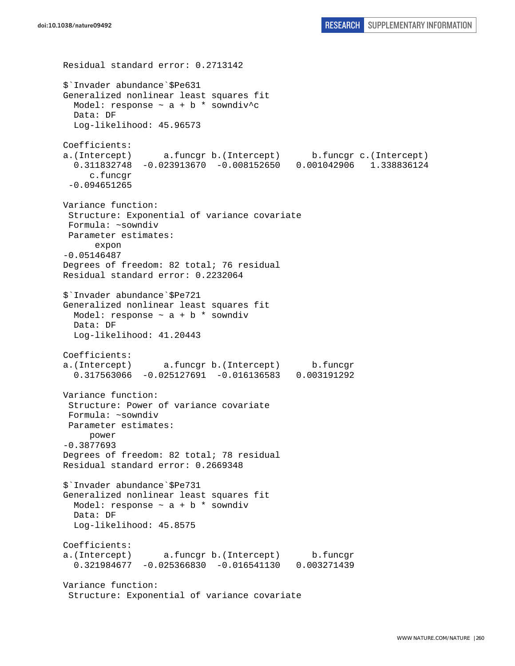Residual standard error: 0.2713142 \$`Invader abundance`\$Pe631 Generalized nonlinear least squares fit Model: response  $\sim$  a + b \* sowndiv<sup>^</sup>c Data: DF Log-likelihood: 45.96573 Coefficients: a.(Intercept) a.funcgr b.(Intercept) b.funcgr c.(Intercept) 0.311832748 -0.023913670 -0.008152650 0.001042906 1.338836124 c.funcgr -0.094651265 Variance function: Structure: Exponential of variance covariate Formula: ~sowndiv Parameter estimates: expon -0.05146487 Degrees of freedom: 82 total; 76 residual Residual standard error: 0.2232064 \$`Invader abundance`\$Pe721 Generalized nonlinear least squares fit Model: response  $\sim$  a + b \* sowndiv Data: DF Log-likelihood: 41.20443 Coefficients: a.(Intercept) a.funcgr b.(Intercept) b.funcgr 0.317563066 -0.025127691 -0.016136583 0.003191292 Variance function: Structure: Power of variance covariate Formula: ~sowndiv Parameter estimates: power -0.3877693 Degrees of freedom: 82 total; 78 residual Residual standard error: 0.2669348 \$`Invader abundance`\$Pe731 Generalized nonlinear least squares fit Model: response  $\sim$  a + b  $*$  sowndiv Data: DF Log-likelihood: 45.8575 Coefficients: a.(Intercept) a.funcgr b.(Intercept) b.funcgr 0.321984677 -0.025366830 -0.016541130 0.003271439 Variance function: Structure: Exponential of variance covariate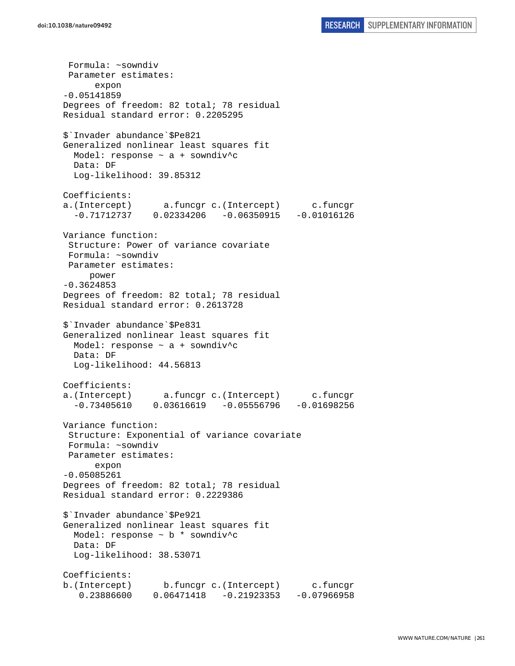Formula: ~sowndiv Parameter estimates: expon -0.05141859 Degrees of freedom: 82 total; 78 residual Residual standard error: 0.2205295 \$`Invader abundance`\$Pe821 Generalized nonlinear least squares fit Model: response ~ a + sowndiv^c Data: DF Log-likelihood: 39.85312 Coefficients: a.(Intercept) a.funcgr c.(Intercept) c.funcgr  $-0.71712737$   $0.02334206$   $-0.06350915$   $-0.01016126$ Variance function: Structure: Power of variance covariate Formula: ~sowndiv Parameter estimates: power -0.3624853 Degrees of freedom: 82 total; 78 residual Residual standard error: 0.2613728 \$`Invader abundance`\$Pe831 Generalized nonlinear least squares fit Model: response ~ a + sowndiv^c Data: DF Log-likelihood: 44.56813 Coefficients: a.(Intercept) a.funcgr c.(Intercept) c.funcgr -0.73405610 0.03616619 -0.05556796 -0.01698256 Variance function: Structure: Exponential of variance covariate Formula: ~sowndiv Parameter estimates: expon -0.05085261 Degrees of freedom: 82 total; 78 residual Residual standard error: 0.2229386 \$`Invader abundance`\$Pe921 Generalized nonlinear least squares fit Model: response ~ b \* sowndiv^c Data: DF Log-likelihood: 38.53071 Coefficients: b.(Intercept) b.funcgr c.(Intercept) c.funcgr 0.23886600 0.06471418 -0.21923353 -0.07966958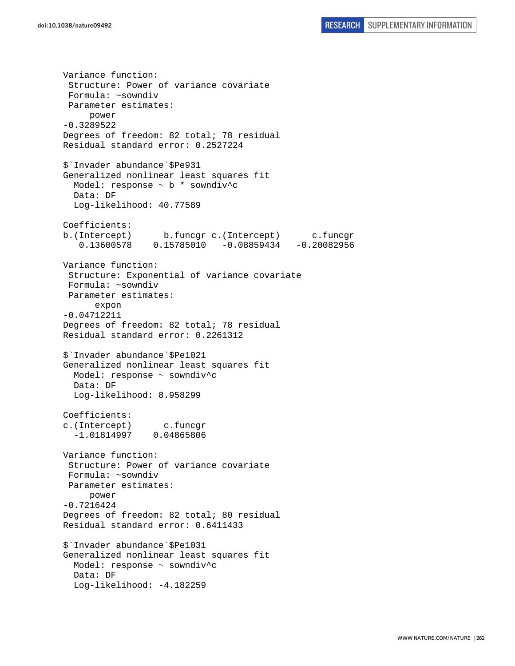Variance function: Structure: Power of variance covariate Formula: ~sowndiv Parameter estimates: power -0.3289522 Degrees of freedom: 82 total; 78 residual Residual standard error: 0.2527224 \$`Invader abundance`\$Pe931 Generalized nonlinear least squares fit Model: response ~ b \* sowndiv^c Data: DF Log-likelihood: 40.77589 Coefficients: b.(Intercept) b.funcgr c.(Intercept) c.funcgr 0.13600578 0.15785010 -0.08859434 -0.20082956 Variance function: Structure: Exponential of variance covariate Formula: ~sowndiv Parameter estimates: expon -0.04712211 Degrees of freedom: 82 total; 78 residual Residual standard error: 0.2261312 \$`Invader abundance`\$Pe1021 Generalized nonlinear least squares fit Model: response ~ sowndiv^c Data: DF Log-likelihood: 8.958299 Coefficients: c.(Intercept) c.funcgr -1.01814997 0.04865806 Variance function: Structure: Power of variance covariate Formula: ~sowndiv Parameter estimates: power -0.7216424 Degrees of freedom: 82 total; 80 residual Residual standard error: 0.6411433 \$`Invader abundance`\$Pe1031 Generalized nonlinear least squares fit Model: response ~ sowndiv^c Data: DF Log-likelihood: -4.182259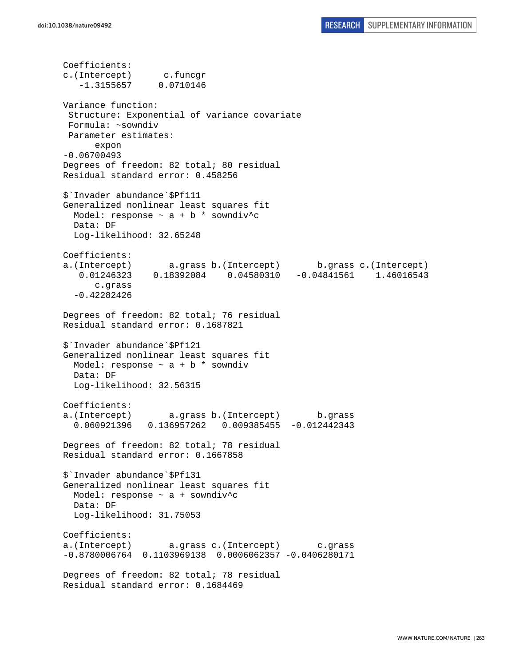Coefficients: c.(Intercept) c.funcgr -1.3155657 0.0710146 Variance function: Structure: Exponential of variance covariate Formula: ~sowndiv Parameter estimates: expon -0.06700493 Degrees of freedom: 82 total; 80 residual Residual standard error: 0.458256 \$`Invader abundance`\$Pf111 Generalized nonlinear least squares fit Model: response  $\sim$  a + b \* sowndiv^c Data: DF Log-likelihood: 32.65248 Coefficients: a.(Intercept) a.grass b.(Intercept) b.grass c.(Intercept) 0.01246323 0.18392084 0.04580310 -0.04841561 1.46016543 c.grass -0.42282426 Degrees of freedom: 82 total; 76 residual Residual standard error: 0.1687821 \$`Invader abundance`\$Pf121 Generalized nonlinear least squares fit Model: response  $\sim$  a + b  $*$  sowndiv Data: DF Log-likelihood: 32.56315 Coefficients: a.(Intercept) a.grass b.(Intercept) b.grass 0.060921396 0.136957262 0.009385455 -0.012442343 Degrees of freedom: 82 total; 78 residual Residual standard error: 0.1667858 \$`Invader abundance`\$Pf131 Generalized nonlinear least squares fit Model: response  $\sim$  a + sowndiv<sup>^</sup>c Data: DF Log-likelihood: 31.75053 Coefficients: a.(Intercept) a.grass c.(Intercept) c.grass -0.8780006764 0.1103969138 0.0006062357 -0.0406280171 Degrees of freedom: 82 total; 78 residual Residual standard error: 0.1684469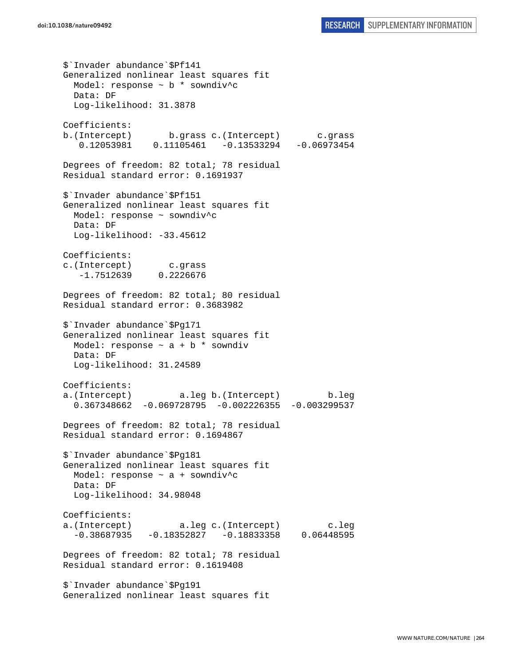```
$`Invader abundance`$Pf141 
Generalized nonlinear least squares fit 
  Model: response ~ b * sowndiv^c 
  Data: DF 
   Log-likelihood: 31.3878 
Coefficients: 
b.(Intercept) b.grass c.(Intercept) c.grass 
    0.12053981 0.11105461 -0.13533294 -0.06973454 
Degrees of freedom: 82 total; 78 residual 
Residual standard error: 0.1691937 
$`Invader abundance`$Pf151 
Generalized nonlinear least squares fit 
  Model: response ~ sowndiv^c 
  Data: DF 
   Log-likelihood: -33.45612 
Coefficients: 
c.(Intercept) c.grass 
    -1.7512639 0.2226676 
Degrees of freedom: 82 total; 80 residual 
Residual standard error: 0.3683982 
$`Invader abundance`$Pg171 
Generalized nonlinear least squares fit 
 Model: response \sim a + b * sowndiv
  Data: DF 
  Log-likelihood: 31.24589 
Coefficients: 
a.(Intercept) a.leg b.(Intercept) b.leg 
   0.367348662 -0.069728795 -0.002226355 -0.003299537 
Degrees of freedom: 82 total; 78 residual 
Residual standard error: 0.1694867 
$`Invader abundance`$Pg181 
Generalized nonlinear least squares fit 
  Model: response ~ a + sowndiv^c 
  Data: DF 
  Log-likelihood: 34.98048 
Coefficients: 
a.(Intercept) a.leg c.(Intercept) c.leg 
  -0.38687935 -0.18352827 -0.18833358 0.06448595Degrees of freedom: 82 total; 78 residual 
Residual standard error: 0.1619408 
$`Invader abundance`$Pg191 
Generalized nonlinear least squares fit
```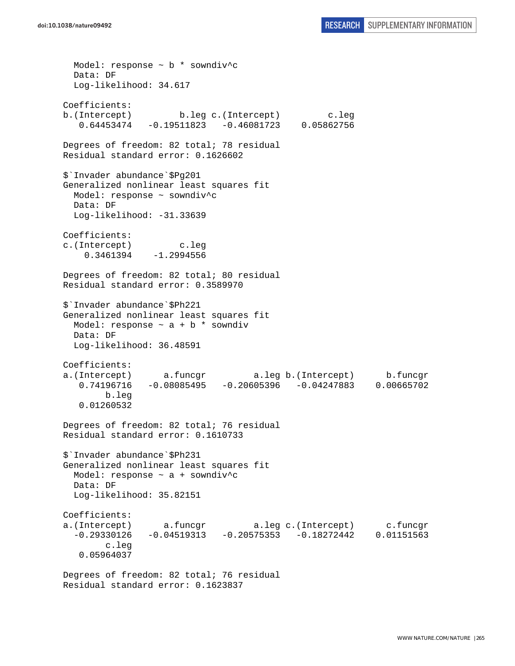```
 Model: response ~ b * sowndiv^c 
   Data: DF 
   Log-likelihood: 34.617 
Coefficients: 
b.(Intercept) b.leg c.(Intercept) c.leg 
    0.64453474 -0.19511823 -0.46081723 0.05862756 
Degrees of freedom: 82 total; 78 residual 
Residual standard error: 0.1626602 
$`Invader abundance`$Pg201 
Generalized nonlinear least squares fit 
   Model: response ~ sowndiv^c 
  Data: DF 
  Log-likelihood: -31.33639 
Coefficients: 
c.(Intercept) c.leg 
     0.3461394 -1.2994556 
Degrees of freedom: 82 total; 80 residual 
Residual standard error: 0.3589970 
$`Invader abundance`$Ph221 
Generalized nonlinear least squares fit 
 Model: response \sim a + b * sowndiv
  Data: DF 
   Log-likelihood: 36.48591 
Coefficients: 
a.(Intercept) a.funcgr a.leg b.(Intercept) b.funcgr 
    0.74196716 -0.08085495 -0.20605396 -0.04247883 0.00665702 
         b.leg 
    0.01260532 
Degrees of freedom: 82 total; 76 residual 
Residual standard error: 0.1610733 
$`Invader abundance`$Ph231 
Generalized nonlinear least squares fit 
   Model: response ~ a + sowndiv^c 
  Data: DF 
   Log-likelihood: 35.82151 
Coefficients: 
a.(Intercept) a.funcgr a.leg c.(Intercept) c.funcgr 
  -0.29330126 -0.04519313 -0.20575353 -0.18272442 0.01151563
         c.leg 
    0.05964037 
Degrees of freedom: 82 total; 76 residual
```

```
Residual standard error: 0.1623837
```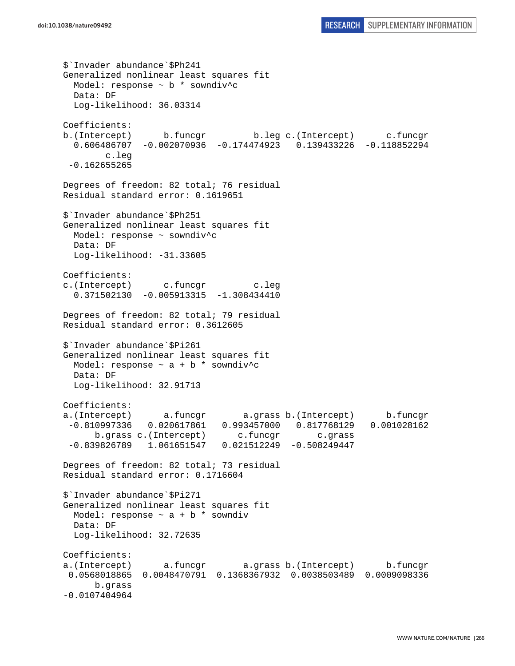```
$`Invader abundance`$Ph241 
Generalized nonlinear least squares fit 
   Model: response ~ b * sowndiv^c 
  Data: DF 
   Log-likelihood: 36.03314 
Coefficients: 
b.(Intercept) b.funcgr b.leg c.(Intercept) c.funcgr 
   0.606486707 -0.002070936 -0.174474923 0.139433226 -0.118852294 
         c.leg 
 -0.162655265 
Degrees of freedom: 82 total; 76 residual 
Residual standard error: 0.1619651 
$`Invader abundance`$Ph251 
Generalized nonlinear least squares fit 
  Model: response ~ sowndiv^c 
  Data: DF 
  Log-likelihood: -31.33605
Coefficients: 
c.(Intercept) c.funcgr c.leg 
   0.371502130 -0.005913315 -1.308434410 
Degrees of freedom: 82 total; 79 residual 
Residual standard error: 0.3612605 
$`Invader abundance`$Pi261 
Generalized nonlinear least squares fit 
 Model: response \sim a + b * sowndiv^c
  Data: DF 
  Log-likelihood: 32.91713 
Coefficients: 
a.(Intercept) a.funcgr a.grass b.(Intercept) b.funcgr 
  -0.810997336 0.020617861 0.993457000 0.817768129 0.001028162 
      b.grass c.(Intercept) c.funcgr c.grass
 -0.839826789 1.061651547 0.021512249 -0.508249447 
Degrees of freedom: 82 total; 73 residual 
Residual standard error: 0.1716604 
$`Invader abundance`$Pi271 
Generalized nonlinear least squares fit 
 Model: response \sim a + b * sowndiv
  Data: DF 
  Log-likelihood: 32.72635 
Coefficients: 
a.(Intercept) a.funcgr a.grass b.(Intercept) b.funcgr 
 0.0568018865 0.0048470791 0.1368367932 0.0038503489 0.0009098336 
       b.grass 
-0.0107404964
```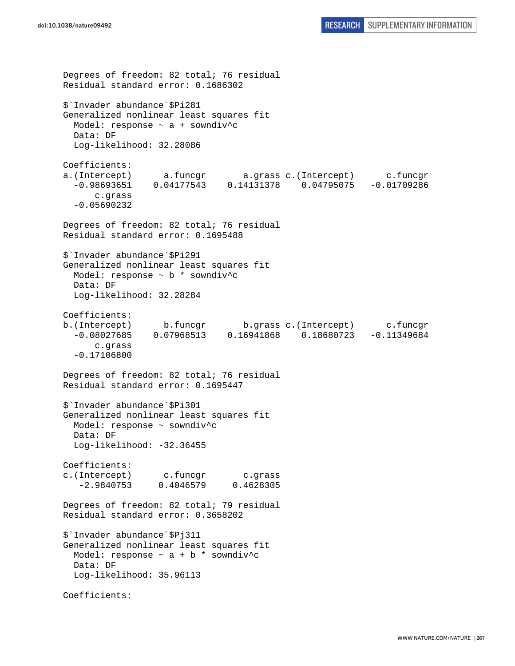```
Degrees of freedom: 82 total; 76 residual 
Residual standard error: 0.1686302 
$`Invader abundance`$Pi281 
Generalized nonlinear least squares fit 
   Model: response ~ a + sowndiv^c 
   Data: DF 
   Log-likelihood: 32.28086 
Coefficients: 
a.(Intercept) a.funcgr a.grass c.(Intercept) c.funcgr 
   -0.98693651 0.04177543 0.14131378 0.04795075 -0.01709286 
       c.grass 
   -0.05690232 
Degrees of freedom: 82 total; 76 residual 
Residual standard error: 0.1695488 
$`Invader abundance`$Pi291 
Generalized nonlinear least squares fit 
  Model: response ~ b * sowndiv^c 
  Data: DF 
  Log-likelihood: 32.28284 
Coefficients: 
b.(Intercept) b.funcgr b.grass c.(Intercept) c.funcgr 
   -0.08027685 0.07968513 0.16941868 0.18680723 -0.11349684 
       c.grass 
   -0.17106800 
Degrees of freedom: 82 total; 76 residual 
Residual standard error: 0.1695447 
$`Invader abundance`$Pi301 
Generalized nonlinear least squares fit 
   Model: response ~ sowndiv^c 
  Data: DF 
   Log-likelihood: -32.36455 
Coefficients: 
c.(Intercept) c.funcgr c.grass 
    -2.9840753 0.4046579 0.4628305 
Degrees of freedom: 82 total; 79 residual 
Residual standard error: 0.3658202 
$`Invader abundance`$Pj311 
Generalized nonlinear least squares fit 
 Model: response \sim a + b * sowndiv^c
  Data: DF 
   Log-likelihood: 35.96113 
Coefficients:
```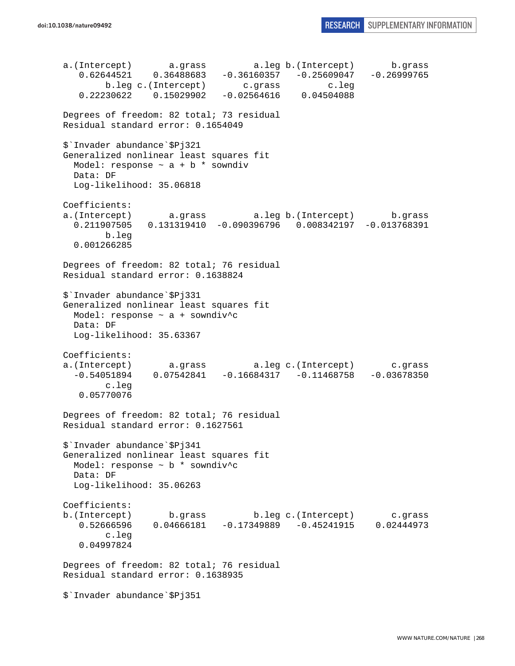a.(Intercept) a.grass a.leg b.(Intercept) b.grass <br>0.62644521 0.36488683 -0.36160357 -0.25609047 -0.26999765 0.62644521 0.36488683 -0.36160357 -0.25609047 -0.26999765 b.leg c.(Intercept) c.grass c.leg 0.22230622 0.15029902 -0.02564616 0.04504088 Degrees of freedom: 82 total; 73 residual Residual standard error: 0.1654049 \$`Invader abundance`\$Pj321 Generalized nonlinear least squares fit Model: response  $\sim$  a + b  $*$  sowndiv Data: DF Log-likelihood: 35.06818 Coefficients: a.(Intercept) a.grass a.leg b.(Intercept) b.grass 0.211907505 0.131319410 -0.090396796 0.008342197 -0.013768391 b.leg 0.001266285 Degrees of freedom: 82 total; 76 residual Residual standard error: 0.1638824 \$`Invader abundance`\$Pj331 Generalized nonlinear least squares fit Model: response  $\sim$  a + sowndiv<sup>^</sup>c Data: DF Log-likelihood: 35.63367 Coefficients: a.(Intercept) a.grass a.leg c.(Intercept) c.grass -0.54051894 0.07542841 -0.16684317 -0.11468758 -0.03678350 c.leg 0.05770076 Degrees of freedom: 82 total; 76 residual Residual standard error: 0.1627561 \$`Invader abundance`\$Pj341 Generalized nonlinear least squares fit Model: response ~ b \* sowndiv^c Data: DF Log-likelihood: 35.06263 Coefficients: b.(Intercept) b.grass b.leg c.(Intercept) c.grass 0.52666596 0.04666181 -0.17349889 -0.45241915 0.02444973 c.leg 0.04997824 Degrees of freedom: 82 total; 76 residual Residual standard error: 0.1638935 \$`Invader abundance`\$Pj351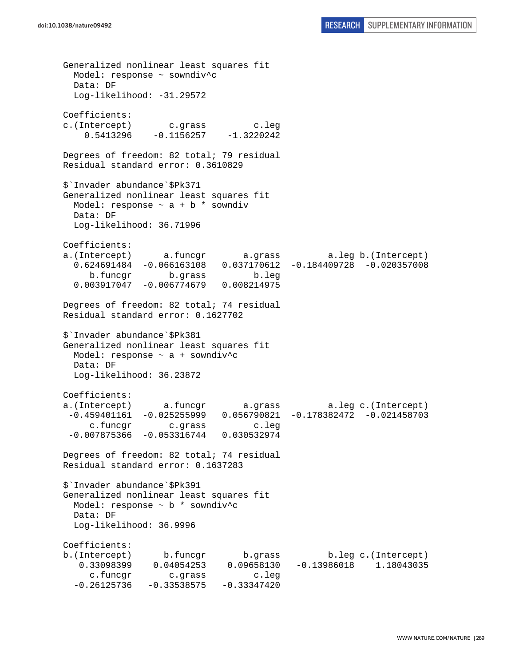Generalized nonlinear least squares fit Model: response ~ sowndiv^c Data: DF Log-likelihood: -31.29572 Coefficients: c.(Intercept) c.grass c.leg  $0.5413296 -0.1156257 -1.3220242$ Degrees of freedom: 82 total; 79 residual Residual standard error: 0.3610829 \$`Invader abundance`\$Pk371 Generalized nonlinear least squares fit Model: response  $\sim$  a + b  $*$  sowndiv Data: DF Log-likelihood: 36.71996 Coefficients: a.(Intercept) a.funcgr a.grass a.leg b.(Intercept) 0.624691484 -0.066163108 0.037170612 -0.184409728 -0.020357008 b.funcgr b.grass b.leg 0.003917047 -0.006774679 0.008214975 Degrees of freedom: 82 total; 74 residual Residual standard error: 0.1627702 \$`Invader abundance`\$Pk381 Generalized nonlinear least squares fit Model: response ~ a + sowndiv^c Data: DF Log-likelihood: 36.23872 Coefficients: a.(Intercept) a.funcgr a.grass a.leg c.(Intercept) -0.459401161 -0.025255999 0.056790821 -0.178382472 -0.021458703 c.funcgr c.grass c.leg -0.007875366 -0.053316744 0.030532974 Degrees of freedom: 82 total; 74 residual Residual standard error: 0.1637283 \$`Invader abundance`\$Pk391 Generalized nonlinear least squares fit Model: response  $\sim$  b  $*$  sowndiv<sup>^</sup>c Data: DF Log-likelihood: 36.9996 Coefficients: b.(Intercept) b.funcgr b.grass b.leg c.(Intercept) 0.33098399 0.04054253 0.09658130 -0.13986018 1.18043035 c.funcgr c.grass c.leg  $-0.26125736 -0.33538575 -0.33347420$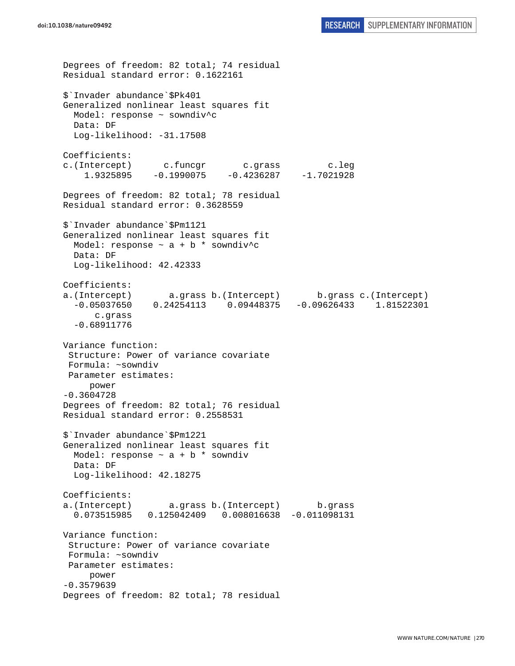```
Degrees of freedom: 82 total; 74 residual 
Residual standard error: 0.1622161 
$`Invader abundance`$Pk401 
Generalized nonlinear least squares fit 
   Model: response ~ sowndiv^c 
  Data: DF 
 Log-likelihood: -31.17508
Coefficients: 
c.(Intercept) c.funcgr c.grass c.leg 
     1.9325895 -0.1990075 -0.4236287 -1.7021928 
Degrees of freedom: 82 total; 78 residual 
Residual standard error: 0.3628559 
$`Invader abundance`$Pm1121 
Generalized nonlinear least squares fit 
 Model: response \sim a + b * sowndiv<sup>^</sup>c
  Data: DF 
   Log-likelihood: 42.42333 
Coefficients: 
a.(Intercept) a.grass b.(Intercept) b.grass c.(Intercept) 
   -0.05037650 0.24254113 0.09448375 -0.09626433 1.81522301 
       c.grass 
   -0.68911776 
Variance function: 
  Structure: Power of variance covariate 
  Formula: ~sowndiv 
 Parameter estimates: 
      power 
-0.3604728 
Degrees of freedom: 82 total; 76 residual 
Residual standard error: 0.2558531 
$`Invader abundance`$Pm1221 
Generalized nonlinear least squares fit 
 Model: response \sim a + b * sowndiv
  Data: DF 
   Log-likelihood: 42.18275 
Coefficients: 
a.(Intercept) a.grass b.(Intercept) b.grass 
   0.073515985 0.125042409 0.008016638 -0.011098131 
Variance function: 
  Structure: Power of variance covariate 
 Formula: ~sowndiv 
 Parameter estimates: 
      power 
-0.3579639 
Degrees of freedom: 82 total; 78 residual
```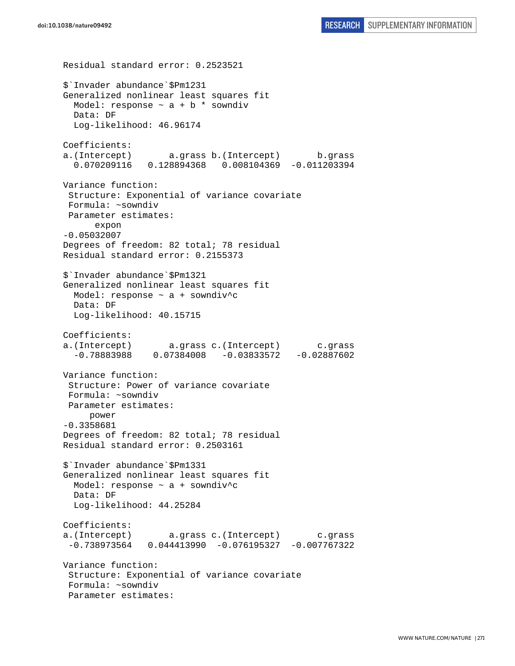Residual standard error: 0.2523521 \$`Invader abundance`\$Pm1231 Generalized nonlinear least squares fit Model: response  $\sim$  a + b \* sowndiv Data: DF Log-likelihood: 46.96174 Coefficients: a.(Intercept) a.grass b.(Intercept) b.grass 0.070209116 0.128894368 0.008104369 -0.011203394 Variance function: Structure: Exponential of variance covariate Formula: ~sowndiv Parameter estimates: expon -0.05032007 Degrees of freedom: 82 total; 78 residual Residual standard error: 0.2155373 \$`Invader abundance`\$Pm1321 Generalized nonlinear least squares fit Model: response ~ a + sowndiv^c Data: DF Log-likelihood: 40.15715 Coefficients: a.(Intercept) a.grass c.(Intercept) c.grass -0.78883988 0.07384008 -0.03833572 -0.02887602 Variance function: Structure: Power of variance covariate Formula: ~sowndiv Parameter estimates: power -0.3358681 Degrees of freedom: 82 total; 78 residual Residual standard error: 0.2503161 \$`Invader abundance`\$Pm1331 Generalized nonlinear least squares fit Model: response ~ a + sowndiv^c Data: DF Log-likelihood: 44.25284 Coefficients: a.(Intercept) a.grass c.(Intercept) c.grass -0.738973564 0.044413990 -0.076195327 -0.007767322 Variance function: Structure: Exponential of variance covariate Formula: ~sowndiv Parameter estimates: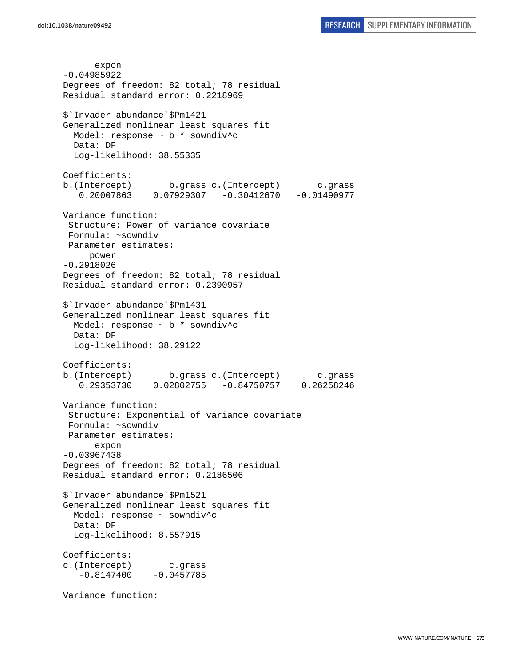expon -0.04985922 Degrees of freedom: 82 total; 78 residual Residual standard error: 0.2218969 \$`Invader abundance`\$Pm1421 Generalized nonlinear least squares fit Model: response  $\sim$  b  $*$  sowndiv<sup>^</sup>c Data: DF Log-likelihood: 38.55335 Coefficients: b.(Intercept) b.grass c.(Intercept) c.grass 0.20007863 0.07929307 -0.30412670 -0.01490977 Variance function: Structure: Power of variance covariate Formula: ~sowndiv Parameter estimates: power -0.2918026 Degrees of freedom: 82 total; 78 residual Residual standard error: 0.2390957 \$`Invader abundance`\$Pm1431 Generalized nonlinear least squares fit Model: response ~ b \* sowndiv^c Data: DF Log-likelihood: 38.29122 Coefficients: b.(Intercept) b.grass c.(Intercept) c.grass 0.29353730 0.02802755 -0.84750757 0.26258246 Variance function: Structure: Exponential of variance covariate Formula: ~sowndiv Parameter estimates: expon -0.03967438 Degrees of freedom: 82 total; 78 residual Residual standard error: 0.2186506 \$`Invader abundance`\$Pm1521 Generalized nonlinear least squares fit Model: response ~ sowndiv^c Data: DF Log-likelihood: 8.557915 Coefficients: c.(Intercept) c.grass  $-0.8147400 -0.0457785$ Variance function: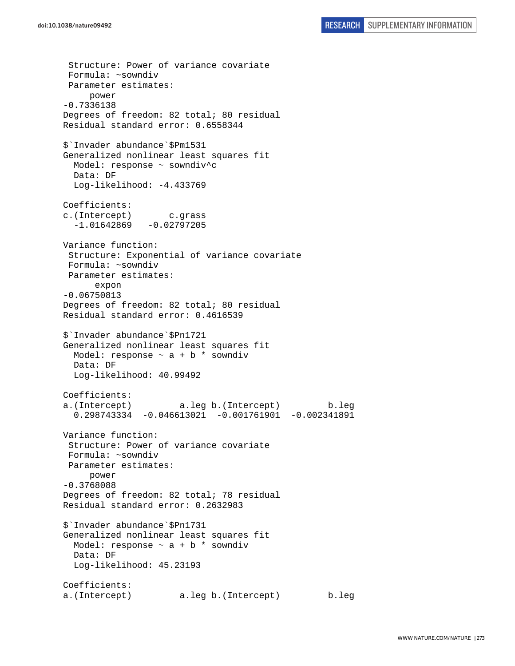Structure: Power of variance covariate Formula: ~sowndiv Parameter estimates: power -0.7336138 Degrees of freedom: 82 total; 80 residual Residual standard error: 0.6558344 \$`Invader abundance`\$Pm1531 Generalized nonlinear least squares fit Model: response ~ sowndiv^c Data: DF Log-likelihood: -4.433769 Coefficients: c.(Intercept) c.grass  $-1.01642869 -0.02797205$ Variance function: Structure: Exponential of variance covariate Formula: ~sowndiv Parameter estimates: expon -0.06750813 Degrees of freedom: 82 total; 80 residual Residual standard error: 0.4616539 \$`Invader abundance`\$Pn1721 Generalized nonlinear least squares fit Model: response  $\sim$  a + b  $*$  sowndiv Data: DF Log-likelihood: 40.99492 Coefficients: a.(Intercept) a.leg b.(Intercept) b.leg 0.298743334 -0.046613021 -0.001761901 -0.002341891 Variance function: Structure: Power of variance covariate Formula: ~sowndiv Parameter estimates: power -0.3768088 Degrees of freedom: 82 total; 78 residual Residual standard error: 0.2632983 \$`Invader abundance`\$Pn1731 Generalized nonlinear least squares fit Model: response  $\sim$  a + b \* sowndiv Data: DF Log-likelihood: 45.23193 Coefficients: a.(Intercept) a.leg b.(Intercept) b.leg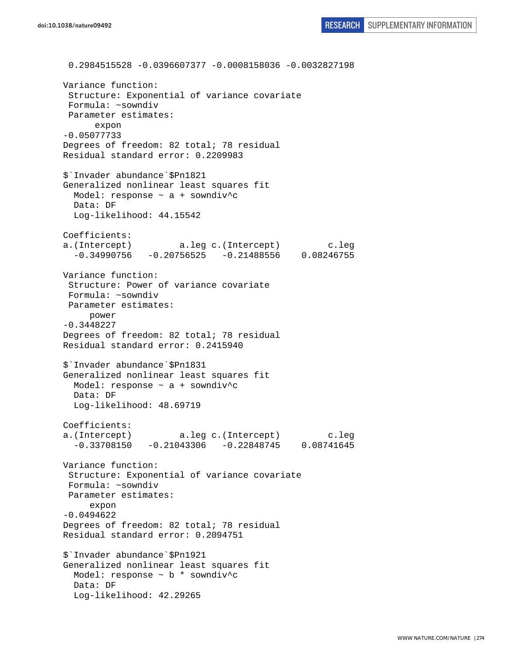0.2984515528 -0.0396607377 -0.0008158036 -0.0032827198 Variance function: Structure: Exponential of variance covariate Formula: ~sowndiv Parameter estimates: expon -0.05077733 Degrees of freedom: 82 total; 78 residual Residual standard error: 0.2209983 \$`Invader abundance`\$Pn1821 Generalized nonlinear least squares fit Model: response ~ a + sowndiv^c Data: DF Log-likelihood: 44.15542 Coefficients: a.(Intercept) a.leg c.(Intercept) c.leg  $-0.34990756 - 0.20756525 - 0.21488556 0.08246755$ Variance function: Structure: Power of variance covariate Formula: ~sowndiv Parameter estimates: power -0.3448227 Degrees of freedom: 82 total; 78 residual Residual standard error: 0.2415940 \$`Invader abundance`\$Pn1831 Generalized nonlinear least squares fit Model: response ~ a + sowndiv^c Data: DF Log-likelihood: 48.69719 Coefficients: a.(Intercept) a.leg c.(Intercept) c.leg -0.33708150 -0.21043306 -0.22848745 0.08741645 Variance function: Structure: Exponential of variance covariate Formula: ~sowndiv Parameter estimates: expon -0.0494622 Degrees of freedom: 82 total; 78 residual Residual standard error: 0.2094751 \$`Invader abundance`\$Pn1921 Generalized nonlinear least squares fit Model: response ~ b \* sowndiv^c Data: DF Log-likelihood: 42.29265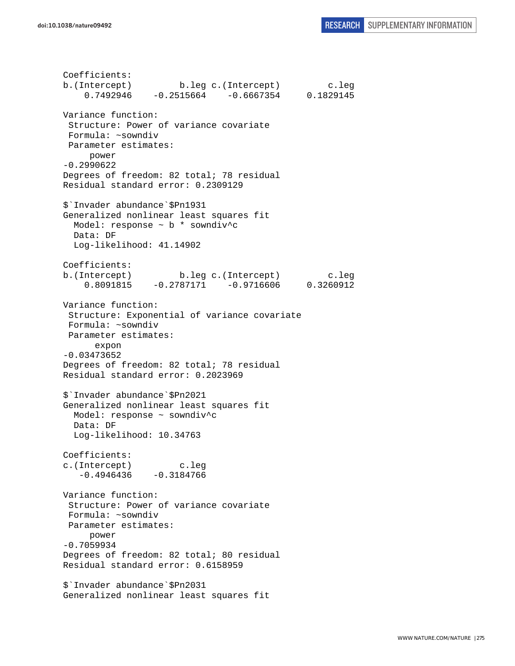Coefficients: b.(Intercept) b.leg c.(Intercept) c.leg 0.7492946 -0.2515664 -0.6667354 0.1829145 Variance function: Structure: Power of variance covariate Formula: ~sowndiv Parameter estimates: power -0.2990622 Degrees of freedom: 82 total; 78 residual Residual standard error: 0.2309129 \$`Invader abundance`\$Pn1931 Generalized nonlinear least squares fit Model: response ~ b \* sowndiv^c Data: DF Log-likelihood: 41.14902 Coefficients: b.(Intercept) b.leg c.(Intercept) c.leg 0.8091815 -0.2787171 -0.9716606 0.3260912 Variance function: Structure: Exponential of variance covariate Formula: ~sowndiv Parameter estimates: expon -0.03473652 Degrees of freedom: 82 total; 78 residual Residual standard error: 0.2023969 \$`Invader abundance`\$Pn2021 Generalized nonlinear least squares fit Model: response ~ sowndiv^c Data: DF Log-likelihood: 10.34763 Coefficients: c.(Intercept) c.leg  $-0.4946436 -0.3184766$ Variance function: Structure: Power of variance covariate Formula: ~sowndiv Parameter estimates: power -0.7059934 Degrees of freedom: 82 total; 80 residual Residual standard error: 0.6158959 \$`Invader abundance`\$Pn2031 Generalized nonlinear least squares fit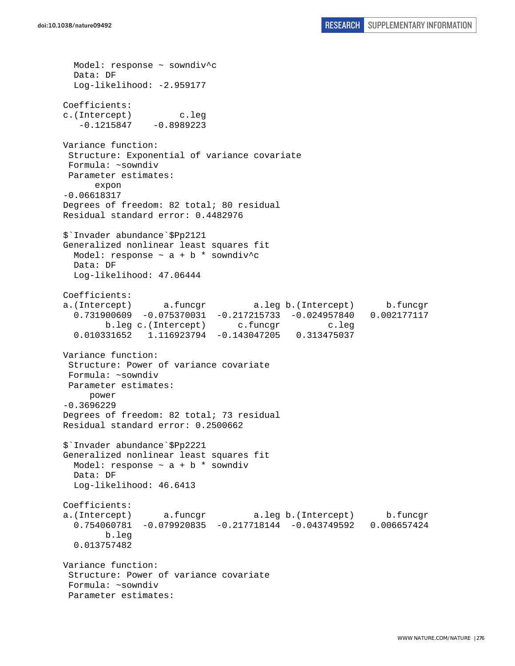Model: response ~ sowndiv^c Data: DF Log-likelihood: -2.959177 Coefficients: c.(Intercept) c.leg -0.1215847 -0.8989223 Variance function: Structure: Exponential of variance covariate Formula: ~sowndiv Parameter estimates: expon -0.06618317 Degrees of freedom: 82 total; 80 residual Residual standard error: 0.4482976 \$`Invader abundance`\$Pp2121 Generalized nonlinear least squares fit Model: response  $\sim$  a + b \* sowndiv<sup>^</sup>c Data: DF Log-likelihood: 47.06444 Coefficients: a.(Intercept) a.funcgr a.leg b.(Intercept) b.funcgr 0.731900609 -0.075370031 -0.217215733 -0.024957840 0.002177117 b.leg c.(Intercept) c.funcgr c.leg 0.010331652 1.116923794 -0.143047205 0.313475037 Variance function: Structure: Power of variance covariate Formula: ~sowndiv Parameter estimates: power -0.3696229 Degrees of freedom: 82 total; 73 residual Residual standard error: 0.2500662 \$`Invader abundance`\$Pp2221 Generalized nonlinear least squares fit Model: response  $\sim$  a + b \* sowndiv Data: DF Log-likelihood: 46.6413 Coefficients: a.(Intercept) a.funcgr a.leg b.(Intercept) b.funcgr 0.754060781 -0.079920835 -0.217718144 -0.043749592 0.006657424 b.leg 0.013757482 Variance function: Structure: Power of variance covariate Formula: ~sowndiv Parameter estimates: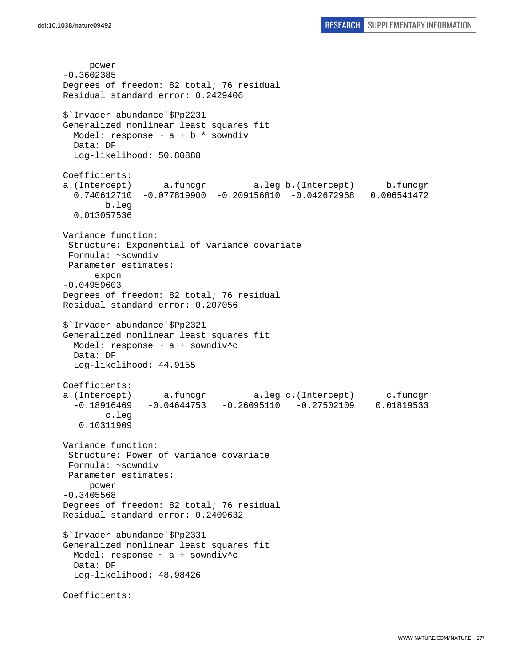power -0.3602385 Degrees of freedom: 82 total; 76 residual Residual standard error: 0.2429406 \$`Invader abundance`\$Pp2231 Generalized nonlinear least squares fit Model: response  $\sim$  a + b \* sowndiv Data: DF Log-likelihood: 50.80888 Coefficients: a.(Intercept) a.funcgr a.leg b.(Intercept) b.funcgr 0.740612710 -0.077819900 -0.209156810 -0.042672968 0.006541472 b.leg 0.013057536 Variance function: Structure: Exponential of variance covariate Formula: ~sowndiv Parameter estimates: expon -0.04959603 Degrees of freedom: 82 total; 76 residual Residual standard error: 0.207056 \$`Invader abundance`\$Pp2321 Generalized nonlinear least squares fit Model: response ~ a + sowndiv^c Data: DF Log-likelihood: 44.9155 Coefficients: a.(Intercept) a.funcgr a.leg c.(Intercept) c.funcgr -0.18916469 -0.04644753 -0.26095110 -0.27502109 0.01819533 c.leg 0.10311909 Variance function: Structure: Power of variance covariate Formula: ~sowndiv Parameter estimates: power -0.3405568 Degrees of freedom: 82 total; 76 residual Residual standard error: 0.2409632 \$`Invader abundance`\$Pp2331 Generalized nonlinear least squares fit Model: response ~ a + sowndiv^c Data: DF Log-likelihood: 48.98426 Coefficients: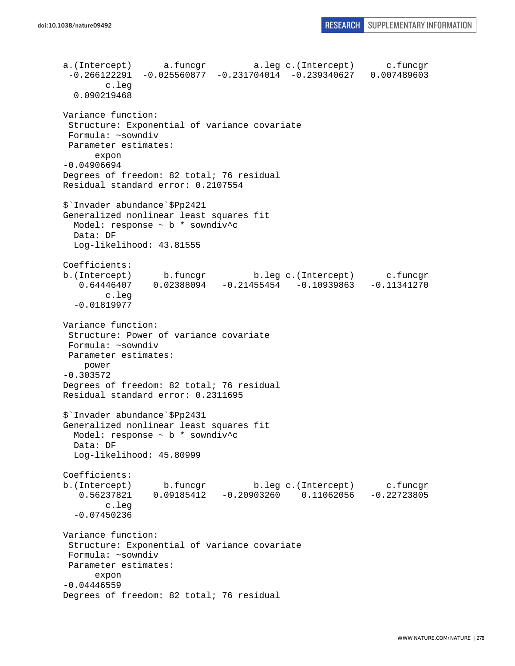a.(Intercept) a.funcgr a.leg c.(Intercept) c.funcgr -0.266122291 -0.025560877 -0.231704014 -0.239340627 0.007489603 c.leg 0.090219468 Variance function: Structure: Exponential of variance covariate Formula: ~sowndiv Parameter estimates: expon -0.04906694 Degrees of freedom: 82 total; 76 residual Residual standard error: 0.2107554 \$`Invader abundance`\$Pp2421 Generalized nonlinear least squares fit Model: response ~ b \* sowndiv^c Data: DF Log-likelihood: 43.81555 Coefficients: b.(Intercept) b.funcgr b.leg c.(Intercept) c.funcgr 0.64446407 0.02388094 -0.21455454 -0.10939863 -0.11341270 0.64446407 0.02388094 -0.21455454 -0.10939863 -0.11341270 c.leg -0.01819977 Variance function: Structure: Power of variance covariate Formula: ~sowndiv Parameter estimates: power -0.303572 Degrees of freedom: 82 total; 76 residual Residual standard error: 0.2311695 \$`Invader abundance`\$Pp2431 Generalized nonlinear least squares fit Model: response ~ b \* sowndiv^c Data: DF Log-likelihood: 45.80999 Coefficients: b.(Intercept) b.funcgr b.leg c.(Intercept) c.funcgr 0.56237821 0.09185412 -0.20903260 0.11062056 -0.22723805 c.leg -0.07450236 Variance function: Structure: Exponential of variance covariate Formula: ~sowndiv Parameter estimates: expon -0.04446559 Degrees of freedom: 82 total; 76 residual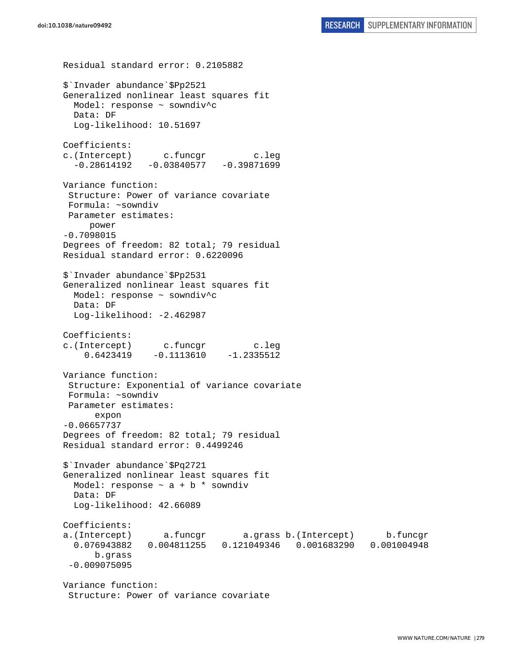```
Residual standard error: 0.2105882 
$`Invader abundance`$Pp2521 
Generalized nonlinear least squares fit 
  Model: response ~ sowndiv^c 
   Data: DF 
   Log-likelihood: 10.51697 
Coefficients: 
c.(Intercept) c.funcgr c.leg 
  -0.28614192 -0.03840577 -0.39871699Variance function: 
  Structure: Power of variance covariate 
 Formula: ~sowndiv 
 Parameter estimates: 
      power 
-0.7098015 
Degrees of freedom: 82 total; 79 residual 
Residual standard error: 0.6220096 
$`Invader abundance`$Pp2531 
Generalized nonlinear least squares fit 
  Model: response ~ sowndiv^c 
  Data: DF 
 Log-likelihood: -2.462987
Coefficients: 
c.(Intercept) c.funcgr c.leg 
    0.6423419 -0.1113610 -1.2335512Variance function: 
  Structure: Exponential of variance covariate 
 Formula: ~sowndiv 
 Parameter estimates: 
       expon 
-0.06657737 
Degrees of freedom: 82 total; 79 residual 
Residual standard error: 0.4499246 
$`Invader abundance`$Pq2721 
Generalized nonlinear least squares fit 
 Model: response \sim a + b * sowndiv
  Data: DF 
   Log-likelihood: 42.66089 
Coefficients: 
a.(Intercept) a.funcgr a.grass b.(Intercept) b.funcgr 
   0.076943882 0.004811255 0.121049346 0.001683290 0.001004948 
       b.grass 
 -0.009075095 
Variance function: 
  Structure: Power of variance covariate
```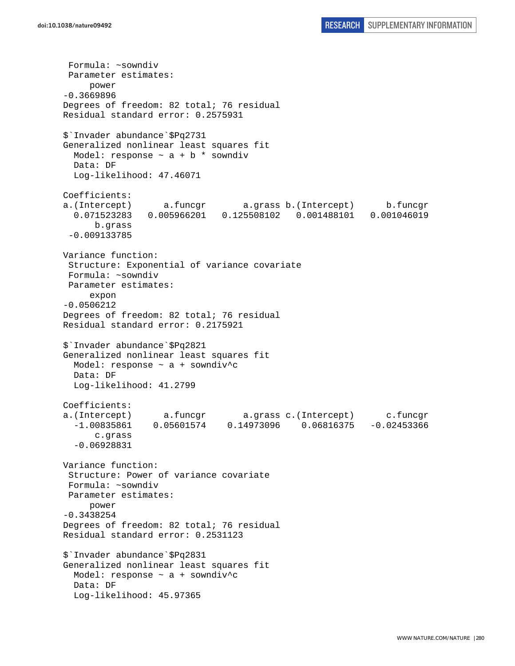Formula: ~sowndiv Parameter estimates: power -0.3669896 Degrees of freedom: 82 total; 76 residual Residual standard error: 0.2575931 \$`Invader abundance`\$Pq2731 Generalized nonlinear least squares fit Model: response  $\sim$  a + b \* sowndiv Data: DF Log-likelihood: 47.46071 Coefficients: a.(Intercept) a.funcgr a.grass b.(Intercept) b.funcgr 0.071523283 0.005966201 0.125508102 0.001488101 0.001046019 b.grass -0.009133785 Variance function: Structure: Exponential of variance covariate Formula: ~sowndiv Parameter estimates: expon -0.0506212 Degrees of freedom: 82 total; 76 residual Residual standard error: 0.2175921 \$`Invader abundance`\$Pq2821 Generalized nonlinear least squares fit Model: response  $\sim$  a + sowndiv<sup>^</sup>c Data: DF Log-likelihood: 41.2799 Coefficients: a.(Intercept) a.funcgr a.grass c.(Intercept) c.funcgr -1.00835861 0.05601574 0.14973096 0.06816375 -0.02453366 c.grass -0.06928831 Variance function: Structure: Power of variance covariate Formula: ~sowndiv Parameter estimates: power -0.3438254 Degrees of freedom: 82 total; 76 residual Residual standard error: 0.2531123 \$`Invader abundance`\$Pq2831 Generalized nonlinear least squares fit Model: response  $\sim$  a + sowndiv<sup>^</sup>c Data: DF Log-likelihood: 45.97365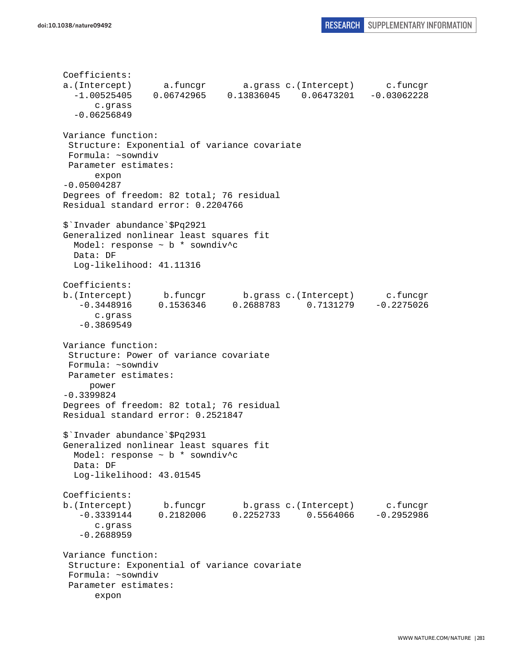```
Coefficients: 
a.(Intercept) a.funcgr a.grass c.(Intercept) c.funcgr 
   -1.00525405 0.06742965 0.13836045 0.06473201 -0.03062228 
       c.grass 
   -0.06256849 
Variance function: 
  Structure: Exponential of variance covariate 
  Formula: ~sowndiv 
 Parameter estimates: 
       expon 
-0.05004287 
Degrees of freedom: 82 total; 76 residual 
Residual standard error: 0.2204766 
$`Invader abundance`$Pq2921 
Generalized nonlinear least squares fit 
   Model: response ~ b * sowndiv^c 
   Data: DF 
   Log-likelihood: 41.11316 
Coefficients: 
b.(Intercept) b.funcgr b.grass c.(Intercept) c.funcgr 
    -0.3448916 0.1536346 0.2688783 0.7131279 -0.2275026 
       c.grass 
    -0.3869549 
Variance function: 
  Structure: Power of variance covariate 
  Formula: ~sowndiv 
 Parameter estimates: 
      power 
-0.3399824 
Degrees of freedom: 82 total; 76 residual 
Residual standard error: 0.2521847 
$`Invader abundance`$Pq2931 
Generalized nonlinear least squares fit 
  Model: response \sim b * sowndiv<sup>^</sup>c
   Data: DF 
   Log-likelihood: 43.01545 
Coefficients: 
b.(Intercept) b.funcgr b.grass c.(Intercept) c.funcgr<br>-0.3339144 0.2182006 0.2252733 0.5564066 -0.2952986
   -0.3339144 0.2182006 0.2252733 0.5564066
       c.grass 
    -0.2688959 
Variance function: 
  Structure: Exponential of variance covariate 
  Formula: ~sowndiv 
  Parameter estimates: 
       expon
```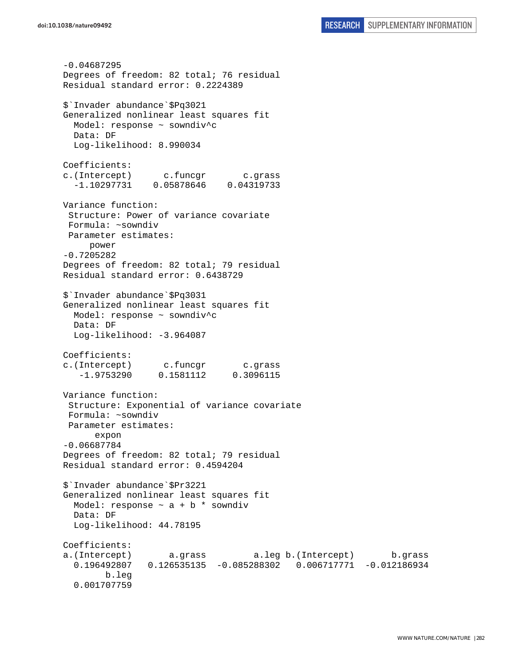```
-0.04687295 
Degrees of freedom: 82 total; 76 residual 
Residual standard error: 0.2224389 
$`Invader abundance`$Pq3021 
Generalized nonlinear least squares fit 
  Model: response ~ sowndiv^c 
  Data: DF 
  Log-likelihood: 8.990034 
Coefficients: 
c.(Intercept) c.funcgr c.grass 
   -1.10297731 0.05878646 0.04319733 
Variance function: 
  Structure: Power of variance covariate 
 Formula: ~sowndiv 
 Parameter estimates: 
     power 
-0.7205282 
Degrees of freedom: 82 total; 79 residual 
Residual standard error: 0.6438729 
$`Invader abundance`$Pq3031 
Generalized nonlinear least squares fit 
  Model: response ~ sowndiv^c
  Data: DF 
  Log-likelihood: -3.964087 
Coefficients: 
c.(Intercept) c.funcgr c.grass 
    -1.9753290 0.1581112 0.3096115 
Variance function: 
  Structure: Exponential of variance covariate 
 Formula: ~sowndiv 
 Parameter estimates: 
       expon 
-0.06687784 
Degrees of freedom: 82 total; 79 residual 
Residual standard error: 0.4594204 
$`Invader abundance`$Pr3221 
Generalized nonlinear least squares fit 
  Model: response \sim a + b * sowndiv
  Data: DF 
  Log-likelihood: 44.78195 
Coefficients: 
a.(Intercept) a.grass a.leg b.(Intercept) b.grass 
   0.196492807 0.126535135 -0.085288302 0.006717771 -0.012186934 
         b.leg 
   0.001707759
```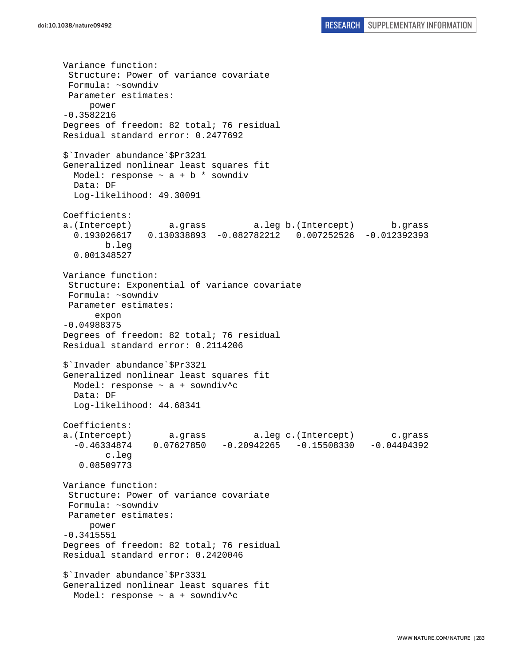Variance function: Structure: Power of variance covariate Formula: ~sowndiv Parameter estimates: power -0.3582216 Degrees of freedom: 82 total; 76 residual Residual standard error: 0.2477692 \$`Invader abundance`\$Pr3231 Generalized nonlinear least squares fit Model: response  $\sim$  a + b \* sowndiv Data: DF Log-likelihood: 49.30091 Coefficients: a.(Intercept) a.grass a.leg b.(Intercept) b.grass 0.193026617 0.130338893 -0.082782212 0.007252526 -0.012392393 b.leg 0.001348527 Variance function: Structure: Exponential of variance covariate Formula: ~sowndiv Parameter estimates: expon -0.04988375 Degrees of freedom: 82 total; 76 residual Residual standard error: 0.2114206 \$`Invader abundance`\$Pr3321 Generalized nonlinear least squares fit Model: response  $\sim$  a + sowndiv<sup>^</sup>c Data: DF Log-likelihood: 44.68341 Coefficients: a.(Intercept) a.grass a.leg c.(Intercept) c.grass  $-0.46334874$   $0.07627850$   $-0.20942265$   $-0.15508330$   $-0.04404392$  c.leg 0.08509773 Variance function: Structure: Power of variance covariate Formula: ~sowndiv Parameter estimates: power -0.3415551 Degrees of freedom: 82 total; 76 residual Residual standard error: 0.2420046 \$`Invader abundance`\$Pr3331 Generalized nonlinear least squares fit Model: response  $\sim$  a + sowndiv<sup>^</sup>c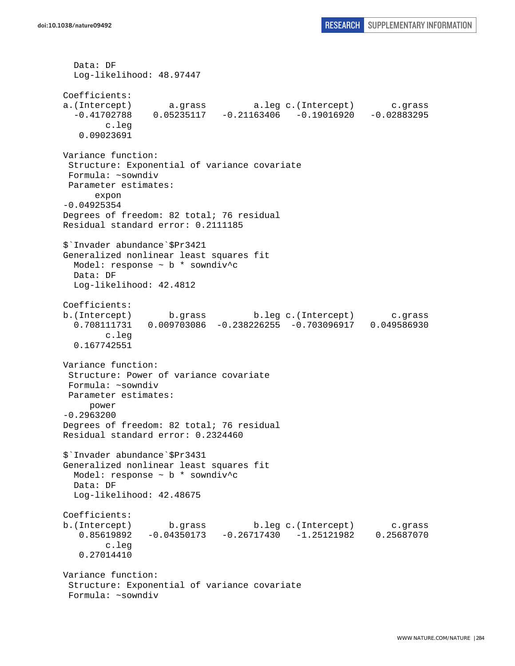```
 Data: DF 
   Log-likelihood: 48.97447 
Coefficients: 
a.(Intercept) a.grass a.leg c.(Intercept) c.grass 
  -0.41702788 0.05235117 -0.21163406 -0.19016920 -0.02883295 c.leg 
    0.09023691 
Variance function: 
  Structure: Exponential of variance covariate 
 Formula: ~sowndiv 
 Parameter estimates: 
       expon 
-0.04925354 
Degrees of freedom: 82 total; 76 residual 
Residual standard error: 0.2111185 
$`Invader abundance`$Pr3421 
Generalized nonlinear least squares fit 
  Model: response ~ b * sowndiv^c 
  Data: DF 
  Log-likelihood: 42.4812 
Coefficients: 
b.(Intercept) b.grass b.leg c.(Intercept) c.grass 
   0.708111731 0.009703086 -0.238226255 -0.703096917 0.049586930 
         c.leg 
   0.167742551 
Variance function: 
  Structure: Power of variance covariate 
 Formula: ~sowndiv 
 Parameter estimates: 
     power 
-0.2963200 
Degrees of freedom: 82 total; 76 residual 
Residual standard error: 0.2324460 
$`Invader abundance`$Pr3431 
Generalized nonlinear least squares fit 
  Model: response ~ b * sowndiv^c 
  Data: DF 
  Log-likelihood: 42.48675 
Coefficients: 
b.(Intercept) b.grass b.leg c.(Intercept) c.grass 
    0.85619892 -0.04350173 -0.26717430 -1.25121982 0.25687070 
         c.leg 
    0.27014410 
Variance function: 
  Structure: Exponential of variance covariate 
  Formula: ~sowndiv
```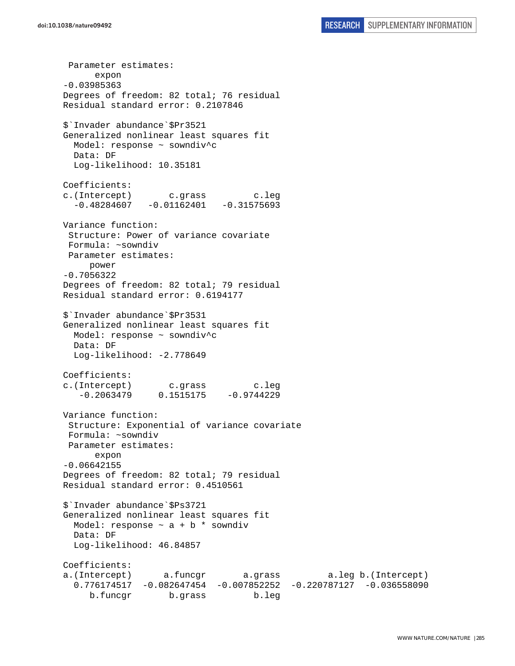Parameter estimates: expon -0.03985363 Degrees of freedom: 82 total; 76 residual Residual standard error: 0.2107846 \$`Invader abundance`\$Pr3521 Generalized nonlinear least squares fit Model: response ~ sowndiv^c Data: DF Log-likelihood: 10.35181 Coefficients: c.(Intercept) c.grass c.leg  $-0.48284607 -0.01162401 -0.31575693$ Variance function: Structure: Power of variance covariate Formula: ~sowndiv Parameter estimates: power -0.7056322 Degrees of freedom: 82 total; 79 residual Residual standard error: 0.6194177 \$`Invader abundance`\$Pr3531 Generalized nonlinear least squares fit Model: response ~ sowndiv^c Data: DF Log-likelihood: -2.778649 Coefficients: c.(Intercept) c.grass c.leg  $-0.2063479$   $0.1515175$   $-0.9744229$ Variance function: Structure: Exponential of variance covariate Formula: ~sowndiv Parameter estimates: expon -0.06642155 Degrees of freedom: 82 total; 79 residual Residual standard error: 0.4510561 \$`Invader abundance`\$Ps3721 Generalized nonlinear least squares fit Model: response  $\sim$  a + b  $*$  sowndiv Data: DF Log-likelihood: 46.84857 Coefficients: a.(Intercept) a.funcgr a.grass a.leg b.(Intercept) 0.776174517 -0.082647454 -0.007852252 -0.220787127 -0.036558090 b.funcgr b.grass b.leg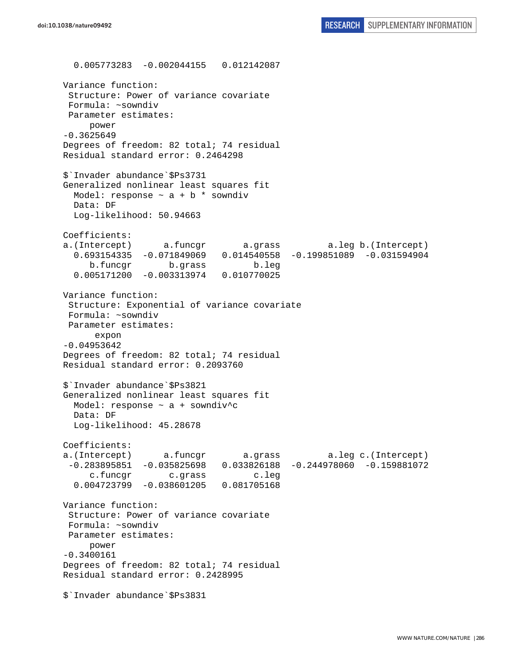0.005773283 -0.002044155 0.012142087 Variance function: Structure: Power of variance covariate Formula: ~sowndiv Parameter estimates: power -0.3625649 Degrees of freedom: 82 total; 74 residual Residual standard error: 0.2464298 \$`Invader abundance`\$Ps3731 Generalized nonlinear least squares fit Model: response  $\sim$  a + b  $*$  sowndiv Data: DF Log-likelihood: 50.94663 Coefficients: a.(Intercept) a.funcgr a.grass a.leg b.(Intercept) 0.693154335 -0.071849069 0.014540558 -0.199851089 -0.031594904 b.funcgr b.grass b.leg 0.005171200 -0.003313974 0.010770025 Variance function: Structure: Exponential of variance covariate Formula: ~sowndiv Parameter estimates: expon -0.04953642 Degrees of freedom: 82 total; 74 residual Residual standard error: 0.2093760 \$`Invader abundance`\$Ps3821 Generalized nonlinear least squares fit Model: response  $\sim$  a + sowndiv<sup>^</sup>c Data: DF Log-likelihood: 45.28678 Coefficients: a.(Intercept) a.funcgr a.grass a.leg c.(Intercept) -0.283895851 -0.035825698 0.033826188 -0.244978060 -0.159881072 c.funcgr c.grass c.leg 0.004723799 -0.038601205 0.081705168 Variance function: Structure: Power of variance covariate Formula: ~sowndiv Parameter estimates: power -0.3400161 Degrees of freedom: 82 total; 74 residual Residual standard error: 0.2428995 \$`Invader abundance`\$Ps3831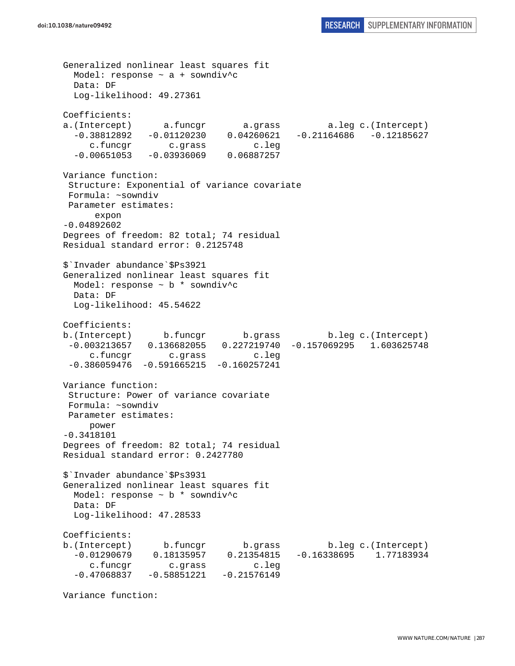Generalized nonlinear least squares fit Model: response  $\sim$  a + sowndiv<sup>^</sup>c Data: DF Log-likelihood: 49.27361 Coefficients: a.(Intercept) a.funcgr a.grass a.leg c.(Intercept) -0.38812892 -0.01120230 0.04260621 -0.21164686 -0.12185627 c.funcgr c.grass c.leg  $-0.00651053 - 0.03936069$  0.06887257 Variance function: Structure: Exponential of variance covariate Formula: ~sowndiv Parameter estimates: expon -0.04892602 Degrees of freedom: 82 total; 74 residual Residual standard error: 0.2125748 \$`Invader abundance`\$Ps3921 Generalized nonlinear least squares fit Model: response ~ b \* sowndiv^c Data: DF Log-likelihood: 45.54622 Coefficients: b.(Intercept) b.funcgr b.grass b.leg c.(Intercept) -0.003213657 0.136682055 0.227219740 -0.157069295 1.603625748 c.funcgr c.grass c.leg  $-0.386059476 -0.591665215 -0.160257241$ Variance function: Structure: Power of variance covariate Formula: ~sowndiv Parameter estimates: power -0.3418101 Degrees of freedom: 82 total; 74 residual Residual standard error: 0.2427780 \$`Invader abundance`\$Ps3931 Generalized nonlinear least squares fit Model: response ~ b \* sowndiv^c Data: DF Log-likelihood: 47.28533 Coefficients: b.(Intercept) b.funcgr b.grass b.leg c.(Intercept) -0.01290679 0.18135957 0.21354815 -0.16338695 1.77183934 c.funcgr c.grass c.leg  $-0.47068837 -0.58851221 -0.21576149$ 

Variance function: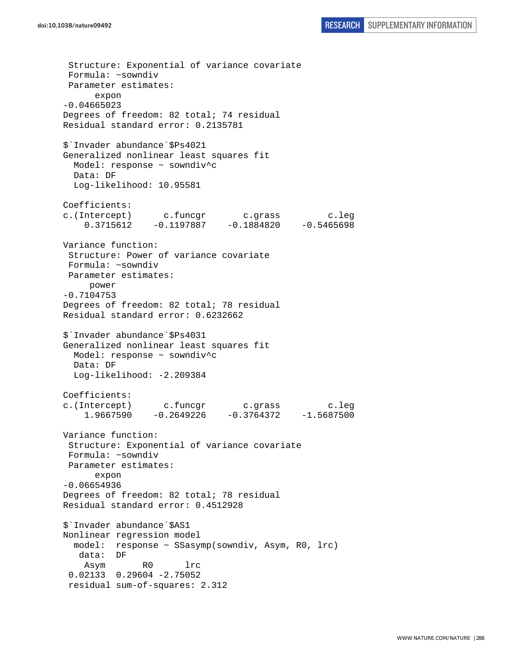Structure: Exponential of variance covariate Formula: ~sowndiv Parameter estimates: expon -0.04665023 Degrees of freedom: 82 total; 74 residual Residual standard error: 0.2135781 \$`Invader abundance`\$Ps4021 Generalized nonlinear least squares fit Model: response ~ sowndiv^c Data: DF Log-likelihood: 10.95581 Coefficients: c.(Intercept) c.funcgr c.grass c.leg 0.3715612 -0.1197887 -0.1884820 -0.5465698 Variance function: Structure: Power of variance covariate Formula: ~sowndiv Parameter estimates: power -0.7104753 Degrees of freedom: 82 total; 78 residual Residual standard error: 0.6232662 \$`Invader abundance`\$Ps4031 Generalized nonlinear least squares fit Model: response ~ sowndiv^c Data: DF Log-likelihood: -2.209384 Coefficients: c.(Intercept) c.funcgr c.grass c.leg 1.9667590 -0.2649226 -0.3764372 -1.5687500 Variance function: Structure: Exponential of variance covariate Formula: ~sowndiv Parameter estimates: expon -0.06654936 Degrees of freedom: 82 total; 78 residual Residual standard error: 0.4512928 \$`Invader abundance`\$AS1 Nonlinear regression model model: response ~ SSasymp(sowndiv, Asym, R0, lrc) data: DF Asym R0 lrc 0.02133 0.29604 -2.75052 residual sum-of-squares: 2.312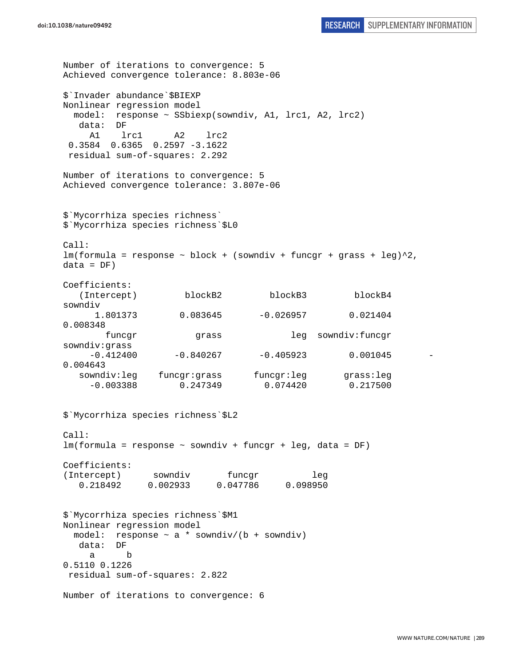Number of iterations to convergence: 5 Achieved convergence tolerance: 8.803e-06 \$`Invader abundance`\$BIEXP Nonlinear regression model model: response ~ SSbiexp(sowndiv, A1, lrc1, A2, lrc2) data: DF A1 lrc1 A2 lrc2 0.3584 0.6365 0.2597 -3.1622 residual sum-of-squares: 2.292 Number of iterations to convergence: 5 Achieved convergence tolerance: 3.807e-06 \$`Mycorrhiza species richness` \$`Mycorrhiza species richness`\$L0  $Ca11$ :  $lm(formula = response \sim block + (sowndiv + funcar + grass + leg)^2$ ,  $data = DF)$ Coefficients: (Intercept) blockB2 blockB3 blockB4 sowndiv 1.801373 0.083645 -0.026957 0.021404 0.008348 funcgr grass leg sowndiv:funcgr sowndiv:grass  $-0.412400$   $-0.840267$   $-0.405923$  0.001045 0.004643 sowndiv:leg funcgr:grass funcgr:leg grass:leg -0.003388 0.247349 0.074420 0.217500 \$`Mycorrhiza species richness`\$L2 Call: lm(formula = response ~ sowndiv + funcgr + leg, data = DF) Coefficients: (Intercept) sowndiv funcqr leg 0.218492 0.002933 0.047786 0.098950 \$`Mycorrhiza species richness`\$M1 Nonlinear regression model model: response  $\sim$  a \* sowndiv/(b + sowndiv) data: DF a b 0.5110 0.1226 residual sum-of-squares: 2.822 Number of iterations to convergence: 6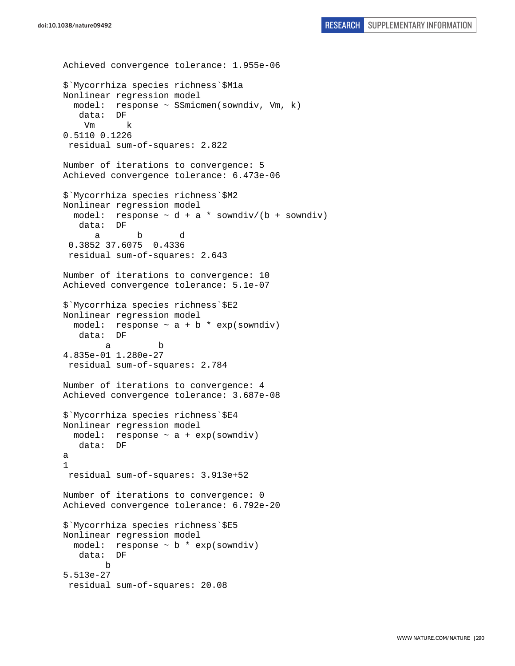```
doi:10.1038/nature09492 RESEARCH SUPPLEMENTARY INFORMATION
```

```
Achieved convergence tolerance: 1.955e-06 
$`Mycorrhiza species richness`$M1a 
Nonlinear regression model 
   model: response ~ SSmicmen(sowndiv, Vm, k) 
    data: DF 
     Vm k 
0.5110 0.1226 
  residual sum-of-squares: 2.822 
Number of iterations to convergence: 5 
Achieved convergence tolerance: 6.473e-06 
$`Mycorrhiza species richness`$M2 
Nonlinear regression model 
 model: response \sim d + a * sowndiv/(b + sowndiv)
    data: DF 
 a b d 
  0.3852 37.6075 0.4336 
  residual sum-of-squares: 2.643 
Number of iterations to convergence: 10 
Achieved convergence tolerance: 5.1e-07 
$`Mycorrhiza species richness`$E2 
Nonlinear regression model 
  model: response \sim a + b * exp(sowndiv)
    data: DF 
 a b 
4.835e-01 1.280e-27 
  residual sum-of-squares: 2.784 
Number of iterations to convergence: 4 
Achieved convergence tolerance: 3.687e-08 
$`Mycorrhiza species richness`$E4 
Nonlinear regression model 
 model: response \sim a + exp(sowndiv)
   data: DF 
a 
1 
  residual sum-of-squares: 3.913e+52 
Number of iterations to convergence: 0 
Achieved convergence tolerance: 6.792e-20 
$`Mycorrhiza species richness`$E5 
Nonlinear regression model 
   model: response ~ b * exp(sowndiv) 
    data: DF 
         b 
5.513e-27 
 residual sum-of-squares: 20.08
```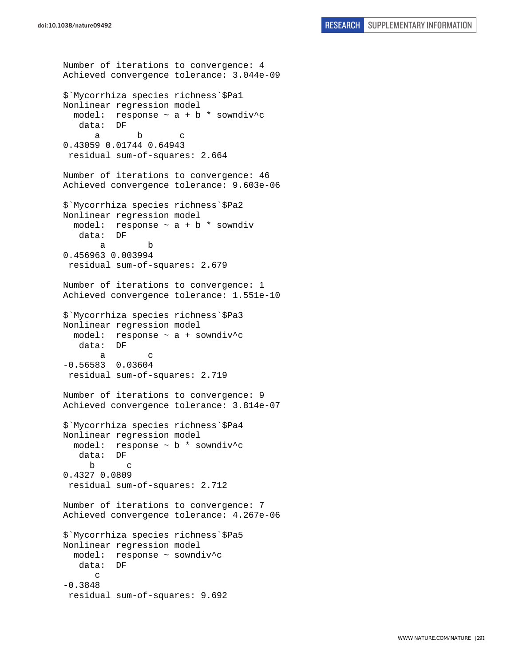```
Number of iterations to convergence: 4 
Achieved convergence tolerance: 3.044e-09 
$`Mycorrhiza species richness`$Pa1 
Nonlinear regression model 
  model: response \sim a + b * sowndiv^c
    data: DF 
 a b c 
0.43059 0.01744 0.64943 
  residual sum-of-squares: 2.664 
Number of iterations to convergence: 46 
Achieved convergence tolerance: 9.603e-06 
$`Mycorrhiza species richness`$Pa2 
Nonlinear regression model 
  model: response \sim a + b * sowndiv
    data: DF 
 a b 
0.456963 0.003994 
 residual sum-of-squares: 2.679 
Number of iterations to convergence: 1 
Achieved convergence tolerance: 1.551e-10 
$`Mycorrhiza species richness`$Pa3 
Nonlinear regression model 
   model: response ~ a + sowndiv^c 
    data: DF 
 a c 
-0.56583 0.03604 
  residual sum-of-squares: 2.719 
Number of iterations to convergence: 9 
Achieved convergence tolerance: 3.814e-07 
$`Mycorrhiza species richness`$Pa4 
Nonlinear regression model 
  model: response ~ b * sowndiv^c 
    data: DF 
 b c 
0.4327 0.0809 
  residual sum-of-squares: 2.712 
Number of iterations to convergence: 7 
Achieved convergence tolerance: 4.267e-06 
$`Mycorrhiza species richness`$Pa5 
Nonlinear regression model 
   model: response ~ sowndiv^c 
    data: DF 
       c 
-0.3848 
  residual sum-of-squares: 9.692
```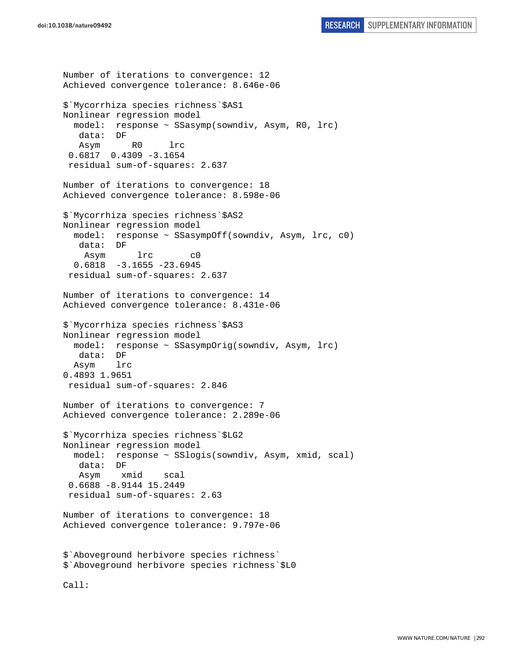Number of iterations to convergence: 12 Achieved convergence tolerance: 8.646e-06 \$`Mycorrhiza species richness`\$AS1 Nonlinear regression model model: response ~ SSasymp(sowndiv, Asym, R0, lrc) data: DF Asym R0 lrc 0.6817 0.4309 -3.1654 residual sum-of-squares: 2.637 Number of iterations to convergence: 18 Achieved convergence tolerance: 8.598e-06 \$`Mycorrhiza species richness`\$AS2 Nonlinear regression model model: response ~ SSasympOff(sowndiv, Asym, lrc, c0) data: DF Asym lrc c0 0.6818 -3.1655 -23.6945 residual sum-of-squares: 2.637 Number of iterations to convergence: 14 Achieved convergence tolerance: 8.431e-06 \$`Mycorrhiza species richness`\$AS3 Nonlinear regression model model: response ~ SSasympOrig(sowndiv, Asym, lrc) data: DF Asym lrc 0.4893 1.9651 residual sum-of-squares: 2.846 Number of iterations to convergence: 7 Achieved convergence tolerance: 2.289e-06 \$`Mycorrhiza species richness`\$LG2 Nonlinear regression model model: response ~ SSlogis(sowndiv, Asym, xmid, scal) data: DF Asym xmid scal 0.6688 -8.9144 15.2449 residual sum-of-squares: 2.63 Number of iterations to convergence: 18 Achieved convergence tolerance: 9.797e-06 \$`Aboveground herbivore species richness` \$`Aboveground herbivore species richness`\$L0 Call: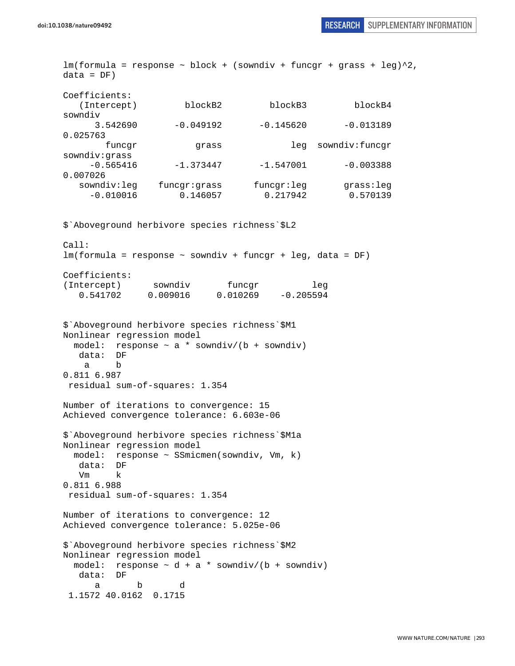$lm(formula = response ~ block + (sowndiv + funcgr + grass + leg)^2$ ,  $data = DF)$ Coefficients: (Intercept) blockB2 blockB3 blockB4 sowndiv 3.542690 -0.049192 -0.145620 -0.013189 0.025763 funcgr grass leg sowndiv:funcgr sowndiv:grass  $-0.565416$   $-1.373447$   $-1.547001$   $-0.003388$ 0.007026 sowndiv:leg funcgr:grass funcgr:leg grass:leg -0.010016 0.146057 0.217942 0.570139 \$`Aboveground herbivore species richness`\$L2 Call:  $lm(formula = response \sim soundiv + funcar + leq, data = DF)$ Coefficients: (Intercept) sowndiv funcgr leg 0.541702 0.009016 0.010269 -0.205594 \$`Aboveground herbivore species richness`\$M1 Nonlinear regression model model: response  $\sim$  a \* sowndiv/(b + sowndiv) data: DF a b 0.811 6.987 residual sum-of-squares: 1.354 Number of iterations to convergence: 15 Achieved convergence tolerance: 6.603e-06 \$`Aboveground herbivore species richness`\$M1a Nonlinear regression model model: response ~ SSmicmen(sowndiv, Vm, k) data: DF Vm k 0.811 6.988 residual sum-of-squares: 1.354 Number of iterations to convergence: 12 Achieved convergence tolerance: 5.025e-06 \$`Aboveground herbivore species richness`\$M2 Nonlinear regression model model: response  $\sim$  d + a \* sowndiv/(b + sowndiv) data: DF a b d 1.1572 40.0162 0.1715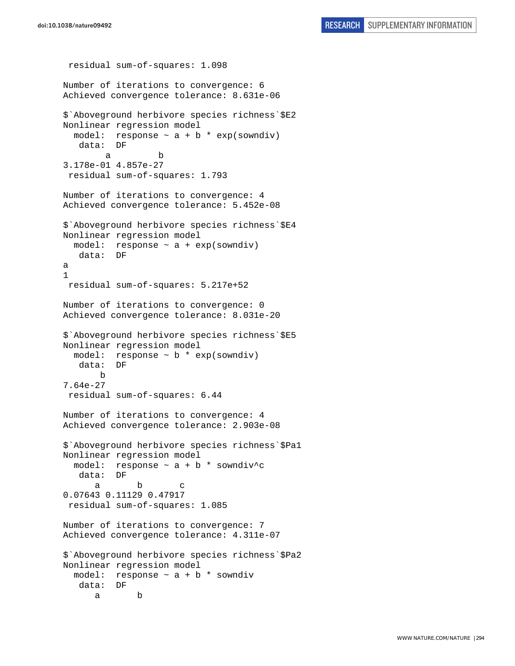```
 residual sum-of-squares: 1.098 
Number of iterations to convergence: 6 
Achieved convergence tolerance: 8.631e-06 
$`Aboveground herbivore species richness`$E2 
Nonlinear regression model 
  model: response \sim a + b * exp(sowndiv)
    data: DF 
 a b 
3.178e-01 4.857e-27 
 residual sum-of-squares: 1.793 
Number of iterations to convergence: 4 
Achieved convergence tolerance: 5.452e-08 
$`Aboveground herbivore species richness`$E4 
Nonlinear regression model 
  model: response ~ a + exp(sowndiv) 
    data: DF 
a 
1 
 residual sum-of-squares: 5.217e+52 
Number of iterations to convergence: 0 
Achieved convergence tolerance: 8.031e-20 
$`Aboveground herbivore species richness`$E5 
Nonlinear regression model 
   model: response ~ b * exp(sowndiv) 
    data: DF 
        b 
7.64e-27 
  residual sum-of-squares: 6.44 
Number of iterations to convergence: 4 
Achieved convergence tolerance: 2.903e-08 
$`Aboveground herbivore species richness`$Pa1 
Nonlinear regression model 
  model: response \sim a + b * sowndiv^c
    data: DF 
 a b c 
0.07643 0.11129 0.47917 
  residual sum-of-squares: 1.085 
Number of iterations to convergence: 7 
Achieved convergence tolerance: 4.311e-07 
$`Aboveground herbivore species richness`$Pa2 
Nonlinear regression model 
 model: response \sim a + b * sowndiv
    data: DF 
 a b
```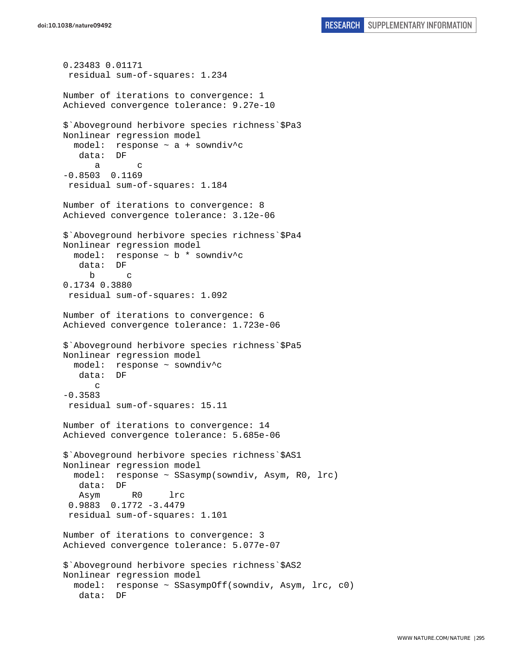```
0.23483 0.01171 
  residual sum-of-squares: 1.234 
Number of iterations to convergence: 1 
Achieved convergence tolerance: 9.27e-10 
$`Aboveground herbivore species richness`$Pa3 
Nonlinear regression model 
   model: response ~ a + sowndiv^c 
    data: DF 
 a c 
-0.8503 0.1169 
 residual sum-of-squares: 1.184 
Number of iterations to convergence: 8 
Achieved convergence tolerance: 3.12e-06 
$`Aboveground herbivore species richness`$Pa4 
Nonlinear regression model 
   model: response ~ b * sowndiv^c 
    data: DF 
 b c 
0.1734 0.3880 
  residual sum-of-squares: 1.092 
Number of iterations to convergence: 6 
Achieved convergence tolerance: 1.723e-06 
$`Aboveground herbivore species richness`$Pa5 
Nonlinear regression model 
  model: response ~ sowndiv^c 
    data: DF 
      \Gamma-0.3583 
 residual sum-of-squares: 15.11 
Number of iterations to convergence: 14 
Achieved convergence tolerance: 5.685e-06 
$`Aboveground herbivore species richness`$AS1 
Nonlinear regression model 
   model: response ~ SSasymp(sowndiv, Asym, R0, lrc) 
    data: DF 
    Asym R0 lrc 
  0.9883 0.1772 -3.4479 
  residual sum-of-squares: 1.101 
Number of iterations to convergence: 3 
Achieved convergence tolerance: 5.077e-07 
$`Aboveground herbivore species richness`$AS2 
Nonlinear regression model 
   model: response ~ SSasympOff(sowndiv, Asym, lrc, c0) 
    data: DF
```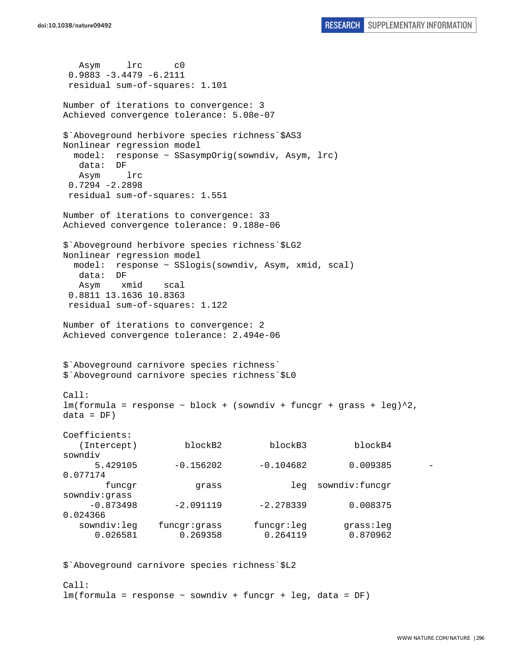Asym lrc c0 0.9883 -3.4479 -6.2111 residual sum-of-squares: 1.101 Number of iterations to convergence: 3 Achieved convergence tolerance: 5.08e-07 \$`Aboveground herbivore species richness`\$AS3 Nonlinear regression model model: response ~ SSasympOrig(sowndiv, Asym, lrc) data: DF Asym lrc 0.7294 -2.2898 residual sum-of-squares: 1.551 Number of iterations to convergence: 33 Achieved convergence tolerance: 9.188e-06 \$`Aboveground herbivore species richness`\$LG2 Nonlinear regression model model: response ~ SSlogis(sowndiv, Asym, xmid, scal) data: DF Asym xmid scal 0.8811 13.1636 10.8363 residual sum-of-squares: 1.122 Number of iterations to convergence: 2 Achieved convergence tolerance: 2.494e-06 \$`Aboveground carnivore species richness` \$`Aboveground carnivore species richness`\$L0 Call:  $lm(formula = response ~ ~block ~ + ~ (sowndiv ~ + ~funcgr ~ + ~grass ~ + ~ leg)^2$ ,  $data = DF)$ Coefficients: (Intercept) blockB2 blockB3 blockB4 sowndiv 5.429105 -0.156202 -0.104682 0.009385 - 0.077174 funcgr grass leg sowndiv:funcgr sowndiv:grass  $-0.873498$   $-2.091119$   $-2.278339$  0.008375 0.024366 sowndiv:leg funcgr:grass funcgr:leg grass:leg 0.026581 0.269358 0.264119 0.870962

\$`Aboveground carnivore species richness`\$L2

 $Ca11$ : lm(formula = response ~ sowndiv + funcgr + leg, data = DF)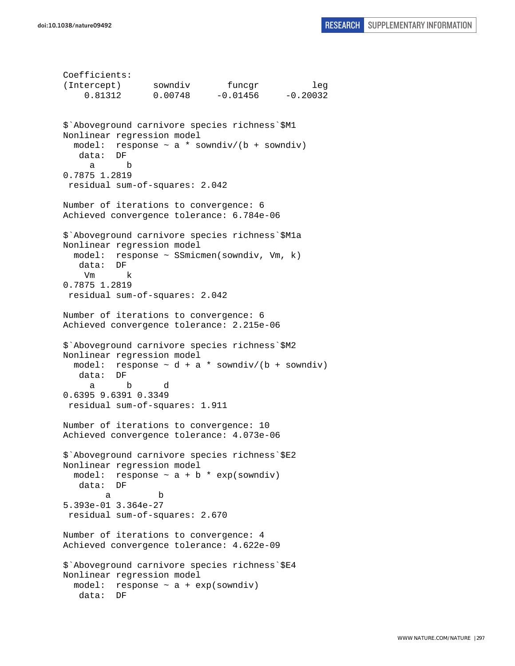```
Coefficients: 
(Intercept) sowndiv funcgr leg 
     0.81312 0.00748 -0.01456 -0.20032 
$`Aboveground carnivore species richness`$M1 
Nonlinear regression model 
  model: response \sim a * sowndiv/(b + sowndiv)
    data: DF 
      a b 
0.7875 1.2819 
  residual sum-of-squares: 2.042 
Number of iterations to convergence: 6 
Achieved convergence tolerance: 6.784e-06 
$`Aboveground carnivore species richness`$M1a 
Nonlinear regression model 
   model: response ~ SSmicmen(sowndiv, Vm, k) 
   data: DF 
     Vm k 
0.7875 1.2819 
  residual sum-of-squares: 2.042 
Number of iterations to convergence: 6 
Achieved convergence tolerance: 2.215e-06 
$`Aboveground carnivore species richness`$M2 
Nonlinear regression model 
  model: response \sim d + a * sowndiv/(b + sowndiv)
    data: DF 
 a b d 
0.6395 9.6391 0.3349 
  residual sum-of-squares: 1.911 
Number of iterations to convergence: 10 
Achieved convergence tolerance: 4.073e-06 
$`Aboveground carnivore species richness`$E2 
Nonlinear regression model 
  model: response \sim a + b * exp(sowndiv)
    data: DF 
 a b 
5.393e-01 3.364e-27 
 residual sum-of-squares: 2.670 
Number of iterations to convergence: 4 
Achieved convergence tolerance: 4.622e-09 
$`Aboveground carnivore species richness`$E4 
Nonlinear regression model 
  model: response ~ a + exp(sowndiv) 
   data: DF
```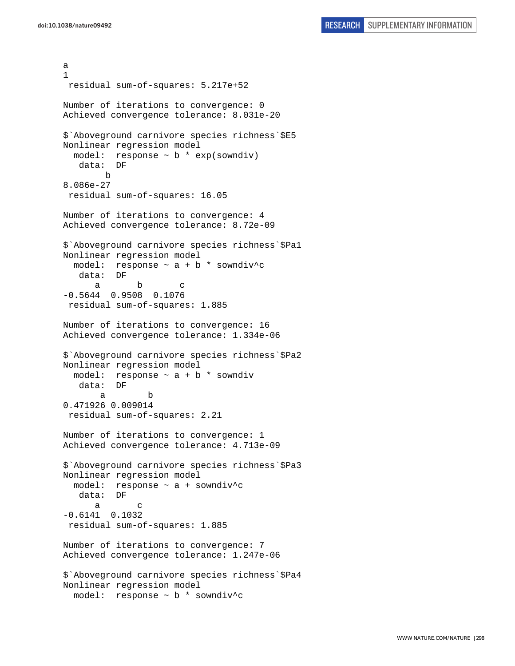a 1 residual sum-of-squares: 5.217e+52 Number of iterations to convergence: 0 Achieved convergence tolerance: 8.031e-20 \$`Aboveground carnivore species richness`\$E5 Nonlinear regression model model: response  $\sim$  b  $*$  exp(sowndiv) data: DF b 8.086e-27 residual sum-of-squares: 16.05 Number of iterations to convergence: 4 Achieved convergence tolerance: 8.72e-09 \$`Aboveground carnivore species richness`\$Pa1 Nonlinear regression model model: response  $\sim$  a + b \* sowndiv^c data: DF a b c -0.5644 0.9508 0.1076 residual sum-of-squares: 1.885 Number of iterations to convergence: 16 Achieved convergence tolerance: 1.334e-06 \$`Aboveground carnivore species richness`\$Pa2 Nonlinear regression model model: response  $\sim$  a + b  $*$  sowndiv data: DF a b 0.471926 0.009014 residual sum-of-squares: 2.21 Number of iterations to convergence: 1 Achieved convergence tolerance: 4.713e-09 \$`Aboveground carnivore species richness`\$Pa3 Nonlinear regression model model: response  $\sim$  a + sowndiv<sup>^</sup>c data: DF a c -0.6141 0.1032 residual sum-of-squares: 1.885 Number of iterations to convergence: 7 Achieved convergence tolerance: 1.247e-06 \$`Aboveground carnivore species richness`\$Pa4 Nonlinear regression model model: response ~ b \* sowndiv^c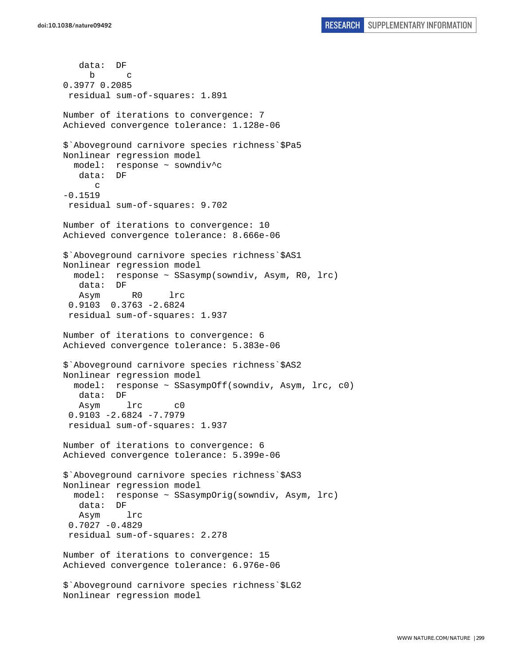data: DF b c 0.3977 0.2085 residual sum-of-squares: 1.891 Number of iterations to convergence: 7 Achieved convergence tolerance: 1.128e-06 \$`Aboveground carnivore species richness`\$Pa5 Nonlinear regression model model: response ~ sowndiv^c data: DF c -0.1519 residual sum-of-squares: 9.702 Number of iterations to convergence: 10 Achieved convergence tolerance: 8.666e-06 \$`Aboveground carnivore species richness`\$AS1 Nonlinear regression model model: response ~ SSasymp(sowndiv, Asym, R0, lrc) data: DF Asym R0 lrc 0.9103 0.3763 -2.6824 residual sum-of-squares: 1.937 Number of iterations to convergence: 6 Achieved convergence tolerance: 5.383e-06 \$`Aboveground carnivore species richness`\$AS2 Nonlinear regression model model: response ~ SSasympOff(sowndiv, Asym, lrc, c0) data: DF Asym lrc c0 0.9103 -2.6824 -7.7979 residual sum-of-squares: 1.937 Number of iterations to convergence: 6 Achieved convergence tolerance: 5.399e-06 \$`Aboveground carnivore species richness`\$AS3 Nonlinear regression model model: response ~ SSasympOrig(sowndiv, Asym, lrc) data: DF Asym lrc 0.7027 -0.4829 residual sum-of-squares: 2.278 Number of iterations to convergence: 15 Achieved convergence tolerance: 6.976e-06 \$`Aboveground carnivore species richness`\$LG2 Nonlinear regression model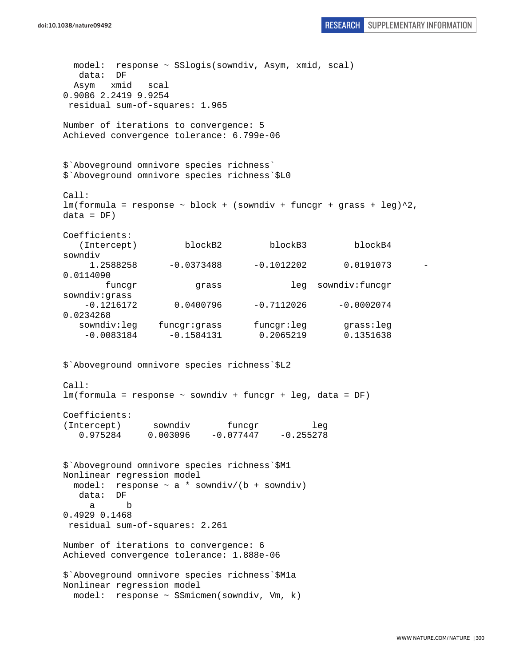```
 model: response ~ SSlogis(sowndiv, Asym, xmid, scal) 
   data: DF 
  Asym xmid scal 
0.9086 2.2419 9.9254 
 residual sum-of-squares: 1.965 
Number of iterations to convergence: 5 
Achieved convergence tolerance: 6.799e-06 
$`Aboveground omnivore species richness` 
$`Aboveground omnivore species richness`$L0 
Call: 
lm(formula = response ~ ~block ~ + ~ (sowndiv ~ + ~funcgr ~ + ~grass ~ + ~ leg)^2,
data = DF)Coefficients: 
   (Intercept) blockB2 blockB3 blockB4
sowndiv 
     1.2588258 -0.0373488 -0.1012202 0.0191073 -
0.0114090 
       funcgr grass leg sowndiv:funcgr
sowndiv:grass 
    -0.1216172 0.0400796 -0.7112026 -0.0002074 
0.0234268 
   sowndiv:leg funcgr:grass funcgr:leg grass:leg 
    -0.0083184 -0.1584131 0.2065219 0.1351638 
$`Aboveground omnivore species richness`$L2 
Call: 
lm(formula = response ~ sowndiv + funcgr + leg, data = DF) 
Coefficients: 
(Intercept) sowndiv funcgr leg 
   0.975284 0.003096 -0.077447 -0.255278 
$`Aboveground omnivore species richness`$M1 
Nonlinear regression model 
 model: response \sim a * sowndiv/(b + sowndiv)
   data: DF 
 a b 
0.4929 0.1468 
 residual sum-of-squares: 2.261 
Number of iterations to convergence: 6 
Achieved convergence tolerance: 1.888e-06 
$`Aboveground omnivore species richness`$M1a 
Nonlinear regression model 
  model: response ~ SSmicmen(sowndiv, Vm, k)
```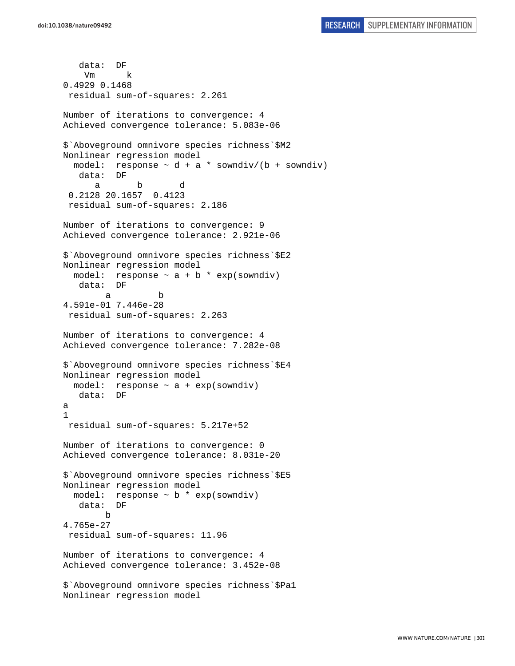```
 data: DF 
     Vm k 
0.4929 0.1468 
  residual sum-of-squares: 2.261 
Number of iterations to convergence: 4 
Achieved convergence tolerance: 5.083e-06 
$`Aboveground omnivore species richness`$M2 
Nonlinear regression model 
  model: response \sim d + a * sowndiv/(b + sowndiv)
    data: DF 
 a b d 
  0.2128 20.1657 0.4123 
  residual sum-of-squares: 2.186 
Number of iterations to convergence: 9 
Achieved convergence tolerance: 2.921e-06 
$`Aboveground omnivore species richness`$E2 
Nonlinear regression model 
  model: response \sim a + b * exp(sowndiv)
    data: DF 
 a b 
4.591e-01 7.446e-28 
  residual sum-of-squares: 2.263 
Number of iterations to convergence: 4 
Achieved convergence tolerance: 7.282e-08 
$`Aboveground omnivore species richness`$E4 
Nonlinear regression model 
  model: response ~ a + exp(sowndiv) 
    data: DF 
a 
1 
  residual sum-of-squares: 5.217e+52 
Number of iterations to convergence: 0 
Achieved convergence tolerance: 8.031e-20 
$`Aboveground omnivore species richness`$E5 
Nonlinear regression model 
  model: response \sim b * exp(sowndiv)
    data: DF 
 b 
4.765e-27 
  residual sum-of-squares: 11.96 
Number of iterations to convergence: 4 
Achieved convergence tolerance: 3.452e-08 
$`Aboveground omnivore species richness`$Pa1 
Nonlinear regression model
```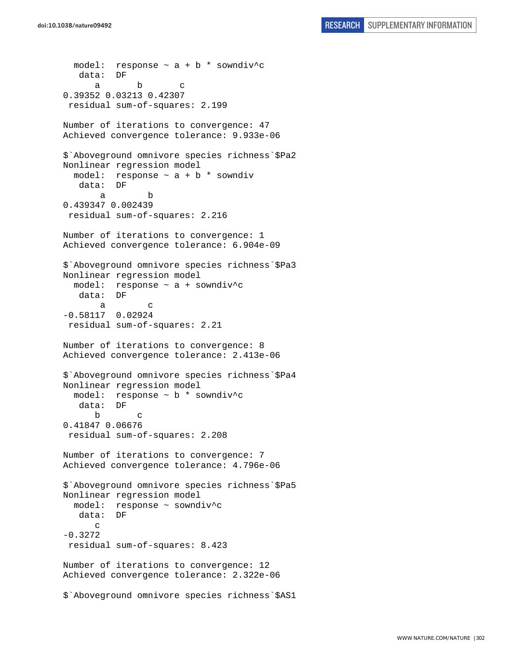```
model: response \sim a + b * sowndiv^c
    data: DF 
 a b c 
0.39352 0.03213 0.42307 
 residual sum-of-squares: 2.199 
Number of iterations to convergence: 47 
Achieved convergence tolerance: 9.933e-06 
$`Aboveground omnivore species richness`$Pa2 
Nonlinear regression model 
  model: response \sim a + b * sowndiv
    data: DF 
 a b 
0.439347 0.002439 
 residual sum-of-squares: 2.216 
Number of iterations to convergence: 1 
Achieved convergence tolerance: 6.904e-09 
$`Aboveground omnivore species richness`$Pa3 
Nonlinear regression model 
   model: response ~ a + sowndiv^c 
    data: DF 
 a c 
-0.58117 0.02924 
  residual sum-of-squares: 2.21 
Number of iterations to convergence: 8 
Achieved convergence tolerance: 2.413e-06 
$`Aboveground omnivore species richness`$Pa4 
Nonlinear regression model 
   model: response ~ b * sowndiv^c 
    data: DF 
 b c 
0.41847 0.06676 
 residual sum-of-squares: 2.208 
Number of iterations to convergence: 7 
Achieved convergence tolerance: 4.796e-06 
$`Aboveground omnivore species richness`$Pa5 
Nonlinear regression model 
   model: response ~ sowndiv^c 
    data: DF 
      \Gamma-0.3272 
  residual sum-of-squares: 8.423 
Number of iterations to convergence: 12 
Achieved convergence tolerance: 2.322e-06 
$`Aboveground omnivore species richness`$AS1
```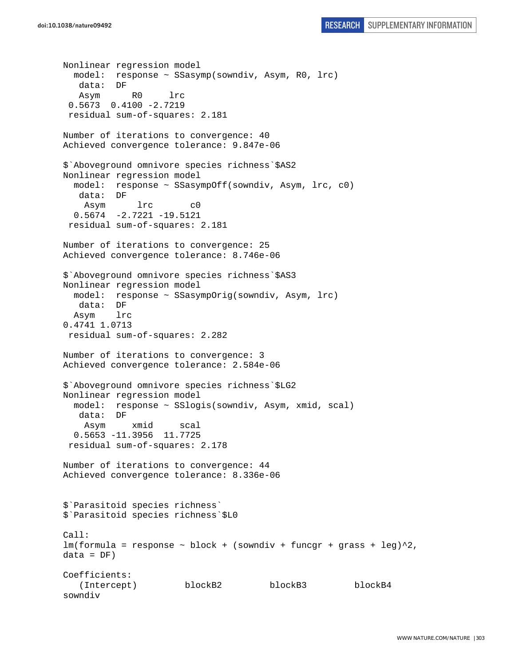```
doi:10.1038/nature09492 RESEARCH SUPPLEMENTARY INFORMATION
```

```
Nonlinear regression model 
   model: response ~ SSasymp(sowndiv, Asym, R0, lrc) 
    data: DF 
    Asym R0 lrc 
  0.5673 0.4100 -2.7219 
  residual sum-of-squares: 2.181 
Number of iterations to convergence: 40 
Achieved convergence tolerance: 9.847e-06 
$`Aboveground omnivore species richness`$AS2 
Nonlinear regression model 
   model: response ~ SSasympOff(sowndiv, Asym, lrc, c0) 
   data: DF 
     Asym lrc c0 
  0.5674 - 2.7221 - 19.5121 residual sum-of-squares: 2.181 
Number of iterations to convergence: 25 
Achieved convergence tolerance: 8.746e-06 
$`Aboveground omnivore species richness`$AS3 
Nonlinear regression model 
   model: response ~ SSasympOrig(sowndiv, Asym, lrc) 
    data: DF 
   Asym lrc 
0.4741 1.0713 
 residual sum-of-squares: 2.282 
Number of iterations to convergence: 3 
Achieved convergence tolerance: 2.584e-06 
$`Aboveground omnivore species richness`$LG2 
Nonlinear regression model 
   model: response ~ SSlogis(sowndiv, Asym, xmid, scal) 
   data: DF 
     Asym xmid scal 
   0.5653 -11.3956 11.7725 
  residual sum-of-squares: 2.178 
Number of iterations to convergence: 44 
Achieved convergence tolerance: 8.336e-06 
$`Parasitoid species richness` 
$`Parasitoid species richness`$L0 
Call: 
lm(formula = response ~ block + (sowndiv + funcgr + grass + leg)^2,data = DF)Coefficients: 
    (Intercept) blockB2 blockB3 blockB4 
sowndiv
```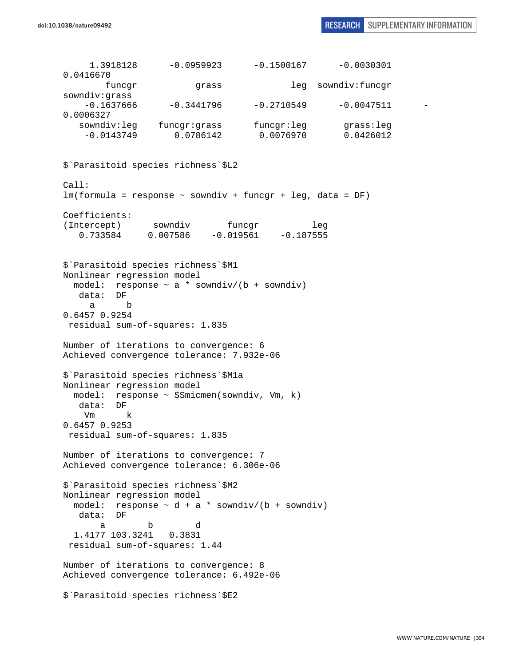| 1.3918128                      | $-0.0959923$                                                                        |              | $-0.1500167$ $-0.0030301$ |  |
|--------------------------------|-------------------------------------------------------------------------------------|--------------|---------------------------|--|
| 0.0416670                      |                                                                                     |              |                           |  |
| funcgr<br>sowndiv:grass        | grass                                                                               |              | leg sowndiv:funcgr        |  |
| $-0.1637666$                   | $-0.3441796$                                                                        | $-0.2710549$ | $-0.0047511$              |  |
| 0.0006327                      |                                                                                     |              |                           |  |
| sowndiv:leg<br>$-0.0143749$    | funcgr:grass funcgr:leg<br>0.0786142                                                | 0.0076970    | grass:leg<br>0.0426012    |  |
|                                |                                                                                     |              |                           |  |
|                                | \$ Parasitoid species richness \$L2                                                 |              |                           |  |
| Call:                          | $lm(formula = response ~soundiv + funcgr + leg, data = DF)$                         |              |                           |  |
| Coefficients:                  |                                                                                     |              |                           |  |
| (Intercept) sowndiv            |                                                                                     | funcgr       | leg                       |  |
|                                | $0.733584$ $0.007586$ $-0.019561$ $-0.187555$                                       |              |                           |  |
|                                |                                                                                     |              |                           |  |
|                                | \$ Parasitoid species richness \$M1                                                 |              |                           |  |
| Nonlinear regression model     |                                                                                     |              |                           |  |
| data: DF                       | model: response $\sim$ a * sowndiv/(b + sowndiv)                                    |              |                           |  |
| b<br>а                         |                                                                                     |              |                           |  |
| 0.6457 0.9254                  |                                                                                     |              |                           |  |
| residual sum-of-squares: 1.835 |                                                                                     |              |                           |  |
|                                | Number of iterations to convergence: 6                                              |              |                           |  |
|                                | Achieved convergence tolerance: 7.932e-06                                           |              |                           |  |
|                                |                                                                                     |              |                           |  |
| Nonlinear regression model     | \$ Parasitoid species richness \$M1a                                                |              |                           |  |
|                                | model: response ~ SSmicmen(sowndiv, Vm, k)                                          |              |                           |  |
| data: DF                       |                                                                                     |              |                           |  |
| k<br>Vm<br>$0.6457$ 0.9253     |                                                                                     |              |                           |  |
| residual sum-of-squares: 1.835 |                                                                                     |              |                           |  |
|                                |                                                                                     |              |                           |  |
|                                | Number of iterations to convergence: 7<br>Achieved convergence tolerance: 6.306e-06 |              |                           |  |
|                                |                                                                                     |              |                           |  |
|                                | \$ Parasitoid species richness \$M2                                                 |              |                           |  |
| Nonlinear regression model     |                                                                                     |              |                           |  |
| data: DF                       | model: response $\sim d + a *$ sowndiv/(b + sowndiv)                                |              |                           |  |
| a                              | b<br>d                                                                              |              |                           |  |
| 1.4177 103.3241 0.3831         |                                                                                     |              |                           |  |
| residual sum-of-squares: 1.44  |                                                                                     |              |                           |  |
|                                | Number of iterations to convergence: 8                                              |              |                           |  |
|                                | Achieved convergence tolerance: 6.492e-06                                           |              |                           |  |
|                                | \$ Parasitoid species richness \$E2                                                 |              |                           |  |
|                                |                                                                                     |              |                           |  |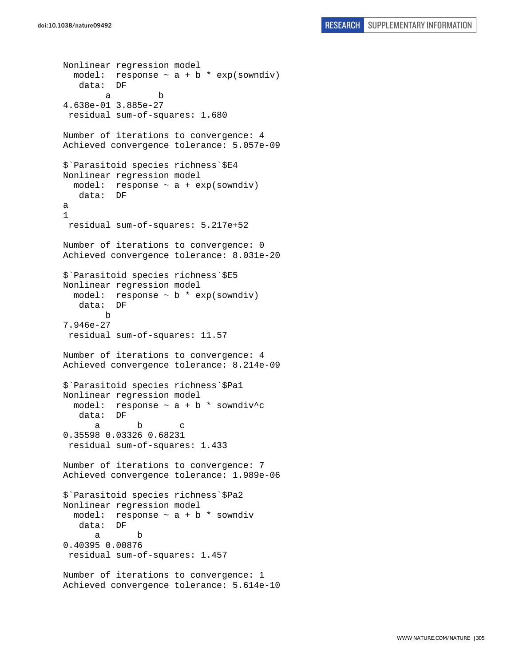```
Nonlinear regression model 
  model: response \sim a + b * exp(sowndiv)
    data: DF 
 a b 
4.638e-01 3.885e-27 
  residual sum-of-squares: 1.680 
Number of iterations to convergence: 4 
Achieved convergence tolerance: 5.057e-09 
$`Parasitoid species richness`$E4 
Nonlinear regression model 
  model: response ~ a + exp(sowndiv) 
   data: DF 
a 
1 
  residual sum-of-squares: 5.217e+52 
Number of iterations to convergence: 0 
Achieved convergence tolerance: 8.031e-20 
$`Parasitoid species richness`$E5 
Nonlinear regression model 
  model: response \sim b * exp(sowndiv)
    data: DF 
 b 
7.946e-27 
 residual sum-of-squares: 11.57 
Number of iterations to convergence: 4 
Achieved convergence tolerance: 8.214e-09 
$`Parasitoid species richness`$Pa1 
Nonlinear regression model 
  model: response \sim a + b * sowndiv<sup>^</sup>c
    data: DF 
 a b c 
0.35598 0.03326 0.68231 
 residual sum-of-squares: 1.433 
Number of iterations to convergence: 7 
Achieved convergence tolerance: 1.989e-06 
$`Parasitoid species richness`$Pa2 
Nonlinear regression model 
  model: response ~ a + b * sowndiv 
   data: DF 
 a b 
0.40395 0.00876 
  residual sum-of-squares: 1.457 
Number of iterations to convergence: 1 
Achieved convergence tolerance: 5.614e-10
```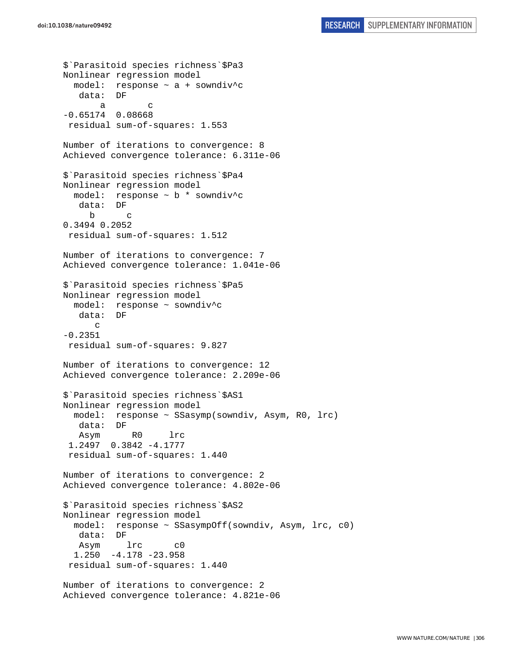\$`Parasitoid species richness`\$Pa3 Nonlinear regression model model: response ~ a + sowndiv^c data: DF a c -0.65174 0.08668 residual sum-of-squares: 1.553 Number of iterations to convergence: 8 Achieved convergence tolerance: 6.311e-06 \$`Parasitoid species richness`\$Pa4 Nonlinear regression model model: response ~ b \* sowndiv^c data: DF b c 0.3494 0.2052 residual sum-of-squares: 1.512 Number of iterations to convergence: 7 Achieved convergence tolerance: 1.041e-06 \$`Parasitoid species richness`\$Pa5 Nonlinear regression model model: response ~ sowndiv^c<br>data: DF  $data:$  $\mathcal{C}$ -0.2351 residual sum-of-squares: 9.827 Number of iterations to convergence: 12 Achieved convergence tolerance: 2.209e-06 \$`Parasitoid species richness`\$AS1 Nonlinear regression model model: response ~ SSasymp(sowndiv, Asym, R0, lrc) data: DF Asym R0 lrc 1.2497 0.3842 -4.1777 residual sum-of-squares: 1.440 Number of iterations to convergence: 2 Achieved convergence tolerance: 4.802e-06 \$`Parasitoid species richness`\$AS2 Nonlinear regression model model: response ~ SSasympOff(sowndiv, Asym, lrc, c0) data: DF Asym lrc c0 1.250 -4.178 -23.958 residual sum-of-squares: 1.440 Number of iterations to convergence: 2 Achieved convergence tolerance: 4.821e-06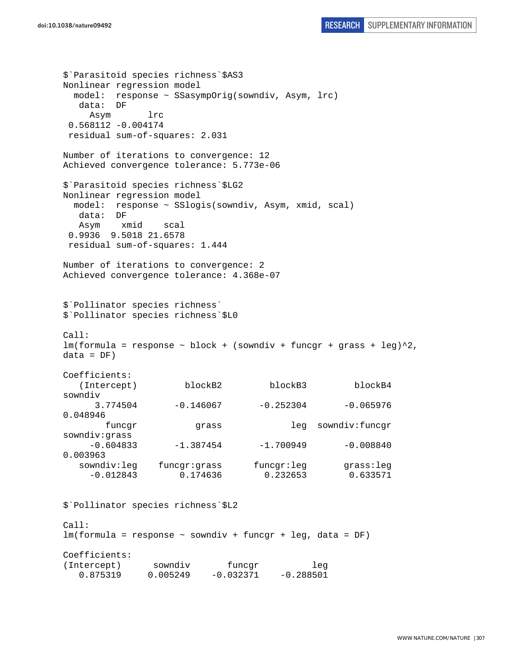\$`Parasitoid species richness`\$AS3 Nonlinear regression model model: response ~ SSasympOrig(sowndiv, Asym, lrc) data: DF Asym lrc 0.568112 -0.004174 residual sum-of-squares: 2.031 Number of iterations to convergence: 12 Achieved convergence tolerance: 5.773e-06 \$`Parasitoid species richness`\$LG2 Nonlinear regression model model: response ~ SSlogis(sowndiv, Asym, xmid, scal) data: DF Asym xmid scal 0.9936 9.5018 21.6578 residual sum-of-squares: 1.444 Number of iterations to convergence: 2 Achieved convergence tolerance: 4.368e-07 \$`Pollinator species richness` \$`Pollinator species richness`\$L0  $Cal:$  $lm(formula = response ~ block + (sowndiv + funcgr + grass + leg)^2,$  $data = DF)$ Coefficients: (Intercept) blockB2 blockB3 blockB4 sowndiv  $3.774504$   $-0.146067$   $-0.252304$   $-0.065976$ 0.048946 funcgr grass leg sowndiv:funcgr sowndiv:grass  $-0.604833$   $-1.387454$   $-1.700949$   $-0.008840$ 0.003963 sowndiv:leg funcgr:grass funcgr:leg grass:leg -0.012843 0.174636 0.232653 0.633571 \$`Pollinator species richness`\$L2 Call: lm(formula = response ~ sowndiv + funcgr + leg, data = DF) Coefficients: (Intercept) sowndiv funcgr leg

0.875319 0.005249 -0.032371 -0.288501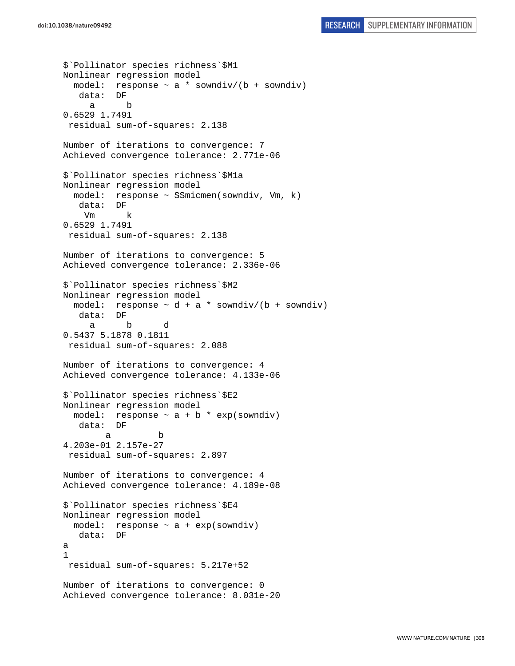\$`Pollinator species richness`\$M1 Nonlinear regression model model: response  $\sim$  a  $*$  sowndiv/(b + sowndiv) data: DF a b 0.6529 1.7491 residual sum-of-squares: 2.138 Number of iterations to convergence: 7 Achieved convergence tolerance: 2.771e-06 \$`Pollinator species richness`\$M1a Nonlinear regression model model: response ~ SSmicmen(sowndiv, Vm, k) data: DF Vm k 0.6529 1.7491 residual sum-of-squares: 2.138 Number of iterations to convergence: 5 Achieved convergence tolerance: 2.336e-06 \$`Pollinator species richness`\$M2 Nonlinear regression model model: response  $\sim d + a *$  sowndiv/(b + sowndiv) data: DF a b d 0.5437 5.1878 0.1811 residual sum-of-squares: 2.088 Number of iterations to convergence: 4 Achieved convergence tolerance: 4.133e-06 \$`Pollinator species richness`\$E2 Nonlinear regression model model: response  $\sim$  a + b \* exp(sowndiv) data: DF a b 4.203e-01 2.157e-27 residual sum-of-squares: 2.897 Number of iterations to convergence: 4 Achieved convergence tolerance: 4.189e-08 \$`Pollinator species richness`\$E4 Nonlinear regression model model: response  $\sim$  a + exp(sowndiv) data: DF a 1 residual sum-of-squares: 5.217e+52 Number of iterations to convergence: 0 Achieved convergence tolerance: 8.031e-20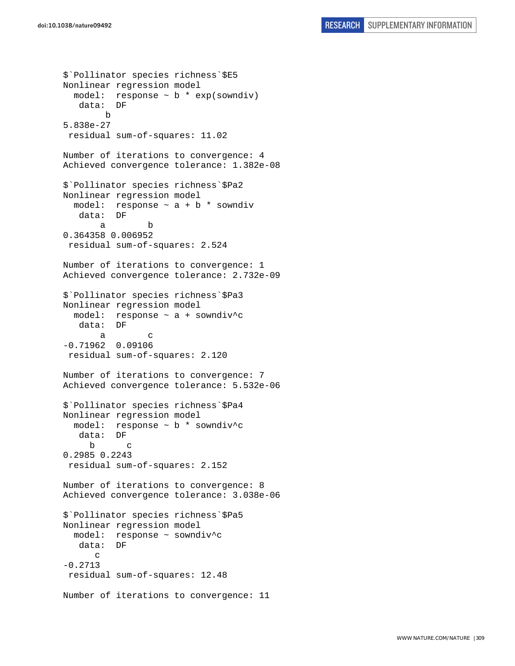```
$`Pollinator species richness`$E5 
Nonlinear regression model 
  model: response \sim b * exp(sowndiv)
    data: DF 
         b 
5.838e-27 
  residual sum-of-squares: 11.02 
Number of iterations to convergence: 4 
Achieved convergence tolerance: 1.382e-08 
$`Pollinator species richness`$Pa2 
Nonlinear regression model 
 model: response \sim a + b * sowndiv
    data: DF 
 a b 
0.364358 0.006952 
 residual sum-of-squares: 2.524 
Number of iterations to convergence: 1 
Achieved convergence tolerance: 2.732e-09 
$`Pollinator species richness`$Pa3 
Nonlinear regression model 
   model: response ~ a + sowndiv^c 
    data: DF 
 a c 
-0.71962 0.09106 
 residual sum-of-squares: 2.120 
Number of iterations to convergence: 7 
Achieved convergence tolerance: 5.532e-06 
$`Pollinator species richness`$Pa4 
Nonlinear regression model 
   model: response ~ b * sowndiv^c 
    data: DF 
 b c 
0.2985 0.2243 
  residual sum-of-squares: 2.152 
Number of iterations to convergence: 8 
Achieved convergence tolerance: 3.038e-06 
$`Pollinator species richness`$Pa5 
Nonlinear regression model 
  model: response ~ sowndiv^c 
    data: DF 
      \mathcal{C}-0.2713 
 residual sum-of-squares: 12.48 
Number of iterations to convergence: 11
```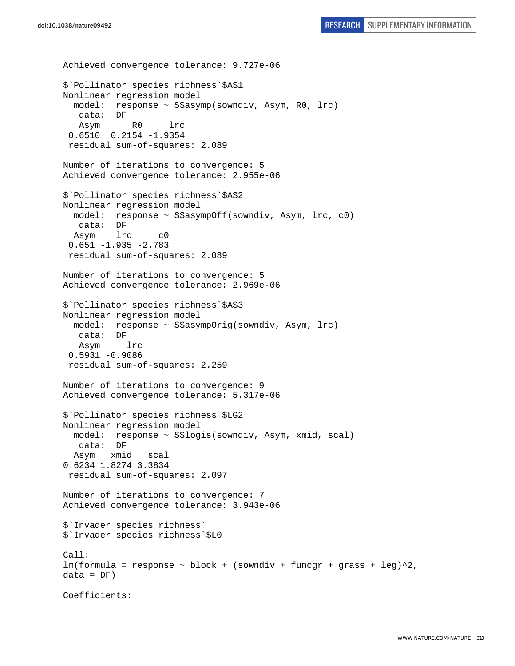```
doi:10.1038/nature09492 RESEARCH SUPPLEMENTARY INFORMATION
```

```
Achieved convergence tolerance: 9.727e-06 
$`Pollinator species richness`$AS1 
Nonlinear regression model 
  model: response ~ SSasymp(sowndiv, Asym, R0, lrc) 
    data: DF 
    Asym R0 lrc 
  0.6510 0.2154 -1.9354 
  residual sum-of-squares: 2.089 
Number of iterations to convergence: 5 
Achieved convergence tolerance: 2.955e-06 
$`Pollinator species richness`$AS2 
Nonlinear regression model 
  model: response ~ SSasympOff(sowndiv, Asym, lrc, c0) 
    data: DF 
  Asym lrc c0 
  0.651 -1.935 -2.783 
  residual sum-of-squares: 2.089 
Number of iterations to convergence: 5 
Achieved convergence tolerance: 2.969e-06 
$`Pollinator species richness`$AS3 
Nonlinear regression model 
   model: response ~ SSasympOrig(sowndiv, Asym, lrc) 
    data: DF 
    Asym lrc 
 0.5931 - 0.9086 residual sum-of-squares: 2.259 
Number of iterations to convergence: 9 
Achieved convergence tolerance: 5.317e-06 
$`Pollinator species richness`$LG2 
Nonlinear regression model 
  model: response ~ SSlogis(sowndiv, Asym, xmid, scal) 
   data: DF 
   Asym xmid scal 
0.6234 1.8274 3.3834 
  residual sum-of-squares: 2.097 
Number of iterations to convergence: 7 
Achieved convergence tolerance: 3.943e-06 
$`Invader species richness` 
$`Invader species richness`$L0 
Call: 
lm(formula = response ~ block + (sowndiv + funcgr + grass + leg)^2, 
data = DF)Coefficients:
```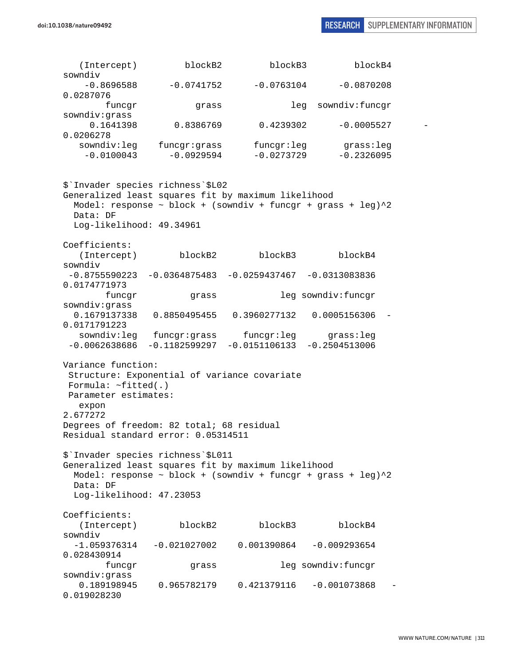(Intercept) blockB2 blockB3 blockB4 sowndiv  $-0.8696588$   $-0.0741752$   $-0.0763104$   $-0.0870208$ 0.0287076 funcgr grass leg sowndiv:funcgr sowndiv:grass 0.1641398 0.8386769 0.4239302 -0.0005527 - 0.0206278 sowndiv:leg funcgr:grass funcgr:leg grass:leg  $-0.0100043$   $-0.0929594$   $-0.0273729$   $-0.2326095$ \$`Invader species richness`\$L02 Generalized least squares fit by maximum likelihood Model: response  $\sim$  block + (sowndiv + funcgr + grass + leg) $\textdegree{}2$  Data: DF Log-likelihood: 49.34961 Coefficients: (Intercept) blockB2 blockB3 blockB4 sowndiv -0.8755590223 -0.0364875483 -0.0259437467 -0.0313083836 0.0174771973 funcgr grass leg sowndiv:funcgr sowndiv:grass 0.1679137338 0.8850495455 0.3960277132 0.0005156306 - 0.0171791223 sowndiv:leg funcgr:grass funcgr:leg grass:leg -0.0062638686 -0.1182599297 -0.0151106133 -0.2504513006 Variance function: Structure: Exponential of variance covariate Formula: ~fitted(.) Parameter estimates: expon 2.677272 Degrees of freedom: 82 total; 68 residual Residual standard error: 0.05314511 \$`Invader species richness`\$L011 Generalized least squares fit by maximum likelihood Model: response  $\sim$  block + (sowndiv + funcgr + grass + leg) $^2$  Data: DF Log-likelihood: 47.23053 Coefficients: (Intercept) blockB2 blockB3 blockB4 sowndiv  $-1.059376314 -0.021027002$  0.001390864  $-0.009293654$ 0.028430914 funcgr grass leg sowndiv:funcgr sowndiv:grass 0.189198945 0.965782179 0.421379116 -0.001073868 - 0.019028230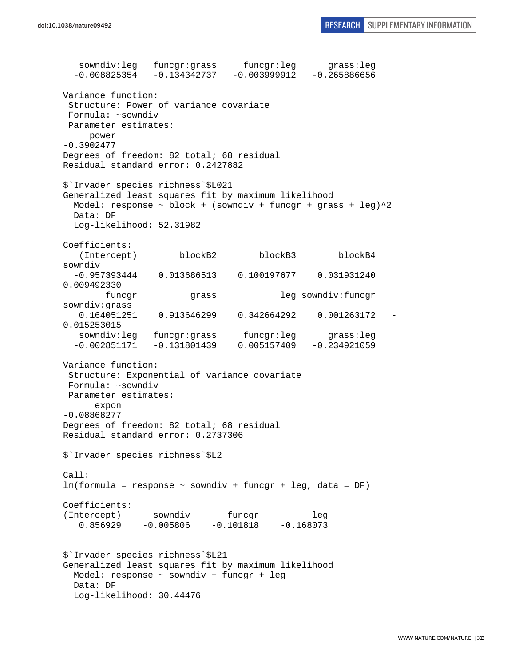sowndiv:leg funcgr:grass funcgr:leg grass:leg  $-0.008825354 -0.134342737 -0.003999912 -0.265886656$ Variance function: Structure: Power of variance covariate Formula: ~sowndiv Parameter estimates: power -0.3902477 Degrees of freedom: 82 total; 68 residual Residual standard error: 0.2427882 \$`Invader species richness`\$L021 Generalized least squares fit by maximum likelihood Model: response  $\sim$  block + (sowndiv + funcgr + grass + leg) $^2$  Data: DF Log-likelihood: 52.31982 Coefficients: (Intercept) blockB2 blockB3 blockB4 sowndiv -0.957393444 0.013686513 0.100197677 0.031931240 0.009492330 funcgr grass leg sowndiv:funcgr sowndiv:grass 0.164051251 0.913646299 0.342664292 0.001263172 - 0.015253015 sowndiv:leg funcgr:grass funcgr:leg grass:leg -0.002851171 -0.131801439 0.005157409 -0.234921059 Variance function: Structure: Exponential of variance covariate Formula: ~sowndiv Parameter estimates: expon -0.08868277 Degrees of freedom: 82 total; 68 residual Residual standard error: 0.2737306 \$`Invader species richness`\$L2 Call: lm(formula = response ~ sowndiv + funcgr + leg, data = DF) Coefficients: (Intercept) sowndiv funcgr leg 0.856929 -0.005806 -0.101818 -0.168073 \$`Invader species richness`\$L21 Generalized least squares fit by maximum likelihood Model: response ~ sowndiv + funcgr + leg Data: DF Log-likelihood: 30.44476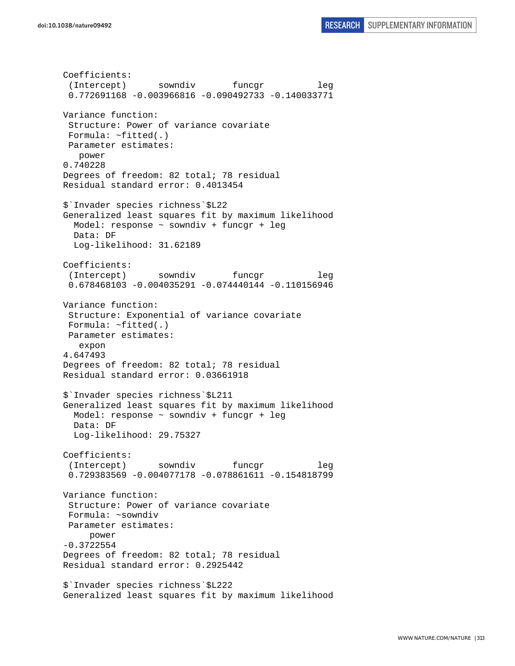```
Coefficients: 
  (Intercept) sowndiv funcgr leg 
  0.772691168 -0.003966816 -0.090492733 -0.140033771 
Variance function: 
  Structure: Power of variance covariate 
  Formula: ~fitted(.) 
 Parameter estimates: 
    power 
0.740228 
Degrees of freedom: 82 total; 78 residual 
Residual standard error: 0.4013454 
$`Invader species richness`$L22 
Generalized least squares fit by maximum likelihood 
   Model: response ~ sowndiv + funcgr + leg 
  Data: DF 
  Log-likelihood: 31.62189 
Coefficients: 
 (Intercept) sowndiv funcqr leg
  0.678468103 -0.004035291 -0.074440144 -0.110156946 
Variance function: 
  Structure: Exponential of variance covariate 
 Formula: ~fitted(.) 
 Parameter estimates: 
    expon 
4.647493 
Degrees of freedom: 82 total; 78 residual 
Residual standard error: 0.03661918 
$`Invader species richness`$L211 
Generalized least squares fit by maximum likelihood 
  Model: response ~ sowndiv + funcgr + leg 
   Data: DF 
  Log-likelihood: 29.75327 
Coefficients: 
  (Intercept) sowndiv funcgr leg 
  0.729383569 -0.004077178 -0.078861611 -0.154818799 
Variance function: 
  Structure: Power of variance covariate 
 Formula: ~sowndiv 
 Parameter estimates: 
     power 
-0.3722554 
Degrees of freedom: 82 total; 78 residual 
Residual standard error: 0.2925442 
$`Invader species richness`$L222 
Generalized least squares fit by maximum likelihood
```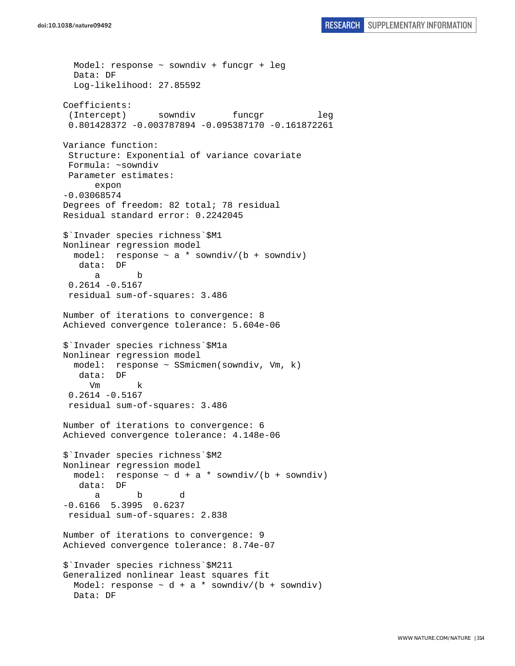```
 Model: response ~ sowndiv + funcgr + leg 
   Data: DF 
   Log-likelihood: 27.85592 
Coefficients: 
 (Intercept) sowndiv funcgr leg
  0.801428372 -0.003787894 -0.095387170 -0.161872261 
Variance function: 
  Structure: Exponential of variance covariate 
  Formula: ~sowndiv 
 Parameter estimates: 
       expon 
-0.03068574 
Degrees of freedom: 82 total; 78 residual 
Residual standard error: 0.2242045 
$`Invader species richness`$M1 
Nonlinear regression model 
  model: response \sim a * sowndiv/(b + sowndiv)
    data: DF 
 a b 
  0.2614 -0.5167 
  residual sum-of-squares: 3.486 
Number of iterations to convergence: 8 
Achieved convergence tolerance: 5.604e-06 
$`Invader species richness`$M1a 
Nonlinear regression model 
  model: response ~ SSmicmen(sowndiv, Vm, k) 
    data: DF 
      Vm k 
  0.2614 -0.5167 
  residual sum-of-squares: 3.486 
Number of iterations to convergence: 6 
Achieved convergence tolerance: 4.148e-06 
$`Invader species richness`$M2 
Nonlinear regression model 
  model: response \sim d + a * sowndiv/(b + sowndiv)
    data: DF 
 a b d 
-0.6166 5.3995 0.6237 
 residual sum-of-squares: 2.838 
Number of iterations to convergence: 9 
Achieved convergence tolerance: 8.74e-07 
$`Invader species richness`$M211 
Generalized nonlinear least squares fit 
  Model: response \sim d + a * sowndiv/(b + sowndiv)
   Data: DF
```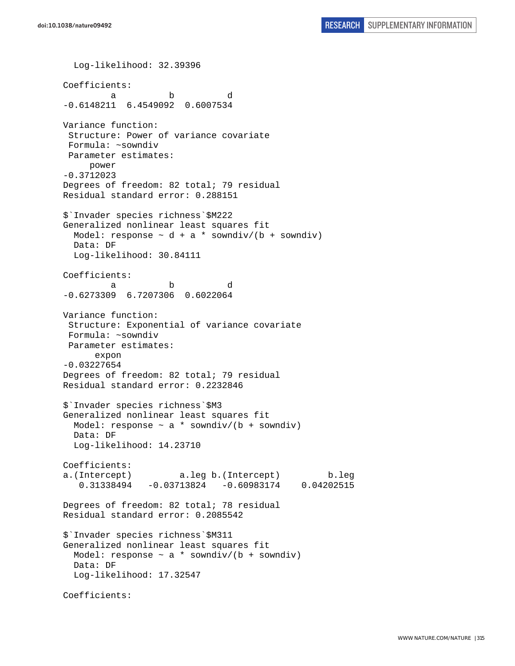Log-likelihood: 32.39396 Coefficients: a b d -0.6148211 6.4549092 0.6007534 Variance function: Structure: Power of variance covariate Formula: ~sowndiv Parameter estimates: power -0.3712023 Degrees of freedom: 82 total; 79 residual Residual standard error: 0.288151 \$`Invader species richness`\$M222 Generalized nonlinear least squares fit Model: response  $\sim$  d + a \* sowndiv/(b + sowndiv) Data: DF Log-likelihood: 30.84111 Coefficients: a b d -0.6273309 6.7207306 0.6022064 Variance function: Structure: Exponential of variance covariate Formula: ~sowndiv Parameter estimates: expon -0.03227654 Degrees of freedom: 82 total; 79 residual Residual standard error: 0.2232846 \$`Invader species richness`\$M3 Generalized nonlinear least squares fit Model: response  $\sim$  a  $*$  sowndiv/(b + sowndiv) Data: DF Log-likelihood: 14.23710 Coefficients: a.(Intercept) a.leg b.(Intercept) b.leg 0.31338494 -0.03713824 -0.60983174 0.04202515 Degrees of freedom: 82 total; 78 residual Residual standard error: 0.2085542 \$`Invader species richness`\$M311 Generalized nonlinear least squares fit Model: response  $\sim$  a \* sowndiv/(b + sowndiv) Data: DF Log-likelihood: 17.32547 Coefficients: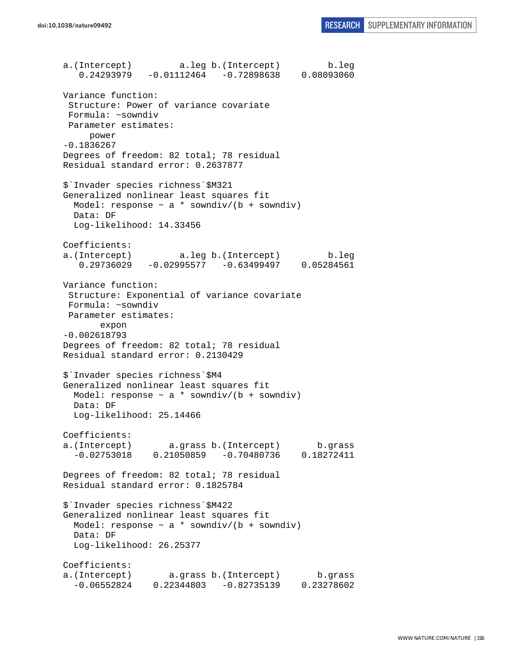a.(Intercept) a.leg b.(Intercept) b.leg 0.24293979 -0.01112464 -0.72898638 0.08093060 Variance function: Structure: Power of variance covariate Formula: ~sowndiv Parameter estimates: power -0.1836267 Degrees of freedom: 82 total; 78 residual Residual standard error: 0.2637877 \$`Invader species richness`\$M321 Generalized nonlinear least squares fit Model: response  $\sim$  a \* sowndiv/(b + sowndiv) Data: DF Log-likelihood: 14.33456 Coefficients: a.(Intercept) a.leg b.(Intercept) b.leg 0.29736029 -0.02995577 -0.63499497 0.05284561 Variance function: Structure: Exponential of variance covariate Formula: ~sowndiv Parameter estimates: expon -0.002618793 Degrees of freedom: 82 total; 78 residual Residual standard error: 0.2130429 \$`Invader species richness`\$M4 Generalized nonlinear least squares fit Model: response  $\sim$  a \* sowndiv/(b + sowndiv) Data: DF Log-likelihood: 25.14466 Coefficients: a.(Intercept) a.grass b.(Intercept) b.grass -0.02753018 0.21050859 -0.70480736 0.18272411 Degrees of freedom: 82 total; 78 residual Residual standard error: 0.1825784 \$`Invader species richness`\$M422 Generalized nonlinear least squares fit Model: response  $\sim$  a \* sowndiv/(b + sowndiv) Data: DF Log-likelihood: 26.25377 Coefficients: a.(Intercept) a.grass b.(Intercept) b.grass -0.06552824 0.22344803 -0.82735139 0.23278602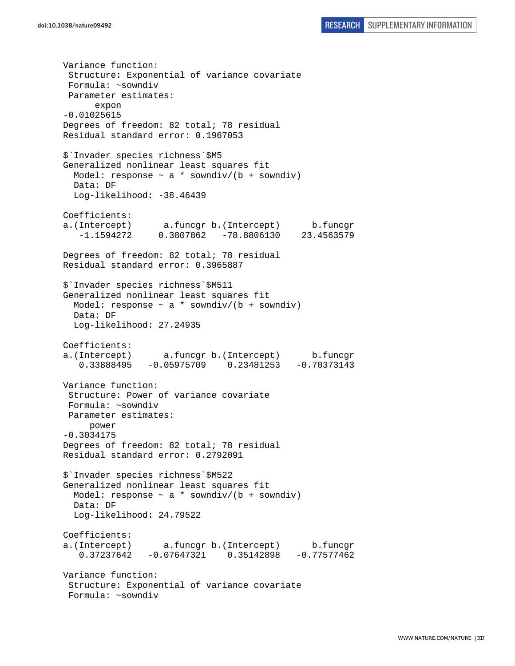Variance function: Structure: Exponential of variance covariate Formula: ~sowndiv Parameter estimates: expon -0.01025615 Degrees of freedom: 82 total; 78 residual Residual standard error: 0.1967053 \$`Invader species richness`\$M5 Generalized nonlinear least squares fit Model: response  $\sim$  a \* sowndiv/(b + sowndiv) Data: DF Log-likelihood: -38.46439 Coefficients: a.(Intercept) a.funcgr b.(Intercept) b.funcgr -1.1594272 0.3807862 -78.8806130 23.4563579 Degrees of freedom: 82 total; 78 residual Residual standard error: 0.3965887 \$`Invader species richness`\$M511 Generalized nonlinear least squares fit Model: response  $\sim$  a \* sowndiv/(b + sowndiv) Data: DF Log-likelihood: 27.24935 Coefficients: a.(Intercept) a.funcgr b.(Intercept) b.funcgr 0.33888495 -0.05975709 0.23481253 -0.70373143 Variance function: Structure: Power of variance covariate Formula: ~sowndiv Parameter estimates: power -0.3034175 Degrees of freedom: 82 total; 78 residual Residual standard error: 0.2792091 \$`Invader species richness`\$M522 Generalized nonlinear least squares fit Model: response  $\sim$  a \* sowndiv/(b + sowndiv) Data: DF Log-likelihood: 24.79522 Coefficients: a.(Intercept) a.funcgr b.(Intercept) b.funcgr 0.37237642 -0.07647321 0.35142898 -0.77577462 Variance function: Structure: Exponential of variance covariate Formula: ~sowndiv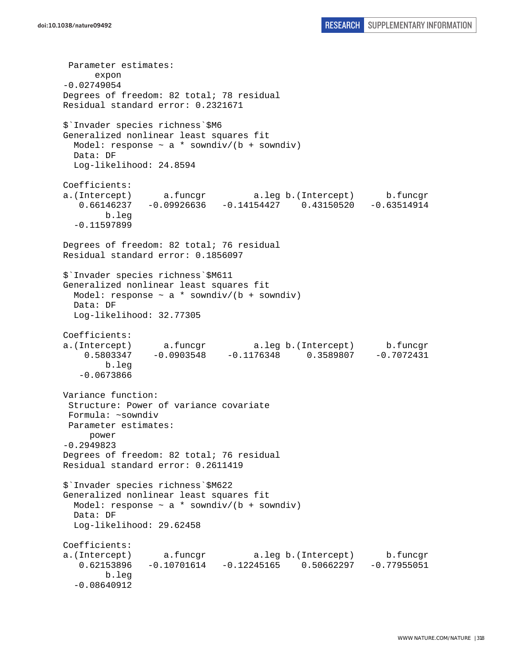```
 Parameter estimates: 
       expon 
-0.02749054 
Degrees of freedom: 82 total; 78 residual 
Residual standard error: 0.2321671 
$`Invader species richness`$M6 
Generalized nonlinear least squares fit 
  Model: response \sim a * sowndiv/(b + sowndiv)
   Data: DF 
   Log-likelihood: 24.8594 
Coefficients: 
a.(Intercept) a.funcgr a.leg b.(Intercept) b.funcgr 
   0.66146237 -0.09926636 -0.14154427 0.43150520 -0.63514914 
         b.leg 
   -0.11597899 
Degrees of freedom: 82 total; 76 residual 
Residual standard error: 0.1856097 
$`Invader species richness`$M611 
Generalized nonlinear least squares fit 
 Model: response \sim a * sowndiv/(b + sowndiv)
  Data: DF 
  Log-likelihood: 32.77305 
Coefficients: 
a.(Intercept) a.funcgr a.leg b.(Intercept) b.funcgr<br>0.5803347 -0.0903548 -0.1176348 0.3589807 -0.7072431
    0.5803347 -0.0903548 -0.1176348 0.3589807 b.leg 
    -0.0673866 
Variance function: 
  Structure: Power of variance covariate 
 Formula: ~sowndiv 
 Parameter estimates: 
      power 
-0.2949823 
Degrees of freedom: 82 total; 76 residual 
Residual standard error: 0.2611419 
$`Invader species richness`$M622 
Generalized nonlinear least squares fit 
 Model: response \sim a * sowndiv/(b + sowndiv)
  Data: DF 
  Log-likelihood: 29.62458 
Coefficients: 
a.(Intercept) a.funcgr a.leg b.(Intercept) b.funcgr 
    0.62153896 -0.10701614 -0.12245165 0.50662297 -0.77955051 
         b.leg 
   -0.08640912
```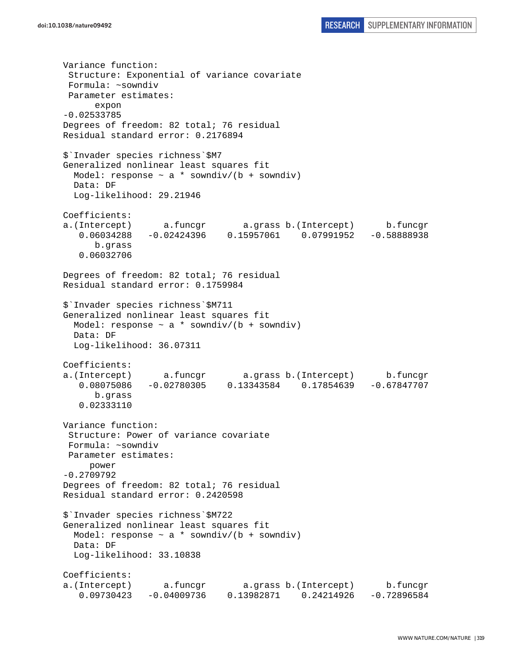Variance function: Structure: Exponential of variance covariate Formula: ~sowndiv Parameter estimates: expon -0.02533785 Degrees of freedom: 82 total; 76 residual Residual standard error: 0.2176894 \$`Invader species richness`\$M7 Generalized nonlinear least squares fit Model: response  $\sim$  a \* sowndiv/(b + sowndiv) Data: DF Log-likelihood: 29.21946 Coefficients: a.(Intercept) a.funcgr a.grass b.(Intercept) b.funcgr 0.06034288 -0.02424396 0.15957061 0.07991952 -0.58888938 b.grass 0.06032706 Degrees of freedom: 82 total; 76 residual Residual standard error: 0.1759984 \$`Invader species richness`\$M711 Generalized nonlinear least squares fit Model: response  $\sim$  a \* sowndiv/(b + sowndiv) Data: DF Log-likelihood: 36.07311 Coefficients: a.(Intercept) a.funcgr a.grass b.(Intercept) b.funcgr 0.08075086 -0.02780305 0.13343584 0.17854639 -0.67847707 b.grass 0.02333110 Variance function: Structure: Power of variance covariate Formula: ~sowndiv Parameter estimates: power -0.2709792 Degrees of freedom: 82 total; 76 residual Residual standard error: 0.2420598 \$`Invader species richness`\$M722 Generalized nonlinear least squares fit Model: response  $\sim$  a \* sowndiv/(b + sowndiv) Data: DF Log-likelihood: 33.10838 Coefficients: a.(Intercept) a.funcgr a.grass b.(Intercept) b.funcgr 0.09730423 -0.04009736 0.13982871 0.24214926 -0.72896584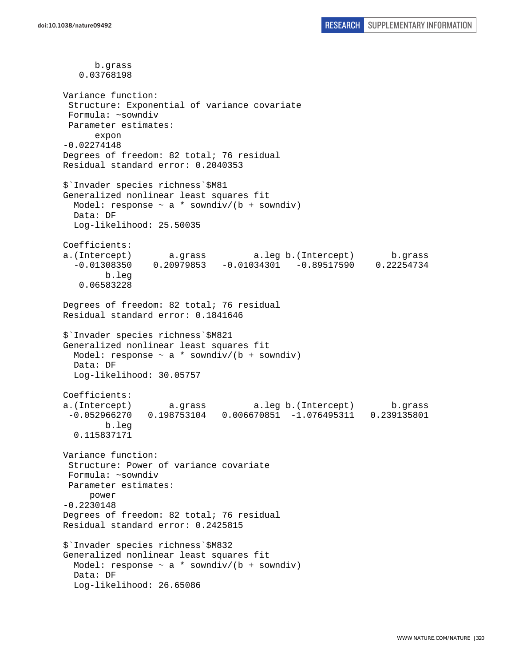b.grass 0.03768198 Variance function: Structure: Exponential of variance covariate Formula: ~sowndiv Parameter estimates: expon -0.02274148 Degrees of freedom: 82 total; 76 residual Residual standard error: 0.2040353 \$`Invader species richness`\$M81 Generalized nonlinear least squares fit Model: response  $\sim$  a \* sowndiv/(b + sowndiv) Data: DF Log-likelihood: 25.50035 Coefficients: a.(Intercept) a.grass a.leg b.(Intercept) b.grass -0.01308350 0.20979853 -0.01034301 -0.89517590 0.22254734 b.leg 0.06583228 Degrees of freedom: 82 total; 76 residual Residual standard error: 0.1841646 \$`Invader species richness`\$M821 Generalized nonlinear least squares fit Model: response  $\sim$  a  $*$  sowndiv/(b + sowndiv) Data: DF Log-likelihood: 30.05757 Coefficients: a.(Intercept) a.grass a.leg b.(Intercept) b.grass -0.052966270 0.198753104 0.006670851 -1.076495311 0.239135801 b.leg 0.115837171 Variance function: Structure: Power of variance covariate Formula: ~sowndiv Parameter estimates: power -0.2230148 Degrees of freedom: 82 total; 76 residual Residual standard error: 0.2425815 \$`Invader species richness`\$M832 Generalized nonlinear least squares fit Model: response  $\sim a *$  sowndiv/(b + sowndiv) Data: DF Log-likelihood: 26.65086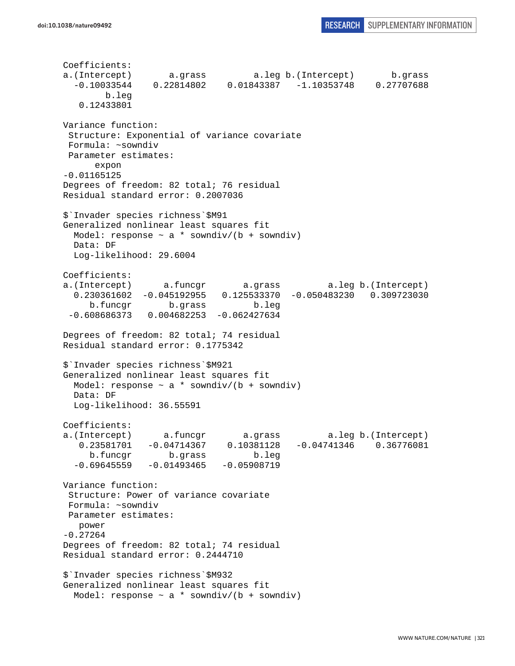Coefficients: a.(Intercept) a.grass a.leg b.(Intercept) b.grass -0.10033544 0.22814802 0.01843387 -1.10353748 0.27707688 b.leg 0.12433801 Variance function: Structure: Exponential of variance covariate Formula: ~sowndiv Parameter estimates: expon -0.01165125 Degrees of freedom: 82 total; 76 residual Residual standard error: 0.2007036 \$`Invader species richness`\$M91 Generalized nonlinear least squares fit Model: response  $\sim$  a  $*$  sowndiv/(b + sowndiv) Data: DF Log-likelihood: 29.6004 Coefficients: a.(Intercept) a.funcgr a.grass a.leg b.(Intercept) 0.230361602 -0.045192955 0.125533370 -0.050483230 0.309723030 b.funcgr b.grass b.leg -0.608686373 0.004682253 -0.062427634 Degrees of freedom: 82 total; 74 residual Residual standard error: 0.1775342 \$`Invader species richness`\$M921 Generalized nonlinear least squares fit Model: response  $\sim$  a \* sowndiv/(b + sowndiv) Data: DF Log-likelihood: 36.55591 Coefficients: a.(Intercept) a.funcgr a.grass a.leg b.(Intercept) 0.23581701 -0.04714367 0.10381128 -0.04741346 0.36776081 b.funcgr b.grass b.leg  $-0.69645559 -0.01493465 -0.05908719$ Variance function: Structure: Power of variance covariate Formula: ~sowndiv Parameter estimates: power -0.27264 Degrees of freedom: 82 total; 74 residual Residual standard error: 0.2444710 \$`Invader species richness`\$M932 Generalized nonlinear least squares fit Model: response  $\sim$  a \* sowndiv/(b + sowndiv)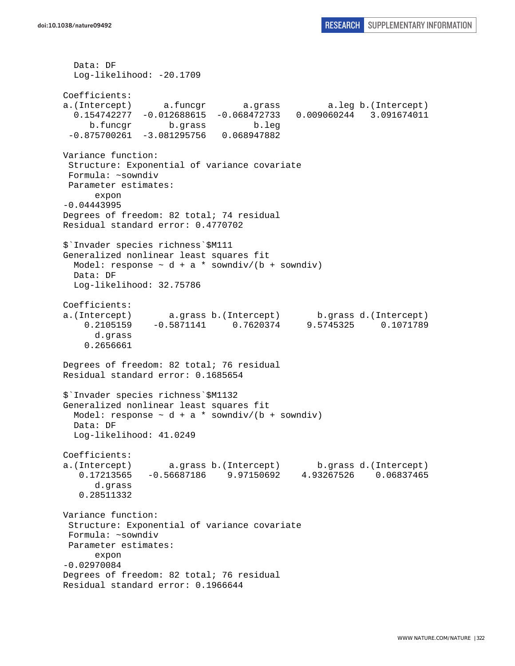Data: DF Log-likelihood: -20.1709 Coefficients: a.(Intercept) a.funcgr a.grass a.leg b.(Intercept) 0.154742277 -0.012688615 -0.068472733 0.009060244 3.091674011 b.funcgr b.grass b.leg  $-0.875700261 -3.081295756 0.068947882$ Variance function: Structure: Exponential of variance covariate Formula: ~sowndiv Parameter estimates: expon -0.04443995 Degrees of freedom: 82 total; 74 residual Residual standard error: 0.4770702 \$`Invader species richness`\$M111 Generalized nonlinear least squares fit Model: response  $\sim$  d + a \* sowndiv/(b + sowndiv) Data: DF Log-likelihood: 32.75786 Coefficients: a.(Intercept) a.grass b.(Intercept) b.grass d.(Intercept) 0.2105159 -0.5871141 0.7620374 9.5745325 0.1071789 d.grass 0.2656661 Degrees of freedom: 82 total; 76 residual Residual standard error: 0.1685654 \$`Invader species richness`\$M1132 Generalized nonlinear least squares fit Model: response  $\sim d + a *$  sowndiv/(b + sowndiv) Data: DF Log-likelihood: 41.0249 Coefficients: a.(Intercept) a.grass b.(Intercept) b.grass d.(Intercept) 0.17213565 -0.56687186 9.97150692 4.93267526 0.06837465 d.grass 0.28511332 Variance function: Structure: Exponential of variance covariate Formula: ~sowndiv Parameter estimates: expon -0.02970084 Degrees of freedom: 82 total; 76 residual Residual standard error: 0.1966644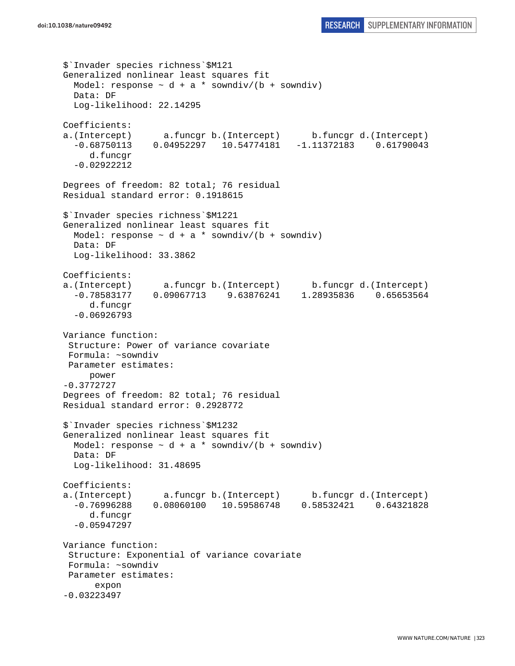```
$`Invader species richness`$M121 
Generalized nonlinear least squares fit 
  Model: response \sim d + a * sowndiv/(b + sowndiv)
  Data: DF 
   Log-likelihood: 22.14295 
Coefficients: 
a.(Intercept) a.funcgr b.(Intercept) b.funcgr d.(Intercept) 
   -0.68750113 0.04952297 10.54774181 -1.11372183 0.61790043 
      d.funcgr 
   -0.02922212 
Degrees of freedom: 82 total; 76 residual 
Residual standard error: 0.1918615 
$`Invader species richness`$M1221 
Generalized nonlinear least squares fit 
 Model: response \sim d + a * sowndiv/(b + sowndiv)
   Data: DF 
   Log-likelihood: 33.3862 
Coefficients: 
a.(Intercept) a.funcgr b.(Intercept) b.funcgr d.(Intercept) 
   -0.78583177 0.09067713 9.63876241 1.28935836 0.65653564 
      d.funcgr 
   -0.06926793 
Variance function: 
  Structure: Power of variance covariate 
 Formula: ~sowndiv 
 Parameter estimates: 
      power 
-0.3772727 
Degrees of freedom: 82 total; 76 residual 
Residual standard error: 0.2928772 
$`Invader species richness`$M1232 
Generalized nonlinear least squares fit 
 Model: response \sim d + a * sowndiv/(b + sowndiv)
   Data: DF 
   Log-likelihood: 31.48695 
Coefficients: 
a.(Intercept) a.funcgr b.(Intercept) b.funcgr d.(Intercept) 
   -0.76996288 0.08060100 10.59586748 0.58532421 0.64321828 
      d.funcgr 
   -0.05947297 
Variance function: 
  Structure: Exponential of variance covariate 
 Formula: ~sowndiv 
 Parameter estimates: 
       expon 
-0.03223497
```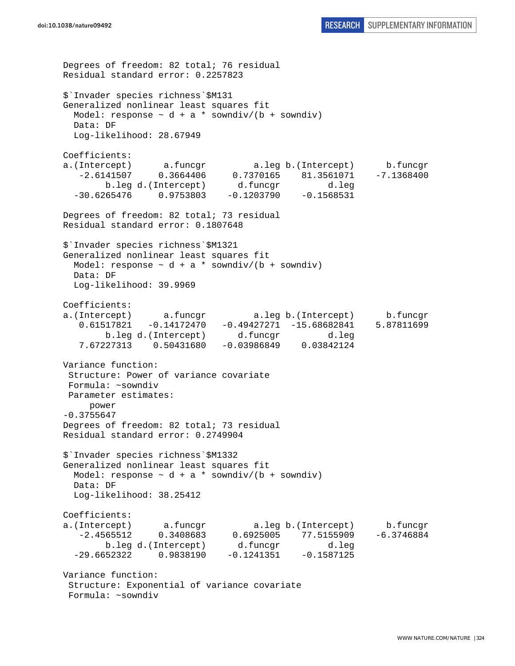```
Degrees of freedom: 82 total; 76 residual 
Residual standard error: 0.2257823 
$`Invader species richness`$M131 
Generalized nonlinear least squares fit 
 Model: response \sim d + a * sowndiv/(b + sowndiv)
  Data: DF 
  Log-likelihood: 28.67949 
Coefficients: 
a.(Intercept) a.funcgr a.leg b.(Intercept) b.funcgr 
   -2.6141507 0.3664406 0.7370165 81.3561071 -7.1368400 
        b.leg d.(Intercept) d.funcgr d.leg 
   -30.6265476 0.9753803 -0.1203790 -0.1568531 
Degrees of freedom: 82 total; 73 residual 
Residual standard error: 0.1807648 
$`Invader species richness`$M1321 
Generalized nonlinear least squares fit 
 Model: response \sim d + a * sowndiv/(b + sowndiv)
  Data: DF 
  Log-likelihood: 39.9969 
Coefficients: 
a.(Intercept) a.funcgr a.leg b.(Intercept) b.funcgr 
   0.61517821 -0.14172470 -0.49427271 -15.68682841 5.87811699 
        b.leg d.(Intercept) d.funcgr d.leg 
    7.67227313 0.50431680 -0.03986849 0.03842124 
Variance function: 
  Structure: Power of variance covariate 
 Formula: ~sowndiv 
 Parameter estimates: 
     power 
-0.3755647 
Degrees of freedom: 82 total; 73 residual 
Residual standard error: 0.2749904 
$`Invader species richness`$M1332 
Generalized nonlinear least squares fit 
 Model: response \sim d + a * sowndiv/(b + sowndiv)
  Data: DF 
  Log-likelihood: 38.25412 
Coefficients: 
a.(Intercept) a.funcgr a.leg b.(Intercept) b.funcgr 
   -2.4565512 0.3408683 0.6925005 77.5155909 -6.3746884 
        b.leg d.(Intercept) d.funcgr d.leg 
  -29.6652322 0.9838190 -0.1241351 -0.1587125Variance function: 
  Structure: Exponential of variance covariate 
  Formula: ~sowndiv
```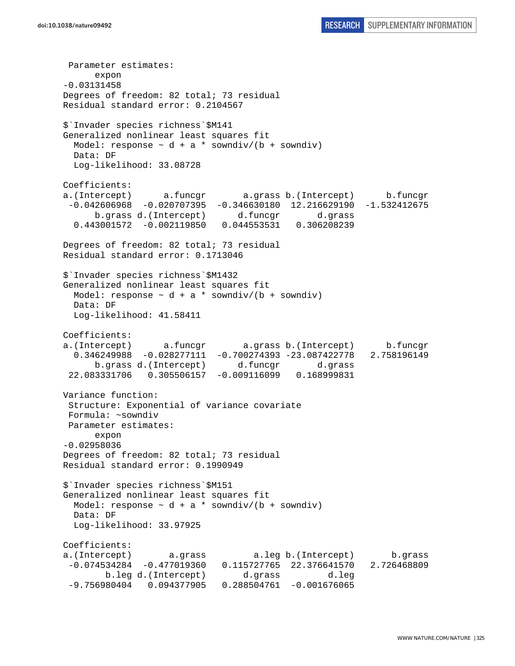Parameter estimates: expon -0.03131458 Degrees of freedom: 82 total; 73 residual Residual standard error: 0.2104567 \$`Invader species richness`\$M141 Generalized nonlinear least squares fit Model: response  $\sim d + a *$  sowndiv/(b + sowndiv) Data: DF Log-likelihood: 33.08728 Coefficients: a.(Intercept) a.funcgr a.grass b.(Intercept) b.funcgr -0.042606968 -0.020707395 -0.346630180 12.216629190 -1.532412675 b.grass d.(Intercept) d.funcgr d.grass 0.443001572 -0.002119850 0.044553531 0.306208239 Degrees of freedom: 82 total; 73 residual Residual standard error: 0.1713046 \$`Invader species richness`\$M1432 Generalized nonlinear least squares fit Model: response  $\sim d + a *$  sowndiv/(b + sowndiv) Data: DF Log-likelihood: 41.58411 Coefficients: a.(Intercept) a.funcgr a.grass b.(Intercept) b.funcgr 0.346249988 -0.028277111 -0.700274393 -23.087422778 2.758196149 b.grass d.(Intercept) d.funcgr d.grass 22.083331706 0.305506157 -0.009116099 0.168999831 Variance function: Structure: Exponential of variance covariate Formula: ~sowndiv Parameter estimates: expon -0.02958036 Degrees of freedom: 82 total; 73 residual Residual standard error: 0.1990949 \$`Invader species richness`\$M151 Generalized nonlinear least squares fit Model: response  $\sim d + a *$  sowndiv/(b + sowndiv) Data: DF Log-likelihood: 33.97925 Coefficients: a.(Intercept) a.grass a.leg b.(Intercept) b.grass -0.074534284 -0.477019360 0.115727765 22.376641570 2.726468809 b.leg d.(Intercept) d.grass d.leg -9.756980404 0.094377905 0.288504761 -0.001676065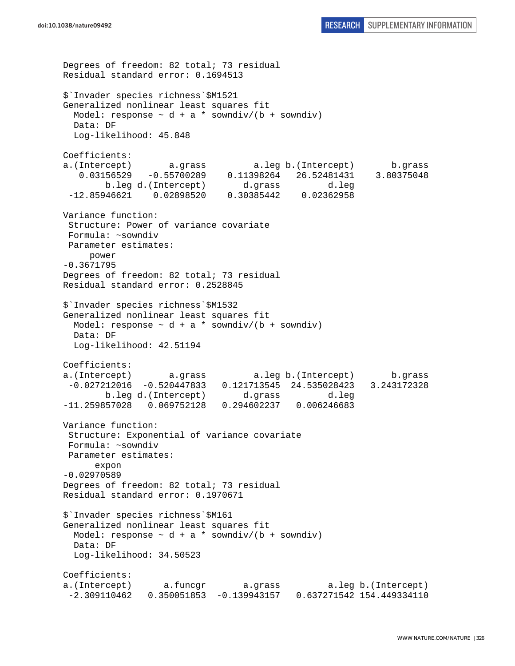```
Degrees of freedom: 82 total; 73 residual 
Residual standard error: 0.1694513 
$`Invader species richness`$M1521 
Generalized nonlinear least squares fit 
 Model: response \sim d + a * sowndiv/(b + sowndiv)
  Data: DF 
  Log-likelihood: 45.848 
Coefficients: 
a.(Intercept) a.grass a.leg b.(Intercept) b.grass 
    0.03156529 -0.55700289 0.11398264 26.52481431 3.80375048 
        b.leg d.(Intercept) d.grass d.leg 
  -12.85946621 0.02898520 0.30385442 0.02362958 
Variance function: 
  Structure: Power of variance covariate 
  Formula: ~sowndiv 
 Parameter estimates: 
     power 
-0.3671795 
Degrees of freedom: 82 total; 73 residual 
Residual standard error: 0.2528845 
$`Invader species richness`$M1532 
Generalized nonlinear least squares fit 
 Model: response \sim d + a * sowndiv/(b + sowndiv)
  Data: DF 
  Log-likelihood: 42.51194 
Coefficients: 
a.(Intercept) a.grass a.leg b.(Intercept) b.grass 
  -0.027212016 -0.520447833 0.121713545 24.535028423 3.243172328 
        b.leg d.(Intercept) d.grass d.leg 
-11.259857028 0.069752128 0.294602237 0.006246683 
Variance function: 
  Structure: Exponential of variance covariate 
  Formula: ~sowndiv 
 Parameter estimates: 
      expon 
-0.02970589 
Degrees of freedom: 82 total; 73 residual 
Residual standard error: 0.1970671 
$`Invader species richness`$M161 
Generalized nonlinear least squares fit 
 Model: response \sim d + a * sowndiv/(b + sowndiv)
  Data: DF 
  Log-likelihood: 34.50523 
Coefficients: 
a.(Intercept) a.funcgr a.grass a.leg b.(Intercept) 
  -2.309110462 0.350051853 -0.139943157 0.637271542 154.449334110
```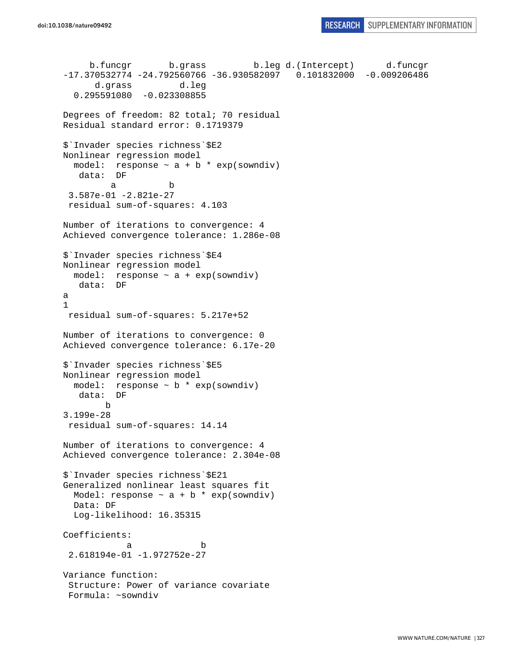b.funcgr b.grass b.leg d.(Intercept) d.funcgr -17.370532774 -24.792560766 -36.930582097 0.101832000 -0.009206486 d.grass d.leg 0.295591080 -0.023308855 Degrees of freedom: 82 total; 70 residual Residual standard error: 0.1719379 \$`Invader species richness`\$E2 Nonlinear regression model model: response  $\sim$  a + b  $*$  exp(sowndiv) data: DF a b 3.587e-01 -2.821e-27 residual sum-of-squares: 4.103 Number of iterations to convergence: 4 Achieved convergence tolerance: 1.286e-08 \$`Invader species richness`\$E4 Nonlinear regression model model: response ~ a + exp(sowndiv) data: DF a 1 residual sum-of-squares: 5.217e+52 Number of iterations to convergence: 0 Achieved convergence tolerance: 6.17e-20 \$`Invader species richness`\$E5 Nonlinear regression model model: response ~ b \* exp(sowndiv) data: DF b 3.199e-28 residual sum-of-squares: 14.14 Number of iterations to convergence: 4 Achieved convergence tolerance: 2.304e-08 \$`Invader species richness`\$E21 Generalized nonlinear least squares fit Model: response  $\sim$  a + b  $*$  exp(sowndiv) Data: DF Log-likelihood: 16.35315 Coefficients: a b 2.618194e-01 -1.972752e-27 Variance function: Structure: Power of variance covariate Formula: ~sowndiv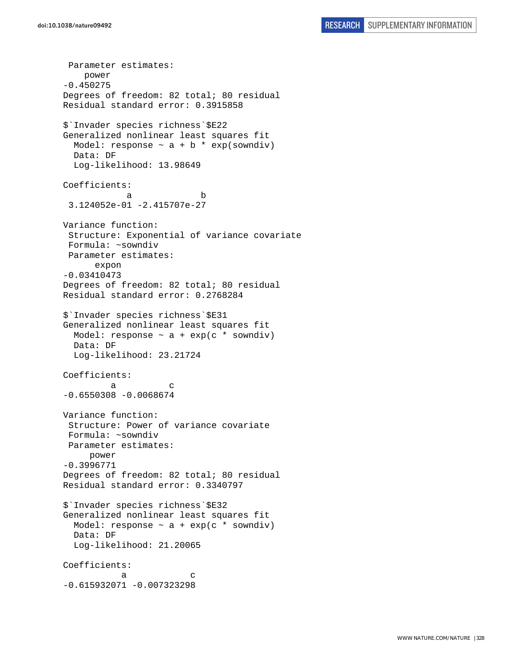Parameter estimates: power -0.450275 Degrees of freedom: 82 total; 80 residual Residual standard error: 0.3915858 \$`Invader species richness`\$E22 Generalized nonlinear least squares fit Model: response  $\sim$  a + b \* exp(sowndiv) Data: DF Log-likelihood: 13.98649 Coefficients: a b 3.124052e-01 -2.415707e-27 Variance function: Structure: Exponential of variance covariate Formula: ~sowndiv Parameter estimates: expon -0.03410473 Degrees of freedom: 82 total; 80 residual Residual standard error: 0.2768284 \$`Invader species richness`\$E31 Generalized nonlinear least squares fit Model: response  $\sim$  a + exp(c \* sowndiv) Data: DF Log-likelihood: 23.21724 Coefficients: a c  $-0.6550308 - 0.0068674$ Variance function: Structure: Power of variance covariate Formula: ~sowndiv Parameter estimates: power -0.3996771 Degrees of freedom: 82 total; 80 residual Residual standard error: 0.3340797 \$`Invader species richness`\$E32 Generalized nonlinear least squares fit Model: response  $\sim$  a + exp(c  $*$  sowndiv) Data: DF Log-likelihood: 21.20065 Coefficients: a c  $-0.615932071 - 0.007323298$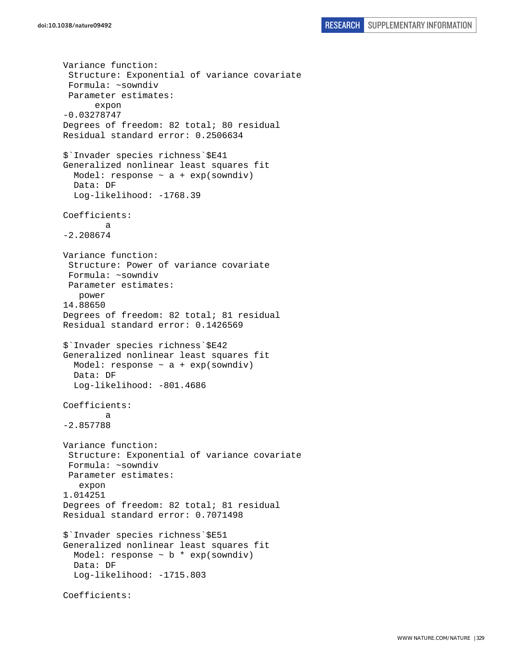```
Variance function: 
  Structure: Exponential of variance covariate 
  Formula: ~sowndiv 
  Parameter estimates: 
       expon 
-0.03278747 
Degrees of freedom: 82 total; 80 residual 
Residual standard error: 0.2506634 
$`Invader species richness`$E41 
Generalized nonlinear least squares fit 
  Model: response \sim a + exp(sowndiv)
   Data: DF 
   Log-likelihood: -1768.39 
Coefficients: 
 a 
-2.208674 
Variance function: 
  Structure: Power of variance covariate 
  Formula: ~sowndiv 
  Parameter estimates: 
    power 
14.88650 
Degrees of freedom: 82 total; 81 residual 
Residual standard error: 0.1426569 
$`Invader species richness`$E42 
Generalized nonlinear least squares fit 
  Model: response \sim a + exp(sowndiv)
   Data: DF 
   Log-likelihood: -801.4686 
Coefficients: 
 a 
-2.857788 
Variance function: 
  Structure: Exponential of variance covariate 
  Formula: ~sowndiv 
 Parameter estimates: 
    expon 
1.014251 
Degrees of freedom: 82 total; 81 residual 
Residual standard error: 0.7071498 
$`Invader species richness`$E51 
Generalized nonlinear least squares fit 
  Model: response \sim b * exp(sowndiv)
   Data: DF 
   Log-likelihood: -1715.803 
Coefficients:
```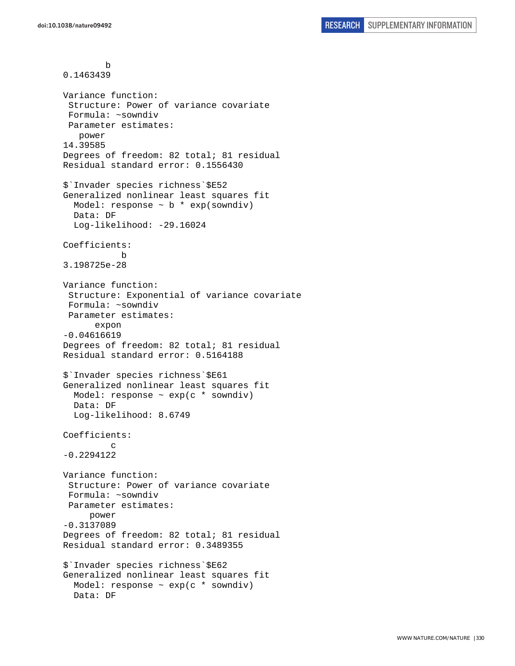```
 b 
0.1463439 
Variance function: 
  Structure: Power of variance covariate 
  Formula: ~sowndiv 
  Parameter estimates: 
    power 
14.39585 
Degrees of freedom: 82 total; 81 residual 
Residual standard error: 0.1556430 
$`Invader species richness`$E52 
Generalized nonlinear least squares fit 
  Model: response \sim b * exp(sowndiv)
   Data: DF 
   Log-likelihood: -29.16024 
Coefficients: 
 b 
3.198725e-28 
Variance function: 
  Structure: Exponential of variance covariate 
  Formula: ~sowndiv 
 Parameter estimates: 
       expon 
-0.04616619 
Degrees of freedom: 82 total; 81 residual 
Residual standard error: 0.5164188 
$`Invader species richness`$E61 
Generalized nonlinear least squares fit 
   Model: response ~ exp(c * sowndiv) 
   Data: DF 
   Log-likelihood: 8.6749 
Coefficients: 
 c 
-0.2294122 
Variance function: 
  Structure: Power of variance covariate 
  Formula: ~sowndiv 
  Parameter estimates: 
      power 
-0.3137089 
Degrees of freedom: 82 total; 81 residual 
Residual standard error: 0.3489355 
$`Invader species richness`$E62 
Generalized nonlinear least squares fit 
  Model: response \sim exp(c * sowndiv)
   Data: DF
```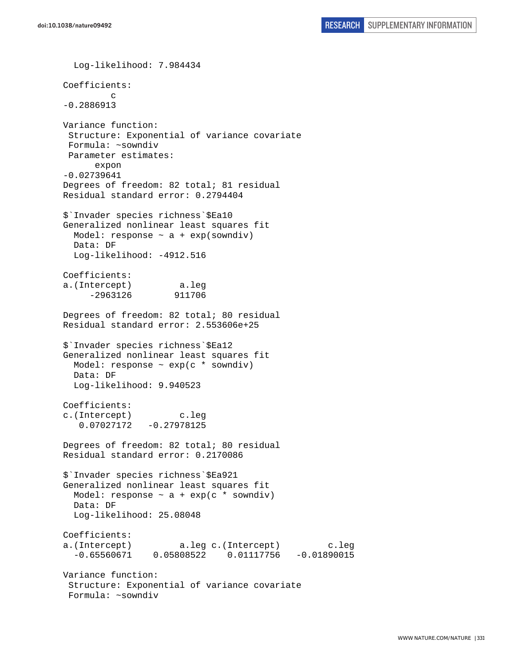Log-likelihood: 7.984434 Coefficients: c -0.2886913 Variance function: Structure: Exponential of variance covariate Formula: ~sowndiv Parameter estimates: expon -0.02739641 Degrees of freedom: 82 total; 81 residual Residual standard error: 0.2794404 \$`Invader species richness`\$Ea10 Generalized nonlinear least squares fit Model: response  $\sim$  a + exp(sowndiv) Data: DF Log-likelihood: -4912.516 Coefficients: a.(Intercept) a.leg -2963126 911706 Degrees of freedom: 82 total; 80 residual Residual standard error: 2.553606e+25 \$`Invader species richness`\$Ea12 Generalized nonlinear least squares fit Model: response ~ exp(c \* sowndiv) Data: DF Log-likelihood: 9.940523 Coefficients: c.(Intercept) c.leg 0.07027172 -0.27978125 Degrees of freedom: 82 total; 80 residual Residual standard error: 0.2170086 \$`Invader species richness`\$Ea921 Generalized nonlinear least squares fit Model: response  $\sim$  a + exp(c  $*$  sowndiv) Data: DF Log-likelihood: 25.08048 Coefficients: a.(Intercept) a.leg c.(Intercept) c.leg -0.65560671 0.05808522 0.01117756 -0.01890015 Variance function: Structure: Exponential of variance covariate Formula: ~sowndiv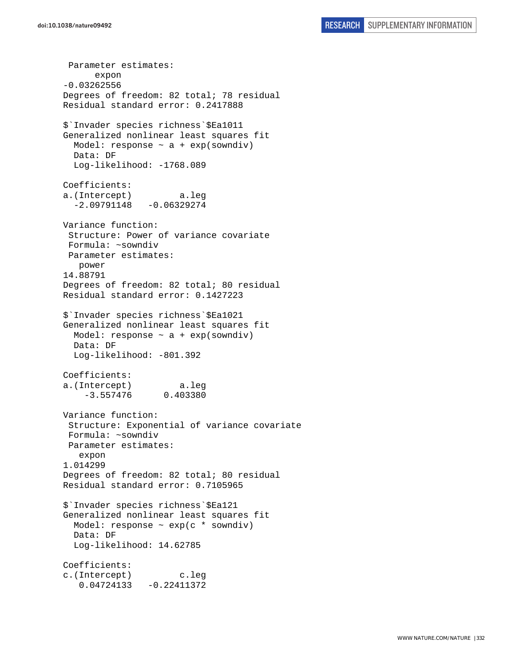Parameter estimates: expon -0.03262556 Degrees of freedom: 82 total; 78 residual Residual standard error: 0.2417888 \$`Invader species richness`\$Ea1011 Generalized nonlinear least squares fit Model: response  $\sim$  a + exp(sowndiv) Data: DF Log-likelihood: -1768.089 Coefficients: a.(Intercept) a.leg  $-2.09791148 - 0.06329274$ Variance function: Structure: Power of variance covariate Formula: ~sowndiv Parameter estimates: power 14.88791 Degrees of freedom: 82 total; 80 residual Residual standard error: 0.1427223 \$`Invader species richness`\$Ea1021 Generalized nonlinear least squares fit Model: response  $\sim$  a + exp(sowndiv) Data: DF Log-likelihood: -801.392 Coefficients: a.(Intercept) a.leg -3.557476 0.403380 Variance function: Structure: Exponential of variance covariate Formula: ~sowndiv Parameter estimates: expon 1.014299 Degrees of freedom: 82 total; 80 residual Residual standard error: 0.7105965 \$`Invader species richness`\$Ea121 Generalized nonlinear least squares fit Model: response  $\sim$  exp(c  $*$  sowndiv) Data: DF Log-likelihood: 14.62785 Coefficients: c.(Intercept) c.leg 0.04724133 -0.22411372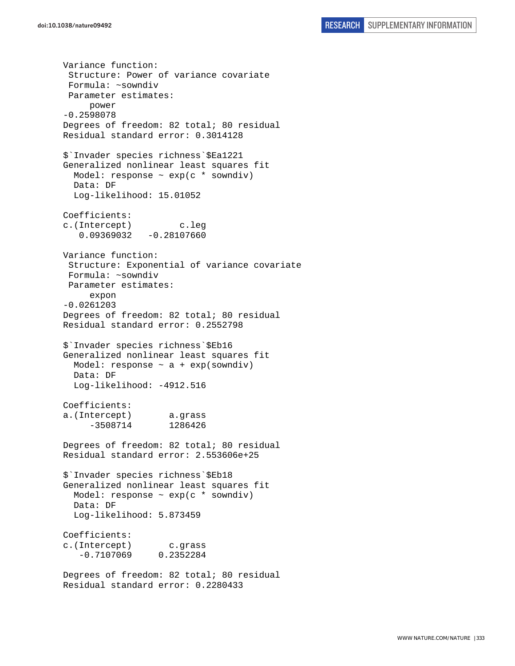Variance function: Structure: Power of variance covariate Formula: ~sowndiv Parameter estimates: power -0.2598078 Degrees of freedom: 82 total; 80 residual Residual standard error: 0.3014128 \$`Invader species richness`\$Ea1221 Generalized nonlinear least squares fit Model: response ~ exp(c \* sowndiv) Data: DF Log-likelihood: 15.01052 Coefficients: c.(Intercept) c.leg 0.09369032 -0.28107660 Variance function: Structure: Exponential of variance covariate Formula: ~sowndiv Parameter estimates: expon -0.0261203 Degrees of freedom: 82 total; 80 residual Residual standard error: 0.2552798 \$`Invader species richness`\$Eb16 Generalized nonlinear least squares fit Model: response  $\sim$  a + exp(sowndiv) Data: DF Log-likelihood: -4912.516 Coefficients: a.(Intercept) a.grass -3508714 1286426 Degrees of freedom: 82 total; 80 residual Residual standard error: 2.553606e+25 \$`Invader species richness`\$Eb18 Generalized nonlinear least squares fit Model: response ~ exp(c \* sowndiv) Data: DF Log-likelihood: 5.873459 Coefficients: c.(Intercept) c.grass -0.7107069 0.2352284 Degrees of freedom: 82 total; 80 residual Residual standard error: 0.2280433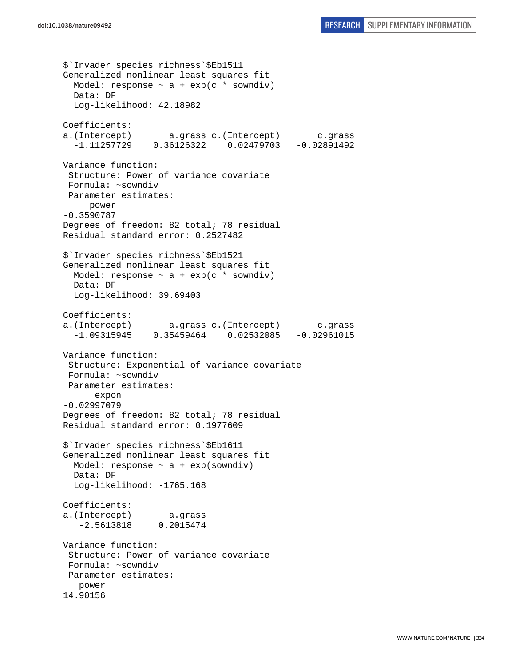```
$`Invader species richness`$Eb1511 
Generalized nonlinear least squares fit 
 Model: response \sim a + exp(c * sowndiv)
  Data: DF 
   Log-likelihood: 42.18982 
Coefficients: 
a.(Intercept) a.grass c.(Intercept) c.grass 
   -1.11257729 0.36126322 0.02479703 -0.02891492 
Variance function: 
  Structure: Power of variance covariate 
 Formula: ~sowndiv 
 Parameter estimates: 
     power 
-0.3590787 
Degrees of freedom: 82 total; 78 residual 
Residual standard error: 0.2527482 
$`Invader species richness`$Eb1521 
Generalized nonlinear least squares fit 
  Model: response ~ a + exp(c * sowndiv) 
  Data: DF 
  Log-likelihood: 39.69403 
Coefficients: 
a.(Intercept) a.grass c.(Intercept) c.grass 
   -1.09315945 0.35459464 0.02532085 -0.02961015 
Variance function: 
  Structure: Exponential of variance covariate 
 Formula: ~sowndiv 
 Parameter estimates: 
       expon 
-0.02997079 
Degrees of freedom: 82 total; 78 residual 
Residual standard error: 0.1977609 
$`Invader species richness`$Eb1611 
Generalized nonlinear least squares fit 
  Model: response \sim a + exp(sowndiv)
   Data: DF 
   Log-likelihood: -1765.168 
Coefficients: 
a.(Intercept) a.grass 
   -2.5613818 0.2015474 
Variance function: 
  Structure: Power of variance covariate 
 Formula: ~sowndiv 
 Parameter estimates: 
    power 
14.90156
```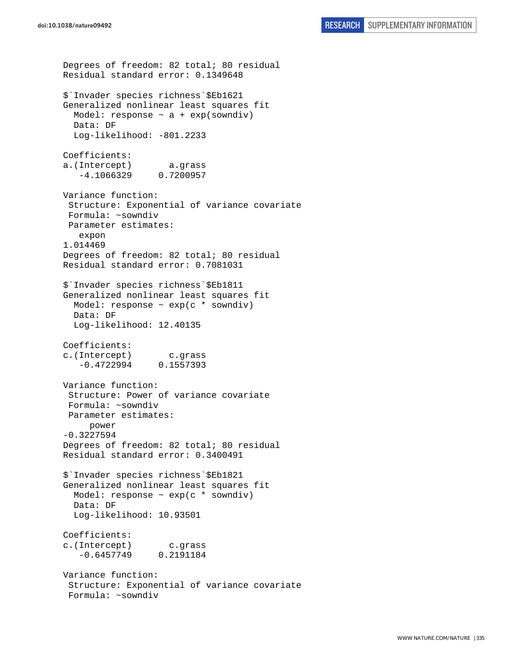Degrees of freedom: 82 total; 80 residual Residual standard error: 0.1349648 \$`Invader species richness`\$Eb1621 Generalized nonlinear least squares fit Model: response  $\sim$  a + exp(sowndiv) Data: DF Log-likelihood: -801.2233 Coefficients: a.(Intercept) a.grass -4.1066329 0.7200957 Variance function: Structure: Exponential of variance covariate Formula: ~sowndiv Parameter estimates: expon 1.014469 Degrees of freedom: 82 total; 80 residual Residual standard error: 0.7081031 \$`Invader species richness`\$Eb1811 Generalized nonlinear least squares fit Model: response  $\sim$  exp(c  $*$  sowndiv) Data: DF Log-likelihood: 12.40135 Coefficients: c.(Intercept) c.grass -0.4722994 0.1557393 Variance function: Structure: Power of variance covariate Formula: ~sowndiv Parameter estimates: power -0.3227594 Degrees of freedom: 82 total; 80 residual Residual standard error: 0.3400491 \$`Invader species richness`\$Eb1821 Generalized nonlinear least squares fit Model: response ~ exp(c \* sowndiv) Data: DF Log-likelihood: 10.93501 Coefficients: c.(Intercept) c.grass -0.6457749 0.2191184 Variance function: Structure: Exponential of variance covariate Formula: ~sowndiv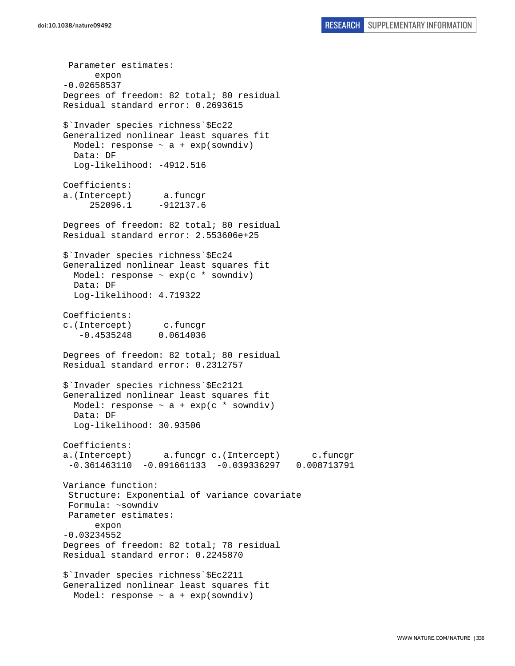Parameter estimates: expon -0.02658537 Degrees of freedom: 82 total; 80 residual Residual standard error: 0.2693615 \$`Invader species richness`\$Ec22 Generalized nonlinear least squares fit Model: response  $\sim$  a + exp(sowndiv) Data: DF Log-likelihood: -4912.516 Coefficients: a.(Intercept) a.funcgr 252096.1 -912137.6 Degrees of freedom: 82 total; 80 residual Residual standard error: 2.553606e+25 \$`Invader species richness`\$Ec24 Generalized nonlinear least squares fit Model: response ~ exp(c \* sowndiv) Data: DF Log-likelihood: 4.719322 Coefficients: c.(Intercept) c.funcgr -0.4535248 0.0614036 Degrees of freedom: 82 total; 80 residual Residual standard error: 0.2312757 \$`Invader species richness`\$Ec2121 Generalized nonlinear least squares fit Model: response  $\sim$  a + exp(c  $*$  sowndiv) Data: DF Log-likelihood: 30.93506 Coefficients: a.(Intercept) a.funcgr c.(Intercept) c.funcgr -0.361463110 -0.091661133 -0.039336297 0.008713791 Variance function: Structure: Exponential of variance covariate Formula: ~sowndiv Parameter estimates: expon -0.03234552 Degrees of freedom: 82 total; 78 residual Residual standard error: 0.2245870 \$`Invader species richness`\$Ec2211 Generalized nonlinear least squares fit Model: response  $\sim$  a + exp(sowndiv)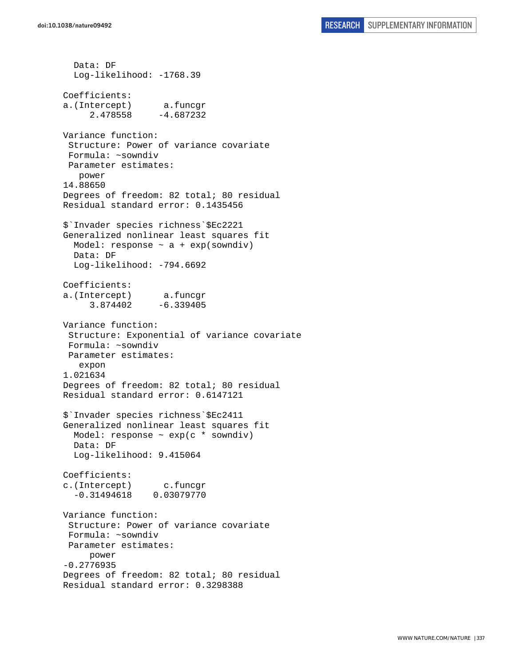Data: DF Log-likelihood: -1768.39 Coefficients: a.(Intercept) a.funcgr 2.478558 -4.687232 Variance function: Structure: Power of variance covariate Formula: ~sowndiv Parameter estimates: power 14.88650 Degrees of freedom: 82 total; 80 residual Residual standard error: 0.1435456 \$`Invader species richness`\$Ec2221 Generalized nonlinear least squares fit Model: response  $\sim$  a + exp(sowndiv) Data: DF Log-likelihood: -794.6692 Coefficients: a.(Intercept) a.funcgr 3.874402 -6.339405 Variance function: Structure: Exponential of variance covariate Formula: ~sowndiv Parameter estimates: expon 1.021634 Degrees of freedom: 82 total; 80 residual Residual standard error: 0.6147121 \$`Invader species richness`\$Ec2411 Generalized nonlinear least squares fit Model: response ~ exp(c \* sowndiv) Data: DF Log-likelihood: 9.415064 Coefficients: c.(Intercept) c.funcgr -0.31494618 0.03079770 Variance function: Structure: Power of variance covariate Formula: ~sowndiv Parameter estimates: power -0.2776935 Degrees of freedom: 82 total; 80 residual Residual standard error: 0.3298388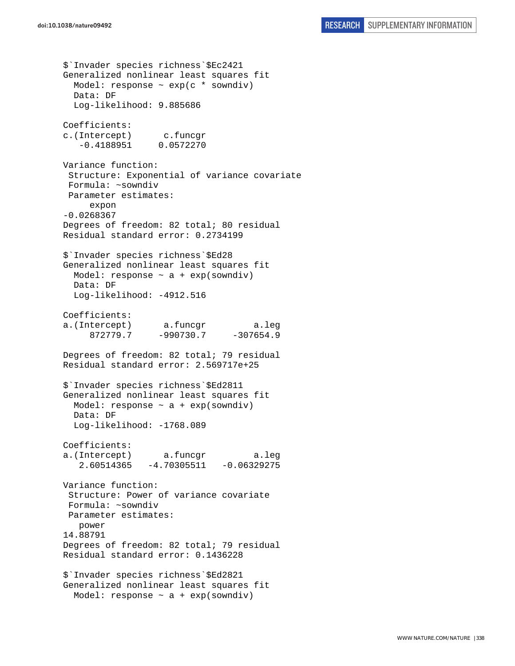\$`Invader species richness`\$Ec2421 Generalized nonlinear least squares fit Model: response  $\sim$  exp(c  $*$  sowndiv) Data: DF Log-likelihood: 9.885686 Coefficients: c.(Intercept) c.funcgr -0.4188951 0.0572270 Variance function: Structure: Exponential of variance covariate Formula: ~sowndiv Parameter estimates: expon -0.0268367 Degrees of freedom: 82 total; 80 residual Residual standard error: 0.2734199 \$`Invader species richness`\$Ed28 Generalized nonlinear least squares fit Model: response  $\sim$  a + exp(sowndiv) Data: DF Log-likelihood: -4912.516 Coefficients: a.(Intercept) a.funcgr a.leg 872779.7 -990730.7 -307654.9 Degrees of freedom: 82 total; 79 residual Residual standard error: 2.569717e+25 \$`Invader species richness`\$Ed2811 Generalized nonlinear least squares fit Model: response  $\sim$  a + exp(sowndiv) Data: DF Log-likelihood: -1768.089 Coefficients: a.(Intercept) a.funcgr a.leg 2.60514365 -4.70305511 -0.06329275 Variance function: Structure: Power of variance covariate Formula: ~sowndiv Parameter estimates: power 14.88791 Degrees of freedom: 82 total; 79 residual Residual standard error: 0.1436228 \$`Invader species richness`\$Ed2821 Generalized nonlinear least squares fit Model: response  $\sim$  a + exp(sowndiv)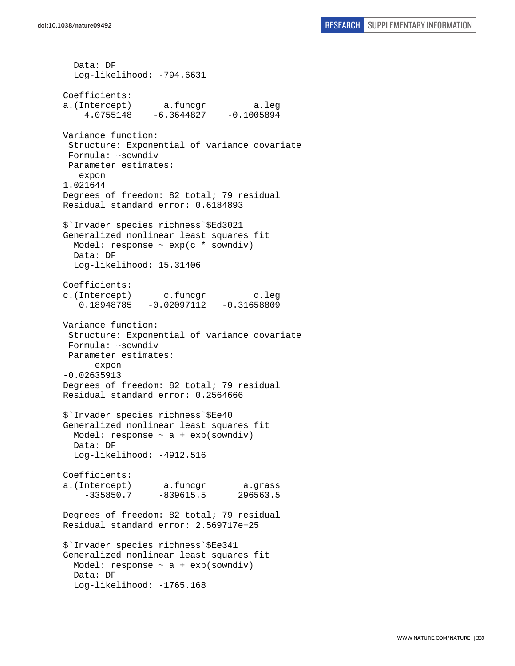Data: DF Log-likelihood: -794.6631 Coefficients: a.(Intercept) a.funcgr a.leg 4.0755148 -6.3644827 -0.1005894 Variance function: Structure: Exponential of variance covariate Formula: ~sowndiv Parameter estimates: expon 1.021644 Degrees of freedom: 82 total; 79 residual Residual standard error: 0.6184893 \$`Invader species richness`\$Ed3021 Generalized nonlinear least squares fit Model: response ~ exp(c \* sowndiv) Data: DF Log-likelihood: 15.31406 Coefficients: c.(Intercept) c.funcgr c.leg 0.18948785 -0.02097112 -0.31658809 Variance function: Structure: Exponential of variance covariate Formula: ~sowndiv Parameter estimates: expon -0.02635913 Degrees of freedom: 82 total; 79 residual Residual standard error: 0.2564666 \$`Invader species richness`\$Ee40 Generalized nonlinear least squares fit Model: response  $\sim$  a + exp(sowndiv) Data: DF Log-likelihood: -4912.516 Coefficients: a.(Intercept) a.funcgr a.grass -335850.7 -839615.5 296563.5 Degrees of freedom: 82 total; 79 residual Residual standard error: 2.569717e+25 \$`Invader species richness`\$Ee341 Generalized nonlinear least squares fit Model: response  $\sim$  a + exp(sowndiv) Data: DF Log-likelihood: -1765.168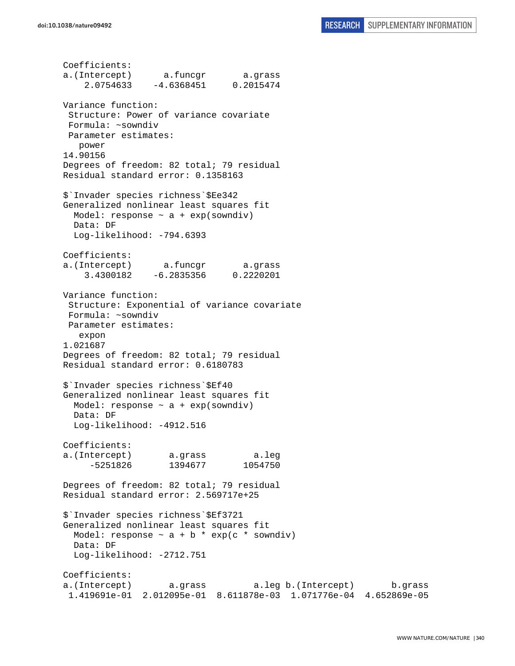Coefficients: a.(Intercept) a.funcgr a.grass 2.0754633 -4.6368451 0.2015474 Variance function: Structure: Power of variance covariate Formula: ~sowndiv Parameter estimates: power 14.90156 Degrees of freedom: 82 total; 79 residual Residual standard error: 0.1358163 \$`Invader species richness`\$Ee342 Generalized nonlinear least squares fit Model: response  $\sim$  a + exp(sowndiv) Data: DF Log-likelihood: -794.6393 Coefficients: a.(Intercept) a.funcgr a.grass 3.4300182 -6.2835356 0.2220201 Variance function: Structure: Exponential of variance covariate Formula: ~sowndiv Parameter estimates: expon 1.021687 Degrees of freedom: 82 total; 79 residual Residual standard error: 0.6180783 \$`Invader species richness`\$Ef40 Generalized nonlinear least squares fit Model: response  $\sim$  a + exp(sowndiv) Data: DF Log-likelihood: -4912.516 Coefficients: a.(Intercept) a.grass a.leg -5251826 1394677 1054750 Degrees of freedom: 82 total; 79 residual Residual standard error: 2.569717e+25 \$`Invader species richness`\$Ef3721 Generalized nonlinear least squares fit Model: response  $\sim$  a + b \* exp(c \* sowndiv) Data: DF Log-likelihood: -2712.751 Coefficients: a.(Intercept) a.grass a.leg b.(Intercept) b.grass 1.419691e-01 2.012095e-01 8.611878e-03 1.071776e-04 4.652869e-05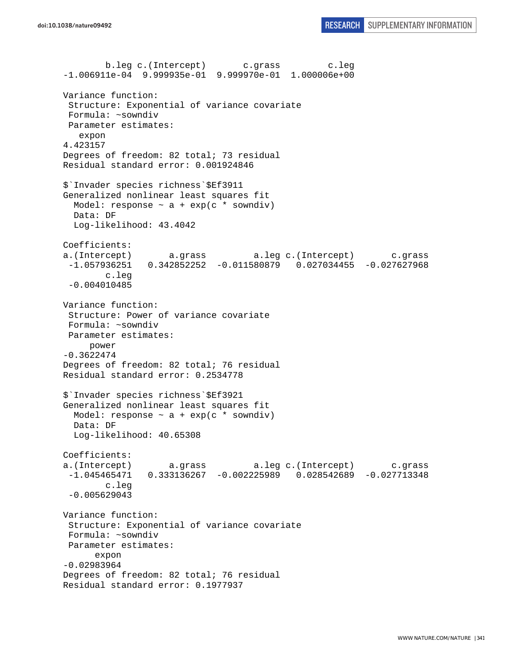b.leg c.(Intercept) c.grass c.leg -1.006911e-04 9.999935e-01 9.999970e-01 1.000006e+00 Variance function: Structure: Exponential of variance covariate Formula: ~sowndiv Parameter estimates: expon 4.423157 Degrees of freedom: 82 total; 73 residual Residual standard error: 0.001924846 \$`Invader species richness`\$Ef3911 Generalized nonlinear least squares fit Model: response  $\sim$  a + exp(c \* sowndiv) Data: DF Log-likelihood: 43.4042 Coefficients: a.(Intercept) a.grass a.leg c.(Intercept) c.grass -1.057936251 0.342852252 -0.011580879 0.027034455 -0.027627968 c.leg -0.004010485 Variance function: Structure: Power of variance covariate Formula: ~sowndiv Parameter estimates: power -0.3622474 Degrees of freedom: 82 total; 76 residual Residual standard error: 0.2534778 \$`Invader species richness`\$Ef3921 Generalized nonlinear least squares fit Model: response  $\sim$  a + exp(c \* sowndiv) Data: DF Log-likelihood: 40.65308 Coefficients: a.(Intercept) a.grass a.leg c.(Intercept) c.grass -1.045465471 0.333136267 -0.002225989 0.028542689 -0.027713348 c.leg -0.005629043 Variance function: Structure: Exponential of variance covariate Formula: ~sowndiv Parameter estimates: expon -0.02983964 Degrees of freedom: 82 total; 76 residual Residual standard error: 0.1977937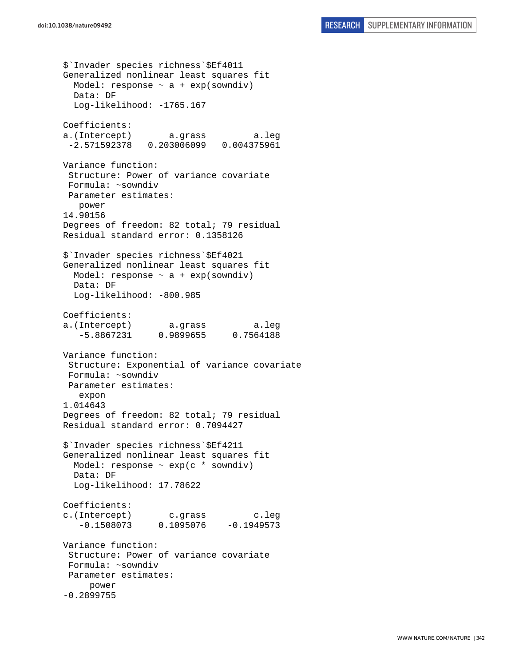```
$`Invader species richness`$Ef4011 
Generalized nonlinear least squares fit 
 Model: response \sim a + exp(sowndiv)
  Data: DF 
   Log-likelihood: -1765.167 
Coefficients: 
a.(Intercept) a.grass a.leg 
  -2.571592378 0.203006099 0.004375961 
Variance function: 
  Structure: Power of variance covariate 
 Formula: ~sowndiv 
 Parameter estimates: 
   power 
14.90156 
Degrees of freedom: 82 total; 79 residual 
Residual standard error: 0.1358126 
$`Invader species richness`$Ef4021 
Generalized nonlinear least squares fit 
 Model: response \sim a + exp(sowndiv)
  Data: DF 
  Log-likelihood: -800.985 
Coefficients: 
a.(Intercept) a.grass a.leg 
    -5.8867231 0.9899655 0.7564188 
Variance function: 
  Structure: Exponential of variance covariate 
 Formula: ~sowndiv 
 Parameter estimates: 
    expon 
1.014643 
Degrees of freedom: 82 total; 79 residual 
Residual standard error: 0.7094427 
$`Invader species richness`$Ef4211 
Generalized nonlinear least squares fit 
   Model: response ~ exp(c * sowndiv) 
   Data: DF 
   Log-likelihood: 17.78622 
Coefficients: 
c.(Intercept) c.grass c.leg 
   -0.1508073 0.1095076 -0.1949573Variance function: 
  Structure: Power of variance covariate 
 Formula: ~sowndiv 
 Parameter estimates: 
      power 
-0.2899755
```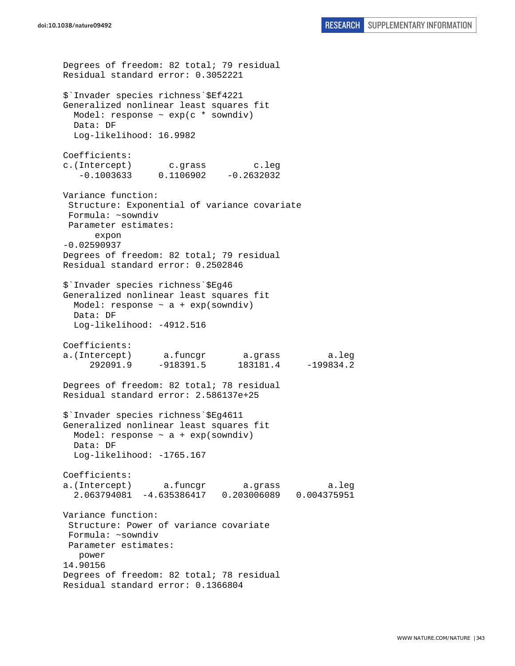Degrees of freedom: 82 total; 79 residual Residual standard error: 0.3052221 \$`Invader species richness`\$Ef4221 Generalized nonlinear least squares fit Model: response ~ exp(c \* sowndiv) Data: DF Log-likelihood: 16.9982 Coefficients: c.(Intercept) c.grass c.leg  $-0.1003633$   $0.1106902$   $-0.2632032$ Variance function: Structure: Exponential of variance covariate Formula: ~sowndiv Parameter estimates: expon -0.02590937 Degrees of freedom: 82 total; 79 residual Residual standard error: 0.2502846 \$`Invader species richness`\$Eg46 Generalized nonlinear least squares fit Model: response  $\sim$  a + exp(sowndiv) Data: DF Log-likelihood: -4912.516 Coefficients: a.(Intercept) a.funcgr a.grass a.leg 292091.9 -918391.5 183181.4 -199834.2 Degrees of freedom: 82 total; 78 residual Residual standard error: 2.586137e+25 \$`Invader species richness`\$Eg4611 Generalized nonlinear least squares fit Model: response  $\sim$  a + exp(sowndiv) Data: DF Log-likelihood: -1765.167 Coefficients: a.(Intercept) a.funcgr a.grass a.leg 2.063794081 -4.635386417 0.203006089 0.004375951 Variance function: Structure: Power of variance covariate Formula: ~sowndiv Parameter estimates: power 14.90156 Degrees of freedom: 82 total; 78 residual Residual standard error: 0.1366804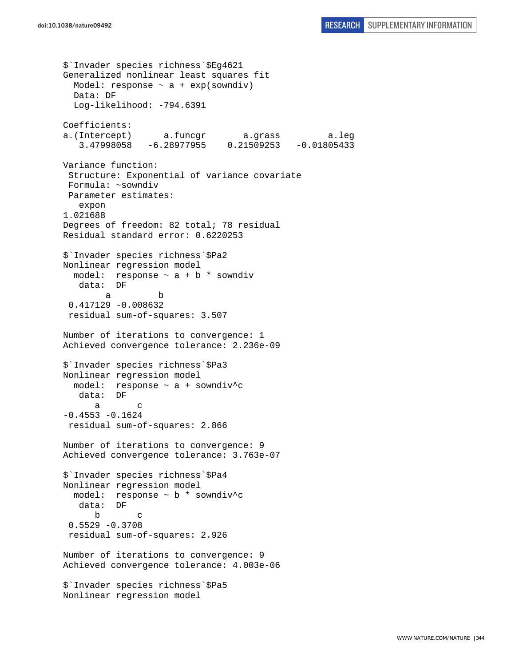```
$`Invader species richness`$Eg4621 
Generalized nonlinear least squares fit 
  Model: response \sim a + exp(sowndiv)
   Data: DF 
   Log-likelihood: -794.6391 
Coefficients: 
a.(Intercept) a.funcgr a.grass a.leg 
    3.47998058 -6.28977955 0.21509253 -0.01805433 
Variance function: 
  Structure: Exponential of variance covariate 
 Formula: ~sowndiv 
 Parameter estimates: 
    expon 
1.021688 
Degrees of freedom: 82 total; 78 residual 
Residual standard error: 0.6220253 
$`Invader species richness`$Pa2 
Nonlinear regression model 
 model: response \sim a + b * sowndiv
    data: DF 
 a b 
  0.417129 -0.008632 
  residual sum-of-squares: 3.507 
Number of iterations to convergence: 1 
Achieved convergence tolerance: 2.236e-09 
$`Invader species richness`$Pa3 
Nonlinear regression model 
  model: response ~ a + sowndiv^c 
    data: DF 
 a c 
-0.4553 - 0.1624 residual sum-of-squares: 2.866 
Number of iterations to convergence: 9 
Achieved convergence tolerance: 3.763e-07 
$`Invader species richness`$Pa4 
Nonlinear regression model 
  model: response ~ b * sowndiv^c 
    data: DF 
 b c 
  0.5529 -0.3708 
  residual sum-of-squares: 2.926 
Number of iterations to convergence: 9 
Achieved convergence tolerance: 4.003e-06 
$`Invader species richness`$Pa5 
Nonlinear regression model
```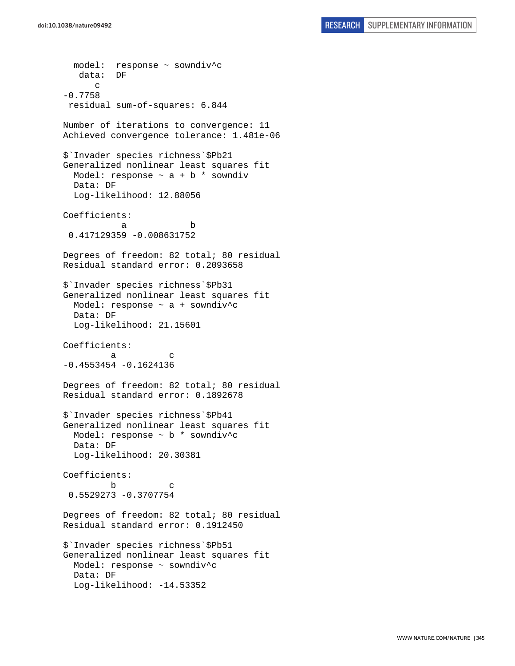model: response ~ sowndiv^c data: DF c -0.7758 residual sum-of-squares: 6.844 Number of iterations to convergence: 11 Achieved convergence tolerance: 1.481e-06 \$`Invader species richness`\$Pb21 Generalized nonlinear least squares fit Model: response  $\sim$  a + b \* sowndiv Data: DF Log-likelihood: 12.88056 Coefficients: a b 0.417129359 -0.008631752 Degrees of freedom: 82 total; 80 residual Residual standard error: 0.2093658 \$`Invader species richness`\$Pb31 Generalized nonlinear least squares fit Model: response ~ a + sowndiv^c Data: DF Log-likelihood: 21.15601 Coefficients: a c -0.4553454 -0.1624136 Degrees of freedom: 82 total; 80 residual Residual standard error: 0.1892678 \$`Invader species richness`\$Pb41 Generalized nonlinear least squares fit Model: response ~ b \* sowndiv^c Data: DF Log-likelihood: 20.30381 Coefficients: b c 0.5529273 -0.3707754 Degrees of freedom: 82 total; 80 residual Residual standard error: 0.1912450 \$`Invader species richness`\$Pb51 Generalized nonlinear least squares fit Model: response ~ sowndiv^c Data: DF Log-likelihood: -14.53352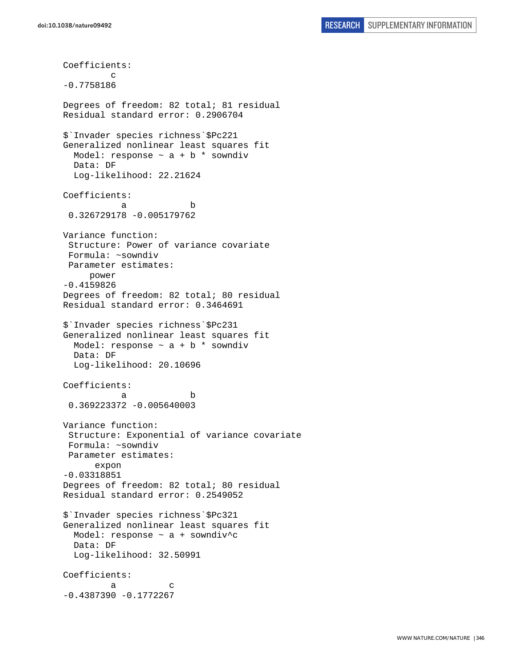Coefficients: c -0.7758186 Degrees of freedom: 82 total; 81 residual Residual standard error: 0.2906704 \$`Invader species richness`\$Pc221 Generalized nonlinear least squares fit Model: response  $\sim$  a + b  $*$  sowndiv Data: DF Log-likelihood: 22.21624 Coefficients: a b 0.326729178 -0.005179762 Variance function: Structure: Power of variance covariate Formula: ~sowndiv Parameter estimates: power -0.4159826 Degrees of freedom: 82 total; 80 residual Residual standard error: 0.3464691 \$`Invader species richness`\$Pc231 Generalized nonlinear least squares fit Model: response  $\sim$  a + b \* sowndiv Data: DF Log-likelihood: 20.10696 Coefficients: a b 0.369223372 -0.005640003 Variance function: Structure: Exponential of variance covariate Formula: ~sowndiv Parameter estimates: expon -0.03318851 Degrees of freedom: 82 total; 80 residual Residual standard error: 0.2549052 \$`Invader species richness`\$Pc321 Generalized nonlinear least squares fit Model: response ~ a + sowndiv^c Data: DF Log-likelihood: 32.50991 Coefficients: a c  $-0.4387390 -0.1772267$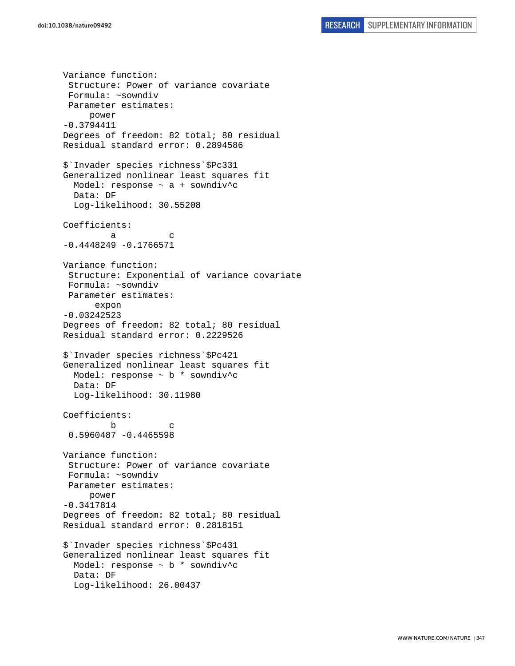Variance function: Structure: Power of variance covariate Formula: ~sowndiv Parameter estimates: power -0.3794411 Degrees of freedom: 82 total; 80 residual Residual standard error: 0.2894586 \$`Invader species richness`\$Pc331 Generalized nonlinear least squares fit Model: response ~ a + sowndiv^c Data: DF Log-likelihood: 30.55208 Coefficients: a c  $-0.4448249 - 0.1766571$ Variance function: Structure: Exponential of variance covariate Formula: ~sowndiv Parameter estimates: expon -0.03242523 Degrees of freedom: 82 total; 80 residual Residual standard error: 0.2229526 \$`Invader species richness`\$Pc421 Generalized nonlinear least squares fit Model: response ~ b \* sowndiv^c Data: DF Log-likelihood: 30.11980 Coefficients: b c 0.5960487 -0.4465598 Variance function: Structure: Power of variance covariate Formula: ~sowndiv Parameter estimates: power -0.3417814 Degrees of freedom: 82 total; 80 residual Residual standard error: 0.2818151 \$`Invader species richness`\$Pc431 Generalized nonlinear least squares fit Model: response  $\sim$  b  $*$  sowndiv<sup>^</sup>c Data: DF Log-likelihood: 26.00437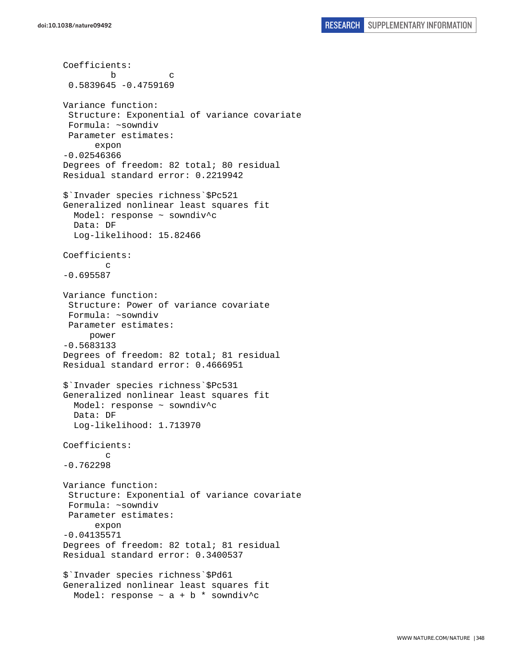```
Coefficients: 
 b c 
  0.5839645 -0.4759169 
Variance function: 
  Structure: Exponential of variance covariate 
  Formula: ~sowndiv 
  Parameter estimates: 
       expon 
-0.02546366 
Degrees of freedom: 82 total; 80 residual 
Residual standard error: 0.2219942 
$`Invader species richness`$Pc521 
Generalized nonlinear least squares fit 
   Model: response ~ sowndiv^c 
   Data: DF 
   Log-likelihood: 15.82466 
Coefficients: 
 c 
-0.695587 
Variance function: 
  Structure: Power of variance covariate 
  Formula: ~sowndiv 
  Parameter estimates: 
      power 
-0.5683133 
Degrees of freedom: 82 total; 81 residual 
Residual standard error: 0.4666951 
$`Invader species richness`$Pc531 
Generalized nonlinear least squares fit 
   Model: response ~ sowndiv^c 
   Data: DF 
   Log-likelihood: 1.713970 
Coefficients: 
         c 
-0.762298 
Variance function: 
  Structure: Exponential of variance covariate 
  Formula: ~sowndiv 
 Parameter estimates: 
       expon 
-0.04135571 
Degrees of freedom: 82 total; 81 residual 
Residual standard error: 0.3400537 
$`Invader species richness`$Pd61 
Generalized nonlinear least squares fit 
  Model: response \sim a + b * sowndiv^c
```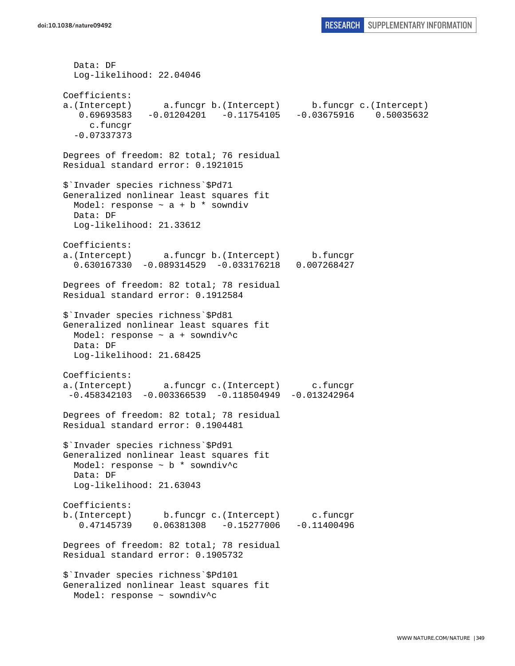Data: DF Log-likelihood: 22.04046 Coefficients: a.(Intercept) a.funcgr b.(Intercept) b.funcgr c.(Intercept) 0.69693583 -0.01204201 -0.11754105 -0.03675916 0.50035632 c.funcgr -0.07337373 Degrees of freedom: 82 total; 76 residual Residual standard error: 0.1921015 \$`Invader species richness`\$Pd71 Generalized nonlinear least squares fit Model: response  $\sim$  a + b  $*$  sowndiv Data: DF Log-likelihood: 21.33612 Coefficients: a.(Intercept) a.funcgr b.(Intercept) b.funcgr 0.630167330 -0.089314529 -0.033176218 0.007268427 Degrees of freedom: 82 total; 78 residual Residual standard error: 0.1912584 \$`Invader species richness`\$Pd81 Generalized nonlinear least squares fit Model: response ~ a + sowndiv^c Data: DF Log-likelihood: 21.68425 Coefficients: a.(Intercept) a.funcgr c.(Intercept) c.funcgr -0.458342103 -0.003366539 -0.118504949 -0.013242964 Degrees of freedom: 82 total; 78 residual Residual standard error: 0.1904481 \$`Invader species richness`\$Pd91 Generalized nonlinear least squares fit Model: response ~ b \* sowndiv^c Data: DF Log-likelihood: 21.63043 Coefficients: b.(Intercept) b.funcgr c.(Intercept) c.funcgr 0.47145739 0.06381308 -0.15277006 -0.11400496 Degrees of freedom: 82 total; 78 residual Residual standard error: 0.1905732 \$`Invader species richness`\$Pd101 Generalized nonlinear least squares fit Model: response ~ sowndiv^c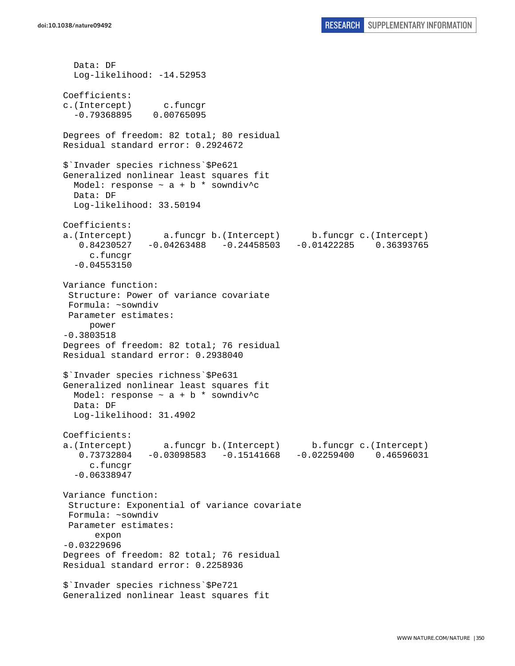Data: DF Log-likelihood: -14.52953 Coefficients: c.(Intercept) c.funcgr -0.79368895 0.00765095 Degrees of freedom: 82 total; 80 residual Residual standard error: 0.2924672 \$`Invader species richness`\$Pe621 Generalized nonlinear least squares fit Model: response  $\sim$  a + b \* sowndiv^c Data: DF Log-likelihood: 33.50194 Coefficients: a.(Intercept) a.funcgr b.(Intercept) b.funcgr c.(Intercept) 0.84230527 -0.04263488 -0.24458503 -0.01422285 0.36393765 c.funcgr -0.04553150 Variance function: Structure: Power of variance covariate Formula: ~sowndiv Parameter estimates: power -0.3803518 Degrees of freedom: 82 total; 76 residual Residual standard error: 0.2938040 \$`Invader species richness`\$Pe631 Generalized nonlinear least squares fit Model: response  $\sim$  a + b \* sowndiv^c Data: DF Log-likelihood: 31.4902 Coefficients: a.(Intercept) a.funcgr b.(Intercept) b.funcgr c.(Intercept) 0.73732804 -0.03098583 -0.15141668 -0.02259400 0.46596031 c.funcgr -0.06338947 Variance function: Structure: Exponential of variance covariate Formula: ~sowndiv Parameter estimates: expon -0.03229696 Degrees of freedom: 82 total; 76 residual Residual standard error: 0.2258936 \$`Invader species richness`\$Pe721 Generalized nonlinear least squares fit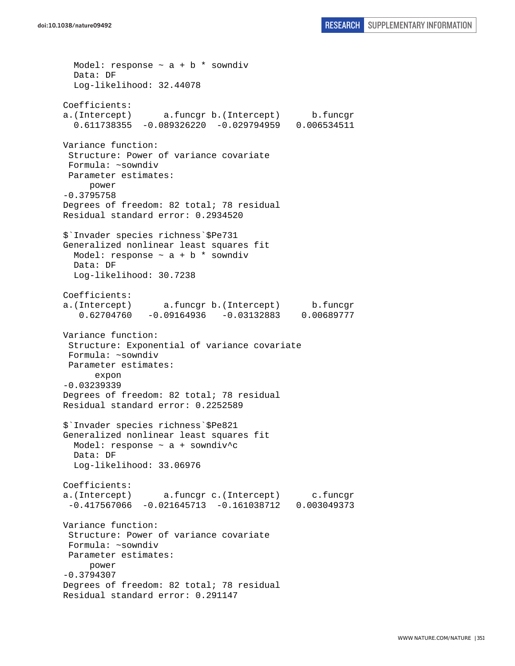Model: response  $\sim$  a + b \* sowndiv Data: DF Log-likelihood: 32.44078 Coefficients: a.(Intercept) a.funcgr b.(Intercept) b.funcgr 0.611738355 -0.089326220 -0.029794959 0.006534511 Variance function: Structure: Power of variance covariate Formula: ~sowndiv Parameter estimates: power -0.3795758 Degrees of freedom: 82 total; 78 residual Residual standard error: 0.2934520 \$`Invader species richness`\$Pe731 Generalized nonlinear least squares fit Model: response  $\sim$  a + b  $*$  sowndiv Data: DF Log-likelihood: 30.7238 Coefficients: a.(Intercept) a.funcgr b.(Intercept) b.funcgr 0.62704760 -0.09164936 -0.03132883 0.00689777 Variance function: Structure: Exponential of variance covariate Formula: ~sowndiv Parameter estimates: expon -0.03239339 Degrees of freedom: 82 total; 78 residual Residual standard error: 0.2252589 \$`Invader species richness`\$Pe821 Generalized nonlinear least squares fit Model: response ~ a + sowndiv^c Data: DF Log-likelihood: 33.06976 Coefficients: a.(Intercept) a.funcgr c.(Intercept) c.funcgr -0.417567066 -0.021645713 -0.161038712 0.003049373 Variance function: Structure: Power of variance covariate Formula: ~sowndiv Parameter estimates: power -0.3794307 Degrees of freedom: 82 total; 78 residual Residual standard error: 0.291147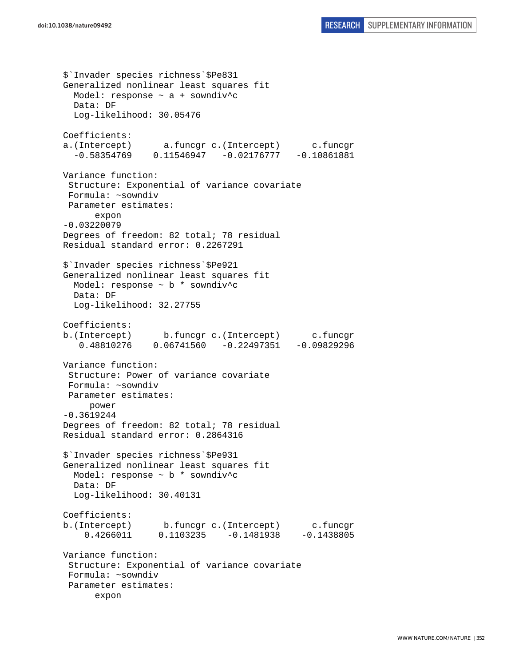```
$`Invader species richness`$Pe831 
Generalized nonlinear least squares fit 
  Model: response ~ a + sowndiv^c 
  Data: DF 
   Log-likelihood: 30.05476 
Coefficients: 
a.(Intercept) a.funcgr c.(Intercept) c.funcgr 
  -0.58354769 0.11546947 -0.02176777 -0.10861881Variance function: 
  Structure: Exponential of variance covariate 
  Formula: ~sowndiv 
 Parameter estimates: 
       expon 
-0.03220079 
Degrees of freedom: 82 total; 78 residual 
Residual standard error: 0.2267291 
$`Invader species richness`$Pe921 
Generalized nonlinear least squares fit 
  Model: response ~ b * sowndiv^c 
   Data: DF 
   Log-likelihood: 32.27755 
Coefficients: 
b.(Intercept) b.funcgr c.(Intercept) c.funcgr 
    0.48810276 0.06741560 -0.22497351 -0.09829296 
Variance function: 
  Structure: Power of variance covariate 
 Formula: ~sowndiv 
 Parameter estimates: 
      power 
-0.3619244 
Degrees of freedom: 82 total; 78 residual 
Residual standard error: 0.2864316 
$`Invader species richness`$Pe931 
Generalized nonlinear least squares fit 
  Model: response ~ b * sowndiv^c 
  Data: DF 
   Log-likelihood: 30.40131 
Coefficients: 
b.(Intercept) b.funcgr c.(Intercept) c.funcgr 
     0.4266011 0.1103235 -0.1481938 -0.1438805 
Variance function: 
  Structure: Exponential of variance covariate 
 Formula: ~sowndiv 
  Parameter estimates: 
       expon
```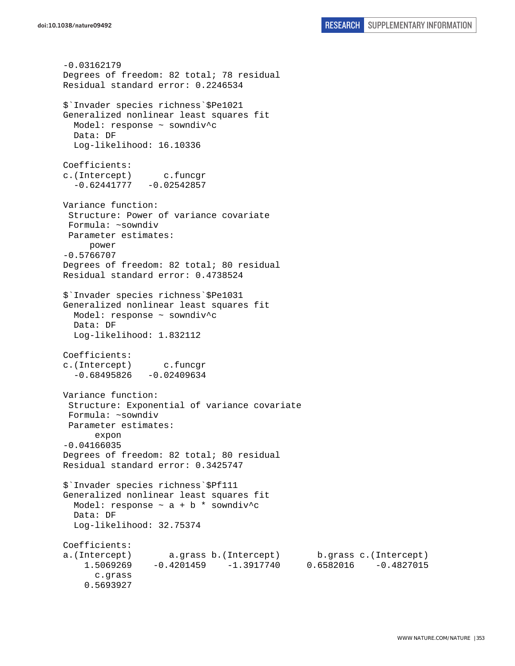```
-0.03162179 
Degrees of freedom: 82 total; 78 residual 
Residual standard error: 0.2246534 
$`Invader species richness`$Pe1021 
Generalized nonlinear least squares fit 
  Model: response ~ sowndiv^c 
  Data: DF 
   Log-likelihood: 16.10336 
Coefficients: 
c.(Intercept) c.funcgr 
  -0.62441777 - 0.02542857Variance function: 
  Structure: Power of variance covariate 
 Formula: ~sowndiv 
 Parameter estimates: 
      power 
-0.5766707 
Degrees of freedom: 82 total; 80 residual 
Residual standard error: 0.4738524 
$`Invader species richness`$Pe1031 
Generalized nonlinear least squares fit 
  Model: response ~ sowndiv^c
  Data: DF 
  Log-likelihood: 1.832112 
Coefficients: 
c.(Intercept) c.funcgr 
  -0.68495826 -0.02409634Variance function: 
  Structure: Exponential of variance covariate 
 Formula: ~sowndiv 
 Parameter estimates: 
       expon 
-0.04166035 
Degrees of freedom: 82 total; 80 residual 
Residual standard error: 0.3425747 
$`Invader species richness`$Pf111 
Generalized nonlinear least squares fit 
  Model: response \sim a + b * sowndiv<sup>^</sup>c
  Data: DF 
  Log-likelihood: 32.75374 
Coefficients: 
a.(Intercept) a.grass b.(Intercept) b.grass c.(Intercept) 
     1.5069269 -0.4201459 -1.3917740 0.6582016 -0.4827015 
       c.grass 
     0.5693927
```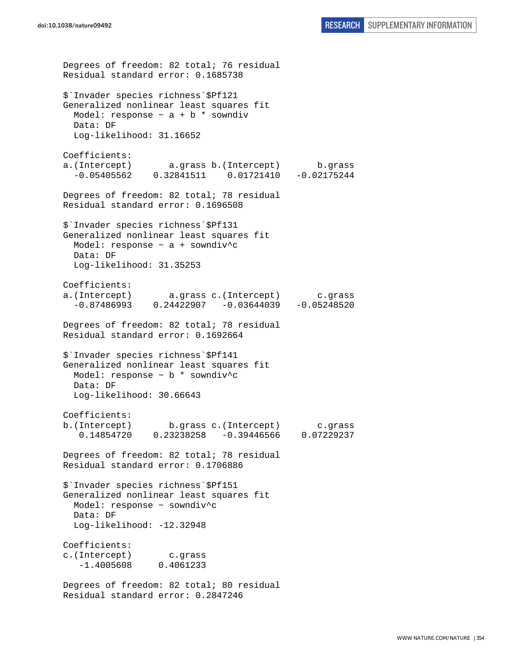```
Degrees of freedom: 82 total; 76 residual 
Residual standard error: 0.1685738 
$`Invader species richness`$Pf121 
Generalized nonlinear least squares fit 
  Model: response \sim a + b * sowndiv
  Data: DF 
  Log-likelihood: 31.16652 
Coefficients: 
a.(Intercept) a.grass b.(Intercept) b.grass 
   -0.05405562 0.32841511 0.01721410 -0.02175244 
Degrees of freedom: 82 total; 78 residual 
Residual standard error: 0.1696508 
$`Invader species richness`$Pf131 
Generalized nonlinear least squares fit 
  Model: response ~ a + sowndiv^c 
   Data: DF 
   Log-likelihood: 31.35253 
Coefficients: 
a.(Intercept) a.grass c.(Intercept) c.grass 
  -0.87486993 0.24422907 -0.03644039 -0.05248520Degrees of freedom: 82 total; 78 residual 
Residual standard error: 0.1692664 
$`Invader species richness`$Pf141 
Generalized nonlinear least squares fit 
  Model: response ~ b * sowndiv^c 
   Data: DF 
   Log-likelihood: 30.66643 
Coefficients: 
b.(Intercept) b.grass c.(Intercept) c.grass 
    0.14854720 0.23238258 -0.39446566 0.07229237 
Degrees of freedom: 82 total; 78 residual 
Residual standard error: 0.1706886 
$`Invader species richness`$Pf151 
Generalized nonlinear least squares fit 
   Model: response ~ sowndiv^c 
   Data: DF 
   Log-likelihood: -12.32948 
Coefficients: 
c.(Intercept) c.grass 
    -1.4005608 0.4061233 
Degrees of freedom: 82 total; 80 residual 
Residual standard error: 0.2847246
```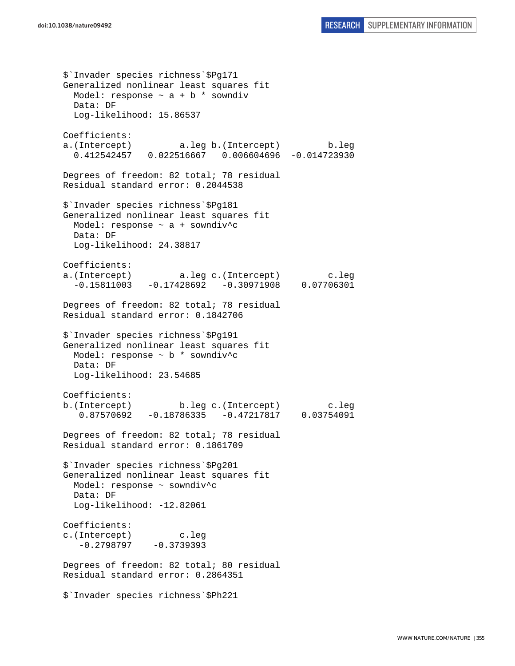\$`Invader species richness`\$Pg171 Generalized nonlinear least squares fit Model: response  $\sim$  a + b  $*$  sowndiv Data: DF Log-likelihood: 15.86537 Coefficients: a.(Intercept) a.leg b.(Intercept) b.leg 0.412542457 0.022516667 0.006604696 -0.014723930 Degrees of freedom: 82 total; 78 residual Residual standard error: 0.2044538 \$`Invader species richness`\$Pg181 Generalized nonlinear least squares fit Model: response ~ a + sowndiv^c Data: DF Log-likelihood: 24.38817 Coefficients: a.(Intercept) a.leg c.(Intercept) c.leg  $-0.15811003 -0.17428692 -0.30971908 0.07706301$ Degrees of freedom: 82 total; 78 residual Residual standard error: 0.1842706 \$`Invader species richness`\$Pg191 Generalized nonlinear least squares fit Model: response ~ b \* sowndiv^c Data: DF Log-likelihood: 23.54685 Coefficients: b.(Intercept) b.leg c.(Intercept) c.leg 0.87570692 -0.18786335 -0.47217817 0.03754091 Degrees of freedom: 82 total; 78 residual Residual standard error: 0.1861709 \$`Invader species richness`\$Pg201 Generalized nonlinear least squares fit Model: response ~ sowndiv^c Data: DF Log-likelihood: -12.82061 Coefficients: c.(Intercept) c.leg  $-0.2798797 -0.3739393$ Degrees of freedom: 82 total; 80 residual Residual standard error: 0.2864351 \$`Invader species richness`\$Ph221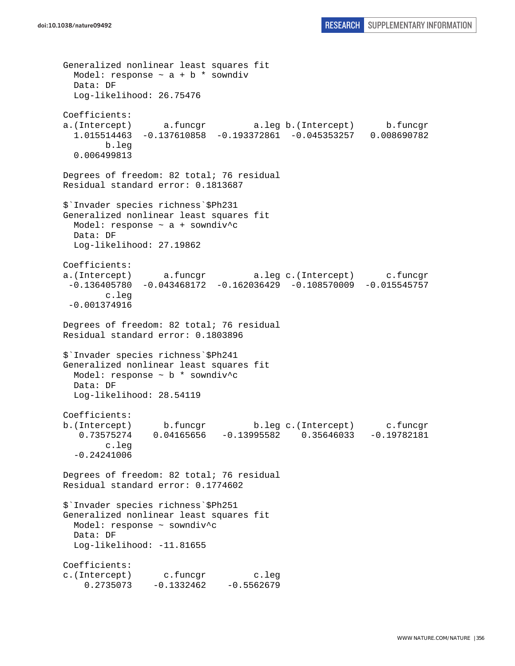```
Generalized nonlinear least squares fit 
  Model: response \sim a + b * sowndiv
  Data: DF 
   Log-likelihood: 26.75476 
Coefficients: 
a.(Intercept) a.funcgr a.leg b.(Intercept) b.funcgr 
   1.015514463 -0.137610858 -0.193372861 -0.045353257 0.008690782 
         b.leg 
   0.006499813 
Degrees of freedom: 82 total; 76 residual 
Residual standard error: 0.1813687 
$`Invader species richness`$Ph231 
Generalized nonlinear least squares fit 
   Model: response ~ a + sowndiv^c 
  Data: DF 
  Log-likelihood: 27.19862 
Coefficients: 
a.(Intercept) a.funcgr a.leg c.(Intercept) c.funcgr 
  -0.136405780 -0.043468172 -0.162036429 -0.108570009 -0.015545757 
         c.leg 
 -0.001374916 
Degrees of freedom: 82 total; 76 residual 
Residual standard error: 0.1803896 
$`Invader species richness`$Ph241 
Generalized nonlinear least squares fit 
  Model: response ~ b * sowndiv^c 
   Data: DF 
   Log-likelihood: 28.54119 
Coefficients: 
b.(Intercept) b.funcgr b.leg c.(Intercept) c.funcgr 
   0.73575274 0.04165656 -0.13995582 0.35646033 -0.19782181 
        c.leg 
   -0.24241006 
Degrees of freedom: 82 total; 76 residual 
Residual standard error: 0.1774602 
$`Invader species richness`$Ph251 
Generalized nonlinear least squares fit 
  Model: response ~ sowndiv^c 
  Data: DF 
   Log-likelihood: -11.81655 
Coefficients: 
c.(Intercept) c.funcgr c.leg 
     0.2735073 -0.1332462 -0.5562679
```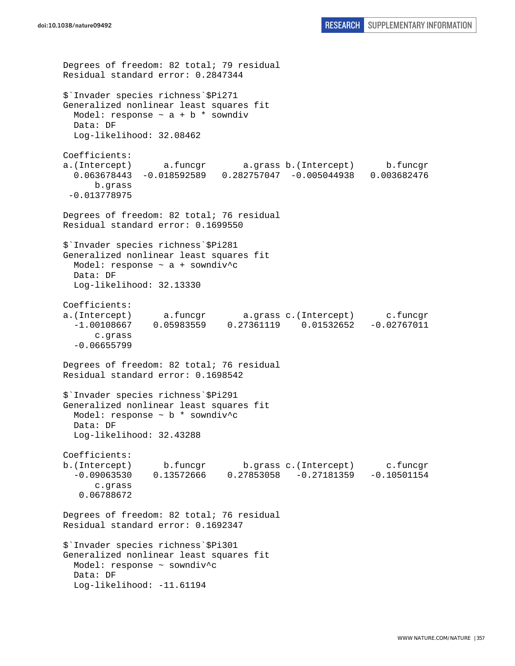```
Degrees of freedom: 82 total; 79 residual 
Residual standard error: 0.2847344 
$`Invader species richness`$Pi271 
Generalized nonlinear least squares fit 
  Model: response \sim a + b * sowndiv
   Data: DF 
   Log-likelihood: 32.08462 
Coefficients: 
a.(Intercept) a.funcgr a.grass b.(Intercept) b.funcgr 
   0.063678443 -0.018592589 0.282757047 -0.005044938 0.003682476 
       b.grass 
  -0.013778975 
Degrees of freedom: 82 total; 76 residual 
Residual standard error: 0.1699550 
$`Invader species richness`$Pi281 
Generalized nonlinear least squares fit 
   Model: response ~ a + sowndiv^c 
   Data: DF 
   Log-likelihood: 32.13330 
Coefficients: 
a.(Intercept) a.funcgr a.grass c.(Intercept) c.funcgr<br>-1.00108667  0.05983559  0.27361119  0.01532652  -0.02767011
  -1.00108667 0.05983559 0.27361119 0.01532652
       c.grass 
   -0.06655799 
Degrees of freedom: 82 total; 76 residual 
Residual standard error: 0.1698542 
$`Invader species richness`$Pi291 
Generalized nonlinear least squares fit 
   Model: response ~ b * sowndiv^c 
   Data: DF 
   Log-likelihood: 32.43288 
Coefficients: 
b.(Intercept) b.funcgr b.grass c.(Intercept) c.funcgr 
   -0.09063530 0.13572666 0.27853058 -0.27181359 -0.10501154 
       c.grass 
    0.06788672 
Degrees of freedom: 82 total; 76 residual 
Residual standard error: 0.1692347 
$`Invader species richness`$Pi301 
Generalized nonlinear least squares fit 
   Model: response ~ sowndiv^c 
   Data: DF 
   Log-likelihood: -11.61194
```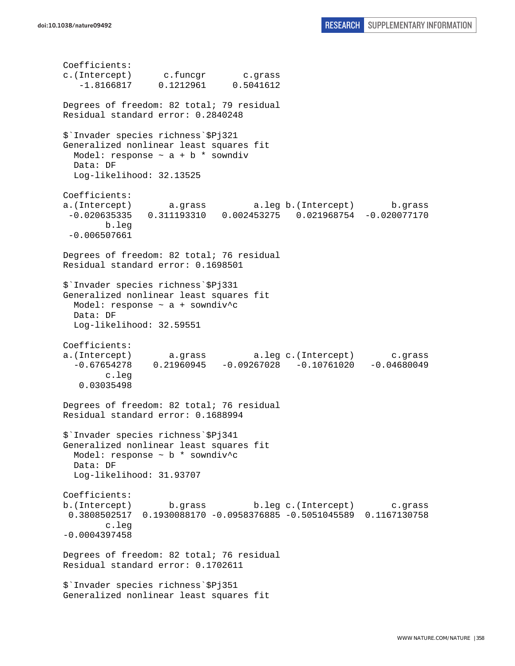Coefficients: c.(Intercept) c.funcgr c.grass -1.8166817 0.1212961 0.5041612 Degrees of freedom: 82 total; 79 residual Residual standard error: 0.2840248 \$`Invader species richness`\$Pj321 Generalized nonlinear least squares fit Model: response  $\sim$  a + b \* sowndiv Data: DF Log-likelihood: 32.13525 Coefficients: a.(Intercept) a.grass a.leg b.(Intercept) b.grass -0.020635335 0.311193310 0.002453275 0.021968754 -0.020077170 b.leg -0.006507661 Degrees of freedom: 82 total; 76 residual Residual standard error: 0.1698501 \$`Invader species richness`\$Pj331 Generalized nonlinear least squares fit Model: response ~ a + sowndiv^c Data: DF Log-likelihood: 32.59551 Coefficients: a.(Intercept) a.grass a.leg c.(Intercept) c.grass  $-0.67654278$  0.21960945  $-0.09267028$   $-0.10761020$   $-0.04680049$  c.leg 0.03035498 Degrees of freedom: 82 total; 76 residual Residual standard error: 0.1688994 \$`Invader species richness`\$Pj341 Generalized nonlinear least squares fit Model: response  $\sim$  b  $*$  sowndiv<sup>^</sup>c Data: DF Log-likelihood: 31.93707 Coefficients: b.(Intercept) b.grass b.leg c.(Intercept) c.grass 0.3808502517 0.1930088170 -0.0958376885 -0.5051045589 0.1167130758 c.leg -0.0004397458 Degrees of freedom: 82 total; 76 residual Residual standard error: 0.1702611 \$`Invader species richness`\$Pj351 Generalized nonlinear least squares fit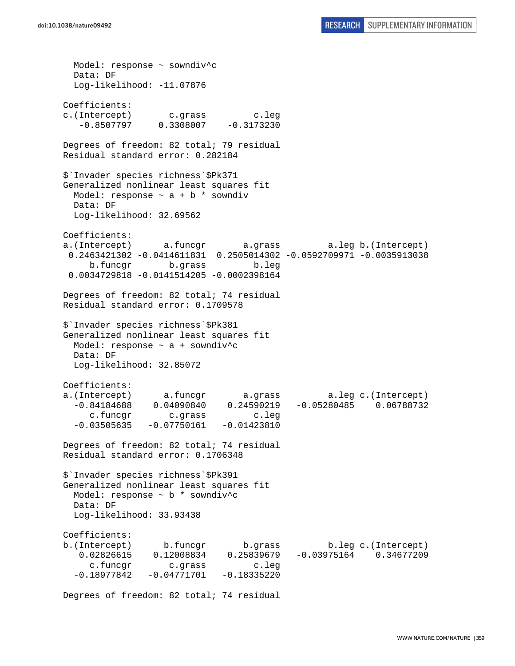Model: response ~ sowndiv^c Data: DF Log-likelihood: -11.07876 Coefficients: c.(Intercept) c.grass c.leg  $-0.8507797$  0.3308007  $-0.3173230$ Degrees of freedom: 82 total; 79 residual Residual standard error: 0.282184 \$`Invader species richness`\$Pk371 Generalized nonlinear least squares fit Model: response  $\sim$  a + b  $*$  sowndiv Data: DF Log-likelihood: 32.69562 Coefficients: a.(Intercept) a.funcgr a.grass a.leg b.(Intercept) 0.2463421302 -0.0414611831 0.2505014302 -0.0592709971 -0.0035913038 b.funcgr b.grass b.leg 0.0034729818 -0.0141514205 -0.0002398164 Degrees of freedom: 82 total; 74 residual Residual standard error: 0.1709578 \$`Invader species richness`\$Pk381 Generalized nonlinear least squares fit Model: response ~ a + sowndiv^c Data: DF Log-likelihood: 32.85072 Coefficients: a.(Intercept) a.funcgr a.grass a.leg c.(Intercept) -0.84184688 0.04090840 0.24590219 -0.05280485 0.06788732 c.funcgr c.grass c.leg  $-0.03505635 -0.07750161 -0.01423810$ Degrees of freedom: 82 total; 74 residual Residual standard error: 0.1706348 \$`Invader species richness`\$Pk391 Generalized nonlinear least squares fit Model: response ~ b \* sowndiv^c Data: DF Log-likelihood: 33.93438 Coefficients: b.(Intercept) b.funcgr b.grass b.leg c.(Intercept) 0.02826615 0.12008834 0.25839679 -0.03975164 0.34677209 c.funcgr c.grass c.leg  $-0.18977842 -0.04771701 -0.18335220$ 

Degrees of freedom: 82 total; 74 residual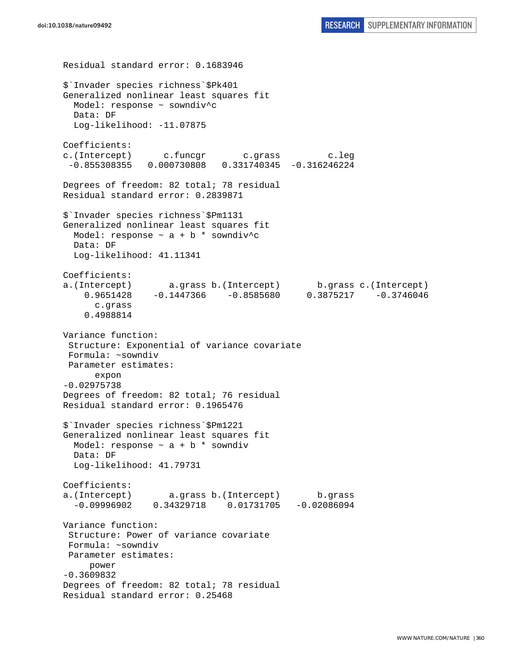Residual standard error: 0.1683946 \$`Invader species richness`\$Pk401 Generalized nonlinear least squares fit Model: response ~ sowndiv^c Data: DF Log-likelihood: -11.07875 Coefficients: c.(Intercept) c.funcgr c.grass c.leg -0.855308355 0.000730808 0.331740345 -0.316246224 Degrees of freedom: 82 total; 78 residual Residual standard error: 0.2839871 \$`Invader species richness`\$Pm1131 Generalized nonlinear least squares fit Model: response  $\sim$  a + b \* sowndiv^c Data: DF Log-likelihood: 41.11341 Coefficients: a.(Intercept) a.grass b.(Intercept) b.grass c.(Intercept) 0.9651428 -0.1447366 -0.8585680 0.3875217 -0.3746046 c.grass 0.4988814 Variance function: Structure: Exponential of variance covariate Formula: ~sowndiv Parameter estimates: expon -0.02975738 Degrees of freedom: 82 total; 76 residual Residual standard error: 0.1965476 \$`Invader species richness`\$Pm1221 Generalized nonlinear least squares fit Model: response  $\sim$  a + b \* sowndiv Data: DF Log-likelihood: 41.79731 Coefficients: a.(Intercept) a.grass b.(Intercept) b.grass -0.09996902 0.34329718 0.01731705 -0.02086094 Variance function: Structure: Power of variance covariate Formula: ~sowndiv Parameter estimates: power -0.3609832 Degrees of freedom: 82 total; 78 residual Residual standard error: 0.25468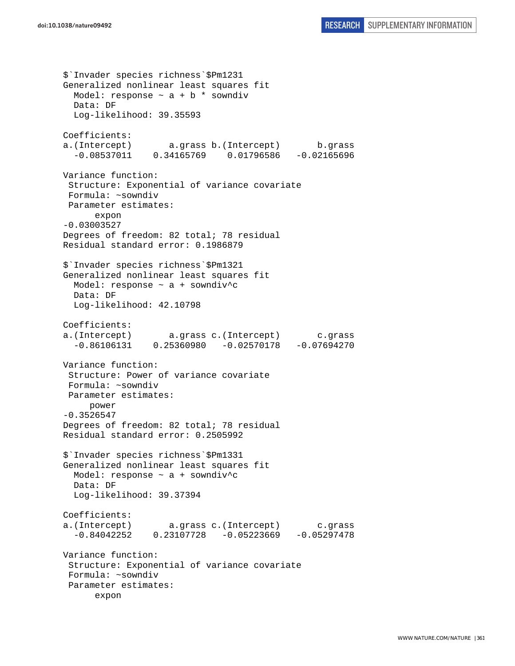\$`Invader species richness`\$Pm1231 Generalized nonlinear least squares fit Model: response  $\sim$  a + b  $*$  sowndiv Data: DF Log-likelihood: 39.35593 Coefficients: a.(Intercept) a.grass b.(Intercept) b.grass -0.08537011 0.34165769 0.01796586 -0.02165696 Variance function: Structure: Exponential of variance covariate Formula: ~sowndiv Parameter estimates: expon -0.03003527 Degrees of freedom: 82 total; 78 residual Residual standard error: 0.1986879 \$`Invader species richness`\$Pm1321 Generalized nonlinear least squares fit Model: response ~ a + sowndiv^c Data: DF Log-likelihood: 42.10798 Coefficients: a.(Intercept) a.grass c.(Intercept) c.grass -0.86106131 0.25360980 -0.02570178 -0.07694270 Variance function: Structure: Power of variance covariate Formula: ~sowndiv Parameter estimates: power -0.3526547 Degrees of freedom: 82 total; 78 residual Residual standard error: 0.2505992 \$`Invader species richness`\$Pm1331 Generalized nonlinear least squares fit Model: response ~ a + sowndiv^c Data: DF Log-likelihood: 39.37394 Coefficients: a.(Intercept) a.grass c.(Intercept) c.grass -0.84042252 0.23107728 -0.05223669 -0.05297478 Variance function: Structure: Exponential of variance covariate Formula: ~sowndiv Parameter estimates: expon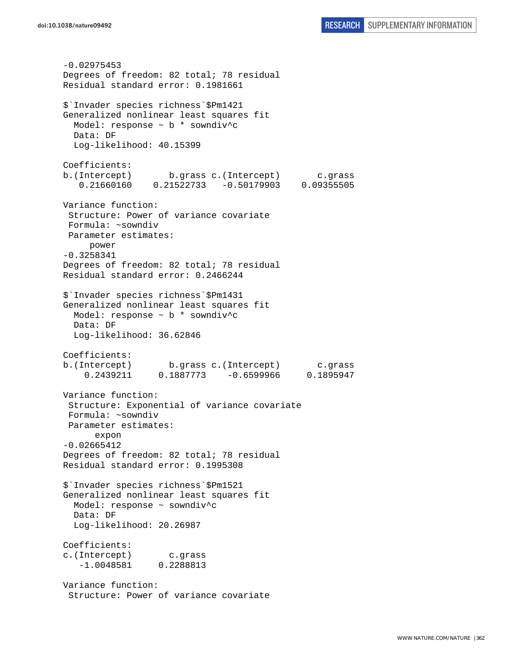-0.02975453 Degrees of freedom: 82 total; 78 residual Residual standard error: 0.1981661 \$`Invader species richness`\$Pm1421 Generalized nonlinear least squares fit Model: response ~ b \* sowndiv^c Data: DF Log-likelihood: 40.15399 Coefficients: b.(Intercept) b.grass c.(Intercept) c.grass 0.21660160 0.21522733 -0.50179903 0.09355505 Variance function: Structure: Power of variance covariate Formula: ~sowndiv Parameter estimates: power -0.3258341 Degrees of freedom: 82 total; 78 residual Residual standard error: 0.2466244 \$`Invader species richness`\$Pm1431 Generalized nonlinear least squares fit Model: response ~ b \* sowndiv^c Data: DF Log-likelihood: 36.62846 Coefficients: b.(Intercept) b.grass c.(Intercept) c.grass 0.2439211 0.1887773 -0.6599966 0.1895947 Variance function: Structure: Exponential of variance covariate Formula: ~sowndiv Parameter estimates: expon -0.02665412 Degrees of freedom: 82 total; 78 residual Residual standard error: 0.1995308 \$`Invader species richness`\$Pm1521 Generalized nonlinear least squares fit Model: response ~ sowndiv^c Data: DF Log-likelihood: 20.26987 Coefficients: c.(Intercept) c.grass -1.0048581 0.2288813 Variance function: Structure: Power of variance covariate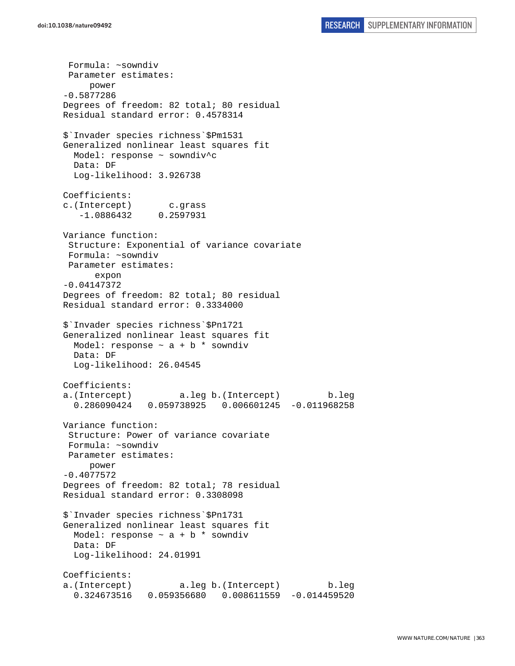Formula: ~sowndiv Parameter estimates: power -0.5877286 Degrees of freedom: 82 total; 80 residual Residual standard error: 0.4578314 \$`Invader species richness`\$Pm1531 Generalized nonlinear least squares fit Model: response ~ sowndiv^c Data: DF Log-likelihood: 3.926738 Coefficients: c.(Intercept) c.grass -1.0886432 0.2597931 Variance function: Structure: Exponential of variance covariate Formula: ~sowndiv Parameter estimates: expon -0.04147372 Degrees of freedom: 82 total; 80 residual Residual standard error: 0.3334000 \$`Invader species richness`\$Pn1721 Generalized nonlinear least squares fit Model: response  $\sim$  a + b \* sowndiv Data: DF Log-likelihood: 26.04545 Coefficients: a.(Intercept) a.leg b.(Intercept) b.leg 0.286090424 0.059738925 0.006601245 -0.011968258 Variance function: Structure: Power of variance covariate Formula: ~sowndiv Parameter estimates: power -0.4077572 Degrees of freedom: 82 total; 78 residual Residual standard error: 0.3308098 \$`Invader species richness`\$Pn1731 Generalized nonlinear least squares fit Model: response  $\sim$  a + b  $*$  sowndiv Data: DF Log-likelihood: 24.01991 Coefficients: a.(Intercept) a.leg b.(Intercept) b.leg 0.324673516 0.059356680 0.008611559 -0.014459520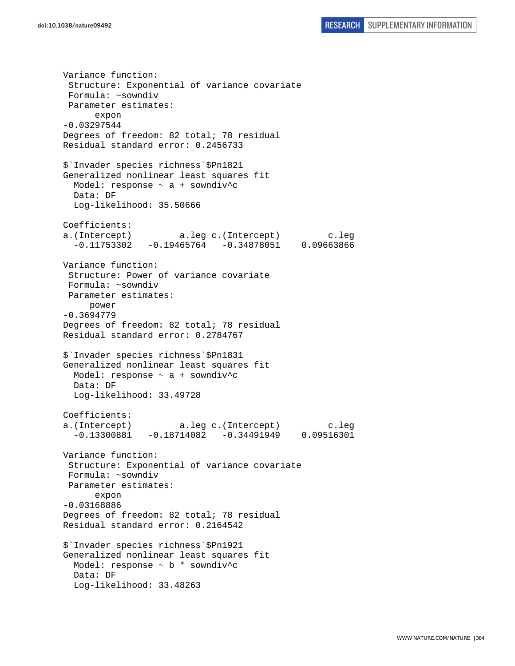Variance function: Structure: Exponential of variance covariate Formula: ~sowndiv Parameter estimates: expon -0.03297544 Degrees of freedom: 82 total; 78 residual Residual standard error: 0.2456733 \$`Invader species richness`\$Pn1821 Generalized nonlinear least squares fit Model: response  $\sim$  a + sowndiv<sup>^</sup>c Data: DF Log-likelihood: 35.50666 Coefficients: a.(Intercept) a.leg c.(Intercept) c.leg  $-0.11753302 -0.19465764 -0.34878051 0.09663866$ Variance function: Structure: Power of variance covariate Formula: ~sowndiv Parameter estimates: power -0.3694779 Degrees of freedom: 82 total; 78 residual Residual standard error: 0.2784767 \$`Invader species richness`\$Pn1831 Generalized nonlinear least squares fit Model: response  $\sim$  a + sowndiv<sup>^</sup>c Data: DF Log-likelihood: 33.49728 Coefficients: a.(Intercept) a.leg c.(Intercept) c.leg  $-0.13300881$   $-0.18714082$   $-0.34491949$  0.09516301 Variance function: Structure: Exponential of variance covariate Formula: ~sowndiv Parameter estimates: expon -0.03168886 Degrees of freedom: 82 total; 78 residual Residual standard error: 0.2164542 \$`Invader species richness`\$Pn1921 Generalized nonlinear least squares fit Model: response  $\sim$  b  $*$  sowndiv<sup>\*</sup>c Data: DF Log-likelihood: 33.48263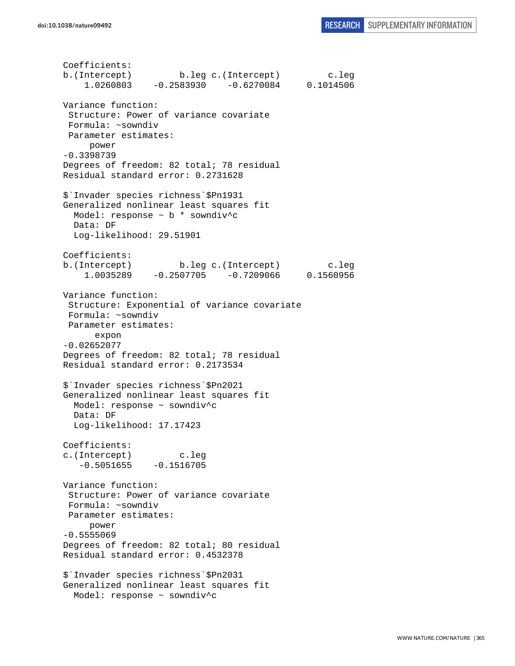Coefficients: b.(Intercept) b.leg c.(Intercept) c.leg 1.0260803 -0.2583930 -0.6270084 0.1014506 Variance function: Structure: Power of variance covariate Formula: ~sowndiv Parameter estimates: power -0.3398739 Degrees of freedom: 82 total; 78 residual Residual standard error: 0.2731628 \$`Invader species richness`\$Pn1931 Generalized nonlinear least squares fit Model: response ~ b \* sowndiv^c Data: DF Log-likelihood: 29.51901 Coefficients: b.(Intercept) b.leg c.(Intercept) c.leg 1.0035289 -0.2507705 -0.7209066 0.1560956 Variance function: Structure: Exponential of variance covariate Formula: ~sowndiv Parameter estimates: expon -0.02652077 Degrees of freedom: 82 total; 78 residual Residual standard error: 0.2173534 \$`Invader species richness`\$Pn2021 Generalized nonlinear least squares fit Model: response ~ sowndiv^c Data: DF Log-likelihood: 17.17423 Coefficients: c.(Intercept) c.leg  $-0.5051655 - 0.1516705$ Variance function: Structure: Power of variance covariate Formula: ~sowndiv Parameter estimates: power -0.5555069 Degrees of freedom: 82 total; 80 residual Residual standard error: 0.4532378 \$`Invader species richness`\$Pn2031 Generalized nonlinear least squares fit Model: response ~ sowndiv^c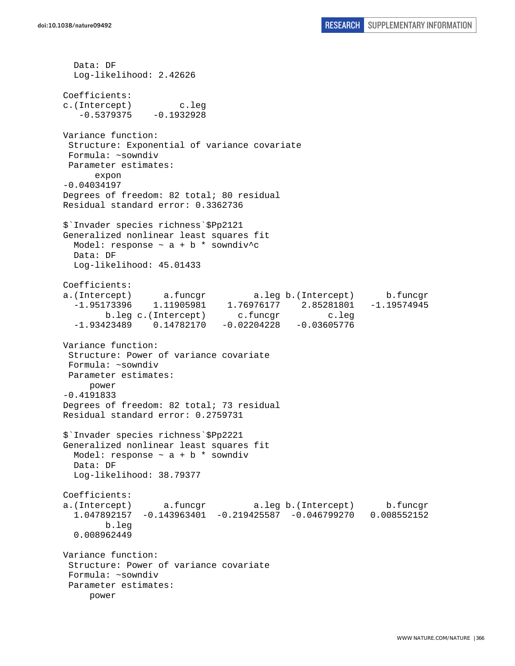Data: DF Log-likelihood: 2.42626 Coefficients: c.(Intercept) c.leg  $-0.5379375 -0.1932928$ Variance function: Structure: Exponential of variance covariate Formula: ~sowndiv Parameter estimates: expon -0.04034197 Degrees of freedom: 82 total; 80 residual Residual standard error: 0.3362736 \$`Invader species richness`\$Pp2121 Generalized nonlinear least squares fit Model: response  $\sim$  a + b \* sowndiv^c Data: DF Log-likelihood: 45.01433 Coefficients: a.(Intercept) a.funcgr a.leg b.(Intercept) b.funcgr -1.95173396 1.11905981 1.76976177 2.85281801 -1.19574945 b.leg c.(Intercept) c.funcgr c.leg -1.93423489 0.14782170 -0.02204228 -0.03605776 Variance function: Structure: Power of variance covariate Formula: ~sowndiv Parameter estimates: power -0.4191833 Degrees of freedom: 82 total; 73 residual Residual standard error: 0.2759731 \$`Invader species richness`\$Pp2221 Generalized nonlinear least squares fit Model: response  $\sim$  a + b \* sowndiv Data: DF Log-likelihood: 38.79377 Coefficients: a.(Intercept) a.funcgr a.leg b.(Intercept) b.funcgr 1.047892157 -0.143963401 -0.219425587 -0.046799270 0.008552152 b.leg 0.008962449 Variance function: Structure: Power of variance covariate Formula: ~sowndiv Parameter estimates: power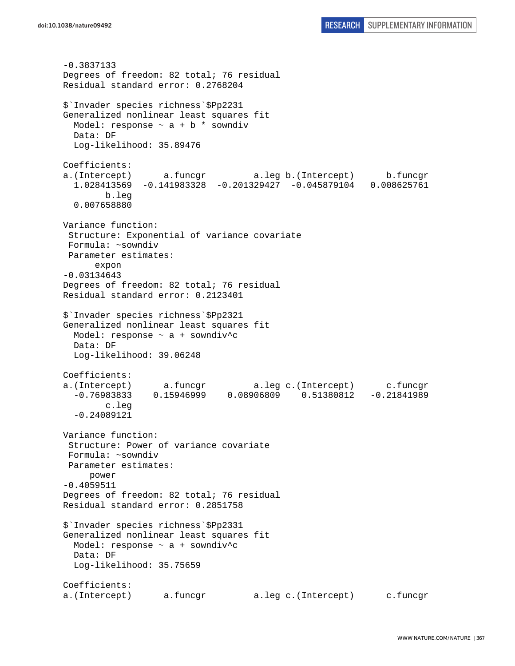-0.3837133 Degrees of freedom: 82 total; 76 residual Residual standard error: 0.2768204 \$`Invader species richness`\$Pp2231 Generalized nonlinear least squares fit Model: response  $\sim$  a + b  $*$  sowndiv Data: DF Log-likelihood: 35.89476 Coefficients: a.(Intercept) a.funcgr a.leg b.(Intercept) b.funcgr 1.028413569 -0.141983328 -0.201329427 -0.045879104 0.008625761 b.leg 0.007658880 Variance function: Structure: Exponential of variance covariate Formula: ~sowndiv Parameter estimates: expon -0.03134643 Degrees of freedom: 82 total; 76 residual Residual standard error: 0.2123401 \$`Invader species richness`\$Pp2321 Generalized nonlinear least squares fit Model: response ~ a + sowndiv^c Data: DF Log-likelihood: 39.06248 Coefficients: a.(Intercept) a.funcgr a.leg c.(Intercept) c.funcgr -0.76983833 0.15946999 0.08906809 0.51380812 -0.21841989 c.leg -0.24089121 Variance function: Structure: Power of variance covariate Formula: ~sowndiv Parameter estimates: power -0.4059511 Degrees of freedom: 82 total; 76 residual Residual standard error: 0.2851758 \$`Invader species richness`\$Pp2331 Generalized nonlinear least squares fit Model: response ~ a + sowndiv^c Data: DF Log-likelihood: 35.75659 Coefficients: a.(Intercept) a.funcgr a.leg c.(Intercept) c.funcgr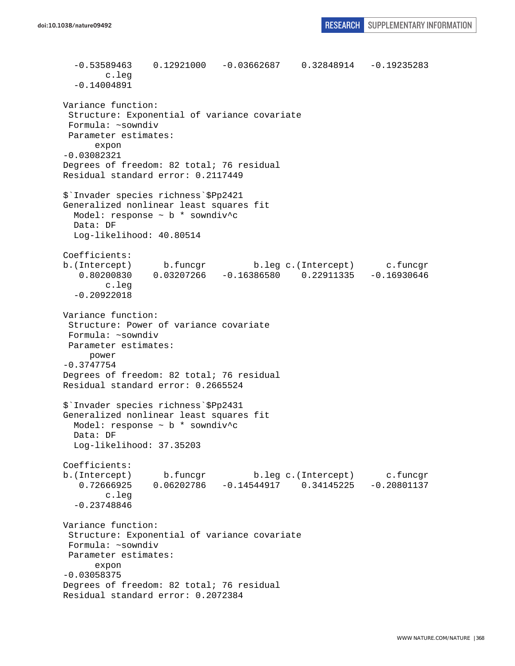```
 -0.53589463 0.12921000 -0.03662687 0.32848914 -0.19235283 
         c.leg 
   -0.14004891 
Variance function: 
  Structure: Exponential of variance covariate 
  Formula: ~sowndiv 
 Parameter estimates: 
       expon 
-0.03082321 
Degrees of freedom: 82 total; 76 residual 
Residual standard error: 0.2117449 
$`Invader species richness`$Pp2421 
Generalized nonlinear least squares fit 
 Model: response \sim b * sowndiv<sup>^</sup>c
   Data: DF 
   Log-likelihood: 40.80514 
Coefficients: 
b.(Intercept) b.funcgr b.leg c.(Intercept) c.funcgr 
   0.80200830 0.03207266 -0.16386580 0.22911335 -0.16930646 
         c.leg 
   -0.20922018 
Variance function: 
  Structure: Power of variance covariate 
  Formula: ~sowndiv 
 Parameter estimates: 
      power 
-0.3747754 
Degrees of freedom: 82 total; 76 residual 
Residual standard error: 0.2665524 
$`Invader species richness`$Pp2431 
Generalized nonlinear least squares fit 
  Model: response ~ b * sowndiv^c 
  Data: DF 
   Log-likelihood: 37.35203 
Coefficients: 
b.(Intercept) b.funcgr b.leg c.(Intercept) c.funcgr 
    0.72666925 0.06202786 -0.14544917 0.34145225 -0.20801137 
         c.leg 
   -0.23748846 
Variance function: 
  Structure: Exponential of variance covariate 
 Formula: ~sowndiv 
 Parameter estimates: 
       expon 
-0.03058375 
Degrees of freedom: 82 total; 76 residual 
Residual standard error: 0.2072384
```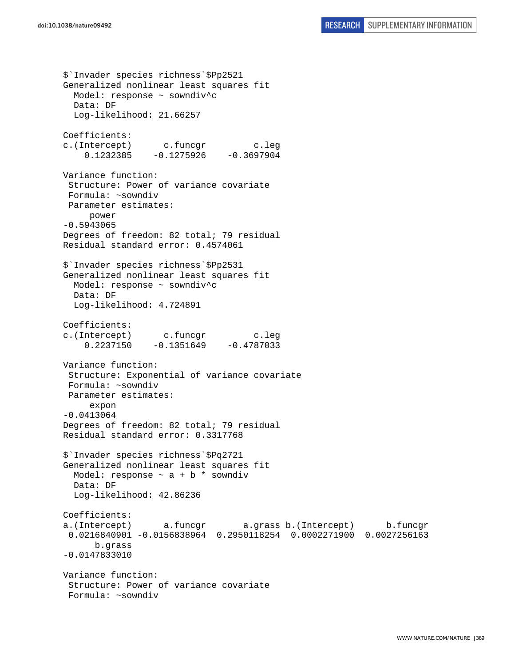\$`Invader species richness`\$Pp2521 Generalized nonlinear least squares fit Model: response ~ sowndiv^c Data: DF Log-likelihood: 21.66257 Coefficients: c.(Intercept) c.funcgr c.leg  $0.1232385 -0.1275926 -0.3697904$ Variance function: Structure: Power of variance covariate Formula: ~sowndiv Parameter estimates: power -0.5943065 Degrees of freedom: 82 total; 79 residual Residual standard error: 0.4574061 \$`Invader species richness`\$Pp2531 Generalized nonlinear least squares fit Model: response ~ sowndiv^c Data: DF Log-likelihood: 4.724891 Coefficients: c.(Intercept) c.funcgr c.leg 0.2237150 -0.1351649 -0.4787033 Variance function: Structure: Exponential of variance covariate Formula: ~sowndiv Parameter estimates: expon -0.0413064 Degrees of freedom: 82 total; 79 residual Residual standard error: 0.3317768 \$`Invader species richness`\$Pq2721 Generalized nonlinear least squares fit Model: response  $\sim$  a + b  $*$  sowndiv Data: DF Log-likelihood: 42.86236 Coefficients: a.(Intercept) a.funcgr a.grass b.(Intercept) b.funcgr 0.0216840901 -0.0156838964 0.2950118254 0.0002271900 0.0027256163 b.grass -0.0147833010 Variance function: Structure: Power of variance covariate Formula: ~sowndiv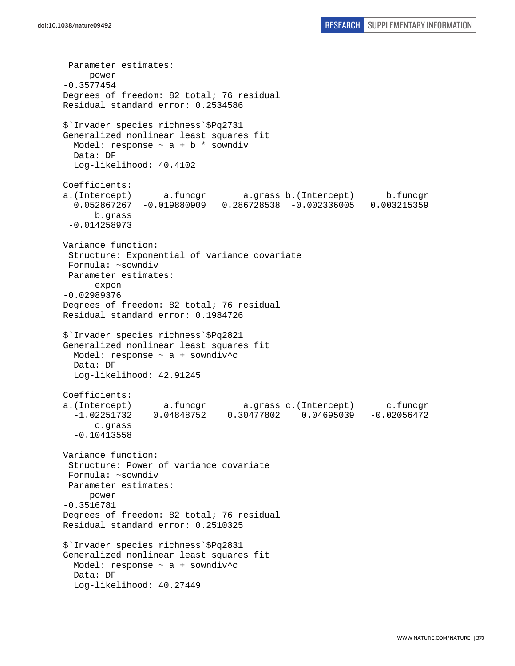Parameter estimates: power -0.3577454 Degrees of freedom: 82 total; 76 residual Residual standard error: 0.2534586 \$`Invader species richness`\$Pq2731 Generalized nonlinear least squares fit Model: response  $\sim$  a + b  $*$  sowndiv Data: DF Log-likelihood: 40.4102 Coefficients: a.(Intercept) a.funcgr a.grass b.(Intercept) b.funcgr 0.052867267 -0.019880909 0.286728538 -0.002336005 0.003215359 b.grass -0.014258973 Variance function: Structure: Exponential of variance covariate Formula: ~sowndiv Parameter estimates: expon -0.02989376 Degrees of freedom: 82 total; 76 residual Residual standard error: 0.1984726 \$`Invader species richness`\$Pq2821 Generalized nonlinear least squares fit Model: response ~ a + sowndiv^c Data: DF Log-likelihood: 42.91245 Coefficients: a.(Intercept) a.funcgr a.grass c.(Intercept) c.funcgr -1.02251732 0.04848752 0.30477802 0.04695039 -0.02056472 c.grass -0.10413558 Variance function: Structure: Power of variance covariate Formula: ~sowndiv Parameter estimates: power -0.3516781 Degrees of freedom: 82 total; 76 residual Residual standard error: 0.2510325 \$`Invader species richness`\$Pq2831 Generalized nonlinear least squares fit Model: response  $\sim$  a + sowndiv<sup>^</sup>c Data: DF Log-likelihood: 40.27449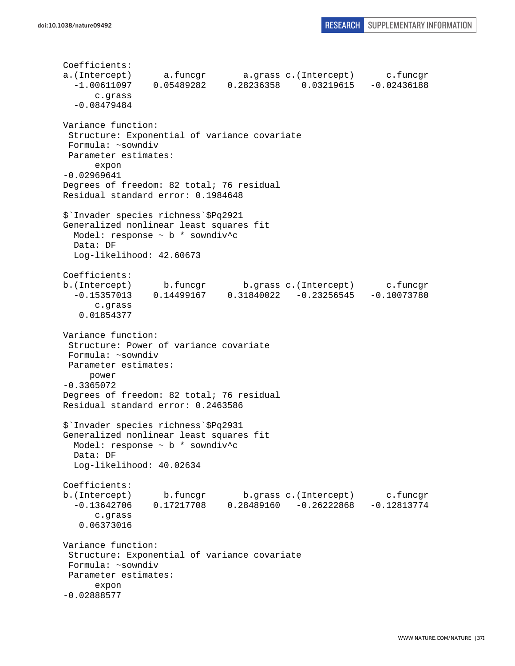```
Coefficients: 
a.(Intercept) a.funcgr a.grass c.(Intercept) c.funcgr 
   -1.00611097 0.05489282 0.28236358 0.03219615 -0.02436188 
       c.grass 
   -0.08479484 
Variance function: 
  Structure: Exponential of variance covariate 
 Formula: ~sowndiv 
 Parameter estimates: 
       expon 
-0.02969641 
Degrees of freedom: 82 total; 76 residual 
Residual standard error: 0.1984648 
$`Invader species richness`$Pq2921 
Generalized nonlinear least squares fit 
  Model: response ~ b * sowndiv^c 
  Data: DF 
  Log-likelihood: 42.60673 
Coefficients: 
b.(Intercept) b.funcgr b.grass c.(Intercept) c.funcgr 
   -0.15357013 0.14499167 0.31840022 -0.23256545 -0.10073780 
       c.grass 
    0.01854377 
Variance function: 
  Structure: Power of variance covariate 
 Formula: ~sowndiv 
 Parameter estimates: 
     power 
-0.3365072 
Degrees of freedom: 82 total; 76 residual 
Residual standard error: 0.2463586 
$`Invader species richness`$Pq2931 
Generalized nonlinear least squares fit 
  Model: response ~ b * sowndiv^c 
  Data: DF 
   Log-likelihood: 40.02634 
Coefficients: 
b.(Intercept) b.funcgr b.grass c.(Intercept) c.funcgr 
  -0.13642706 0.17217708 0.28489160 -0.26222868 -0.12813774 
       c.grass 
    0.06373016 
Variance function: 
  Structure: Exponential of variance covariate 
 Formula: ~sowndiv 
 Parameter estimates: 
       expon 
-0.02888577
```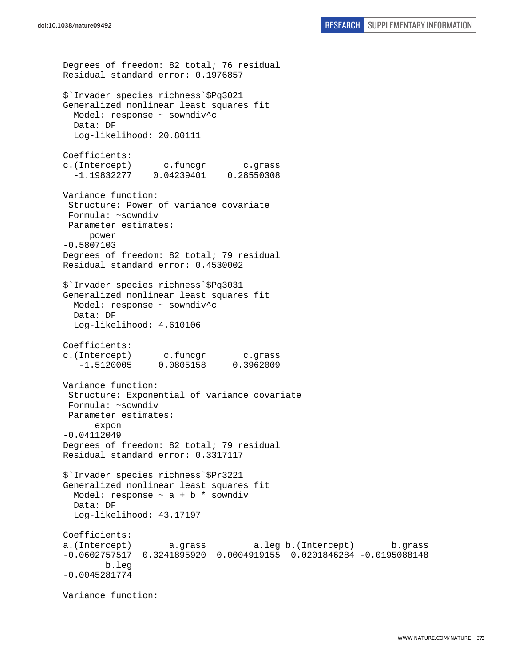```
Degrees of freedom: 82 total; 76 residual 
Residual standard error: 0.1976857 
$`Invader species richness`$Pq3021 
Generalized nonlinear least squares fit 
   Model: response ~ sowndiv^c 
  Data: DF 
  Log-likelihood: 20.80111 
Coefficients: 
c.(Intercept) c.funcgr c.grass 
   -1.19832277 0.04239401 0.28550308 
Variance function: 
  Structure: Power of variance covariate 
  Formula: ~sowndiv 
 Parameter estimates: 
      power 
-0.5807103 
Degrees of freedom: 82 total; 79 residual 
Residual standard error: 0.4530002 
$`Invader species richness`$Pq3031 
Generalized nonlinear least squares fit 
   Model: response ~ sowndiv^c 
   Data: DF 
   Log-likelihood: 4.610106 
Coefficients: 
c.(Intercept) c.funcgr c.grass 
    -1.5120005 0.0805158 0.3962009 
Variance function: 
  Structure: Exponential of variance covariate 
 Formula: ~sowndiv 
 Parameter estimates: 
       expon 
-0.04112049 
Degrees of freedom: 82 total; 79 residual 
Residual standard error: 0.3317117 
$`Invader species richness`$Pr3221 
Generalized nonlinear least squares fit 
 Model: response \sim a + b * sowndiv
   Data: DF 
   Log-likelihood: 43.17197 
Coefficients: 
a.(Intercept) a.grass a.leg b.(Intercept) b.grass 
-0.0602757517 0.3241895920 0.0004919155 0.0201846284 -0.0195088148 
         b.leg 
-0.0045281774 
Variance function:
```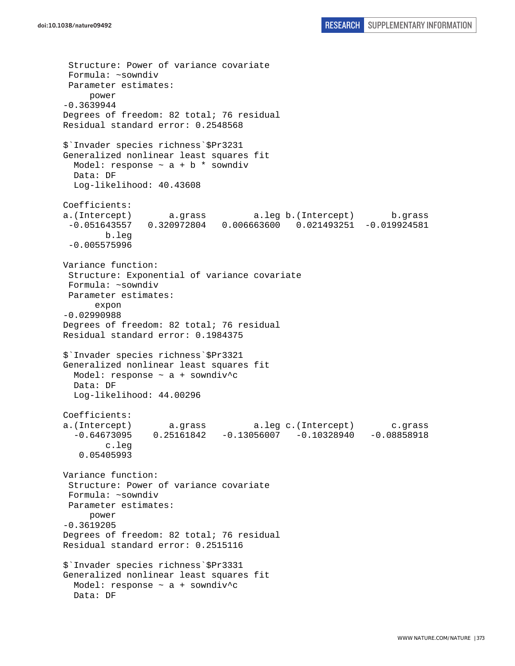Structure: Power of variance covariate Formula: ~sowndiv Parameter estimates: power -0.3639944 Degrees of freedom: 82 total; 76 residual Residual standard error: 0.2548568 \$`Invader species richness`\$Pr3231 Generalized nonlinear least squares fit Model: response  $\sim$  a + b  $*$  sowndiv Data: DF Log-likelihood: 40.43608 Coefficients: a.(Intercept) a.grass a.leg b.(Intercept) b.grass -0.051643557 0.320972804 0.006663600 0.021493251 -0.019924581 b.leg -0.005575996 Variance function: Structure: Exponential of variance covariate Formula: ~sowndiv Parameter estimates: expon -0.02990988 Degrees of freedom: 82 total; 76 residual Residual standard error: 0.1984375 \$`Invader species richness`\$Pr3321 Generalized nonlinear least squares fit Model: response  $\sim$  a + sowndiv<sup>^</sup>c Data: DF Log-likelihood: 44.00296 Coefficients: a.(Intercept) a.grass a.leg c.(Intercept) c.grass -0.64673095 0.25161842 -0.13056007 -0.10328940 -0.08858918 c.leg 0.05405993 Variance function: Structure: Power of variance covariate Formula: ~sowndiv Parameter estimates: power -0.3619205 Degrees of freedom: 82 total; 76 residual Residual standard error: 0.2515116 \$`Invader species richness`\$Pr3331 Generalized nonlinear least squares fit Model: response  $\sim$  a + sowndiv<sup>^</sup>c Data: DF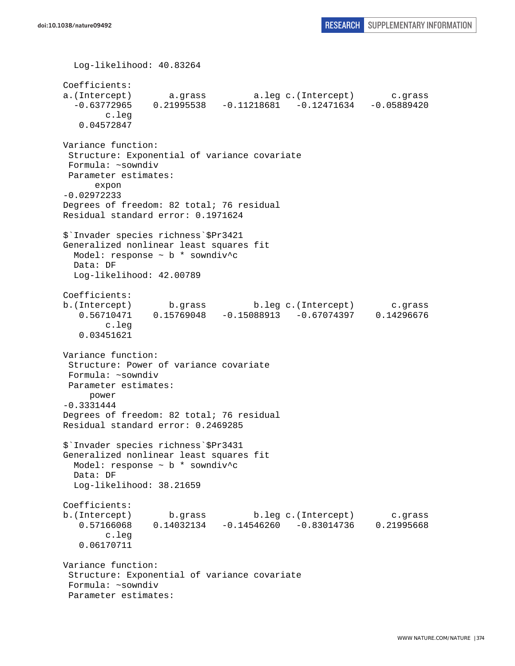```
 Log-likelihood: 40.83264 
Coefficients: 
a.(Intercept) a.grass a.leg c.(Intercept) c.grass 
   -0.63772965 0.21995538 -0.11218681 -0.12471634 -0.05889420 
         c.leg 
    0.04572847 
Variance function: 
  Structure: Exponential of variance covariate 
 Formula: ~sowndiv 
 Parameter estimates: 
       expon 
-0.02972233 
Degrees of freedom: 82 total; 76 residual 
Residual standard error: 0.1971624 
$`Invader species richness`$Pr3421 
Generalized nonlinear least squares fit 
 Model: response \sim b * sowndiv<sup>^</sup>c
  Data: DF 
  Log-likelihood: 42.00789 
Coefficients: 
b.(Intercept) b.grass b.leg c.(Intercept) c.grass 
    0.56710471 0.15769048 -0.15088913 -0.67074397 0.14296676 
         c.leg 
    0.03451621 
Variance function: 
  Structure: Power of variance covariate 
 Formula: ~sowndiv 
 Parameter estimates: 
      power 
-0.3331444 
Degrees of freedom: 82 total; 76 residual 
Residual standard error: 0.2469285 
$`Invader species richness`$Pr3431 
Generalized nonlinear least squares fit 
  Model: response ~ b * sowndiv^c 
   Data: DF 
   Log-likelihood: 38.21659 
Coefficients: 
b.(Intercept) b.grass b.leg c.(Intercept) c.grass 
    0.57166068 0.14032134 -0.14546260 -0.83014736 0.21995668 
         c.leg 
    0.06170711 
Variance function: 
  Structure: Exponential of variance covariate 
 Formula: ~sowndiv 
  Parameter estimates:
```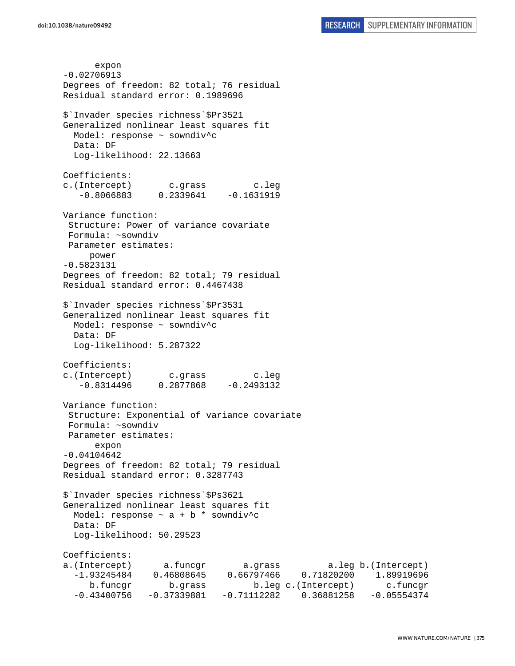expon -0.02706913 Degrees of freedom: 82 total; 76 residual Residual standard error: 0.1989696 \$`Invader species richness`\$Pr3521 Generalized nonlinear least squares fit Model: response ~ sowndiv^c Data: DF Log-likelihood: 22.13663 Coefficients: c.(Intercept) c.grass c.leg  $-0.8066883$   $0.2339641$   $-0.1631919$ Variance function: Structure: Power of variance covariate Formula: ~sowndiv Parameter estimates: power -0.5823131 Degrees of freedom: 82 total; 79 residual Residual standard error: 0.4467438 \$`Invader species richness`\$Pr3531 Generalized nonlinear least squares fit Model: response ~ sowndiv^c Data: DF Log-likelihood: 5.287322 Coefficients: c.(Intercept) c.grass c.leg  $-0.8314496$   $0.2877868$ Variance function: Structure: Exponential of variance covariate Formula: ~sowndiv Parameter estimates: expon -0.04104642 Degrees of freedom: 82 total; 79 residual Residual standard error: 0.3287743 \$`Invader species richness`\$Ps3621 Generalized nonlinear least squares fit Model: response  $\sim$  a + b \* sowndiv<sup>^</sup>c Data: DF Log-likelihood: 50.29523 Coefficients: a.(Intercept) a.funcgr a.grass a.leg b.(Intercept) -1.93245484 0.46808645 0.66797466 0.71820200 1.89919696 b.funcgr b.grass b.leg c.(Intercept) c.funcgr -0.43400756 -0.37339881 -0.71112282 0.36881258 -0.05554374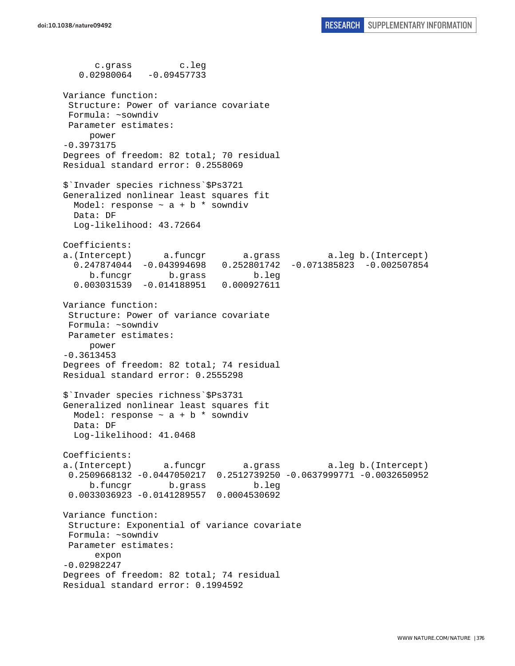c.grass c.leg 0.02980064 -0.09457733 Variance function: Structure: Power of variance covariate Formula: ~sowndiv Parameter estimates: power -0.3973175 Degrees of freedom: 82 total; 70 residual Residual standard error: 0.2558069 \$`Invader species richness`\$Ps3721 Generalized nonlinear least squares fit Model: response  $\sim$  a + b  $*$  sowndiv Data: DF Log-likelihood: 43.72664 Coefficients: a.(Intercept) a.funcgr a.grass a.leg b.(Intercept) 0.247874044 -0.043994698 0.252801742 -0.071385823 -0.002507854 b.funcgr b.grass b.leg 0.003031539 -0.014188951 0.000927611 Variance function: Structure: Power of variance covariate Formula: ~sowndiv Parameter estimates: power -0.3613453 Degrees of freedom: 82 total; 74 residual Residual standard error: 0.2555298 \$`Invader species richness`\$Ps3731 Generalized nonlinear least squares fit Model: response  $\sim$  a + b  $*$  sowndiv Data: DF Log-likelihood: 41.0468 Coefficients: a.(Intercept) a.funcgr a.grass a.leg b.(Intercept) 0.2509668132 -0.0447050217 0.2512739250 -0.0637999771 -0.0032650952 b.funcgr b.grass b.leg 0.0033036923 -0.0141289557 0.0004530692 Variance function: Structure: Exponential of variance covariate Formula: ~sowndiv Parameter estimates: expon -0.02982247 Degrees of freedom: 82 total; 74 residual Residual standard error: 0.1994592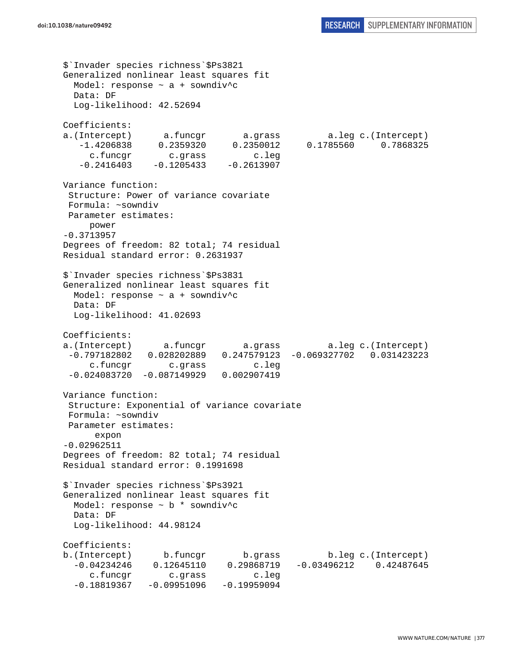```
$`Invader species richness`$Ps3821 
Generalized nonlinear least squares fit 
  Model: response ~ a + sowndiv^c 
  Data: DF 
  Log-likelihood: 42.52694 
Coefficients: 
a.(Intercept) a.funcgr a.grass a.leg c.(Intercept) 
    -1.4206838 0.2359320 0.2350012 0.1785560 0.7868325 
      c.funcgr c.grass c.leg 
   -0.2416403 -0.1205433 -0.2613907Variance function: 
  Structure: Power of variance covariate 
  Formula: ~sowndiv 
 Parameter estimates: 
      power 
-0.3713957 
Degrees of freedom: 82 total; 74 residual 
Residual standard error: 0.2631937 
$`Invader species richness`$Ps3831 
Generalized nonlinear least squares fit 
 Model: response \sim a + sowndiv<sup>^</sup>c
  Data: DF 
  Log-likelihood: 41.02693 
Coefficients: 
a.(Intercept) a.funcgr a.grass a.leg c.(Intercept) 
  -0.797182802 0.028202889 0.247579123 -0.069327702 0.031423223 
      c.funcgr c.grass c.leg 
  -0.024083720 -0.087149929 0.002907419 
Variance function: 
  Structure: Exponential of variance covariate 
 Formula: ~sowndiv 
 Parameter estimates: 
      expon 
-0.02962511 
Degrees of freedom: 82 total; 74 residual 
Residual standard error: 0.1991698 
$`Invader species richness`$Ps3921 
Generalized nonlinear least squares fit 
 Model: response \sim b * sowndiv<sup>^</sup>c
  Data: DF 
  Log-likelihood: 44.98124 
Coefficients: 
b.(Intercept) b.funcgr b.grass b.leg c.(Intercept) 
  -0.04234246 0.12645110 0.29868719 -0.03496212 0.42487645 
      c.funcgr c.grass c.leg 
 -0.18819367 -0.09951096 -0.19959094
```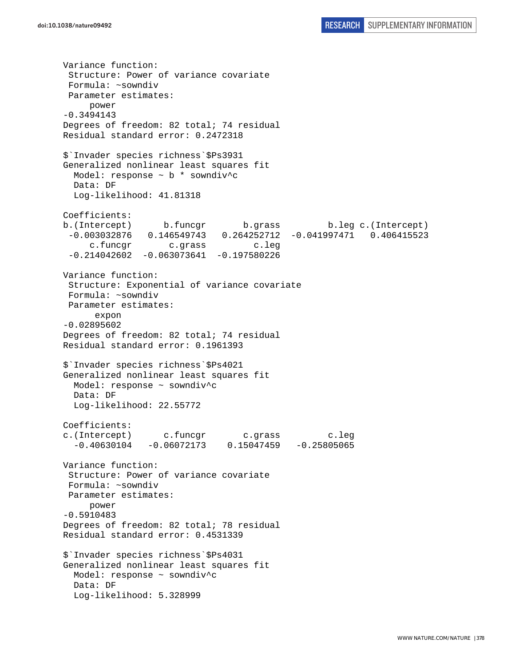Variance function: Structure: Power of variance covariate Formula: ~sowndiv Parameter estimates: power -0.3494143 Degrees of freedom: 82 total; 74 residual Residual standard error: 0.2472318 \$`Invader species richness`\$Ps3931 Generalized nonlinear least squares fit Model: response ~ b \* sowndiv^c Data: DF Log-likelihood: 41.81318 Coefficients: b.(Intercept) b.funcgr b.grass b.leg c.(Intercept) -0.003032876 0.146549743 0.264252712 -0.041997471 0.406415523 c.funcgr c.grass c.leg  $-0.214042602 -0.063073641 -0.197580226$ Variance function: Structure: Exponential of variance covariate Formula: ~sowndiv Parameter estimates: expon -0.02895602 Degrees of freedom: 82 total; 74 residual Residual standard error: 0.1961393 \$`Invader species richness`\$Ps4021 Generalized nonlinear least squares fit Model: response ~ sowndiv^c Data: DF Log-likelihood: 22.55772 Coefficients: c.(Intercept) c.funcgr c.grass c.leg -0.40630104 -0.06072173 0.15047459 -0.25805065 Variance function: Structure: Power of variance covariate Formula: ~sowndiv Parameter estimates: power -0.5910483 Degrees of freedom: 82 total; 78 residual Residual standard error: 0.4531339 \$`Invader species richness`\$Ps4031 Generalized nonlinear least squares fit Model: response ~ sowndiv^c Data: DF Log-likelihood: 5.328999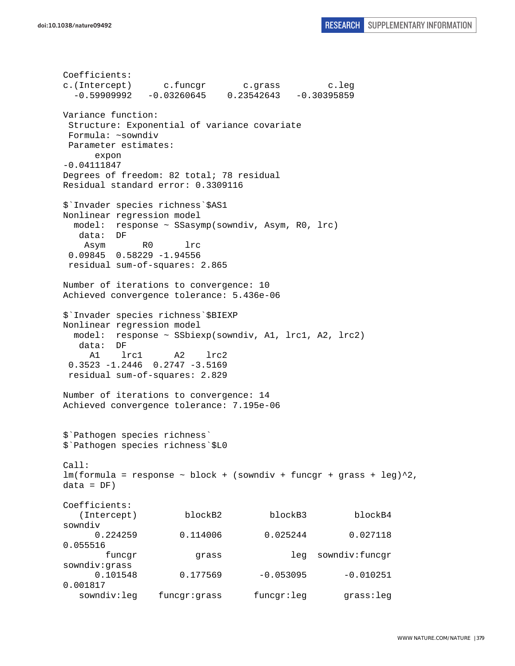Coefficients: c.(Intercept) c.funcgr c.grass c.leg  $-0.59909992 -0.03260645 -0.23542643 -0.30395859$ Variance function: Structure: Exponential of variance covariate Formula: ~sowndiv Parameter estimates: expon -0.04111847 Degrees of freedom: 82 total; 78 residual Residual standard error: 0.3309116 \$`Invader species richness`\$AS1 Nonlinear regression model model: response ~ SSasymp(sowndiv, Asym, R0, lrc) data: DF Asym R0 lrc 0.09845 0.58229 -1.94556 residual sum-of-squares: 2.865 Number of iterations to convergence: 10 Achieved convergence tolerance: 5.436e-06 \$`Invader species richness`\$BIEXP Nonlinear regression model model: response ~ SSbiexp(sowndiv, A1, lrc1, A2, lrc2) data: DF A1 lrc1 A2 lrc2 0.3523 -1.2446 0.2747 -3.5169 residual sum-of-squares: 2.829 Number of iterations to convergence: 14 Achieved convergence tolerance: 7.195e-06 \$`Pathogen species richness` \$`Pathogen species richness`\$L0 Call:  $lm(formula = response ~ block + (sowndiv + funcgr + grass + leg)^2,$  $data = DF)$ Coefficients: (Intercept) blockB2 blockB3 blockB4 sowndiv 0.224259 0.114006 0.025244 0.027118 0.055516 funcgr grass leg sowndiv:funcgr sowndiv:grass  $0.101548$   $0.177569$   $-0.053095$   $-0.010251$ 0.001817 sowndiv:leg funcgr:grass funcgr:leg grass:leg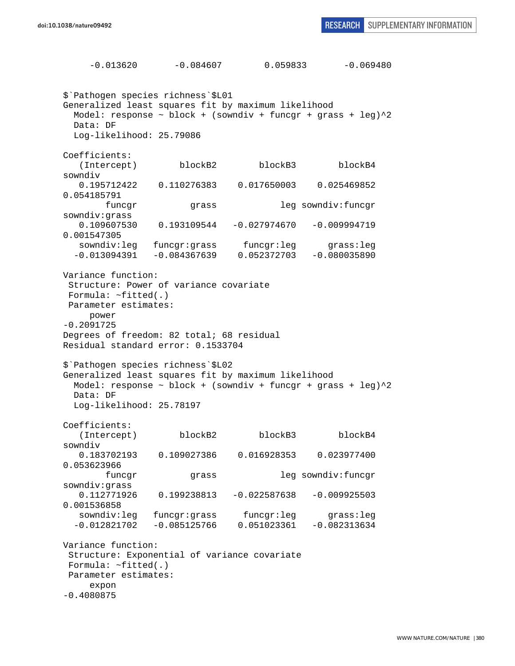$-0.013620$   $-0.084607$  0.059833  $-0.069480$ \$`Pathogen species richness`\$L01 Generalized least squares fit by maximum likelihood Model: response  $\sim$  block + (sowndiv + funcgr + grass + leg) $\textdegree{}2$  Data: DF Log-likelihood: 25.79086 Coefficients: (Intercept) blockB2 blockB3 blockB4 sowndiv 0.195712422 0.110276383 0.017650003 0.025469852 0.054185791 funcgr grass leg sowndiv:funcgr sowndiv:grass 0.109607530 0.193109544 -0.027974670 -0.009994719 0.001547305 sowndiv:leg funcgr:grass funcgr:leg grass:leg -0.013094391 -0.084367639 0.052372703 -0.080035890 Variance function: Structure: Power of variance covariate Formula: ~fitted(.) Parameter estimates: power -0.2091725 Degrees of freedom: 82 total; 68 residual Residual standard error: 0.1533704 \$`Pathogen species richness`\$L02 Generalized least squares fit by maximum likelihood Model: response  $\sim$  block + (sowndiv + funcgr + grass + leg) $^2$  Data: DF Log-likelihood: 25.78197 Coefficients: (Intercept) blockB2 blockB3 blockB4 sowndiv 0.183702193 0.109027386 0.016928353 0.023977400 0.053623966 funcgr grass leg sowndiv:funcgr sowndiv:grass 0.112771926 0.199238813 -0.022587638 -0.009925503 0.001536858 sowndiv:leg funcqr:grass funcqr:leg grass:leg -0.012821702 -0.085125766 0.051023361 -0.082313634 Variance function: Structure: Exponential of variance covariate Formula: ~fitted(.) Parameter estimates: expon -0.4080875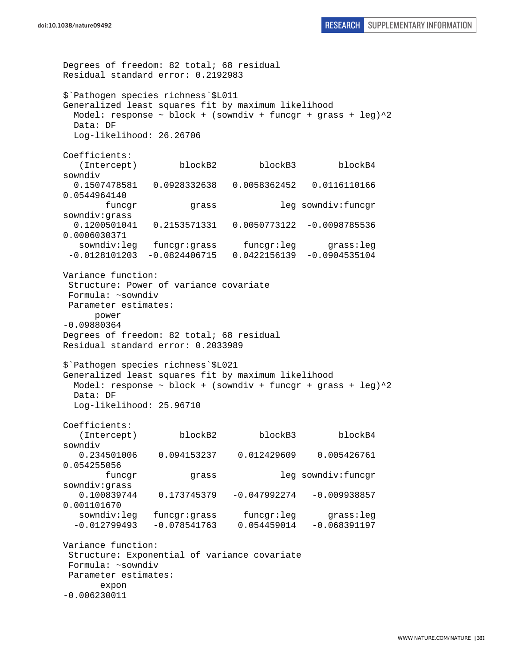Degrees of freedom: 82 total; 68 residual Residual standard error: 0.2192983 \$`Pathogen species richness`\$L011 Generalized least squares fit by maximum likelihood Model: response  $\sim$  block + (sowndiv + funcgr + grass + leg) $^2$  Data: DF Log-likelihood: 26.26706 Coefficients: (Intercept) blockB2 blockB3 blockB4 sowndiv 0.1507478581 0.0928332638 0.0058362452 0.0116110166 0.0544964140 funcgr grass leg sowndiv:funcgr sowndiv:grass 0.1200501041 0.2153571331 0.0050773122 -0.0098785536 0.0006030371 sowndiv:leg funcgr:grass funcgr:leg grass:leg -0.0128101203 -0.0824406715 0.0422156139 -0.0904535104 Variance function: Structure: Power of variance covariate Formula: ~sowndiv Parameter estimates: power -0.09880364 Degrees of freedom: 82 total; 68 residual Residual standard error: 0.2033989 \$`Pathogen species richness`\$L021 Generalized least squares fit by maximum likelihood Model: response  $\sim$  block + (sowndiv + funcgr + grass + leg) $^2$  Data: DF Log-likelihood: 25.96710 Coefficients: (Intercept) blockB2 blockB3 blockB4 sowndiv 0.234501006 0.094153237 0.012429609 0.005426761 0.054255056 funcgr grass leg sowndiv:funcgr sowndiv:grass 0.100839744 0.173745379 -0.047992274 -0.009938857 0.001101670 sowndiv:leg funcqr:grass funcqr:leg grass:leg -0.012799493 -0.078541763 0.054459014 -0.068391197 Variance function: Structure: Exponential of variance covariate Formula: ~sowndiv Parameter estimates: expon -0.006230011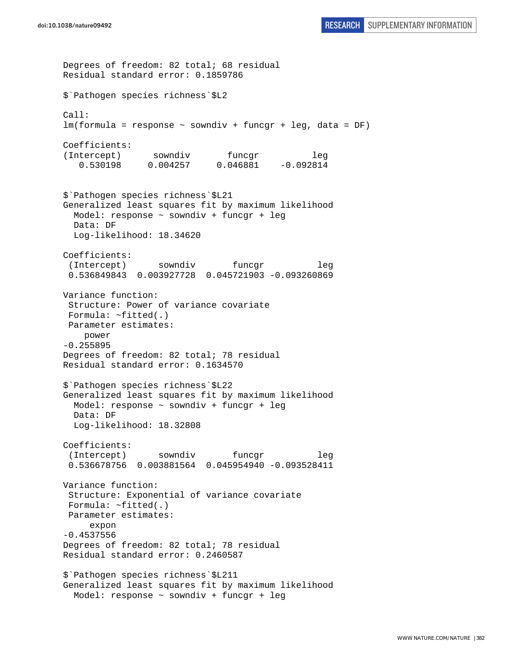```
Degrees of freedom: 82 total; 68 residual 
Residual standard error: 0.1859786 
$`Pathogen species richness`$L2 
Call: 
lm(formula = response ~ sowndiv + funcgr + leg, data = DF) 
Coefficients: 
(Intercept) sowndiv funcgr leg
    0.530198 0.004257 0.046881 -0.092814 
$`Pathogen species richness`$L21 
Generalized least squares fit by maximum likelihood 
   Model: response ~ sowndiv + funcgr + leg 
   Data: DF 
   Log-likelihood: 18.34620 
Coefficients: 
  (Intercept) sowndiv funcgr leg 
  0.536849843 0.003927728 0.045721903 -0.093260869 
Variance function: 
  Structure: Power of variance covariate 
  Formula: ~fitted(.) 
 Parameter estimates: 
    power 
-0.255895 
Degrees of freedom: 82 total; 78 residual 
Residual standard error: 0.1634570 
$`Pathogen species richness`$L22 
Generalized least squares fit by maximum likelihood 
  Model: response ~ sowndiv + funcgr + leg 
  Data: DF 
   Log-likelihood: 18.32808 
Coefficients: 
  (Intercept) sowndiv funcgr leg 
  0.536678756 0.003881564 0.045954940 -0.093528411 
Variance function: 
  Structure: Exponential of variance covariate 
  Formula: ~fitted(.) 
 Parameter estimates: 
      expon 
-0.4537556 
Degrees of freedom: 82 total; 78 residual 
Residual standard error: 0.2460587 
$`Pathogen species richness`$L211 
Generalized least squares fit by maximum likelihood 
   Model: response ~ sowndiv + funcgr + leg
```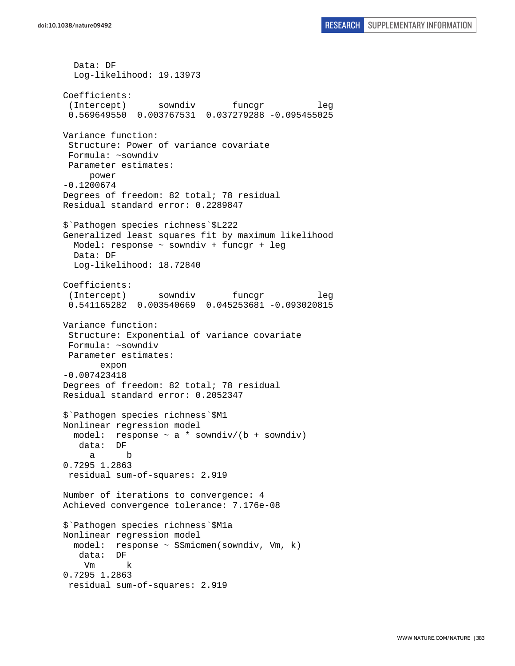Data: DF Log-likelihood: 19.13973 Coefficients: (Intercept) sowndiv funcgr leg 0.569649550 0.003767531 0.037279288 -0.095455025 Variance function: Structure: Power of variance covariate Formula: ~sowndiv Parameter estimates: power -0.1200674 Degrees of freedom: 82 total; 78 residual Residual standard error: 0.2289847 \$`Pathogen species richness`\$L222 Generalized least squares fit by maximum likelihood Model: response ~ sowndiv + funcgr + leg Data: DF Log-likelihood: 18.72840 Coefficients: (Intercept) sowndiv funcgr leg 0.541165282 0.003540669 0.045253681 -0.093020815 Variance function: Structure: Exponential of variance covariate Formula: ~sowndiv Parameter estimates: expon -0.007423418 Degrees of freedom: 82 total; 78 residual Residual standard error: 0.2052347 \$`Pathogen species richness`\$M1 Nonlinear regression model model: response  $\sim$  a  $*$  sowndiv/(b + sowndiv) data: DF a b 0.7295 1.2863 residual sum-of-squares: 2.919 Number of iterations to convergence: 4 Achieved convergence tolerance: 7.176e-08 \$`Pathogen species richness`\$M1a Nonlinear regression model model: response ~ SSmicmen(sowndiv, Vm, k) data: DF Vm k 0.7295 1.2863 residual sum-of-squares: 2.919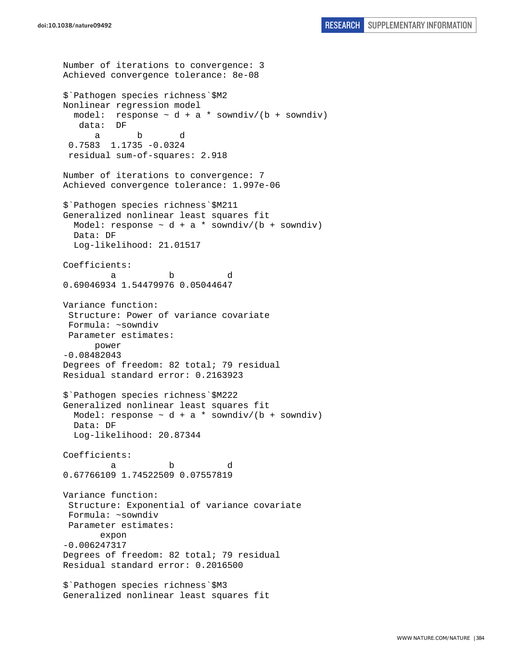```
Number of iterations to convergence: 3 
Achieved convergence tolerance: 8e-08 
$`Pathogen species richness`$M2 
Nonlinear regression model 
  model: response \sim d + a * sowndiv/(b + sowndiv)
    data: DF 
 a b d 
  0.7583 1.1735 -0.0324 
  residual sum-of-squares: 2.918 
Number of iterations to convergence: 7 
Achieved convergence tolerance: 1.997e-06 
$`Pathogen species richness`$M211 
Generalized nonlinear least squares fit 
  Model: response \sim d + a * sowndiv/(b + sowndiv)
  Data: DF 
   Log-likelihood: 21.01517 
Coefficients: 
 a b d 
0.69046934 1.54479976 0.05044647 
Variance function: 
  Structure: Power of variance covariate 
  Formula: ~sowndiv 
 Parameter estimates: 
       power 
-0.08482043 
Degrees of freedom: 82 total; 79 residual 
Residual standard error: 0.2163923 
$`Pathogen species richness`$M222 
Generalized nonlinear least squares fit 
 Model: response \sim d + a * sowndiv/(b + sowndiv)
   Data: DF 
   Log-likelihood: 20.87344 
Coefficients: 
 a b d 
0.67766109 1.74522509 0.07557819 
Variance function: 
  Structure: Exponential of variance covariate 
 Formula: ~sowndiv 
 Parameter estimates: 
        expon 
-0.006247317 
Degrees of freedom: 82 total; 79 residual 
Residual standard error: 0.2016500 
$`Pathogen species richness`$M3 
Generalized nonlinear least squares fit
```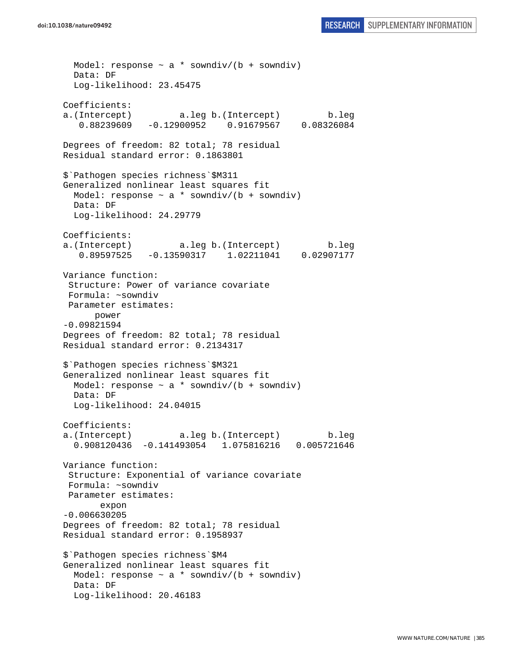Model: response  $\sim$  a \* sowndiv/(b + sowndiv) Data: DF Log-likelihood: 23.45475 Coefficients: a.(Intercept) a.leg b.(Intercept) b.leg  $0.88239609 - 0.12900952$ Degrees of freedom: 82 total; 78 residual Residual standard error: 0.1863801 \$`Pathogen species richness`\$M311 Generalized nonlinear least squares fit Model: response  $\sim$  a \* sowndiv/(b + sowndiv) Data: DF Log-likelihood: 24.29779 Coefficients: a.(Intercept) a.leg b.(Intercept) b.leg 0.89597525 -0.13590317 1.02211041 0.02907177 Variance function: Structure: Power of variance covariate Formula: ~sowndiv Parameter estimates: power -0.09821594 Degrees of freedom: 82 total; 78 residual Residual standard error: 0.2134317 \$`Pathogen species richness`\$M321 Generalized nonlinear least squares fit Model: response  $\sim$  a \* sowndiv/(b + sowndiv) Data: DF Log-likelihood: 24.04015 Coefficients: a.(Intercept) a.leg b.(Intercept) b.leg 0.908120436 -0.141493054 1.075816216 0.005721646 Variance function: Structure: Exponential of variance covariate Formula: ~sowndiv Parameter estimates: expon -0.006630205 Degrees of freedom: 82 total; 78 residual Residual standard error: 0.1958937 \$`Pathogen species richness`\$M4 Generalized nonlinear least squares fit Model: response  $\sim$  a \* sowndiv/(b + sowndiv) Data: DF Log-likelihood: 20.46183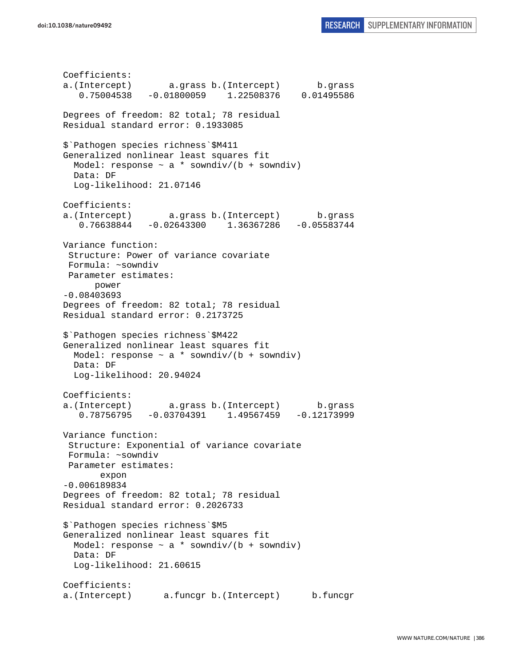Coefficients: a.(Intercept) a.grass b.(Intercept) b.grass 0.75004538 -0.01800059 1.22508376 0.01495586 Degrees of freedom: 82 total; 78 residual Residual standard error: 0.1933085 \$`Pathogen species richness`\$M411 Generalized nonlinear least squares fit Model: response  $\sim$  a  $*$  sowndiv/(b + sowndiv) Data: DF Log-likelihood: 21.07146 Coefficients: a.(Intercept) a.grass b.(Intercept) b.grass 0.76638844 -0.02643300 1.36367286 -0.05583744 Variance function: Structure: Power of variance covariate Formula: ~sowndiv Parameter estimates: power -0.08403693 Degrees of freedom: 82 total; 78 residual Residual standard error: 0.2173725 \$`Pathogen species richness`\$M422 Generalized nonlinear least squares fit Model: response  $\sim$  a  $*$  sowndiv/(b + sowndiv) Data: DF Log-likelihood: 20.94024 Coefficients: a.(Intercept) a.grass b.(Intercept) b.grass 0.78756795 -0.03704391 1.49567459 -0.12173999 Variance function: Structure: Exponential of variance covariate Formula: ~sowndiv Parameter estimates: expon -0.006189834 Degrees of freedom: 82 total; 78 residual Residual standard error: 0.2026733 \$`Pathogen species richness`\$M5 Generalized nonlinear least squares fit Model: response  $\sim$  a  $*$  sowndiv/(b + sowndiv) Data: DF Log-likelihood: 21.60615 Coefficients: a.(Intercept) a.funcgr b.(Intercept) b.funcgr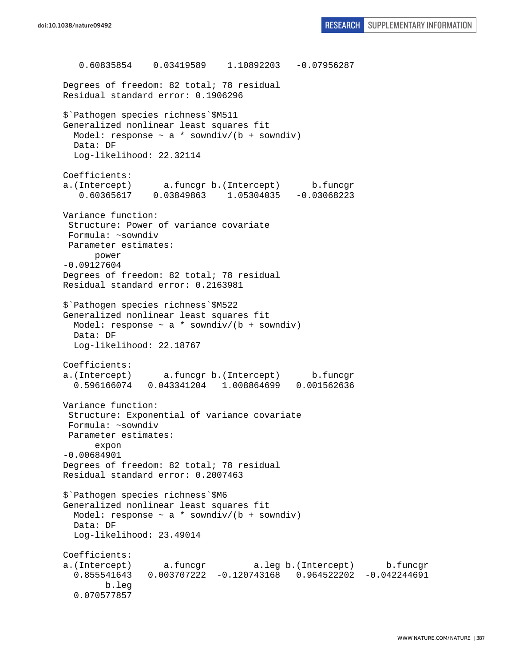0.60835854 0.03419589 1.10892203 -0.07956287 Degrees of freedom: 82 total; 78 residual Residual standard error: 0.1906296 \$`Pathogen species richness`\$M511 Generalized nonlinear least squares fit Model: response  $\sim$  a \* sowndiv/(b + sowndiv) Data: DF Log-likelihood: 22.32114 Coefficients: a.(Intercept) a.funcgr b.(Intercept) b.funcgr 0.60365617 0.03849863 1.05304035 -0.03068223 Variance function: Structure: Power of variance covariate Formula: ~sowndiv Parameter estimates: power -0.09127604 Degrees of freedom: 82 total; 78 residual Residual standard error: 0.2163981 \$`Pathogen species richness`\$M522 Generalized nonlinear least squares fit Model: response  $\sim$  a \* sowndiv/(b + sowndiv) Data: DF Log-likelihood: 22.18767 Coefficients: a.(Intercept) a.funcgr b.(Intercept) b.funcgr 0.596166074 0.043341204 1.008864699 0.001562636 Variance function: Structure: Exponential of variance covariate Formula: ~sowndiv Parameter estimates: expon -0.00684901 Degrees of freedom: 82 total; 78 residual Residual standard error: 0.2007463 \$`Pathogen species richness`\$M6 Generalized nonlinear least squares fit Model: response  $\sim$  a \* sowndiv/(b + sowndiv) Data: DF Log-likelihood: 23.49014 Coefficients: a.(Intercept) a.funcgr a.leg b.(Intercept) b.funcgr 0.855541643 0.003707222 -0.120743168 0.964522202 -0.042244691 b.leg 0.070577857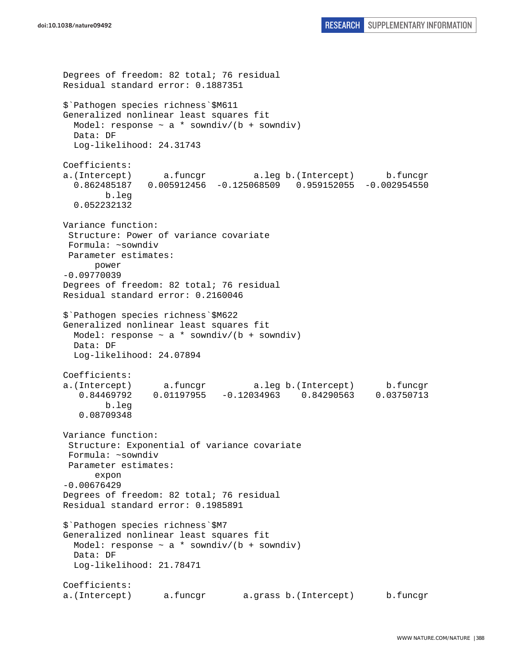```
Degrees of freedom: 82 total; 76 residual 
Residual standard error: 0.1887351 
$`Pathogen species richness`$M611 
Generalized nonlinear least squares fit 
  Model: response \sim a * sowndiv/(b + sowndiv)
   Data: DF 
   Log-likelihood: 24.31743 
Coefficients: 
a.(Intercept) a.funcgr a.leg b.(Intercept) b.funcgr 
   0.862485187 0.005912456 -0.125068509 0.959152055 -0.002954550 
         b.leg 
   0.052232132 
Variance function: 
  Structure: Power of variance covariate 
  Formula: ~sowndiv 
  Parameter estimates: 
       power 
-0.09770039 
Degrees of freedom: 82 total; 76 residual 
Residual standard error: 0.2160046 
$`Pathogen species richness`$M622 
Generalized nonlinear least squares fit 
  Model: response \sim a * sowndiv/(b + sowndiv)
   Data: DF 
   Log-likelihood: 24.07894 
Coefficients: 
a.(Intercept) a.funcgr a.leg b.(Intercept) b.funcgr<br>0.84469792 0.01197955 -0.12034963 0.84290563 0.03750713
   0.84469792  0.01197955  -0.12034963  0.84290563
         b.leg 
    0.08709348 
Variance function: 
  Structure: Exponential of variance covariate 
  Formula: ~sowndiv 
  Parameter estimates: 
       expon 
-0.00676429 
Degrees of freedom: 82 total; 76 residual 
Residual standard error: 0.1985891 
$`Pathogen species richness`$M7 
Generalized nonlinear least squares fit 
  Model: response \sim a * sowndiv/(b + sowndiv)
   Data: DF 
   Log-likelihood: 21.78471 
Coefficients: 
a.(Intercept) a.funcgr a.grass b.(Intercept) b.funcgr
```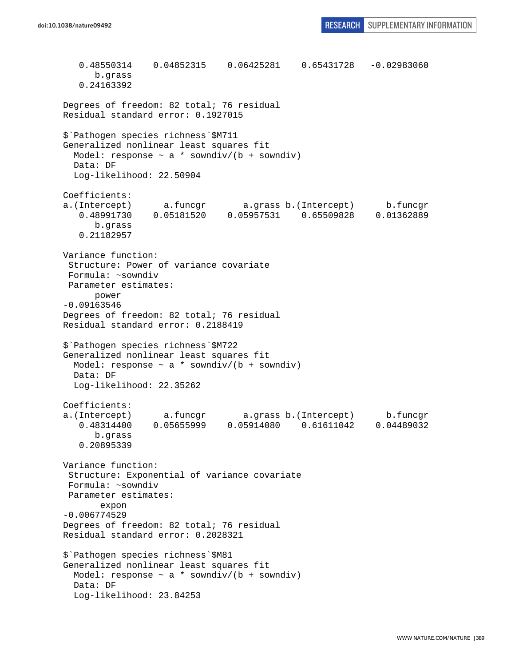0.48550314 0.04852315 0.06425281 0.65431728 -0.02983060 b.grass 0.24163392 Degrees of freedom: 82 total; 76 residual Residual standard error: 0.1927015 \$`Pathogen species richness`\$M711 Generalized nonlinear least squares fit Model: response  $\sim$  a \* sowndiv/(b + sowndiv) Data: DF Log-likelihood: 22.50904 Coefficients: a.(Intercept) a.funcgr a.grass b.(Intercept) b.funcgr 0.48991730 0.05181520 0.05957531 0.65509828 0.01362889 b.grass 0.21182957 Variance function: Structure: Power of variance covariate Formula: ~sowndiv Parameter estimates: power -0.09163546 Degrees of freedom: 82 total; 76 residual Residual standard error: 0.2188419 \$`Pathogen species richness`\$M722 Generalized nonlinear least squares fit Model: response  $\sim$  a  $*$  sowndiv/(b + sowndiv) Data: DF Log-likelihood: 22.35262 Coefficients: a.(Intercept) a.funcgr a.grass b.(Intercept) b.funcgr 0.48314400 0.05655999 0.05914080 0.61611042 0.04489032 b.grass 0.20895339 Variance function: Structure: Exponential of variance covariate Formula: ~sowndiv Parameter estimates: expon -0.006774529 Degrees of freedom: 82 total; 76 residual Residual standard error: 0.2028321 \$`Pathogen species richness`\$M81 Generalized nonlinear least squares fit Model: response  $\sim$  a \* sowndiv/(b + sowndiv) Data: DF Log-likelihood: 23.84253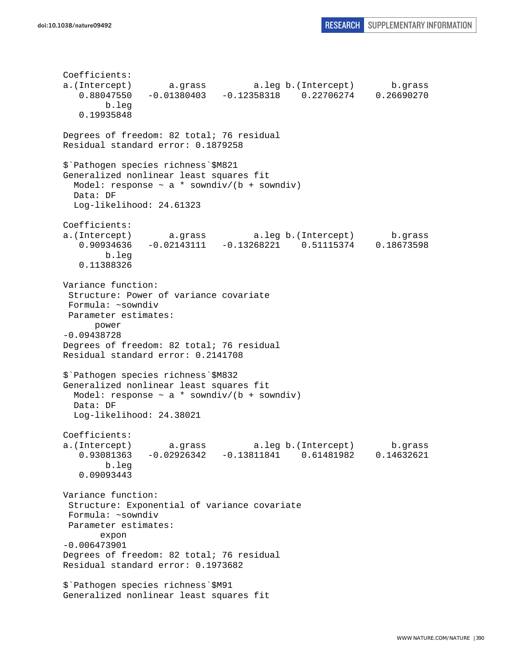Coefficients: a.(Intercept) a.grass a.leg b.(Intercept) b.grass 0.88047550 -0.01380403 -0.12358318 0.22706274 0.26690270 b.leg 0.19935848 Degrees of freedom: 82 total; 76 residual Residual standard error: 0.1879258 \$`Pathogen species richness`\$M821 Generalized nonlinear least squares fit Model: response  $\sim$  a \* sowndiv/(b + sowndiv) Data: DF Log-likelihood: 24.61323 Coefficients: a.(Intercept) a.grass a.leg b.(Intercept) b.grass 0.90934636 -0.02143111 -0.13268221 0.51115374 0.18673598 b.leg 0.11388326 Variance function: Structure: Power of variance covariate Formula: ~sowndiv Parameter estimates: power -0.09438728 Degrees of freedom: 82 total; 76 residual Residual standard error: 0.2141708 \$`Pathogen species richness`\$M832 Generalized nonlinear least squares fit Model: response  $\sim$  a \* sowndiv/(b + sowndiv) Data: DF Log-likelihood: 24.38021 Coefficients: a.(Intercept) a.grass a.leg b.(Intercept) b.grass 0.93081363 -0.02926342 -0.13811841 0.61481982 0.14632621 b.leg 0.09093443 Variance function: Structure: Exponential of variance covariate Formula: ~sowndiv Parameter estimates: expon -0.006473901 Degrees of freedom: 82 total; 76 residual Residual standard error: 0.1973682 \$`Pathogen species richness`\$M91 Generalized nonlinear least squares fit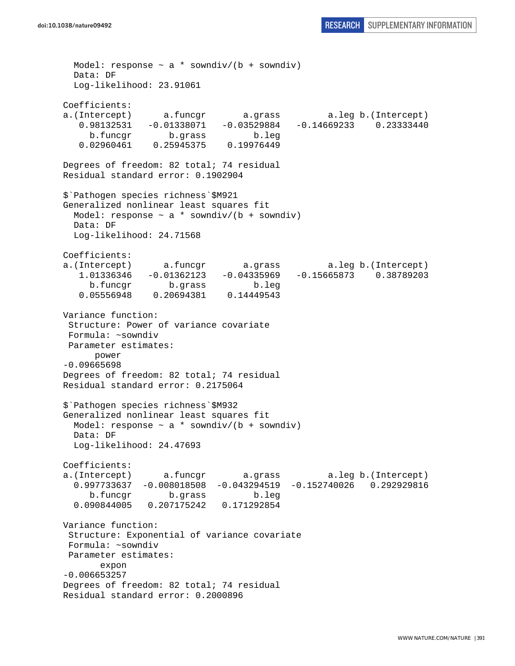Model: response  $\sim$  a \* sowndiv/(b + sowndiv) Data: DF Log-likelihood: 23.91061 Coefficients: a.(Intercept) a.funcgr a.grass a.leg b.(Intercept) 0.98132531 -0.01338071 -0.03529884 -0.14669233 0.23333440 b.funcgr b.grass b.leg 0.02960461 0.25945375 0.19976449 Degrees of freedom: 82 total; 74 residual Residual standard error: 0.1902904 \$`Pathogen species richness`\$M921 Generalized nonlinear least squares fit Model: response  $\sim$  a \* sowndiv/(b + sowndiv) Data: DF Log-likelihood: 24.71568 Coefficients: a.(Intercept) a.funcgr a.grass a.leg b.(Intercept) 1.01336346 -0.01362123 -0.04335969 -0.15665873 0.38789203 b.funcgr b.grass b.leg 0.05556948 0.20694381 0.14449543 Variance function: Structure: Power of variance covariate Formula: ~sowndiv Parameter estimates: power -0.09665698 Degrees of freedom: 82 total; 74 residual Residual standard error: 0.2175064 \$`Pathogen species richness`\$M932 Generalized nonlinear least squares fit Model: response  $\sim$  a \* sowndiv/(b + sowndiv) Data: DF Log-likelihood: 24.47693 Coefficients: a.(Intercept) a.funcgr a.grass a.leg b.(Intercept) 0.997733637 -0.008018508 -0.043294519 -0.152740026 0.292929816 b.funcgr b.grass b.leg 0.090844005 0.207175242 0.171292854 Variance function: Structure: Exponential of variance covariate Formula: ~sowndiv Parameter estimates: expon -0.006653257 Degrees of freedom: 82 total; 74 residual Residual standard error: 0.2000896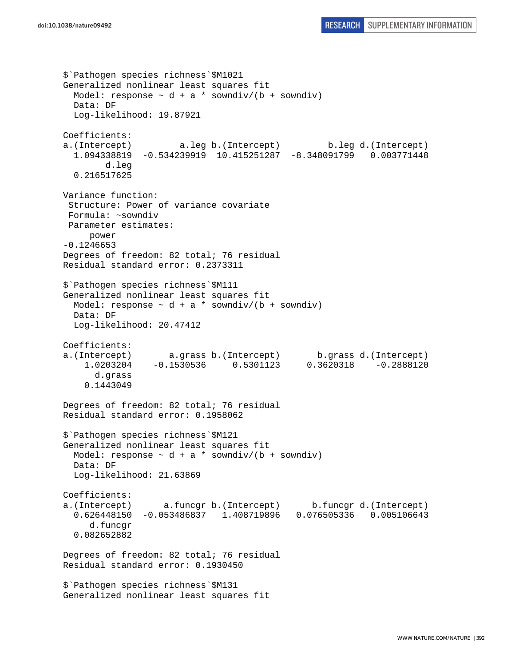```
$`Pathogen species richness`$M1021 
Generalized nonlinear least squares fit 
 Model: response \sim d + a * sowndiv/(b + sowndiv)
  Data: DF 
   Log-likelihood: 19.87921 
Coefficients: 
a.(Intercept) a.leg b.(Intercept) b.leg d.(Intercept) 
   1.094338819 -0.534239919 10.415251287 -8.348091799 0.003771448 
         d.leg 
   0.216517625 
Variance function: 
  Structure: Power of variance covariate 
  Formula: ~sowndiv 
 Parameter estimates: 
      power 
-0.1246653 
Degrees of freedom: 82 total; 76 residual 
Residual standard error: 0.2373311 
$`Pathogen species richness`$M111 
Generalized nonlinear least squares fit 
  Model: response \sim d + a * sowndiv/(b + sowndiv)
   Data: DF 
   Log-likelihood: 20.47412 
Coefficients: 
a.(Intercept) a.grass b.(Intercept) b.grass d.(Intercept) 
     1.0203204 -0.1530536 0.5301123 0.3620318 -0.2888120 
       d.grass 
     0.1443049 
Degrees of freedom: 82 total; 76 residual 
Residual standard error: 0.1958062 
$`Pathogen species richness`$M121 
Generalized nonlinear least squares fit 
 Model: response \sim d + a * sowndiv/(b + sowndiv)
  Data: DF 
   Log-likelihood: 21.63869 
Coefficients: 
a.(Intercept) a.funcgr b.(Intercept) b.funcgr d.(Intercept) 
   0.626448150 -0.053486837 1.408719896 0.076505336 0.005106643 
      d.funcgr 
   0.082652882 
Degrees of freedom: 82 total; 76 residual 
Residual standard error: 0.1930450 
$`Pathogen species richness`$M131 
Generalized nonlinear least squares fit
```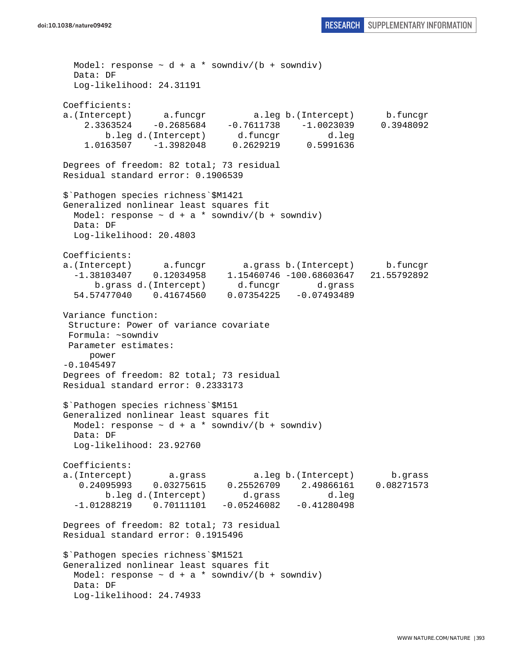```
doi:10.1038/nature09492 RESEARCH SUPPLEMENTARY INFORMATION
```
Model: response  $\sim d + a *$  sowndiv/(b + sowndiv) Data: DF Log-likelihood: 24.31191 Coefficients: a.(Intercept) a.funcgr a.leg b.(Intercept) b.funcgr  $2.3363524 -0.2685684 -0.7611738 -1.0023039$  b.leg d.(Intercept) d.funcgr d.leg 1.0163507 -1.3982048 0.2629219 0.5991636 Degrees of freedom: 82 total; 73 residual Residual standard error: 0.1906539 \$`Pathogen species richness`\$M1421 Generalized nonlinear least squares fit Model: response  $\sim d + a *$  sowndiv/(b + sowndiv) Data: DF Log-likelihood: 20.4803 Coefficients: a.(Intercept) a.funcgr a.grass b.(Intercept) b.funcgr -1.38103407 0.12034958 1.15460746 -100.68603647 21.55792892 b.grass d.(Intercept) d.funcgr d.grass 54.57477040 0.41674560 0.07354225 -0.07493489 Variance function: Structure: Power of variance covariate Formula: ~sowndiv Parameter estimates: power -0.1045497 Degrees of freedom: 82 total; 73 residual Residual standard error: 0.2333173 \$`Pathogen species richness`\$M151 Generalized nonlinear least squares fit Model: response  $\sim d + a *$  sowndiv/(b + sowndiv) Data: DF Log-likelihood: 23.92760 Coefficients: a.(Intercept) a.grass a.leg b.(Intercept) b.grass 0.24095993 0.03275615 0.25526709 2.49866161 0.08271573 b.leg d.(Intercept) d.grass d.leg -1.01288219 0.70111101 -0.05246082 -0.41280498 Degrees of freedom: 82 total; 73 residual Residual standard error: 0.1915496 \$`Pathogen species richness`\$M1521 Generalized nonlinear least squares fit Model: response  $\sim d + a *$  sowndiv/(b + sowndiv) Data: DF Log-likelihood: 24.74933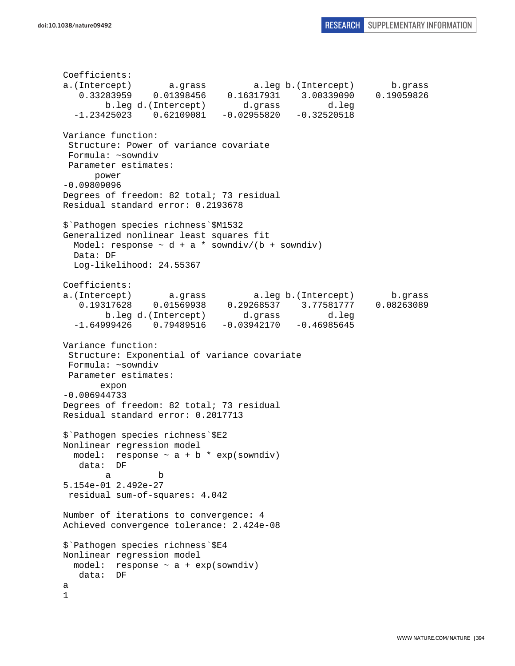Coefficients: a.(Intercept) a.grass a.leg b.(Intercept) b.grass 0.33283959 0.01398456 0.16317931 3.00339090 0.19059826 b.leg d.(Intercept) d.grass d.leg  $-1.23425023$   $0.62109081$   $-0.02955820$   $-0.32520518$ Variance function: Structure: Power of variance covariate Formula: ~sowndiv Parameter estimates: power -0.09809096 Degrees of freedom: 82 total; 73 residual Residual standard error: 0.2193678 \$`Pathogen species richness`\$M1532 Generalized nonlinear least squares fit Model: response  $\sim$  d + a \* sowndiv/(b + sowndiv) Data: DF Log-likelihood: 24.55367 Coefficients: a.(Intercept) a.grass a.leg b.(Intercept) b.grass 0.19317628 0.01569938 0.29268537 3.77581777 0.08263089 b.leg d.(Intercept) d.grass d.leg<br>-1.64999426 0.79489516 -0.03942170 -0.46985645  $0.79489516 -0.03942170 -0.46985645$ Variance function: Structure: Exponential of variance covariate Formula: ~sowndiv Parameter estimates: expon -0.006944733 Degrees of freedom: 82 total; 73 residual Residual standard error: 0.2017713 \$`Pathogen species richness`\$E2 Nonlinear regression model model: response  $\sim$  a + b \* exp(sowndiv) data: DF a b 5.154e-01 2.492e-27 residual sum-of-squares: 4.042 Number of iterations to convergence: 4 Achieved convergence tolerance: 2.424e-08 \$`Pathogen species richness`\$E4 Nonlinear regression model model: response  $\sim$  a + exp(sowndiv) data: DF a 1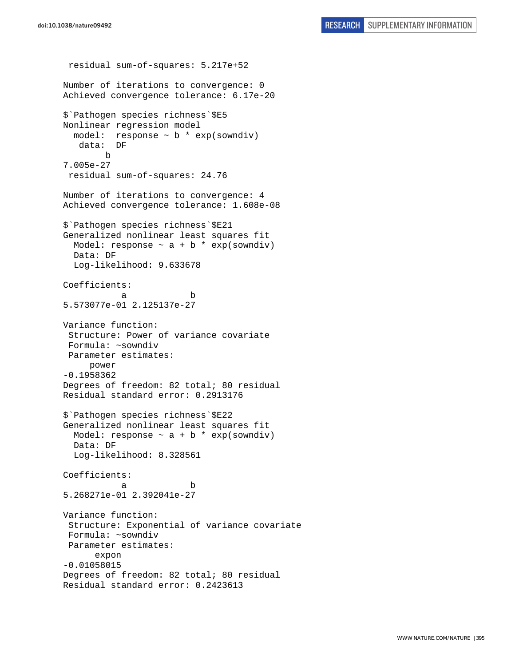residual sum-of-squares: 5.217e+52 Number of iterations to convergence: 0 Achieved convergence tolerance: 6.17e-20 \$`Pathogen species richness`\$E5 Nonlinear regression model model: response  $\sim$  b  $*$  exp(sowndiv) data: DF b 7.005e-27 residual sum-of-squares: 24.76 Number of iterations to convergence: 4 Achieved convergence tolerance: 1.608e-08 \$`Pathogen species richness`\$E21 Generalized nonlinear least squares fit Model: response  $\sim$  a + b \* exp(sowndiv) Data: DF Log-likelihood: 9.633678 Coefficients: a b 5.573077e-01 2.125137e-27 Variance function: Structure: Power of variance covariate Formula: ~sowndiv Parameter estimates: power -0.1958362 Degrees of freedom: 82 total; 80 residual Residual standard error: 0.2913176 \$`Pathogen species richness`\$E22 Generalized nonlinear least squares fit Model: response  $\sim$  a + b  $*$  exp(sowndiv) Data: DF Log-likelihood: 8.328561 Coefficients: a b 5.268271e-01 2.392041e-27 Variance function: Structure: Exponential of variance covariate Formula: ~sowndiv Parameter estimates: expon -0.01058015 Degrees of freedom: 82 total; 80 residual Residual standard error: 0.2423613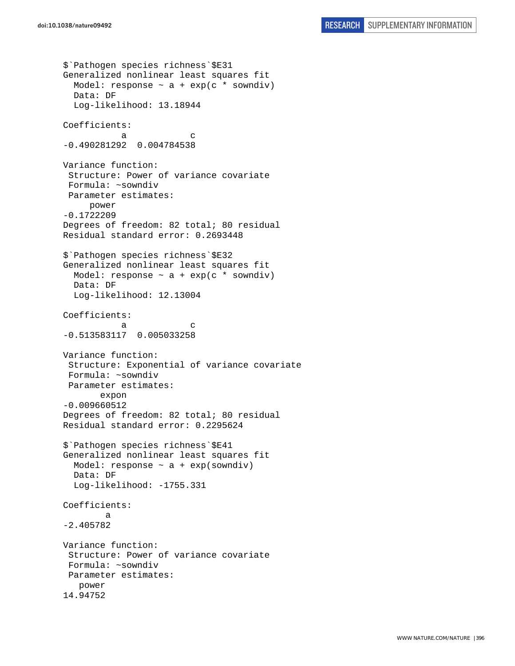```
$`Pathogen species richness`$E31 
Generalized nonlinear least squares fit 
 Model: response \sim a + exp(c * sowndiv)
  Data: DF 
   Log-likelihood: 13.18944 
Coefficients: 
a c
-0.490281292 0.004784538 
Variance function: 
  Structure: Power of variance covariate 
 Formula: ~sowndiv 
 Parameter estimates: 
     power 
-0.1722209 
Degrees of freedom: 82 total; 80 residual 
Residual standard error: 0.2693448 
$`Pathogen species richness`$E32 
Generalized nonlinear least squares fit 
 Model: response \sim a + exp(c * sowndiv)
  Data: DF 
  Log-likelihood: 12.13004 
Coefficients: 
a c
-0.513583117 0.005033258 
Variance function: 
  Structure: Exponential of variance covariate 
 Formula: ~sowndiv 
 Parameter estimates: 
        expon 
-0.009660512 
Degrees of freedom: 82 total; 80 residual 
Residual standard error: 0.2295624 
$`Pathogen species richness`$E41 
Generalized nonlinear least squares fit 
 Model: response \sim a + exp(sowndiv)
   Data: DF 
   Log-likelihood: -1755.331 
Coefficients: 
 a 
-2.405782 
Variance function: 
  Structure: Power of variance covariate 
 Formula: ~sowndiv 
 Parameter estimates: 
    power 
14.94752
```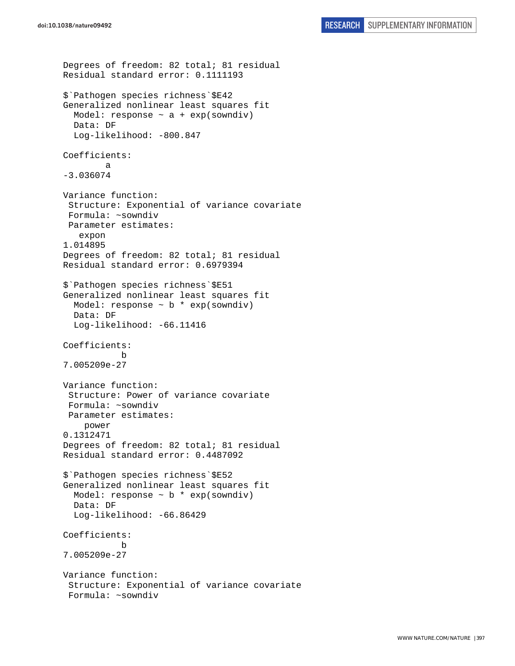```
Degrees of freedom: 82 total; 81 residual 
Residual standard error: 0.1111193 
$`Pathogen species richness`$E42 
Generalized nonlinear least squares fit 
  Model: response \sim a + exp(sowndiv)
   Data: DF 
   Log-likelihood: -800.847 
Coefficients: 
 a 
-3.036074 
Variance function: 
  Structure: Exponential of variance covariate 
  Formula: ~sowndiv 
  Parameter estimates: 
    expon 
1.014895 
Degrees of freedom: 82 total; 81 residual 
Residual standard error: 0.6979394 
$`Pathogen species richness`$E51 
Generalized nonlinear least squares fit 
  Model: response \sim b * exp(sowndiv)
   Data: DF 
   Log-likelihood: -66.11416 
Coefficients: 
 b 
7.005209e-27 
Variance function: 
  Structure: Power of variance covariate 
  Formula: ~sowndiv 
  Parameter estimates: 
     power 
0.1312471 
Degrees of freedom: 82 total; 81 residual 
Residual standard error: 0.4487092 
$`Pathogen species richness`$E52 
Generalized nonlinear least squares fit 
  Model: response \sim b * exp(sowndiv)
   Data: DF 
   Log-likelihood: -66.86429 
Coefficients: 
 b 
7.005209e-27 
Variance function: 
  Structure: Exponential of variance covariate 
  Formula: ~sowndiv
```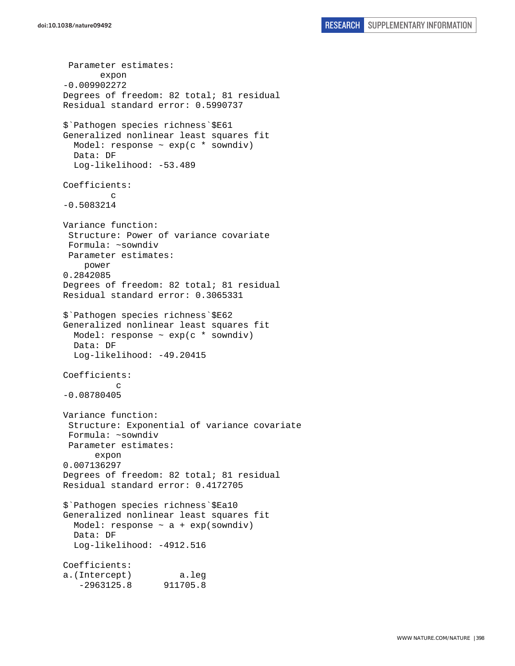```
 Parameter estimates: 
        expon 
-0.009902272 
Degrees of freedom: 82 total; 81 residual 
Residual standard error: 0.5990737 
$`Pathogen species richness`$E61 
Generalized nonlinear least squares fit 
   Model: response ~ exp(c * sowndiv) 
   Data: DF 
   Log-likelihood: -53.489 
Coefficients: 
 c 
-0.5083214 
Variance function: 
  Structure: Power of variance covariate 
  Formula: ~sowndiv 
  Parameter estimates: 
     power 
0.2842085 
Degrees of freedom: 82 total; 81 residual 
Residual standard error: 0.3065331 
$`Pathogen species richness`$E62 
Generalized nonlinear least squares fit 
   Model: response ~ exp(c * sowndiv) 
   Data: DF 
   Log-likelihood: -49.20415 
Coefficients: 
c
-0.08780405 
Variance function: 
  Structure: Exponential of variance covariate 
  Formula: ~sowndiv 
  Parameter estimates: 
       expon 
0.007136297 
Degrees of freedom: 82 total; 81 residual 
Residual standard error: 0.4172705 
$`Pathogen species richness`$Ea10 
Generalized nonlinear least squares fit 
  Model: response \sim a + exp(sowndiv)
   Data: DF 
   Log-likelihood: -4912.516 
Coefficients: 
a.(Intercept) a.leg 
    -2963125.8 911705.8
```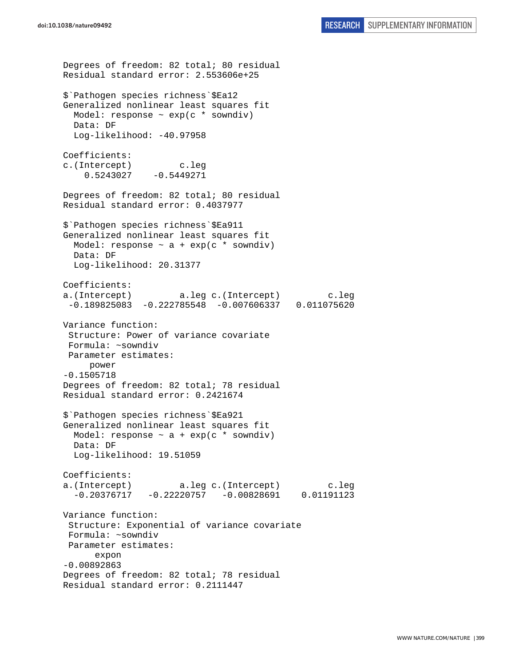```
Degrees of freedom: 82 total; 80 residual 
Residual standard error: 2.553606e+25 
$`Pathogen species richness`$Ea12 
Generalized nonlinear least squares fit 
  Model: response \sim exp(c * sowndiv)
  Data: DF 
 Log-likelihood: -40.97958
Coefficients: 
c.(Intercept) c.leg 
    0.5243027 -0.5449271Degrees of freedom: 82 total; 80 residual 
Residual standard error: 0.4037977 
$`Pathogen species richness`$Ea911 
Generalized nonlinear least squares fit 
 Model: response \sim a + exp(c * sowndiv)
   Data: DF 
   Log-likelihood: 20.31377 
Coefficients: 
a.(Intercept) a.leg c.(Intercept) c.leg 
  -0.189825083 -0.222785548 -0.007606337 0.011075620 
Variance function: 
  Structure: Power of variance covariate 
 Formula: ~sowndiv 
 Parameter estimates: 
     power 
-0.1505718 
Degrees of freedom: 82 total; 78 residual 
Residual standard error: 0.2421674 
$`Pathogen species richness`$Ea921 
Generalized nonlinear least squares fit 
 Model: response \sim a + exp(c * sowndiv)
  Data: DF 
   Log-likelihood: 19.51059 
Coefficients: 
a.(Intercept) a.leg c.(Intercept) c.leg 
   -0.20376717 -0.22220757 -0.00828691 0.01191123 
Variance function: 
  Structure: Exponential of variance covariate 
 Formula: ~sowndiv 
 Parameter estimates: 
       expon 
-0.00892863 
Degrees of freedom: 82 total; 78 residual 
Residual standard error: 0.2111447
```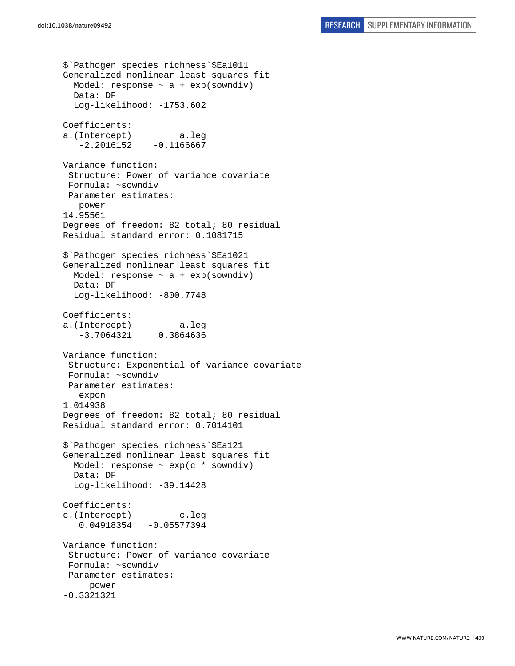```
$`Pathogen species richness`$Ea1011 
Generalized nonlinear least squares fit 
  Model: response \sim a + exp(sowndiv)
   Data: DF 
   Log-likelihood: -1753.602 
Coefficients: 
a.(Intercept) a.leg 
   -2.2016152 - 0.1166667Variance function: 
  Structure: Power of variance covariate 
  Formula: ~sowndiv 
 Parameter estimates: 
    power 
14.95561 
Degrees of freedom: 82 total; 80 residual 
Residual standard error: 0.1081715 
$`Pathogen species richness`$Ea1021 
Generalized nonlinear least squares fit 
  Model: response \sim a + exp(sowndiv)
   Data: DF 
   Log-likelihood: -800.7748 
Coefficients: 
a.(Intercept) a.leg 
    -3.7064321 0.3864636 
Variance function: 
  Structure: Exponential of variance covariate 
  Formula: ~sowndiv 
 Parameter estimates: 
    expon 
1.014938 
Degrees of freedom: 82 total; 80 residual 
Residual standard error: 0.7014101 
$`Pathogen species richness`$Ea121 
Generalized nonlinear least squares fit 
  Model: response \sim exp(c * sowndiv)
   Data: DF 
   Log-likelihood: -39.14428 
Coefficients: 
c.(Intercept) c.leg 
    0.04918354 -0.05577394 
Variance function: 
  Structure: Power of variance covariate 
  Formula: ~sowndiv 
 Parameter estimates: 
      power 
-0.3321321
```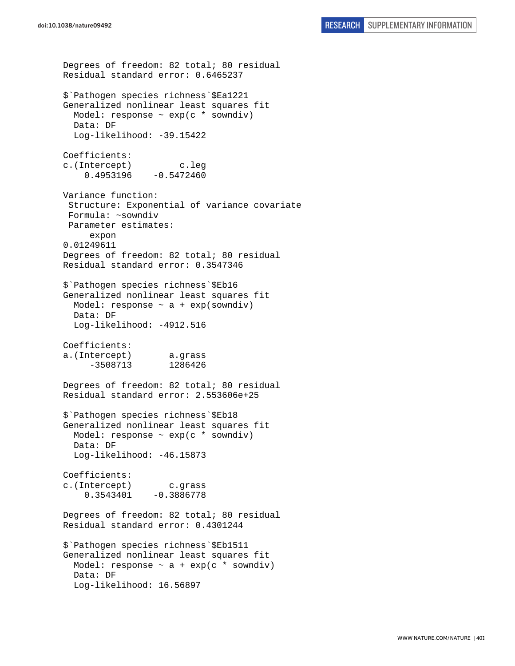```
Degrees of freedom: 82 total; 80 residual 
Residual standard error: 0.6465237 
$`Pathogen species richness`$Ea1221 
Generalized nonlinear least squares fit 
   Model: response ~ exp(c * sowndiv) 
   Data: DF 
  Log-likelihood: -39.15422
Coefficients: 
c.(Intercept) c.leg 
    0.4953196 -0.5472460Variance function: 
  Structure: Exponential of variance covariate 
 Formula: ~sowndiv 
 Parameter estimates: 
      expon 
0.01249611 
Degrees of freedom: 82 total; 80 residual 
Residual standard error: 0.3547346 
$`Pathogen species richness`$Eb16 
Generalized nonlinear least squares fit 
  Model: response \sim a + exp(sowndiv)
   Data: DF 
   Log-likelihood: -4912.516 
Coefficients: 
a.(Intercept) a.grass 
      -3508713 1286426 
Degrees of freedom: 82 total; 80 residual 
Residual standard error: 2.553606e+25 
$`Pathogen species richness`$Eb18 
Generalized nonlinear least squares fit 
  Model: response \sim exp(c * sowndiv)
  Data: DF 
  Log-likelihood: -46.15873
Coefficients: 
c.(Intercept) c.grass 
    0.3543401 -0.3886778Degrees of freedom: 82 total; 80 residual 
Residual standard error: 0.4301244 
$`Pathogen species richness`$Eb1511 
Generalized nonlinear least squares fit 
 Model: response \sim a + exp(c * sowndiv)
  Data: DF 
   Log-likelihood: 16.56897
```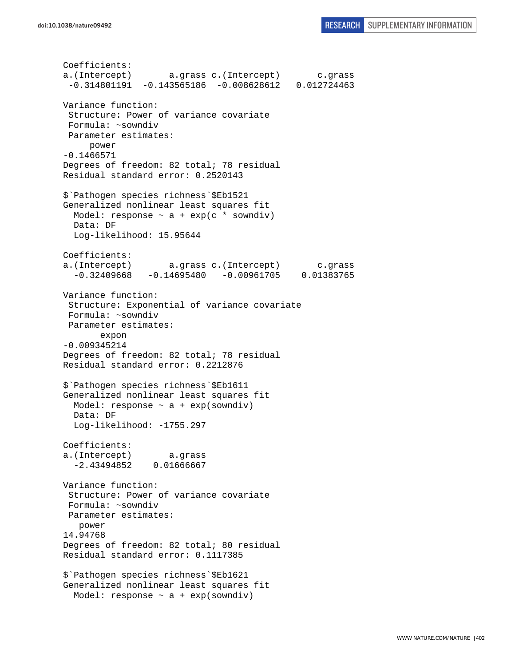```
Coefficients: 
a.(Intercept) a.grass c.(Intercept) c.grass 
  -0.314801191 -0.143565186 -0.008628612 0.012724463 
Variance function: 
  Structure: Power of variance covariate 
  Formula: ~sowndiv 
 Parameter estimates: 
      power 
-0.1466571 
Degrees of freedom: 82 total; 78 residual 
Residual standard error: 0.2520143 
$`Pathogen species richness`$Eb1521 
Generalized nonlinear least squares fit 
 Model: response \sim a + exp(c * sowndiv)
   Data: DF 
   Log-likelihood: 15.95644 
Coefficients: 
a.(Intercept) a.grass c.(Intercept) c.grass 
   -0.32409668 -0.14695480 -0.00961705 0.01383765 
Variance function: 
  Structure: Exponential of variance covariate 
  Formula: ~sowndiv 
 Parameter estimates: 
        expon 
-0.009345214 
Degrees of freedom: 82 total; 78 residual 
Residual standard error: 0.2212876 
$`Pathogen species richness`$Eb1611 
Generalized nonlinear least squares fit 
 Model: response \sim a + exp(sowndiv)
  Data: DF 
   Log-likelihood: -1755.297 
Coefficients: 
a.(Intercept) a.grass 
   -2.43494852 0.01666667 
Variance function: 
  Structure: Power of variance covariate 
 Formula: ~sowndiv 
 Parameter estimates: 
    power 
14.94768 
Degrees of freedom: 82 total; 80 residual 
Residual standard error: 0.1117385 
$`Pathogen species richness`$Eb1621 
Generalized nonlinear least squares fit 
  Model: response \sim a + exp(sowndiv)
```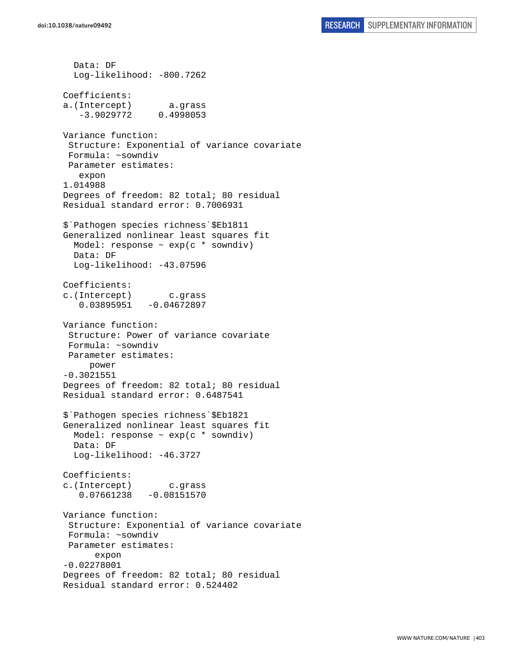Data: DF Log-likelihood: -800.7262 Coefficients: a.(Intercept) a.grass -3.9029772 0.4998053 Variance function: Structure: Exponential of variance covariate Formula: ~sowndiv Parameter estimates: expon 1.014988 Degrees of freedom: 82 total; 80 residual Residual standard error: 0.7006931 \$`Pathogen species richness`\$Eb1811 Generalized nonlinear least squares fit Model: response ~ exp(c \* sowndiv) Data: DF Log-likelihood: -43.07596 Coefficients: c.(Intercept) c.grass 0.03895951 -0.04672897 Variance function: Structure: Power of variance covariate Formula: ~sowndiv Parameter estimates: power -0.3021551 Degrees of freedom: 82 total; 80 residual Residual standard error: 0.6487541 \$`Pathogen species richness`\$Eb1821 Generalized nonlinear least squares fit Model: response  $\sim$  exp(c  $*$  sowndiv) Data: DF Log-likelihood: -46.3727 Coefficients: c.(Intercept) c.grass 0.07661238 -0.08151570 Variance function: Structure: Exponential of variance covariate Formula: ~sowndiv Parameter estimates: expon -0.02278001 Degrees of freedom: 82 total; 80 residual Residual standard error: 0.524402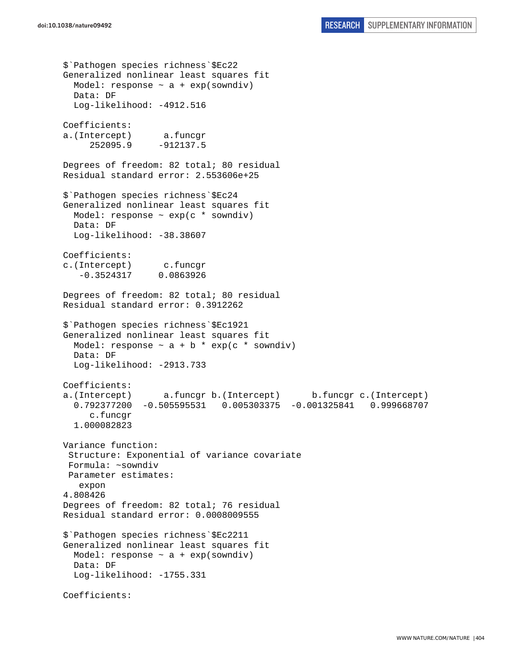```
$`Pathogen species richness`$Ec22 
Generalized nonlinear least squares fit 
 Model: response \sim a + exp(sowndiv)
  Data: DF 
   Log-likelihood: -4912.516 
Coefficients: 
a.(Intercept) a.funcgr 
      252095.9 -912137.5 
Degrees of freedom: 82 total; 80 residual 
Residual standard error: 2.553606e+25 
$`Pathogen species richness`$Ec24 
Generalized nonlinear least squares fit 
  Model: response ~ exp(c * sowndiv) 
   Data: DF 
  Log-likelihood: -38.38607
Coefficients: 
c.(Intercept) c.funcgr 
    -0.3524317 0.0863926 
Degrees of freedom: 82 total; 80 residual 
Residual standard error: 0.3912262 
$`Pathogen species richness`$Ec1921 
Generalized nonlinear least squares fit 
  Model: response \sim a + b * exp(c * sowndiv)
  Data: DF 
  Log-likelihood: -2913.733 
Coefficients: 
a.(Intercept) a.funcgr b.(Intercept) b.funcgr c.(Intercept) 
   0.792377200 -0.505595531 0.005303375 -0.001325841 0.999668707 
      c.funcgr 
   1.000082823 
Variance function: 
  Structure: Exponential of variance covariate 
 Formula: ~sowndiv 
 Parameter estimates: 
    expon 
4.808426 
Degrees of freedom: 82 total; 76 residual 
Residual standard error: 0.0008009555 
$`Pathogen species richness`$Ec2211 
Generalized nonlinear least squares fit 
 Model: response \sim a + exp(sowndiv)
   Data: DF 
   Log-likelihood: -1755.331 
Coefficients:
```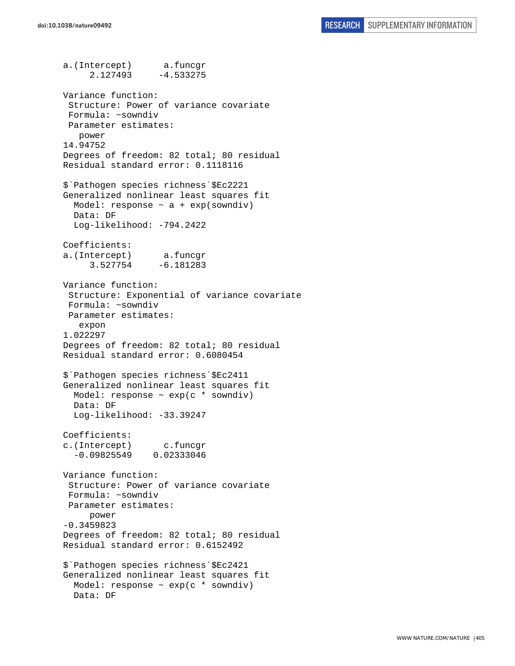a.(Intercept) a.funcgr 2.127493 -4.533275 Variance function: Structure: Power of variance covariate Formula: ~sowndiv Parameter estimates: power 14.94752 Degrees of freedom: 82 total; 80 residual Residual standard error: 0.1118116 \$`Pathogen species richness`\$Ec2221 Generalized nonlinear least squares fit Model: response  $\sim$  a + exp(sowndiv) Data: DF Log-likelihood: -794.2422 Coefficients: a.(Intercept) a.funcgr 3.527754 -6.181283 Variance function: Structure: Exponential of variance covariate Formula: ~sowndiv Parameter estimates: expon 1.022297 Degrees of freedom: 82 total; 80 residual Residual standard error: 0.6080454 \$`Pathogen species richness`\$Ec2411 Generalized nonlinear least squares fit Model: response  $\sim$  exp(c  $*$  sowndiv) Data: DF Log-likelihood: -33.39247 Coefficients: c.(Intercept) c.funcgr -0.09825549 0.02333046 Variance function: Structure: Power of variance covariate Formula: ~sowndiv Parameter estimates: power -0.3459823 Degrees of freedom: 82 total; 80 residual Residual standard error: 0.6152492 \$`Pathogen species richness`\$Ec2421 Generalized nonlinear least squares fit Model: response  $\sim$  exp(c  $*$  sowndiv) Data: DF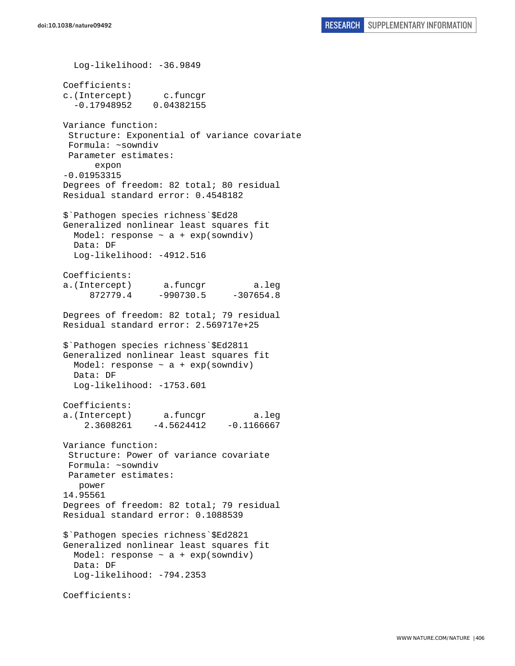Log-likelihood: -36.9849 Coefficients: c.(Intercept) c.funcgr -0.17948952 0.04382155 Variance function: Structure: Exponential of variance covariate Formula: ~sowndiv Parameter estimates: expon -0.01953315 Degrees of freedom: 82 total; 80 residual Residual standard error: 0.4548182 \$`Pathogen species richness`\$Ed28 Generalized nonlinear least squares fit Model: response  $\sim$  a + exp(sowndiv) Data: DF Log-likelihood: -4912.516 Coefficients: a.(Intercept) a.funcgr a.leg 872779.4 -990730.5 -307654.8 Degrees of freedom: 82 total; 79 residual Residual standard error: 2.569717e+25 \$`Pathogen species richness`\$Ed2811 Generalized nonlinear least squares fit Model: response  $\sim$  a + exp(sowndiv) Data: DF Log-likelihood: -1753.601 Coefficients: a.(Intercept) a.funcgr a.leg  $2.3608261 -4.5624412 -0.1166667$ Variance function: Structure: Power of variance covariate Formula: ~sowndiv Parameter estimates: power 14.95561 Degrees of freedom: 82 total; 79 residual Residual standard error: 0.1088539 \$`Pathogen species richness`\$Ed2821 Generalized nonlinear least squares fit Model: response  $\sim$  a + exp(sowndiv) Data: DF Log-likelihood: -794.2353 Coefficients: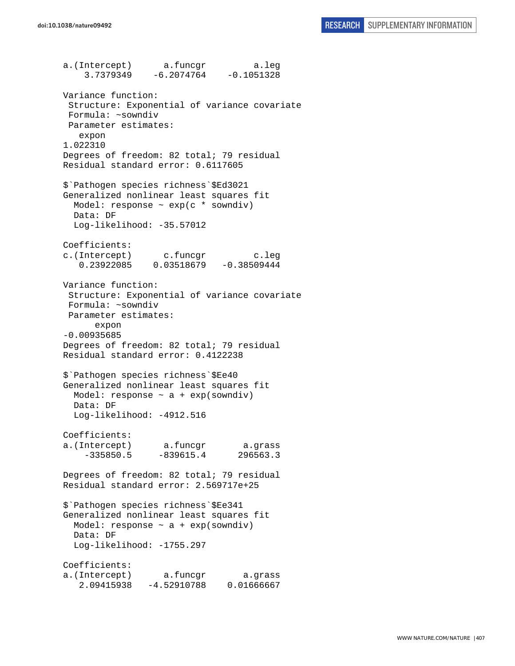a.(Intercept) a.funcgr a.leg 3.7379349 -6.2074764 -0.1051328 Variance function: Structure: Exponential of variance covariate Formula: ~sowndiv Parameter estimates: expon 1.022310 Degrees of freedom: 82 total; 79 residual Residual standard error: 0.6117605 \$`Pathogen species richness`\$Ed3021 Generalized nonlinear least squares fit Model: response  $\sim$  exp(c  $*$  sowndiv) Data: DF Log-likelihood: -35.57012 Coefficients: c.(Intercept) c.funcgr c.leg<br>0.23922085 0.03518679 -0.38509444 0.03518679 -0.38509444 Variance function: Structure: Exponential of variance covariate Formula: ~sowndiv Parameter estimates: expon -0.00935685 Degrees of freedom: 82 total; 79 residual Residual standard error: 0.4122238 \$`Pathogen species richness`\$Ee40 Generalized nonlinear least squares fit Model: response  $\sim$  a + exp(sowndiv) Data: DF Log-likelihood: -4912.516 Coefficients: a.(Intercept) a.funcgr a.grass  $-335850.5 -839615.4$  296563.3 Degrees of freedom: 82 total; 79 residual Residual standard error: 2.569717e+25 \$`Pathogen species richness`\$Ee341 Generalized nonlinear least squares fit Model: response  $\sim$  a + exp(sowndiv) Data: DF Log-likelihood: -1755.297 Coefficients: a.(Intercept) a.funcgr a.grass 2.09415938 -4.52910788 0.01666667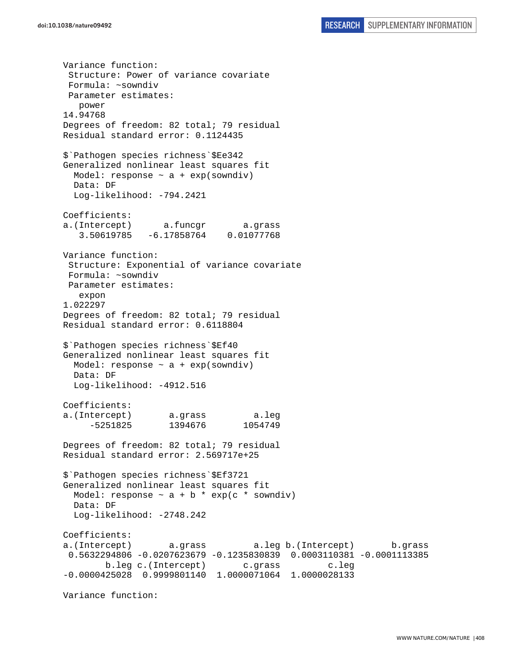Variance function: Structure: Power of variance covariate Formula: ~sowndiv Parameter estimates: power 14.94768 Degrees of freedom: 82 total; 79 residual Residual standard error: 0.1124435 \$`Pathogen species richness`\$Ee342 Generalized nonlinear least squares fit Model: response  $\sim$  a + exp(sowndiv) Data: DF Log-likelihood: -794.2421 Coefficients: a.(Intercept) a.funcgr a.grass 3.50619785 -6.17858764 0.01077768 Variance function: Structure: Exponential of variance covariate Formula: ~sowndiv Parameter estimates: expon 1.022297 Degrees of freedom: 82 total; 79 residual Residual standard error: 0.6118804 \$`Pathogen species richness`\$Ef40 Generalized nonlinear least squares fit Model: response  $\sim$  a + exp(sowndiv) Data: DF Log-likelihood: -4912.516 Coefficients: a.(Intercept) a.grass a.leg -5251825 1394676 1054749 Degrees of freedom: 82 total; 79 residual Residual standard error: 2.569717e+25 \$`Pathogen species richness`\$Ef3721 Generalized nonlinear least squares fit Model: response  $\sim$  a + b  $*$  exp(c  $*$  sowndiv) Data: DF Log-likelihood: -2748.242 Coefficients: a.(Intercept) a.grass a.leg b.(Intercept) b.grass 0.5632294806 -0.0207623679 -0.1235830839 0.0003110381 -0.0001113385 b.leg c.(Intercept) c.grass c.leg -0.0000425028 0.9999801140 1.0000071064 1.0000028133

Variance function: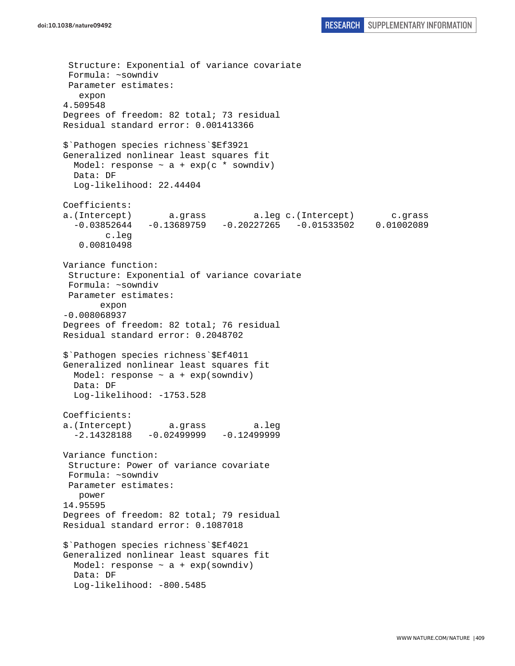Structure: Exponential of variance covariate Formula: ~sowndiv Parameter estimates: expon 4.509548 Degrees of freedom: 82 total; 73 residual Residual standard error: 0.001413366 \$`Pathogen species richness`\$Ef3921 Generalized nonlinear least squares fit Model: response  $\sim$  a + exp(c \* sowndiv) Data: DF Log-likelihood: 22.44404 Coefficients: a.(Intercept) a.grass a.leg c.(Intercept) c.grass -0.03852644 -0.13689759 -0.20227265 -0.01533502 0.01002089 c.leg 0.00810498 Variance function: Structure: Exponential of variance covariate Formula: ~sowndiv Parameter estimates: expon -0.008068937 Degrees of freedom: 82 total; 76 residual Residual standard error: 0.2048702 \$`Pathogen species richness`\$Ef4011 Generalized nonlinear least squares fit Model: response  $\sim$  a + exp(sowndiv) Data: DF Log-likelihood: -1753.528 Coefficients: a.(Intercept) a.grass a.leg  $-2.14328188 - 0.02499999 - 0.12499999$ Variance function: Structure: Power of variance covariate Formula: ~sowndiv Parameter estimates: power 14.95595 Degrees of freedom: 82 total; 79 residual Residual standard error: 0.1087018 \$`Pathogen species richness`\$Ef4021 Generalized nonlinear least squares fit Model: response  $\sim$  a + exp(sowndiv) Data: DF Log-likelihood: -800.5485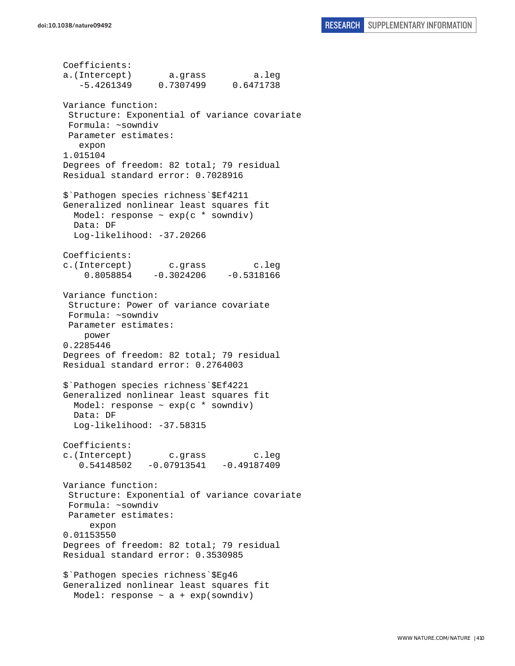Coefficients: a.(Intercept) a.grass a.leg -5.4261349 0.7307499 0.6471738 Variance function: Structure: Exponential of variance covariate Formula: ~sowndiv Parameter estimates: expon 1.015104 Degrees of freedom: 82 total; 79 residual Residual standard error: 0.7028916 \$`Pathogen species richness`\$Ef4211 Generalized nonlinear least squares fit Model: response ~ exp(c \* sowndiv) Data: DF Log-likelihood: -37.20266 Coefficients: c.(Intercept) c.grass c.leg  $0.8058854 -0.3024206 -0.5318166$ Variance function: Structure: Power of variance covariate Formula: ~sowndiv Parameter estimates: power 0.2285446 Degrees of freedom: 82 total; 79 residual Residual standard error: 0.2764003 \$`Pathogen species richness`\$Ef4221 Generalized nonlinear least squares fit Model: response  $\sim$  exp(c  $*$  sowndiv) Data: DF Log-likelihood: -37.58315 Coefficients: c.(Intercept) c.grass c.leg  $0.54148502 -0.07913541 -0.49187409$ Variance function: Structure: Exponential of variance covariate Formula: ~sowndiv Parameter estimates: expon 0.01153550 Degrees of freedom: 82 total; 79 residual Residual standard error: 0.3530985 \$`Pathogen species richness`\$Eg46 Generalized nonlinear least squares fit Model: response  $\sim$  a + exp(sowndiv)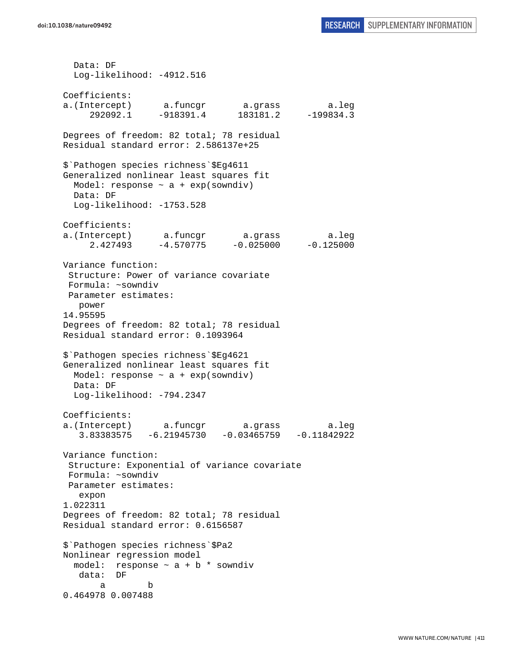Data: DF Log-likelihood: -4912.516 Coefficients: a.(Intercept) a.funcgr a.grass a.leg 292092.1 -918391.4 183181.2 -199834.3 Degrees of freedom: 82 total; 78 residual Residual standard error: 2.586137e+25 \$`Pathogen species richness`\$Eg4611 Generalized nonlinear least squares fit Model: response  $\sim$  a + exp(sowndiv) Data: DF Log-likelihood: -1753.528 Coefficients: a.(Intercept) a.funcgr a.grass a.leg  $2.427493 -4.570775 -0.025000 -0.125000$ Variance function: Structure: Power of variance covariate Formula: ~sowndiv Parameter estimates: power 14.95595 Degrees of freedom: 82 total; 78 residual Residual standard error: 0.1093964 \$`Pathogen species richness`\$Eg4621 Generalized nonlinear least squares fit Model: response  $\sim$  a + exp(sowndiv) Data: DF Log-likelihood: -794.2347 Coefficients: a.(Intercept) a.funcgr a.grass a.leg 3.83383575 -6.21945730 -0.03465759 -0.11842922 Variance function: Structure: Exponential of variance covariate Formula: ~sowndiv Parameter estimates: expon 1.022311 Degrees of freedom: 82 total; 78 residual Residual standard error: 0.6156587 \$`Pathogen species richness`\$Pa2 Nonlinear regression model model: response  $\sim$  a + b  $*$  sowndiv data: DF a b 0.464978 0.007488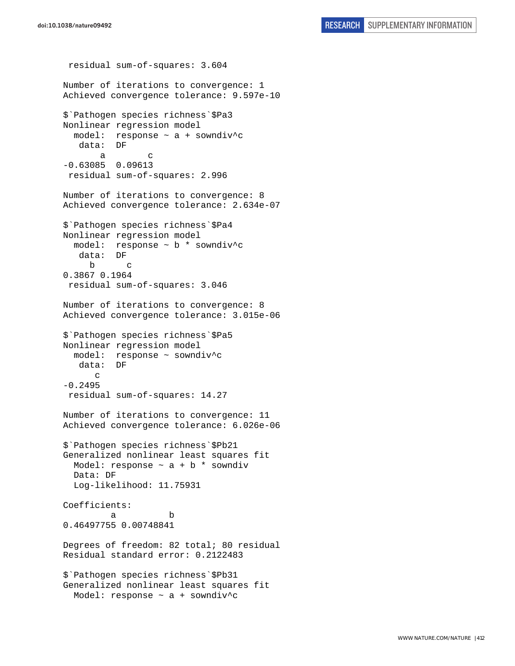residual sum-of-squares: 3.604 Number of iterations to convergence: 1 Achieved convergence tolerance: 9.597e-10 \$`Pathogen species richness`\$Pa3 Nonlinear regression model model: response  $\sim$  a + sowndiv<sup>^</sup>c data: DF a c -0.63085 0.09613 residual sum-of-squares: 2.996 Number of iterations to convergence: 8 Achieved convergence tolerance: 2.634e-07 \$`Pathogen species richness`\$Pa4 Nonlinear regression model model: response ~ b \* sowndiv^c data: DF b c 0.3867 0.1964 residual sum-of-squares: 3.046 Number of iterations to convergence: 8 Achieved convergence tolerance: 3.015e-06 \$`Pathogen species richness`\$Pa5 Nonlinear regression model model: response ~ sowndiv^c data: DF c -0.2495 residual sum-of-squares: 14.27 Number of iterations to convergence: 11 Achieved convergence tolerance: 6.026e-06 \$`Pathogen species richness`\$Pb21 Generalized nonlinear least squares fit Model: response  $\sim$  a + b \* sowndiv Data: DF Log-likelihood: 11.75931 Coefficients: a b 0.46497755 0.00748841 Degrees of freedom: 82 total; 80 residual Residual standard error: 0.2122483 \$`Pathogen species richness`\$Pb31 Generalized nonlinear least squares fit Model: response ~ a + sowndiv^c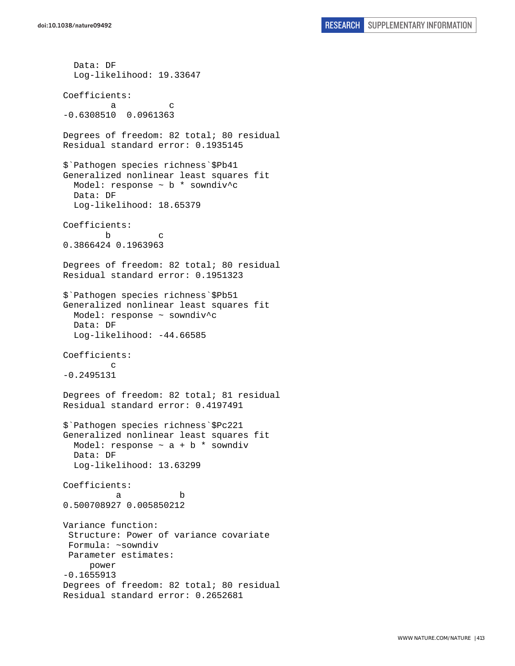```
 Data: DF 
   Log-likelihood: 19.33647 
Coefficients: 
a c
-0.6308510 0.0961363 
Degrees of freedom: 82 total; 80 residual 
Residual standard error: 0.1935145 
$`Pathogen species richness`$Pb41 
Generalized nonlinear least squares fit 
  Model: response ~ b * sowndiv^c 
  Data: DF 
  Log-likelihood: 18.65379 
Coefficients: 
 b c 
0.3866424 0.1963963 
Degrees of freedom: 82 total; 80 residual 
Residual standard error: 0.1951323 
$`Pathogen species richness`$Pb51 
Generalized nonlinear least squares fit 
   Model: response ~ sowndiv^c 
  Data: DF 
   Log-likelihood: -44.66585 
Coefficients: 
 c 
-0.2495131 
Degrees of freedom: 82 total; 81 residual 
Residual standard error: 0.4197491 
$`Pathogen species richness`$Pc221 
Generalized nonlinear least squares fit 
 Model: response \sim a + b * sowndiv
  Data: DF 
   Log-likelihood: 13.63299 
Coefficients: 
 a b 
0.500708927 0.005850212 
Variance function: 
  Structure: Power of variance covariate 
 Formula: ~sowndiv 
 Parameter estimates: 
     power 
-0.1655913 
Degrees of freedom: 82 total; 80 residual 
Residual standard error: 0.2652681
```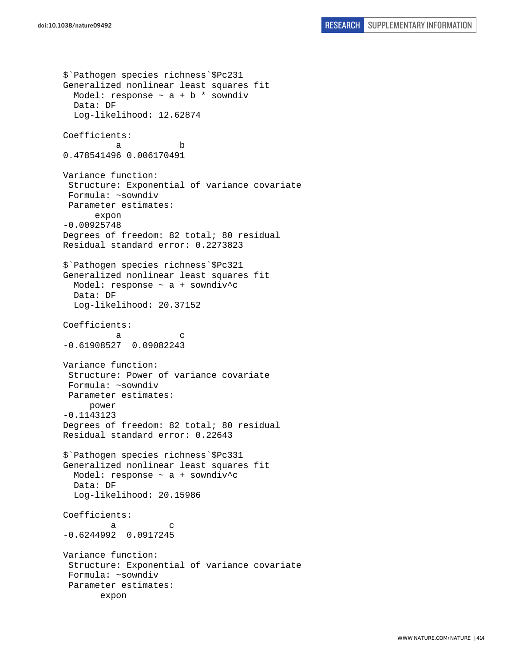```
$`Pathogen species richness`$Pc231 
Generalized nonlinear least squares fit 
 Model: response \sim a + b * sowndiv
  Data: DF 
   Log-likelihood: 12.62874 
Coefficients: 
 a b 
0.478541496 0.006170491 
Variance function: 
 Structure: Exponential of variance covariate 
 Formula: ~sowndiv 
 Parameter estimates: 
       expon 
-0.00925748 
Degrees of freedom: 82 total; 80 residual 
Residual standard error: 0.2273823 
$`Pathogen species richness`$Pc321 
Generalized nonlinear least squares fit 
  Model: response ~ a + sowndiv^c 
  Data: DF 
   Log-likelihood: 20.37152 
Coefficients: 
a c
-0.61908527 0.09082243 
Variance function: 
  Structure: Power of variance covariate 
 Formula: ~sowndiv 
 Parameter estimates: 
      power 
-0.1143123 
Degrees of freedom: 82 total; 80 residual 
Residual standard error: 0.22643 
$`Pathogen species richness`$Pc331 
Generalized nonlinear least squares fit 
  Model: response ~ a + sowndiv^c 
  Data: DF 
   Log-likelihood: 20.15986 
Coefficients: 
a c
-0.6244992 0.0917245 
Variance function: 
 Structure: Exponential of variance covariate 
 Formula: ~sowndiv 
  Parameter estimates: 
        expon
```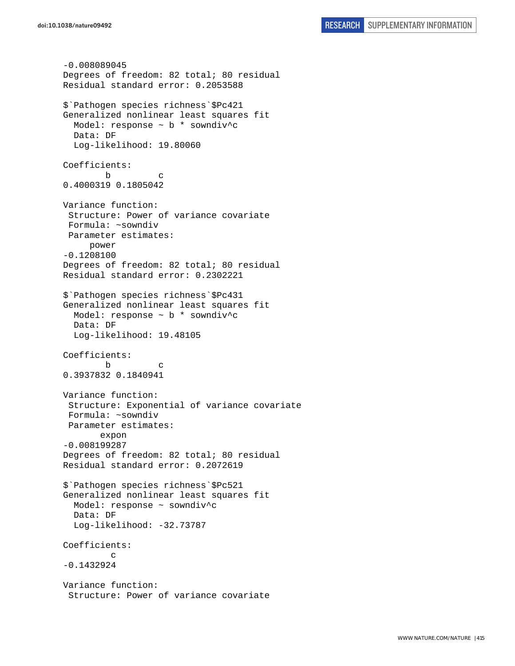```
-0.008089045 
Degrees of freedom: 82 total; 80 residual 
Residual standard error: 0.2053588 
$`Pathogen species richness`$Pc421 
Generalized nonlinear least squares fit 
  Model: response ~ b * sowndiv^c 
  Data: DF 
   Log-likelihood: 19.80060 
Coefficients: 
 b c 
0.4000319 0.1805042 
Variance function: 
  Structure: Power of variance covariate 
 Formula: ~sowndiv 
 Parameter estimates: 
      power 
-0.1208100 
Degrees of freedom: 82 total; 80 residual 
Residual standard error: 0.2302221 
$`Pathogen species richness`$Pc431 
Generalized nonlinear least squares fit 
   Model: response ~ b * sowndiv^c 
  Data: DF 
  Log-likelihood: 19.48105 
Coefficients: 
 b c 
0.3937832 0.1840941 
Variance function: 
  Structure: Exponential of variance covariate 
 Formula: ~sowndiv 
 Parameter estimates: 
        expon 
-0.008199287 
Degrees of freedom: 82 total; 80 residual 
Residual standard error: 0.2072619 
$`Pathogen species richness`$Pc521 
Generalized nonlinear least squares fit 
  Model: response ~ sowndiv^c 
  Data: DF 
  Log-likelihood: -32.73787 
Coefficients: 
 c 
-0.1432924 
Variance function: 
  Structure: Power of variance covariate
```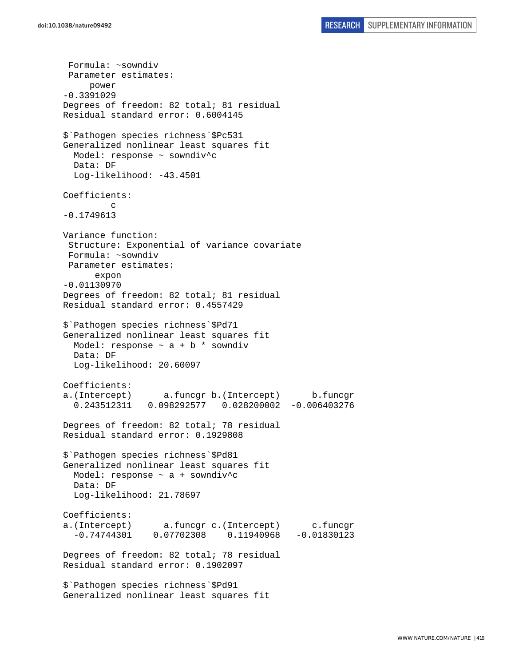Formula: ~sowndiv Parameter estimates: power -0.3391029 Degrees of freedom: 82 total; 81 residual Residual standard error: 0.6004145 \$`Pathogen species richness`\$Pc531 Generalized nonlinear least squares fit Model: response ~ sowndiv^c Data: DF Log-likelihood: -43.4501 Coefficients: c -0.1749613 Variance function: Structure: Exponential of variance covariate Formula: ~sowndiv Parameter estimates: expon -0.01130970 Degrees of freedom: 82 total; 81 residual Residual standard error: 0.4557429 \$`Pathogen species richness`\$Pd71 Generalized nonlinear least squares fit Model: response  $\sim$  a + b \* sowndiv Data: DF Log-likelihood: 20.60097 Coefficients: a.(Intercept) a.funcgr b.(Intercept) b.funcgr 0.243512311 0.098292577 0.028200002 -0.006403276 Degrees of freedom: 82 total; 78 residual Residual standard error: 0.1929808 \$`Pathogen species richness`\$Pd81 Generalized nonlinear least squares fit Model: response ~ a + sowndiv^c Data: DF Log-likelihood: 21.78697 Coefficients: a.(Intercept) a.funcgr c.(Intercept) c.funcgr -0.74744301 0.07702308 0.11940968 -0.01830123 Degrees of freedom: 82 total; 78 residual Residual standard error: 0.1902097 \$`Pathogen species richness`\$Pd91 Generalized nonlinear least squares fit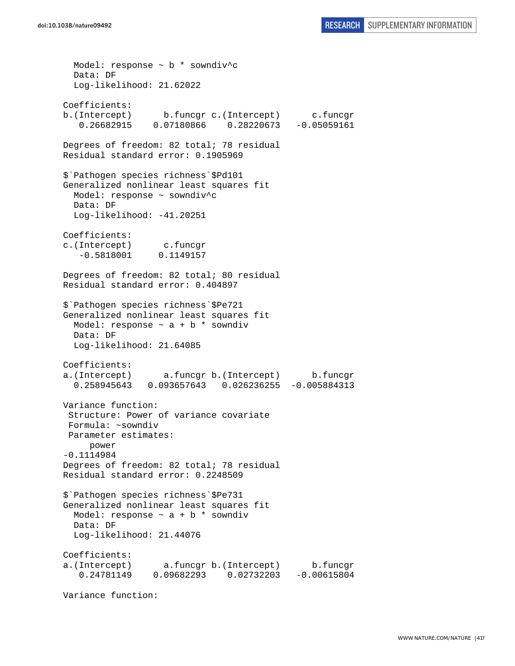Model: response ~ b \* sowndiv^c Data: DF Log-likelihood: 21.62022 Coefficients: b.(Intercept) b.funcgr c.(Intercept) c.funcgr 0.26682915 0.07180866 0.28220673 -0.05059161 Degrees of freedom: 82 total; 78 residual Residual standard error: 0.1905969 \$`Pathogen species richness`\$Pd101 Generalized nonlinear least squares fit Model: response ~ sowndiv^c Data: DF Log-likelihood: -41.20251 Coefficients: c.(Intercept) c.funcgr -0.5818001 0.1149157 Degrees of freedom: 82 total; 80 residual Residual standard error: 0.404897 \$`Pathogen species richness`\$Pe721 Generalized nonlinear least squares fit Model: response  $\sim$  a + b  $*$  sowndiv Data: DF Log-likelihood: 21.64085 Coefficients: a.(Intercept) a.funcgr b.(Intercept) b.funcgr 0.258945643 0.093657643 0.026236255 -0.005884313 Variance function: Structure: Power of variance covariate Formula: ~sowndiv Parameter estimates: power -0.1114984 Degrees of freedom: 82 total; 78 residual Residual standard error: 0.2248509 \$`Pathogen species richness`\$Pe731 Generalized nonlinear least squares fit Model: response  $\sim$  a + b \* sowndiv Data: DF Log-likelihood: 21.44076 Coefficients: a.(Intercept) a.funcgr b.(Intercept) b.funcgr 0.24781149 0.09682293 0.02732203 -0.00615804

Variance function: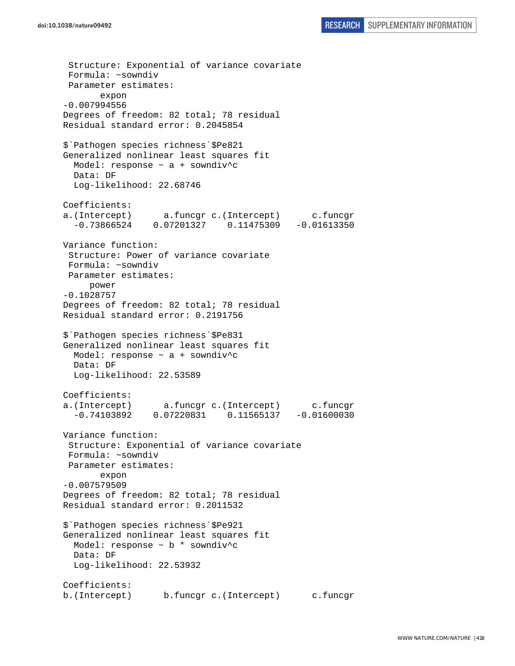Structure: Exponential of variance covariate Formula: ~sowndiv Parameter estimates: expon -0.007994556 Degrees of freedom: 82 total; 78 residual Residual standard error: 0.2045854 \$`Pathogen species richness`\$Pe821 Generalized nonlinear least squares fit Model: response ~ a + sowndiv^c Data: DF Log-likelihood: 22.68746 Coefficients: a.(Intercept) a.funcgr c.(Intercept) c.funcgr -0.73866524 0.07201327 0.11475309 -0.01613350 Variance function: Structure: Power of variance covariate Formula: ~sowndiv Parameter estimates: power -0.1028757 Degrees of freedom: 82 total; 78 residual Residual standard error: 0.2191756 \$`Pathogen species richness`\$Pe831 Generalized nonlinear least squares fit Model: response ~ a + sowndiv^c Data: DF Log-likelihood: 22.53589 Coefficients: a.(Intercept) a.funcgr c.(Intercept) c.funcgr -0.74103892 0.07220831 0.11565137 -0.01600030 Variance function: Structure: Exponential of variance covariate Formula: ~sowndiv Parameter estimates: expon -0.007579509 Degrees of freedom: 82 total; 78 residual Residual standard error: 0.2011532 \$`Pathogen species richness`\$Pe921 Generalized nonlinear least squares fit Model: response ~ b \* sowndiv^c Data: DF Log-likelihood: 22.53932 Coefficients: b.(Intercept) b.funcgr c.(Intercept) c.funcgr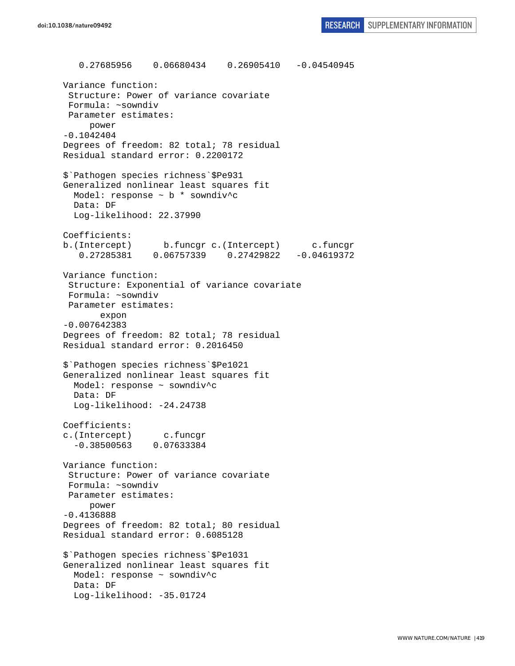0.27685956 0.06680434 0.26905410 -0.04540945 Variance function: Structure: Power of variance covariate Formula: ~sowndiv Parameter estimates: power -0.1042404 Degrees of freedom: 82 total; 78 residual Residual standard error: 0.2200172 \$`Pathogen species richness`\$Pe931 Generalized nonlinear least squares fit Model: response ~ b \* sowndiv^c Data: DF Log-likelihood: 22.37990 Coefficients: b.(Intercept) b.funcgr c.(Intercept) c.funcgr 0.27285381 0.06757339 0.27429822 -0.04619372 Variance function: Structure: Exponential of variance covariate Formula: ~sowndiv Parameter estimates: expon -0.007642383 Degrees of freedom: 82 total; 78 residual Residual standard error: 0.2016450 \$`Pathogen species richness`\$Pe1021 Generalized nonlinear least squares fit Model: response ~ sowndiv^c Data: DF Log-likelihood: -24.24738 Coefficients: c.(Intercept) c.funcgr -0.38500563 0.07633384 Variance function: Structure: Power of variance covariate Formula: ~sowndiv Parameter estimates: power -0.4136888 Degrees of freedom: 82 total; 80 residual Residual standard error: 0.6085128 \$`Pathogen species richness`\$Pe1031 Generalized nonlinear least squares fit Model: response ~ sowndiv^c Data: DF Log-likelihood: -35.01724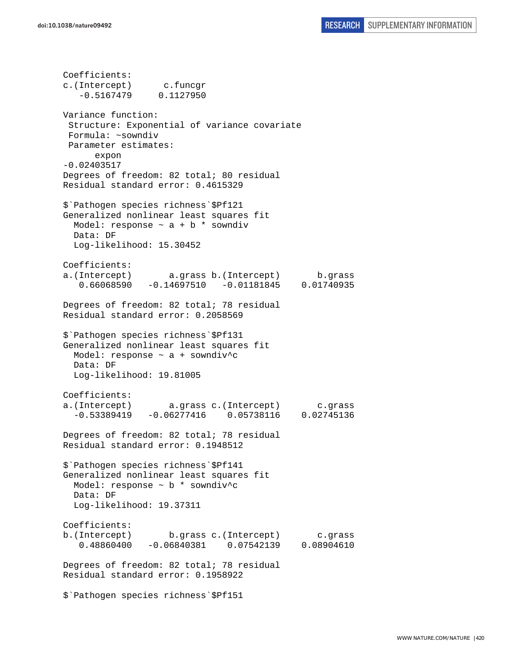Coefficients: c.(Intercept) c.funcgr -0.5167479 0.1127950 Variance function: Structure: Exponential of variance covariate Formula: ~sowndiv Parameter estimates: expon -0.02403517 Degrees of freedom: 82 total; 80 residual Residual standard error: 0.4615329 \$`Pathogen species richness`\$Pf121 Generalized nonlinear least squares fit Model: response  $\sim$  a + b  $*$  sowndiv Data: DF Log-likelihood: 15.30452 Coefficients: a.(Intercept) a.grass b.(Intercept) b.grass 0.66068590 -0.14697510 -0.01181845 0.01740935 Degrees of freedom: 82 total; 78 residual Residual standard error: 0.2058569 \$`Pathogen species richness`\$Pf131 Generalized nonlinear least squares fit Model: response ~ a + sowndiv^c Data: DF Log-likelihood: 19.81005 Coefficients: a.(Intercept) a.grass c.(Intercept) c.grass -0.53389419 -0.06277416 0.05738116 0.02745136 Degrees of freedom: 82 total; 78 residual Residual standard error: 0.1948512 \$`Pathogen species richness`\$Pf141 Generalized nonlinear least squares fit Model: response ~ b \* sowndiv^c Data: DF Log-likelihood: 19.37311 Coefficients: b.(Intercept) b.grass c.(Intercept) c.grass 0.48860400 -0.06840381 0.07542139 0.08904610 Degrees of freedom: 82 total; 78 residual Residual standard error: 0.1958922 \$`Pathogen species richness`\$Pf151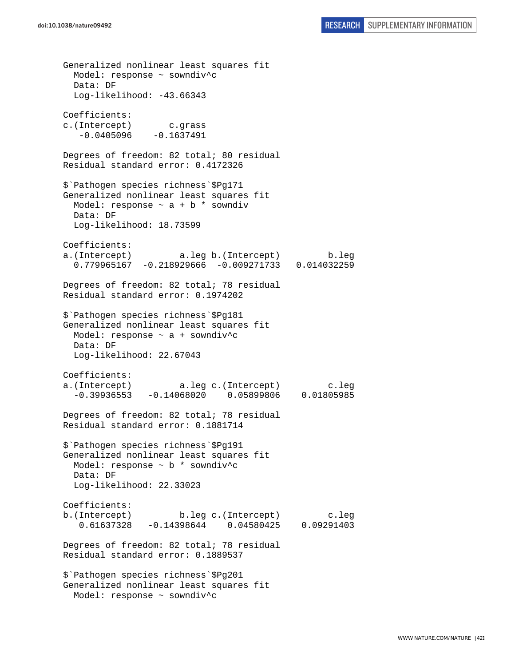Generalized nonlinear least squares fit Model: response ~ sowndiv^c Data: DF Log-likelihood: -43.66343 Coefficients: c.(Intercept) c.grass  $-0.0405096 -0.1637491$ Degrees of freedom: 82 total; 80 residual Residual standard error: 0.4172326 \$`Pathogen species richness`\$Pg171 Generalized nonlinear least squares fit Model: response  $\sim$  a + b  $*$  sowndiv Data: DF Log-likelihood: 18.73599 Coefficients: a.(Intercept) a.leg b.(Intercept) b.leg 0.779965167 -0.218929666 -0.009271733 0.014032259 Degrees of freedom: 82 total; 78 residual Residual standard error: 0.1974202 \$`Pathogen species richness`\$Pg181 Generalized nonlinear least squares fit Model: response ~ a + sowndiv^c Data: DF Log-likelihood: 22.67043 Coefficients: a.(Intercept) a.leg c.(Intercept) c.leg -0.39936553 -0.14068020 0.05899806 0.01805985 Degrees of freedom: 82 total; 78 residual Residual standard error: 0.1881714 \$`Pathogen species richness`\$Pg191 Generalized nonlinear least squares fit Model: response ~ b \* sowndiv^c Data: DF Log-likelihood: 22.33023 Coefficients: b.(Intercept) b.leg c.(Intercept) c.leg 0.61637328 -0.14398644 0.04580425 0.09291403 Degrees of freedom: 82 total; 78 residual Residual standard error: 0.1889537 \$`Pathogen species richness`\$Pg201 Generalized nonlinear least squares fit Model: response ~ sowndiv^c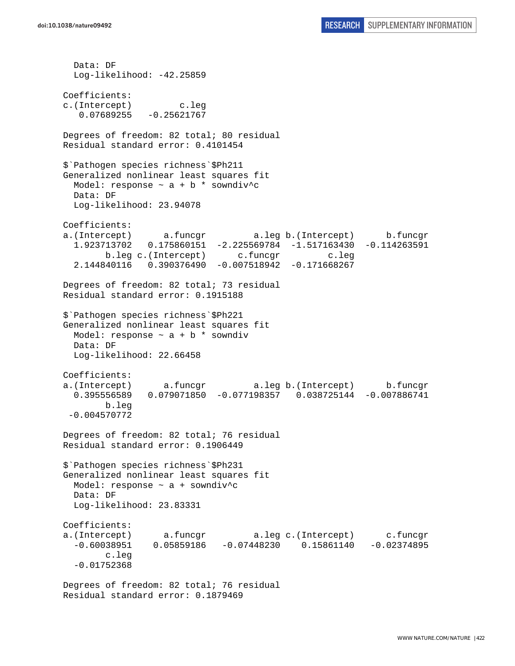Data: DF Log-likelihood: -42.25859 Coefficients: c.(Intercept) c.leg  $0.07689255 - 0.25621767$ Degrees of freedom: 82 total; 80 residual Residual standard error: 0.4101454 \$`Pathogen species richness`\$Ph211 Generalized nonlinear least squares fit Model: response  $\sim$  a + b \* sowndiv^c Data: DF Log-likelihood: 23.94078 Coefficients: a.(Intercept) a.funcgr a.leg b.(Intercept) b.funcgr 1.923713702 0.175860151 -2.225569784 -1.517163430 -0.114263591 b.leg c.(Intercept) c.funcgr c.leg 2.144840116 0.390376490 -0.007518942 -0.171668267 Degrees of freedom: 82 total; 73 residual Residual standard error: 0.1915188 \$`Pathogen species richness`\$Ph221 Generalized nonlinear least squares fit Model: response  $\sim$  a + b  $*$  sowndiv Data: DF Log-likelihood: 22.66458 Coefficients: a.(Intercept) a.funcgr a.leg b.(Intercept) b.funcgr 0.395556589 0.079071850 -0.077198357 0.038725144 -0.007886741 b.leg -0.004570772 Degrees of freedom: 82 total; 76 residual Residual standard error: 0.1906449 \$`Pathogen species richness`\$Ph231 Generalized nonlinear least squares fit Model: response ~ a + sowndiv^c Data: DF Log-likelihood: 23.83331 Coefficients: a.(Intercept) a.funcgr a.leg c.(Intercept) c.funcgr -0.60038951 0.05859186 -0.07448230 0.15861140 -0.02374895 c.leg -0.01752368 Degrees of freedom: 82 total; 76 residual

Residual standard error: 0.1879469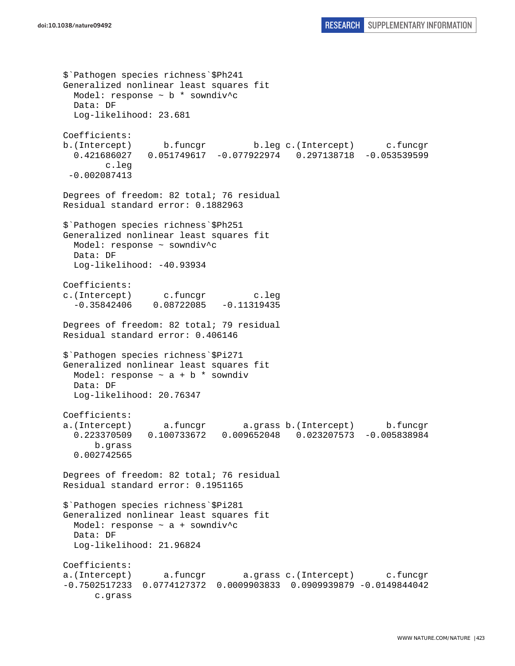```
$`Pathogen species richness`$Ph241 
Generalized nonlinear least squares fit 
 Model: response \sim b * sowndiv<sup>^</sup>c
  Data: DF 
   Log-likelihood: 23.681 
Coefficients: 
b.(Intercept) b.funcgr b.leg c.(Intercept) c.funcgr 
   0.421686027 0.051749617 -0.077922974 0.297138718 -0.053539599 
         c.leg 
  -0.002087413 
Degrees of freedom: 82 total; 76 residual 
Residual standard error: 0.1882963 
$`Pathogen species richness`$Ph251 
Generalized nonlinear least squares fit 
  Model: response ~ sowndiv^c 
  Data: DF 
 Log-likelihood: -40.93934
Coefficients: 
c.(Intercept) c.funcgr c.leg 
  -0.35842406 0.08722085 -0.11319435Degrees of freedom: 82 total; 79 residual 
Residual standard error: 0.406146 
$`Pathogen species richness`$Pi271 
Generalized nonlinear least squares fit 
 Model: response \sim a + b * sowndiv
   Data: DF 
   Log-likelihood: 20.76347 
Coefficients: 
a.(Intercept) a.funcgr a.grass b.(Intercept) b.funcgr 
   0.223370509 0.100733672 0.009652048 0.023207573 -0.005838984 
       b.grass 
   0.002742565 
Degrees of freedom: 82 total; 76 residual 
Residual standard error: 0.1951165 
$`Pathogen species richness`$Pi281 
Generalized nonlinear least squares fit 
 Model: response \sim a + sowndiv<sup>^</sup>c
  Data: DF 
   Log-likelihood: 21.96824 
Coefficients: 
a.(Intercept) a.funcgr a.grass c.(Intercept) c.funcgr 
-0.7502517233 0.0774127372 0.0009903833 0.0909939879 -0.0149844042 
       c.grass
```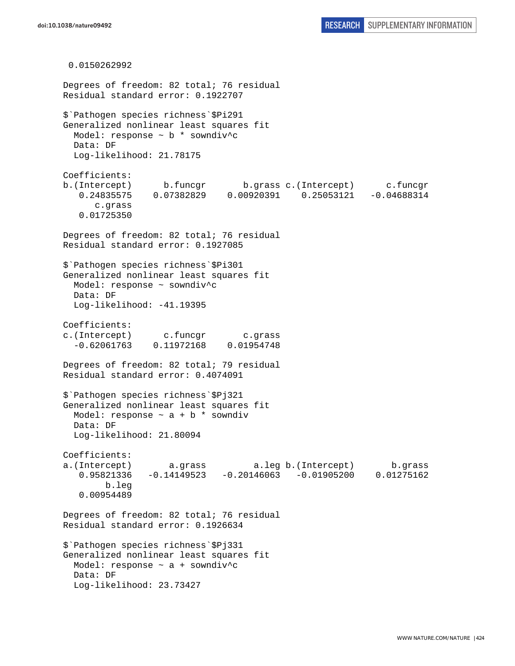0.0150262992 Degrees of freedom: 82 total; 76 residual Residual standard error: 0.1922707 \$`Pathogen species richness`\$Pi291 Generalized nonlinear least squares fit Model: response  $\sim$  b  $*$  sowndiv<sup>^</sup>c Data: DF Log-likelihood: 21.78175 Coefficients: b.(Intercept) b.funcgr b.grass c.(Intercept) c.funcgr 0.24835575 0.07382829 0.00920391 0.25053121 -0.04688314 c.grass 0.01725350 Degrees of freedom: 82 total; 76 residual Residual standard error: 0.1927085 \$`Pathogen species richness`\$Pi301 Generalized nonlinear least squares fit Model: response ~ sowndiv^c Data: DF Log-likelihood: -41.19395 Coefficients: c.(Intercept) c.funcgr c.grass -0.62061763 0.11972168 0.01954748 Degrees of freedom: 82 total; 79 residual Residual standard error: 0.4074091 \$`Pathogen species richness`\$Pj321 Generalized nonlinear least squares fit Model: response  $\sim$  a + b  $*$  sowndiv Data: DF Log-likelihood: 21.80094 Coefficients: a.(Intercept) a.grass a.leg b.(Intercept) b.grass 0.95821336 -0.14149523 -0.20146063 -0.01905200 0.01275162 b.leg 0.00954489 Degrees of freedom: 82 total; 76 residual Residual standard error: 0.1926634 \$`Pathogen species richness`\$Pj331 Generalized nonlinear least squares fit Model: response  $\sim$  a + sowndiv<sup>^</sup>c Data: DF Log-likelihood: 23.73427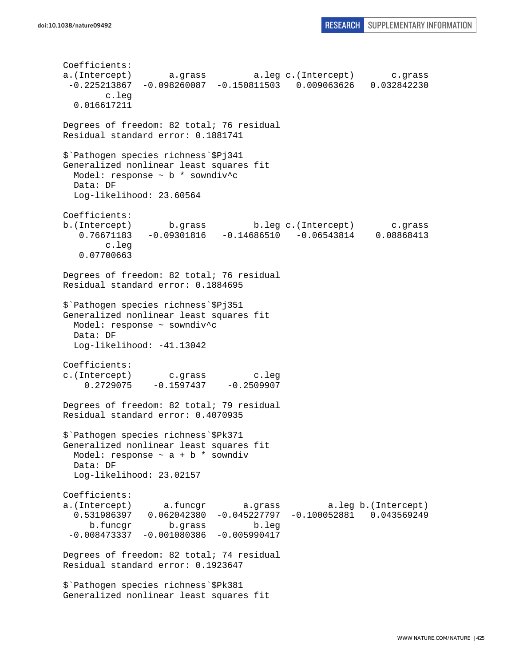Coefficients: a.(Intercept) a.grass a.leg c.(Intercept) c.grass -0.225213867 -0.098260087 -0.150811503 0.009063626 0.032842230 c.leg 0.016617211 Degrees of freedom: 82 total; 76 residual Residual standard error: 0.1881741 \$`Pathogen species richness`\$Pj341 Generalized nonlinear least squares fit Model: response ~ b \* sowndiv^c Data: DF Log-likelihood: 23.60564 Coefficients: b.(Intercept) b.grass b.leg c.(Intercept) c.grass 0.76671183 -0.09301816 -0.14686510 -0.06543814 0.08868413 c.leg 0.07700663 Degrees of freedom: 82 total; 76 residual Residual standard error: 0.1884695 \$`Pathogen species richness`\$Pj351 Generalized nonlinear least squares fit Model: response ~ sowndiv^c Data: DF Log-likelihood: -41.13042 Coefficients: c.(Intercept) c.grass c.leg  $0.2729075 -0.1597437 -0.2509907$ Degrees of freedom: 82 total; 79 residual Residual standard error: 0.4070935 \$`Pathogen species richness`\$Pk371 Generalized nonlinear least squares fit Model: response  $\sim$  a + b \* sowndiv Data: DF Log-likelihood: 23.02157 Coefficients: a.(Intercept) a.funcgr a.grass a.leg b.(Intercept) 0.531986397 0.062042380 -0.045227797 -0.100052881 0.043569249 b.funcgr b.grass b.leg -0.008473337 -0.001080386 -0.005990417 Degrees of freedom: 82 total; 74 residual Residual standard error: 0.1923647 \$`Pathogen species richness`\$Pk381 Generalized nonlinear least squares fit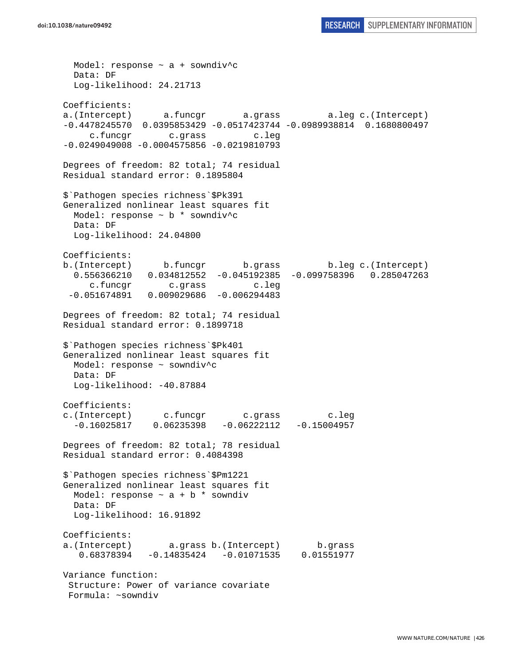Model: response ~ a + sowndiv^c Data: DF Log-likelihood: 24.21713 Coefficients: a.(Intercept) a.funcgr a.grass a.leg c.(Intercept) -0.4478245570 0.0395853429 -0.0517423744 -0.0989938814 0.1680800497 c.funcgr c.grass c.leg -0.0249049008 -0.0004575856 -0.0219810793 Degrees of freedom: 82 total; 74 residual Residual standard error: 0.1895804 \$`Pathogen species richness`\$Pk391 Generalized nonlinear least squares fit Model: response ~ b \* sowndiv^c Data: DF Log-likelihood: 24.04800 Coefficients: b.(Intercept) b.funcgr b.grass b.leg c.(Intercept) 0.556366210 0.034812552 -0.045192385 -0.099758396 0.285047263 c.funcgr c.grass c.leg -0.051674891 0.009029686 -0.006294483 Degrees of freedom: 82 total; 74 residual Residual standard error: 0.1899718 \$`Pathogen species richness`\$Pk401 Generalized nonlinear least squares fit Model: response ~ sowndiv^c Data: DF Log-likelihood: -40.87884 Coefficients: c.(Intercept) c.funcgr c.grass c.leg -0.16025817 0.06235398 -0.06222112 -0.15004957 Degrees of freedom: 82 total; 78 residual Residual standard error: 0.4084398 \$`Pathogen species richness`\$Pm1221 Generalized nonlinear least squares fit Model: response  $\sim$  a + b  $*$  sowndiv Data: DF Log-likelihood: 16.91892 Coefficients: a.(Intercept) a.grass b.(Intercept) b.grass 0.68378394 -0.14835424 -0.01071535 0.01551977 Variance function: Structure: Power of variance covariate Formula: ~sowndiv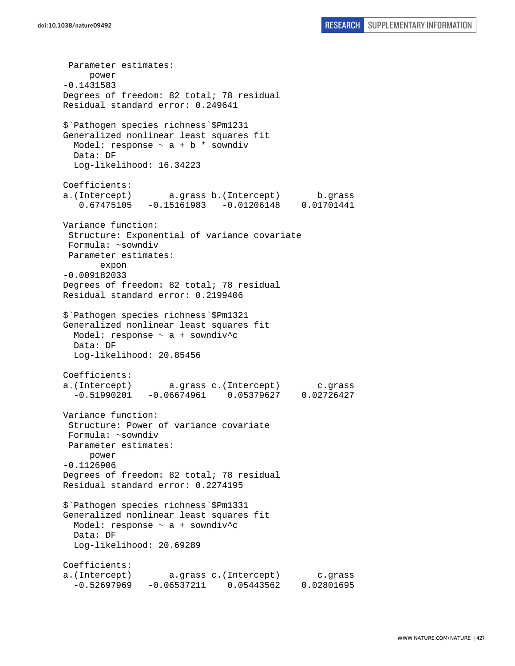Parameter estimates: power -0.1431583 Degrees of freedom: 82 total; 78 residual Residual standard error: 0.249641 \$`Pathogen species richness`\$Pm1231 Generalized nonlinear least squares fit Model: response  $\sim$  a + b \* sowndiv Data: DF Log-likelihood: 16.34223 Coefficients: a.(Intercept) a.grass b.(Intercept) b.grass 0.67475105 -0.15161983 -0.01206148 0.01701441 Variance function: Structure: Exponential of variance covariate Formula: ~sowndiv Parameter estimates: expon -0.009182033 Degrees of freedom: 82 total; 78 residual Residual standard error: 0.2199406 \$`Pathogen species richness`\$Pm1321 Generalized nonlinear least squares fit Model: response ~ a + sowndiv^c Data: DF Log-likelihood: 20.85456 Coefficients: a.(Intercept) a.grass c.(Intercept) c.grass -0.51990201 -0.06674961 0.05379627 0.02726427 Variance function: Structure: Power of variance covariate Formula: ~sowndiv Parameter estimates: power -0.1126906 Degrees of freedom: 82 total; 78 residual Residual standard error: 0.2274195 \$`Pathogen species richness`\$Pm1331 Generalized nonlinear least squares fit Model: response  $\sim$  a + sowndiv<sup>^</sup>c Data: DF Log-likelihood: 20.69289 Coefficients: a.(Intercept) a.grass c.(Intercept) c.grass -0.52697969 -0.06537211 0.05443562 0.02801695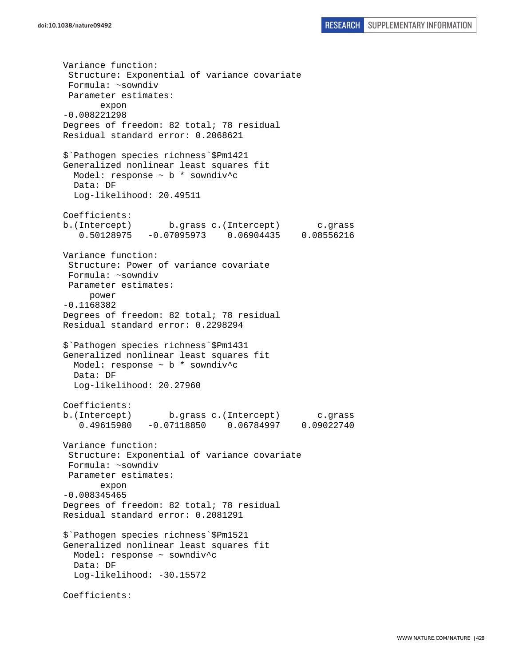Variance function: Structure: Exponential of variance covariate Formula: ~sowndiv Parameter estimates: expon -0.008221298 Degrees of freedom: 82 total; 78 residual Residual standard error: 0.2068621 \$`Pathogen species richness`\$Pm1421 Generalized nonlinear least squares fit Model: response ~ b \* sowndiv^c Data: DF Log-likelihood: 20.49511 Coefficients: b.(Intercept) b.grass c.(Intercept) c.grass 0.50128975 -0.07095973 0.06904435 0.08556216 Variance function: Structure: Power of variance covariate Formula: ~sowndiv Parameter estimates: power -0.1168382 Degrees of freedom: 82 total; 78 residual Residual standard error: 0.2298294 \$`Pathogen species richness`\$Pm1431 Generalized nonlinear least squares fit Model: response ~ b \* sowndiv^c Data: DF Log-likelihood: 20.27960 Coefficients: b.(Intercept) b.grass c.(Intercept) c.grass 0.49615980 -0.07118850 0.06784997 0.09022740 Variance function: Structure: Exponential of variance covariate Formula: ~sowndiv Parameter estimates: expon -0.008345465 Degrees of freedom: 82 total; 78 residual Residual standard error: 0.2081291 \$`Pathogen species richness`\$Pm1521 Generalized nonlinear least squares fit Model: response ~ sowndiv^c Data: DF Log-likelihood: -30.15572 Coefficients: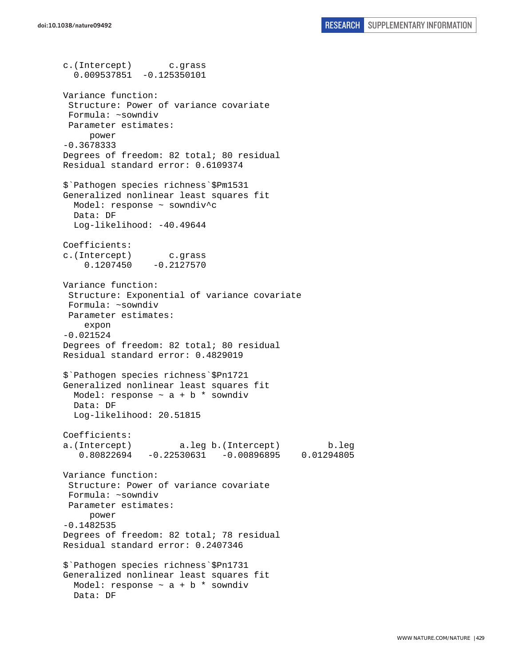c.(Intercept) c.grass 0.009537851 -0.125350101 Variance function: Structure: Power of variance covariate Formula: ~sowndiv Parameter estimates: power -0.3678333 Degrees of freedom: 82 total; 80 residual Residual standard error: 0.6109374 \$`Pathogen species richness`\$Pm1531 Generalized nonlinear least squares fit Model: response ~ sowndiv^c Data: DF Log-likelihood: -40.49644 Coefficients: c.(Intercept) c.grass  $0.1207450 -0.2127570$ Variance function: Structure: Exponential of variance covariate Formula: ~sowndiv Parameter estimates: expon -0.021524 Degrees of freedom: 82 total; 80 residual Residual standard error: 0.4829019 \$`Pathogen species richness`\$Pn1721 Generalized nonlinear least squares fit Model: response  $\sim$  a + b  $*$  sowndiv Data: DF Log-likelihood: 20.51815 Coefficients: a.(Intercept) a.leg b.(Intercept) b.leg 0.80822694 -0.22530631 -0.00896895 0.01294805 Variance function: Structure: Power of variance covariate Formula: ~sowndiv Parameter estimates: power -0.1482535 Degrees of freedom: 82 total; 78 residual Residual standard error: 0.2407346 \$`Pathogen species richness`\$Pn1731 Generalized nonlinear least squares fit Model: response  $\sim$  a + b \* sowndiv Data: DF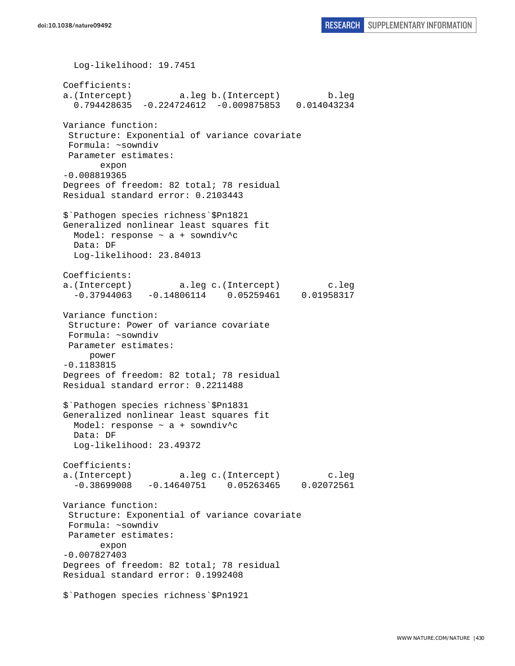Log-likelihood: 19.7451 Coefficients: a.(Intercept) a.leg b.(Intercept) b.leg 0.794428635 -0.224724612 -0.009875853 0.014043234 Variance function: Structure: Exponential of variance covariate Formula: ~sowndiv Parameter estimates: expon -0.008819365 Degrees of freedom: 82 total; 78 residual Residual standard error: 0.2103443 \$`Pathogen species richness`\$Pn1821 Generalized nonlinear least squares fit Model: response  $\sim$  a + sowndiv<sup>^</sup>c Data: DF Log-likelihood: 23.84013 Coefficients: a.(Intercept) a.leg c.(Intercept) c.leg -0.37944063 -0.14806114 0.05259461 0.01958317 Variance function: Structure: Power of variance covariate Formula: ~sowndiv Parameter estimates: power -0.1183815 Degrees of freedom: 82 total; 78 residual Residual standard error: 0.2211488 \$`Pathogen species richness`\$Pn1831 Generalized nonlinear least squares fit Model: response ~ a + sowndiv^c Data: DF Log-likelihood: 23.49372 Coefficients: a.(Intercept) a.leg c.(Intercept) c.leg -0.38699008 -0.14640751 0.05263465 0.02072561 Variance function: Structure: Exponential of variance covariate Formula: ~sowndiv Parameter estimates: expon -0.007827403 Degrees of freedom: 82 total; 78 residual Residual standard error: 0.1992408 \$`Pathogen species richness`\$Pn1921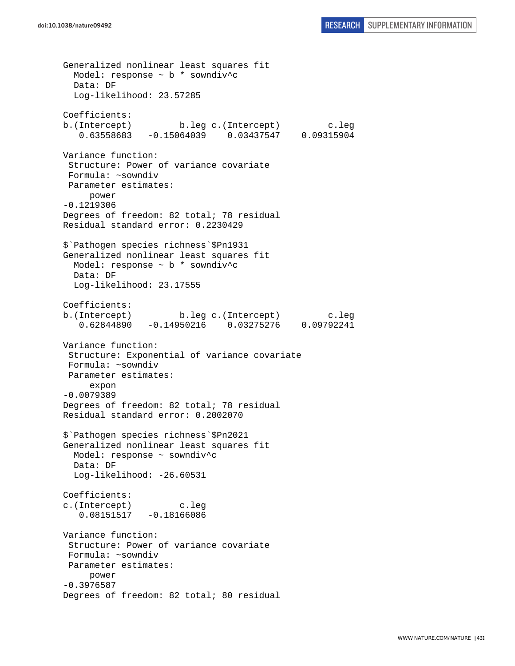Generalized nonlinear least squares fit Model: response  $\sim$  b  $*$  sowndiv<sup>^</sup>c Data: DF Log-likelihood: 23.57285 Coefficients: b.(Intercept) b.leg c.(Intercept) c.leg 0.63558683 -0.15064039 0.03437547 0.09315904 Variance function: Structure: Power of variance covariate Formula: ~sowndiv Parameter estimates: power -0.1219306 Degrees of freedom: 82 total; 78 residual Residual standard error: 0.2230429 \$`Pathogen species richness`\$Pn1931 Generalized nonlinear least squares fit Model: response ~ b \* sowndiv^c Data: DF Log-likelihood: 23.17555 Coefficients: b.(Intercept) b.leg c.(Intercept) c.leg 0.62844890 -0.14950216 0.03275276 0.09792241 Variance function: Structure: Exponential of variance covariate Formula: ~sowndiv Parameter estimates: expon -0.0079389 Degrees of freedom: 82 total; 78 residual Residual standard error: 0.2002070 \$`Pathogen species richness`\$Pn2021 Generalized nonlinear least squares fit Model: response ~ sowndiv^c Data: DF Log-likelihood: -26.60531 Coefficients: c.(Intercept) c.leg 0.08151517 -0.18166086 Variance function: Structure: Power of variance covariate Formula: ~sowndiv Parameter estimates: power -0.3976587 Degrees of freedom: 82 total; 80 residual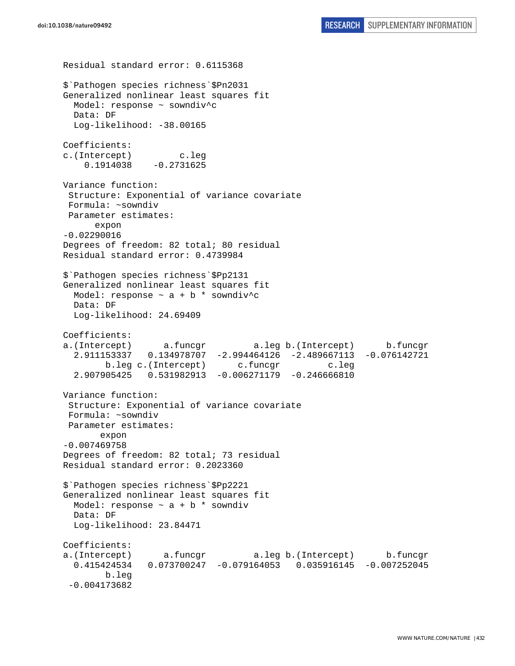```
Residual standard error: 0.6115368 
$`Pathogen species richness`$Pn2031 
Generalized nonlinear least squares fit 
  Model: response ~ sowndiv^c 
   Data: DF 
   Log-likelihood: -38.00165 
Coefficients: 
c.(Intercept) c.leg 
    0.1914038 - 0.2731625Variance function: 
  Structure: Exponential of variance covariate 
 Formula: ~sowndiv 
 Parameter estimates: 
       expon 
-0.02290016 
Degrees of freedom: 82 total; 80 residual 
Residual standard error: 0.4739984 
$`Pathogen species richness`$Pp2131 
Generalized nonlinear least squares fit 
 Model: response \sim a + b * sowndiv^c
  Data: DF 
  Log-likelihood: 24.69409 
Coefficients: 
a.(Intercept) a.funcgr a.leg b.(Intercept) b.funcgr 
   2.911153337 0.134978707 -2.994464126 -2.489667113 -0.076142721 
        b.leg c.(Intercept) c.funcgr c.leg
   2.907905425 0.531982913 -0.006271179 -0.246666810 
Variance function: 
  Structure: Exponential of variance covariate 
 Formula: ~sowndiv 
 Parameter estimates: 
        expon 
-0.007469758 
Degrees of freedom: 82 total; 73 residual 
Residual standard error: 0.2023360 
$`Pathogen species richness`$Pp2221 
Generalized nonlinear least squares fit 
  Model: response \sim a + b * sowndiv
  Data: DF 
  Log-likelihood: 23.84471 
Coefficients: 
a.(Intercept) a.funcgr a.leg b.(Intercept) b.funcgr 
   0.415424534 0.073700247 -0.079164053 0.035916145 -0.007252045 
        b.leg 
  -0.004173682
```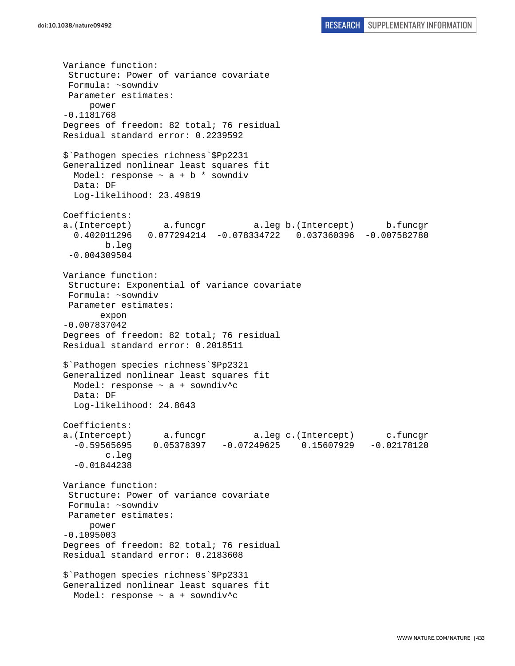Variance function: Structure: Power of variance covariate Formula: ~sowndiv Parameter estimates: power -0.1181768 Degrees of freedom: 82 total; 76 residual Residual standard error: 0.2239592 \$`Pathogen species richness`\$Pp2231 Generalized nonlinear least squares fit Model: response  $\sim$  a + b \* sowndiv Data: DF Log-likelihood: 23.49819 Coefficients: a.(Intercept) a.funcgr a.leg b.(Intercept) b.funcgr 0.402011296 0.077294214 -0.078334722 0.037360396 -0.007582780 b.leg -0.004309504 Variance function: Structure: Exponential of variance covariate Formula: ~sowndiv Parameter estimates: expon -0.007837042 Degrees of freedom: 82 total; 76 residual Residual standard error: 0.2018511 \$`Pathogen species richness`\$Pp2321 Generalized nonlinear least squares fit Model: response ~ a + sowndiv^c Data: DF Log-likelihood: 24.8643 Coefficients: a.(Intercept) a.funcgr a.leg c.(Intercept) c.funcgr -0.59565695 0.05378397 -0.07249625 0.15607929 -0.02178120 c.leg -0.01844238 Variance function: Structure: Power of variance covariate Formula: ~sowndiv Parameter estimates: power -0.1095003 Degrees of freedom: 82 total; 76 residual Residual standard error: 0.2183608 \$`Pathogen species richness`\$Pp2331 Generalized nonlinear least squares fit Model: response  $\sim$  a + sowndiv<sup>^</sup>c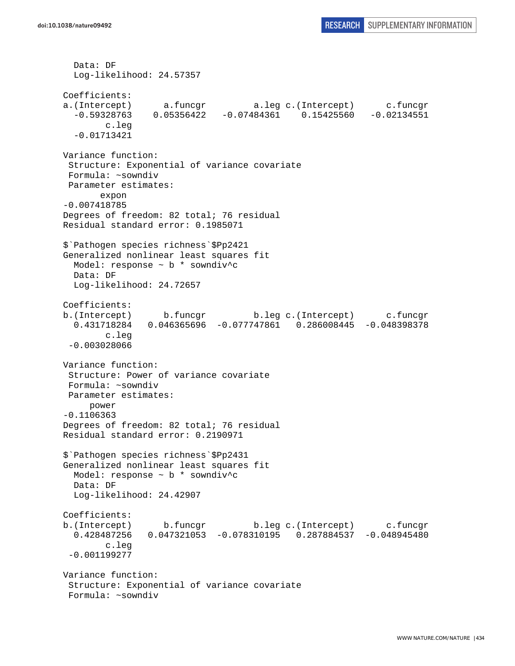```
 Data: DF 
   Log-likelihood: 24.57357 
Coefficients: 
a.(Intercept) a.funcgr a.leg c.(Intercept) c.funcgr 
   -0.59328763 0.05356422 -0.07484361 0.15425560 -0.02134551 
         c.leg 
   -0.01713421 
Variance function: 
  Structure: Exponential of variance covariate 
 Formula: ~sowndiv 
 Parameter estimates: 
        expon 
-0.007418785 
Degrees of freedom: 82 total; 76 residual 
Residual standard error: 0.1985071 
$`Pathogen species richness`$Pp2421 
Generalized nonlinear least squares fit 
  Model: response ~ b * sowndiv^c 
  Data: DF 
  Log-likelihood: 24.72657 
Coefficients: 
b.(Intercept) b.funcgr b.leg c.(Intercept) c.funcgr 
   0.431718284 0.046365696 -0.077747861 0.286008445 -0.048398378 
         c.leg 
  -0.003028066 
Variance function: 
  Structure: Power of variance covariate 
 Formula: ~sowndiv 
 Parameter estimates: 
     power 
-0.1106363 
Degrees of freedom: 82 total; 76 residual 
Residual standard error: 0.2190971 
$`Pathogen species richness`$Pp2431 
Generalized nonlinear least squares fit 
  Model: response ~ b * sowndiv^c 
  Data: DF 
  Log-likelihood: 24.42907 
Coefficients: 
b.(Intercept) b.funcgr b.leg c.(Intercept) c.funcgr 
   0.428487256 0.047321053 -0.078310195 0.287884537 -0.048945480 
         c.leg 
  -0.001199277 
Variance function: 
  Structure: Exponential of variance covariate 
  Formula: ~sowndiv
```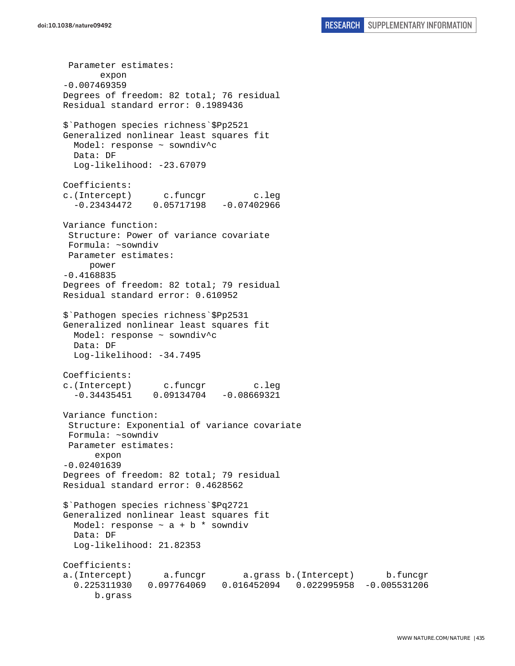Parameter estimates: expon -0.007469359 Degrees of freedom: 82 total; 76 residual Residual standard error: 0.1989436 \$`Pathogen species richness`\$Pp2521 Generalized nonlinear least squares fit Model: response ~ sowndiv^c Data: DF Log-likelihood: -23.67079 Coefficients: c.(Intercept) c.funcgr c.leg -0.23434472 0.05717198 -0.07402966 Variance function: Structure: Power of variance covariate Formula: ~sowndiv Parameter estimates: power -0.4168835 Degrees of freedom: 82 total; 79 residual Residual standard error: 0.610952 \$`Pathogen species richness`\$Pp2531 Generalized nonlinear least squares fit Model: response ~ sowndiv^c Data: DF Log-likelihood: -34.7495 Coefficients: c.(Intercept) c.funcgr c.leg -0.34435451 0.09134704 -0.08669321 Variance function: Structure: Exponential of variance covariate Formula: ~sowndiv Parameter estimates: expon -0.02401639 Degrees of freedom: 82 total; 79 residual Residual standard error: 0.4628562 \$`Pathogen species richness`\$Pq2721 Generalized nonlinear least squares fit Model: response  $\sim$  a + b  $*$  sowndiv Data: DF Log-likelihood: 21.82353 Coefficients: a.(Intercept) a.funcgr a.grass b.(Intercept) b.funcgr 0.225311930 0.097764069 0.016452094 0.022995958 -0.005531206 b.grass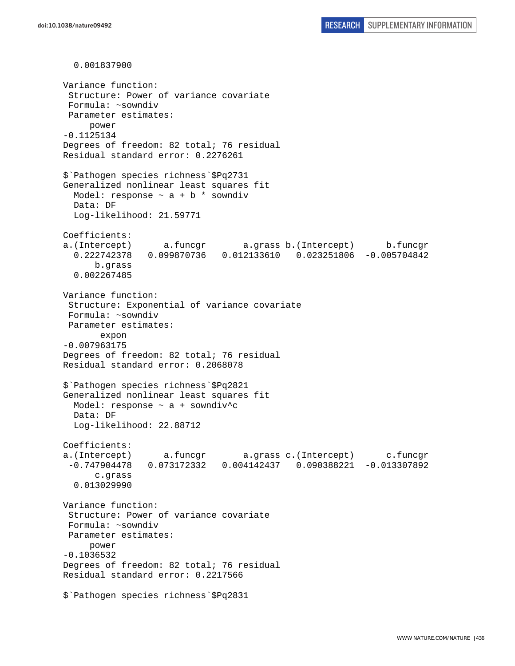0.001837900 Variance function: Structure: Power of variance covariate Formula: ~sowndiv Parameter estimates: power -0.1125134 Degrees of freedom: 82 total; 76 residual Residual standard error: 0.2276261 \$`Pathogen species richness`\$Pq2731 Generalized nonlinear least squares fit Model: response  $\sim$  a + b \* sowndiv Data: DF Log-likelihood: 21.59771 Coefficients: a.(Intercept) a.funcgr a.grass b.(Intercept) b.funcgr 0.222742378 0.099870736 0.012133610 0.023251806 -0.005704842 b.grass 0.002267485 Variance function: Structure: Exponential of variance covariate Formula: ~sowndiv Parameter estimates: expon -0.007963175 Degrees of freedom: 82 total; 76 residual Residual standard error: 0.2068078 \$`Pathogen species richness`\$Pq2821 Generalized nonlinear least squares fit Model: response  $\sim$  a + sowndiv<sup>^</sup>c Data: DF Log-likelihood: 22.88712 Coefficients: a.(Intercept) a.funcgr a.grass c.(Intercept) c.funcgr -0.747904478 0.073172332 0.004142437 0.090388221 -0.013307892 c.grass 0.013029990 Variance function: Structure: Power of variance covariate Formula: ~sowndiv Parameter estimates: power -0.1036532 Degrees of freedom: 82 total; 76 residual Residual standard error: 0.2217566 \$`Pathogen species richness`\$Pq2831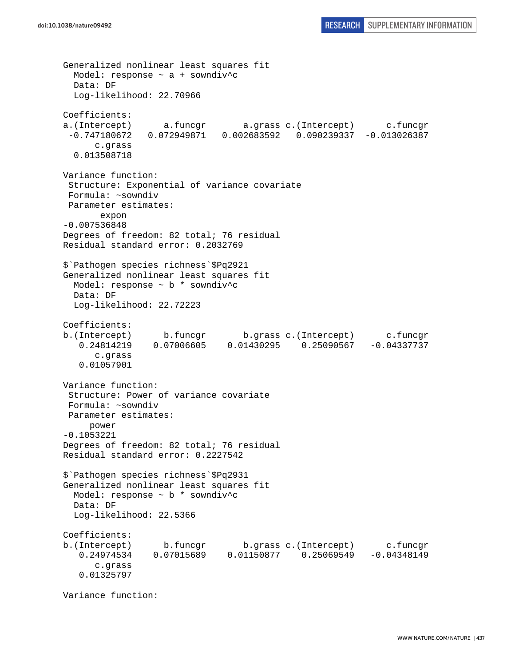```
Generalized nonlinear least squares fit 
 Model: response \sim a + sowndiv<sup>^</sup>c
  Data: DF 
   Log-likelihood: 22.70966 
Coefficients: 
a.(Intercept) a.funcgr a.grass c.(Intercept) c.funcgr 
  -0.747180672 0.072949871 0.002683592 0.090239337 -0.013026387 
       c.grass 
   0.013508718 
Variance function: 
  Structure: Exponential of variance covariate 
  Formula: ~sowndiv 
 Parameter estimates: 
        expon 
-0.007536848 
Degrees of freedom: 82 total; 76 residual 
Residual standard error: 0.2032769 
$`Pathogen species richness`$Pq2921 
Generalized nonlinear least squares fit 
  Model: response ~ b * sowndiv^c 
  Data: DF 
   Log-likelihood: 22.72223 
Coefficients: 
b.(Intercept) b.funcgr b.grass c.(Intercept) c.funcgr 
    0.24814219 0.07006605 0.01430295 0.25090567 -0.04337737 
       c.grass 
    0.01057901 
Variance function: 
  Structure: Power of variance covariate 
 Formula: ~sowndiv 
 Parameter estimates: 
     power 
-0.1053221 
Degrees of freedom: 82 total; 76 residual 
Residual standard error: 0.2227542 
$`Pathogen species richness`$Pq2931 
Generalized nonlinear least squares fit 
  Model: response ~ b * sowndiv^c 
   Data: DF 
   Log-likelihood: 22.5366 
Coefficients: 
b.(Intercept) b.funcgr b.grass c.(Intercept) c.funcgr 
    0.24974534 0.07015689 0.01150877 0.25069549 -0.04348149 
       c.grass 
    0.01325797
```
Variance function: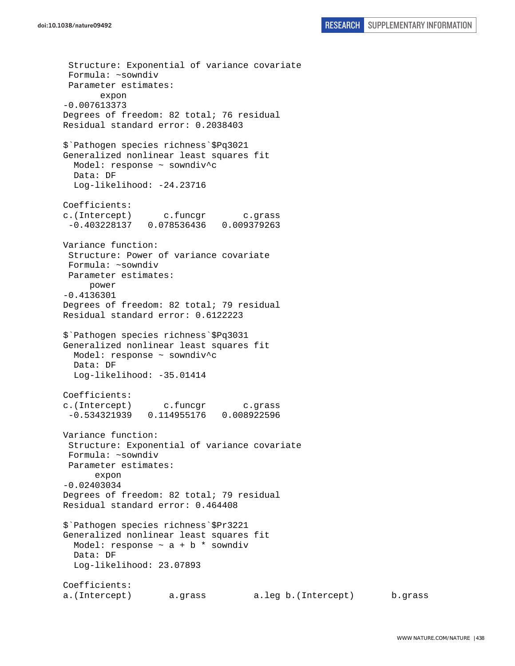Structure: Exponential of variance covariate Formula: ~sowndiv Parameter estimates: expon -0.007613373 Degrees of freedom: 82 total; 76 residual Residual standard error: 0.2038403 \$`Pathogen species richness`\$Pq3021 Generalized nonlinear least squares fit Model: response ~ sowndiv^c Data: DF Log-likelihood: -24.23716 Coefficients: c.(Intercept) c.funcgr c.grass -0.403228137 0.078536436 0.009379263 Variance function: Structure: Power of variance covariate Formula: ~sowndiv Parameter estimates: power -0.4136301 Degrees of freedom: 82 total; 79 residual Residual standard error: 0.6122223 \$`Pathogen species richness`\$Pq3031 Generalized nonlinear least squares fit Model: response ~ sowndiv^c Data: DF Log-likelihood: -35.01414 Coefficients: c.(Intercept) c.funcgr c.grass -0.534321939 0.114955176 0.008922596 Variance function: Structure: Exponential of variance covariate Formula: ~sowndiv Parameter estimates: expon -0.02403034 Degrees of freedom: 82 total; 79 residual Residual standard error: 0.464408 \$`Pathogen species richness`\$Pr3221 Generalized nonlinear least squares fit Model: response  $\sim$  a + b \* sowndiv Data: DF Log-likelihood: 23.07893 Coefficients: a.(Intercept) a.grass a.leg b.(Intercept) b.grass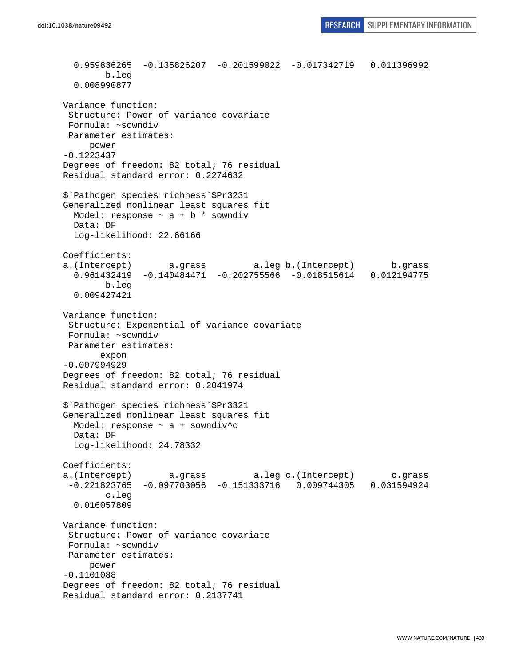0.959836265 -0.135826207 -0.201599022 -0.017342719 0.011396992 b.leg 0.008990877 Variance function: Structure: Power of variance covariate Formula: ~sowndiv Parameter estimates: power -0.1223437 Degrees of freedom: 82 total; 76 residual Residual standard error: 0.2274632 \$`Pathogen species richness`\$Pr3231 Generalized nonlinear least squares fit Model: response  $\sim$  a + b \* sowndiv Data: DF Log-likelihood: 22.66166 Coefficients: a.(Intercept) a.grass a.leg b.(Intercept) b.grass 0.961432419 -0.140484471 -0.202755566 -0.018515614 0.012194775 b.leg 0.009427421 Variance function: Structure: Exponential of variance covariate Formula: ~sowndiv Parameter estimates: expon -0.007994929 Degrees of freedom: 82 total; 76 residual Residual standard error: 0.2041974 \$`Pathogen species richness`\$Pr3321 Generalized nonlinear least squares fit Model: response ~ a + sowndiv^c Data: DF Log-likelihood: 24.78332 Coefficients: a.(Intercept) a.grass a.leg c.(Intercept) c.grass -0.221823765 -0.097703056 -0.151333716 0.009744305 0.031594924 c.leg 0.016057809 Variance function: Structure: Power of variance covariate Formula: ~sowndiv Parameter estimates: power -0.1101088 Degrees of freedom: 82 total; 76 residual Residual standard error: 0.2187741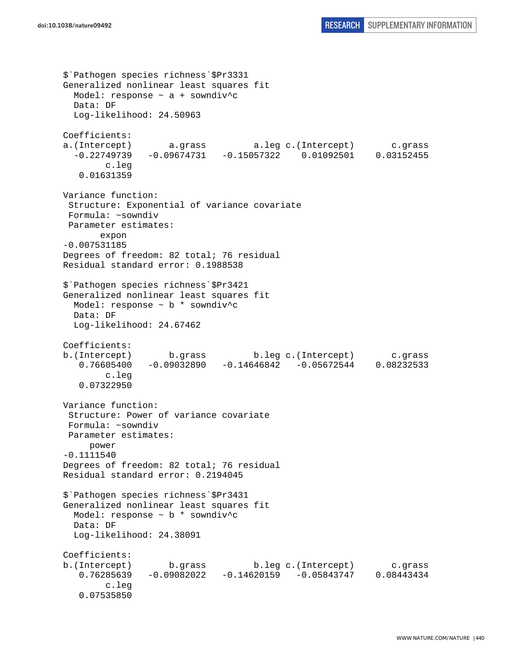```
$`Pathogen species richness`$Pr3331 
Generalized nonlinear least squares fit 
 Model: response \sim a + sowndiv<sup>^</sup>c
  Data: DF 
   Log-likelihood: 24.50963 
Coefficients: 
a.(Intercept) a.grass a.leg c.(Intercept) c.grass 
   -0.22749739 -0.09674731 -0.15057322 0.01092501 0.03152455 
         c.leg 
    0.01631359 
Variance function: 
  Structure: Exponential of variance covariate 
 Formula: ~sowndiv 
 Parameter estimates: 
        expon 
-0.007531185 
Degrees of freedom: 82 total; 76 residual 
Residual standard error: 0.1988538 
$`Pathogen species richness`$Pr3421 
Generalized nonlinear least squares fit 
   Model: response ~ b * sowndiv^c 
   Data: DF 
   Log-likelihood: 24.67462 
Coefficients: 
b.(Intercept) b.grass b.leg c.(Intercept) c.grass 
    0.76605400 -0.09032890 -0.14646842 -0.05672544 0.08232533 
         c.leg 
    0.07322950 
Variance function: 
  Structure: Power of variance covariate 
  Formula: ~sowndiv 
 Parameter estimates: 
     power 
-0.1111540 
Degrees of freedom: 82 total; 76 residual 
Residual standard error: 0.2194045 
$`Pathogen species richness`$Pr3431 
Generalized nonlinear least squares fit 
  Model: response ~ b * sowndiv^c 
  Data: DF 
   Log-likelihood: 24.38091 
Coefficients: 
b.(Intercept) b.grass b.leg c.(Intercept) c.grass 
    0.76285639 -0.09082022 -0.14620159 -0.05843747 0.08443434 
         c.leg 
    0.07535850
```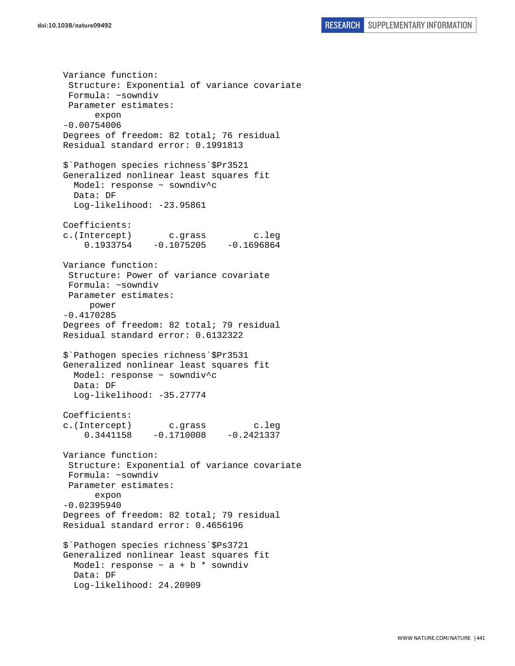Variance function: Structure: Exponential of variance covariate Formula: ~sowndiv Parameter estimates: expon -0.00754006 Degrees of freedom: 82 total; 76 residual Residual standard error: 0.1991813 \$`Pathogen species richness`\$Pr3521 Generalized nonlinear least squares fit Model: response ~ sowndiv^c Data: DF Log-likelihood: -23.95861 Coefficients: c.(Intercept) c.grass c.leg  $0.1933754 -0.1075205 -0.1696864$ Variance function: Structure: Power of variance covariate Formula: ~sowndiv Parameter estimates: power -0.4170285 Degrees of freedom: 82 total; 79 residual Residual standard error: 0.6132322 \$`Pathogen species richness`\$Pr3531 Generalized nonlinear least squares fit Model: response ~ sowndiv^c Data: DF Log-likelihood: -35.27774 Coefficients: c.(Intercept) c.grass c.leg 0.3441158 -0.1710008 -0.2421337 Variance function: Structure: Exponential of variance covariate Formula: ~sowndiv Parameter estimates: expon -0.02395940 Degrees of freedom: 82 total; 79 residual Residual standard error: 0.4656196 \$`Pathogen species richness`\$Ps3721 Generalized nonlinear least squares fit Model: response  $\sim$  a + b  $*$  sowndiv Data: DF Log-likelihood: 24.20909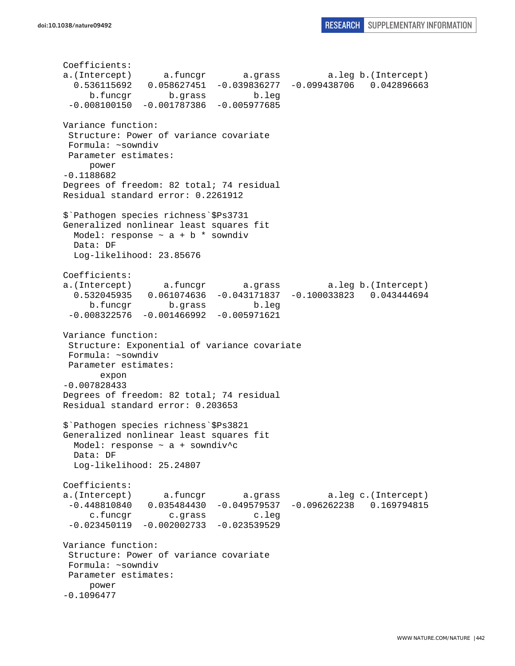```
Coefficients: 
a.(Intercept) a.funcgr a.grass a.leg b.(Intercept) 
   0.536115692 0.058627451 -0.039836277 -0.099438706 0.042896663 
     b.funcgr b.grass b.leg 
  -0.008100150 -0.001787386 -0.005977685 
Variance function: 
  Structure: Power of variance covariate 
 Formula: ~sowndiv 
 Parameter estimates: 
     power 
-0.1188682 
Degrees of freedom: 82 total; 74 residual 
Residual standard error: 0.2261912 
$`Pathogen species richness`$Ps3731 
Generalized nonlinear least squares fit 
 Model: response \sim a + b * sowndiv
  Data: DF 
  Log-likelihood: 23.85676 
Coefficients: 
a.(Intercept) a.funcgr a.grass a.leg b.(Intercept) 
   0.532045935 0.061074636 -0.043171837 -0.100033823 0.043444694 
      b.funcgr b.grass b.leg 
  -0.008322576 -0.001466992 -0.005971621 
Variance function: 
  Structure: Exponential of variance covariate 
 Formula: ~sowndiv 
 Parameter estimates: 
       expon 
-0.007828433 
Degrees of freedom: 82 total; 74 residual 
Residual standard error: 0.203653 
$`Pathogen species richness`$Ps3821 
Generalized nonlinear least squares fit 
  Model: response ~ a + sowndiv^c 
  Data: DF 
  Log-likelihood: 25.24807 
Coefficients: 
a.(Intercept) a.funcgr a.grass a.leg c.(Intercept) 
  -0.448810840 0.035484430 -0.049579537 -0.096262238 0.169794815 
      c.funcgr c.grass c.leg 
 -0.023450119 - 0.002002733 - 0.023539529Variance function: 
  Structure: Power of variance covariate 
 Formula: ~sowndiv 
 Parameter estimates: 
     power 
-0.1096477
```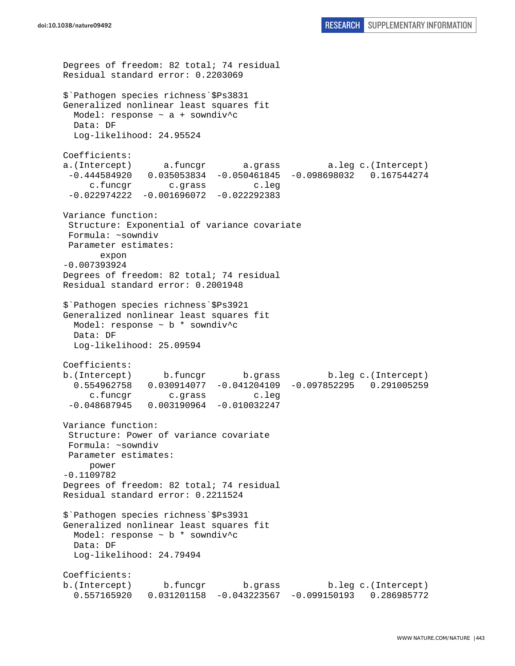```
Degrees of freedom: 82 total; 74 residual 
Residual standard error: 0.2203069 
$`Pathogen species richness`$Ps3831 
Generalized nonlinear least squares fit 
  Model: response \sim a + sowndiv<sup>^</sup>c
  Data: DF 
  Log-likelihood: 24.95524 
Coefficients: 
a.(Intercept) a.funcgr a.grass a.leg c.(Intercept) 
  -0.444584920 0.035053834 -0.050461845 -0.098698032 0.167544274 
      c.funcgr c.grass c.leg 
  -0.022974222 -0.001696072 -0.022292383 
Variance function: 
  Structure: Exponential of variance covariate 
 Formula: ~sowndiv 
 Parameter estimates: 
        expon 
-0.007393924 
Degrees of freedom: 82 total; 74 residual 
Residual standard error: 0.2001948 
$`Pathogen species richness`$Ps3921 
Generalized nonlinear least squares fit 
 Model: response \sim b * sowndiv<sup>^</sup>c
  Data: DF 
   Log-likelihood: 25.09594 
Coefficients: 
b.(Intercept) b.funcgr b.grass b.leg c.(Intercept) 
   0.554962758 0.030914077 -0.041204109 -0.097852295 0.291005259 
      c.funcgr c.grass c.leg 
  -0.048687945 0.003190964 -0.010032247 
Variance function: 
  Structure: Power of variance covariate 
  Formula: ~sowndiv 
 Parameter estimates: 
      power 
-0.1109782 
Degrees of freedom: 82 total; 74 residual 
Residual standard error: 0.2211524 
$`Pathogen species richness`$Ps3931 
Generalized nonlinear least squares fit 
   Model: response ~ b * sowndiv^c 
   Data: DF 
   Log-likelihood: 24.79494 
Coefficients: 
b.(Intercept) b.funcgr b.grass b.leg c.(Intercept) 
   0.557165920 0.031201158 -0.043223567 -0.099150193 0.286985772
```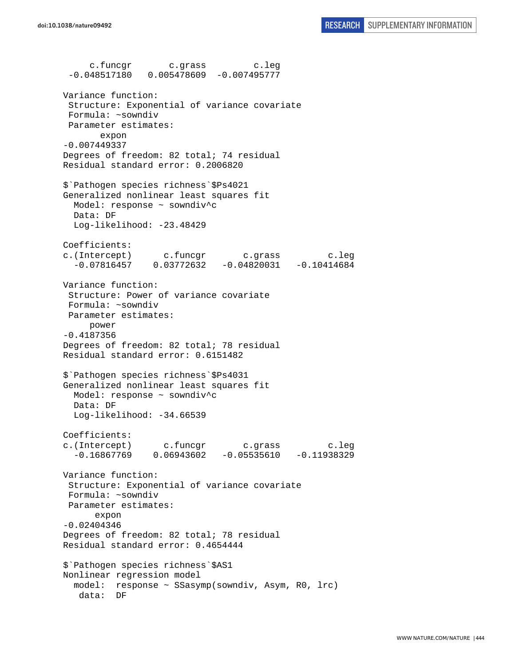c.funcgr c.grass c.leg -0.048517180 0.005478609 -0.007495777 Variance function: Structure: Exponential of variance covariate Formula: ~sowndiv Parameter estimates: expon -0.007449337 Degrees of freedom: 82 total; 74 residual Residual standard error: 0.2006820 \$`Pathogen species richness`\$Ps4021 Generalized nonlinear least squares fit Model: response ~ sowndiv^c Data: DF Log-likelihood: -23.48429 Coefficients: c.(Intercept) c.funcgr c.grass c.leg -0.07816457 0.03772632 -0.04820031 -0.10414684 Variance function: Structure: Power of variance covariate Formula: ~sowndiv Parameter estimates: power -0.4187356 Degrees of freedom: 82 total; 78 residual Residual standard error: 0.6151482 \$`Pathogen species richness`\$Ps4031 Generalized nonlinear least squares fit Model: response ~ sowndiv^c Data: DF Log-likelihood: -34.66539 Coefficients: c.(Intercept) c.funcgr c.grass c.leg  $-0.16867769$  0.06943602  $-0.05535610$   $-0.11938329$ Variance function: Structure: Exponential of variance covariate Formula: ~sowndiv Parameter estimates: expon -0.02404346 Degrees of freedom: 82 total; 78 residual Residual standard error: 0.4654444 \$`Pathogen species richness`\$AS1 Nonlinear regression model model: response ~ SSasymp(sowndiv, Asym, R0, lrc) data: DF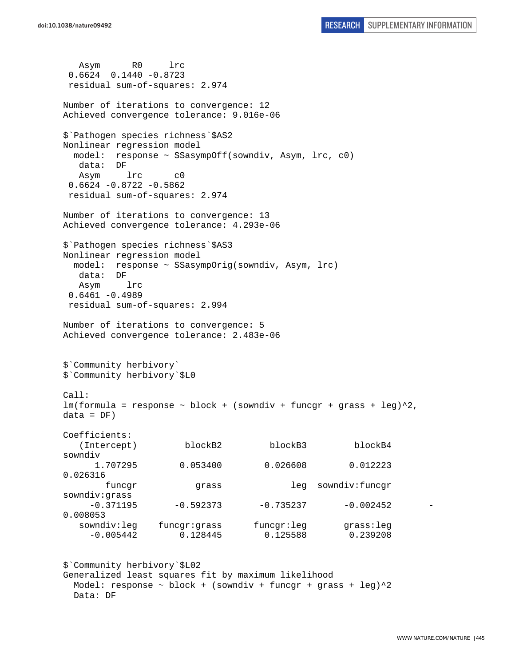Asym R0 lrc 0.6624 0.1440 -0.8723 residual sum-of-squares: 2.974 Number of iterations to convergence: 12 Achieved convergence tolerance: 9.016e-06 \$`Pathogen species richness`\$AS2 Nonlinear regression model model: response ~ SSasympOff(sowndiv, Asym, lrc, c0) data: DF Asym lrc c0 0.6624 -0.8722 -0.5862 residual sum-of-squares: 2.974 Number of iterations to convergence: 13 Achieved convergence tolerance: 4.293e-06 \$`Pathogen species richness`\$AS3 Nonlinear regression model model: response ~ SSasympOrig(sowndiv, Asym, lrc) data: DF Asym lrc  $0.6461 - 0.4989$  residual sum-of-squares: 2.994 Number of iterations to convergence: 5 Achieved convergence tolerance: 2.483e-06 \$`Community herbivory` \$`Community herbivory`\$L0 Call:  $lm(formula = response ~ ~block ~ + ~ (sowndiv ~ + ~funcgr ~ + ~grass ~ + ~ leg)^2$ ,  $data = DF)$ Coefficients: (Intercept) blockB2 blockB3 blockB4 sowndiv 1.707295 0.053400 0.026608 0.012223 0.026316 funcgr grass leg sowndiv:funcgr sowndiv:grass  $-0.371195$   $-0.592373$   $-0.735237$   $-0.002452$ 0.008053 sowndiv:leg funcgr:grass funcgr:leg grass:leg -0.005442 0.128445 0.125588 0.239208 \$`Community herbivory`\$L02 Generalized least squares fit by maximum likelihood

Model: response  $\sim$  block + (sowndiv + funcgr + grass + leg) $\textdegree$ 2 Data: DF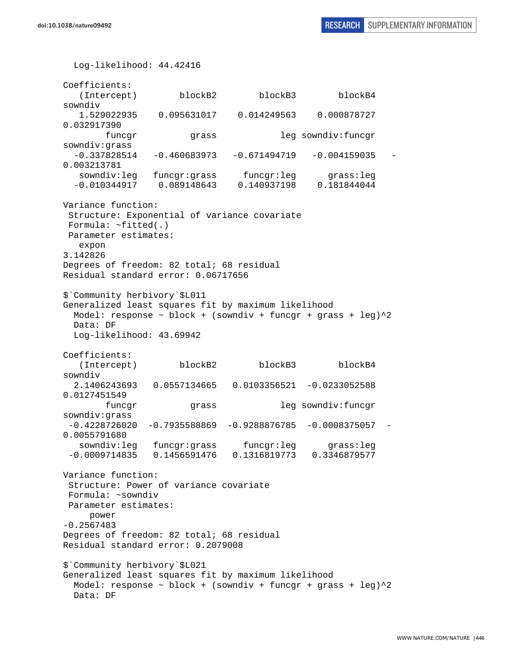Log-likelihood: 44.42416 Coefficients: (Intercept) blockB2 blockB3 blockB4 sowndiv 1.529022935 0.095631017 0.014249563 0.000878727 0.032917390 funcgr grass leg sowndiv:funcgr sowndiv:grass  $-0.337828514 -0.460683973 -0.671494719 -0.004159035 -$ 0.003213781 sowndiv:leg funcgr:grass funcgr:leg grass:leg -0.010344917 0.089148643 0.140937198 0.181844044 Variance function: Structure: Exponential of variance covariate Formula: ~fitted(.) Parameter estimates: expon 3.142826 Degrees of freedom: 82 total; 68 residual Residual standard error: 0.06717656 \$`Community herbivory`\$L011 Generalized least squares fit by maximum likelihood Model: response  $\sim$  block + (sowndiv + funcgr + grass + leg) $^2$  Data: DF Log-likelihood: 43.69942 Coefficients: (Intercept) blockB2 blockB3 blockB4 sowndiv 2.1406243693 0.0557134665 0.0103356521 -0.0233052588 0.0127451549 funcgr grass leg sowndiv:funcgr sowndiv:grass  $-0.4228726020 -0.7935588869 -0.9288876785 -0.0008375057$ 0.0055791680 sowndiv:leg funcgr:grass funcgr:leg grass:leg -0.0009714835 0.1456591476 0.1316819773 0.3346879577 Variance function: Structure: Power of variance covariate Formula: ~sowndiv Parameter estimates: power -0.2567483 Degrees of freedom: 82 total; 68 residual Residual standard error: 0.2079008 \$`Community herbivory`\$L021 Generalized least squares fit by maximum likelihood Model: response  $\sim$  block + (sowndiv + funcgr + grass + leg) $\textdegree{}2$ Data: DF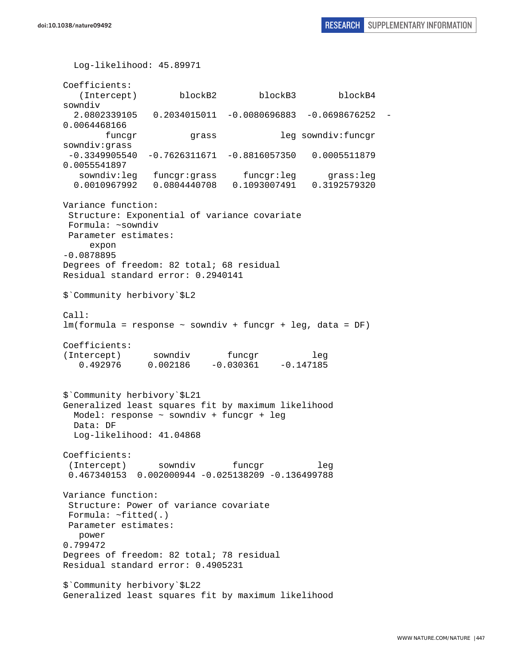Log-likelihood: 45.89971 Coefficients: (Intercept) blockB2 blockB3 blockB4 sowndiv 2.0802339105 0.2034015011 -0.0080696883 -0.0698676252 - 0.0064468166 funcgr grass leg sowndiv:funcgr sowndiv:grass -0.3349905540 -0.7626311671 -0.8816057350 0.0005511879 0.0055541897 sowndiv:leg funcgr:grass funcgr:leg grass:leg 0.0010967992 0.0804440708 0.1093007491 0.3192579320 Variance function: Structure: Exponential of variance covariate Formula: ~sowndiv Parameter estimates: expon -0.0878895 Degrees of freedom: 82 total; 68 residual Residual standard error: 0.2940141 \$`Community herbivory`\$L2 Call: lm(formula = response ~ sowndiv + funcgr + leg, data = DF) Coefficients: (Intercept) sowndiv funcqr leg 0.492976 0.002186 -0.030361 -0.147185 \$`Community herbivory`\$L21 Generalized least squares fit by maximum likelihood Model: response ~ sowndiv + funcgr + leg Data: DF Log-likelihood: 41.04868 Coefficients: (Intercept) sowndiv funcgr leg 0.467340153 0.002000944 -0.025138209 -0.136499788 Variance function: Structure: Power of variance covariate Formula: ~fitted(.) Parameter estimates: power 0.799472 Degrees of freedom: 82 total; 78 residual Residual standard error: 0.4905231 \$`Community herbivory`\$L22 Generalized least squares fit by maximum likelihood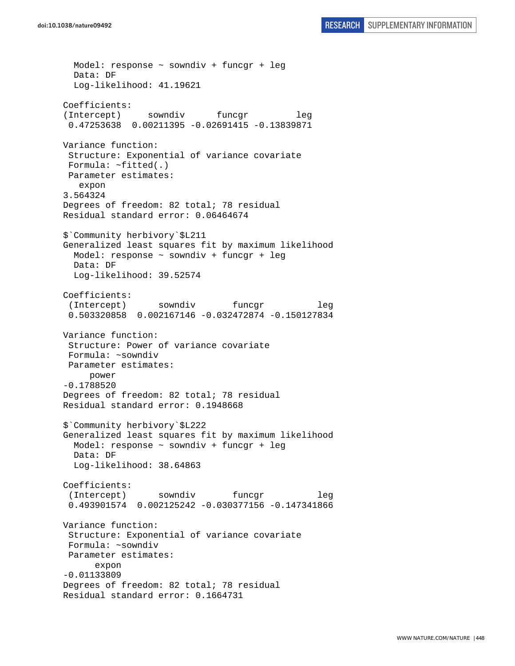Model: response ~ sowndiv + funcgr + leg Data: DF Log-likelihood: 41.19621 Coefficients: (Intercept) sowndiv funcgr leg 0.47253638 0.00211395 -0.02691415 -0.13839871 Variance function: Structure: Exponential of variance covariate Formula: ~fitted(.) Parameter estimates: expon 3.564324 Degrees of freedom: 82 total; 78 residual Residual standard error: 0.06464674 \$`Community herbivory`\$L211 Generalized least squares fit by maximum likelihood Model: response ~ sowndiv + funcgr + leg Data: DF Log-likelihood: 39.52574 Coefficients: (Intercept) sowndiv funcgr leg 0.503320858 0.002167146 -0.032472874 -0.150127834 Variance function: Structure: Power of variance covariate Formula: ~sowndiv Parameter estimates: power -0.1788520 Degrees of freedom: 82 total; 78 residual Residual standard error: 0.1948668 \$`Community herbivory`\$L222 Generalized least squares fit by maximum likelihood Model: response ~ sowndiv + funcgr + leg Data: DF Log-likelihood: 38.64863 Coefficients: (Intercept) sowndiv funcgr leg 0.493901574 0.002125242 -0.030377156 -0.147341866 Variance function: Structure: Exponential of variance covariate Formula: ~sowndiv Parameter estimates: expon -0.01133809 Degrees of freedom: 82 total; 78 residual Residual standard error: 0.1664731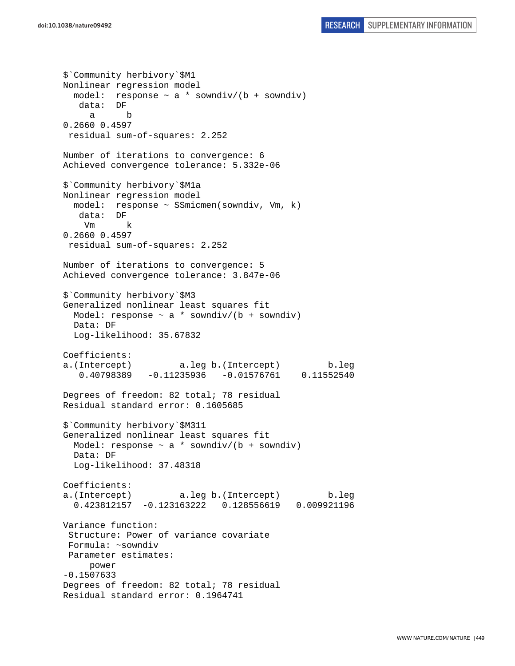\$`Community herbivory`\$M1 Nonlinear regression model model: response  $\sim$  a  $*$  sowndiv/(b + sowndiv) data: DF a b 0.2660 0.4597 residual sum-of-squares: 2.252 Number of iterations to convergence: 6 Achieved convergence tolerance: 5.332e-06 \$`Community herbivory`\$M1a Nonlinear regression model model: response ~ SSmicmen(sowndiv, Vm, k) data: DF Vm k 0.2660 0.4597 residual sum-of-squares: 2.252 Number of iterations to convergence: 5 Achieved convergence tolerance: 3.847e-06 \$`Community herbivory`\$M3 Generalized nonlinear least squares fit Model: response  $\sim$  a \* sowndiv/(b + sowndiv) Data: DF Log-likelihood: 35.67832 Coefficients: a.(Intercept) a.leg b.(Intercept) b.leg 0.40798389 -0.11235936 -0.01576761 0.11552540 Degrees of freedom: 82 total; 78 residual Residual standard error: 0.1605685 \$`Community herbivory`\$M311 Generalized nonlinear least squares fit Model: response  $\sim$  a \* sowndiv/(b + sowndiv) Data: DF Log-likelihood: 37.48318 Coefficients: a.(Intercept) a.leg b.(Intercept) b.leg 0.423812157 -0.123163222 0.128556619 0.009921196 Variance function: Structure: Power of variance covariate Formula: ~sowndiv Parameter estimates: power -0.1507633 Degrees of freedom: 82 total; 78 residual Residual standard error: 0.1964741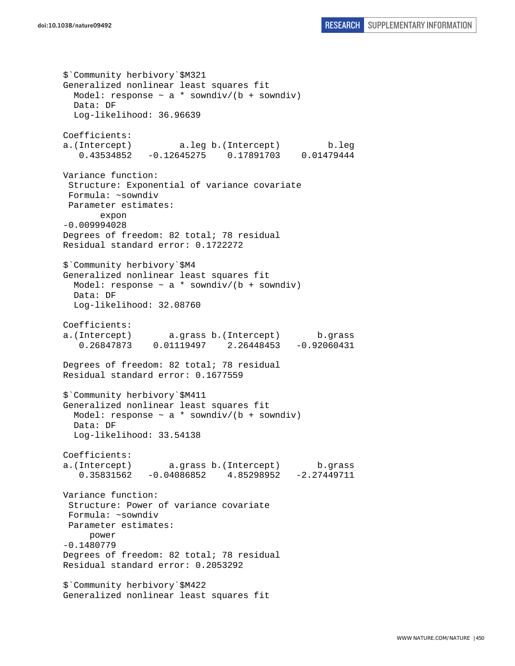\$`Community herbivory`\$M321 Generalized nonlinear least squares fit Model: response  $\sim$  a  $*$  sowndiv/(b + sowndiv) Data: DF Log-likelihood: 36.96639 Coefficients: a.(Intercept) a.leg b.(Intercept) b.leg 0.43534852 -0.12645275 0.17891703 0.01479444 Variance function: Structure: Exponential of variance covariate Formula: ~sowndiv Parameter estimates: expon -0.009994028 Degrees of freedom: 82 total; 78 residual Residual standard error: 0.1722272 \$`Community herbivory`\$M4 Generalized nonlinear least squares fit Model: response  $\sim$  a \* sowndiv/(b + sowndiv) Data: DF Log-likelihood: 32.08760 Coefficients: a.(Intercept) a.grass b.(Intercept) b.grass 0.26847873 0.01119497 2.26448453 -0.92060431 Degrees of freedom: 82 total; 78 residual Residual standard error: 0.1677559 \$`Community herbivory`\$M411 Generalized nonlinear least squares fit Model: response  $\sim$  a \* sowndiv/(b + sowndiv) Data: DF Log-likelihood: 33.54138 Coefficients: a.(Intercept) a.grass b.(Intercept) b.grass 0.35831562 -0.04086852 4.85298952 -2.27449711 Variance function: Structure: Power of variance covariate Formula: ~sowndiv Parameter estimates: power -0.1480779 Degrees of freedom: 82 total; 78 residual Residual standard error: 0.2053292 \$`Community herbivory`\$M422 Generalized nonlinear least squares fit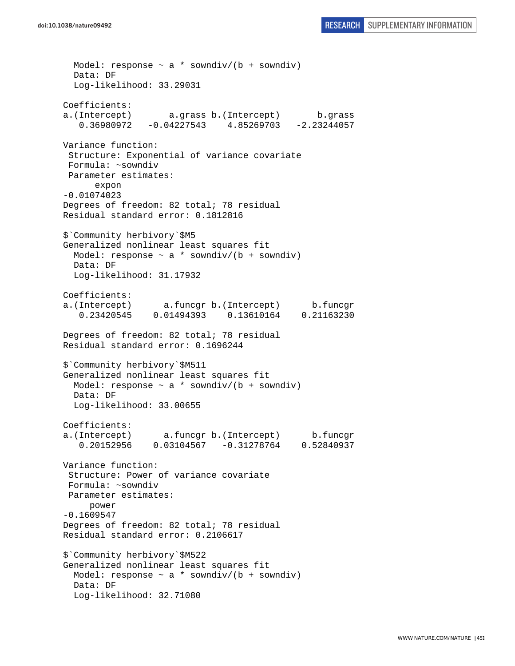Model: response  $\sim$  a \* sowndiv/(b + sowndiv) Data: DF Log-likelihood: 33.29031 Coefficients: a.(Intercept) a.grass b.(Intercept) b.grass 0.36980972 -0.04227543 4.85269703 -2.23244057 Variance function: Structure: Exponential of variance covariate Formula: ~sowndiv Parameter estimates: expon -0.01074023 Degrees of freedom: 82 total; 78 residual Residual standard error: 0.1812816 \$`Community herbivory`\$M5 Generalized nonlinear least squares fit Model: response  $\sim$  a \* sowndiv/(b + sowndiv) Data: DF Log-likelihood: 31.17932 Coefficients: a.(Intercept) a.funcgr b.(Intercept) b.funcgr 0.23420545 0.01494393 0.13610164 0.21163230 Degrees of freedom: 82 total; 78 residual Residual standard error: 0.1696244 \$`Community herbivory`\$M511 Generalized nonlinear least squares fit Model: response  $\sim$  a \* sowndiv/(b + sowndiv) Data: DF Log-likelihood: 33.00655 Coefficients: a.(Intercept) a.funcgr b.(Intercept) b.funcgr 0.20152956 0.03104567 -0.31278764 0.52840937 Variance function: Structure: Power of variance covariate Formula: ~sowndiv Parameter estimates: power -0.1609547 Degrees of freedom: 82 total; 78 residual Residual standard error: 0.2106617 \$`Community herbivory`\$M522 Generalized nonlinear least squares fit Model: response  $\sim$  a  $*$  sowndiv/(b + sowndiv) Data: DF Log-likelihood: 32.71080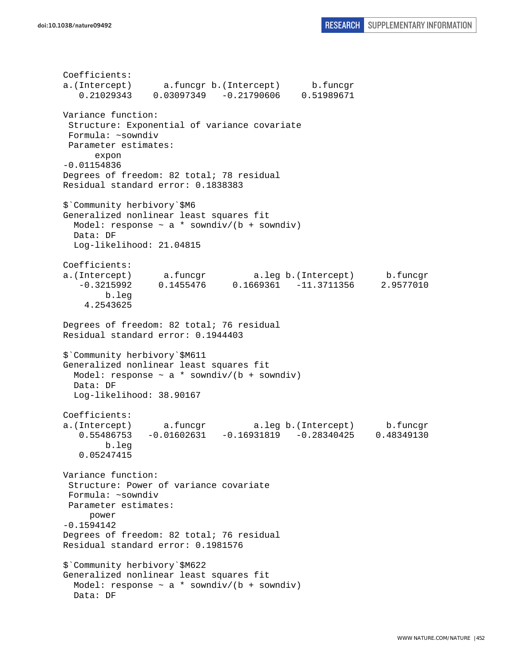Coefficients: a.(Intercept) a.funcgr b.(Intercept) b.funcgr 0.21029343 0.03097349 -0.21790606 0.51989671 Variance function: Structure: Exponential of variance covariate Formula: ~sowndiv Parameter estimates: expon -0.01154836 Degrees of freedom: 82 total; 78 residual Residual standard error: 0.1838383 \$`Community herbivory`\$M6 Generalized nonlinear least squares fit Model: response  $\sim$  a \* sowndiv/(b + sowndiv) Data: DF Log-likelihood: 21.04815 Coefficients: a.(Intercept) a.funcgr a.leg b.(Intercept) b.funcgr -0.3215992 0.1455476 0.1669361 -11.3711356 2.9577010 b.leg 4.2543625 Degrees of freedom: 82 total; 76 residual Residual standard error: 0.1944403 \$`Community herbivory`\$M611 Generalized nonlinear least squares fit Model: response  $\sim$  a \* sowndiv/(b + sowndiv) Data: DF Log-likelihood: 38.90167 Coefficients: a.(Intercept) a.funcgr a.leg b.(Intercept) b.funcgr 0.55486753 -0.01602631 -0.16931819 -0.28340425 0.48349130 b.leg 0.05247415 Variance function: Structure: Power of variance covariate Formula: ~sowndiv Parameter estimates: power -0.1594142 Degrees of freedom: 82 total; 76 residual Residual standard error: 0.1981576 \$`Community herbivory`\$M622 Generalized nonlinear least squares fit Model: response  $\sim$  a \* sowndiv/(b + sowndiv) Data: DF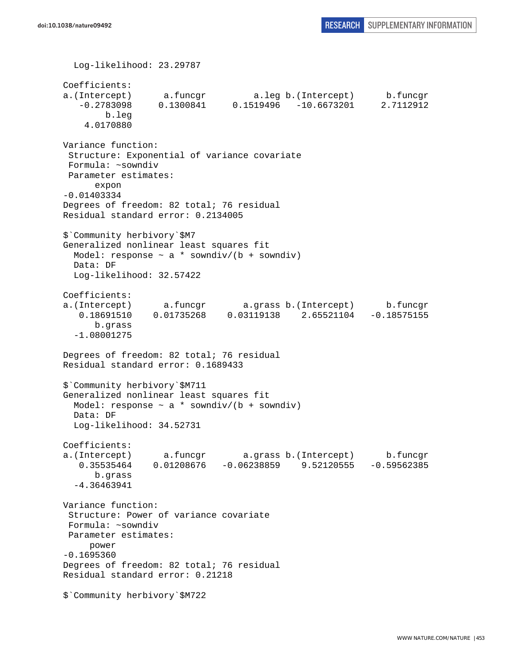Log-likelihood: 23.29787 Coefficients: a.(Intercept) a.funcgr a.leg b.(Intercept) b.funcgr -0.2783098 0.1300841 0.1519496 -10.6673201 2.7112912 b.leg 4.0170880 Variance function: Structure: Exponential of variance covariate Formula: ~sowndiv Parameter estimates: expon -0.01403334 Degrees of freedom: 82 total; 76 residual Residual standard error: 0.2134005 \$`Community herbivory`\$M7 Generalized nonlinear least squares fit Model: response  $\sim$  a \* sowndiv/(b + sowndiv) Data: DF Log-likelihood: 32.57422 Coefficients: a.(Intercept) a.funcgr a.grass b.(Intercept) b.funcgr 0.18691510 0.01735268 0.03119138 2.65521104 -0.18575155 b.grass -1.08001275 Degrees of freedom: 82 total; 76 residual Residual standard error: 0.1689433 \$`Community herbivory`\$M711 Generalized nonlinear least squares fit Model: response  $\sim$  a \* sowndiv/(b + sowndiv) Data: DF Log-likelihood: 34.52731 Coefficients: a.(Intercept) a.funcgr a.grass b.(Intercept) b.funcgr 0.35535464 0.01208676 -0.06238859 9.52120555 -0.59562385 b.grass -4.36463941 Variance function: Structure: Power of variance covariate Formula: ~sowndiv Parameter estimates: power -0.1695360 Degrees of freedom: 82 total; 76 residual Residual standard error: 0.21218 \$`Community herbivory`\$M722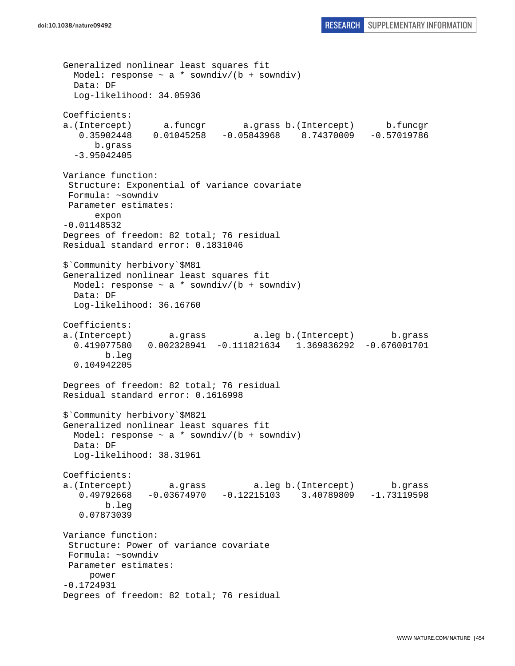```
Generalized nonlinear least squares fit 
 Model: response \sim a * sowndiv/(b + sowndiv)
  Data: DF 
   Log-likelihood: 34.05936 
Coefficients: 
a.(Intercept) a.funcgr a.grass b.(Intercept) b.funcgr 
   0.35902448 0.01045258 -0.05843968 8.74370009 -0.57019786 
       b.grass 
   -3.95042405 
Variance function: 
  Structure: Exponential of variance covariate 
  Formula: ~sowndiv 
 Parameter estimates: 
       expon 
-0.01148532 
Degrees of freedom: 82 total; 76 residual 
Residual standard error: 0.1831046 
$`Community herbivory`$M81 
Generalized nonlinear least squares fit 
 Model: response \sim a * sowndiv/(b + sowndiv)
   Data: DF 
   Log-likelihood: 36.16760 
Coefficients: 
a.(Intercept) a.grass a.leg b.(Intercept) b.grass 
   0.419077580 0.002328941 -0.111821634 1.369836292 -0.676001701 
         b.leg 
   0.104942205 
Degrees of freedom: 82 total; 76 residual 
Residual standard error: 0.1616998 
$`Community herbivory`$M821 
Generalized nonlinear least squares fit 
 Model: response \sim a * sowndiv/(b + sowndiv)
  Data: DF 
  Log-likelihood: 38.31961 
Coefficients: 
a.(Intercept) a.grass a.leg b.(Intercept) b.grass 
    0.49792668 -0.03674970 -0.12215103 3.40789809 -1.73119598 
        b.leg 
    0.07873039 
Variance function: 
  Structure: Power of variance covariate 
 Formula: ~sowndiv 
 Parameter estimates: 
     power 
-0.1724931 
Degrees of freedom: 82 total; 76 residual
```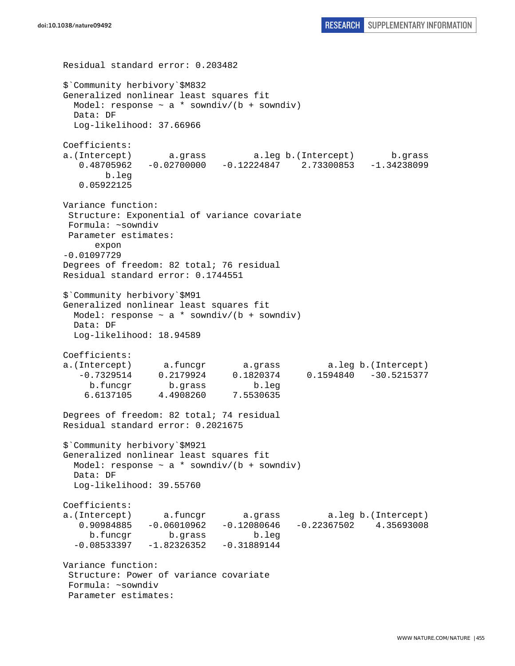```
Residual standard error: 0.203482 
$`Community herbivory`$M832 
Generalized nonlinear least squares fit 
 Model: response \sim a * sowndiv/(b + sowndiv)
  Data: DF 
  Log-likelihood: 37.66966 
Coefficients: 
a.(Intercept) a.grass a.leg b.(Intercept) b.grass 
    0.48705962 -0.02700000 -0.12224847 2.73300853 -1.34238099 
        b.leg 
    0.05922125 
Variance function: 
  Structure: Exponential of variance covariate 
 Formula: ~sowndiv 
 Parameter estimates: 
      expon 
-0.01097729 
Degrees of freedom: 82 total; 76 residual 
Residual standard error: 0.1744551 
$`Community herbivory`$M91 
Generalized nonlinear least squares fit 
 Model: response \sim a * sowndiv/(b + sowndiv)
  Data: DF 
  Log-likelihood: 18.94589 
Coefficients: 
a.(Intercept) a.funcgr a.grass a.leg b.(Intercept) 
    -0.7329514 0.2179924 0.1820374 0.1594840 -30.5215377 
     b.funcgr b.grass b.leg 
     6.6137105 4.4908260 7.5530635 
Degrees of freedom: 82 total; 74 residual 
Residual standard error: 0.2021675 
$`Community herbivory`$M921 
Generalized nonlinear least squares fit 
 Model: response \sim a * sowndiv/(b + sowndiv)
  Data: DF 
  Log-likelihood: 39.55760 
Coefficients: 
a.(Intercept) a.funcgr a.grass a.leg b.(Intercept) 
   0.90984885 -0.06010962 -0.12080646 -0.22367502 4.35693008 
     b.funcgr b.grass b.leg 
  -0.08533397 -1.82326352 -0.31889144Variance function: 
  Structure: Power of variance covariate 
 Formula: ~sowndiv 
  Parameter estimates:
```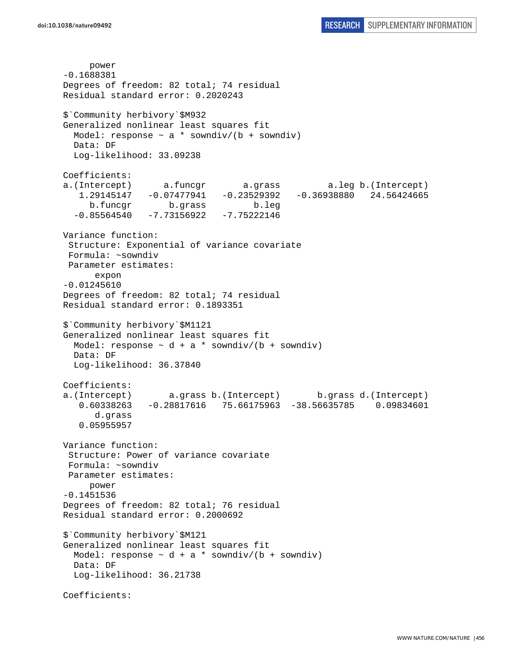```
 power 
-0.1688381 
Degrees of freedom: 82 total; 74 residual 
Residual standard error: 0.2020243 
$`Community herbivory`$M932 
Generalized nonlinear least squares fit 
  Model: response \sim a * sowndiv/(b + sowndiv)
  Data: DF 
  Log-likelihood: 33.09238 
Coefficients: 
a.(Intercept) a.funcgr a.grass a.leg b.(Intercept) 
    1.29145147 -0.07477941 -0.23529392 -0.36938880 24.56424665 
     b.funcgr b.grass b.leg 
  -0.85564540 -7.73156922 -7.75222146Variance function: 
  Structure: Exponential of variance covariate 
  Formula: ~sowndiv 
 Parameter estimates: 
       expon 
-0.01245610 
Degrees of freedom: 82 total; 74 residual 
Residual standard error: 0.1893351 
$`Community herbivory`$M1121 
Generalized nonlinear least squares fit 
  Model: response \sim d + a * sowndiv/(b + sowndiv)
  Data: DF 
  Log-likelihood: 36.37840 
Coefficients: 
a.(Intercept) a.grass b.(Intercept) b.grass d.(Intercept) 
    0.60338263 -0.28817616 75.66175963 -38.56635785 0.09834601 
       d.grass 
    0.05955957 
Variance function: 
  Structure: Power of variance covariate 
 Formula: ~sowndiv 
 Parameter estimates: 
     power 
-0.1451536 
Degrees of freedom: 82 total; 76 residual 
Residual standard error: 0.2000692 
$`Community herbivory`$M121 
Generalized nonlinear least squares fit 
 Model: response \sim d + a * sowndiv/(b + sowndiv)
  Data: DF 
   Log-likelihood: 36.21738 
Coefficients:
```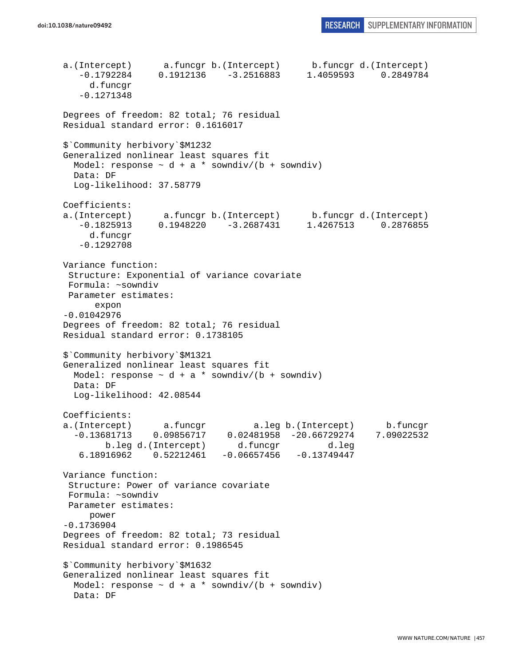```
a.(Intercept) a.funcgr b.(Intercept) b.funcgr d.(Intercept) 
    -0.1792284 0.1912136 -3.2516883 1.4059593 0.2849784 
      d.funcgr 
    -0.1271348 
Degrees of freedom: 82 total; 76 residual 
Residual standard error: 0.1616017 
$`Community herbivory`$M1232 
Generalized nonlinear least squares fit 
 Model: response \sim d + a * sowndiv/(b + sowndiv)
   Data: DF 
   Log-likelihood: 37.58779 
Coefficients: 
a.(Intercept) a.funcgr b.(Intercept) b.funcgr d.(Intercept) 
    -0.1825913 0.1948220 -3.2687431 1.4267513 0.2876855 
      d.funcgr 
    -0.1292708 
Variance function: 
  Structure: Exponential of variance covariate 
 Formula: ~sowndiv 
 Parameter estimates: 
       expon 
-0.01042976 
Degrees of freedom: 82 total; 76 residual 
Residual standard error: 0.1738105 
$`Community herbivory`$M1321 
Generalized nonlinear least squares fit 
 Model: response \sim d + a * sowndiv/(b + sowndiv)
   Data: DF 
   Log-likelihood: 42.08544 
Coefficients: 
a.(Intercept) a.funcgr a.leg b.(Intercept) b.funcgr 
   -0.13681713 0.09856717 0.02481958 -20.66729274 7.09022532 
        b.leg d.(Intercept) d.funcgr d.leg 
    6.18916962 0.52212461 -0.06657456 -0.13749447 
Variance function: 
  Structure: Power of variance covariate 
 Formula: ~sowndiv 
 Parameter estimates: 
     power 
-0.1736904 
Degrees of freedom: 82 total; 73 residual 
Residual standard error: 0.1986545 
$`Community herbivory`$M1632 
Generalized nonlinear least squares fit 
  Model: response \sim d + a * sowndiv/(b + sowndiv)
   Data: DF
```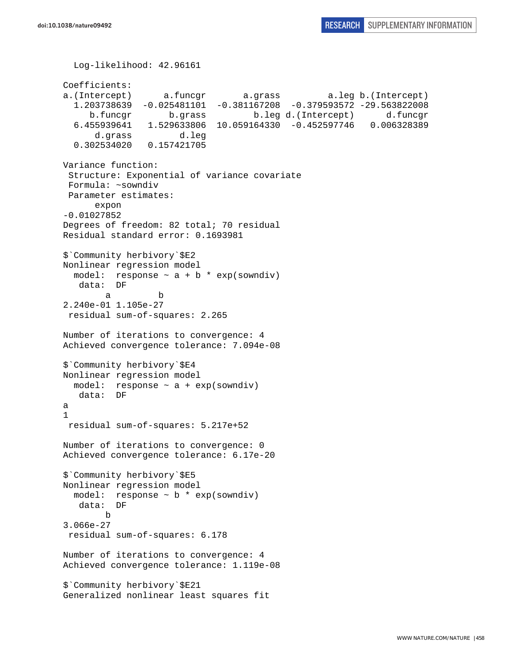```
 Log-likelihood: 42.96161 
Coefficients: 
a.(Intercept) a.funcgr a.grass a.leg b.(Intercept) 
   1.203738639 -0.025481101 -0.381167208 -0.379593572 -29.563822008 
      b.funcgr b.grass b.leg d.(Intercept) d.funcgr 
   6.455939641 1.529633806 10.059164330 -0.452597746 0.006328389 
       d.grass d.leg 
   0.302534020 0.157421705 
Variance function: 
  Structure: Exponential of variance covariate 
 Formula: ~sowndiv 
 Parameter estimates: 
       expon 
-0.01027852 
Degrees of freedom: 82 total; 70 residual 
Residual standard error: 0.1693981 
$`Community herbivory`$E2 
Nonlinear regression model 
  model: response \sim a + b * exp(sowndiv)
    data: DF 
 a b 
2.240e-01 1.105e-27 
 residual sum-of-squares: 2.265 
Number of iterations to convergence: 4 
Achieved convergence tolerance: 7.094e-08 
$`Community herbivory`$E4 
Nonlinear regression model 
  model: response ~ a + exp(sowndiv) 
   data: DF 
a 
1 
  residual sum-of-squares: 5.217e+52 
Number of iterations to convergence: 0 
Achieved convergence tolerance: 6.17e-20 
$`Community herbivory`$E5 
Nonlinear regression model 
  model: response \sim b * exp(sowndiv)
   data: DF 
 b 
3.066e-27 
  residual sum-of-squares: 6.178 
Number of iterations to convergence: 4 
Achieved convergence tolerance: 1.119e-08 
$`Community herbivory`$E21 
Generalized nonlinear least squares fit
```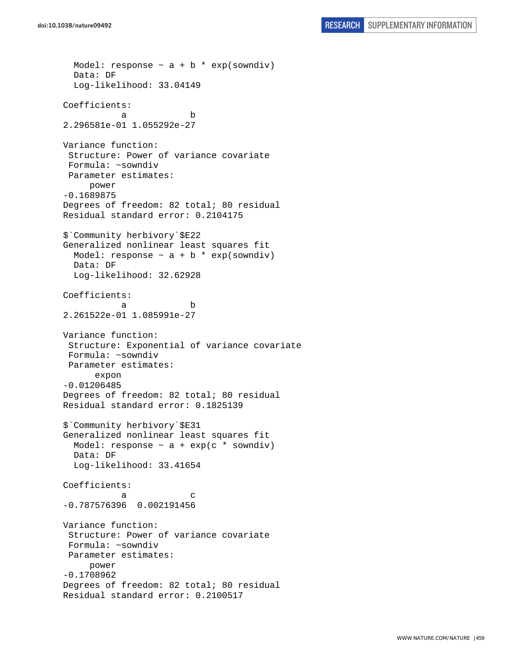```
Model: response \sim a + b * exp(sowndiv)
   Data: DF 
   Log-likelihood: 33.04149 
Coefficients: 
 a b 
2.296581e-01 1.055292e-27 
Variance function: 
  Structure: Power of variance covariate 
 Formula: ~sowndiv 
 Parameter estimates: 
      power 
-0.1689875 
Degrees of freedom: 82 total; 80 residual 
Residual standard error: 0.2104175 
$`Community herbivory`$E22 
Generalized nonlinear least squares fit 
 Model: response \sim a + b * exp(sowndiv)
  Data: DF 
  Log-likelihood: 32.62928 
Coefficients: 
 a b 
2.261522e-01 1.085991e-27 
Variance function: 
  Structure: Exponential of variance covariate 
 Formula: ~sowndiv 
 Parameter estimates: 
       expon 
-0.01206485 
Degrees of freedom: 82 total; 80 residual 
Residual standard error: 0.1825139 
$`Community herbivory`$E31 
Generalized nonlinear least squares fit 
 Model: response \sim a + exp(c * sowndiv)
  Data: DF 
   Log-likelihood: 33.41654 
Coefficients: 
a c
-0.787576396 0.002191456 
Variance function: 
  Structure: Power of variance covariate 
 Formula: ~sowndiv 
 Parameter estimates: 
      power 
-0.1708962 
Degrees of freedom: 82 total; 80 residual 
Residual standard error: 0.2100517
```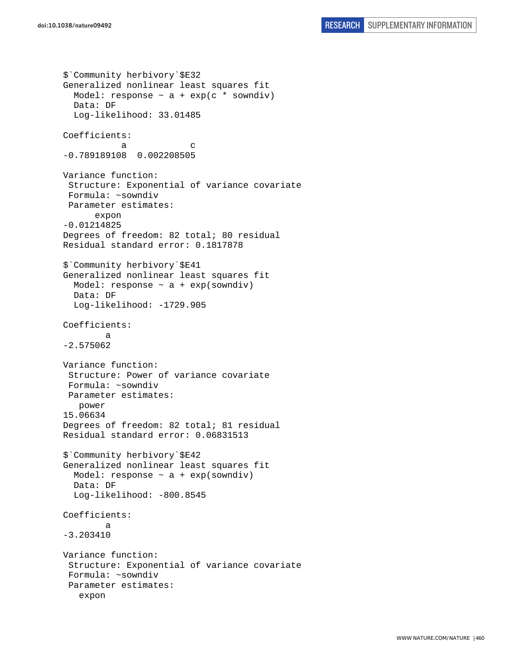```
$`Community herbivory`$E32 
Generalized nonlinear least squares fit 
  Model: response \sim a + exp(c * sowndiv)
   Data: DF 
   Log-likelihood: 33.01485 
Coefficients: 
a c
-0.789189108 0.002208505 
Variance function: 
  Structure: Exponential of variance covariate 
  Formula: ~sowndiv 
  Parameter estimates: 
       expon 
-0.01214825 
Degrees of freedom: 82 total; 80 residual 
Residual standard error: 0.1817878 
$`Community herbivory`$E41 
Generalized nonlinear least squares fit 
  Model: response \sim a + exp(sowndiv)
   Data: DF 
   Log-likelihood: -1729.905 
Coefficients: 
 a 
-2.575062 
Variance function: 
  Structure: Power of variance covariate 
  Formula: ~sowndiv 
 Parameter estimates: 
    power 
15.06634 
Degrees of freedom: 82 total; 81 residual 
Residual standard error: 0.06831513 
$`Community herbivory`$E42 
Generalized nonlinear least squares fit 
  Model: response \sim a + exp(sowndiv)
   Data: DF 
   Log-likelihood: -800.8545 
Coefficients: 
 a 
-3.203410 
Variance function: 
  Structure: Exponential of variance covariate 
  Formula: ~sowndiv 
  Parameter estimates: 
    expon
```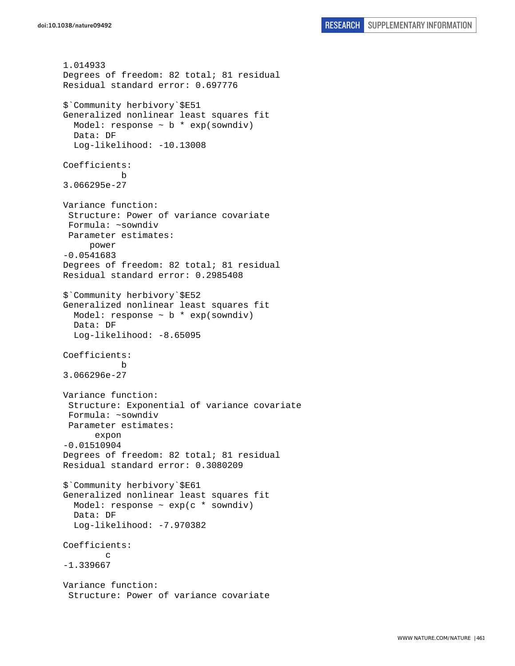```
1.014933 
Degrees of freedom: 82 total; 81 residual 
Residual standard error: 0.697776 
$`Community herbivory`$E51 
Generalized nonlinear least squares fit 
  Model: response \sim b * exp(sowndiv)
   Data: DF 
  Log-likelihood: -10.13008
Coefficients: 
 b 
3.066295e-27 
Variance function: 
  Structure: Power of variance covariate 
  Formula: ~sowndiv 
 Parameter estimates: 
      power 
-0.0541683 
Degrees of freedom: 82 total; 81 residual 
Residual standard error: 0.2985408 
$`Community herbivory`$E52 
Generalized nonlinear least squares fit 
  Model: response \sim b * exp(sowndiv)
   Data: DF 
   Log-likelihood: -8.65095 
Coefficients: 
 b 
3.066296e-27 
Variance function: 
  Structure: Exponential of variance covariate 
  Formula: ~sowndiv 
  Parameter estimates: 
       expon 
-0.01510904 
Degrees of freedom: 82 total; 81 residual 
Residual standard error: 0.3080209 
$`Community herbivory`$E61 
Generalized nonlinear least squares fit 
  Model: response \sim exp(c * sowndiv)
   Data: DF 
   Log-likelihood: -7.970382 
Coefficients: 
 c 
-1.339667 
Variance function: 
  Structure: Power of variance covariate
```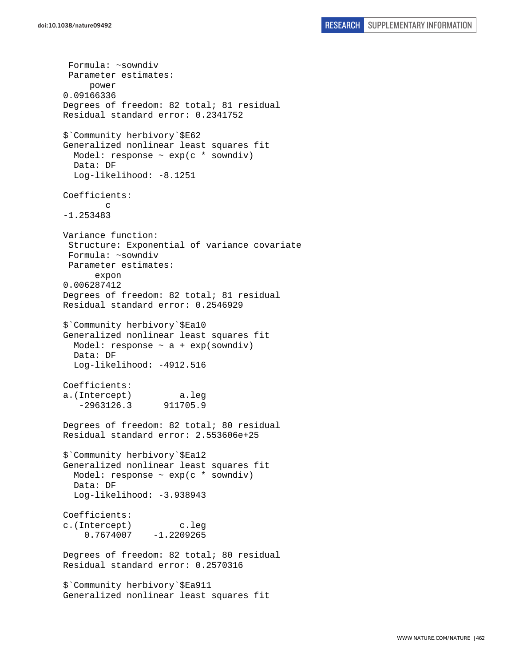Formula: ~sowndiv Parameter estimates: power 0.09166336 Degrees of freedom: 82 total; 81 residual Residual standard error: 0.2341752 \$`Community herbivory`\$E62 Generalized nonlinear least squares fit Model: response  $\sim$  exp(c  $*$  sowndiv) Data: DF Log-likelihood: -8.1251 Coefficients: c -1.253483 Variance function: Structure: Exponential of variance covariate Formula: ~sowndiv Parameter estimates: expon 0.006287412 Degrees of freedom: 82 total; 81 residual Residual standard error: 0.2546929 \$`Community herbivory`\$Ea10 Generalized nonlinear least squares fit Model: response  $\sim$  a + exp(sowndiv) Data: DF Log-likelihood: -4912.516 Coefficients: a.(Intercept) a.leg -2963126.3 911705.9 Degrees of freedom: 82 total; 80 residual Residual standard error: 2.553606e+25 \$`Community herbivory`\$Ea12 Generalized nonlinear least squares fit Model: response  $\sim$  exp(c  $*$  sowndiv) Data: DF Log-likelihood: -3.938943 Coefficients: c.(Intercept) c.leg  $0.7674007 -1.2209265$ Degrees of freedom: 82 total; 80 residual Residual standard error: 0.2570316 \$`Community herbivory`\$Ea911 Generalized nonlinear least squares fit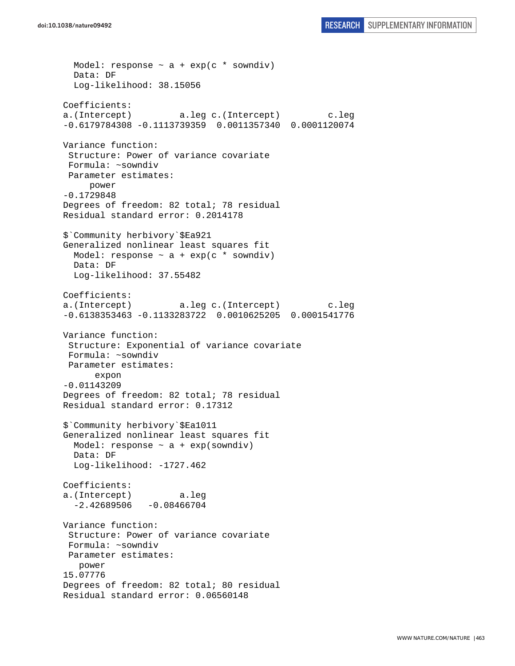```
Model: response \sim a + exp(c * sowndiv)
   Data: DF 
   Log-likelihood: 38.15056 
Coefficients: 
a.(Intercept) a.leg c.(Intercept) c.leg 
-0.6179784308 -0.1113739359 0.0011357340 0.0001120074 
Variance function: 
  Structure: Power of variance covariate 
 Formula: ~sowndiv 
 Parameter estimates: 
      power 
-0.1729848 
Degrees of freedom: 82 total; 78 residual 
Residual standard error: 0.2014178 
$`Community herbivory`$Ea921 
Generalized nonlinear least squares fit 
 Model: response \sim a + exp(c * sowndiv)
  Data: DF 
  Log-likelihood: 37.55482 
Coefficients: 
a.(Intercept) a.leg c.(Intercept) c.leg 
-0.6138353463 -0.1133283722 0.0010625205 0.0001541776 
Variance function: 
  Structure: Exponential of variance covariate 
 Formula: ~sowndiv 
 Parameter estimates: 
       expon 
-0.01143209 
Degrees of freedom: 82 total; 78 residual 
Residual standard error: 0.17312 
$`Community herbivory`$Ea1011 
Generalized nonlinear least squares fit 
 Model: response \sim a + exp(sowndiv)
   Data: DF 
   Log-likelihood: -1727.462 
Coefficients: 
a.(Intercept) a.leg 
  -2.42689506 -0.08466704Variance function: 
  Structure: Power of variance covariate 
 Formula: ~sowndiv 
 Parameter estimates: 
   power 
15.07776 
Degrees of freedom: 82 total; 80 residual 
Residual standard error: 0.06560148
```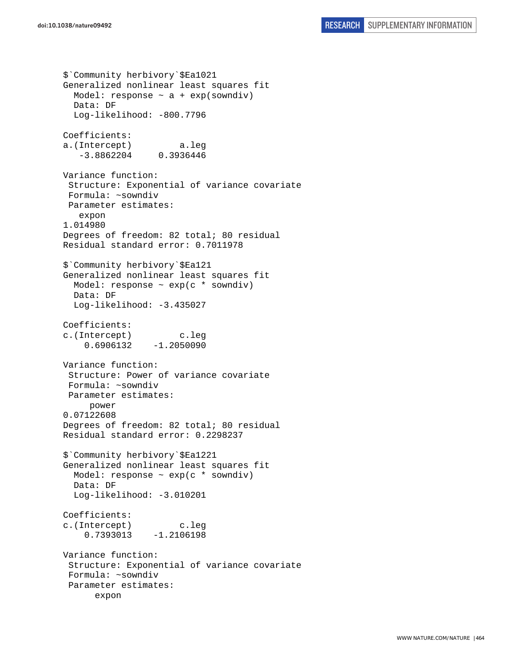\$`Community herbivory`\$Ea1021 Generalized nonlinear least squares fit Model: response  $\sim$  a + exp(sowndiv) Data: DF Log-likelihood: -800.7796 Coefficients: a.(Intercept) a.leg -3.8862204 0.3936446 Variance function: Structure: Exponential of variance covariate Formula: ~sowndiv Parameter estimates: expon 1.014980 Degrees of freedom: 82 total; 80 residual Residual standard error: 0.7011978 \$`Community herbivory`\$Ea121 Generalized nonlinear least squares fit Model: response ~ exp(c \* sowndiv) Data: DF Log-likelihood: -3.435027 Coefficients: c.(Intercept) c.leg 0.6906132 -1.2050090 Variance function: Structure: Power of variance covariate Formula: ~sowndiv Parameter estimates: power 0.07122608 Degrees of freedom: 82 total; 80 residual Residual standard error: 0.2298237 \$`Community herbivory`\$Ea1221 Generalized nonlinear least squares fit Model: response  $\sim$  exp(c  $*$  sowndiv) Data: DF Log-likelihood: -3.010201 Coefficients: c.(Intercept) c.leg 0.7393013 -1.2106198 Variance function: Structure: Exponential of variance covariate Formula: ~sowndiv Parameter estimates: expon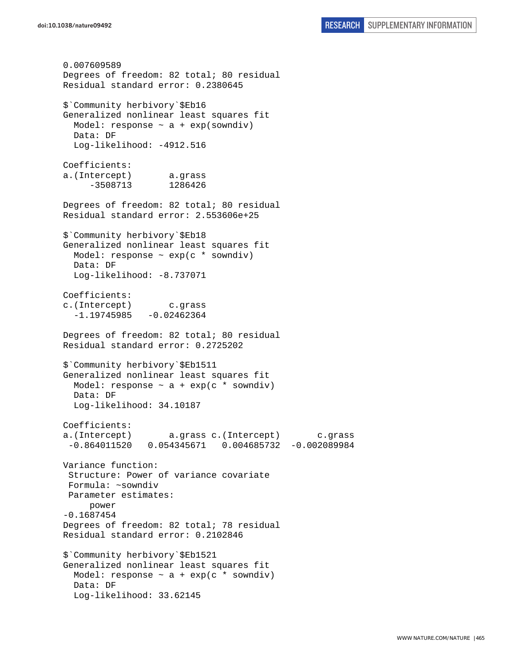0.007609589 Degrees of freedom: 82 total; 80 residual Residual standard error: 0.2380645 \$`Community herbivory`\$Eb16 Generalized nonlinear least squares fit Model: response  $\sim$  a + exp(sowndiv) Data: DF Log-likelihood: -4912.516 Coefficients: a.(Intercept) a.grass -3508713 1286426 Degrees of freedom: 82 total; 80 residual Residual standard error: 2.553606e+25 \$`Community herbivory`\$Eb18 Generalized nonlinear least squares fit Model: response  $\sim$  exp(c  $*$  sowndiv) Data: DF Log-likelihood: -8.737071 Coefficients: c.(Intercept) c.grass  $-1.19745985 -0.02462364$ Degrees of freedom: 82 total; 80 residual Residual standard error: 0.2725202 \$`Community herbivory`\$Eb1511 Generalized nonlinear least squares fit Model: response  $\sim$  a + exp(c \* sowndiv) Data: DF Log-likelihood: 34.10187 Coefficients: a.(Intercept) a.grass c.(Intercept) c.grass -0.864011520 0.054345671 0.004685732 -0.002089984 Variance function: Structure: Power of variance covariate Formula: ~sowndiv Parameter estimates: power -0.1687454 Degrees of freedom: 82 total; 78 residual Residual standard error: 0.2102846 \$`Community herbivory`\$Eb1521 Generalized nonlinear least squares fit Model: response  $\sim$  a + exp(c  $*$  sowndiv) Data: DF Log-likelihood: 33.62145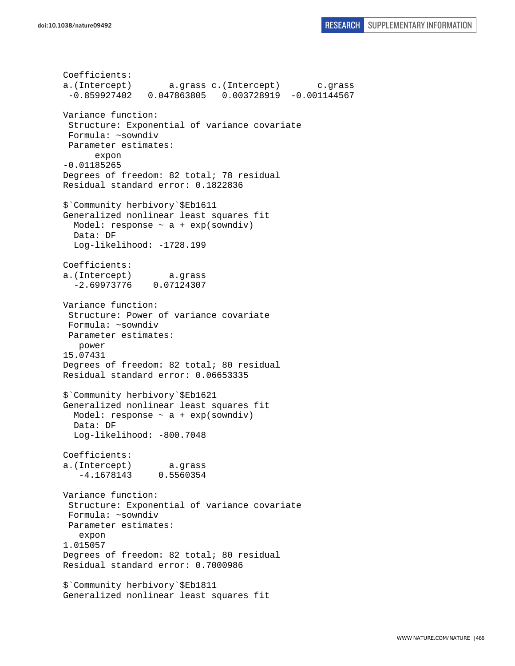```
Coefficients: 
a.(Intercept) a.grass c.(Intercept) c.grass 
  -0.859927402 0.047863805 0.003728919 -0.001144567 
Variance function: 
  Structure: Exponential of variance covariate 
 Formula: ~sowndiv 
 Parameter estimates: 
       expon 
-0.01185265 
Degrees of freedom: 82 total; 78 residual 
Residual standard error: 0.1822836 
$`Community herbivory`$Eb1611 
Generalized nonlinear least squares fit 
  Model: response \sim a + exp(sowndiv)
  Data: DF 
  Log-likelihood: -1728.199 
Coefficients: 
a.(Intercept) a.grass 
   -2.69973776 0.07124307 
Variance function: 
  Structure: Power of variance covariate 
 Formula: ~sowndiv 
 Parameter estimates: 
    power 
15.07431 
Degrees of freedom: 82 total; 80 residual 
Residual standard error: 0.06653335 
$`Community herbivory`$Eb1621 
Generalized nonlinear least squares fit 
 Model: response \sim a + exp(sowndiv)
   Data: DF 
   Log-likelihood: -800.7048 
Coefficients: 
a.(Intercept) a.grass 
    -4.1678143 0.5560354 
Variance function: 
  Structure: Exponential of variance covariate 
 Formula: ~sowndiv 
 Parameter estimates: 
    expon 
1.015057 
Degrees of freedom: 82 total; 80 residual 
Residual standard error: 0.7000986 
$`Community herbivory`$Eb1811 
Generalized nonlinear least squares fit
```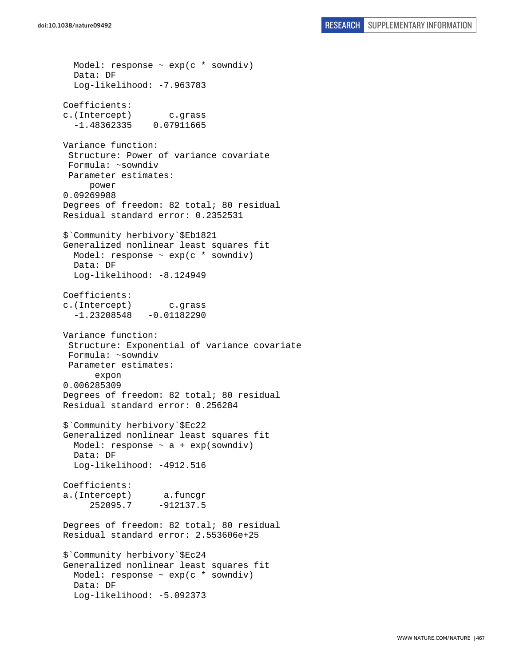Model: response ~ exp(c \* sowndiv) Data: DF Log-likelihood: -7.963783 Coefficients: c.(Intercept) c.grass -1.48362335 0.07911665 Variance function: Structure: Power of variance covariate Formula: ~sowndiv Parameter estimates: power 0.09269988 Degrees of freedom: 82 total; 80 residual Residual standard error: 0.2352531 \$`Community herbivory`\$Eb1821 Generalized nonlinear least squares fit Model: response  $\sim$  exp(c  $*$  sowndiv) Data: DF Log-likelihood: -8.124949 Coefficients: c.(Intercept) c.grass  $-1.23208548 - 0.01182290$ Variance function: Structure: Exponential of variance covariate Formula: ~sowndiv Parameter estimates: expon 0.006285309 Degrees of freedom: 82 total; 80 residual Residual standard error: 0.256284 \$`Community herbivory`\$Ec22 Generalized nonlinear least squares fit Model: response  $\sim$  a + exp(sowndiv) Data: DF Log-likelihood: -4912.516 Coefficients: a.(Intercept) a.funcgr 252095.7 -912137.5 Degrees of freedom: 82 total; 80 residual Residual standard error: 2.553606e+25 \$`Community herbivory`\$Ec24 Generalized nonlinear least squares fit Model: response  $\sim$  exp(c  $*$  sowndiv) Data: DF Log-likelihood: -5.092373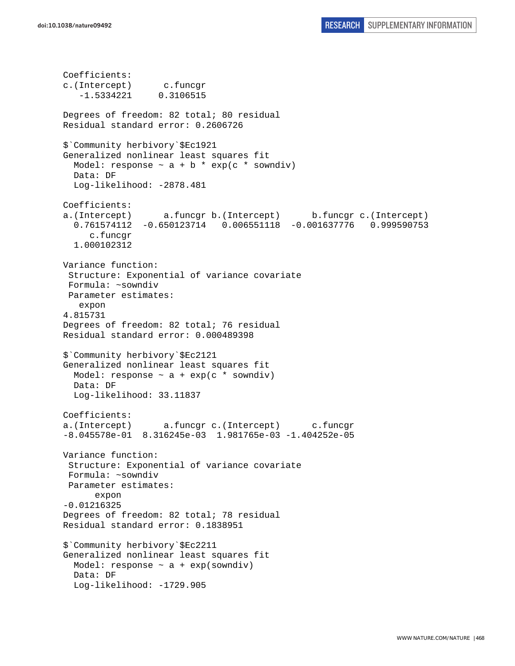Coefficients: c.(Intercept) c.funcgr -1.5334221 0.3106515 Degrees of freedom: 82 total; 80 residual Residual standard error: 0.2606726 \$`Community herbivory`\$Ec1921 Generalized nonlinear least squares fit Model: response  $\sim$  a + b \* exp(c \* sowndiv) Data: DF Log-likelihood: -2878.481 Coefficients: a.(Intercept) a.funcgr b.(Intercept) b.funcgr c.(Intercept) 0.761574112 -0.650123714 0.006551118 -0.001637776 0.999590753 c.funcgr 1.000102312 Variance function: Structure: Exponential of variance covariate Formula: ~sowndiv Parameter estimates: expon 4.815731 Degrees of freedom: 82 total; 76 residual Residual standard error: 0.000489398 \$`Community herbivory`\$Ec2121 Generalized nonlinear least squares fit Model: response  $\sim$  a + exp(c  $*$  sowndiv) Data: DF Log-likelihood: 33.11837 Coefficients: a.(Intercept) a.funcgr c.(Intercept) c.funcgr -8.045578e-01 8.316245e-03 1.981765e-03 -1.404252e-05 Variance function: Structure: Exponential of variance covariate Formula: ~sowndiv Parameter estimates: expon -0.01216325 Degrees of freedom: 82 total; 78 residual Residual standard error: 0.1838951 \$`Community herbivory`\$Ec2211 Generalized nonlinear least squares fit Model: response  $\sim$  a + exp(sowndiv) Data: DF Log-likelihood: -1729.905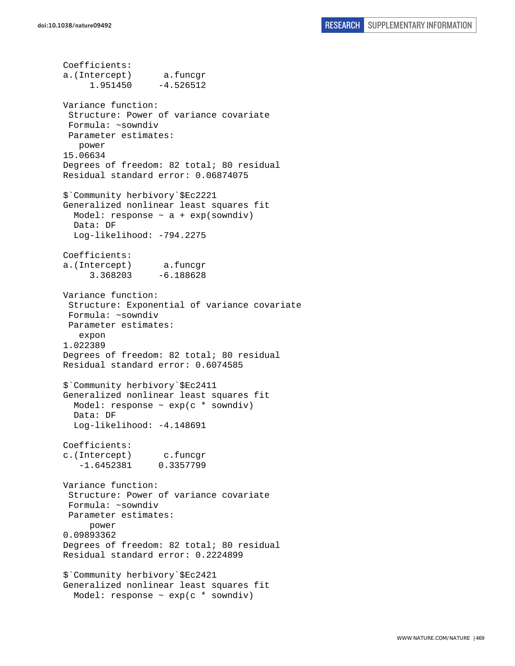Coefficients: a.(Intercept) a.funcgr 1.951450 -4.526512 Variance function: Structure: Power of variance covariate Formula: ~sowndiv Parameter estimates: power 15.06634 Degrees of freedom: 82 total; 80 residual Residual standard error: 0.06874075 \$`Community herbivory`\$Ec2221 Generalized nonlinear least squares fit Model: response  $\sim$  a + exp(sowndiv) Data: DF Log-likelihood: -794.2275 Coefficients: a.(Intercept) a.funcgr 3.368203 -6.188628 Variance function: Structure: Exponential of variance covariate Formula: ~sowndiv Parameter estimates: expon 1.022389 Degrees of freedom: 82 total; 80 residual Residual standard error: 0.6074585 \$`Community herbivory`\$Ec2411 Generalized nonlinear least squares fit Model: response  $\sim$  exp(c  $*$  sowndiv) Data: DF Log-likelihood: -4.148691 Coefficients: c.(Intercept) c.funcgr -1.6452381 0.3357799 Variance function: Structure: Power of variance covariate Formula: ~sowndiv Parameter estimates: power 0.09893362 Degrees of freedom: 82 total; 80 residual Residual standard error: 0.2224899 \$`Community herbivory`\$Ec2421 Generalized nonlinear least squares fit Model: response ~ exp(c \* sowndiv)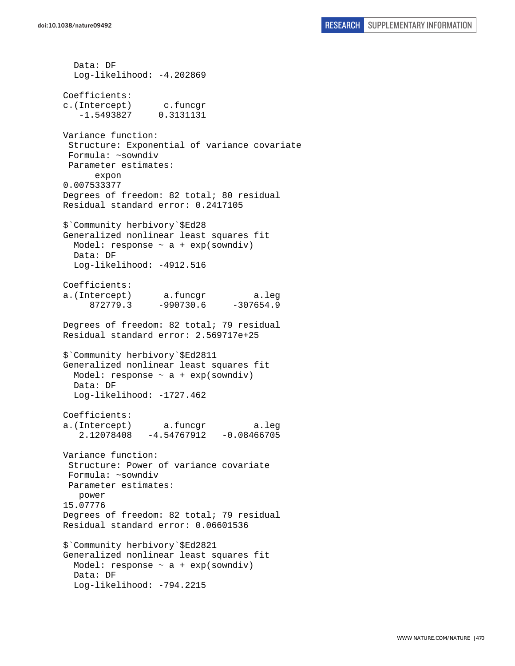Data: DF Log-likelihood: -4.202869 Coefficients: c.(Intercept) c.funcgr -1.5493827 0.3131131 Variance function: Structure: Exponential of variance covariate Formula: ~sowndiv Parameter estimates: expon 0.007533377 Degrees of freedom: 82 total; 80 residual Residual standard error: 0.2417105 \$`Community herbivory`\$Ed28 Generalized nonlinear least squares fit Model: response  $\sim$  a + exp(sowndiv) Data: DF Log-likelihood: -4912.516 Coefficients: a.(Intercept) a.funcgr a.leg 872779.3 -990730.6 -307654.9 Degrees of freedom: 82 total; 79 residual Residual standard error: 2.569717e+25 \$`Community herbivory`\$Ed2811 Generalized nonlinear least squares fit Model: response  $\sim$  a + exp(sowndiv) Data: DF Log-likelihood: -1727.462 Coefficients: a.(Intercept) a.funcgr a.leg 2.12078408 -4.54767912 -0.08466705 Variance function: Structure: Power of variance covariate Formula: ~sowndiv Parameter estimates: power 15.07776 Degrees of freedom: 82 total; 79 residual Residual standard error: 0.06601536 \$`Community herbivory`\$Ed2821 Generalized nonlinear least squares fit Model: response  $\sim$  a + exp(sowndiv) Data: DF Log-likelihood: -794.2215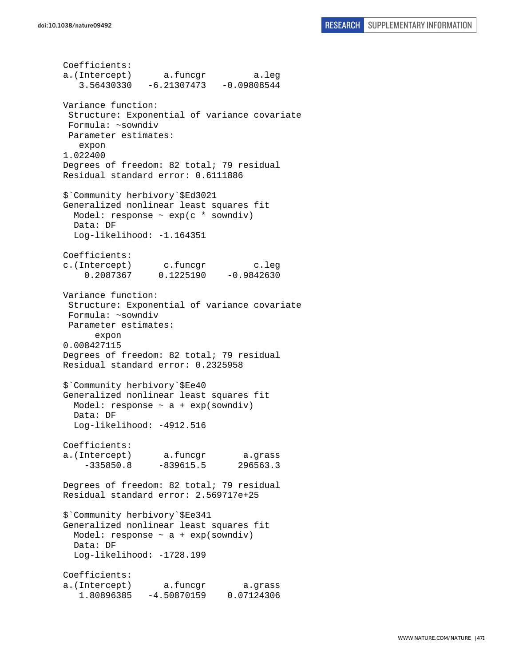Coefficients: a.(Intercept) a.funcgr a.leg 3.56430330 -6.21307473 -0.09808544 Variance function: Structure: Exponential of variance covariate Formula: ~sowndiv Parameter estimates: expon 1.022400 Degrees of freedom: 82 total; 79 residual Residual standard error: 0.6111886 \$`Community herbivory`\$Ed3021 Generalized nonlinear least squares fit Model: response ~ exp(c \* sowndiv) Data: DF Log-likelihood: -1.164351 Coefficients: c.(Intercept) c.funcgr c.leg 0.2087367 0.1225190 -0.9842630 Variance function: Structure: Exponential of variance covariate Formula: ~sowndiv Parameter estimates: expon 0.008427115 Degrees of freedom: 82 total; 79 residual Residual standard error: 0.2325958 \$`Community herbivory`\$Ee40 Generalized nonlinear least squares fit Model: response  $\sim$  a + exp(sowndiv) Data: DF Log-likelihood: -4912.516 Coefficients: a.(Intercept) a.funcgr a.grass -335850.8 -839615.5 296563.3 Degrees of freedom: 82 total; 79 residual Residual standard error: 2.569717e+25 \$`Community herbivory`\$Ee341 Generalized nonlinear least squares fit Model: response  $\sim$  a + exp(sowndiv) Data: DF Log-likelihood: -1728.199 Coefficients: a.(Intercept) a.funcgr a.grass 1.80896385 -4.50870159 0.07124306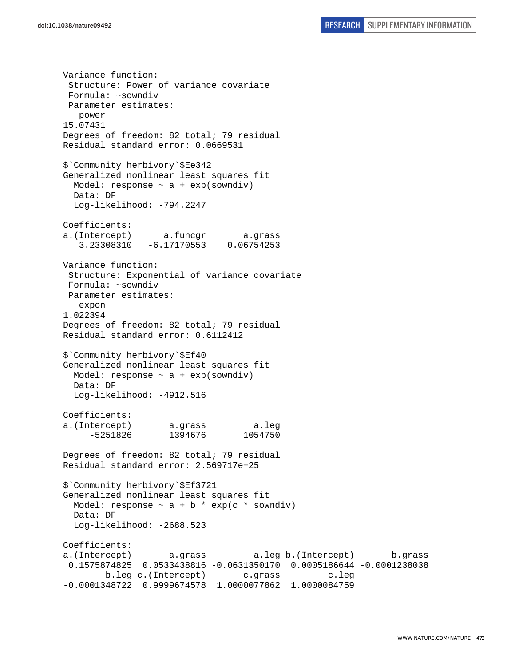Variance function: Structure: Power of variance covariate Formula: ~sowndiv Parameter estimates: power 15.07431 Degrees of freedom: 82 total; 79 residual Residual standard error: 0.0669531 \$`Community herbivory`\$Ee342 Generalized nonlinear least squares fit Model: response  $\sim$  a + exp(sowndiv) Data: DF Log-likelihood: -794.2247 Coefficients: a.(Intercept) a.funcgr a.grass 3.23308310 -6.17170553 0.06754253 Variance function: Structure: Exponential of variance covariate Formula: ~sowndiv Parameter estimates: expon 1.022394 Degrees of freedom: 82 total; 79 residual Residual standard error: 0.6112412 \$`Community herbivory`\$Ef40 Generalized nonlinear least squares fit Model: response  $\sim$  a + exp(sowndiv) Data: DF Log-likelihood: -4912.516 Coefficients: a.(Intercept) a.grass a.leg -5251826 1394676 1054750 Degrees of freedom: 82 total; 79 residual Residual standard error: 2.569717e+25 \$`Community herbivory`\$Ef3721 Generalized nonlinear least squares fit Model: response  $\sim$  a + b  $*$  exp(c  $*$  sowndiv) Data: DF Log-likelihood: -2688.523 Coefficients: a.(Intercept) a.grass a.leg b.(Intercept) b.grass 0.1575874825 0.0533438816 -0.0631350170 0.0005186644 -0.0001238038 b.leg c.(Intercept) c.grass c.leg -0.0001348722 0.9999674578 1.0000077862 1.0000084759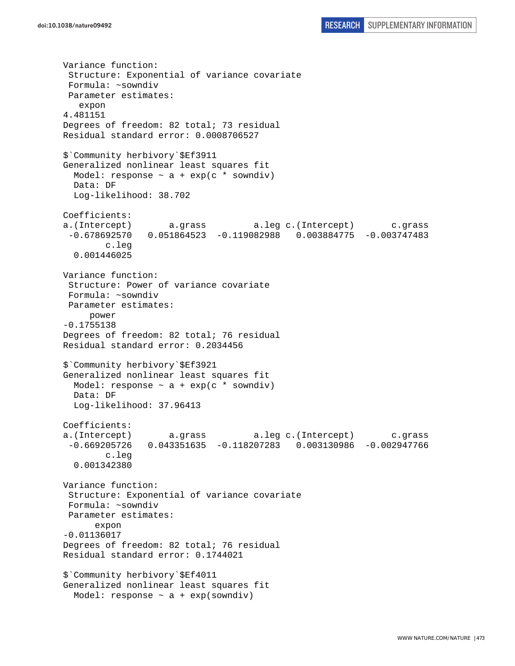Variance function: Structure: Exponential of variance covariate Formula: ~sowndiv Parameter estimates: expon 4.481151 Degrees of freedom: 82 total; 73 residual Residual standard error: 0.0008706527 \$`Community herbivory`\$Ef3911 Generalized nonlinear least squares fit Model: response  $\sim$  a + exp(c \* sowndiv) Data: DF Log-likelihood: 38.702 Coefficients: a.(Intercept) a.grass a.leg c.(Intercept) c.grass -0.678692570 0.051864523 -0.119082988 0.003884775 -0.003747483 c.leg 0.001446025 Variance function: Structure: Power of variance covariate Formula: ~sowndiv Parameter estimates: power -0.1755138 Degrees of freedom: 82 total; 76 residual Residual standard error: 0.2034456 \$`Community herbivory`\$Ef3921 Generalized nonlinear least squares fit Model: response  $\sim$  a + exp(c \* sowndiv) Data: DF Log-likelihood: 37.96413 Coefficients: a.(Intercept) a.grass a.leg c.(Intercept) c.grass -0.669205726 0.043351635 -0.118207283 0.003130986 -0.002947766 c.leg 0.001342380 Variance function: Structure: Exponential of variance covariate Formula: ~sowndiv Parameter estimates: expon -0.01136017 Degrees of freedom: 82 total; 76 residual Residual standard error: 0.1744021 \$`Community herbivory`\$Ef4011 Generalized nonlinear least squares fit Model: response  $\sim$  a + exp(sowndiv)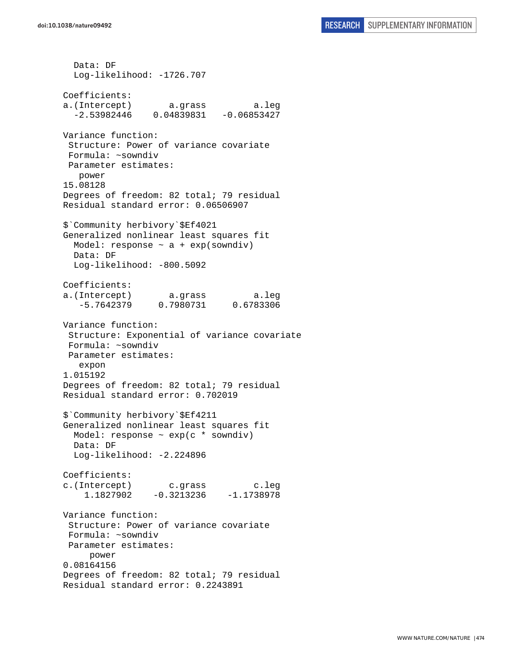Data: DF Log-likelihood: -1726.707 Coefficients: a.(Intercept) a.grass a.leg  $-2.53982446$  0.04839831  $-0.06853427$ Variance function: Structure: Power of variance covariate Formula: ~sowndiv Parameter estimates: power 15.08128 Degrees of freedom: 82 total; 79 residual Residual standard error: 0.06506907 \$`Community herbivory`\$Ef4021 Generalized nonlinear least squares fit Model: response  $\sim$  a + exp(sowndiv) Data: DF Log-likelihood: -800.5092 Coefficients: a.(Intercept) a.grass a.leg -5.7642379 0.7980731 0.6783306 Variance function: Structure: Exponential of variance covariate Formula: ~sowndiv Parameter estimates: expon 1.015192 Degrees of freedom: 82 total; 79 residual Residual standard error: 0.702019 \$`Community herbivory`\$Ef4211 Generalized nonlinear least squares fit Model: response  $\sim$  exp(c  $*$  sowndiv) Data: DF Log-likelihood: -2.224896 Coefficients: c.(Intercept) c.grass c.leg 1.1827902 -0.3213236 -1.1738978 Variance function: Structure: Power of variance covariate Formula: ~sowndiv Parameter estimates: power 0.08164156 Degrees of freedom: 82 total; 79 residual Residual standard error: 0.2243891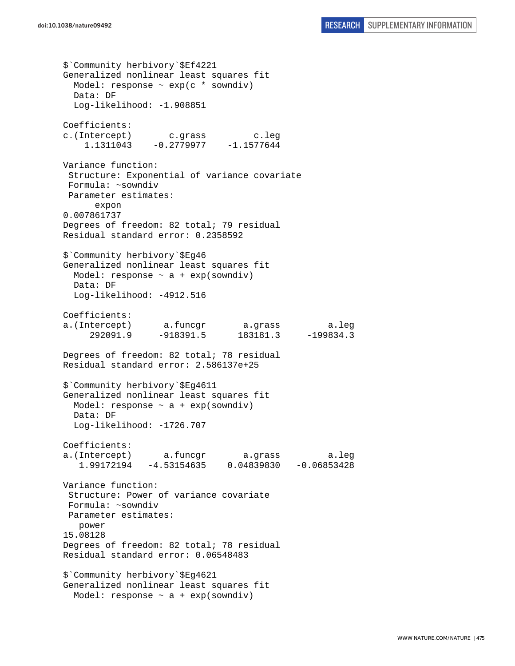\$`Community herbivory`\$Ef4221 Generalized nonlinear least squares fit Model: response  $\sim$  exp(c  $*$  sowndiv) Data: DF Log-likelihood: -1.908851 Coefficients: c.(Intercept) c.grass c.leg 1.1311043 -0.2779977 -1.1577644 Variance function: Structure: Exponential of variance covariate Formula: ~sowndiv Parameter estimates: expon 0.007861737 Degrees of freedom: 82 total; 79 residual Residual standard error: 0.2358592 \$`Community herbivory`\$Eg46 Generalized nonlinear least squares fit Model: response  $\sim$  a + exp(sowndiv) Data: DF Log-likelihood: -4912.516 Coefficients: a.(Intercept) a.funcgr a.grass a.leg 292091.9 -918391.5 183181.3 -199834.3 Degrees of freedom: 82 total; 78 residual Residual standard error: 2.586137e+25 \$`Community herbivory`\$Eg4611 Generalized nonlinear least squares fit Model: response ~ a + exp(sowndiv) Data: DF Log-likelihood: -1726.707 Coefficients: a.(Intercept) a.funcgr a.grass a.leg 1.99172194 -4.53154635 0.04839830 -0.06853428 Variance function: Structure: Power of variance covariate Formula: ~sowndiv Parameter estimates: power 15.08128 Degrees of freedom: 82 total; 78 residual Residual standard error: 0.06548483 \$`Community herbivory`\$Eg4621 Generalized nonlinear least squares fit Model: response  $\sim$  a + exp(sowndiv)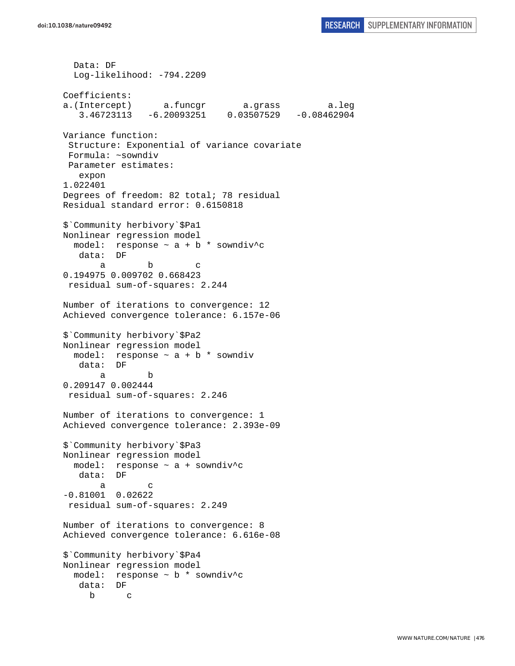Data: DF Log-likelihood: -794.2209 Coefficients: a.(Intercept) a.funcgr a.grass a.leg 3.46723113 -6.20093251 0.03507529 -0.08462904 Variance function: Structure: Exponential of variance covariate Formula: ~sowndiv Parameter estimates: expon 1.022401 Degrees of freedom: 82 total; 78 residual Residual standard error: 0.6150818 \$`Community herbivory`\$Pa1 Nonlinear regression model model: response  $\sim$  a + b \* sowndiv<sup>^</sup>c data: DF a b c 0.194975 0.009702 0.668423 residual sum-of-squares: 2.244 Number of iterations to convergence: 12 Achieved convergence tolerance: 6.157e-06 \$`Community herbivory`\$Pa2 Nonlinear regression model model: response ~ a + b \* sowndiv data: DF a b 0.209147 0.002444 residual sum-of-squares: 2.246 Number of iterations to convergence: 1 Achieved convergence tolerance: 2.393e-09 \$`Community herbivory`\$Pa3 Nonlinear regression model model: response ~ a + sowndiv^c data: DF a c -0.81001 0.02622 residual sum-of-squares: 2.249 Number of iterations to convergence: 8 Achieved convergence tolerance: 6.616e-08 \$`Community herbivory`\$Pa4 Nonlinear regression model model: response ~ b \* sowndiv^c data: DF b c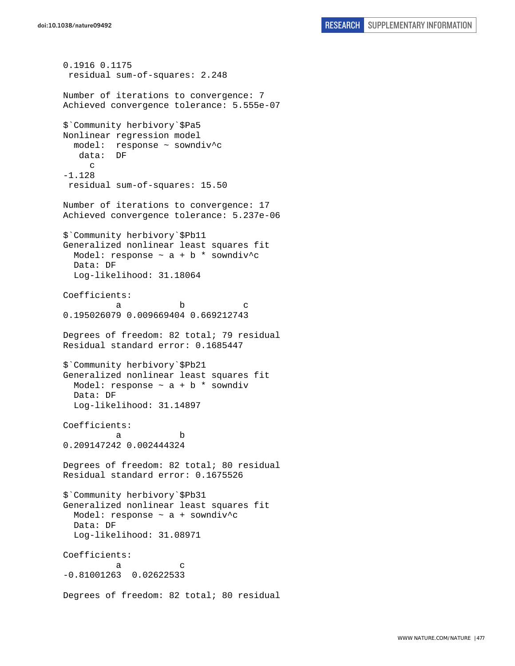```
0.1916 0.1175 
  residual sum-of-squares: 2.248 
Number of iterations to convergence: 7 
Achieved convergence tolerance: 5.555e-07 
$`Community herbivory`$Pa5 
Nonlinear regression model 
   model: response ~ sowndiv^c 
    data: DF 
      c 
-1.128 
 residual sum-of-squares: 15.50 
Number of iterations to convergence: 17 
Achieved convergence tolerance: 5.237e-06 
$`Community herbivory`$Pb11 
Generalized nonlinear least squares fit 
 Model: response \sim a + b * sowndiv<sup>^</sup>c
  Data: DF 
  Log-likelihood: 31.18064 
Coefficients: 
a b c
0.195026079 0.009669404 0.669212743 
Degrees of freedom: 82 total; 79 residual 
Residual standard error: 0.1685447 
$`Community herbivory`$Pb21 
Generalized nonlinear least squares fit 
 Model: response \sim a + b * sowndiv
  Data: DF 
   Log-likelihood: 31.14897 
Coefficients: 
 a b 
0.209147242 0.002444324 
Degrees of freedom: 82 total; 80 residual 
Residual standard error: 0.1675526 
$`Community herbivory`$Pb31 
Generalized nonlinear least squares fit 
  Model: response ~ a + sowndiv^c 
  Data: DF 
   Log-likelihood: 31.08971 
Coefficients: 
a c
-0.81001263 0.02622533 
Degrees of freedom: 82 total; 80 residual
```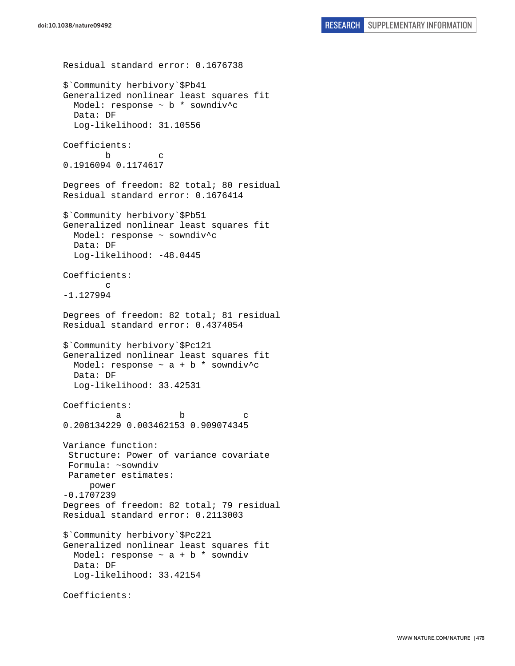Residual standard error: 0.1676738 \$`Community herbivory`\$Pb41 Generalized nonlinear least squares fit Model: response ~ b \* sowndiv^c Data: DF Log-likelihood: 31.10556 Coefficients: b c 0.1916094 0.1174617 Degrees of freedom: 82 total; 80 residual Residual standard error: 0.1676414 \$`Community herbivory`\$Pb51 Generalized nonlinear least squares fit Model: response ~ sowndiv^c Data: DF Log-likelihood: -48.0445 Coefficients: c -1.127994 Degrees of freedom: 82 total; 81 residual Residual standard error: 0.4374054 \$`Community herbivory`\$Pc121 Generalized nonlinear least squares fit Model: response  $\sim$  a + b \* sowndiv^c Data: DF Log-likelihood: 33.42531 Coefficients: a b c 0.208134229 0.003462153 0.909074345 Variance function: Structure: Power of variance covariate Formula: ~sowndiv Parameter estimates: power -0.1707239 Degrees of freedom: 82 total; 79 residual Residual standard error: 0.2113003 \$`Community herbivory`\$Pc221 Generalized nonlinear least squares fit Model: response  $\sim$  a + b  $*$  sowndiv Data: DF Log-likelihood: 33.42154 Coefficients: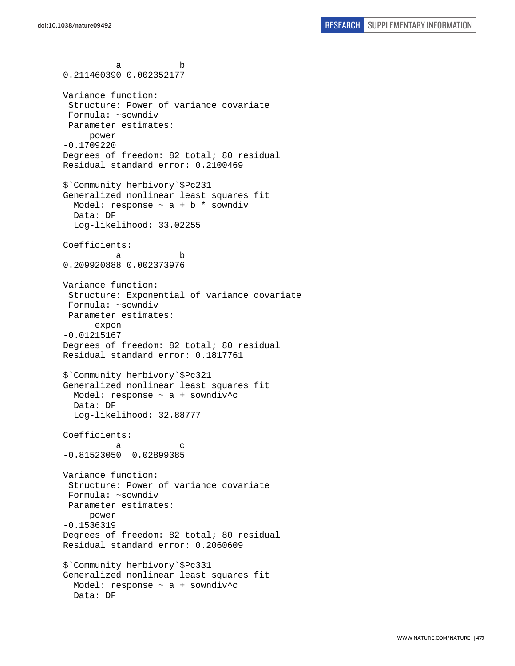a b 0.211460390 0.002352177 Variance function: Structure: Power of variance covariate Formula: ~sowndiv Parameter estimates: power -0.1709220 Degrees of freedom: 82 total; 80 residual Residual standard error: 0.2100469 \$`Community herbivory`\$Pc231 Generalized nonlinear least squares fit Model: response  $\sim$  a + b  $*$  sowndiv Data: DF Log-likelihood: 33.02255 Coefficients: a b 0.209920888 0.002373976 Variance function: Structure: Exponential of variance covariate Formula: ~sowndiv Parameter estimates: expon -0.01215167 Degrees of freedom: 82 total; 80 residual Residual standard error: 0.1817761 \$`Community herbivory`\$Pc321 Generalized nonlinear least squares fit Model: response ~ a + sowndiv^c Data: DF Log-likelihood: 32.88777 Coefficients: a c -0.81523050 0.02899385 Variance function: Structure: Power of variance covariate Formula: ~sowndiv Parameter estimates: power -0.1536319 Degrees of freedom: 82 total; 80 residual Residual standard error: 0.2060609 \$`Community herbivory`\$Pc331 Generalized nonlinear least squares fit Model: response ~ a + sowndiv^c Data: DF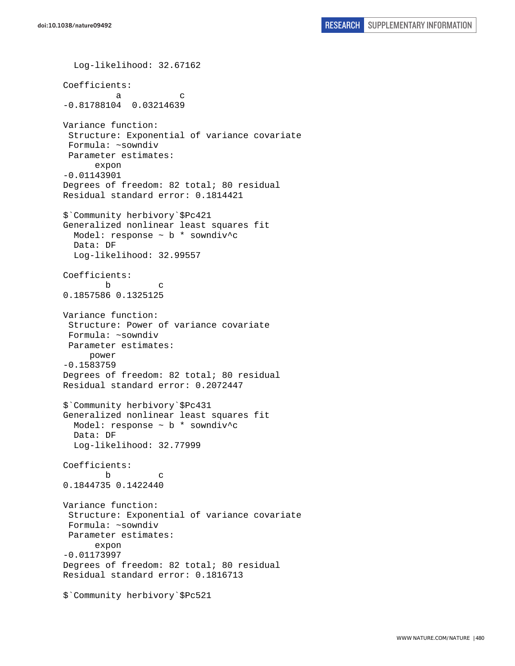Log-likelihood: 32.67162 Coefficients: a c -0.81788104 0.03214639 Variance function: Structure: Exponential of variance covariate Formula: ~sowndiv Parameter estimates: expon -0.01143901 Degrees of freedom: 82 total; 80 residual Residual standard error: 0.1814421 \$`Community herbivory`\$Pc421 Generalized nonlinear least squares fit Model: response ~ b \* sowndiv^c Data: DF Log-likelihood: 32.99557 Coefficients: b c 0.1857586 0.1325125 Variance function: Structure: Power of variance covariate Formula: ~sowndiv Parameter estimates: power -0.1583759 Degrees of freedom: 82 total; 80 residual Residual standard error: 0.2072447 \$`Community herbivory`\$Pc431 Generalized nonlinear least squares fit Model: response ~ b \* sowndiv^c Data: DF Log-likelihood: 32.77999 Coefficients: b c 0.1844735 0.1422440 Variance function: Structure: Exponential of variance covariate Formula: ~sowndiv Parameter estimates: expon -0.01173997 Degrees of freedom: 82 total; 80 residual Residual standard error: 0.1816713 \$`Community herbivory`\$Pc521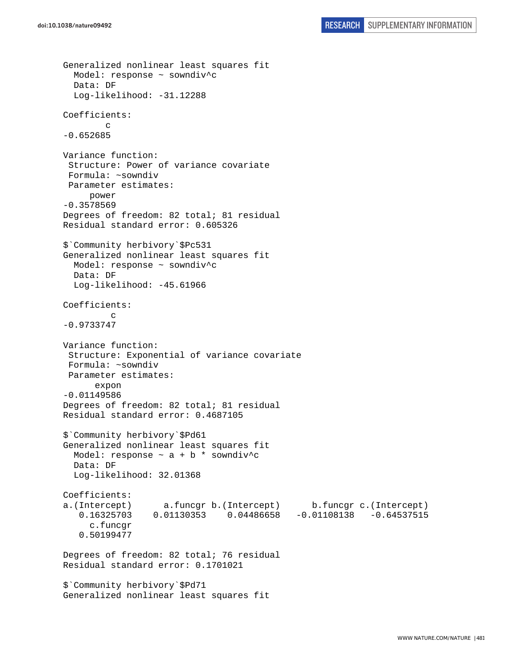```
Generalized nonlinear least squares fit 
   Model: response ~ sowndiv^c 
   Data: DF 
   Log-likelihood: -31.12288 
Coefficients: 
 c 
-0.652685 
Variance function: 
  Structure: Power of variance covariate 
  Formula: ~sowndiv 
 Parameter estimates: 
      power 
-0.3578569 
Degrees of freedom: 82 total; 81 residual 
Residual standard error: 0.605326 
$`Community herbivory`$Pc531 
Generalized nonlinear least squares fit 
  Model: response ~ sowndiv^c
   Data: DF 
   Log-likelihood: -45.61966 
Coefficients: 
 c 
-0.9733747 
Variance function: 
  Structure: Exponential of variance covariate 
  Formula: ~sowndiv 
  Parameter estimates: 
       expon 
-0.01149586 
Degrees of freedom: 82 total; 81 residual 
Residual standard error: 0.4687105 
$`Community herbivory`$Pd61 
Generalized nonlinear least squares fit 
  Model: response \sim a + b * sowndiv<sup>^</sup>c
   Data: DF 
   Log-likelihood: 32.01368 
Coefficients: 
a.(Intercept) a.funcgr b.(Intercept) b.funcgr c.(Intercept) 
    0.16325703 0.01130353 0.04486658 -0.01108138 -0.64537515 
      c.funcgr 
    0.50199477 
Degrees of freedom: 82 total; 76 residual 
Residual standard error: 0.1701021 
$`Community herbivory`$Pd71 
Generalized nonlinear least squares fit
```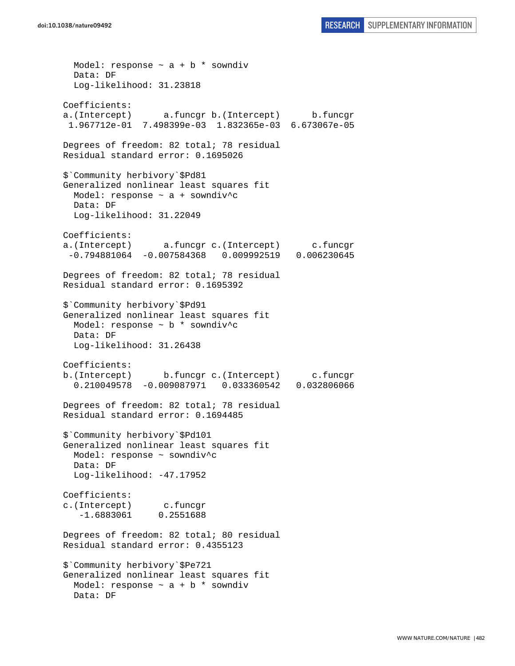Model: response  $\sim$  a + b \* sowndiv Data: DF Log-likelihood: 31.23818 Coefficients: a.(Intercept) a.funcgr b.(Intercept) b.funcgr 1.967712e-01 7.498399e-03 1.832365e-03 6.673067e-05 Degrees of freedom: 82 total; 78 residual Residual standard error: 0.1695026 \$`Community herbivory`\$Pd81 Generalized nonlinear least squares fit Model: response ~ a + sowndiv^c Data: DF Log-likelihood: 31.22049 Coefficients: a.(Intercept) a.funcgr c.(Intercept) c.funcgr -0.794881064 -0.007584368 0.009992519 0.006230645 Degrees of freedom: 82 total; 78 residual Residual standard error: 0.1695392 \$`Community herbivory`\$Pd91 Generalized nonlinear least squares fit Model: response ~ b \* sowndiv^c Data: DF Log-likelihood: 31.26438 Coefficients: b.(Intercept) b.funcgr c.(Intercept) c.funcgr 0.210049578 -0.009087971 0.033360542 0.032806066 Degrees of freedom: 82 total; 78 residual Residual standard error: 0.1694485 \$`Community herbivory`\$Pd101 Generalized nonlinear least squares fit Model: response ~ sowndiv^c Data: DF Log-likelihood: -47.17952 Coefficients: c.(Intercept) c.funcgr -1.6883061 0.2551688 Degrees of freedom: 82 total; 80 residual Residual standard error: 0.4355123 \$`Community herbivory`\$Pe721 Generalized nonlinear least squares fit Model: response  $\sim$  a + b \* sowndiv Data: DF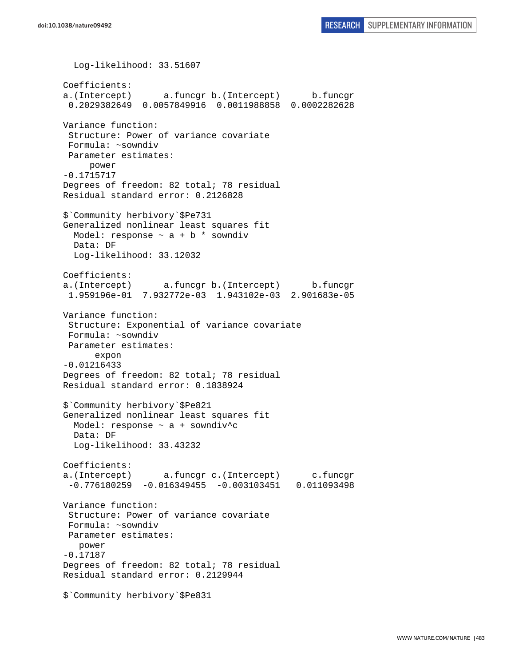Log-likelihood: 33.51607 Coefficients: a.(Intercept) a.funcgr b.(Intercept) b.funcgr 0.2029382649 0.0057849916 0.0011988858 0.0002282628 Variance function: Structure: Power of variance covariate Formula: ~sowndiv Parameter estimates: power -0.1715717 Degrees of freedom: 82 total; 78 residual Residual standard error: 0.2126828 \$`Community herbivory`\$Pe731 Generalized nonlinear least squares fit Model: response  $\sim$  a + b  $*$  sowndiv Data: DF Log-likelihood: 33.12032 Coefficients: a.(Intercept) a.funcgr b.(Intercept) b.funcgr 1.959196e-01 7.932772e-03 1.943102e-03 2.901683e-05 Variance function: Structure: Exponential of variance covariate Formula: ~sowndiv Parameter estimates: expon -0.01216433 Degrees of freedom: 82 total; 78 residual Residual standard error: 0.1838924 \$`Community herbivory`\$Pe821 Generalized nonlinear least squares fit Model: response ~ a + sowndiv^c Data: DF Log-likelihood: 33.43232 Coefficients: a.(Intercept) a.funcgr c.(Intercept) c.funcgr -0.776180259 -0.016349455 -0.003103451 0.011093498 Variance function: Structure: Power of variance covariate Formula: ~sowndiv Parameter estimates: power -0.17187 Degrees of freedom: 82 total; 78 residual Residual standard error: 0.2129944 \$`Community herbivory`\$Pe831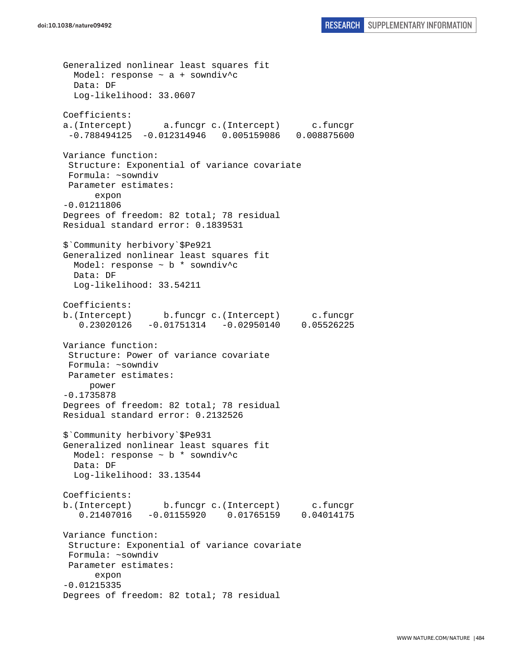Generalized nonlinear least squares fit Model: response  $\sim$  a + sowndiv<sup>^</sup>c Data: DF Log-likelihood: 33.0607 Coefficients: a.(Intercept) a.funcgr c.(Intercept) c.funcgr -0.788494125 -0.012314946 0.005159086 0.008875600 Variance function: Structure: Exponential of variance covariate Formula: ~sowndiv Parameter estimates: expon -0.01211806 Degrees of freedom: 82 total; 78 residual Residual standard error: 0.1839531 \$`Community herbivory`\$Pe921 Generalized nonlinear least squares fit Model: response ~ b \* sowndiv^c Data: DF Log-likelihood: 33.54211 Coefficients: b.(Intercept) b.funcgr c.(Intercept) c.funcgr 0.23020126 -0.01751314 -0.02950140 0.05526225 Variance function: Structure: Power of variance covariate Formula: ~sowndiv Parameter estimates: power -0.1735878 Degrees of freedom: 82 total; 78 residual Residual standard error: 0.2132526 \$`Community herbivory`\$Pe931 Generalized nonlinear least squares fit Model: response  $\sim$  b  $*$  sowndiv<sup>^</sup>c Data: DF Log-likelihood: 33.13544 Coefficients: b.(Intercept) b.funcgr c.(Intercept) c.funcgr 0.21407016 -0.01155920 0.01765159 0.04014175 Variance function: Structure: Exponential of variance covariate Formula: ~sowndiv Parameter estimates: expon -0.01215335 Degrees of freedom: 82 total; 78 residual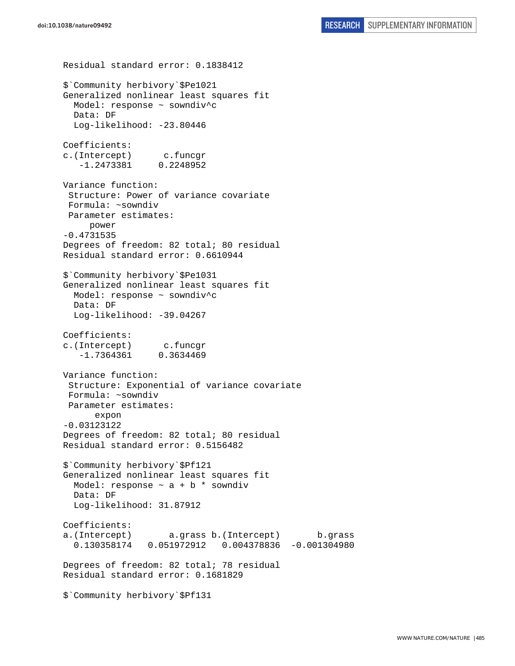Residual standard error: 0.1838412 \$`Community herbivory`\$Pe1021 Generalized nonlinear least squares fit Model: response ~ sowndiv^c Data: DF Log-likelihood: -23.80446 Coefficients: c.(Intercept) c.funcgr -1.2473381 0.2248952 Variance function: Structure: Power of variance covariate Formula: ~sowndiv Parameter estimates: power -0.4731535 Degrees of freedom: 82 total; 80 residual Residual standard error: 0.6610944 \$`Community herbivory`\$Pe1031 Generalized nonlinear least squares fit Model: response ~ sowndiv^c Data: DF Log-likelihood: -39.04267 Coefficients: c.(Intercept) c.funcgr -1.7364361 0.3634469 Variance function: Structure: Exponential of variance covariate Formula: ~sowndiv Parameter estimates: expon -0.03123122 Degrees of freedom: 82 total; 80 residual Residual standard error: 0.5156482 \$`Community herbivory`\$Pf121 Generalized nonlinear least squares fit Model: response  $\sim$  a + b  $*$  sowndiv Data: DF Log-likelihood: 31.87912 Coefficients: a.(Intercept) a.grass b.(Intercept) b.grass 0.130358174 0.051972912 0.004378836 -0.001304980 Degrees of freedom: 82 total; 78 residual Residual standard error: 0.1681829 \$`Community herbivory`\$Pf131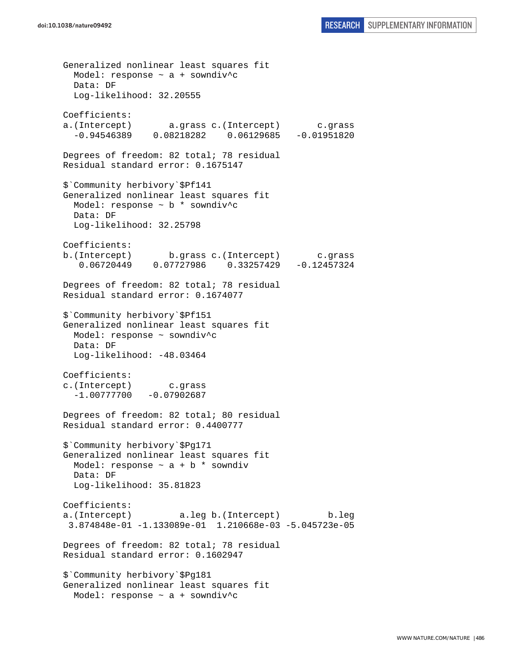Generalized nonlinear least squares fit Model: response  $\sim$  a + sowndiv<sup>^</sup>c Data: DF Log-likelihood: 32.20555 Coefficients: a.(Intercept) a.grass c.(Intercept) c.grass -0.94546389 0.08218282 0.06129685 -0.01951820 Degrees of freedom: 82 total; 78 residual Residual standard error: 0.1675147 \$`Community herbivory`\$Pf141 Generalized nonlinear least squares fit Model: response ~ b \* sowndiv^c Data: DF Log-likelihood: 32.25798 Coefficients: b.(Intercept) b.grass c.(Intercept) c.grass 0.06720449 0.07727986 0.33257429 -0.12457324 Degrees of freedom: 82 total; 78 residual Residual standard error: 0.1674077 \$`Community herbivory`\$Pf151 Generalized nonlinear least squares fit Model: response ~ sowndiv^c Data: DF Log-likelihood: -48.03464 Coefficients: c.(Intercept) c.grass  $-1.00777700 -0.07902687$ Degrees of freedom: 82 total; 80 residual Residual standard error: 0.4400777 \$`Community herbivory`\$Pg171 Generalized nonlinear least squares fit Model: response  $\sim$  a + b \* sowndiv Data: DF Log-likelihood: 35.81823 Coefficients: a.(Intercept) a.leg b.(Intercept) b.leg 3.874848e-01 -1.133089e-01 1.210668e-03 -5.045723e-05 Degrees of freedom: 82 total; 78 residual Residual standard error: 0.1602947 \$`Community herbivory`\$Pg181 Generalized nonlinear least squares fit Model: response  $\sim$  a + sowndiv<sup>^</sup>c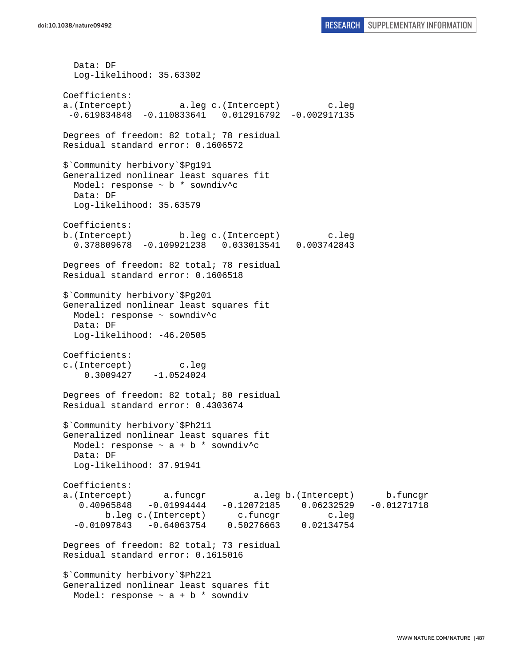Data: DF Log-likelihood: 35.63302 Coefficients: a.(Intercept) a.leg c.(Intercept) c.leg -0.619834848 -0.110833641 0.012916792 -0.002917135 Degrees of freedom: 82 total; 78 residual Residual standard error: 0.1606572 \$`Community herbivory`\$Pg191 Generalized nonlinear least squares fit Model: response  $\sim$  b  $*$  sowndiv<sup>^</sup>c Data: DF Log-likelihood: 35.63579 Coefficients: b.(Intercept) b.leg c.(Intercept) c.leg 0.378809678 -0.109921238 0.033013541 0.003742843 Degrees of freedom: 82 total; 78 residual Residual standard error: 0.1606518 \$`Community herbivory`\$Pg201 Generalized nonlinear least squares fit Model: response ~ sowndiv^c Data: DF Log-likelihood: -46.20505 Coefficients: c.(Intercept) c.leg 0.3009427 -1.0524024 Degrees of freedom: 82 total; 80 residual Residual standard error: 0.4303674 \$`Community herbivory`\$Ph211 Generalized nonlinear least squares fit Model: response  $\sim$  a + b \* sowndiv^c Data: DF Log-likelihood: 37.91941 Coefficients: a.(Intercept) a.funcgr a.leg b.(Intercept) b.funcgr 0.40965848 -0.01994444 -0.12072185 0.06232529 -0.01271718 b.leg c.(Intercept) c.funcgr c.leg  $-0.01097843 - 0.64063754$  0.50276663 0.02134754 Degrees of freedom: 82 total; 73 residual Residual standard error: 0.1615016 \$`Community herbivory`\$Ph221 Generalized nonlinear least squares fit Model: response  $\sim$  a + b \* sowndiv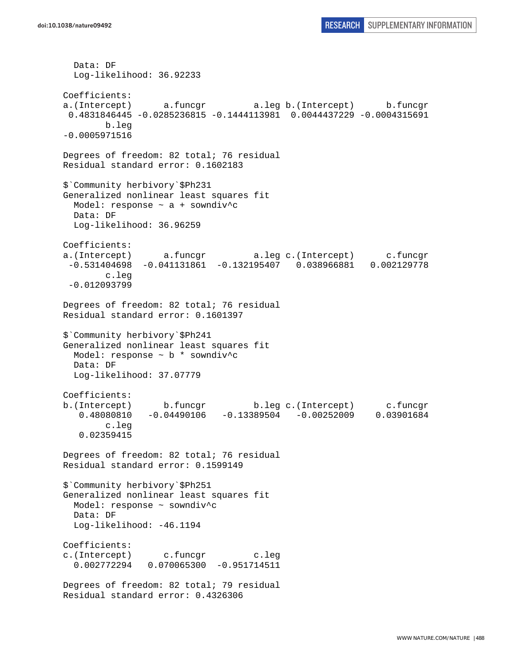```
 Data: DF 
   Log-likelihood: 36.92233 
Coefficients: 
a.(Intercept) a.funcgr a.leg b.(Intercept) b.funcgr 
  0.4831846445 -0.0285236815 -0.1444113981 0.0044437229 -0.0004315691 
        b.leg 
-0.0005971516 
Degrees of freedom: 82 total; 76 residual 
Residual standard error: 0.1602183 
$`Community herbivory`$Ph231 
Generalized nonlinear least squares fit 
  Model: response ~ a + sowndiv^c 
  Data: DF 
  Log-likelihood: 36.96259 
Coefficients: 
a.(Intercept) a.funcgr a.leg c.(Intercept) c.funcgr 
  -0.531404698 -0.041131861 -0.132195407 0.038966881 0.002129778 
         c.leg 
 -0.012093799 
Degrees of freedom: 82 total; 76 residual 
Residual standard error: 0.1601397 
$`Community herbivory`$Ph241 
Generalized nonlinear least squares fit 
  Model: response ~ b * sowndiv^c 
  Data: DF 
  Log-likelihood: 37.07779 
Coefficients: 
b.(Intercept) b.funcgr b.leg c.(Intercept) c.funcgr 
   0.48080810 -0.04490106 -0.13389504 -0.00252009 0.03901684 
         c.leg 
    0.02359415 
Degrees of freedom: 82 total; 76 residual 
Residual standard error: 0.1599149 
$`Community herbivory`$Ph251 
Generalized nonlinear least squares fit 
   Model: response ~ sowndiv^c 
  Data: DF 
  Log-likelihood: -46.1194 
Coefficients: 
c.(Intercept) c.funcgr c.leg 
   0.002772294 0.070065300 -0.951714511 
Degrees of freedom: 82 total; 79 residual 
Residual standard error: 0.4326306
```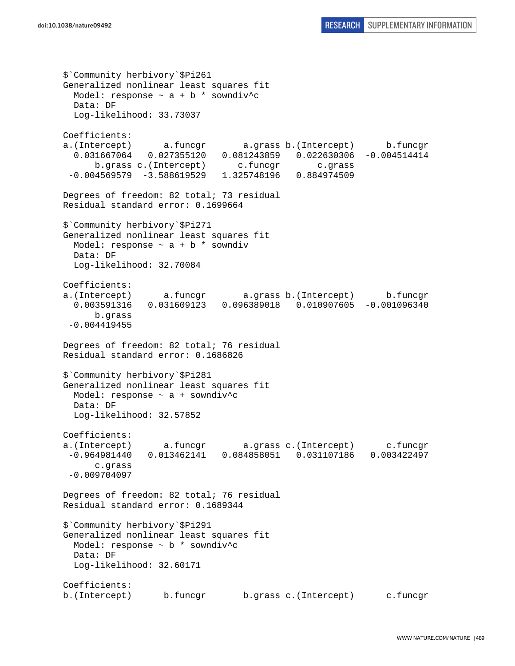\$`Community herbivory`\$Pi261 Generalized nonlinear least squares fit Model: response  $\sim$  a + b \* sowndiv^c Data: DF Log-likelihood: 33.73037 Coefficients: a.(Intercept) a.funcgr a.grass b.(Intercept) b.funcgr 0.031667064 0.027355120 0.081243859 0.022630306 -0.004514414 b.grass c.(Intercept) c.funcgr c.grass -0.004569579 -3.588619529 1.325748196 0.884974509 Degrees of freedom: 82 total; 73 residual Residual standard error: 0.1699664 \$`Community herbivory`\$Pi271 Generalized nonlinear least squares fit Model: response  $\sim$  a + b \* sowndiv Data: DF Log-likelihood: 32.70084 Coefficients: a.(Intercept) a.funcgr a.grass b.(Intercept) b.funcgr 0.003591316 0.031609123 0.096389018 0.010907605 -0.001096340 b.grass -0.004419455 Degrees of freedom: 82 total; 76 residual Residual standard error: 0.1686826 \$`Community herbivory`\$Pi281 Generalized nonlinear least squares fit Model: response ~ a + sowndiv^c Data: DF Log-likelihood: 32.57852 Coefficients: a.(Intercept) a.funcgr a.grass c.(Intercept) c.funcgr -0.964981440 0.013462141 0.084858051 0.031107186 0.003422497 c.grass -0.009704097 Degrees of freedom: 82 total; 76 residual Residual standard error: 0.1689344 \$`Community herbivory`\$Pi291 Generalized nonlinear least squares fit Model: response ~ b \* sowndiv^c Data: DF Log-likelihood: 32.60171 Coefficients: b.(Intercept) b.funcgr b.grass c.(Intercept) c.funcgr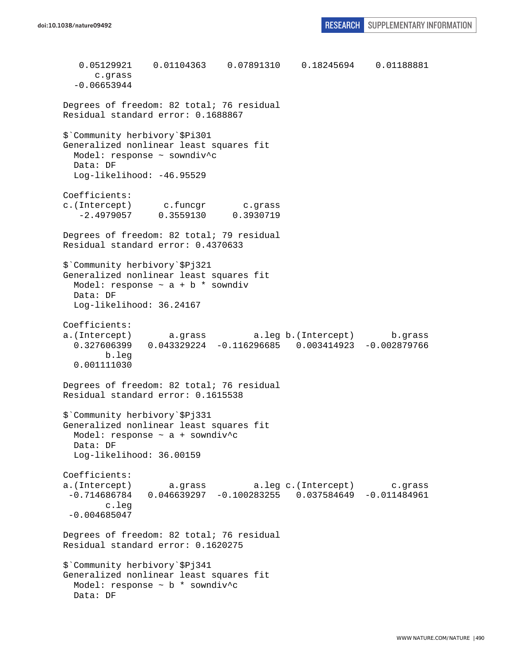0.05129921 0.01104363 0.07891310 0.18245694 0.01188881 c.grass -0.06653944 Degrees of freedom: 82 total; 76 residual Residual standard error: 0.1688867 \$`Community herbivory`\$Pi301 Generalized nonlinear least squares fit Model: response ~ sowndiv^c Data: DF Log-likelihood: -46.95529 Coefficients: c.(Intercept) c.funcgr c.grass -2.4979057 0.3559130 0.3930719 Degrees of freedom: 82 total; 79 residual Residual standard error: 0.4370633 \$`Community herbivory`\$Pj321 Generalized nonlinear least squares fit Model: response  $\sim$  a + b  $*$  sowndiv Data: DF Log-likelihood: 36.24167 Coefficients: a.(Intercept) a.grass a.leg b.(Intercept) b.grass 0.327606399 0.043329224 -0.116296685 0.003414923 -0.002879766 b.leg 0.001111030 Degrees of freedom: 82 total; 76 residual Residual standard error: 0.1615538 \$`Community herbivory`\$Pj331 Generalized nonlinear least squares fit Model: response  $\sim$  a + sowndiv^c Data: DF Log-likelihood: 36.00159 Coefficients: a.(Intercept) a.grass a.leg c.(Intercept) c.grass  $-0.714686784$  0.046639297  $-0.100283255$  0.037584649  $-0.011484961$  c.leg -0.004685047 Degrees of freedom: 82 total; 76 residual Residual standard error: 0.1620275 \$`Community herbivory`\$Pj341 Generalized nonlinear least squares fit Model: response ~ b \* sowndiv^c Data: DF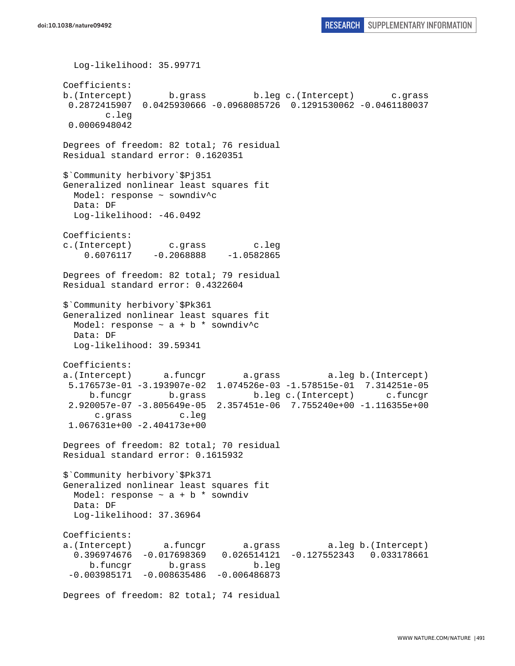```
 Log-likelihood: 35.99771 
Coefficients: 
b.(Intercept) b.grass b.leg c.(Intercept) c.grass 
  0.2872415907 0.0425930666 -0.0968085726 0.1291530062 -0.0461180037 
        c.leg 
  0.0006948042 
Degrees of freedom: 82 total; 76 residual 
Residual standard error: 0.1620351 
$`Community herbivory`$Pj351 
Generalized nonlinear least squares fit 
  Model: response ~ sowndiv^c 
  Data: DF 
  Log-likelihood: -46.0492 
Coefficients: 
c.(Intercept) c.grass c.leg 
    0.6076117 -0.2068888 -1.0582865Degrees of freedom: 82 total; 79 residual 
Residual standard error: 0.4322604 
$`Community herbivory`$Pk361 
Generalized nonlinear least squares fit 
 Model: response \sim a + b * sowndiv<sup>^</sup>c
  Data: DF 
  Log-likelihood: 39.59341 
Coefficients: 
a.(Intercept) a.funcgr a.grass a.leg b.(Intercept) 
  5.176573e-01 -3.193907e-02 1.074526e-03 -1.578515e-01 7.314251e-05 
     b.funcgr b.grass b.leg c.(Intercept) c.funcgr 
  2.920057e-07 -3.805649e-05 2.357451e-06 7.755240e+00 -1.116355e+00 
      c.grass c.leg 
  1.067631e+00 -2.404173e+00 
Degrees of freedom: 82 total; 70 residual 
Residual standard error: 0.1615932 
$`Community herbivory`$Pk371 
Generalized nonlinear least squares fit 
 Model: response \sim a + b * sowndiv
  Data: DF 
  Log-likelihood: 37.36964 
Coefficients: 
a.(Intercept) a.funcgr a.grass a.leg b.(Intercept) 
   0.396974676 -0.017698369 0.026514121 -0.127552343 0.033178661 
     b.funcgr b.grass b.leg 
  -0.003985171 -0.008635486 -0.006486873 
Degrees of freedom: 82 total; 74 residual
```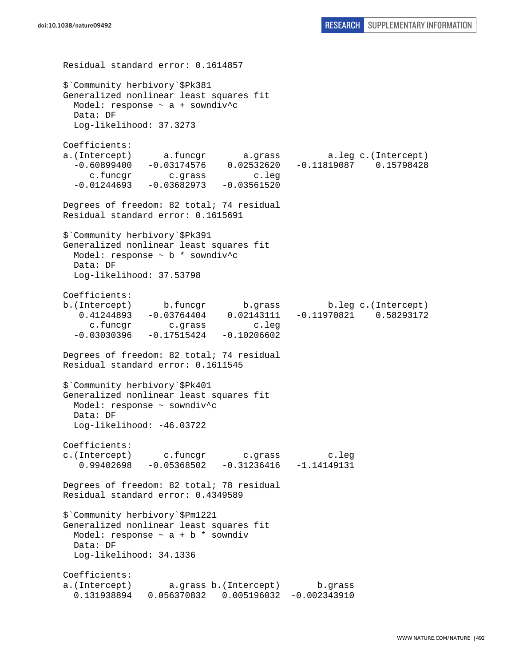Residual standard error: 0.1614857 \$`Community herbivory`\$Pk381 Generalized nonlinear least squares fit Model: response ~ a + sowndiv^c Data: DF Log-likelihood: 37.3273 Coefficients: a.(Intercept) a.funcgr a.grass a.leg c.(Intercept) -0.60899400 -0.03174576 0.02532620 -0.11819087 0.15798428 c.funcgr c.grass c.leg  $-0.01244693 -0.03682973 -0.03561520$ Degrees of freedom: 82 total; 74 residual Residual standard error: 0.1615691 \$`Community herbivory`\$Pk391 Generalized nonlinear least squares fit Model: response  $\sim$  b  $*$  sowndiv<sup>^</sup>c Data: DF Log-likelihood: 37.53798 Coefficients: b.(Intercept) b.funcgr b.grass b.leg c.(Intercept) 0.41244893 -0.03764404 0.02143111 -0.11970821 0.58293172 c.funcgr c.grass c.leg  $-0.03030396 -0.17515424 -0.10206602$ Degrees of freedom: 82 total; 74 residual Residual standard error: 0.1611545 \$`Community herbivory`\$Pk401 Generalized nonlinear least squares fit Model: response ~ sowndiv^c Data: DF Log-likelihood: -46.03722 Coefficients: c.(Intercept) c.funcgr c.grass c.leg 0.99402698 -0.05368502 -0.31236416 -1.14149131 Degrees of freedom: 82 total; 78 residual Residual standard error: 0.4349589 \$`Community herbivory`\$Pm1221 Generalized nonlinear least squares fit Model: response  $\sim$  a + b \* sowndiv Data: DF Log-likelihood: 34.1336 Coefficients: a.(Intercept) a.grass b.(Intercept) b.grass 0.131938894 0.056370832 0.005196032 -0.002343910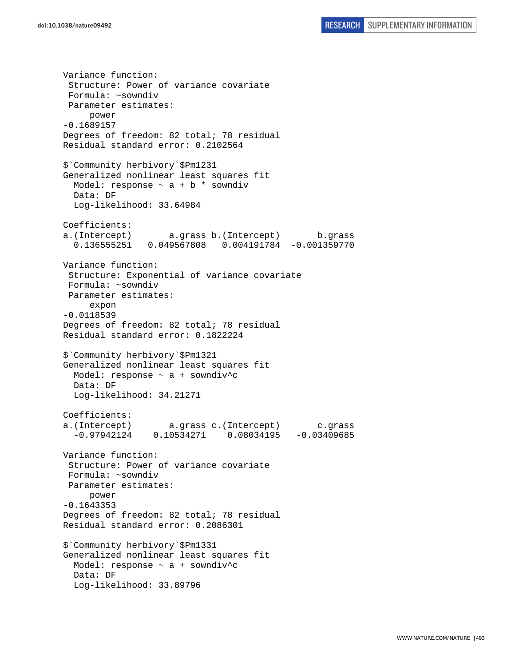Variance function: Structure: Power of variance covariate Formula: ~sowndiv Parameter estimates: power -0.1689157 Degrees of freedom: 82 total; 78 residual Residual standard error: 0.2102564 \$`Community herbivory`\$Pm1231 Generalized nonlinear least squares fit Model: response  $\sim$  a + b \* sowndiv Data: DF Log-likelihood: 33.64984 Coefficients: a.(Intercept) a.grass b.(Intercept) b.grass 0.136555251 0.049567808 0.004191784 -0.001359770 Variance function: Structure: Exponential of variance covariate Formula: ~sowndiv Parameter estimates: expon -0.0118539 Degrees of freedom: 82 total; 78 residual Residual standard error: 0.1822224 \$`Community herbivory`\$Pm1321 Generalized nonlinear least squares fit Model: response  $\sim$  a + sowndiv^c Data: DF Log-likelihood: 34.21271 Coefficients: a.(Intercept) a.grass c.(Intercept) c.grass -0.97942124 0.10534271 0.08034195 -0.03409685 Variance function: Structure: Power of variance covariate Formula: ~sowndiv Parameter estimates: power -0.1643353 Degrees of freedom: 82 total; 78 residual Residual standard error: 0.2086301 \$`Community herbivory`\$Pm1331 Generalized nonlinear least squares fit Model: response  $\sim$  a + sowndiv<sup>^</sup>c Data: DF Log-likelihood: 33.89796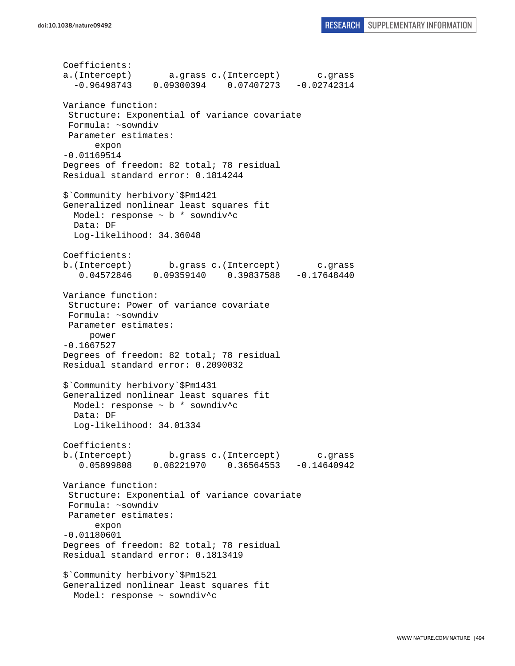```
Coefficients: 
a.(Intercept) a.grass c.(Intercept) c.grass 
   -0.96498743 0.09300394 0.07407273 -0.02742314 
Variance function: 
  Structure: Exponential of variance covariate 
 Formula: ~sowndiv 
 Parameter estimates: 
       expon 
-0.01169514 
Degrees of freedom: 82 total; 78 residual 
Residual standard error: 0.1814244 
$`Community herbivory`$Pm1421 
Generalized nonlinear least squares fit 
   Model: response ~ b * sowndiv^c 
   Data: DF 
   Log-likelihood: 34.36048 
Coefficients: 
b.(Intercept) b.grass c.(Intercept) c.grass 
    0.04572846 0.09359140 0.39837588 -0.17648440 
Variance function: 
  Structure: Power of variance covariate 
  Formula: ~sowndiv 
 Parameter estimates: 
      power 
-0.1667527 
Degrees of freedom: 82 total; 78 residual 
Residual standard error: 0.2090032 
$`Community herbivory`$Pm1431 
Generalized nonlinear least squares fit 
  Model: response ~ b * sowndiv^c 
  Data: DF 
   Log-likelihood: 34.01334 
Coefficients: 
b.(Intercept) b.grass c.(Intercept) c.grass 
    0.05899808 0.08221970 0.36564553 -0.14640942 
Variance function: 
 Structure: Exponential of variance covariate 
  Formula: ~sowndiv 
 Parameter estimates: 
       expon 
-0.01180601 
Degrees of freedom: 82 total; 78 residual 
Residual standard error: 0.1813419 
$`Community herbivory`$Pm1521 
Generalized nonlinear least squares fit 
   Model: response ~ sowndiv^c
```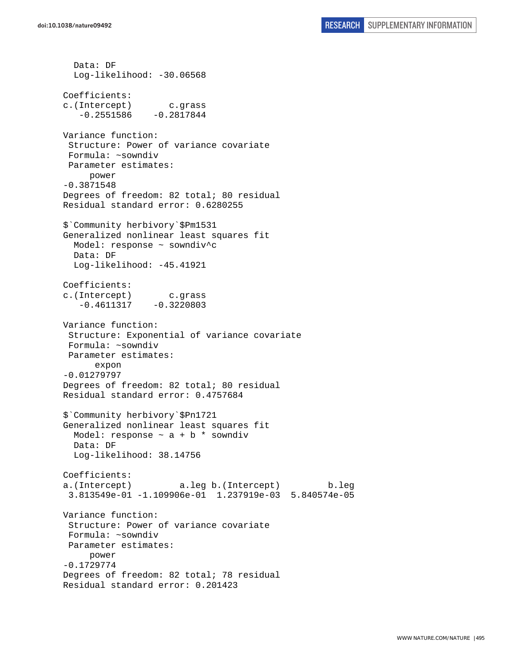Data: DF

Log-likelihood: -30.06568 Coefficients: c.(Intercept) c.grass  $-0.2551586 -0.2817844$ Variance function: Structure: Power of variance covariate Formula: ~sowndiv Parameter estimates: power -0.3871548 Degrees of freedom: 82 total; 80 residual Residual standard error: 0.6280255 \$`Community herbivory`\$Pm1531 Generalized nonlinear least squares fit Model: response ~ sowndiv^c Data: DF Log-likelihood: -45.41921 Coefficients: c.(Intercept) c.grass  $-0.4611317 -0.3220803$ Variance function: Structure: Exponential of variance covariate Formula: ~sowndiv Parameter estimates: expon -0.01279797 Degrees of freedom: 82 total; 80 residual Residual standard error: 0.4757684 \$`Community herbivory`\$Pn1721 Generalized nonlinear least squares fit Model: response  $\sim$  a + b  $*$  sowndiv Data: DF Log-likelihood: 38.14756 Coefficients: a.(Intercept) a.leg b.(Intercept) b.leg 3.813549e-01 -1.109906e-01 1.237919e-03 5.840574e-05 Variance function: Structure: Power of variance covariate Formula: ~sowndiv Parameter estimates: power -0.1729774 Degrees of freedom: 82 total; 78 residual Residual standard error: 0.201423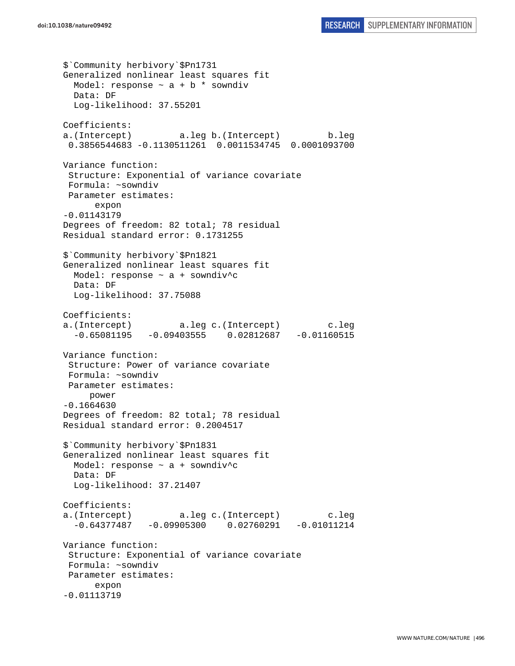```
$`Community herbivory`$Pn1731 
Generalized nonlinear least squares fit 
 Model: response \sim a + b * sowndiv
  Data: DF 
   Log-likelihood: 37.55201 
Coefficients: 
a.(Intercept) a.leg b.(Intercept) b.leg 
  0.3856544683 -0.1130511261 0.0011534745 0.0001093700 
Variance function: 
  Structure: Exponential of variance covariate 
 Formula: ~sowndiv 
 Parameter estimates: 
       expon 
-0.01143179 
Degrees of freedom: 82 total; 78 residual 
Residual standard error: 0.1731255 
$`Community herbivory`$Pn1821 
Generalized nonlinear least squares fit 
  Model: response ~ a + sowndiv^c 
  Data: DF 
  Log-likelihood: 37.75088 
Coefficients: 
a.(Intercept) a.leg c.(Intercept) c.leg 
  -0.65081195 -0.09403555 0.02812687 -0.01160515Variance function: 
  Structure: Power of variance covariate 
 Formula: ~sowndiv 
 Parameter estimates: 
      power 
-0.1664630 
Degrees of freedom: 82 total; 78 residual 
Residual standard error: 0.2004517 
$`Community herbivory`$Pn1831 
Generalized nonlinear least squares fit 
  Model: response ~ a + sowndiv^c 
   Data: DF 
   Log-likelihood: 37.21407 
Coefficients: 
a.(Intercept) a.leg c.(Intercept) c.leg 
 -0.64377487 -0.09905300 0.02760291 -0.01011214Variance function: 
  Structure: Exponential of variance covariate 
 Formula: ~sowndiv 
 Parameter estimates: 
       expon 
-0.01113719
```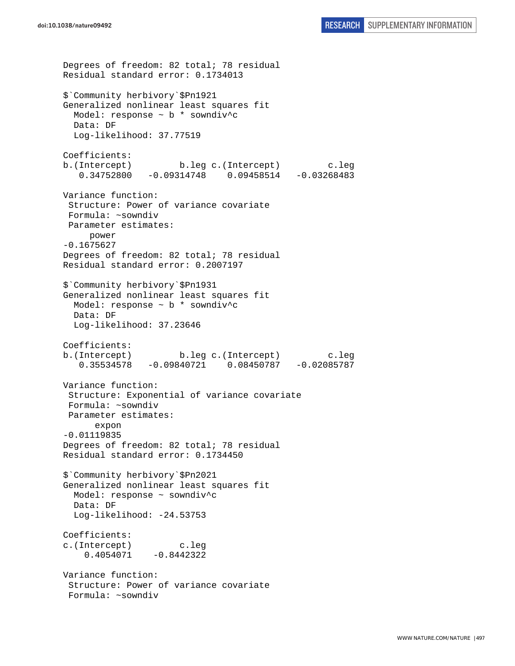```
Degrees of freedom: 82 total; 78 residual 
Residual standard error: 0.1734013 
$`Community herbivory`$Pn1921 
Generalized nonlinear least squares fit 
   Model: response ~ b * sowndiv^c 
  Data: DF 
  Log-likelihood: 37.77519 
Coefficients: 
b.(Intercept) b.leg c.(Intercept) c.leg 
    0.34752800 -0.09314748 0.09458514 -0.03268483 
Variance function: 
  Structure: Power of variance covariate 
  Formula: ~sowndiv 
 Parameter estimates: 
      power 
-0.1675627 
Degrees of freedom: 82 total; 78 residual 
Residual standard error: 0.2007197 
$`Community herbivory`$Pn1931 
Generalized nonlinear least squares fit 
   Model: response ~ b * sowndiv^c 
   Data: DF 
   Log-likelihood: 37.23646 
Coefficients: 
b.(Intercept) b.leg c.(Intercept) c.leg 
    0.35534578 -0.09840721 0.08450787 -0.02085787 
Variance function: 
  Structure: Exponential of variance covariate 
 Formula: ~sowndiv 
 Parameter estimates: 
       expon 
-0.01119835 
Degrees of freedom: 82 total; 78 residual 
Residual standard error: 0.1734450 
$`Community herbivory`$Pn2021 
Generalized nonlinear least squares fit 
  Model: response ~ sowndiv^c 
   Data: DF 
   Log-likelihood: -24.53753 
Coefficients: 
c.(Intercept) c.leg 
    0.4054071 -0.8442322Variance function: 
  Structure: Power of variance covariate 
  Formula: ~sowndiv
```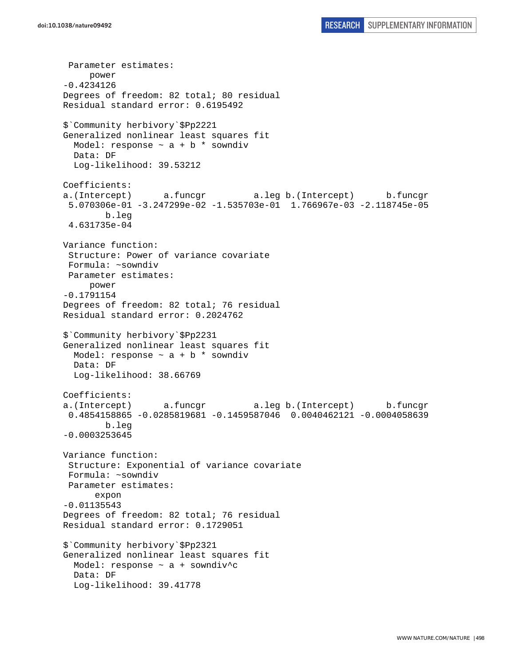```
 Parameter estimates: 
      power 
-0.4234126 
Degrees of freedom: 82 total; 80 residual 
Residual standard error: 0.6195492 
$`Community herbivory`$Pp2221 
Generalized nonlinear least squares fit 
  Model: response \sim a + b * sowndiv
   Data: DF 
   Log-likelihood: 39.53212 
Coefficients: 
a.(Intercept) a.funcgr a.leg b.(Intercept) b.funcgr 
  5.070306e-01 -3.247299e-02 -1.535703e-01 1.766967e-03 -2.118745e-05 
         b.leg 
  4.631735e-04 
Variance function: 
  Structure: Power of variance covariate 
 Formula: ~sowndiv 
 Parameter estimates: 
      power 
-0.1791154 
Degrees of freedom: 82 total; 76 residual 
Residual standard error: 0.2024762 
$`Community herbivory`$Pp2231 
Generalized nonlinear least squares fit 
 Model: response \sim a + b * sowndiv
  Data: DF 
  Log-likelihood: 38.66769 
Coefficients: 
a.(Intercept) a.funcgr a.leg b.(Intercept) b.funcgr 
 0.4854158865 -0.0285819681 -0.1459587046 0.0040462121 -0.0004058639 
         b.leg 
-0.0003253645 
Variance function: 
  Structure: Exponential of variance covariate 
  Formula: ~sowndiv 
 Parameter estimates: 
       expon 
-0.01135543 
Degrees of freedom: 82 total; 76 residual 
Residual standard error: 0.1729051 
$`Community herbivory`$Pp2321 
Generalized nonlinear least squares fit 
  Model: response ~ a + sowndiv^c 
  Data: DF 
   Log-likelihood: 39.41778
```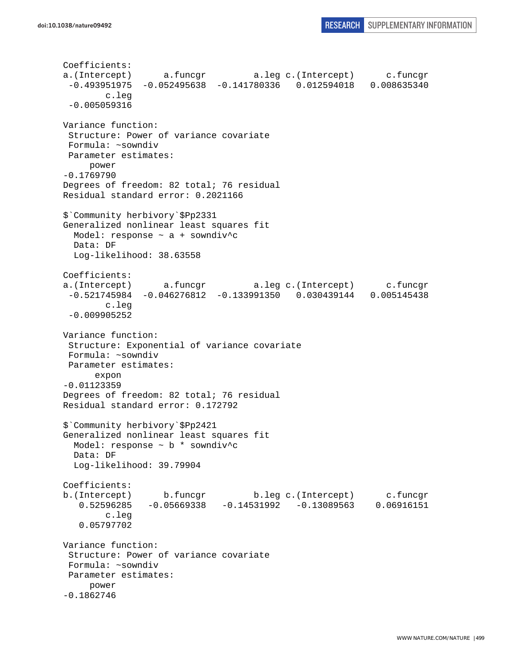```
Coefficients: 
a.(Intercept) a.funcgr a.leg c.(Intercept) c.funcgr 
 -0.493951975 -0.052495638 -0.141780336 0.012594018 0.008635340 
         c.leg 
 -0.005059316 
Variance function: 
  Structure: Power of variance covariate 
 Formula: ~sowndiv 
 Parameter estimates: 
     power 
-0.1769790 
Degrees of freedom: 82 total; 76 residual 
Residual standard error: 0.2021166 
$`Community herbivory`$Pp2331 
Generalized nonlinear least squares fit 
 Model: response \sim a + sowndiv^c
  Data: DF 
  Log-likelihood: 38.63558 
Coefficients: 
a.(Intercept) a.funcgr a.leg c.(Intercept) c.funcgr 
  -0.521745984 -0.046276812 -0.133991350 0.030439144 0.005145438 
         c.leg 
  -0.009905252 
Variance function: 
  Structure: Exponential of variance covariate 
 Formula: ~sowndiv 
 Parameter estimates: 
       expon 
-0.01123359 
Degrees of freedom: 82 total; 76 residual 
Residual standard error: 0.172792 
$`Community herbivory`$Pp2421 
Generalized nonlinear least squares fit 
  Model: response ~ b * sowndiv^c 
  Data: DF 
   Log-likelihood: 39.79904 
Coefficients: 
b.(Intercept) b.funcgr b.leg c.(Intercept) c.funcgr 
    0.52596285 -0.05669338 -0.14531992 -0.13089563 0.06916151 
         c.leg 
    0.05797702 
Variance function: 
  Structure: Power of variance covariate 
 Formula: ~sowndiv 
 Parameter estimates: 
     power 
-0.1862746
```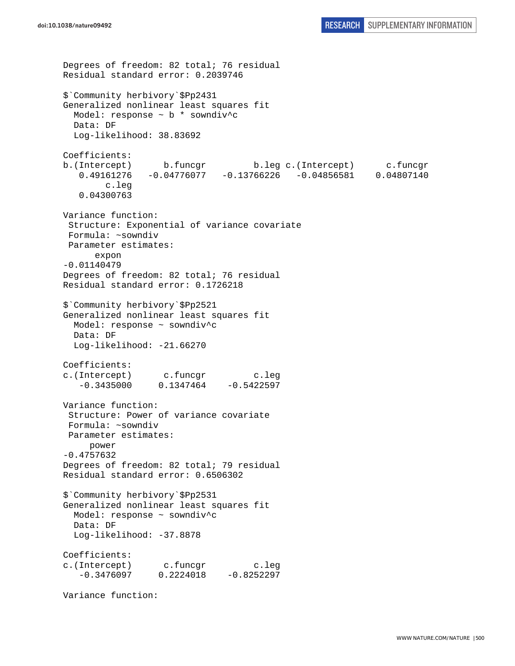```
Degrees of freedom: 82 total; 76 residual 
Residual standard error: 0.2039746 
$`Community herbivory`$Pp2431 
Generalized nonlinear least squares fit 
   Model: response ~ b * sowndiv^c 
  Data: DF 
  Log-likelihood: 38.83692 
Coefficients: 
b.(Intercept) b.funcgr b.leg c.(Intercept) c.funcgr 
    0.49161276 -0.04776077 -0.13766226 -0.04856581 0.04807140 
         c.leg 
    0.04300763 
Variance function: 
  Structure: Exponential of variance covariate 
 Formula: ~sowndiv 
 Parameter estimates: 
       expon 
-0.01140479 
Degrees of freedom: 82 total; 76 residual 
Residual standard error: 0.1726218 
$`Community herbivory`$Pp2521 
Generalized nonlinear least squares fit 
  Model: response ~ sowndiv^c 
   Data: DF 
  Log-likelihood: -21.66270
Coefficients: 
c.(Intercept) c.funcgr c.leg 
   -0.3435000 0.1347464 -0.5422597Variance function: 
  Structure: Power of variance covariate 
 Formula: ~sowndiv 
 Parameter estimates: 
     power 
-0.4757632 
Degrees of freedom: 82 total; 79 residual 
Residual standard error: 0.6506302 
$`Community herbivory`$Pp2531 
Generalized nonlinear least squares fit 
  Model: response ~ sowndiv^c 
  Data: DF 
   Log-likelihood: -37.8878 
Coefficients: 
c.(Intercept) c.funcgr c.leg 
   -0.3476097 0.2224018 -0.8252297Variance function:
```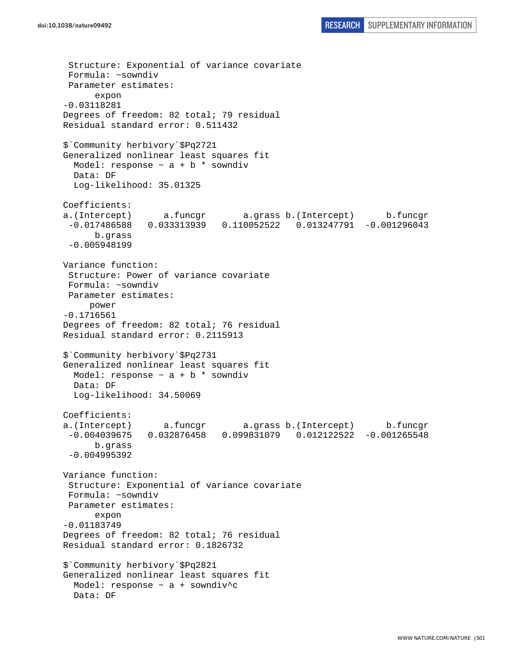```
 Structure: Exponential of variance covariate 
  Formula: ~sowndiv 
 Parameter estimates: 
       expon 
-0.03118281 
Degrees of freedom: 82 total; 79 residual 
Residual standard error: 0.511432 
$`Community herbivory`$Pq2721 
Generalized nonlinear least squares fit 
 Model: response \sim a + b * sowndiv
   Data: DF 
   Log-likelihood: 35.01325 
Coefficients: 
a.(Intercept) a.funcgr a.grass b.(Intercept) b.funcgr 
  -0.017486588 0.033313939 0.110052522 0.013247791 -0.001296043 
       b.grass 
  -0.005948199 
Variance function: 
  Structure: Power of variance covariate 
 Formula: ~sowndiv 
 Parameter estimates: 
      power 
-0.1716561 
Degrees of freedom: 82 total; 76 residual 
Residual standard error: 0.2115913 
$`Community herbivory`$Pq2731 
Generalized nonlinear least squares fit 
 Model: response \sim a + b * sowndiv
   Data: DF 
   Log-likelihood: 34.50069 
Coefficients: 
a.(Intercept) a.funcgr a.grass b.(Intercept) b.funcgr 
  -0.004039675 0.032876458 0.099831079 0.012122522 -0.001265548 
       b.grass 
  -0.004995392 
Variance function: 
  Structure: Exponential of variance covariate 
 Formula: ~sowndiv 
 Parameter estimates: 
       expon 
-0.01183749 
Degrees of freedom: 82 total; 76 residual 
Residual standard error: 0.1826732 
$`Community herbivory`$Pq2821 
Generalized nonlinear least squares fit 
   Model: response ~ a + sowndiv^c 
   Data: DF
```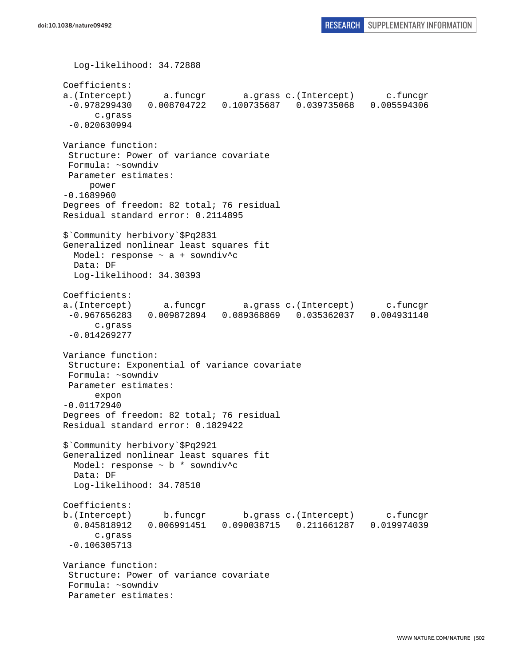```
 Log-likelihood: 34.72888 
Coefficients: 
a.(Intercept) a.funcgr a.grass c.(Intercept) c.funcgr 
  -0.978299430 0.008704722 0.100735687 0.039735068 0.005594306 
       c.grass 
 -0.020630994 
Variance function: 
  Structure: Power of variance covariate 
 Formula: ~sowndiv 
 Parameter estimates: 
      power 
-0.1689960 
Degrees of freedom: 82 total; 76 residual 
Residual standard error: 0.2114895 
$`Community herbivory`$Pq2831 
Generalized nonlinear least squares fit 
 Model: response \sim a + sowndiv<sup>^</sup>c
  Data: DF 
  Log-likelihood: 34.30393 
Coefficients: 
a.(Intercept) a.funcgr a.grass c.(Intercept) c.funcgr 
  -0.967656283 0.009872894 0.089368869 0.035362037 0.004931140 
       c.grass 
  -0.014269277 
Variance function: 
  Structure: Exponential of variance covariate 
 Formula: ~sowndiv 
 Parameter estimates: 
       expon 
-0.01172940 
Degrees of freedom: 82 total; 76 residual 
Residual standard error: 0.1829422 
$`Community herbivory`$Pq2921 
Generalized nonlinear least squares fit 
   Model: response ~ b * sowndiv^c 
   Data: DF 
   Log-likelihood: 34.78510 
Coefficients: 
b.(Intercept) b.funcgr b.grass c.(Intercept) c.funcgr 
  0.045818912 0.006991451 0.090038715 0.211661287 0.019974039 
       c.grass 
  -0.106305713 
Variance function: 
  Structure: Power of variance covariate 
 Formula: ~sowndiv 
  Parameter estimates:
```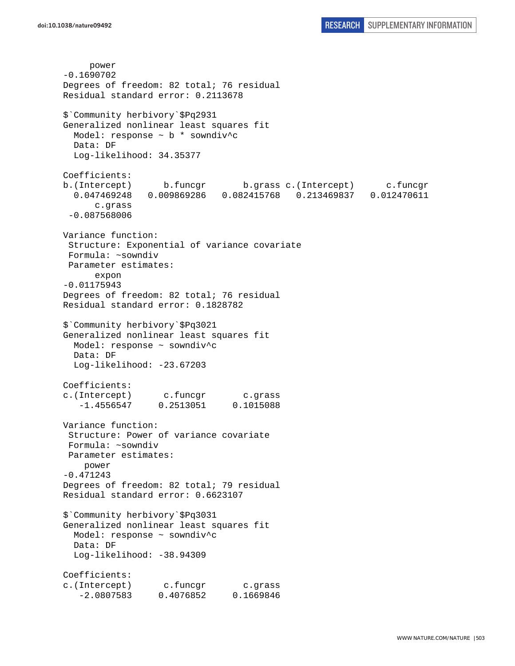power -0.1690702 Degrees of freedom: 82 total; 76 residual Residual standard error: 0.2113678 \$`Community herbivory`\$Pq2931 Generalized nonlinear least squares fit Model: response  $\sim$  b  $*$  sowndiv<sup>^</sup>c Data: DF Log-likelihood: 34.35377 Coefficients: b.(Intercept) b.funcgr b.grass c.(Intercept) c.funcgr 0.047469248 0.009869286 0.082415768 0.213469837 0.012470611 c.grass -0.087568006 Variance function: Structure: Exponential of variance covariate Formula: ~sowndiv Parameter estimates: expon -0.01175943 Degrees of freedom: 82 total; 76 residual Residual standard error: 0.1828782 \$`Community herbivory`\$Pq3021 Generalized nonlinear least squares fit Model: response ~ sowndiv^c Data: DF Log-likelihood: -23.67203 Coefficients: c.(Intercept) c.funcgr c.grass -1.4556547 0.2513051 0.1015088 Variance function: Structure: Power of variance covariate Formula: ~sowndiv Parameter estimates: power -0.471243 Degrees of freedom: 82 total; 79 residual Residual standard error: 0.6623107 \$`Community herbivory`\$Pq3031 Generalized nonlinear least squares fit Model: response ~ sowndiv^c Data: DF Log-likelihood: -38.94309 Coefficients: c.(Intercept) c.funcgr c.grass -2.0807583 0.4076852 0.1669846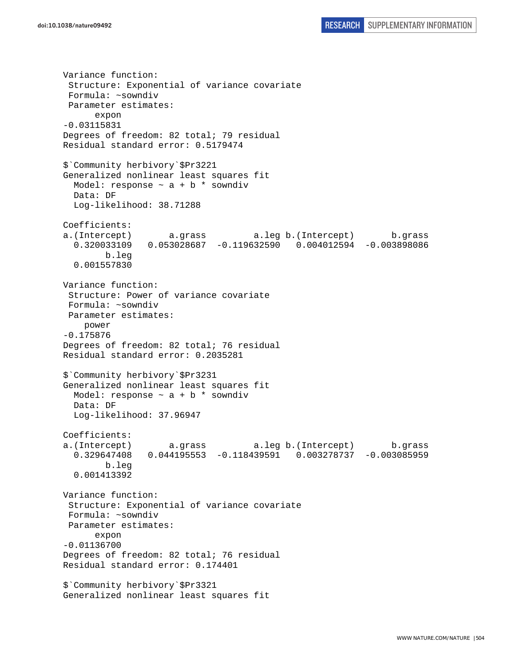Variance function: Structure: Exponential of variance covariate Formula: ~sowndiv Parameter estimates: expon -0.03115831 Degrees of freedom: 82 total; 79 residual Residual standard error: 0.5179474 \$`Community herbivory`\$Pr3221 Generalized nonlinear least squares fit Model: response  $\sim$  a + b \* sowndiv Data: DF Log-likelihood: 38.71288 Coefficients: a.(Intercept) a.grass a.leg b.(Intercept) b.grass 0.320033109 0.053028687 -0.119632590 0.004012594 -0.003898086 b.leg 0.001557830 Variance function: Structure: Power of variance covariate Formula: ~sowndiv Parameter estimates: power -0.175876 Degrees of freedom: 82 total; 76 residual Residual standard error: 0.2035281 \$`Community herbivory`\$Pr3231 Generalized nonlinear least squares fit Model: response  $\sim$  a + b  $*$  sowndiv Data: DF Log-likelihood: 37.96947 Coefficients: a.(Intercept) a.grass a.leg b.(Intercept) b.grass 0.329647408 0.044195553 -0.118439591 0.003278737 -0.003085959 b.leg 0.001413392 Variance function: Structure: Exponential of variance covariate Formula: ~sowndiv Parameter estimates: expon -0.01136700 Degrees of freedom: 82 total; 76 residual Residual standard error: 0.174401 \$`Community herbivory`\$Pr3321 Generalized nonlinear least squares fit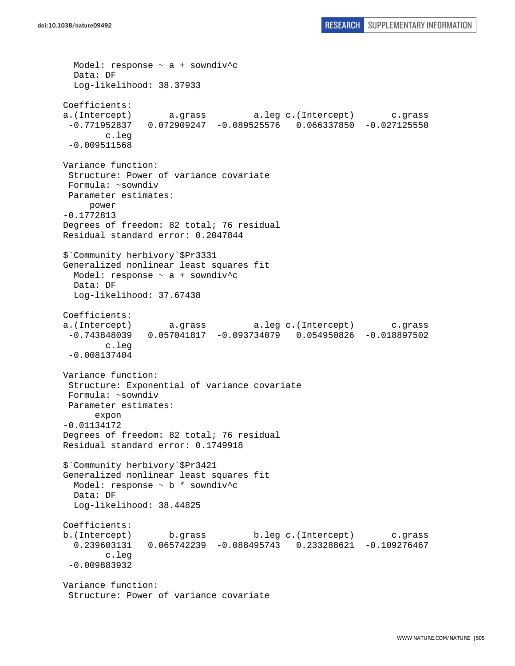```
 Model: response ~ a + sowndiv^c 
   Data: DF 
  Log-likelihood: 38.37933 
Coefficients: 
a.(Intercept) a.grass a.leg c.(Intercept) c.grass 
  -0.771952837 0.072909247 -0.089525576 0.066337850 -0.027125550 
         c.leg 
 -0.009511568 
Variance function: 
  Structure: Power of variance covariate 
 Formula: ~sowndiv 
 Parameter estimates: 
     power 
-0.1772813 
Degrees of freedom: 82 total; 76 residual 
Residual standard error: 0.2047844 
$`Community herbivory`$Pr3331 
Generalized nonlinear least squares fit 
 Model: response \sim a + sowndiv<sup>^</sup>c
  Data: DF 
  Log-likelihood: 37.67438 
Coefficients: 
a.(Intercept) a.grass a.leg c.(Intercept) c.grass 
  -0.743848039 0.057041817 -0.093734079 0.054950826 -0.018897502 
         c.leg 
  -0.008137404 
Variance function: 
  Structure: Exponential of variance covariate 
 Formula: ~sowndiv 
 Parameter estimates: 
       expon 
-0.01134172 
Degrees of freedom: 82 total; 76 residual 
Residual standard error: 0.1749918 
$`Community herbivory`$Pr3421 
Generalized nonlinear least squares fit 
  Model: response ~ b * sowndiv^c 
  Data: DF 
   Log-likelihood: 38.44825 
Coefficients: 
b.(Intercept) b.grass b.leg c.(Intercept) c.grass 
   0.239603131 0.065742239 -0.088495743 0.233288621 -0.109276467 
         c.leg 
 -0.009883932 
Variance function: 
  Structure: Power of variance covariate
```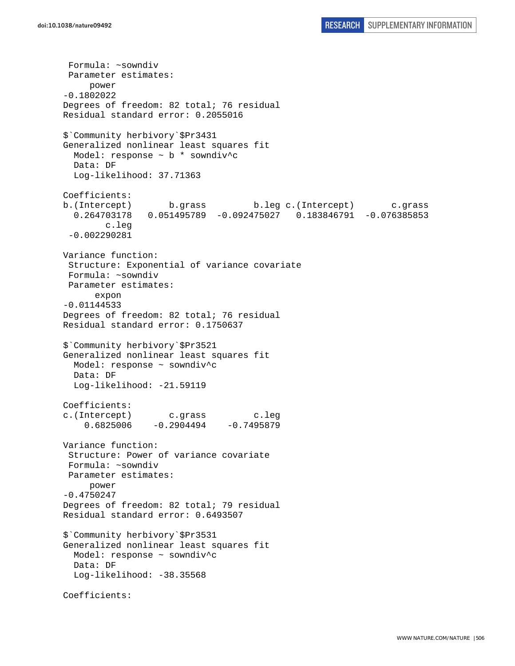```
 Formula: ~sowndiv 
  Parameter estimates: 
      power 
-0.1802022 
Degrees of freedom: 82 total; 76 residual 
Residual standard error: 0.2055016 
$`Community herbivory`$Pr3431 
Generalized nonlinear least squares fit 
   Model: response ~ b * sowndiv^c 
  Data: DF 
   Log-likelihood: 37.71363 
Coefficients: 
b.(Intercept) b.grass b.leg c.(Intercept) c.grass 
   0.264703178 0.051495789 -0.092475027 0.183846791 -0.076385853 
         c.leg 
  -0.002290281 
Variance function: 
  Structure: Exponential of variance covariate 
  Formula: ~sowndiv 
 Parameter estimates: 
       expon 
-0.01144533 
Degrees of freedom: 82 total; 76 residual 
Residual standard error: 0.1750637 
$`Community herbivory`$Pr3521 
Generalized nonlinear least squares fit 
  Model: response ~ sowndiv^c 
  Data: DF 
 Log-likelihood: -21.59119
Coefficients: 
c.(Intercept) c.grass c.leg 
    0.6825006 -0.2904494 -0.7495879Variance function: 
  Structure: Power of variance covariate 
 Formula: ~sowndiv 
 Parameter estimates: 
      power 
-0.4750247 
Degrees of freedom: 82 total; 79 residual 
Residual standard error: 0.6493507 
$`Community herbivory`$Pr3531 
Generalized nonlinear least squares fit 
  Model: response ~ sowndiv^c 
  Data: DF 
  Log-likelihood: -38.35568
Coefficients:
```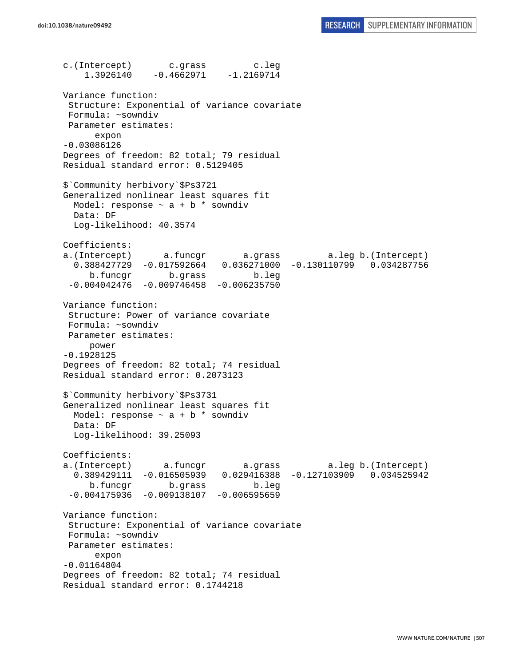c.(Intercept) c.grass c.leg 1.3926140 -0.4662971 -1.2169714 Variance function: Structure: Exponential of variance covariate Formula: ~sowndiv Parameter estimates: expon -0.03086126 Degrees of freedom: 82 total; 79 residual Residual standard error: 0.5129405 \$`Community herbivory`\$Ps3721 Generalized nonlinear least squares fit Model: response  $\sim$  a + b  $*$  sowndiv Data: DF Log-likelihood: 40.3574 Coefficients: a.(Intercept) a.funcgr a.grass a.leg b.(Intercept) 0.388427729 -0.017592664 0.036271000 -0.130110799 0.034287756 b.funcgr b.grass b.leg  $-0.004042476 - 0.009746458 - 0.006235750$ Variance function: Structure: Power of variance covariate Formula: ~sowndiv Parameter estimates: power -0.1928125 Degrees of freedom: 82 total; 74 residual Residual standard error: 0.2073123 \$`Community herbivory`\$Ps3731 Generalized nonlinear least squares fit Model: response  $\sim$  a + b  $*$  sowndiv Data: DF Log-likelihood: 39.25093 Coefficients: a.(Intercept) a.funcgr a.grass a.leg b.(Intercept) 0.389429111 -0.016505939 0.029416388 -0.127103909 0.034525942 b.funcgr b.grass b.leg  $-0.004175936 -0.009138107 -0.006595659$ Variance function: Structure: Exponential of variance covariate Formula: ~sowndiv Parameter estimates: expon -0.01164804 Degrees of freedom: 82 total; 74 residual Residual standard error: 0.1744218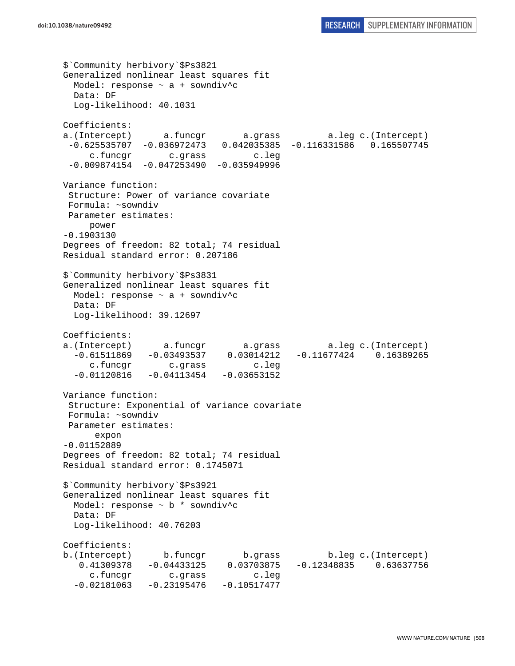```
$`Community herbivory`$Ps3821 
Generalized nonlinear least squares fit 
  Model: response ~ a + sowndiv^c 
  Data: DF 
  Log-likelihood: 40.1031 
Coefficients: 
a.(Intercept) a.funcgr a.grass a.leg c.(Intercept) 
  -0.625535707 -0.036972473 0.042035385 -0.116331586 0.165507745 
     c.funcgr c.grass c.leg 
 -0.009874154 -0.047253490 -0.035949996Variance function: 
  Structure: Power of variance covariate 
  Formula: ~sowndiv 
 Parameter estimates: 
     power 
-0.1903130 
Degrees of freedom: 82 total; 74 residual 
Residual standard error: 0.207186 
$`Community herbivory`$Ps3831 
Generalized nonlinear least squares fit 
 Model: response \sim a + sowndiv^c
  Data: DF 
  Log-likelihood: 39.12697 
Coefficients: 
a.(Intercept) a.funcgr a.grass a.leg c.(Intercept) 
  -0.61511869 -0.03493537 0.03014212 -0.11677424 0.16389265 
     c.funcgr c.grass c.leg 
  -0.01120816 -0.04113454 -0.03653152Variance function: 
  Structure: Exponential of variance covariate 
 Formula: ~sowndiv 
 Parameter estimates: 
      expon 
-0.01152889 
Degrees of freedom: 82 total; 74 residual 
Residual standard error: 0.1745071 
$`Community herbivory`$Ps3921 
Generalized nonlinear least squares fit 
 Model: response \sim b * sowndiv<sup>^</sup>c
  Data: DF 
  Log-likelihood: 40.76203 
Coefficients: 
b.(Intercept) b.funcgr b.grass b.leg c.(Intercept) 
    0.41309378 -0.04433125 0.03703875 -0.12348835 0.63637756 
     c.funcgr c.grass c.leg 
  -0.02181063 -0.23195476 -0.10517477
```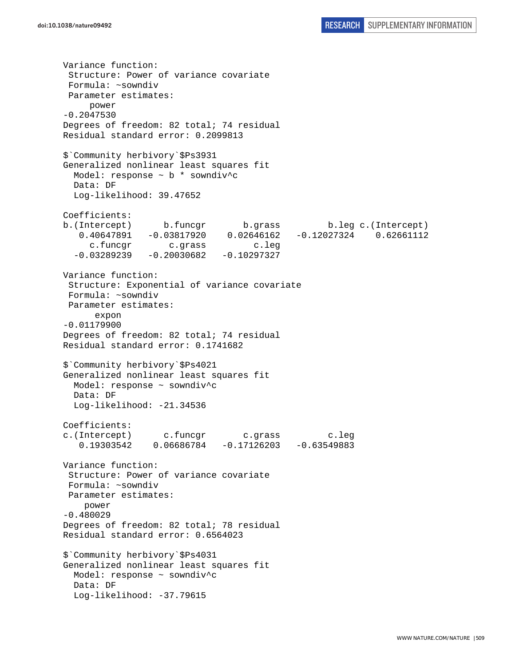Variance function: Structure: Power of variance covariate Formula: ~sowndiv Parameter estimates: power -0.2047530 Degrees of freedom: 82 total; 74 residual Residual standard error: 0.2099813 \$`Community herbivory`\$Ps3931 Generalized nonlinear least squares fit Model: response ~ b \* sowndiv^c Data: DF Log-likelihood: 39.47652 Coefficients: b.(Intercept) b.funcgr b.grass b.leg c.(Intercept) 0.40647891 -0.03817920 0.02646162 -0.12027324 0.62661112 c.funcgr c.grass c.leg  $-0.03289239 -0.20030682 -0.10297327$ Variance function: Structure: Exponential of variance covariate Formula: ~sowndiv Parameter estimates: expon -0.01179900 Degrees of freedom: 82 total; 74 residual Residual standard error: 0.1741682 \$`Community herbivory`\$Ps4021 Generalized nonlinear least squares fit Model: response ~ sowndiv^c Data: DF Log-likelihood: -21.34536 Coefficients: c.(Intercept) c.funcgr c.grass c.leg 0.19303542 0.06686784 -0.17126203 -0.63549883 Variance function: Structure: Power of variance covariate Formula: ~sowndiv Parameter estimates: power -0.480029 Degrees of freedom: 82 total; 78 residual Residual standard error: 0.6564023 \$`Community herbivory`\$Ps4031 Generalized nonlinear least squares fit Model: response ~ sowndiv^c Data: DF Log-likelihood: -37.79615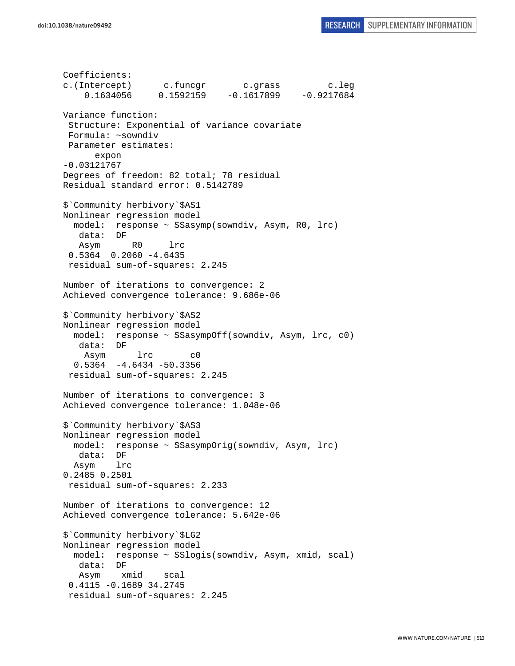Coefficients: c.(Intercept) c.funcgr c.grass c.leg 0.1634056 0.1592159 -0.1617899 -0.9217684 Variance function: Structure: Exponential of variance covariate Formula: ~sowndiv Parameter estimates: expon -0.03121767 Degrees of freedom: 82 total; 78 residual Residual standard error: 0.5142789 \$`Community herbivory`\$AS1 Nonlinear regression model model: response ~ SSasymp(sowndiv, Asym, R0, lrc) data: DF Asym R0 lrc 0.5364 0.2060 -4.6435 residual sum-of-squares: 2.245 Number of iterations to convergence: 2 Achieved convergence tolerance: 9.686e-06 \$`Community herbivory`\$AS2 Nonlinear regression model model: response ~ SSasympOff(sowndiv, Asym, lrc, c0) data: DF Asym lrc c0  $0.5364 -4.6434 -50.3356$  residual sum-of-squares: 2.245 Number of iterations to convergence: 3 Achieved convergence tolerance: 1.048e-06 \$`Community herbivory`\$AS3 Nonlinear regression model model: response ~ SSasympOrig(sowndiv, Asym, lrc) data: DF Asym lrc 0.2485 0.2501 residual sum-of-squares: 2.233 Number of iterations to convergence: 12 Achieved convergence tolerance: 5.642e-06 \$`Community herbivory`\$LG2 Nonlinear regression model model: response ~ SSlogis(sowndiv, Asym, xmid, scal) data: DF Asym xmid scal 0.4115 -0.1689 34.2745 residual sum-of-squares: 2.245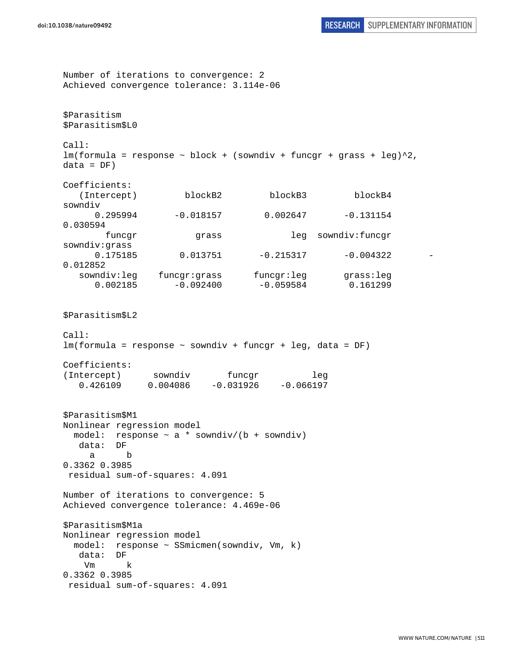Number of iterations to convergence: 2 Achieved convergence tolerance: 3.114e-06 \$Parasitism \$Parasitism\$L0 Call:  $lm(formula = response ~ block + (sowndiv + funcgr + grass + leg)^2,$  $data = DF)$ Coefficients: (Intercept) blockB2 blockB3 blockB4 sowndiv  $0.295994 -0.018157 -0.002647 -0.131154$ 0.030594 funcgr grass leg sowndiv:funcgr sowndiv:grass  $0.175185$   $0.013751$   $-0.215317$   $-0.004322$ 0.012852 sowndiv:leg funcgr:grass funcgr:leg grass:leg 0.002185 -0.092400 -0.059584 0.161299 \$Parasitism\$L2 Call: lm(formula = response ~ sowndiv + funcgr + leg, data = DF) Coefficients: (Intercept) sowndiv funcgr leg<br>0.426109 0.004086 -0.031926 -0.066197 0.426109 0.004086 -0.031926 -0.066197 \$Parasitism\$M1 Nonlinear regression model model: response  $\sim$  a  $*$  sowndiv/(b + sowndiv) data: DF a b 0.3362 0.3985 residual sum-of-squares: 4.091 Number of iterations to convergence: 5 Achieved convergence tolerance: 4.469e-06 \$Parasitism\$M1a Nonlinear regression model model: response ~ SSmicmen(sowndiv, Vm, k) data: DF Vm k 0.3362 0.3985

```
 residual sum-of-squares: 4.091
```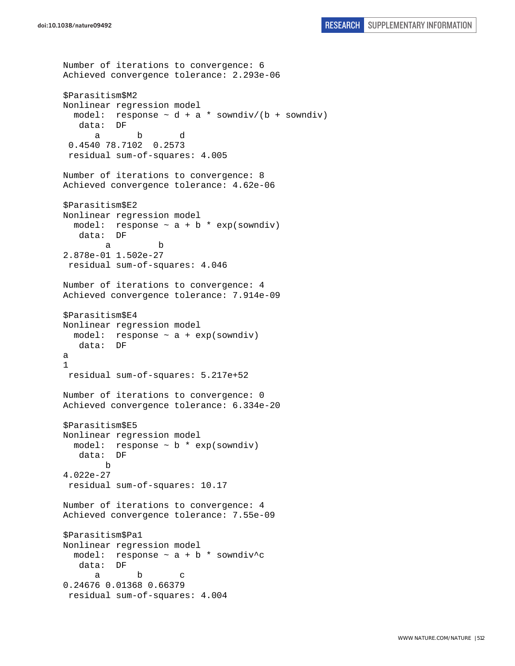```
Number of iterations to convergence: 6 
Achieved convergence tolerance: 2.293e-06 
$Parasitism$M2 
Nonlinear regression model 
  model: response \sim d + a * sowndiv/(b + sowndiv)
    data: DF 
 a b d 
  0.4540 78.7102 0.2573 
  residual sum-of-squares: 4.005 
Number of iterations to convergence: 8 
Achieved convergence tolerance: 4.62e-06 
$Parasitism$E2 
Nonlinear regression model 
  model: response \sim a + b * exp(sowndiv)
    data: DF 
 a b 
2.878e-01 1.502e-27 
 residual sum-of-squares: 4.046 
Number of iterations to convergence: 4 
Achieved convergence tolerance: 7.914e-09 
$Parasitism$E4 
Nonlinear regression model 
 model: response \sim a + exp(sowndiv)
    data: DF 
a 
1 
 residual sum-of-squares: 5.217e+52 
Number of iterations to convergence: 0 
Achieved convergence tolerance: 6.334e-20 
$Parasitism$E5 
Nonlinear regression model 
  model: response ~ b * exp(sowndiv) 
   data: DF 
         b 
4.022e-27 
  residual sum-of-squares: 10.17 
Number of iterations to convergence: 4 
Achieved convergence tolerance: 7.55e-09 
$Parasitism$Pa1 
Nonlinear regression model 
  model: response \sim a + b * sowndiv^c
    data: DF 
 a b c 
0.24676 0.01368 0.66379 
  residual sum-of-squares: 4.004
```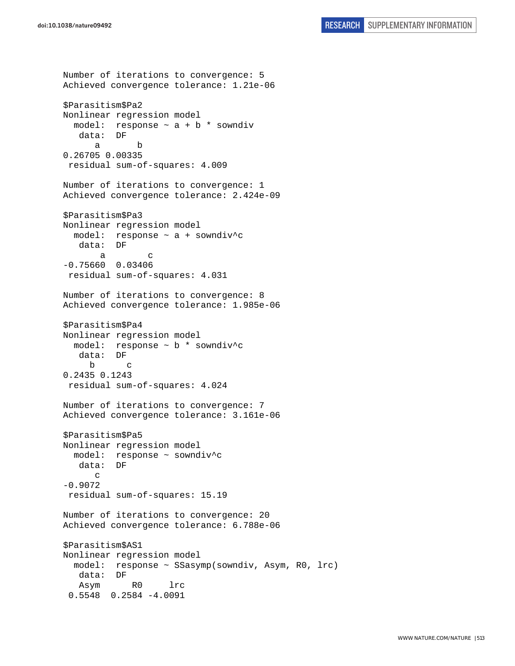Number of iterations to convergence: 5 Achieved convergence tolerance: 1.21e-06 \$Parasitism\$Pa2 Nonlinear regression model model: response  $\sim$  a + b \* sowndiv data: DF a b 0.26705 0.00335 residual sum-of-squares: 4.009 Number of iterations to convergence: 1 Achieved convergence tolerance: 2.424e-09 \$Parasitism\$Pa3 Nonlinear regression model model: response ~ a + sowndiv^c data: DF a c -0.75660 0.03406 residual sum-of-squares: 4.031 Number of iterations to convergence: 8 Achieved convergence tolerance: 1.985e-06 \$Parasitism\$Pa4 Nonlinear regression model model: response ~ b \* sowndiv^c data: DF b c 0.2435 0.1243 residual sum-of-squares: 4.024 Number of iterations to convergence: 7 Achieved convergence tolerance: 3.161e-06 \$Parasitism\$Pa5 Nonlinear regression model model: response ~ sowndiv^c data: DF  $\mathcal{C}$ -0.9072 residual sum-of-squares: 15.19 Number of iterations to convergence: 20 Achieved convergence tolerance: 6.788e-06 \$Parasitism\$AS1 Nonlinear regression model model: response ~ SSasymp(sowndiv, Asym, R0, lrc) data: DF Asym R0 lrc 0.5548 0.2584 -4.0091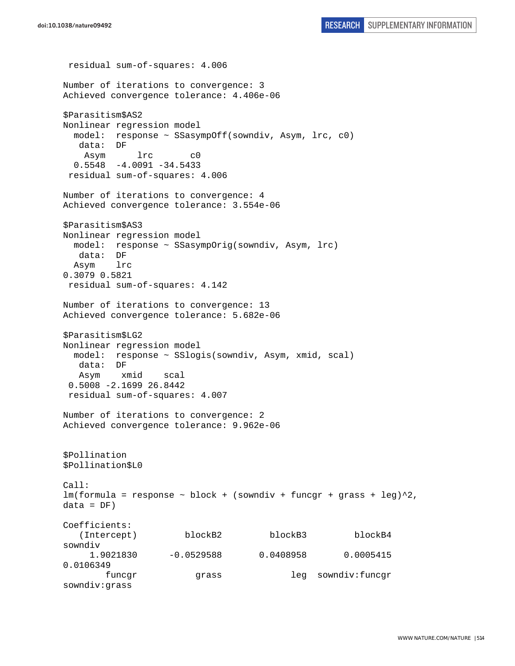```
 residual sum-of-squares: 4.006 
Number of iterations to convergence: 3 
Achieved convergence tolerance: 4.406e-06 
$Parasitism$AS2 
Nonlinear regression model 
  model: response ~ SSasympOff(sowndiv, Asym, lrc, c0) 
   data: DF 
    Asym lrc c0 
  0.5548 -4.0091 -34.5433 residual sum-of-squares: 4.006 
Number of iterations to convergence: 4 
Achieved convergence tolerance: 3.554e-06 
$Parasitism$AS3 
Nonlinear regression model 
  model: response ~ SSasympOrig(sowndiv, Asym, lrc) 
   data: DF 
  Asym lrc 
0.3079 0.5821 
 residual sum-of-squares: 4.142 
Number of iterations to convergence: 13 
Achieved convergence tolerance: 5.682e-06 
$Parasitism$LG2 
Nonlinear regression model 
  model: response ~ SSlogis(sowndiv, Asym, xmid, scal) 
   data: DF 
   Asym xmid scal 
  0.5008 -2.1699 26.8442 
  residual sum-of-squares: 4.007 
Number of iterations to convergence: 2 
Achieved convergence tolerance: 9.962e-06 
$Pollination 
$Pollination$L0 
Call: 
lm(formula = response ~ block + (sowndiv + funcgr + grass + leg)^2,data = DF)Coefficients: 
    (Intercept) blockB2 blockB3 blockB4 
sowndiv 
      1.9021830 -0.0529588 0.0408958 0.0005415 
0.0106349 
       funcgr grass leg sowndiv:funcgr
sowndiv:grass
```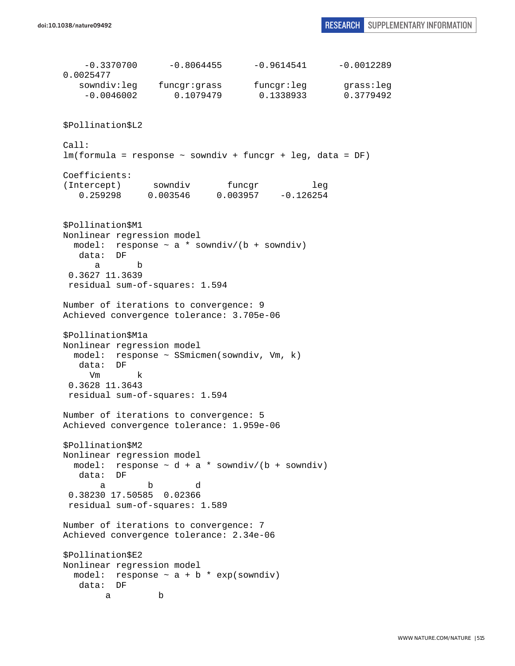$-0.3370700$   $-0.8064455$   $-0.9614541$   $-0.0012289$ 0.0025477 sowndiv:leg funcgr:grass funcgr:leg grass:leg -0.0046002 0.1079479 0.1338933 0.3779492 \$Pollination\$L2 Call: lm(formula = response ~ sowndiv + funcgr + leg, data = DF) Coefficients: (Intercept) sowndiv funcgr leg<br>0.259298 0.003546 0.003957 -0.126254 0.259298 0.003546 0.003957 -0.126254 \$Pollination\$M1 Nonlinear regression model model: response  $\sim$  a \* sowndiv/(b + sowndiv) data: DF a b 0.3627 11.3639 residual sum-of-squares: 1.594 Number of iterations to convergence: 9 Achieved convergence tolerance: 3.705e-06 \$Pollination\$M1a Nonlinear regression model model: response ~ SSmicmen(sowndiv, Vm, k) data: DF Vm k 0.3628 11.3643 residual sum-of-squares: 1.594 Number of iterations to convergence: 5 Achieved convergence tolerance: 1.959e-06 \$Pollination\$M2 Nonlinear regression model model: response  $\sim d + a *$  sowndiv/(b + sowndiv) data: DF a b d 0.38230 17.50585 0.02366 residual sum-of-squares: 1.589 Number of iterations to convergence: 7 Achieved convergence tolerance: 2.34e-06 \$Pollination\$E2 Nonlinear regression model model: response  $\sim$  a + b  $*$  exp(sowndiv) data: DF a b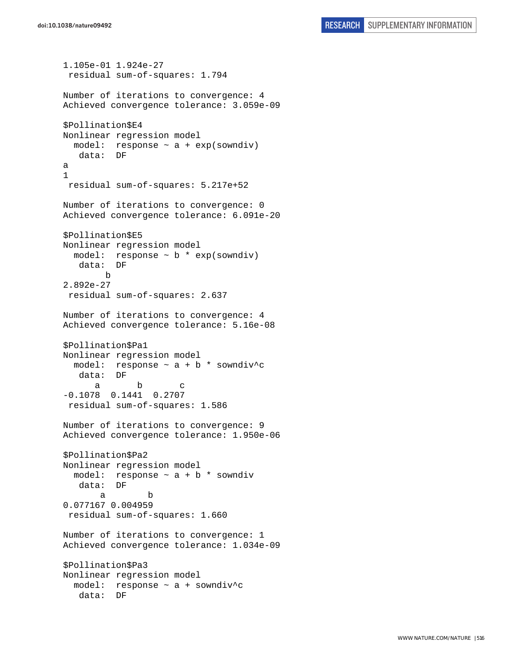```
1.105e-01 1.924e-27 
  residual sum-of-squares: 1.794 
Number of iterations to convergence: 4 
Achieved convergence tolerance: 3.059e-09 
$Pollination$E4 
Nonlinear regression model 
  model: response ~ a + exp(sowndiv) 
    data: DF 
a 
1 
 residual sum-of-squares: 5.217e+52 
Number of iterations to convergence: 0 
Achieved convergence tolerance: 6.091e-20 
$Pollination$E5 
Nonlinear regression model 
  model: response \sim b * exp(sowndiv)
    data: DF 
        b 
2.892e-27 
  residual sum-of-squares: 2.637 
Number of iterations to convergence: 4 
Achieved convergence tolerance: 5.16e-08 
$Pollination$Pa1 
Nonlinear regression model 
 model: response \sim a + b * sowndiv^c
    data: DF 
 a b c 
-0.1078 0.1441 0.2707 
 residual sum-of-squares: 1.586 
Number of iterations to convergence: 9 
Achieved convergence tolerance: 1.950e-06 
$Pollination$Pa2 
Nonlinear regression model 
  model: response \sim a + b * sowndiv
    data: DF 
 a b 
0.077167 0.004959 
 residual sum-of-squares: 1.660 
Number of iterations to convergence: 1 
Achieved convergence tolerance: 1.034e-09 
$Pollination$Pa3 
Nonlinear regression model 
  model: response ~ a + sowndiv^c 
    data: DF
```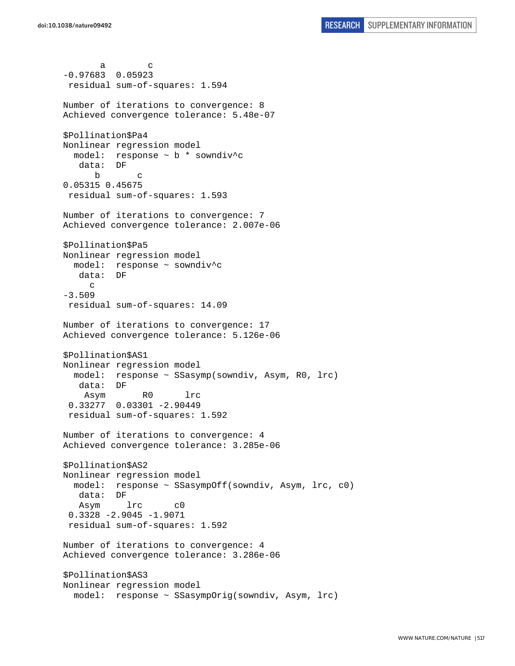a c -0.97683 0.05923 residual sum-of-squares: 1.594 Number of iterations to convergence: 8 Achieved convergence tolerance: 5.48e-07 \$Pollination\$Pa4 Nonlinear regression model model: response ~ b \* sowndiv^c data: DF b c 0.05315 0.45675 residual sum-of-squares: 1.593 Number of iterations to convergence: 7 Achieved convergence tolerance: 2.007e-06 \$Pollination\$Pa5 Nonlinear regression model model: response ~ sowndiv^c data: DF c -3.509 residual sum-of-squares: 14.09 Number of iterations to convergence: 17 Achieved convergence tolerance: 5.126e-06 \$Pollination\$AS1 Nonlinear regression model model: response ~ SSasymp(sowndiv, Asym, R0, lrc) data: DF Asym R0 lrc 0.33277 0.03301 -2.90449 residual sum-of-squares: 1.592 Number of iterations to convergence: 4 Achieved convergence tolerance: 3.285e-06 \$Pollination\$AS2 Nonlinear regression model model: response ~ SSasympOff(sowndiv, Asym, lrc, c0) data: DF Asym lrc c0 0.3328 -2.9045 -1.9071 residual sum-of-squares: 1.592 Number of iterations to convergence: 4 Achieved convergence tolerance: 3.286e-06 \$Pollination\$AS3 Nonlinear regression model model: response ~ SSasympOrig(sowndiv, Asym, lrc)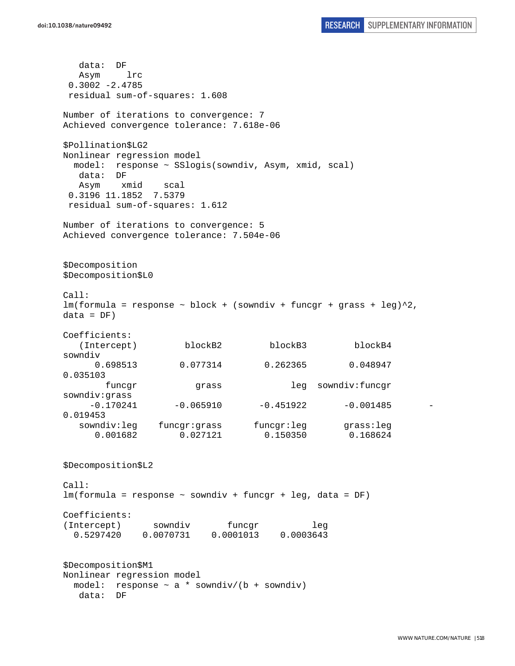data: DF Asym lrc 0.3002 -2.4785 residual sum-of-squares: 1.608 Number of iterations to convergence: 7 Achieved convergence tolerance: 7.618e-06 \$Pollination\$LG2 Nonlinear regression model model: response ~ SSlogis(sowndiv, Asym, xmid, scal) data: DF Asym xmid scal 0.3196 11.1852 7.5379 residual sum-of-squares: 1.612 Number of iterations to convergence: 5 Achieved convergence tolerance: 7.504e-06 \$Decomposition \$Decomposition\$L0 Call:  $lm(formula = response ~ block + (sowndiv + funcgr + grass + leg)^2,$  $data = DF)$ Coefficients: (Intercept) blockB2 blockB3 blockB4 sowndiv 0.698513 0.077314 0.262365 0.048947 0.035103 funcgr grass leg sowndiv:funcgr sowndiv:grass  $-0.170241$   $-0.065910$   $-0.451922$   $-0.001485$   $-$ 0.019453 sowndiv:leg funcgr:grass funcgr:leg grass:leg 0.001682 0.027121 0.150350 0.168624 \$Decomposition\$L2 Call: lm(formula = response ~ sowndiv + funcgr + leg, data = DF) Coefficients: (Intercept) sowndiv funcgr leg 0.5297420 0.0070731 0.0001013 0.0003643 \$Decomposition\$M1 Nonlinear regression model model: response  $\sim$  a \* sowndiv/(b + sowndiv) data: DF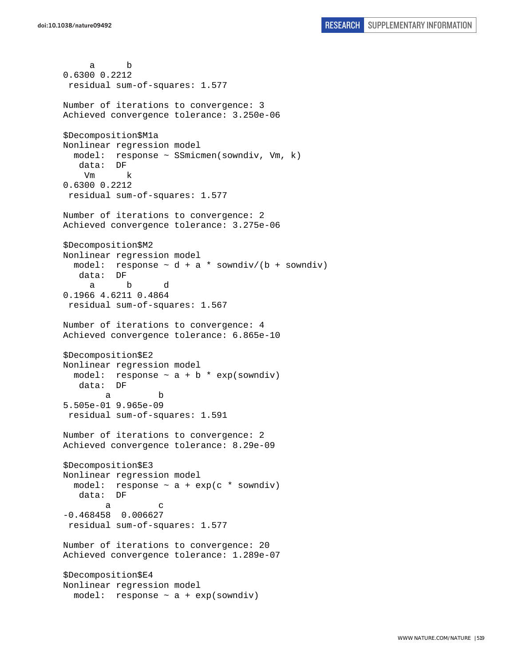a b 0.6300 0.2212 residual sum-of-squares: 1.577 Number of iterations to convergence: 3 Achieved convergence tolerance: 3.250e-06 \$Decomposition\$M1a Nonlinear regression model model: response ~ SSmicmen(sowndiv, Vm, k) data: DF Vm k 0.6300 0.2212 residual sum-of-squares: 1.577 Number of iterations to convergence: 2 Achieved convergence tolerance: 3.275e-06 \$Decomposition\$M2 Nonlinear regression model model: response  $\sim d + a *$  sowndiv/(b + sowndiv) data: DF a b d 0.1966 4.6211 0.4864 residual sum-of-squares: 1.567 Number of iterations to convergence: 4 Achieved convergence tolerance: 6.865e-10 \$Decomposition\$E2 Nonlinear regression model model: response  $\sim$  a + b  $*$  exp(sowndiv) data: DF a b 5.505e-01 9.965e-09 residual sum-of-squares: 1.591 Number of iterations to convergence: 2 Achieved convergence tolerance: 8.29e-09 \$Decomposition\$E3 Nonlinear regression model model: response  $\sim$  a + exp(c  $*$  sowndiv) data: DF a c -0.468458 0.006627 residual sum-of-squares: 1.577 Number of iterations to convergence: 20 Achieved convergence tolerance: 1.289e-07 \$Decomposition\$E4 Nonlinear regression model model: response ~ a + exp(sowndiv)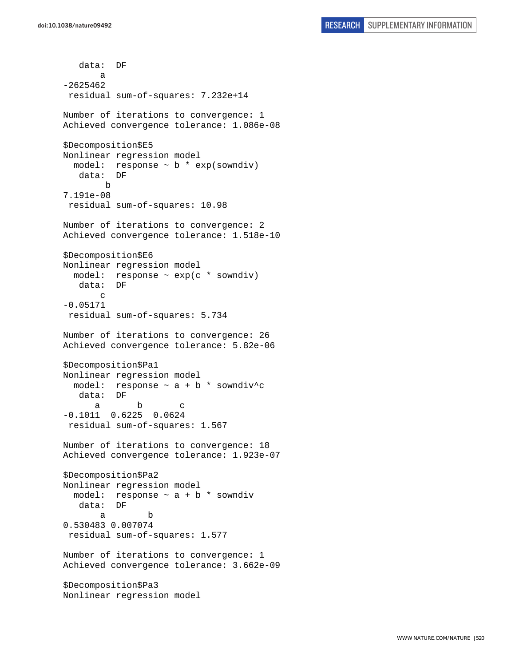data: DF a -2625462 residual sum-of-squares: 7.232e+14 Number of iterations to convergence: 1 Achieved convergence tolerance: 1.086e-08 \$Decomposition\$E5 Nonlinear regression model model: response  $\sim$  b  $*$  exp(sowndiv) data: DF b 7.191e-08 residual sum-of-squares: 10.98 Number of iterations to convergence: 2 Achieved convergence tolerance: 1.518e-10 \$Decomposition\$E6 Nonlinear regression model model: response ~ exp(c \* sowndiv) data: DF c -0.05171 residual sum-of-squares: 5.734 Number of iterations to convergence: 26 Achieved convergence tolerance: 5.82e-06 \$Decomposition\$Pa1 Nonlinear regression model model: response  $\sim$  a + b \* sowndiv<sup>^</sup>c data: DF a b c -0.1011 0.6225 0.0624 residual sum-of-squares: 1.567 Number of iterations to convergence: 18 Achieved convergence tolerance: 1.923e-07 \$Decomposition\$Pa2 Nonlinear regression model model: response  $\sim$  a + b  $*$  sowndiv data: DF a b 0.530483 0.007074 residual sum-of-squares: 1.577 Number of iterations to convergence: 1 Achieved convergence tolerance: 3.662e-09 \$Decomposition\$Pa3 Nonlinear regression model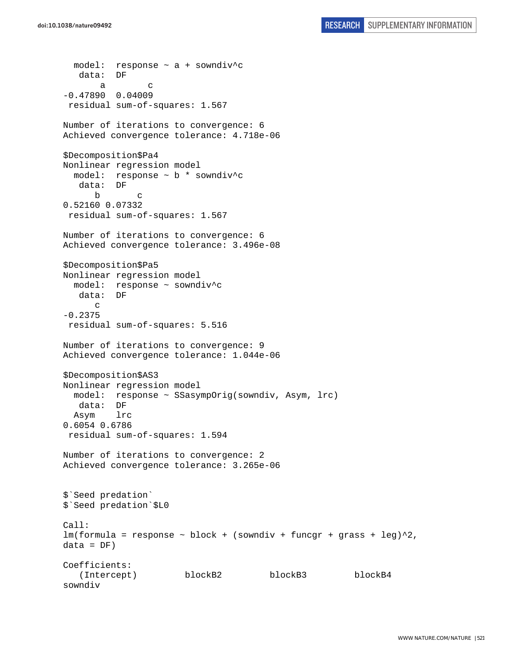```
 model: response ~ a + sowndiv^c 
    data: DF 
 a c 
-0.47890 0.04009 
 residual sum-of-squares: 1.567 
Number of iterations to convergence: 6 
Achieved convergence tolerance: 4.718e-06 
$Decomposition$Pa4 
Nonlinear regression model 
   model: response ~ b * sowndiv^c 
    data: DF 
 b c 
0.52160 0.07332 
 residual sum-of-squares: 1.567 
Number of iterations to convergence: 6 
Achieved convergence tolerance: 3.496e-08 
$Decomposition$Pa5 
Nonlinear regression model 
  model: response ~ sowndiv^c 
   data: DF 
       c 
-0.2375 
 residual sum-of-squares: 5.516 
Number of iterations to convergence: 9 
Achieved convergence tolerance: 1.044e-06 
$Decomposition$AS3 
Nonlinear regression model 
   model: response ~ SSasympOrig(sowndiv, Asym, lrc) 
   data: DF 
  Asym lrc 
0.6054 0.6786 
 residual sum-of-squares: 1.594 
Number of iterations to convergence: 2 
Achieved convergence tolerance: 3.265e-06 
$`Seed predation` 
$`Seed predation`$L0 
Call: 
lm(formula = response ~ block + (sowndiv + funcgr + grass + leg)^2,data = DF)Coefficients: 
    (Intercept) blockB2 blockB3 blockB4 
sowndiv
```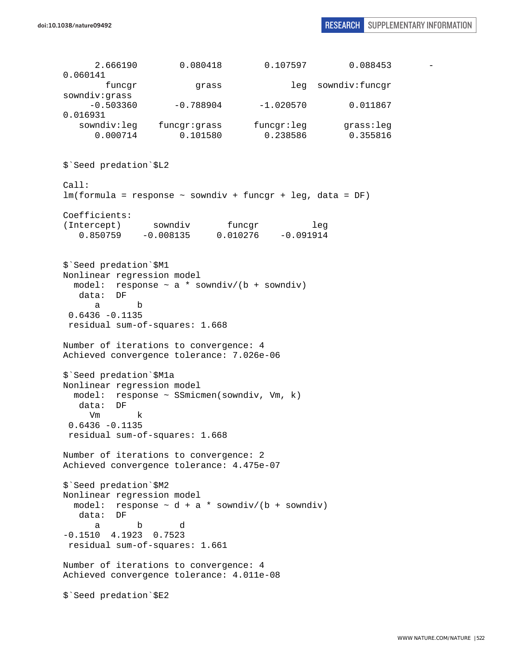2.666190 0.080418 0.107597 0.088453 - 0.060141 funcgr grass leg sowndiv:funcgr sowndiv:grass  $-0.503360$   $-0.788904$   $-1.020570$  0.011867 0.016931 sowndiv:leg funcgr:grass funcgr:leg grass:leg 0.000714 0.101580 0.238586 0.355816 \$`Seed predation`\$L2 Call: lm(formula = response ~ sowndiv + funcgr + leg, data = DF) Coefficients: (Intercept) sowndiv funcgr leg 0.850759 -0.008135 0.010276 -0.091914 \$`Seed predation`\$M1 Nonlinear regression model model: response  $\sim$  a \* sowndiv/(b + sowndiv) data: DF a b 0.6436 -0.1135 residual sum-of-squares: 1.668 Number of iterations to convergence: 4 Achieved convergence tolerance: 7.026e-06 \$`Seed predation`\$M1a Nonlinear regression model model: response ~ SSmicmen(sowndiv, Vm, k) data: DF Vm k 0.6436 -0.1135 residual sum-of-squares: 1.668 Number of iterations to convergence: 2 Achieved convergence tolerance: 4.475e-07 \$`Seed predation`\$M2 Nonlinear regression model model: response  $\sim d + a *$  sowndiv/(b + sowndiv) data: DF a b d -0.1510 4.1923 0.7523 residual sum-of-squares: 1.661 Number of iterations to convergence: 4 Achieved convergence tolerance: 4.011e-08 \$`Seed predation`\$E2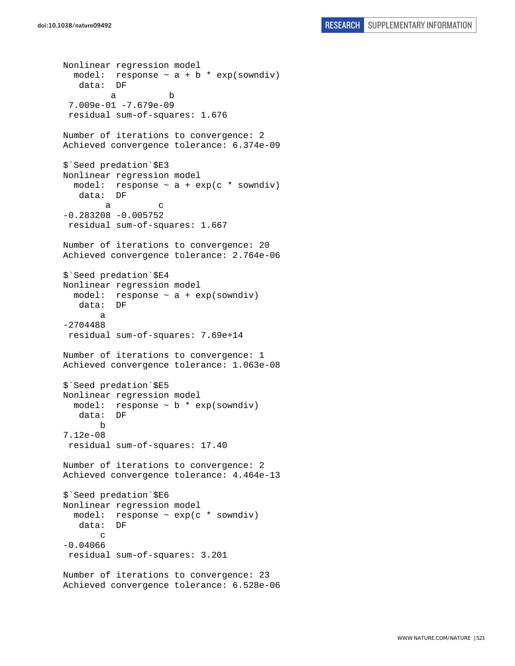```
Nonlinear regression model 
  model: response \sim a + b * exp(sowndiv)
    data: DF 
 a b 
  7.009e-01 -7.679e-09 
  residual sum-of-squares: 1.676 
Number of iterations to convergence: 2 
Achieved convergence tolerance: 6.374e-09 
$`Seed predation`$E3 
Nonlinear regression model 
  model: response \sim a + exp(c * sowndiv)
    data: DF 
 a c 
-0.283208 - 0.005752 residual sum-of-squares: 1.667 
Number of iterations to convergence: 20 
Achieved convergence tolerance: 2.764e-06 
$`Seed predation`$E4 
Nonlinear regression model 
  model: response \sim a + exp(sowndiv)
    data: DF 
 a 
-2704488 
 residual sum-of-squares: 7.69e+14 
Number of iterations to convergence: 1 
Achieved convergence tolerance: 1.063e-08 
$`Seed predation`$E5 
Nonlinear regression model 
  model: response \sim b * exp(sowndiv)
    data: DF 
        b 
7.12e-08 
 residual sum-of-squares: 17.40 
Number of iterations to convergence: 2 
Achieved convergence tolerance: 4.464e-13 
$`Seed predation`$E6 
Nonlinear regression model 
  model: response ~ exp(c * sowndiv) 
   data: DF 
        c 
-0.04066 
  residual sum-of-squares: 3.201 
Number of iterations to convergence: 23 
Achieved convergence tolerance: 6.528e-06
```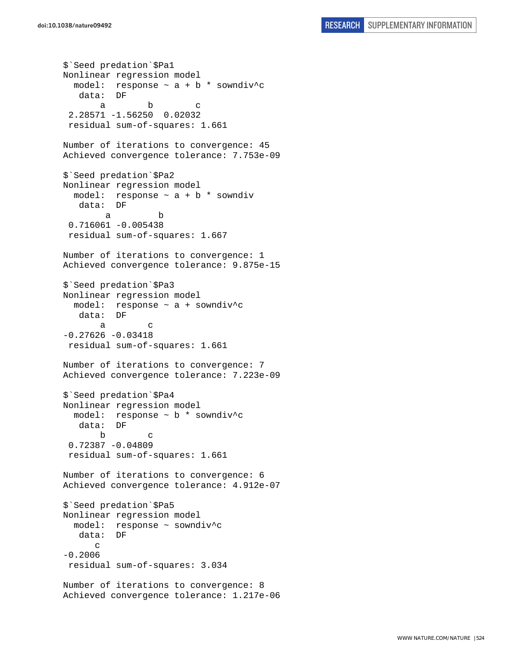\$`Seed predation`\$Pa1 Nonlinear regression model model: response  $\sim$  a + b \* sowndiv^c data: DF a b c 2.28571 -1.56250 0.02032 residual sum-of-squares: 1.661 Number of iterations to convergence: 45 Achieved convergence tolerance: 7.753e-09 \$`Seed predation`\$Pa2 Nonlinear regression model model: response  $\sim$  a + b  $*$  sowndiv data: DF a b 0.716061 -0.005438 residual sum-of-squares: 1.667 Number of iterations to convergence: 1 Achieved convergence tolerance: 9.875e-15 \$`Seed predation`\$Pa3 Nonlinear regression model model: response ~ a + sowndiv^c data: DF a c  $-0.27626 - 0.03418$  residual sum-of-squares: 1.661 Number of iterations to convergence: 7 Achieved convergence tolerance: 7.223e-09 \$`Seed predation`\$Pa4 Nonlinear regression model model: response ~ b \* sowndiv^c data: DF b c 0.72387 -0.04809 residual sum-of-squares: 1.661 Number of iterations to convergence: 6 Achieved convergence tolerance: 4.912e-07 \$`Seed predation`\$Pa5 Nonlinear regression model model: response ~ sowndiv^c data: DF  $\mathcal{C}$ -0.2006 residual sum-of-squares: 3.034 Number of iterations to convergence: 8 Achieved convergence tolerance: 1.217e-06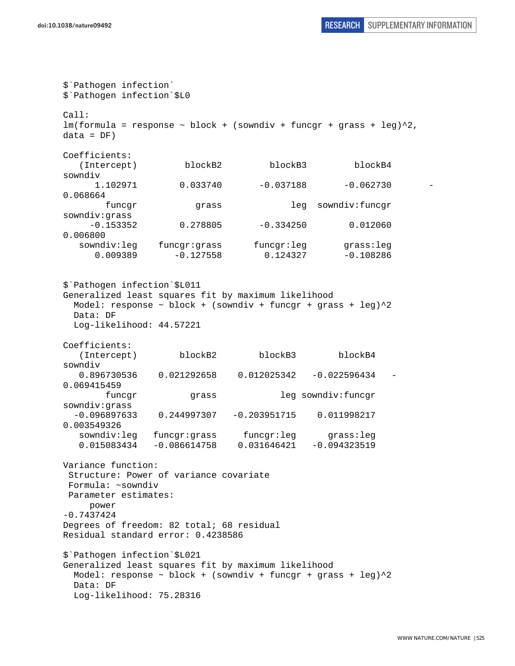```
$`Pathogen infection` 
$`Pathogen infection`$L0 
Call: 
lm(formula = response ~ block + (sowndiv + funcgr + grass + leg)^2,data = DF)Coefficients: 
   (Intercept) blockB2 blockB3 blockB4 
sowndiv 
      1.102971 0.033740 -0.037188 -0.062730 -
0.068664 
        funcgr grass leg sowndiv:funcgr 
sowndiv:grass 
    -0.153352 0.278805 -0.334250 0.0120600.006800 
   sowndiv:leg funcgr:grass funcgr:leg grass:leg 
      0.009389 -0.127558 0.124327 -0.108286 
$`Pathogen infection`$L011 
Generalized least squares fit by maximum likelihood 
 Model: response \sim block + (sowndiv + funcgr + grass + leg)^22
  Data: DF 
  Log-likelihood: 44.57221 
Coefficients: 
   (Intercept) blockB2 blockB3 blockB4 
sowndiv 
   0.896730536 0.021292658 0.012025342 -0.022596434 -
0.069415459 
        funcgr grass leg sowndiv:funcgr 
sowndiv:grass 
   -0.096897633 0.244997307 -0.203951715 0.011998217 
0.003549326 
   sowndiv:leg funcgr:grass funcgr:leg grass:leg 
    0.015083434 -0.086614758 0.031646421 -0.094323519 
Variance function: 
  Structure: Power of variance covariate 
 Formula: ~sowndiv 
 Parameter estimates: 
     power 
-0.7437424 
Degrees of freedom: 82 total; 68 residual 
Residual standard error: 0.4238586 
$`Pathogen infection`$L021 
Generalized least squares fit by maximum likelihood 
 Model: response \sim block + (sowndiv + funcgr + grass + leg)\textdegree{}2 Data: DF 
  Log-likelihood: 75.28316
```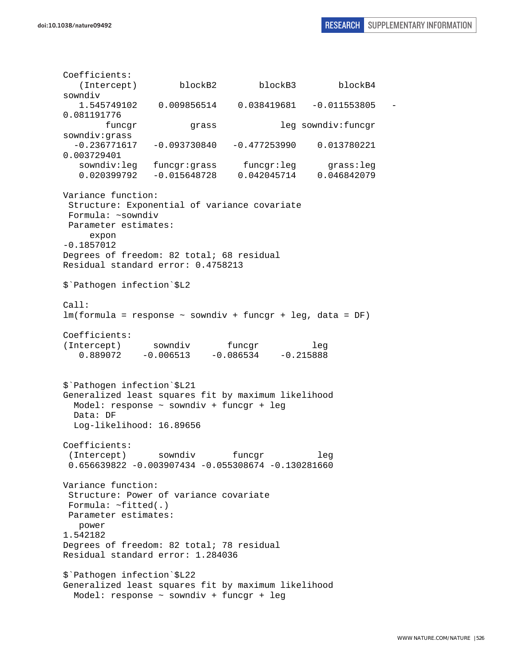Coefficients: (Intercept) blockB2 blockB3 blockB4 sowndiv 1.545749102 0.009856514 0.038419681 -0.011553805 - 0.081191776 funcgr grass leg sowndiv:funcgr sowndiv:grass -0.236771617 -0.093730840 -0.477253990 0.013780221 0.003729401 sowndiv:leg funcgr:grass funcgr:leg grass:leg 0.020399792 -0.015648728 0.042045714 0.046842079 Variance function: Structure: Exponential of variance covariate Formula: ~sowndiv Parameter estimates: expon -0.1857012 Degrees of freedom: 82 total; 68 residual Residual standard error: 0.4758213 \$`Pathogen infection`\$L2 Call: lm(formula = response ~ sowndiv + funcgr + leg, data = DF) Coefficients: (Intercept) sowndiv funcgr leg 0.889072 -0.006513 -0.086534 -0.215888 \$`Pathogen infection`\$L21 Generalized least squares fit by maximum likelihood Model: response ~ sowndiv + funcgr + leg Data: DF Log-likelihood: 16.89656 Coefficients: (Intercept) sowndiv funcgr leg 0.656639822 -0.003907434 -0.055308674 -0.130281660 Variance function: Structure: Power of variance covariate Formula: ~fitted(.) Parameter estimates: power 1.542182 Degrees of freedom: 82 total; 78 residual Residual standard error: 1.284036 \$`Pathogen infection`\$L22 Generalized least squares fit by maximum likelihood Model: response ~ sowndiv + funcgr + leg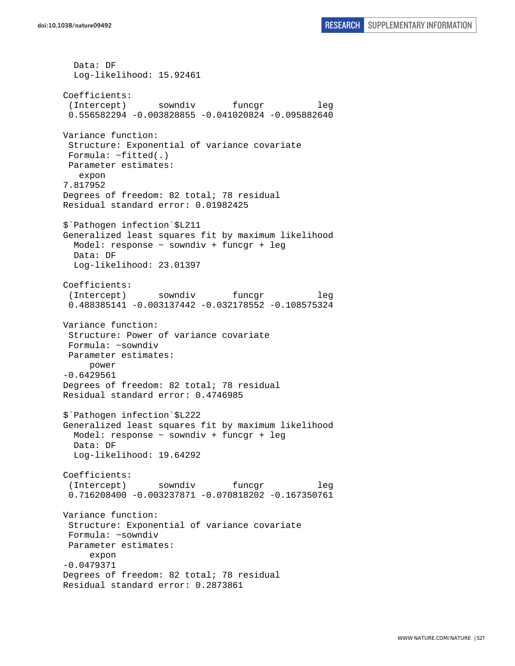Data: DF Log-likelihood: 15.92461 Coefficients: (Intercept) sowndiv funcgr leg 0.556582294 -0.003828855 -0.041020824 -0.095882640 Variance function: Structure: Exponential of variance covariate Formula: ~fitted(.) Parameter estimates: expon 7.817952 Degrees of freedom: 82 total; 78 residual Residual standard error: 0.01982425 \$`Pathogen infection`\$L211 Generalized least squares fit by maximum likelihood Model: response ~ sowndiv + funcgr + leg Data: DF Log-likelihood: 23.01397 Coefficients: (Intercept) sowndiv funcgr leg 0.488385141 -0.003137442 -0.032178552 -0.108575324 Variance function: Structure: Power of variance covariate Formula: ~sowndiv Parameter estimates: power -0.6429561 Degrees of freedom: 82 total; 78 residual Residual standard error: 0.4746985 \$`Pathogen infection`\$L222 Generalized least squares fit by maximum likelihood Model: response ~ sowndiv + funcgr + leg Data: DF Log-likelihood: 19.64292 Coefficients: (Intercept) sowndiv funcgr leg 0.716208400 -0.003237871 -0.070818202 -0.167350761 Variance function: Structure: Exponential of variance covariate Formula: ~sowndiv Parameter estimates: expon -0.0479371 Degrees of freedom: 82 total; 78 residual Residual standard error: 0.2873861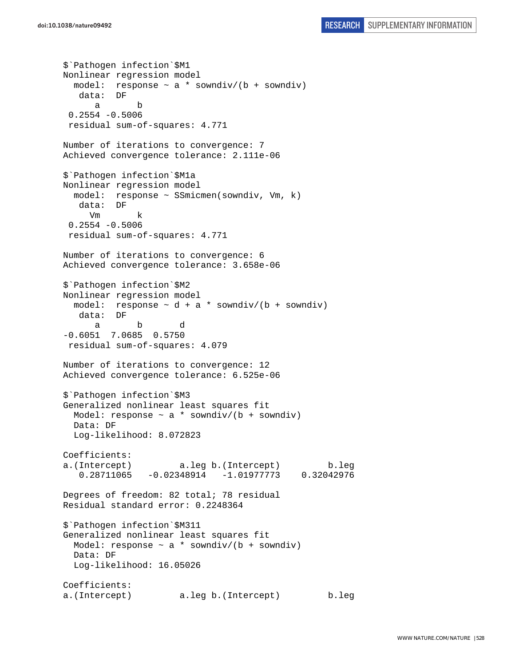\$`Pathogen infection`\$M1 Nonlinear regression model model: response ~ a \* sowndiv/(b + sowndiv) data: DF a b 0.2554 -0.5006 residual sum-of-squares: 4.771 Number of iterations to convergence: 7 Achieved convergence tolerance: 2.111e-06 \$`Pathogen infection`\$M1a Nonlinear regression model model: response ~ SSmicmen(sowndiv, Vm, k) data: DF Vm k 0.2554 -0.5006 residual sum-of-squares: 4.771 Number of iterations to convergence: 6 Achieved convergence tolerance: 3.658e-06 \$`Pathogen infection`\$M2 Nonlinear regression model model: response  $\sim d + a *$  sowndiv/(b + sowndiv) data: DF a b d -0.6051 7.0685 0.5750 residual sum-of-squares: 4.079 Number of iterations to convergence: 12 Achieved convergence tolerance: 6.525e-06 \$`Pathogen infection`\$M3 Generalized nonlinear least squares fit Model: response  $\sim$  a \* sowndiv/(b + sowndiv) Data: DF Log-likelihood: 8.072823 Coefficients: a.(Intercept) a.leg b.(Intercept) b.leg 0.28711065 -0.02348914 -1.01977773 0.32042976 Degrees of freedom: 82 total; 78 residual Residual standard error: 0.2248364 \$`Pathogen infection`\$M311 Generalized nonlinear least squares fit Model: response  $\sim$  a \* sowndiv/(b + sowndiv) Data: DF Log-likelihood: 16.05026 Coefficients: a.(Intercept) a.leg b.(Intercept) b.leg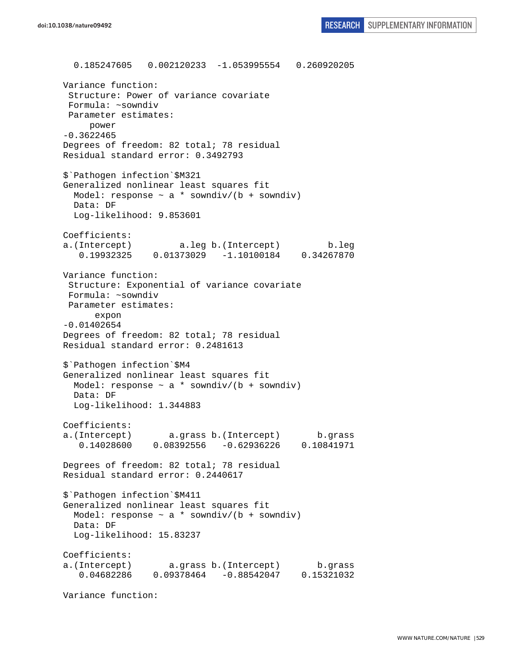0.185247605 0.002120233 -1.053995554 0.260920205 Variance function: Structure: Power of variance covariate Formula: ~sowndiv Parameter estimates: power -0.3622465 Degrees of freedom: 82 total; 78 residual Residual standard error: 0.3492793 \$`Pathogen infection`\$M321 Generalized nonlinear least squares fit Model: response  $\sim$  a \* sowndiv/(b + sowndiv) Data: DF Log-likelihood: 9.853601 Coefficients: a.(Intercept) a.leg b.(Intercept) b.leg 0.19932325 0.01373029 -1.10100184 0.34267870 Variance function: Structure: Exponential of variance covariate Formula: ~sowndiv Parameter estimates: expon -0.01402654 Degrees of freedom: 82 total; 78 residual Residual standard error: 0.2481613 \$`Pathogen infection`\$M4 Generalized nonlinear least squares fit Model: response  $\sim$  a \* sowndiv/(b + sowndiv) Data: DF Log-likelihood: 1.344883 Coefficients: a.(Intercept) a.grass b.(Intercept) b.grass 0.14028600 0.08392556 -0.62936226 0.10841971 Degrees of freedom: 82 total; 78 residual Residual standard error: 0.2440617 \$`Pathogen infection`\$M411 Generalized nonlinear least squares fit Model: response  $\sim$  a  $*$  sowndiv/(b + sowndiv) Data: DF Log-likelihood: 15.83237 Coefficients: a.(Intercept) a.grass b.(Intercept) b.grass 0.04682286 0.09378464 -0.88542047 0.15321032

Variance function: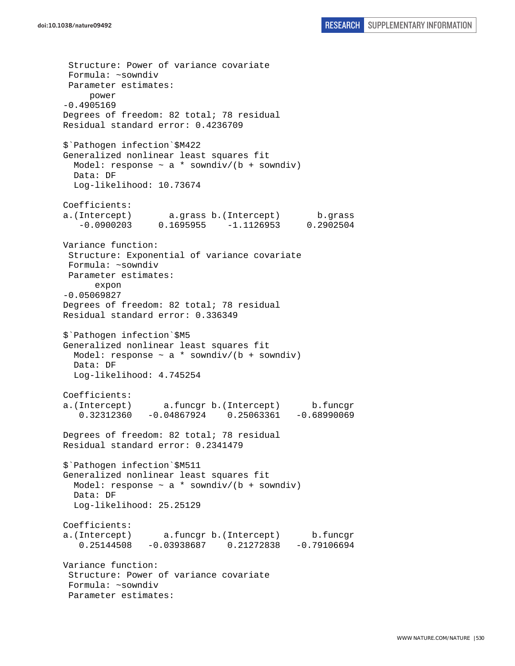Structure: Power of variance covariate Formula: ~sowndiv Parameter estimates: power -0.4905169 Degrees of freedom: 82 total; 78 residual Residual standard error: 0.4236709 \$`Pathogen infection`\$M422 Generalized nonlinear least squares fit Model: response  $\sim$  a  $*$  sowndiv/(b + sowndiv) Data: DF Log-likelihood: 10.73674 Coefficients: a.(Intercept) a.grass b.(Intercept) b.grass -0.0900203 0.1695955 -1.1126953 0.2902504 Variance function: Structure: Exponential of variance covariate Formula: ~sowndiv Parameter estimates: expon -0.05069827 Degrees of freedom: 82 total; 78 residual Residual standard error: 0.336349 \$`Pathogen infection`\$M5 Generalized nonlinear least squares fit Model: response  $\sim$  a \* sowndiv/(b + sowndiv) Data: DF Log-likelihood: 4.745254 Coefficients: a.(Intercept) a.funcgr b.(Intercept) b.funcgr 0.32312360 -0.04867924 0.25063361 -0.68990069 Degrees of freedom: 82 total; 78 residual Residual standard error: 0.2341479 \$`Pathogen infection`\$M511 Generalized nonlinear least squares fit Model: response  $\sim$  a \* sowndiv/(b + sowndiv) Data: DF Log-likelihood: 25.25129 Coefficients: a.(Intercept) a.funcgr b.(Intercept) b.funcgr 0.25144508 -0.03938687 0.21272838 -0.79106694 Variance function: Structure: Power of variance covariate Formula: ~sowndiv Parameter estimates: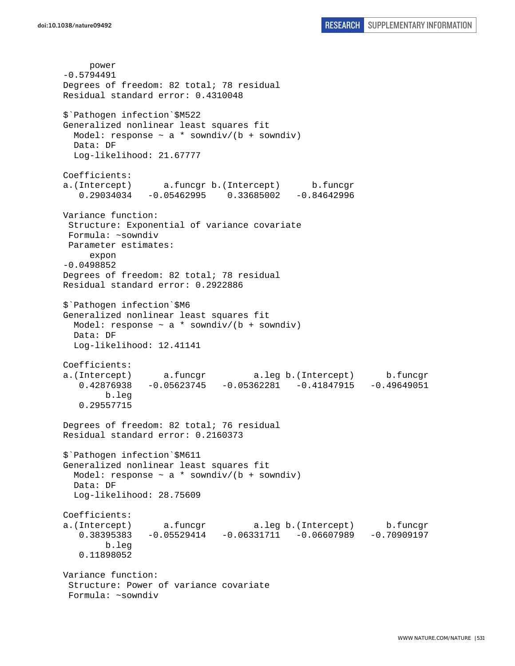power -0.5794491 Degrees of freedom: 82 total; 78 residual Residual standard error: 0.4310048 \$`Pathogen infection`\$M522 Generalized nonlinear least squares fit Model: response  $\sim$  a \* sowndiv/(b + sowndiv) Data: DF Log-likelihood: 21.67777 Coefficients: a.(Intercept) a.funcgr b.(Intercept) b.funcgr 0.29034034 -0.05462995 0.33685002 -0.84642996 Variance function: Structure: Exponential of variance covariate Formula: ~sowndiv Parameter estimates: expon -0.0498852 Degrees of freedom: 82 total; 78 residual Residual standard error: 0.2922886 \$`Pathogen infection`\$M6 Generalized nonlinear least squares fit Model: response  $\sim$  a \* sowndiv/(b + sowndiv) Data: DF Log-likelihood: 12.41141 Coefficients: a.(Intercept) a.funcgr a.leg b.(Intercept) b.funcgr 0.42876938 -0.05623745 -0.05362281 -0.41847915 -0.49649051 b.leg 0.29557715 Degrees of freedom: 82 total; 76 residual Residual standard error: 0.2160373 \$`Pathogen infection`\$M611 Generalized nonlinear least squares fit Model: response  $\sim$  a \* sowndiv/(b + sowndiv) Data: DF Log-likelihood: 28.75609 Coefficients: a.(Intercept) a.funcgr a.leg b.(Intercept) b.funcgr 0.38395383 -0.05529414 -0.06331711 -0.06607989 -0.70909197 b.leg 0.11898052 Variance function: Structure: Power of variance covariate Formula: ~sowndiv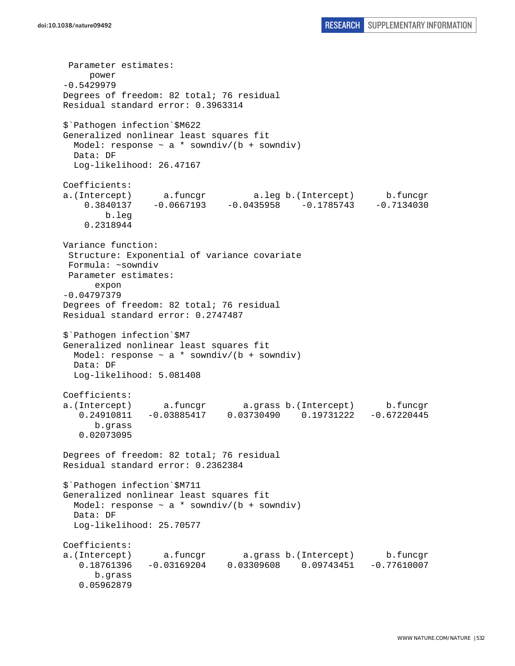```
 Parameter estimates: 
      power 
-0.5429979 
Degrees of freedom: 82 total; 76 residual 
Residual standard error: 0.3963314 
$`Pathogen infection`$M622 
Generalized nonlinear least squares fit 
  Model: response \sim a * sowndiv/(b + sowndiv)
   Data: DF 
   Log-likelihood: 26.47167 
Coefficients: 
a.(Intercept) a.funcgr a.leg b.(Intercept) b.funcgr 
     0.3840137 -0.0667193 -0.0435958 -0.1785743 -0.7134030 
         b.leg 
     0.2318944 
Variance function: 
  Structure: Exponential of variance covariate 
 Formula: ~sowndiv 
 Parameter estimates: 
       expon 
-0.04797379 
Degrees of freedom: 82 total; 76 residual 
Residual standard error: 0.2747487 
$`Pathogen infection`$M7 
Generalized nonlinear least squares fit 
  Model: response \sim a * sowndiv/(b + sowndiv)
   Data: DF 
   Log-likelihood: 5.081408 
Coefficients: 
a.(Intercept) a.funcgr a.grass b.(Intercept) b.funcgr 
    0.24910811 -0.03885417 0.03730490 0.19731222 -0.67220445 
       b.grass 
    0.02073095 
Degrees of freedom: 82 total; 76 residual 
Residual standard error: 0.2362384 
$`Pathogen infection`$M711 
Generalized nonlinear least squares fit 
  Model: response \sim a * sowndiv/(b + sowndiv)
  Data: DF 
  Log-likelihood: 25.70577 
Coefficients: 
a.(Intercept) a.funcgr a.grass b.(Intercept) b.funcgr 
    0.18761396 -0.03169204 0.03309608 0.09743451 -0.77610007 
       b.grass 
    0.05962879
```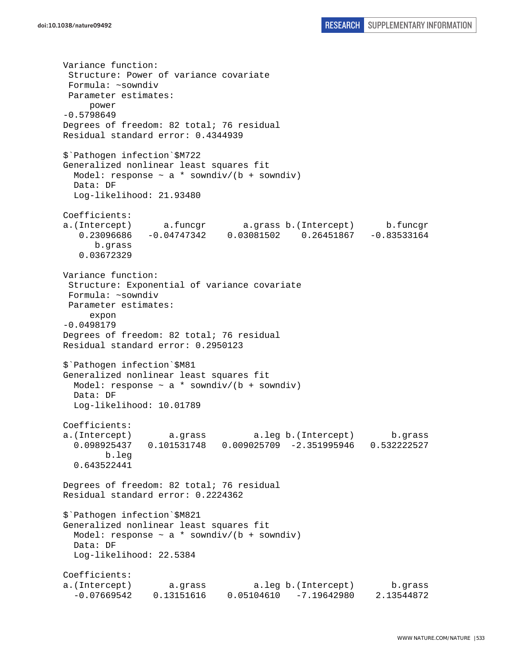Variance function: Structure: Power of variance covariate Formula: ~sowndiv Parameter estimates: power -0.5798649 Degrees of freedom: 82 total; 76 residual Residual standard error: 0.4344939 \$`Pathogen infection`\$M722 Generalized nonlinear least squares fit Model: response  $\sim$  a \* sowndiv/(b + sowndiv) Data: DF Log-likelihood: 21.93480 Coefficients: a.(Intercept) a.funcgr a.grass b.(Intercept) b.funcgr 0.23096686 -0.04747342 0.03081502 0.26451867 -0.83533164 b.grass 0.03672329 Variance function: Structure: Exponential of variance covariate Formula: ~sowndiv Parameter estimates: expon -0.0498179 Degrees of freedom: 82 total; 76 residual Residual standard error: 0.2950123 \$`Pathogen infection`\$M81 Generalized nonlinear least squares fit Model: response  $\sim$  a \* sowndiv/(b + sowndiv) Data: DF Log-likelihood: 10.01789 Coefficients: a.(Intercept) a.grass a.leg b.(Intercept) b.grass 0.098925437 0.101531748 0.009025709 -2.351995946 0.532222527 b.leg 0.643522441 Degrees of freedom: 82 total; 76 residual Residual standard error: 0.2224362 \$`Pathogen infection`\$M821 Generalized nonlinear least squares fit Model: response  $\sim$  a \* sowndiv/(b + sowndiv) Data: DF Log-likelihood: 22.5384 Coefficients: a.(Intercept) a.grass a.leg b.(Intercept) b.grass -0.07669542 0.13151616 0.05104610 -7.19642980 2.13544872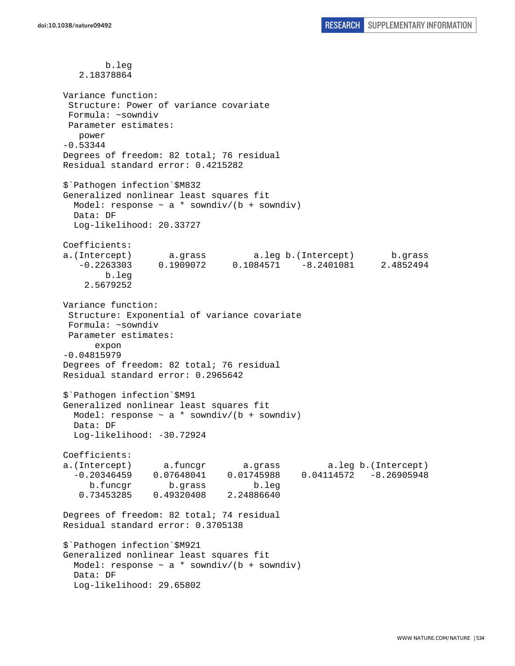b.leg 2.18378864 Variance function: Structure: Power of variance covariate Formula: ~sowndiv Parameter estimates: power -0.53344 Degrees of freedom: 82 total; 76 residual Residual standard error: 0.4215282 \$`Pathogen infection`\$M832 Generalized nonlinear least squares fit Model: response  $\sim$  a \* sowndiv/(b + sowndiv) Data: DF Log-likelihood: 20.33727 Coefficients: a.(Intercept) a.grass a.leg b.(Intercept) b.grass -0.2263303 0.1909072 0.1084571 -8.2401081 2.4852494 b.leg 2.5679252 Variance function: Structure: Exponential of variance covariate Formula: ~sowndiv Parameter estimates: expon -0.04815979 Degrees of freedom: 82 total; 76 residual Residual standard error: 0.2965642 \$`Pathogen infection`\$M91 Generalized nonlinear least squares fit Model: response  $\sim$  a \* sowndiv/(b + sowndiv) Data: DF Log-likelihood: -30.72924 Coefficients: a.(Intercept) a.funcgr a.grass a.leg b.(Intercept) -0.20346459 0.07648041 0.01745988 0.04114572 -8.26905948 b.funcgr b.grass b.leg 0.73453285 0.49320408 2.24886640 Degrees of freedom: 82 total; 74 residual Residual standard error: 0.3705138 \$`Pathogen infection`\$M921 Generalized nonlinear least squares fit Model: response  $\sim$  a  $*$  sowndiv/(b + sowndiv) Data: DF Log-likelihood: 29.65802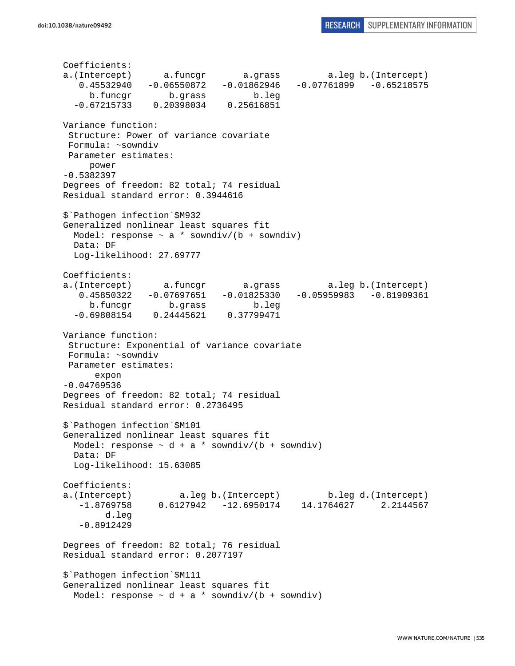Coefficients: a.(Intercept) a.funcgr a.grass a.leg b.(Intercept) 0.45532940 -0.06550872 -0.01862946 -0.07761899 -0.65218575 b.funcgr b.grass b.leg -0.67215733 0.20398034 0.25616851 Variance function: Structure: Power of variance covariate Formula: ~sowndiv Parameter estimates: power -0.5382397 Degrees of freedom: 82 total; 74 residual Residual standard error: 0.3944616 \$`Pathogen infection`\$M932 Generalized nonlinear least squares fit Model: response  $\sim$  a  $*$  sowndiv/(b + sowndiv) Data: DF Log-likelihood: 27.69777 Coefficients: a.(Intercept) a.funcgr a.grass a.leg b.(Intercept) 0.45850322 -0.07697651 -0.01825330 -0.05959983 -0.81909361 b.funcgr b.grass b.leg -0.69808154 0.24445621 0.37799471 Variance function: Structure: Exponential of variance covariate Formula: ~sowndiv Parameter estimates: expon -0.04769536 Degrees of freedom: 82 total; 74 residual Residual standard error: 0.2736495 \$`Pathogen infection`\$M101 Generalized nonlinear least squares fit Model: response  $\sim d + a *$  sowndiv/(b + sowndiv) Data: DF Log-likelihood: 15.63085 Coefficients: a.(Intercept) a.leg b.(Intercept) b.leg d.(Intercept) -1.8769758 0.6127942 -12.6950174 14.1764627 2.2144567 d.leg -0.8912429 Degrees of freedom: 82 total; 76 residual Residual standard error: 0.2077197 \$`Pathogen infection`\$M111 Generalized nonlinear least squares fit Model: response  $\sim d + a *$  sowndiv/(b + sowndiv)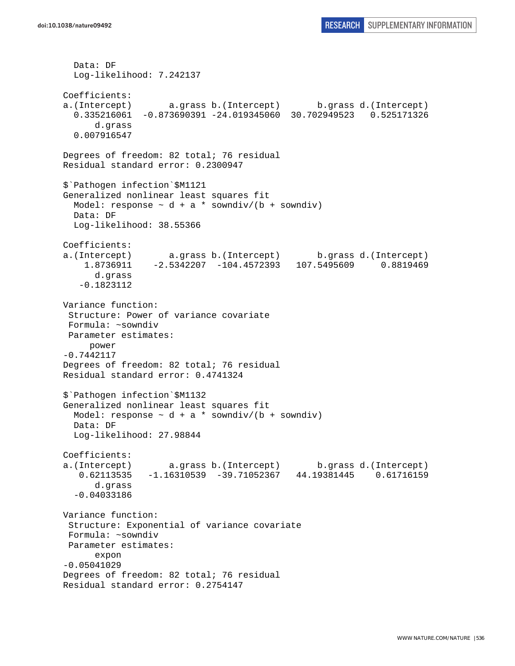```
 Data: DF 
   Log-likelihood: 7.242137 
Coefficients: 
a.(Intercept) a.grass b.(Intercept) b.grass d.(Intercept) 
   0.335216061 -0.873690391 -24.019345060 30.702949523 0.525171326 
       d.grass 
   0.007916547 
Degrees of freedom: 82 total; 76 residual 
Residual standard error: 0.2300947 
$`Pathogen infection`$M1121 
Generalized nonlinear least squares fit 
 Model: response \sim d + a * sowndiv/(b + sowndiv)
  Data: DF 
  Log-likelihood: 38.55366 
Coefficients: 
a.(Intercept) a.grass b.(Intercept) b.grass d.(Intercept) 
     1.8736911 -2.5342207 -104.4572393 107.5495609 0.8819469 
       d.grass 
    -0.1823112 
Variance function: 
  Structure: Power of variance covariate 
 Formula: ~sowndiv 
 Parameter estimates: 
      power 
-0.7442117 
Degrees of freedom: 82 total; 76 residual 
Residual standard error: 0.4741324 
$`Pathogen infection`$M1132 
Generalized nonlinear least squares fit 
 Model: response \sim d + a * sowndiv/(b + sowndiv)
  Data: DF 
  Log-likelihood: 27.98844 
Coefficients: 
a.(Intercept) a.grass b.(Intercept) b.grass d.(Intercept) 
    0.62113535 -1.16310539 -39.71052367 44.19381445 0.61716159 
       d.grass 
   -0.04033186 
Variance function: 
  Structure: Exponential of variance covariate 
 Formula: ~sowndiv 
 Parameter estimates: 
       expon 
-0.05041029 
Degrees of freedom: 82 total; 76 residual 
Residual standard error: 0.2754147
```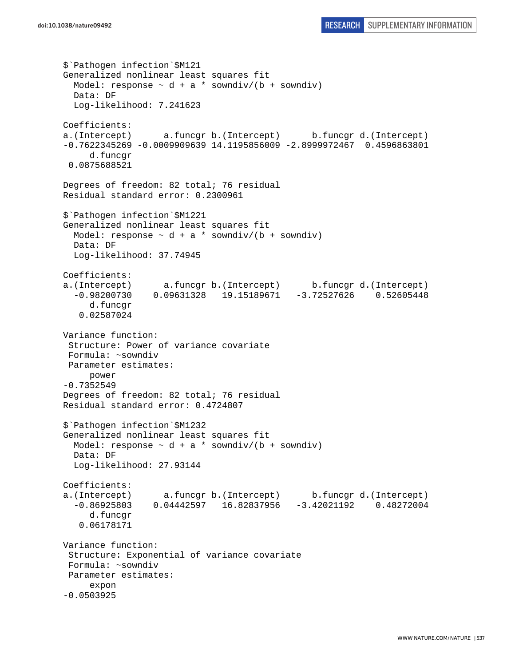```
$`Pathogen infection`$M121 
Generalized nonlinear least squares fit 
  Model: response \sim d + a * sowndiv/(b + sowndiv)
  Data: DF 
   Log-likelihood: 7.241623 
Coefficients: 
a.(Intercept) a.funcgr b.(Intercept) b.funcgr d.(Intercept) 
-0.7622345269 -0.0009909639 14.1195856009 -2.8999972467 0.4596863801 
      d.funcgr 
 0.0875688521 
Degrees of freedom: 82 total; 76 residual 
Residual standard error: 0.2300961 
$`Pathogen infection`$M1221 
Generalized nonlinear least squares fit 
  Model: response \sim d + a * sowndiv/(b + sowndiv)
   Data: DF 
   Log-likelihood: 37.74945 
Coefficients: 
a.(Intercept) a.funcgr b.(Intercept) b.funcgr d.(Intercept) 
   -0.98200730 0.09631328 19.15189671 -3.72527626 0.52605448 
      d.funcgr 
    0.02587024 
Variance function: 
  Structure: Power of variance covariate 
 Formula: ~sowndiv 
 Parameter estimates: 
      power 
-0.7352549 
Degrees of freedom: 82 total; 76 residual 
Residual standard error: 0.4724807 
$`Pathogen infection`$M1232 
Generalized nonlinear least squares fit 
 Model: response \sim d + a * sowndiv/(b + sowndiv)
   Data: DF 
   Log-likelihood: 27.93144 
Coefficients: 
a.(Intercept) a.funcgr b.(Intercept) b.funcgr d.(Intercept) 
   -0.86925803 0.04442597 16.82837956 -3.42021192 0.48272004 
      d.funcgr 
    0.06178171 
Variance function: 
  Structure: Exponential of variance covariate 
 Formula: ~sowndiv 
 Parameter estimates: 
      expon 
-0.0503925
```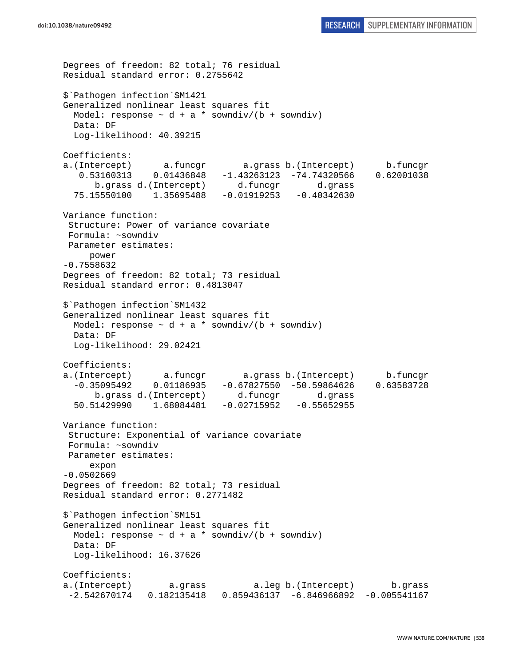```
Degrees of freedom: 82 total; 76 residual 
Residual standard error: 0.2755642 
$`Pathogen infection`$M1421 
Generalized nonlinear least squares fit 
  Model: response \sim d + a * sowndiv/(b + sowndiv)
   Data: DF 
  Log-likelihood: 40.39215 
Coefficients: 
a.(Intercept) a.funcgr a.grass b.(Intercept) b.funcgr 
    0.53160313 0.01436848 -1.43263123 -74.74320566 0.62001038 
       b.grass d.(Intercept) d.funcgr d.grass 
   75.15550100 1.35695488 -0.01919253 -0.40342630 
Variance function: 
  Structure: Power of variance covariate 
  Formula: ~sowndiv 
 Parameter estimates: 
     power 
-0.7558632 
Degrees of freedom: 82 total; 73 residual 
Residual standard error: 0.4813047 
$`Pathogen infection`$M1432 
Generalized nonlinear least squares fit 
 Model: response \sim d + a * sowndiv/(b + sowndiv)
   Data: DF 
   Log-likelihood: 29.02421 
Coefficients: 
a.(Intercept) a.funcgr a.grass b.(Intercept) b.funcgr 
   -0.35095492 0.01186935 -0.67827550 -50.59864626 0.63583728 
       b.grass d.(Intercept) d.funcgr d.grass 
   50.51429990 1.68084481 -0.02715952 -0.55652955 
Variance function: 
  Structure: Exponential of variance covariate 
  Formula: ~sowndiv 
 Parameter estimates: 
      expon 
-0.0502669 
Degrees of freedom: 82 total; 73 residual 
Residual standard error: 0.2771482 
$`Pathogen infection`$M151 
Generalized nonlinear least squares fit 
  Model: response \sim d + a * sowndiv/(b + sowndiv)
   Data: DF 
   Log-likelihood: 16.37626 
Coefficients: 
a.(Intercept) a.grass a.leg b.(Intercept) b.grass 
  -2.542670174 0.182135418 0.859436137 -6.846966892 -0.005541167
```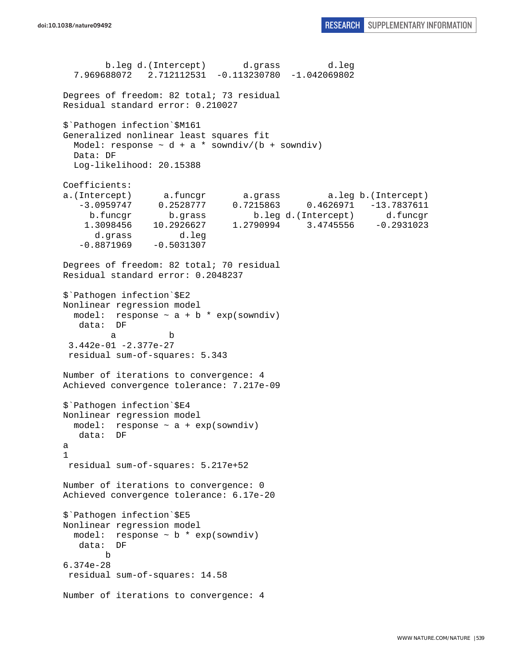```
 b.leg d.(Intercept) d.grass d.leg 
   7.969688072 2.712112531 -0.113230780 -1.042069802 
Degrees of freedom: 82 total; 73 residual 
Residual standard error: 0.210027 
$`Pathogen infection`$M161 
Generalized nonlinear least squares fit 
  Model: response \sim d + a * sowndiv/(b + sowndiv)
   Data: DF 
   Log-likelihood: 20.15388 
Coefficients: 
a.(Intercept) a.funcgr a.grass a.leg b.(Intercept) 
   -3.0959747 0.2528777 0.7215863 0.4626971 -13.7837611 
     b.funcgr b.grass b.leg d.(Intercept) d.funcgr 
     1.3098456 10.2926627 1.2790994 3.4745556 -0.2931023 
      d.grass d.leg<br>8871969 -0.5031307
   -0.8871969Degrees of freedom: 82 total; 70 residual 
Residual standard error: 0.2048237 
$`Pathogen infection`$E2 
Nonlinear regression model 
  model: response \sim a + b * exp(sowndiv)
   data: DF 
 a b 
  3.442e-01 -2.377e-27 
  residual sum-of-squares: 5.343 
Number of iterations to convergence: 4 
Achieved convergence tolerance: 7.217e-09 
$`Pathogen infection`$E4 
Nonlinear regression model 
  model: response ~ a + exp(sowndiv) 
   data: DF 
a 
1 
  residual sum-of-squares: 5.217e+52 
Number of iterations to convergence: 0 
Achieved convergence tolerance: 6.17e-20 
$`Pathogen infection`$E5 
Nonlinear regression model 
  model: response \sim b * exp(sowndiv)
   data: DF 
        b 
6.374e-28 
  residual sum-of-squares: 14.58 
Number of iterations to convergence: 4
```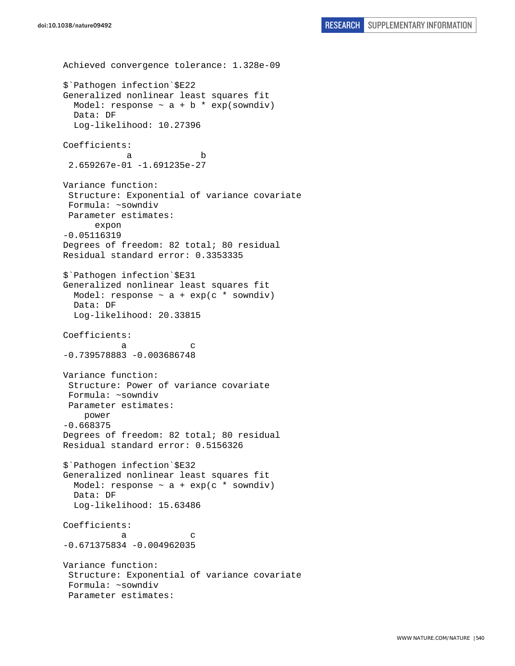```
Achieved convergence tolerance: 1.328e-09 
$`Pathogen infection`$E22 
Generalized nonlinear least squares fit 
 Model: response \sim a + b * exp(sowndiv)
   Data: DF 
   Log-likelihood: 10.27396 
Coefficients: 
 a b 
  2.659267e-01 -1.691235e-27 
Variance function: 
  Structure: Exponential of variance covariate 
 Formula: ~sowndiv 
 Parameter estimates: 
       expon 
-0.05116319 
Degrees of freedom: 82 total; 80 residual 
Residual standard error: 0.3353335 
$`Pathogen infection`$E31 
Generalized nonlinear least squares fit 
 Model: response \sim a + exp(c * sowndiv)
  Data: DF 
  Log-likelihood: 20.33815 
Coefficients: 
a c
-0.739578883 -0.003686748 
Variance function: 
  Structure: Power of variance covariate 
  Formula: ~sowndiv 
 Parameter estimates: 
     power 
-0.668375 
Degrees of freedom: 82 total; 80 residual 
Residual standard error: 0.5156326 
$`Pathogen infection`$E32 
Generalized nonlinear least squares fit 
 Model: response \sim a + exp(c * sowndiv)
  Data: DF 
   Log-likelihood: 15.63486 
Coefficients: 
a c
-0.671375834 -0.004962035 
Variance function: 
 Structure: Exponential of variance covariate 
 Formula: ~sowndiv 
  Parameter estimates:
```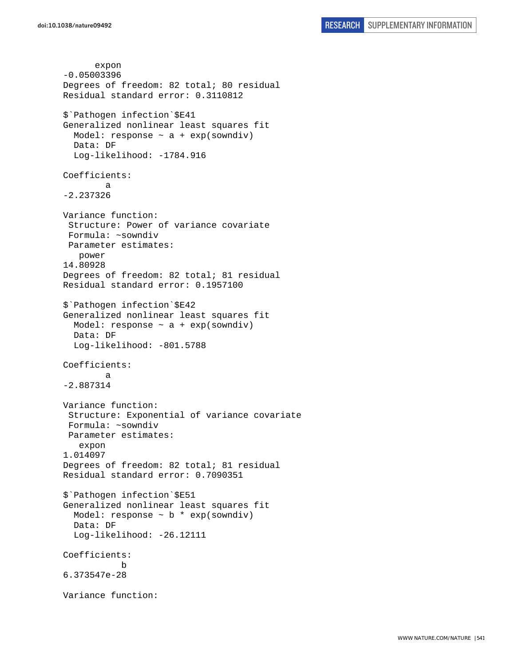```
 expon 
-0.05003396 
Degrees of freedom: 82 total; 80 residual 
Residual standard error: 0.3110812 
$`Pathogen infection`$E41 
Generalized nonlinear least squares fit 
  Model: response \sim a + exp(sowndiv)
   Data: DF 
   Log-likelihood: -1784.916 
Coefficients: 
 a 
-2.237326 
Variance function: 
  Structure: Power of variance covariate 
  Formula: ~sowndiv 
 Parameter estimates: 
    power 
14.80928 
Degrees of freedom: 82 total; 81 residual 
Residual standard error: 0.1957100 
$`Pathogen infection`$E42 
Generalized nonlinear least squares fit 
  Model: response \sim a + exp(sowndiv)
   Data: DF 
   Log-likelihood: -801.5788 
Coefficients: 
 a 
-2.887314 
Variance function: 
  Structure: Exponential of variance covariate 
  Formula: ~sowndiv 
 Parameter estimates: 
    expon 
1.014097 
Degrees of freedom: 82 total; 81 residual 
Residual standard error: 0.7090351 
$`Pathogen infection`$E51 
Generalized nonlinear least squares fit 
  Model: response \sim b * exp(sowndiv)
   Data: DF 
   Log-likelihood: -26.12111 
Coefficients: 
 b 
6.373547e-28 
Variance function:
```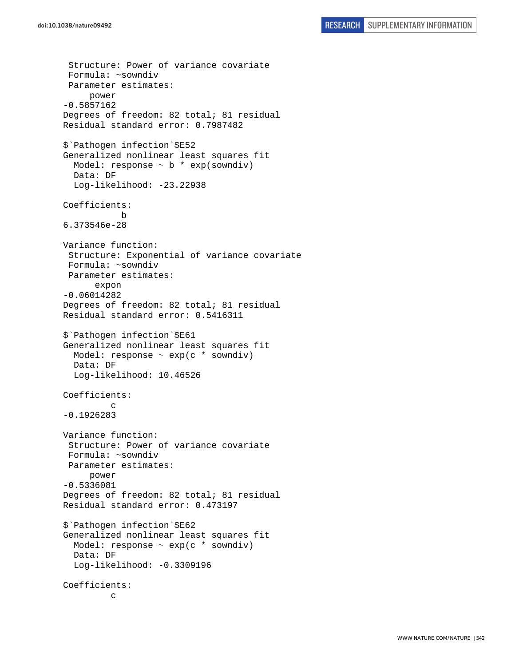```
 Structure: Power of variance covariate 
  Formula: ~sowndiv 
  Parameter estimates: 
      power 
-0.5857162 
Degrees of freedom: 82 total; 81 residual 
Residual standard error: 0.7987482 
$`Pathogen infection`$E52 
Generalized nonlinear least squares fit 
  Model: response \sim b * exp(sowndiv)
   Data: DF 
  Log-likelihood: -23.22938
Coefficients: 
 b 
6.373546e-28 
Variance function: 
  Structure: Exponential of variance covariate 
  Formula: ~sowndiv 
  Parameter estimates: 
       expon 
-0.06014282 
Degrees of freedom: 82 total; 81 residual 
Residual standard error: 0.5416311 
$`Pathogen infection`$E61 
Generalized nonlinear least squares fit 
  Model: response \sim exp(c * sowndiv)
   Data: DF 
   Log-likelihood: 10.46526 
Coefficients: 
 c 
-0.1926283 
Variance function: 
  Structure: Power of variance covariate 
  Formula: ~sowndiv 
  Parameter estimates: 
      power 
-0.5336081 
Degrees of freedom: 82 total; 81 residual 
Residual standard error: 0.473197 
$`Pathogen infection`$E62 
Generalized nonlinear least squares fit 
  Model: response \sim exp(c * sowndiv)
   Data: DF 
   Log-likelihood: -0.3309196 
Coefficients: 
 c
```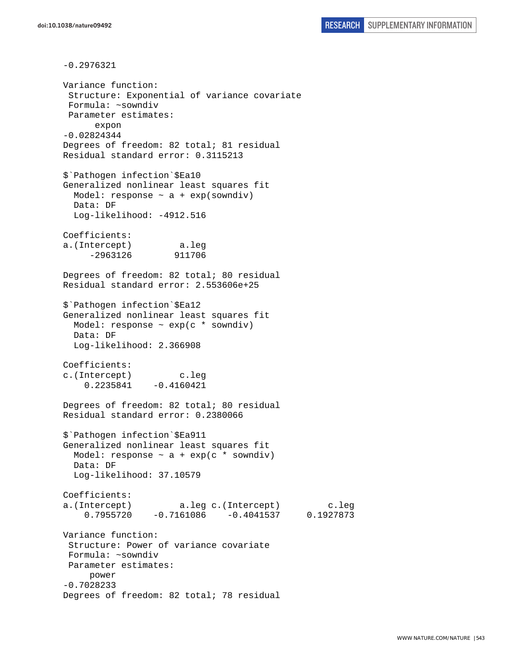-0.2976321 Variance function: Structure: Exponential of variance covariate Formula: ~sowndiv Parameter estimates: expon -0.02824344 Degrees of freedom: 82 total; 81 residual Residual standard error: 0.3115213 \$`Pathogen infection`\$Ea10 Generalized nonlinear least squares fit Model: response  $\sim$  a + exp(sowndiv) Data: DF Log-likelihood: -4912.516 Coefficients: a.(Intercept) a.leg -2963126 911706 Degrees of freedom: 82 total; 80 residual Residual standard error: 2.553606e+25 \$`Pathogen infection`\$Ea12 Generalized nonlinear least squares fit Model: response ~ exp(c \* sowndiv) Data: DF Log-likelihood: 2.366908 Coefficients: c.(Intercept) c.leg  $0.2235841 -0.4160421$ Degrees of freedom: 82 total; 80 residual Residual standard error: 0.2380066 \$`Pathogen infection`\$Ea911 Generalized nonlinear least squares fit Model: response  $\sim$  a + exp(c \* sowndiv) Data: DF Log-likelihood: 37.10579 Coefficients: a.(Intercept) a.leg c.(Intercept) c.leg 0.7955720 -0.7161086 -0.4041537 0.1927873 Variance function: Structure: Power of variance covariate Formula: ~sowndiv Parameter estimates: power -0.7028233 Degrees of freedom: 82 total; 78 residual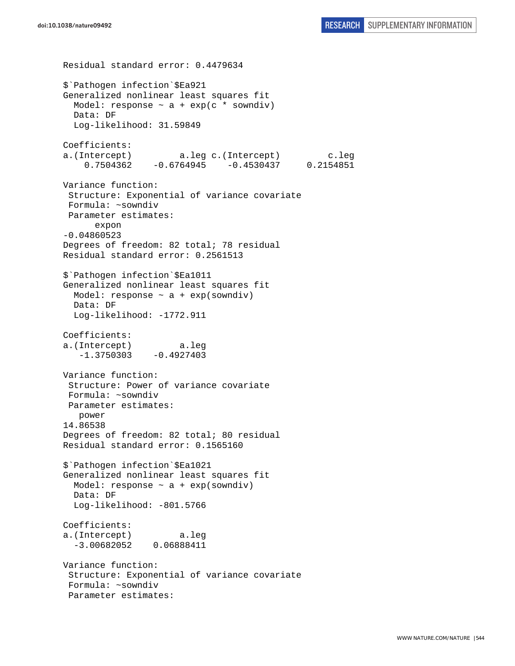Residual standard error: 0.4479634 \$`Pathogen infection`\$Ea921 Generalized nonlinear least squares fit Model: response  $\sim$  a + exp(c \* sowndiv) Data: DF Log-likelihood: 31.59849 Coefficients: a.(Intercept) a.leg c.(Intercept) c.leg 0.7504362 -0.6764945 -0.4530437 0.2154851 Variance function: Structure: Exponential of variance covariate Formula: ~sowndiv Parameter estimates: expon -0.04860523 Degrees of freedom: 82 total; 78 residual Residual standard error: 0.2561513 \$`Pathogen infection`\$Ea1011 Generalized nonlinear least squares fit Model: response  $\sim$  a + exp(sowndiv) Data: DF Log-likelihood: -1772.911 Coefficients: a.(Intercept) a.leg  $-1.3750303 -0.4927403$ Variance function: Structure: Power of variance covariate Formula: ~sowndiv Parameter estimates: power 14.86538 Degrees of freedom: 82 total; 80 residual Residual standard error: 0.1565160 \$`Pathogen infection`\$Ea1021 Generalized nonlinear least squares fit Model: response  $\sim$  a + exp(sowndiv) Data: DF Log-likelihood: -801.5766 Coefficients: a.(Intercept) a.leg -3.00682052 0.06888411 Variance function: Structure: Exponential of variance covariate Formula: ~sowndiv Parameter estimates: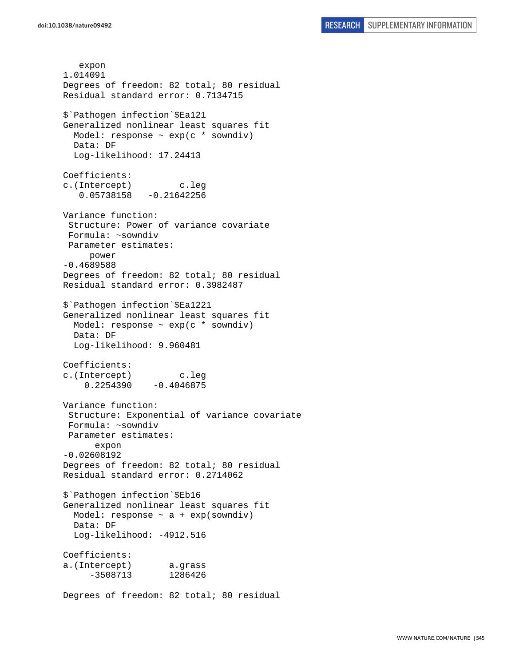expon 1.014091 Degrees of freedom: 82 total; 80 residual Residual standard error: 0.7134715 \$`Pathogen infection`\$Ea121 Generalized nonlinear least squares fit Model: response ~ exp(c \* sowndiv) Data: DF Log-likelihood: 17.24413 Coefficients: c.(Intercept) c.leg 0.05738158 -0.21642256 Variance function: Structure: Power of variance covariate Formula: ~sowndiv Parameter estimates: power -0.4689588 Degrees of freedom: 82 total; 80 residual Residual standard error: 0.3982487 \$`Pathogen infection`\$Ea1221 Generalized nonlinear least squares fit Model: response  $\sim$  exp(c  $*$  sowndiv) Data: DF Log-likelihood: 9.960481 Coefficients: c.(Intercept) c.leg  $0.2254390 -0.4046875$ Variance function: Structure: Exponential of variance covariate Formula: ~sowndiv Parameter estimates: expon -0.02608192 Degrees of freedom: 82 total; 80 residual Residual standard error: 0.2714062 \$`Pathogen infection`\$Eb16 Generalized nonlinear least squares fit Model: response  $\sim$  a + exp(sowndiv) Data: DF Log-likelihood: -4912.516 Coefficients: a.(Intercept) a.grass -3508713 1286426 Degrees of freedom: 82 total; 80 residual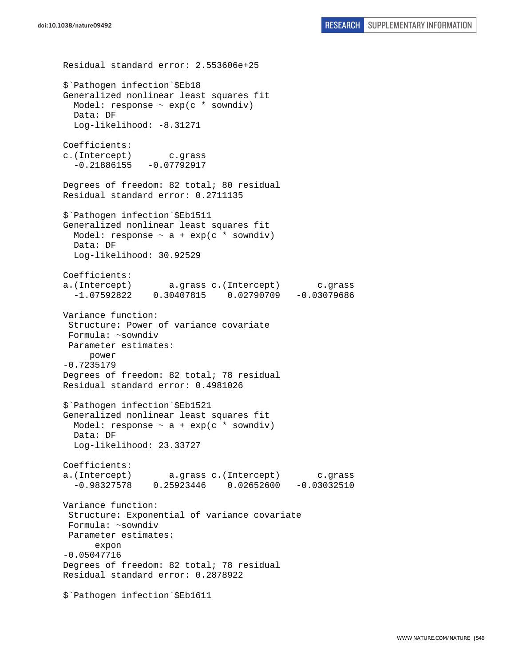Residual standard error: 2.553606e+25 \$`Pathogen infection`\$Eb18 Generalized nonlinear least squares fit Model: response  $\sim$  exp(c  $*$  sowndiv) Data: DF Log-likelihood: -8.31271 Coefficients: c.(Intercept) c.grass  $-0.21886155 - 0.07792917$ Degrees of freedom: 82 total; 80 residual Residual standard error: 0.2711135 \$`Pathogen infection`\$Eb1511 Generalized nonlinear least squares fit Model: response  $\sim$  a + exp(c \* sowndiv) Data: DF Log-likelihood: 30.92529 Coefficients: a.(Intercept) a.grass c.(Intercept) c.grass -1.07592822 0.30407815 0.02790709 -0.03079686 Variance function: Structure: Power of variance covariate Formula: ~sowndiv Parameter estimates: power -0.7235179 Degrees of freedom: 82 total; 78 residual Residual standard error: 0.4981026 \$`Pathogen infection`\$Eb1521 Generalized nonlinear least squares fit Model: response  $\sim$  a + exp(c \* sowndiv) Data: DF Log-likelihood: 23.33727 Coefficients: a.(Intercept) a.grass c.(Intercept) c.grass -0.98327578 0.25923446 0.02652600 -0.03032510 Variance function: Structure: Exponential of variance covariate Formula: ~sowndiv Parameter estimates: expon -0.05047716 Degrees of freedom: 82 total; 78 residual Residual standard error: 0.2878922 \$`Pathogen infection`\$Eb1611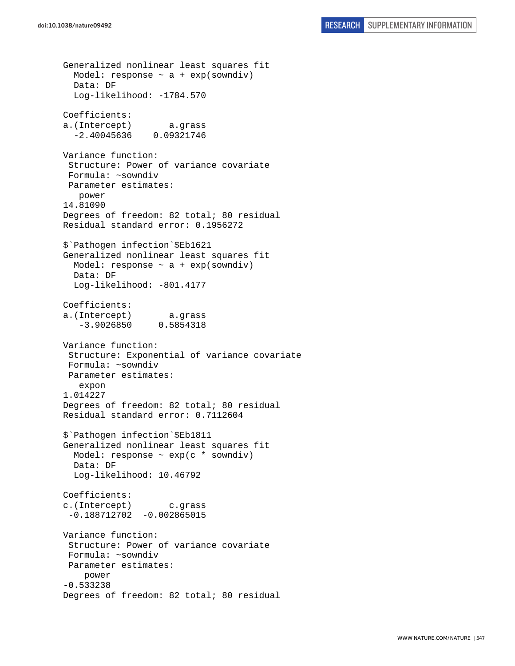```
Generalized nonlinear least squares fit 
  Model: response \sim a + exp(sowndiv)
   Data: DF 
   Log-likelihood: -1784.570 
Coefficients: 
a.(Intercept) a.grass 
   -2.40045636 0.09321746 
Variance function: 
  Structure: Power of variance covariate 
  Formula: ~sowndiv 
  Parameter estimates: 
    power 
14.81090 
Degrees of freedom: 82 total; 80 residual 
Residual standard error: 0.1956272 
$`Pathogen infection`$Eb1621 
Generalized nonlinear least squares fit 
  Model: response \sim a + exp(sowndiv)
   Data: DF 
   Log-likelihood: -801.4177 
Coefficients: 
a.(Intercept) a.grass 
    -3.9026850 0.5854318 
Variance function: 
  Structure: Exponential of variance covariate 
  Formula: ~sowndiv 
 Parameter estimates: 
    expon 
1.014227 
Degrees of freedom: 82 total; 80 residual 
Residual standard error: 0.7112604 
$`Pathogen infection`$Eb1811 
Generalized nonlinear least squares fit 
  Model: response \sim exp(c * sowndiv)
   Data: DF 
   Log-likelihood: 10.46792 
Coefficients: 
c.(Intercept) c.grass 
 -0.188712702 -0.002865015Variance function: 
  Structure: Power of variance covariate 
  Formula: ~sowndiv 
 Parameter estimates: 
     power 
-0.533238 
Degrees of freedom: 82 total; 80 residual
```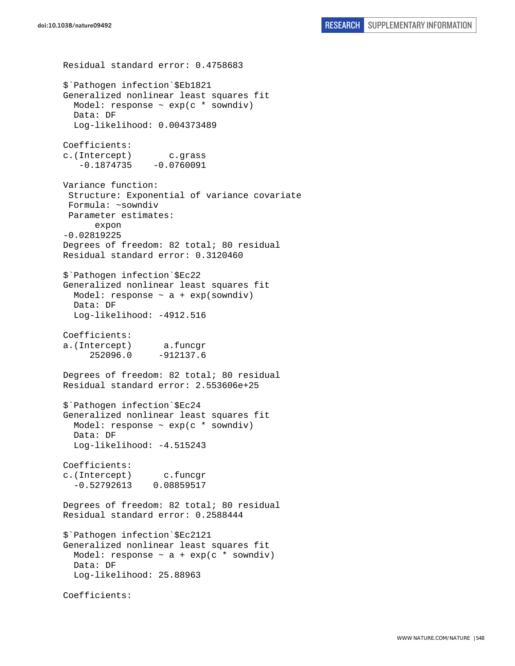Residual standard error: 0.4758683 \$`Pathogen infection`\$Eb1821 Generalized nonlinear least squares fit Model: response ~ exp(c \* sowndiv) Data: DF Log-likelihood: 0.004373489 Coefficients: c.(Intercept) c.grass  $-0.1874735 - 0.0760091$ Variance function: Structure: Exponential of variance covariate Formula: ~sowndiv Parameter estimates: expon -0.02819225 Degrees of freedom: 82 total; 80 residual Residual standard error: 0.3120460 \$`Pathogen infection`\$Ec22 Generalized nonlinear least squares fit Model: response  $\sim$  a + exp(sowndiv) Data: DF Log-likelihood: -4912.516 Coefficients: a.(Intercept) a.funcgr 252096.0 -912137.6 Degrees of freedom: 82 total; 80 residual Residual standard error: 2.553606e+25 \$`Pathogen infection`\$Ec24 Generalized nonlinear least squares fit Model: response  $\sim$  exp(c  $*$  sowndiv) Data: DF Log-likelihood: -4.515243 Coefficients: c.(Intercept) c.funcgr -0.52792613 0.08859517 Degrees of freedom: 82 total; 80 residual Residual standard error: 0.2588444 \$`Pathogen infection`\$Ec2121 Generalized nonlinear least squares fit Model: response  $\sim$  a + exp(c \* sowndiv) Data: DF Log-likelihood: 25.88963 Coefficients: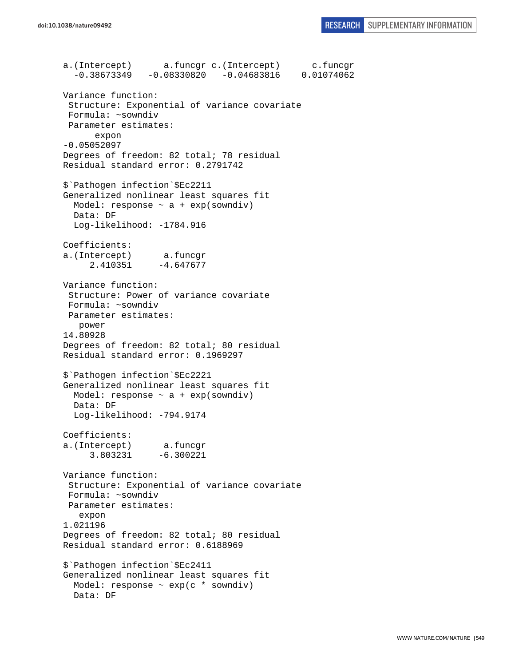a.(Intercept) a.funcgr c.(Intercept) c.funcgr -0.38673349 -0.08330820 -0.04683816 0.01074062 Variance function: Structure: Exponential of variance covariate Formula: ~sowndiv Parameter estimates: expon -0.05052097 Degrees of freedom: 82 total; 78 residual Residual standard error: 0.2791742 \$`Pathogen infection`\$Ec2211 Generalized nonlinear least squares fit Model: response  $\sim$  a + exp(sowndiv) Data: DF Log-likelihood: -1784.916 Coefficients: a.(Intercept) a.funcgr  $2.410351 -4.647677$ Variance function: Structure: Power of variance covariate Formula: ~sowndiv Parameter estimates: power 14.80928 Degrees of freedom: 82 total; 80 residual Residual standard error: 0.1969297 \$`Pathogen infection`\$Ec2221 Generalized nonlinear least squares fit Model: response  $\sim$  a + exp(sowndiv) Data: DF Log-likelihood: -794.9174 Coefficients: a.(Intercept) a.funcgr 3.803231 -6.300221 Variance function: Structure: Exponential of variance covariate Formula: ~sowndiv Parameter estimates: expon 1.021196 Degrees of freedom: 82 total; 80 residual Residual standard error: 0.6188969 \$`Pathogen infection`\$Ec2411 Generalized nonlinear least squares fit Model: response  $\sim$  exp(c  $*$  sowndiv) Data: DF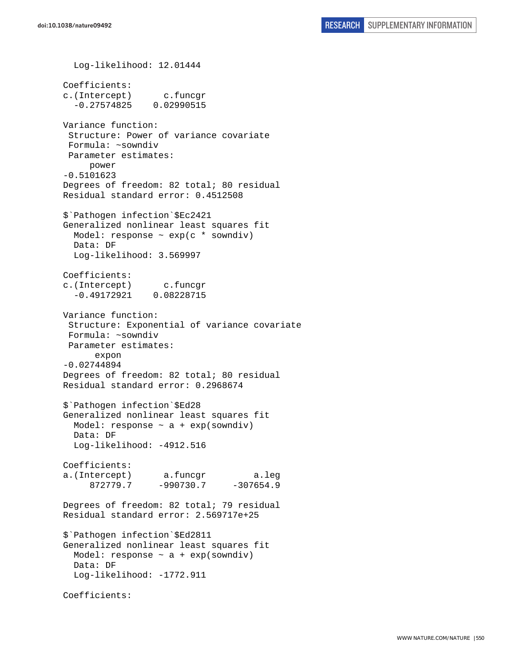Log-likelihood: 12.01444 Coefficients: c.(Intercept) c.funcgr -0.27574825 0.02990515 Variance function: Structure: Power of variance covariate Formula: ~sowndiv Parameter estimates: power -0.5101623 Degrees of freedom: 82 total; 80 residual Residual standard error: 0.4512508 \$`Pathogen infection`\$Ec2421 Generalized nonlinear least squares fit Model: response  $\sim$  exp(c  $*$  sowndiv) Data: DF Log-likelihood: 3.569997 Coefficients: c.(Intercept) c.funcgr -0.49172921 0.08228715 Variance function: Structure: Exponential of variance covariate Formula: ~sowndiv Parameter estimates: expon -0.02744894 Degrees of freedom: 82 total; 80 residual Residual standard error: 0.2968674 \$`Pathogen infection`\$Ed28 Generalized nonlinear least squares fit Model: response  $\sim$  a + exp(sowndiv) Data: DF Log-likelihood: -4912.516 Coefficients: a.(Intercept) a.funcgr a.leg 872779.7 -990730.7 -307654.9 Degrees of freedom: 82 total; 79 residual Residual standard error: 2.569717e+25 \$`Pathogen infection`\$Ed2811 Generalized nonlinear least squares fit Model: response  $\sim$  a + exp(sowndiv) Data: DF Log-likelihood: -1772.911 Coefficients: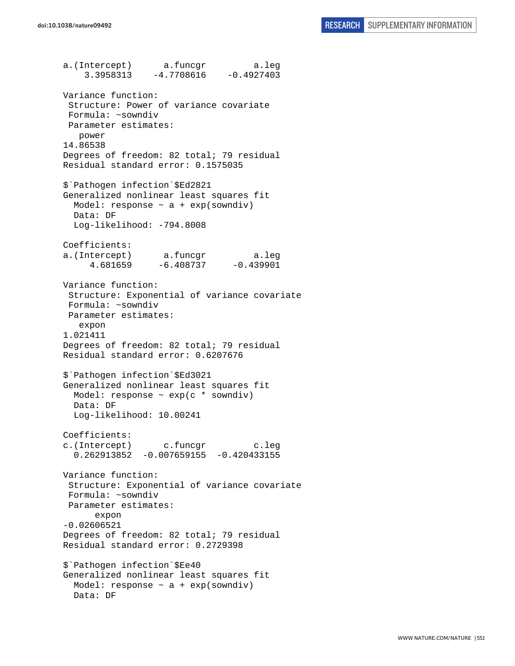a.(Intercept) a.funcgr a.leg  $3.3958313 -4.7708616 -0.4927403$ Variance function: Structure: Power of variance covariate Formula: ~sowndiv Parameter estimates: power 14.86538 Degrees of freedom: 82 total; 79 residual Residual standard error: 0.1575035 \$`Pathogen infection`\$Ed2821 Generalized nonlinear least squares fit Model: response  $\sim$  a + exp(sowndiv) Data: DF Log-likelihood: -794.8008 Coefficients: a.(Intercept) a.funcgr a.leg 4.681659 -6.408737 -0.439901 Variance function: Structure: Exponential of variance covariate Formula: ~sowndiv Parameter estimates: expon 1.021411 Degrees of freedom: 82 total; 79 residual Residual standard error: 0.6207676 \$`Pathogen infection`\$Ed3021 Generalized nonlinear least squares fit Model: response ~ exp(c \* sowndiv) Data: DF Log-likelihood: 10.00241 Coefficients: c.(Intercept) c.funcgr c.leg  $0.262913852 - 0.007659155 - 0.420433155$ Variance function: Structure: Exponential of variance covariate Formula: ~sowndiv Parameter estimates: expon -0.02606521 Degrees of freedom: 82 total; 79 residual Residual standard error: 0.2729398 \$`Pathogen infection`\$Ee40 Generalized nonlinear least squares fit Model: response  $\sim$  a + exp(sowndiv) Data: DF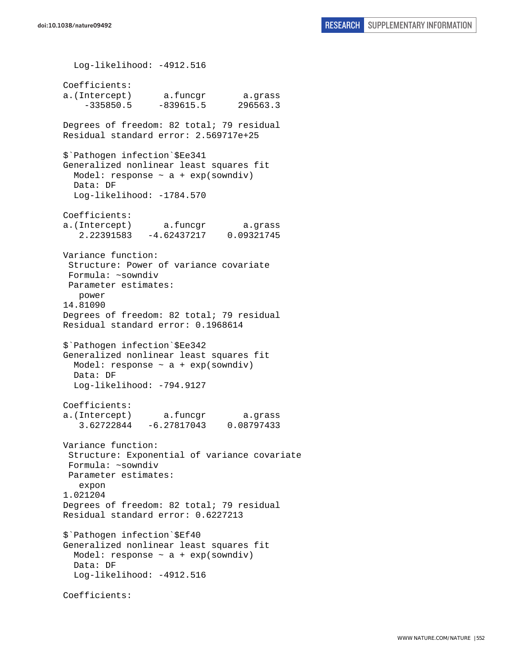Log-likelihood: -4912.516 Coefficients: a.(Intercept) a.funcgr a.grass  $-335850.5 -839615.5$  296563.3 Degrees of freedom: 82 total; 79 residual Residual standard error: 2.569717e+25 \$`Pathogen infection`\$Ee341 Generalized nonlinear least squares fit Model: response  $\sim$  a + exp(sowndiv) Data: DF Log-likelihood: -1784.570 Coefficients: a.(Intercept) a.funcgr a.grass 2.22391583 -4.62437217 0.09321745 Variance function: Structure: Power of variance covariate Formula: ~sowndiv Parameter estimates: power 14.81090 Degrees of freedom: 82 total; 79 residual Residual standard error: 0.1968614 \$`Pathogen infection`\$Ee342 Generalized nonlinear least squares fit Model: response  $\sim$  a + exp(sowndiv) Data: DF Log-likelihood: -794.9127 Coefficients: a.(Intercept) a.funcgr a.grass 3.62722844 -6.27817043 0.08797433 Variance function: Structure: Exponential of variance covariate Formula: ~sowndiv Parameter estimates: expon 1.021204 Degrees of freedom: 82 total; 79 residual Residual standard error: 0.6227213 \$`Pathogen infection`\$Ef40 Generalized nonlinear least squares fit Model: response  $\sim$  a + exp(sowndiv) Data: DF Log-likelihood: -4912.516 Coefficients: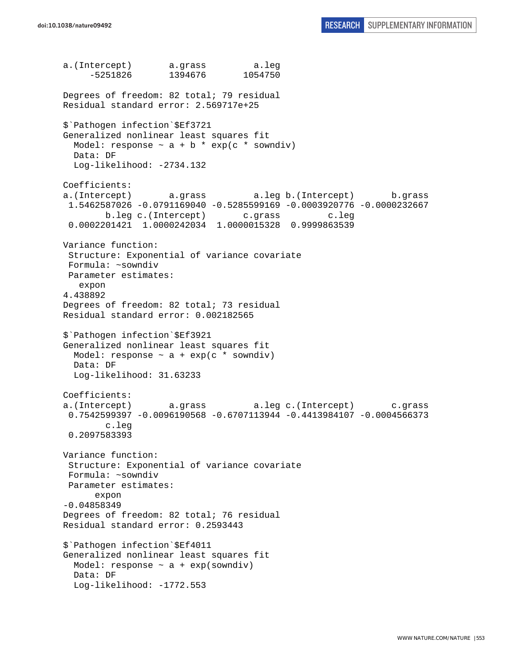a.(Intercept) a.grass a.leg -5251826 1394676 1054750 Degrees of freedom: 82 total; 79 residual Residual standard error: 2.569717e+25 \$`Pathogen infection`\$Ef3721 Generalized nonlinear least squares fit Model: response  $\sim$  a + b \* exp(c \* sowndiv) Data: DF Log-likelihood: -2734.132 Coefficients: a.(Intercept) a.grass a.leg b.(Intercept) b.grass 1.5462587026 -0.0791169040 -0.5285599169 -0.0003920776 -0.0000232667 b.leg c.(Intercept) c.grass c.leg 0.0002201421 1.0000242034 1.0000015328 0.9999863539 Variance function: Structure: Exponential of variance covariate Formula: ~sowndiv Parameter estimates: expon 4.438892 Degrees of freedom: 82 total; 73 residual Residual standard error: 0.002182565 \$`Pathogen infection`\$Ef3921 Generalized nonlinear least squares fit Model: response  $\sim$  a + exp(c \* sowndiv) Data: DF Log-likelihood: 31.63233 Coefficients: a.(Intercept) a.grass a.leg c.(Intercept) c.grass 0.7542599397 -0.0096190568 -0.6707113944 -0.4413984107 -0.0004566373 c.leg 0.2097583393 Variance function: Structure: Exponential of variance covariate Formula: ~sowndiv Parameter estimates: expon -0.04858349 Degrees of freedom: 82 total; 76 residual Residual standard error: 0.2593443 \$`Pathogen infection`\$Ef4011 Generalized nonlinear least squares fit Model: response  $\sim$  a + exp(sowndiv) Data: DF Log-likelihood: -1772.553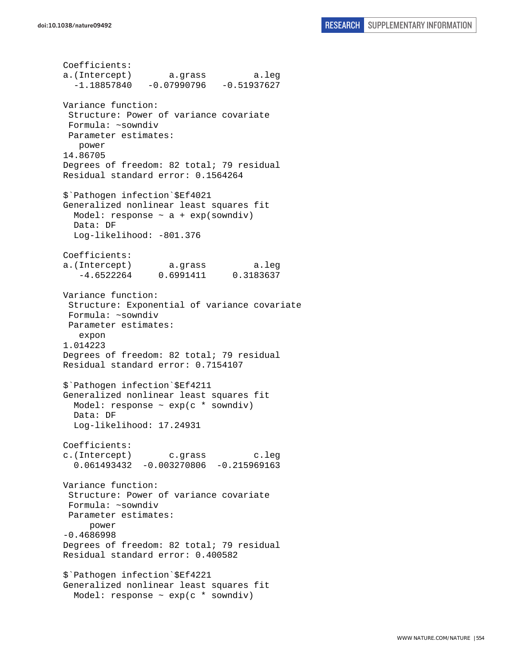```
Coefficients: 
a.(Intercept) a.grass a.leg 
  -1.18857840 -0.07990796 -0.51937627Variance function: 
  Structure: Power of variance covariate 
  Formula: ~sowndiv 
 Parameter estimates: 
    power 
14.86705 
Degrees of freedom: 82 total; 79 residual 
Residual standard error: 0.1564264 
$`Pathogen infection`$Ef4021 
Generalized nonlinear least squares fit 
 Model: response \sim a + exp(sowndiv)
   Data: DF 
   Log-likelihood: -801.376 
Coefficients: 
a.(Intercept) a.grass a.leg 
    -4.6522264 0.6991411 0.3183637 
Variance function: 
  Structure: Exponential of variance covariate 
  Formula: ~sowndiv 
 Parameter estimates: 
    expon 
1.014223 
Degrees of freedom: 82 total; 79 residual 
Residual standard error: 0.7154107 
$`Pathogen infection`$Ef4211 
Generalized nonlinear least squares fit 
 Model: response \sim exp(c * sowndiv)
  Data: DF 
   Log-likelihood: 17.24931 
Coefficients: 
c.(Intercept) c.grass c.leg 
   0.061493432 -0.003270806 -0.215969163 
Variance function: 
  Structure: Power of variance covariate 
  Formula: ~sowndiv 
 Parameter estimates: 
      power 
-0.4686998 
Degrees of freedom: 82 total; 79 residual 
Residual standard error: 0.400582 
$`Pathogen infection`$Ef4221 
Generalized nonlinear least squares fit 
   Model: response ~ exp(c * sowndiv)
```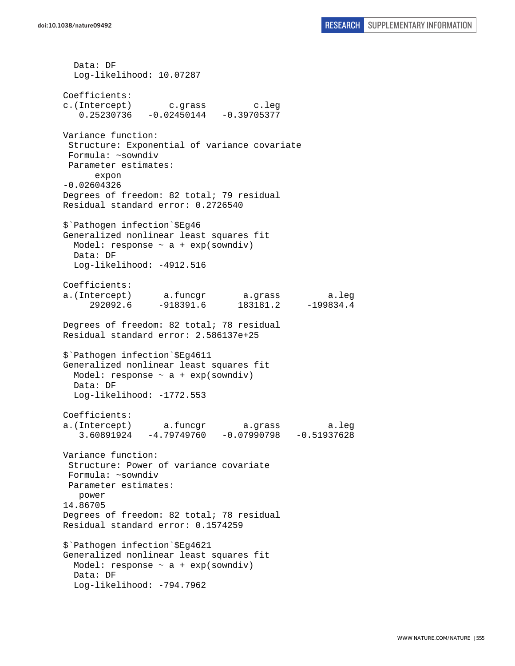Data: DF Log-likelihood: 10.07287 Coefficients: c.(Intercept) c.grass c.leg 0.25230736 -0.02450144 -0.39705377 Variance function: Structure: Exponential of variance covariate Formula: ~sowndiv Parameter estimates: expon -0.02604326 Degrees of freedom: 82 total; 79 residual Residual standard error: 0.2726540 \$`Pathogen infection`\$Eg46 Generalized nonlinear least squares fit Model: response  $\sim$  a + exp(sowndiv) Data: DF Log-likelihood: -4912.516 Coefficients: a.(Intercept) a.funcgr a.grass a.leg 292092.6 -918391.6 183181.2 -199834.4 Degrees of freedom: 82 total; 78 residual Residual standard error: 2.586137e+25 \$`Pathogen infection`\$Eg4611 Generalized nonlinear least squares fit Model: response  $\sim$  a + exp(sowndiv) Data: DF Log-likelihood: -1772.553 Coefficients: a.(Intercept) a.funcgr a.grass a.leg 3.60891924 -4.79749760 -0.07990798 -0.51937628 Variance function: Structure: Power of variance covariate Formula: ~sowndiv Parameter estimates: power 14.86705 Degrees of freedom: 82 total; 78 residual Residual standard error: 0.1574259 \$`Pathogen infection`\$Eg4621 Generalized nonlinear least squares fit Model: response  $\sim$  a + exp(sowndiv) Data: DF Log-likelihood: -794.7962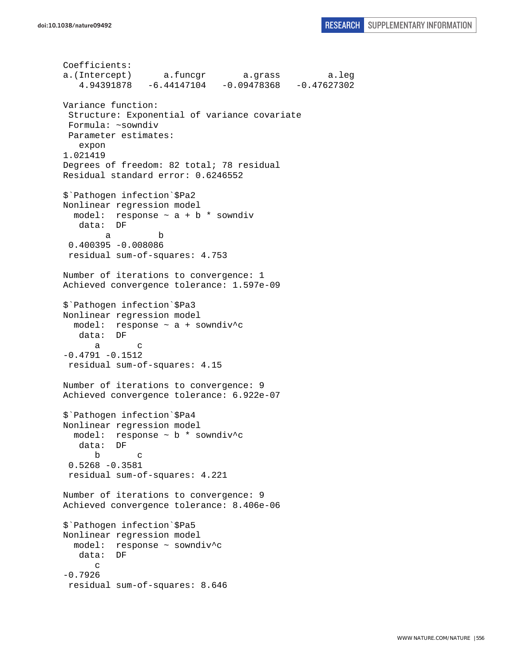```
Coefficients: 
a.(Intercept) a.funcgr a.grass a.leg 
    4.94391878 -6.44147104 -0.09478368 -0.47627302 
Variance function: 
  Structure: Exponential of variance covariate 
 Formula: ~sowndiv 
 Parameter estimates: 
    expon 
1.021419 
Degrees of freedom: 82 total; 78 residual 
Residual standard error: 0.6246552 
$`Pathogen infection`$Pa2 
Nonlinear regression model 
  model: response ~ a + b * sowndiv 
    data: DF 
 a b 
  0.400395 -0.008086 
  residual sum-of-squares: 4.753 
Number of iterations to convergence: 1 
Achieved convergence tolerance: 1.597e-09 
$`Pathogen infection`$Pa3 
Nonlinear regression model 
   model: response ~ a + sowndiv^c 
    data: DF 
 a c 
-0.4791 - 0.1512 residual sum-of-squares: 4.15 
Number of iterations to convergence: 9 
Achieved convergence tolerance: 6.922e-07 
$`Pathogen infection`$Pa4 
Nonlinear regression model 
  model: response ~ b * sowndiv^c 
    data: DF 
 b c 
  0.5268 -0.3581 
  residual sum-of-squares: 4.221 
Number of iterations to convergence: 9 
Achieved convergence tolerance: 8.406e-06 
$`Pathogen infection`$Pa5 
Nonlinear regression model 
   model: response ~ sowndiv^c 
    data: DF 
       c 
-0.7926 
 residual sum-of-squares: 8.646
```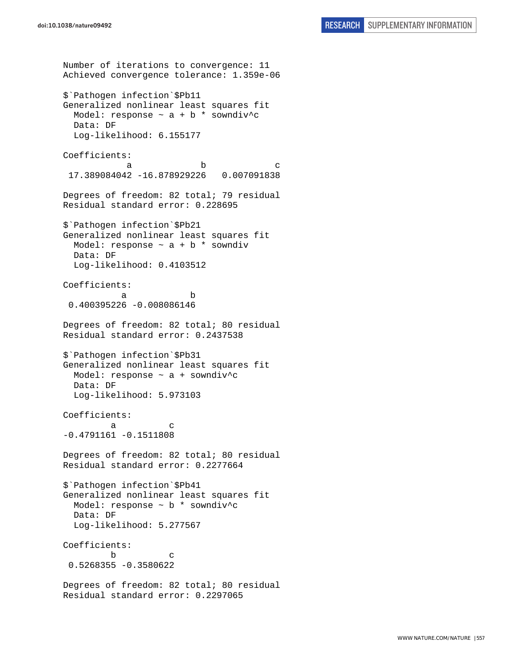```
Number of iterations to convergence: 11 
Achieved convergence tolerance: 1.359e-06 
$`Pathogen infection`$Pb11 
Generalized nonlinear least squares fit 
  Model: response \sim a + b * sowndiv<sup>^</sup>c
  Data: DF 
  Log-likelihood: 6.155177 
Coefficients: 
a b c
  17.389084042 -16.878929226 0.007091838 
Degrees of freedom: 82 total; 79 residual 
Residual standard error: 0.228695 
$`Pathogen infection`$Pb21 
Generalized nonlinear least squares fit 
 Model: response \sim a + b * sowndiv
   Data: DF 
   Log-likelihood: 0.4103512 
Coefficients: 
 a b 
  0.400395226 -0.008086146 
Degrees of freedom: 82 total; 80 residual 
Residual standard error: 0.2437538 
$`Pathogen infection`$Pb31 
Generalized nonlinear least squares fit 
 Model: response \sim a + sowndiv<sup>^</sup>c
  Data: DF 
   Log-likelihood: 5.973103 
Coefficients: 
a c
-0.4791161 -0.1511808 
Degrees of freedom: 82 total; 80 residual 
Residual standard error: 0.2277664 
$`Pathogen infection`$Pb41 
Generalized nonlinear least squares fit 
   Model: response ~ b * sowndiv^c 
  Data: DF 
   Log-likelihood: 5.277567 
Coefficients: 
 b c 
  0.5268355 -0.3580622 
Degrees of freedom: 82 total; 80 residual 
Residual standard error: 0.2297065
```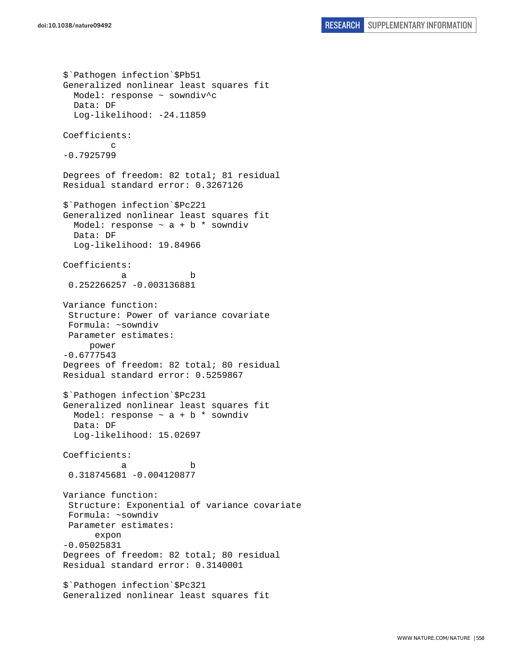\$`Pathogen infection`\$Pb51 Generalized nonlinear least squares fit Model: response ~ sowndiv^c Data: DF Log-likelihood: -24.11859 Coefficients: c -0.7925799 Degrees of freedom: 82 total; 81 residual Residual standard error: 0.3267126 \$`Pathogen infection`\$Pc221 Generalized nonlinear least squares fit Model: response  $\sim$  a + b  $*$  sowndiv Data: DF Log-likelihood: 19.84966 Coefficients: a b 0.252266257 -0.003136881 Variance function: Structure: Power of variance covariate Formula: ~sowndiv Parameter estimates: power -0.6777543 Degrees of freedom: 82 total; 80 residual Residual standard error: 0.5259867 \$`Pathogen infection`\$Pc231 Generalized nonlinear least squares fit Model: response  $\sim$  a + b  $*$  sowndiv Data: DF Log-likelihood: 15.02697 Coefficients: a b 0.318745681 -0.004120877 Variance function: Structure: Exponential of variance covariate Formula: ~sowndiv Parameter estimates: expon -0.05025831 Degrees of freedom: 82 total; 80 residual Residual standard error: 0.3140001 \$`Pathogen infection`\$Pc321 Generalized nonlinear least squares fit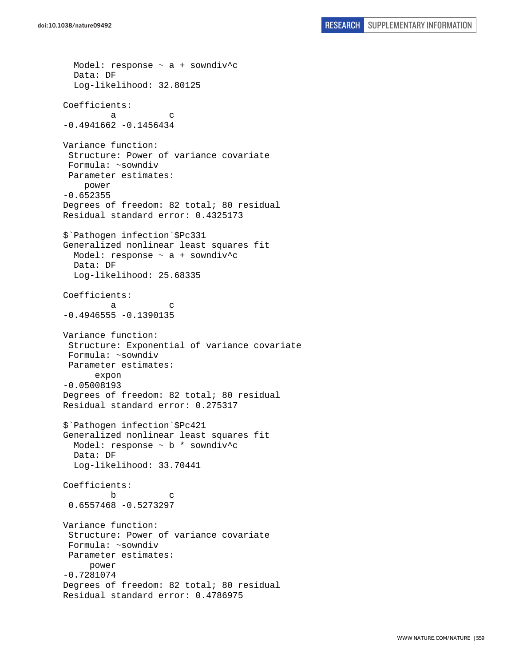Model: response ~ a + sowndiv^c Data: DF Log-likelihood: 32.80125 Coefficients: a c  $-0.4941662 -0.1456434$ Variance function: Structure: Power of variance covariate Formula: ~sowndiv Parameter estimates: power -0.652355 Degrees of freedom: 82 total; 80 residual Residual standard error: 0.4325173 \$`Pathogen infection`\$Pc331 Generalized nonlinear least squares fit Model: response  $\sim$  a + sowndiv<sup>^</sup>c Data: DF Log-likelihood: 25.68335 Coefficients: a c  $-0.4946555 - 0.1390135$ Variance function: Structure: Exponential of variance covariate Formula: ~sowndiv Parameter estimates: expon -0.05008193 Degrees of freedom: 82 total; 80 residual Residual standard error: 0.275317 \$`Pathogen infection`\$Pc421 Generalized nonlinear least squares fit Model: response ~ b \* sowndiv^c Data: DF Log-likelihood: 33.70441 Coefficients: b c 0.6557468 -0.5273297 Variance function: Structure: Power of variance covariate Formula: ~sowndiv Parameter estimates: power -0.7281074 Degrees of freedom: 82 total; 80 residual Residual standard error: 0.4786975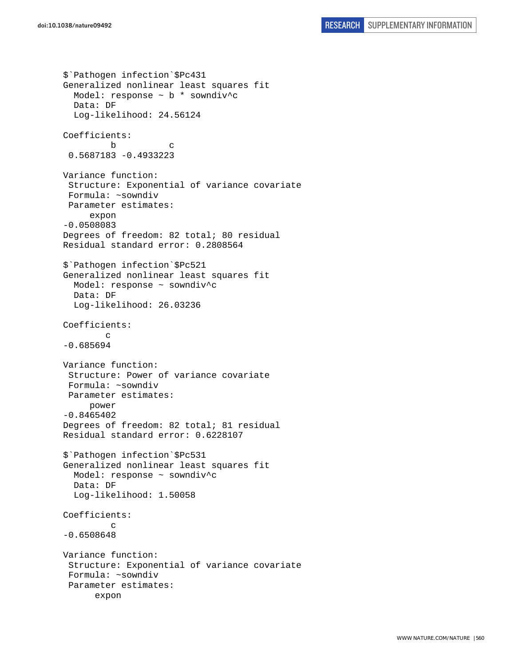```
$`Pathogen infection`$Pc431 
Generalized nonlinear least squares fit 
   Model: response ~ b * sowndiv^c 
   Data: DF 
   Log-likelihood: 24.56124 
Coefficients: 
 b c 
  0.5687183 -0.4933223 
Variance function: 
  Structure: Exponential of variance covariate 
  Formula: ~sowndiv 
  Parameter estimates: 
      expon 
-0.0508083 
Degrees of freedom: 82 total; 80 residual 
Residual standard error: 0.2808564 
$`Pathogen infection`$Pc521 
Generalized nonlinear least squares fit 
   Model: response ~ sowndiv^c 
   Data: DF 
   Log-likelihood: 26.03236 
Coefficients: 
 c 
-0.685694 
Variance function: 
  Structure: Power of variance covariate 
  Formula: ~sowndiv 
  Parameter estimates: 
      power 
-0.8465402 
Degrees of freedom: 82 total; 81 residual 
Residual standard error: 0.6228107 
$`Pathogen infection`$Pc531 
Generalized nonlinear least squares fit 
   Model: response ~ sowndiv^c 
   Data: DF 
   Log-likelihood: 1.50058 
Coefficients: 
 c 
-0.6508648 
Variance function: 
  Structure: Exponential of variance covariate 
  Formula: ~sowndiv 
  Parameter estimates: 
       expon
```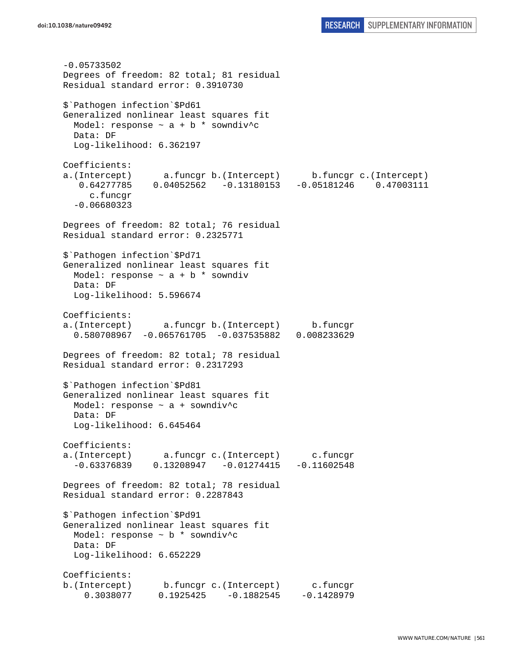-0.05733502 Degrees of freedom: 82 total; 81 residual Residual standard error: 0.3910730 \$`Pathogen infection`\$Pd61 Generalized nonlinear least squares fit Model: response  $\sim$  a + b \* sowndiv<sup>^</sup>c Data: DF Log-likelihood: 6.362197 Coefficients: a.(Intercept) a.funcgr b.(Intercept) b.funcgr c.(Intercept) 0.64277785 0.04052562 -0.13180153 -0.05181246 0.47003111 c.funcgr -0.06680323 Degrees of freedom: 82 total; 76 residual Residual standard error: 0.2325771 \$`Pathogen infection`\$Pd71 Generalized nonlinear least squares fit Model: response  $\sim$  a + b  $*$  sowndiv Data: DF Log-likelihood: 5.596674 Coefficients: a.(Intercept) a.funcgr b.(Intercept) b.funcgr 0.580708967 -0.065761705 -0.037535882 0.008233629 Degrees of freedom: 82 total; 78 residual Residual standard error: 0.2317293 \$`Pathogen infection`\$Pd81 Generalized nonlinear least squares fit Model: response ~ a + sowndiv^c Data: DF Log-likelihood: 6.645464 Coefficients: a.(Intercept) a.funcgr c.(Intercept) c.funcgr  $-0.63376839$   $0.13208947$   $-0.01274415$   $-0.11602548$ Degrees of freedom: 82 total; 78 residual Residual standard error: 0.2287843 \$`Pathogen infection`\$Pd91 Generalized nonlinear least squares fit Model: response ~ b \* sowndiv^c Data: DF Log-likelihood: 6.652229 Coefficients: b.(Intercept) b.funcgr c.(Intercept) c.funcgr 0.3038077 0.1925425 -0.1882545 -0.1428979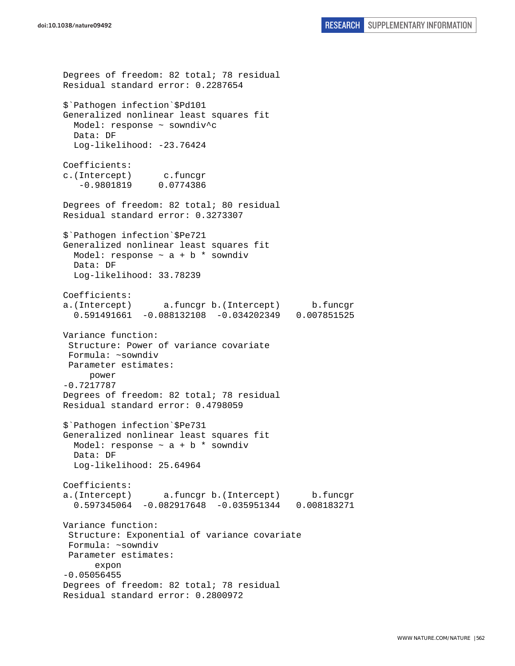Degrees of freedom: 82 total; 78 residual Residual standard error: 0.2287654 \$`Pathogen infection`\$Pd101 Generalized nonlinear least squares fit Model: response ~ sowndiv^c Data: DF Log-likelihood: -23.76424 Coefficients: c.(Intercept) c.funcgr -0.9801819 0.0774386 Degrees of freedom: 82 total; 80 residual Residual standard error: 0.3273307 \$`Pathogen infection`\$Pe721 Generalized nonlinear least squares fit Model: response  $\sim$  a + b  $*$  sowndiv Data: DF Log-likelihood: 33.78239 Coefficients: a.(Intercept) a.funcgr b.(Intercept) b.funcgr 0.591491661 -0.088132108 -0.034202349 0.007851525 Variance function: Structure: Power of variance covariate Formula: ~sowndiv Parameter estimates: power -0.7217787 Degrees of freedom: 82 total; 78 residual Residual standard error: 0.4798059 \$`Pathogen infection`\$Pe731 Generalized nonlinear least squares fit Model: response  $\sim$  a + b \* sowndiv Data: DF Log-likelihood: 25.64964 Coefficients: a.(Intercept) a.funcgr b.(Intercept) b.funcgr 0.597345064 -0.082917648 -0.035951344 0.008183271 Variance function: Structure: Exponential of variance covariate Formula: ~sowndiv Parameter estimates: expon -0.05056455 Degrees of freedom: 82 total; 78 residual Residual standard error: 0.2800972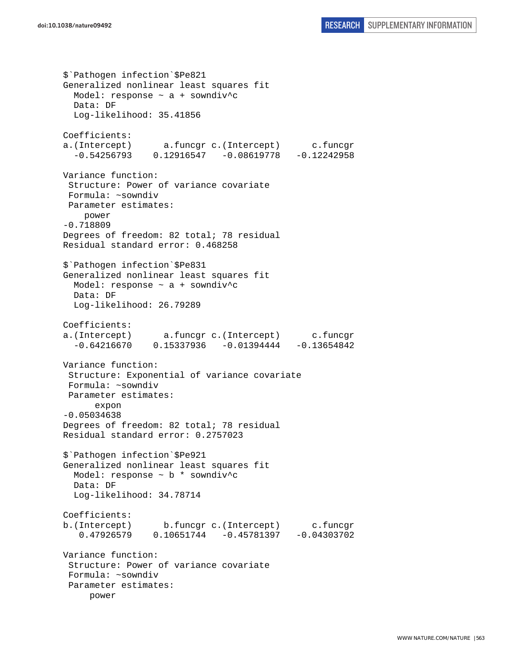\$`Pathogen infection`\$Pe821 Generalized nonlinear least squares fit Model: response  $\sim$  a + sowndiv<sup>^</sup>c Data: DF Log-likelihood: 35.41856 Coefficients: a.(Intercept) a.funcgr c.(Intercept) c.funcgr  $-0.54256793$   $0.12916547$   $-0.08619778$   $-0.12242958$ Variance function: Structure: Power of variance covariate Formula: ~sowndiv Parameter estimates: power -0.718809 Degrees of freedom: 82 total; 78 residual Residual standard error: 0.468258 \$`Pathogen infection`\$Pe831 Generalized nonlinear least squares fit Model: response ~ a + sowndiv^c Data: DF Log-likelihood: 26.79289 Coefficients: a.(Intercept) a.funcgr c.(Intercept) c.funcgr  $-0.64216670$   $0.15337936$   $-0.01394444$   $-0.13654842$ Variance function: Structure: Exponential of variance covariate Formula: ~sowndiv Parameter estimates: expon -0.05034638 Degrees of freedom: 82 total; 78 residual Residual standard error: 0.2757023 \$`Pathogen infection`\$Pe921 Generalized nonlinear least squares fit Model: response ~ b \* sowndiv^c Data: DF Log-likelihood: 34.78714 Coefficients: b.(Intercept) b.funcgr c.(Intercept) c.funcgr 0.47926579 0.10651744 -0.45781397 -0.04303702 Variance function: Structure: Power of variance covariate Formula: ~sowndiv Parameter estimates: power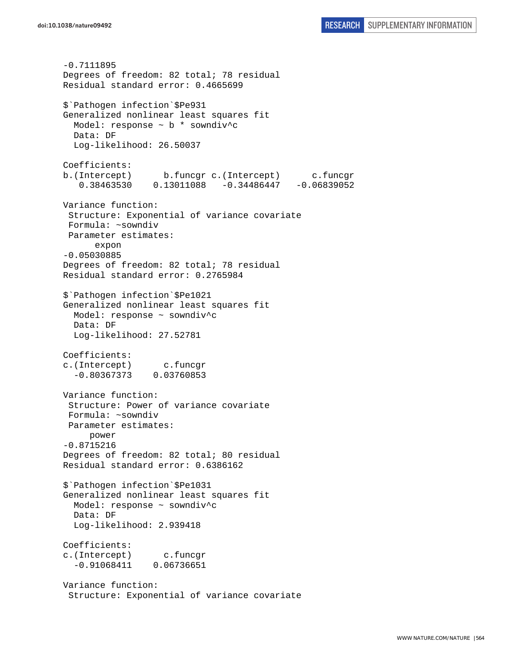-0.7111895 Degrees of freedom: 82 total; 78 residual Residual standard error: 0.4665699 \$`Pathogen infection`\$Pe931 Generalized nonlinear least squares fit Model: response ~ b \* sowndiv^c Data: DF Log-likelihood: 26.50037 Coefficients: b.(Intercept) b.funcgr c.(Intercept) c.funcgr 0.38463530 0.13011088 -0.34486447 -0.06839052 Variance function: Structure: Exponential of variance covariate Formula: ~sowndiv Parameter estimates: expon -0.05030885 Degrees of freedom: 82 total; 78 residual Residual standard error: 0.2765984 \$`Pathogen infection`\$Pe1021 Generalized nonlinear least squares fit Model: response ~ sowndiv^c Data: DF Log-likelihood: 27.52781 Coefficients: c.(Intercept) c.funcgr -0.80367373 0.03760853 Variance function: Structure: Power of variance covariate Formula: ~sowndiv Parameter estimates: power -0.8715216 Degrees of freedom: 82 total; 80 residual Residual standard error: 0.6386162 \$`Pathogen infection`\$Pe1031 Generalized nonlinear least squares fit Model: response ~ sowndiv^c Data: DF Log-likelihood: 2.939418 Coefficients: c.(Intercept) c.funcgr -0.91068411 0.06736651 Variance function: Structure: Exponential of variance covariate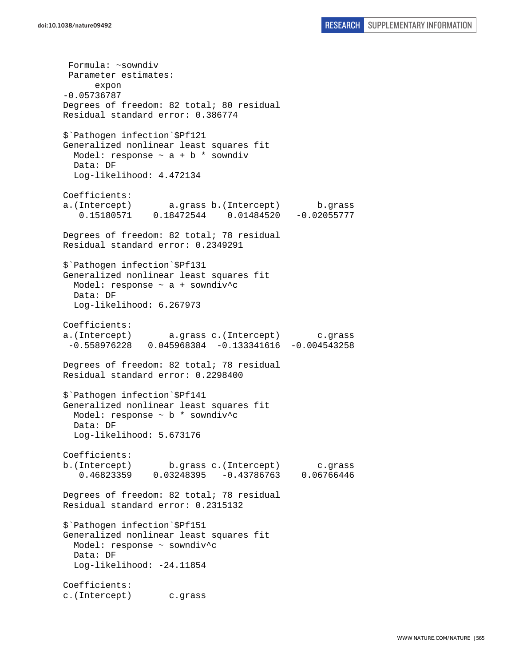Formula: ~sowndiv Parameter estimates: expon -0.05736787 Degrees of freedom: 82 total; 80 residual Residual standard error: 0.386774 \$`Pathogen infection`\$Pf121 Generalized nonlinear least squares fit Model: response  $\sim$  a + b \* sowndiv Data: DF Log-likelihood: 4.472134 Coefficients: a.(Intercept) a.grass b.(Intercept) b.grass 0.15180571 0.18472544 0.01484520 -0.02055777 Degrees of freedom: 82 total; 78 residual Residual standard error: 0.2349291 \$`Pathogen infection`\$Pf131 Generalized nonlinear least squares fit Model: response ~ a + sowndiv^c Data: DF Log-likelihood: 6.267973 Coefficients: a.(Intercept) a.grass c.(Intercept) c.grass -0.558976228 0.045968384 -0.133341616 -0.004543258 Degrees of freedom: 82 total; 78 residual Residual standard error: 0.2298400 \$`Pathogen infection`\$Pf141 Generalized nonlinear least squares fit Model: response ~ b \* sowndiv^c Data: DF Log-likelihood: 5.673176 Coefficients: b.(Intercept) b.grass c.(Intercept) c.grass 0.46823359 0.03248395 -0.43786763 0.06766446 Degrees of freedom: 82 total; 78 residual Residual standard error: 0.2315132 \$`Pathogen infection`\$Pf151 Generalized nonlinear least squares fit Model: response ~ sowndiv^c Data: DF Log-likelihood: -24.11854 Coefficients: c.(Intercept) c.grass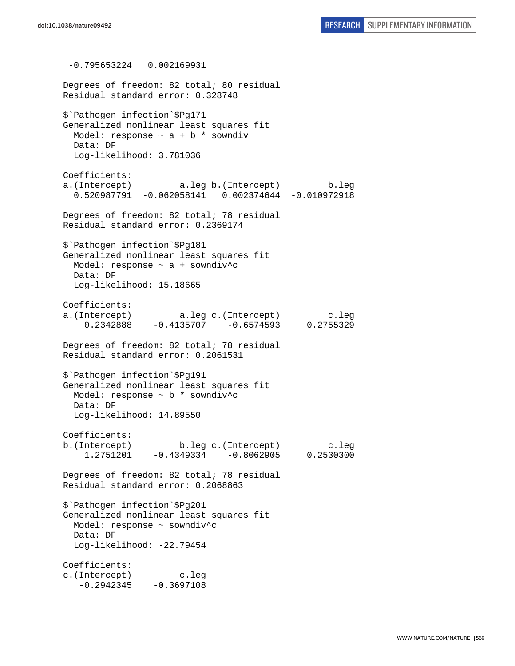-0.795653224 0.002169931 Degrees of freedom: 82 total; 80 residual Residual standard error: 0.328748 \$`Pathogen infection`\$Pg171 Generalized nonlinear least squares fit Model: response  $\sim$  a + b \* sowndiv Data: DF Log-likelihood: 3.781036 Coefficients: a.(Intercept) a.leg b.(Intercept) b.leg 0.520987791 -0.062058141 0.002374644 -0.010972918 Degrees of freedom: 82 total; 78 residual Residual standard error: 0.2369174 \$`Pathogen infection`\$Pg181 Generalized nonlinear least squares fit Model: response ~ a + sowndiv^c Data: DF Log-likelihood: 15.18665 Coefficients: a.(Intercept) a.leg c.(Intercept) c.leg 0.2342888 -0.4135707 -0.6574593 0.2755329 Degrees of freedom: 82 total; 78 residual Residual standard error: 0.2061531 \$`Pathogen infection`\$Pg191 Generalized nonlinear least squares fit Model: response ~ b \* sowndiv^c Data: DF Log-likelihood: 14.89550 Coefficients: b.(Intercept) b.leg c.(Intercept) c.leg 1.2751201 -0.4349334 -0.8062905 0.2530300 Degrees of freedom: 82 total; 78 residual Residual standard error: 0.2068863 \$`Pathogen infection`\$Pg201 Generalized nonlinear least squares fit Model: response ~ sowndiv^c Data: DF Log-likelihood: -22.79454 Coefficients: c.(Intercept) c.leg  $-0.2942345 -0.3697108$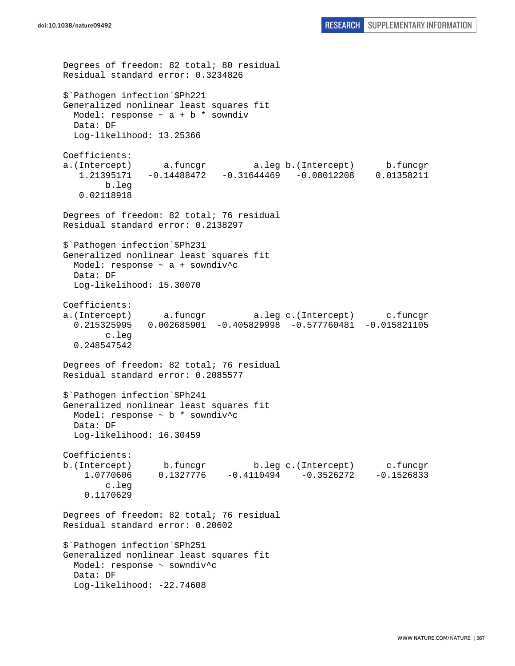Degrees of freedom: 82 total; 80 residual Residual standard error: 0.3234826 \$`Pathogen infection`\$Ph221 Generalized nonlinear least squares fit Model: response  $\sim$  a + b \* sowndiv Data: DF Log-likelihood: 13.25366 Coefficients: a.(Intercept) a.funcgr a.leg b.(Intercept) b.funcgr 1.21395171 -0.14488472 -0.31644469 -0.08012208 0.01358211 b.leg 0.02118918 Degrees of freedom: 82 total; 76 residual Residual standard error: 0.2138297 \$`Pathogen infection`\$Ph231 Generalized nonlinear least squares fit Model: response ~ a + sowndiv^c Data: DF Log-likelihood: 15.30070 Coefficients: a.(Intercept) a.funcgr a.leg c.(Intercept) c.funcgr 0.215325995 0.002685901 -0.405829998 -0.577760481 -0.015821105 c.leg 0.248547542 Degrees of freedom: 82 total; 76 residual Residual standard error: 0.2085577 \$`Pathogen infection`\$Ph241 Generalized nonlinear least squares fit Model: response ~ b \* sowndiv^c Data: DF Log-likelihood: 16.30459 Coefficients: b.(Intercept) b.funcgr b.leg c.(Intercept) c.funcgr 1.0770606 0.1327776 -0.4110494 -0.3526272 -0.1526833 c.leg 0.1170629 Degrees of freedom: 82 total; 76 residual Residual standard error: 0.20602 \$`Pathogen infection`\$Ph251 Generalized nonlinear least squares fit Model: response ~ sowndiv^c Data: DF Log-likelihood: -22.74608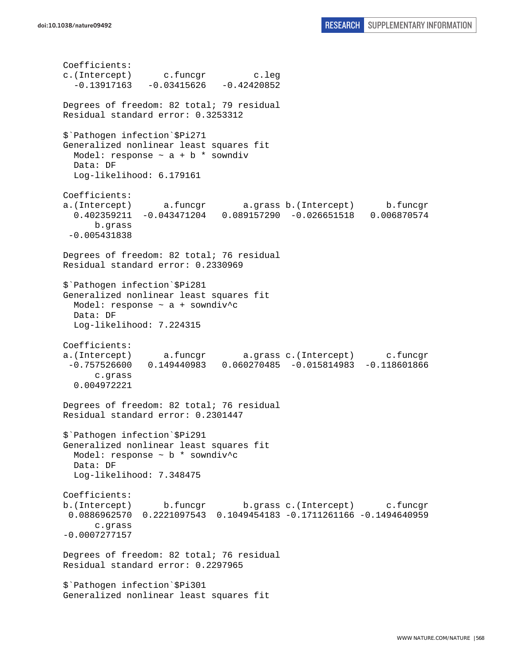Coefficients: c.(Intercept) c.funcgr c.leg  $-0.13917163 -0.03415626 -0.42420852$ Degrees of freedom: 82 total; 79 residual Residual standard error: 0.3253312 \$`Pathogen infection`\$Pi271 Generalized nonlinear least squares fit Model: response  $\sim$  a + b \* sowndiv Data: DF Log-likelihood: 6.179161 Coefficients: a.(Intercept) a.funcgr a.grass b.(Intercept) b.funcgr 0.402359211 -0.043471204 0.089157290 -0.026651518 0.006870574 b.grass -0.005431838 Degrees of freedom: 82 total; 76 residual Residual standard error: 0.2330969 \$`Pathogen infection`\$Pi281 Generalized nonlinear least squares fit Model: response ~ a + sowndiv^c Data: DF Log-likelihood: 7.224315 Coefficients: a.(Intercept) a.funcgr a.grass c.(Intercept) c.funcgr -0.757526600 0.149440983 0.060270485 -0.015814983 -0.118601866 c.grass 0.004972221 Degrees of freedom: 82 total; 76 residual Residual standard error: 0.2301447 \$`Pathogen infection`\$Pi291 Generalized nonlinear least squares fit Model: response ~ b \* sowndiv^c Data: DF Log-likelihood: 7.348475 Coefficients: b.(Intercept) b.funcgr b.grass c.(Intercept) c.funcgr 0.0886962570 0.2221097543 0.1049454183 -0.1711261166 -0.1494640959 c.grass -0.0007277157 Degrees of freedom: 82 total; 76 residual Residual standard error: 0.2297965 \$`Pathogen infection`\$Pi301 Generalized nonlinear least squares fit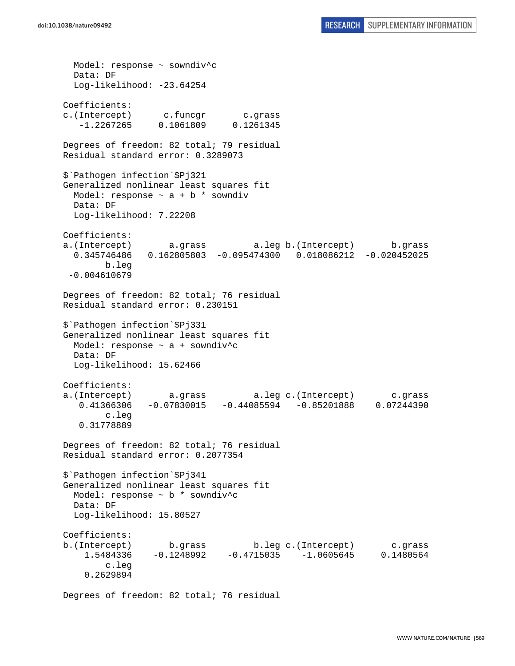Model: response ~ sowndiv^c Data: DF Log-likelihood: -23.64254 Coefficients: c.(Intercept) c.funcgr c.grass -1.2267265 0.1061809 0.1261345 Degrees of freedom: 82 total; 79 residual Residual standard error: 0.3289073 \$`Pathogen infection`\$Pj321 Generalized nonlinear least squares fit Model: response  $\sim$  a + b  $*$  sowndiv Data: DF Log-likelihood: 7.22208 Coefficients: a.(Intercept) a.grass a.leg b.(Intercept) b.grass 0.345746486 0.162805803 -0.095474300 0.018086212 -0.020452025 b.leg -0.004610679 Degrees of freedom: 82 total; 76 residual Residual standard error: 0.230151 \$`Pathogen infection`\$Pj331 Generalized nonlinear least squares fit Model: response ~ a + sowndiv^c Data: DF Log-likelihood: 15.62466 Coefficients: a.(Intercept) a.grass a.leg c.(Intercept) c.grass 0.41366306 -0.07830015 -0.44085594 -0.85201888 0.07244390 c.leg 0.31778889 Degrees of freedom: 82 total; 76 residual Residual standard error: 0.2077354 \$`Pathogen infection`\$Pj341 Generalized nonlinear least squares fit Model: response ~ b \* sowndiv^c Data: DF Log-likelihood: 15.80527 Coefficients: b.(Intercept) b.grass b.leg c.(Intercept) c.grass 1.5484336 -0.1248992 -0.4715035 -1.0605645 0.1480564 c.leg 0.2629894

Degrees of freedom: 82 total; 76 residual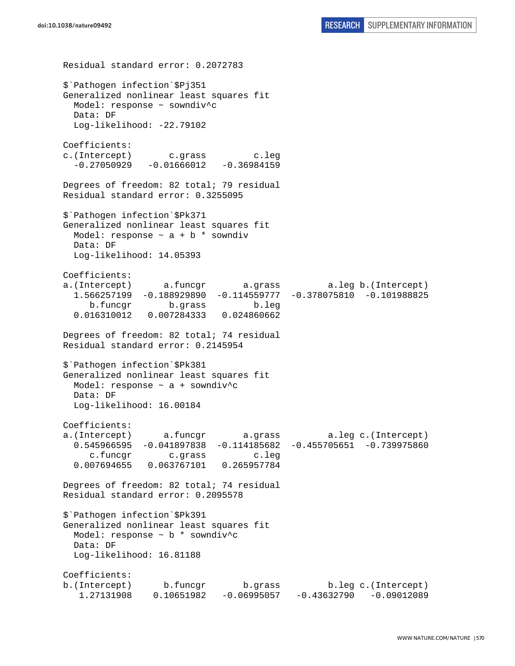Residual standard error: 0.2072783 \$`Pathogen infection`\$Pj351 Generalized nonlinear least squares fit Model: response ~ sowndiv^c Data: DF Log-likelihood: -22.79102 Coefficients: c.(Intercept) c.grass c.leg  $-0.27050929 -0.01666012 -0.36984159$ Degrees of freedom: 82 total; 79 residual Residual standard error: 0.3255095 \$`Pathogen infection`\$Pk371 Generalized nonlinear least squares fit Model: response  $\sim$  a + b  $*$  sowndiv Data: DF Log-likelihood: 14.05393 Coefficients: a.(Intercept) a.funcgr a.grass a.leg b.(Intercept) 1.566257199 -0.188929890 -0.114559777 -0.378075810 -0.101988825 b.funcgr b.grass b.leg 0.016310012 0.007284333 0.024860662 Degrees of freedom: 82 total; 74 residual Residual standard error: 0.2145954 \$`Pathogen infection`\$Pk381 Generalized nonlinear least squares fit Model: response  $\sim$  a + sowndiv<sup>^</sup>c Data: DF Log-likelihood: 16.00184 Coefficients: a.(Intercept) a.funcgr a.grass a.leg c.(Intercept) 0.545966595 -0.041897838 -0.114185682 -0.455705651 -0.739975860 c.funcgr c.grass c.leg 0.007694655 0.063767101 0.265957784 Degrees of freedom: 82 total; 74 residual Residual standard error: 0.2095578 \$`Pathogen infection`\$Pk391 Generalized nonlinear least squares fit Model: response ~ b \* sowndiv^c Data: DF Log-likelihood: 16.81188 Coefficients: b.(Intercept) b.funcgr b.grass b.leg c.(Intercept) 1.27131908 0.10651982 -0.06995057 -0.43632790 -0.09012089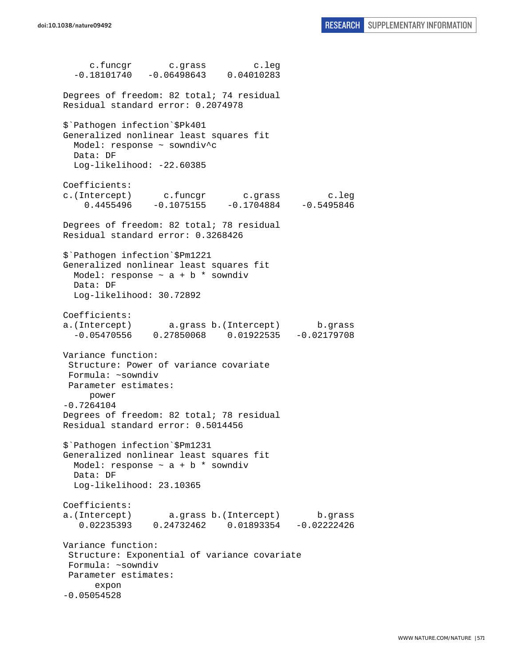c.funcgr c.grass c.leg  $-0.18101740 -0.06498643 0.04010283$ Degrees of freedom: 82 total; 74 residual Residual standard error: 0.2074978 \$`Pathogen infection`\$Pk401 Generalized nonlinear least squares fit Model: response ~ sowndiv^c Data: DF Log-likelihood: -22.60385 Coefficients: c.(Intercept) c.funcgr c.grass c.leg  $0.4455496 -0.1075155 -0.1704884 -0.5495846$ Degrees of freedom: 82 total; 78 residual Residual standard error: 0.3268426 \$`Pathogen infection`\$Pm1221 Generalized nonlinear least squares fit Model: response  $\sim$  a + b  $*$  sowndiv Data: DF Log-likelihood: 30.72892 Coefficients: a.(Intercept) a.grass b.(Intercept) b.grass -0.05470556 0.27850068 0.01922535 -0.02179708 Variance function: Structure: Power of variance covariate Formula: ~sowndiv Parameter estimates: power -0.7264104 Degrees of freedom: 82 total; 78 residual Residual standard error: 0.5014456 \$`Pathogen infection`\$Pm1231 Generalized nonlinear least squares fit Model: response  $\sim$  a + b \* sowndiv Data: DF Log-likelihood: 23.10365 Coefficients: a.(Intercept) a.grass b.(Intercept) b.grass 0.02235393 0.24732462 0.01893354 -0.02222426 Variance function: Structure: Exponential of variance covariate Formula: ~sowndiv Parameter estimates: expon -0.05054528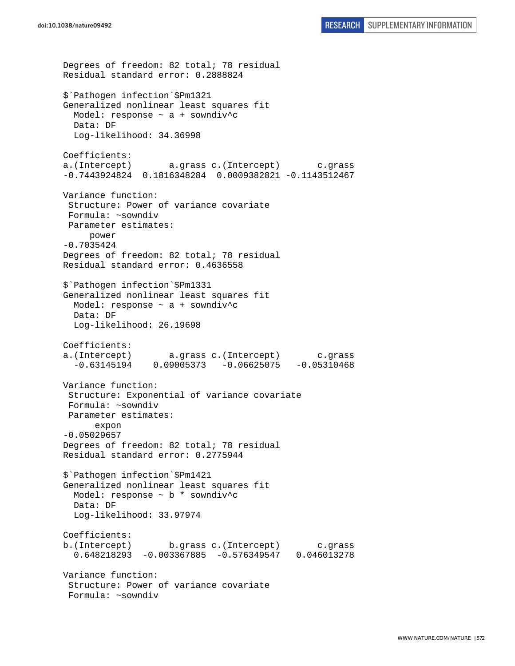```
Degrees of freedom: 82 total; 78 residual 
Residual standard error: 0.2888824 
$`Pathogen infection`$Pm1321 
Generalized nonlinear least squares fit 
   Model: response ~ a + sowndiv^c 
  Data: DF 
  Log-likelihood: 34.36998 
Coefficients: 
a.(Intercept) a.grass c.(Intercept) c.grass 
-0.7443924824 0.1816348284 0.0009382821 -0.1143512467 
Variance function: 
  Structure: Power of variance covariate 
  Formula: ~sowndiv 
 Parameter estimates: 
      power 
-0.7035424 
Degrees of freedom: 82 total; 78 residual 
Residual standard error: 0.4636558 
$`Pathogen infection`$Pm1331 
Generalized nonlinear least squares fit 
   Model: response ~ a + sowndiv^c 
   Data: DF 
   Log-likelihood: 26.19698 
Coefficients: 
a.(Intercept) a.grass c.(Intercept) c.grass 
  -0.63145194 0.09005373 -0.06625075 -0.05310468Variance function: 
  Structure: Exponential of variance covariate 
 Formula: ~sowndiv 
 Parameter estimates: 
       expon 
-0.05029657 
Degrees of freedom: 82 total; 78 residual 
Residual standard error: 0.2775944 
$`Pathogen infection`$Pm1421 
Generalized nonlinear least squares fit 
  Model: response ~ b * sowndiv^c 
   Data: DF 
   Log-likelihood: 33.97974 
Coefficients: 
b.(Intercept) b.grass c.(Intercept) c.grass 
   0.648218293 -0.003367885 -0.576349547 0.046013278 
Variance function: 
  Structure: Power of variance covariate 
  Formula: ~sowndiv
```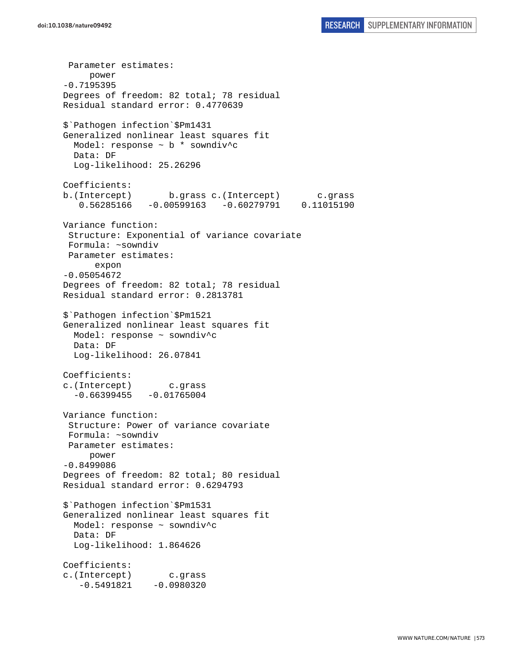Parameter estimates: power -0.7195395 Degrees of freedom: 82 total; 78 residual Residual standard error: 0.4770639 \$`Pathogen infection`\$Pm1431 Generalized nonlinear least squares fit Model: response ~ b \* sowndiv^c Data: DF Log-likelihood: 25.26296 Coefficients: b.(Intercept) b.grass c.(Intercept) c.grass 0.56285166 -0.00599163 -0.60279791 0.11015190 Variance function: Structure: Exponential of variance covariate Formula: ~sowndiv Parameter estimates: expon -0.05054672 Degrees of freedom: 82 total; 78 residual Residual standard error: 0.2813781 \$`Pathogen infection`\$Pm1521 Generalized nonlinear least squares fit Model: response ~ sowndiv^c Data: DF Log-likelihood: 26.07841 Coefficients: c.(Intercept) c.grass  $-0.66399455 - 0.01765004$ Variance function: Structure: Power of variance covariate Formula: ~sowndiv Parameter estimates: power -0.8499086 Degrees of freedom: 82 total; 80 residual Residual standard error: 0.6294793 \$`Pathogen infection`\$Pm1531 Generalized nonlinear least squares fit Model: response ~ sowndiv^c Data: DF Log-likelihood: 1.864626 Coefficients: c.(Intercept) c.grass  $-0.5491821 -0.0980320$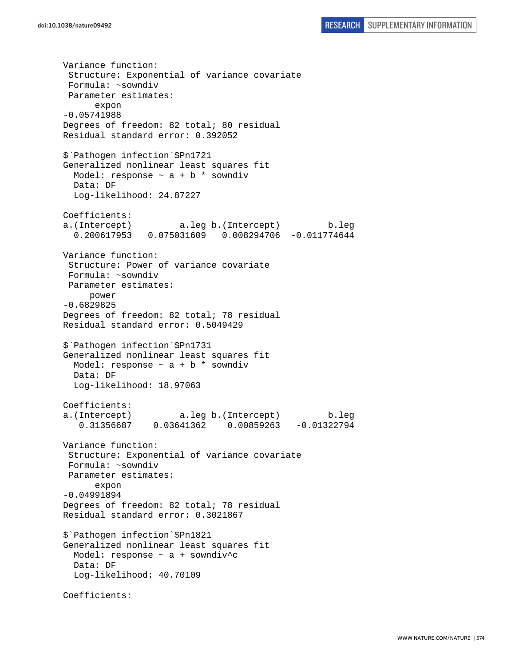Variance function: Structure: Exponential of variance covariate Formula: ~sowndiv Parameter estimates: expon -0.05741988 Degrees of freedom: 82 total; 80 residual Residual standard error: 0.392052 \$`Pathogen infection`\$Pn1721 Generalized nonlinear least squares fit Model: response  $\sim$  a + b \* sowndiv Data: DF Log-likelihood: 24.87227 Coefficients: a.(Intercept) a.leg b.(Intercept) b.leg 0.200617953 0.075031609 0.008294706 -0.011774644 Variance function: Structure: Power of variance covariate Formula: ~sowndiv Parameter estimates: power -0.6829825 Degrees of freedom: 82 total; 78 residual Residual standard error: 0.5049429 \$`Pathogen infection`\$Pn1731 Generalized nonlinear least squares fit Model: response  $\sim$  a + b  $*$  sowndiv Data: DF Log-likelihood: 18.97063 Coefficients: a.(Intercept) a.leg b.(Intercept) b.leg 0.31356687 0.03641362 0.00859263 -0.01322794 Variance function: Structure: Exponential of variance covariate Formula: ~sowndiv Parameter estimates: expon -0.04991894 Degrees of freedom: 82 total; 78 residual Residual standard error: 0.3021867 \$`Pathogen infection`\$Pn1821 Generalized nonlinear least squares fit Model: response ~ a + sowndiv^c Data: DF Log-likelihood: 40.70109 Coefficients: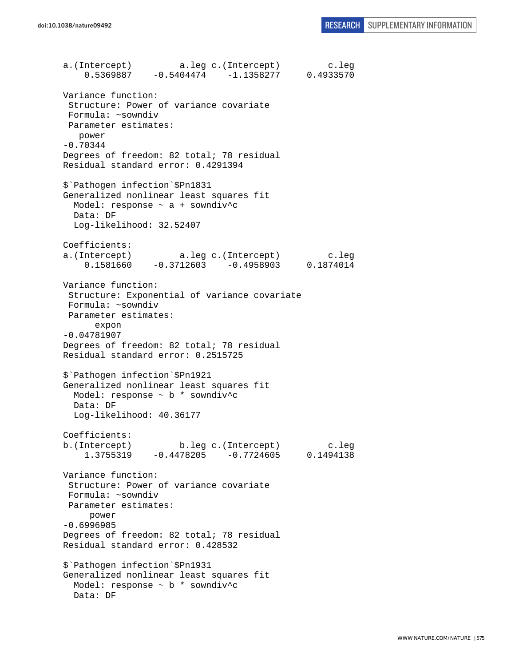a.(Intercept) a.leg c.(Intercept) c.leg<br>0.5369887 -0.5404474 -1.1358277 0.4933570  $0.5369887 -0.5404474 -1.1358277$ Variance function: Structure: Power of variance covariate Formula: ~sowndiv Parameter estimates: power -0.70344 Degrees of freedom: 82 total; 78 residual Residual standard error: 0.4291394 \$`Pathogen infection`\$Pn1831 Generalized nonlinear least squares fit Model: response ~ a + sowndiv^c Data: DF Log-likelihood: 32.52407 Coefficients: a.(Intercept) a.leg c.(Intercept) c.leg 0.1581660 -0.3712603 -0.4958903 0.1874014 Variance function: Structure: Exponential of variance covariate Formula: ~sowndiv Parameter estimates: expon -0.04781907 Degrees of freedom: 82 total; 78 residual Residual standard error: 0.2515725 \$`Pathogen infection`\$Pn1921 Generalized nonlinear least squares fit Model: response ~ b \* sowndiv^c Data: DF Log-likelihood: 40.36177 Coefficients: b.(Intercept) b.leg c.(Intercept) c.leg 1.3755319 -0.4478205 -0.7724605 0.1494138 Variance function: Structure: Power of variance covariate Formula: ~sowndiv Parameter estimates: power -0.6996985 Degrees of freedom: 82 total; 78 residual Residual standard error: 0.428532 \$`Pathogen infection`\$Pn1931 Generalized nonlinear least squares fit Model: response ~ b \* sowndiv^c Data: DF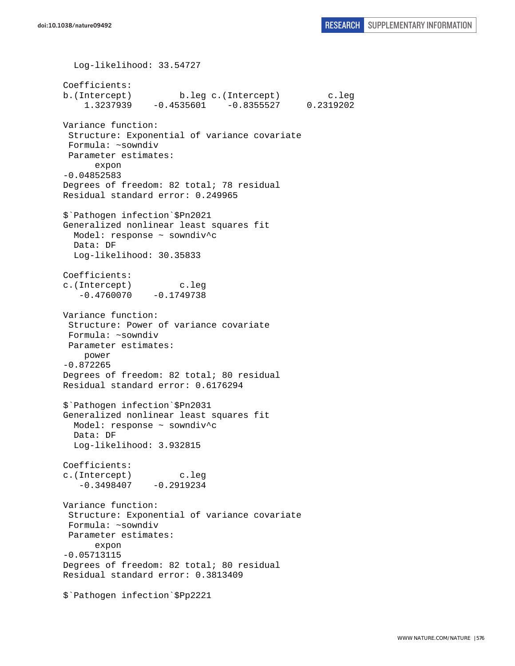Log-likelihood: 33.54727 Coefficients: b.(Intercept) b.leg c.(Intercept) c.leg 1.3237939 -0.4535601 -0.8355527 0.2319202 Variance function: Structure: Exponential of variance covariate Formula: ~sowndiv Parameter estimates: expon -0.04852583 Degrees of freedom: 82 total; 78 residual Residual standard error: 0.249965 \$`Pathogen infection`\$Pn2021 Generalized nonlinear least squares fit Model: response ~ sowndiv^c Data: DF Log-likelihood: 30.35833 Coefficients: c.(Intercept) c.leg  $-0.4760070 -0.1749738$ Variance function: Structure: Power of variance covariate Formula: ~sowndiv Parameter estimates: power -0.872265 Degrees of freedom: 82 total; 80 residual Residual standard error: 0.6176294 \$`Pathogen infection`\$Pn2031 Generalized nonlinear least squares fit Model: response ~ sowndiv^c Data: DF Log-likelihood: 3.932815 Coefficients: c.(Intercept) c.leg  $-0.3498407 -0.2919234$ Variance function: Structure: Exponential of variance covariate Formula: ~sowndiv Parameter estimates: expon -0.05713115 Degrees of freedom: 82 total; 80 residual Residual standard error: 0.3813409 \$`Pathogen infection`\$Pp2221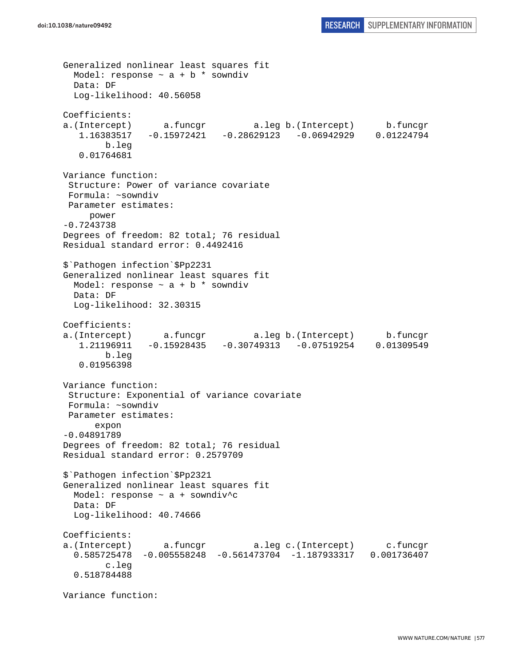Generalized nonlinear least squares fit Model: response  $\sim$  a + b \* sowndiv Data: DF Log-likelihood: 40.56058 Coefficients: a.(Intercept) a.funcgr a.leg b.(Intercept) b.funcgr 1.16383517 -0.15972421 -0.28629123 -0.06942929 0.01224794 b.leg 0.01764681 Variance function: Structure: Power of variance covariate Formula: ~sowndiv Parameter estimates: power -0.7243738 Degrees of freedom: 82 total; 76 residual Residual standard error: 0.4492416 \$`Pathogen infection`\$Pp2231 Generalized nonlinear least squares fit Model: response  $\sim$  a + b  $*$  sowndiv Data: DF Log-likelihood: 32.30315 Coefficients: a.(Intercept) a.funcgr a.leg b.(Intercept) b.funcgr 1.21196911 -0.15928435 -0.30749313 -0.07519254 0.01309549 b.leg 0.01956398 Variance function: Structure: Exponential of variance covariate Formula: ~sowndiv Parameter estimates: expon -0.04891789 Degrees of freedom: 82 total; 76 residual Residual standard error: 0.2579709 \$`Pathogen infection`\$Pp2321 Generalized nonlinear least squares fit Model: response ~ a + sowndiv^c Data: DF Log-likelihood: 40.74666 Coefficients: a.(Intercept) a.funcgr a.leg c.(Intercept) c.funcgr 0.585725478 -0.005558248 -0.561473704 -1.187933317 0.001736407 c.leg 0.518784488 Variance function: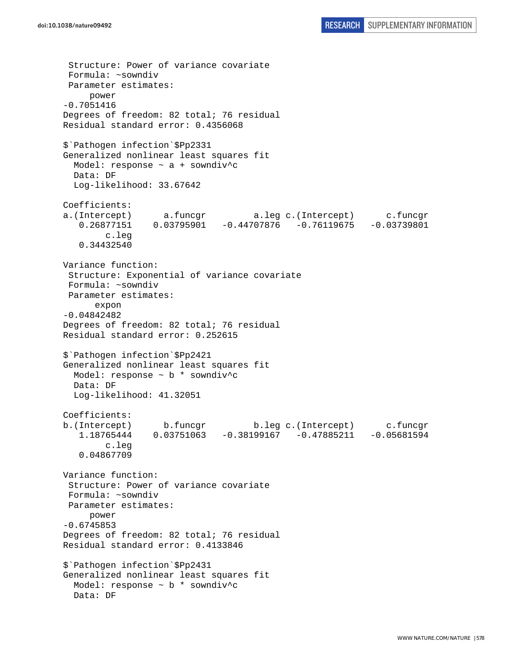```
 Structure: Power of variance covariate 
  Formula: ~sowndiv 
 Parameter estimates: 
      power 
-0.7051416 
Degrees of freedom: 82 total; 76 residual 
Residual standard error: 0.4356068 
$`Pathogen infection`$Pp2331 
Generalized nonlinear least squares fit 
  Model: response ~ a + sowndiv^c 
   Data: DF 
   Log-likelihood: 33.67642 
Coefficients: 
a.(Intercept) a.funcgr a.leg c.(Intercept) c.funcgr 
   0.26877151 0.03795901 -0.44707876 -0.76119675 -0.03739801 c.leg 
    0.34432540 
Variance function: 
  Structure: Exponential of variance covariate 
 Formula: ~sowndiv 
 Parameter estimates: 
       expon 
-0.04842482 
Degrees of freedom: 82 total; 76 residual 
Residual standard error: 0.252615 
$`Pathogen infection`$Pp2421 
Generalized nonlinear least squares fit 
  Model: response ~ b * sowndiv^c 
   Data: DF 
   Log-likelihood: 41.32051 
Coefficients: 
b.(Intercept) b.funcgr b.leg c.(Intercept) c.funcgr 
    1.18765444 0.03751063 -0.38199167 -0.47885211 -0.05681594 
         c.leg 
    0.04867709 
Variance function: 
  Structure: Power of variance covariate 
 Formula: ~sowndiv 
 Parameter estimates: 
      power 
-0.6745853 
Degrees of freedom: 82 total; 76 residual 
Residual standard error: 0.4133846 
$`Pathogen infection`$Pp2431 
Generalized nonlinear least squares fit 
   Model: response ~ b * sowndiv^c 
   Data: DF
```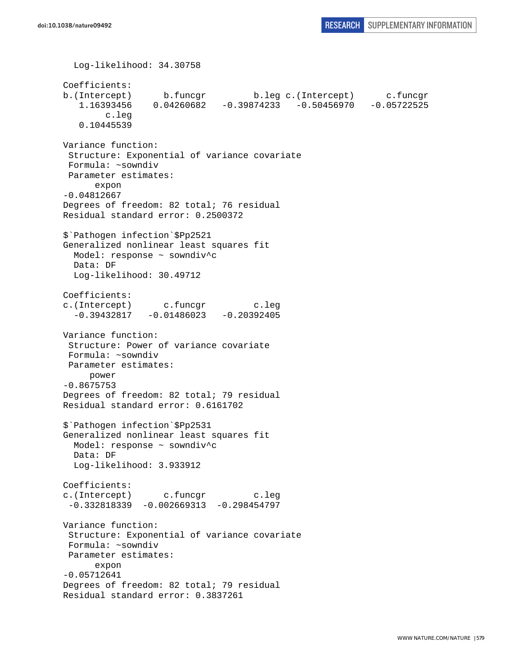```
 Log-likelihood: 34.30758 
Coefficients: 
b.(Intercept) b.funcgr b.leg c.(Intercept) c.funcgr 
    1.16393456 0.04260682 -0.39874233 -0.50456970 -0.05722525 
         c.leg 
    0.10445539 
Variance function: 
  Structure: Exponential of variance covariate 
 Formula: ~sowndiv 
 Parameter estimates: 
       expon 
-0.04812667 
Degrees of freedom: 82 total; 76 residual 
Residual standard error: 0.2500372 
$`Pathogen infection`$Pp2521 
Generalized nonlinear least squares fit 
  Model: response ~ sowndiv^c 
  Data: DF 
  Log-likelihood: 30.49712 
Coefficients: 
c.(Intercept) c.funcgr c.leg 
  -0.39432817 -0.01486023 -0.20392405Variance function: 
  Structure: Power of variance covariate 
 Formula: ~sowndiv 
 Parameter estimates: 
      power 
-0.8675753 
Degrees of freedom: 82 total; 79 residual 
Residual standard error: 0.6161702 
$`Pathogen infection`$Pp2531 
Generalized nonlinear least squares fit 
 Model: response ~ sowndiv^c
  Data: DF 
   Log-likelihood: 3.933912 
Coefficients: 
c.(Intercept) c.funcgr c.leg 
  -0.332818339 -0.002669313 -0.298454797 
Variance function: 
  Structure: Exponential of variance covariate 
 Formula: ~sowndiv 
 Parameter estimates: 
       expon 
-0.05712641 
Degrees of freedom: 82 total; 79 residual 
Residual standard error: 0.3837261
```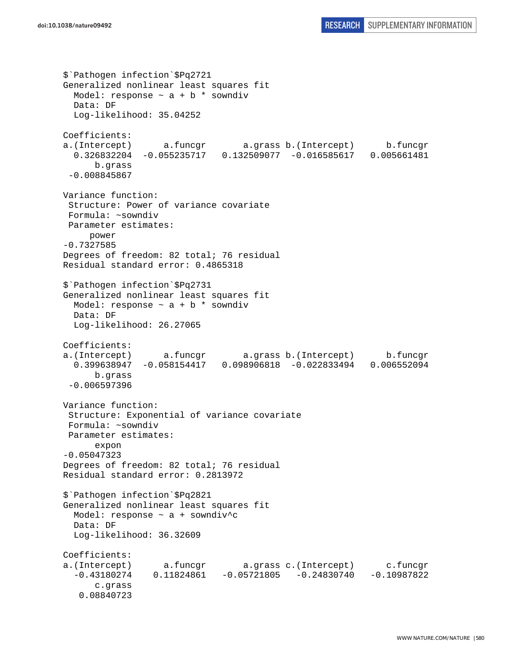```
$`Pathogen infection`$Pq2721 
Generalized nonlinear least squares fit 
 Model: response \sim a + b * sowndiv
  Data: DF 
   Log-likelihood: 35.04252 
Coefficients: 
a.(Intercept) a.funcgr a.grass b.(Intercept) b.funcgr 
   0.326832204 -0.055235717 0.132509077 -0.016585617 0.005661481 
       b.grass 
  -0.008845867 
Variance function: 
  Structure: Power of variance covariate 
 Formula: ~sowndiv 
 Parameter estimates: 
      power 
-0.7327585 
Degrees of freedom: 82 total; 76 residual 
Residual standard error: 0.4865318 
$`Pathogen infection`$Pq2731 
Generalized nonlinear least squares fit 
  Model: response \sim a + b * sowndiv
   Data: DF 
   Log-likelihood: 26.27065 
Coefficients: 
a.(Intercept) a.funcgr a.grass b.(Intercept) b.funcgr 
  0.399638947 -0.058154417 0.098906818 -0.022833494 0.006552094 
       b.grass 
  -0.006597396 
Variance function: 
  Structure: Exponential of variance covariate 
 Formula: ~sowndiv 
 Parameter estimates: 
       expon 
-0.05047323 
Degrees of freedom: 82 total; 76 residual 
Residual standard error: 0.2813972 
$`Pathogen infection`$Pq2821 
Generalized nonlinear least squares fit 
  Model: response ~ a + sowndiv^c 
  Data: DF 
  Log-likelihood: 36.32609 
Coefficients: 
a.(Intercept) a.funcgr a.grass c.(Intercept) c.funcgr 
   -0.43180274 0.11824861 -0.05721805 -0.24830740 -0.10987822 
       c.grass 
    0.08840723
```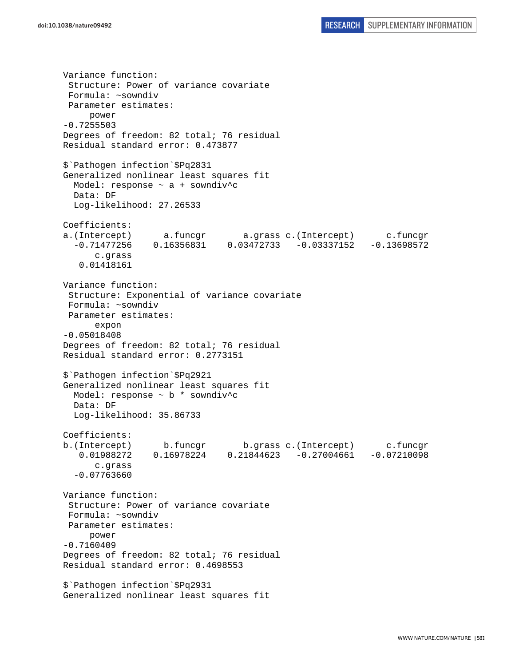Variance function: Structure: Power of variance covariate Formula: ~sowndiv Parameter estimates: power -0.7255503 Degrees of freedom: 82 total; 76 residual Residual standard error: 0.473877 \$`Pathogen infection`\$Pq2831 Generalized nonlinear least squares fit Model: response ~ a + sowndiv^c Data: DF Log-likelihood: 27.26533 Coefficients: a.(Intercept) a.funcgr a.grass c.(Intercept) c.funcgr -0.71477256 0.16356831 0.03472733 -0.03337152 -0.13698572 c.grass 0.01418161 Variance function: Structure: Exponential of variance covariate Formula: ~sowndiv Parameter estimates: expon -0.05018408 Degrees of freedom: 82 total; 76 residual Residual standard error: 0.2773151 \$`Pathogen infection`\$Pq2921 Generalized nonlinear least squares fit Model: response ~ b \* sowndiv^c Data: DF Log-likelihood: 35.86733 Coefficients: b.(Intercept) b.funcgr b.grass c.(Intercept) c.funcgr 0.01988272 0.16978224 0.21844623 -0.27004661 -0.07210098 c.grass -0.07763660 Variance function: Structure: Power of variance covariate Formula: ~sowndiv Parameter estimates: power -0.7160409 Degrees of freedom: 82 total; 76 residual Residual standard error: 0.4698553 \$`Pathogen infection`\$Pq2931 Generalized nonlinear least squares fit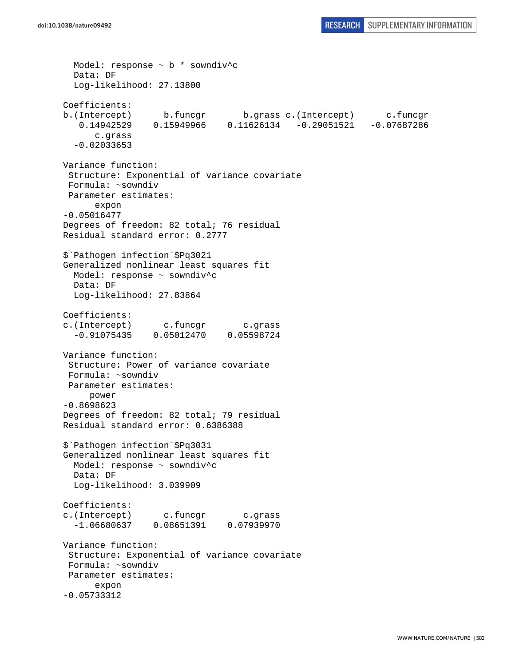```
 Model: response ~ b * sowndiv^c 
   Data: DF 
   Log-likelihood: 27.13800 
Coefficients: 
b.(Intercept) b.funcgr b.grass c.(Intercept) c.funcgr 
    0.14942529 0.15949966 0.11626134 -0.29051521 -0.07687286 
       c.grass 
   -0.02033653 
Variance function: 
  Structure: Exponential of variance covariate 
 Formula: ~sowndiv 
 Parameter estimates: 
       expon 
-0.05016477 
Degrees of freedom: 82 total; 76 residual 
Residual standard error: 0.2777 
$`Pathogen infection`$Pq3021 
Generalized nonlinear least squares fit 
  Model: response ~ sowndiv^c 
  Data: DF 
  Log-likelihood: 27.83864 
Coefficients: 
c.(Intercept) c.funcgr c.grass 
   -0.91075435 0.05012470 0.05598724 
Variance function: 
  Structure: Power of variance covariate 
 Formula: ~sowndiv 
 Parameter estimates: 
      power 
-0.8698623 
Degrees of freedom: 82 total; 79 residual 
Residual standard error: 0.6386388 
$`Pathogen infection`$Pq3031 
Generalized nonlinear least squares fit 
  Model: response ~ sowndiv^c 
   Data: DF 
   Log-likelihood: 3.039909 
Coefficients: 
c.(Intercept) c.funcgr c.grass 
  -1.06680637 0.08651391 0.07939970 
Variance function: 
  Structure: Exponential of variance covariate 
 Formula: ~sowndiv 
 Parameter estimates: 
       expon 
-0.05733312
```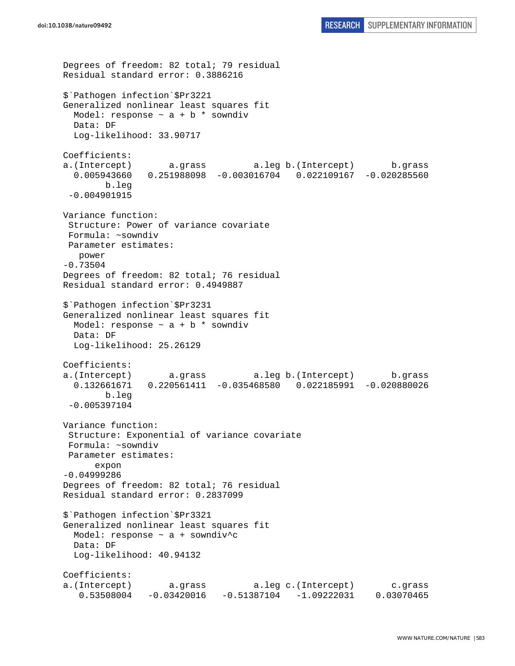```
Degrees of freedom: 82 total; 79 residual 
Residual standard error: 0.3886216 
$`Pathogen infection`$Pr3221 
Generalized nonlinear least squares fit 
  Model: response \sim a + b * sowndiv
  Data: DF 
  Log-likelihood: 33.90717 
Coefficients: 
a.(Intercept) a.grass a.leg b.(Intercept) b.grass 
   0.005943660 0.251988098 -0.003016704 0.022109167 -0.020285560 
         b.leg 
  -0.004901915 
Variance function: 
  Structure: Power of variance covariate 
  Formula: ~sowndiv 
 Parameter estimates: 
   power 
-0.73504 
Degrees of freedom: 82 total; 76 residual 
Residual standard error: 0.4949887 
$`Pathogen infection`$Pr3231 
Generalized nonlinear least squares fit 
 Model: response \sim a + b * sowndiv
  Data: DF 
   Log-likelihood: 25.26129 
Coefficients: 
a.(Intercept) a.grass a.leg b.(Intercept) b.grass 
   0.132661671 0.220561411 -0.035468580 0.022185991 -0.020880026 
         b.leg 
 -0.005397104 
Variance function: 
  Structure: Exponential of variance covariate 
  Formula: ~sowndiv 
 Parameter estimates: 
       expon 
-0.04999286 
Degrees of freedom: 82 total; 76 residual 
Residual standard error: 0.2837099 
$`Pathogen infection`$Pr3321 
Generalized nonlinear least squares fit 
   Model: response ~ a + sowndiv^c 
   Data: DF 
   Log-likelihood: 40.94132 
Coefficients: 
a.(Intercept) a.grass a.leg c.(Intercept) c.grass 
    0.53508004 -0.03420016 -0.51387104 -1.09222031 0.03070465
```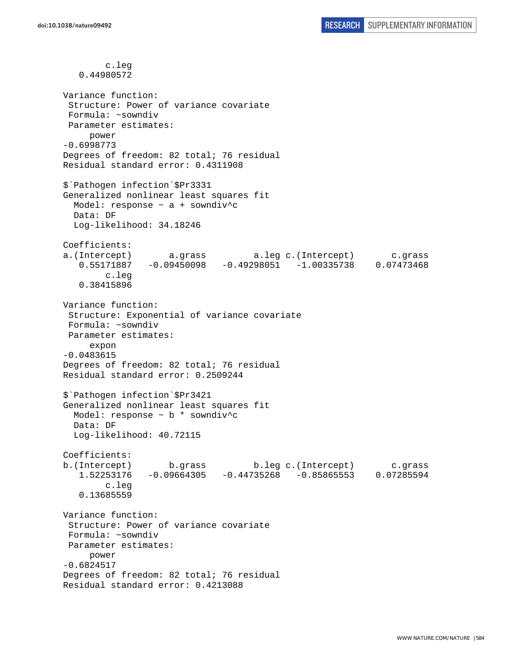c.leg 0.44980572 Variance function: Structure: Power of variance covariate Formula: ~sowndiv Parameter estimates: power -0.6998773 Degrees of freedom: 82 total; 76 residual Residual standard error: 0.4311908 \$`Pathogen infection`\$Pr3331 Generalized nonlinear least squares fit Model: response ~ a + sowndiv^c Data: DF Log-likelihood: 34.18246 Coefficients: a.(Intercept) a.grass a.leg c.(Intercept) c.grass 0.55171887 -0.09450098 -0.49298051 -1.00335738 0.07473468 c.leg 0.38415896 Variance function: Structure: Exponential of variance covariate Formula: ~sowndiv Parameter estimates: expon -0.0483615 Degrees of freedom: 82 total; 76 residual Residual standard error: 0.2509244 \$`Pathogen infection`\$Pr3421 Generalized nonlinear least squares fit Model: response ~ b \* sowndiv^c Data: DF Log-likelihood: 40.72115 Coefficients: b.(Intercept) b.grass b.leg c.(Intercept) c.grass 1.52253176 -0.09664305 -0.44735268 -0.85865553 0.07285594 c.leg 0.13685559 Variance function: Structure: Power of variance covariate Formula: ~sowndiv Parameter estimates: power -0.6824517 Degrees of freedom: 82 total; 76 residual Residual standard error: 0.4213088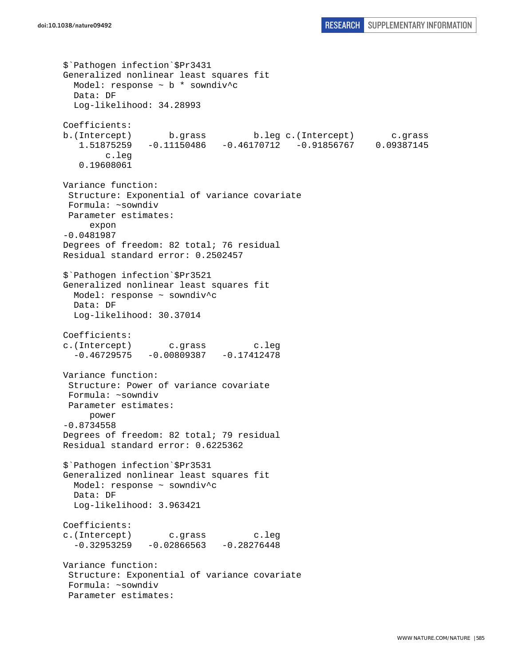```
$`Pathogen infection`$Pr3431 
Generalized nonlinear least squares fit 
  Model: response ~ b * sowndiv^c 
  Data: DF 
   Log-likelihood: 34.28993 
Coefficients: 
b.(Intercept) b.grass b.leg c.(Intercept) c.grass 
    1.51875259 -0.11150486 -0.46170712 -0.91856767 0.09387145 
         c.leg 
    0.19608061 
Variance function: 
  Structure: Exponential of variance covariate 
  Formula: ~sowndiv 
 Parameter estimates: 
      expon 
-0.0481987 
Degrees of freedom: 82 total; 76 residual 
Residual standard error: 0.2502457 
$`Pathogen infection`$Pr3521 
Generalized nonlinear least squares fit 
  Model: response ~ sowndiv^c 
  Data: DF 
  Log-likelihood: 30.37014 
Coefficients: 
c.(Intercept) c.grass c.leg 
  -0.46729575 -0.00809387 -0.17412478Variance function: 
  Structure: Power of variance covariate 
  Formula: ~sowndiv 
 Parameter estimates: 
     power 
-0.8734558 
Degrees of freedom: 82 total; 79 residual 
Residual standard error: 0.6225362 
$`Pathogen infection`$Pr3531 
Generalized nonlinear least squares fit 
  Model: response ~ sowndiv^c 
  Data: DF 
   Log-likelihood: 3.963421 
Coefficients: 
c.(Intercept) c.grass c.leg 
  -0.32953259 -0.02866563 -0.28276448Variance function: 
 Structure: Exponential of variance covariate 
 Formula: ~sowndiv 
  Parameter estimates:
```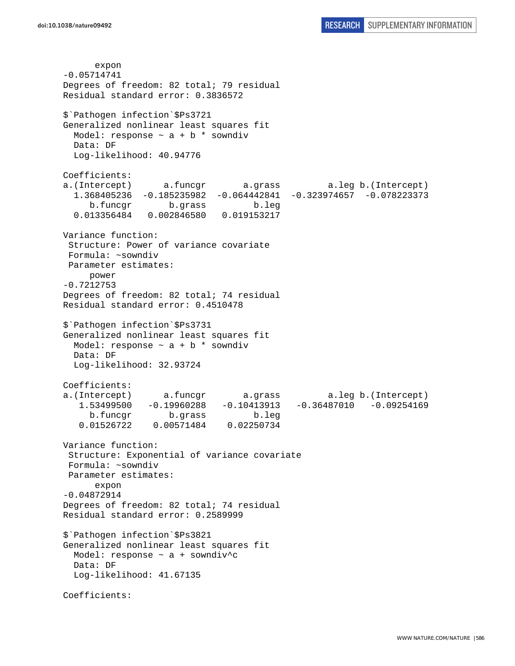expon -0.05714741 Degrees of freedom: 82 total; 79 residual Residual standard error: 0.3836572 \$`Pathogen infection`\$Ps3721 Generalized nonlinear least squares fit Model: response  $\sim$  a + b \* sowndiv Data: DF Log-likelihood: 40.94776 Coefficients: a.(Intercept) a.funcgr a.grass a.leg b.(Intercept) 1.368405236 -0.185235982 -0.064442841 -0.323974657 -0.078223373 b.funcgr b.grass b.leg 0.013356484 0.002846580 0.019153217 Variance function: Structure: Power of variance covariate Formula: ~sowndiv Parameter estimates: power -0.7212753 Degrees of freedom: 82 total; 74 residual Residual standard error: 0.4510478 \$`Pathogen infection`\$Ps3731 Generalized nonlinear least squares fit Model: response  $\sim$  a + b \* sowndiv Data: DF Log-likelihood: 32.93724 Coefficients: a.(Intercept) a.funcgr a.grass a.leg b.(Intercept) 1.53499500 -0.19960288 -0.10413913 -0.36487010 -0.09254169 b.funcgr b.grass b.leg 0.01526722 0.00571484 0.02250734 Variance function: Structure: Exponential of variance covariate Formula: ~sowndiv Parameter estimates: expon -0.04872914 Degrees of freedom: 82 total; 74 residual Residual standard error: 0.2589999 \$`Pathogen infection`\$Ps3821 Generalized nonlinear least squares fit Model: response ~ a + sowndiv^c Data: DF Log-likelihood: 41.67135 Coefficients: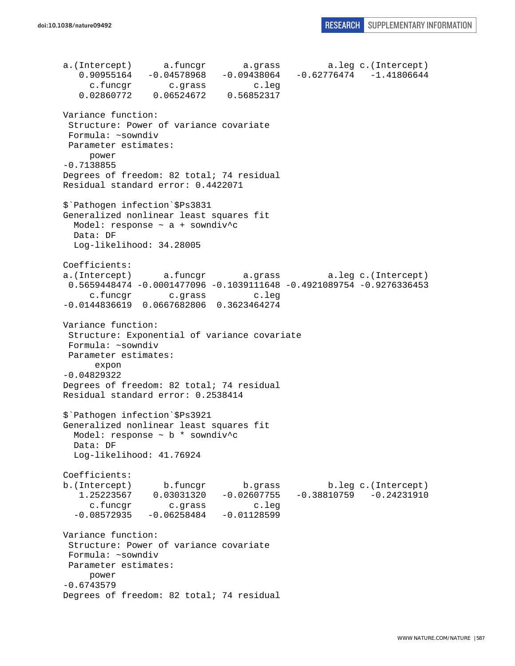a.(Intercept) a.funcgr a.grass a.leg c.(Intercept) 0.90955164 -0.04578968 -0.09438064 -0.62776474 -1.41806644 c.funcgr c.grass c.leg 0.02860772 0.06524672 0.56852317 Variance function: Structure: Power of variance covariate Formula: ~sowndiv Parameter estimates: power -0.7138855 Degrees of freedom: 82 total; 74 residual Residual standard error: 0.4422071 \$`Pathogen infection`\$Ps3831 Generalized nonlinear least squares fit Model: response ~ a + sowndiv^c Data: DF Log-likelihood: 34.28005 Coefficients: a.(Intercept) a.funcgr a.grass a.leg c.(Intercept) 0.5659448474 -0.0001477096 -0.1039111648 -0.4921089754 -0.9276336453 c.funcgr c.grass c.leg -0.0144836619 0.0667682806 0.3623464274 Variance function: Structure: Exponential of variance covariate Formula: ~sowndiv Parameter estimates: expon -0.04829322 Degrees of freedom: 82 total; 74 residual Residual standard error: 0.2538414 \$`Pathogen infection`\$Ps3921 Generalized nonlinear least squares fit Model: response ~ b \* sowndiv^c Data: DF Log-likelihood: 41.76924 Coefficients: b.(Intercept) b.funcgr b.grass b.leg c.(Intercept) 1.25223567 0.03031320 -0.02607755 -0.38810759 -0.24231910 c.funcgr c.grass c.leg  $-0.08572935 -0.06258484 -0.01128599$ Variance function: Structure: Power of variance covariate Formula: ~sowndiv Parameter estimates: power -0.6743579 Degrees of freedom: 82 total; 74 residual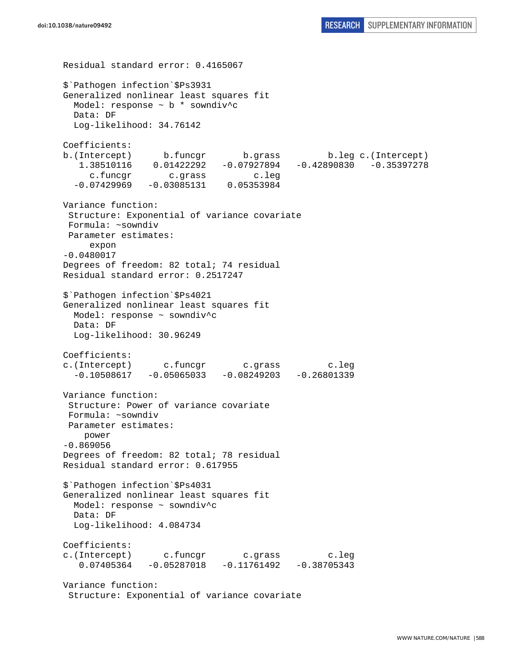```
Residual standard error: 0.4165067 
$`Pathogen infection`$Ps3931 
Generalized nonlinear least squares fit 
   Model: response ~ b * sowndiv^c 
   Data: DF 
   Log-likelihood: 34.76142 
Coefficients: 
b.(Intercept) b.funcgr b.grass b.leg c.(Intercept) 
    1.38510116 0.01422292 -0.07927894 -0.42890830 -0.35397278 
      c.funcgr c.grass c.leg 
   -0.07429969 -0.03085131 0.05353984 
Variance function: 
  Structure: Exponential of variance covariate 
 Formula: ~sowndiv 
 Parameter estimates: 
      expon 
-0.0480017 
Degrees of freedom: 82 total; 74 residual 
Residual standard error: 0.2517247 
$`Pathogen infection`$Ps4021 
Generalized nonlinear least squares fit 
   Model: response ~ sowndiv^c 
  Data: DF 
  Log-likelihood: 30.96249 
Coefficients: 
c.(Intercept) c.funcgr c.grass c.leg 
  -0.10508617 -0.05065033 -0.08249203 -0.26801339Variance function: 
  Structure: Power of variance covariate 
 Formula: ~sowndiv 
 Parameter estimates: 
     power 
-0.869056 
Degrees of freedom: 82 total; 78 residual 
Residual standard error: 0.617955 
$`Pathogen infection`$Ps4031 
Generalized nonlinear least squares fit 
   Model: response ~ sowndiv^c 
  Data: DF 
  Log-likelihood: 4.084734 
Coefficients: 
c.(Intercept) c.funcgr c.grass c.leg 
    0.07405364 -0.05287018 -0.11761492 -0.38705343 
Variance function: 
  Structure: Exponential of variance covariate
```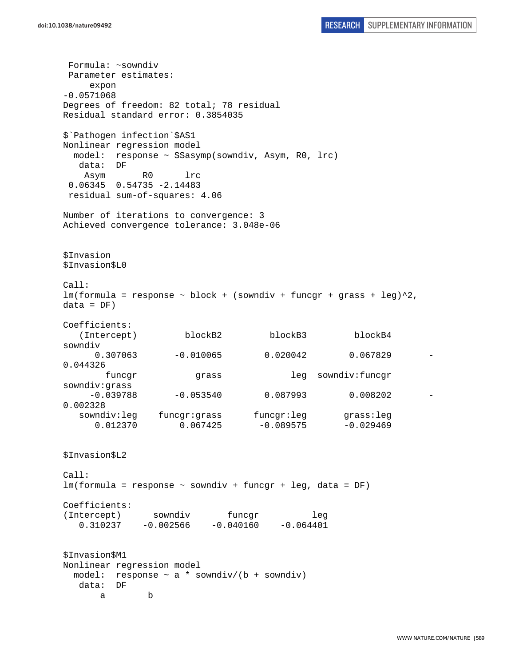Formula: ~sowndiv Parameter estimates: expon -0.0571068 Degrees of freedom: 82 total; 78 residual Residual standard error: 0.3854035 \$`Pathogen infection`\$AS1 Nonlinear regression model model: response ~ SSasymp(sowndiv, Asym, R0, lrc) data: DF Asym R0 lrc 0.06345 0.54735 -2.14483 residual sum-of-squares: 4.06 Number of iterations to convergence: 3 Achieved convergence tolerance: 3.048e-06 \$Invasion \$Invasion\$L0 Call:  $lm(formula = response ~ block + (sowndiv + funcgr + grass + leg)^2,$  $data = DF)$ Coefficients: (Intercept) blockB2 blockB3 blockB4 sowndiv 0.307063 -0.010065 0.020042 0.067829 0.044326 funcgr grass leg sowndiv:funcgr sowndiv:grass  $-0.039788$   $-0.053540$  0.087993 0.008202 0.002328 sowndiv:leg funcgr:grass funcgr:leg grass:leg  $0.012370$   $0.067425$   $-0.089575$   $-0.029469$ \$Invasion\$L2 Call: lm(formula = response ~ sowndiv + funcgr + leg, data = DF) Coefficients: (Intercept) sowndiv funcgr leg  $0.310237 -0.002566 -0.040160 -0.064401$ \$Invasion\$M1 Nonlinear regression model model: response  $\sim$  a  $*$  sowndiv/(b + sowndiv) data: DF a b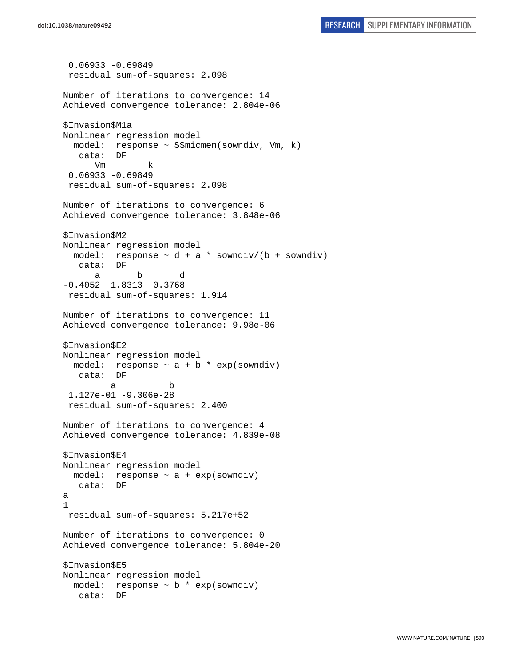```
 0.06933 -0.69849 
  residual sum-of-squares: 2.098 
Number of iterations to convergence: 14 
Achieved convergence tolerance: 2.804e-06 
$Invasion$M1a 
Nonlinear regression model 
   model: response ~ SSmicmen(sowndiv, Vm, k) 
    data: DF 
       Vm k 
  0.06933 -0.69849 
  residual sum-of-squares: 2.098 
Number of iterations to convergence: 6 
Achieved convergence tolerance: 3.848e-06 
$Invasion$M2 
Nonlinear regression model 
  model: response \sim d + a * sowndiv/(b + sowndiv)
    data: DF 
 a b d 
-0.4052 1.8313 0.3768 
  residual sum-of-squares: 1.914 
Number of iterations to convergence: 11 
Achieved convergence tolerance: 9.98e-06 
$Invasion$E2 
Nonlinear regression model 
 model: response \sim a + b * exp(sowndiv)
    data: DF 
 a b 
  1.127e-01 -9.306e-28 
  residual sum-of-squares: 2.400 
Number of iterations to convergence: 4 
Achieved convergence tolerance: 4.839e-08 
$Invasion$E4 
Nonlinear regression model 
  model: response ~ a + exp(sowndiv) 
   data: DF 
a 
1 
 residual sum-of-squares: 5.217e+52 
Number of iterations to convergence: 0 
Achieved convergence tolerance: 5.804e-20 
$Invasion$E5 
Nonlinear regression model 
  model: response ~ b * exp(sowndiv) 
    data: DF
```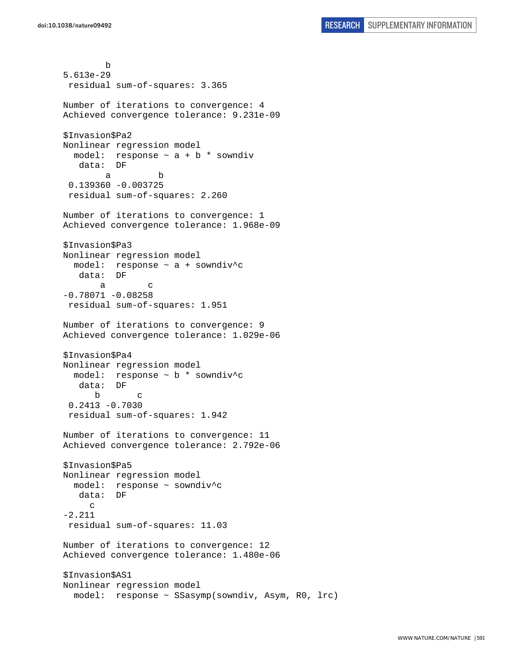b 5.613e-29 residual sum-of-squares: 3.365 Number of iterations to convergence: 4 Achieved convergence tolerance: 9.231e-09 \$Invasion\$Pa2 Nonlinear regression model model: response ~ a + b \* sowndiv data: DF a b 0.139360 -0.003725 residual sum-of-squares: 2.260 Number of iterations to convergence: 1 Achieved convergence tolerance: 1.968e-09 \$Invasion\$Pa3 Nonlinear regression model model: response ~ a + sowndiv^c data: DF a c  $-0.78071 - 0.08258$  residual sum-of-squares: 1.951 Number of iterations to convergence: 9 Achieved convergence tolerance: 1.029e-06 \$Invasion\$Pa4 Nonlinear regression model model: response ~ b \* sowndiv^c data: DF b c 0.2413 -0.7030 residual sum-of-squares: 1.942 Number of iterations to convergence: 11 Achieved convergence tolerance: 2.792e-06 \$Invasion\$Pa5 Nonlinear regression model model: response ~ sowndiv^c data: DF c -2.211 residual sum-of-squares: 11.03 Number of iterations to convergence: 12 Achieved convergence tolerance: 1.480e-06 \$Invasion\$AS1 Nonlinear regression model model: response ~ SSasymp(sowndiv, Asym, R0, lrc)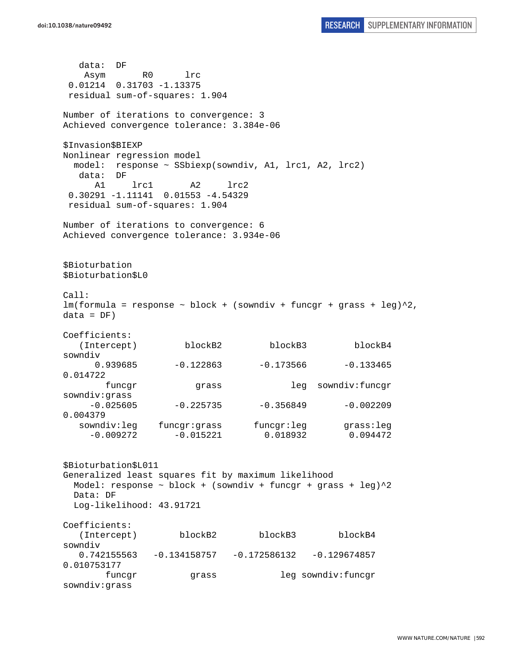data: DF Asym R0 lrc 0.01214 0.31703 -1.13375 residual sum-of-squares: 1.904 Number of iterations to convergence: 3 Achieved convergence tolerance: 3.384e-06 \$Invasion\$BIEXP Nonlinear regression model model: response ~ SSbiexp(sowndiv, A1, lrc1, A2, lrc2) data: DF A1 lrc1 A2 lrc2 0.30291 -1.11141 0.01553 -4.54329 residual sum-of-squares: 1.904 Number of iterations to convergence: 6 Achieved convergence tolerance: 3.934e-06 \$Bioturbation \$Bioturbation\$L0 Call:  $lm(formula = response ~ block + (sowndiv + funcgr + grass + leg)^2,$  $data = DF)$ Coefficients: (Intercept) blockB2 blockB3 blockB4 sowndiv  $0.939685$  -0.122863 -0.173566 -0.133465 0.014722 funcgr grass leg sowndiv:funcgr sowndiv:grass  $-0.025605$   $-0.225735$   $-0.356849$   $-0.002209$ 0.004379 sowndiv:leg funcgr:grass funcgr:leg grass:leg  $-0.009272$   $-0.015221$   $0.018932$   $0.094472$ \$Bioturbation\$L011 Generalized least squares fit by maximum likelihood Model: response  $\sim$  block + (sowndiv + funcgr + grass + leg) $\textdegree{}2$  Data: DF Log-likelihood: 43.91721 Coefficients: (Intercept) blockB2 blockB3 blockB4 sowndiv 0.742155563 -0.134158757 -0.172586132 -0.129674857 0.010753177 funcgr grass leg sowndiv:funcgr sowndiv:grass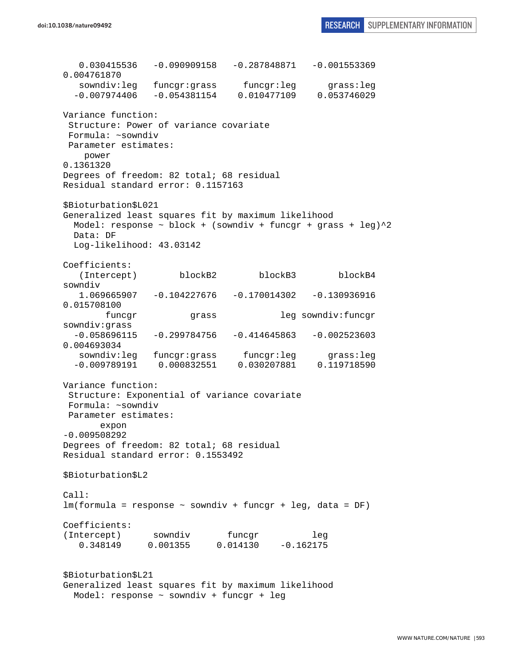0.030415536 -0.090909158 -0.287848871 -0.001553369 0.004761870 sowndiv:leg funcgr:grass funcgr:leg grass:leg -0.007974406 -0.054381154 0.010477109 0.053746029 Variance function: Structure: Power of variance covariate Formula: ~sowndiv Parameter estimates: power 0.1361320 Degrees of freedom: 82 total; 68 residual Residual standard error: 0.1157163 \$Bioturbation\$L021 Generalized least squares fit by maximum likelihood Model: response  $\sim$  block + (sowndiv + funcgr + grass + leg) $^2$ 2 Data: DF Log-likelihood: 43.03142 Coefficients: (Intercept) blockB2 blockB3 blockB4 sowndiv 1.069665907 -0.104227676 -0.170014302 -0.130936916 0.015708100 funcgr grass leg sowndiv:funcgr sowndiv:grass  $-0.058696115 -0.299784756 -0.414645863 -0.002523603$ 0.004693034 sowndiv:leg funcgr:grass funcgr:leg grass:leg -0.009789191 0.000832551 0.030207881 0.119718590 Variance function: Structure: Exponential of variance covariate Formula: ~sowndiv Parameter estimates: expon -0.009508292 Degrees of freedom: 82 total; 68 residual Residual standard error: 0.1553492 \$Bioturbation\$L2 Call: lm(formula = response ~ sowndiv + funcgr + leg, data = DF) Coefficients: (Intercept) sowndiv funcqr leg 0.348149 0.001355 0.014130 -0.162175 \$Bioturbation\$L21 Generalized least squares fit by maximum likelihood Model: response ~ sowndiv + funcgr + leg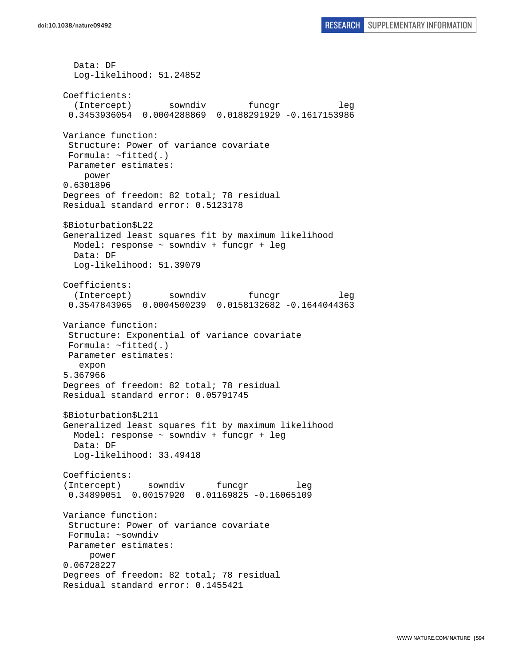Data: DF Log-likelihood: 51.24852 Coefficients: (Intercept) sowndiv funcgr leg 0.3453936054 0.0004288869 0.0188291929 -0.1617153986 Variance function: Structure: Power of variance covariate Formula: ~fitted(.) Parameter estimates: power 0.6301896 Degrees of freedom: 82 total; 78 residual Residual standard error: 0.5123178 \$Bioturbation\$L22 Generalized least squares fit by maximum likelihood Model: response ~ sowndiv + funcgr + leg Data: DF Log-likelihood: 51.39079 Coefficients: (Intercept) sowndiv funcgr leg 0.3547843965 0.0004500239 0.0158132682 -0.1644044363 Variance function: Structure: Exponential of variance covariate Formula: ~fitted(.) Parameter estimates: expon 5.367966 Degrees of freedom: 82 total; 78 residual Residual standard error: 0.05791745 \$Bioturbation\$L211 Generalized least squares fit by maximum likelihood Model: response ~ sowndiv + funcgr + leg Data: DF Log-likelihood: 33.49418 Coefficients: (Intercept) sowndiv funcgr leg 0.34899051 0.00157920 0.01169825 -0.16065109 Variance function: Structure: Power of variance covariate Formula: ~sowndiv Parameter estimates: power 0.06728227 Degrees of freedom: 82 total; 78 residual Residual standard error: 0.1455421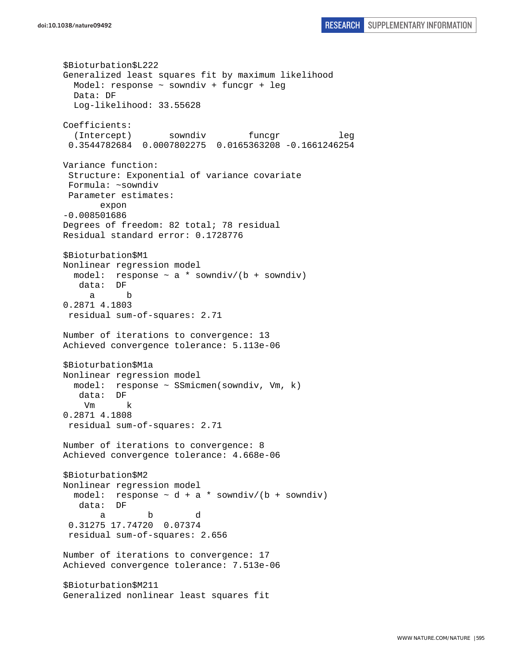```
$Bioturbation$L222 
Generalized least squares fit by maximum likelihood 
   Model: response ~ sowndiv + funcgr + leg 
   Data: DF 
   Log-likelihood: 33.55628 
Coefficients: 
   (Intercept) sowndiv funcgr leg 
  0.3544782684 0.0007802275 0.0165363208 -0.1661246254 
Variance function: 
  Structure: Exponential of variance covariate 
 Formula: ~sowndiv 
 Parameter estimates: 
        expon 
-0.008501686 
Degrees of freedom: 82 total; 78 residual 
Residual standard error: 0.1728776 
$Bioturbation$M1 
Nonlinear regression model 
 model: response \sim a * sowndiv/(b + sowndiv)
    data: DF 
      a b 
0.2871 4.1803 
  residual sum-of-squares: 2.71 
Number of iterations to convergence: 13 
Achieved convergence tolerance: 5.113e-06 
$Bioturbation$M1a 
Nonlinear regression model 
  model: response ~ SSmicmen(sowndiv, Vm, k) 
    data: DF 
     Vm k 
0.2871 4.1808 
  residual sum-of-squares: 2.71 
Number of iterations to convergence: 8 
Achieved convergence tolerance: 4.668e-06 
$Bioturbation$M2 
Nonlinear regression model 
 model: response \sim d + a * sowndiv/(b + sowndiv)
    data: DF 
 a b d 
  0.31275 17.74720 0.07374 
  residual sum-of-squares: 2.656 
Number of iterations to convergence: 17 
Achieved convergence tolerance: 7.513e-06 
$Bioturbation$M211 
Generalized nonlinear least squares fit
```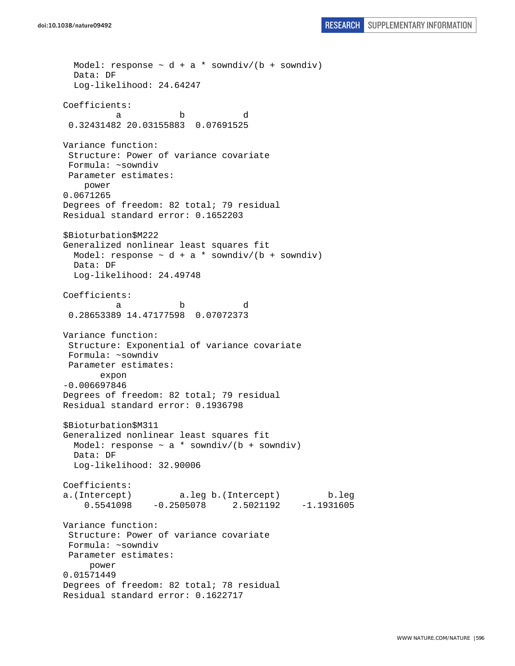```
doi:10.1038/nature09492 RESEARCH SUPPLEMENTARY INFORMATION
```

```
Model: response \sim d + a * sowndiv/(b + sowndiv)
   Data: DF 
   Log-likelihood: 24.64247 
Coefficients: 
 a b d 
  0.32431482 20.03155883 0.07691525 
Variance function: 
  Structure: Power of variance covariate 
  Formula: ~sowndiv 
 Parameter estimates: 
     power 
0.0671265 
Degrees of freedom: 82 total; 79 residual 
Residual standard error: 0.1652203 
$Bioturbation$M222 
Generalized nonlinear least squares fit 
 Model: response \sim d + a * sowndiv/(b + sowndiv)
  Data: DF 
  Log-likelihood: 24.49748 
Coefficients: 
 a b d 
  0.28653389 14.47177598 0.07072373 
Variance function: 
  Structure: Exponential of variance covariate 
 Formula: ~sowndiv 
 Parameter estimates: 
        expon 
-0.006697846 
Degrees of freedom: 82 total; 79 residual 
Residual standard error: 0.1936798 
$Bioturbation$M311 
Generalized nonlinear least squares fit 
 Model: response \sim a * sowndiv/(b + sowndiv)
   Data: DF 
   Log-likelihood: 32.90006 
Coefficients: 
a.(Intercept) a.leg b.(Intercept) b.leg 
     0.5541098 -0.2505078 2.5021192 -1.1931605 
Variance function: 
  Structure: Power of variance covariate 
 Formula: ~sowndiv 
 Parameter estimates: 
     power 
0.01571449 
Degrees of freedom: 82 total; 78 residual 
Residual standard error: 0.1622717
```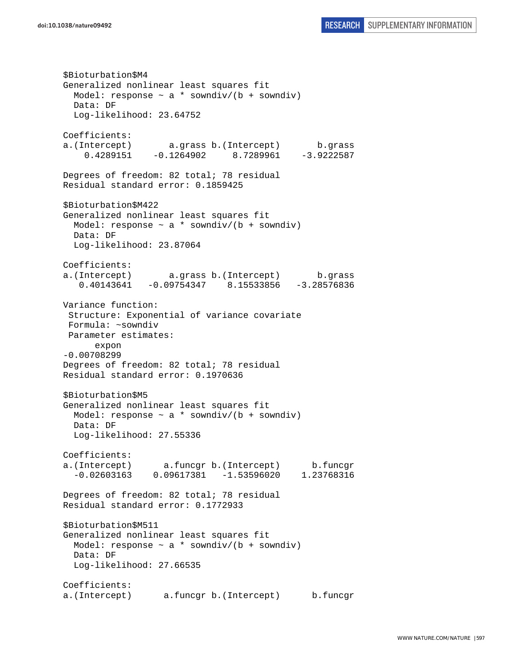\$Bioturbation\$M4 Generalized nonlinear least squares fit Model: response  $\sim$  a  $*$  sowndiv/(b + sowndiv) Data: DF Log-likelihood: 23.64752 Coefficients: a.(Intercept) a.grass b.(Intercept) b.grass 0.4289151 -0.1264902 8.7289961 -3.9222587 Degrees of freedom: 82 total; 78 residual Residual standard error: 0.1859425 \$Bioturbation\$M422 Generalized nonlinear least squares fit Model: response  $\sim$  a \* sowndiv/(b + sowndiv) Data: DF Log-likelihood: 23.87064 Coefficients: a.(Intercept) a.grass b.(Intercept) b.grass 0.40143641 -0.09754347 8.15533856 -3.28576836 Variance function: Structure: Exponential of variance covariate Formula: ~sowndiv Parameter estimates: expon -0.00708299 Degrees of freedom: 82 total; 78 residual Residual standard error: 0.1970636 \$Bioturbation\$M5 Generalized nonlinear least squares fit Model: response  $\sim$  a  $*$  sowndiv/(b + sowndiv) Data: DF Log-likelihood: 27.55336 Coefficients: a.(Intercept) a.funcgr b.(Intercept) b.funcgr -0.02603163 0.09617381 -1.53596020 1.23768316 Degrees of freedom: 82 total; 78 residual Residual standard error: 0.1772933 \$Bioturbation\$M511 Generalized nonlinear least squares fit Model: response  $\sim$  a \* sowndiv/(b + sowndiv) Data: DF Log-likelihood: 27.66535 Coefficients: a.(Intercept) a.funcgr b.(Intercept) b.funcgr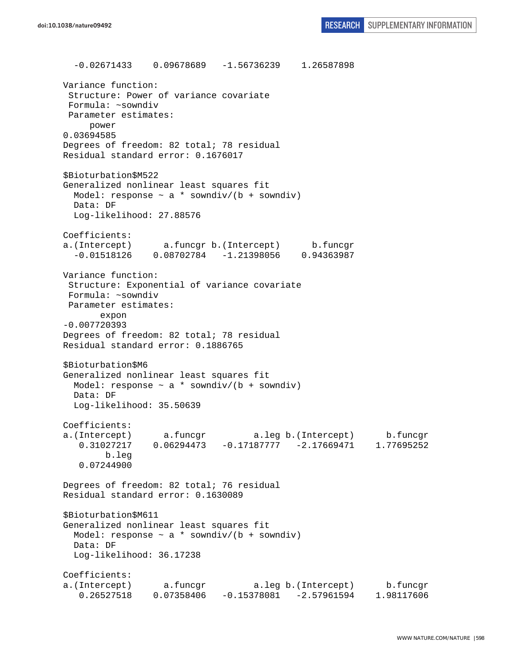-0.02671433 0.09678689 -1.56736239 1.26587898 Variance function: Structure: Power of variance covariate Formula: ~sowndiv Parameter estimates: power 0.03694585 Degrees of freedom: 82 total; 78 residual Residual standard error: 0.1676017 \$Bioturbation\$M522 Generalized nonlinear least squares fit Model: response  $\sim$  a \* sowndiv/(b + sowndiv) Data: DF Log-likelihood: 27.88576 Coefficients: a.(Intercept) a.funcgr b.(Intercept) b.funcgr -0.01518126 0.08702784 -1.21398056 0.94363987 Variance function: Structure: Exponential of variance covariate Formula: ~sowndiv Parameter estimates: expon -0.007720393 Degrees of freedom: 82 total; 78 residual Residual standard error: 0.1886765 \$Bioturbation\$M6 Generalized nonlinear least squares fit Model: response  $\sim$  a \* sowndiv/(b + sowndiv) Data: DF Log-likelihood: 35.50639 Coefficients: a.(Intercept) a.funcgr a.leg b.(Intercept) b.funcgr 0.31027217 0.06294473 -0.17187777 -2.17669471 1.77695252 b.leg 0.07244900 Degrees of freedom: 82 total; 76 residual Residual standard error: 0.1630089 \$Bioturbation\$M611 Generalized nonlinear least squares fit Model: response  $\sim$  a \* sowndiv/(b + sowndiv) Data: DF Log-likelihood: 36.17238 Coefficients: a.(Intercept) a.funcgr a.leg b.(Intercept) b.funcgr 0.26527518 0.07358406 -0.15378081 -2.57961594 1.98117606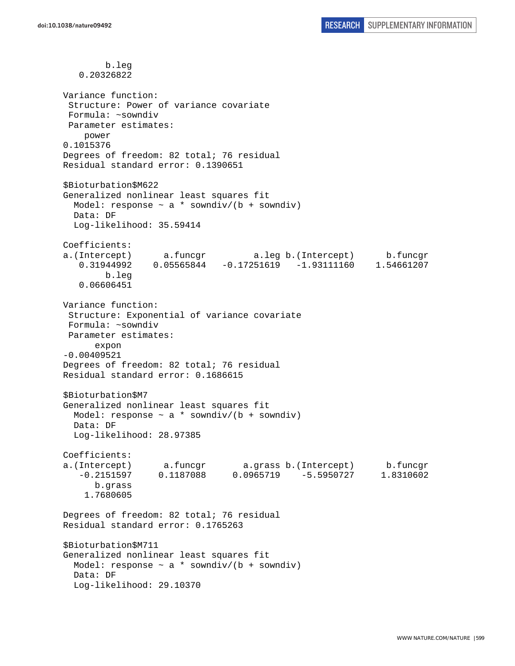b.leg 0.20326822 Variance function: Structure: Power of variance covariate Formula: ~sowndiv Parameter estimates: power 0.1015376 Degrees of freedom: 82 total; 76 residual Residual standard error: 0.1390651 \$Bioturbation\$M622 Generalized nonlinear least squares fit Model: response  $\sim$  a \* sowndiv/(b + sowndiv) Data: DF Log-likelihood: 35.59414 Coefficients: a.(Intercept) a.funcgr a.leg b.(Intercept) b.funcgr 0.31944992 0.05565844 -0.17251619 -1.93111160 1.54661207 b.leg 0.06606451 Variance function: Structure: Exponential of variance covariate Formula: ~sowndiv Parameter estimates: expon -0.00409521 Degrees of freedom: 82 total; 76 residual Residual standard error: 0.1686615 \$Bioturbation\$M7 Generalized nonlinear least squares fit Model: response  $\sim$  a  $*$  sowndiv/(b + sowndiv) Data: DF Log-likelihood: 28.97385 Coefficients: a.(Intercept) a.funcgr a.grass b.(Intercept) b.funcgr -0.2151597 0.1187088 0.0965719 -5.5950727 1.8310602 b.grass 1.7680605 Degrees of freedom: 82 total; 76 residual Residual standard error: 0.1765263 \$Bioturbation\$M711 Generalized nonlinear least squares fit Model: response  $\sim a *$  sowndiv/(b + sowndiv) Data: DF Log-likelihood: 29.10370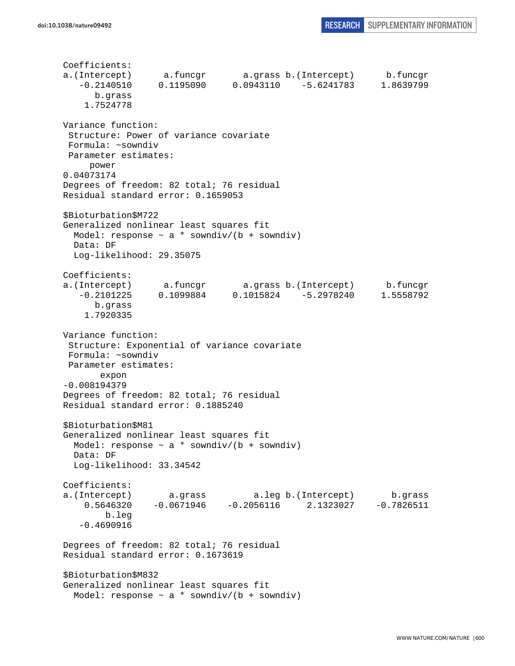Coefficients: a.(Intercept) a.funcgr a.grass b.(Intercept) b.funcgr -0.2140510 0.1195090 0.0943110 -5.6241783 1.8639799 b.grass 1.7524778 Variance function: Structure: Power of variance covariate Formula: ~sowndiv Parameter estimates: power 0.04073174 Degrees of freedom: 82 total; 76 residual Residual standard error: 0.1659053 \$Bioturbation\$M722 Generalized nonlinear least squares fit Model: response  $\sim$  a  $*$  sowndiv/(b + sowndiv) Data: DF Log-likelihood: 29.35075 Coefficients: a.(Intercept) a.funcgr a.grass b.(Intercept) b.funcgr -0.2101225 0.1099884 0.1015824 -5.2978240 1.5558792 b.grass 1.7920335 Variance function: Structure: Exponential of variance covariate Formula: ~sowndiv Parameter estimates: expon -0.008194379 Degrees of freedom: 82 total; 76 residual Residual standard error: 0.1885240 \$Bioturbation\$M81 Generalized nonlinear least squares fit Model: response  $\sim$  a  $*$  sowndiv/(b + sowndiv) Data: DF Log-likelihood: 33.34542 Coefficients: a.(Intercept) a.grass a.leg b.(Intercept) b.grass 0.5646320 -0.0671946 -0.2056116 2.1323027 -0.7826511 b.leg -0.4690916 Degrees of freedom: 82 total; 76 residual Residual standard error: 0.1673619 \$Bioturbation\$M832 Generalized nonlinear least squares fit Model: response  $\sim$  a \* sowndiv/(b + sowndiv)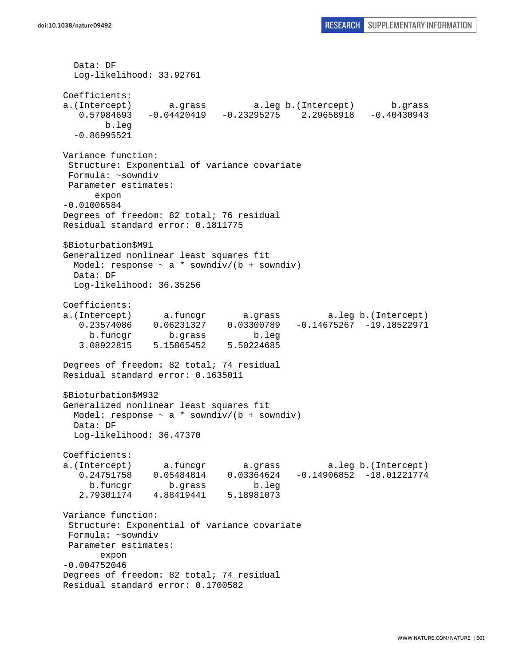```
 Data: DF 
  Log-likelihood: 33.92761 
Coefficients: 
a.(Intercept) a.grass a.leg b.(Intercept) b.grass 
   0.57984693 -0.04420419 -0.23295275 2.29658918 -0.40430943 
        b.leg 
   -0.86995521 
Variance function: 
  Structure: Exponential of variance covariate 
 Formula: ~sowndiv 
 Parameter estimates: 
      expon 
-0.01006584 
Degrees of freedom: 82 total; 76 residual 
Residual standard error: 0.1811775 
$Bioturbation$M91 
Generalized nonlinear least squares fit 
 Model: response \sim a * sowndiv/(b + sowndiv)
  Data: DF 
  Log-likelihood: 36.35256 
Coefficients: 
a.(Intercept) a.funcgr a.grass a.leg b.(Intercept) 
    0.23574086 0.06231327 0.03300789 -0.14675267 -19.18522971 
     b.funcgr b.grass b.leg 
    3.08922815 5.15865452 5.50224685 
Degrees of freedom: 82 total; 74 residual 
Residual standard error: 0.1635011 
$Bioturbation$M932 
Generalized nonlinear least squares fit 
 Model: response \sim a * sowndiv/(b + sowndiv)
  Data: DF 
  Log-likelihood: 36.47370 
Coefficients: 
a.(Intercept) a.funcgr a.grass a.leg b.(Intercept) 
    0.24751758 0.05484814 0.03364624 -0.14906852 -18.01221774 
     b.funcgr b.grass b.leg 
    2.79301174 4.88419441 5.18981073 
Variance function: 
  Structure: Exponential of variance covariate 
 Formula: ~sowndiv 
 Parameter estimates: 
       expon 
-0.004752046 
Degrees of freedom: 82 total; 74 residual 
Residual standard error: 0.1700582
```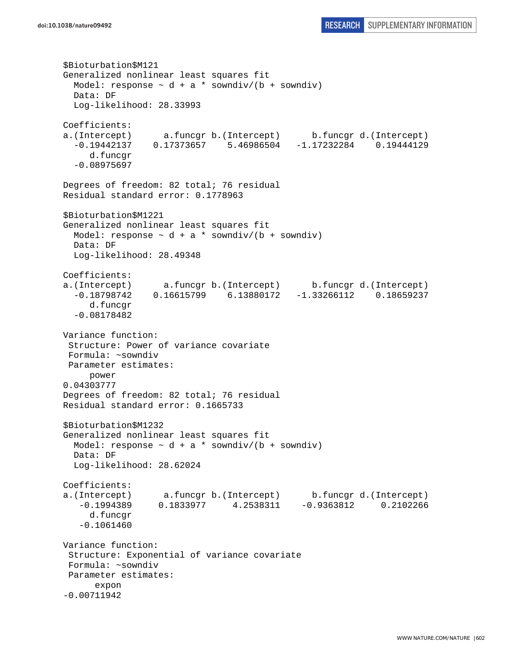```
$Bioturbation$M121 
Generalized nonlinear least squares fit 
  Model: response \sim d + a * sowndiv/(b + sowndiv)
  Data: DF 
   Log-likelihood: 28.33993 
Coefficients: 
a.(Intercept) a.funcgr b.(Intercept) b.funcgr d.(Intercept) 
   -0.19442137 0.17373657 5.46986504 -1.17232284 0.19444129 
      d.funcgr 
   -0.08975697 
Degrees of freedom: 82 total; 76 residual 
Residual standard error: 0.1778963 
$Bioturbation$M1221 
Generalized nonlinear least squares fit 
 Model: response \sim d + a * sowndiv/(b + sowndiv)
   Data: DF 
   Log-likelihood: 28.49348 
Coefficients: 
a.(Intercept) a.funcgr b.(Intercept) b.funcgr d.(Intercept) 
   -0.18798742 0.16615799 6.13880172 -1.33266112 0.18659237 
      d.funcgr 
   -0.08178482 
Variance function: 
  Structure: Power of variance covariate 
 Formula: ~sowndiv 
 Parameter estimates: 
      power 
0.04303777 
Degrees of freedom: 82 total; 76 residual 
Residual standard error: 0.1665733 
$Bioturbation$M1232 
Generalized nonlinear least squares fit 
 Model: response \sim d + a * sowndiv/(b + sowndiv)
   Data: DF 
   Log-likelihood: 28.62024 
Coefficients: 
a.(Intercept) a.funcgr b.(Intercept) b.funcgr d.(Intercept) 
    -0.1994389 0.1833977 4.2538311 -0.9363812 0.2102266 
      d.funcgr 
    -0.1061460 
Variance function: 
  Structure: Exponential of variance covariate 
 Formula: ~sowndiv 
 Parameter estimates: 
       expon 
-0.00711942
```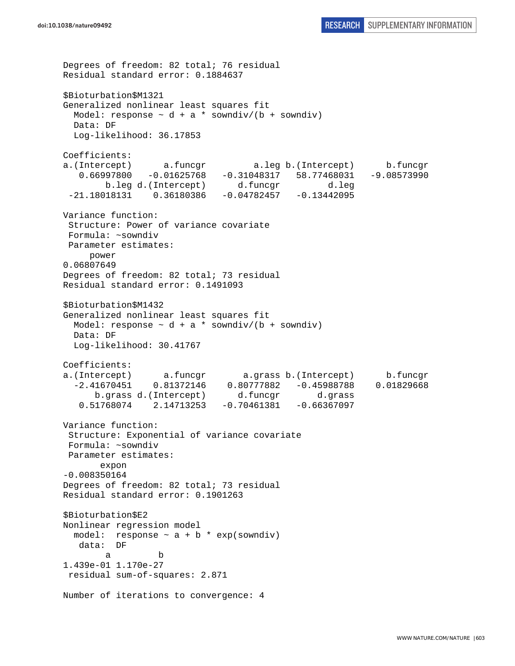```
Degrees of freedom: 82 total; 76 residual 
Residual standard error: 0.1884637 
$Bioturbation$M1321 
Generalized nonlinear least squares fit 
  Model: response \sim d + a * sowndiv/(b + sowndiv)
   Data: DF 
  Log-likelihood: 36.17853 
Coefficients: 
a.(Intercept) a.funcgr a.leg b.(Intercept) b.funcgr 
    0.66997800 -0.01625768 -0.31048317 58.77468031 -9.08573990 
        b.leg d.(Intercept) d.funcgr d.leg 
  -21.18018131 0.36180386 -0.04782457 -0.13442095 
Variance function: 
  Structure: Power of variance covariate 
  Formula: ~sowndiv 
 Parameter estimates: 
     power 
0.06807649 
Degrees of freedom: 82 total; 73 residual 
Residual standard error: 0.1491093 
$Bioturbation$M1432 
Generalized nonlinear least squares fit 
 Model: response \sim d + a * sowndiv/(b + sowndiv)
   Data: DF 
   Log-likelihood: 30.41767 
Coefficients: 
a.(Intercept) a.funcgr a.grass b.(Intercept) b.funcgr 
   -2.41670451 0.81372146 0.80777882 -0.45988788 0.01829668 
       b.grass d.(Intercept) d.funcgr d.grass 
    0.51768074 2.14713253 -0.70461381 -0.66367097 
Variance function: 
  Structure: Exponential of variance covariate 
  Formula: ~sowndiv 
 Parameter estimates: 
        expon 
-0.008350164 
Degrees of freedom: 82 total; 73 residual 
Residual standard error: 0.1901263 
$Bioturbation$E2 
Nonlinear regression model 
  model: response \sim a + b * exp(sowndiv)
   data: DF 
 a b 
1.439e-01 1.170e-27 
 residual sum-of-squares: 2.871 
Number of iterations to convergence: 4
```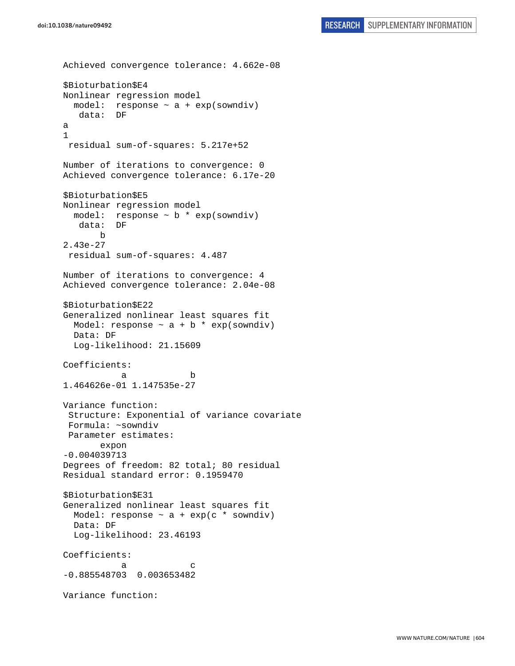```
Achieved convergence tolerance: 4.662e-08 
$Bioturbation$E4 
Nonlinear regression model 
 model: response \sim a + exp(sowndiv)
   data: DF 
a 
1 
 residual sum-of-squares: 5.217e+52 
Number of iterations to convergence: 0 
Achieved convergence tolerance: 6.17e-20 
$Bioturbation$E5 
Nonlinear regression model 
 model: response \sim b * exp(sowndiv)
    data: DF 
       b 
2.43e-27 
 residual sum-of-squares: 4.487 
Number of iterations to convergence: 4 
Achieved convergence tolerance: 2.04e-08 
$Bioturbation$E22 
Generalized nonlinear least squares fit 
 Model: response \sim a + b * exp(sowndiv)
  Data: DF 
   Log-likelihood: 21.15609 
Coefficients: 
 a b 
1.464626e-01 1.147535e-27 
Variance function: 
 Structure: Exponential of variance covariate 
 Formula: ~sowndiv 
 Parameter estimates: 
        expon 
-0.004039713 
Degrees of freedom: 82 total; 80 residual 
Residual standard error: 0.1959470 
$Bioturbation$E31 
Generalized nonlinear least squares fit 
 Model: response \sim a + exp(c * sowndiv)
  Data: DF 
  Log-likelihood: 23.46193 
Coefficients: 
a c
-0.885548703 0.003653482 
Variance function:
```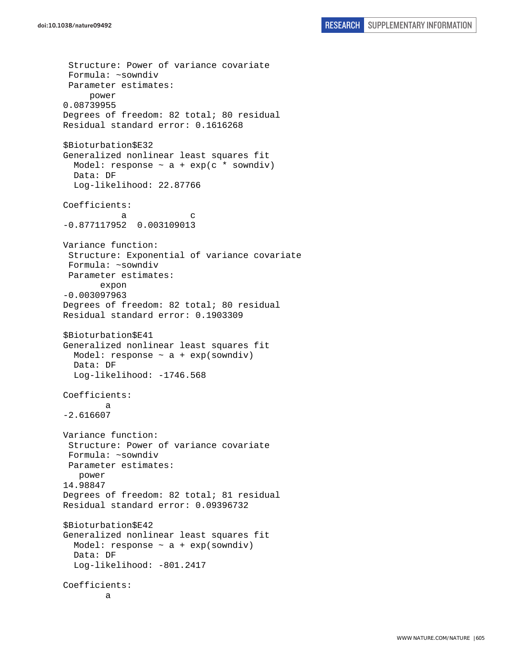```
 Structure: Power of variance covariate 
  Formula: ~sowndiv 
  Parameter estimates: 
      power 
0.08739955 
Degrees of freedom: 82 total; 80 residual 
Residual standard error: 0.1616268 
$Bioturbation$E32 
Generalized nonlinear least squares fit 
  Model: response \sim a + exp(c * sowndiv)
   Data: DF 
   Log-likelihood: 22.87766 
Coefficients: 
a c
-0.877117952 0.003109013 
Variance function: 
  Structure: Exponential of variance covariate 
  Formula: ~sowndiv 
  Parameter estimates: 
        expon 
-0.003097963 
Degrees of freedom: 82 total; 80 residual 
Residual standard error: 0.1903309 
$Bioturbation$E41 
Generalized nonlinear least squares fit 
  Model: response \sim a + exp(sowndiv)
   Data: DF 
  Log-likelihood: -1746.568
Coefficients: 
 a 
-2.616607 
Variance function: 
  Structure: Power of variance covariate 
  Formula: ~sowndiv 
  Parameter estimates: 
    power 
14.98847 
Degrees of freedom: 82 total; 81 residual 
Residual standard error: 0.09396732 
$Bioturbation$E42 
Generalized nonlinear least squares fit 
  Model: response \sim a + exp(sowndiv)
   Data: DF 
   Log-likelihood: -801.2417 
Coefficients: 
 a
```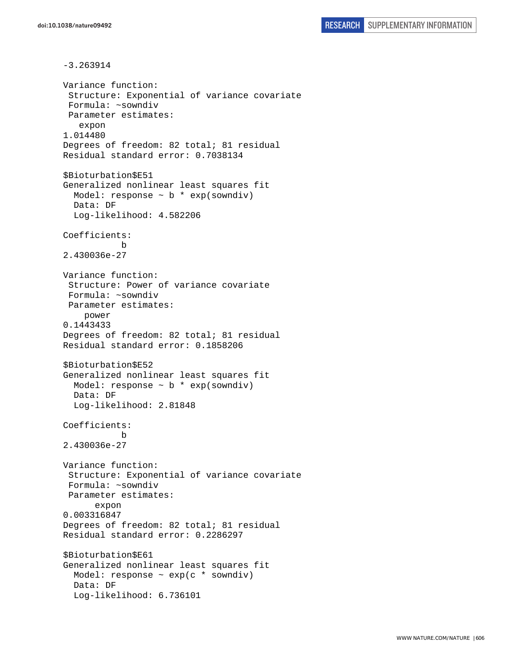-3.263914 Variance function: Structure: Exponential of variance covariate Formula: ~sowndiv Parameter estimates: expon 1.014480 Degrees of freedom: 82 total; 81 residual Residual standard error: 0.7038134 \$Bioturbation\$E51 Generalized nonlinear least squares fit Model: response  $\sim$  b  $*$  exp(sowndiv) Data: DF Log-likelihood: 4.582206 Coefficients: b 2.430036e-27 Variance function: Structure: Power of variance covariate Formula: ~sowndiv Parameter estimates: power 0.1443433 Degrees of freedom: 82 total; 81 residual Residual standard error: 0.1858206 \$Bioturbation\$E52 Generalized nonlinear least squares fit Model: response  $\sim$  b  $*$  exp(sowndiv) Data: DF Log-likelihood: 2.81848 Coefficients: b 2.430036e-27 Variance function: Structure: Exponential of variance covariate Formula: ~sowndiv Parameter estimates: expon 0.003316847 Degrees of freedom: 82 total; 81 residual Residual standard error: 0.2286297 \$Bioturbation\$E61 Generalized nonlinear least squares fit Model: response  $\sim$  exp(c  $*$  sowndiv) Data: DF Log-likelihood: 6.736101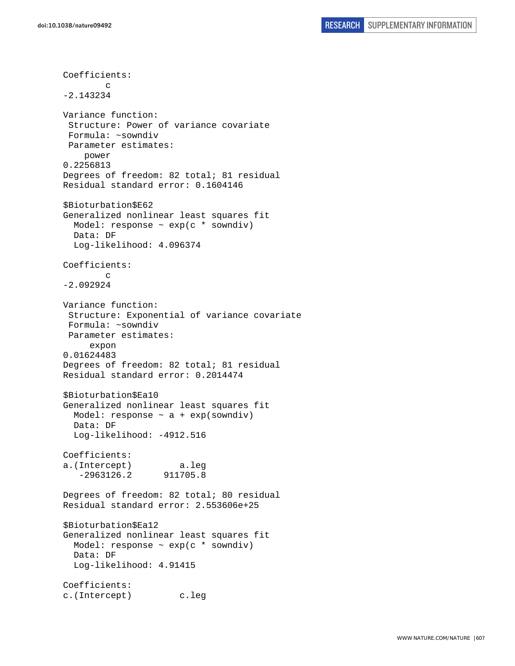Coefficients: c -2.143234 Variance function: Structure: Power of variance covariate Formula: ~sowndiv Parameter estimates: power 0.2256813 Degrees of freedom: 82 total; 81 residual Residual standard error: 0.1604146 \$Bioturbation\$E62 Generalized nonlinear least squares fit Model: response  $\sim$  exp(c  $*$  sowndiv) Data: DF Log-likelihood: 4.096374 Coefficients: c -2.092924 Variance function: Structure: Exponential of variance covariate Formula: ~sowndiv Parameter estimates: expon 0.01624483 Degrees of freedom: 82 total; 81 residual Residual standard error: 0.2014474 \$Bioturbation\$Ea10 Generalized nonlinear least squares fit Model: response  $\sim$  a + exp(sowndiv) Data: DF Log-likelihood: -4912.516 Coefficients: a.(Intercept) a.leg -2963126.2 911705.8 Degrees of freedom: 82 total; 80 residual Residual standard error: 2.553606e+25 \$Bioturbation\$Ea12 Generalized nonlinear least squares fit Model: response ~ exp(c \* sowndiv) Data: DF Log-likelihood: 4.91415 Coefficients: c.(Intercept) c.leg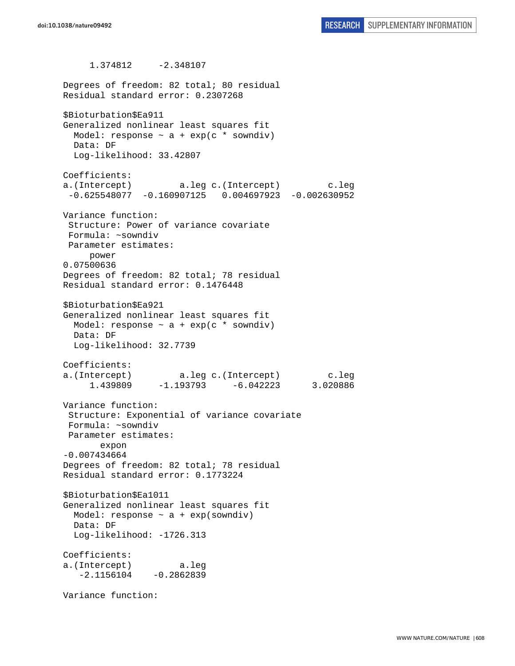1.374812 -2.348107 Degrees of freedom: 82 total; 80 residual Residual standard error: 0.2307268 \$Bioturbation\$Ea911 Generalized nonlinear least squares fit Model: response  $\sim$  a + exp(c \* sowndiv) Data: DF Log-likelihood: 33.42807 Coefficients: a.(Intercept) a.leg c.(Intercept) c.leg -0.625548077 -0.160907125 0.004697923 -0.002630952 Variance function: Structure: Power of variance covariate Formula: ~sowndiv Parameter estimates: power 0.07500636 Degrees of freedom: 82 total; 78 residual Residual standard error: 0.1476448 \$Bioturbation\$Ea921 Generalized nonlinear least squares fit Model: response  $\sim$  a + exp(c \* sowndiv) Data: DF Log-likelihood: 32.7739 Coefficients: a.(Intercept) a.leg c.(Intercept) c.leg 1.439809 -1.193793 -6.042223 3.020886 Variance function: Structure: Exponential of variance covariate Formula: ~sowndiv Parameter estimates: expon -0.007434664 Degrees of freedom: 82 total; 78 residual Residual standard error: 0.1773224 \$Bioturbation\$Ea1011 Generalized nonlinear least squares fit Model: response ~ a + exp(sowndiv) Data: DF Log-likelihood: -1726.313 Coefficients: a.(Intercept) a.leg  $-2.1156104 -0.2862839$ Variance function: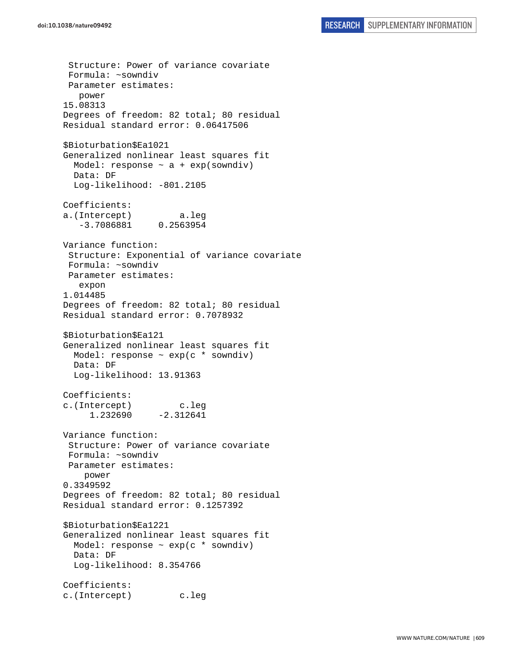Structure: Power of variance covariate Formula: ~sowndiv Parameter estimates: power 15.08313 Degrees of freedom: 82 total; 80 residual Residual standard error: 0.06417506 \$Bioturbation\$Ea1021 Generalized nonlinear least squares fit Model: response  $\sim$  a + exp(sowndiv) Data: DF Log-likelihood: -801.2105 Coefficients: a.(Intercept) a.leg -3.7086881 0.2563954 Variance function: Structure: Exponential of variance covariate Formula: ~sowndiv Parameter estimates: expon 1.014485 Degrees of freedom: 82 total; 80 residual Residual standard error: 0.7078932 \$Bioturbation\$Ea121 Generalized nonlinear least squares fit Model: response  $\sim$  exp(c  $*$  sowndiv) Data: DF Log-likelihood: 13.91363 Coefficients: c.(Intercept) c.leg 1.232690 -2.312641 Variance function: Structure: Power of variance covariate Formula: ~sowndiv Parameter estimates: power 0.3349592 Degrees of freedom: 82 total; 80 residual Residual standard error: 0.1257392 \$Bioturbation\$Ea1221 Generalized nonlinear least squares fit Model: response ~ exp(c \* sowndiv) Data: DF Log-likelihood: 8.354766 Coefficients: c.(Intercept) c.leg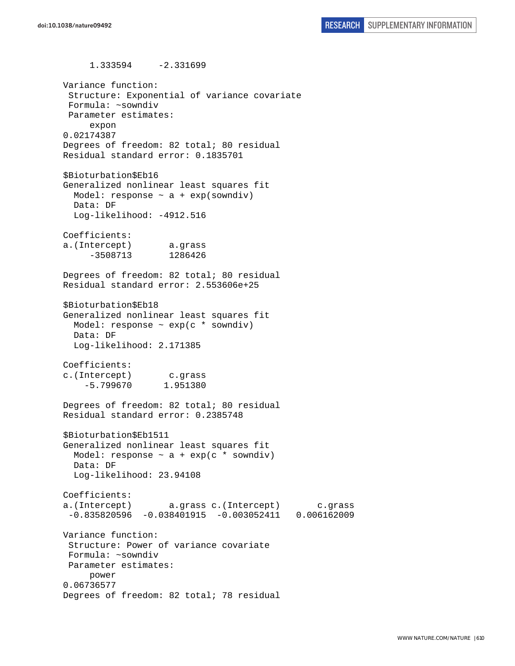1.333594 -2.331699 Variance function: Structure: Exponential of variance covariate Formula: ~sowndiv Parameter estimates: expon 0.02174387 Degrees of freedom: 82 total; 80 residual Residual standard error: 0.1835701 \$Bioturbation\$Eb16 Generalized nonlinear least squares fit Model: response  $\sim$  a + exp(sowndiv) Data: DF Log-likelihood: -4912.516 Coefficients: a.(Intercept) a.grass -3508713 1286426 Degrees of freedom: 82 total; 80 residual Residual standard error: 2.553606e+25 \$Bioturbation\$Eb18 Generalized nonlinear least squares fit Model: response  $\sim$  exp(c  $*$  sowndiv) Data: DF Log-likelihood: 2.171385 Coefficients: c.(Intercept) c.grass -5.799670 1.951380 Degrees of freedom: 82 total; 80 residual Residual standard error: 0.2385748 \$Bioturbation\$Eb1511 Generalized nonlinear least squares fit Model: response  $\sim$  a + exp(c \* sowndiv) Data: DF Log-likelihood: 23.94108 Coefficients: a.(Intercept) a.grass c.(Intercept) c.grass -0.835820596 -0.038401915 -0.003052411 0.006162009 Variance function: Structure: Power of variance covariate Formula: ~sowndiv Parameter estimates: power 0.06736577 Degrees of freedom: 82 total; 78 residual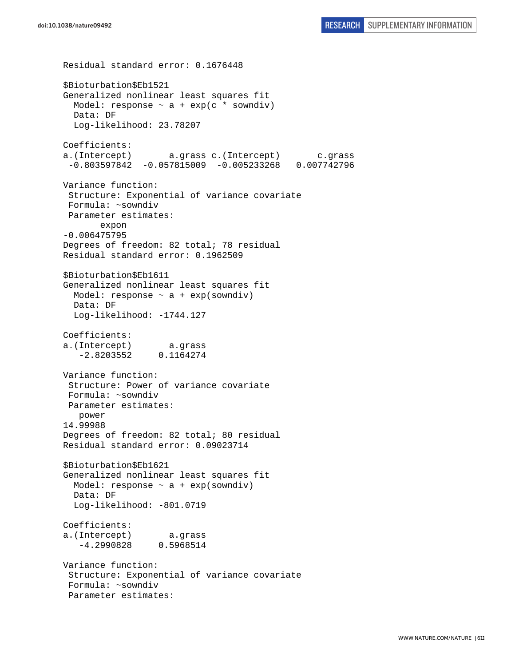```
Residual standard error: 0.1676448 
$Bioturbation$Eb1521 
Generalized nonlinear least squares fit 
  Model: response \sim a + exp(c * sowndiv)
   Data: DF 
   Log-likelihood: 23.78207 
Coefficients: 
a.(Intercept) a.grass c.(Intercept) c.grass 
  -0.803597842 -0.057815009 -0.005233268 0.007742796 
Variance function: 
  Structure: Exponential of variance covariate 
  Formula: ~sowndiv 
  Parameter estimates: 
        expon 
-0.006475795 
Degrees of freedom: 82 total; 78 residual 
Residual standard error: 0.1962509 
$Bioturbation$Eb1611 
Generalized nonlinear least squares fit 
  Model: response \sim a + exp(sowndiv)
   Data: DF 
   Log-likelihood: -1744.127 
Coefficients: 
a.(Intercept) a.grass 
    -2.8203552 0.1164274 
Variance function: 
  Structure: Power of variance covariate 
  Formula: ~sowndiv 
 Parameter estimates: 
    power 
14.99988 
Degrees of freedom: 82 total; 80 residual 
Residual standard error: 0.09023714 
$Bioturbation$Eb1621 
Generalized nonlinear least squares fit 
  Model: response \sim a + exp(sowndiv)
   Data: DF 
   Log-likelihood: -801.0719 
Coefficients: 
a.(Intercept) a.grass 
    -4.2990828 0.5968514 
Variance function: 
  Structure: Exponential of variance covariate 
  Formula: ~sowndiv 
  Parameter estimates:
```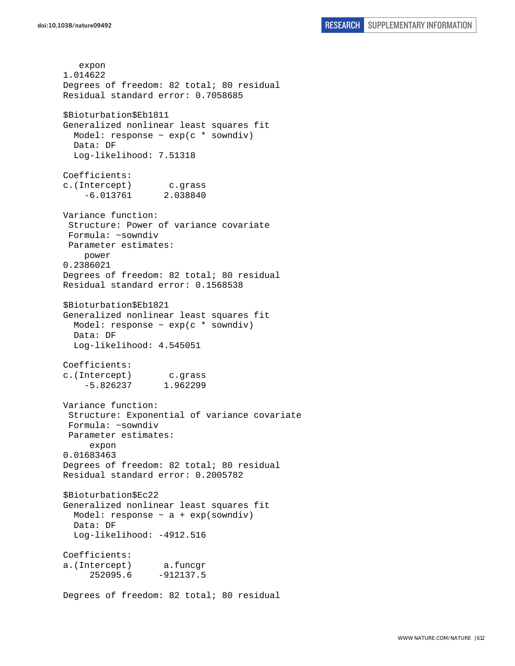expon 1.014622 Degrees of freedom: 82 total; 80 residual Residual standard error: 0.7058685 \$Bioturbation\$Eb1811 Generalized nonlinear least squares fit Model: response ~ exp(c \* sowndiv) Data: DF Log-likelihood: 7.51318 Coefficients: c.(Intercept) c.grass -6.013761 2.038840 Variance function: Structure: Power of variance covariate Formula: ~sowndiv Parameter estimates: power 0.2386021 Degrees of freedom: 82 total; 80 residual Residual standard error: 0.1568538 \$Bioturbation\$Eb1821 Generalized nonlinear least squares fit Model: response  $\sim$  exp(c  $*$  sowndiv) Data: DF Log-likelihood: 4.545051 Coefficients: c.(Intercept) c.grass -5.826237 1.962299 Variance function: Structure: Exponential of variance covariate Formula: ~sowndiv Parameter estimates: expon 0.01683463 Degrees of freedom: 82 total; 80 residual Residual standard error: 0.2005782 \$Bioturbation\$Ec22 Generalized nonlinear least squares fit Model: response ~ a + exp(sowndiv) Data: DF Log-likelihood: -4912.516 Coefficients: a.(Intercept) a.funcgr 252095.6 -912137.5 Degrees of freedom: 82 total; 80 residual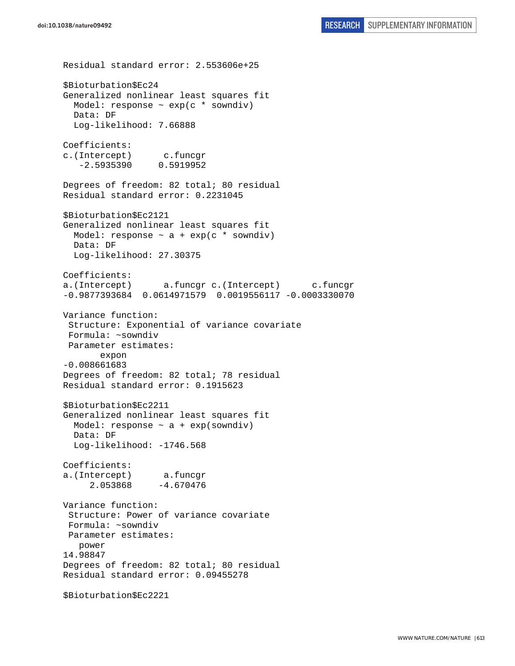```
Residual standard error: 2.553606e+25 
$Bioturbation$Ec24 
Generalized nonlinear least squares fit 
   Model: response ~ exp(c * sowndiv) 
   Data: DF 
   Log-likelihood: 7.66888 
Coefficients: 
c.(Intercept) c.funcgr 
    -2.5935390 0.5919952 
Degrees of freedom: 82 total; 80 residual 
Residual standard error: 0.2231045 
$Bioturbation$Ec2121 
Generalized nonlinear least squares fit 
 Model: response \sim a + exp(c * sowndiv)
  Data: DF 
   Log-likelihood: 27.30375 
Coefficients: 
a.(Intercept) a.funcgr c.(Intercept) c.funcgr 
-0.9877393684 0.0614971579 0.0019556117 -0.0003330070 
Variance function: 
 Structure: Exponential of variance covariate 
 Formula: ~sowndiv 
 Parameter estimates: 
        expon 
-0.008661683 
Degrees of freedom: 82 total; 78 residual 
Residual standard error: 0.1915623 
$Bioturbation$Ec2211 
Generalized nonlinear least squares fit 
  Model: response \sim a + exp(sowndiv)
  Data: DF 
  Log-likelihood: -1746.568
Coefficients: 
a.(Intercept) a.funcgr 
      2.053868 -4.670476 
Variance function: 
  Structure: Power of variance covariate 
 Formula: ~sowndiv 
 Parameter estimates: 
    power 
14.98847 
Degrees of freedom: 82 total; 80 residual 
Residual standard error: 0.09455278 
$Bioturbation$Ec2221
```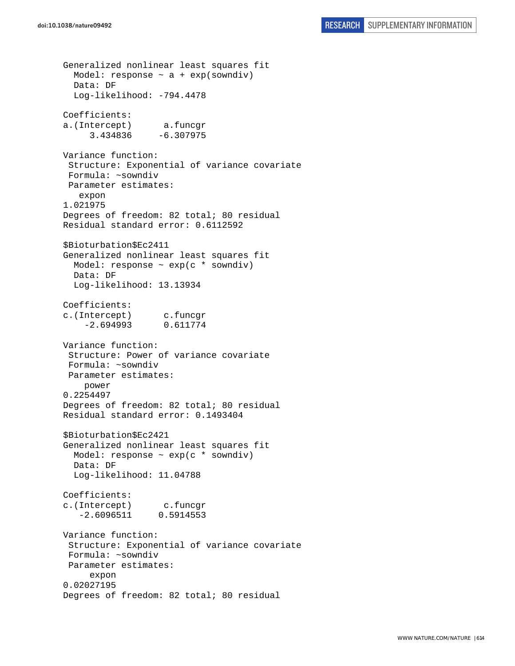Generalized nonlinear least squares fit Model: response  $\sim$  a + exp(sowndiv) Data: DF Log-likelihood: -794.4478 Coefficients: a.(Intercept) a.funcgr 3.434836 -6.307975 Variance function: Structure: Exponential of variance covariate Formula: ~sowndiv Parameter estimates: expon 1.021975 Degrees of freedom: 82 total; 80 residual Residual standard error: 0.6112592 \$Bioturbation\$Ec2411 Generalized nonlinear least squares fit Model: response ~ exp(c \* sowndiv) Data: DF Log-likelihood: 13.13934 Coefficients: c.(Intercept) c.funcgr -2.694993 0.611774 Variance function: Structure: Power of variance covariate Formula: ~sowndiv Parameter estimates: power 0.2254497 Degrees of freedom: 82 total; 80 residual Residual standard error: 0.1493404 \$Bioturbation\$Ec2421 Generalized nonlinear least squares fit Model: response  $\sim$  exp(c  $*$  sowndiv) Data: DF Log-likelihood: 11.04788 Coefficients: c.(Intercept) c.funcgr -2.6096511 0.5914553 Variance function: Structure: Exponential of variance covariate Formula: ~sowndiv Parameter estimates: expon 0.02027195 Degrees of freedom: 82 total; 80 residual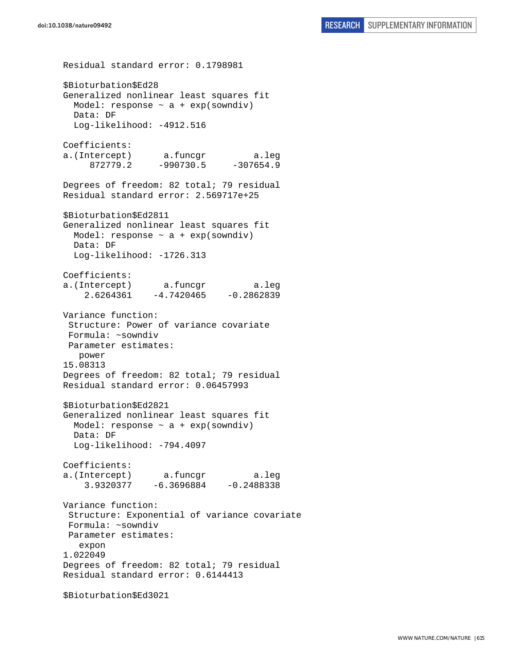Residual standard error: 0.1798981 \$Bioturbation\$Ed28 Generalized nonlinear least squares fit Model: response  $\sim$  a + exp(sowndiv) Data: DF Log-likelihood: -4912.516 Coefficients: a.(Intercept) a.funcgr a.leg 872779.2 -990730.5 -307654.9 Degrees of freedom: 82 total; 79 residual Residual standard error: 2.569717e+25 \$Bioturbation\$Ed2811 Generalized nonlinear least squares fit Model: response  $\sim$  a + exp(sowndiv) Data: DF Log-likelihood: -1726.313 Coefficients: a.(Intercept) a.funcgr a.leg  $2.6264361 -4.7420465 -0.2862839$ Variance function: Structure: Power of variance covariate Formula: ~sowndiv Parameter estimates: power 15.08313 Degrees of freedom: 82 total; 79 residual Residual standard error: 0.06457993 \$Bioturbation\$Ed2821 Generalized nonlinear least squares fit Model: response  $\sim$  a + exp(sowndiv) Data: DF Log-likelihood: -794.4097 Coefficients: a.(Intercept) a.funcgr a.leg 3.9320377 -6.3696884 -0.2488338 Variance function: Structure: Exponential of variance covariate Formula: ~sowndiv Parameter estimates: expon 1.022049 Degrees of freedom: 82 total; 79 residual Residual standard error: 0.6144413 \$Bioturbation\$Ed3021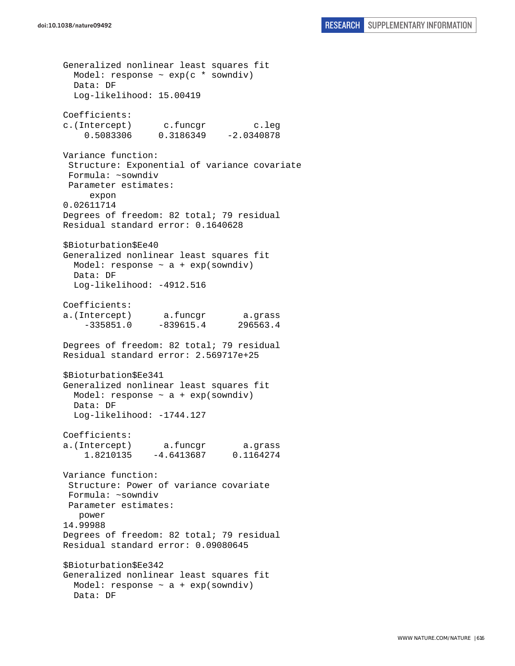```
doi:10.1038/nature09492 RESEARCH SUPPLEMENTARY INFORMATION
```
Generalized nonlinear least squares fit Model: response  $\sim$  exp(c  $*$  sowndiv) Data: DF Log-likelihood: 15.00419 Coefficients: c.(Intercept) c.funcgr c.leg 0.5083306 0.3186349 -2.0340878 Variance function: Structure: Exponential of variance covariate Formula: ~sowndiv Parameter estimates: expon 0.02611714 Degrees of freedom: 82 total; 79 residual Residual standard error: 0.1640628 \$Bioturbation\$Ee40 Generalized nonlinear least squares fit Model: response  $\sim$  a + exp(sowndiv) Data: DF Log-likelihood: -4912.516 Coefficients: a.(Intercept) a.funcgr a.grass -335851.0 -839615.4 296563.4 Degrees of freedom: 82 total; 79 residual Residual standard error: 2.569717e+25 \$Bioturbation\$Ee341 Generalized nonlinear least squares fit Model: response  $\sim$  a + exp(sowndiv) Data: DF Log-likelihood: -1744.127 Coefficients: a.(Intercept) a.funcgr a.grass 1.8210135 -4.6413687 0.1164274 Variance function: Structure: Power of variance covariate Formula: ~sowndiv Parameter estimates: power 14.99988 Degrees of freedom: 82 total; 79 residual Residual standard error: 0.09080645 \$Bioturbation\$Ee342 Generalized nonlinear least squares fit Model: response  $\sim$  a + exp(sowndiv) Data: DF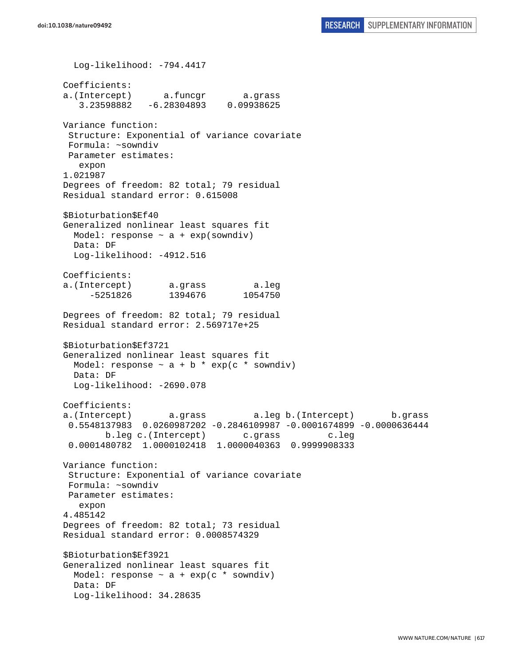Log-likelihood: -794.4417 Coefficients: a.(Intercept) a.funcgr a.grass 3.23598882 -6.28304893 0.09938625 Variance function: Structure: Exponential of variance covariate Formula: ~sowndiv Parameter estimates: expon 1.021987 Degrees of freedom: 82 total; 79 residual Residual standard error: 0.615008 \$Bioturbation\$Ef40 Generalized nonlinear least squares fit Model: response  $\sim$  a + exp(sowndiv) Data: DF Log-likelihood: -4912.516 Coefficients: a.(Intercept) a.grass a.leg -5251826 1394676 1054750 Degrees of freedom: 82 total; 79 residual Residual standard error: 2.569717e+25 \$Bioturbation\$Ef3721 Generalized nonlinear least squares fit Model: response  $\sim$  a + b \* exp(c \* sowndiv) Data: DF Log-likelihood: -2690.078 Coefficients: a.(Intercept) a.grass a.leg b.(Intercept) b.grass 0.5548137983 0.0260987202 -0.2846109987 -0.0001674899 -0.0000636444 b.leg c.(Intercept) c.grass c.leg 0.0001480782 1.0000102418 1.0000040363 0.9999908333 Variance function: Structure: Exponential of variance covariate Formula: ~sowndiv Parameter estimates: expon 4.485142 Degrees of freedom: 82 total; 73 residual Residual standard error: 0.0008574329 \$Bioturbation\$Ef3921 Generalized nonlinear least squares fit Model: response  $\sim$  a + exp(c  $*$  sowndiv) Data: DF Log-likelihood: 34.28635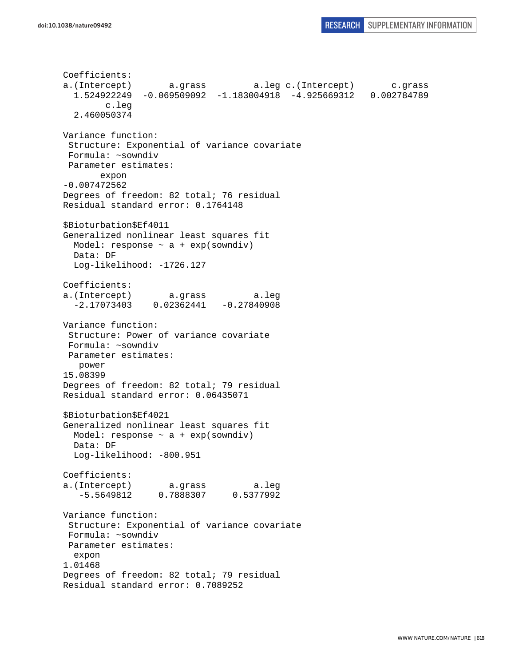```
Coefficients: 
a.(Intercept) a.grass a.leg c.(Intercept) c.grass 
   1.524922249 -0.069509092 -1.183004918 -4.925669312 0.002784789 
         c.leg 
   2.460050374 
Variance function: 
  Structure: Exponential of variance covariate 
  Formula: ~sowndiv 
 Parameter estimates: 
        expon 
-0.007472562 
Degrees of freedom: 82 total; 76 residual 
Residual standard error: 0.1764148 
$Bioturbation$Ef4011 
Generalized nonlinear least squares fit 
 Model: response \sim a + exp(sowndiv)
  Data: DF 
   Log-likelihood: -1726.127 
Coefficients: 
a.(Intercept) a.grass a.leg 
   -2.17073403 0.02362441 -0.27840908 
Variance function: 
 Structure: Power of variance covariate 
 Formula: ~sowndiv 
 Parameter estimates: 
   power 
15.08399 
Degrees of freedom: 82 total; 79 residual 
Residual standard error: 0.06435071 
$Bioturbation$Ef4021 
Generalized nonlinear least squares fit 
 Model: response \sim a + exp(sowndiv)
  Data: DF 
  Log-likelihood: -800.951 
Coefficients: 
a.(Intercept) a.grass a.leg 
    -5.5649812 0.7888307 0.5377992 
Variance function: 
  Structure: Exponential of variance covariate 
 Formula: ~sowndiv 
 Parameter estimates: 
   expon 
1.01468 
Degrees of freedom: 82 total; 79 residual 
Residual standard error: 0.7089252
```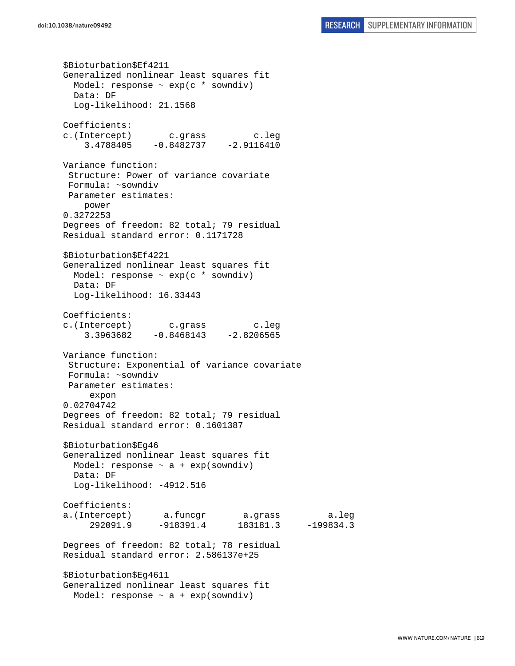\$Bioturbation\$Ef4211 Generalized nonlinear least squares fit Model: response  $\sim$  exp(c  $*$  sowndiv) Data: DF Log-likelihood: 21.1568 Coefficients: c.(Intercept) c.grass c.leg 3.4788405 -0.8482737 -2.9116410 Variance function: Structure: Power of variance covariate Formula: ~sowndiv Parameter estimates: power 0.3272253 Degrees of freedom: 82 total; 79 residual Residual standard error: 0.1171728 \$Bioturbation\$Ef4221 Generalized nonlinear least squares fit Model: response ~ exp(c \* sowndiv) Data: DF Log-likelihood: 16.33443 Coefficients: c.(Intercept) c.grass c.leg  $3.3963682 -0.8468143 -2.8206565$ Variance function: Structure: Exponential of variance covariate Formula: ~sowndiv Parameter estimates: expon 0.02704742 Degrees of freedom: 82 total; 79 residual Residual standard error: 0.1601387 \$Bioturbation\$Eg46 Generalized nonlinear least squares fit Model: response  $\sim$  a + exp(sowndiv) Data: DF Log-likelihood: -4912.516 Coefficients: a.(Intercept) a.funcgr a.grass a.leg 292091.9 -918391.4 183181.3 -199834.3 Degrees of freedom: 82 total; 78 residual Residual standard error: 2.586137e+25 \$Bioturbation\$Eg4611 Generalized nonlinear least squares fit Model: response  $\sim$  a + exp(sowndiv)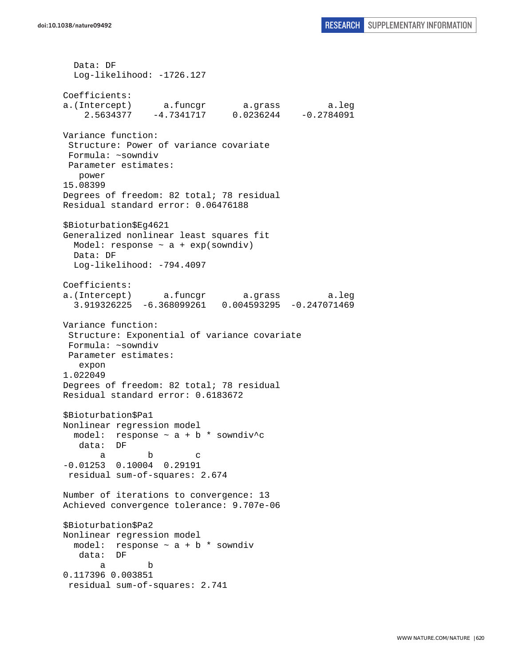Data: DF Log-likelihood: -1726.127 Coefficients: a.(Intercept) a.funcgr a.grass a.leg 2.5634377 -4.7341717 0.0236244 -0.2784091 Variance function: Structure: Power of variance covariate Formula: ~sowndiv Parameter estimates: power 15.08399 Degrees of freedom: 82 total; 78 residual Residual standard error: 0.06476188 \$Bioturbation\$Eg4621 Generalized nonlinear least squares fit Model: response  $\sim$  a + exp(sowndiv) Data: DF Log-likelihood: -794.4097 Coefficients: a.(Intercept) a.funcgr a.grass a.leg 3.919326225 -6.368099261 0.004593295 -0.247071469 Variance function: Structure: Exponential of variance covariate Formula: ~sowndiv Parameter estimates: expon 1.022049 Degrees of freedom: 82 total; 78 residual Residual standard error: 0.6183672 \$Bioturbation\$Pa1 Nonlinear regression model model: response  $\sim$  a + b \* sowndiv^c data: DF a b c -0.01253 0.10004 0.29191 residual sum-of-squares: 2.674 Number of iterations to convergence: 13 Achieved convergence tolerance: 9.707e-06 \$Bioturbation\$Pa2 Nonlinear regression model model: response ~ a + b \* sowndiv data: DF a b 0.117396 0.003851 residual sum-of-squares: 2.741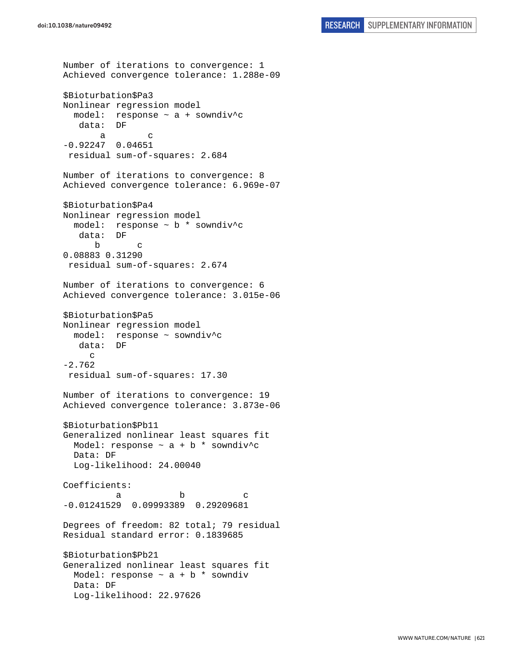```
Number of iterations to convergence: 1 
Achieved convergence tolerance: 1.288e-09 
$Bioturbation$Pa3 
Nonlinear regression model 
   model: response ~ a + sowndiv^c 
    data: DF 
       a c 
-0.92247 0.04651 
  residual sum-of-squares: 2.684 
Number of iterations to convergence: 8 
Achieved convergence tolerance: 6.969e-07 
$Bioturbation$Pa4 
Nonlinear regression model 
   model: response ~ b * sowndiv^c 
    data: DF 
 b c 
0.08883 0.31290 
 residual sum-of-squares: 2.674 
Number of iterations to convergence: 6 
Achieved convergence tolerance: 3.015e-06 
$Bioturbation$Pa5 
Nonlinear regression model 
  model: response ~ sowndiv^c 
    data: DF 
     \mathcal{C}-2.762 
  residual sum-of-squares: 17.30 
Number of iterations to convergence: 19 
Achieved convergence tolerance: 3.873e-06 
$Bioturbation$Pb11 
Generalized nonlinear least squares fit 
 Model: response \sim a + b * sowndiv<sup>^</sup>c
   Data: DF 
   Log-likelihood: 24.00040 
Coefficients: 
a b c
-0.01241529 0.09993389 0.29209681 
Degrees of freedom: 82 total; 79 residual 
Residual standard error: 0.1839685 
$Bioturbation$Pb21 
Generalized nonlinear least squares fit 
 Model: response \sim a + b * sowndiv
  Data: DF 
   Log-likelihood: 22.97626
```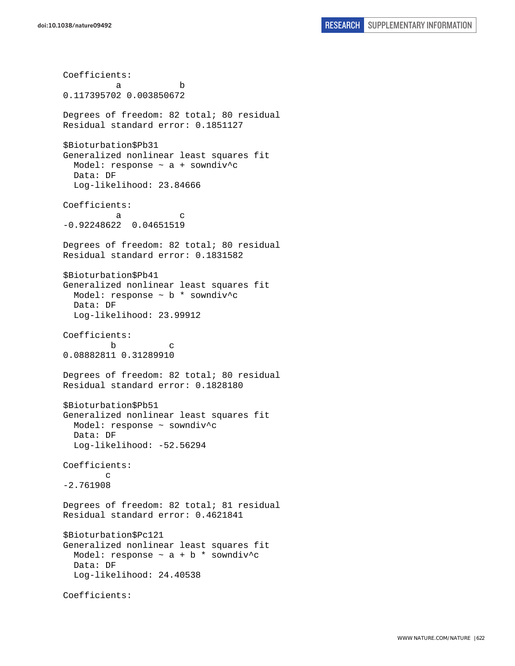Coefficients: a b 0.117395702 0.003850672 Degrees of freedom: 82 total; 80 residual Residual standard error: 0.1851127 \$Bioturbation\$Pb31 Generalized nonlinear least squares fit Model: response  $\sim$  a + sowndiv^c Data: DF Log-likelihood: 23.84666 Coefficients: a c -0.92248622 0.04651519 Degrees of freedom: 82 total; 80 residual Residual standard error: 0.1831582 \$Bioturbation\$Pb41 Generalized nonlinear least squares fit Model: response ~ b \* sowndiv^c Data: DF Log-likelihood: 23.99912 Coefficients: b c 0.08882811 0.31289910 Degrees of freedom: 82 total; 80 residual Residual standard error: 0.1828180 \$Bioturbation\$Pb51 Generalized nonlinear least squares fit Model: response ~ sowndiv^c Data: DF Log-likelihood: -52.56294 Coefficients: c -2.761908 Degrees of freedom: 82 total; 81 residual Residual standard error: 0.4621841 \$Bioturbation\$Pc121 Generalized nonlinear least squares fit Model: response  $\sim$  a + b \* sowndiv^c Data: DF Log-likelihood: 24.40538 Coefficients: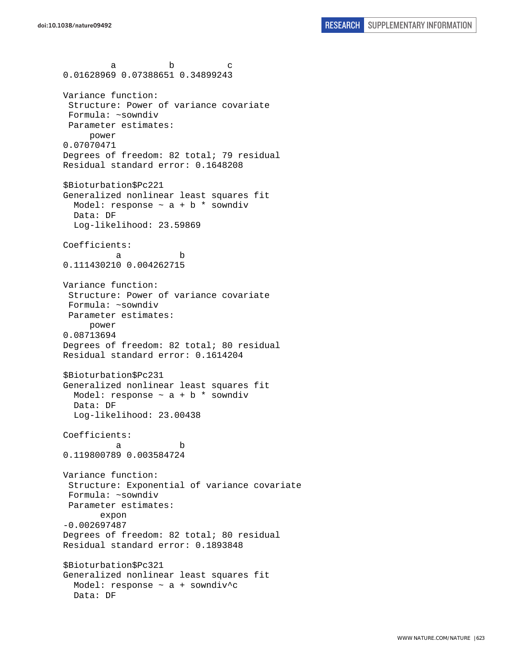a b c 0.01628969 0.07388651 0.34899243 Variance function: Structure: Power of variance covariate Formula: ~sowndiv Parameter estimates: power 0.07070471 Degrees of freedom: 82 total; 79 residual Residual standard error: 0.1648208 \$Bioturbation\$Pc221 Generalized nonlinear least squares fit Model: response  $\sim$  a + b  $*$  sowndiv Data: DF Log-likelihood: 23.59869 Coefficients: a b 0.111430210 0.004262715 Variance function: Structure: Power of variance covariate Formula: ~sowndiv Parameter estimates: power 0.08713694 Degrees of freedom: 82 total; 80 residual Residual standard error: 0.1614204 \$Bioturbation\$Pc231 Generalized nonlinear least squares fit Model: response  $\sim$  a + b  $*$  sowndiv Data: DF Log-likelihood: 23.00438 Coefficients: a b 0.119800789 0.003584724 Variance function: Structure: Exponential of variance covariate Formula: ~sowndiv Parameter estimates: expon -0.002697487 Degrees of freedom: 82 total; 80 residual Residual standard error: 0.1893848 \$Bioturbation\$Pc321 Generalized nonlinear least squares fit Model: response ~ a + sowndiv^c Data: DF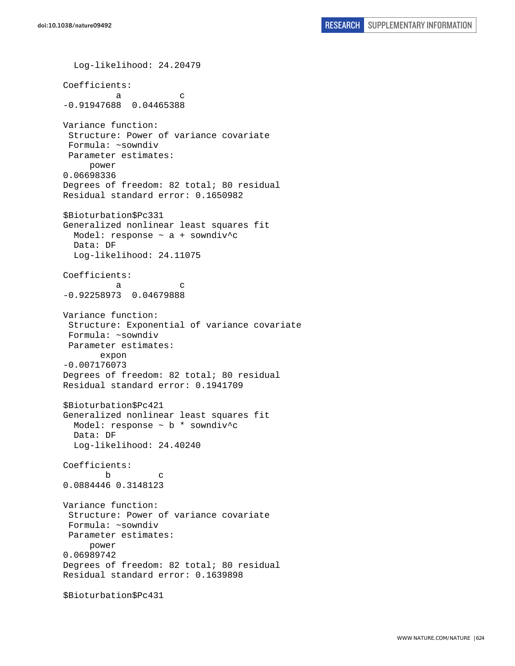Log-likelihood: 24.20479 Coefficients: a c -0.91947688 0.04465388 Variance function: Structure: Power of variance covariate Formula: ~sowndiv Parameter estimates: power 0.06698336 Degrees of freedom: 82 total; 80 residual Residual standard error: 0.1650982 \$Bioturbation\$Pc331 Generalized nonlinear least squares fit Model: response  $\sim$  a + sowndiv<sup>^</sup>c Data: DF Log-likelihood: 24.11075 Coefficients: a c -0.92258973 0.04679888 Variance function: Structure: Exponential of variance covariate Formula: ~sowndiv Parameter estimates: expon -0.007176073 Degrees of freedom: 82 total; 80 residual Residual standard error: 0.1941709 \$Bioturbation\$Pc421 Generalized nonlinear least squares fit Model: response ~ b \* sowndiv^c Data: DF Log-likelihood: 24.40240 Coefficients: b c 0.0884446 0.3148123 Variance function: Structure: Power of variance covariate Formula: ~sowndiv Parameter estimates: power 0.06989742 Degrees of freedom: 82 total; 80 residual Residual standard error: 0.1639898 \$Bioturbation\$Pc431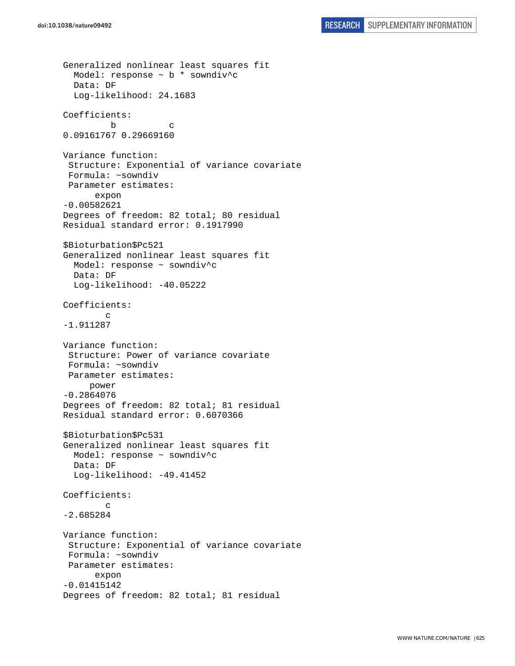```
Generalized nonlinear least squares fit 
  Model: response \sim b * sowndiv<sup>^</sup>c
   Data: DF 
   Log-likelihood: 24.1683 
Coefficients: 
 b c 
0.09161767 0.29669160 
Variance function: 
  Structure: Exponential of variance covariate 
  Formula: ~sowndiv 
  Parameter estimates: 
       expon 
-0.00582621 
Degrees of freedom: 82 total; 80 residual 
Residual standard error: 0.1917990 
$Bioturbation$Pc521 
Generalized nonlinear least squares fit 
   Model: response ~ sowndiv^c 
   Data: DF 
   Log-likelihood: -40.05222 
Coefficients: 
 c 
-1.911287 
Variance function: 
  Structure: Power of variance covariate 
  Formula: ~sowndiv 
  Parameter estimates: 
      power 
-0.2864076 
Degrees of freedom: 82 total; 81 residual 
Residual standard error: 0.6070366 
$Bioturbation$Pc531 
Generalized nonlinear least squares fit 
   Model: response ~ sowndiv^c 
   Data: DF 
   Log-likelihood: -49.41452 
Coefficients: 
 c 
-2.685284 
Variance function: 
  Structure: Exponential of variance covariate 
  Formula: ~sowndiv 
 Parameter estimates: 
       expon 
-0.01415142 
Degrees of freedom: 82 total; 81 residual
```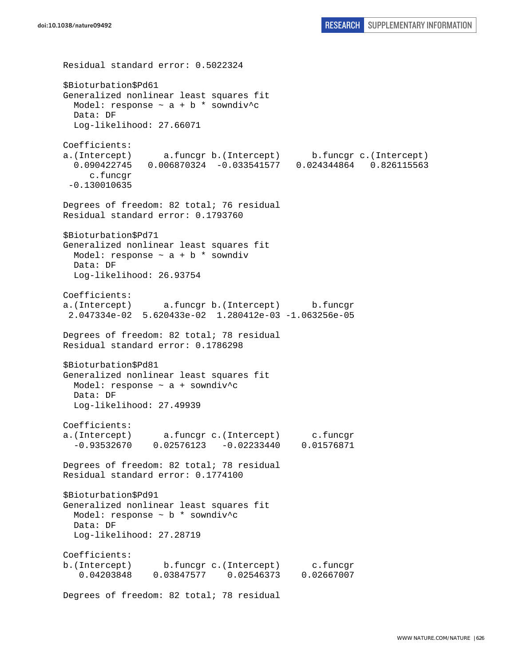Residual standard error: 0.5022324 \$Bioturbation\$Pd61 Generalized nonlinear least squares fit Model: response  $\sim$  a + b \* sowndiv^c Data: DF Log-likelihood: 27.66071 Coefficients: a.(Intercept) a.funcgr b.(Intercept) b.funcgr c.(Intercept) 0.090422745 0.006870324 -0.033541577 0.024344864 0.826115563 c.funcgr -0.130010635 Degrees of freedom: 82 total; 76 residual Residual standard error: 0.1793760 \$Bioturbation\$Pd71 Generalized nonlinear least squares fit Model: response  $\sim$  a + b  $*$  sowndiv Data: DF Log-likelihood: 26.93754 Coefficients: a.(Intercept) a.funcgr b.(Intercept) b.funcgr 2.047334e-02 5.620433e-02 1.280412e-03 -1.063256e-05 Degrees of freedom: 82 total; 78 residual Residual standard error: 0.1786298 \$Bioturbation\$Pd81 Generalized nonlinear least squares fit Model: response  $\sim$  a + sowndiv<sup>^</sup>c Data: DF Log-likelihood: 27.49939 Coefficients: a.(Intercept) a.funcgr c.(Intercept) c.funcgr -0.93532670 0.02576123 -0.02233440 0.01576871 Degrees of freedom: 82 total; 78 residual Residual standard error: 0.1774100 \$Bioturbation\$Pd91 Generalized nonlinear least squares fit Model: response ~ b \* sowndiv^c Data: DF Log-likelihood: 27.28719 Coefficients: b.(Intercept) b.funcgr c.(Intercept) c.funcgr 0.04203848 0.03847577 0.02546373 0.02667007 Degrees of freedom: 82 total; 78 residual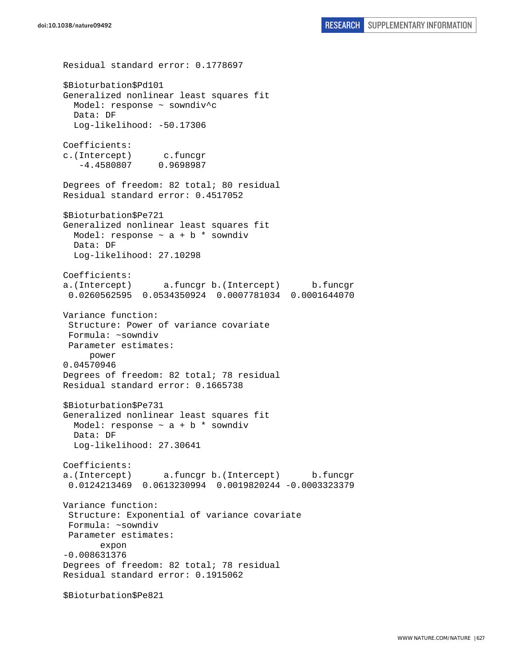Residual standard error: 0.1778697 \$Bioturbation\$Pd101 Generalized nonlinear least squares fit Model: response ~ sowndiv^c Data: DF Log-likelihood: -50.17306 Coefficients: c.(Intercept) c.funcgr -4.4580807 0.9698987 Degrees of freedom: 82 total; 80 residual Residual standard error: 0.4517052 \$Bioturbation\$Pe721 Generalized nonlinear least squares fit Model: response  $\sim$  a + b  $*$  sowndiv Data: DF Log-likelihood: 27.10298 Coefficients: a.(Intercept) a.funcgr b.(Intercept) b.funcgr 0.0260562595 0.0534350924 0.0007781034 0.0001644070 Variance function: Structure: Power of variance covariate Formula: ~sowndiv Parameter estimates: power 0.04570946 Degrees of freedom: 82 total; 78 residual Residual standard error: 0.1665738 \$Bioturbation\$Pe731 Generalized nonlinear least squares fit Model: response  $\sim$  a + b  $*$  sowndiv Data: DF Log-likelihood: 27.30641 Coefficients: a.(Intercept) a.funcgr b.(Intercept) b.funcgr 0.0124213469 0.0613230994 0.0019820244 -0.0003323379 Variance function: Structure: Exponential of variance covariate Formula: ~sowndiv Parameter estimates: expon -0.008631376 Degrees of freedom: 82 total; 78 residual Residual standard error: 0.1915062 \$Bioturbation\$Pe821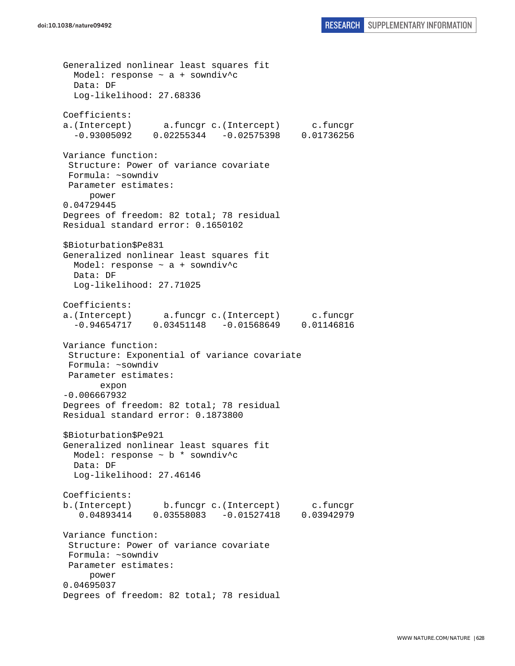Generalized nonlinear least squares fit Model: response  $\sim$  a + sowndiv<sup>^</sup>c Data: DF Log-likelihood: 27.68336 Coefficients: a.(Intercept) a.funcgr c.(Intercept) c.funcgr -0.93005092 0.02255344 -0.02575398 0.01736256 Variance function: Structure: Power of variance covariate Formula: ~sowndiv Parameter estimates: power 0.04729445 Degrees of freedom: 82 total; 78 residual Residual standard error: 0.1650102 \$Bioturbation\$Pe831 Generalized nonlinear least squares fit Model: response ~ a + sowndiv^c Data: DF Log-likelihood: 27.71025 Coefficients: a.(Intercept) a.funcgr c.(Intercept) c.funcgr -0.94654717 0.03451148 -0.01568649 0.01146816 Variance function: Structure: Exponential of variance covariate Formula: ~sowndiv Parameter estimates: expon -0.006667932 Degrees of freedom: 82 total; 78 residual Residual standard error: 0.1873800 \$Bioturbation\$Pe921 Generalized nonlinear least squares fit Model: response  $\sim$  b  $*$  sowndiv<sup>^</sup>c Data: DF Log-likelihood: 27.46146 Coefficients: b.(Intercept) b.funcgr c.(Intercept) c.funcgr 0.04893414 0.03558083 -0.01527418 0.03942979 Variance function: Structure: Power of variance covariate Formula: ~sowndiv Parameter estimates: power 0.04695037 Degrees of freedom: 82 total; 78 residual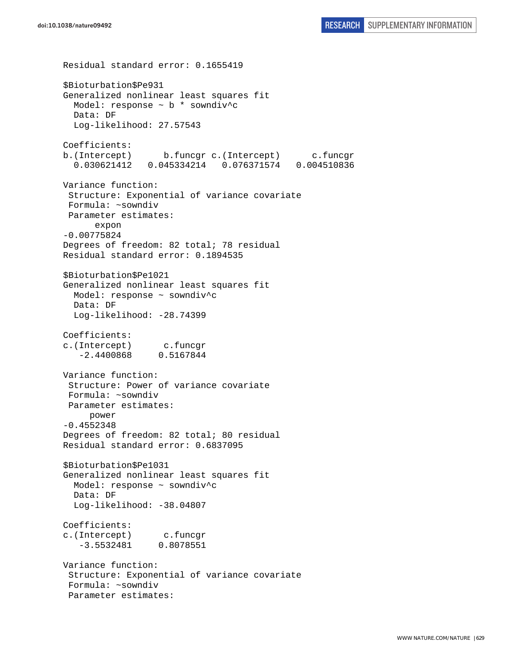```
Residual standard error: 0.1655419 
$Bioturbation$Pe931 
Generalized nonlinear least squares fit 
  Model: response ~ b * sowndiv^c 
   Data: DF 
   Log-likelihood: 27.57543 
Coefficients: 
b.(Intercept) b.funcgr c.(Intercept) c.funcgr 
   0.030621412 0.045334214 0.076371574 0.004510836 
Variance function: 
  Structure: Exponential of variance covariate 
 Formula: ~sowndiv 
 Parameter estimates: 
       expon 
-0.00775824 
Degrees of freedom: 82 total; 78 residual 
Residual standard error: 0.1894535 
$Bioturbation$Pe1021 
Generalized nonlinear least squares fit 
  Model: response ~ sowndiv^c 
  Data: DF 
 Log-likelihood: -28.74399
Coefficients: 
c.(Intercept) c.funcgr 
    -2.4400868 0.5167844 
Variance function: 
  Structure: Power of variance covariate 
  Formula: ~sowndiv 
 Parameter estimates: 
      power 
-0.4552348 
Degrees of freedom: 82 total; 80 residual 
Residual standard error: 0.6837095 
$Bioturbation$Pe1031 
Generalized nonlinear least squares fit 
  Model: response ~ sowndiv^c 
   Data: DF 
  Log-likelihood: -38.04807
Coefficients: 
c.(Intercept) c.funcgr 
    -3.5532481 0.8078551 
Variance function: 
 Structure: Exponential of variance covariate 
 Formula: ~sowndiv 
  Parameter estimates:
```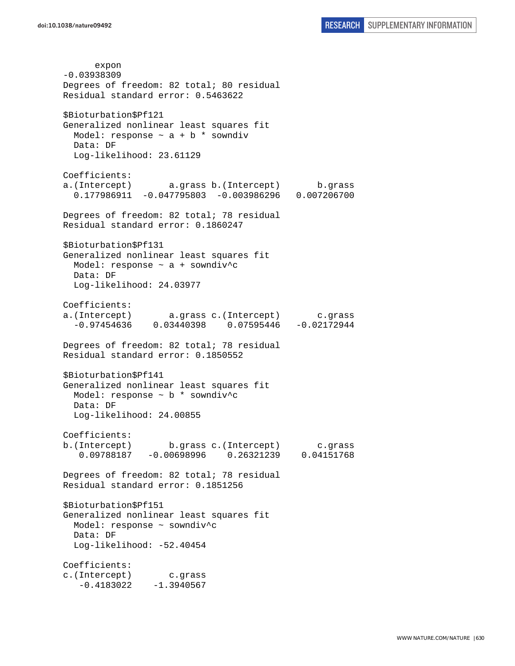expon -0.03938309 Degrees of freedom: 82 total; 80 residual Residual standard error: 0.5463622 \$Bioturbation\$Pf121 Generalized nonlinear least squares fit Model: response  $\sim$  a + b \* sowndiv Data: DF Log-likelihood: 23.61129 Coefficients: a.(Intercept) a.grass b.(Intercept) b.grass 0.177986911 -0.047795803 -0.003986296 0.007206700 Degrees of freedom: 82 total; 78 residual Residual standard error: 0.1860247 \$Bioturbation\$Pf131 Generalized nonlinear least squares fit Model: response ~ a + sowndiv^c Data: DF Log-likelihood: 24.03977 Coefficients: a.(Intercept) a.grass c.(Intercept) c.grass -0.97454636 0.03440398 0.07595446 -0.02172944 Degrees of freedom: 82 total; 78 residual Residual standard error: 0.1850552 \$Bioturbation\$Pf141 Generalized nonlinear least squares fit Model: response ~ b \* sowndiv^c Data: DF Log-likelihood: 24.00855 Coefficients: b.(Intercept) b.grass c.(Intercept) c.grass 0.09788187 -0.00698996 0.26321239 0.04151768 Degrees of freedom: 82 total; 78 residual Residual standard error: 0.1851256 \$Bioturbation\$Pf151 Generalized nonlinear least squares fit Model: response ~ sowndiv^c Data: DF Log-likelihood: -52.40454 Coefficients: c.(Intercept) c.grass  $-0.4183022 -1.3940567$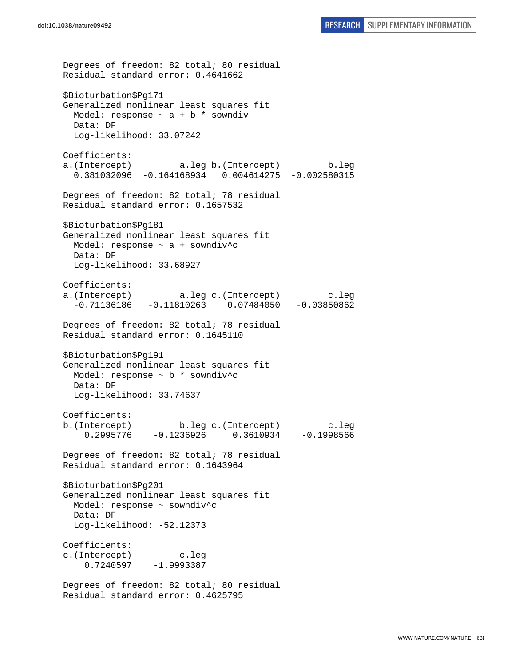Degrees of freedom: 82 total; 80 residual Residual standard error: 0.4641662 \$Bioturbation\$Pg171 Generalized nonlinear least squares fit Model: response  $\sim$  a + b \* sowndiv Data: DF Log-likelihood: 33.07242 Coefficients: a.(Intercept) a.leg b.(Intercept) b.leg 0.381032096 -0.164168934 0.004614275 -0.002580315 Degrees of freedom: 82 total; 78 residual Residual standard error: 0.1657532 \$Bioturbation\$Pg181 Generalized nonlinear least squares fit Model: response ~ a + sowndiv^c Data: DF Log-likelihood: 33.68927 Coefficients: a.(Intercept) a.leg c.(Intercept) c.leg -0.71136186 -0.11810263 0.07484050 -0.03850862 Degrees of freedom: 82 total; 78 residual Residual standard error: 0.1645110 \$Bioturbation\$Pg191 Generalized nonlinear least squares fit Model: response ~ b \* sowndiv^c Data: DF Log-likelihood: 33.74637 Coefficients: b.(Intercept) b.leg c.(Intercept) c.leg 0.2995776 -0.1236926 0.3610934 -0.1998566 Degrees of freedom: 82 total; 78 residual Residual standard error: 0.1643964 \$Bioturbation\$Pg201 Generalized nonlinear least squares fit Model: response ~ sowndiv^c Data: DF Log-likelihood: -52.12373 Coefficients: c.(Intercept) c.leg 0.7240597 -1.9993387 Degrees of freedom: 82 total; 80 residual Residual standard error: 0.4625795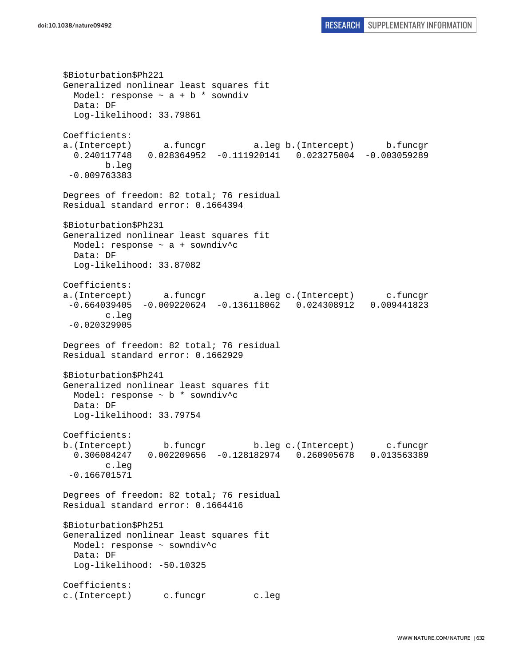\$Bioturbation\$Ph221 Generalized nonlinear least squares fit Model: response  $\sim$  a + b  $*$  sowndiv Data: DF Log-likelihood: 33.79861 Coefficients: a.(Intercept) a.funcgr a.leg b.(Intercept) b.funcgr 0.240117748 0.028364952 -0.111920141 0.023275004 -0.003059289 b.leg -0.009763383 Degrees of freedom: 82 total; 76 residual Residual standard error: 0.1664394 \$Bioturbation\$Ph231 Generalized nonlinear least squares fit Model: response ~ a + sowndiv^c Data: DF Log-likelihood: 33.87082 Coefficients: a.(Intercept) a.funcgr a.leg c.(Intercept) c.funcgr -0.664039405 -0.009220624 -0.136118062 0.024308912 0.009441823 c.leg -0.020329905 Degrees of freedom: 82 total; 76 residual Residual standard error: 0.1662929 \$Bioturbation\$Ph241 Generalized nonlinear least squares fit Model: response ~ b \* sowndiv^c Data: DF Log-likelihood: 33.79754 Coefficients: b.(Intercept) b.funcgr b.leg c.(Intercept) c.funcgr 0.306084247 0.002209656 -0.128182974 0.260905678 0.013563389 c.leg -0.166701571 Degrees of freedom: 82 total; 76 residual Residual standard error: 0.1664416 \$Bioturbation\$Ph251 Generalized nonlinear least squares fit Model: response ~ sowndiv^c Data: DF Log-likelihood: -50.10325 Coefficients: c.(Intercept) c.funcgr c.leg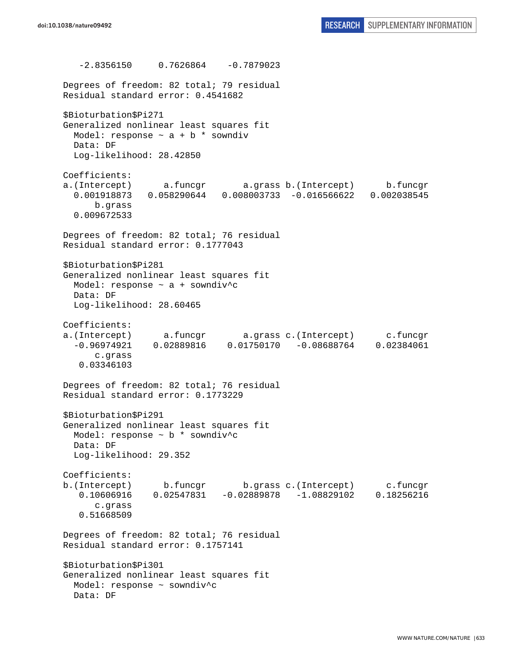$-2.8356150$  0.7626864  $-0.7879023$ Degrees of freedom: 82 total; 79 residual Residual standard error: 0.4541682 \$Bioturbation\$Pi271 Generalized nonlinear least squares fit Model: response  $\sim$  a + b \* sowndiv Data: DF Log-likelihood: 28.42850 Coefficients: a.(Intercept) a.funcgr a.grass b.(Intercept) b.funcgr 0.001918873 0.058290644 0.008003733 -0.016566622 0.002038545 b.grass 0.009672533 Degrees of freedom: 82 total; 76 residual Residual standard error: 0.1777043 \$Bioturbation\$Pi281 Generalized nonlinear least squares fit Model: response ~ a + sowndiv^c Data: DF Log-likelihood: 28.60465 Coefficients: a.(Intercept) a.funcgr a.grass c.(Intercept) c.funcgr -0.96974921 0.02889816 0.01750170 -0.08688764 0.02384061 c.grass 0.03346103 Degrees of freedom: 82 total; 76 residual Residual standard error: 0.1773229 \$Bioturbation\$Pi291 Generalized nonlinear least squares fit Model: response ~ b \* sowndiv^c Data: DF Log-likelihood: 29.352 Coefficients: b.(Intercept) b.funcgr b.grass c.(Intercept) c.funcgr 0.10606916 0.02547831 -0.02889878 -1.08829102 0.18256216 c.grass 0.51668509 Degrees of freedom: 82 total; 76 residual Residual standard error: 0.1757141 \$Bioturbation\$Pi301 Generalized nonlinear least squares fit Model: response ~ sowndiv^c Data: DF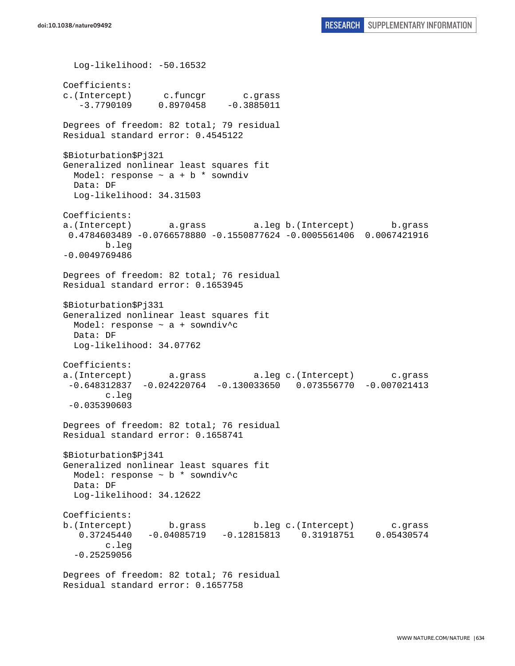Log-likelihood: -50.16532 Coefficients: c.(Intercept) c.funcgr c.grass  $-3.7790109$  0.8970458  $-0.3885011$ Degrees of freedom: 82 total; 79 residual Residual standard error: 0.4545122 \$Bioturbation\$Pj321 Generalized nonlinear least squares fit Model: response  $\sim$  a + b \* sowndiv Data: DF Log-likelihood: 34.31503 Coefficients: a.(Intercept) a.grass a.leg b.(Intercept) b.grass 0.4784603489 -0.0766578880 -0.1550877624 -0.0005561406 0.0067421916 b.leg -0.0049769486 Degrees of freedom: 82 total; 76 residual Residual standard error: 0.1653945 \$Bioturbation\$Pj331 Generalized nonlinear least squares fit Model: response ~ a + sowndiv^c Data: DF Log-likelihood: 34.07762 Coefficients: a.(Intercept) a.grass a.leg c.(Intercept) c.grass -0.648312837 -0.024220764 -0.130033650 0.073556770 -0.007021413 c.leg -0.035390603 Degrees of freedom: 82 total; 76 residual Residual standard error: 0.1658741 \$Bioturbation\$Pj341 Generalized nonlinear least squares fit Model: response ~ b \* sowndiv^c Data: DF Log-likelihood: 34.12622 Coefficients: b.(Intercept) b.grass b.leg c.(Intercept) c.grass 0.37245440 -0.04085719 -0.12815813 0.31918751 0.05430574 c.leg -0.25259056 Degrees of freedom: 82 total; 76 residual

```
Residual standard error: 0.1657758
```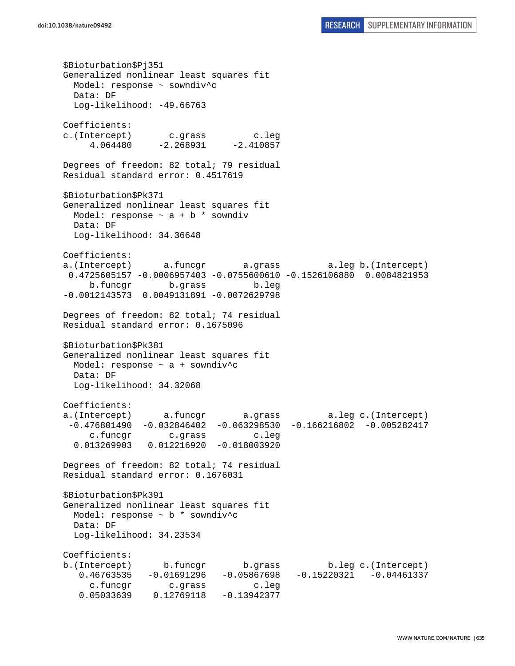\$Bioturbation\$Pj351 Generalized nonlinear least squares fit Model: response ~ sowndiv^c Data: DF Log-likelihood: -49.66763 Coefficients: c.(Intercept) c.grass c.leg  $4.064480 -2.268931 -2.410857$ Degrees of freedom: 82 total; 79 residual Residual standard error: 0.4517619 \$Bioturbation\$Pk371 Generalized nonlinear least squares fit Model: response  $\sim$  a + b \* sowndiv Data: DF Log-likelihood: 34.36648 Coefficients: a.(Intercept) a.funcgr a.grass a.leg b.(Intercept) 0.4725605157 -0.0006957403 -0.0755600610 -0.1526106880 0.0084821953 b.funcgr b.grass b.leg -0.0012143573 0.0049131891 -0.0072629798 Degrees of freedom: 82 total; 74 residual Residual standard error: 0.1675096 \$Bioturbation\$Pk381 Generalized nonlinear least squares fit Model: response ~ a + sowndiv^c Data: DF Log-likelihood: 34.32068 Coefficients: a.(Intercept) a.funcgr a.grass a.leg c.(Intercept) -0.476801490 -0.032846402 -0.063298530 -0.166216802 -0.005282417 c.funcgr c.grass c.leg 0.013269903 0.012216920 -0.018003920 Degrees of freedom: 82 total; 74 residual Residual standard error: 0.1676031 \$Bioturbation\$Pk391 Generalized nonlinear least squares fit Model: response ~ b \* sowndiv^c Data: DF Log-likelihood: 34.23534 Coefficients: b.(Intercept) b.funcgr b.grass b.leg c.(Intercept) 0.46763535 -0.01691296 -0.05867698 -0.15220321 -0.04461337 c.funcgr c.grass c.leg 0.05033639 0.12769118 -0.13942377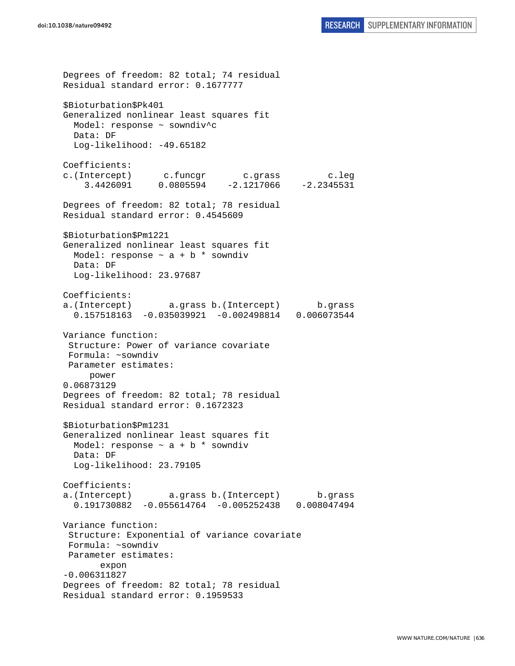Degrees of freedom: 82 total; 74 residual Residual standard error: 0.1677777 \$Bioturbation\$Pk401 Generalized nonlinear least squares fit Model: response ~ sowndiv^c Data: DF Log-likelihood: -49.65182 Coefficients: c.(Intercept) c.funcgr c.grass c.leg 3.4426091 0.0805594 -2.1217066 -2.2345531 Degrees of freedom: 82 total; 78 residual Residual standard error: 0.4545609 \$Bioturbation\$Pm1221 Generalized nonlinear least squares fit Model: response  $\sim$  a + b  $*$  sowndiv Data: DF Log-likelihood: 23.97687 Coefficients: a.(Intercept) a.grass b.(Intercept) b.grass 0.157518163 -0.035039921 -0.002498814 0.006073544 Variance function: Structure: Power of variance covariate Formula: ~sowndiv Parameter estimates: power 0.06873129 Degrees of freedom: 82 total; 78 residual Residual standard error: 0.1672323 \$Bioturbation\$Pm1231 Generalized nonlinear least squares fit Model: response  $\sim$  a + b \* sowndiv Data: DF Log-likelihood: 23.79105 Coefficients: a.(Intercept) a.grass b.(Intercept) b.grass 0.191730882 -0.055614764 -0.005252438 0.008047494 Variance function: Structure: Exponential of variance covariate Formula: ~sowndiv Parameter estimates: expon -0.006311827 Degrees of freedom: 82 total; 78 residual Residual standard error: 0.1959533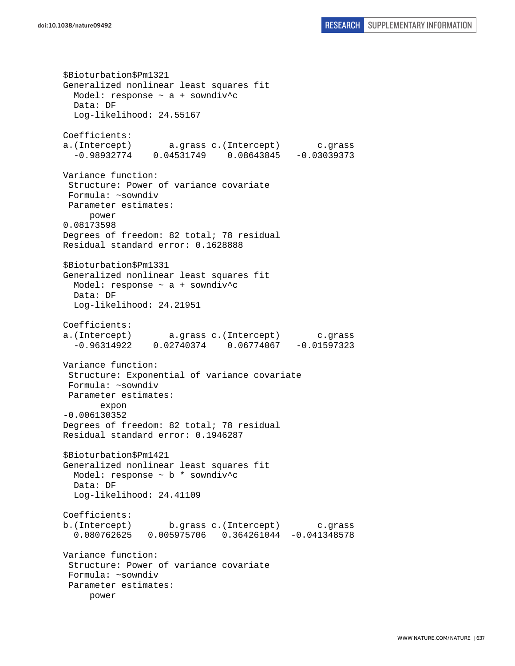```
$Bioturbation$Pm1321 
Generalized nonlinear least squares fit 
 Model: response \sim a + sowndiv<sup>^</sup>c
  Data: DF 
   Log-likelihood: 24.55167 
Coefficients: 
a.(Intercept) a.grass c.(Intercept) c.grass 
   -0.98932774 0.04531749 0.08643845 -0.03039373 
Variance function: 
  Structure: Power of variance covariate 
 Formula: ~sowndiv 
 Parameter estimates: 
      power 
0.08173598 
Degrees of freedom: 82 total; 78 residual 
Residual standard error: 0.1628888 
$Bioturbation$Pm1331 
Generalized nonlinear least squares fit 
  Model: response ~ a + sowndiv^c 
  Data: DF 
   Log-likelihood: 24.21951 
Coefficients: 
a.(Intercept) a.grass c.(Intercept) c.grass 
   -0.96314922 0.02740374 0.06774067 -0.01597323 
Variance function: 
  Structure: Exponential of variance covariate 
 Formula: ~sowndiv 
 Parameter estimates: 
        expon 
-0.006130352 
Degrees of freedom: 82 total; 78 residual 
Residual standard error: 0.1946287 
$Bioturbation$Pm1421 
Generalized nonlinear least squares fit 
  Model: response ~ b * sowndiv^c 
  Data: DF 
  Log-likelihood: 24.41109 
Coefficients: 
b.(Intercept) b.grass c.(Intercept) c.grass 
   0.080762625 0.005975706 0.364261044 -0.041348578 
Variance function: 
  Structure: Power of variance covariate 
 Formula: ~sowndiv 
  Parameter estimates: 
      power
```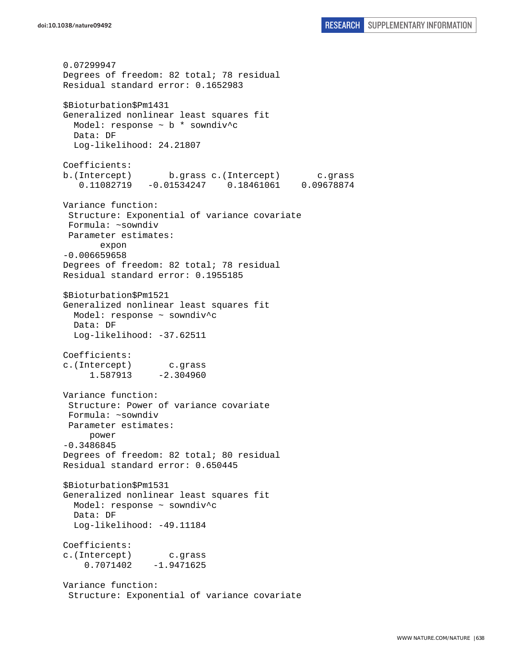0.07299947 Degrees of freedom: 82 total; 78 residual Residual standard error: 0.1652983 \$Bioturbation\$Pm1431 Generalized nonlinear least squares fit Model: response ~ b \* sowndiv^c Data: DF Log-likelihood: 24.21807 Coefficients: b.(Intercept) b.grass c.(Intercept) c.grass 0.11082719 -0.01534247 0.18461061 0.09678874 Variance function: Structure: Exponential of variance covariate Formula: ~sowndiv Parameter estimates: expon -0.006659658 Degrees of freedom: 82 total; 78 residual Residual standard error: 0.1955185 \$Bioturbation\$Pm1521 Generalized nonlinear least squares fit Model: response ~ sowndiv^c Data: DF Log-likelihood: -37.62511 Coefficients: c.(Intercept) c.grass 1.587913 -2.304960 Variance function: Structure: Power of variance covariate Formula: ~sowndiv Parameter estimates: power -0.3486845 Degrees of freedom: 82 total; 80 residual Residual standard error: 0.650445 \$Bioturbation\$Pm1531 Generalized nonlinear least squares fit Model: response ~ sowndiv^c Data: DF Log-likelihood: -49.11184 Coefficients: c.(Intercept) c.grass 0.7071402 -1.9471625 Variance function: Structure: Exponential of variance covariate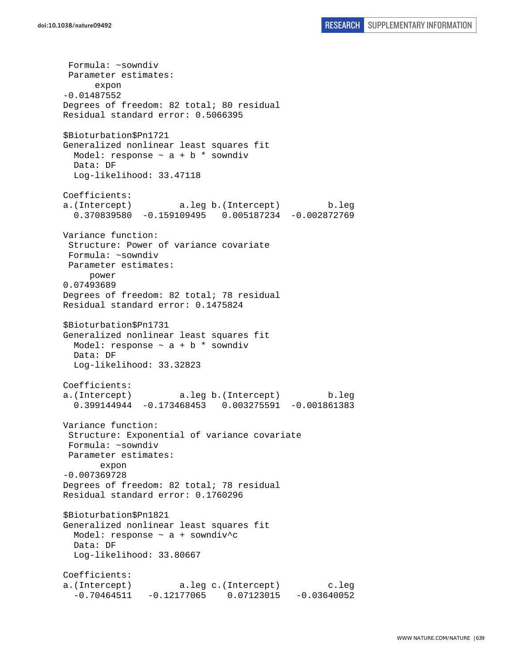Formula: ~sowndiv Parameter estimates: expon -0.01487552 Degrees of freedom: 82 total; 80 residual Residual standard error: 0.5066395 \$Bioturbation\$Pn1721 Generalized nonlinear least squares fit Model: response  $\sim$  a + b \* sowndiv Data: DF Log-likelihood: 33.47118 Coefficients: a.(Intercept) a.leg b.(Intercept) b.leg 0.370839580 -0.159109495 0.005187234 -0.002872769 Variance function: Structure: Power of variance covariate Formula: ~sowndiv Parameter estimates: power 0.07493689 Degrees of freedom: 82 total; 78 residual Residual standard error: 0.1475824 \$Bioturbation\$Pn1731 Generalized nonlinear least squares fit Model: response  $\sim$  a + b  $*$  sowndiv Data: DF Log-likelihood: 33.32823 Coefficients: a.(Intercept) a.leg b.(Intercept) b.leg 0.399144944 -0.173468453 0.003275591 -0.001861383 Variance function: Structure: Exponential of variance covariate Formula: ~sowndiv Parameter estimates: expon -0.007369728 Degrees of freedom: 82 total; 78 residual Residual standard error: 0.1760296 \$Bioturbation\$Pn1821 Generalized nonlinear least squares fit Model: response ~ a + sowndiv^c Data: DF Log-likelihood: 33.80667 Coefficients: a.(Intercept) a.leg c.(Intercept) c.leg  $-0.70464511 - 0.12177065 0.07123015 - 0.03640052$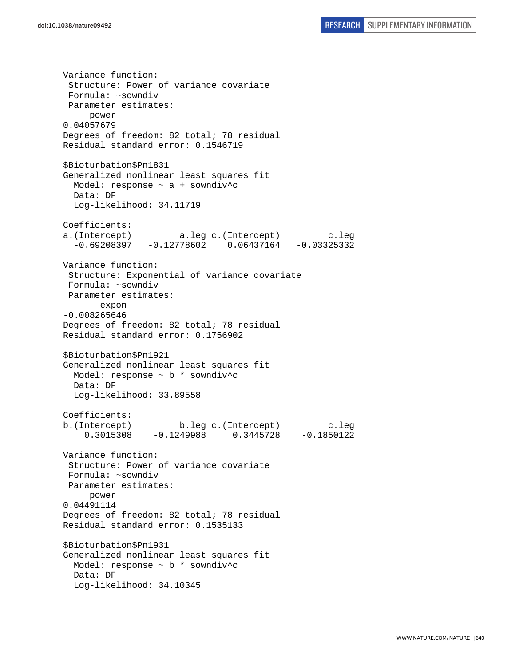Variance function: Structure: Power of variance covariate Formula: ~sowndiv Parameter estimates: power 0.04057679 Degrees of freedom: 82 total; 78 residual Residual standard error: 0.1546719 \$Bioturbation\$Pn1831 Generalized nonlinear least squares fit Model: response ~ a + sowndiv^c Data: DF Log-likelihood: 34.11719 Coefficients: a.(Intercept) a.leg c.(Intercept) c.leg  $-0.69208397 -0.12778602 0.06437164 -0.03325332$ Variance function: Structure: Exponential of variance covariate Formula: ~sowndiv Parameter estimates: expon -0.008265646 Degrees of freedom: 82 total; 78 residual Residual standard error: 0.1756902 \$Bioturbation\$Pn1921 Generalized nonlinear least squares fit Model: response ~ b \* sowndiv^c Data: DF Log-likelihood: 33.89558 Coefficients: b.(Intercept) b.leg c.(Intercept) c.leg 0.3015308 -0.1249988 0.3445728 -0.1850122 Variance function: Structure: Power of variance covariate Formula: ~sowndiv Parameter estimates: power 0.04491114 Degrees of freedom: 82 total; 78 residual Residual standard error: 0.1535133 \$Bioturbation\$Pn1931 Generalized nonlinear least squares fit Model: response  $\sim$  b  $*$  sowndiv<sup>\*</sup>c Data: DF Log-likelihood: 34.10345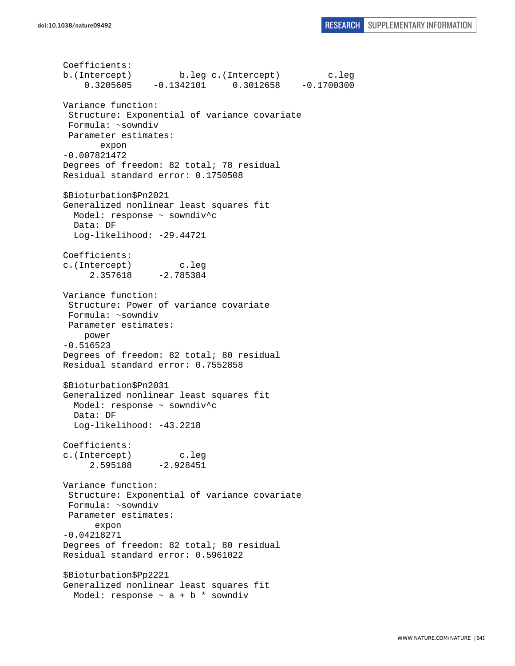```
Coefficients: 
b.(Intercept) b.leg c.(Intercept) c.leg 
     0.3205605 -0.1342101 0.3012658 -0.1700300 
Variance function: 
  Structure: Exponential of variance covariate 
 Formula: ~sowndiv 
 Parameter estimates: 
        expon 
-0.007821472 
Degrees of freedom: 82 total; 78 residual 
Residual standard error: 0.1750508 
$Bioturbation$Pn2021 
Generalized nonlinear least squares fit 
  Model: response ~ sowndiv^c 
   Data: DF 
   Log-likelihood: -29.44721 
Coefficients: 
c.(Intercept) c.leg 
      2.357618 -2.785384 
Variance function: 
  Structure: Power of variance covariate 
  Formula: ~sowndiv 
 Parameter estimates: 
     power 
-0.516523 
Degrees of freedom: 82 total; 80 residual 
Residual standard error: 0.7552858 
$Bioturbation$Pn2031 
Generalized nonlinear least squares fit 
  Model: response ~ sowndiv^c 
  Data: DF 
   Log-likelihood: -43.2218 
Coefficients: 
c.(Intercept) c.leg 
      2.595188 -2.928451 
Variance function: 
 Structure: Exponential of variance covariate 
 Formula: ~sowndiv 
 Parameter estimates: 
       expon 
-0.04218271 
Degrees of freedom: 82 total; 80 residual 
Residual standard error: 0.5961022 
$Bioturbation$Pp2221 
Generalized nonlinear least squares fit 
  Model: response \sim a + b * sowndiv
```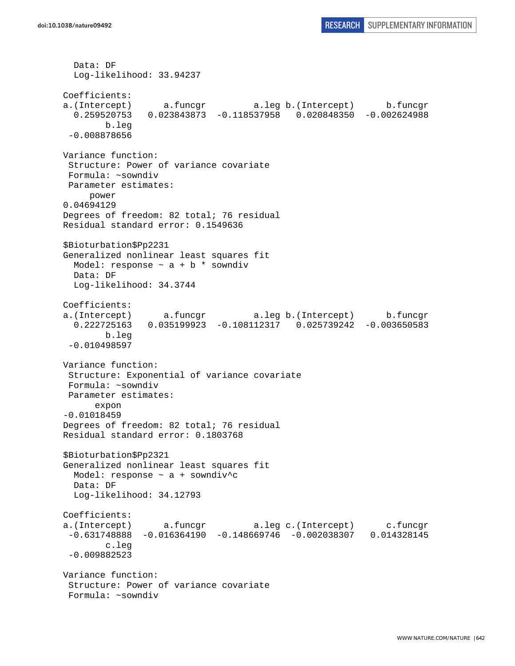```
 Data: DF 
   Log-likelihood: 33.94237 
Coefficients: 
a.(Intercept) a.funcgr a.leg b.(Intercept) b.funcgr 
   0.259520753 0.023843873 -0.118537958 0.020848350 -0.002624988 
         b.leg 
  -0.008878656 
Variance function: 
  Structure: Power of variance covariate 
 Formula: ~sowndiv 
 Parameter estimates: 
      power 
0.04694129 
Degrees of freedom: 82 total; 76 residual 
Residual standard error: 0.1549636 
$Bioturbation$Pp2231 
Generalized nonlinear least squares fit 
 Model: response \sim a + b * sowndiv
  Data: DF 
  Log-likelihood: 34.3744 
Coefficients: 
a.(Intercept) a.funcgr a.leg b.(Intercept) b.funcgr 
   0.222725163 0.035199923 -0.108112317 0.025739242 -0.003650583 
         b.leg 
 -0.010498597 
Variance function: 
  Structure: Exponential of variance covariate 
 Formula: ~sowndiv 
 Parameter estimates: 
       expon 
-0.01018459 
Degrees of freedom: 82 total; 76 residual 
Residual standard error: 0.1803768 
$Bioturbation$Pp2321 
Generalized nonlinear least squares fit 
  Model: response ~ a + sowndiv^c 
  Data: DF 
  Log-likelihood: 34.12793 
Coefficients: 
a.(Intercept) a.funcgr a.leg c.(Intercept) c.funcgr 
  -0.631748888 -0.016364190 -0.148669746 -0.002038307 0.014328145 
         c.leg 
 -0.009882523 
Variance function: 
  Structure: Power of variance covariate 
  Formula: ~sowndiv
```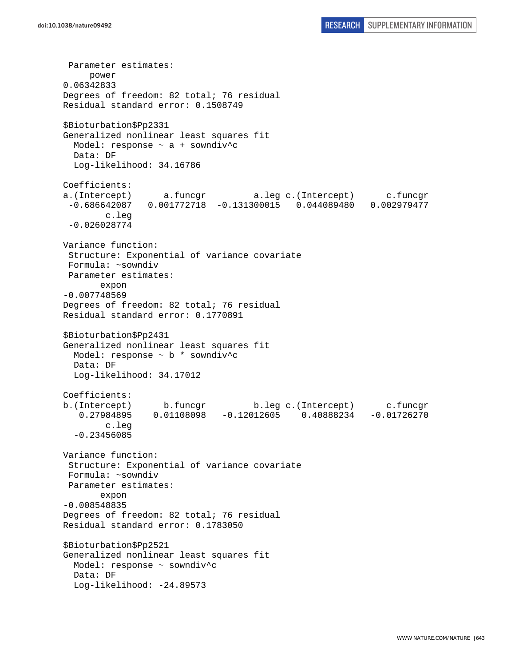Parameter estimates: power 0.06342833 Degrees of freedom: 82 total; 76 residual Residual standard error: 0.1508749 \$Bioturbation\$Pp2331 Generalized nonlinear least squares fit Model: response ~ a + sowndiv^c Data: DF Log-likelihood: 34.16786 Coefficients: a.(Intercept) a.funcgr a.leg c.(Intercept) c.funcgr -0.686642087 0.001772718 -0.131300015 0.044089480 0.002979477 c.leg -0.026028774 Variance function: Structure: Exponential of variance covariate Formula: ~sowndiv Parameter estimates: expon -0.007748569 Degrees of freedom: 82 total; 76 residual Residual standard error: 0.1770891 \$Bioturbation\$Pp2431 Generalized nonlinear least squares fit Model: response ~ b \* sowndiv^c Data: DF Log-likelihood: 34.17012 Coefficients: b.(Intercept) b.funcgr b.leg c.(Intercept) c.funcgr 0.27984895 0.01108098 -0.12012605 0.40888234 -0.01726270 c.leg -0.23456085 Variance function: Structure: Exponential of variance covariate Formula: ~sowndiv Parameter estimates: expon -0.008548835 Degrees of freedom: 82 total; 76 residual Residual standard error: 0.1783050 \$Bioturbation\$Pp2521 Generalized nonlinear least squares fit Model: response ~ sowndiv^c Data: DF Log-likelihood: -24.89573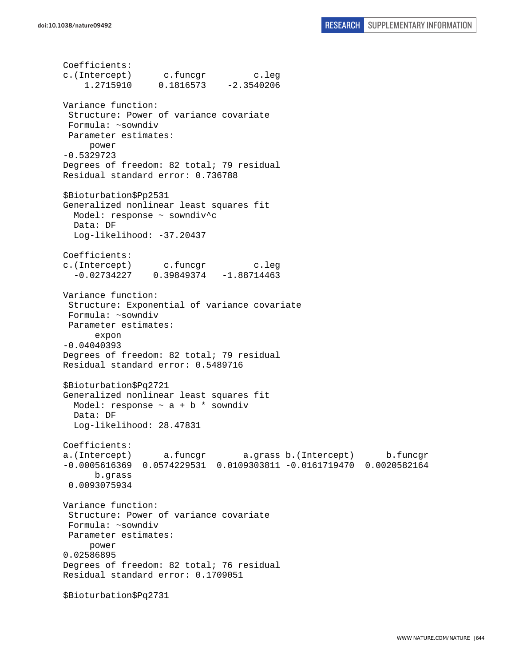Coefficients:

c.(Intercept) c.funcgr c.leg 1.2715910 0.1816573 -2.3540206 Variance function: Structure: Power of variance covariate Formula: ~sowndiv Parameter estimates: power -0.5329723 Degrees of freedom: 82 total; 79 residual Residual standard error: 0.736788 \$Bioturbation\$Pp2531 Generalized nonlinear least squares fit Model: response ~ sowndiv^c Data: DF Log-likelihood: -37.20437 Coefficients: c.(Intercept) c.funcgr c.leg  $-0.02734227$   $0.39849374$   $-1.88714463$ Variance function: Structure: Exponential of variance covariate Formula: ~sowndiv Parameter estimates: expon -0.04040393 Degrees of freedom: 82 total; 79 residual Residual standard error: 0.5489716 \$Bioturbation\$Pq2721 Generalized nonlinear least squares fit Model: response  $\sim$  a + b  $*$  sowndiv Data: DF Log-likelihood: 28.47831 Coefficients: a.(Intercept) a.funcgr a.grass b.(Intercept) b.funcgr -0.0005616369 0.0574229531 0.0109303811 -0.0161719470 0.0020582164 b.grass 0.0093075934 Variance function: Structure: Power of variance covariate Formula: ~sowndiv Parameter estimates: power 0.02586895 Degrees of freedom: 82 total; 76 residual Residual standard error: 0.1709051 \$Bioturbation\$Pq2731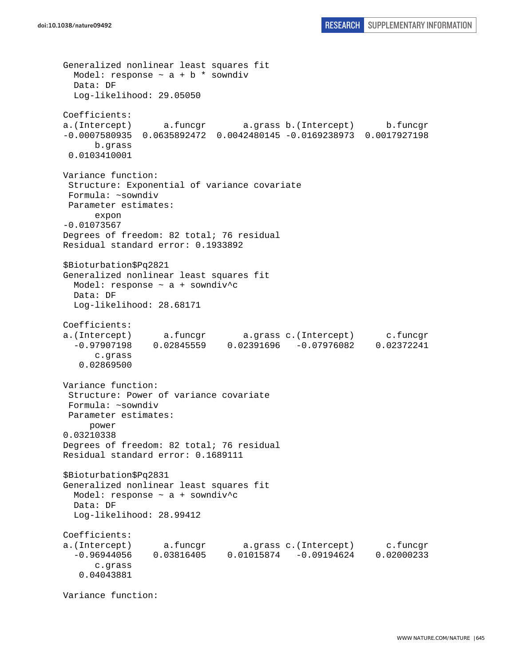```
Generalized nonlinear least squares fit 
 Model: response \sim a + b * sowndiv
  Data: DF 
  Log-likelihood: 29.05050 
Coefficients: 
a.(Intercept) a.funcgr a.grass b.(Intercept) b.funcgr 
-0.0007580935 0.0635892472 0.0042480145 -0.0169238973 0.0017927198 
       b.grass 
 0.0103410001 
Variance function: 
  Structure: Exponential of variance covariate 
 Formula: ~sowndiv 
 Parameter estimates: 
       expon 
-0.01073567 
Degrees of freedom: 82 total; 76 residual 
Residual standard error: 0.1933892 
$Bioturbation$Pq2821 
Generalized nonlinear least squares fit 
  Model: response ~ a + sowndiv^c 
  Data: DF 
   Log-likelihood: 28.68171 
Coefficients: 
a.(Intercept) a.funcgr a.grass c.(Intercept) c.funcgr 
  -0.97907198 0.02845559 0.02391696 -0.07976082 0.02372241 
       c.grass 
    0.02869500 
Variance function: 
  Structure: Power of variance covariate 
 Formula: ~sowndiv 
 Parameter estimates: 
     power 
0.03210338 
Degrees of freedom: 82 total; 76 residual 
Residual standard error: 0.1689111 
$Bioturbation$Pq2831 
Generalized nonlinear least squares fit 
  Model: response ~ a + sowndiv^c 
   Data: DF 
   Log-likelihood: 28.99412 
Coefficients: 
a.(Intercept) a.funcgr a.grass c.(Intercept) c.funcgr 
   -0.96944056 0.03816405 0.01015874 -0.09194624 0.02000233 
       c.grass 
    0.04043881
```
Variance function: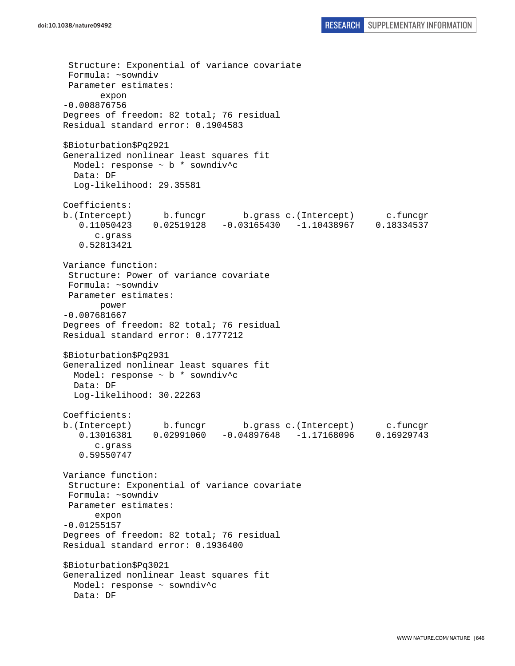```
 Structure: Exponential of variance covariate 
  Formula: ~sowndiv 
 Parameter estimates: 
        expon 
-0.008876756 
Degrees of freedom: 82 total; 76 residual 
Residual standard error: 0.1904583 
$Bioturbation$Pq2921 
Generalized nonlinear least squares fit 
  Model: response ~ b * sowndiv^c 
   Data: DF 
   Log-likelihood: 29.35581 
Coefficients: 
b.(Intercept) b.funcgr b.grass c.(Intercept) c.funcgr 
    0.11050423 0.02519128 -0.03165430 -1.10438967 0.18334537 
       c.grass 
    0.52813421 
Variance function: 
  Structure: Power of variance covariate 
 Formula: ~sowndiv 
 Parameter estimates: 
        power 
-0.007681667 
Degrees of freedom: 82 total; 76 residual 
Residual standard error: 0.1777212 
$Bioturbation$Pq2931 
Generalized nonlinear least squares fit 
  Model: response ~ b * sowndiv^c 
   Data: DF 
   Log-likelihood: 30.22263 
Coefficients: 
b.(Intercept) b.funcgr b.grass c.(Intercept) c.funcgr 
    0.13016381 0.02991060 -0.04897648 -1.17168096 0.16929743 
       c.grass 
    0.59550747 
Variance function: 
  Structure: Exponential of variance covariate 
 Formula: ~sowndiv 
 Parameter estimates: 
       expon 
-0.01255157 
Degrees of freedom: 82 total; 76 residual 
Residual standard error: 0.1936400 
$Bioturbation$Pq3021 
Generalized nonlinear least squares fit 
 Model: response ~ sowndiv^c
   Data: DF
```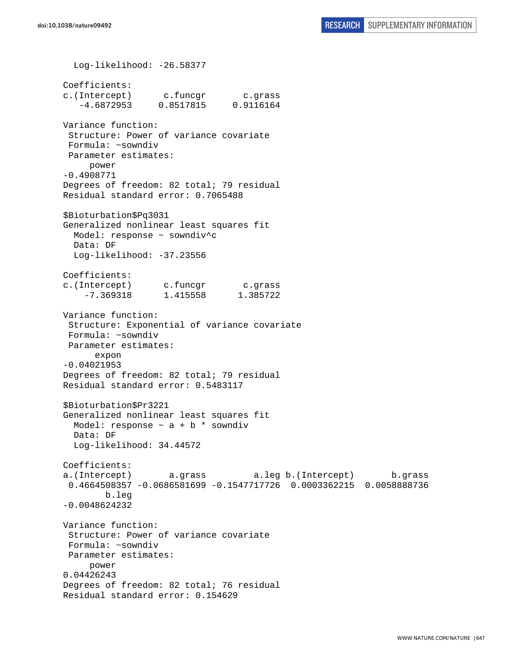Log-likelihood: -26.58377 Coefficients: c.(Intercept) c.funcgr c.grass -4.6872953 0.8517815 0.9116164 Variance function: Structure: Power of variance covariate Formula: ~sowndiv Parameter estimates: power -0.4908771 Degrees of freedom: 82 total; 79 residual Residual standard error: 0.7065488 \$Bioturbation\$Pq3031 Generalized nonlinear least squares fit Model: response ~ sowndiv^c Data: DF Log-likelihood: -37.23556 Coefficients: c.(Intercept) c.funcgr c.grass -7.369318 1.415558 1.385722 Variance function: Structure: Exponential of variance covariate Formula: ~sowndiv Parameter estimates: expon -0.04021953 Degrees of freedom: 82 total; 79 residual Residual standard error: 0.5483117 \$Bioturbation\$Pr3221 Generalized nonlinear least squares fit Model: response  $\sim$  a + b  $*$  sowndiv Data: DF Log-likelihood: 34.44572 Coefficients: a.(Intercept) a.grass a.leg b.(Intercept) b.grass 0.4664508357 -0.0686581699 -0.1547717726 0.0003362215 0.0058888736 b.leg -0.0048624232 Variance function: Structure: Power of variance covariate Formula: ~sowndiv Parameter estimates: power 0.04426243 Degrees of freedom: 82 total; 76 residual Residual standard error: 0.154629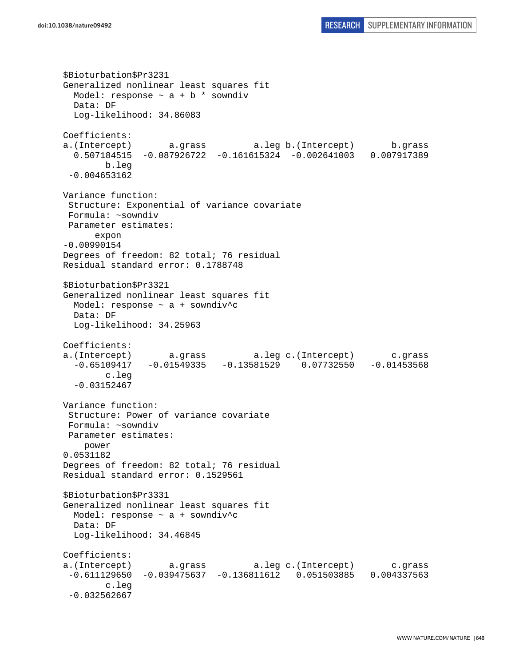```
$Bioturbation$Pr3231 
Generalized nonlinear least squares fit 
 Model: response \sim a + b * sowndiv
  Data: DF 
   Log-likelihood: 34.86083 
Coefficients: 
a.(Intercept) a.grass a.leg b.(Intercept) b.grass 
   0.507184515 -0.087926722 -0.161615324 -0.002641003 0.007917389 
         b.leg 
  -0.004653162 
Variance function: 
  Structure: Exponential of variance covariate 
 Formula: ~sowndiv 
 Parameter estimates: 
       expon 
-0.00990154 
Degrees of freedom: 82 total; 76 residual 
Residual standard error: 0.1788748 
$Bioturbation$Pr3321 
Generalized nonlinear least squares fit 
  Model: response \sim a + sowndiv<sup>^</sup>c
   Data: DF 
   Log-likelihood: 34.25963 
Coefficients: 
a.(Intercept) a.grass a.leg c.(Intercept) c.grass 
  -0.65109417 -0.01549335 -0.13581529 0.07732550 -0.01453568 
         c.leg 
   -0.03152467 
Variance function: 
  Structure: Power of variance covariate 
 Formula: ~sowndiv 
 Parameter estimates: 
     power 
0.0531182 
Degrees of freedom: 82 total; 76 residual 
Residual standard error: 0.1529561 
$Bioturbation$Pr3331 
Generalized nonlinear least squares fit 
  Model: response ~ a + sowndiv^c 
  Data: DF 
  Log-likelihood: 34.46845 
Coefficients: 
a.(Intercept) a.grass a.leg c.(Intercept) c.grass 
  -0.611129650 -0.039475637 -0.136811612 0.051503885 0.004337563 
         c.leg 
  -0.032562667
```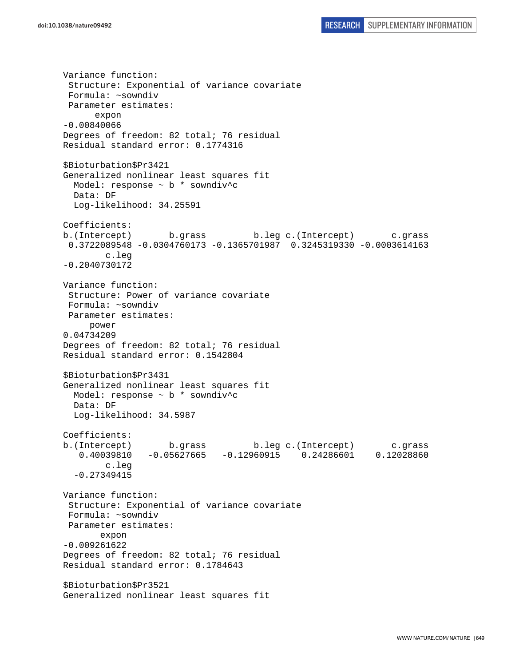Variance function: Structure: Exponential of variance covariate Formula: ~sowndiv Parameter estimates: expon -0.00840066 Degrees of freedom: 82 total; 76 residual Residual standard error: 0.1774316 \$Bioturbation\$Pr3421 Generalized nonlinear least squares fit Model: response ~ b \* sowndiv^c Data: DF Log-likelihood: 34.25591 Coefficients: b.(Intercept) b.grass b.leg c.(Intercept) c.grass 0.3722089548 -0.0304760173 -0.1365701987 0.3245319330 -0.0003614163 c.leg -0.2040730172 Variance function: Structure: Power of variance covariate Formula: ~sowndiv Parameter estimates: power 0.04734209 Degrees of freedom: 82 total; 76 residual Residual standard error: 0.1542804 \$Bioturbation\$Pr3431 Generalized nonlinear least squares fit Model: response ~ b \* sowndiv^c Data: DF Log-likelihood: 34.5987 Coefficients: b.(Intercept) b.grass b.leg c.(Intercept) c.grass 0.40039810 -0.05627665 -0.12960915 0.24286601 0.12028860 c.leg -0.27349415 Variance function: Structure: Exponential of variance covariate Formula: ~sowndiv Parameter estimates: expon -0.009261622 Degrees of freedom: 82 total; 76 residual Residual standard error: 0.1784643 \$Bioturbation\$Pr3521 Generalized nonlinear least squares fit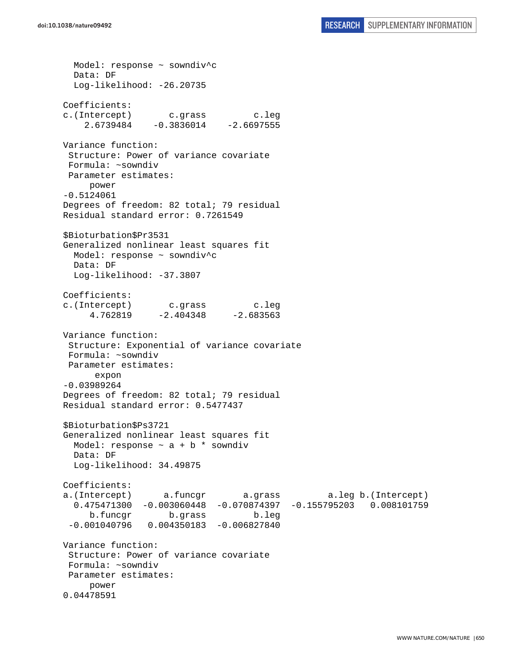Model: response ~ sowndiv^c Data: DF Log-likelihood: -26.20735 Coefficients: c.(Intercept) c.grass c.leg  $2.6739484 -0.3836014 -2.6697555$ Variance function: Structure: Power of variance covariate Formula: ~sowndiv Parameter estimates: power -0.5124061 Degrees of freedom: 82 total; 79 residual Residual standard error: 0.7261549 \$Bioturbation\$Pr3531 Generalized nonlinear least squares fit Model: response ~ sowndiv^c Data: DF Log-likelihood: -37.3807 Coefficients: c.(Intercept) c.grass c.leg 4.762819 -2.404348 -2.683563 Variance function: Structure: Exponential of variance covariate Formula: ~sowndiv Parameter estimates: expon -0.03989264 Degrees of freedom: 82 total; 79 residual Residual standard error: 0.5477437 \$Bioturbation\$Ps3721 Generalized nonlinear least squares fit Model: response  $\sim$  a + b \* sowndiv Data: DF Log-likelihood: 34.49875 Coefficients: a.(Intercept) a.funcgr a.grass a.leg b.(Intercept) 0.475471300 -0.003060448 -0.070874397 -0.155795203 0.008101759 b.funcgr b.grass b.leg -0.001040796 0.004350183 -0.006827840 Variance function: Structure: Power of variance covariate Formula: ~sowndiv Parameter estimates: power 0.04478591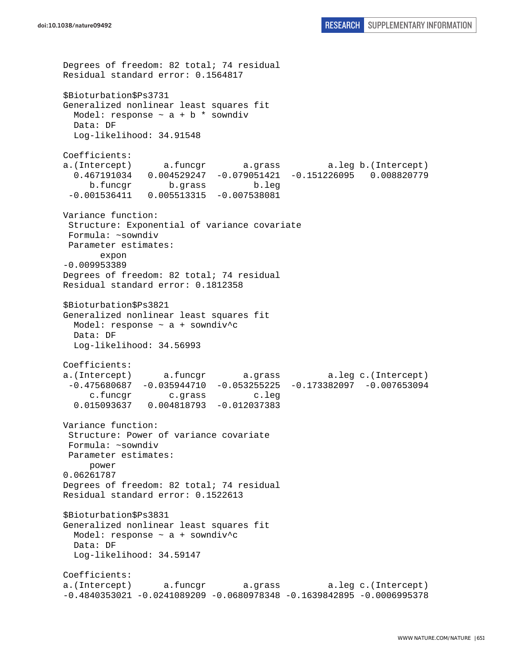Degrees of freedom: 82 total; 74 residual Residual standard error: 0.1564817 \$Bioturbation\$Ps3731 Generalized nonlinear least squares fit Model: response  $\sim$  a + b \* sowndiv Data: DF Log-likelihood: 34.91548 Coefficients: a.(Intercept) a.funcgr a.grass a.leg b.(Intercept) 0.467191034 0.004529247 -0.079051421 -0.151226095 0.008820779 b.funcgr b.grass b.leg -0.001536411 0.005513315 -0.007538081 Variance function: Structure: Exponential of variance covariate Formula: ~sowndiv Parameter estimates: expon -0.009953389 Degrees of freedom: 82 total; 74 residual Residual standard error: 0.1812358 \$Bioturbation\$Ps3821 Generalized nonlinear least squares fit Model: response  $\sim$  a + sowndiv<sup>^</sup>c Data: DF Log-likelihood: 34.56993 Coefficients: a.(Intercept) a.funcgr a.grass a.leg c.(Intercept)  $-0.475680687 -0.035944710 -0.053255225 -0.173382097 -0.007653094$  c.funcgr c.grass c.leg 0.015093637 0.004818793 -0.012037383 Variance function: Structure: Power of variance covariate Formula: ~sowndiv Parameter estimates: power 0.06261787 Degrees of freedom: 82 total; 74 residual Residual standard error: 0.1522613 \$Bioturbation\$Ps3831 Generalized nonlinear least squares fit Model: response ~ a + sowndiv^c Data: DF Log-likelihood: 34.59147 Coefficients: a.(Intercept) a.funcgr a.grass a.leg c.(Intercept) -0.4840353021 -0.0241089209 -0.0680978348 -0.1639842895 -0.0006995378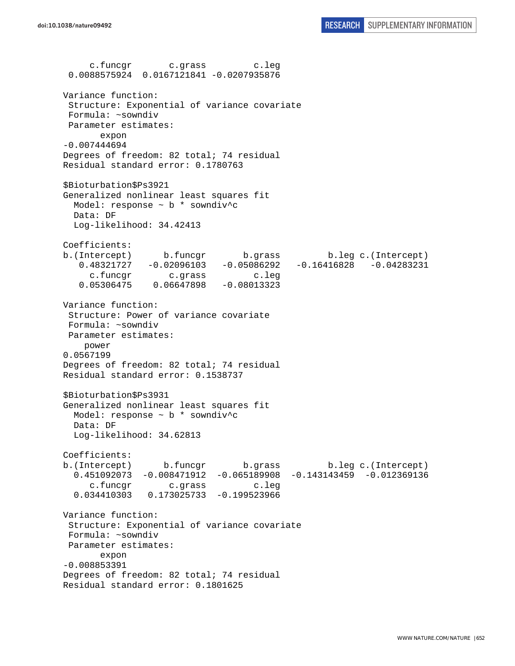c.funcgr c.grass c.leg 0.0088575924 0.0167121841 -0.0207935876 Variance function: Structure: Exponential of variance covariate Formula: ~sowndiv Parameter estimates: expon -0.007444694 Degrees of freedom: 82 total; 74 residual Residual standard error: 0.1780763 \$Bioturbation\$Ps3921 Generalized nonlinear least squares fit Model: response ~ b \* sowndiv^c Data: DF Log-likelihood: 34.42413 Coefficients: b.(Intercept) b.funcgr b.grass b.leg c.(Intercept) 0.48321727 -0.02096103 -0.05086292 -0.16416828 -0.04283231 c.funcgr c.grass c.leg 0.05306475 0.06647898 -0.08013323 Variance function: Structure: Power of variance covariate Formula: ~sowndiv Parameter estimates: power 0.0567199 Degrees of freedom: 82 total; 74 residual Residual standard error: 0.1538737 \$Bioturbation\$Ps3931 Generalized nonlinear least squares fit Model: response ~ b \* sowndiv^c Data: DF Log-likelihood: 34.62813 Coefficients: b.(Intercept) b.funcgr b.grass b.leg c.(Intercept) 0.451092073 -0.008471912 -0.065189908 -0.143143459 -0.012369136 c.funcgr c.grass c.leg 0.034410303 0.173025733 -0.199523966 Variance function: Structure: Exponential of variance covariate Formula: ~sowndiv Parameter estimates: expon -0.008853391 Degrees of freedom: 82 total; 74 residual Residual standard error: 0.1801625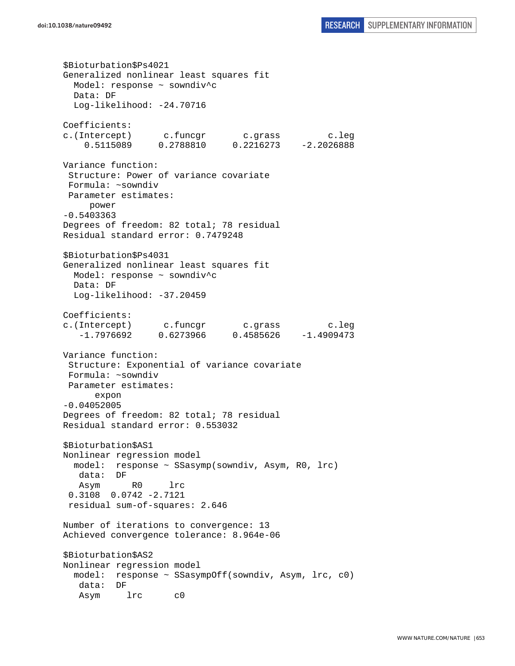\$Bioturbation\$Ps4021 Generalized nonlinear least squares fit Model: response ~ sowndiv^c Data: DF Log-likelihood: -24.70716 Coefficients: c.(Intercept) c.funcgr c.grass c.leg 0.5115089 0.2788810 0.2216273 -2.2026888 Variance function: Structure: Power of variance covariate Formula: ~sowndiv Parameter estimates: power -0.5403363 Degrees of freedom: 82 total; 78 residual Residual standard error: 0.7479248 \$Bioturbation\$Ps4031 Generalized nonlinear least squares fit Model: response ~ sowndiv^c Data: DF Log-likelihood: -37.20459 Coefficients: c.(Intercept) c.funcgr c.grass c.leg -1.7976692 0.6273966 0.4585626 -1.4909473 Variance function: Structure: Exponential of variance covariate Formula: ~sowndiv Parameter estimates: expon -0.04052005 Degrees of freedom: 82 total; 78 residual Residual standard error: 0.553032 \$Bioturbation\$AS1 Nonlinear regression model model: response ~ SSasymp(sowndiv, Asym, R0, lrc) data: DF Asym R0 lrc 0.3108 0.0742 -2.7121 residual sum-of-squares: 2.646 Number of iterations to convergence: 13 Achieved convergence tolerance: 8.964e-06 \$Bioturbation\$AS2 Nonlinear regression model model: response ~ SSasympOff(sowndiv, Asym, lrc, c0) data: DF Asym lrc c0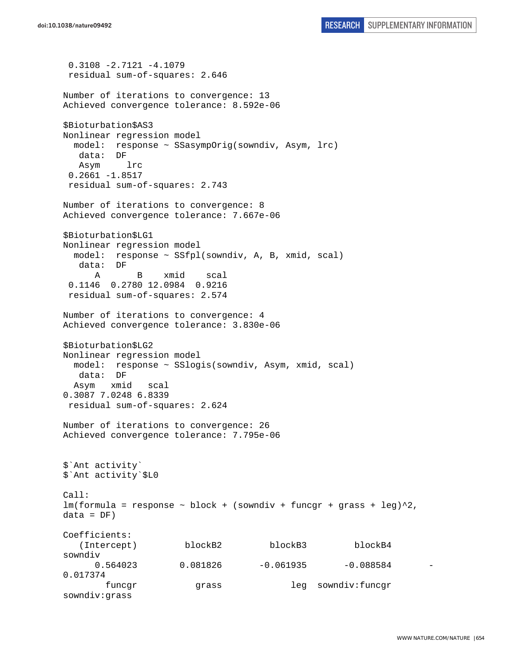```
 0.3108 -2.7121 -4.1079 
  residual sum-of-squares: 2.646 
Number of iterations to convergence: 13 
Achieved convergence tolerance: 8.592e-06 
$Bioturbation$AS3 
Nonlinear regression model 
  model: response ~ SSasympOrig(sowndiv, Asym, lrc) 
   data: DF 
   Asym lrc 
 0.2661 - 1.8517 residual sum-of-squares: 2.743 
Number of iterations to convergence: 8 
Achieved convergence tolerance: 7.667e-06 
$Bioturbation$LG1 
Nonlinear regression model 
  model: response ~ SSfpl(sowndiv, A, B, xmid, scal) 
    data: DF 
      A B xmid scal 
  0.1146 0.2780 12.0984 0.9216 
  residual sum-of-squares: 2.574 
Number of iterations to convergence: 4 
Achieved convergence tolerance: 3.830e-06 
$Bioturbation$LG2 
Nonlinear regression model 
  model: response ~ SSlogis(sowndiv, Asym, xmid, scal) 
   data: DF 
  Asym xmid scal 
0.3087 7.0248 6.8339 
 residual sum-of-squares: 2.624 
Number of iterations to convergence: 26 
Achieved convergence tolerance: 7.795e-06 
$`Ant activity` 
$`Ant activity`$L0 
Call: 
lm(formula = response ~ block + (sowndiv + funcgr + grass + leg)^2,data = DF)Coefficients: 
   (Intercept) blockB2 blockB3 blockB4
sowndiv 
     0.564023 0.081826 -0.061935 -0.0885840.017374 
        funcgr grass leg sowndiv:funcgr 
sowndiv:grass
```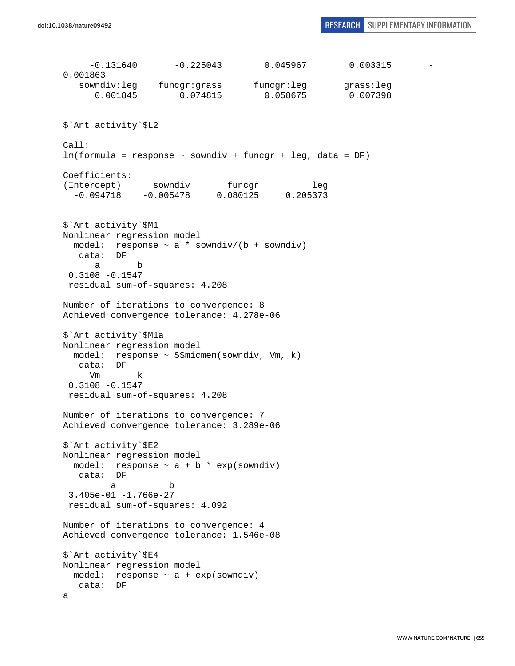-0.131640 -0.225043 0.045967 0.003315 - 0.001863 sowndiv:leg funcgr:grass funcgr:leg grass:leg 0.001845 0.074815 0.058675 0.007398 \$`Ant activity`\$L2 Call: lm(formula = response ~ sowndiv + funcgr + leg, data = DF) Coefficients: (Intercept) sowndiv funcgr leg -0.094718 -0.005478 0.080125 0.205373 \$`Ant activity`\$M1 Nonlinear regression model model: response  $\sim$  a \* sowndiv/(b + sowndiv) data: DF a b 0.3108 -0.1547 residual sum-of-squares: 4.208 Number of iterations to convergence: 8 Achieved convergence tolerance: 4.278e-06 \$`Ant activity`\$M1a Nonlinear regression model model: response ~ SSmicmen(sowndiv, Vm, k) data: DF Vm k 0.3108 -0.1547 residual sum-of-squares: 4.208 Number of iterations to convergence: 7 Achieved convergence tolerance: 3.289e-06 \$`Ant activity`\$E2 Nonlinear regression model model: response  $\sim$  a + b \* exp(sowndiv) data: DF a b 3.405e-01 -1.766e-27 residual sum-of-squares: 4.092 Number of iterations to convergence: 4 Achieved convergence tolerance: 1.546e-08 \$`Ant activity`\$E4 Nonlinear regression model model: response  $\sim$  a + exp(sowndiv) data: DF a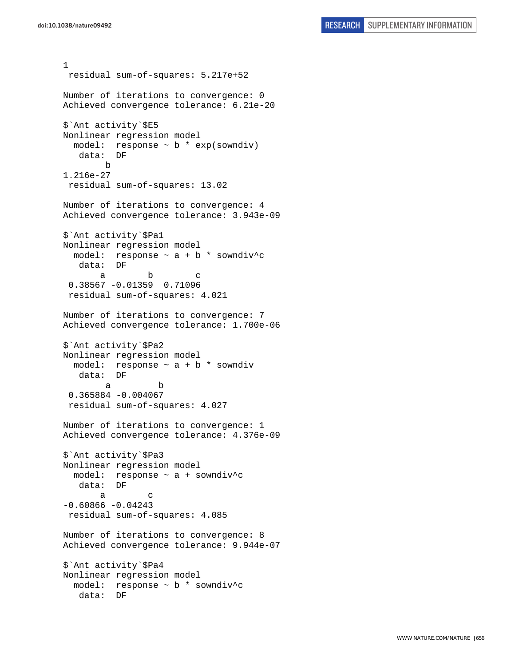```
1 
 residual sum-of-squares: 5.217e+52 
Number of iterations to convergence: 0 
Achieved convergence tolerance: 6.21e-20 
$`Ant activity`$E5 
Nonlinear regression model 
   model: response ~ b * exp(sowndiv) 
    data: DF 
        b 
1.216e-27 
  residual sum-of-squares: 13.02 
Number of iterations to convergence: 4 
Achieved convergence tolerance: 3.943e-09 
$`Ant activity`$Pa1 
Nonlinear regression model 
 model: response \sim a + b * sowndiv<sup>^</sup>c
    data: DF 
a b c
  0.38567 -0.01359 0.71096 
  residual sum-of-squares: 4.021 
Number of iterations to convergence: 7 
Achieved convergence tolerance: 1.700e-06 
$`Ant activity`$Pa2 
Nonlinear regression model 
 model: response \sim a + b * sowndiv
   data: DF 
 a b 
  0.365884 -0.004067 
  residual sum-of-squares: 4.027 
Number of iterations to convergence: 1 
Achieved convergence tolerance: 4.376e-09 
$`Ant activity`$Pa3 
Nonlinear regression model 
   model: response ~ a + sowndiv^c 
    data: DF 
 a c 
-0.60866 - 0.04243 residual sum-of-squares: 4.085 
Number of iterations to convergence: 8 
Achieved convergence tolerance: 9.944e-07 
$`Ant activity`$Pa4 
Nonlinear regression model 
  model: response ~ b * sowndiv^c 
    data: DF
```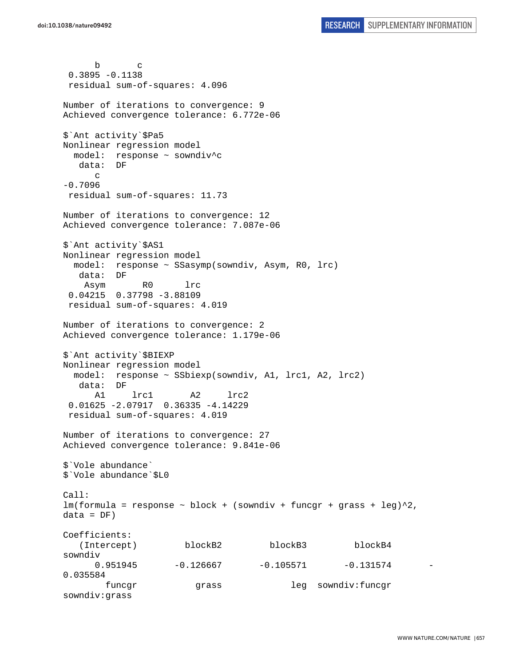b c 0.3895 -0.1138 residual sum-of-squares: 4.096 Number of iterations to convergence: 9 Achieved convergence tolerance: 6.772e-06 \$`Ant activity`\$Pa5 Nonlinear regression model model: response ~ sowndiv^c data: DF  $\Gamma$ -0.7096 residual sum-of-squares: 11.73 Number of iterations to convergence: 12 Achieved convergence tolerance: 7.087e-06 \$`Ant activity`\$AS1 Nonlinear regression model model: response ~ SSasymp(sowndiv, Asym, R0, lrc) data: DF Asym R0 lrc 0.04215 0.37798 -3.88109 residual sum-of-squares: 4.019 Number of iterations to convergence: 2 Achieved convergence tolerance: 1.179e-06 \$`Ant activity`\$BIEXP Nonlinear regression model model: response ~ SSbiexp(sowndiv, A1, lrc1, A2, lrc2) data: DF A1 lrc1 A2 lrc2 0.01625 -2.07917 0.36335 -4.14229 residual sum-of-squares: 4.019 Number of iterations to convergence: 27 Achieved convergence tolerance: 9.841e-06 \$`Vole abundance` \$`Vole abundance`\$L0 Call:  $lm(formula = response ~ block + (sowndiv + funcgr + grass + leg)^2,$  $data = DF)$ Coefficients: (Intercept) blockB2 blockB3 blockB4 sowndiv 0.951945 -0.126667 -0.105571 -0.131574 -0.035584 funcgr grass leg sowndiv:funcgr sowndiv:grass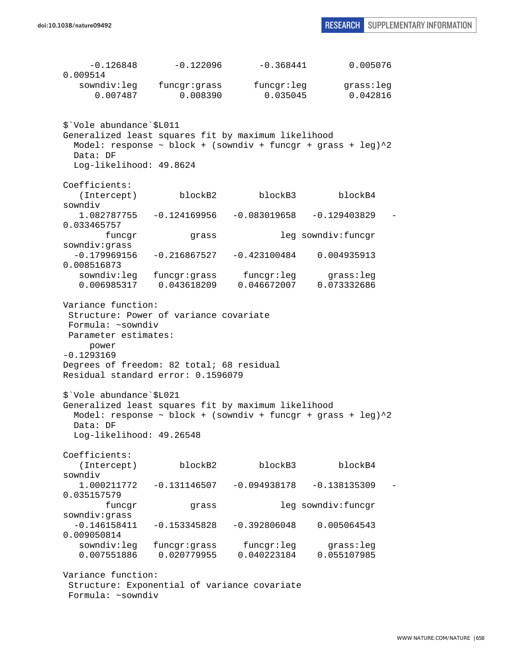-0.126848 -0.122096 -0.368441 0.005076 0.009514 sowndiv:leg funcgr:grass funcgr:leg grass:leg 0.007487 0.008390 0.035045 0.042816 \$`Vole abundance`\$L011 Generalized least squares fit by maximum likelihood Model: response  $\sim$  block + (sowndiv + funcgr + grass + leg) $^2$ 2 Data: DF Log-likelihood: 49.8624 Coefficients: (Intercept) blockB2 blockB3 blockB4 sowndiv 1.082787755 -0.124169956 -0.083019658 -0.129403829 - 0.033465757 funcgr grass leg sowndiv:funcgr sowndiv:grass -0.179969156 -0.216867527 -0.423100484 0.004935913 0.008516873 sowndiv:leg funcgr:grass funcgr:leg grass:leg 0.006985317 0.043618209 0.046672007 0.073332686 Variance function: Structure: Power of variance covariate Formula: ~sowndiv Parameter estimates: power -0.1293169 Degrees of freedom: 82 total; 68 residual Residual standard error: 0.1596079 \$`Vole abundance`\$L021 Generalized least squares fit by maximum likelihood Model: response  $\sim$  block + (sowndiv + funcgr + grass + leg) $\textdegree{}2$  Data: DF Log-likelihood: 49.26548 Coefficients: (Intercept) blockB2 blockB3 blockB4 sowndiv 1.000211772 -0.131146507 -0.094938178 -0.138135309 - 0.035157579 funcgr grass leg sowndiv:funcgr sowndiv:grass -0.146158411 -0.153345828 -0.392806048 0.005064543 0.009050814 sowndiv:leg funcgr:grass funcgr:leg grass:leg 0.007551886 0.020779955 0.040223184 0.055107985 Variance function: Structure: Exponential of variance covariate Formula: ~sowndiv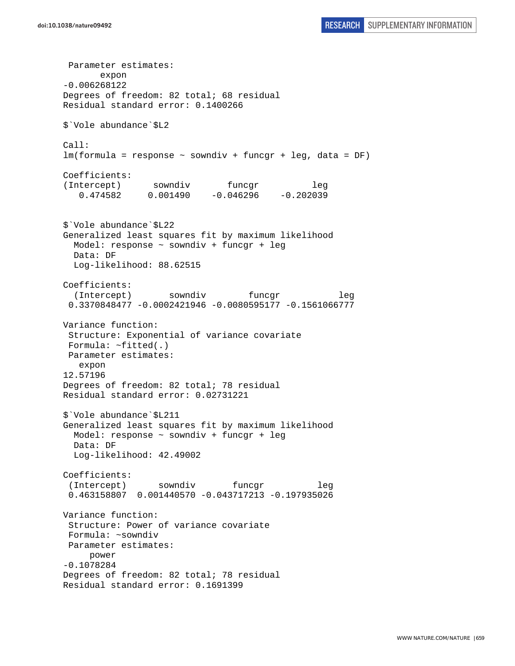Parameter estimates: expon -0.006268122 Degrees of freedom: 82 total; 68 residual Residual standard error: 0.1400266 \$`Vole abundance`\$L2 Call: lm(formula = response ~ sowndiv + funcgr + leg, data = DF) Coefficients: (Intercept) sowndiv funcgr leg 0.474582 0.001490 -0.046296 -0.202039 \$`Vole abundance`\$L22 Generalized least squares fit by maximum likelihood Model: response ~ sowndiv + funcgr + leg Data: DF Log-likelihood: 88.62515 Coefficients: (Intercept) sowndiv funcgr leg 0.3370848477 -0.0002421946 -0.0080595177 -0.1561066777 Variance function: Structure: Exponential of variance covariate Formula: ~fitted(.) Parameter estimates: expon 12.57196 Degrees of freedom: 82 total; 78 residual Residual standard error: 0.02731221 \$`Vole abundance`\$L211 Generalized least squares fit by maximum likelihood Model: response ~ sowndiv + funcgr + leg Data: DF Log-likelihood: 42.49002 Coefficients: (Intercept) sowndiv funcgr leg 0.463158807 0.001440570 -0.043717213 -0.197935026 Variance function: Structure: Power of variance covariate Formula: ~sowndiv Parameter estimates: power -0.1078284 Degrees of freedom: 82 total; 78 residual Residual standard error: 0.1691399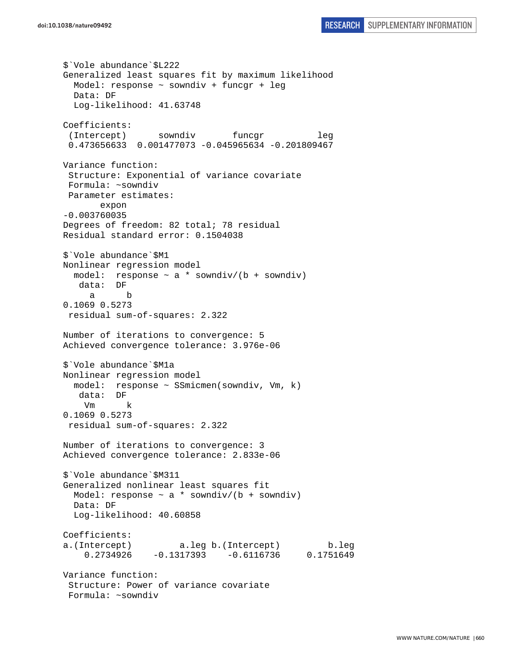\$`Vole abundance`\$L222 Generalized least squares fit by maximum likelihood Model: response ~ sowndiv + funcgr + leg Data: DF Log-likelihood: 41.63748 Coefficients: (Intercept) sowndiv funcgr leg 0.473656633 0.001477073 -0.045965634 -0.201809467 Variance function: Structure: Exponential of variance covariate Formula: ~sowndiv Parameter estimates: expon -0.003760035 Degrees of freedom: 82 total; 78 residual Residual standard error: 0.1504038 \$`Vole abundance`\$M1 Nonlinear regression model model: response ~ a \* sowndiv/(b + sowndiv) data: DF a b 0.1069 0.5273 residual sum-of-squares: 2.322 Number of iterations to convergence: 5 Achieved convergence tolerance: 3.976e-06 \$`Vole abundance`\$M1a Nonlinear regression model model: response ~ SSmicmen(sowndiv, Vm, k) data: DF Vm k 0.1069 0.5273 residual sum-of-squares: 2.322 Number of iterations to convergence: 3 Achieved convergence tolerance: 2.833e-06 \$`Vole abundance`\$M311 Generalized nonlinear least squares fit Model: response  $\sim$  a  $*$  sowndiv/(b + sowndiv) Data: DF Log-likelihood: 40.60858 Coefficients: a.(Intercept) a.leg b.(Intercept) b.leg 0.2734926 -0.1317393 -0.6116736 0.1751649 Variance function: Structure: Power of variance covariate Formula: ~sowndiv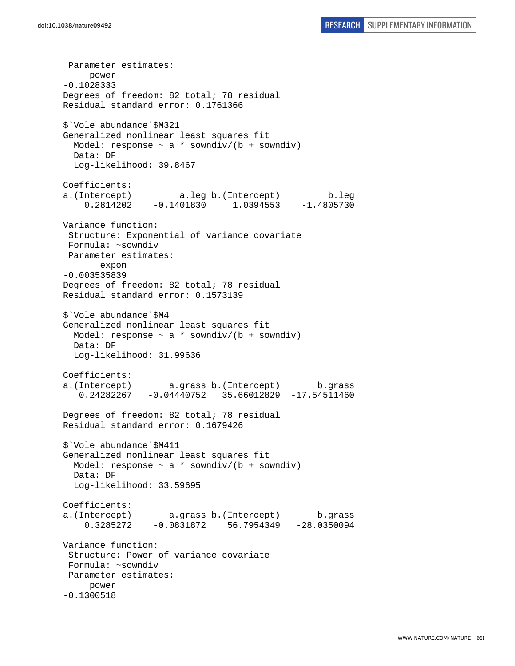Parameter estimates: power -0.1028333 Degrees of freedom: 82 total; 78 residual Residual standard error: 0.1761366 \$`Vole abundance`\$M321 Generalized nonlinear least squares fit Model: response  $\sim$  a \* sowndiv/(b + sowndiv) Data: DF Log-likelihood: 39.8467 Coefficients: a.(Intercept) a.leg b.(Intercept) b.leg 0.2814202 -0.1401830 1.0394553 -1.4805730 Variance function: Structure: Exponential of variance covariate Formula: ~sowndiv Parameter estimates: expon -0.003535839 Degrees of freedom: 82 total; 78 residual Residual standard error: 0.1573139 \$`Vole abundance`\$M4 Generalized nonlinear least squares fit Model: response  $\sim$  a \* sowndiv/(b + sowndiv) Data: DF Log-likelihood: 31.99636 Coefficients: a.(Intercept) a.grass b.(Intercept) b.grass 0.24282267 -0.04440752 35.66012829 -17.54511460 Degrees of freedom: 82 total; 78 residual Residual standard error: 0.1679426 \$`Vole abundance`\$M411 Generalized nonlinear least squares fit Model: response  $\sim$  a \* sowndiv/(b + sowndiv) Data: DF Log-likelihood: 33.59695 Coefficients: a.(Intercept) a.grass b.(Intercept) b.grass 0.3285272 -0.0831872 56.7954349 -28.0350094 Variance function: Structure: Power of variance covariate Formula: ~sowndiv Parameter estimates: power -0.1300518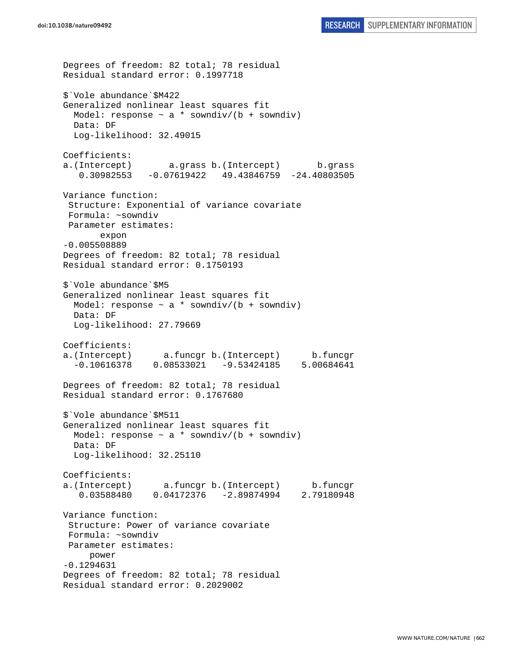```
Degrees of freedom: 82 total; 78 residual 
Residual standard error: 0.1997718 
$`Vole abundance`$M422 
Generalized nonlinear least squares fit 
  Model: response \sim a * sowndiv/(b + sowndiv)
  Data: DF 
  Log-likelihood: 32.49015 
Coefficients: 
a.(Intercept) a.grass b.(Intercept) b.grass 
    0.30982553 -0.07619422 49.43846759 -24.40803505 
Variance function: 
  Structure: Exponential of variance covariate 
 Formula: ~sowndiv 
 Parameter estimates: 
        expon 
-0.005508889 
Degrees of freedom: 82 total; 78 residual 
Residual standard error: 0.1750193 
$`Vole abundance`$M5 
Generalized nonlinear least squares fit 
  Model: response \sim a * sowndiv/(b + sowndiv)
   Data: DF 
   Log-likelihood: 27.79669 
Coefficients: 
a.(Intercept) a.funcgr b.(Intercept) b.funcgr 
  -0.10616378 0.08533021 -9.53424185 5.00684641 
Degrees of freedom: 82 total; 78 residual 
Residual standard error: 0.1767680 
$`Vole abundance`$M511 
Generalized nonlinear least squares fit 
 Model: response \sim a * sowndiv/(b + sowndiv)
  Data: DF 
  Log-likelihood: 32.25110 
Coefficients: 
a.(Intercept) a.funcgr b.(Intercept) b.funcgr 
    0.03588480 0.04172376 -2.89874994 2.79180948 
Variance function: 
  Structure: Power of variance covariate 
  Formula: ~sowndiv 
 Parameter estimates: 
      power 
-0.1294631 
Degrees of freedom: 82 total; 78 residual 
Residual standard error: 0.2029002
```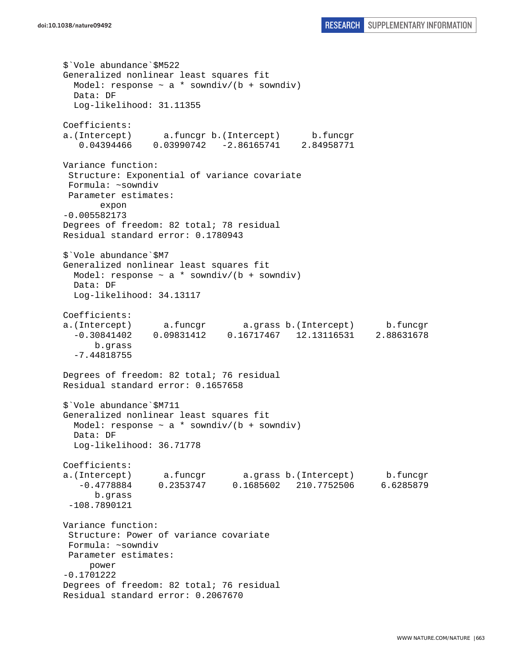\$`Vole abundance`\$M522 Generalized nonlinear least squares fit Model: response  $\sim$  a  $*$  sowndiv/(b + sowndiv) Data: DF Log-likelihood: 31.11355 Coefficients: a.(Intercept) a.funcgr b.(Intercept) b.funcgr 0.04394466 0.03990742 -2.86165741 2.84958771 Variance function: Structure: Exponential of variance covariate Formula: ~sowndiv Parameter estimates: expon -0.005582173 Degrees of freedom: 82 total; 78 residual Residual standard error: 0.1780943 \$`Vole abundance`\$M7 Generalized nonlinear least squares fit Model: response  $\sim$  a \* sowndiv/(b + sowndiv) Data: DF Log-likelihood: 34.13117 Coefficients: a.(Intercept) a.funcgr a.grass b.(Intercept) b.funcgr -0.30841402 0.09831412 0.16717467 12.13116531 2.88631678 b.grass -7.44818755 Degrees of freedom: 82 total; 76 residual Residual standard error: 0.1657658 \$`Vole abundance`\$M711 Generalized nonlinear least squares fit Model: response  $\sim$  a \* sowndiv/(b + sowndiv) Data: DF Log-likelihood: 36.71778 Coefficients: a.(Intercept) a.funcgr a.grass b.(Intercept) b.funcgr -0.4778884 0.2353747 0.1685602 210.7752506 6.6285879 b.grass -108.7890121 Variance function: Structure: Power of variance covariate Formula: ~sowndiv Parameter estimates: power -0.1701222 Degrees of freedom: 82 total; 76 residual Residual standard error: 0.2067670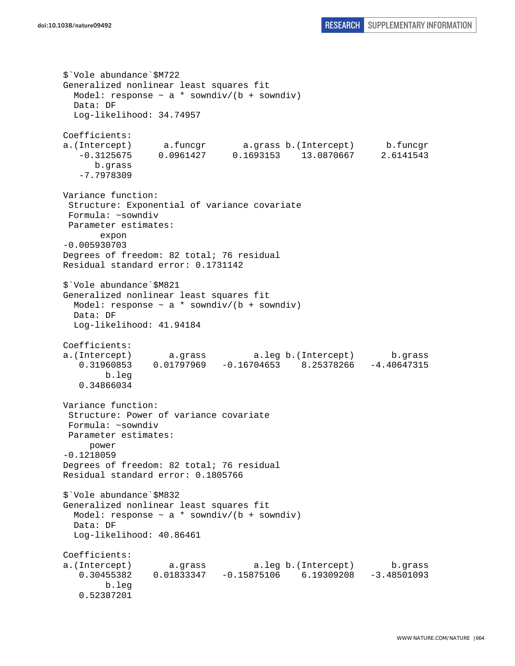```
$`Vole abundance`$M722 
Generalized nonlinear least squares fit 
 Model: response \sim a * sowndiv/(b + sowndiv)
  Data: DF 
   Log-likelihood: 34.74957 
Coefficients: 
a.(Intercept) a.funcgr a.grass b.(Intercept) b.funcgr 
    -0.3125675 0.0961427 0.1693153 13.0870667 2.6141543 
       b.grass 
    -7.7978309 
Variance function: 
  Structure: Exponential of variance covariate 
 Formula: ~sowndiv 
 Parameter estimates: 
        expon 
-0.005930703 
Degrees of freedom: 82 total; 76 residual 
Residual standard error: 0.1731142 
$`Vole abundance`$M821 
Generalized nonlinear least squares fit 
  Model: response \sim a * sowndiv/(b + sowndiv)
   Data: DF 
   Log-likelihood: 41.94184 
Coefficients: 
a.(Intercept) a.grass a.leg b.(Intercept) b.grass 
   0.31960853 0.01797969 -0.16704653 8.25378266 -4.40647315 
         b.leg 
    0.34866034 
Variance function: 
  Structure: Power of variance covariate 
  Formula: ~sowndiv 
 Parameter estimates: 
     power 
-0.1218059 
Degrees of freedom: 82 total; 76 residual 
Residual standard error: 0.1805766 
$`Vole abundance`$M832 
Generalized nonlinear least squares fit 
 Model: response \sim a * sowndiv/(b + sowndiv)
  Data: DF 
   Log-likelihood: 40.86461 
Coefficients: 
a.(Intercept) a.grass a.leg b.(Intercept) b.grass 
   0.30455382 0.01833347 -0.15875106 6.19309208 -3.48501093 
         b.leg 
    0.52387201
```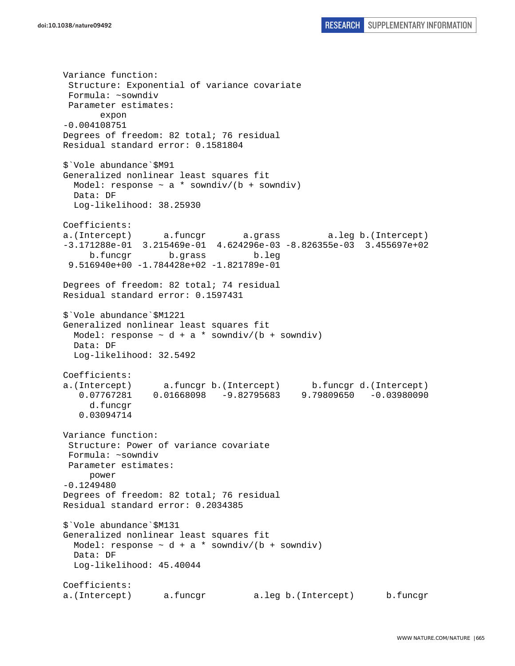Variance function: Structure: Exponential of variance covariate Formula: ~sowndiv Parameter estimates: expon -0.004108751 Degrees of freedom: 82 total; 76 residual Residual standard error: 0.1581804 \$`Vole abundance`\$M91 Generalized nonlinear least squares fit Model: response  $\sim$  a \* sowndiv/(b + sowndiv) Data: DF Log-likelihood: 38.25930 Coefficients: a.(Intercept) a.funcgr a.grass a.leg b.(Intercept) -3.171288e-01 3.215469e-01 4.624296e-03 -8.826355e-03 3.455697e+02 b.funcgr b.grass b.leg 9.516940e+00 -1.784428e+02 -1.821789e-01 Degrees of freedom: 82 total; 74 residual Residual standard error: 0.1597431 \$`Vole abundance`\$M1221 Generalized nonlinear least squares fit Model: response  $\sim d + a *$  sowndiv/(b + sowndiv) Data: DF Log-likelihood: 32.5492 Coefficients: a.(Intercept) a.funcgr b.(Intercept) b.funcgr d.(Intercept) 0.07767281 0.01668098 -9.82795683 9.79809650 -0.03980090 d.funcgr 0.03094714 Variance function: Structure: Power of variance covariate Formula: ~sowndiv Parameter estimates: power -0.1249480 Degrees of freedom: 82 total; 76 residual Residual standard error: 0.2034385 \$`Vole abundance`\$M131 Generalized nonlinear least squares fit Model: response  $\sim d + a *$  sowndiv/(b + sowndiv) Data: DF Log-likelihood: 45.40044 Coefficients: a.(Intercept) a.funcgr a.leg b.(Intercept) b.funcgr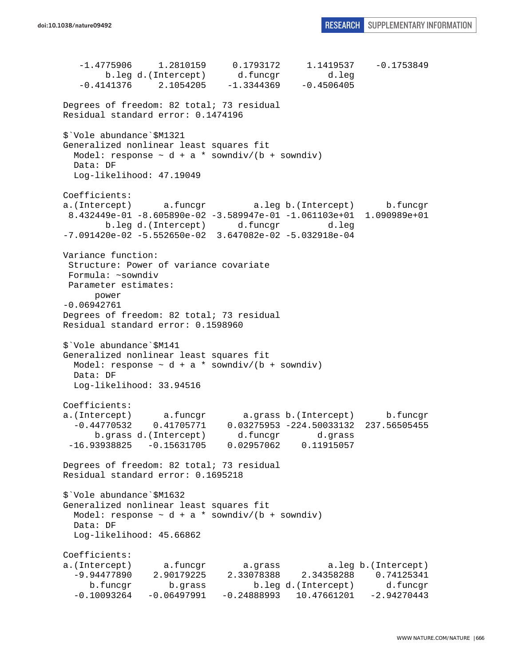-1.4775906 1.2810159 0.1793172 1.1419537 -0.1753849 b.leg d.(Intercept) d.funcgr d.leg  $-0.4141376$  2.1054205  $-1.3344369$   $-0.4506405$ Degrees of freedom: 82 total; 73 residual Residual standard error: 0.1474196 \$`Vole abundance`\$M1321 Generalized nonlinear least squares fit Model: response  $\sim d + a *$  sowndiv/(b + sowndiv) Data: DF Log-likelihood: 47.19049 Coefficients: a.(Intercept) a.funcgr a.leg b.(Intercept) b.funcgr 8.432449e-01 -8.605890e-02 -3.589947e-01 -1.061103e+01 1.090989e+01 b.leg d.(Intercept) d.funcgr d.leg -7.091420e-02 -5.552650e-02 3.647082e-02 -5.032918e-04 Variance function: Structure: Power of variance covariate Formula: ~sowndiv Parameter estimates: power -0.06942761 Degrees of freedom: 82 total; 73 residual Residual standard error: 0.1598960 \$`Vole abundance`\$M141 Generalized nonlinear least squares fit Model: response  $\sim d + a *$  sowndiv/(b + sowndiv) Data: DF Log-likelihood: 33.94516 Coefficients: a.(Intercept) a.funcgr a.grass b.(Intercept) b.funcgr -0.44770532 0.41705771 0.03275953 -224.50033132 237.56505455 b.grass d.(Intercept) d.funcgr d.grass -16.93938825 -0.15631705 0.02957062 0.11915057 Degrees of freedom: 82 total; 73 residual Residual standard error: 0.1695218 \$`Vole abundance`\$M1632 Generalized nonlinear least squares fit Model: response  $\sim d + a *$  sowndiv/(b + sowndiv) Data: DF Log-likelihood: 45.66862 Coefficients: a.(Intercept) a.funcgr a.grass a.leg b.(Intercept) -9.94477890 2.90179225 2.33078388 2.34358288 0.74125341 b.funcgr b.grass b.leg d.(Intercept) d.funcgr  $-0.10093264 -0.06497991 -0.24888993 10.47661201 -2.94270443$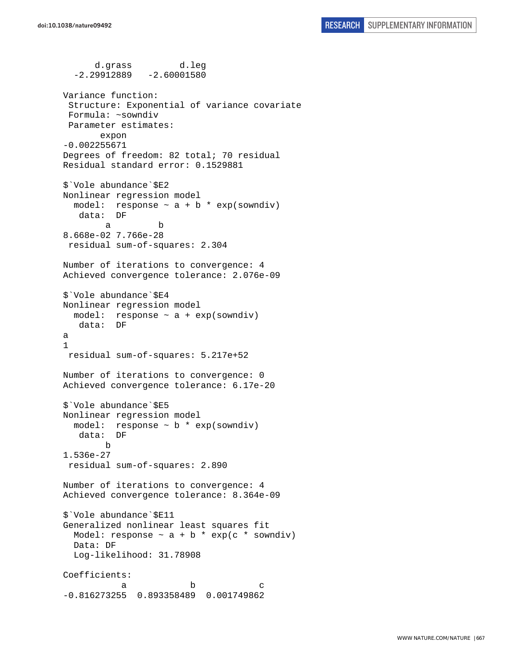d.grass d.leg  $-2.29912889 -2.60001580$ Variance function: Structure: Exponential of variance covariate Formula: ~sowndiv Parameter estimates: expon -0.002255671 Degrees of freedom: 82 total; 70 residual Residual standard error: 0.1529881 \$`Vole abundance`\$E2 Nonlinear regression model model: response  $\sim$  a + b \* exp(sowndiv) data: DF a b 8.668e-02 7.766e-28 residual sum-of-squares: 2.304 Number of iterations to convergence: 4 Achieved convergence tolerance: 2.076e-09 \$`Vole abundance`\$E4 Nonlinear regression model model: response  $\sim$  a + exp(sowndiv) data: DF a 1 residual sum-of-squares: 5.217e+52 Number of iterations to convergence: 0 Achieved convergence tolerance: 6.17e-20 \$`Vole abundance`\$E5 Nonlinear regression model model: response ~ b \* exp(sowndiv) data: DF b 1.536e-27 residual sum-of-squares: 2.890 Number of iterations to convergence: 4 Achieved convergence tolerance: 8.364e-09 \$`Vole abundance`\$E11 Generalized nonlinear least squares fit Model: response  $\sim$  a + b \* exp(c \* sowndiv) Data: DF Log-likelihood: 31.78908 Coefficients: a b c -0.816273255 0.893358489 0.001749862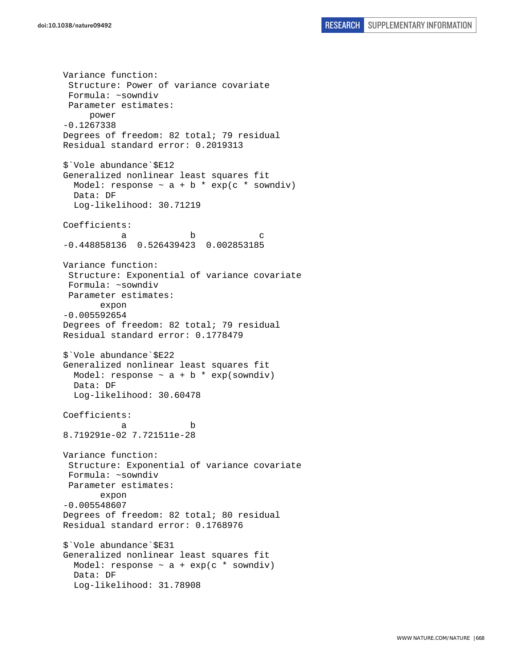Variance function: Structure: Power of variance covariate Formula: ~sowndiv Parameter estimates: power -0.1267338 Degrees of freedom: 82 total; 79 residual Residual standard error: 0.2019313 \$`Vole abundance`\$E12 Generalized nonlinear least squares fit Model: response  $\sim$  a + b \* exp(c \* sowndiv) Data: DF Log-likelihood: 30.71219 Coefficients: a b c -0.448858136 0.526439423 0.002853185 Variance function: Structure: Exponential of variance covariate Formula: ~sowndiv Parameter estimates: expon -0.005592654 Degrees of freedom: 82 total; 79 residual Residual standard error: 0.1778479 \$`Vole abundance`\$E22 Generalized nonlinear least squares fit Model: response  $\sim$  a + b  $*$  exp(sowndiv) Data: DF Log-likelihood: 30.60478 Coefficients: a b 8.719291e-02 7.721511e-28 Variance function: Structure: Exponential of variance covariate Formula: ~sowndiv Parameter estimates: expon -0.005548607 Degrees of freedom: 82 total; 80 residual Residual standard error: 0.1768976 \$`Vole abundance`\$E31 Generalized nonlinear least squares fit Model: response  $\sim$  a + exp(c  $*$  sowndiv) Data: DF Log-likelihood: 31.78908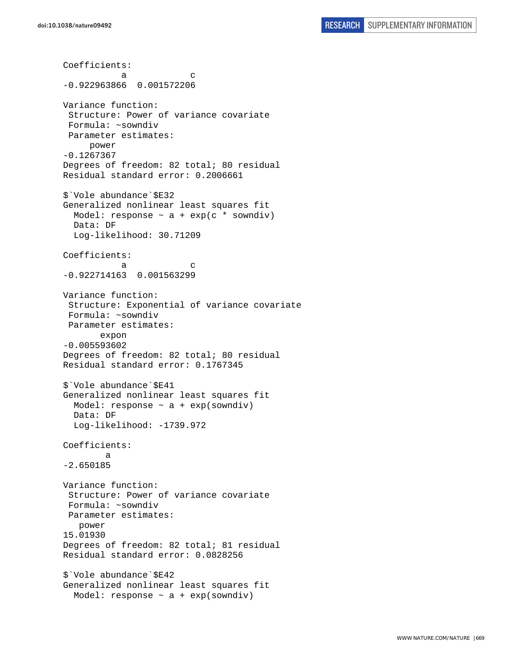Coefficients: a c -0.922963866 0.001572206 Variance function: Structure: Power of variance covariate Formula: ~sowndiv Parameter estimates: power -0.1267367 Degrees of freedom: 82 total; 80 residual Residual standard error: 0.2006661 \$`Vole abundance`\$E32 Generalized nonlinear least squares fit Model: response  $\sim$  a + exp(c \* sowndiv) Data: DF Log-likelihood: 30.71209 Coefficients: a c -0.922714163 0.001563299 Variance function: Structure: Exponential of variance covariate Formula: ~sowndiv Parameter estimates: expon -0.005593602 Degrees of freedom: 82 total; 80 residual Residual standard error: 0.1767345 \$`Vole abundance`\$E41 Generalized nonlinear least squares fit Model: response  $\sim$  a + exp(sowndiv) Data: DF Log-likelihood: -1739.972 Coefficients: a -2.650185 Variance function: Structure: Power of variance covariate Formula: ~sowndiv Parameter estimates: power 15.01930 Degrees of freedom: 82 total; 81 residual Residual standard error: 0.0828256 \$`Vole abundance`\$E42 Generalized nonlinear least squares fit Model: response  $\sim$  a + exp(sowndiv)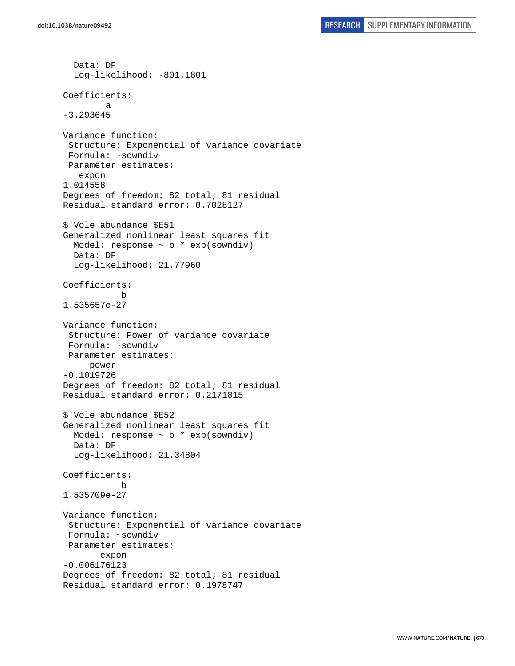```
 Data: DF 
   Log-likelihood: -801.1801 
Coefficients: 
 a 
-3.293645 
Variance function: 
  Structure: Exponential of variance covariate 
  Formula: ~sowndiv 
  Parameter estimates: 
    expon 
1.014558 
Degrees of freedom: 82 total; 81 residual 
Residual standard error: 0.7028127 
$`Vole abundance`$E51 
Generalized nonlinear least squares fit 
  Model: response \sim b * exp(sowndiv)
   Data: DF 
   Log-likelihood: 21.77960 
Coefficients: 
 b 
1.535657e-27 
Variance function: 
  Structure: Power of variance covariate 
  Formula: ~sowndiv 
 Parameter estimates: 
      power 
-0.1019726 
Degrees of freedom: 82 total; 81 residual 
Residual standard error: 0.2171815 
$`Vole abundance`$E52 
Generalized nonlinear least squares fit 
  Model: response \sim b * exp(sowndiv)
   Data: DF 
   Log-likelihood: 21.34804 
Coefficients: 
 b 
1.535709e-27 
Variance function: 
  Structure: Exponential of variance covariate 
  Formula: ~sowndiv 
  Parameter estimates: 
        expon 
-0.006176123 
Degrees of freedom: 82 total; 81 residual 
Residual standard error: 0.1978747
```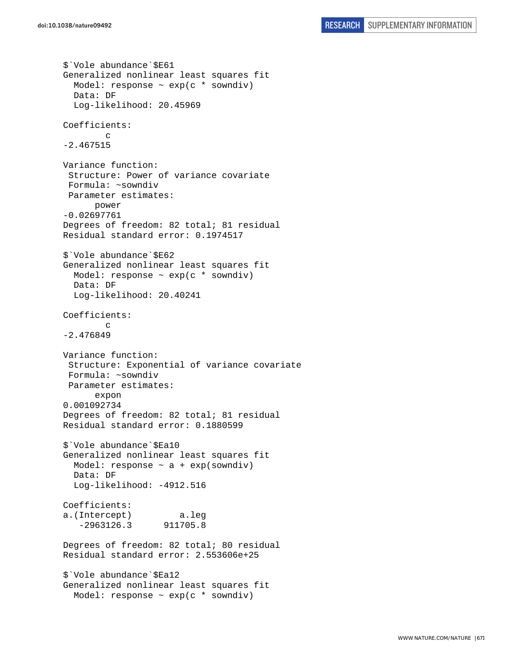```
$`Vole abundance`$E61 
Generalized nonlinear least squares fit 
  Model: response \sim exp(c * sowndiv)
   Data: DF 
   Log-likelihood: 20.45969 
Coefficients: 
         c 
-2.467515 
Variance function: 
  Structure: Power of variance covariate 
  Formula: ~sowndiv 
 Parameter estimates: 
       power 
-0.02697761 
Degrees of freedom: 82 total; 81 residual 
Residual standard error: 0.1974517 
$`Vole abundance`$E62 
Generalized nonlinear least squares fit 
  Model: response \sim exp(c * sowndiv)
   Data: DF 
   Log-likelihood: 20.40241 
Coefficients: 
 c 
-2.476849 
Variance function: 
  Structure: Exponential of variance covariate 
  Formula: ~sowndiv 
 Parameter estimates: 
       expon 
0.001092734 
Degrees of freedom: 82 total; 81 residual 
Residual standard error: 0.1880599 
$`Vole abundance`$Ea10 
Generalized nonlinear least squares fit 
  Model: response \sim a + exp(sowndiv)
   Data: DF 
   Log-likelihood: -4912.516 
Coefficients: 
a.(Intercept) a.leg 
    -2963126.3 911705.8 
Degrees of freedom: 82 total; 80 residual 
Residual standard error: 2.553606e+25 
$`Vole abundance`$Ea12 
Generalized nonlinear least squares fit 
   Model: response ~ exp(c * sowndiv)
```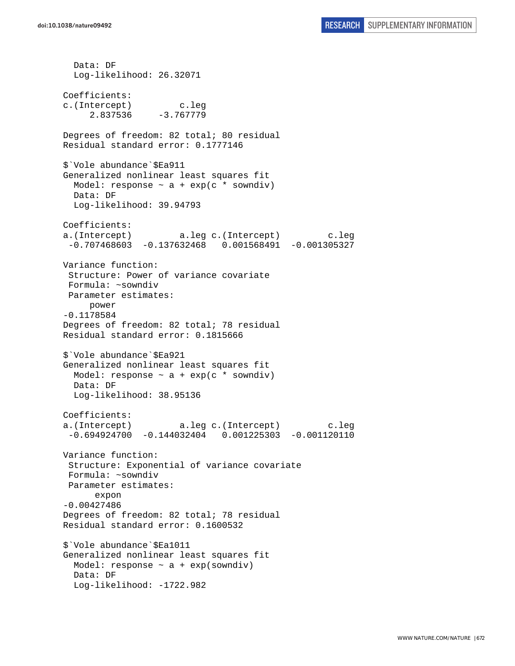Data: DF Log-likelihood: 26.32071 Coefficients: c.(Intercept) c.leg 2.837536 -3.767779 Degrees of freedom: 82 total; 80 residual Residual standard error: 0.1777146 \$`Vole abundance`\$Ea911 Generalized nonlinear least squares fit Model: response  $\sim$  a + exp(c \* sowndiv) Data: DF Log-likelihood: 39.94793 Coefficients: a.(Intercept) a.leg c.(Intercept) c.leg -0.707468603 -0.137632468 0.001568491 -0.001305327 Variance function: Structure: Power of variance covariate Formula: ~sowndiv Parameter estimates: power -0.1178584 Degrees of freedom: 82 total; 78 residual Residual standard error: 0.1815666 \$`Vole abundance`\$Ea921 Generalized nonlinear least squares fit Model: response  $\sim$  a + exp(c  $*$  sowndiv) Data: DF Log-likelihood: 38.95136 Coefficients: a.(Intercept) a.leg c.(Intercept) c.leg -0.694924700 -0.144032404 0.001225303 -0.001120110 Variance function: Structure: Exponential of variance covariate Formula: ~sowndiv Parameter estimates: expon -0.00427486 Degrees of freedom: 82 total; 78 residual Residual standard error: 0.1600532 \$`Vole abundance`\$Ea1011 Generalized nonlinear least squares fit Model: response  $\sim$  a + exp(sowndiv) Data: DF Log-likelihood: -1722.982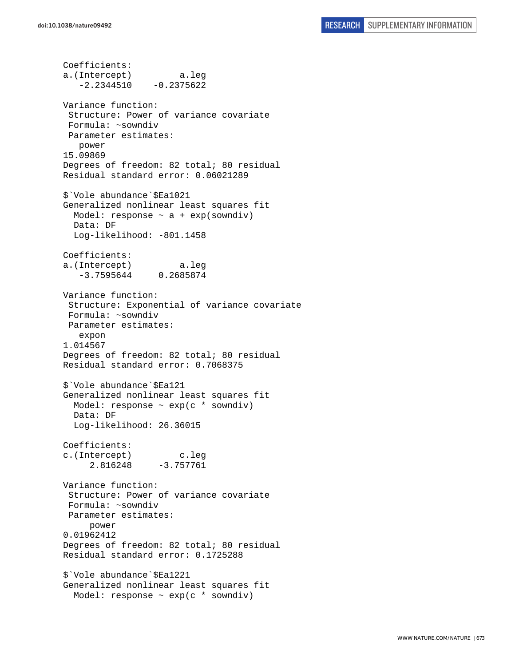Coefficients: a.(Intercept) a.leg  $-2.2344510 -0.2375622$ Variance function: Structure: Power of variance covariate Formula: ~sowndiv Parameter estimates: power 15.09869 Degrees of freedom: 82 total; 80 residual Residual standard error: 0.06021289 \$`Vole abundance`\$Ea1021 Generalized nonlinear least squares fit Model: response  $\sim$  a + exp(sowndiv) Data: DF Log-likelihood: -801.1458 Coefficients: a.(Intercept) a.leg -3.7595644 0.2685874 Variance function: Structure: Exponential of variance covariate Formula: ~sowndiv Parameter estimates: expon 1.014567 Degrees of freedom: 82 total; 80 residual Residual standard error: 0.7068375 \$`Vole abundance`\$Ea121 Generalized nonlinear least squares fit Model: response  $\sim$  exp(c  $*$  sowndiv) Data: DF Log-likelihood: 26.36015 Coefficients: c.(Intercept) c.leg 2.816248 -3.757761 Variance function: Structure: Power of variance covariate Formula: ~sowndiv Parameter estimates: power 0.01962412 Degrees of freedom: 82 total; 80 residual Residual standard error: 0.1725288 \$`Vole abundance`\$Ea1221 Generalized nonlinear least squares fit Model: response ~ exp(c \* sowndiv)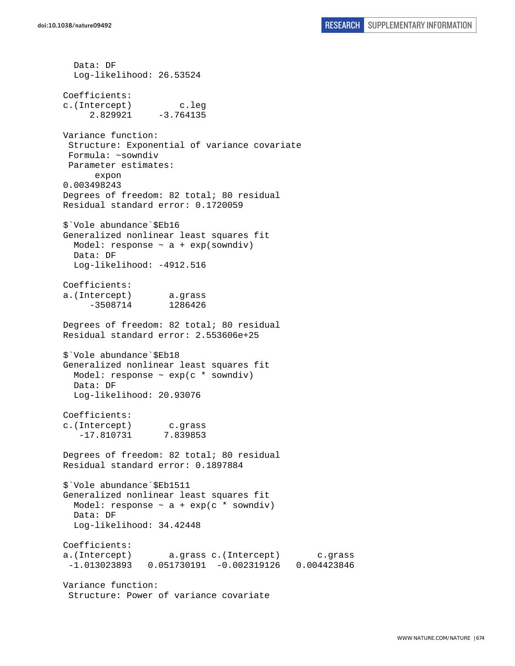Data: DF Log-likelihood: 26.53524 Coefficients: c.(Intercept) c.leg  $2.829921 -3.764135$ Variance function: Structure: Exponential of variance covariate Formula: ~sowndiv Parameter estimates: expon 0.003498243 Degrees of freedom: 82 total; 80 residual Residual standard error: 0.1720059 \$`Vole abundance`\$Eb16 Generalized nonlinear least squares fit Model: response  $\sim$  a + exp(sowndiv) Data: DF Log-likelihood: -4912.516 Coefficients: a.(Intercept) a.grass -3508714 1286426 Degrees of freedom: 82 total; 80 residual Residual standard error: 2.553606e+25 \$`Vole abundance`\$Eb18 Generalized nonlinear least squares fit Model: response  $\sim$  exp(c  $*$  sowndiv) Data: DF Log-likelihood: 20.93076 Coefficients: c.(Intercept) c.grass -17.810731 7.839853 Degrees of freedom: 82 total; 80 residual Residual standard error: 0.1897884 \$`Vole abundance`\$Eb1511 Generalized nonlinear least squares fit Model: response  $\sim$  a + exp(c \* sowndiv) Data: DF Log-likelihood: 34.42448 Coefficients: a.(Intercept) a.grass c.(Intercept) c.grass -1.013023893 0.051730191 -0.002319126 0.004423846 Variance function: Structure: Power of variance covariate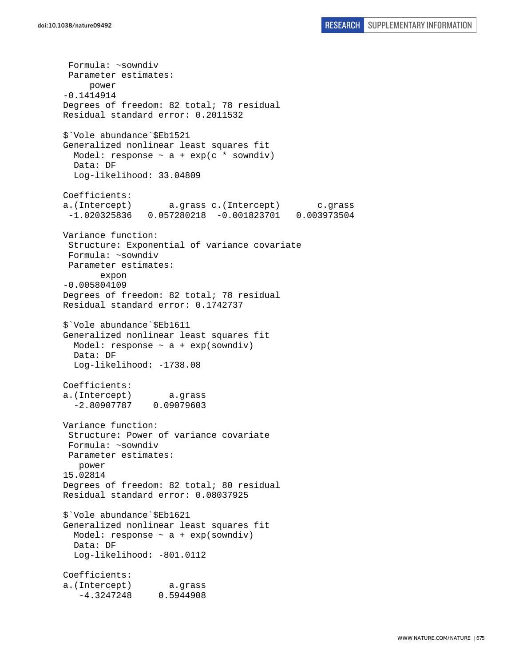Formula: ~sowndiv Parameter estimates: power -0.1414914 Degrees of freedom: 82 total; 78 residual Residual standard error: 0.2011532 \$`Vole abundance`\$Eb1521 Generalized nonlinear least squares fit Model: response  $\sim$  a + exp(c \* sowndiv) Data: DF Log-likelihood: 33.04809 Coefficients: a.(Intercept) a.grass c.(Intercept) c.grass -1.020325836 0.057280218 -0.001823701 0.003973504 Variance function: Structure: Exponential of variance covariate Formula: ~sowndiv Parameter estimates: expon -0.005804109 Degrees of freedom: 82 total; 78 residual Residual standard error: 0.1742737 \$`Vole abundance`\$Eb1611 Generalized nonlinear least squares fit Model: response  $\sim$  a + exp(sowndiv) Data: DF Log-likelihood: -1738.08 Coefficients: a.(Intercept) a.grass -2.80907787 0.09079603 Variance function: Structure: Power of variance covariate Formula: ~sowndiv Parameter estimates: power 15.02814 Degrees of freedom: 82 total; 80 residual Residual standard error: 0.08037925 \$`Vole abundance`\$Eb1621 Generalized nonlinear least squares fit Model: response  $\sim$  a + exp(sowndiv) Data: DF Log-likelihood: -801.0112 Coefficients: a.(Intercept) a.grass -4.3247248 0.5944908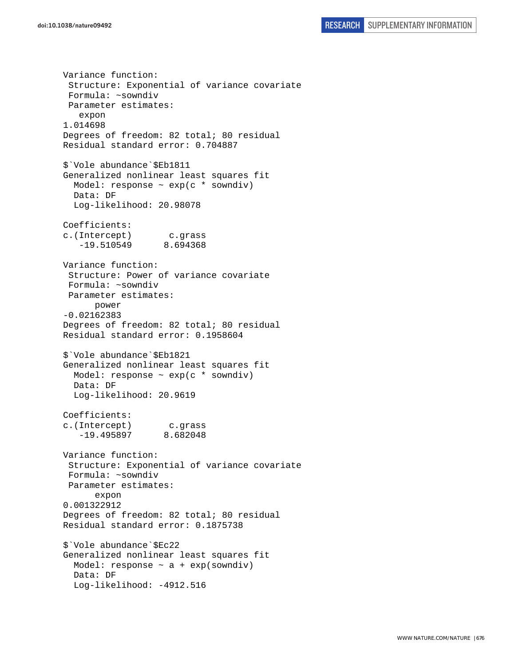Variance function: Structure: Exponential of variance covariate Formula: ~sowndiv Parameter estimates: expon 1.014698 Degrees of freedom: 82 total; 80 residual Residual standard error: 0.704887 \$`Vole abundance`\$Eb1811 Generalized nonlinear least squares fit Model: response ~ exp(c \* sowndiv) Data: DF Log-likelihood: 20.98078 Coefficients: c.(Intercept) c.grass -19.510549 8.694368 Variance function: Structure: Power of variance covariate Formula: ~sowndiv Parameter estimates: power -0.02162383 Degrees of freedom: 82 total; 80 residual Residual standard error: 0.1958604 \$`Vole abundance`\$Eb1821 Generalized nonlinear least squares fit Model: response ~ exp(c \* sowndiv) Data: DF Log-likelihood: 20.9619 Coefficients: c.(Intercept) c.grass -19.495897 8.682048 Variance function: Structure: Exponential of variance covariate Formula: ~sowndiv Parameter estimates: expon 0.001322912 Degrees of freedom: 82 total; 80 residual Residual standard error: 0.1875738 \$`Vole abundance`\$Ec22 Generalized nonlinear least squares fit Model: response  $\sim$  a + exp(sowndiv) Data: DF Log-likelihood: -4912.516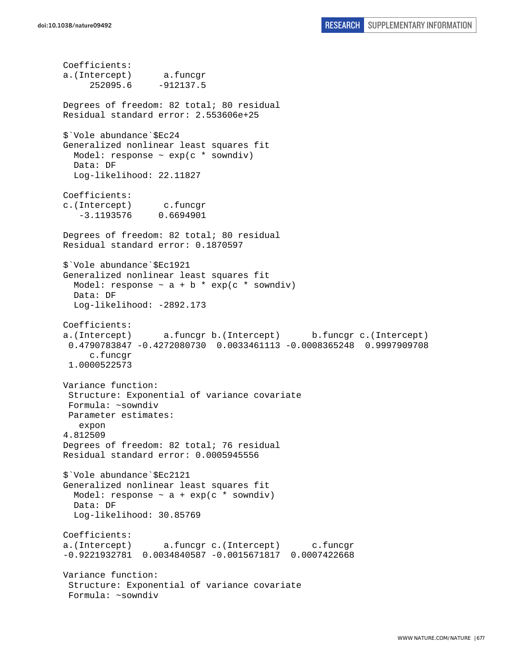Coefficients: a.(Intercept) a.funcgr 252095.6 -912137.5 Degrees of freedom: 82 total; 80 residual Residual standard error: 2.553606e+25 \$`Vole abundance`\$Ec24 Generalized nonlinear least squares fit Model: response  $\sim$  exp(c  $*$  sowndiv) Data: DF Log-likelihood: 22.11827 Coefficients: c.(Intercept) c.funcgr -3.1193576 0.6694901 Degrees of freedom: 82 total; 80 residual Residual standard error: 0.1870597 \$`Vole abundance`\$Ec1921 Generalized nonlinear least squares fit Model: response  $\sim$  a + b \* exp(c \* sowndiv) Data: DF Log-likelihood: -2892.173 Coefficients: a.(Intercept) a.funcgr b.(Intercept) b.funcgr c.(Intercept) 0.4790783847 -0.4272080730 0.0033461113 -0.0008365248 0.9997909708 c.funcgr 1.0000522573 Variance function: Structure: Exponential of variance covariate Formula: ~sowndiv Parameter estimates: expon 4.812509 Degrees of freedom: 82 total; 76 residual Residual standard error: 0.0005945556 \$`Vole abundance`\$Ec2121 Generalized nonlinear least squares fit Model: response  $\sim$  a + exp(c  $*$  sowndiv) Data: DF Log-likelihood: 30.85769 Coefficients: a.(Intercept) a.funcgr c.(Intercept) c.funcgr -0.9221932781 0.0034840587 -0.0015671817 0.0007422668 Variance function: Structure: Exponential of variance covariate Formula: ~sowndiv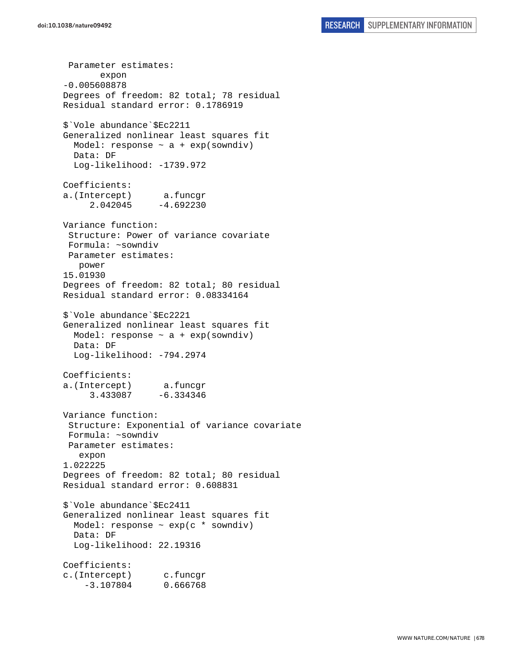Parameter estimates: expon -0.005608878 Degrees of freedom: 82 total; 78 residual Residual standard error: 0.1786919 \$`Vole abundance`\$Ec2211 Generalized nonlinear least squares fit Model: response  $\sim$  a + exp(sowndiv) Data: DF Log-likelihood: -1739.972 Coefficients: a.(Intercept) a.funcgr 2.042045 -4.692230 Variance function: Structure: Power of variance covariate Formula: ~sowndiv Parameter estimates: power 15.01930 Degrees of freedom: 82 total; 80 residual Residual standard error: 0.08334164 \$`Vole abundance`\$Ec2221 Generalized nonlinear least squares fit Model: response  $\sim$  a + exp(sowndiv) Data: DF Log-likelihood: -794.2974 Coefficients: a.(Intercept) a.funcgr 3.433087 -6.334346 Variance function: Structure: Exponential of variance covariate Formula: ~sowndiv Parameter estimates: expon 1.022225 Degrees of freedom: 82 total; 80 residual Residual standard error: 0.608831 \$`Vole abundance`\$Ec2411 Generalized nonlinear least squares fit Model: response  $\sim$  exp(c  $*$  sowndiv) Data: DF Log-likelihood: 22.19316 Coefficients: c.(Intercept) c.funcgr -3.107804 0.666768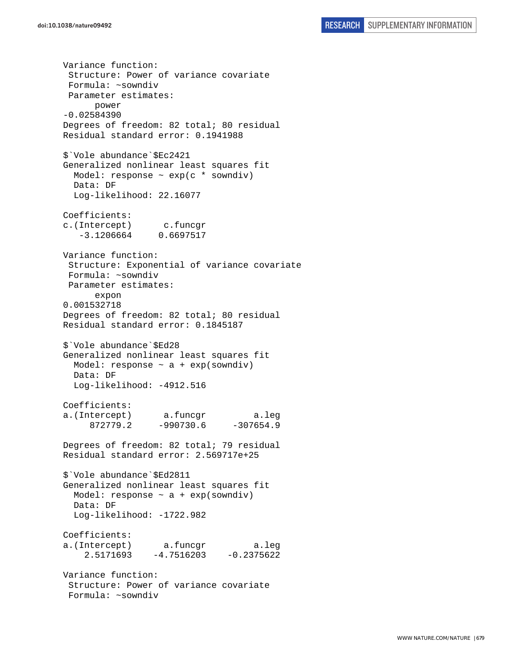Variance function: Structure: Power of variance covariate Formula: ~sowndiv Parameter estimates: power -0.02584390 Degrees of freedom: 82 total; 80 residual Residual standard error: 0.1941988 \$`Vole abundance`\$Ec2421 Generalized nonlinear least squares fit Model: response  $\sim$  exp(c  $*$  sowndiv) Data: DF Log-likelihood: 22.16077 Coefficients: c.(Intercept) c.funcgr -3.1206664 0.6697517 Variance function: Structure: Exponential of variance covariate Formula: ~sowndiv Parameter estimates: expon 0.001532718 Degrees of freedom: 82 total; 80 residual Residual standard error: 0.1845187 \$`Vole abundance`\$Ed28 Generalized nonlinear least squares fit Model: response  $\sim$  a + exp(sowndiv) Data: DF Log-likelihood: -4912.516 Coefficients: a.(Intercept) a.funcgr a.leg 872779.2 -990730.6 -307654.9 Degrees of freedom: 82 total; 79 residual Residual standard error: 2.569717e+25 \$`Vole abundance`\$Ed2811 Generalized nonlinear least squares fit Model: response  $\sim$  a + exp(sowndiv) Data: DF Log-likelihood: -1722.982 Coefficients: a.(Intercept) a.funcgr a.leg 2.5171693 -4.7516203 -0.2375622 Variance function: Structure: Power of variance covariate Formula: ~sowndiv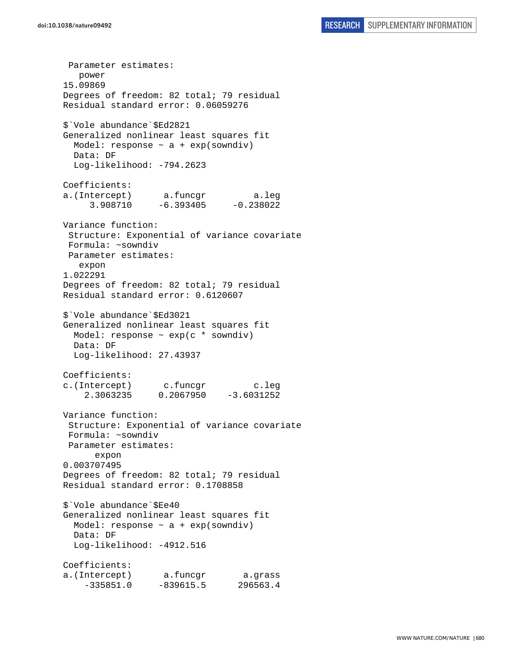Parameter estimates: power 15.09869 Degrees of freedom: 82 total; 79 residual Residual standard error: 0.06059276 \$`Vole abundance`\$Ed2821 Generalized nonlinear least squares fit Model: response  $\sim$  a + exp(sowndiv) Data: DF Log-likelihood: -794.2623 Coefficients: a.(Intercept) a.funcgr a.leg 3.908710 -6.393405 -0.238022 Variance function: Structure: Exponential of variance covariate Formula: ~sowndiv Parameter estimates: expon 1.022291 Degrees of freedom: 82 total; 79 residual Residual standard error: 0.6120607 \$`Vole abundance`\$Ed3021 Generalized nonlinear least squares fit Model: response ~ exp(c \* sowndiv) Data: DF Log-likelihood: 27.43937 Coefficients: c.(Intercept) c.funcgr c.leg 2.3063235 0.2067950 -3.6031252 Variance function: Structure: Exponential of variance covariate Formula: ~sowndiv Parameter estimates: expon 0.003707495 Degrees of freedom: 82 total; 79 residual Residual standard error: 0.1708858 \$`Vole abundance`\$Ee40 Generalized nonlinear least squares fit Model: response  $\sim$  a + exp(sowndiv) Data: DF Log-likelihood: -4912.516 Coefficients: a.(Intercept) a.funcgr a.grass -335851.0 -839615.5 296563.4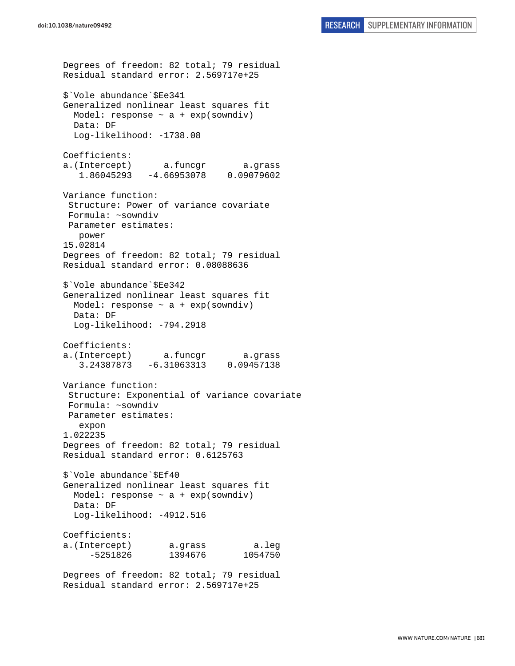```
Degrees of freedom: 82 total; 79 residual 
Residual standard error: 2.569717e+25 
$`Vole abundance`$Ee341 
Generalized nonlinear least squares fit 
  Model: response \sim a + exp(sowndiv)
  Data: DF 
 Log-likelihood: -1738.08
Coefficients: 
a.(Intercept) a.funcgr a.grass 
    1.86045293 -4.66953078 0.09079602 
Variance function: 
  Structure: Power of variance covariate 
  Formula: ~sowndiv 
 Parameter estimates: 
    power 
15.02814 
Degrees of freedom: 82 total; 79 residual 
Residual standard error: 0.08088636 
$`Vole abundance`$Ee342 
Generalized nonlinear least squares fit 
  Model: response \sim a + exp(sowndiv)
   Data: DF 
   Log-likelihood: -794.2918 
Coefficients: 
a.(Intercept) a.funcgr a.grass 
    3.24387873 -6.31063313 0.09457138 
Variance function: 
  Structure: Exponential of variance covariate 
 Formula: ~sowndiv 
 Parameter estimates: 
    expon 
1.022235 
Degrees of freedom: 82 total; 79 residual 
Residual standard error: 0.6125763 
$`Vole abundance`$Ef40 
Generalized nonlinear least squares fit 
 Model: response \sim a + exp(sowndiv)
   Data: DF 
   Log-likelihood: -4912.516 
Coefficients: 
a.(Intercept) a.grass a.leg 
      -5251826 1394676 1054750 
Degrees of freedom: 82 total; 79 residual
```
Residual standard error: 2.569717e+25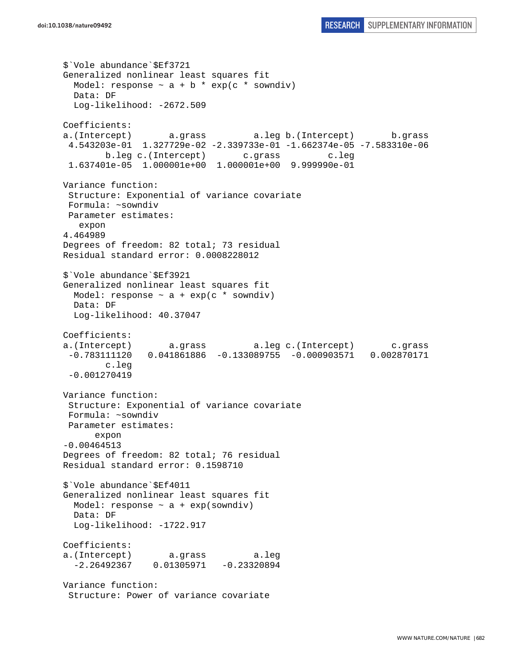```
$`Vole abundance`$Ef3721 
Generalized nonlinear least squares fit 
 Model: response \sim a + b * exp(c * sowndiv)
  Data: DF 
   Log-likelihood: -2672.509 
Coefficients: 
a.(Intercept) a.grass a.leg b.(Intercept) b.grass 
  4.543203e-01 1.327729e-02 -2.339733e-01 -1.662374e-05 -7.583310e-06 
         b.leg c.(Intercept) c.grass c.leg 
  1.637401e-05 1.000001e+00 1.000001e+00 9.999990e-01 
Variance function: 
  Structure: Exponential of variance covariate 
 Formula: ~sowndiv 
 Parameter estimates: 
    expon 
4.464989 
Degrees of freedom: 82 total; 73 residual 
Residual standard error: 0.0008228012 
$`Vole abundance`$Ef3921 
Generalized nonlinear least squares fit 
 Model: response \sim a + exp(c * sowndiv)
  Data: DF 
  Log-likelihood: 40.37047 
Coefficients: 
a.(Intercept) a.grass a.leg c.(Intercept) c.grass 
  -0.783111120 0.041861886 -0.133089755 -0.000903571 0.002870171 
         c.leg 
  -0.001270419 
Variance function: 
  Structure: Exponential of variance covariate 
 Formula: ~sowndiv 
 Parameter estimates: 
       expon 
-0.00464513 
Degrees of freedom: 82 total; 76 residual 
Residual standard error: 0.1598710 
$`Vole abundance`$Ef4011 
Generalized nonlinear least squares fit 
  Model: response \sim a + exp(sowndiv)
  Data: DF 
 Log-likelihood: -1722.917
Coefficients: 
a.(Intercept) a.grass a.leg 
  -2.26492367 0.01305971 -0.23320894 
Variance function: 
  Structure: Power of variance covariate
```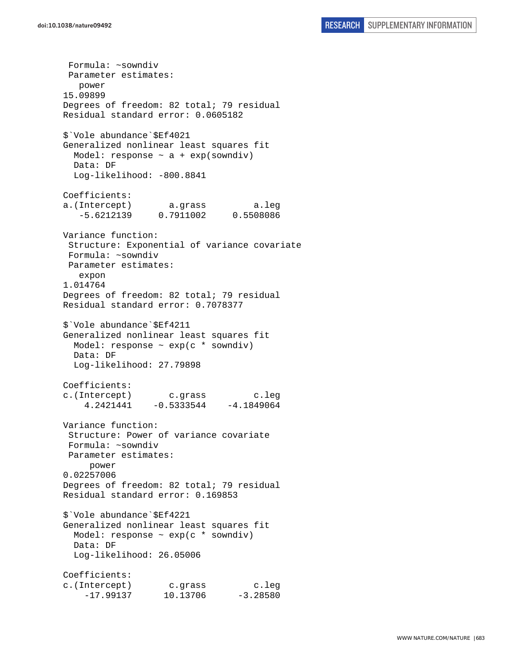Formula: ~sowndiv Parameter estimates: power 15.09899 Degrees of freedom: 82 total; 79 residual Residual standard error: 0.0605182 \$`Vole abundance`\$Ef4021 Generalized nonlinear least squares fit Model: response  $\sim$  a + exp(sowndiv) Data: DF Log-likelihood: -800.8841 Coefficients: a.(Intercept) a.grass a.leg -5.6212139 0.7911002 0.5508086 Variance function: Structure: Exponential of variance covariate Formula: ~sowndiv Parameter estimates: expon 1.014764 Degrees of freedom: 82 total; 79 residual Residual standard error: 0.7078377 \$`Vole abundance`\$Ef4211 Generalized nonlinear least squares fit Model: response ~ exp(c \* sowndiv) Data: DF Log-likelihood: 27.79898 Coefficients: c.(Intercept) c.grass c.leg 4.2421441 -0.5333544 -4.1849064 Variance function: Structure: Power of variance covariate Formula: ~sowndiv Parameter estimates: power 0.02257006 Degrees of freedom: 82 total; 79 residual Residual standard error: 0.169853 \$`Vole abundance`\$Ef4221 Generalized nonlinear least squares fit Model: response ~ exp(c \* sowndiv) Data: DF Log-likelihood: 26.05006 Coefficients: c.(Intercept) c.grass c.leg  $-17.99137$  10.13706  $-3.28580$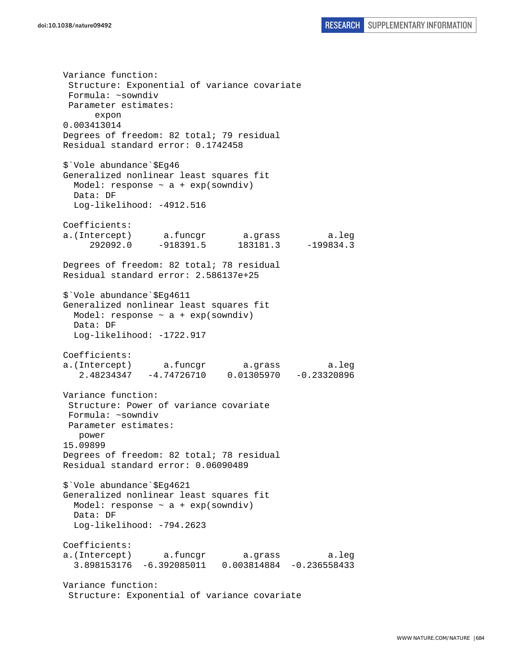Variance function: Structure: Exponential of variance covariate Formula: ~sowndiv Parameter estimates: expon 0.003413014 Degrees of freedom: 82 total; 79 residual Residual standard error: 0.1742458 \$`Vole abundance`\$Eg46 Generalized nonlinear least squares fit Model: response  $\sim$  a + exp(sowndiv) Data: DF Log-likelihood: -4912.516 Coefficients: a.(Intercept) a.funcgr a.grass a.leg 292092.0 -918391.5 183181.3 -199834.3 Degrees of freedom: 82 total; 78 residual Residual standard error: 2.586137e+25 \$`Vole abundance`\$Eg4611 Generalized nonlinear least squares fit Model: response  $\sim$  a + exp(sowndiv) Data: DF Log-likelihood: -1722.917 Coefficients: a.(Intercept) a.funcgr a.grass a.leg 2.48234347 -4.74726710 0.01305970 -0.23320896 Variance function: Structure: Power of variance covariate Formula: ~sowndiv Parameter estimates: power 15.09899 Degrees of freedom: 82 total; 78 residual Residual standard error: 0.06090489 \$`Vole abundance`\$Eg4621 Generalized nonlinear least squares fit Model: response  $\sim$  a + exp(sowndiv) Data: DF Log-likelihood: -794.2623 Coefficients: a.(Intercept) a.funcgr a.grass a.leg 3.898153176 -6.392085011 0.003814884 -0.236558433 Variance function:

```
 Structure: Exponential of variance covariate
```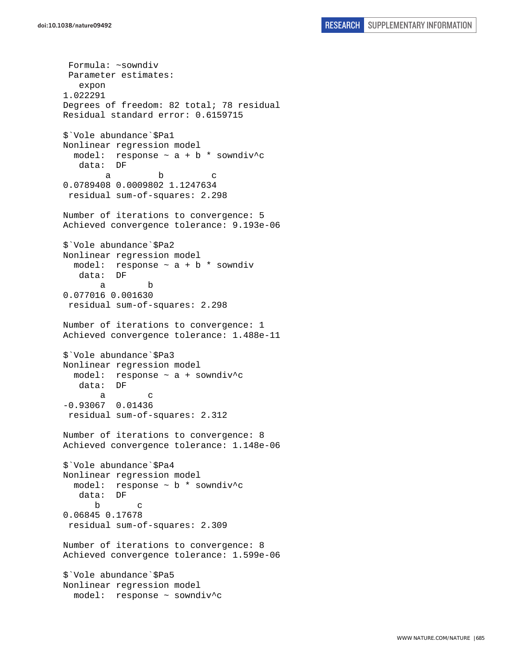Formula: ~sowndiv Parameter estimates: expon 1.022291 Degrees of freedom: 82 total; 78 residual Residual standard error: 0.6159715 \$`Vole abundance`\$Pa1 Nonlinear regression model model: response  $\sim$  a + b \* sowndiv^c data: DF a b c 0.0789408 0.0009802 1.1247634 residual sum-of-squares: 2.298 Number of iterations to convergence: 5 Achieved convergence tolerance: 9.193e-06 \$`Vole abundance`\$Pa2 Nonlinear regression model model: response  $\sim$  a + b  $*$  sowndiv data: DF a b 0.077016 0.001630 residual sum-of-squares: 2.298 Number of iterations to convergence: 1 Achieved convergence tolerance: 1.488e-11 \$`Vole abundance`\$Pa3 Nonlinear regression model model: response ~ a + sowndiv^c data: DF a c -0.93067 0.01436 residual sum-of-squares: 2.312 Number of iterations to convergence: 8 Achieved convergence tolerance: 1.148e-06 \$`Vole abundance`\$Pa4 Nonlinear regression model model: response ~ b \* sowndiv^c data: DF b c 0.06845 0.17678 residual sum-of-squares: 2.309 Number of iterations to convergence: 8 Achieved convergence tolerance: 1.599e-06 \$`Vole abundance`\$Pa5 Nonlinear regression model model: response ~ sowndiv^c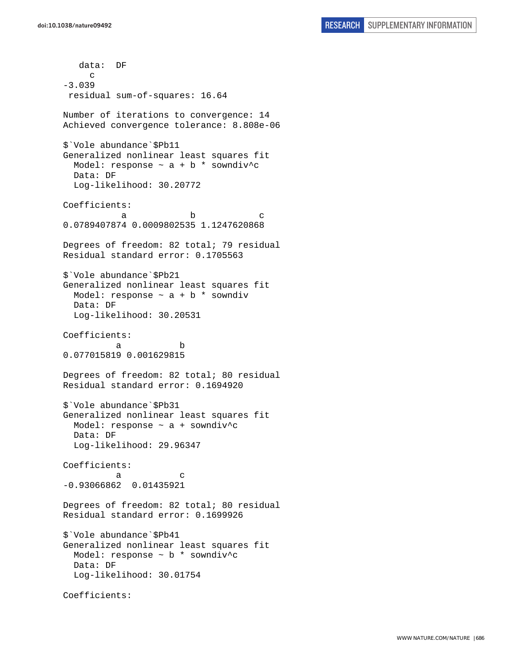data: DF c -3.039 residual sum-of-squares: 16.64 Number of iterations to convergence: 14 Achieved convergence tolerance: 8.808e-06 \$`Vole abundance`\$Pb11 Generalized nonlinear least squares fit Model: response  $\sim$  a + b \* sowndiv^c Data: DF Log-likelihood: 30.20772 Coefficients: a b c 0.0789407874 0.0009802535 1.1247620868 Degrees of freedom: 82 total; 79 residual Residual standard error: 0.1705563 \$`Vole abundance`\$Pb21 Generalized nonlinear least squares fit Model: response  $\sim$  a + b  $*$  sowndiv Data: DF Log-likelihood: 30.20531 Coefficients: a b 0.077015819 0.001629815 Degrees of freedom: 82 total; 80 residual Residual standard error: 0.1694920 \$`Vole abundance`\$Pb31 Generalized nonlinear least squares fit Model: response ~ a + sowndiv^c Data: DF Log-likelihood: 29.96347 Coefficients: a c -0.93066862 0.01435921 Degrees of freedom: 82 total; 80 residual Residual standard error: 0.1699926 \$`Vole abundance`\$Pb41 Generalized nonlinear least squares fit Model: response ~ b \* sowndiv^c Data: DF Log-likelihood: 30.01754 Coefficients: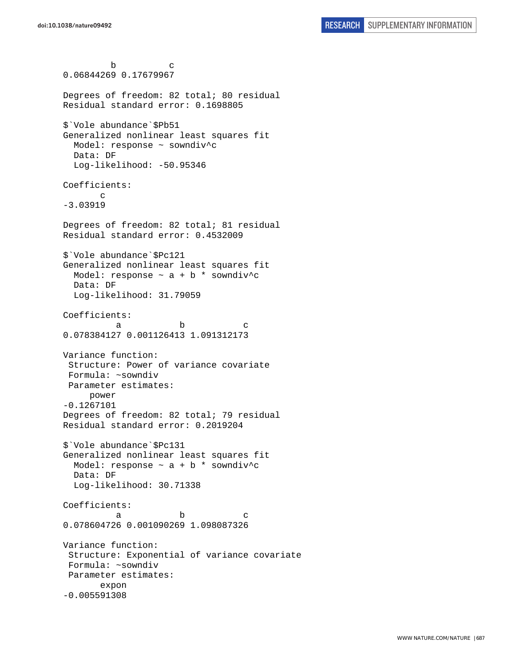```
 b c 
0.06844269 0.17679967 
Degrees of freedom: 82 total; 80 residual 
Residual standard error: 0.1698805 
$`Vole abundance`$Pb51 
Generalized nonlinear least squares fit 
  Model: response ~ sowndiv^c 
   Data: DF 
   Log-likelihood: -50.95346 
Coefficients: 
        c 
-3.03919 
Degrees of freedom: 82 total; 81 residual 
Residual standard error: 0.4532009 
$`Vole abundance`$Pc121 
Generalized nonlinear least squares fit 
 Model: response \sim a + b * sowndiv^c
  Data: DF 
  Log-likelihood: 31.79059 
Coefficients: 
a b c
0.078384127 0.001126413 1.091312173 
Variance function: 
  Structure: Power of variance covariate 
 Formula: ~sowndiv 
 Parameter estimates: 
      power 
-0.1267101 
Degrees of freedom: 82 total; 79 residual 
Residual standard error: 0.2019204 
$`Vole abundance`$Pc131 
Generalized nonlinear least squares fit 
 Model: response \sim a + b * sowndiv^c
   Data: DF 
   Log-likelihood: 30.71338 
Coefficients: 
a b c
0.078604726 0.001090269 1.098087326 
Variance function: 
  Structure: Exponential of variance covariate 
 Formula: ~sowndiv 
 Parameter estimates: 
        expon 
-0.005591308
```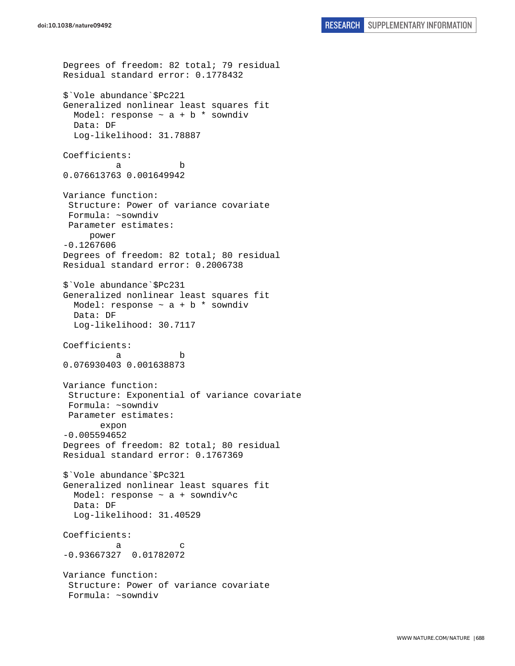```
Degrees of freedom: 82 total; 79 residual 
Residual standard error: 0.1778432 
$`Vole abundance`$Pc221 
Generalized nonlinear least squares fit 
  Model: response \sim a + b * sowndiv
  Data: DF 
  Log-likelihood: 31.78887 
Coefficients: 
 a b 
0.076613763 0.001649942 
Variance function: 
  Structure: Power of variance covariate 
  Formula: ~sowndiv 
 Parameter estimates: 
      power 
-0.1267606 
Degrees of freedom: 82 total; 80 residual 
Residual standard error: 0.2006738 
$`Vole abundance`$Pc231 
Generalized nonlinear least squares fit 
  Model: response \sim a + b * sowndiv
   Data: DF 
   Log-likelihood: 30.7117 
Coefficients: 
 a b 
0.076930403 0.001638873 
Variance function: 
  Structure: Exponential of variance covariate 
 Formula: ~sowndiv 
 Parameter estimates: 
        expon 
-0.005594652 
Degrees of freedom: 82 total; 80 residual 
Residual standard error: 0.1767369 
$`Vole abundance`$Pc321 
Generalized nonlinear least squares fit 
 Model: response \sim a + sowndiv^c
   Data: DF 
   Log-likelihood: 31.40529 
Coefficients: 
a c
-0.93667327 0.01782072 
Variance function: 
  Structure: Power of variance covariate 
  Formula: ~sowndiv
```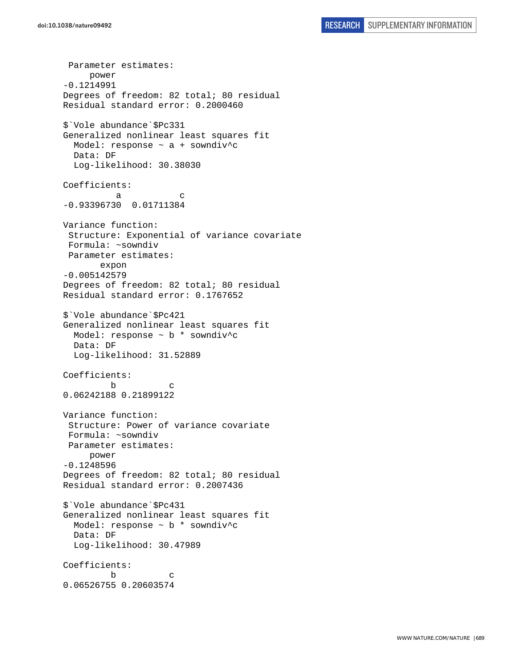Parameter estimates: power -0.1214991 Degrees of freedom: 82 total; 80 residual Residual standard error: 0.2000460 \$`Vole abundance`\$Pc331 Generalized nonlinear least squares fit Model: response ~ a + sowndiv^c Data: DF Log-likelihood: 30.38030 Coefficients: a c -0.93396730 0.01711384 Variance function: Structure: Exponential of variance covariate Formula: ~sowndiv Parameter estimates: expon -0.005142579 Degrees of freedom: 82 total; 80 residual Residual standard error: 0.1767652 \$`Vole abundance`\$Pc421 Generalized nonlinear least squares fit Model: response ~ b \* sowndiv^c Data: DF Log-likelihood: 31.52889 Coefficients: b c 0.06242188 0.21899122 Variance function: Structure: Power of variance covariate Formula: ~sowndiv Parameter estimates: power -0.1248596 Degrees of freedom: 82 total; 80 residual Residual standard error: 0.2007436 \$`Vole abundance`\$Pc431 Generalized nonlinear least squares fit Model: response  $\sim$  b  $*$  sowndiv<sup>^</sup>c Data: DF Log-likelihood: 30.47989 Coefficients: b c 0.06526755 0.20603574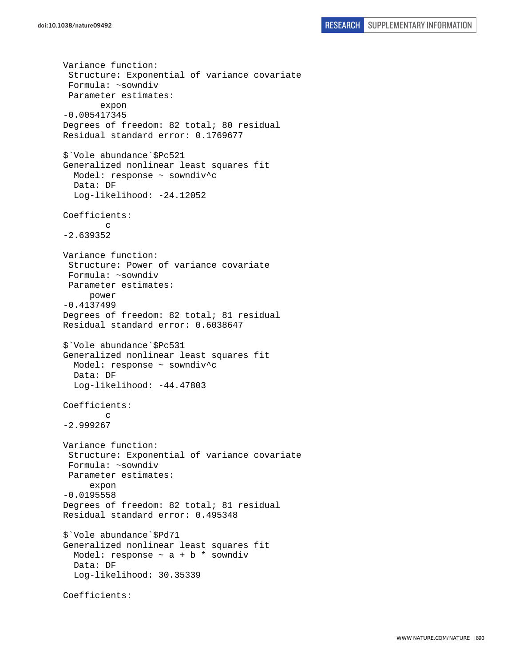```
Variance function: 
  Structure: Exponential of variance covariate 
  Formula: ~sowndiv 
  Parameter estimates: 
        expon 
-0.005417345 
Degrees of freedom: 82 total; 80 residual 
Residual standard error: 0.1769677 
$`Vole abundance`$Pc521 
Generalized nonlinear least squares fit 
   Model: response ~ sowndiv^c 
   Data: DF 
   Log-likelihood: -24.12052 
Coefficients: 
 c 
-2.639352 
Variance function: 
  Structure: Power of variance covariate 
  Formula: ~sowndiv 
  Parameter estimates: 
      power 
-0.4137499 
Degrees of freedom: 82 total; 81 residual 
Residual standard error: 0.6038647 
$`Vole abundance`$Pc531 
Generalized nonlinear least squares fit 
   Model: response ~ sowndiv^c 
   Data: DF 
   Log-likelihood: -44.47803 
Coefficients: 
 c 
-2.999267 
Variance function: 
  Structure: Exponential of variance covariate 
  Formula: ~sowndiv 
 Parameter estimates: 
      expon 
-0.0195558 
Degrees of freedom: 82 total; 81 residual 
Residual standard error: 0.495348 
$`Vole abundance`$Pd71 
Generalized nonlinear least squares fit 
  Model: response \sim a + b * sowndiv
   Data: DF 
   Log-likelihood: 30.35339 
Coefficients:
```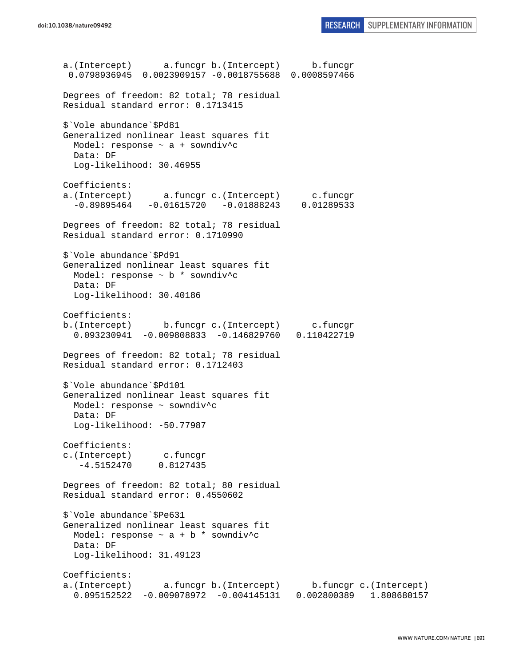a.(Intercept) a.funcgr b.(Intercept) b.funcgr 0.0798936945 0.0023909157 -0.0018755688 0.0008597466 Degrees of freedom: 82 total; 78 residual Residual standard error: 0.1713415 \$`Vole abundance`\$Pd81 Generalized nonlinear least squares fit Model: response ~ a + sowndiv^c Data: DF Log-likelihood: 30.46955 Coefficients: a.(Intercept) a.funcgr c.(Intercept) c.funcgr -0.89895464 -0.01615720 -0.01888243 0.01289533 Degrees of freedom: 82 total; 78 residual Residual standard error: 0.1710990 \$`Vole abundance`\$Pd91 Generalized nonlinear least squares fit Model: response ~ b \* sowndiv^c Data: DF Log-likelihood: 30.40186 Coefficients: b.(Intercept) b.funcgr c.(Intercept) c.funcgr 0.093230941 -0.009808833 -0.146829760 0.110422719 Degrees of freedom: 82 total; 78 residual Residual standard error: 0.1712403 \$`Vole abundance`\$Pd101 Generalized nonlinear least squares fit Model: response ~ sowndiv^c Data: DF Log-likelihood: -50.77987 Coefficients: c.(Intercept) c.funcgr -4.5152470 0.8127435 Degrees of freedom: 82 total; 80 residual Residual standard error: 0.4550602 \$`Vole abundance`\$Pe631 Generalized nonlinear least squares fit Model: response  $\sim$  a + b \* sowndiv^c Data: DF Log-likelihood: 31.49123 Coefficients: a.(Intercept) a.funcgr b.(Intercept) b.funcgr c.(Intercept) 0.095152522 -0.009078972 -0.004145131 0.002800389 1.808680157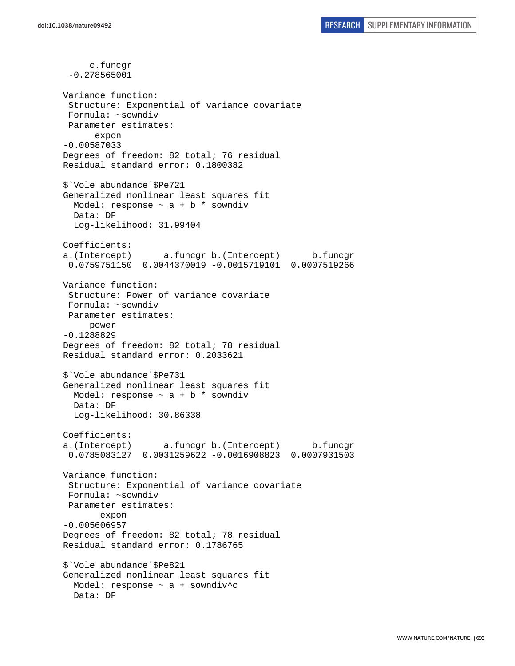c.funcgr -0.278565001 Variance function: Structure: Exponential of variance covariate Formula: ~sowndiv Parameter estimates: expon -0.00587033 Degrees of freedom: 82 total; 76 residual Residual standard error: 0.1800382 \$`Vole abundance`\$Pe721 Generalized nonlinear least squares fit Model: response  $\sim$  a + b \* sowndiv Data: DF Log-likelihood: 31.99404 Coefficients: a.(Intercept) a.funcgr b.(Intercept) b.funcgr 0.0759751150 0.0044370019 -0.0015719101 0.0007519266 Variance function: Structure: Power of variance covariate Formula: ~sowndiv Parameter estimates: power -0.1288829 Degrees of freedom: 82 total; 78 residual Residual standard error: 0.2033621 \$`Vole abundance`\$Pe731 Generalized nonlinear least squares fit Model: response  $\sim$  a + b  $*$  sowndiv Data: DF Log-likelihood: 30.86338 Coefficients: a.(Intercept) a.funcgr b.(Intercept) b.funcgr 0.0785083127 0.0031259622 -0.0016908823 0.0007931503 Variance function: Structure: Exponential of variance covariate Formula: ~sowndiv Parameter estimates: expon -0.005606957 Degrees of freedom: 82 total; 78 residual Residual standard error: 0.1786765 \$`Vole abundance`\$Pe821 Generalized nonlinear least squares fit Model: response ~ a + sowndiv^c Data: DF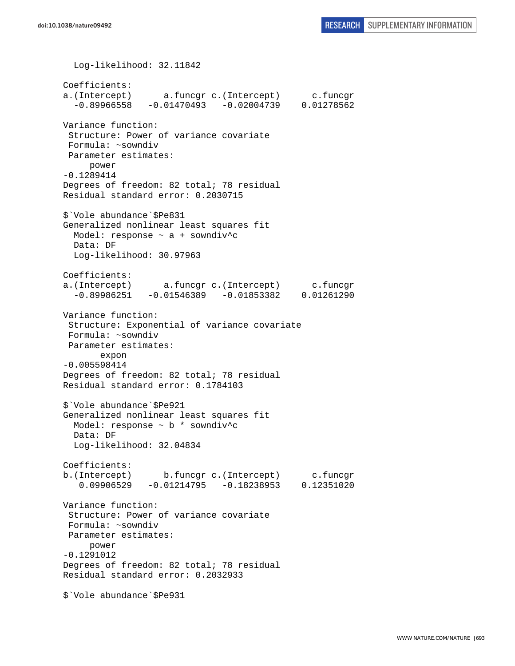Log-likelihood: 32.11842 Coefficients: a.(Intercept) a.funcgr c.(Intercept) c.funcgr  $-0.89966558 -0.01470493 -0.02004739 0.01278562$ Variance function: Structure: Power of variance covariate Formula: ~sowndiv Parameter estimates: power -0.1289414 Degrees of freedom: 82 total; 78 residual Residual standard error: 0.2030715 \$`Vole abundance`\$Pe831 Generalized nonlinear least squares fit Model: response  $\sim$  a + sowndiv^c Data: DF Log-likelihood: 30.97963 Coefficients: a.(Intercept) a.funcgr c.(Intercept) c.funcgr  $-0.89986251 -0.01546389 -0.01853382 0.01261290$ Variance function: Structure: Exponential of variance covariate Formula: ~sowndiv Parameter estimates: expon -0.005598414 Degrees of freedom: 82 total; 78 residual Residual standard error: 0.1784103 \$`Vole abundance`\$Pe921 Generalized nonlinear least squares fit Model: response ~ b \* sowndiv^c Data: DF Log-likelihood: 32.04834 Coefficients: b.(Intercept) b.funcgr c.(Intercept) c.funcgr 0.09906529 -0.01214795 -0.18238953 0.12351020 Variance function: Structure: Power of variance covariate Formula: ~sowndiv Parameter estimates: power -0.1291012 Degrees of freedom: 82 total; 78 residual Residual standard error: 0.2032933 \$`Vole abundance`\$Pe931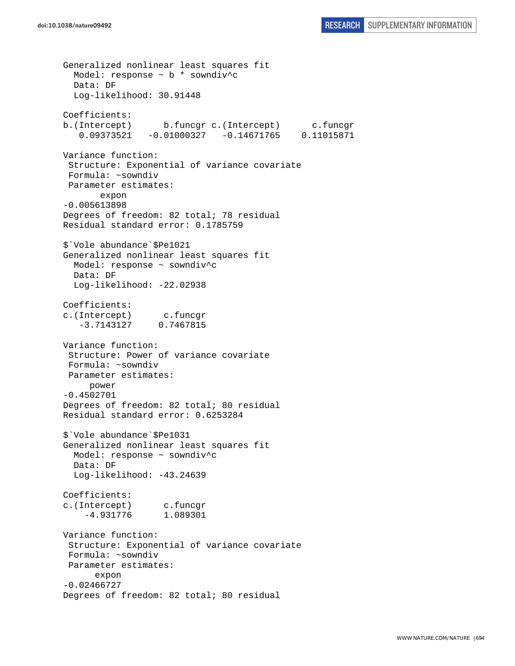Generalized nonlinear least squares fit Model: response  $\sim$  b  $*$  sowndiv<sup>^</sup>c Data: DF Log-likelihood: 30.91448 Coefficients: b.(Intercept) b.funcgr c.(Intercept) c.funcgr 0.09373521 -0.01000327 -0.14671765 0.11015871 Variance function: Structure: Exponential of variance covariate Formula: ~sowndiv Parameter estimates: expon -0.005613898 Degrees of freedom: 82 total; 78 residual Residual standard error: 0.1785759 \$`Vole abundance`\$Pe1021 Generalized nonlinear least squares fit Model: response ~ sowndiv^c Data: DF Log-likelihood: -22.02938 Coefficients: c.(Intercept) c.funcgr -3.7143127 0.7467815 Variance function: Structure: Power of variance covariate Formula: ~sowndiv Parameter estimates: power -0.4502701 Degrees of freedom: 82 total; 80 residual Residual standard error: 0.6253284 \$`Vole abundance`\$Pe1031 Generalized nonlinear least squares fit Model: response ~ sowndiv^c Data: DF Log-likelihood: -43.24639 Coefficients: c.(Intercept) c.funcgr -4.931776 1.089301 Variance function: Structure: Exponential of variance covariate Formula: ~sowndiv Parameter estimates: expon -0.02466727 Degrees of freedom: 82 total; 80 residual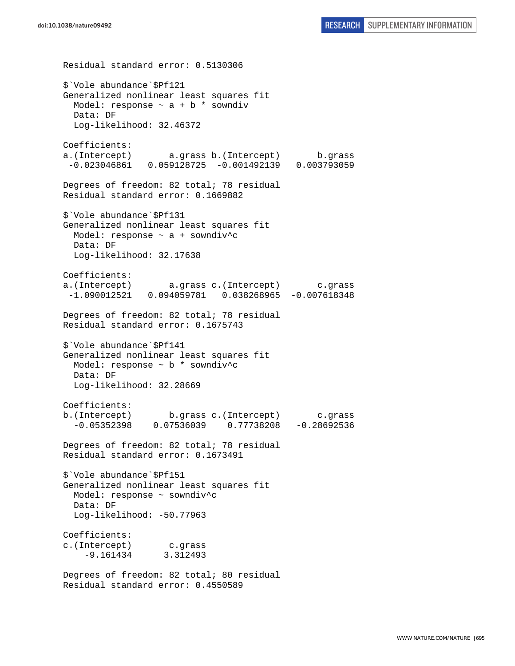Residual standard error: 0.5130306 \$`Vole abundance`\$Pf121 Generalized nonlinear least squares fit Model: response  $\sim$  a + b \* sowndiv Data: DF Log-likelihood: 32.46372 Coefficients: a.(Intercept) a.grass b.(Intercept) b.grass -0.023046861 0.059128725 -0.001492139 0.003793059 Degrees of freedom: 82 total; 78 residual Residual standard error: 0.1669882 \$`Vole abundance`\$Pf131 Generalized nonlinear least squares fit Model: response  $\sim$  a + sowndiv<sup>^</sup>c Data: DF Log-likelihood: 32.17638 Coefficients: a.(Intercept) a.grass c.(Intercept) c.grass -1.090012521 0.094059781 0.038268965 -0.007618348 Degrees of freedom: 82 total; 78 residual Residual standard error: 0.1675743 \$`Vole abundance`\$Pf141 Generalized nonlinear least squares fit Model: response ~ b \* sowndiv^c Data: DF Log-likelihood: 32.28669 Coefficients: b.(Intercept) b.grass c.(Intercept) c.grass -0.05352398 0.07536039 0.77738208 -0.28692536 Degrees of freedom: 82 total; 78 residual Residual standard error: 0.1673491 \$`Vole abundance`\$Pf151 Generalized nonlinear least squares fit Model: response ~ sowndiv^c Data: DF Log-likelihood: -50.77963 Coefficients: c.(Intercept) c.grass -9.161434 3.312493 Degrees of freedom: 82 total; 80 residual Residual standard error: 0.4550589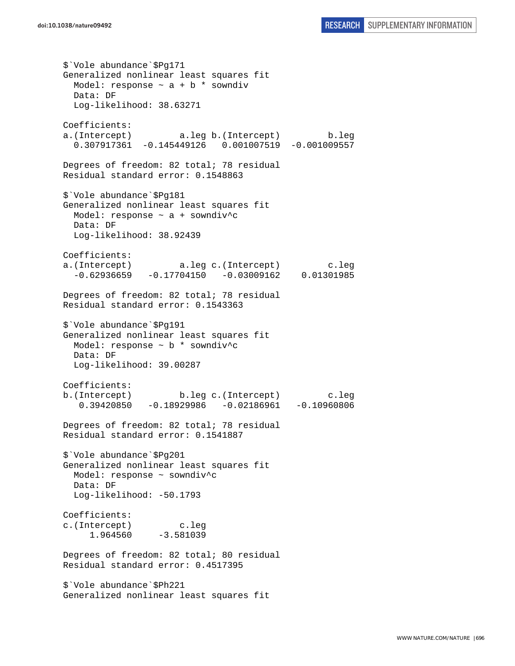\$`Vole abundance`\$Pg171 Generalized nonlinear least squares fit Model: response  $\sim$  a + b  $*$  sowndiv Data: DF Log-likelihood: 38.63271 Coefficients: a.(Intercept) a.leg b.(Intercept) b.leg 0.307917361 -0.145449126 0.001007519 -0.001009557 Degrees of freedom: 82 total; 78 residual Residual standard error: 0.1548863 \$`Vole abundance`\$Pg181 Generalized nonlinear least squares fit Model: response ~ a + sowndiv^c Data: DF Log-likelihood: 38.92439 Coefficients: a.(Intercept) a.leg c.(Intercept) c.leg -0.62936659 -0.17704150 -0.03009162 0.01301985 Degrees of freedom: 82 total; 78 residual Residual standard error: 0.1543363 \$`Vole abundance`\$Pg191 Generalized nonlinear least squares fit Model: response ~ b \* sowndiv^c Data: DF Log-likelihood: 39.00287 Coefficients: b.(Intercept) b.leg c.(Intercept) c.leg 0.39420850 -0.18929986 -0.02186961 -0.10960806 Degrees of freedom: 82 total; 78 residual Residual standard error: 0.1541887 \$`Vole abundance`\$Pg201 Generalized nonlinear least squares fit Model: response ~ sowndiv^c Data: DF Log-likelihood: -50.1793 Coefficients: c.(Intercept) c.leg 1.964560 -3.581039 Degrees of freedom: 82 total; 80 residual Residual standard error: 0.4517395 \$`Vole abundance`\$Ph221 Generalized nonlinear least squares fit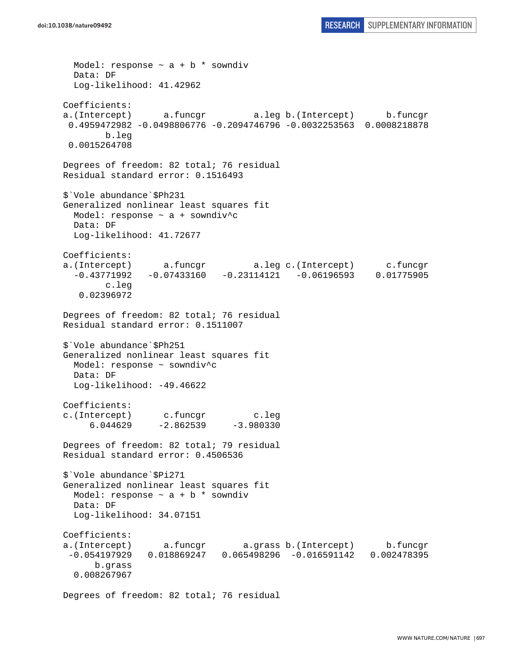```
Model: response \sim a + b * sowndiv
   Data: DF 
   Log-likelihood: 41.42962 
Coefficients: 
a.(Intercept) a.funcgr a.leg b.(Intercept) b.funcgr 
  0.4959472982 -0.0498806776 -0.2094746796 -0.0032253563 0.0008218878 
        b.leg 
 0.0015264708 
Degrees of freedom: 82 total; 76 residual 
Residual standard error: 0.1516493 
$`Vole abundance`$Ph231 
Generalized nonlinear least squares fit 
  Model: response ~ a + sowndiv^c 
   Data: DF 
   Log-likelihood: 41.72677 
Coefficients: 
a.(Intercept) a.funcgr a.leg c.(Intercept) c.funcgr 
   -0.43771992 -0.07433160 -0.23114121 -0.06196593 0.01775905 
         c.leg 
    0.02396972 
Degrees of freedom: 82 total; 76 residual 
Residual standard error: 0.1511007 
$`Vole abundance`$Ph251 
Generalized nonlinear least squares fit 
  Model: response ~ sowndiv^c 
  Data: DF 
  Log-likelihood: -49.46622 
Coefficients: 
c.(Intercept) c.funcgr c.leg 
     6.044629 -2.862539 -3.980330Degrees of freedom: 82 total; 79 residual 
Residual standard error: 0.4506536 
$`Vole abundance`$Pi271 
Generalized nonlinear least squares fit 
 Model: response \sim a + b * sowndiv
   Data: DF 
   Log-likelihood: 34.07151 
Coefficients: 
a.(Intercept) a.funcgr a.grass b.(Intercept) b.funcgr 
  -0.054197929 0.018869247 0.065498296 -0.016591142 0.002478395 
       b.grass 
   0.008267967
```
Degrees of freedom: 82 total; 76 residual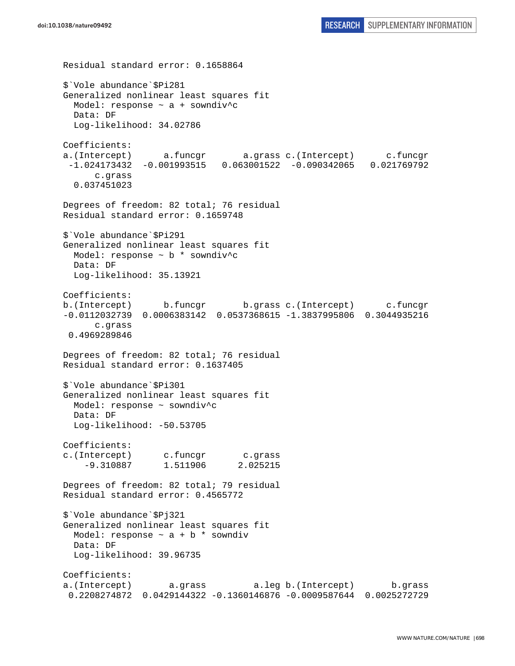Residual standard error: 0.1658864 \$`Vole abundance`\$Pi281 Generalized nonlinear least squares fit Model: response ~ a + sowndiv^c Data: DF Log-likelihood: 34.02786 Coefficients: a.(Intercept) a.funcgr a.grass c.(Intercept) c.funcgr -1.024173432 -0.001993515 0.063001522 -0.090342065 0.021769792 c.grass 0.037451023 Degrees of freedom: 82 total; 76 residual Residual standard error: 0.1659748 \$`Vole abundance`\$Pi291 Generalized nonlinear least squares fit Model: response  $\sim$  b  $*$  sowndiv<sup>^</sup>c Data: DF Log-likelihood: 35.13921 Coefficients: b.(Intercept) b.funcgr b.grass c.(Intercept) c.funcgr -0.0112032739 0.0006383142 0.0537368615 -1.3837995806 0.3044935216 c.grass 0.4969289846 Degrees of freedom: 82 total; 76 residual Residual standard error: 0.1637405 \$`Vole abundance`\$Pi301 Generalized nonlinear least squares fit Model: response ~ sowndiv^c Data: DF Log-likelihood: -50.53705 Coefficients: c.(Intercept) c.funcgr c.grass -9.310887 1.511906 2.025215 Degrees of freedom: 82 total; 79 residual Residual standard error: 0.4565772 \$`Vole abundance`\$Pj321 Generalized nonlinear least squares fit Model: response  $\sim$  a + b \* sowndiv Data: DF Log-likelihood: 39.96735 Coefficients: a.(Intercept) a.grass a.leg b.(Intercept) b.grass 0.2208274872 0.0429144322 -0.1360146876 -0.0009587644 0.0025272729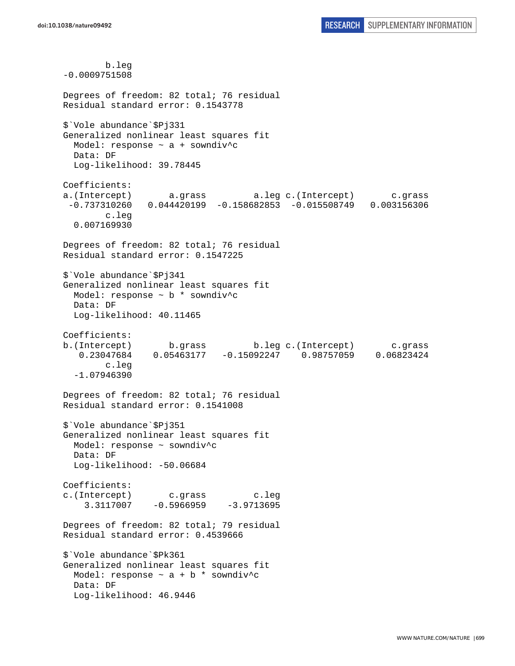b.leg -0.0009751508 Degrees of freedom: 82 total; 76 residual Residual standard error: 0.1543778 \$`Vole abundance`\$Pj331 Generalized nonlinear least squares fit Model: response ~ a + sowndiv^c Data: DF Log-likelihood: 39.78445 Coefficients: a.(Intercept) a.grass a.leg c.(Intercept) c.grass -0.737310260 0.044420199 -0.158682853 -0.015508749 0.003156306 c.leg 0.007169930 Degrees of freedom: 82 total; 76 residual Residual standard error: 0.1547225 \$`Vole abundance`\$Pj341 Generalized nonlinear least squares fit Model: response ~ b \* sowndiv^c Data: DF Log-likelihood: 40.11465 Coefficients: b.(Intercept) b.grass b.leg c.(Intercept) c.grass 0.23047684 0.05463177 -0.15092247 0.98757059 0.06823424 c.leg -1.07946390 Degrees of freedom: 82 total; 76 residual Residual standard error: 0.1541008 \$`Vole abundance`\$Pj351 Generalized nonlinear least squares fit Model: response ~ sowndiv^c Data: DF Log-likelihood: -50.06684 Coefficients: c.(Intercept) c.grass c.leg 3.3117007 -0.5966959 -3.9713695 Degrees of freedom: 82 total; 79 residual Residual standard error: 0.4539666 \$`Vole abundance`\$Pk361 Generalized nonlinear least squares fit Model: response  $\sim$  a + b \* sowndiv^c Data: DF Log-likelihood: 46.9446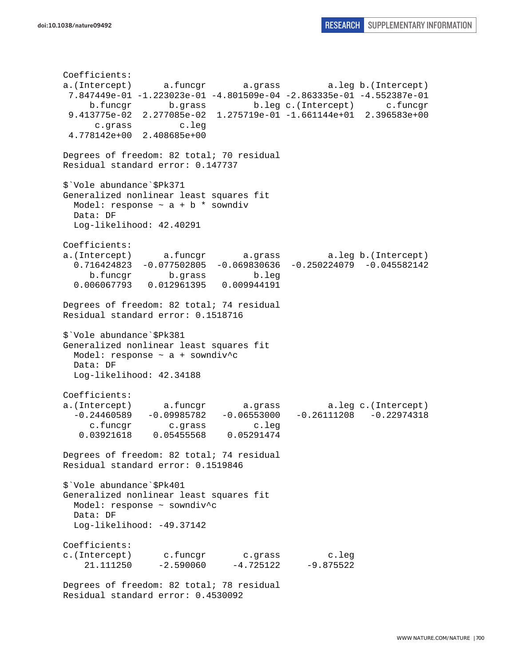```
Coefficients: 
a.(Intercept) a.funcgr a.grass a.leg b.(Intercept) 
  7.847449e-01 -1.223023e-01 -4.801509e-04 -2.863335e-01 -4.552387e-01 
     b.funcgr b.grass b.leg c.(Intercept) c.funcgr 
  9.413775e-02 2.277085e-02 1.275719e-01 -1.661144e+01 2.396583e+00 
      c.grass c.leg 
  4.778142e+00 2.408685e+00 
Degrees of freedom: 82 total; 70 residual 
Residual standard error: 0.147737 
$`Vole abundance`$Pk371 
Generalized nonlinear least squares fit 
 Model: response \sim a + b * sowndiv
  Data: DF 
  Log-likelihood: 42.40291 
Coefficients: 
a.(Intercept) a.funcgr a.grass a.leg b.(Intercept) 
   0.716424823 -0.077502805 -0.069830636 -0.250224079 -0.045582142 
     b.funcgr b.grass b.leg 
   0.006067793 0.012961395 0.009944191 
Degrees of freedom: 82 total; 74 residual 
Residual standard error: 0.1518716 
$`Vole abundance`$Pk381 
Generalized nonlinear least squares fit 
  Model: response ~ a + sowndiv^c 
  Data: DF 
  Log-likelihood: 42.34188 
Coefficients: 
a.(Intercept) a.funcgr a.grass a.leg c.(Intercept) 
 -0.24460589 -0.09985782 -0.06553000 -0.26111208 -0.22974318 c.funcgr c.grass c.leg 
   0.03921618 0.05455568 0.05291474 
Degrees of freedom: 82 total; 74 residual 
Residual standard error: 0.1519846 
$`Vole abundance`$Pk401 
Generalized nonlinear least squares fit 
  Model: response ~ sowndiv^c 
  Data: DF 
 Log-likelihood: -49.37142
Coefficients: 
c.(Intercept) c.funcgr c.grass c.leg 
    21.111250 -2.590060 -4.725122 -9.875522 
Degrees of freedom: 82 total; 78 residual
```
Residual standard error: 0.4530092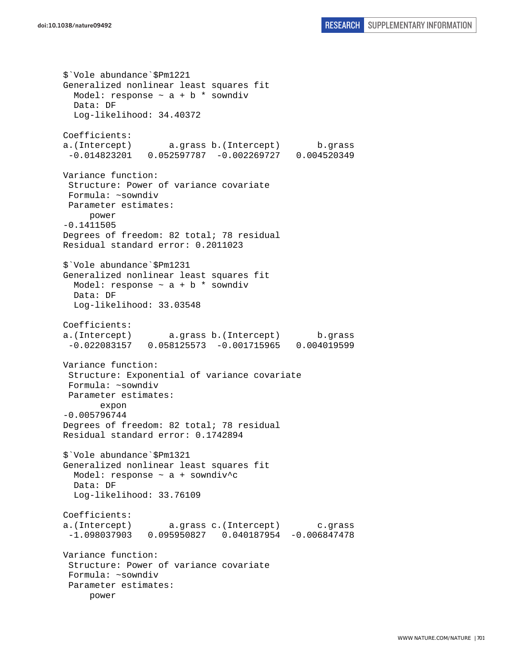\$`Vole abundance`\$Pm1221 Generalized nonlinear least squares fit Model: response  $\sim$  a + b  $*$  sowndiv Data: DF Log-likelihood: 34.40372 Coefficients: a.(Intercept) a.grass b.(Intercept) b.grass -0.014823201 0.052597787 -0.002269727 0.004520349 Variance function: Structure: Power of variance covariate Formula: ~sowndiv Parameter estimates: power -0.1411505 Degrees of freedom: 82 total; 78 residual Residual standard error: 0.2011023 \$`Vole abundance`\$Pm1231 Generalized nonlinear least squares fit Model: response  $\sim$  a + b  $*$  sowndiv Data: DF Log-likelihood: 33.03548 Coefficients: a.(Intercept) a.grass b.(Intercept) b.grass -0.022083157 0.058125573 -0.001715965 0.004019599 Variance function: Structure: Exponential of variance covariate Formula: ~sowndiv Parameter estimates: expon -0.005796744 Degrees of freedom: 82 total; 78 residual Residual standard error: 0.1742894 \$`Vole abundance`\$Pm1321 Generalized nonlinear least squares fit Model: response ~ a + sowndiv^c Data: DF Log-likelihood: 33.76109 Coefficients: a.(Intercept) a.grass c.(Intercept) c.grass -1.098037903 0.095950827 0.040187954 -0.006847478 Variance function: Structure: Power of variance covariate Formula: ~sowndiv Parameter estimates: power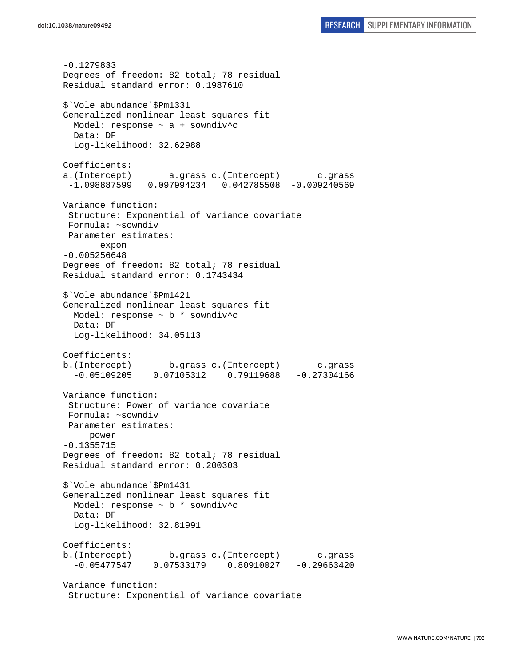-0.1279833 Degrees of freedom: 82 total; 78 residual Residual standard error: 0.1987610 \$`Vole abundance`\$Pm1331 Generalized nonlinear least squares fit Model: response ~ a + sowndiv^c Data: DF Log-likelihood: 32.62988 Coefficients: a.(Intercept) a.grass c.(Intercept) c.grass -1.098887599 0.097994234 0.042785508 -0.009240569 Variance function: Structure: Exponential of variance covariate Formula: ~sowndiv Parameter estimates: expon -0.005256648 Degrees of freedom: 82 total; 78 residual Residual standard error: 0.1743434 \$`Vole abundance`\$Pm1421 Generalized nonlinear least squares fit Model: response ~ b \* sowndiv^c Data: DF Log-likelihood: 34.05113 Coefficients: b.(Intercept) b.grass c.(Intercept) c.grass -0.05109205 0.07105312 0.79119688 -0.27304166 Variance function: Structure: Power of variance covariate Formula: ~sowndiv Parameter estimates: power -0.1355715 Degrees of freedom: 82 total; 78 residual Residual standard error: 0.200303 \$`Vole abundance`\$Pm1431 Generalized nonlinear least squares fit Model: response  $\sim$  b  $*$  sowndiv<sup>^</sup>c Data: DF Log-likelihood: 32.81991 Coefficients: b.(Intercept) b.grass c.(Intercept) c.grass -0.05477547 0.07533179 0.80910027 -0.29663420 Variance function: Structure: Exponential of variance covariate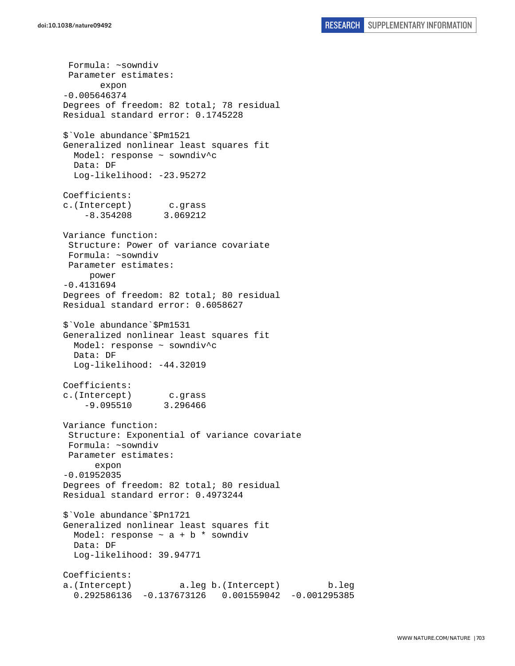Formula: ~sowndiv Parameter estimates: expon -0.005646374 Degrees of freedom: 82 total; 78 residual Residual standard error: 0.1745228 \$`Vole abundance`\$Pm1521 Generalized nonlinear least squares fit Model: response ~ sowndiv^c Data: DF Log-likelihood: -23.95272 Coefficients: c.(Intercept) c.grass -8.354208 3.069212 Variance function: Structure: Power of variance covariate Formula: ~sowndiv Parameter estimates: power -0.4131694 Degrees of freedom: 82 total; 80 residual Residual standard error: 0.6058627 \$`Vole abundance`\$Pm1531 Generalized nonlinear least squares fit Model: response ~ sowndiv^c Data: DF Log-likelihood: -44.32019 Coefficients: c.(Intercept) c.grass -9.095510 3.296466 Variance function: Structure: Exponential of variance covariate Formula: ~sowndiv Parameter estimates: expon -0.01952035 Degrees of freedom: 82 total; 80 residual Residual standard error: 0.4973244 \$`Vole abundance`\$Pn1721 Generalized nonlinear least squares fit Model: response  $\sim$  a + b  $*$  sowndiv Data: DF Log-likelihood: 39.94771 Coefficients: a.(Intercept) a.leg b.(Intercept) b.leg 0.292586136 -0.137673126 0.001559042 -0.001295385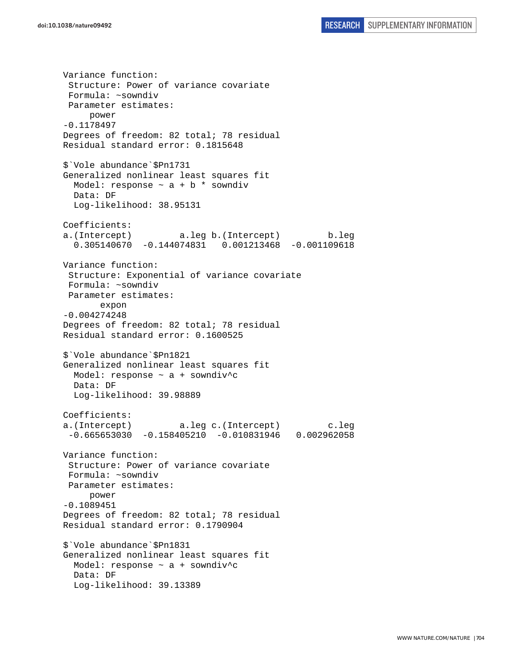Variance function: Structure: Power of variance covariate Formula: ~sowndiv Parameter estimates: power -0.1178497 Degrees of freedom: 82 total; 78 residual Residual standard error: 0.1815648 \$`Vole abundance`\$Pn1731 Generalized nonlinear least squares fit Model: response  $\sim$  a + b \* sowndiv Data: DF Log-likelihood: 38.95131 Coefficients: a.(Intercept) a.leg b.(Intercept) b.leg 0.305140670 -0.144074831 0.001213468 -0.001109618 Variance function: Structure: Exponential of variance covariate Formula: ~sowndiv Parameter estimates: expon -0.004274248 Degrees of freedom: 82 total; 78 residual Residual standard error: 0.1600525 \$`Vole abundance`\$Pn1821 Generalized nonlinear least squares fit Model: response  $\sim$  a + sowndiv<sup>^</sup>c Data: DF Log-likelihood: 39.98889 Coefficients: a.(Intercept) a.leg c.(Intercept) c.leg -0.665653030 -0.158405210 -0.010831946 0.002962058 Variance function: Structure: Power of variance covariate Formula: ~sowndiv Parameter estimates: power -0.1089451 Degrees of freedom: 82 total; 78 residual Residual standard error: 0.1790904 \$`Vole abundance`\$Pn1831 Generalized nonlinear least squares fit Model: response  $\sim$  a + sowndiv<sup>^</sup>c Data: DF Log-likelihood: 39.13389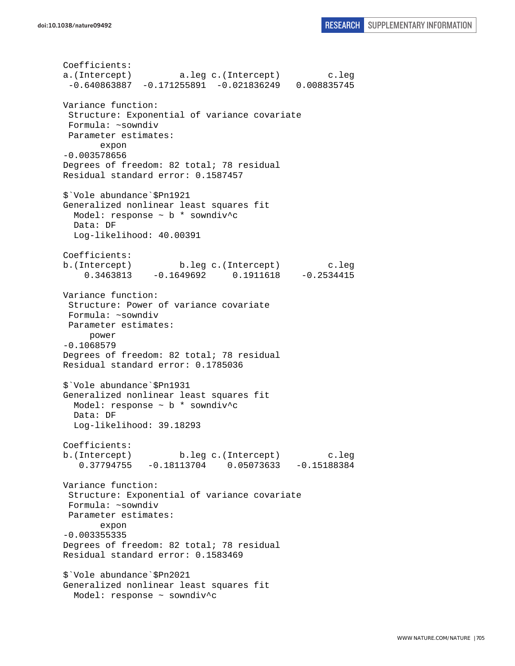Coefficients: a.(Intercept) a.leg c.(Intercept) c.leg -0.640863887 -0.171255891 -0.021836249 0.008835745 Variance function: Structure: Exponential of variance covariate Formula: ~sowndiv Parameter estimates: expon -0.003578656 Degrees of freedom: 82 total; 78 residual Residual standard error: 0.1587457 \$`Vole abundance`\$Pn1921 Generalized nonlinear least squares fit Model: response ~ b \* sowndiv^c Data: DF Log-likelihood: 40.00391 Coefficients: b.(Intercept) b.leg c.(Intercept) c.leg 0.3463813 -0.1649692 0.1911618 -0.2534415 Variance function: Structure: Power of variance covariate Formula: ~sowndiv Parameter estimates: power -0.1068579 Degrees of freedom: 82 total; 78 residual Residual standard error: 0.1785036 \$`Vole abundance`\$Pn1931 Generalized nonlinear least squares fit Model: response  $\sim$  b  $*$  sowndiv<sup>^</sup>c Data: DF Log-likelihood: 39.18293 Coefficients: b.(Intercept) b.leg c.(Intercept) c.leg 0.37794755 -0.18113704 0.05073633 -0.15188384 Variance function: Structure: Exponential of variance covariate Formula: ~sowndiv Parameter estimates: expon -0.003355335 Degrees of freedom: 82 total; 78 residual Residual standard error: 0.1583469 \$`Vole abundance`\$Pn2021 Generalized nonlinear least squares fit Model: response ~ sowndiv^c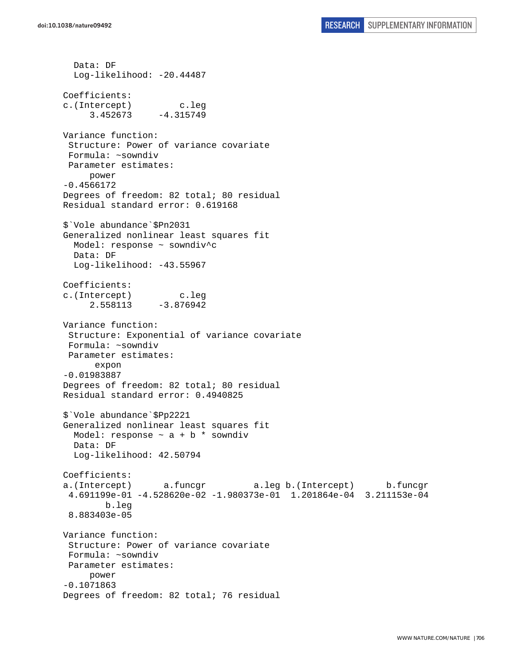Data: DF Log-likelihood: -20.44487 Coefficients: c.(Intercept) c.leg  $3.452673 -4.315749$ Variance function: Structure: Power of variance covariate Formula: ~sowndiv Parameter estimates: power -0.4566172 Degrees of freedom: 82 total; 80 residual Residual standard error: 0.619168 \$`Vole abundance`\$Pn2031 Generalized nonlinear least squares fit Model: response ~ sowndiv^c Data: DF Log-likelihood: -43.55967 Coefficients: c.(Intercept) c.leg 2.558113 -3.876942 Variance function: Structure: Exponential of variance covariate Formula: ~sowndiv Parameter estimates: expon -0.01983887 Degrees of freedom: 82 total; 80 residual Residual standard error: 0.4940825 \$`Vole abundance`\$Pp2221 Generalized nonlinear least squares fit Model: response  $\sim$  a + b  $*$  sowndiv Data: DF Log-likelihood: 42.50794 Coefficients: a.(Intercept) a.funcgr a.leg b.(Intercept) b.funcgr 4.691199e-01 -4.528620e-02 -1.980373e-01 1.201864e-04 3.211153e-04 b.leg 8.883403e-05 Variance function: Structure: Power of variance covariate Formula: ~sowndiv Parameter estimates: power -0.1071863 Degrees of freedom: 82 total; 76 residual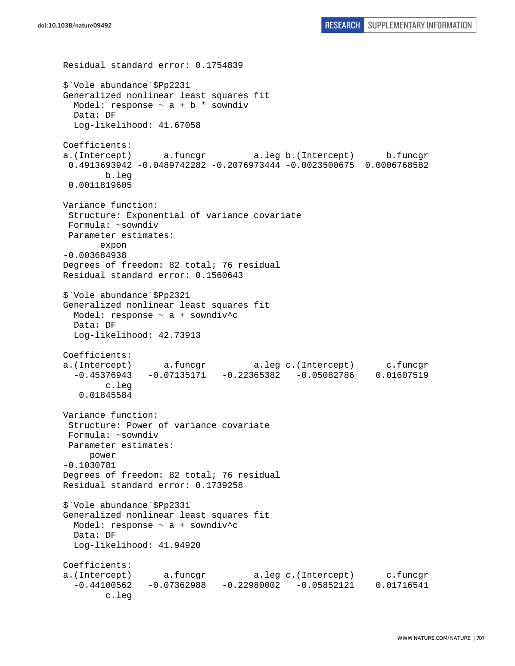```
Residual standard error: 0.1754839 
$`Vole abundance`$Pp2231 
Generalized nonlinear least squares fit 
 Model: response \sim a + b * sowndiv
   Data: DF 
   Log-likelihood: 41.67058 
Coefficients: 
a.(Intercept) a.funcgr a.leg b.(Intercept) b.funcgr 
  0.4913693942 -0.0489742282 -0.2076973444 -0.0023500675 0.0006768582 
         b.leg 
  0.0011819605 
Variance function: 
  Structure: Exponential of variance covariate 
 Formula: ~sowndiv 
 Parameter estimates: 
        expon 
-0.003684938 
Degrees of freedom: 82 total; 76 residual 
Residual standard error: 0.1560643 
$`Vole abundance`$Pp2321 
Generalized nonlinear least squares fit 
   Model: response ~ a + sowndiv^c 
  Data: DF 
  Log-likelihood: 42.73913 
Coefficients: 
a.(Intercept) a.funcgr a.leg c.(Intercept) c.funcgr 
   -0.45376943 -0.07135171 -0.22365382 -0.05082786 0.01607519 
         c.leg 
    0.01845584 
Variance function: 
  Structure: Power of variance covariate 
  Formula: ~sowndiv 
 Parameter estimates: 
      power 
-0.1030781 
Degrees of freedom: 82 total; 76 residual 
Residual standard error: 0.1739258 
$`Vole abundance`$Pp2331 
Generalized nonlinear least squares fit 
 Model: response \sim a + sowndiv<sup>^</sup>c
  Data: DF 
   Log-likelihood: 41.94920 
Coefficients: 
a.(Intercept) a.funcgr a.leg c.(Intercept) c.funcgr 
   -0.44100562 -0.07362988 -0.22980002 -0.05852121 0.01716541 
         c.leg
```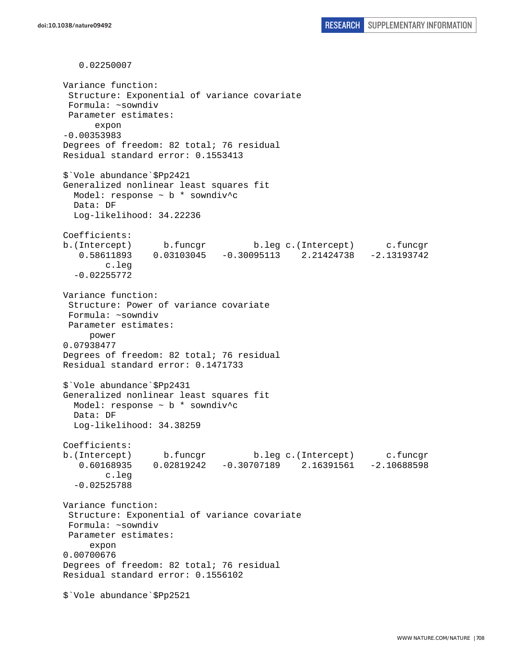0.02250007 Variance function: Structure: Exponential of variance covariate Formula: ~sowndiv Parameter estimates: expon -0.00353983 Degrees of freedom: 82 total; 76 residual Residual standard error: 0.1553413 \$`Vole abundance`\$Pp2421 Generalized nonlinear least squares fit Model: response ~ b \* sowndiv^c Data: DF Log-likelihood: 34.22236 Coefficients: b.(Intercept) b.funcgr b.leg c.(Intercept) c.funcgr 0.58611893 0.03103045 -0.30095113 2.21424738 -2.13193742 c.leg -0.02255772 Variance function: Structure: Power of variance covariate Formula: ~sowndiv Parameter estimates: power 0.07938477 Degrees of freedom: 82 total; 76 residual Residual standard error: 0.1471733 \$`Vole abundance`\$Pp2431 Generalized nonlinear least squares fit Model: response ~ b \* sowndiv^c Data: DF Log-likelihood: 34.38259 Coefficients: b.(Intercept) b.funcgr b.leg c.(Intercept) c.funcgr 0.60168935 0.02819242 -0.30707189 2.16391561 -2.10688598 c.leg -0.02525788 Variance function: Structure: Exponential of variance covariate Formula: ~sowndiv Parameter estimates: expon 0.00700676 Degrees of freedom: 82 total; 76 residual Residual standard error: 0.1556102 \$`Vole abundance`\$Pp2521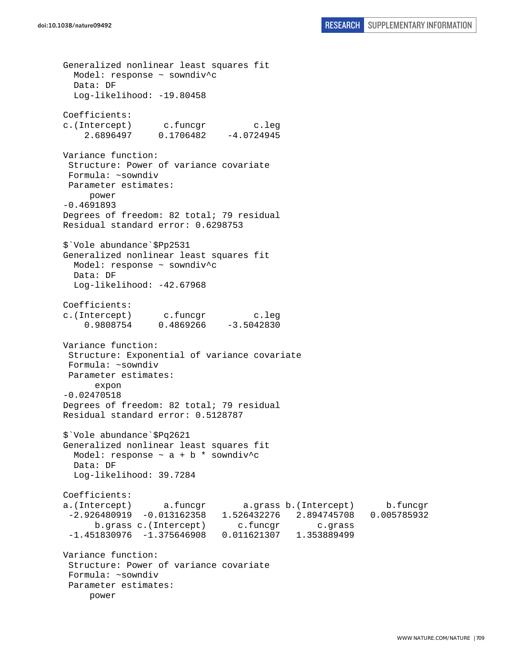Generalized nonlinear least squares fit Model: response ~ sowndiv^c Data: DF Log-likelihood: -19.80458 Coefficients: c.(Intercept) c.funcgr c.leg 2.6896497 0.1706482 -4.0724945 Variance function: Structure: Power of variance covariate Formula: ~sowndiv Parameter estimates: power -0.4691893 Degrees of freedom: 82 total; 79 residual Residual standard error: 0.6298753 \$`Vole abundance`\$Pp2531 Generalized nonlinear least squares fit Model: response ~ sowndiv^c Data: DF Log-likelihood: -42.67968 Coefficients: c.(Intercept) c.funcgr c.leg 0.9808754 0.4869266 -3.5042830 Variance function: Structure: Exponential of variance covariate Formula: ~sowndiv Parameter estimates: expon -0.02470518 Degrees of freedom: 82 total; 79 residual Residual standard error: 0.5128787 \$`Vole abundance`\$Pq2621 Generalized nonlinear least squares fit Model: response  $\sim$  a + b \* sowndiv<sup>^</sup>c Data: DF Log-likelihood: 39.7284 Coefficients: a.(Intercept) a.funcgr a.grass b.(Intercept) b.funcgr -2.926480919 -0.013162358 1.526432276 2.894745708 0.005785932 b.grass c.(Intercept) c.funcgr c.qrass -1.451830976 -1.375646908 0.011621307 1.353889499 Variance function: Structure: Power of variance covariate Formula: ~sowndiv Parameter estimates: power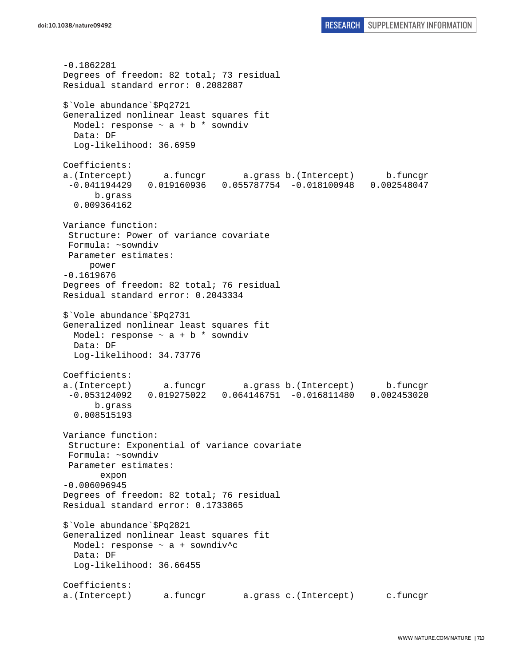-0.1862281 Degrees of freedom: 82 total; 73 residual Residual standard error: 0.2082887 \$`Vole abundance`\$Pq2721 Generalized nonlinear least squares fit Model: response  $\sim$  a + b  $*$  sowndiv Data: DF Log-likelihood: 36.6959 Coefficients: a.(Intercept) a.funcgr a.grass b.(Intercept) b.funcgr -0.041194429 0.019160936 0.055787754 -0.018100948 0.002548047 b.grass 0.009364162 Variance function: Structure: Power of variance covariate Formula: ~sowndiv Parameter estimates: power -0.1619676 Degrees of freedom: 82 total; 76 residual Residual standard error: 0.2043334 \$`Vole abundance`\$Pq2731 Generalized nonlinear least squares fit Model: response  $\sim$  a + b  $*$  sowndiv Data: DF Log-likelihood: 34.73776 Coefficients: a.(Intercept) a.funcgr a.grass b.(Intercept) b.funcgr -0.053124092 0.019275022 0.064146751 -0.016811480 0.002453020 b.grass 0.008515193 Variance function: Structure: Exponential of variance covariate Formula: ~sowndiv Parameter estimates: expon -0.006096945 Degrees of freedom: 82 total; 76 residual Residual standard error: 0.1733865 \$`Vole abundance`\$Pq2821 Generalized nonlinear least squares fit Model: response ~ a + sowndiv^c Data: DF Log-likelihood: 36.66455 Coefficients: a.(Intercept) a.funcgr a.grass c.(Intercept) c.funcgr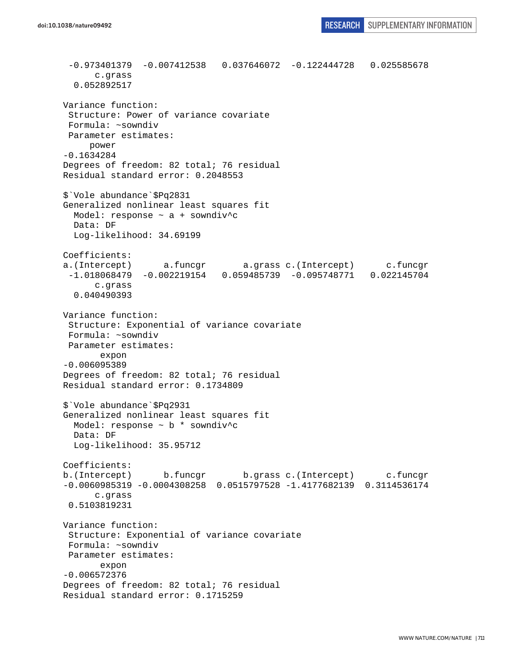```
 -0.973401379 -0.007412538 0.037646072 -0.122444728 0.025585678 
       c.grass 
   0.052892517 
Variance function: 
  Structure: Power of variance covariate 
  Formula: ~sowndiv 
 Parameter estimates: 
      power 
-0.1634284 
Degrees of freedom: 82 total; 76 residual 
Residual standard error: 0.2048553 
$`Vole abundance`$Pq2831 
Generalized nonlinear least squares fit 
  Model: response ~ a + sowndiv^c 
   Data: DF 
   Log-likelihood: 34.69199 
Coefficients: 
a.(Intercept) a.funcgr a.grass c.(Intercept) c.funcgr 
  -1.018068479 -0.002219154 0.059485739 -0.095748771 0.022145704 
       c.grass 
   0.040490393 
Variance function: 
  Structure: Exponential of variance covariate 
 Formula: ~sowndiv 
 Parameter estimates: 
        expon 
-0.006095389 
Degrees of freedom: 82 total; 76 residual 
Residual standard error: 0.1734809 
$`Vole abundance`$Pq2931 
Generalized nonlinear least squares fit 
  Model: response ~ b * sowndiv^c 
  Data: DF 
   Log-likelihood: 35.95712 
Coefficients: 
b.(Intercept) b.funcgr b.grass c.(Intercept) c.funcgr 
-0.0060985319 -0.0004308258 0.0515797528 -1.4177682139 0.3114536174 
       c.grass 
  0.5103819231 
Variance function: 
  Structure: Exponential of variance covariate 
 Formula: ~sowndiv 
 Parameter estimates: 
        expon 
-0.006572376 
Degrees of freedom: 82 total; 76 residual 
Residual standard error: 0.1715259
```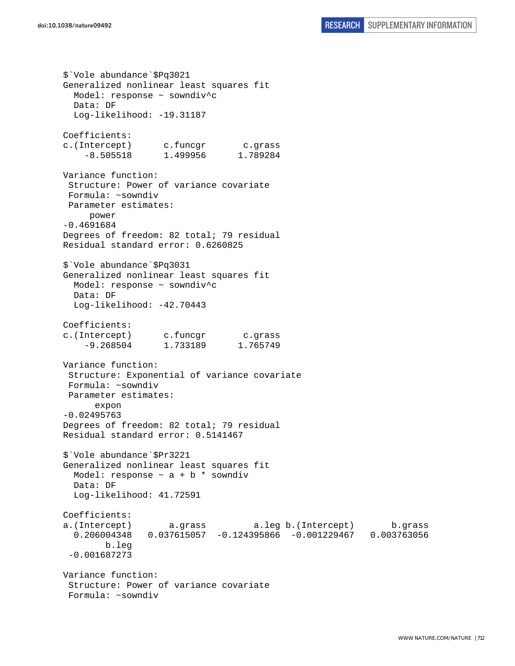```
$`Vole abundance`$Pq3021 
Generalized nonlinear least squares fit 
  Model: response ~ sowndiv^c 
  Data: DF 
  Log-likelihood: -19.31187
Coefficients: 
c.(Intercept) c.funcgr c.grass 
     -8.505518 1.499956 1.789284 
Variance function: 
  Structure: Power of variance covariate 
  Formula: ~sowndiv 
 Parameter estimates: 
     power 
-0.4691684 
Degrees of freedom: 82 total; 79 residual 
Residual standard error: 0.6260825 
$`Vole abundance`$Pq3031 
Generalized nonlinear least squares fit 
  Model: response ~ sowndiv^c 
  Data: DF 
   Log-likelihood: -42.70443 
Coefficients: 
c.(Intercept) c.funcgr c.grass 
     -9.268504 1.733189 1.765749 
Variance function: 
  Structure: Exponential of variance covariate 
 Formula: ~sowndiv 
 Parameter estimates: 
       expon 
-0.02495763 
Degrees of freedom: 82 total; 79 residual 
Residual standard error: 0.5141467 
$`Vole abundance`$Pr3221 
Generalized nonlinear least squares fit 
 Model: response \sim a + b * sowndiv
  Data: DF 
   Log-likelihood: 41.72591 
Coefficients: 
a.(Intercept) a.grass a.leg b.(Intercept) b.grass 
   0.206004348 0.037615057 -0.124395866 -0.001229467 0.003763056 
         b.leg 
  -0.001687273 
Variance function: 
  Structure: Power of variance covariate 
  Formula: ~sowndiv
```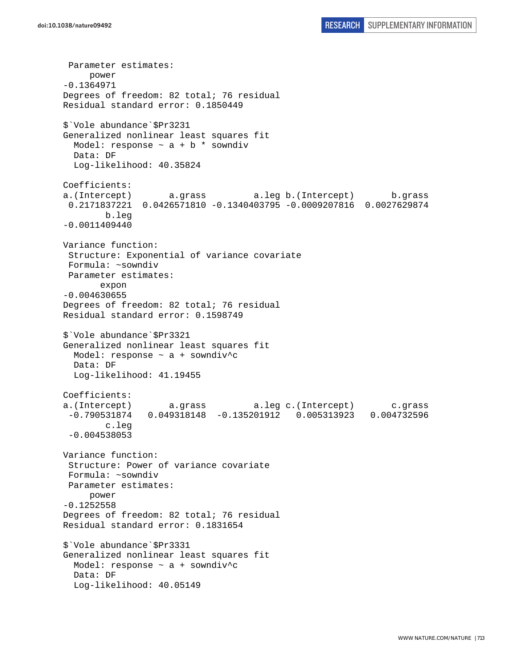Parameter estimates: power -0.1364971 Degrees of freedom: 82 total; 76 residual Residual standard error: 0.1850449 \$`Vole abundance`\$Pr3231 Generalized nonlinear least squares fit Model: response  $\sim$  a + b \* sowndiv Data: DF Log-likelihood: 40.35824 Coefficients: a.(Intercept) a.grass a.leg b.(Intercept) b.grass 0.2171837221 0.0426571810 -0.1340403795 -0.0009207816 0.0027629874 b.leg -0.0011409440 Variance function: Structure: Exponential of variance covariate Formula: ~sowndiv Parameter estimates: expon -0.004630655 Degrees of freedom: 82 total; 76 residual Residual standard error: 0.1598749 \$`Vole abundance`\$Pr3321 Generalized nonlinear least squares fit Model: response ~ a + sowndiv^c Data: DF Log-likelihood: 41.19455 Coefficients: a.(Intercept) a.grass a.leg c.(Intercept) c.grass -0.790531874 0.049318148 -0.135201912 0.005313923 0.004732596 c.leg -0.004538053 Variance function: Structure: Power of variance covariate Formula: ~sowndiv Parameter estimates: power -0.1252558 Degrees of freedom: 82 total; 76 residual Residual standard error: 0.1831654 \$`Vole abundance`\$Pr3331 Generalized nonlinear least squares fit Model: response  $\sim$  a + sowndiv<sup>^</sup>c Data: DF Log-likelihood: 40.05149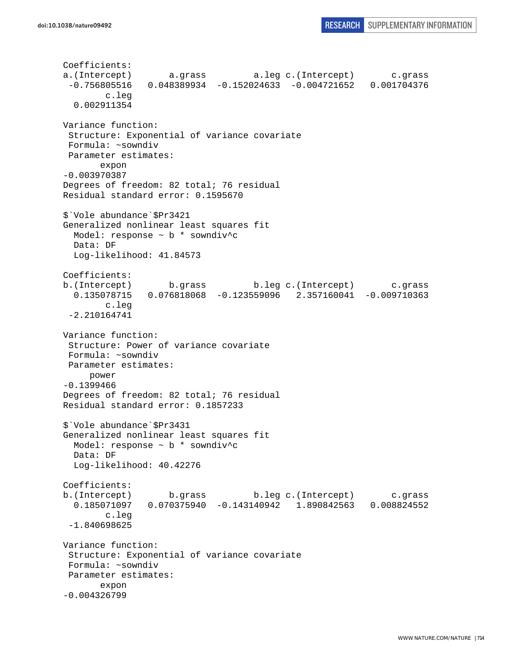Coefficients: a.(Intercept) a.grass a.leg c.(Intercept) c.grass -0.756805516 0.048389934 -0.152024633 -0.004721652 0.001704376 c.leg 0.002911354 Variance function: Structure: Exponential of variance covariate Formula: ~sowndiv Parameter estimates: expon -0.003970387 Degrees of freedom: 82 total; 76 residual Residual standard error: 0.1595670 \$`Vole abundance`\$Pr3421 Generalized nonlinear least squares fit Model: response ~ b \* sowndiv^c Data: DF Log-likelihood: 41.84573 Coefficients: b.(Intercept) b.grass b.leg c.(Intercept) c.grass 0.135078715 0.076818068 -0.123559096 2.357160041 -0.009710363 c.leg -2.210164741 Variance function: Structure: Power of variance covariate Formula: ~sowndiv Parameter estimates: power -0.1399466 Degrees of freedom: 82 total; 76 residual Residual standard error: 0.1857233 \$`Vole abundance`\$Pr3431 Generalized nonlinear least squares fit Model: response ~ b \* sowndiv^c Data: DF Log-likelihood: 40.42276 Coefficients: b.(Intercept) b.grass b.leg c.(Intercept) c.grass 0.185071097 0.070375940 -0.143140942 1.890842563 0.008824552 c.leg -1.840698625 Variance function: Structure: Exponential of variance covariate Formula: ~sowndiv Parameter estimates: expon -0.004326799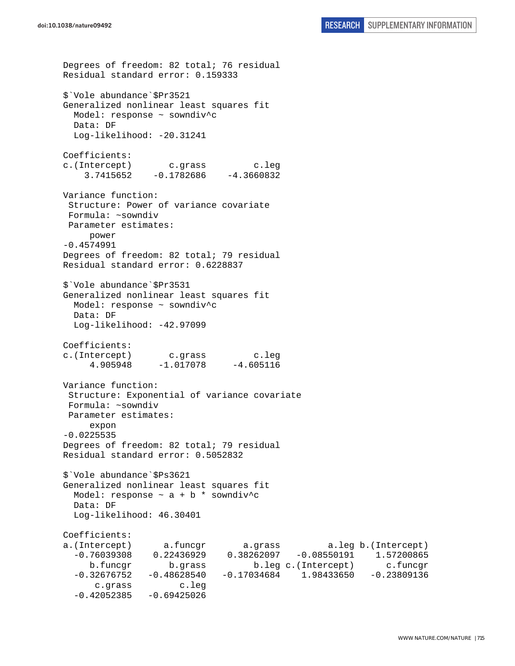```
Degrees of freedom: 82 total; 76 residual 
Residual standard error: 0.159333 
$`Vole abundance`$Pr3521 
Generalized nonlinear least squares fit 
   Model: response ~ sowndiv^c 
  Data: DF 
 Log-likelihood: -20.31241
Coefficients: 
c.(Intercept) c.grass c.leg 
    3.7415652 -0.1782686 -4.3660832Variance function: 
  Structure: Power of variance covariate 
  Formula: ~sowndiv 
 Parameter estimates: 
     power 
-0.4574991 
Degrees of freedom: 82 total; 79 residual 
Residual standard error: 0.6228837 
$`Vole abundance`$Pr3531 
Generalized nonlinear least squares fit 
   Model: response ~ sowndiv^c 
   Data: DF 
   Log-likelihood: -42.97099 
Coefficients: 
c.(Intercept) c.grass c.leg 
     4.905948 -1.017078 -4.605116 
Variance function: 
  Structure: Exponential of variance covariate 
  Formula: ~sowndiv 
 Parameter estimates: 
      expon 
-0.0225535 
Degrees of freedom: 82 total; 79 residual 
Residual standard error: 0.5052832 
$`Vole abundance`$Ps3621 
Generalized nonlinear least squares fit 
 Model: response \sim a + b * sowndiv<sup>^</sup>c
   Data: DF 
   Log-likelihood: 46.30401 
Coefficients: 
a.(Intercept) a.funcgr a.grass a.leg b.(Intercept) 
   -0.76039308 0.22436929 0.38262097 -0.08550191 1.57200865 
      b.funcgr b.grass b.leg c.(Intercept) c.funcgr 
   -0.32676752 -0.48628540 -0.17034684 1.98433650 -0.23809136 
       c.grass c.leg 
  -0.42052385 - 0.69425026
```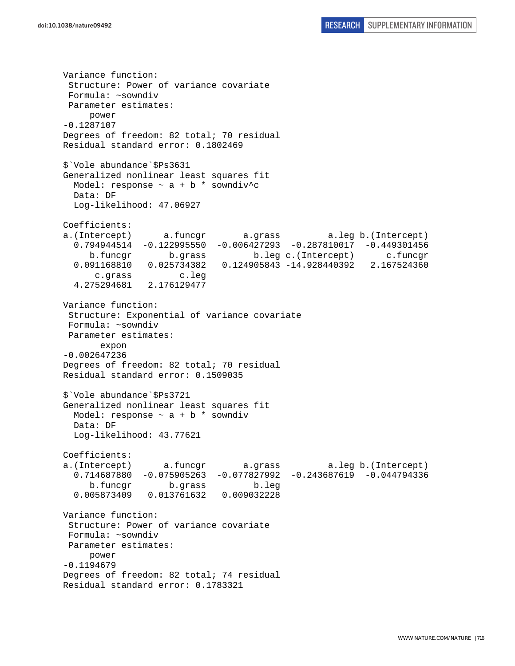Variance function: Structure: Power of variance covariate Formula: ~sowndiv Parameter estimates: power -0.1287107 Degrees of freedom: 82 total; 70 residual Residual standard error: 0.1802469 \$`Vole abundance`\$Ps3631 Generalized nonlinear least squares fit Model: response  $\sim$  a + b \* sowndiv^c Data: DF Log-likelihood: 47.06927 Coefficients: a.(Intercept) a.funcgr a.grass a.leg b.(Intercept) 0.794944514 -0.122995550 -0.006427293 -0.287810017 -0.449301456 b.funcgr b.grass b.leg c.(Intercept) c.funcgr 0.091168810 0.025734382 0.124905843 -14.928440392 2.167524360 c.grass c.leg 4.275294681 2.176129477 Variance function: Structure: Exponential of variance covariate Formula: ~sowndiv Parameter estimates: expon -0.002647236 Degrees of freedom: 82 total; 70 residual Residual standard error: 0.1509035 \$`Vole abundance`\$Ps3721 Generalized nonlinear least squares fit Model: response  $\sim$  a + b  $*$  sowndiv Data: DF Log-likelihood: 43.77621 Coefficients: a.(Intercept) a.funcgr a.grass a.leg b.(Intercept) 0.714687880 -0.075905263 -0.077827992 -0.243687619 -0.044794336 b.funcgr b.grass b.leg 0.005873409 0.013761632 0.009032228 Variance function: Structure: Power of variance covariate Formula: ~sowndiv Parameter estimates: power -0.1194679 Degrees of freedom: 82 total; 74 residual Residual standard error: 0.1783321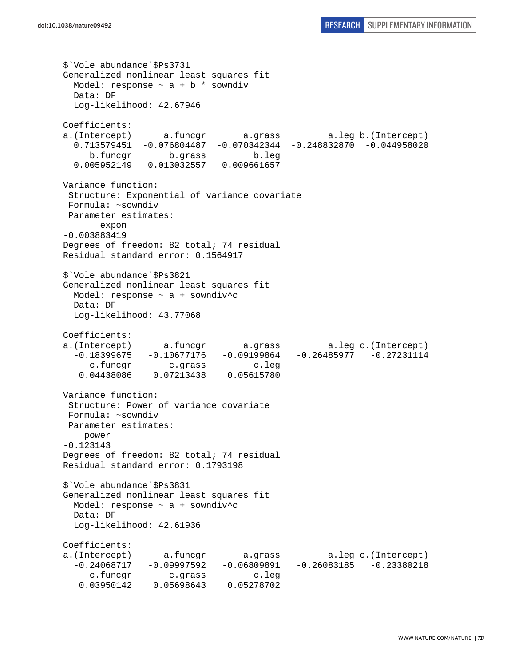\$`Vole abundance`\$Ps3731 Generalized nonlinear least squares fit Model: response  $\sim$  a + b  $*$  sowndiv Data: DF Log-likelihood: 42.67946 Coefficients: a.(Intercept) a.funcgr a.grass a.leg b.(Intercept) 0.713579451 -0.076804487 -0.070342344 -0.248832870 -0.044958020 b.funcgr b.grass b.leg 0.005952149 0.013032557 0.009661657 Variance function: Structure: Exponential of variance covariate Formula: ~sowndiv Parameter estimates: expon -0.003883419 Degrees of freedom: 82 total; 74 residual Residual standard error: 0.1564917 \$`Vole abundance`\$Ps3821 Generalized nonlinear least squares fit Model: response  $\sim$  a + sowndiv^c Data: DF Log-likelihood: 43.77068 Coefficients: a.(Intercept) a.funcgr a.grass a.leg c.(Intercept)  $-0.18399675 -0.10677176 -0.09199864 -0.26485977 -0.27231114$  c.funcgr c.grass c.leg 0.04438086 0.07213438 0.05615780 Variance function: Structure: Power of variance covariate Formula: ~sowndiv Parameter estimates: power -0.123143 Degrees of freedom: 82 total; 74 residual Residual standard error: 0.1793198 \$`Vole abundance`\$Ps3831 Generalized nonlinear least squares fit Model: response  $\sim$  a + sowndiv<sup>^</sup>c Data: DF Log-likelihood: 42.61936 Coefficients: a.(Intercept) a.funcgr a.grass a.leg c.(Intercept)  $-0.24068717 -0.09997592 -0.06809891 -0.26083185 -0.23380218$ c.funcgr c.grass c.leg<br>03950142 0.05698643 0.05278702 0.03950142 0.05698643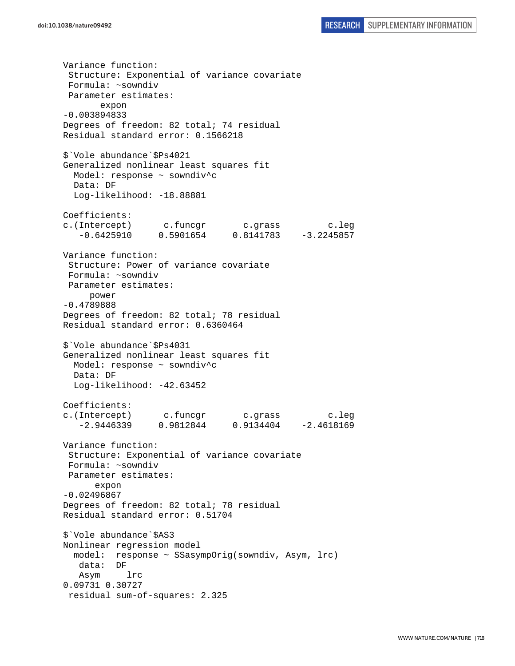Variance function: Structure: Exponential of variance covariate Formula: ~sowndiv Parameter estimates: expon -0.003894833 Degrees of freedom: 82 total; 74 residual Residual standard error: 0.1566218 \$`Vole abundance`\$Ps4021 Generalized nonlinear least squares fit Model: response ~ sowndiv^c Data: DF Log-likelihood: -18.88881 Coefficients: c.(Intercept) c.funcgr c.grass c.leg -0.6425910 0.5901654 0.8141783 -3.2245857 Variance function: Structure: Power of variance covariate Formula: ~sowndiv Parameter estimates: power -0.4789888 Degrees of freedom: 82 total; 78 residual Residual standard error: 0.6360464 \$`Vole abundance`\$Ps4031 Generalized nonlinear least squares fit Model: response ~ sowndiv^c Data: DF Log-likelihood: -42.63452 Coefficients: c.(Intercept) c.funcgr c.grass c.leg -2.9446339 0.9812844 0.9134404 -2.4618169 Variance function: Structure: Exponential of variance covariate Formula: ~sowndiv Parameter estimates: expon -0.02496867 Degrees of freedom: 82 total; 78 residual Residual standard error: 0.51704 \$`Vole abundance`\$AS3 Nonlinear regression model model: response ~ SSasympOrig(sowndiv, Asym, lrc) data: DF Asym lrc 0.09731 0.30727 residual sum-of-squares: 2.325